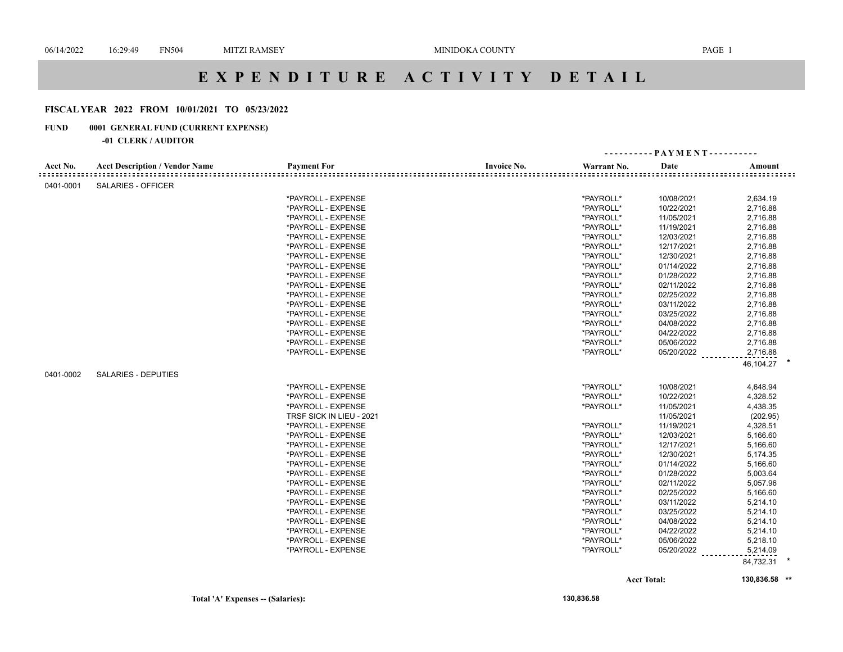# **E X P E N D I T U R E A C T I V I T Y D E T A I L**

## **FISCAL YEAR 2022 FROM 10/01/2021 TO 05/23/2022**

## **FUND 0001 GENERAL FUND (CURRENT EXPENSE)**

#### **-01 CLERK / AUDITOR**

|              |                                       |                          |                    | ---------- PAYMENT---------- |            |                             |
|--------------|---------------------------------------|--------------------------|--------------------|------------------------------|------------|-----------------------------|
| Acct No.     | <b>Acct Description / Vendor Name</b> | <b>Payment For</b>       | <b>Invoice No.</b> | Warrant No.                  | Date       | Amount                      |
| :::::::::::: |                                       |                          |                    |                              |            | <u> ===================</u> |
| 0401-0001    | <b>SALARIES - OFFICER</b>             |                          |                    |                              |            |                             |
|              |                                       | *PAYROLL - EXPENSE       |                    | *PAYROLL*                    | 10/08/2021 | 2,634.19                    |
|              |                                       | *PAYROLL - EXPENSE       |                    | *PAYROLL*                    | 10/22/2021 | 2,716.88                    |
|              |                                       | *PAYROLL - EXPENSE       |                    | *PAYROLL*                    | 11/05/2021 | 2,716.88                    |
|              |                                       | *PAYROLL - EXPENSE       |                    | *PAYROLL*                    | 11/19/2021 | 2,716.88                    |
|              |                                       | *PAYROLL - EXPENSE       |                    | *PAYROLL*                    | 12/03/2021 | 2,716.88                    |
|              |                                       | *PAYROLL - EXPENSE       |                    | *PAYROLL*                    | 12/17/2021 | 2,716.88                    |
|              |                                       | *PAYROLL - EXPENSE       |                    | *PAYROLL*                    | 12/30/2021 | 2,716.88                    |
|              |                                       | *PAYROLL - EXPENSE       |                    | *PAYROLL*                    | 01/14/2022 | 2,716.88                    |
|              |                                       | *PAYROLL - EXPENSE       |                    | *PAYROLL*                    | 01/28/2022 | 2,716.88                    |
|              |                                       | *PAYROLL - EXPENSE       |                    | *PAYROLL*                    | 02/11/2022 | 2,716.88                    |
|              |                                       | *PAYROLL - EXPENSE       |                    | *PAYROLL*                    | 02/25/2022 | 2,716.88                    |
|              |                                       | *PAYROLL - EXPENSE       |                    | *PAYROLL*                    | 03/11/2022 | 2,716.88                    |
|              |                                       | *PAYROLL - EXPENSE       |                    | *PAYROLL*                    | 03/25/2022 | 2,716.88                    |
|              |                                       | *PAYROLL - EXPENSE       |                    | *PAYROLL*                    | 04/08/2022 | 2,716.88                    |
|              |                                       | *PAYROLL - EXPENSE       |                    | *PAYROLL*                    | 04/22/2022 | 2,716.88                    |
|              |                                       | *PAYROLL - EXPENSE       |                    | *PAYROLL*                    | 05/06/2022 | 2,716.88                    |
|              |                                       | *PAYROLL - EXPENSE       |                    | *PAYROLL*                    | 05/20/2022 | 2,716.88                    |
|              |                                       |                          |                    |                              |            | 46,104.27                   |
| 0401-0002    | <b>SALARIES - DEPUTIES</b>            |                          |                    |                              |            |                             |
|              |                                       | *PAYROLL - EXPENSE       |                    | *PAYROLL*                    | 10/08/2021 | 4,648.94                    |
|              |                                       | *PAYROLL - EXPENSE       |                    | *PAYROLL*                    | 10/22/2021 | 4,328.52                    |
|              |                                       | *PAYROLL - EXPENSE       |                    | *PAYROLL*                    | 11/05/2021 | 4,438.35                    |
|              |                                       | TRSF SICK IN LIEU - 2021 |                    |                              | 11/05/2021 | (202.95)                    |
|              |                                       | *PAYROLL - EXPENSE       |                    | *PAYROLL*                    | 11/19/2021 | 4,328.51                    |
|              |                                       | *PAYROLL - EXPENSE       |                    | *PAYROLL*                    | 12/03/2021 | 5,166.60                    |
|              |                                       | *PAYROLL - EXPENSE       |                    | *PAYROLL*                    | 12/17/2021 | 5,166.60                    |
|              |                                       | *PAYROLL - EXPENSE       |                    | *PAYROLL*                    | 12/30/2021 | 5,174.35                    |
|              |                                       | *PAYROLL - EXPENSE       |                    | *PAYROLL*                    | 01/14/2022 | 5,166.60                    |
|              |                                       | *PAYROLL - EXPENSE       |                    | *PAYROLL*                    | 01/28/2022 | 5,003.64                    |
|              |                                       | *PAYROLL - EXPENSE       |                    | *PAYROLL*                    | 02/11/2022 | 5,057.96                    |
|              |                                       | *PAYROLL - EXPENSE       |                    | *PAYROLL*                    | 02/25/2022 | 5,166.60                    |
|              |                                       | *PAYROLL - EXPENSE       |                    | *PAYROLL*                    | 03/11/2022 | 5,214.10                    |
|              |                                       | *PAYROLL - EXPENSE       |                    | *PAYROLL*                    | 03/25/2022 | 5,214.10                    |
|              |                                       | *PAYROLL - EXPENSE       |                    | *PAYROLL*                    | 04/08/2022 | 5,214.10                    |
|              |                                       | *PAYROLL - EXPENSE       |                    | *PAYROLL*                    | 04/22/2022 | 5,214.10                    |
|              |                                       | *PAYROLL - EXPENSE       |                    | *PAYROLL*                    | 05/06/2022 | 5,218.10                    |
|              |                                       | *PAYROLL - EXPENSE       |                    | *PAYROLL*                    | 05/20/2022 | 5,214.09                    |
|              |                                       |                          |                    |                              |            | 84,732.31                   |
|              |                                       |                          |                    |                              |            |                             |

**Acct Total: 130,836.58 \*\***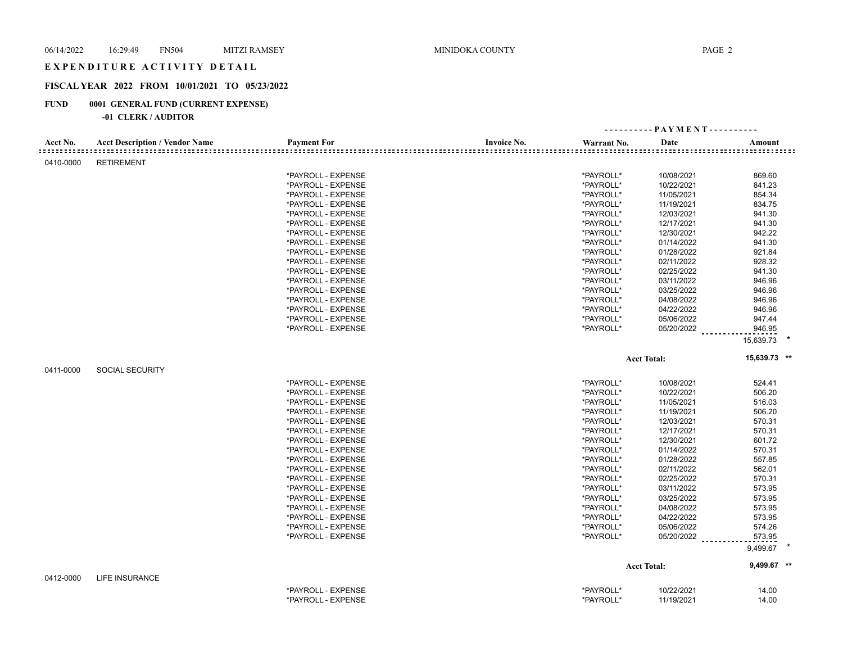## E X P E N D I T U R E A C T I V I T Y D E T A I L

## **FISCAL YEAR 2022 FROM 10/01/2021 TO 05/23/2022**

## **FUND 0001 GENERAL FUND (CURRENT EXPENSE)**

|           |                                       |                    |                    |             | ---------- PAYMENT---------- |                    |  |
|-----------|---------------------------------------|--------------------|--------------------|-------------|------------------------------|--------------------|--|
| Acct No.  | <b>Acct Description / Vendor Name</b> | <b>Payment For</b> | <b>Invoice No.</b> | Warrant No. | Date                         | Amount             |  |
| 0410-0000 | <b>RETIREMENT</b>                     |                    |                    |             |                              |                    |  |
|           |                                       | *PAYROLL - EXPENSE |                    | *PAYROLL*   | 10/08/2021                   | 869.60             |  |
|           |                                       | *PAYROLL - EXPENSE |                    | *PAYROLL*   | 10/22/2021                   | 841.23             |  |
|           |                                       | *PAYROLL - EXPENSE |                    | *PAYROLL*   | 11/05/2021                   | 854.34             |  |
|           |                                       | *PAYROLL - EXPENSE |                    | *PAYROLL*   | 11/19/2021                   | 834.75             |  |
|           |                                       | *PAYROLL - EXPENSE |                    | *PAYROLL*   | 12/03/2021                   | 941.30             |  |
|           |                                       | *PAYROLL - EXPENSE |                    | *PAYROLL*   | 12/17/2021                   | 941.30             |  |
|           |                                       | *PAYROLL - EXPENSE |                    | *PAYROLL*   | 12/30/2021                   | 942.22             |  |
|           |                                       | *PAYROLL - EXPENSE |                    | *PAYROLL*   | 01/14/2022                   | 941.30             |  |
|           |                                       | *PAYROLL - EXPENSE |                    | *PAYROLL*   | 01/28/2022                   | 921.84             |  |
|           |                                       | *PAYROLL - EXPENSE |                    | *PAYROLL*   | 02/11/2022                   | 928.32             |  |
|           |                                       | *PAYROLL - EXPENSE |                    | *PAYROLL*   | 02/25/2022                   | 941.30             |  |
|           |                                       | *PAYROLL - EXPENSE |                    | *PAYROLL*   | 03/11/2022                   | 946.96             |  |
|           |                                       | *PAYROLL - EXPENSE |                    | *PAYROLL*   | 03/25/2022                   | 946.96             |  |
|           |                                       | *PAYROLL - EXPENSE |                    | *PAYROLL*   | 04/08/2022                   | 946.96             |  |
|           |                                       | *PAYROLL - EXPENSE |                    | *PAYROLL*   | 04/22/2022                   | 946.96             |  |
|           |                                       | *PAYROLL - EXPENSE |                    | *PAYROLL*   | 05/06/2022                   | 947.44             |  |
|           |                                       | *PAYROLL - EXPENSE |                    | *PAYROLL*   | 05/20/2022                   | 946.95             |  |
|           |                                       |                    |                    |             |                              | 15,639.73          |  |
|           |                                       |                    |                    |             | <b>Acct Total:</b>           | 15,639.73 **       |  |
| 0411-0000 | <b>SOCIAL SECURITY</b>                |                    |                    |             |                              |                    |  |
|           |                                       | *PAYROLL - EXPENSE |                    | *PAYROLL*   | 10/08/2021                   | 524.41             |  |
|           |                                       | *PAYROLL - EXPENSE |                    | *PAYROLL*   | 10/22/2021                   | 506.20             |  |
|           |                                       | *PAYROLL - EXPENSE |                    | *PAYROLL*   | 11/05/2021                   | 516.03             |  |
|           |                                       | *PAYROLL - EXPENSE |                    | *PAYROLL*   | 11/19/2021                   | 506.20             |  |
|           |                                       | *PAYROLL - EXPENSE |                    | *PAYROLL*   | 12/03/2021                   | 570.31             |  |
|           |                                       | *PAYROLL - EXPENSE |                    | *PAYROLL*   | 12/17/2021                   | 570.31             |  |
|           |                                       | *PAYROLL - EXPENSE |                    | *PAYROLL*   | 12/30/2021                   | 601.72             |  |
|           |                                       | *PAYROLL - EXPENSE |                    | *PAYROLL*   | 01/14/2022                   | 570.31             |  |
|           |                                       | *PAYROLL - EXPENSE |                    | *PAYROLL*   | 01/28/2022                   | 557.85             |  |
|           |                                       | *PAYROLL - EXPENSE |                    | *PAYROLL*   | 02/11/2022                   | 562.01             |  |
|           |                                       | *PAYROLL - EXPENSE |                    | *PAYROLL*   | 02/25/2022                   | 570.31             |  |
|           |                                       | *PAYROLL - EXPENSE |                    | *PAYROLL*   | 03/11/2022                   | 573.95             |  |
|           |                                       |                    |                    |             |                              |                    |  |
|           |                                       | *PAYROLL - EXPENSE |                    | *PAYROLL*   | 03/25/2022                   | 573.95             |  |
|           |                                       | *PAYROLL - EXPENSE |                    | *PAYROLL*   | 04/08/2022                   | 573.95<br>573.95   |  |
|           |                                       | *PAYROLL - EXPENSE |                    | *PAYROLL*   | 04/22/2022                   |                    |  |
|           |                                       | *PAYROLL - EXPENSE |                    | *PAYROLL*   | 05/06/2022                   | 574.26             |  |
|           |                                       | *PAYROLL - EXPENSE |                    | *PAYROLL*   | 05/20/2022                   | 573.95<br>9,499.67 |  |
|           |                                       |                    |                    |             |                              |                    |  |
|           |                                       |                    |                    |             | <b>Acct Total:</b>           | 9,499.67 **        |  |
| 0412-0000 | LIFE INSURANCE                        |                    |                    |             |                              |                    |  |
|           |                                       | *PAYROLL - EXPENSE |                    | *PAYROLL*   | 10/22/2021                   | 14.00              |  |
|           |                                       | *PAYROLL - EXPENSE |                    | *PAYROLL*   | 11/19/2021                   | 14.00              |  |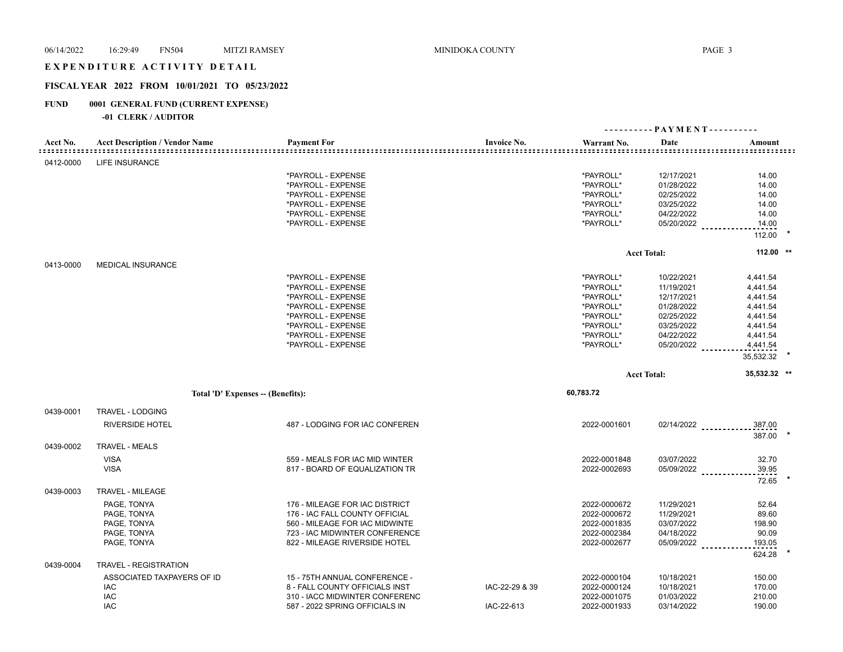### EXPENDITURE ACTIVITY DETAIL

## **FISCAL YEAR 2022 FROM 10/01/2021 TO 05/23/2022**

## **FUND 0001 GENERAL FUND (CURRENT EXPENSE)**

| Acct No.  | <b>Acct Description / Vendor Name</b> | <b>Payment For</b>             | <b>Invoice No.</b> | Warrant No.  | Date               | Amount               |  |
|-----------|---------------------------------------|--------------------------------|--------------------|--------------|--------------------|----------------------|--|
| 0412-0000 | <b>LIFE INSURANCE</b>                 |                                |                    |              |                    |                      |  |
|           |                                       | *PAYROLL - EXPENSE             |                    | *PAYROLL*    | 12/17/2021         | 14.00                |  |
|           |                                       | *PAYROLL - EXPENSE             |                    | *PAYROLL*    | 01/28/2022         | 14.00                |  |
|           |                                       | *PAYROLL - EXPENSE             |                    | *PAYROLL*    | 02/25/2022         | 14.00                |  |
|           |                                       | *PAYROLL - EXPENSE             |                    | *PAYROLL*    | 03/25/2022         | 14.00                |  |
|           |                                       | *PAYROLL - EXPENSE             |                    | *PAYROLL*    | 04/22/2022         | 14.00                |  |
|           |                                       | *PAYROLL - EXPENSE             |                    | *PAYROLL*    | 05/20/2022         | 14.00                |  |
|           |                                       |                                |                    |              |                    | 112.00               |  |
|           |                                       |                                |                    |              |                    |                      |  |
|           |                                       |                                |                    |              | <b>Acct Total:</b> | 112.00 **            |  |
| 0413-0000 | <b>MEDICAL INSURANCE</b>              |                                |                    |              |                    |                      |  |
|           |                                       | *PAYROLL - EXPENSE             |                    | *PAYROLL*    | 10/22/2021         | 4,441.54             |  |
|           |                                       | *PAYROLL - EXPENSE             |                    | *PAYROLL*    | 11/19/2021         | 4,441.54             |  |
|           |                                       | *PAYROLL - EXPENSE             |                    | *PAYROLL*    | 12/17/2021         | 4,441.54             |  |
|           |                                       | *PAYROLL - EXPENSE             |                    | *PAYROLL*    | 01/28/2022         | 4,441.54             |  |
|           |                                       | *PAYROLL - EXPENSE             |                    | *PAYROLL*    | 02/25/2022         | 4,441.54             |  |
|           |                                       | *PAYROLL - EXPENSE             |                    | *PAYROLL*    | 03/25/2022         | 4,441.54             |  |
|           |                                       | *PAYROLL - EXPENSE             |                    | *PAYROLL*    | 04/22/2022         | 4,441.54             |  |
|           |                                       | *PAYROLL - EXPENSE             |                    | *PAYROLL*    | 05/20/2022         | 4,441.54             |  |
|           |                                       |                                |                    |              |                    | 35,532.32            |  |
|           |                                       |                                |                    |              |                    |                      |  |
|           |                                       |                                |                    |              | <b>Acct Total:</b> | 35,532.32 **         |  |
|           | Total 'D' Expenses - (Benefits):      |                                |                    | 60,783.72    |                    |                      |  |
|           |                                       |                                |                    |              |                    |                      |  |
| 0439-0001 | TRAVEL - LODGING                      |                                |                    |              |                    |                      |  |
|           | <b>RIVERSIDE HOTEL</b>                | 487 - LODGING FOR IAC CONFEREN |                    | 2022-0001601 |                    | 02/14/2022<br>387.00 |  |
| 0439-0002 | <b>TRAVEL - MEALS</b>                 |                                |                    |              |                    | 387.00               |  |
|           |                                       |                                |                    |              |                    |                      |  |
|           | <b>VISA</b>                           | 559 - MEALS FOR IAC MID WINTER |                    | 2022-0001848 | 03/07/2022         | 32.70                |  |
|           | <b>VISA</b>                           | 817 - BOARD OF EQUALIZATION TR |                    | 2022-0002693 | 05/09/2022         | 39.95                |  |
| 0439-0003 | <b>TRAVEL - MILEAGE</b>               |                                |                    |              |                    | 72.65                |  |
|           |                                       |                                |                    |              |                    |                      |  |
|           | PAGE, TONYA                           | 176 - MILEAGE FOR IAC DISTRICT |                    | 2022-0000672 | 11/29/2021         | 52.64                |  |
|           | PAGE, TONYA                           | 176 - IAC FALL COUNTY OFFICIAL |                    | 2022-0000672 | 11/29/2021         | 89.60                |  |
|           | PAGE, TONYA                           | 560 - MILEAGE FOR IAC MIDWINTE |                    | 2022-0001835 | 03/07/2022         | 198.90               |  |
|           | PAGE, TONYA                           | 723 - IAC MIDWINTER CONFERENCE |                    | 2022-0002384 | 04/18/2022         | 90.09                |  |
|           | PAGE, TONYA                           | 822 - MILEAGE RIVERSIDE HOTEL  |                    | 2022-0002677 | 05/09/2022         | 193.05<br>624.28     |  |
| 0439-0004 | TRAVEL - REGISTRATION                 |                                |                    |              |                    |                      |  |
|           | ASSOCIATED TAXPAYERS OF ID            | 15 - 75TH ANNUAL CONFERENCE -  |                    | 2022-0000104 | 10/18/2021         | 150.00               |  |
|           | IAC                                   | 8 - FALL COUNTY OFFICIALS INST | IAC-22-29 & 39     | 2022-0000124 | 10/18/2021         | 170.00               |  |
|           | IAC<br><b>IAC</b>                     | 310 - IACC MIDWINTER CONFERENC |                    | 2022-0001075 | 01/03/2022         | 210.00               |  |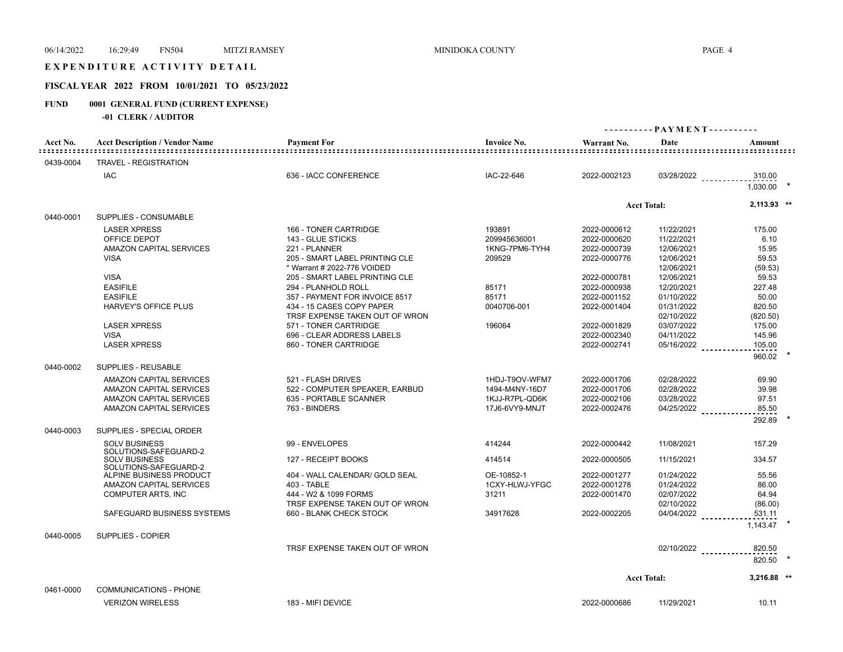## E X P E N D I T U R E A C T I V I T Y D E T A I L

## **FISCAL YEAR 2022 FROM 10/01/2021 TO 05/23/2022**

## **FUND 0001 GENERAL FUND (CURRENT EXPENSE)**

| Acct No.  | <b>Acct Description / Vendor Name</b>         | <b>Payment For</b>             | <b>Invoice No.</b> | Warrant No.  | Date                  | Amount        |
|-----------|-----------------------------------------------|--------------------------------|--------------------|--------------|-----------------------|---------------|
| 0439-0004 | TRAVEL - REGISTRATION                         |                                |                    |              |                       |               |
|           | <b>IAC</b>                                    | 636 - IACC CONFERENCE          | IAC-22-646         | 2022-0002123 | 03/28/2022            | 310.00        |
|           |                                               |                                |                    |              |                       | 1.030.00      |
|           |                                               |                                |                    |              | <b>Acct Total:</b>    | $2,113.93$ ** |
| 0440-0001 | SUPPLIES - CONSUMABLE                         |                                |                    |              |                       |               |
|           | <b>LASER XPRESS</b>                           | 166 - TONER CARTRIDGE          | 193891             | 2022-0000612 | 11/22/2021            | 175.00        |
|           | OFFICE DEPOT                                  | 143 - GLUE STICKS              | 209945636001       | 2022-0000620 | 11/22/2021            | 6.10          |
|           | <b>AMAZON CAPITAL SERVICES</b>                | 221 - PLANNER                  | 1KNG-7PM6-TYH4     | 2022-0000739 | 12/06/2021            | 15.95         |
|           | <b>VISA</b>                                   | 205 - SMART LABEL PRINTING CLE | 209529             | 2022-0000776 | 12/06/2021            | 59.53         |
|           |                                               | * Warrant # 2022-776 VOIDED    |                    |              | 12/06/2021            | (59.53)       |
|           | <b>VISA</b>                                   | 205 - SMART LABEL PRINTING CLE |                    | 2022-0000781 | 12/06/2021            | 59.53         |
|           | <b>EASIFILE</b>                               | 294 - PLANHOLD ROLL            | 85171              | 2022-0000938 | 12/20/2021            | 227.48        |
|           | <b>EASIFILE</b>                               | 357 - PAYMENT FOR INVOICE 8517 | 85171              | 2022-0001152 | 01/10/2022            | 50.00         |
|           | HARVEY'S OFFICE PLUS                          | 434 - 15 CASES COPY PAPER      | 0040706-001        | 2022-0001404 | 01/31/2022            | 820.50        |
|           |                                               | TRSF EXPENSE TAKEN OUT OF WRON |                    |              | 02/10/2022            | (820.50)      |
|           | <b>LASER XPRESS</b>                           | 571 - TONER CARTRIDGE          | 196064             | 2022-0001829 | 03/07/2022            | 175.00        |
|           | <b>VISA</b>                                   | 696 - CLEAR ADDRESS LABELS     |                    | 2022-0002340 | 04/11/2022            | 145.96        |
|           | <b>LASER XPRESS</b>                           | 860 - TONER CARTRIDGE          |                    | 2022-0002741 | 05/16/2022            | 105.00        |
|           |                                               |                                |                    |              |                       | 960.02        |
| 0440-0002 | SUPPLIES - REUSABLE                           |                                |                    |              |                       |               |
|           | AMAZON CAPITAL SERVICES                       | 521 - FLASH DRIVES             | 1HDJ-T9OV-WFM7     | 2022-0001706 | 02/28/2022            | 69.90         |
|           | AMAZON CAPITAL SERVICES                       | 522 - COMPUTER SPEAKER, EARBUD | 1494-M4NY-16D7     | 2022-0001706 | 02/28/2022            | 39.98         |
|           | AMAZON CAPITAL SERVICES                       | 635 - PORTABLE SCANNER         | 1KJJ-R7PL-QD6K     | 2022-0002106 | 03/28/2022            | 97.51         |
|           | AMAZON CAPITAL SERVICES                       | 763 - BINDERS                  | 17J6-6VY9-MNJT     | 2022-0002476 | $04/25/2022$          | 85.50         |
|           |                                               |                                |                    |              |                       |               |
| 0440-0003 | SUPPLIES - SPECIAL ORDER                      |                                |                    |              |                       | 292.89        |
|           | <b>SOLV BUSINESS</b>                          | 99 - ENVELOPES                 |                    | 2022-0000442 | 11/08/2021            | 157.29        |
|           | SOLUTIONS-SAFEGUARD-2                         |                                | 414244             |              |                       |               |
|           | <b>SOLV BUSINESS</b><br>SOLUTIONS-SAFEGUARD-2 | 127 - RECEIPT BOOKS            | 414514             | 2022-0000505 | 11/15/2021            | 334.57        |
|           | ALPINE BUSINESS PRODUCT                       | 404 - WALL CALENDAR/ GOLD SEAL | OE-10852-1         | 2022-0001277 | 01/24/2022            | 55.56         |
|           | AMAZON CAPITAL SERVICES                       | 403 - TABLE                    | 1CXY-HLWJ-YFGC     | 2022-0001278 | 01/24/2022            | 86.00         |
|           | <b>COMPUTER ARTS, INC</b>                     | 444 - W2 & 1099 FORMS          | 31211              | 2022-0001470 | 02/07/2022            | 64.94         |
|           |                                               | TRSF EXPENSE TAKEN OUT OF WRON |                    |              | 02/10/2022            | (86.00)       |
|           | SAFEGUARD BUSINESS SYSTEMS                    | 660 - BLANK CHECK STOCK        | 34917628           | 2022-0002205 | $04/04/2022$          | 531.11        |
|           |                                               |                                |                    |              |                       | 1.143.47      |
| 0440-0005 | SUPPLIES - COPIER                             |                                |                    |              |                       |               |
|           |                                               | TRSF EXPENSE TAKEN OUT OF WRON |                    |              |                       | 820.50        |
|           |                                               |                                |                    |              | 02/10/2022 __________ |               |
|           |                                               |                                |                    |              |                       | 820.50        |
|           |                                               |                                |                    |              | <b>Acct Total:</b>    | $3,216.88$ ** |
| 0461-0000 | <b>COMMUNICATIONS - PHONE</b>                 |                                |                    |              |                       |               |
|           | <b>VERIZON WIRELESS</b>                       | 183 - MIFI DEVICE              |                    | 2022-0000686 | 11/29/2021            | 10.11         |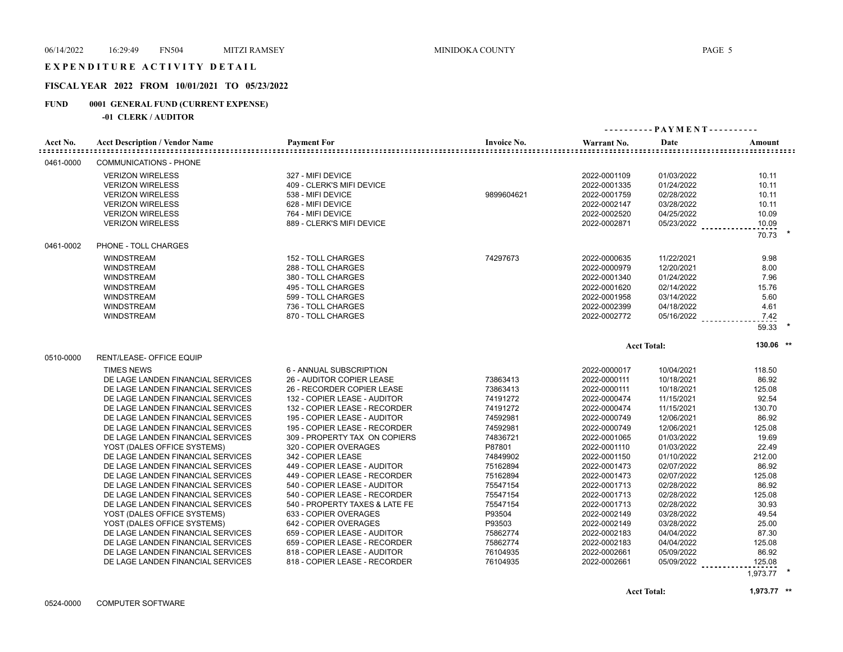## EXPENDITURE ACTIVITY DETAIL

## **FISCAL YEAR 2022 FROM 10/01/2021 TO 05/23/2022**

#### **FUND 0001 GENERAL FUND (CURRENT EXPENSE)**

|           |                                       |                                |                    |              | ---------- PAYMENT---------- |                    |
|-----------|---------------------------------------|--------------------------------|--------------------|--------------|------------------------------|--------------------|
| Acct No.  | <b>Acct Description / Vendor Name</b> | <b>Payment For</b>             | <b>Invoice No.</b> | Warrant No.  | Date                         | Amount             |
| 0461-0000 | <b>COMMUNICATIONS - PHONE</b>         |                                |                    |              |                              |                    |
|           | <b>VERIZON WIRELESS</b>               | 327 - MIFI DEVICE              |                    | 2022-0001109 | 01/03/2022                   | 10.11              |
|           | <b>VERIZON WIRELESS</b>               | 409 - CLERK'S MIFI DEVICE      |                    | 2022-0001335 | 01/24/2022                   | 10.11              |
|           | <b>VERIZON WIRELESS</b>               | 538 - MIFI DEVICE              | 9899604621         | 2022-0001759 | 02/28/2022                   | 10.11              |
|           | <b>VERIZON WIRELESS</b>               | 628 - MIFI DEVICE              |                    | 2022-0002147 | 03/28/2022                   | 10.11              |
|           | <b>VERIZON WIRELESS</b>               | 764 - MIFI DEVICE              |                    | 2022-0002520 | 04/25/2022                   | 10.09              |
|           | <b>VERIZON WIRELESS</b>               | 889 - CLERK'S MIFI DEVICE      |                    | 2022-0002871 | 05/23/2022                   | 10.09              |
|           |                                       |                                |                    |              |                              | 70.73              |
| 0461-0002 | PHONE - TOLL CHARGES                  |                                |                    |              |                              |                    |
|           | <b>WINDSTREAM</b>                     | 152 - TOLL CHARGES             | 74297673           | 2022-0000635 | 11/22/2021                   | 9.98               |
|           | <b>WINDSTREAM</b>                     | 288 - TOLL CHARGES             |                    | 2022-0000979 | 12/20/2021                   | 8.00               |
|           | <b>WINDSTREAM</b>                     | 380 - TOLL CHARGES             |                    | 2022-0001340 | 01/24/2022                   | 7.96               |
|           | <b>WINDSTREAM</b>                     | 495 - TOLL CHARGES             |                    | 2022-0001620 | 02/14/2022                   | 15.76              |
|           | <b>WINDSTREAM</b>                     | 599 - TOLL CHARGES             |                    | 2022-0001958 | 03/14/2022                   | 5.60               |
|           | <b>WINDSTREAM</b>                     | 736 - TOLL CHARGES             |                    | 2022-0002399 | 04/18/2022                   | 4.61               |
|           | <b>WINDSTREAM</b>                     | 870 - TOLL CHARGES             |                    | 2022-0002772 | 05/16/2022                   | 7.42               |
|           |                                       |                                |                    |              |                              | 59.33              |
|           |                                       |                                |                    |              | <b>Acct Total:</b>           | 130.06 **          |
| 0510-0000 | RENT/LEASE- OFFICE EQUIP              |                                |                    |              |                              |                    |
|           | <b>TIMES NEWS</b>                     | 6 - ANNUAL SUBSCRIPTION        |                    | 2022-0000017 | 10/04/2021                   | 118.50             |
|           | DE LAGE LANDEN FINANCIAL SERVICES     | 26 - AUDITOR COPIER LEASE      | 73863413           | 2022-0000111 | 10/18/2021                   | 86.92              |
|           | DE LAGE LANDEN FINANCIAL SERVICES     | 26 - RECORDER COPIER LEASE     | 73863413           | 2022-0000111 | 10/18/2021                   | 125.08             |
|           | DE LAGE LANDEN FINANCIAL SERVICES     | 132 - COPIER LEASE - AUDITOR   | 74191272           | 2022-0000474 | 11/15/2021                   | 92.54              |
|           | DE LAGE LANDEN FINANCIAL SERVICES     | 132 - COPIER LEASE - RECORDER  | 74191272           | 2022-0000474 | 11/15/2021                   | 130.70             |
|           | DE LAGE LANDEN FINANCIAL SERVICES     | 195 - COPIER LEASE - AUDITOR   | 74592981           | 2022-0000749 | 12/06/2021                   | 86.92              |
|           | DE LAGE LANDEN FINANCIAL SERVICES     | 195 - COPIER LEASE - RECORDER  | 74592981           | 2022-0000749 | 12/06/2021                   | 125.08             |
|           | DE LAGE LANDEN FINANCIAL SERVICES     | 309 - PROPERTY TAX ON COPIERS  | 74836721           | 2022-0001065 | 01/03/2022                   | 19.69              |
|           | YOST (DALES OFFICE SYSTEMS)           | 320 - COPIER OVERAGES          | P87801             | 2022-0001110 | 01/03/2022                   | 22.49              |
|           | DE LAGE LANDEN FINANCIAL SERVICES     | 342 - COPIER LEASE             | 74849902           | 2022-0001150 | 01/10/2022                   | 212.00             |
|           | DE LAGE LANDEN FINANCIAL SERVICES     | 449 - COPIER LEASE - AUDITOR   | 75162894           | 2022-0001473 | 02/07/2022                   | 86.92              |
|           | DE LAGE LANDEN FINANCIAL SERVICES     | 449 - COPIER LEASE - RECORDER  | 75162894           | 2022-0001473 | 02/07/2022                   | 125.08             |
|           | DE LAGE LANDEN FINANCIAL SERVICES     | 540 - COPIER LEASE - AUDITOR   | 75547154           | 2022-0001713 | 02/28/2022                   | 86.92              |
|           | DE LAGE LANDEN FINANCIAL SERVICES     | 540 - COPIER LEASE - RECORDER  | 75547154           | 2022-0001713 | 02/28/2022                   | 125.08             |
|           | DE LAGE LANDEN FINANCIAL SERVICES     | 540 - PROPERTY TAXES & LATE FE | 75547154           | 2022-0001713 | 02/28/2022                   | 30.93              |
|           | YOST (DALES OFFICE SYSTEMS)           | 633 - COPIER OVERAGES          | P93504             | 2022-0002149 | 03/28/2022                   | 49.54              |
|           | YOST (DALES OFFICE SYSTEMS)           | 642 - COPIER OVERAGES          | P93503             | 2022-0002149 | 03/28/2022                   | 25.00              |
|           | DE LAGE LANDEN FINANCIAL SERVICES     | 659 - COPIER LEASE - AUDITOR   | 75862774           | 2022-0002183 | 04/04/2022                   | 87.30              |
|           | DE LAGE LANDEN FINANCIAL SERVICES     | 659 - COPIER LEASE - RECORDER  | 75862774           | 2022-0002183 | 04/04/2022                   | 125.08             |
|           | DE LAGE LANDEN FINANCIAL SERVICES     | 818 - COPIER LEASE - AUDITOR   | 76104935           | 2022-0002661 | 05/09/2022                   | 86.92              |
|           | DE LAGE LANDEN FINANCIAL SERVICES     | 818 - COPIER LEASE - RECORDER  | 76104935           | 2022-0002661 | 05/09/2022                   | 125.08<br>1,973.77 |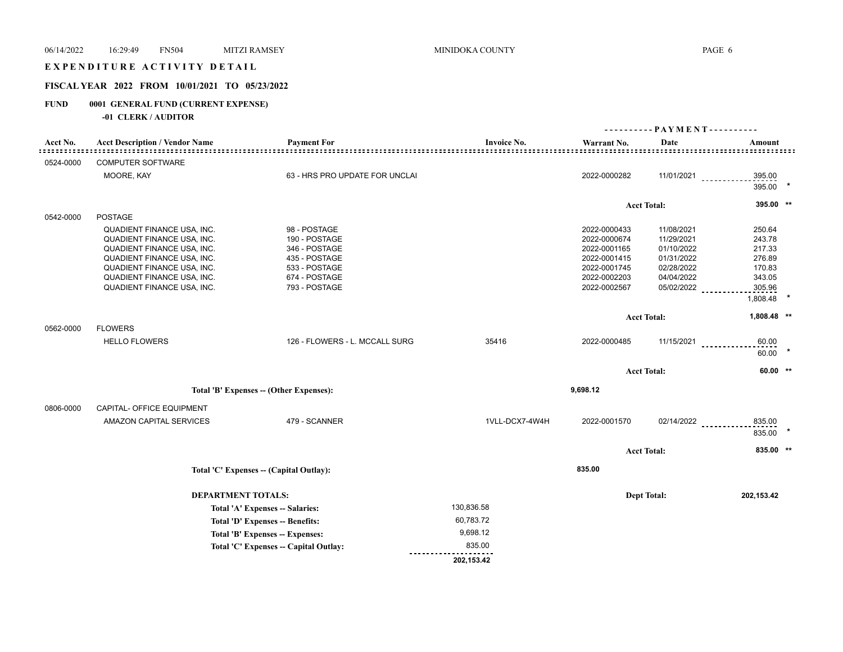### EXPENDITURE ACTIVITY DETAIL

## **FISCAL YEAR 2022 FROM 10/01/2021 TO 05/23/2022**

## **FUND 0001 GENERAL FUND (CURRENT EXPENSE)**

|           |                                       |                                                                    |                                                           |              |                    | ---------- PAYMENT----------       |  |
|-----------|---------------------------------------|--------------------------------------------------------------------|-----------------------------------------------------------|--------------|--------------------|------------------------------------|--|
| Acct No.  | <b>Acct Description / Vendor Name</b> | <b>Payment For</b><br>==========================                   | <b>Invoice No.</b><br>. = = = = = = = = = = = = = = = = = | Warrant No.  | Date               | Amount                             |  |
| 0524-0000 | <b>COMPUTER SOFTWARE</b>              |                                                                    |                                                           |              |                    |                                    |  |
|           | MOORE, KAY                            | 63 - HRS PRO UPDATE FOR UNCLAI                                     |                                                           | 2022-0000282 |                    | 11/01/2021<br>395.00               |  |
|           |                                       |                                                                    |                                                           |              |                    | 395.00 *                           |  |
|           |                                       |                                                                    |                                                           |              | <b>Acct Total:</b> | 395.00 **                          |  |
| 0542-0000 | <b>POSTAGE</b>                        |                                                                    |                                                           |              |                    |                                    |  |
|           | QUADIENT FINANCE USA, INC.            | 98 - POSTAGE                                                       |                                                           | 2022-0000433 | 11/08/2021         | 250.64                             |  |
|           | QUADIENT FINANCE USA, INC.            | 190 - POSTAGE                                                      |                                                           | 2022-0000674 | 11/29/2021         | 243.78                             |  |
|           | QUADIENT FINANCE USA, INC.            | 346 - POSTAGE                                                      |                                                           | 2022-0001165 | 01/10/2022         | 217.33                             |  |
|           | QUADIENT FINANCE USA, INC.            | 435 - POSTAGE                                                      |                                                           | 2022-0001415 | 01/31/2022         | 276.89                             |  |
|           | QUADIENT FINANCE USA, INC.            | 533 - POSTAGE                                                      |                                                           | 2022-0001745 | 02/28/2022         | 170.83                             |  |
|           | QUADIENT FINANCE USA, INC.            | 674 - POSTAGE                                                      |                                                           | 2022-0002203 | 04/04/2022         | 343.05                             |  |
|           | QUADIENT FINANCE USA, INC.            | 793 - POSTAGE                                                      |                                                           | 2022-0002567 | 05/02/2022         | 305.96                             |  |
|           |                                       |                                                                    |                                                           |              |                    | 1,808.48                           |  |
|           |                                       |                                                                    |                                                           |              | <b>Acct Total:</b> | 1,808.48 **                        |  |
| 0562-0000 | <b>FLOWERS</b>                        |                                                                    |                                                           |              |                    |                                    |  |
|           | <b>HELLO FLOWERS</b>                  | 126 - FLOWERS - L. MCCALL SURG                                     | 35416                                                     | 2022-0000485 |                    | $11/15/2021$<br>60.00              |  |
|           |                                       |                                                                    |                                                           |              |                    | $60.00$ *                          |  |
|           |                                       |                                                                    |                                                           |              | <b>Acct Total:</b> | 60.00 **                           |  |
|           |                                       | Total 'B' Expenses -- (Other Expenses):                            |                                                           | 9,698.12     |                    |                                    |  |
| 0806-0000 | CAPITAL- OFFICE EQUIPMENT             |                                                                    |                                                           |              |                    |                                    |  |
|           | AMAZON CAPITAL SERVICES               | 479 - SCANNER                                                      | 1VLL-DCX7-4W4H                                            | 2022-0001570 |                    |                                    |  |
|           |                                       |                                                                    |                                                           |              |                    | $02/14/2022$<br>835.00<br>835.00 * |  |
|           |                                       |                                                                    |                                                           |              |                    |                                    |  |
|           |                                       |                                                                    |                                                           |              | <b>Acct Total:</b> | 835.00 **                          |  |
|           |                                       | Total 'C' Expenses -- (Capital Outlay):                            |                                                           | 835.00       |                    |                                    |  |
|           | <b>DEPARTMENT TOTALS:</b>             |                                                                    |                                                           |              |                    |                                    |  |
|           |                                       |                                                                    | 130,836.58                                                |              | <b>Dept Total:</b> | 202,153.42                         |  |
|           |                                       | Total 'A' Expenses -- Salaries:<br>Total 'D' Expenses -- Benefits: | 60,783.72                                                 |              |                    |                                    |  |
|           |                                       | Total 'B' Expenses -- Expenses:                                    | 9,698.12                                                  |              |                    |                                    |  |
|           |                                       | Total 'C' Expenses -- Capital Outlay:                              | 835.00                                                    |              |                    |                                    |  |
|           |                                       |                                                                    | 202,153.42                                                |              |                    |                                    |  |
|           |                                       |                                                                    |                                                           |              |                    |                                    |  |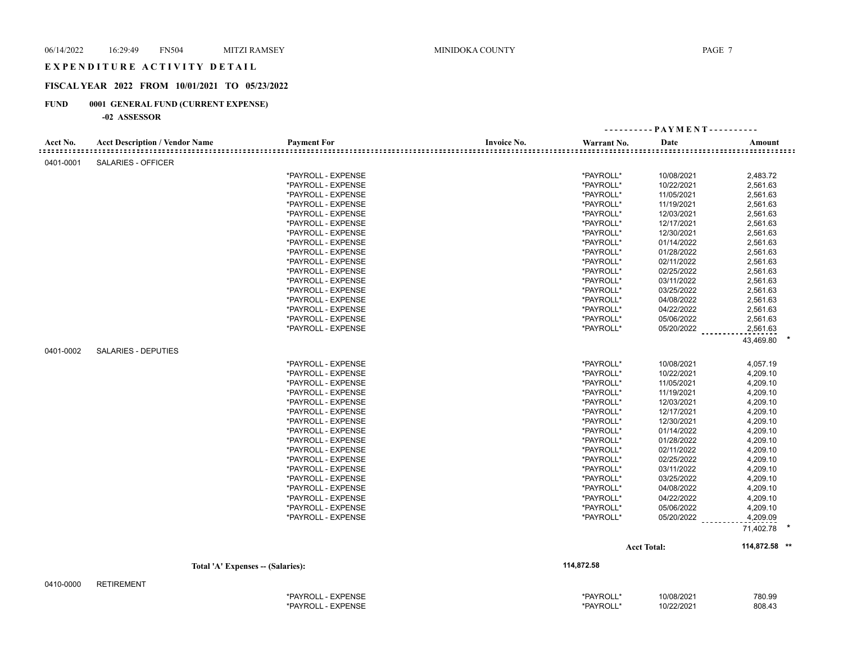#### EXPENDITURE ACTIVITY DETAIL

## **FISCAL YEAR 2022 FROM 10/01/2021 TO 05/23/2022**

## **FUND 0001 GENERAL FUND (CURRENT EXPENSE)**

| Acct No.<br><b>Acct Description / Vendor Name</b><br><b>Payment For</b><br><b>Invoice No.</b><br>Warrant No.<br>Date<br>Amount<br>SALARIES - OFFICER<br>0401-0001<br>*PAYROLL - EXPENSE<br>*PAYROLL*<br>10/08/2021<br>2,483.72<br>*PAYROLL - EXPENSE<br>*PAYROLL*<br>10/22/2021<br>2,561.63<br>*PAYROLL - EXPENSE<br>*PAYROLL*<br>11/05/2021<br>2,561.63<br>*PAYROLL - EXPENSE<br>*PAYROLL*<br>11/19/2021<br>2,561.63<br>*PAYROLL*<br>*PAYROLL - EXPENSE<br>12/03/2021<br>2,561.63<br>*PAYROLL*<br>12/17/2021<br>2,561.63<br>*PAYROLL - EXPENSE<br>*PAYROLL - EXPENSE<br>*PAYROLL*<br>12/30/2021<br>2,561.63<br>2,561.63<br>*PAYROLL - EXPENSE<br>*PAYROLL*<br>01/14/2022<br>2,561.63<br>*PAYROLL - EXPENSE<br>*PAYROLL*<br>01/28/2022<br>*PAYROLL*<br>02/11/2022<br>2,561.63<br>*PAYROLL - EXPENSE<br>2,561.63<br>*PAYROLL - EXPENSE<br>*PAYROLL*<br>02/25/2022<br>*PAYROLL*<br>2,561.63<br>*PAYROLL - EXPENSE<br>03/11/2022<br>*PAYROLL*<br>03/25/2022<br>2,561.63<br>*PAYROLL - EXPENSE<br>*PAYROLL*<br>2,561.63<br>*PAYROLL - EXPENSE<br>04/08/2022<br>*PAYROLL - EXPENSE<br>*PAYROLL*<br>04/22/2022<br>2,561.63<br>*PAYROLL*<br>05/06/2022<br>2,561.63<br>*PAYROLL - EXPENSE<br>05/20/2022<br>2,561.63<br>*PAYROLL - EXPENSE<br>*PAYROLL*<br>43,469.80<br>0401-0002<br>SALARIES - DEPUTIES<br>*PAYROLL*<br>10/08/2021<br>4,057.19<br>*PAYROLL - EXPENSE<br>*PAYROLL - EXPENSE<br>*PAYROLL*<br>10/22/2021<br>4,209.10<br>*PAYROLL*<br>4,209.10<br>*PAYROLL - EXPENSE<br>11/05/2021<br>*PAYROLL*<br>11/19/2021<br>4,209.10<br>*PAYROLL - EXPENSE<br>*PAYROLL*<br>4,209.10<br>*PAYROLL - EXPENSE<br>12/03/2021<br>*PAYROLL*<br>4,209.10<br>*PAYROLL - EXPENSE<br>12/17/2021<br>*PAYROLL - EXPENSE<br>*PAYROLL*<br>12/30/2021<br>4,209.10<br>*PAYROLL*<br>01/14/2022<br>4,209.10<br>*PAYROLL - EXPENSE<br>4,209.10<br>*PAYROLL - EXPENSE<br>*PAYROLL*<br>01/28/2022<br>*PAYROLL*<br>02/11/2022<br>4,209.10<br>*PAYROLL - EXPENSE<br>*PAYROLL*<br>02/25/2022<br>4,209.10<br>*PAYROLL - EXPENSE<br>*PAYROLL - EXPENSE<br>*PAYROLL*<br>03/11/2022<br>4,209.10<br>4,209.10<br>*PAYROLL - EXPENSE<br>*PAYROLL*<br>03/25/2022<br>*PAYROLL*<br>04/08/2022<br>4,209.10<br>*PAYROLL - EXPENSE<br>*PAYROLL - EXPENSE<br>*PAYROLL*<br>04/22/2022<br>4,209.10<br>05/06/2022<br>4,209.10<br>*PAYROLL - EXPENSE<br>*PAYROLL*<br>*PAYROLL*<br>05/20/2022<br>4,209.09<br>*PAYROLL - EXPENSE<br>71,402.78<br>114,872.58 **<br><b>Acct Total:</b><br>114,872.58<br>Total 'A' Expenses - (Salaries):<br>0410-0000<br><b>RETIREMENT</b> |  |  | ---------- PAYMENT---------- |  |
|----------------------------------------------------------------------------------------------------------------------------------------------------------------------------------------------------------------------------------------------------------------------------------------------------------------------------------------------------------------------------------------------------------------------------------------------------------------------------------------------------------------------------------------------------------------------------------------------------------------------------------------------------------------------------------------------------------------------------------------------------------------------------------------------------------------------------------------------------------------------------------------------------------------------------------------------------------------------------------------------------------------------------------------------------------------------------------------------------------------------------------------------------------------------------------------------------------------------------------------------------------------------------------------------------------------------------------------------------------------------------------------------------------------------------------------------------------------------------------------------------------------------------------------------------------------------------------------------------------------------------------------------------------------------------------------------------------------------------------------------------------------------------------------------------------------------------------------------------------------------------------------------------------------------------------------------------------------------------------------------------------------------------------------------------------------------------------------------------------------------------------------------------------------------------------------------------------------------------------------------------------------------------------------------------------------------------------------------------------------------------------------------------------------------------------------------------------------------------------------------------------------------|--|--|------------------------------|--|
|                                                                                                                                                                                                                                                                                                                                                                                                                                                                                                                                                                                                                                                                                                                                                                                                                                                                                                                                                                                                                                                                                                                                                                                                                                                                                                                                                                                                                                                                                                                                                                                                                                                                                                                                                                                                                                                                                                                                                                                                                                                                                                                                                                                                                                                                                                                                                                                                                                                                                                                      |  |  |                              |  |
|                                                                                                                                                                                                                                                                                                                                                                                                                                                                                                                                                                                                                                                                                                                                                                                                                                                                                                                                                                                                                                                                                                                                                                                                                                                                                                                                                                                                                                                                                                                                                                                                                                                                                                                                                                                                                                                                                                                                                                                                                                                                                                                                                                                                                                                                                                                                                                                                                                                                                                                      |  |  |                              |  |
|                                                                                                                                                                                                                                                                                                                                                                                                                                                                                                                                                                                                                                                                                                                                                                                                                                                                                                                                                                                                                                                                                                                                                                                                                                                                                                                                                                                                                                                                                                                                                                                                                                                                                                                                                                                                                                                                                                                                                                                                                                                                                                                                                                                                                                                                                                                                                                                                                                                                                                                      |  |  |                              |  |
|                                                                                                                                                                                                                                                                                                                                                                                                                                                                                                                                                                                                                                                                                                                                                                                                                                                                                                                                                                                                                                                                                                                                                                                                                                                                                                                                                                                                                                                                                                                                                                                                                                                                                                                                                                                                                                                                                                                                                                                                                                                                                                                                                                                                                                                                                                                                                                                                                                                                                                                      |  |  |                              |  |
|                                                                                                                                                                                                                                                                                                                                                                                                                                                                                                                                                                                                                                                                                                                                                                                                                                                                                                                                                                                                                                                                                                                                                                                                                                                                                                                                                                                                                                                                                                                                                                                                                                                                                                                                                                                                                                                                                                                                                                                                                                                                                                                                                                                                                                                                                                                                                                                                                                                                                                                      |  |  |                              |  |
|                                                                                                                                                                                                                                                                                                                                                                                                                                                                                                                                                                                                                                                                                                                                                                                                                                                                                                                                                                                                                                                                                                                                                                                                                                                                                                                                                                                                                                                                                                                                                                                                                                                                                                                                                                                                                                                                                                                                                                                                                                                                                                                                                                                                                                                                                                                                                                                                                                                                                                                      |  |  |                              |  |
|                                                                                                                                                                                                                                                                                                                                                                                                                                                                                                                                                                                                                                                                                                                                                                                                                                                                                                                                                                                                                                                                                                                                                                                                                                                                                                                                                                                                                                                                                                                                                                                                                                                                                                                                                                                                                                                                                                                                                                                                                                                                                                                                                                                                                                                                                                                                                                                                                                                                                                                      |  |  |                              |  |
|                                                                                                                                                                                                                                                                                                                                                                                                                                                                                                                                                                                                                                                                                                                                                                                                                                                                                                                                                                                                                                                                                                                                                                                                                                                                                                                                                                                                                                                                                                                                                                                                                                                                                                                                                                                                                                                                                                                                                                                                                                                                                                                                                                                                                                                                                                                                                                                                                                                                                                                      |  |  |                              |  |
|                                                                                                                                                                                                                                                                                                                                                                                                                                                                                                                                                                                                                                                                                                                                                                                                                                                                                                                                                                                                                                                                                                                                                                                                                                                                                                                                                                                                                                                                                                                                                                                                                                                                                                                                                                                                                                                                                                                                                                                                                                                                                                                                                                                                                                                                                                                                                                                                                                                                                                                      |  |  |                              |  |
|                                                                                                                                                                                                                                                                                                                                                                                                                                                                                                                                                                                                                                                                                                                                                                                                                                                                                                                                                                                                                                                                                                                                                                                                                                                                                                                                                                                                                                                                                                                                                                                                                                                                                                                                                                                                                                                                                                                                                                                                                                                                                                                                                                                                                                                                                                                                                                                                                                                                                                                      |  |  |                              |  |
|                                                                                                                                                                                                                                                                                                                                                                                                                                                                                                                                                                                                                                                                                                                                                                                                                                                                                                                                                                                                                                                                                                                                                                                                                                                                                                                                                                                                                                                                                                                                                                                                                                                                                                                                                                                                                                                                                                                                                                                                                                                                                                                                                                                                                                                                                                                                                                                                                                                                                                                      |  |  |                              |  |
|                                                                                                                                                                                                                                                                                                                                                                                                                                                                                                                                                                                                                                                                                                                                                                                                                                                                                                                                                                                                                                                                                                                                                                                                                                                                                                                                                                                                                                                                                                                                                                                                                                                                                                                                                                                                                                                                                                                                                                                                                                                                                                                                                                                                                                                                                                                                                                                                                                                                                                                      |  |  |                              |  |
|                                                                                                                                                                                                                                                                                                                                                                                                                                                                                                                                                                                                                                                                                                                                                                                                                                                                                                                                                                                                                                                                                                                                                                                                                                                                                                                                                                                                                                                                                                                                                                                                                                                                                                                                                                                                                                                                                                                                                                                                                                                                                                                                                                                                                                                                                                                                                                                                                                                                                                                      |  |  |                              |  |
|                                                                                                                                                                                                                                                                                                                                                                                                                                                                                                                                                                                                                                                                                                                                                                                                                                                                                                                                                                                                                                                                                                                                                                                                                                                                                                                                                                                                                                                                                                                                                                                                                                                                                                                                                                                                                                                                                                                                                                                                                                                                                                                                                                                                                                                                                                                                                                                                                                                                                                                      |  |  |                              |  |
|                                                                                                                                                                                                                                                                                                                                                                                                                                                                                                                                                                                                                                                                                                                                                                                                                                                                                                                                                                                                                                                                                                                                                                                                                                                                                                                                                                                                                                                                                                                                                                                                                                                                                                                                                                                                                                                                                                                                                                                                                                                                                                                                                                                                                                                                                                                                                                                                                                                                                                                      |  |  |                              |  |
|                                                                                                                                                                                                                                                                                                                                                                                                                                                                                                                                                                                                                                                                                                                                                                                                                                                                                                                                                                                                                                                                                                                                                                                                                                                                                                                                                                                                                                                                                                                                                                                                                                                                                                                                                                                                                                                                                                                                                                                                                                                                                                                                                                                                                                                                                                                                                                                                                                                                                                                      |  |  |                              |  |
|                                                                                                                                                                                                                                                                                                                                                                                                                                                                                                                                                                                                                                                                                                                                                                                                                                                                                                                                                                                                                                                                                                                                                                                                                                                                                                                                                                                                                                                                                                                                                                                                                                                                                                                                                                                                                                                                                                                                                                                                                                                                                                                                                                                                                                                                                                                                                                                                                                                                                                                      |  |  |                              |  |
|                                                                                                                                                                                                                                                                                                                                                                                                                                                                                                                                                                                                                                                                                                                                                                                                                                                                                                                                                                                                                                                                                                                                                                                                                                                                                                                                                                                                                                                                                                                                                                                                                                                                                                                                                                                                                                                                                                                                                                                                                                                                                                                                                                                                                                                                                                                                                                                                                                                                                                                      |  |  |                              |  |
|                                                                                                                                                                                                                                                                                                                                                                                                                                                                                                                                                                                                                                                                                                                                                                                                                                                                                                                                                                                                                                                                                                                                                                                                                                                                                                                                                                                                                                                                                                                                                                                                                                                                                                                                                                                                                                                                                                                                                                                                                                                                                                                                                                                                                                                                                                                                                                                                                                                                                                                      |  |  |                              |  |
|                                                                                                                                                                                                                                                                                                                                                                                                                                                                                                                                                                                                                                                                                                                                                                                                                                                                                                                                                                                                                                                                                                                                                                                                                                                                                                                                                                                                                                                                                                                                                                                                                                                                                                                                                                                                                                                                                                                                                                                                                                                                                                                                                                                                                                                                                                                                                                                                                                                                                                                      |  |  |                              |  |
|                                                                                                                                                                                                                                                                                                                                                                                                                                                                                                                                                                                                                                                                                                                                                                                                                                                                                                                                                                                                                                                                                                                                                                                                                                                                                                                                                                                                                                                                                                                                                                                                                                                                                                                                                                                                                                                                                                                                                                                                                                                                                                                                                                                                                                                                                                                                                                                                                                                                                                                      |  |  |                              |  |
|                                                                                                                                                                                                                                                                                                                                                                                                                                                                                                                                                                                                                                                                                                                                                                                                                                                                                                                                                                                                                                                                                                                                                                                                                                                                                                                                                                                                                                                                                                                                                                                                                                                                                                                                                                                                                                                                                                                                                                                                                                                                                                                                                                                                                                                                                                                                                                                                                                                                                                                      |  |  |                              |  |
|                                                                                                                                                                                                                                                                                                                                                                                                                                                                                                                                                                                                                                                                                                                                                                                                                                                                                                                                                                                                                                                                                                                                                                                                                                                                                                                                                                                                                                                                                                                                                                                                                                                                                                                                                                                                                                                                                                                                                                                                                                                                                                                                                                                                                                                                                                                                                                                                                                                                                                                      |  |  |                              |  |
|                                                                                                                                                                                                                                                                                                                                                                                                                                                                                                                                                                                                                                                                                                                                                                                                                                                                                                                                                                                                                                                                                                                                                                                                                                                                                                                                                                                                                                                                                                                                                                                                                                                                                                                                                                                                                                                                                                                                                                                                                                                                                                                                                                                                                                                                                                                                                                                                                                                                                                                      |  |  |                              |  |
|                                                                                                                                                                                                                                                                                                                                                                                                                                                                                                                                                                                                                                                                                                                                                                                                                                                                                                                                                                                                                                                                                                                                                                                                                                                                                                                                                                                                                                                                                                                                                                                                                                                                                                                                                                                                                                                                                                                                                                                                                                                                                                                                                                                                                                                                                                                                                                                                                                                                                                                      |  |  |                              |  |
|                                                                                                                                                                                                                                                                                                                                                                                                                                                                                                                                                                                                                                                                                                                                                                                                                                                                                                                                                                                                                                                                                                                                                                                                                                                                                                                                                                                                                                                                                                                                                                                                                                                                                                                                                                                                                                                                                                                                                                                                                                                                                                                                                                                                                                                                                                                                                                                                                                                                                                                      |  |  |                              |  |
|                                                                                                                                                                                                                                                                                                                                                                                                                                                                                                                                                                                                                                                                                                                                                                                                                                                                                                                                                                                                                                                                                                                                                                                                                                                                                                                                                                                                                                                                                                                                                                                                                                                                                                                                                                                                                                                                                                                                                                                                                                                                                                                                                                                                                                                                                                                                                                                                                                                                                                                      |  |  |                              |  |
|                                                                                                                                                                                                                                                                                                                                                                                                                                                                                                                                                                                                                                                                                                                                                                                                                                                                                                                                                                                                                                                                                                                                                                                                                                                                                                                                                                                                                                                                                                                                                                                                                                                                                                                                                                                                                                                                                                                                                                                                                                                                                                                                                                                                                                                                                                                                                                                                                                                                                                                      |  |  |                              |  |
|                                                                                                                                                                                                                                                                                                                                                                                                                                                                                                                                                                                                                                                                                                                                                                                                                                                                                                                                                                                                                                                                                                                                                                                                                                                                                                                                                                                                                                                                                                                                                                                                                                                                                                                                                                                                                                                                                                                                                                                                                                                                                                                                                                                                                                                                                                                                                                                                                                                                                                                      |  |  |                              |  |
|                                                                                                                                                                                                                                                                                                                                                                                                                                                                                                                                                                                                                                                                                                                                                                                                                                                                                                                                                                                                                                                                                                                                                                                                                                                                                                                                                                                                                                                                                                                                                                                                                                                                                                                                                                                                                                                                                                                                                                                                                                                                                                                                                                                                                                                                                                                                                                                                                                                                                                                      |  |  |                              |  |
|                                                                                                                                                                                                                                                                                                                                                                                                                                                                                                                                                                                                                                                                                                                                                                                                                                                                                                                                                                                                                                                                                                                                                                                                                                                                                                                                                                                                                                                                                                                                                                                                                                                                                                                                                                                                                                                                                                                                                                                                                                                                                                                                                                                                                                                                                                                                                                                                                                                                                                                      |  |  |                              |  |
|                                                                                                                                                                                                                                                                                                                                                                                                                                                                                                                                                                                                                                                                                                                                                                                                                                                                                                                                                                                                                                                                                                                                                                                                                                                                                                                                                                                                                                                                                                                                                                                                                                                                                                                                                                                                                                                                                                                                                                                                                                                                                                                                                                                                                                                                                                                                                                                                                                                                                                                      |  |  |                              |  |
|                                                                                                                                                                                                                                                                                                                                                                                                                                                                                                                                                                                                                                                                                                                                                                                                                                                                                                                                                                                                                                                                                                                                                                                                                                                                                                                                                                                                                                                                                                                                                                                                                                                                                                                                                                                                                                                                                                                                                                                                                                                                                                                                                                                                                                                                                                                                                                                                                                                                                                                      |  |  |                              |  |
|                                                                                                                                                                                                                                                                                                                                                                                                                                                                                                                                                                                                                                                                                                                                                                                                                                                                                                                                                                                                                                                                                                                                                                                                                                                                                                                                                                                                                                                                                                                                                                                                                                                                                                                                                                                                                                                                                                                                                                                                                                                                                                                                                                                                                                                                                                                                                                                                                                                                                                                      |  |  |                              |  |
|                                                                                                                                                                                                                                                                                                                                                                                                                                                                                                                                                                                                                                                                                                                                                                                                                                                                                                                                                                                                                                                                                                                                                                                                                                                                                                                                                                                                                                                                                                                                                                                                                                                                                                                                                                                                                                                                                                                                                                                                                                                                                                                                                                                                                                                                                                                                                                                                                                                                                                                      |  |  |                              |  |
|                                                                                                                                                                                                                                                                                                                                                                                                                                                                                                                                                                                                                                                                                                                                                                                                                                                                                                                                                                                                                                                                                                                                                                                                                                                                                                                                                                                                                                                                                                                                                                                                                                                                                                                                                                                                                                                                                                                                                                                                                                                                                                                                                                                                                                                                                                                                                                                                                                                                                                                      |  |  |                              |  |
|                                                                                                                                                                                                                                                                                                                                                                                                                                                                                                                                                                                                                                                                                                                                                                                                                                                                                                                                                                                                                                                                                                                                                                                                                                                                                                                                                                                                                                                                                                                                                                                                                                                                                                                                                                                                                                                                                                                                                                                                                                                                                                                                                                                                                                                                                                                                                                                                                                                                                                                      |  |  |                              |  |
|                                                                                                                                                                                                                                                                                                                                                                                                                                                                                                                                                                                                                                                                                                                                                                                                                                                                                                                                                                                                                                                                                                                                                                                                                                                                                                                                                                                                                                                                                                                                                                                                                                                                                                                                                                                                                                                                                                                                                                                                                                                                                                                                                                                                                                                                                                                                                                                                                                                                                                                      |  |  |                              |  |
|                                                                                                                                                                                                                                                                                                                                                                                                                                                                                                                                                                                                                                                                                                                                                                                                                                                                                                                                                                                                                                                                                                                                                                                                                                                                                                                                                                                                                                                                                                                                                                                                                                                                                                                                                                                                                                                                                                                                                                                                                                                                                                                                                                                                                                                                                                                                                                                                                                                                                                                      |  |  |                              |  |
|                                                                                                                                                                                                                                                                                                                                                                                                                                                                                                                                                                                                                                                                                                                                                                                                                                                                                                                                                                                                                                                                                                                                                                                                                                                                                                                                                                                                                                                                                                                                                                                                                                                                                                                                                                                                                                                                                                                                                                                                                                                                                                                                                                                                                                                                                                                                                                                                                                                                                                                      |  |  |                              |  |
|                                                                                                                                                                                                                                                                                                                                                                                                                                                                                                                                                                                                                                                                                                                                                                                                                                                                                                                                                                                                                                                                                                                                                                                                                                                                                                                                                                                                                                                                                                                                                                                                                                                                                                                                                                                                                                                                                                                                                                                                                                                                                                                                                                                                                                                                                                                                                                                                                                                                                                                      |  |  |                              |  |
|                                                                                                                                                                                                                                                                                                                                                                                                                                                                                                                                                                                                                                                                                                                                                                                                                                                                                                                                                                                                                                                                                                                                                                                                                                                                                                                                                                                                                                                                                                                                                                                                                                                                                                                                                                                                                                                                                                                                                                                                                                                                                                                                                                                                                                                                                                                                                                                                                                                                                                                      |  |  |                              |  |
|                                                                                                                                                                                                                                                                                                                                                                                                                                                                                                                                                                                                                                                                                                                                                                                                                                                                                                                                                                                                                                                                                                                                                                                                                                                                                                                                                                                                                                                                                                                                                                                                                                                                                                                                                                                                                                                                                                                                                                                                                                                                                                                                                                                                                                                                                                                                                                                                                                                                                                                      |  |  |                              |  |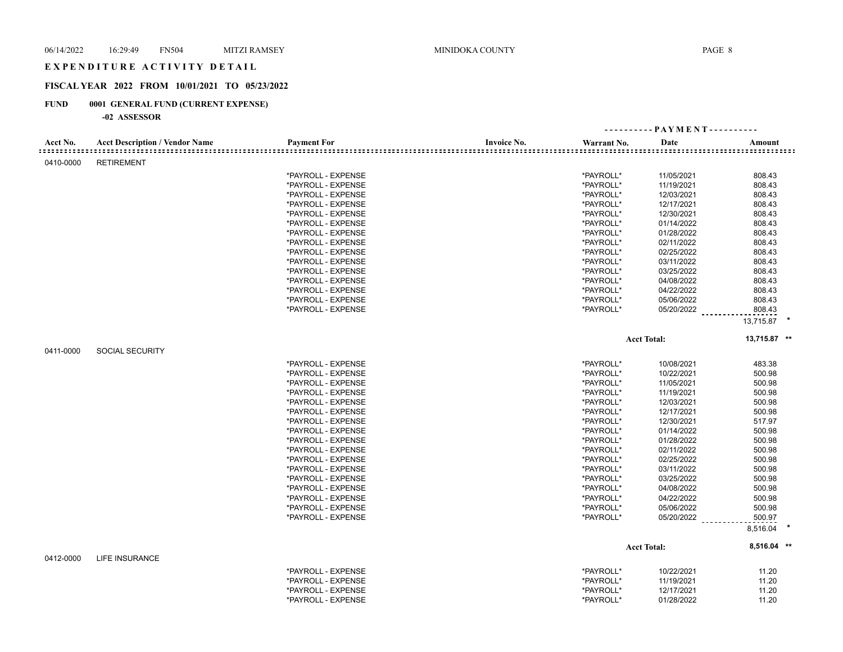## E X P E N D I T U R E A C T I V I T Y D E T A I L

## **FISCAL YEAR 2022 FROM 10/01/2021 TO 05/23/2022**

## **FUND 0001 GENERAL FUND (CURRENT EXPENSE)**

|           |                                       |                    |                    |             | ---------- PAYMENT---------- |              |
|-----------|---------------------------------------|--------------------|--------------------|-------------|------------------------------|--------------|
| Acct No.  | <b>Acct Description / Vendor Name</b> | <b>Payment For</b> | <b>Invoice No.</b> | Warrant No. | Date                         | Amount       |
| 0410-0000 | <b>RETIREMENT</b>                     |                    |                    |             |                              |              |
|           |                                       | *PAYROLL - EXPENSE |                    | *PAYROLL*   | 11/05/2021                   | 808.43       |
|           |                                       | *PAYROLL - EXPENSE |                    | *PAYROLL*   | 11/19/2021                   | 808.43       |
|           |                                       | *PAYROLL - EXPENSE |                    | *PAYROLL*   | 12/03/2021                   | 808.43       |
|           |                                       | *PAYROLL - EXPENSE |                    | *PAYROLL*   | 12/17/2021                   | 808.43       |
|           |                                       | *PAYROLL - EXPENSE |                    | *PAYROLL*   | 12/30/2021                   | 808.43       |
|           |                                       | *PAYROLL - EXPENSE |                    | *PAYROLL*   | 01/14/2022                   | 808.43       |
|           |                                       | *PAYROLL - EXPENSE |                    | *PAYROLL*   | 01/28/2022                   | 808.43       |
|           |                                       | *PAYROLL - EXPENSE |                    | *PAYROLL*   | 02/11/2022                   | 808.43       |
|           |                                       | *PAYROLL - EXPENSE |                    | *PAYROLL*   | 02/25/2022                   | 808.43       |
|           |                                       | *PAYROLL - EXPENSE |                    | *PAYROLL*   | 03/11/2022                   | 808.43       |
|           |                                       | *PAYROLL - EXPENSE |                    | *PAYROLL*   | 03/25/2022                   | 808.43       |
|           |                                       | *PAYROLL - EXPENSE |                    | *PAYROLL*   | 04/08/2022                   | 808.43       |
|           |                                       | *PAYROLL - EXPENSE |                    | *PAYROLL*   | 04/22/2022                   | 808.43       |
|           |                                       | *PAYROLL - EXPENSE |                    | *PAYROLL*   | 05/06/2022                   | 808.43       |
|           |                                       | *PAYROLL - EXPENSE |                    | *PAYROLL*   | 05/20/2022                   | 808.43       |
|           |                                       |                    |                    |             |                              | 13,715.87 *  |
|           |                                       |                    |                    |             | <b>Acct Total:</b>           | 13,715.87 ** |
| 0411-0000 | <b>SOCIAL SECURITY</b>                |                    |                    |             |                              |              |
|           |                                       | *PAYROLL - EXPENSE |                    | *PAYROLL*   | 10/08/2021                   | 483.38       |
|           |                                       | *PAYROLL - EXPENSE |                    | *PAYROLL*   | 10/22/2021                   | 500.98       |
|           |                                       | *PAYROLL - EXPENSE |                    | *PAYROLL*   | 11/05/2021                   | 500.98       |
|           |                                       | *PAYROLL - EXPENSE |                    | *PAYROLL*   | 11/19/2021                   | 500.98       |
|           |                                       | *PAYROLL - EXPENSE |                    | *PAYROLL*   | 12/03/2021                   | 500.98       |
|           |                                       | *PAYROLL - EXPENSE |                    | *PAYROLL*   | 12/17/2021                   | 500.98       |
|           |                                       | *PAYROLL - EXPENSE |                    | *PAYROLL*   | 12/30/2021                   | 517.97       |
|           |                                       | *PAYROLL - EXPENSE |                    | *PAYROLL*   | 01/14/2022                   | 500.98       |
|           |                                       | *PAYROLL - EXPENSE |                    | *PAYROLL*   | 01/28/2022                   | 500.98       |
|           |                                       | *PAYROLL - EXPENSE |                    | *PAYROLL*   | 02/11/2022                   | 500.98       |
|           |                                       | *PAYROLL - EXPENSE |                    | *PAYROLL*   | 02/25/2022                   | 500.98       |
|           |                                       | *PAYROLL - EXPENSE |                    | *PAYROLL*   | 03/11/2022                   | 500.98       |
|           |                                       | *PAYROLL - EXPENSE |                    | *PAYROLL*   | 03/25/2022                   | 500.98       |
|           |                                       | *PAYROLL - EXPENSE |                    | *PAYROLL*   | 04/08/2022                   | 500.98       |
|           |                                       | *PAYROLL - EXPENSE |                    | *PAYROLL*   | 04/22/2022                   | 500.98       |
|           |                                       | *PAYROLL - EXPENSE |                    | *PAYROLL*   | 05/06/2022                   | 500.98       |
|           |                                       | *PAYROLL - EXPENSE |                    | *PAYROLL*   | 05/20/2022                   | 500.97       |
|           |                                       |                    |                    |             |                              | 8,516.04     |
|           |                                       |                    |                    |             | <b>Acct Total:</b>           | 8,516.04 **  |
| 0412-0000 | LIFE INSURANCE                        |                    |                    |             |                              |              |
|           |                                       | *PAYROLL - EXPENSE |                    | *PAYROLL*   | 10/22/2021                   | 11.20        |
|           |                                       | *PAYROLL - EXPENSE |                    | *PAYROLL*   | 11/19/2021                   | 11.20        |
|           |                                       | *PAYROLL - EXPENSE |                    | *PAYROLL*   | 12/17/2021                   | 11.20        |
|           |                                       | *PAYROLL - EXPENSE |                    | *PAYROLL*   | 01/28/2022                   | 11.20        |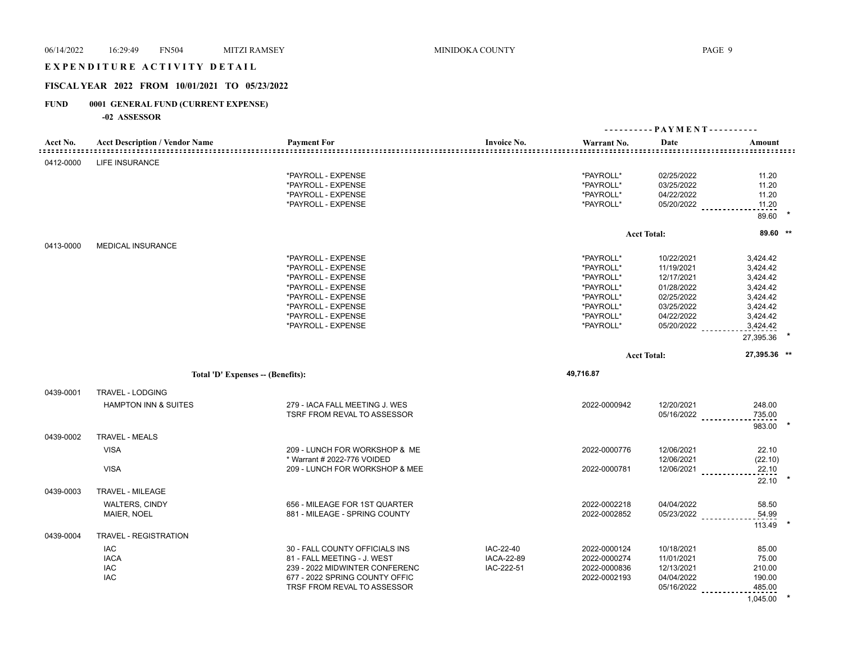## E X P E N D I T U R E A C T I V I T Y D E T A I L

## **FISCAL YEAR 2022 FROM 10/01/2021 TO 05/23/2022**

## **FUND 0001 GENERAL FUND (CURRENT EXPENSE)**

|           |                                                          |                                                                                                                                                                              |                                              |                                                                                                      | ---------- PAYMENT----------                                                                                           |                                                                                                           |
|-----------|----------------------------------------------------------|------------------------------------------------------------------------------------------------------------------------------------------------------------------------------|----------------------------------------------|------------------------------------------------------------------------------------------------------|------------------------------------------------------------------------------------------------------------------------|-----------------------------------------------------------------------------------------------------------|
| Acct No.  | <b>Acct Description / Vendor Name</b>                    | <b>Payment For</b><br>.                                                                                                                                                      | <b>Invoice No.</b>                           | Warrant No.                                                                                          | Date                                                                                                                   | Amount                                                                                                    |
| 0412-0000 | <b>LIFE INSURANCE</b>                                    |                                                                                                                                                                              |                                              |                                                                                                      |                                                                                                                        |                                                                                                           |
|           |                                                          | *PAYROLL - EXPENSE<br>*PAYROLL - EXPENSE<br>*PAYROLL - EXPENSE<br>*PAYROLL - EXPENSE                                                                                         |                                              | *PAYROLL*<br>*PAYROLL*<br>*PAYROLL*<br>*PAYROLL*                                                     | 02/25/2022<br>03/25/2022<br>04/22/2022<br>05/20/2022 __________                                                        | 11.20<br>11.20<br>11.20<br>11.20                                                                          |
|           |                                                          |                                                                                                                                                                              |                                              |                                                                                                      |                                                                                                                        | 89.60                                                                                                     |
|           |                                                          |                                                                                                                                                                              |                                              |                                                                                                      | <b>Acct Total:</b>                                                                                                     | 89.60 **                                                                                                  |
| 0413-0000 | <b>MEDICAL INSURANCE</b>                                 |                                                                                                                                                                              |                                              |                                                                                                      |                                                                                                                        |                                                                                                           |
|           |                                                          | *PAYROLL - EXPENSE<br>*PAYROLL - EXPENSE<br>*PAYROLL - EXPENSE<br>*PAYROLL - EXPENSE<br>*PAYROLL - EXPENSE<br>*PAYROLL - EXPENSE<br>*PAYROLL - EXPENSE<br>*PAYROLL - EXPENSE |                                              | *PAYROLL*<br>*PAYROLL*<br>*PAYROLL*<br>*PAYROLL*<br>*PAYROLL*<br>*PAYROLL*<br>*PAYROLL*<br>*PAYROLL* | 10/22/2021<br>11/19/2021<br>12/17/2021<br>01/28/2022<br>02/25/2022<br>03/25/2022<br>04/22/2022<br>$05/20/2022$ _______ | 3,424.42<br>3,424.42<br>3,424.42<br>3,424.42<br>3,424.42<br>3,424.42<br>3,424.42<br>3,424.42<br>27,395.36 |
|           |                                                          |                                                                                                                                                                              |                                              |                                                                                                      | <b>Acct Total:</b>                                                                                                     | 27,395.36 **                                                                                              |
|           | Total 'D' Expenses -- (Benefits):                        |                                                                                                                                                                              |                                              | 49,716.87                                                                                            |                                                                                                                        |                                                                                                           |
|           |                                                          |                                                                                                                                                                              |                                              |                                                                                                      |                                                                                                                        |                                                                                                           |
| 0439-0001 | TRAVEL - LODGING<br><b>HAMPTON INN &amp; SUITES</b>      | 279 - IACA FALL MEETING J. WES<br><b>TSRF FROM REVAL TO ASSESSOR</b>                                                                                                         |                                              | 2022-0000942                                                                                         | 12/20/2021<br>05/16/2022                                                                                               | 248.00<br>735.00<br>983.00                                                                                |
| 0439-0002 | <b>TRAVEL - MEALS</b>                                    |                                                                                                                                                                              |                                              |                                                                                                      |                                                                                                                        |                                                                                                           |
|           | <b>VISA</b><br><b>VISA</b>                               | 209 - LUNCH FOR WORKSHOP & ME<br>* Warrant # 2022-776 VOIDED<br>209 - LUNCH FOR WORKSHOP & MEE                                                                               |                                              | 2022-0000776<br>2022-0000781                                                                         | 12/06/2021<br>12/06/2021<br>12/06/2021                                                                                 | 22.10<br>(22.10)<br>22.10                                                                                 |
|           |                                                          |                                                                                                                                                                              |                                              |                                                                                                      |                                                                                                                        | 22.10                                                                                                     |
| 0439-0003 | TRAVEL - MILEAGE<br><b>WALTERS, CINDY</b><br>MAIER, NOEL | 656 - MILEAGE FOR 1ST QUARTER<br>881 - MILEAGE - SPRING COUNTY                                                                                                               |                                              | 2022-0002218<br>2022-0002852                                                                         | 04/04/2022<br>05/23/2022                                                                                               | 58.50<br>54.99<br>113.49                                                                                  |
| 0439-0004 | <b>TRAVEL - REGISTRATION</b>                             |                                                                                                                                                                              |                                              |                                                                                                      |                                                                                                                        |                                                                                                           |
|           | <b>IAC</b><br><b>IACA</b><br><b>IAC</b><br><b>IAC</b>    | 30 - FALL COUNTY OFFICIALS INS<br>81 - FALL MEETING - J. WEST<br>239 - 2022 MIDWINTER CONFERENC<br>677 - 2022 SPRING COUNTY OFFIC<br>TRSF FROM REVAL TO ASSESSOR             | IAC-22-40<br><b>IACA-22-89</b><br>IAC-222-51 | 2022-0000124<br>2022-0000274<br>2022-0000836<br>2022-0002193                                         | 10/18/2021<br>11/01/2021<br>12/13/2021<br>04/04/2022<br>05/16/2022                                                     | 85.00<br>75.00<br>210.00<br>190.00<br>485.00<br>1,045.00                                                  |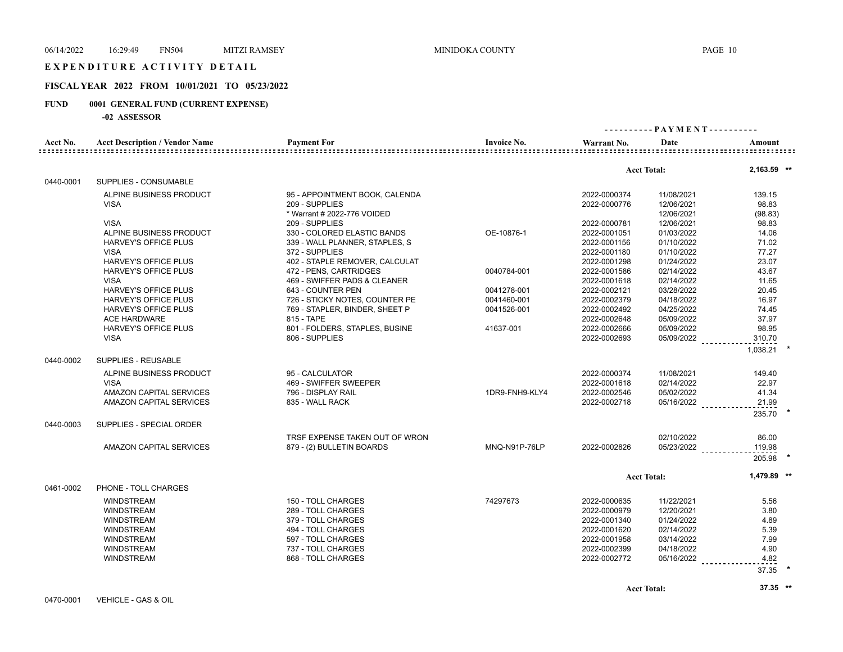#### EXPENDITURE ACTIVITY DETAIL

#### **FISCAL YEAR 2022 FROM 10/01/2021 TO 05/23/2022**

## **FUND 0001 GENERAL FUND (CURRENT EXPENSE)**

| L'AILLE   | <b><i>UUUI</i></b> GENERAL FUND (CURRENT EALENSE) |                                |                                           |                                  |                    |                              |  |
|-----------|---------------------------------------------------|--------------------------------|-------------------------------------------|----------------------------------|--------------------|------------------------------|--|
|           | -02 ASSESSOR                                      |                                |                                           |                                  |                    |                              |  |
|           |                                                   |                                |                                           |                                  |                    | ---------- PAYMENT---------- |  |
| Acct No.  | <b>Acct Description / Vendor Name</b>             | <b>Payment For</b>             | <b>Invoice No.</b><br>=================== | Warrant No.<br>::::::::::::::::: | Date               | Amount                       |  |
|           |                                                   |                                |                                           |                                  |                    |                              |  |
|           |                                                   |                                |                                           |                                  | <b>Acct Total:</b> | 2,163.59 **                  |  |
| 0440-0001 | SUPPLIES - CONSUMABLE                             |                                |                                           |                                  |                    |                              |  |
|           | ALPINE BUSINESS PRODUCT                           | 95 - APPOINTMENT BOOK, CALENDA |                                           | 2022-0000374                     | 11/08/2021         | 139.15                       |  |
|           | <b>VISA</b>                                       | 209 - SUPPLIES                 |                                           | 2022-0000776                     | 12/06/2021         | 98.83                        |  |
|           |                                                   | * Warrant # 2022-776 VOIDED    |                                           |                                  | 12/06/2021         | (98.83)                      |  |
|           | <b>VISA</b>                                       | 209 - SUPPLIES                 |                                           | 2022-0000781                     | 12/06/2021         | 98.83                        |  |
|           | ALPINE BUSINESS PRODUCT                           | 330 - COLORED ELASTIC BANDS    | OE-10876-1                                | 2022-0001051                     | 01/03/2022         | 14.06                        |  |
|           | <b>HARVEY'S OFFICE PLUS</b>                       | 339 - WALL PLANNER, STAPLES, S |                                           | 2022-0001156                     | 01/10/2022         | 71.02                        |  |
|           | <b>VISA</b>                                       | 372 - SUPPLIES                 |                                           | 2022-0001180                     | 01/10/2022         | 77.27                        |  |
|           | <b>HARVEY'S OFFICE PLUS</b>                       | 402 - STAPLE REMOVER, CALCULAT |                                           | 2022-0001298                     | 01/24/2022         | 23.07                        |  |
|           | <b>HARVEY'S OFFICE PLUS</b>                       | 472 - PENS, CARTRIDGES         | 0040784-001                               | 2022-0001586                     | 02/14/2022         | 43.67                        |  |
|           | <b>VISA</b>                                       | 469 - SWIFFER PADS & CLEANER   |                                           | 2022-0001618                     | 02/14/2022         | 11.65                        |  |
|           | <b>HARVEY'S OFFICE PLUS</b>                       | 643 - COUNTER PEN              | 0041278-001                               | 2022-0002121                     | 03/28/2022         | 20.45                        |  |
|           | <b>HARVEY'S OFFICE PLUS</b>                       | 726 - STICKY NOTES, COUNTER PE | 0041460-001                               | 2022-0002379                     | 04/18/2022         | 16.97                        |  |
|           | <b>HARVEY'S OFFICE PLUS</b>                       | 769 - STAPLER, BINDER, SHEET P | 0041526-001                               | 2022-0002492                     | 04/25/2022         | 74.45                        |  |
|           | <b>ACE HARDWARE</b>                               | 815 - TAPE                     |                                           | 2022-0002648                     | 05/09/2022         | 37.97                        |  |
|           | <b>HARVEY'S OFFICE PLUS</b>                       | 801 - FOLDERS, STAPLES, BUSINE | 41637-001                                 | 2022-0002666                     | 05/09/2022         | 98.95                        |  |
|           | <b>VISA</b>                                       | 806 - SUPPLIES                 |                                           | 2022-0002693                     | 05/09/2022         | 310.70                       |  |
|           |                                                   |                                |                                           |                                  |                    | 1,038.21                     |  |
| 0440-0002 | SUPPLIES - REUSABLE                               |                                |                                           |                                  |                    |                              |  |
|           | ALPINE BUSINESS PRODUCT                           | 95 - CALCULATOR                |                                           | 2022-0000374                     | 11/08/2021         | 149.40                       |  |
|           | <b>VISA</b>                                       | 469 - SWIFFER SWEEPER          |                                           | 2022-0001618                     | 02/14/2022         | 22.97                        |  |
|           | AMAZON CAPITAL SERVICES                           | 796 - DISPLAY RAIL             | 1DR9-FNH9-KLY4                            | 2022-0002546                     | 05/02/2022         | 41.34                        |  |
|           | AMAZON CAPITAL SERVICES                           | 835 - WALL RACK                |                                           | 2022-0002718                     | 05/16/2022         | 21.99                        |  |
|           |                                                   |                                |                                           |                                  |                    | 235.70                       |  |
| 0440-0003 | SUPPLIES - SPECIAL ORDER                          |                                |                                           |                                  |                    |                              |  |
|           |                                                   | TRSF EXPENSE TAKEN OUT OF WRON |                                           |                                  | 02/10/2022         | 86.00                        |  |
|           | <b>AMAZON CAPITAL SERVICES</b>                    | 879 - (2) BULLETIN BOARDS      | MNQ-N91P-76LP                             | 2022-0002826                     | 05/23/2022         | 119.98                       |  |
|           |                                                   |                                |                                           |                                  |                    | 205.98                       |  |
|           |                                                   |                                |                                           |                                  | <b>Acct Total:</b> | 1.479.89 **                  |  |
| 0461-0002 | PHONE - TOLL CHARGES                              |                                |                                           |                                  |                    |                              |  |
|           | <b>WINDSTREAM</b>                                 | 150 - TOLL CHARGES             | 74297673                                  | 2022-0000635                     | 11/22/2021         | 5.56                         |  |
|           | <b>WINDSTREAM</b>                                 | 289 - TOLL CHARGES             |                                           | 2022-0000979                     | 12/20/2021         | 3.80                         |  |
|           | <b>WINDSTREAM</b>                                 | 379 - TOLL CHARGES             |                                           | 2022-0001340                     | 01/24/2022         | 4.89                         |  |
|           | <b>WINDSTREAM</b>                                 | 494 - TOLL CHARGES             |                                           | 2022-0001620                     | 02/14/2022         | 5.39                         |  |
|           | <b>WINDSTREAM</b>                                 | 597 - TOLL CHARGES             |                                           | 2022-0001958                     | 03/14/2022         | 7.99                         |  |
|           |                                                   |                                |                                           |                                  |                    |                              |  |

WINDSTREAM 737 - TOLL CHARGES 2022-0002399 04/18/2022 4.90

05/16/2022 <sub>- - -</sub> - - - - - - - - - - 4.82

0470-0001 VEHICLE - GAS & OIL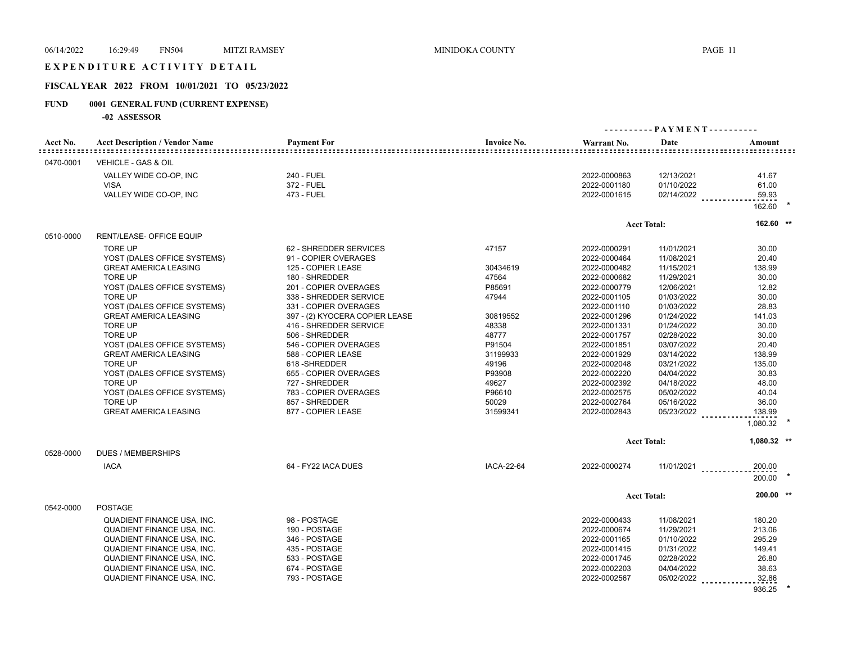### EXPENDITURE ACTIVITY DETAIL

## **FISCAL YEAR 2022 FROM 10/01/2021 TO 05/23/2022**

## **FUND 0001 GENERAL FUND (CURRENT EXPENSE)**

**-02 ASSESSOR**

|           |                                       |                                |                    | ---------- PAYMENT---------- |                    |             |  |
|-----------|---------------------------------------|--------------------------------|--------------------|------------------------------|--------------------|-------------|--|
| Acct No.  | <b>Acct Description / Vendor Name</b> | <b>Payment For</b>             | <b>Invoice No.</b> | Warrant No.                  | Date               | Amount      |  |
| 0470-0001 | VEHICLE - GAS & OIL                   |                                |                    |                              |                    |             |  |
|           | VALLEY WIDE CO-OP, INC                | 240 - FUEL                     |                    | 2022-0000863                 | 12/13/2021         | 41.67       |  |
|           | <b>VISA</b>                           | 372 - FUEL                     |                    | 2022-0001180                 | 01/10/2022         | 61.00       |  |
|           | VALLEY WIDE CO-OP, INC                | 473 - FUEL                     |                    | 2022-0001615                 | 02/14/2022         | 59.93       |  |
|           |                                       |                                |                    |                              |                    | 162.60 *    |  |
|           |                                       |                                |                    |                              | <b>Acct Total:</b> | 162.60 **   |  |
| 0510-0000 | RENT/LEASE- OFFICE EQUIP              |                                |                    |                              |                    |             |  |
|           | <b>TORE UP</b>                        | 62 - SHREDDER SERVICES         | 47157              | 2022-0000291                 | 11/01/2021         | 30.00       |  |
|           | YOST (DALES OFFICE SYSTEMS)           | 91 - COPIER OVERAGES           |                    | 2022-0000464                 | 11/08/2021         | 20.40       |  |
|           | <b>GREAT AMERICA LEASING</b>          | 125 - COPIER LEASE             | 30434619           | 2022-0000482                 | 11/15/2021         | 138.99      |  |
|           | <b>TORE UP</b>                        | 180 - SHREDDER                 | 47564              | 2022-0000682                 | 11/29/2021         | 30.00       |  |
|           | YOST (DALES OFFICE SYSTEMS)           | 201 - COPIER OVERAGES          | P85691             | 2022-0000779                 | 12/06/2021         | 12.82       |  |
|           | <b>TORE UP</b>                        | 338 - SHREDDER SERVICE         | 47944              | 2022-0001105                 | 01/03/2022         | 30.00       |  |
|           | YOST (DALES OFFICE SYSTEMS)           | 331 - COPIER OVERAGES          |                    | 2022-0001110                 | 01/03/2022         | 28.83       |  |
|           | <b>GREAT AMERICA LEASING</b>          | 397 - (2) KYOCERA COPIER LEASE | 30819552           | 2022-0001296                 | 01/24/2022         | 141.03      |  |
|           | <b>TORE UP</b>                        | 416 - SHREDDER SERVICE         | 48338              | 2022-0001331                 | 01/24/2022         | 30.00       |  |
|           | <b>TORE UP</b>                        | 506 - SHREDDER                 | 48777              | 2022-0001757                 | 02/28/2022         | 30.00       |  |
|           | YOST (DALES OFFICE SYSTEMS)           | 546 - COPIER OVERAGES          | P91504             | 2022-0001851                 | 03/07/2022         | 20.40       |  |
|           | <b>GREAT AMERICA LEASING</b>          | 588 - COPIER LEASE             | 31199933           | 2022-0001929                 | 03/14/2022         | 138.99      |  |
|           | <b>TORE UP</b>                        | 618-SHREDDER                   | 49196              | 2022-0002048                 | 03/21/2022         | 135.00      |  |
|           | YOST (DALES OFFICE SYSTEMS)           | 655 - COPIER OVERAGES          | P93908             | 2022-0002220                 | 04/04/2022         | 30.83       |  |
|           | TORE UP                               | 727 - SHREDDER                 | 49627              | 2022-0002392                 | 04/18/2022         | 48.00       |  |
|           | YOST (DALES OFFICE SYSTEMS)           | 783 - COPIER OVERAGES          | P96610             | 2022-0002575                 | 05/02/2022         | 40.04       |  |
|           | <b>TORE UP</b>                        | 857 - SHREDDER                 | 50029              | 2022-0002764                 | 05/16/2022         | 36.00       |  |
|           | <b>GREAT AMERICA LEASING</b>          | 877 - COPIER LEASE             | 31599341           | 2022-0002843                 | 05/23/2022         | 138.99      |  |
|           |                                       |                                |                    |                              |                    | 1,080.32    |  |
|           |                                       |                                |                    |                              | <b>Acct Total:</b> | 1,080.32 ** |  |
| 0528-0000 | <b>DUES / MEMBERSHIPS</b>             |                                |                    |                              |                    |             |  |
|           | <b>IACA</b>                           | 64 - FY22 IACA DUES            | <b>IACA-22-64</b>  | 2022-0000274                 | 11/01/2021         | 200.00      |  |
|           |                                       |                                |                    |                              |                    | 200.00      |  |
|           |                                       |                                |                    |                              | <b>Acct Total:</b> | 200.00 **   |  |
| 0542-0000 | <b>POSTAGE</b>                        |                                |                    |                              |                    |             |  |
|           | QUADIENT FINANCE USA, INC.            | 98 - POSTAGE                   |                    | 2022-0000433                 | 11/08/2021         | 180.20      |  |
|           | QUADIENT FINANCE USA, INC.            | 190 - POSTAGE                  |                    | 2022-0000674                 | 11/29/2021         | 213.06      |  |
|           | QUADIENT FINANCE USA, INC.            | 346 - POSTAGE                  |                    | 2022-0001165                 | 01/10/2022         | 295.29      |  |
|           | QUADIENT FINANCE USA, INC.            | 435 - POSTAGE                  |                    | 2022-0001415                 | 01/31/2022         | 149.41      |  |
|           | QUADIENT FINANCE USA, INC.            | 533 - POSTAGE                  |                    | 2022-0001745                 | 02/28/2022         | 26.80       |  |
|           | QUADIENT FINANCE USA, INC.            | 674 - POSTAGE                  |                    | 2022-0002203                 | 04/04/2022         | 38.63       |  |
|           | QUADIENT FINANCE USA, INC.            | 793 - POSTAGE                  |                    | 2022-0002567                 | 05/02/2022         | 32.86       |  |

936.25 **\***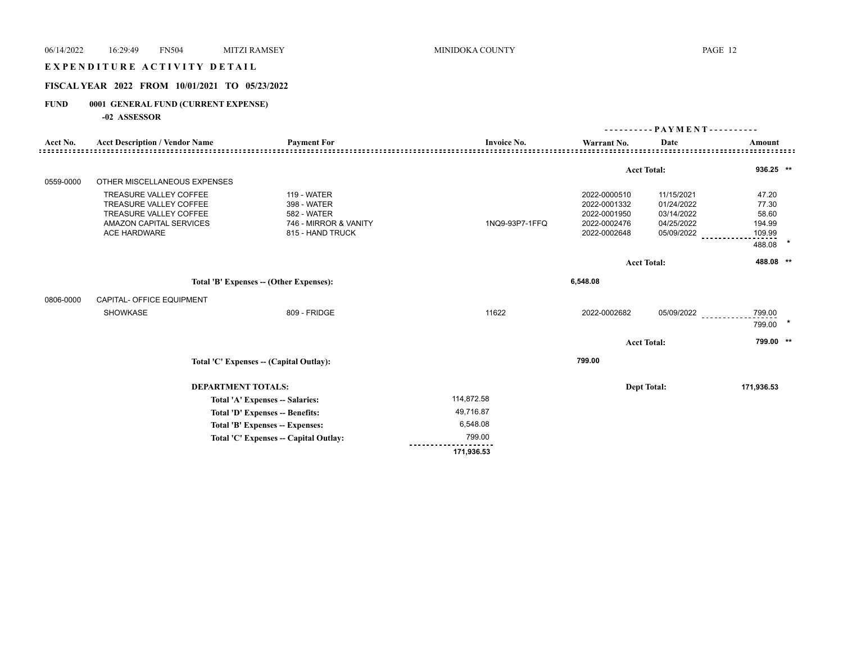## E X P E N D I T U R E A C T I V I T Y D E T A I L

## **FISCAL YEAR 2022 FROM 10/01/2021 TO 05/23/2022**

## **FUND 0001 GENERAL FUND (CURRENT EXPENSE)**

|           |                                                                                                                                            |                                                                                                      |                    |                                                                              | - PAYMENT - - - - - - - - - -<br><u>.</u>                          |                                                       |  |  |
|-----------|--------------------------------------------------------------------------------------------------------------------------------------------|------------------------------------------------------------------------------------------------------|--------------------|------------------------------------------------------------------------------|--------------------------------------------------------------------|-------------------------------------------------------|--|--|
| Acct No.  | <b>Acct Description / Vendor Name</b>                                                                                                      | <b>Payment For</b>                                                                                   | <b>Invoice No.</b> | Warrant No.                                                                  | Date                                                               | Amount                                                |  |  |
|           |                                                                                                                                            |                                                                                                      |                    |                                                                              |                                                                    |                                                       |  |  |
|           |                                                                                                                                            |                                                                                                      |                    |                                                                              | <b>Acct Total:</b>                                                 | $936.25$ **                                           |  |  |
| 0559-0000 | OTHER MISCELLANEOUS EXPENSES                                                                                                               |                                                                                                      |                    |                                                                              |                                                                    |                                                       |  |  |
|           | TREASURE VALLEY COFFEE<br><b>TREASURE VALLEY COFFEE</b><br>TREASURE VALLEY COFFEE<br><b>AMAZON CAPITAL SERVICES</b><br><b>ACE HARDWARE</b> | <b>119 - WATER</b><br>398 - WATER<br><b>582 - WATER</b><br>746 - MIRROR & VANITY<br>815 - HAND TRUCK | 1NQ9-93P7-1FFQ     | 2022-0000510<br>2022-0001332<br>2022-0001950<br>2022-0002476<br>2022-0002648 | 11/15/2021<br>01/24/2022<br>03/14/2022<br>04/25/2022<br>05/09/2022 | 47.20<br>77.30<br>58.60<br>194.99<br>109.99<br>488.08 |  |  |
|           |                                                                                                                                            |                                                                                                      |                    |                                                                              | <b>Acct Total:</b>                                                 | 488.08 **                                             |  |  |
|           |                                                                                                                                            | Total 'B' Expenses - (Other Expenses):                                                               |                    | 6,548.08                                                                     |                                                                    |                                                       |  |  |
| 0806-0000 | CAPITAL- OFFICE EQUIPMENT                                                                                                                  |                                                                                                      |                    |                                                                              |                                                                    |                                                       |  |  |
|           | SHOWKASE                                                                                                                                   | 809 - FRIDGE                                                                                         | 11622              | 2022-0002682                                                                 | 05/09/2022                                                         | 799.00<br>799.00                                      |  |  |
|           |                                                                                                                                            |                                                                                                      |                    |                                                                              | <b>Acct Total:</b>                                                 | 799.00 **                                             |  |  |
|           |                                                                                                                                            | Total 'C' Expenses -- (Capital Outlay):                                                              |                    | 799.00                                                                       |                                                                    |                                                       |  |  |
|           | <b>DEPARTMENT TOTALS:</b>                                                                                                                  |                                                                                                      |                    |                                                                              | <b>Dept Total:</b>                                                 | 171,936.53                                            |  |  |
|           |                                                                                                                                            | Total 'A' Expenses -- Salaries:                                                                      | 114,872.58         |                                                                              |                                                                    |                                                       |  |  |
|           |                                                                                                                                            | Total 'D' Expenses -- Benefits:                                                                      | 49,716.87          |                                                                              |                                                                    |                                                       |  |  |
|           |                                                                                                                                            | Total 'B' Expenses -- Expenses:                                                                      | 6,548.08           |                                                                              |                                                                    |                                                       |  |  |
|           |                                                                                                                                            | Total 'C' Expenses -- Capital Outlay:                                                                | 799.00             |                                                                              |                                                                    |                                                       |  |  |
|           |                                                                                                                                            |                                                                                                      | 171,936.53         |                                                                              |                                                                    |                                                       |  |  |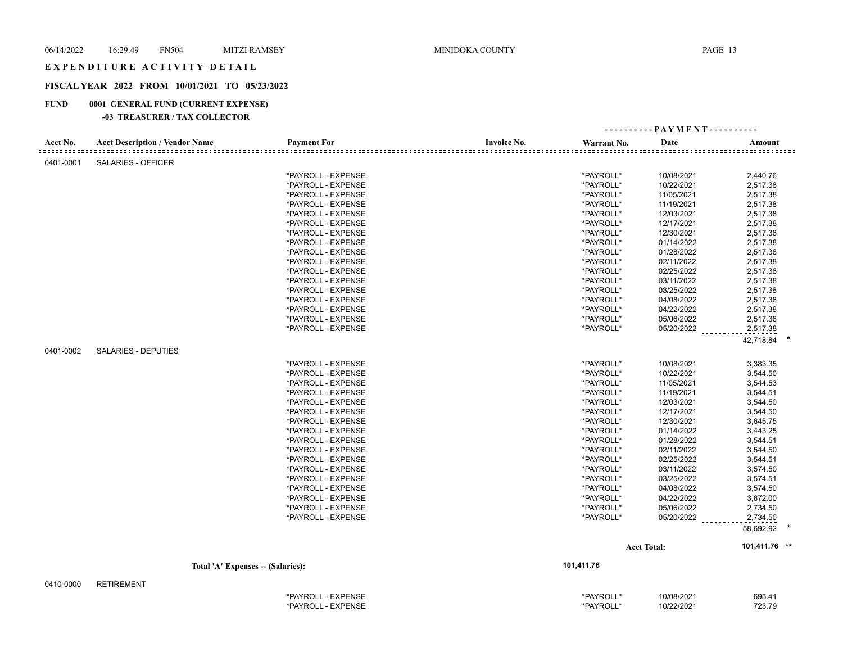#### EXPENDITURE ACTIVITY DETAIL

## **FISCAL YEAR 2022 FROM 10/01/2021 TO 05/23/2022**

## **FUND 0001 GENERAL FUND (CURRENT EXPENSE)**

|           |                                       |                    |                    |             | ---------- PAYMENT---------- |               |
|-----------|---------------------------------------|--------------------|--------------------|-------------|------------------------------|---------------|
| Acct No.  | <b>Acct Description / Vendor Name</b> | <b>Payment For</b> | <b>Invoice No.</b> | Warrant No. | Date                         | Amount        |
| 0401-0001 | SALARIES - OFFICER                    |                    |                    |             |                              |               |
|           |                                       | *PAYROLL - EXPENSE |                    | *PAYROLL*   | 10/08/2021                   | 2,440.76      |
|           |                                       | *PAYROLL - EXPENSE |                    | *PAYROLL*   | 10/22/2021                   | 2,517.38      |
|           |                                       | *PAYROLL - EXPENSE |                    | *PAYROLL*   | 11/05/2021                   | 2,517.38      |
|           |                                       | *PAYROLL - EXPENSE |                    | *PAYROLL*   | 11/19/2021                   | 2,517.38      |
|           |                                       | *PAYROLL - EXPENSE |                    | *PAYROLL*   | 12/03/2021                   | 2,517.38      |
|           |                                       | *PAYROLL - EXPENSE |                    | *PAYROLL*   | 12/17/2021                   | 2,517.38      |
|           |                                       | *PAYROLL - EXPENSE |                    | *PAYROLL*   | 12/30/2021                   | 2,517.38      |
|           |                                       | *PAYROLL - EXPENSE |                    | *PAYROLL*   | 01/14/2022                   | 2,517.38      |
|           |                                       | *PAYROLL - EXPENSE |                    | *PAYROLL*   | 01/28/2022                   | 2,517.38      |
|           |                                       | *PAYROLL - EXPENSE |                    | *PAYROLL*   | 02/11/2022                   | 2,517.38      |
|           |                                       | *PAYROLL - EXPENSE |                    | *PAYROLL*   | 02/25/2022                   | 2,517.38      |
|           |                                       | *PAYROLL - EXPENSE |                    | *PAYROLL*   | 03/11/2022                   | 2,517.38      |
|           |                                       | *PAYROLL - EXPENSE |                    | *PAYROLL*   | 03/25/2022                   | 2,517.38      |
|           |                                       | *PAYROLL - EXPENSE |                    | *PAYROLL*   | 04/08/2022                   | 2,517.38      |
|           |                                       | *PAYROLL - EXPENSE |                    | *PAYROLL*   | 04/22/2022                   | 2,517.38      |
|           |                                       | *PAYROLL - EXPENSE |                    | *PAYROLL*   | 05/06/2022                   | 2,517.38      |
|           |                                       | *PAYROLL - EXPENSE |                    | *PAYROLL*   | 05/20/2022                   | 2,517.38      |
|           |                                       |                    |                    |             |                              | 42,718.84     |
| 0401-0002 | <b>SALARIES - DEPUTIES</b>            |                    |                    |             |                              |               |
|           |                                       | *PAYROLL - EXPENSE |                    | *PAYROLL*   | 10/08/2021                   | 3,383.35      |
|           |                                       | *PAYROLL - EXPENSE |                    | *PAYROLL*   | 10/22/2021                   | 3,544.50      |
|           |                                       | *PAYROLL - EXPENSE |                    | *PAYROLL*   | 11/05/2021                   | 3,544.53      |
|           |                                       | *PAYROLL - EXPENSE |                    | *PAYROLL*   | 11/19/2021                   | 3,544.51      |
|           |                                       | *PAYROLL - EXPENSE |                    | *PAYROLL*   | 12/03/2021                   | 3,544.50      |
|           |                                       | *PAYROLL - EXPENSE |                    | *PAYROLL*   | 12/17/2021                   | 3,544.50      |
|           |                                       | *PAYROLL - EXPENSE |                    | *PAYROLL*   | 12/30/2021                   | 3,645.75      |
|           |                                       | *PAYROLL - EXPENSE |                    | *PAYROLL*   | 01/14/2022                   | 3,443.25      |
|           |                                       | *PAYROLL - EXPENSE |                    | *PAYROLL*   | 01/28/2022                   | 3,544.51      |
|           |                                       | *PAYROLL - EXPENSE |                    | *PAYROLL*   | 02/11/2022                   | 3,544.50      |
|           |                                       | *PAYROLL - EXPENSE |                    | *PAYROLL*   | 02/25/2022                   | 3,544.51      |
|           |                                       | *PAYROLL - EXPENSE |                    | *PAYROLL*   | 03/11/2022                   | 3,574.50      |
|           |                                       | *PAYROLL - EXPENSE |                    | *PAYROLL*   | 03/25/2022                   | 3,574.51      |
|           |                                       | *PAYROLL - EXPENSE |                    | *PAYROLL*   | 04/08/2022                   | 3,574.50      |
|           |                                       | *PAYROLL - EXPENSE |                    | *PAYROLL*   | 04/22/2022                   | 3,672.00      |
|           |                                       | *PAYROLL - EXPENSE |                    | *PAYROLL*   | 05/06/2022                   | 2,734.50      |
|           |                                       | *PAYROLL - EXPENSE |                    | *PAYROLL*   | 05/20/2022                   | 2,734.50      |
|           |                                       |                    |                    |             |                              | 58,692.92     |
|           |                                       |                    |                    |             | <b>Acct Total:</b>           | 101,411.76 ** |
|           |                                       |                    |                    |             |                              |               |
|           | Total 'A' Expenses -- (Salaries):     |                    |                    | 101,411.76  |                              |               |
| 0410-0000 | <b>RETIREMENT</b>                     |                    |                    |             |                              |               |
|           |                                       | *PAYROLL - EXPENSE |                    | *PAYROLL*   | 10/08/2021                   | 695.41        |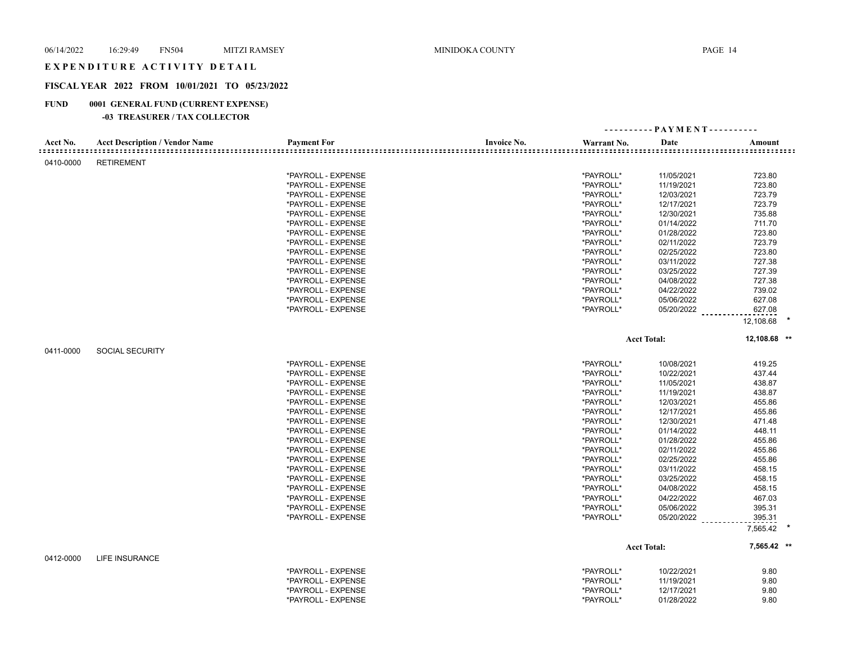### EXPENDITURE ACTIVITY DETAIL

## **FISCAL YEAR 2022 FROM 10/01/2021 TO 05/23/2022**

## **FUND 0001 GENERAL FUND (CURRENT EXPENSE)**

|           |                                       |                    |                    |             | ---------- PAYMENT---------- |                                          |  |
|-----------|---------------------------------------|--------------------|--------------------|-------------|------------------------------|------------------------------------------|--|
| Acct No.  | <b>Acct Description / Vendor Name</b> | <b>Payment For</b> | <b>Invoice No.</b> | Warrant No. | Date                         | Amount<br>:::::::::::::::::::::::::::::: |  |
| 0410-0000 | <b>RETIREMENT</b>                     |                    |                    |             |                              |                                          |  |
|           |                                       | *PAYROLL - EXPENSE |                    | *PAYROLL*   | 11/05/2021                   | 723.80                                   |  |
|           |                                       | *PAYROLL - EXPENSE |                    | *PAYROLL*   | 11/19/2021                   | 723.80                                   |  |
|           |                                       | *PAYROLL - EXPENSE |                    | *PAYROLL*   | 12/03/2021                   | 723.79                                   |  |
|           |                                       | *PAYROLL - EXPENSE |                    | *PAYROLL*   | 12/17/2021                   | 723.79                                   |  |
|           |                                       | *PAYROLL - EXPENSE |                    | *PAYROLL*   | 12/30/2021                   | 735.88                                   |  |
|           |                                       | *PAYROLL - EXPENSE |                    | *PAYROLL*   | 01/14/2022                   | 711.70                                   |  |
|           |                                       | *PAYROLL - EXPENSE |                    | *PAYROLL*   | 01/28/2022                   | 723.80                                   |  |
|           |                                       | *PAYROLL - EXPENSE |                    | *PAYROLL*   | 02/11/2022                   | 723.79                                   |  |
|           |                                       | *PAYROLL - EXPENSE |                    | *PAYROLL*   | 02/25/2022                   | 723.80                                   |  |
|           |                                       | *PAYROLL - EXPENSE |                    | *PAYROLL*   | 03/11/2022                   | 727.38                                   |  |
|           |                                       | *PAYROLL - EXPENSE |                    | *PAYROLL*   | 03/25/2022                   | 727.39                                   |  |
|           |                                       | *PAYROLL - EXPENSE |                    | *PAYROLL*   | 04/08/2022                   | 727.38                                   |  |
|           |                                       | *PAYROLL - EXPENSE |                    | *PAYROLL*   | 04/22/2022                   | 739.02                                   |  |
|           |                                       | *PAYROLL - EXPENSE |                    | *PAYROLL*   | 05/06/2022                   | 627.08                                   |  |
|           |                                       | *PAYROLL - EXPENSE |                    | *PAYROLL*   | 05/20/2022                   | 627.08                                   |  |
|           |                                       |                    |                    |             |                              | 12,108.68                                |  |
|           |                                       |                    |                    |             | <b>Acct Total:</b>           | 12,108.68 **                             |  |
| 0411-0000 | <b>SOCIAL SECURITY</b>                |                    |                    |             |                              |                                          |  |
|           |                                       | *PAYROLL - EXPENSE |                    | *PAYROLL*   | 10/08/2021                   | 419.25                                   |  |
|           |                                       | *PAYROLL - EXPENSE |                    | *PAYROLL*   | 10/22/2021                   | 437.44                                   |  |
|           |                                       | *PAYROLL - EXPENSE |                    | *PAYROLL*   | 11/05/2021                   | 438.87                                   |  |
|           |                                       | *PAYROLL - EXPENSE |                    | *PAYROLL*   | 11/19/2021                   | 438.87                                   |  |
|           |                                       | *PAYROLL - EXPENSE |                    | *PAYROLL*   | 12/03/2021                   | 455.86                                   |  |
|           |                                       | *PAYROLL - EXPENSE |                    | *PAYROLL*   | 12/17/2021                   | 455.86                                   |  |
|           |                                       | *PAYROLL - EXPENSE |                    | *PAYROLL*   | 12/30/2021                   | 471.48                                   |  |
|           |                                       | *PAYROLL - EXPENSE |                    | *PAYROLL*   | 01/14/2022                   | 448.11                                   |  |
|           |                                       | *PAYROLL - EXPENSE |                    | *PAYROLL*   | 01/28/2022                   | 455.86                                   |  |
|           |                                       | *PAYROLL - EXPENSE |                    | *PAYROLL*   | 02/11/2022                   | 455.86                                   |  |
|           |                                       | *PAYROLL - EXPENSE |                    | *PAYROLL*   | 02/25/2022                   | 455.86                                   |  |
|           |                                       | *PAYROLL - EXPENSE |                    | *PAYROLL*   | 03/11/2022                   | 458.15                                   |  |
|           |                                       | *PAYROLL - EXPENSE |                    | *PAYROLL*   | 03/25/2022                   | 458.15                                   |  |
|           |                                       | *PAYROLL - EXPENSE |                    | *PAYROLL*   | 04/08/2022                   | 458.15                                   |  |
|           |                                       | *PAYROLL - EXPENSE |                    | *PAYROLL*   | 04/22/2022                   | 467.03                                   |  |
|           |                                       | *PAYROLL - EXPENSE |                    | *PAYROLL*   | 05/06/2022                   | 395.31                                   |  |
|           |                                       | *PAYROLL - EXPENSE |                    | *PAYROLL*   | 05/20/2022                   | 395.31                                   |  |
|           |                                       |                    |                    |             |                              | 7,565.42                                 |  |
|           |                                       |                    |                    |             | <b>Acct Total:</b>           | 7,565.42 **                              |  |
| 0412-0000 | <b>LIFE INSURANCE</b>                 |                    |                    |             |                              |                                          |  |
|           |                                       | *PAYROLL - EXPENSE |                    | *PAYROLL*   | 10/22/2021                   | 9.80                                     |  |
|           |                                       | *PAYROLL - EXPENSE |                    | *PAYROLL*   | 11/19/2021                   | 9.80                                     |  |
|           |                                       | *PAYROLL - EXPENSE |                    | *PAYROLL*   | 12/17/2021                   | 9.80                                     |  |
|           |                                       | *PAYROLL - EXPENSE |                    | *PAYROLL*   | 01/28/2022                   | 9.80                                     |  |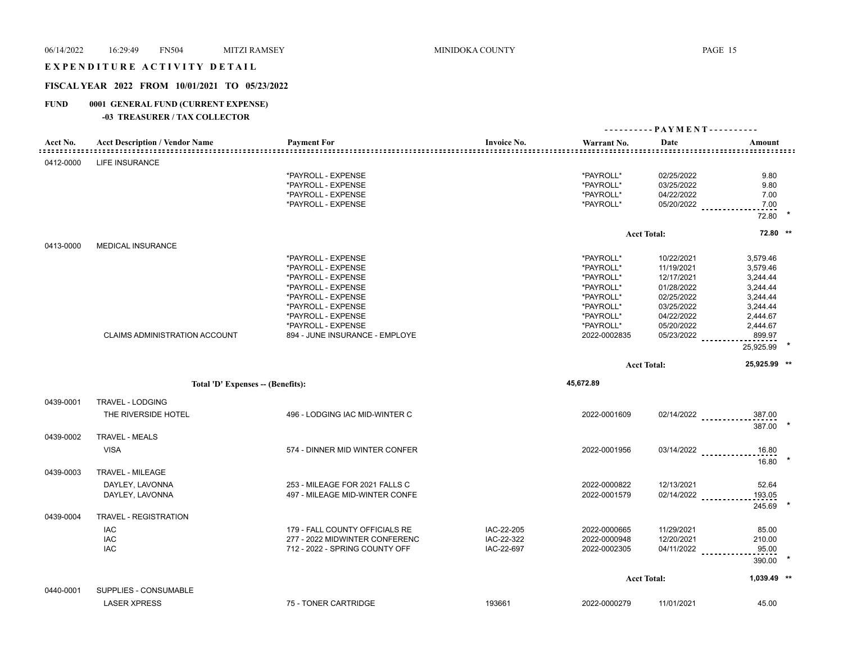### EXPENDITURE ACTIVITY DETAIL

## **FISCAL YEAR 2022 FROM 10/01/2021 TO 05/23/2022**

## **FUND 0001 GENERAL FUND (CURRENT EXPENSE)**

| Acct No.  | <b>Acct Description / Vendor Name</b>        | <b>Payment For</b>             | <b>Invoice No.</b><br>======================== | Warrant No.  | Date               | Amount                         |  |
|-----------|----------------------------------------------|--------------------------------|------------------------------------------------|--------------|--------------------|--------------------------------|--|
| 0412-0000 | <b>LIFE INSURANCE</b>                        |                                |                                                |              |                    |                                |  |
|           |                                              | *PAYROLL - EXPENSE             |                                                | *PAYROLL*    | 02/25/2022         | 9.80                           |  |
|           |                                              | *PAYROLL - EXPENSE             |                                                | *PAYROLL*    | 03/25/2022         | 9.80                           |  |
|           |                                              | *PAYROLL - EXPENSE             |                                                | *PAYROLL*    | 04/22/2022         | 7.00                           |  |
|           |                                              | *PAYROLL - EXPENSE             |                                                | *PAYROLL*    |                    | 05/20/2022<br>7.00<br>72.80    |  |
|           |                                              |                                |                                                |              | <b>Acct Total:</b> | 72.80 **                       |  |
| 0413-0000 | <b>MEDICAL INSURANCE</b>                     |                                |                                                |              |                    |                                |  |
|           |                                              | *PAYROLL - EXPENSE             |                                                | *PAYROLL*    | 10/22/2021         | 3,579.46                       |  |
|           |                                              | *PAYROLL - EXPENSE             |                                                | *PAYROLL*    | 11/19/2021         | 3,579.46                       |  |
|           |                                              | *PAYROLL - EXPENSE             |                                                | *PAYROLL*    | 12/17/2021         | 3,244.44                       |  |
|           |                                              | *PAYROLL - EXPENSE             |                                                | *PAYROLL*    | 01/28/2022         | 3,244.44                       |  |
|           |                                              | *PAYROLL - EXPENSE             |                                                | *PAYROLL*    | 02/25/2022         | 3,244.44                       |  |
|           |                                              | *PAYROLL - EXPENSE             |                                                | *PAYROLL*    | 03/25/2022         | 3,244.44                       |  |
|           |                                              | *PAYROLL - EXPENSE             |                                                | *PAYROLL*    | 04/22/2022         | 2,444.67                       |  |
|           |                                              | *PAYROLL - EXPENSE             |                                                | *PAYROLL*    | 05/20/2022         | 2,444.67                       |  |
|           | <b>CLAIMS ADMINISTRATION ACCOUNT</b>         | 894 - JUNE INSURANCE - EMPLOYE |                                                | 2022-0002835 | 05/23/2022         | 899.97                         |  |
|           |                                              |                                |                                                |              |                    | 25,925.99                      |  |
|           |                                              |                                |                                                |              | <b>Acct Total:</b> | 25,925.99 **                   |  |
|           |                                              |                                |                                                |              |                    |                                |  |
|           | Total 'D' Expenses -- (Benefits):            |                                |                                                | 45,672.89    |                    |                                |  |
|           |                                              |                                |                                                |              |                    |                                |  |
| 0439-0001 | TRAVEL - LODGING                             |                                |                                                |              |                    |                                |  |
|           | THE RIVERSIDE HOTEL                          | 496 - LODGING IAC MID-WINTER C |                                                | 2022-0001609 |                    | 02/14/2022<br>387.00<br>387.00 |  |
| 0439-0002 | <b>TRAVEL - MEALS</b>                        |                                |                                                |              |                    |                                |  |
|           | <b>VISA</b>                                  | 574 - DINNER MID WINTER CONFER |                                                | 2022-0001956 |                    | 03/14/2022<br>16.80            |  |
|           |                                              |                                |                                                |              |                    | 16.80                          |  |
| 0439-0003 | TRAVEL - MILEAGE                             |                                |                                                |              |                    |                                |  |
|           | DAYLEY, LAVONNA                              | 253 - MILEAGE FOR 2021 FALLS C |                                                | 2022-0000822 | 12/13/2021         | 52.64                          |  |
|           | DAYLEY, LAVONNA                              | 497 - MILEAGE MID-WINTER CONFE |                                                | 2022-0001579 | $02/14/2022$       | 193.05                         |  |
| 0439-0004 | <b>TRAVEL - REGISTRATION</b>                 |                                |                                                |              |                    | 245.69                         |  |
|           |                                              |                                |                                                |              |                    |                                |  |
|           | IAC                                          | 179 - FALL COUNTY OFFICIALS RE | IAC-22-205                                     | 2022-0000665 | 11/29/2021         | 85.00                          |  |
|           | IAC                                          | 277 - 2022 MIDWINTER CONFERENC | IAC-22-322                                     | 2022-0000948 | 12/20/2021         | 210.00                         |  |
|           | <b>IAC</b>                                   | 712 - 2022 - SPRING COUNTY OFF | IAC-22-697                                     | 2022-0002305 | $04/11/2022$       | 95.00<br>390.00                |  |
|           |                                              |                                |                                                |              | <b>Acct Total:</b> | 1,039.49 **                    |  |
|           |                                              |                                |                                                |              |                    |                                |  |
| 0440-0001 | SUPPLIES - CONSUMABLE<br><b>LASER XPRESS</b> | 75 - TONER CARTRIDGE           | 193661                                         | 2022-0000279 | 11/01/2021         | 45.00                          |  |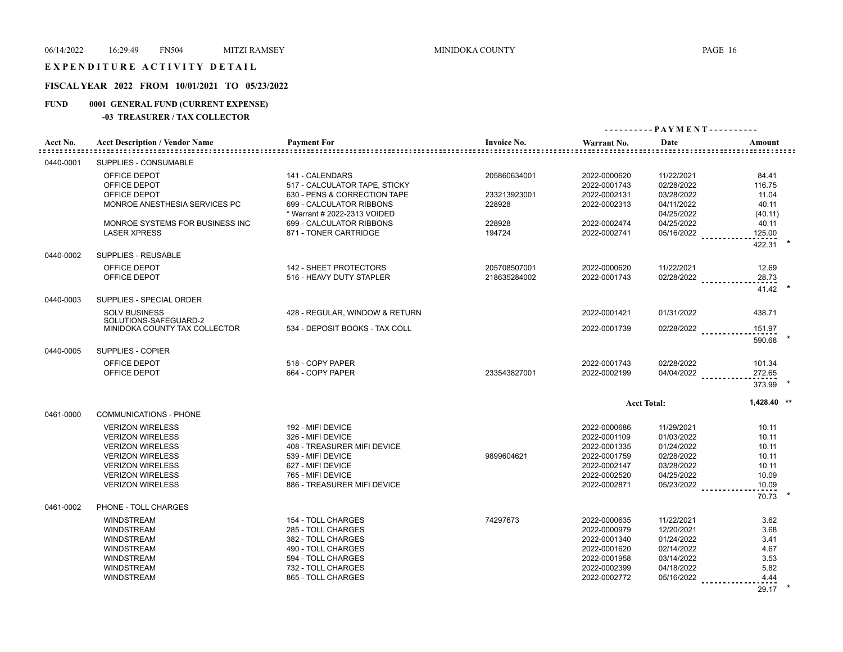## EXPENDITURE ACTIVITY DETAIL

## **FISCAL YEAR 2022 FROM 10/01/2021 TO 05/23/2022**

## **FUND 0001 GENERAL FUND (CURRENT EXPENSE)**

|           |                                               |                                |                    |              | ---------- PAYMENT---------- |                               |
|-----------|-----------------------------------------------|--------------------------------|--------------------|--------------|------------------------------|-------------------------------|
| Acct No.  | <b>Acct Description / Vendor Name</b>         | <b>Payment For</b>             | <b>Invoice No.</b> | Warrant No.  | Date                         | Amount<br>=================== |
| 0440-0001 | SUPPLIES - CONSUMABLE                         |                                |                    |              |                              |                               |
|           | OFFICE DEPOT                                  | 141 - CALENDARS                | 205860634001       | 2022-0000620 | 11/22/2021                   | 84.41                         |
|           | OFFICE DEPOT                                  | 517 - CALCULATOR TAPE, STICKY  |                    | 2022-0001743 | 02/28/2022                   | 116.75                        |
|           | OFFICE DEPOT                                  | 630 - PENS & CORRECTION TAPE   | 233213923001       | 2022-0002131 | 03/28/2022                   | 11.04                         |
|           | MONROE ANESTHESIA SERVICES PC                 | 699 - CALCULATOR RIBBONS       | 228928             | 2022-0002313 | 04/11/2022                   | 40.11                         |
|           |                                               | * Warrant # 2022-2313 VOIDED   |                    |              | 04/25/2022                   | (40.11)                       |
|           | MONROE SYSTEMS FOR BUSINESS INC               | 699 - CALCULATOR RIBBONS       | 228928             | 2022-0002474 | 04/25/2022                   | 40.11                         |
|           | <b>LASER XPRESS</b>                           | 871 - TONER CARTRIDGE          | 194724             | 2022-0002741 | 05/16/2022                   | 125.00                        |
| 0440-0002 | SUPPLIES - REUSABLE                           |                                |                    |              |                              | 422.31                        |
|           | OFFICE DEPOT                                  | 142 - SHEET PROTECTORS         | 205708507001       | 2022-0000620 | 11/22/2021                   | 12.69                         |
|           | OFFICE DEPOT                                  | 516 - HEAVY DUTY STAPLER       | 218635284002       | 2022-0001743 | 02/28/2022                   | 28.73                         |
|           |                                               |                                |                    |              |                              | 41.42                         |
| 0440-0003 | SUPPLIES - SPECIAL ORDER                      |                                |                    |              |                              |                               |
|           | <b>SOLV BUSINESS</b><br>SOLUTIONS-SAFEGUARD-2 | 428 - REGULAR, WINDOW & RETURN |                    | 2022-0001421 | 01/31/2022                   | 438.71                        |
|           | MINIDOKA COUNTY TAX COLLECTOR                 | 534 - DEPOSIT BOOKS - TAX COLL |                    | 2022-0001739 | 02/28/2022                   | 151.97                        |
| 0440-0005 | SUPPLIES - COPIER                             |                                |                    |              |                              | 590.68                        |
|           |                                               |                                |                    |              |                              |                               |
|           | OFFICE DEPOT                                  | 518 - COPY PAPER               |                    | 2022-0001743 | 02/28/2022                   | 101.34                        |
|           | OFFICE DEPOT                                  | 664 - COPY PAPER               | 233543827001       | 2022-0002199 | 04/04/2022 _________         | 272.65                        |
|           |                                               |                                |                    |              |                              | 373.99                        |
|           |                                               |                                |                    |              | <b>Acct Total:</b>           | 1,428.40 **                   |
| 0461-0000 | <b>COMMUNICATIONS - PHONE</b>                 |                                |                    |              |                              |                               |
|           | <b>VERIZON WIRELESS</b>                       | 192 - MIFI DEVICE              |                    | 2022-0000686 | 11/29/2021                   | 10.11                         |
|           | <b>VERIZON WIRELESS</b>                       | 326 - MIFI DEVICE              |                    | 2022-0001109 | 01/03/2022                   | 10.11                         |
|           | <b>VERIZON WIRELESS</b>                       | 408 - TREASURER MIFI DEVICE    |                    | 2022-0001335 | 01/24/2022                   | 10.11                         |
|           | <b>VERIZON WIRELESS</b>                       | 539 - MIFI DEVICE              | 9899604621         | 2022-0001759 | 02/28/2022                   | 10.11                         |
|           | <b>VERIZON WIRELESS</b>                       | 627 - MIFI DEVICE              |                    | 2022-0002147 | 03/28/2022                   | 10.11                         |
|           | <b>VERIZON WIRELESS</b>                       | 765 - MIFI DEVICE              |                    | 2022-0002520 | 04/25/2022                   | 10.09                         |
|           | <b>VERIZON WIRELESS</b>                       | 886 - TREASURER MIFI DEVICE    |                    | 2022-0002871 | 05/23/2022                   | 10.09                         |
|           |                                               |                                |                    |              |                              | 70.73                         |
| 0461-0002 | PHONE - TOLL CHARGES                          |                                |                    |              |                              |                               |
|           | <b>WINDSTREAM</b>                             | 154 - TOLL CHARGES             | 74297673           | 2022-0000635 | 11/22/2021                   | 3.62                          |
|           | <b>WINDSTREAM</b>                             | 285 - TOLL CHARGES             |                    | 2022-0000979 | 12/20/2021                   | 3.68                          |
|           | <b>WINDSTREAM</b>                             | 382 - TOLL CHARGES             |                    | 2022-0001340 | 01/24/2022                   | 3.41                          |
|           | <b>WINDSTREAM</b>                             | 490 - TOLL CHARGES             |                    | 2022-0001620 | 02/14/2022                   | 4.67                          |
|           | WINDSTREAM                                    | 594 - TOLL CHARGES             |                    | 2022-0001958 | 03/14/2022                   | 3.53                          |
|           | <b>WINDSTREAM</b>                             | 732 - TOLL CHARGES             |                    | 2022-0002399 | 04/18/2022                   | 5.82                          |
|           | <b>WINDSTREAM</b>                             | 865 - TOLL CHARGES             |                    | 2022-0002772 | 05/16/2022                   | 4.44                          |
|           |                                               |                                |                    |              |                              | 29.17                         |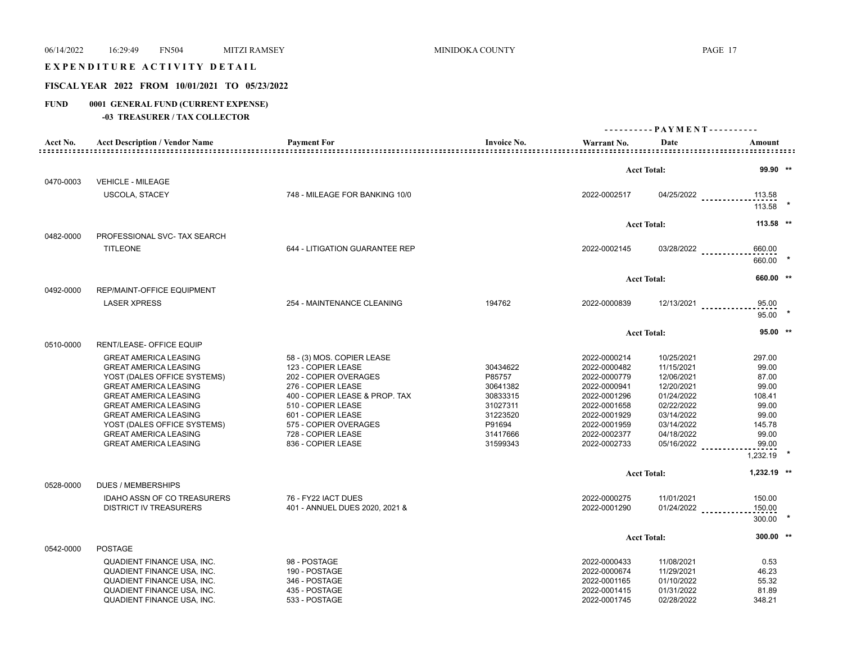# 06/14/2022 16:29:49 FN504 MITZI RAMSEY MINIDOKA COUNTY PAGE 17 EXPENDITURE ACTIVITY DETAIL **FISCAL YEAR 2022 FROM 10/01/2021 TO 05/23/2022 FUND 0001 GENERAL FUND (CURRENT EXPENSE) -03 TREASURER / TAX COLLECTOR - - - - - - - - - - P A Y M E N T - - - - - - - - - -**

| Acct No.  | <b>Acct Description / Vendor Name</b>                                                                                                                                                                                                                                                      | <b>Payment For</b>                                                                                                                                                                                                           | <b>Invoice No.</b>                                                                       | Warrant No.                                                                                                                                  | Date                                                                                                                       | Amount                                                                           |
|-----------|--------------------------------------------------------------------------------------------------------------------------------------------------------------------------------------------------------------------------------------------------------------------------------------------|------------------------------------------------------------------------------------------------------------------------------------------------------------------------------------------------------------------------------|------------------------------------------------------------------------------------------|----------------------------------------------------------------------------------------------------------------------------------------------|----------------------------------------------------------------------------------------------------------------------------|----------------------------------------------------------------------------------|
|           |                                                                                                                                                                                                                                                                                            |                                                                                                                                                                                                                              |                                                                                          |                                                                                                                                              | <b>Acct Total:</b>                                                                                                         | 99.90 **                                                                         |
| 0470-0003 | <b>VEHICLE - MILEAGE</b>                                                                                                                                                                                                                                                                   |                                                                                                                                                                                                                              |                                                                                          |                                                                                                                                              |                                                                                                                            |                                                                                  |
|           | <b>USCOLA, STACEY</b>                                                                                                                                                                                                                                                                      | 748 - MILEAGE FOR BANKING 10/0                                                                                                                                                                                               |                                                                                          | 2022-0002517                                                                                                                                 |                                                                                                                            | 04/25/2022<br>113.58<br>113.58                                                   |
|           |                                                                                                                                                                                                                                                                                            |                                                                                                                                                                                                                              |                                                                                          |                                                                                                                                              | <b>Acct Total:</b>                                                                                                         | 113.58 **                                                                        |
| 0482-0000 | PROFESSIONAL SVC- TAX SEARCH                                                                                                                                                                                                                                                               |                                                                                                                                                                                                                              |                                                                                          |                                                                                                                                              |                                                                                                                            |                                                                                  |
|           | <b>TITLEONE</b>                                                                                                                                                                                                                                                                            | 644 - LITIGATION GUARANTEE REP                                                                                                                                                                                               |                                                                                          | 2022-0002145                                                                                                                                 | 03/28/2022                                                                                                                 | 660.00<br>660.00                                                                 |
|           |                                                                                                                                                                                                                                                                                            |                                                                                                                                                                                                                              |                                                                                          |                                                                                                                                              |                                                                                                                            |                                                                                  |
|           |                                                                                                                                                                                                                                                                                            |                                                                                                                                                                                                                              |                                                                                          |                                                                                                                                              | <b>Acct Total:</b>                                                                                                         | 660.00 **                                                                        |
| 0492-0000 | REP/MAINT-OFFICE EQUIPMENT                                                                                                                                                                                                                                                                 |                                                                                                                                                                                                                              |                                                                                          |                                                                                                                                              |                                                                                                                            |                                                                                  |
|           | <b>LASER XPRESS</b>                                                                                                                                                                                                                                                                        | 254 - MAINTENANCE CLEANING                                                                                                                                                                                                   | 194762                                                                                   | 2022-0000839                                                                                                                                 |                                                                                                                            | 95.00<br>$12/13/2021$<br>95.00                                                   |
|           |                                                                                                                                                                                                                                                                                            |                                                                                                                                                                                                                              |                                                                                          |                                                                                                                                              | <b>Acct Total:</b>                                                                                                         | $95.00$ **                                                                       |
| 0510-0000 | <b>RENT/LEASE- OFFICE EQUIP</b>                                                                                                                                                                                                                                                            |                                                                                                                                                                                                                              |                                                                                          |                                                                                                                                              |                                                                                                                            |                                                                                  |
|           | <b>GREAT AMERICA LEASING</b><br><b>GREAT AMERICA LEASING</b><br>YOST (DALES OFFICE SYSTEMS)<br><b>GREAT AMERICA LEASING</b><br><b>GREAT AMERICA LEASING</b><br><b>GREAT AMERICA LEASING</b><br><b>GREAT AMERICA LEASING</b><br>YOST (DALES OFFICE SYSTEMS)<br><b>GREAT AMERICA LEASING</b> | 58 - (3) MOS. COPIER LEASE<br>123 - COPIER LEASE<br>202 - COPIER OVERAGES<br>276 - COPIER LEASE<br>400 - COPIER LEASE & PROP. TAX<br>510 - COPIER LEASE<br>601 - COPIER LEASE<br>575 - COPIER OVERAGES<br>728 - COPIER LEASE | 30434622<br>P85757<br>30641382<br>30833315<br>31027311<br>31223520<br>P91694<br>31417666 | 2022-0000214<br>2022-0000482<br>2022-0000779<br>2022-0000941<br>2022-0001296<br>2022-0001658<br>2022-0001929<br>2022-0001959<br>2022-0002377 | 10/25/2021<br>11/15/2021<br>12/06/2021<br>12/20/2021<br>01/24/2022<br>02/22/2022<br>03/14/2022<br>03/14/2022<br>04/18/2022 | 297.00<br>99.00<br>87.00<br>99.00<br>108.41<br>99.00<br>99.00<br>145.78<br>99.00 |
|           | <b>GREAT AMERICA LEASING</b>                                                                                                                                                                                                                                                               | 836 - COPIER LEASE                                                                                                                                                                                                           | 31599343                                                                                 | 2022-0002733                                                                                                                                 | 05/16/2022                                                                                                                 | 99.00                                                                            |
|           |                                                                                                                                                                                                                                                                                            |                                                                                                                                                                                                                              |                                                                                          |                                                                                                                                              |                                                                                                                            | 1,232.19                                                                         |
|           |                                                                                                                                                                                                                                                                                            |                                                                                                                                                                                                                              |                                                                                          |                                                                                                                                              | <b>Acct Total:</b>                                                                                                         | $1,232.19$ **                                                                    |
| 0528-0000 | <b>DUES / MEMBERSHIPS</b>                                                                                                                                                                                                                                                                  |                                                                                                                                                                                                                              |                                                                                          |                                                                                                                                              |                                                                                                                            |                                                                                  |
|           | <b>IDAHO ASSN OF CO TREASURERS</b><br><b>DISTRICT IV TREASURERS</b>                                                                                                                                                                                                                        | 76 - FY22 IACT DUES<br>401 - ANNUEL DUES 2020, 2021 &                                                                                                                                                                        |                                                                                          | 2022-0000275<br>2022-0001290                                                                                                                 | 11/01/2021<br>$01/24/2022$                                                                                                 | 150.00<br>150.00<br>300.00                                                       |
|           |                                                                                                                                                                                                                                                                                            |                                                                                                                                                                                                                              |                                                                                          |                                                                                                                                              | <b>Acct Total:</b>                                                                                                         | $300.00$ **                                                                      |
| 0542-0000 | <b>POSTAGE</b>                                                                                                                                                                                                                                                                             |                                                                                                                                                                                                                              |                                                                                          |                                                                                                                                              |                                                                                                                            |                                                                                  |
|           | <b>QUADIENT FINANCE USA, INC.</b><br>QUADIENT FINANCE USA, INC.<br>QUADIENT FINANCE USA, INC.<br><b>QUADIENT FINANCE USA, INC.</b><br>QUADIENT FINANCE USA, INC.                                                                                                                           | 98 - POSTAGE<br>190 - POSTAGE<br>346 - POSTAGE<br>435 - POSTAGE<br>533 - POSTAGE                                                                                                                                             |                                                                                          | 2022-0000433<br>2022-0000674<br>2022-0001165<br>2022-0001415<br>2022-0001745                                                                 | 11/08/2021<br>11/29/2021<br>01/10/2022<br>01/31/2022<br>02/28/2022                                                         | 0.53<br>46.23<br>55.32<br>81.89<br>348.21                                        |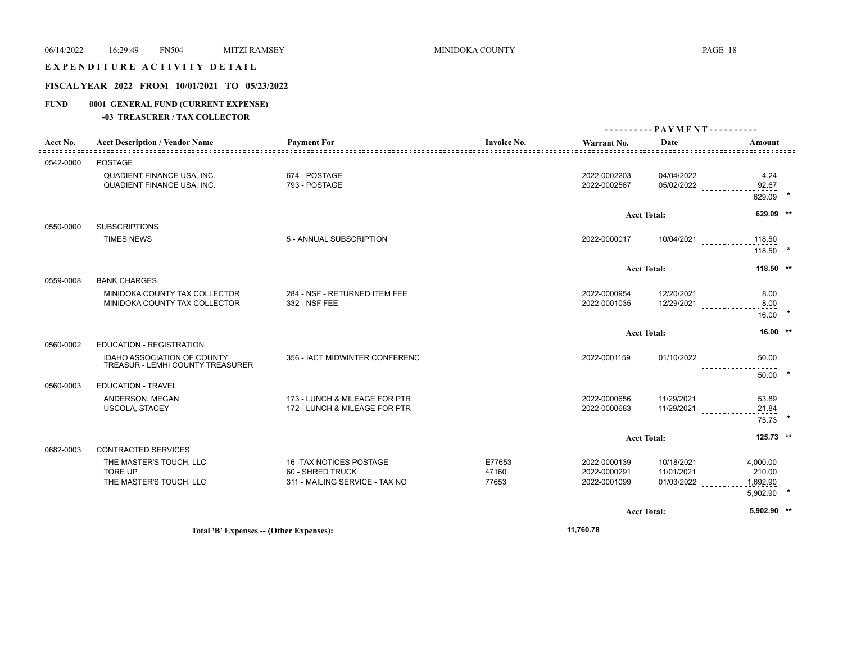## EXPENDITURE ACTIVITY DETAIL

## **FISCAL YEAR 2022 FROM 10/01/2021 TO 05/23/2022**

## **FUND 0001 GENERAL FUND (CURRENT EXPENSE)**

|               |                                                                      |                                                                                |                          |                                              |                                        | ---------- PAYMENT----------                      |  |
|---------------|----------------------------------------------------------------------|--------------------------------------------------------------------------------|--------------------------|----------------------------------------------|----------------------------------------|---------------------------------------------------|--|
| Acct No.<br>. | <b>Acct Description / Vendor Name</b><br>---------------------       | <b>Payment For</b>                                                             | <b>Invoice No.</b>       | Warrant No.                                  | Date                                   | Amount<br><u> = = = = = = = = = = = = = = = =</u> |  |
| 0542-0000     | POSTAGE                                                              |                                                                                |                          |                                              |                                        |                                                   |  |
|               | <b>QUADIENT FINANCE USA, INC.</b><br>QUADIENT FINANCE USA, INC.      | 674 - POSTAGE<br>793 - POSTAGE                                                 |                          | 2022-0002203<br>2022-0002567                 | 04/04/2022<br>05/02/2022               | 4.24<br>92.67<br>629.09                           |  |
|               |                                                                      |                                                                                |                          |                                              | <b>Acct Total:</b>                     | 629.09 **                                         |  |
| 0550-0000     | <b>SUBSCRIPTIONS</b>                                                 |                                                                                |                          |                                              |                                        |                                                   |  |
|               | <b>TIMES NEWS</b>                                                    | 5 - ANNUAL SUBSCRIPTION                                                        |                          | 2022-0000017                                 | 10/04/2021                             | 118.50<br>118.50                                  |  |
|               |                                                                      |                                                                                |                          |                                              | <b>Acct Total:</b>                     | 118.50 **                                         |  |
| 0559-0008     | <b>BANK CHARGES</b>                                                  |                                                                                |                          |                                              |                                        |                                                   |  |
|               | MINIDOKA COUNTY TAX COLLECTOR<br>MINIDOKA COUNTY TAX COLLECTOR       | 284 - NSF - RETURNED ITEM FEE<br>332 - NSF FEE                                 |                          | 2022-0000954<br>2022-0001035                 | 12/20/2021<br>12/29/2021               | 8.00<br>8.00<br>16.00                             |  |
|               |                                                                      |                                                                                |                          |                                              | <b>Acct Total:</b>                     | $16.00$ **                                        |  |
| 0560-0002     | <b>EDUCATION - REGISTRATION</b>                                      |                                                                                |                          |                                              |                                        |                                                   |  |
|               | IDAHO ASSOCIATION OF COUNTY<br>TREASUR - LEMHI COUNTY TREASURER      | 356 - IACT MIDWINTER CONFERENC                                                 |                          | 2022-0001159                                 | 01/10/2022                             | 50.00<br>50.00                                    |  |
| 0560-0003     | <b>EDUCATION - TRAVEL</b>                                            |                                                                                |                          |                                              |                                        |                                                   |  |
|               | ANDERSON, MEGAN<br><b>USCOLA, STACEY</b>                             | 173 - LUNCH & MILEAGE FOR PTR<br>172 - LUNCH & MILEAGE FOR PTR                 |                          | 2022-0000656<br>2022-0000683                 | 11/29/2021<br>11/29/2021               | 53.89<br>21.84<br>75.73                           |  |
|               |                                                                      |                                                                                |                          |                                              | <b>Acct Total:</b>                     | 125.73 **                                         |  |
| 0682-0003     | CONTRACTED SERVICES                                                  |                                                                                |                          |                                              |                                        |                                                   |  |
|               | THE MASTER'S TOUCH, LLC<br><b>TORE UP</b><br>THE MASTER'S TOUCH, LLC | 16 - TAX NOTICES POSTAGE<br>60 - SHRED TRUCK<br>311 - MAILING SERVICE - TAX NO | E77653<br>47160<br>77653 | 2022-0000139<br>2022-0000291<br>2022-0001099 | 10/18/2021<br>11/01/2021<br>01/03/2022 | 4,000.00<br>210.00<br>1,692.90<br>5,902.90        |  |
|               |                                                                      |                                                                                |                          |                                              | <b>Acct Total:</b>                     | 5,902.90 **                                       |  |
|               | Total 'B' Expenses - (Other Expenses):                               |                                                                                |                          | 11,760.78                                    |                                        |                                                   |  |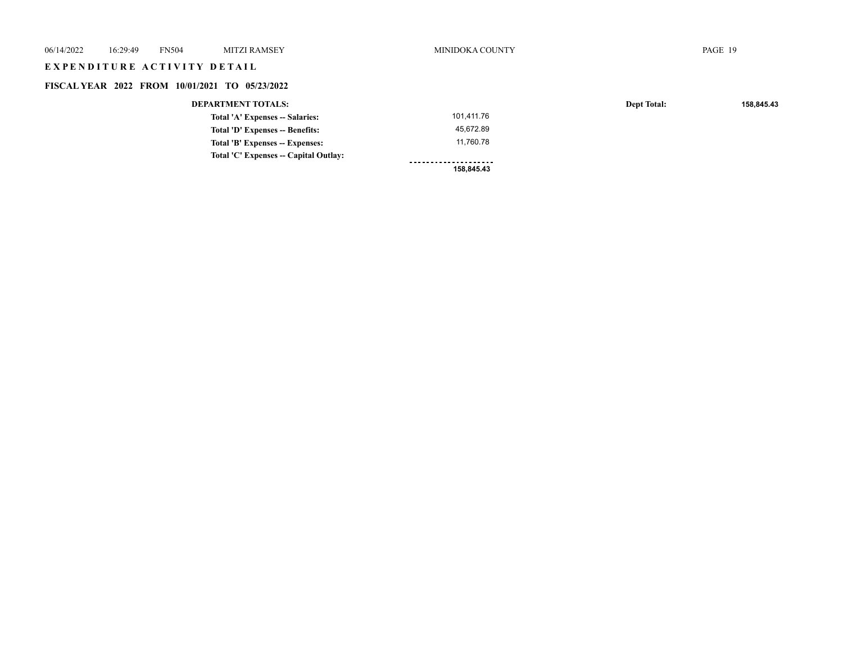| 06/14/2022 | 16:29:49 | <b>FN504</b>                | <b>MITZI RAMSEY</b>                            | MINIDOKA COUNTY |                    | PAGE 19    |
|------------|----------|-----------------------------|------------------------------------------------|-----------------|--------------------|------------|
|            |          | EXPENDITURE ACTIVITY DETAIL |                                                |                 |                    |            |
|            |          |                             | FISCAL YEAR 2022 FROM 10/01/2021 TO 05/23/2022 |                 |                    |            |
|            |          |                             | <b>DEPARTMENT TOTALS:</b>                      |                 | <b>Dept Total:</b> | 158,845.43 |
|            |          |                             | Total 'A' Expenses -- Salaries:                | 101,411.76      |                    |            |
|            |          |                             | Total 'D' Expenses -- Benefits:                | 45,672.89       |                    |            |
|            |          |                             | Total 'B' Expenses -- Expenses:                | 11,760.78       |                    |            |
|            |          |                             | Total 'C' Expenses -- Capital Outlay:          |                 |                    |            |
|            |          |                             |                                                | 158,845.43      |                    |            |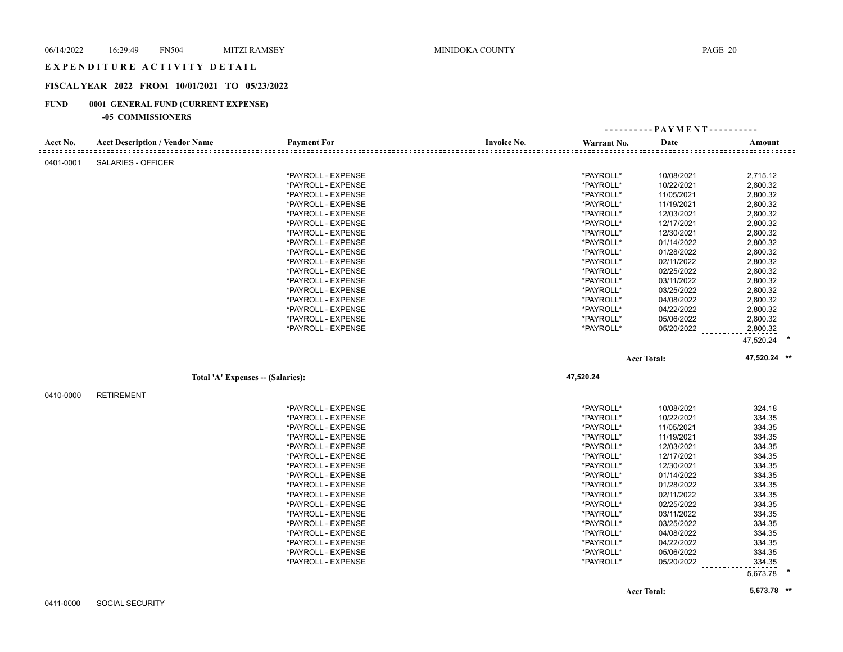## EXPENDITURE ACTIVITY DETAIL

## **FISCAL YEAR 2022 FROM 10/01/2021 TO 05/23/2022**

#### **FUND 0001 GENERAL FUND (CURRENT EXPENSE)**

#### **-05 COMMISSIONERS**

|           |                                       |                    |                    |             | ---------- PAYMENT---------- |              |
|-----------|---------------------------------------|--------------------|--------------------|-------------|------------------------------|--------------|
| Acct No.  | <b>Acct Description / Vendor Name</b> | <b>Payment For</b> | <b>Invoice No.</b> | Warrant No. | Date                         | Amount       |
|           |                                       |                    |                    |             |                              |              |
| 0401-0001 | <b>SALARIES - OFFICER</b>             |                    |                    |             |                              |              |
|           |                                       | *PAYROLL - EXPENSE |                    | *PAYROLL*   | 10/08/2021                   | 2,715.12     |
|           |                                       | *PAYROLL - EXPENSE |                    | *PAYROLL*   | 10/22/2021                   | 2,800.32     |
|           |                                       | *PAYROLL - EXPENSE |                    | *PAYROLL*   | 11/05/2021                   | 2,800.32     |
|           |                                       | *PAYROLL - EXPENSE |                    | *PAYROLL*   | 11/19/2021                   | 2,800.32     |
|           |                                       | *PAYROLL - EXPENSE |                    | *PAYROLL*   | 12/03/2021                   | 2,800.32     |
|           |                                       | *PAYROLL - EXPENSE |                    | *PAYROLL*   | 12/17/2021                   | 2,800.32     |
|           |                                       | *PAYROLL - EXPENSE |                    | *PAYROLL*   | 12/30/2021                   | 2,800.32     |
|           |                                       | *PAYROLL - EXPENSE |                    | *PAYROLL*   | 01/14/2022                   | 2,800.32     |
|           |                                       | *PAYROLL - EXPENSE |                    | *PAYROLL*   | 01/28/2022                   | 2,800.32     |
|           |                                       | *PAYROLL - EXPENSE |                    | *PAYROLL*   | 02/11/2022                   | 2,800.32     |
|           |                                       | *PAYROLL - EXPENSE |                    | *PAYROLL*   | 02/25/2022                   | 2,800.32     |
|           |                                       | *PAYROLL - EXPENSE |                    | *PAYROLL*   | 03/11/2022                   | 2,800.32     |
|           |                                       | *PAYROLL - EXPENSE |                    | *PAYROLL*   | 03/25/2022                   | 2,800.32     |
|           |                                       | *PAYROLL - EXPENSE |                    | *PAYROLL*   | 04/08/2022                   | 2,800.32     |
|           |                                       | *PAYROLL - EXPENSE |                    | *PAYROLL*   | 04/22/2022                   | 2,800.32     |
|           |                                       | *PAYROLL - EXPENSE |                    | *PAYROLL*   | 05/06/2022                   | 2,800.32     |
|           |                                       | *PAYROLL - EXPENSE |                    | *PAYROLL*   | 05/20/2022                   | 2,800.32     |
|           |                                       |                    |                    |             |                              |              |
|           |                                       |                    |                    |             |                              | 47,520.24 *  |
|           |                                       |                    |                    |             | <b>Acct Total:</b>           | 47,520.24 ** |
|           | Total 'A' Expenses -- (Salaries):     |                    |                    | 47,520.24   |                              |              |
| 0410-0000 | <b>RETIREMENT</b>                     |                    |                    |             |                              |              |
|           |                                       | *PAYROLL - EXPENSE |                    | *PAYROLL*   |                              | 324.18       |
|           |                                       | *PAYROLL - EXPENSE |                    | *PAYROLL*   | 10/08/2021<br>10/22/2021     | 334.35       |
|           |                                       | *PAYROLL - EXPENSE |                    | *PAYROLL*   | 11/05/2021                   | 334.35       |
|           |                                       |                    |                    |             |                              |              |
|           |                                       | *PAYROLL - EXPENSE |                    | *PAYROLL*   | 11/19/2021                   | 334.35       |
|           |                                       | *PAYROLL - EXPENSE |                    | *PAYROLL*   | 12/03/2021                   | 334.35       |
|           |                                       | *PAYROLL - EXPENSE |                    | *PAYROLL*   | 12/17/2021                   | 334.35       |
|           |                                       | *PAYROLL - EXPENSE |                    | *PAYROLL*   | 12/30/2021                   | 334.35       |
|           |                                       | *PAYROLL - EXPENSE |                    | *PAYROLL*   | 01/14/2022                   | 334.35       |
|           |                                       | *PAYROLL - EXPENSE |                    | *PAYROLL*   | 01/28/2022                   | 334.35       |
|           |                                       | *PAYROLL - EXPENSE |                    | *PAYROLL*   | 02/11/2022                   | 334.35       |
|           |                                       | *PAYROLL - EXPENSE |                    | *PAYROLL*   | 02/25/2022                   | 334.35       |
|           |                                       | *PAYROLL - EXPENSE |                    | *PAYROLL*   | 03/11/2022                   | 334.35       |
|           |                                       | *PAYROLL - EXPENSE |                    | *PAYROLL*   | 03/25/2022                   | 334.35       |
|           |                                       | *PAYROLL - EXPENSE |                    | *PAYROLL*   | 04/08/2022                   | 334.35       |
|           |                                       | *PAYROLL - EXPENSE |                    | *PAYROLL*   | 04/22/2022                   | 334.35       |
|           |                                       | *PAYROLL - EXPENSE |                    | *PAYROLL*   | 05/06/2022                   | 334.35       |
|           |                                       |                    |                    |             |                              |              |
|           |                                       | *PAYROLL - EXPENSE |                    | *PAYROLL*   | 05/20/2022                   | 334.35       |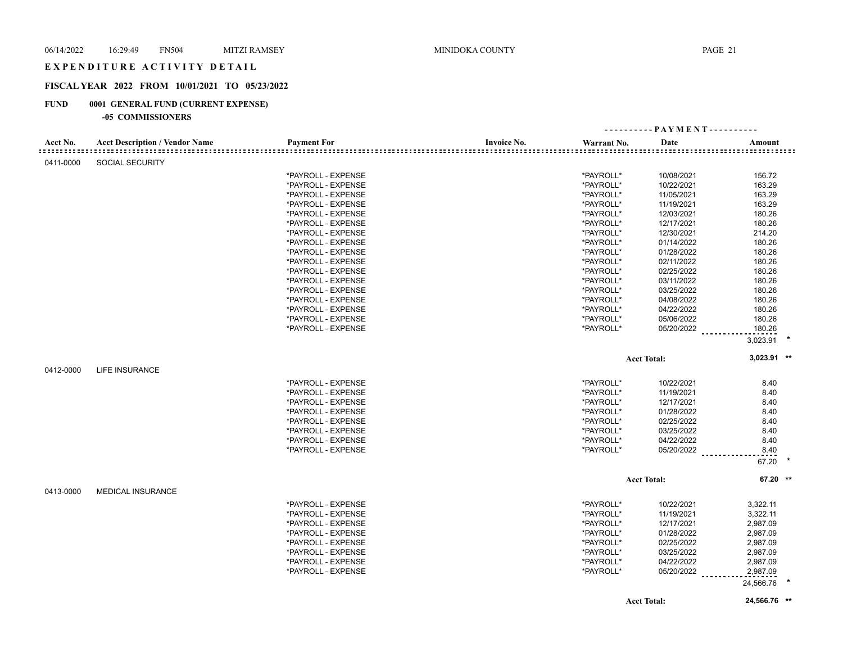### EXPENDITURE ACTIVITY DETAIL

## **FISCAL YEAR 2022 FROM 10/01/2021 TO 05/23/2022**

## **FUND 0001 GENERAL FUND (CURRENT EXPENSE)**

#### **-05 COMMISSIONERS**

|           |                                       |                    |                    |             | $-$ PAYMENT - - - - - - - - - - |                   |  |
|-----------|---------------------------------------|--------------------|--------------------|-------------|---------------------------------|-------------------|--|
| Acct No.  | <b>Acct Description / Vendor Name</b> | <b>Payment For</b> | <b>Invoice No.</b> | Warrant No. | Date                            | Amount            |  |
| 0411-0000 | <b>SOCIAL SECURITY</b>                |                    |                    |             |                                 |                   |  |
|           |                                       | *PAYROLL - EXPENSE |                    | *PAYROLL*   | 10/08/2021                      | 156.72            |  |
|           |                                       | *PAYROLL - EXPENSE |                    | *PAYROLL*   | 10/22/2021                      | 163.29            |  |
|           |                                       | *PAYROLL - EXPENSE |                    | *PAYROLL*   | 11/05/2021                      | 163.29            |  |
|           |                                       | *PAYROLL - EXPENSE |                    | *PAYROLL*   | 11/19/2021                      | 163.29            |  |
|           |                                       | *PAYROLL - EXPENSE |                    | *PAYROLL*   | 12/03/2021                      | 180.26            |  |
|           |                                       | *PAYROLL - EXPENSE |                    | *PAYROLL*   | 12/17/2021                      | 180.26            |  |
|           |                                       | *PAYROLL - EXPENSE |                    | *PAYROLL*   | 12/30/2021                      | 214.20            |  |
|           |                                       | *PAYROLL - EXPENSE |                    | *PAYROLL*   | 01/14/2022                      | 180.26            |  |
|           |                                       | *PAYROLL - EXPENSE |                    | *PAYROLL*   | 01/28/2022                      | 180.26            |  |
|           |                                       | *PAYROLL - EXPENSE |                    | *PAYROLL*   | 02/11/2022                      | 180.26            |  |
|           |                                       | *PAYROLL - EXPENSE |                    | *PAYROLL*   | 02/25/2022                      | 180.26            |  |
|           |                                       | *PAYROLL - EXPENSE |                    | *PAYROLL*   | 03/11/2022                      | 180.26            |  |
|           |                                       | *PAYROLL - EXPENSE |                    | *PAYROLL*   | 03/25/2022                      | 180.26            |  |
|           |                                       | *PAYROLL - EXPENSE |                    | *PAYROLL*   | 04/08/2022                      | 180.26            |  |
|           |                                       | *PAYROLL - EXPENSE |                    | *PAYROLL*   | 04/22/2022                      | 180.26            |  |
|           |                                       | *PAYROLL - EXPENSE |                    | *PAYROLL*   | 05/06/2022                      | 180.26            |  |
|           |                                       | *PAYROLL - EXPENSE |                    | *PAYROLL*   | 05/20/2022                      | 180.26            |  |
|           |                                       |                    |                    |             |                                 |                   |  |
|           |                                       |                    |                    |             |                                 | 3,023.91          |  |
|           |                                       |                    |                    |             | <b>Acct Total:</b>              | $3,023.91$ **     |  |
| 0412-0000 | <b>LIFE INSURANCE</b>                 |                    |                    |             |                                 |                   |  |
|           |                                       | *PAYROLL - EXPENSE |                    | *PAYROLL*   | 10/22/2021                      | 8.40              |  |
|           |                                       | *PAYROLL - EXPENSE |                    | *PAYROLL*   | 11/19/2021                      | 8.40              |  |
|           |                                       | *PAYROLL - EXPENSE |                    | *PAYROLL*   | 12/17/2021                      | 8.40              |  |
|           |                                       | *PAYROLL - EXPENSE |                    | *PAYROLL*   | 01/28/2022                      | 8.40              |  |
|           |                                       | *PAYROLL - EXPENSE |                    | *PAYROLL*   | 02/25/2022                      | 8.40              |  |
|           |                                       | *PAYROLL - EXPENSE |                    | *PAYROLL*   | 03/25/2022                      | 8.40              |  |
|           |                                       | *PAYROLL - EXPENSE |                    | *PAYROLL*   | 04/22/2022                      | 8.40              |  |
|           |                                       | *PAYROLL - EXPENSE |                    | *PAYROLL*   | 05/20/2022                      | 8.40              |  |
|           |                                       |                    |                    |             |                                 | <u>.</u><br>67.20 |  |
|           |                                       |                    |                    |             | <b>Acct Total:</b>              | 67.20 **          |  |
|           |                                       |                    |                    |             |                                 |                   |  |
| 0413-0000 | <b>MEDICAL INSURANCE</b>              |                    |                    |             |                                 |                   |  |
|           |                                       | *PAYROLL - EXPENSE |                    | *PAYROLL*   | 10/22/2021                      | 3,322.11          |  |
|           |                                       | *PAYROLL - EXPENSE |                    | *PAYROLL*   | 11/19/2021                      | 3,322.11          |  |
|           |                                       | *PAYROLL - EXPENSE |                    | *PAYROLL*   | 12/17/2021                      | 2,987.09          |  |
|           |                                       | *PAYROLL - EXPENSE |                    | *PAYROLL*   | 01/28/2022                      | 2,987.09          |  |
|           |                                       | *PAYROLL - EXPENSE |                    | *PAYROLL*   | 02/25/2022                      | 2,987.09          |  |
|           |                                       | *PAYROLL - EXPENSE |                    | *PAYROLL*   | 03/25/2022                      | 2,987.09          |  |
|           |                                       | *PAYROLL - EXPENSE |                    | *PAYROLL*   | 04/22/2022                      | 2,987.09          |  |
|           |                                       | *PAYROLL - EXPENSE |                    | *PAYROLL*   | 05/20/2022                      | 2,987.09          |  |
|           |                                       |                    |                    |             |                                 | 24,566.76         |  |
|           |                                       |                    |                    |             | <b>Acct Total:</b>              | 24,566.76 **      |  |
|           |                                       |                    |                    |             |                                 |                   |  |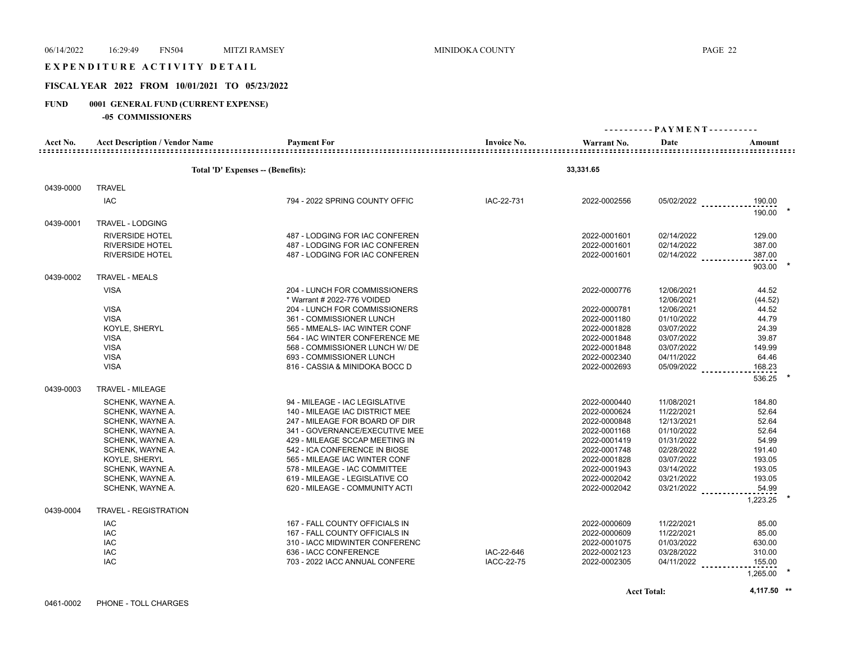## EXPENDITURE ACTIVITY DETAIL

## **FISCAL YEAR 2022 FROM 10/01/2021 TO 05/23/2022**

## **FUND 0001 GENERAL FUND (CURRENT EXPENSE)**

|           | -05 COMMISSIONERS                     |                                   |                    |              |                              |          |
|-----------|---------------------------------------|-----------------------------------|--------------------|--------------|------------------------------|----------|
|           |                                       |                                   |                    |              | ---------- PAYMENT---------- |          |
| Acct No.  | <b>Acct Description / Vendor Name</b> | <b>Payment For</b>                | <b>Invoice No.</b> | Warrant No.  | Date                         | Amount   |
|           |                                       |                                   |                    |              |                              |          |
|           |                                       | Total 'D' Expenses -- (Benefits): |                    | 33,331.65    |                              |          |
| 0439-0000 | <b>TRAVEL</b>                         |                                   |                    |              |                              |          |
|           | <b>IAC</b>                            | 794 - 2022 SPRING COUNTY OFFIC    | IAC-22-731         | 2022-0002556 | $05/02/2022$                 | 190.00   |
|           |                                       |                                   |                    |              |                              | 190.00   |
| 0439-0001 | TRAVEL - LODGING                      |                                   |                    |              |                              |          |
|           | <b>RIVERSIDE HOTEL</b>                | 487 - LODGING FOR IAC CONFEREN    |                    | 2022-0001601 | 02/14/2022                   | 129.00   |
|           | <b>RIVERSIDE HOTEL</b>                | 487 - LODGING FOR IAC CONFEREN    |                    | 2022-0001601 | 02/14/2022                   | 387.00   |
|           | <b>RIVERSIDE HOTEL</b>                | 487 - LODGING FOR IAC CONFEREN    |                    | 2022-0001601 | 02/14/2022                   | 387.00   |
|           |                                       |                                   |                    |              |                              | 903.00   |
| 0439-0002 | <b>TRAVEL - MEALS</b>                 |                                   |                    |              |                              |          |
|           | <b>VISA</b>                           | 204 - LUNCH FOR COMMISSIONERS     |                    | 2022-0000776 | 12/06/2021                   | 44.52    |
|           |                                       | * Warrant # 2022-776 VOIDED       |                    |              | 12/06/2021                   | (44.52)  |
|           | <b>VISA</b>                           | 204 - LUNCH FOR COMMISSIONERS     |                    | 2022-0000781 | 12/06/2021                   | 44.52    |
|           | <b>VISA</b>                           | 361 - COMMISSIONER LUNCH          |                    | 2022-0001180 | 01/10/2022                   | 44.79    |
|           | KOYLE, SHERYL                         | 565 - MMEALS- IAC WINTER CONF     |                    | 2022-0001828 | 03/07/2022                   | 24.39    |
|           | <b>VISA</b>                           | 564 - IAC WINTER CONFERENCE ME    |                    | 2022-0001848 | 03/07/2022                   | 39.87    |
|           | <b>VISA</b>                           | 568 - COMMISSIONER LUNCH W/ DE    |                    | 2022-0001848 | 03/07/2022                   | 149.99   |
|           | <b>VISA</b>                           | 693 - COMMISSIONER LUNCH          |                    | 2022-0002340 | 04/11/2022                   | 64.46    |
|           | <b>VISA</b>                           | 816 - CASSIA & MINIDOKA BOCC D    |                    | 2022-0002693 | 05/09/2022                   | 168.23   |
|           |                                       |                                   |                    |              |                              | 536.25   |
| 0439-0003 | TRAVEL - MILEAGE                      |                                   |                    |              |                              |          |
|           | SCHENK, WAYNE A.                      | 94 - MILEAGE - IAC LEGISLATIVE    |                    | 2022-0000440 | 11/08/2021                   | 184.80   |
|           | SCHENK, WAYNE A.                      | 140 - MILEAGE IAC DISTRICT MEE    |                    | 2022-0000624 | 11/22/2021                   | 52.64    |
|           | SCHENK, WAYNE A.                      | 247 - MILEAGE FOR BOARD OF DIR    |                    | 2022-0000848 | 12/13/2021                   | 52.64    |
|           | SCHENK, WAYNE A.                      | 341 - GOVERNANCE/EXECUTIVE MEE    |                    | 2022-0001168 | 01/10/2022                   | 52.64    |
|           | SCHENK, WAYNE A.                      | 429 - MILEAGE SCCAP MEETING IN    |                    | 2022-0001419 | 01/31/2022                   | 54.99    |
|           | SCHENK, WAYNE A.                      | 542 - ICA CONFERENCE IN BIOSE     |                    | 2022-0001748 | 02/28/2022                   | 191.40   |
|           | KOYLE, SHERYL                         | 565 - MILEAGE IAC WINTER CONF     |                    | 2022-0001828 | 03/07/2022                   | 193.05   |
|           | SCHENK, WAYNE A.                      | 578 - MILEAGE - IAC COMMITTEE     |                    | 2022-0001943 | 03/14/2022                   | 193.05   |
|           | SCHENK, WAYNE A.                      | 619 - MILEAGE - LEGISLATIVE CO    |                    | 2022-0002042 | 03/21/2022                   | 193.05   |
|           | SCHENK, WAYNE A.                      | 620 - MILEAGE - COMMUNITY ACTI    |                    | 2022-0002042 | 03/21/2022                   | 54.99    |
|           |                                       |                                   |                    |              |                              | 1,223.25 |
| 0439-0004 | <b>TRAVEL - REGISTRATION</b>          |                                   |                    |              |                              |          |
|           | <b>IAC</b>                            | 167 - FALL COUNTY OFFICIALS IN    |                    | 2022-0000609 | 11/22/2021                   | 85.00    |
|           | <b>IAC</b>                            | 167 - FALL COUNTY OFFICIALS IN    |                    | 2022-0000609 | 11/22/2021                   | 85.00    |
|           | <b>IAC</b>                            | 310 - IACC MIDWINTER CONFERENC    |                    | 2022-0001075 | 01/03/2022                   | 630.00   |
|           | <b>IAC</b>                            | 636 - IACC CONFERENCE             | IAC-22-646         | 2022-0002123 | 03/28/2022                   | 310.00   |
|           | <b>IAC</b>                            | 703 - 2022 IACC ANNUAL CONFERE    | <b>IACC-22-75</b>  | 2022-0002305 | 04/11/2022                   | 155.00   |
|           |                                       |                                   |                    |              |                              | 1,265.00 |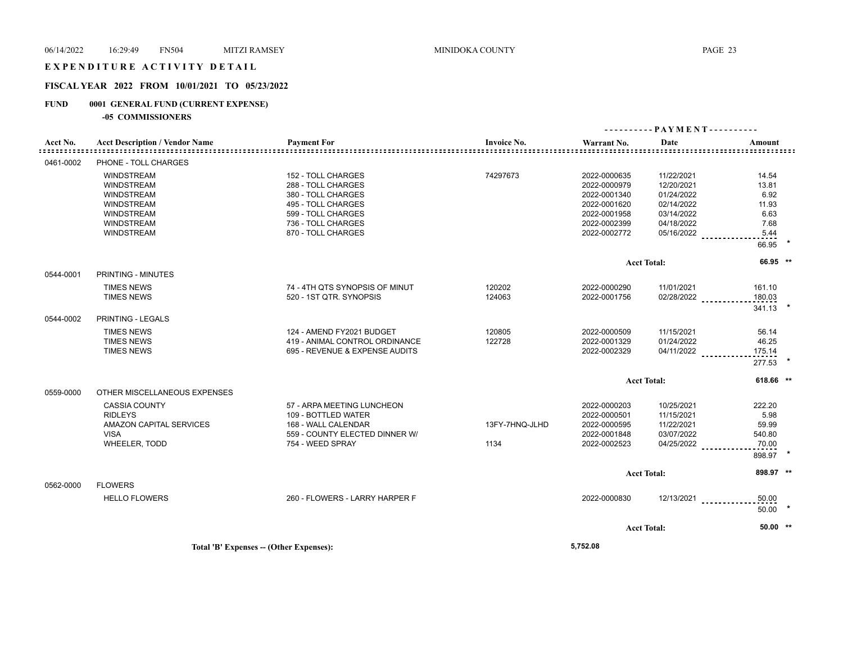## EXPENDITURE ACTIVITY DETAIL

## **FISCAL YEAR 2022 FROM 10/01/2021 TO 05/23/2022**

## **FUND 0001 GENERAL FUND (CURRENT EXPENSE)**

**-05 COMMISSIONERS**

|           |                                       |                                         |                       |                        | ---------- PAYMENT---------- |                             |  |
|-----------|---------------------------------------|-----------------------------------------|-----------------------|------------------------|------------------------------|-----------------------------|--|
| Acct No.  | <b>Acct Description / Vendor Name</b> | <b>Payment For</b>                      | <b>Invoice No.</b>    | Warrant No.            | Date                         | Amount                      |  |
|           |                                       |                                         | ===================== | ====================== |                              | <u>====================</u> |  |
| 0461-0002 | PHONE - TOLL CHARGES                  |                                         |                       |                        |                              |                             |  |
|           | <b>WINDSTREAM</b>                     | 152 - TOLL CHARGES                      | 74297673              | 2022-0000635           | 11/22/2021                   | 14.54                       |  |
|           | <b>WINDSTREAM</b>                     | 288 - TOLL CHARGES                      |                       | 2022-0000979           | 12/20/2021                   | 13.81                       |  |
|           | <b>WINDSTREAM</b>                     | 380 - TOLL CHARGES                      |                       | 2022-0001340           | 01/24/2022                   | 6.92                        |  |
|           | <b>WINDSTREAM</b>                     | 495 - TOLL CHARGES                      |                       | 2022-0001620           | 02/14/2022                   | 11.93                       |  |
|           | <b>WINDSTREAM</b>                     | 599 - TOLL CHARGES                      |                       | 2022-0001958           | 03/14/2022                   | 6.63                        |  |
|           | <b>WINDSTREAM</b>                     | 736 - TOLL CHARGES                      |                       | 2022-0002399           | 04/18/2022                   | 7.68                        |  |
|           | <b>WINDSTREAM</b>                     | 870 - TOLL CHARGES                      |                       | 2022-0002772           | 05/16/2022                   | 5.44                        |  |
|           |                                       |                                         |                       |                        |                              | 66.95                       |  |
|           |                                       |                                         |                       |                        | <b>Acct Total:</b>           | 66.95 **                    |  |
| 0544-0001 | PRINTING - MINUTES                    |                                         |                       |                        |                              |                             |  |
|           | <b>TIMES NEWS</b>                     | 74 - 4TH QTS SYNOPSIS OF MINUT          | 120202                | 2022-0000290           | 11/01/2021                   | 161.10                      |  |
|           | <b>TIMES NEWS</b>                     | 520 - 1ST QTR. SYNOPSIS                 | 124063                | 2022-0001756           | $02/28/2022$                 | 180.03                      |  |
|           |                                       |                                         |                       |                        |                              | 341.13                      |  |
| 0544-0002 | PRINTING - LEGALS                     |                                         |                       |                        |                              |                             |  |
|           | <b>TIMES NEWS</b>                     | 124 - AMEND FY2021 BUDGET               | 120805                | 2022-0000509           | 11/15/2021                   | 56.14                       |  |
|           | <b>TIMES NEWS</b>                     | 419 - ANIMAL CONTROL ORDINANCE          | 122728                | 2022-0001329           | 01/24/2022                   | 46.25                       |  |
|           | <b>TIMES NEWS</b>                     | 695 - REVENUE & EXPENSE AUDITS          |                       | 2022-0002329           | 04/11/2022                   | 175.14                      |  |
|           |                                       |                                         |                       |                        |                              | 277.53                      |  |
|           |                                       |                                         |                       |                        | <b>Acct Total:</b>           | 618.66 **                   |  |
| 0559-0000 | OTHER MISCELLANEOUS EXPENSES          |                                         |                       |                        |                              |                             |  |
|           | <b>CASSIA COUNTY</b>                  | 57 - ARPA MEETING LUNCHEON              |                       | 2022-0000203           | 10/25/2021                   | 222.20                      |  |
|           | <b>RIDLEYS</b>                        | 109 - BOTTLED WATER                     |                       | 2022-0000501           | 11/15/2021                   | 5.98                        |  |
|           | AMAZON CAPITAL SERVICES               | 168 - WALL CALENDAR                     | 13FY-7HNQ-JLHD        | 2022-0000595           | 11/22/2021                   | 59.99                       |  |
|           | <b>VISA</b>                           | 559 - COUNTY ELECTED DINNER W/          |                       | 2022-0001848           | 03/07/2022                   | 540.80                      |  |
|           | WHEELER. TODD                         | 754 - WEED SPRAY                        | 1134                  | 2022-0002523           | 04/25/2022                   | 70.00                       |  |
|           |                                       |                                         |                       |                        |                              | 898.97 *                    |  |
|           |                                       |                                         |                       |                        | <b>Acct Total:</b>           | 898.97 **                   |  |
| 0562-0000 | <b>FLOWERS</b>                        |                                         |                       |                        |                              |                             |  |
|           | <b>HELLO FLOWERS</b>                  | 260 - FLOWERS - LARRY HARPER F          |                       | 2022-0000830           |                              | $12/13/2021$<br>50.00       |  |
|           |                                       |                                         |                       |                        |                              | $50.00$ *                   |  |
|           |                                       |                                         |                       |                        | <b>Acct Total:</b>           | $50.00$ **                  |  |
|           |                                       |                                         |                       |                        |                              |                             |  |
|           |                                       | Total 'B' Expenses -- (Other Expenses): |                       | 5,752.08               |                              |                             |  |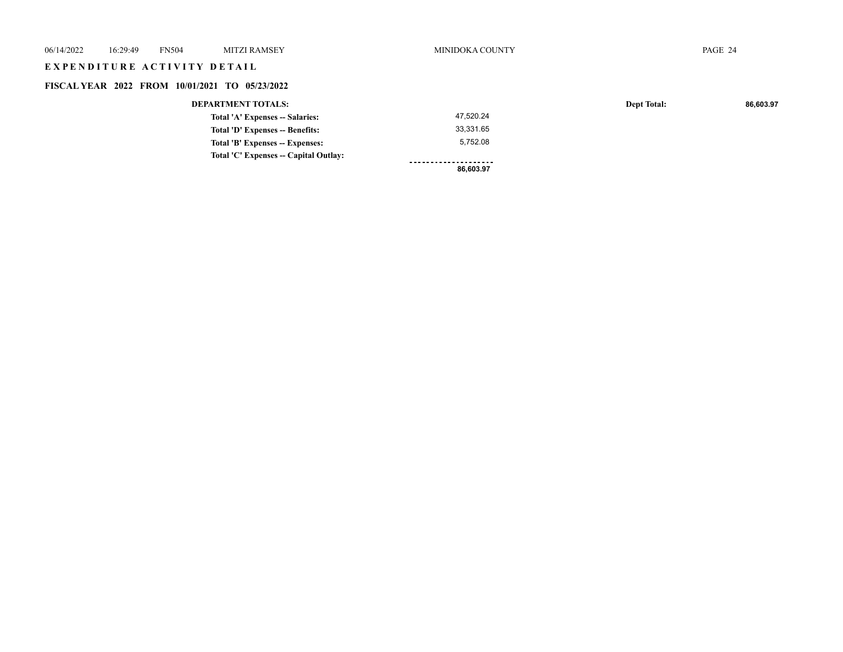| 06/14/2022 | 16:29:49                    | <b>FN504</b> | <b>MITZI RAMSEY</b>                            | MINIDOKA COUNTY      |                    | PAGE 24   |
|------------|-----------------------------|--------------|------------------------------------------------|----------------------|--------------------|-----------|
|            | EXPENDITURE ACTIVITY DETAIL |              |                                                |                      |                    |           |
|            |                             |              | FISCAL YEAR 2022 FROM 10/01/2021 TO 05/23/2022 |                      |                    |           |
|            |                             |              | <b>DEPARTMENT TOTALS:</b>                      |                      | <b>Dept Total:</b> | 86,603.97 |
|            |                             |              | Total 'A' Expenses -- Salaries:                | 47,520.24            |                    |           |
|            |                             |              | Total 'D' Expenses -- Benefits:                | 33,331.65            |                    |           |
|            |                             |              | Total 'B' Expenses -- Expenses:                | 5,752.08             |                    |           |
|            |                             |              | Total 'C' Expenses -- Capital Outlay:          | -------------------- |                    |           |
|            |                             |              |                                                | 86,603.97            |                    |           |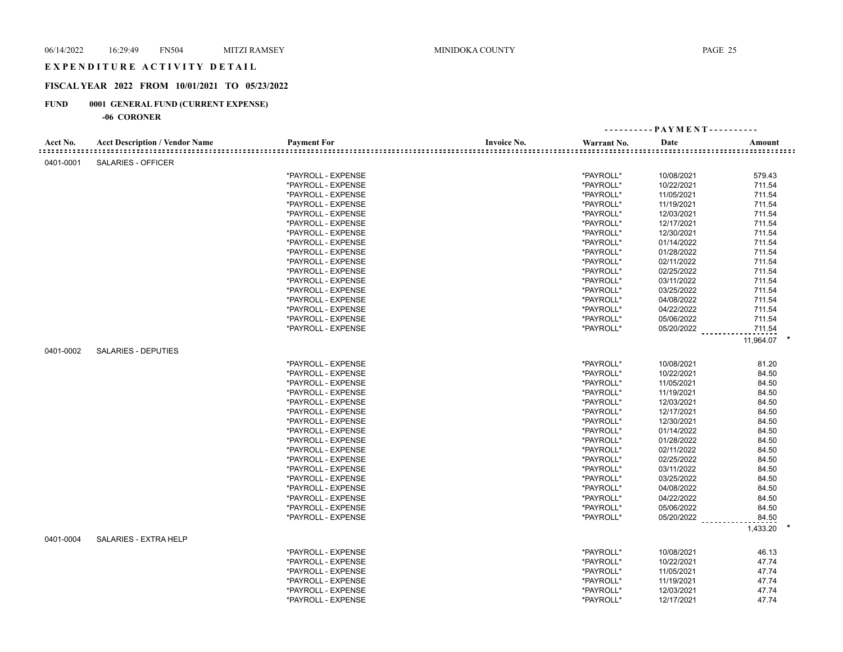## E X P E N D I T U R E A C T I V I T Y D E T A I L

## **FISCAL YEAR 2022 FROM 10/01/2021 TO 05/23/2022**

## **FUND 0001 GENERAL FUND (CURRENT EXPENSE)**

|           |                                       |                    |                                                 |             | ---------- PAYMENT---------- |           |
|-----------|---------------------------------------|--------------------|-------------------------------------------------|-------------|------------------------------|-----------|
| Acct No.  | <b>Acct Description / Vendor Name</b> | <b>Payment For</b> | <b>Invoice No.</b><br>========================= | Warrant No. | Date                         | Amount    |
| 0401-0001 | <b>SALARIES - OFFICER</b>             |                    |                                                 |             |                              |           |
|           |                                       | *PAYROLL - EXPENSE |                                                 | *PAYROLL*   | 10/08/2021                   | 579.43    |
|           |                                       | *PAYROLL - EXPENSE |                                                 | *PAYROLL*   | 10/22/2021                   | 711.54    |
|           |                                       | *PAYROLL - EXPENSE |                                                 | *PAYROLL*   | 11/05/2021                   | 711.54    |
|           |                                       | *PAYROLL - EXPENSE |                                                 | *PAYROLL*   | 11/19/2021                   | 711.54    |
|           |                                       | *PAYROLL - EXPENSE |                                                 | *PAYROLL*   | 12/03/2021                   | 711.54    |
|           |                                       | *PAYROLL - EXPENSE |                                                 | *PAYROLL*   | 12/17/2021                   | 711.54    |
|           |                                       | *PAYROLL - EXPENSE |                                                 | *PAYROLL*   | 12/30/2021                   | 711.54    |
|           |                                       | *PAYROLL - EXPENSE |                                                 | *PAYROLL*   | 01/14/2022                   | 711.54    |
|           |                                       | *PAYROLL - EXPENSE |                                                 | *PAYROLL*   | 01/28/2022                   | 711.54    |
|           |                                       | *PAYROLL - EXPENSE |                                                 | *PAYROLL*   | 02/11/2022                   | 711.54    |
|           |                                       | *PAYROLL - EXPENSE |                                                 | *PAYROLL*   | 02/25/2022                   | 711.54    |
|           |                                       | *PAYROLL - EXPENSE |                                                 | *PAYROLL*   | 03/11/2022                   | 711.54    |
|           |                                       | *PAYROLL - EXPENSE |                                                 | *PAYROLL*   | 03/25/2022                   | 711.54    |
|           |                                       | *PAYROLL - EXPENSE |                                                 | *PAYROLL*   | 04/08/2022                   | 711.54    |
|           |                                       | *PAYROLL - EXPENSE |                                                 | *PAYROLL*   | 04/22/2022                   | 711.54    |
|           |                                       | *PAYROLL - EXPENSE |                                                 | *PAYROLL*   | 05/06/2022                   | 711.54    |
|           |                                       | *PAYROLL - EXPENSE |                                                 | *PAYROLL*   | 05/20/2022                   |           |
|           |                                       |                    |                                                 |             |                              | 711.54    |
|           |                                       |                    |                                                 |             |                              | 11,964.07 |
| 0401-0002 | <b>SALARIES - DEPUTIES</b>            |                    |                                                 |             |                              |           |
|           |                                       | *PAYROLL - EXPENSE |                                                 | *PAYROLL*   | 10/08/2021                   | 81.20     |
|           |                                       | *PAYROLL - EXPENSE |                                                 | *PAYROLL*   | 10/22/2021                   | 84.50     |
|           |                                       | *PAYROLL - EXPENSE |                                                 | *PAYROLL*   | 11/05/2021                   | 84.50     |
|           |                                       | *PAYROLL - EXPENSE |                                                 | *PAYROLL*   | 11/19/2021                   | 84.50     |
|           |                                       | *PAYROLL - EXPENSE |                                                 | *PAYROLL*   | 12/03/2021                   | 84.50     |
|           |                                       | *PAYROLL - EXPENSE |                                                 | *PAYROLL*   | 12/17/2021                   | 84.50     |
|           |                                       | *PAYROLL - EXPENSE |                                                 | *PAYROLL*   | 12/30/2021                   | 84.50     |
|           |                                       | *PAYROLL - EXPENSE |                                                 | *PAYROLL*   | 01/14/2022                   | 84.50     |
|           |                                       | *PAYROLL - EXPENSE |                                                 | *PAYROLL*   | 01/28/2022                   | 84.50     |
|           |                                       | *PAYROLL - EXPENSE |                                                 | *PAYROLL*   | 02/11/2022                   | 84.50     |
|           |                                       | *PAYROLL - EXPENSE |                                                 | *PAYROLL*   | 02/25/2022                   | 84.50     |
|           |                                       | *PAYROLL - EXPENSE |                                                 | *PAYROLL*   | 03/11/2022                   | 84.50     |
|           |                                       | *PAYROLL - EXPENSE |                                                 | *PAYROLL*   | 03/25/2022                   | 84.50     |
|           |                                       | *PAYROLL - EXPENSE |                                                 | *PAYROLL*   | 04/08/2022                   | 84.50     |
|           |                                       | *PAYROLL - EXPENSE |                                                 | *PAYROLL*   | 04/22/2022                   | 84.50     |
|           |                                       | *PAYROLL - EXPENSE |                                                 | *PAYROLL*   | 05/06/2022                   | 84.50     |
|           |                                       | *PAYROLL - EXPENSE |                                                 | *PAYROLL*   | 05/20/2022                   | 84.50     |
|           |                                       |                    |                                                 |             |                              | 1,433.20  |
| 0401-0004 | <b>SALARIES - EXTRA HELP</b>          |                    |                                                 |             |                              |           |
|           |                                       | *PAYROLL - EXPENSE |                                                 | *PAYROLL*   | 10/08/2021                   | 46.13     |
|           |                                       | *PAYROLL - EXPENSE |                                                 | *PAYROLL*   | 10/22/2021                   | 47.74     |
|           |                                       | *PAYROLL - EXPENSE |                                                 | *PAYROLL*   | 11/05/2021                   | 47.74     |
|           |                                       | *PAYROLL - EXPENSE |                                                 | *PAYROLL*   | 11/19/2021                   | 47.74     |
|           |                                       | *PAYROLL - EXPENSE |                                                 | *PAYROLL*   | 12/03/2021                   | 47.74     |
|           |                                       | *PAYROLL - EXPENSE |                                                 | *PAYROLL*   | 12/17/2021                   | 47.74     |
|           |                                       |                    |                                                 |             |                              |           |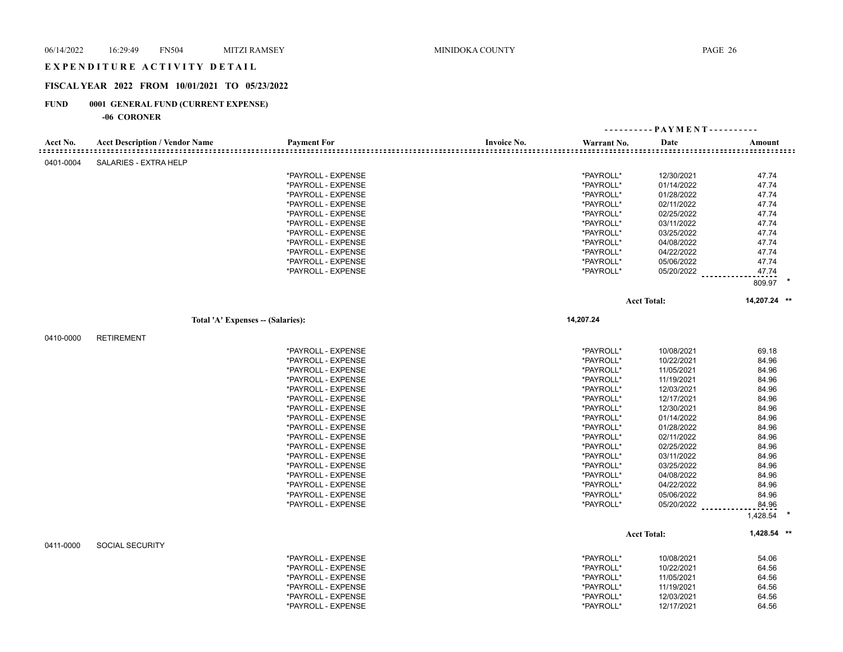## E X P E N D I T U R E A C T I V I T Y D E T A I L

## **FISCAL YEAR 2022 FROM 10/01/2021 TO 05/23/2022**

## **FUND 0001 GENERAL FUND (CURRENT EXPENSE)**

| Invoice No.<br>Acct No.<br><b>Acct Description / Vendor Name</b><br><b>Payment For</b><br>Date<br>Warrant No.<br>Amount<br>0401-0004<br><b>SALARIES - EXTRA HELP</b><br>*PAYROLL - EXPENSE<br>*PAYROLL*<br>12/30/2021<br>47.74<br>47.74<br>*PAYROLL - EXPENSE<br>*PAYROLL*<br>01/14/2022<br>*PAYROLL*<br>47.74<br>*PAYROLL - EXPENSE<br>01/28/2022<br>*PAYROLL*<br>47.74<br>*PAYROLL - EXPENSE<br>02/11/2022<br>*PAYROLL*<br>02/25/2022<br>47.74<br>*PAYROLL - EXPENSE<br>*PAYROLL*<br>03/11/2022<br>47.74<br>*PAYROLL - EXPENSE<br>47.74<br>*PAYROLL - EXPENSE<br>*PAYROLL*<br>03/25/2022<br>*PAYROLL*<br>04/08/2022<br>47.74<br>*PAYROLL - EXPENSE<br>*PAYROLL - EXPENSE<br>*PAYROLL*<br>04/22/2022<br>47.74<br>*PAYROLL*<br>05/06/2022<br>47.74<br>*PAYROLL - EXPENSE<br>*PAYROLL*<br>05/20/2022<br>*PAYROLL - EXPENSE<br>47.74<br>809.97<br>14,207.24 **<br><b>Acct Total:</b><br>14,207.24<br>Total 'A' Expenses -- (Salaries):<br><b>RETIREMENT</b><br>0410-0000<br>*PAYROLL - EXPENSE<br>*PAYROLL*<br>69.18<br>10/08/2021<br>*PAYROLL - EXPENSE<br>*PAYROLL*<br>10/22/2021<br>84.96<br>*PAYROLL*<br>84.96<br>*PAYROLL - EXPENSE<br>11/05/2021<br>*PAYROLL*<br>11/19/2021<br>84.96<br>*PAYROLL - EXPENSE<br>*PAYROLL*<br>84.96<br>*PAYROLL - EXPENSE<br>12/03/2021<br>*PAYROLL*<br>84.96<br>*PAYROLL - EXPENSE<br>12/17/2021<br>*PAYROLL*<br>84.96<br>*PAYROLL - EXPENSE<br>12/30/2021<br>*PAYROLL*<br>01/14/2022<br>84.96<br>*PAYROLL - EXPENSE<br>*PAYROLL*<br>01/28/2022<br>84.96<br>*PAYROLL - EXPENSE<br>*PAYROLL - EXPENSE<br>*PAYROLL*<br>02/11/2022<br>84.96<br>84.96<br>*PAYROLL - EXPENSE<br>*PAYROLL*<br>02/25/2022<br>*PAYROLL*<br>03/11/2022<br>84.96<br>*PAYROLL - EXPENSE<br>*PAYROLL - EXPENSE<br>*PAYROLL*<br>03/25/2022<br>84.96<br>*PAYROLL - EXPENSE<br>*PAYROLL*<br>04/08/2022<br>84.96<br>*PAYROLL - EXPENSE<br>*PAYROLL*<br>04/22/2022<br>84.96<br>05/06/2022<br>*PAYROLL*<br>84.96<br>*PAYROLL - EXPENSE<br>*PAYROLL*<br>05/20/2022<br>84.96<br>*PAYROLL - EXPENSE<br>1,428.54<br>1,428.54 **<br><b>Acct Total:</b><br><b>SOCIAL SECURITY</b><br>0411-0000<br>*PAYROLL*<br>*PAYROLL - EXPENSE<br>10/08/2021<br>54.06<br>*PAYROLL*<br>*PAYROLL - EXPENSE<br>10/22/2021<br>64.56<br>*PAYROLL*<br>64.56<br>*PAYROLL - EXPENSE<br>11/05/2021<br>*PAYROLL - EXPENSE<br>*PAYROLL*<br>11/19/2021<br>64.56 |  |                    |           |            |       |  |
|----------------------------------------------------------------------------------------------------------------------------------------------------------------------------------------------------------------------------------------------------------------------------------------------------------------------------------------------------------------------------------------------------------------------------------------------------------------------------------------------------------------------------------------------------------------------------------------------------------------------------------------------------------------------------------------------------------------------------------------------------------------------------------------------------------------------------------------------------------------------------------------------------------------------------------------------------------------------------------------------------------------------------------------------------------------------------------------------------------------------------------------------------------------------------------------------------------------------------------------------------------------------------------------------------------------------------------------------------------------------------------------------------------------------------------------------------------------------------------------------------------------------------------------------------------------------------------------------------------------------------------------------------------------------------------------------------------------------------------------------------------------------------------------------------------------------------------------------------------------------------------------------------------------------------------------------------------------------------------------------------------------------------------------------------------------------------------------------------------------------------------------------------------------------------------------------------------------------------------------------------------------------------------------------------------------------------------|--|--------------------|-----------|------------|-------|--|
|                                                                                                                                                                                                                                                                                                                                                                                                                                                                                                                                                                                                                                                                                                                                                                                                                                                                                                                                                                                                                                                                                                                                                                                                                                                                                                                                                                                                                                                                                                                                                                                                                                                                                                                                                                                                                                                                                                                                                                                                                                                                                                                                                                                                                                                                                                                                  |  |                    |           |            |       |  |
|                                                                                                                                                                                                                                                                                                                                                                                                                                                                                                                                                                                                                                                                                                                                                                                                                                                                                                                                                                                                                                                                                                                                                                                                                                                                                                                                                                                                                                                                                                                                                                                                                                                                                                                                                                                                                                                                                                                                                                                                                                                                                                                                                                                                                                                                                                                                  |  |                    |           |            |       |  |
|                                                                                                                                                                                                                                                                                                                                                                                                                                                                                                                                                                                                                                                                                                                                                                                                                                                                                                                                                                                                                                                                                                                                                                                                                                                                                                                                                                                                                                                                                                                                                                                                                                                                                                                                                                                                                                                                                                                                                                                                                                                                                                                                                                                                                                                                                                                                  |  |                    |           |            |       |  |
|                                                                                                                                                                                                                                                                                                                                                                                                                                                                                                                                                                                                                                                                                                                                                                                                                                                                                                                                                                                                                                                                                                                                                                                                                                                                                                                                                                                                                                                                                                                                                                                                                                                                                                                                                                                                                                                                                                                                                                                                                                                                                                                                                                                                                                                                                                                                  |  |                    |           |            |       |  |
|                                                                                                                                                                                                                                                                                                                                                                                                                                                                                                                                                                                                                                                                                                                                                                                                                                                                                                                                                                                                                                                                                                                                                                                                                                                                                                                                                                                                                                                                                                                                                                                                                                                                                                                                                                                                                                                                                                                                                                                                                                                                                                                                                                                                                                                                                                                                  |  |                    |           |            |       |  |
|                                                                                                                                                                                                                                                                                                                                                                                                                                                                                                                                                                                                                                                                                                                                                                                                                                                                                                                                                                                                                                                                                                                                                                                                                                                                                                                                                                                                                                                                                                                                                                                                                                                                                                                                                                                                                                                                                                                                                                                                                                                                                                                                                                                                                                                                                                                                  |  |                    |           |            |       |  |
|                                                                                                                                                                                                                                                                                                                                                                                                                                                                                                                                                                                                                                                                                                                                                                                                                                                                                                                                                                                                                                                                                                                                                                                                                                                                                                                                                                                                                                                                                                                                                                                                                                                                                                                                                                                                                                                                                                                                                                                                                                                                                                                                                                                                                                                                                                                                  |  |                    |           |            |       |  |
|                                                                                                                                                                                                                                                                                                                                                                                                                                                                                                                                                                                                                                                                                                                                                                                                                                                                                                                                                                                                                                                                                                                                                                                                                                                                                                                                                                                                                                                                                                                                                                                                                                                                                                                                                                                                                                                                                                                                                                                                                                                                                                                                                                                                                                                                                                                                  |  |                    |           |            |       |  |
|                                                                                                                                                                                                                                                                                                                                                                                                                                                                                                                                                                                                                                                                                                                                                                                                                                                                                                                                                                                                                                                                                                                                                                                                                                                                                                                                                                                                                                                                                                                                                                                                                                                                                                                                                                                                                                                                                                                                                                                                                                                                                                                                                                                                                                                                                                                                  |  |                    |           |            |       |  |
|                                                                                                                                                                                                                                                                                                                                                                                                                                                                                                                                                                                                                                                                                                                                                                                                                                                                                                                                                                                                                                                                                                                                                                                                                                                                                                                                                                                                                                                                                                                                                                                                                                                                                                                                                                                                                                                                                                                                                                                                                                                                                                                                                                                                                                                                                                                                  |  |                    |           |            |       |  |
|                                                                                                                                                                                                                                                                                                                                                                                                                                                                                                                                                                                                                                                                                                                                                                                                                                                                                                                                                                                                                                                                                                                                                                                                                                                                                                                                                                                                                                                                                                                                                                                                                                                                                                                                                                                                                                                                                                                                                                                                                                                                                                                                                                                                                                                                                                                                  |  |                    |           |            |       |  |
|                                                                                                                                                                                                                                                                                                                                                                                                                                                                                                                                                                                                                                                                                                                                                                                                                                                                                                                                                                                                                                                                                                                                                                                                                                                                                                                                                                                                                                                                                                                                                                                                                                                                                                                                                                                                                                                                                                                                                                                                                                                                                                                                                                                                                                                                                                                                  |  |                    |           |            |       |  |
|                                                                                                                                                                                                                                                                                                                                                                                                                                                                                                                                                                                                                                                                                                                                                                                                                                                                                                                                                                                                                                                                                                                                                                                                                                                                                                                                                                                                                                                                                                                                                                                                                                                                                                                                                                                                                                                                                                                                                                                                                                                                                                                                                                                                                                                                                                                                  |  |                    |           |            |       |  |
|                                                                                                                                                                                                                                                                                                                                                                                                                                                                                                                                                                                                                                                                                                                                                                                                                                                                                                                                                                                                                                                                                                                                                                                                                                                                                                                                                                                                                                                                                                                                                                                                                                                                                                                                                                                                                                                                                                                                                                                                                                                                                                                                                                                                                                                                                                                                  |  |                    |           |            |       |  |
|                                                                                                                                                                                                                                                                                                                                                                                                                                                                                                                                                                                                                                                                                                                                                                                                                                                                                                                                                                                                                                                                                                                                                                                                                                                                                                                                                                                                                                                                                                                                                                                                                                                                                                                                                                                                                                                                                                                                                                                                                                                                                                                                                                                                                                                                                                                                  |  |                    |           |            |       |  |
|                                                                                                                                                                                                                                                                                                                                                                                                                                                                                                                                                                                                                                                                                                                                                                                                                                                                                                                                                                                                                                                                                                                                                                                                                                                                                                                                                                                                                                                                                                                                                                                                                                                                                                                                                                                                                                                                                                                                                                                                                                                                                                                                                                                                                                                                                                                                  |  |                    |           |            |       |  |
|                                                                                                                                                                                                                                                                                                                                                                                                                                                                                                                                                                                                                                                                                                                                                                                                                                                                                                                                                                                                                                                                                                                                                                                                                                                                                                                                                                                                                                                                                                                                                                                                                                                                                                                                                                                                                                                                                                                                                                                                                                                                                                                                                                                                                                                                                                                                  |  |                    |           |            |       |  |
|                                                                                                                                                                                                                                                                                                                                                                                                                                                                                                                                                                                                                                                                                                                                                                                                                                                                                                                                                                                                                                                                                                                                                                                                                                                                                                                                                                                                                                                                                                                                                                                                                                                                                                                                                                                                                                                                                                                                                                                                                                                                                                                                                                                                                                                                                                                                  |  |                    |           |            |       |  |
|                                                                                                                                                                                                                                                                                                                                                                                                                                                                                                                                                                                                                                                                                                                                                                                                                                                                                                                                                                                                                                                                                                                                                                                                                                                                                                                                                                                                                                                                                                                                                                                                                                                                                                                                                                                                                                                                                                                                                                                                                                                                                                                                                                                                                                                                                                                                  |  |                    |           |            |       |  |
|                                                                                                                                                                                                                                                                                                                                                                                                                                                                                                                                                                                                                                                                                                                                                                                                                                                                                                                                                                                                                                                                                                                                                                                                                                                                                                                                                                                                                                                                                                                                                                                                                                                                                                                                                                                                                                                                                                                                                                                                                                                                                                                                                                                                                                                                                                                                  |  |                    |           |            |       |  |
|                                                                                                                                                                                                                                                                                                                                                                                                                                                                                                                                                                                                                                                                                                                                                                                                                                                                                                                                                                                                                                                                                                                                                                                                                                                                                                                                                                                                                                                                                                                                                                                                                                                                                                                                                                                                                                                                                                                                                                                                                                                                                                                                                                                                                                                                                                                                  |  |                    |           |            |       |  |
|                                                                                                                                                                                                                                                                                                                                                                                                                                                                                                                                                                                                                                                                                                                                                                                                                                                                                                                                                                                                                                                                                                                                                                                                                                                                                                                                                                                                                                                                                                                                                                                                                                                                                                                                                                                                                                                                                                                                                                                                                                                                                                                                                                                                                                                                                                                                  |  |                    |           |            |       |  |
|                                                                                                                                                                                                                                                                                                                                                                                                                                                                                                                                                                                                                                                                                                                                                                                                                                                                                                                                                                                                                                                                                                                                                                                                                                                                                                                                                                                                                                                                                                                                                                                                                                                                                                                                                                                                                                                                                                                                                                                                                                                                                                                                                                                                                                                                                                                                  |  |                    |           |            |       |  |
|                                                                                                                                                                                                                                                                                                                                                                                                                                                                                                                                                                                                                                                                                                                                                                                                                                                                                                                                                                                                                                                                                                                                                                                                                                                                                                                                                                                                                                                                                                                                                                                                                                                                                                                                                                                                                                                                                                                                                                                                                                                                                                                                                                                                                                                                                                                                  |  |                    |           |            |       |  |
|                                                                                                                                                                                                                                                                                                                                                                                                                                                                                                                                                                                                                                                                                                                                                                                                                                                                                                                                                                                                                                                                                                                                                                                                                                                                                                                                                                                                                                                                                                                                                                                                                                                                                                                                                                                                                                                                                                                                                                                                                                                                                                                                                                                                                                                                                                                                  |  |                    |           |            |       |  |
|                                                                                                                                                                                                                                                                                                                                                                                                                                                                                                                                                                                                                                                                                                                                                                                                                                                                                                                                                                                                                                                                                                                                                                                                                                                                                                                                                                                                                                                                                                                                                                                                                                                                                                                                                                                                                                                                                                                                                                                                                                                                                                                                                                                                                                                                                                                                  |  |                    |           |            |       |  |
|                                                                                                                                                                                                                                                                                                                                                                                                                                                                                                                                                                                                                                                                                                                                                                                                                                                                                                                                                                                                                                                                                                                                                                                                                                                                                                                                                                                                                                                                                                                                                                                                                                                                                                                                                                                                                                                                                                                                                                                                                                                                                                                                                                                                                                                                                                                                  |  |                    |           |            |       |  |
|                                                                                                                                                                                                                                                                                                                                                                                                                                                                                                                                                                                                                                                                                                                                                                                                                                                                                                                                                                                                                                                                                                                                                                                                                                                                                                                                                                                                                                                                                                                                                                                                                                                                                                                                                                                                                                                                                                                                                                                                                                                                                                                                                                                                                                                                                                                                  |  |                    |           |            |       |  |
|                                                                                                                                                                                                                                                                                                                                                                                                                                                                                                                                                                                                                                                                                                                                                                                                                                                                                                                                                                                                                                                                                                                                                                                                                                                                                                                                                                                                                                                                                                                                                                                                                                                                                                                                                                                                                                                                                                                                                                                                                                                                                                                                                                                                                                                                                                                                  |  |                    |           |            |       |  |
|                                                                                                                                                                                                                                                                                                                                                                                                                                                                                                                                                                                                                                                                                                                                                                                                                                                                                                                                                                                                                                                                                                                                                                                                                                                                                                                                                                                                                                                                                                                                                                                                                                                                                                                                                                                                                                                                                                                                                                                                                                                                                                                                                                                                                                                                                                                                  |  |                    |           |            |       |  |
|                                                                                                                                                                                                                                                                                                                                                                                                                                                                                                                                                                                                                                                                                                                                                                                                                                                                                                                                                                                                                                                                                                                                                                                                                                                                                                                                                                                                                                                                                                                                                                                                                                                                                                                                                                                                                                                                                                                                                                                                                                                                                                                                                                                                                                                                                                                                  |  |                    |           |            |       |  |
|                                                                                                                                                                                                                                                                                                                                                                                                                                                                                                                                                                                                                                                                                                                                                                                                                                                                                                                                                                                                                                                                                                                                                                                                                                                                                                                                                                                                                                                                                                                                                                                                                                                                                                                                                                                                                                                                                                                                                                                                                                                                                                                                                                                                                                                                                                                                  |  |                    |           |            |       |  |
|                                                                                                                                                                                                                                                                                                                                                                                                                                                                                                                                                                                                                                                                                                                                                                                                                                                                                                                                                                                                                                                                                                                                                                                                                                                                                                                                                                                                                                                                                                                                                                                                                                                                                                                                                                                                                                                                                                                                                                                                                                                                                                                                                                                                                                                                                                                                  |  |                    |           |            |       |  |
|                                                                                                                                                                                                                                                                                                                                                                                                                                                                                                                                                                                                                                                                                                                                                                                                                                                                                                                                                                                                                                                                                                                                                                                                                                                                                                                                                                                                                                                                                                                                                                                                                                                                                                                                                                                                                                                                                                                                                                                                                                                                                                                                                                                                                                                                                                                                  |  |                    |           |            |       |  |
|                                                                                                                                                                                                                                                                                                                                                                                                                                                                                                                                                                                                                                                                                                                                                                                                                                                                                                                                                                                                                                                                                                                                                                                                                                                                                                                                                                                                                                                                                                                                                                                                                                                                                                                                                                                                                                                                                                                                                                                                                                                                                                                                                                                                                                                                                                                                  |  |                    |           |            |       |  |
|                                                                                                                                                                                                                                                                                                                                                                                                                                                                                                                                                                                                                                                                                                                                                                                                                                                                                                                                                                                                                                                                                                                                                                                                                                                                                                                                                                                                                                                                                                                                                                                                                                                                                                                                                                                                                                                                                                                                                                                                                                                                                                                                                                                                                                                                                                                                  |  |                    |           |            |       |  |
|                                                                                                                                                                                                                                                                                                                                                                                                                                                                                                                                                                                                                                                                                                                                                                                                                                                                                                                                                                                                                                                                                                                                                                                                                                                                                                                                                                                                                                                                                                                                                                                                                                                                                                                                                                                                                                                                                                                                                                                                                                                                                                                                                                                                                                                                                                                                  |  |                    |           |            |       |  |
|                                                                                                                                                                                                                                                                                                                                                                                                                                                                                                                                                                                                                                                                                                                                                                                                                                                                                                                                                                                                                                                                                                                                                                                                                                                                                                                                                                                                                                                                                                                                                                                                                                                                                                                                                                                                                                                                                                                                                                                                                                                                                                                                                                                                                                                                                                                                  |  |                    |           |            |       |  |
|                                                                                                                                                                                                                                                                                                                                                                                                                                                                                                                                                                                                                                                                                                                                                                                                                                                                                                                                                                                                                                                                                                                                                                                                                                                                                                                                                                                                                                                                                                                                                                                                                                                                                                                                                                                                                                                                                                                                                                                                                                                                                                                                                                                                                                                                                                                                  |  |                    |           |            |       |  |
|                                                                                                                                                                                                                                                                                                                                                                                                                                                                                                                                                                                                                                                                                                                                                                                                                                                                                                                                                                                                                                                                                                                                                                                                                                                                                                                                                                                                                                                                                                                                                                                                                                                                                                                                                                                                                                                                                                                                                                                                                                                                                                                                                                                                                                                                                                                                  |  |                    |           |            |       |  |
|                                                                                                                                                                                                                                                                                                                                                                                                                                                                                                                                                                                                                                                                                                                                                                                                                                                                                                                                                                                                                                                                                                                                                                                                                                                                                                                                                                                                                                                                                                                                                                                                                                                                                                                                                                                                                                                                                                                                                                                                                                                                                                                                                                                                                                                                                                                                  |  |                    |           |            |       |  |
|                                                                                                                                                                                                                                                                                                                                                                                                                                                                                                                                                                                                                                                                                                                                                                                                                                                                                                                                                                                                                                                                                                                                                                                                                                                                                                                                                                                                                                                                                                                                                                                                                                                                                                                                                                                                                                                                                                                                                                                                                                                                                                                                                                                                                                                                                                                                  |  |                    |           |            |       |  |
|                                                                                                                                                                                                                                                                                                                                                                                                                                                                                                                                                                                                                                                                                                                                                                                                                                                                                                                                                                                                                                                                                                                                                                                                                                                                                                                                                                                                                                                                                                                                                                                                                                                                                                                                                                                                                                                                                                                                                                                                                                                                                                                                                                                                                                                                                                                                  |  |                    |           |            |       |  |
|                                                                                                                                                                                                                                                                                                                                                                                                                                                                                                                                                                                                                                                                                                                                                                                                                                                                                                                                                                                                                                                                                                                                                                                                                                                                                                                                                                                                                                                                                                                                                                                                                                                                                                                                                                                                                                                                                                                                                                                                                                                                                                                                                                                                                                                                                                                                  |  | *PAYROLL - EXPENSE | *PAYROLL* | 12/03/2021 | 64.56 |  |
| *PAYROLL - EXPENSE<br>*PAYROLL*<br>12/17/2021<br>64.56                                                                                                                                                                                                                                                                                                                                                                                                                                                                                                                                                                                                                                                                                                                                                                                                                                                                                                                                                                                                                                                                                                                                                                                                                                                                                                                                                                                                                                                                                                                                                                                                                                                                                                                                                                                                                                                                                                                                                                                                                                                                                                                                                                                                                                                                           |  |                    |           |            |       |  |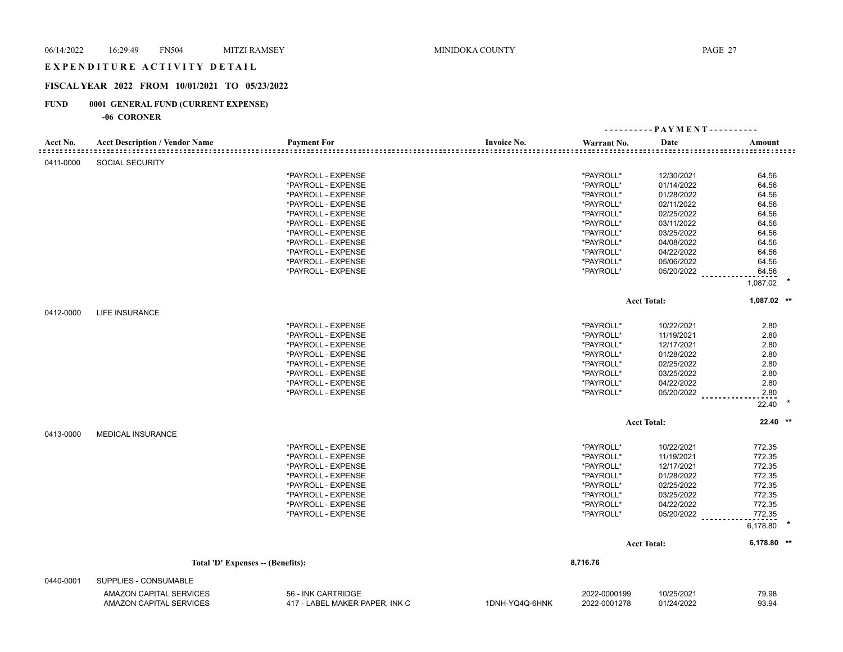#### EXPENDITURE ACTIVITY DETAIL

#### **FISCAL YEAR 2022 FROM 10/01/2021 TO 05/23/2022**

#### **FUND 0001 GENERAL FUND (CURRENT EXPENSE)**

|                           |                                       |                                   |                                                 |              | - PAYMENT ---------- |               |
|---------------------------|---------------------------------------|-----------------------------------|-------------------------------------------------|--------------|----------------------|---------------|
| Acct No.<br>::::::::::::: | <b>Acct Description / Vendor Name</b> | <b>Payment For</b>                | <b>Invoice No.</b><br>========================= | Warrant No.  | Date                 | Amount        |
| 0411-0000                 | <b>SOCIAL SECURITY</b>                |                                   |                                                 |              |                      |               |
|                           |                                       | *PAYROLL - EXPENSE                |                                                 | *PAYROLL*    | 12/30/2021           | 64.56         |
|                           |                                       | *PAYROLL - EXPENSE                |                                                 | *PAYROLL*    | 01/14/2022           | 64.56         |
|                           |                                       | *PAYROLL - EXPENSE                |                                                 | *PAYROLL*    | 01/28/2022           | 64.56         |
|                           |                                       | *PAYROLL - EXPENSE                |                                                 | *PAYROLL*    | 02/11/2022           | 64.56         |
|                           |                                       | *PAYROLL - EXPENSE                |                                                 | *PAYROLL*    | 02/25/2022           | 64.56         |
|                           |                                       | *PAYROLL - EXPENSE                |                                                 | *PAYROLL*    | 03/11/2022           | 64.56         |
|                           |                                       | *PAYROLL - EXPENSE                |                                                 | *PAYROLL*    | 03/25/2022           | 64.56         |
|                           |                                       | *PAYROLL - EXPENSE                |                                                 | *PAYROLL*    | 04/08/2022           | 64.56         |
|                           |                                       | *PAYROLL - EXPENSE                |                                                 | *PAYROLL*    | 04/22/2022           | 64.56         |
|                           |                                       | *PAYROLL - EXPENSE                |                                                 | *PAYROLL*    | 05/06/2022           | 64.56         |
|                           |                                       | *PAYROLL - EXPENSE                |                                                 | *PAYROLL*    | 05/20/2022           | 64.56         |
|                           |                                       |                                   |                                                 |              |                      | 1,087.02      |
|                           |                                       |                                   |                                                 |              | <b>Acct Total:</b>   | $1,087.02$ ** |
| 0412-0000                 | <b>LIFE INSURANCE</b>                 |                                   |                                                 |              |                      |               |
|                           |                                       | *PAYROLL - EXPENSE                |                                                 | *PAYROLL*    | 10/22/2021           | 2.80          |
|                           |                                       | *PAYROLL - EXPENSE                |                                                 | *PAYROLL*    | 11/19/2021           | 2.80          |
|                           |                                       | *PAYROLL - EXPENSE                |                                                 | *PAYROLL*    | 12/17/2021           | 2.80          |
|                           |                                       | *PAYROLL - EXPENSE                |                                                 | *PAYROLL*    | 01/28/2022           | 2.80          |
|                           |                                       | *PAYROLL - EXPENSE                |                                                 | *PAYROLL*    | 02/25/2022           | 2.80          |
|                           |                                       | *PAYROLL - EXPENSE                |                                                 | *PAYROLL*    | 03/25/2022           | 2.80          |
|                           |                                       | *PAYROLL - EXPENSE                |                                                 | *PAYROLL*    | 04/22/2022           | 2.80          |
|                           |                                       | *PAYROLL - EXPENSE                |                                                 | *PAYROLL*    | 05/20/2022           | 2.80          |
|                           |                                       |                                   |                                                 |              |                      | 22.40         |
|                           |                                       |                                   |                                                 |              | <b>Acct Total:</b>   | 22.40 **      |
| 0413-0000                 | <b>MEDICAL INSURANCE</b>              |                                   |                                                 |              |                      |               |
|                           |                                       | *PAYROLL - EXPENSE                |                                                 | *PAYROLL*    | 10/22/2021           | 772.35        |
|                           |                                       | *PAYROLL - EXPENSE                |                                                 | *PAYROLL*    | 11/19/2021           | 772.35        |
|                           |                                       | *PAYROLL - EXPENSE                |                                                 | *PAYROLL*    | 12/17/2021           | 772.35        |
|                           |                                       | *PAYROLL - EXPENSE                |                                                 | *PAYROLL*    | 01/28/2022           | 772.35        |
|                           |                                       | *PAYROLL - EXPENSE                |                                                 | *PAYROLL*    | 02/25/2022           | 772.35        |
|                           |                                       | *PAYROLL - EXPENSE                |                                                 | *PAYROLL*    | 03/25/2022           | 772.35        |
|                           |                                       | *PAYROLL - EXPENSE                |                                                 | *PAYROLL*    | 04/22/2022           | 772.35        |
|                           |                                       | *PAYROLL - EXPENSE                |                                                 | *PAYROLL*    | 05/20/2022           | 772.35        |
|                           |                                       |                                   |                                                 |              |                      | 6,178.80      |
|                           |                                       |                                   |                                                 |              | <b>Acct Total:</b>   | $6,178.80$ ** |
|                           |                                       | Total 'D' Expenses -- (Benefits): |                                                 | 8,716.76     |                      |               |
| 0440-0001                 | SUPPLIES - CONSUMABLE                 |                                   |                                                 |              |                      |               |
|                           | <b>AMAZON CAPITAL SERVICES</b>        | 56 - INK CARTRIDGE                |                                                 | 2022-0000199 | 10/25/2021           | 79.98         |
|                           | <b>AMAZON CAPITAL SERVICES</b>        | 417 - LABEL MAKER PAPER. INK C    | 1DNH-YQ4Q-6HNK                                  | 2022-0001278 | 01/24/2022           | 93.94         |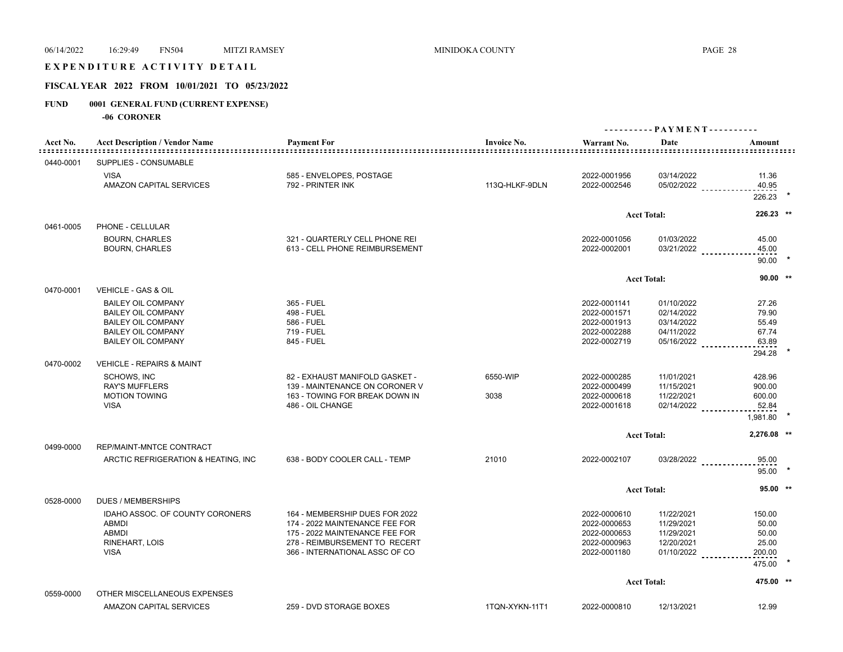## E X P E N D I T U R E A C T I V I T Y D E T A I L

## **FISCAL YEAR 2022 FROM 10/01/2021 TO 05/23/2022**

## **FUND 0001 GENERAL FUND (CURRENT EXPENSE)**

| Acct No.<br>:::::::::::: | <b>Acct Description / Vendor Name</b>                                                                                                         | <b>Payment For</b>                                                                                | <b>Invoice No.</b><br> | Warrant No.<br><u>===============</u>                                        | Date                                                               | Amount                                    |  |
|--------------------------|-----------------------------------------------------------------------------------------------------------------------------------------------|---------------------------------------------------------------------------------------------------|------------------------|------------------------------------------------------------------------------|--------------------------------------------------------------------|-------------------------------------------|--|
| 0440-0001                | SUPPLIES - CONSUMABLE                                                                                                                         |                                                                                                   |                        |                                                                              |                                                                    |                                           |  |
|                          | <b>VISA</b><br>AMAZON CAPITAL SERVICES                                                                                                        | 585 - ENVELOPES, POSTAGE<br>792 - PRINTER INK                                                     | 113Q-HLKF-9DLN         | 2022-0001956<br>2022-0002546                                                 | 03/14/2022<br>05/02/2022                                           | 11.36<br>40.95<br>226.23                  |  |
|                          |                                                                                                                                               |                                                                                                   |                        |                                                                              |                                                                    |                                           |  |
| 0461-0005                | PHONE - CELLULAR                                                                                                                              |                                                                                                   |                        |                                                                              | <b>Acct Total:</b>                                                 | 226.23 **                                 |  |
|                          | <b>BOURN, CHARLES</b><br><b>BOURN, CHARLES</b>                                                                                                | 321 - QUARTERLY CELL PHONE REI<br>613 - CELL PHONE REIMBURSEMENT                                  |                        | 2022-0001056<br>2022-0002001                                                 | 01/03/2022                                                         | 45.00<br>$03/21/2022$<br>45.00<br>90.00   |  |
|                          |                                                                                                                                               |                                                                                                   |                        |                                                                              | <b>Acct Total:</b>                                                 | $90.00$ **                                |  |
| 0470-0001                | VEHICLE - GAS & OIL                                                                                                                           |                                                                                                   |                        |                                                                              |                                                                    |                                           |  |
|                          | <b>BAILEY OIL COMPANY</b><br><b>BAILEY OIL COMPANY</b><br><b>BAILEY OIL COMPANY</b><br><b>BAILEY OIL COMPANY</b><br><b>BAILEY OIL COMPANY</b> | 365 - FUEL<br>498 - FUEL<br>586 - FUEL<br>719 - FUEL<br>845 - FUEL                                |                        | 2022-0001141<br>2022-0001571<br>2022-0001913<br>2022-0002288<br>2022-0002719 | 01/10/2022<br>02/14/2022<br>03/14/2022<br>04/11/2022<br>05/16/2022 | 27.26<br>79.90<br>55.49<br>67.74<br>63.89 |  |
| 0470-0002                | <b>VEHICLE - REPAIRS &amp; MAINT</b>                                                                                                          |                                                                                                   |                        |                                                                              |                                                                    | 294.28                                    |  |
|                          | <b>SCHOWS, INC</b><br><b>RAY'S MUFFLERS</b>                                                                                                   | 82 - EXHAUST MANIFOLD GASKET -<br>139 - MAINTENANCE ON CORONER V                                  | 6550-WIP               | 2022-0000285<br>2022-0000499                                                 | 11/01/2021<br>11/15/2021                                           | 428.96<br>900.00                          |  |
|                          | <b>MOTION TOWING</b><br><b>VISA</b>                                                                                                           | 163 - TOWING FOR BREAK DOWN IN<br>486 - OIL CHANGE                                                | 3038                   | 2022-0000618<br>2022-0001618                                                 | 11/22/2021<br>02/14/2022                                           | 600.00<br>52.84<br>1,981.80               |  |
|                          |                                                                                                                                               |                                                                                                   |                        |                                                                              | <b>Acct Total:</b>                                                 | 2,276.08 **                               |  |
| 0499-0000                | REP/MAINT-MNTCE CONTRACT                                                                                                                      |                                                                                                   |                        |                                                                              |                                                                    |                                           |  |
|                          | ARCTIC REFRIGERATION & HEATING, INC.                                                                                                          | 638 - BODY COOLER CALL - TEMP                                                                     | 21010                  | 2022-0002107                                                                 |                                                                    | 03/28/2022<br>95.00<br>$95.00$ *          |  |
|                          |                                                                                                                                               |                                                                                                   |                        |                                                                              | <b>Acct Total:</b>                                                 | $95.00$ **                                |  |
| 0528-0000                | <b>DUES / MEMBERSHIPS</b>                                                                                                                     |                                                                                                   |                        |                                                                              |                                                                    |                                           |  |
|                          | IDAHO ASSOC. OF COUNTY CORONERS<br><b>ABMDI</b>                                                                                               | 164 - MEMBERSHIP DUES FOR 2022<br>174 - 2022 MAINTENANCE FEE FOR                                  |                        | 2022-0000610<br>2022-0000653                                                 | 11/22/2021<br>11/29/2021                                           | 150.00<br>50.00                           |  |
|                          | <b>ABMDI</b><br>RINEHART, LOIS<br><b>VISA</b>                                                                                                 | 175 - 2022 MAINTENANCE FEE FOR<br>278 - REIMBURSEMENT TO RECERT<br>366 - INTERNATIONAL ASSC OF CO |                        | 2022-0000653<br>2022-0000963<br>2022-0001180                                 | 11/29/2021<br>12/20/2021<br>$01/10/2022$                           | 50.00<br>25.00<br>200.00                  |  |
|                          |                                                                                                                                               |                                                                                                   |                        |                                                                              |                                                                    | 475.00                                    |  |
|                          |                                                                                                                                               |                                                                                                   |                        |                                                                              | <b>Acct Total:</b>                                                 | 475.00 **                                 |  |
| 0559-0000                | OTHER MISCELLANEOUS EXPENSES                                                                                                                  |                                                                                                   |                        |                                                                              |                                                                    |                                           |  |
|                          | <b>AMAZON CAPITAL SERVICES</b>                                                                                                                | 259 - DVD STORAGE BOXES                                                                           | 1TQN-XYKN-11T1         | 2022-0000810                                                                 | 12/13/2021                                                         | 12.99                                     |  |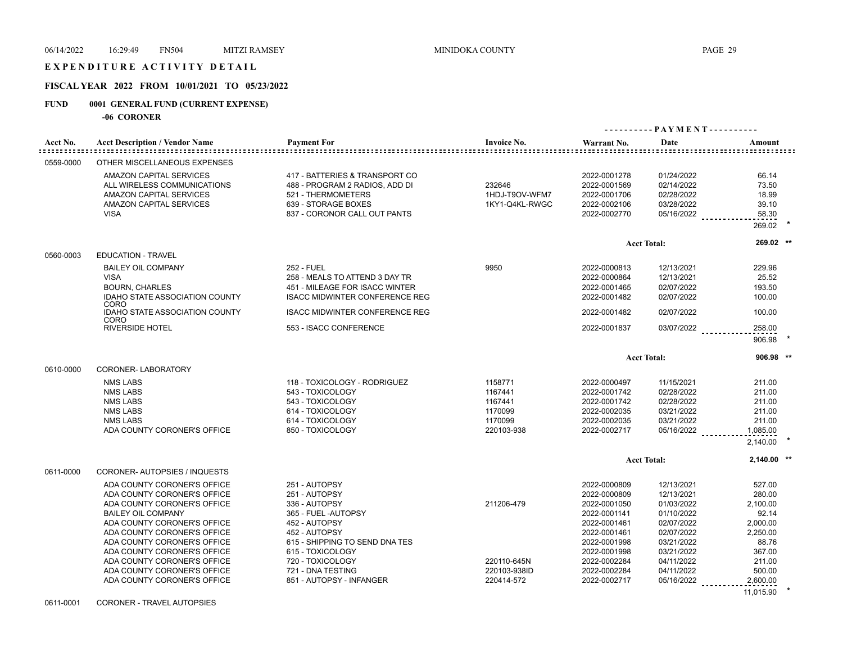#### EXPENDITURE ACTIVITY DETAIL

## **FISCAL YEAR 2022 FROM 10/01/2021 TO 05/23/2022**

## **FUND 0001 GENERAL FUND (CURRENT EXPENSE)**

| Acct No.  | <b>Acct Description / Vendor Name</b>                                                                                                                                                                                                                                                                                                                                           | <b>Payment For</b>                                                                                                                                                                                                                   | <b>Invoice No.</b>                                                | Warrant No.                                                                                                                                                                  | Date                                                                                                                                                   | Amount                                                                                                                        |
|-----------|---------------------------------------------------------------------------------------------------------------------------------------------------------------------------------------------------------------------------------------------------------------------------------------------------------------------------------------------------------------------------------|--------------------------------------------------------------------------------------------------------------------------------------------------------------------------------------------------------------------------------------|-------------------------------------------------------------------|------------------------------------------------------------------------------------------------------------------------------------------------------------------------------|--------------------------------------------------------------------------------------------------------------------------------------------------------|-------------------------------------------------------------------------------------------------------------------------------|
| 0559-0000 | OTHER MISCELLANEOUS EXPENSES                                                                                                                                                                                                                                                                                                                                                    |                                                                                                                                                                                                                                      |                                                                   |                                                                                                                                                                              |                                                                                                                                                        |                                                                                                                               |
|           | AMAZON CAPITAL SERVICES<br>ALL WIRELESS COMMUNICATIONS<br>AMAZON CAPITAL SERVICES<br>AMAZON CAPITAL SERVICES<br><b>VISA</b>                                                                                                                                                                                                                                                     | 417 - BATTERIES & TRANSPORT CO<br>488 - PROGRAM 2 RADIOS, ADD DI<br>521 - THERMOMETERS<br>639 - STORAGE BOXES<br>837 - CORONOR CALL OUT PANTS                                                                                        | 232646<br>1HDJ-T9OV-WFM7<br>1KY1-Q4KL-RWGC                        | 2022-0001278<br>2022-0001569<br>2022-0001706<br>2022-0002106<br>2022-0002770                                                                                                 | 01/24/2022<br>02/14/2022<br>02/28/2022<br>03/28/2022<br>05/16/2022                                                                                     | 66.14<br>73.50<br>18.99<br>39.10<br>58.30<br>269.02                                                                           |
|           |                                                                                                                                                                                                                                                                                                                                                                                 |                                                                                                                                                                                                                                      |                                                                   |                                                                                                                                                                              | <b>Acct Total:</b>                                                                                                                                     | 269.02 **                                                                                                                     |
| 0560-0003 | <b>EDUCATION - TRAVEL</b>                                                                                                                                                                                                                                                                                                                                                       |                                                                                                                                                                                                                                      |                                                                   |                                                                                                                                                                              |                                                                                                                                                        |                                                                                                                               |
|           | <b>BAILEY OIL COMPANY</b><br><b>VISA</b><br><b>BOURN, CHARLES</b><br><b>IDAHO STATE ASSOCIATION COUNTY</b>                                                                                                                                                                                                                                                                      | 252 - FUEL<br>258 - MEALS TO ATTEND 3 DAY TR<br>451 - MILEAGE FOR ISACC WINTER<br><b>ISACC MIDWINTER CONFERENCE REG</b>                                                                                                              | 9950                                                              | 2022-0000813<br>2022-0000864<br>2022-0001465<br>2022-0001482                                                                                                                 | 12/13/2021<br>12/13/2021<br>02/07/2022<br>02/07/2022                                                                                                   | 229.96<br>25.52<br>193.50<br>100.00                                                                                           |
|           | CORO<br>IDAHO STATE ASSOCIATION COUNTY<br>CORO                                                                                                                                                                                                                                                                                                                                  | <b>ISACC MIDWINTER CONFERENCE REG</b>                                                                                                                                                                                                |                                                                   | 2022-0001482                                                                                                                                                                 | 02/07/2022                                                                                                                                             | 100.00                                                                                                                        |
|           | <b>RIVERSIDE HOTEL</b>                                                                                                                                                                                                                                                                                                                                                          | 553 - ISACC CONFERENCE                                                                                                                                                                                                               |                                                                   | 2022-0001837                                                                                                                                                                 | 03/07/2022                                                                                                                                             | 258.00<br><u>.</u><br>906.98                                                                                                  |
|           |                                                                                                                                                                                                                                                                                                                                                                                 |                                                                                                                                                                                                                                      |                                                                   |                                                                                                                                                                              | <b>Acct Total:</b>                                                                                                                                     | 906.98 **                                                                                                                     |
| 0610-0000 | <b>CORONER-LABORATORY</b>                                                                                                                                                                                                                                                                                                                                                       |                                                                                                                                                                                                                                      |                                                                   |                                                                                                                                                                              |                                                                                                                                                        |                                                                                                                               |
|           | <b>NMS LABS</b><br><b>NMS LABS</b><br><b>NMS LABS</b><br><b>NMS LABS</b><br><b>NMS LABS</b><br>ADA COUNTY CORONER'S OFFICE                                                                                                                                                                                                                                                      | 118 - TOXICOLOGY - RODRIGUEZ<br>543 - TOXICOLOGY<br>543 - TOXICOLOGY<br>614 - TOXICOLOGY<br>614 - TOXICOLOGY<br>850 - TOXICOLOGY                                                                                                     | 1158771<br>1167441<br>1167441<br>1170099<br>1170099<br>220103-938 | 2022-0000497<br>2022-0001742<br>2022-0001742<br>2022-0002035<br>2022-0002035<br>2022-0002717                                                                                 | 11/15/2021<br>02/28/2022<br>02/28/2022<br>03/21/2022<br>03/21/2022<br>05/16/2022                                                                       | 211.00<br>211.00<br>211.00<br>211.00<br>211.00<br>1,085.00<br>2,140.00                                                        |
|           |                                                                                                                                                                                                                                                                                                                                                                                 |                                                                                                                                                                                                                                      |                                                                   |                                                                                                                                                                              | <b>Acct Total:</b>                                                                                                                                     | $2.140.00$ **                                                                                                                 |
| 0611-0000 | CORONER-AUTOPSIES / INQUESTS<br>ADA COUNTY CORONER'S OFFICE<br>ADA COUNTY CORONER'S OFFICE<br>ADA COUNTY CORONER'S OFFICE<br><b>BAILEY OIL COMPANY</b><br>ADA COUNTY CORONER'S OFFICE<br>ADA COUNTY CORONER'S OFFICE<br>ADA COUNTY CORONER'S OFFICE<br>ADA COUNTY CORONER'S OFFICE<br>ADA COUNTY CORONER'S OFFICE<br>ADA COUNTY CORONER'S OFFICE<br>ADA COUNTY CORONER'S OFFICE | 251 - AUTOPSY<br>251 - AUTOPSY<br>336 - AUTOPSY<br>365 - FUEL - AUTOPSY<br>452 - AUTOPSY<br>452 - AUTOPSY<br>615 - SHIPPING TO SEND DNA TES<br>615 - TOXICOLOGY<br>720 - TOXICOLOGY<br>721 - DNA TESTING<br>851 - AUTOPSY - INFANGER | 211206-479<br>220110-645N<br>220103-938ID<br>220414-572           | 2022-0000809<br>2022-0000809<br>2022-0001050<br>2022-0001141<br>2022-0001461<br>2022-0001461<br>2022-0001998<br>2022-0001998<br>2022-0002284<br>2022-0002284<br>2022-0002717 | 12/13/2021<br>12/13/2021<br>01/03/2022<br>01/10/2022<br>02/07/2022<br>02/07/2022<br>03/21/2022<br>03/21/2022<br>04/11/2022<br>04/11/2022<br>05/16/2022 | 527.00<br>280.00<br>2,100.00<br>92.14<br>2,000.00<br>2,250.00<br>88.76<br>367.00<br>211.00<br>500.00<br>2,600.00<br>11,015.90 |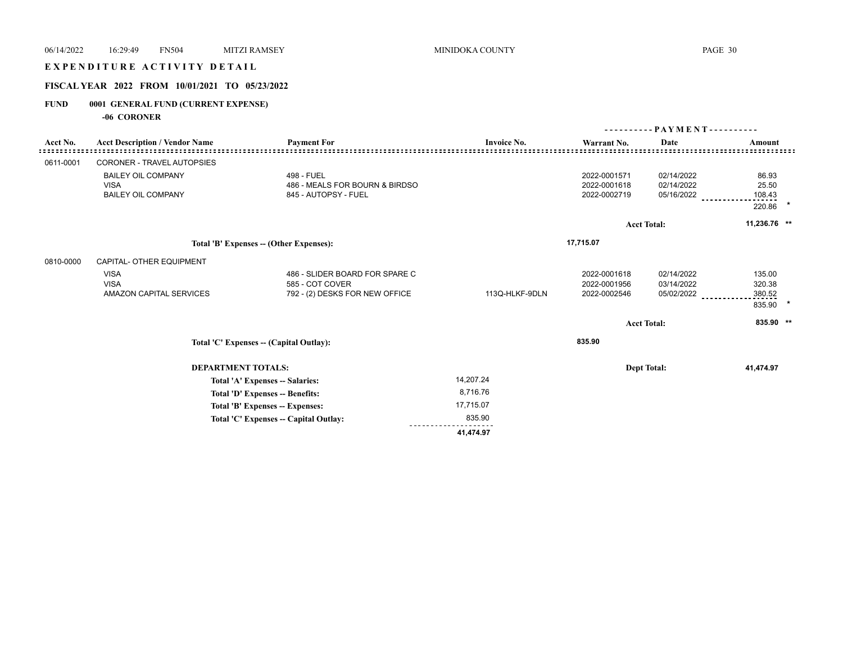## E X P E N D I T U R E A C T I V I T Y D E T A I L

## **FISCAL YEAR 2022 FROM 10/01/2021 TO 05/23/2022**

## **FUND 0001 GENERAL FUND (CURRENT EXPENSE)**

|           |                                                                       |                                                                                     |                    | $PAYMENT$ ----------                         |                                        |                                      |  |
|-----------|-----------------------------------------------------------------------|-------------------------------------------------------------------------------------|--------------------|----------------------------------------------|----------------------------------------|--------------------------------------|--|
| Acct No.  | <b>Acct Description / Vendor Name</b>                                 | <b>Payment For</b>                                                                  | <b>Invoice No.</b> | Warrant No.                                  | Date                                   | Amount                               |  |
| 0611-0001 | CORONER - TRAVEL AUTOPSIES                                            |                                                                                     |                    |                                              |                                        |                                      |  |
|           | <b>BAILEY OIL COMPANY</b><br><b>VISA</b><br><b>BAILEY OIL COMPANY</b> | 498 - FUEL<br>486 - MEALS FOR BOURN & BIRDSO<br>845 - AUTOPSY - FUEL                |                    | 2022-0001571<br>2022-0001618<br>2022-0002719 | 02/14/2022<br>02/14/2022<br>05/16/2022 | 86.93<br>25.50<br>108.43<br>220.86   |  |
|           |                                                                       |                                                                                     |                    |                                              | <b>Acct Total:</b>                     | 11,236.76 **                         |  |
|           |                                                                       | Total 'B' Expenses - (Other Expenses):                                              |                    | 17,715.07                                    |                                        |                                      |  |
| 0810-0000 | CAPITAL- OTHER EQUIPMENT                                              |                                                                                     |                    |                                              |                                        |                                      |  |
|           | <b>VISA</b><br><b>VISA</b><br>AMAZON CAPITAL SERVICES                 | 486 - SLIDER BOARD FOR SPARE C<br>585 - COT COVER<br>792 - (2) DESKS FOR NEW OFFICE | 113Q-HLKF-9DLN     | 2022-0001618<br>2022-0001956<br>2022-0002546 | 02/14/2022<br>03/14/2022<br>05/02/2022 | 135.00<br>320.38<br>380.52<br>835.90 |  |
|           |                                                                       |                                                                                     |                    |                                              | <b>Acct Total:</b>                     | 835.90 **                            |  |
|           |                                                                       | Total 'C' Expenses -- (Capital Outlay):                                             |                    | 835.90                                       |                                        |                                      |  |
|           | <b>DEPARTMENT TOTALS:</b>                                             |                                                                                     |                    |                                              | <b>Dept Total:</b>                     | 41,474.97                            |  |
|           |                                                                       | Total 'A' Expenses -- Salaries:                                                     | 14,207.24          |                                              |                                        |                                      |  |
|           | Total 'D' Expenses -- Benefits:                                       |                                                                                     | 8,716.76           |                                              |                                        |                                      |  |
|           |                                                                       | Total 'B' Expenses -- Expenses:                                                     | 17,715.07          |                                              |                                        |                                      |  |
|           |                                                                       | Total 'C' Expenses -- Capital Outlay:                                               | 835.90             |                                              |                                        |                                      |  |
|           |                                                                       |                                                                                     | 41,474.97          |                                              |                                        |                                      |  |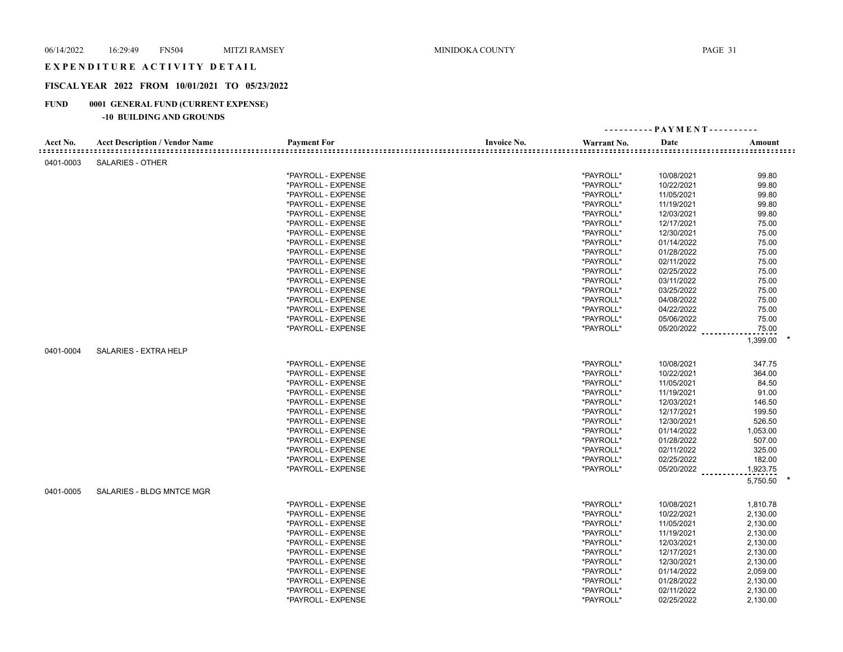### EXPENDITURE ACTIVITY DETAIL

## **FISCAL YEAR 2022 FROM 10/01/2021 TO 05/23/2022**

## **FUND 0001 GENERAL FUND (CURRENT EXPENSE)**

| Acct No.<br><b>Acct Description / Vendor Name</b><br><b>Payment For</b><br><b>Invoice No.</b><br>Warrant No.<br>Date<br>Amount<br>SALARIES - OTHER<br>0401-0003<br>*PAYROLL - EXPENSE<br>*PAYROLL*<br>99.80<br>10/08/2021<br>*PAYROLL - EXPENSE<br>*PAYROLL*<br>10/22/2021<br>99.80<br>*PAYROLL*<br>*PAYROLL - EXPENSE<br>11/05/2021<br>99.80<br>*PAYROLL*<br>99.80<br>*PAYROLL - EXPENSE<br>11/19/2021<br>*PAYROLL*<br>99.80<br>*PAYROLL - EXPENSE<br>12/03/2021<br>*PAYROLL*<br>12/17/2021<br>75.00<br>*PAYROLL - EXPENSE<br>*PAYROLL - EXPENSE<br>*PAYROLL*<br>12/30/2021<br>75.00<br>*PAYROLL*<br>01/14/2022<br>75.00<br>*PAYROLL - EXPENSE<br>*PAYROLL*<br>75.00<br>*PAYROLL - EXPENSE<br>01/28/2022<br>*PAYROLL - EXPENSE<br>*PAYROLL*<br>02/11/2022<br>75.00<br>*PAYROLL*<br>75.00<br>*PAYROLL - EXPENSE<br>02/25/2022<br>*PAYROLL*<br>75.00<br>*PAYROLL - EXPENSE<br>03/11/2022<br>*PAYROLL*<br>75.00<br>*PAYROLL - EXPENSE<br>03/25/2022<br>*PAYROLL*<br>*PAYROLL - EXPENSE<br>04/08/2022<br>75.00<br>*PAYROLL*<br>75.00<br>*PAYROLL - EXPENSE<br>04/22/2022<br>*PAYROLL*<br>05/06/2022<br>75.00<br>*PAYROLL - EXPENSE<br>75.00<br>*PAYROLL*<br>05/20/2022<br>*PAYROLL - EXPENSE<br>1,399.00<br>0401-0004<br>SALARIES - EXTRA HELP<br>*PAYROLL*<br>347.75<br>*PAYROLL - EXPENSE<br>10/08/2021<br>*PAYROLL*<br>10/22/2021<br>*PAYROLL - EXPENSE<br>364.00<br>*PAYROLL*<br>11/05/2021<br>84.50<br>*PAYROLL - EXPENSE<br>*PAYROLL*<br>91.00<br>*PAYROLL - EXPENSE<br>11/19/2021<br>*PAYROLL*<br>146.50<br>*PAYROLL - EXPENSE<br>12/03/2021<br>199.50<br>*PAYROLL - EXPENSE<br>*PAYROLL*<br>12/17/2021<br>*PAYROLL*<br>12/30/2021<br>526.50<br>*PAYROLL - EXPENSE<br>*PAYROLL*<br>01/14/2022<br>1,053.00<br>*PAYROLL - EXPENSE<br>*PAYROLL*<br>01/28/2022<br>507.00<br>*PAYROLL - EXPENSE<br>*PAYROLL*<br>02/11/2022<br>325.00<br>*PAYROLL - EXPENSE<br>*PAYROLL*<br>02/25/2022<br>182.00<br>*PAYROLL - EXPENSE<br>*PAYROLL*<br>05/20/2022<br>1,923.75<br>*PAYROLL - EXPENSE<br>5,750.50<br>0401-0005<br>SALARIES - BLDG MNTCE MGR<br>*PAYROLL*<br>*PAYROLL - EXPENSE<br>10/08/2021<br>1,810.78<br>*PAYROLL*<br>*PAYROLL - EXPENSE<br>10/22/2021<br>2,130.00<br>*PAYROLL*<br>11/05/2021<br>2,130.00<br>*PAYROLL - EXPENSE<br>*PAYROLL*<br>11/19/2021<br>2,130.00<br>*PAYROLL - EXPENSE<br>*PAYROLL*<br>*PAYROLL - EXPENSE<br>12/03/2021<br>2,130.00<br>*PAYROLL*<br>12/17/2021<br>2,130.00<br>*PAYROLL - EXPENSE<br>*PAYROLL*<br>12/30/2021<br>2,130.00<br>*PAYROLL - EXPENSE<br>*PAYROLL*<br>2,059.00<br>*PAYROLL - EXPENSE<br>01/14/2022<br>*PAYROLL - EXPENSE<br>*PAYROLL*<br>01/28/2022<br>2,130.00<br>*PAYROLL*<br>*PAYROLL - EXPENSE<br>02/11/2022<br>2,130.00 |  |                    |           | ---------- PAYMENT---------- |          |
|---------------------------------------------------------------------------------------------------------------------------------------------------------------------------------------------------------------------------------------------------------------------------------------------------------------------------------------------------------------------------------------------------------------------------------------------------------------------------------------------------------------------------------------------------------------------------------------------------------------------------------------------------------------------------------------------------------------------------------------------------------------------------------------------------------------------------------------------------------------------------------------------------------------------------------------------------------------------------------------------------------------------------------------------------------------------------------------------------------------------------------------------------------------------------------------------------------------------------------------------------------------------------------------------------------------------------------------------------------------------------------------------------------------------------------------------------------------------------------------------------------------------------------------------------------------------------------------------------------------------------------------------------------------------------------------------------------------------------------------------------------------------------------------------------------------------------------------------------------------------------------------------------------------------------------------------------------------------------------------------------------------------------------------------------------------------------------------------------------------------------------------------------------------------------------------------------------------------------------------------------------------------------------------------------------------------------------------------------------------------------------------------------------------------------------------------------------------------------------------------------------------------------------------------------------------------------------------------------------------------------------------------------------------------------|--|--------------------|-----------|------------------------------|----------|
|                                                                                                                                                                                                                                                                                                                                                                                                                                                                                                                                                                                                                                                                                                                                                                                                                                                                                                                                                                                                                                                                                                                                                                                                                                                                                                                                                                                                                                                                                                                                                                                                                                                                                                                                                                                                                                                                                                                                                                                                                                                                                                                                                                                                                                                                                                                                                                                                                                                                                                                                                                                                                                                                           |  |                    |           |                              |          |
|                                                                                                                                                                                                                                                                                                                                                                                                                                                                                                                                                                                                                                                                                                                                                                                                                                                                                                                                                                                                                                                                                                                                                                                                                                                                                                                                                                                                                                                                                                                                                                                                                                                                                                                                                                                                                                                                                                                                                                                                                                                                                                                                                                                                                                                                                                                                                                                                                                                                                                                                                                                                                                                                           |  |                    |           |                              |          |
|                                                                                                                                                                                                                                                                                                                                                                                                                                                                                                                                                                                                                                                                                                                                                                                                                                                                                                                                                                                                                                                                                                                                                                                                                                                                                                                                                                                                                                                                                                                                                                                                                                                                                                                                                                                                                                                                                                                                                                                                                                                                                                                                                                                                                                                                                                                                                                                                                                                                                                                                                                                                                                                                           |  |                    |           |                              |          |
|                                                                                                                                                                                                                                                                                                                                                                                                                                                                                                                                                                                                                                                                                                                                                                                                                                                                                                                                                                                                                                                                                                                                                                                                                                                                                                                                                                                                                                                                                                                                                                                                                                                                                                                                                                                                                                                                                                                                                                                                                                                                                                                                                                                                                                                                                                                                                                                                                                                                                                                                                                                                                                                                           |  |                    |           |                              |          |
|                                                                                                                                                                                                                                                                                                                                                                                                                                                                                                                                                                                                                                                                                                                                                                                                                                                                                                                                                                                                                                                                                                                                                                                                                                                                                                                                                                                                                                                                                                                                                                                                                                                                                                                                                                                                                                                                                                                                                                                                                                                                                                                                                                                                                                                                                                                                                                                                                                                                                                                                                                                                                                                                           |  |                    |           |                              |          |
|                                                                                                                                                                                                                                                                                                                                                                                                                                                                                                                                                                                                                                                                                                                                                                                                                                                                                                                                                                                                                                                                                                                                                                                                                                                                                                                                                                                                                                                                                                                                                                                                                                                                                                                                                                                                                                                                                                                                                                                                                                                                                                                                                                                                                                                                                                                                                                                                                                                                                                                                                                                                                                                                           |  |                    |           |                              |          |
|                                                                                                                                                                                                                                                                                                                                                                                                                                                                                                                                                                                                                                                                                                                                                                                                                                                                                                                                                                                                                                                                                                                                                                                                                                                                                                                                                                                                                                                                                                                                                                                                                                                                                                                                                                                                                                                                                                                                                                                                                                                                                                                                                                                                                                                                                                                                                                                                                                                                                                                                                                                                                                                                           |  |                    |           |                              |          |
|                                                                                                                                                                                                                                                                                                                                                                                                                                                                                                                                                                                                                                                                                                                                                                                                                                                                                                                                                                                                                                                                                                                                                                                                                                                                                                                                                                                                                                                                                                                                                                                                                                                                                                                                                                                                                                                                                                                                                                                                                                                                                                                                                                                                                                                                                                                                                                                                                                                                                                                                                                                                                                                                           |  |                    |           |                              |          |
|                                                                                                                                                                                                                                                                                                                                                                                                                                                                                                                                                                                                                                                                                                                                                                                                                                                                                                                                                                                                                                                                                                                                                                                                                                                                                                                                                                                                                                                                                                                                                                                                                                                                                                                                                                                                                                                                                                                                                                                                                                                                                                                                                                                                                                                                                                                                                                                                                                                                                                                                                                                                                                                                           |  |                    |           |                              |          |
|                                                                                                                                                                                                                                                                                                                                                                                                                                                                                                                                                                                                                                                                                                                                                                                                                                                                                                                                                                                                                                                                                                                                                                                                                                                                                                                                                                                                                                                                                                                                                                                                                                                                                                                                                                                                                                                                                                                                                                                                                                                                                                                                                                                                                                                                                                                                                                                                                                                                                                                                                                                                                                                                           |  |                    |           |                              |          |
|                                                                                                                                                                                                                                                                                                                                                                                                                                                                                                                                                                                                                                                                                                                                                                                                                                                                                                                                                                                                                                                                                                                                                                                                                                                                                                                                                                                                                                                                                                                                                                                                                                                                                                                                                                                                                                                                                                                                                                                                                                                                                                                                                                                                                                                                                                                                                                                                                                                                                                                                                                                                                                                                           |  |                    |           |                              |          |
|                                                                                                                                                                                                                                                                                                                                                                                                                                                                                                                                                                                                                                                                                                                                                                                                                                                                                                                                                                                                                                                                                                                                                                                                                                                                                                                                                                                                                                                                                                                                                                                                                                                                                                                                                                                                                                                                                                                                                                                                                                                                                                                                                                                                                                                                                                                                                                                                                                                                                                                                                                                                                                                                           |  |                    |           |                              |          |
|                                                                                                                                                                                                                                                                                                                                                                                                                                                                                                                                                                                                                                                                                                                                                                                                                                                                                                                                                                                                                                                                                                                                                                                                                                                                                                                                                                                                                                                                                                                                                                                                                                                                                                                                                                                                                                                                                                                                                                                                                                                                                                                                                                                                                                                                                                                                                                                                                                                                                                                                                                                                                                                                           |  |                    |           |                              |          |
|                                                                                                                                                                                                                                                                                                                                                                                                                                                                                                                                                                                                                                                                                                                                                                                                                                                                                                                                                                                                                                                                                                                                                                                                                                                                                                                                                                                                                                                                                                                                                                                                                                                                                                                                                                                                                                                                                                                                                                                                                                                                                                                                                                                                                                                                                                                                                                                                                                                                                                                                                                                                                                                                           |  |                    |           |                              |          |
|                                                                                                                                                                                                                                                                                                                                                                                                                                                                                                                                                                                                                                                                                                                                                                                                                                                                                                                                                                                                                                                                                                                                                                                                                                                                                                                                                                                                                                                                                                                                                                                                                                                                                                                                                                                                                                                                                                                                                                                                                                                                                                                                                                                                                                                                                                                                                                                                                                                                                                                                                                                                                                                                           |  |                    |           |                              |          |
|                                                                                                                                                                                                                                                                                                                                                                                                                                                                                                                                                                                                                                                                                                                                                                                                                                                                                                                                                                                                                                                                                                                                                                                                                                                                                                                                                                                                                                                                                                                                                                                                                                                                                                                                                                                                                                                                                                                                                                                                                                                                                                                                                                                                                                                                                                                                                                                                                                                                                                                                                                                                                                                                           |  |                    |           |                              |          |
|                                                                                                                                                                                                                                                                                                                                                                                                                                                                                                                                                                                                                                                                                                                                                                                                                                                                                                                                                                                                                                                                                                                                                                                                                                                                                                                                                                                                                                                                                                                                                                                                                                                                                                                                                                                                                                                                                                                                                                                                                                                                                                                                                                                                                                                                                                                                                                                                                                                                                                                                                                                                                                                                           |  |                    |           |                              |          |
|                                                                                                                                                                                                                                                                                                                                                                                                                                                                                                                                                                                                                                                                                                                                                                                                                                                                                                                                                                                                                                                                                                                                                                                                                                                                                                                                                                                                                                                                                                                                                                                                                                                                                                                                                                                                                                                                                                                                                                                                                                                                                                                                                                                                                                                                                                                                                                                                                                                                                                                                                                                                                                                                           |  |                    |           |                              |          |
|                                                                                                                                                                                                                                                                                                                                                                                                                                                                                                                                                                                                                                                                                                                                                                                                                                                                                                                                                                                                                                                                                                                                                                                                                                                                                                                                                                                                                                                                                                                                                                                                                                                                                                                                                                                                                                                                                                                                                                                                                                                                                                                                                                                                                                                                                                                                                                                                                                                                                                                                                                                                                                                                           |  |                    |           |                              |          |
|                                                                                                                                                                                                                                                                                                                                                                                                                                                                                                                                                                                                                                                                                                                                                                                                                                                                                                                                                                                                                                                                                                                                                                                                                                                                                                                                                                                                                                                                                                                                                                                                                                                                                                                                                                                                                                                                                                                                                                                                                                                                                                                                                                                                                                                                                                                                                                                                                                                                                                                                                                                                                                                                           |  |                    |           |                              |          |
|                                                                                                                                                                                                                                                                                                                                                                                                                                                                                                                                                                                                                                                                                                                                                                                                                                                                                                                                                                                                                                                                                                                                                                                                                                                                                                                                                                                                                                                                                                                                                                                                                                                                                                                                                                                                                                                                                                                                                                                                                                                                                                                                                                                                                                                                                                                                                                                                                                                                                                                                                                                                                                                                           |  |                    |           |                              |          |
|                                                                                                                                                                                                                                                                                                                                                                                                                                                                                                                                                                                                                                                                                                                                                                                                                                                                                                                                                                                                                                                                                                                                                                                                                                                                                                                                                                                                                                                                                                                                                                                                                                                                                                                                                                                                                                                                                                                                                                                                                                                                                                                                                                                                                                                                                                                                                                                                                                                                                                                                                                                                                                                                           |  |                    |           |                              |          |
|                                                                                                                                                                                                                                                                                                                                                                                                                                                                                                                                                                                                                                                                                                                                                                                                                                                                                                                                                                                                                                                                                                                                                                                                                                                                                                                                                                                                                                                                                                                                                                                                                                                                                                                                                                                                                                                                                                                                                                                                                                                                                                                                                                                                                                                                                                                                                                                                                                                                                                                                                                                                                                                                           |  |                    |           |                              |          |
|                                                                                                                                                                                                                                                                                                                                                                                                                                                                                                                                                                                                                                                                                                                                                                                                                                                                                                                                                                                                                                                                                                                                                                                                                                                                                                                                                                                                                                                                                                                                                                                                                                                                                                                                                                                                                                                                                                                                                                                                                                                                                                                                                                                                                                                                                                                                                                                                                                                                                                                                                                                                                                                                           |  |                    |           |                              |          |
|                                                                                                                                                                                                                                                                                                                                                                                                                                                                                                                                                                                                                                                                                                                                                                                                                                                                                                                                                                                                                                                                                                                                                                                                                                                                                                                                                                                                                                                                                                                                                                                                                                                                                                                                                                                                                                                                                                                                                                                                                                                                                                                                                                                                                                                                                                                                                                                                                                                                                                                                                                                                                                                                           |  |                    |           |                              |          |
|                                                                                                                                                                                                                                                                                                                                                                                                                                                                                                                                                                                                                                                                                                                                                                                                                                                                                                                                                                                                                                                                                                                                                                                                                                                                                                                                                                                                                                                                                                                                                                                                                                                                                                                                                                                                                                                                                                                                                                                                                                                                                                                                                                                                                                                                                                                                                                                                                                                                                                                                                                                                                                                                           |  |                    |           |                              |          |
|                                                                                                                                                                                                                                                                                                                                                                                                                                                                                                                                                                                                                                                                                                                                                                                                                                                                                                                                                                                                                                                                                                                                                                                                                                                                                                                                                                                                                                                                                                                                                                                                                                                                                                                                                                                                                                                                                                                                                                                                                                                                                                                                                                                                                                                                                                                                                                                                                                                                                                                                                                                                                                                                           |  |                    |           |                              |          |
|                                                                                                                                                                                                                                                                                                                                                                                                                                                                                                                                                                                                                                                                                                                                                                                                                                                                                                                                                                                                                                                                                                                                                                                                                                                                                                                                                                                                                                                                                                                                                                                                                                                                                                                                                                                                                                                                                                                                                                                                                                                                                                                                                                                                                                                                                                                                                                                                                                                                                                                                                                                                                                                                           |  |                    |           |                              |          |
|                                                                                                                                                                                                                                                                                                                                                                                                                                                                                                                                                                                                                                                                                                                                                                                                                                                                                                                                                                                                                                                                                                                                                                                                                                                                                                                                                                                                                                                                                                                                                                                                                                                                                                                                                                                                                                                                                                                                                                                                                                                                                                                                                                                                                                                                                                                                                                                                                                                                                                                                                                                                                                                                           |  |                    |           |                              |          |
|                                                                                                                                                                                                                                                                                                                                                                                                                                                                                                                                                                                                                                                                                                                                                                                                                                                                                                                                                                                                                                                                                                                                                                                                                                                                                                                                                                                                                                                                                                                                                                                                                                                                                                                                                                                                                                                                                                                                                                                                                                                                                                                                                                                                                                                                                                                                                                                                                                                                                                                                                                                                                                                                           |  |                    |           |                              |          |
|                                                                                                                                                                                                                                                                                                                                                                                                                                                                                                                                                                                                                                                                                                                                                                                                                                                                                                                                                                                                                                                                                                                                                                                                                                                                                                                                                                                                                                                                                                                                                                                                                                                                                                                                                                                                                                                                                                                                                                                                                                                                                                                                                                                                                                                                                                                                                                                                                                                                                                                                                                                                                                                                           |  |                    |           |                              |          |
|                                                                                                                                                                                                                                                                                                                                                                                                                                                                                                                                                                                                                                                                                                                                                                                                                                                                                                                                                                                                                                                                                                                                                                                                                                                                                                                                                                                                                                                                                                                                                                                                                                                                                                                                                                                                                                                                                                                                                                                                                                                                                                                                                                                                                                                                                                                                                                                                                                                                                                                                                                                                                                                                           |  |                    |           |                              |          |
|                                                                                                                                                                                                                                                                                                                                                                                                                                                                                                                                                                                                                                                                                                                                                                                                                                                                                                                                                                                                                                                                                                                                                                                                                                                                                                                                                                                                                                                                                                                                                                                                                                                                                                                                                                                                                                                                                                                                                                                                                                                                                                                                                                                                                                                                                                                                                                                                                                                                                                                                                                                                                                                                           |  |                    |           |                              |          |
|                                                                                                                                                                                                                                                                                                                                                                                                                                                                                                                                                                                                                                                                                                                                                                                                                                                                                                                                                                                                                                                                                                                                                                                                                                                                                                                                                                                                                                                                                                                                                                                                                                                                                                                                                                                                                                                                                                                                                                                                                                                                                                                                                                                                                                                                                                                                                                                                                                                                                                                                                                                                                                                                           |  |                    |           |                              |          |
|                                                                                                                                                                                                                                                                                                                                                                                                                                                                                                                                                                                                                                                                                                                                                                                                                                                                                                                                                                                                                                                                                                                                                                                                                                                                                                                                                                                                                                                                                                                                                                                                                                                                                                                                                                                                                                                                                                                                                                                                                                                                                                                                                                                                                                                                                                                                                                                                                                                                                                                                                                                                                                                                           |  |                    |           |                              |          |
|                                                                                                                                                                                                                                                                                                                                                                                                                                                                                                                                                                                                                                                                                                                                                                                                                                                                                                                                                                                                                                                                                                                                                                                                                                                                                                                                                                                                                                                                                                                                                                                                                                                                                                                                                                                                                                                                                                                                                                                                                                                                                                                                                                                                                                                                                                                                                                                                                                                                                                                                                                                                                                                                           |  |                    |           |                              |          |
|                                                                                                                                                                                                                                                                                                                                                                                                                                                                                                                                                                                                                                                                                                                                                                                                                                                                                                                                                                                                                                                                                                                                                                                                                                                                                                                                                                                                                                                                                                                                                                                                                                                                                                                                                                                                                                                                                                                                                                                                                                                                                                                                                                                                                                                                                                                                                                                                                                                                                                                                                                                                                                                                           |  |                    |           |                              |          |
|                                                                                                                                                                                                                                                                                                                                                                                                                                                                                                                                                                                                                                                                                                                                                                                                                                                                                                                                                                                                                                                                                                                                                                                                                                                                                                                                                                                                                                                                                                                                                                                                                                                                                                                                                                                                                                                                                                                                                                                                                                                                                                                                                                                                                                                                                                                                                                                                                                                                                                                                                                                                                                                                           |  |                    |           |                              |          |
|                                                                                                                                                                                                                                                                                                                                                                                                                                                                                                                                                                                                                                                                                                                                                                                                                                                                                                                                                                                                                                                                                                                                                                                                                                                                                                                                                                                                                                                                                                                                                                                                                                                                                                                                                                                                                                                                                                                                                                                                                                                                                                                                                                                                                                                                                                                                                                                                                                                                                                                                                                                                                                                                           |  |                    |           |                              |          |
|                                                                                                                                                                                                                                                                                                                                                                                                                                                                                                                                                                                                                                                                                                                                                                                                                                                                                                                                                                                                                                                                                                                                                                                                                                                                                                                                                                                                                                                                                                                                                                                                                                                                                                                                                                                                                                                                                                                                                                                                                                                                                                                                                                                                                                                                                                                                                                                                                                                                                                                                                                                                                                                                           |  |                    |           |                              |          |
|                                                                                                                                                                                                                                                                                                                                                                                                                                                                                                                                                                                                                                                                                                                                                                                                                                                                                                                                                                                                                                                                                                                                                                                                                                                                                                                                                                                                                                                                                                                                                                                                                                                                                                                                                                                                                                                                                                                                                                                                                                                                                                                                                                                                                                                                                                                                                                                                                                                                                                                                                                                                                                                                           |  |                    |           |                              |          |
|                                                                                                                                                                                                                                                                                                                                                                                                                                                                                                                                                                                                                                                                                                                                                                                                                                                                                                                                                                                                                                                                                                                                                                                                                                                                                                                                                                                                                                                                                                                                                                                                                                                                                                                                                                                                                                                                                                                                                                                                                                                                                                                                                                                                                                                                                                                                                                                                                                                                                                                                                                                                                                                                           |  |                    |           |                              |          |
|                                                                                                                                                                                                                                                                                                                                                                                                                                                                                                                                                                                                                                                                                                                                                                                                                                                                                                                                                                                                                                                                                                                                                                                                                                                                                                                                                                                                                                                                                                                                                                                                                                                                                                                                                                                                                                                                                                                                                                                                                                                                                                                                                                                                                                                                                                                                                                                                                                                                                                                                                                                                                                                                           |  |                    |           |                              |          |
|                                                                                                                                                                                                                                                                                                                                                                                                                                                                                                                                                                                                                                                                                                                                                                                                                                                                                                                                                                                                                                                                                                                                                                                                                                                                                                                                                                                                                                                                                                                                                                                                                                                                                                                                                                                                                                                                                                                                                                                                                                                                                                                                                                                                                                                                                                                                                                                                                                                                                                                                                                                                                                                                           |  |                    |           |                              |          |
|                                                                                                                                                                                                                                                                                                                                                                                                                                                                                                                                                                                                                                                                                                                                                                                                                                                                                                                                                                                                                                                                                                                                                                                                                                                                                                                                                                                                                                                                                                                                                                                                                                                                                                                                                                                                                                                                                                                                                                                                                                                                                                                                                                                                                                                                                                                                                                                                                                                                                                                                                                                                                                                                           |  |                    |           |                              |          |
|                                                                                                                                                                                                                                                                                                                                                                                                                                                                                                                                                                                                                                                                                                                                                                                                                                                                                                                                                                                                                                                                                                                                                                                                                                                                                                                                                                                                                                                                                                                                                                                                                                                                                                                                                                                                                                                                                                                                                                                                                                                                                                                                                                                                                                                                                                                                                                                                                                                                                                                                                                                                                                                                           |  |                    |           |                              |          |
|                                                                                                                                                                                                                                                                                                                                                                                                                                                                                                                                                                                                                                                                                                                                                                                                                                                                                                                                                                                                                                                                                                                                                                                                                                                                                                                                                                                                                                                                                                                                                                                                                                                                                                                                                                                                                                                                                                                                                                                                                                                                                                                                                                                                                                                                                                                                                                                                                                                                                                                                                                                                                                                                           |  |                    |           |                              |          |
|                                                                                                                                                                                                                                                                                                                                                                                                                                                                                                                                                                                                                                                                                                                                                                                                                                                                                                                                                                                                                                                                                                                                                                                                                                                                                                                                                                                                                                                                                                                                                                                                                                                                                                                                                                                                                                                                                                                                                                                                                                                                                                                                                                                                                                                                                                                                                                                                                                                                                                                                                                                                                                                                           |  | *PAYROLL - EXPENSE | *PAYROLL* | 02/25/2022                   | 2,130.00 |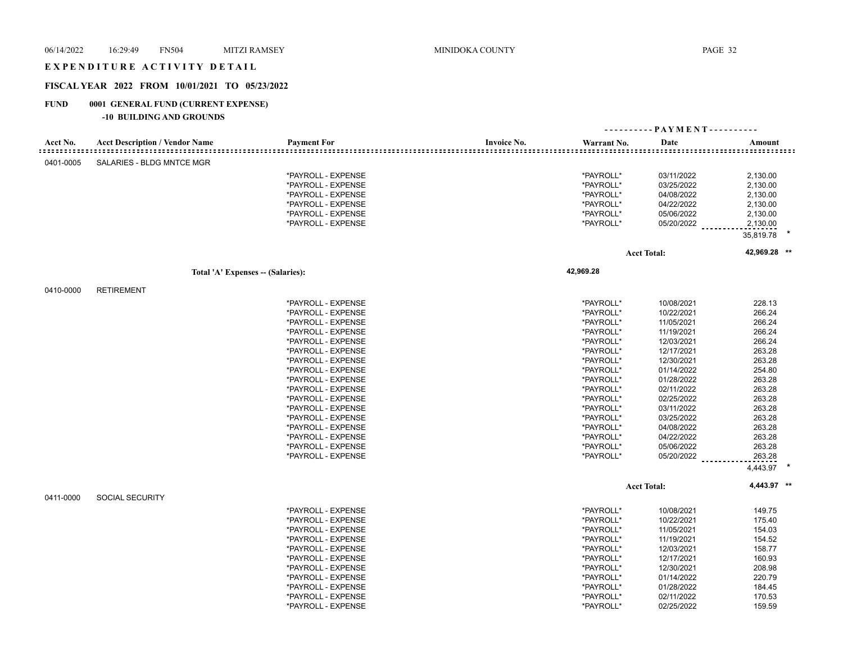#### EXPENDITURE ACTIVITY DETAIL

## **FISCAL YEAR 2022 FROM 10/01/2021 TO 05/23/2022**

## **FUND 0001 GENERAL FUND (CURRENT EXPENSE)**

|           |                                       |                                  |                    | ---------- PAYMENT---------- |              |
|-----------|---------------------------------------|----------------------------------|--------------------|------------------------------|--------------|
| Acct No.  | <b>Acct Description / Vendor Name</b> | <b>Payment For</b>               | <b>Invoice No.</b> | Warrant No.<br>Date          | Amount       |
| 0401-0005 | SALARIES - BLDG MNTCE MGR             |                                  |                    |                              |              |
|           |                                       | *PAYROLL - EXPENSE               |                    | *PAYROLL*<br>03/11/2022      | 2,130.00     |
|           |                                       | *PAYROLL - EXPENSE               | *PAYROLL*          | 03/25/2022                   | 2,130.00     |
|           |                                       | *PAYROLL - EXPENSE               | *PAYROLL*          | 04/08/2022                   | 2,130.00     |
|           |                                       | *PAYROLL - EXPENSE               | *PAYROLL*          | 04/22/2022                   | 2,130.00     |
|           |                                       | *PAYROLL - EXPENSE               | *PAYROLL*          | 05/06/2022                   | 2,130.00     |
|           |                                       | *PAYROLL - EXPENSE               | *PAYROLL*          | 05/20/2022                   | 2,130.00     |
|           |                                       |                                  |                    |                              | 35,819.78    |
|           |                                       |                                  |                    |                              |              |
|           |                                       |                                  |                    | <b>Acct Total:</b>           | 42,969.28 ** |
|           |                                       | Total 'A' Expenses - (Salaries): | 42,969.28          |                              |              |
| 0410-0000 | <b>RETIREMENT</b>                     |                                  |                    |                              |              |
|           |                                       | *PAYROLL - EXPENSE               |                    | *PAYROLL*<br>10/08/2021      | 228.13       |
|           |                                       | *PAYROLL - EXPENSE               | *PAYROLL*          | 10/22/2021                   | 266.24       |
|           |                                       | *PAYROLL - EXPENSE               | *PAYROLL*          | 11/05/2021                   | 266.24       |
|           |                                       | *PAYROLL - EXPENSE               | *PAYROLL*          | 11/19/2021                   | 266.24       |
|           |                                       | *PAYROLL - EXPENSE               | *PAYROLL*          | 12/03/2021                   | 266.24       |
|           |                                       | *PAYROLL - EXPENSE               | *PAYROLL*          | 12/17/2021                   | 263.28       |
|           |                                       | *PAYROLL - EXPENSE               | *PAYROLL*          | 12/30/2021                   | 263.28       |
|           |                                       | *PAYROLL - EXPENSE               | *PAYROLL*          | 01/14/2022                   | 254.80       |
|           |                                       | *PAYROLL - EXPENSE               | *PAYROLL*          | 01/28/2022                   | 263.28       |
|           |                                       | *PAYROLL - EXPENSE               | *PAYROLL*          | 02/11/2022                   | 263.28       |
|           |                                       | *PAYROLL - EXPENSE               | *PAYROLL*          | 02/25/2022                   | 263.28       |
|           |                                       | *PAYROLL - EXPENSE               | *PAYROLL*          | 03/11/2022                   | 263.28       |
|           |                                       | *PAYROLL - EXPENSE               | *PAYROLL*          | 03/25/2022                   | 263.28       |
|           |                                       | *PAYROLL - EXPENSE               | *PAYROLL*          | 04/08/2022                   | 263.28       |
|           |                                       | *PAYROLL - EXPENSE               | *PAYROLL*          | 04/22/2022                   | 263.28       |
|           |                                       | *PAYROLL - EXPENSE               | *PAYROLL*          | 05/06/2022                   | 263.28       |
|           |                                       | *PAYROLL - EXPENSE               | *PAYROLL*          | 05/20/2022                   | 263.28       |
|           |                                       |                                  |                    |                              | 4,443.97     |
|           |                                       |                                  |                    | <b>Acct Total:</b>           | 4,443.97 **  |
| 0411-0000 | <b>SOCIAL SECURITY</b>                |                                  |                    |                              |              |
|           |                                       | *PAYROLL - EXPENSE               |                    | *PAYROLL*<br>10/08/2021      | 149.75       |
|           |                                       | *PAYROLL - EXPENSE               | *PAYROLL*          | 10/22/2021                   | 175.40       |
|           |                                       | *PAYROLL - EXPENSE               | *PAYROLL*          | 11/05/2021                   | 154.03       |
|           |                                       | *PAYROLL - EXPENSE               | *PAYROLL*          | 11/19/2021                   | 154.52       |
|           |                                       | *PAYROLL - EXPENSE               | *PAYROLL*          | 12/03/2021                   | 158.77       |
|           |                                       | *PAYROLL - EXPENSE               | *PAYROLL*          | 12/17/2021                   | 160.93       |
|           |                                       | *PAYROLL - EXPENSE               | *PAYROLL*          | 12/30/2021                   | 208.98       |
|           |                                       | *PAYROLL - EXPENSE               | *PAYROLL*          | 01/14/2022                   | 220.79       |
|           |                                       | *PAYROLL - EXPENSE               | *PAYROLL*          | 01/28/2022                   | 184.45       |
|           |                                       | *PAYROLL - EXPENSE               | *PAYROLL*          | 02/11/2022                   | 170.53       |
|           |                                       | *PAYROLL - EXPENSE               | *PAYROLL*          | 02/25/2022                   | 159.59       |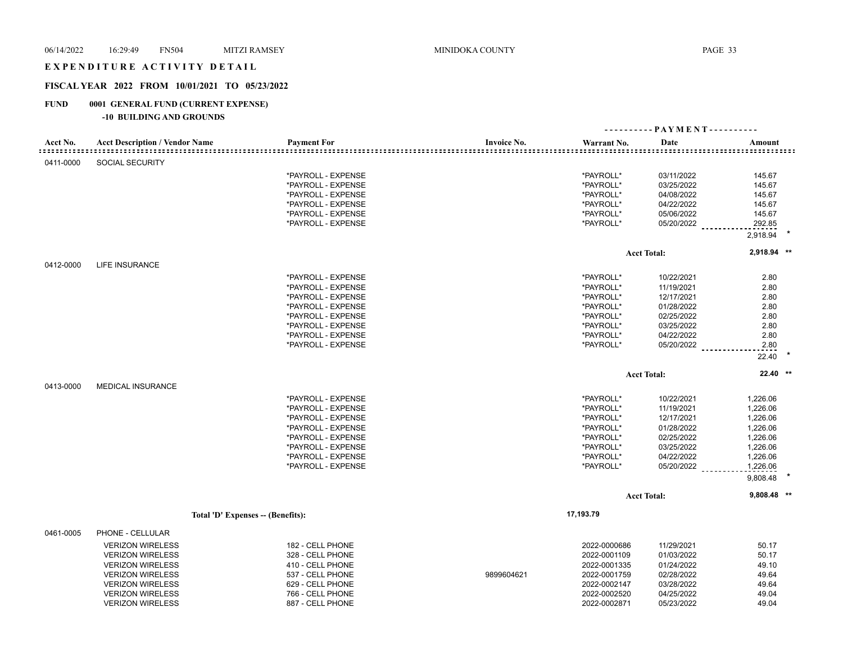### EXPENDITURE ACTIVITY DETAIL

#### **FISCAL YEAR 2022 FROM 10/01/2021 TO 05/23/2022**

## **FUND 0001 GENERAL FUND (CURRENT EXPENSE)**

|           |                                       |                                  |                    |              | ---------- PAYMENT---------- |               |
|-----------|---------------------------------------|----------------------------------|--------------------|--------------|------------------------------|---------------|
| Acct No.  | <b>Acct Description / Vendor Name</b> | <b>Payment For</b>               | <b>Invoice No.</b> | Warrant No.  | Date                         | Amount        |
| 0411-0000 | <b>SOCIAL SECURITY</b>                |                                  |                    |              |                              |               |
|           |                                       | *PAYROLL - EXPENSE               |                    | *PAYROLL*    | 03/11/2022                   | 145.67        |
|           |                                       | *PAYROLL - EXPENSE               |                    | *PAYROLL*    | 03/25/2022                   | 145.67        |
|           |                                       | *PAYROLL - EXPENSE               |                    | *PAYROLL*    | 04/08/2022                   | 145.67        |
|           |                                       | *PAYROLL - EXPENSE               |                    | *PAYROLL*    | 04/22/2022                   | 145.67        |
|           |                                       | *PAYROLL - EXPENSE               |                    | *PAYROLL*    | 05/06/2022                   | 145.67        |
|           |                                       | *PAYROLL - EXPENSE               |                    | *PAYROLL*    | 05/20/2022                   | 292.85        |
|           |                                       |                                  |                    |              |                              | 2,918.94      |
|           |                                       |                                  |                    |              | <b>Acct Total:</b>           | 2,918.94 **   |
| 0412-0000 | <b>LIFE INSURANCE</b>                 |                                  |                    |              |                              |               |
|           |                                       | *PAYROLL - EXPENSE               |                    | *PAYROLL*    | 10/22/2021                   | 2.80          |
|           |                                       | *PAYROLL - EXPENSE               |                    | *PAYROLL*    | 11/19/2021                   | 2.80          |
|           |                                       | *PAYROLL - EXPENSE               |                    | *PAYROLL*    | 12/17/2021                   | 2.80          |
|           |                                       | *PAYROLL - EXPENSE               |                    | *PAYROLL*    | 01/28/2022                   | 2.80          |
|           |                                       | *PAYROLL - EXPENSE               |                    | *PAYROLL*    | 02/25/2022                   | 2.80          |
|           |                                       | *PAYROLL - EXPENSE               |                    | *PAYROLL*    | 03/25/2022                   | 2.80          |
|           |                                       | *PAYROLL - EXPENSE               |                    | *PAYROLL*    | 04/22/2022                   | 2.80          |
|           |                                       | *PAYROLL - EXPENSE               |                    | *PAYROLL*    | 05/20/2022                   | 2.80<br>22.40 |
|           |                                       |                                  |                    |              | <b>Acct Total:</b>           | $22.40$ **    |
| 0413-0000 | <b>MEDICAL INSURANCE</b>              |                                  |                    |              |                              |               |
|           |                                       | *PAYROLL - EXPENSE               |                    | *PAYROLL*    | 10/22/2021                   | 1,226.06      |
|           |                                       | *PAYROLL - EXPENSE               |                    | *PAYROLL*    | 11/19/2021                   | 1,226.06      |
|           |                                       | *PAYROLL - EXPENSE               |                    | *PAYROLL*    | 12/17/2021                   | 1,226.06      |
|           |                                       | *PAYROLL - EXPENSE               |                    | *PAYROLL*    | 01/28/2022                   | 1,226.06      |
|           |                                       | *PAYROLL - EXPENSE               |                    | *PAYROLL*    | 02/25/2022                   | 1,226.06      |
|           |                                       | *PAYROLL - EXPENSE               |                    | *PAYROLL*    | 03/25/2022                   | 1,226.06      |
|           |                                       | *PAYROLL - EXPENSE               |                    | *PAYROLL*    | 04/22/2022                   | 1,226.06      |
|           |                                       | *PAYROLL - EXPENSE               |                    | *PAYROLL*    | 05/20/2022                   | 1,226.06      |
|           |                                       |                                  |                    |              |                              | 9,808.48      |
|           |                                       |                                  |                    |              | <b>Acct Total:</b>           | 9,808.48 **   |
|           |                                       | Total 'D' Expenses - (Benefits): |                    | 17,193.79    |                              |               |
| 0461-0005 | PHONE - CELLULAR                      |                                  |                    |              |                              |               |
|           | <b>VERIZON WIRELESS</b>               | 182 - CELL PHONE                 |                    | 2022-0000686 | 11/29/2021                   | 50.17         |
|           | <b>VERIZON WIRELESS</b>               | 328 - CELL PHONE                 |                    | 2022-0001109 | 01/03/2022                   | 50.17         |
|           | <b>VERIZON WIRELESS</b>               | 410 - CELL PHONE                 |                    | 2022-0001335 | 01/24/2022                   | 49.10         |
|           | <b>VERIZON WIRELESS</b>               | 537 - CELL PHONE                 | 9899604621         | 2022-0001759 | 02/28/2022                   | 49.64         |
|           | <b>VERIZON WIRELESS</b>               | 629 - CELL PHONE                 |                    | 2022-0002147 | 03/28/2022                   | 49.64         |
|           | <b>VERIZON WIRELESS</b>               | 766 - CELL PHONE                 |                    | 2022-0002520 | 04/25/2022                   | 49.04         |
|           | <b>VERIZON WIRELESS</b>               | 887 - CELL PHONE                 |                    | 2022-0002871 | 05/23/2022                   | 49.04         |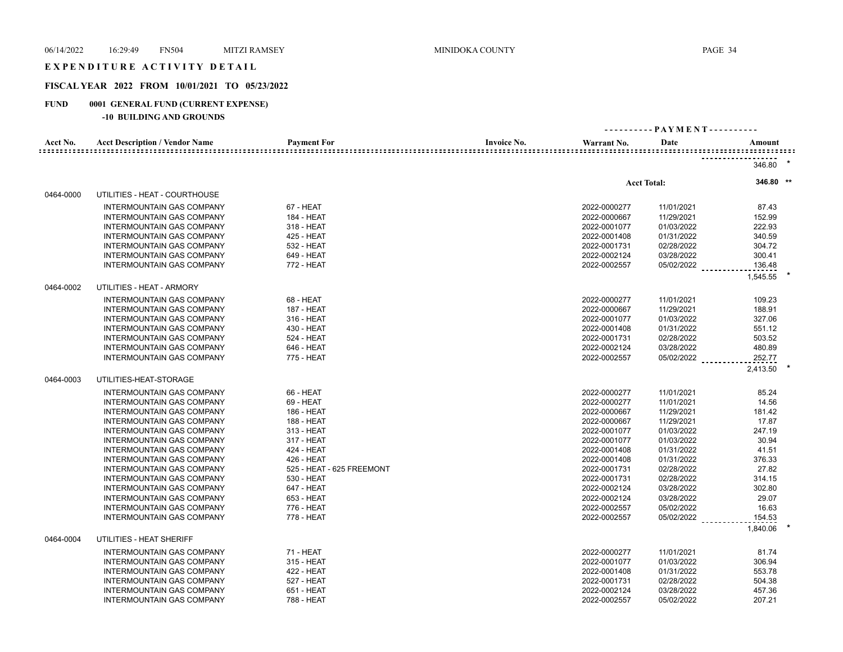## EXPENDITURE ACTIVITY DETAIL

## **FISCAL YEAR 2022 FROM 10/01/2021 TO 05/23/2022**

## **FUND 0001 GENERAL FUND (CURRENT EXPENSE)**

| Acct No.  | <b>Acct Description / Vendor Name</b> | <b>Payment For</b>        | <b>Invoice No.</b> | Warrant No.  | Date               | Amount    |  |
|-----------|---------------------------------------|---------------------------|--------------------|--------------|--------------------|-----------|--|
|           |                                       |                           |                    |              |                    | 346.80    |  |
|           |                                       |                           |                    |              | <b>Acct Total:</b> | 346.80 ** |  |
| 0464-0000 | UTILITIES - HEAT - COURTHOUSE         |                           |                    |              |                    |           |  |
|           | <b>INTERMOUNTAIN GAS COMPANY</b>      | 67 - HEAT                 |                    | 2022-0000277 | 11/01/2021         | 87.43     |  |
|           | INTERMOUNTAIN GAS COMPANY             | 184 - HEAT                |                    | 2022-0000667 | 11/29/2021         | 152.99    |  |
|           | INTERMOUNTAIN GAS COMPANY             | 318 - HEAT                |                    | 2022-0001077 | 01/03/2022         | 222.93    |  |
|           | <b>INTERMOUNTAIN GAS COMPANY</b>      | 425 - HEAT                |                    | 2022-0001408 | 01/31/2022         | 340.59    |  |
|           | <b>INTERMOUNTAIN GAS COMPANY</b>      | 532 - HEAT                |                    | 2022-0001731 | 02/28/2022         | 304.72    |  |
|           | <b>INTERMOUNTAIN GAS COMPANY</b>      | 649 - HEAT                |                    | 2022-0002124 | 03/28/2022         | 300.41    |  |
|           | INTERMOUNTAIN GAS COMPANY             | 772 - HEAT                |                    | 2022-0002557 | 05/02/2022         | 136.48    |  |
|           |                                       |                           |                    |              |                    | 1,545.55  |  |
| 0464-0002 | UTILITIES - HEAT - ARMORY             |                           |                    |              |                    |           |  |
|           | <b>INTERMOUNTAIN GAS COMPANY</b>      | 68 - HEAT                 |                    | 2022-0000277 | 11/01/2021         | 109.23    |  |
|           | INTERMOUNTAIN GAS COMPANY             | <b>187 - HEAT</b>         |                    | 2022-0000667 | 11/29/2021         | 188.91    |  |
|           | <b>INTERMOUNTAIN GAS COMPANY</b>      | 316 - HEAT                |                    | 2022-0001077 | 01/03/2022         | 327.06    |  |
|           | <b>INTERMOUNTAIN GAS COMPANY</b>      | 430 - HEAT                |                    | 2022-0001408 | 01/31/2022         | 551.12    |  |
|           | <b>INTERMOUNTAIN GAS COMPANY</b>      | 524 - HEAT                |                    | 2022-0001731 | 02/28/2022         | 503.52    |  |
|           | <b>INTERMOUNTAIN GAS COMPANY</b>      | 646 - HEAT                |                    | 2022-0002124 | 03/28/2022         | 480.89    |  |
|           | <b>INTERMOUNTAIN GAS COMPANY</b>      | 775 - HEAT                |                    | 2022-0002557 | 05/02/2022         | 252.77    |  |
|           |                                       |                           |                    |              |                    | 2,413.50  |  |
| 0464-0003 | UTILITIES-HEAT-STORAGE                |                           |                    |              |                    |           |  |
|           | INTERMOUNTAIN GAS COMPANY             | 66 - HEAT                 |                    | 2022-0000277 | 11/01/2021         | 85.24     |  |
|           | INTERMOUNTAIN GAS COMPANY             | 69 - HEAT                 |                    | 2022-0000277 | 11/01/2021         | 14.56     |  |
|           | <b>INTERMOUNTAIN GAS COMPANY</b>      | 186 - HEAT                |                    | 2022-0000667 | 11/29/2021         | 181.42    |  |
|           | <b>INTERMOUNTAIN GAS COMPANY</b>      | 188 - HEAT                |                    | 2022-0000667 | 11/29/2021         | 17.87     |  |
|           | <b>INTERMOUNTAIN GAS COMPANY</b>      | 313 - HEAT                |                    | 2022-0001077 | 01/03/2022         | 247.19    |  |
|           | INTERMOUNTAIN GAS COMPANY             | 317 - HEAT                |                    | 2022-0001077 | 01/03/2022         | 30.94     |  |
|           | INTERMOUNTAIN GAS COMPANY             | 424 - HEAT                |                    | 2022-0001408 | 01/31/2022         | 41.51     |  |
|           | INTERMOUNTAIN GAS COMPANY             | 426 - HEAT                |                    | 2022-0001408 | 01/31/2022         | 376.33    |  |
|           | <b>INTERMOUNTAIN GAS COMPANY</b>      | 525 - HEAT - 625 FREEMONT |                    | 2022-0001731 | 02/28/2022         | 27.82     |  |
|           | INTERMOUNTAIN GAS COMPANY             | 530 - HEAT                |                    | 2022-0001731 | 02/28/2022         | 314.15    |  |
|           | INTERMOUNTAIN GAS COMPANY             | 647 - HEAT                |                    | 2022-0002124 | 03/28/2022         | 302.80    |  |
|           | INTERMOUNTAIN GAS COMPANY             | 653 - HEAT                |                    | 2022-0002124 | 03/28/2022         | 29.07     |  |
|           | <b>INTERMOUNTAIN GAS COMPANY</b>      | 776 - HEAT                |                    | 2022-0002557 | 05/02/2022         | 16.63     |  |
|           | <b>INTERMOUNTAIN GAS COMPANY</b>      | 778 - HEAT                |                    | 2022-0002557 | 05/02/2022         | 154.53    |  |
|           |                                       |                           |                    |              |                    | 1,840.06  |  |
| 0464-0004 | UTILITIES - HEAT SHERIFF              |                           |                    |              |                    |           |  |
|           | <b>INTERMOUNTAIN GAS COMPANY</b>      | 71 - HEAT                 |                    | 2022-0000277 | 11/01/2021         | 81.74     |  |
|           | <b>INTERMOUNTAIN GAS COMPANY</b>      | 315 - HEAT                |                    | 2022-0001077 | 01/03/2022         | 306.94    |  |
|           | INTERMOUNTAIN GAS COMPANY             | 422 - HEAT                |                    | 2022-0001408 | 01/31/2022         | 553.78    |  |
|           | INTERMOUNTAIN GAS COMPANY             | 527 - HEAT                |                    | 2022-0001731 | 02/28/2022         | 504.38    |  |
|           | <b>INTERMOUNTAIN GAS COMPANY</b>      | 651 - HEAT                |                    | 2022-0002124 | 03/28/2022         | 457.36    |  |
|           | <b>INTERMOUNTAIN GAS COMPANY</b>      | 788 - HEAT                |                    | 2022-0002557 | 05/02/2022         | 207.21    |  |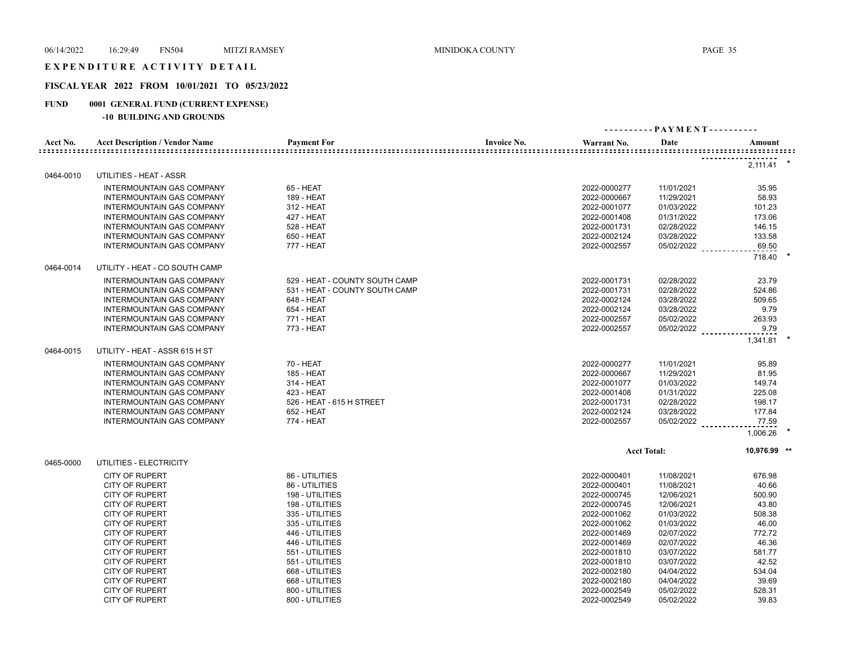### EXPENDITURE ACTIVITY DETAIL

## **FISCAL YEAR 2022 FROM 10/01/2021 TO 05/23/2022**

## **FUND 0001 GENERAL FUND (CURRENT EXPENSE)**

| Acct No.  | <b>Acct Description / Vendor Name</b>                  | <b>Payment For</b>                           | <b>Invoice No.</b> | Warrant No.                  | Date                     | Amount           |
|-----------|--------------------------------------------------------|----------------------------------------------|--------------------|------------------------------|--------------------------|------------------|
|           |                                                        |                                              |                    |                              |                          | 2,111.41         |
| 0464-0010 | UTILITIES - HEAT - ASSR                                |                                              |                    |                              |                          |                  |
|           | <b>INTERMOUNTAIN GAS COMPANY</b>                       | 65 - HEAT                                    |                    | 2022-0000277                 | 11/01/2021               | 35.95            |
|           | <b>INTERMOUNTAIN GAS COMPANY</b>                       | 189 - HEAT                                   |                    | 2022-0000667                 | 11/29/2021               | 58.93            |
|           | INTERMOUNTAIN GAS COMPANY                              | 312 - HEAT                                   |                    | 2022-0001077                 | 01/03/2022               | 101.23           |
|           | INTERMOUNTAIN GAS COMPANY                              | 427 - HEAT                                   |                    | 2022-0001408                 | 01/31/2022               | 173.06           |
|           | INTERMOUNTAIN GAS COMPANY                              | 528 - HEAT                                   |                    | 2022-0001731                 | 02/28/2022               | 146.15           |
|           | INTERMOUNTAIN GAS COMPANY                              | 650 - HEAT                                   |                    | 2022-0002124                 | 03/28/2022               | 133.58           |
|           | <b>INTERMOUNTAIN GAS COMPANY</b>                       | 777 - HEAT                                   |                    | 2022-0002557                 | 05/02/2022               | 69.50            |
| 0464-0014 | UTILITY - HEAT - CO SOUTH CAMP                         |                                              |                    |                              |                          | 718.40           |
|           |                                                        |                                              |                    |                              |                          |                  |
|           | <b>INTERMOUNTAIN GAS COMPANY</b>                       | 529 - HEAT - COUNTY SOUTH CAMP               |                    | 2022-0001731                 | 02/28/2022               | 23.79            |
|           | INTERMOUNTAIN GAS COMPANY                              | 531 - HEAT - COUNTY SOUTH CAMP<br>648 - HEAT |                    | 2022-0001731<br>2022-0002124 | 02/28/2022               | 524.86<br>509.65 |
|           | INTERMOUNTAIN GAS COMPANY<br>INTERMOUNTAIN GAS COMPANY | 654 - HEAT                                   |                    | 2022-0002124                 | 03/28/2022<br>03/28/2022 | 9.79             |
|           | INTERMOUNTAIN GAS COMPANY                              | 771 - HEAT                                   |                    | 2022-0002557                 | 05/02/2022               | 263.93           |
|           | INTERMOUNTAIN GAS COMPANY                              | 773 - HEAT                                   |                    | 2022-0002557                 | 05/02/2022               | 9.79             |
|           |                                                        |                                              |                    |                              |                          | 1.341.81         |
| 0464-0015 | UTILITY - HEAT - ASSR 615 H ST                         |                                              |                    |                              |                          |                  |
|           | <b>INTERMOUNTAIN GAS COMPANY</b>                       | 70 - HEAT                                    |                    | 2022-0000277                 | 11/01/2021               | 95.89            |
|           | INTERMOUNTAIN GAS COMPANY                              | 185 - HEAT                                   |                    | 2022-0000667                 | 11/29/2021               | 81.95            |
|           | INTERMOUNTAIN GAS COMPANY                              | 314 - HEAT                                   |                    | 2022-0001077                 | 01/03/2022               | 149.74           |
|           | INTERMOUNTAIN GAS COMPANY                              | 423 - HEAT                                   |                    | 2022-0001408                 | 01/31/2022               | 225.08           |
|           | INTERMOUNTAIN GAS COMPANY                              | 526 - HEAT - 615 H STREET                    |                    | 2022-0001731                 | 02/28/2022               | 198.17           |
|           | <b>INTERMOUNTAIN GAS COMPANY</b>                       | 652 - HEAT                                   |                    | 2022-0002124                 | 03/28/2022               | 177.84           |
|           | <b>INTERMOUNTAIN GAS COMPANY</b>                       | 774 - HEAT                                   |                    | 2022-0002557                 | 05/02/2022               | 77.59            |
|           |                                                        |                                              |                    |                              |                          | 1,006.26         |
|           |                                                        |                                              |                    |                              | <b>Acct Total:</b>       | 10,976.99 **     |
| 0465-0000 | UTILITIES - ELECTRICITY                                |                                              |                    |                              |                          |                  |
|           | <b>CITY OF RUPERT</b>                                  | 86 - UTILITIES                               |                    | 2022-0000401                 | 11/08/2021               | 676.98           |
|           | <b>CITY OF RUPERT</b>                                  | 86 - UTILITIES                               |                    | 2022-0000401                 | 11/08/2021               | 40.66            |
|           | <b>CITY OF RUPERT</b>                                  | 198 - UTILITIES                              |                    | 2022-0000745                 | 12/06/2021               | 500.90           |
|           | <b>CITY OF RUPERT</b>                                  | 198 - UTILITIES                              |                    | 2022-0000745                 | 12/06/2021               | 43.80            |
|           | <b>CITY OF RUPERT</b>                                  | 335 - UTILITIES                              |                    | 2022-0001062                 | 01/03/2022               | 508.38           |
|           | <b>CITY OF RUPERT</b>                                  | 335 - UTILITIES                              |                    | 2022-0001062                 | 01/03/2022               | 46.00            |
|           | <b>CITY OF RUPERT</b>                                  | 446 - UTILITIES                              |                    | 2022-0001469                 | 02/07/2022               | 772.72           |
|           | <b>CITY OF RUPERT</b>                                  | 446 - UTILITIES                              |                    | 2022-0001469                 | 02/07/2022               | 46.36            |
|           | <b>CITY OF RUPERT</b>                                  | 551 - UTILITIES                              |                    | 2022-0001810                 | 03/07/2022               | 581.77           |
|           | <b>CITY OF RUPERT</b>                                  | 551 - UTILITIES                              |                    | 2022-0001810                 | 03/07/2022               | 42.52            |
|           | <b>CITY OF RUPERT</b>                                  | 668 - UTILITIES                              |                    | 2022-0002180                 | 04/04/2022               | 534.04           |
|           | <b>CITY OF RUPERT</b>                                  | 668 - UTILITIES                              |                    | 2022-0002180                 | 04/04/2022               | 39.69            |
|           | <b>CITY OF RUPERT</b>                                  | 800 - UTILITIES                              |                    | 2022-0002549                 | 05/02/2022               | 528.31           |
|           | <b>CITY OF RUPERT</b>                                  | 800 - UTILITIES                              |                    | 2022-0002549                 | 05/02/2022               | 39.83            |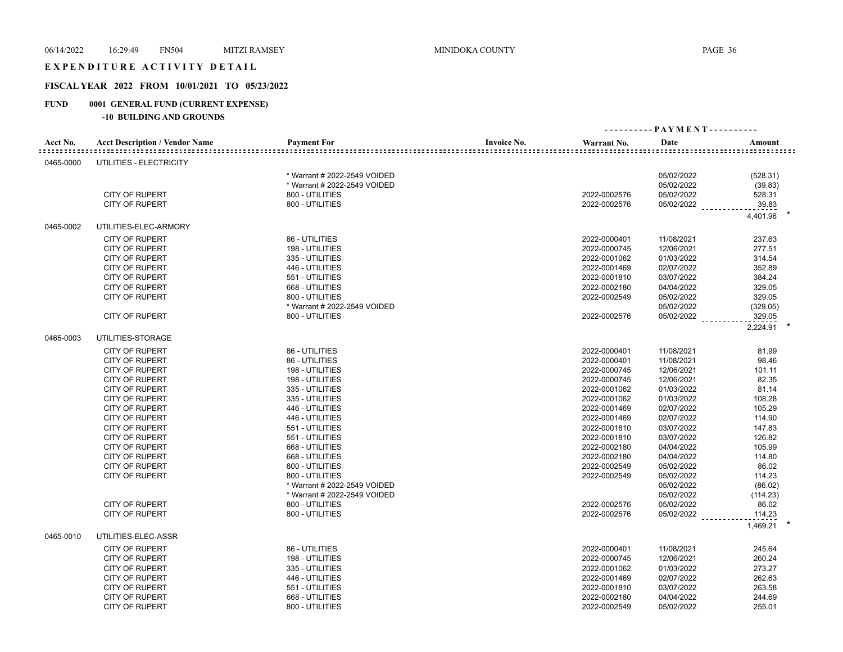### EXPENDITURE ACTIVITY DETAIL

## **FISCAL YEAR 2022 FROM 10/01/2021 TO 05/23/2022**

## **FUND 0001 GENERAL FUND (CURRENT EXPENSE)**

| <b>Payment For</b><br>Acct No.<br><b>Acct Description / Vendor Name</b><br><b>Invoice No.</b><br>Warrant No.<br>Date<br>Amount<br>UTILITIES - ELECTRICITY<br>0465-0000<br>* Warrant # 2022-2549 VOIDED<br>05/02/2022<br>(528.31)<br>* Warrant # 2022-2549 VOIDED<br>05/02/2022<br>(39.83)<br><b>CITY OF RUPERT</b><br>528.31<br>800 - UTILITIES<br>2022-0002576<br>05/02/2022<br>800 - UTILITIES<br>05/02/2022<br>39.83<br><b>CITY OF RUPERT</b><br>2022-0002576<br>4,401.96<br>UTILITIES-ELEC-ARMORY<br>0465-0002<br>86 - UTILITIES<br><b>CITY OF RUPERT</b><br>2022-0000401<br>11/08/2021<br>237.63<br><b>CITY OF RUPERT</b><br>198 - UTILITIES<br>2022-0000745<br>12/06/2021<br>277.51<br><b>CITY OF RUPERT</b><br>335 - UTILITIES<br>2022-0001062<br>01/03/2022<br>314.54<br><b>CITY OF RUPERT</b><br>446 - UTILITIES<br>2022-0001469<br>02/07/2022<br>352.89<br>551 - UTILITIES<br>384.24<br>CITY OF RUPERT<br>2022-0001810<br>03/07/2022<br><b>CITY OF RUPERT</b><br>668 - UTILITIES<br>2022-0002180<br>04/04/2022<br>329.05<br>800 - UTILITIES<br>329.05<br><b>CITY OF RUPERT</b><br>2022-0002549<br>05/02/2022<br>* Warrant # 2022-2549 VOIDED<br>05/02/2022<br>(329.05)<br><b>CITY OF RUPERT</b><br>800 - UTILITIES<br>2022-0002576<br>05/02/2022<br>329.05<br>2,224.91<br>0465-0003<br>UTILITIES-STORAGE<br><b>CITY OF RUPERT</b><br>86 - UTILITIES<br>2022-0000401<br>81.99<br>11/08/2021<br><b>CITY OF RUPERT</b><br>86 - UTILITIES<br>2022-0000401<br>11/08/2021<br>98.46<br><b>CITY OF RUPERT</b><br>198 - UTILITIES<br>2022-0000745<br>12/06/2021<br>101.11<br>2022-0000745<br>12/06/2021<br>82.35<br><b>CITY OF RUPERT</b><br>198 - UTILITIES<br>335 - UTILITIES<br><b>CITY OF RUPERT</b><br>2022-0001062<br>01/03/2022<br>81.14<br><b>CITY OF RUPERT</b><br>335 - UTILITIES<br>2022-0001062<br>01/03/2022<br>108.28<br>CITY OF RUPERT<br>2022-0001469<br>02/07/2022<br>105.29<br>446 - UTILITIES<br>114.90<br><b>CITY OF RUPERT</b><br>446 - UTILITIES<br>2022-0001469<br>02/07/2022<br>551 - UTILITIES<br>2022-0001810<br>03/07/2022<br>147.83<br><b>CITY OF RUPERT</b><br><b>CITY OF RUPERT</b><br>551 - UTILITIES<br>2022-0001810<br>03/07/2022<br>126.82<br>105.99<br>CITY OF RUPERT<br>668 - UTILITIES<br>2022-0002180<br>04/04/2022<br><b>CITY OF RUPERT</b><br>668 - UTILITIES<br>2022-0002180<br>04/04/2022<br>114.80<br><b>CITY OF RUPERT</b><br>800 - UTILITIES<br>2022-0002549<br>05/02/2022<br>86.02<br>05/02/2022<br>114.23<br><b>CITY OF RUPERT</b><br>800 - UTILITIES<br>2022-0002549<br>* Warrant # 2022-2549 VOIDED<br>05/02/2022<br>(86.02)<br>* Warrant # 2022-2549 VOIDED<br>05/02/2022<br>(114.23)<br><b>CITY OF RUPERT</b><br>800 - UTILITIES<br>2022-0002576<br>05/02/2022<br>86.02<br><b>CITY OF RUPERT</b><br>800 - UTILITIES<br>2022-0002576<br>05/02/2022<br>114.23<br>1,469.21<br>UTILITIES-ELEC-ASSR<br>0465-0010<br><b>CITY OF RUPERT</b><br>86 - UTILITIES<br>2022-0000401<br>11/08/2021<br>245.64<br><b>CITY OF RUPERT</b><br>198 - UTILITIES<br>2022-0000745<br>12/06/2021<br>260.24<br><b>CITY OF RUPERT</b><br>335 - UTILITIES<br>2022-0001062<br>01/03/2022<br>273.27<br>2022-0001469<br>262.63<br><b>CITY OF RUPERT</b><br>446 - UTILITIES<br>02/07/2022<br><b>CITY OF RUPERT</b><br>551 - UTILITIES<br>2022-0001810<br>03/07/2022<br>263.58<br>244.69<br>CITY OF RUPERT<br>668 - UTILITIES<br>2022-0002180<br>04/04/2022<br><b>CITY OF RUPERT</b><br>800 - UTILITIES<br>2022-0002549<br>05/02/2022<br>255.01 |  |  |  |  |  |  |  |
|---------------------------------------------------------------------------------------------------------------------------------------------------------------------------------------------------------------------------------------------------------------------------------------------------------------------------------------------------------------------------------------------------------------------------------------------------------------------------------------------------------------------------------------------------------------------------------------------------------------------------------------------------------------------------------------------------------------------------------------------------------------------------------------------------------------------------------------------------------------------------------------------------------------------------------------------------------------------------------------------------------------------------------------------------------------------------------------------------------------------------------------------------------------------------------------------------------------------------------------------------------------------------------------------------------------------------------------------------------------------------------------------------------------------------------------------------------------------------------------------------------------------------------------------------------------------------------------------------------------------------------------------------------------------------------------------------------------------------------------------------------------------------------------------------------------------------------------------------------------------------------------------------------------------------------------------------------------------------------------------------------------------------------------------------------------------------------------------------------------------------------------------------------------------------------------------------------------------------------------------------------------------------------------------------------------------------------------------------------------------------------------------------------------------------------------------------------------------------------------------------------------------------------------------------------------------------------------------------------------------------------------------------------------------------------------------------------------------------------------------------------------------------------------------------------------------------------------------------------------------------------------------------------------------------------------------------------------------------------------------------------------------------------------------------------------------------------------------------------------------------------------------------------------------------------------------------------------------------------------------------------------------------------------------------------------------------------------------------------------------------------------------------------------------------------------------------------------------|--|--|--|--|--|--|--|
|                                                                                                                                                                                                                                                                                                                                                                                                                                                                                                                                                                                                                                                                                                                                                                                                                                                                                                                                                                                                                                                                                                                                                                                                                                                                                                                                                                                                                                                                                                                                                                                                                                                                                                                                                                                                                                                                                                                                                                                                                                                                                                                                                                                                                                                                                                                                                                                                                                                                                                                                                                                                                                                                                                                                                                                                                                                                                                                                                                                                                                                                                                                                                                                                                                                                                                                                                                                                                                                                     |  |  |  |  |  |  |  |
|                                                                                                                                                                                                                                                                                                                                                                                                                                                                                                                                                                                                                                                                                                                                                                                                                                                                                                                                                                                                                                                                                                                                                                                                                                                                                                                                                                                                                                                                                                                                                                                                                                                                                                                                                                                                                                                                                                                                                                                                                                                                                                                                                                                                                                                                                                                                                                                                                                                                                                                                                                                                                                                                                                                                                                                                                                                                                                                                                                                                                                                                                                                                                                                                                                                                                                                                                                                                                                                                     |  |  |  |  |  |  |  |
|                                                                                                                                                                                                                                                                                                                                                                                                                                                                                                                                                                                                                                                                                                                                                                                                                                                                                                                                                                                                                                                                                                                                                                                                                                                                                                                                                                                                                                                                                                                                                                                                                                                                                                                                                                                                                                                                                                                                                                                                                                                                                                                                                                                                                                                                                                                                                                                                                                                                                                                                                                                                                                                                                                                                                                                                                                                                                                                                                                                                                                                                                                                                                                                                                                                                                                                                                                                                                                                                     |  |  |  |  |  |  |  |
|                                                                                                                                                                                                                                                                                                                                                                                                                                                                                                                                                                                                                                                                                                                                                                                                                                                                                                                                                                                                                                                                                                                                                                                                                                                                                                                                                                                                                                                                                                                                                                                                                                                                                                                                                                                                                                                                                                                                                                                                                                                                                                                                                                                                                                                                                                                                                                                                                                                                                                                                                                                                                                                                                                                                                                                                                                                                                                                                                                                                                                                                                                                                                                                                                                                                                                                                                                                                                                                                     |  |  |  |  |  |  |  |
|                                                                                                                                                                                                                                                                                                                                                                                                                                                                                                                                                                                                                                                                                                                                                                                                                                                                                                                                                                                                                                                                                                                                                                                                                                                                                                                                                                                                                                                                                                                                                                                                                                                                                                                                                                                                                                                                                                                                                                                                                                                                                                                                                                                                                                                                                                                                                                                                                                                                                                                                                                                                                                                                                                                                                                                                                                                                                                                                                                                                                                                                                                                                                                                                                                                                                                                                                                                                                                                                     |  |  |  |  |  |  |  |
|                                                                                                                                                                                                                                                                                                                                                                                                                                                                                                                                                                                                                                                                                                                                                                                                                                                                                                                                                                                                                                                                                                                                                                                                                                                                                                                                                                                                                                                                                                                                                                                                                                                                                                                                                                                                                                                                                                                                                                                                                                                                                                                                                                                                                                                                                                                                                                                                                                                                                                                                                                                                                                                                                                                                                                                                                                                                                                                                                                                                                                                                                                                                                                                                                                                                                                                                                                                                                                                                     |  |  |  |  |  |  |  |
|                                                                                                                                                                                                                                                                                                                                                                                                                                                                                                                                                                                                                                                                                                                                                                                                                                                                                                                                                                                                                                                                                                                                                                                                                                                                                                                                                                                                                                                                                                                                                                                                                                                                                                                                                                                                                                                                                                                                                                                                                                                                                                                                                                                                                                                                                                                                                                                                                                                                                                                                                                                                                                                                                                                                                                                                                                                                                                                                                                                                                                                                                                                                                                                                                                                                                                                                                                                                                                                                     |  |  |  |  |  |  |  |
|                                                                                                                                                                                                                                                                                                                                                                                                                                                                                                                                                                                                                                                                                                                                                                                                                                                                                                                                                                                                                                                                                                                                                                                                                                                                                                                                                                                                                                                                                                                                                                                                                                                                                                                                                                                                                                                                                                                                                                                                                                                                                                                                                                                                                                                                                                                                                                                                                                                                                                                                                                                                                                                                                                                                                                                                                                                                                                                                                                                                                                                                                                                                                                                                                                                                                                                                                                                                                                                                     |  |  |  |  |  |  |  |
|                                                                                                                                                                                                                                                                                                                                                                                                                                                                                                                                                                                                                                                                                                                                                                                                                                                                                                                                                                                                                                                                                                                                                                                                                                                                                                                                                                                                                                                                                                                                                                                                                                                                                                                                                                                                                                                                                                                                                                                                                                                                                                                                                                                                                                                                                                                                                                                                                                                                                                                                                                                                                                                                                                                                                                                                                                                                                                                                                                                                                                                                                                                                                                                                                                                                                                                                                                                                                                                                     |  |  |  |  |  |  |  |
|                                                                                                                                                                                                                                                                                                                                                                                                                                                                                                                                                                                                                                                                                                                                                                                                                                                                                                                                                                                                                                                                                                                                                                                                                                                                                                                                                                                                                                                                                                                                                                                                                                                                                                                                                                                                                                                                                                                                                                                                                                                                                                                                                                                                                                                                                                                                                                                                                                                                                                                                                                                                                                                                                                                                                                                                                                                                                                                                                                                                                                                                                                                                                                                                                                                                                                                                                                                                                                                                     |  |  |  |  |  |  |  |
|                                                                                                                                                                                                                                                                                                                                                                                                                                                                                                                                                                                                                                                                                                                                                                                                                                                                                                                                                                                                                                                                                                                                                                                                                                                                                                                                                                                                                                                                                                                                                                                                                                                                                                                                                                                                                                                                                                                                                                                                                                                                                                                                                                                                                                                                                                                                                                                                                                                                                                                                                                                                                                                                                                                                                                                                                                                                                                                                                                                                                                                                                                                                                                                                                                                                                                                                                                                                                                                                     |  |  |  |  |  |  |  |
|                                                                                                                                                                                                                                                                                                                                                                                                                                                                                                                                                                                                                                                                                                                                                                                                                                                                                                                                                                                                                                                                                                                                                                                                                                                                                                                                                                                                                                                                                                                                                                                                                                                                                                                                                                                                                                                                                                                                                                                                                                                                                                                                                                                                                                                                                                                                                                                                                                                                                                                                                                                                                                                                                                                                                                                                                                                                                                                                                                                                                                                                                                                                                                                                                                                                                                                                                                                                                                                                     |  |  |  |  |  |  |  |
|                                                                                                                                                                                                                                                                                                                                                                                                                                                                                                                                                                                                                                                                                                                                                                                                                                                                                                                                                                                                                                                                                                                                                                                                                                                                                                                                                                                                                                                                                                                                                                                                                                                                                                                                                                                                                                                                                                                                                                                                                                                                                                                                                                                                                                                                                                                                                                                                                                                                                                                                                                                                                                                                                                                                                                                                                                                                                                                                                                                                                                                                                                                                                                                                                                                                                                                                                                                                                                                                     |  |  |  |  |  |  |  |
|                                                                                                                                                                                                                                                                                                                                                                                                                                                                                                                                                                                                                                                                                                                                                                                                                                                                                                                                                                                                                                                                                                                                                                                                                                                                                                                                                                                                                                                                                                                                                                                                                                                                                                                                                                                                                                                                                                                                                                                                                                                                                                                                                                                                                                                                                                                                                                                                                                                                                                                                                                                                                                                                                                                                                                                                                                                                                                                                                                                                                                                                                                                                                                                                                                                                                                                                                                                                                                                                     |  |  |  |  |  |  |  |
|                                                                                                                                                                                                                                                                                                                                                                                                                                                                                                                                                                                                                                                                                                                                                                                                                                                                                                                                                                                                                                                                                                                                                                                                                                                                                                                                                                                                                                                                                                                                                                                                                                                                                                                                                                                                                                                                                                                                                                                                                                                                                                                                                                                                                                                                                                                                                                                                                                                                                                                                                                                                                                                                                                                                                                                                                                                                                                                                                                                                                                                                                                                                                                                                                                                                                                                                                                                                                                                                     |  |  |  |  |  |  |  |
|                                                                                                                                                                                                                                                                                                                                                                                                                                                                                                                                                                                                                                                                                                                                                                                                                                                                                                                                                                                                                                                                                                                                                                                                                                                                                                                                                                                                                                                                                                                                                                                                                                                                                                                                                                                                                                                                                                                                                                                                                                                                                                                                                                                                                                                                                                                                                                                                                                                                                                                                                                                                                                                                                                                                                                                                                                                                                                                                                                                                                                                                                                                                                                                                                                                                                                                                                                                                                                                                     |  |  |  |  |  |  |  |
|                                                                                                                                                                                                                                                                                                                                                                                                                                                                                                                                                                                                                                                                                                                                                                                                                                                                                                                                                                                                                                                                                                                                                                                                                                                                                                                                                                                                                                                                                                                                                                                                                                                                                                                                                                                                                                                                                                                                                                                                                                                                                                                                                                                                                                                                                                                                                                                                                                                                                                                                                                                                                                                                                                                                                                                                                                                                                                                                                                                                                                                                                                                                                                                                                                                                                                                                                                                                                                                                     |  |  |  |  |  |  |  |
|                                                                                                                                                                                                                                                                                                                                                                                                                                                                                                                                                                                                                                                                                                                                                                                                                                                                                                                                                                                                                                                                                                                                                                                                                                                                                                                                                                                                                                                                                                                                                                                                                                                                                                                                                                                                                                                                                                                                                                                                                                                                                                                                                                                                                                                                                                                                                                                                                                                                                                                                                                                                                                                                                                                                                                                                                                                                                                                                                                                                                                                                                                                                                                                                                                                                                                                                                                                                                                                                     |  |  |  |  |  |  |  |
|                                                                                                                                                                                                                                                                                                                                                                                                                                                                                                                                                                                                                                                                                                                                                                                                                                                                                                                                                                                                                                                                                                                                                                                                                                                                                                                                                                                                                                                                                                                                                                                                                                                                                                                                                                                                                                                                                                                                                                                                                                                                                                                                                                                                                                                                                                                                                                                                                                                                                                                                                                                                                                                                                                                                                                                                                                                                                                                                                                                                                                                                                                                                                                                                                                                                                                                                                                                                                                                                     |  |  |  |  |  |  |  |
|                                                                                                                                                                                                                                                                                                                                                                                                                                                                                                                                                                                                                                                                                                                                                                                                                                                                                                                                                                                                                                                                                                                                                                                                                                                                                                                                                                                                                                                                                                                                                                                                                                                                                                                                                                                                                                                                                                                                                                                                                                                                                                                                                                                                                                                                                                                                                                                                                                                                                                                                                                                                                                                                                                                                                                                                                                                                                                                                                                                                                                                                                                                                                                                                                                                                                                                                                                                                                                                                     |  |  |  |  |  |  |  |
|                                                                                                                                                                                                                                                                                                                                                                                                                                                                                                                                                                                                                                                                                                                                                                                                                                                                                                                                                                                                                                                                                                                                                                                                                                                                                                                                                                                                                                                                                                                                                                                                                                                                                                                                                                                                                                                                                                                                                                                                                                                                                                                                                                                                                                                                                                                                                                                                                                                                                                                                                                                                                                                                                                                                                                                                                                                                                                                                                                                                                                                                                                                                                                                                                                                                                                                                                                                                                                                                     |  |  |  |  |  |  |  |
|                                                                                                                                                                                                                                                                                                                                                                                                                                                                                                                                                                                                                                                                                                                                                                                                                                                                                                                                                                                                                                                                                                                                                                                                                                                                                                                                                                                                                                                                                                                                                                                                                                                                                                                                                                                                                                                                                                                                                                                                                                                                                                                                                                                                                                                                                                                                                                                                                                                                                                                                                                                                                                                                                                                                                                                                                                                                                                                                                                                                                                                                                                                                                                                                                                                                                                                                                                                                                                                                     |  |  |  |  |  |  |  |
|                                                                                                                                                                                                                                                                                                                                                                                                                                                                                                                                                                                                                                                                                                                                                                                                                                                                                                                                                                                                                                                                                                                                                                                                                                                                                                                                                                                                                                                                                                                                                                                                                                                                                                                                                                                                                                                                                                                                                                                                                                                                                                                                                                                                                                                                                                                                                                                                                                                                                                                                                                                                                                                                                                                                                                                                                                                                                                                                                                                                                                                                                                                                                                                                                                                                                                                                                                                                                                                                     |  |  |  |  |  |  |  |
|                                                                                                                                                                                                                                                                                                                                                                                                                                                                                                                                                                                                                                                                                                                                                                                                                                                                                                                                                                                                                                                                                                                                                                                                                                                                                                                                                                                                                                                                                                                                                                                                                                                                                                                                                                                                                                                                                                                                                                                                                                                                                                                                                                                                                                                                                                                                                                                                                                                                                                                                                                                                                                                                                                                                                                                                                                                                                                                                                                                                                                                                                                                                                                                                                                                                                                                                                                                                                                                                     |  |  |  |  |  |  |  |
|                                                                                                                                                                                                                                                                                                                                                                                                                                                                                                                                                                                                                                                                                                                                                                                                                                                                                                                                                                                                                                                                                                                                                                                                                                                                                                                                                                                                                                                                                                                                                                                                                                                                                                                                                                                                                                                                                                                                                                                                                                                                                                                                                                                                                                                                                                                                                                                                                                                                                                                                                                                                                                                                                                                                                                                                                                                                                                                                                                                                                                                                                                                                                                                                                                                                                                                                                                                                                                                                     |  |  |  |  |  |  |  |
|                                                                                                                                                                                                                                                                                                                                                                                                                                                                                                                                                                                                                                                                                                                                                                                                                                                                                                                                                                                                                                                                                                                                                                                                                                                                                                                                                                                                                                                                                                                                                                                                                                                                                                                                                                                                                                                                                                                                                                                                                                                                                                                                                                                                                                                                                                                                                                                                                                                                                                                                                                                                                                                                                                                                                                                                                                                                                                                                                                                                                                                                                                                                                                                                                                                                                                                                                                                                                                                                     |  |  |  |  |  |  |  |
|                                                                                                                                                                                                                                                                                                                                                                                                                                                                                                                                                                                                                                                                                                                                                                                                                                                                                                                                                                                                                                                                                                                                                                                                                                                                                                                                                                                                                                                                                                                                                                                                                                                                                                                                                                                                                                                                                                                                                                                                                                                                                                                                                                                                                                                                                                                                                                                                                                                                                                                                                                                                                                                                                                                                                                                                                                                                                                                                                                                                                                                                                                                                                                                                                                                                                                                                                                                                                                                                     |  |  |  |  |  |  |  |
|                                                                                                                                                                                                                                                                                                                                                                                                                                                                                                                                                                                                                                                                                                                                                                                                                                                                                                                                                                                                                                                                                                                                                                                                                                                                                                                                                                                                                                                                                                                                                                                                                                                                                                                                                                                                                                                                                                                                                                                                                                                                                                                                                                                                                                                                                                                                                                                                                                                                                                                                                                                                                                                                                                                                                                                                                                                                                                                                                                                                                                                                                                                                                                                                                                                                                                                                                                                                                                                                     |  |  |  |  |  |  |  |
|                                                                                                                                                                                                                                                                                                                                                                                                                                                                                                                                                                                                                                                                                                                                                                                                                                                                                                                                                                                                                                                                                                                                                                                                                                                                                                                                                                                                                                                                                                                                                                                                                                                                                                                                                                                                                                                                                                                                                                                                                                                                                                                                                                                                                                                                                                                                                                                                                                                                                                                                                                                                                                                                                                                                                                                                                                                                                                                                                                                                                                                                                                                                                                                                                                                                                                                                                                                                                                                                     |  |  |  |  |  |  |  |
|                                                                                                                                                                                                                                                                                                                                                                                                                                                                                                                                                                                                                                                                                                                                                                                                                                                                                                                                                                                                                                                                                                                                                                                                                                                                                                                                                                                                                                                                                                                                                                                                                                                                                                                                                                                                                                                                                                                                                                                                                                                                                                                                                                                                                                                                                                                                                                                                                                                                                                                                                                                                                                                                                                                                                                                                                                                                                                                                                                                                                                                                                                                                                                                                                                                                                                                                                                                                                                                                     |  |  |  |  |  |  |  |
|                                                                                                                                                                                                                                                                                                                                                                                                                                                                                                                                                                                                                                                                                                                                                                                                                                                                                                                                                                                                                                                                                                                                                                                                                                                                                                                                                                                                                                                                                                                                                                                                                                                                                                                                                                                                                                                                                                                                                                                                                                                                                                                                                                                                                                                                                                                                                                                                                                                                                                                                                                                                                                                                                                                                                                                                                                                                                                                                                                                                                                                                                                                                                                                                                                                                                                                                                                                                                                                                     |  |  |  |  |  |  |  |
|                                                                                                                                                                                                                                                                                                                                                                                                                                                                                                                                                                                                                                                                                                                                                                                                                                                                                                                                                                                                                                                                                                                                                                                                                                                                                                                                                                                                                                                                                                                                                                                                                                                                                                                                                                                                                                                                                                                                                                                                                                                                                                                                                                                                                                                                                                                                                                                                                                                                                                                                                                                                                                                                                                                                                                                                                                                                                                                                                                                                                                                                                                                                                                                                                                                                                                                                                                                                                                                                     |  |  |  |  |  |  |  |
|                                                                                                                                                                                                                                                                                                                                                                                                                                                                                                                                                                                                                                                                                                                                                                                                                                                                                                                                                                                                                                                                                                                                                                                                                                                                                                                                                                                                                                                                                                                                                                                                                                                                                                                                                                                                                                                                                                                                                                                                                                                                                                                                                                                                                                                                                                                                                                                                                                                                                                                                                                                                                                                                                                                                                                                                                                                                                                                                                                                                                                                                                                                                                                                                                                                                                                                                                                                                                                                                     |  |  |  |  |  |  |  |
|                                                                                                                                                                                                                                                                                                                                                                                                                                                                                                                                                                                                                                                                                                                                                                                                                                                                                                                                                                                                                                                                                                                                                                                                                                                                                                                                                                                                                                                                                                                                                                                                                                                                                                                                                                                                                                                                                                                                                                                                                                                                                                                                                                                                                                                                                                                                                                                                                                                                                                                                                                                                                                                                                                                                                                                                                                                                                                                                                                                                                                                                                                                                                                                                                                                                                                                                                                                                                                                                     |  |  |  |  |  |  |  |
|                                                                                                                                                                                                                                                                                                                                                                                                                                                                                                                                                                                                                                                                                                                                                                                                                                                                                                                                                                                                                                                                                                                                                                                                                                                                                                                                                                                                                                                                                                                                                                                                                                                                                                                                                                                                                                                                                                                                                                                                                                                                                                                                                                                                                                                                                                                                                                                                                                                                                                                                                                                                                                                                                                                                                                                                                                                                                                                                                                                                                                                                                                                                                                                                                                                                                                                                                                                                                                                                     |  |  |  |  |  |  |  |
|                                                                                                                                                                                                                                                                                                                                                                                                                                                                                                                                                                                                                                                                                                                                                                                                                                                                                                                                                                                                                                                                                                                                                                                                                                                                                                                                                                                                                                                                                                                                                                                                                                                                                                                                                                                                                                                                                                                                                                                                                                                                                                                                                                                                                                                                                                                                                                                                                                                                                                                                                                                                                                                                                                                                                                                                                                                                                                                                                                                                                                                                                                                                                                                                                                                                                                                                                                                                                                                                     |  |  |  |  |  |  |  |
|                                                                                                                                                                                                                                                                                                                                                                                                                                                                                                                                                                                                                                                                                                                                                                                                                                                                                                                                                                                                                                                                                                                                                                                                                                                                                                                                                                                                                                                                                                                                                                                                                                                                                                                                                                                                                                                                                                                                                                                                                                                                                                                                                                                                                                                                                                                                                                                                                                                                                                                                                                                                                                                                                                                                                                                                                                                                                                                                                                                                                                                                                                                                                                                                                                                                                                                                                                                                                                                                     |  |  |  |  |  |  |  |
|                                                                                                                                                                                                                                                                                                                                                                                                                                                                                                                                                                                                                                                                                                                                                                                                                                                                                                                                                                                                                                                                                                                                                                                                                                                                                                                                                                                                                                                                                                                                                                                                                                                                                                                                                                                                                                                                                                                                                                                                                                                                                                                                                                                                                                                                                                                                                                                                                                                                                                                                                                                                                                                                                                                                                                                                                                                                                                                                                                                                                                                                                                                                                                                                                                                                                                                                                                                                                                                                     |  |  |  |  |  |  |  |
|                                                                                                                                                                                                                                                                                                                                                                                                                                                                                                                                                                                                                                                                                                                                                                                                                                                                                                                                                                                                                                                                                                                                                                                                                                                                                                                                                                                                                                                                                                                                                                                                                                                                                                                                                                                                                                                                                                                                                                                                                                                                                                                                                                                                                                                                                                                                                                                                                                                                                                                                                                                                                                                                                                                                                                                                                                                                                                                                                                                                                                                                                                                                                                                                                                                                                                                                                                                                                                                                     |  |  |  |  |  |  |  |
|                                                                                                                                                                                                                                                                                                                                                                                                                                                                                                                                                                                                                                                                                                                                                                                                                                                                                                                                                                                                                                                                                                                                                                                                                                                                                                                                                                                                                                                                                                                                                                                                                                                                                                                                                                                                                                                                                                                                                                                                                                                                                                                                                                                                                                                                                                                                                                                                                                                                                                                                                                                                                                                                                                                                                                                                                                                                                                                                                                                                                                                                                                                                                                                                                                                                                                                                                                                                                                                                     |  |  |  |  |  |  |  |
|                                                                                                                                                                                                                                                                                                                                                                                                                                                                                                                                                                                                                                                                                                                                                                                                                                                                                                                                                                                                                                                                                                                                                                                                                                                                                                                                                                                                                                                                                                                                                                                                                                                                                                                                                                                                                                                                                                                                                                                                                                                                                                                                                                                                                                                                                                                                                                                                                                                                                                                                                                                                                                                                                                                                                                                                                                                                                                                                                                                                                                                                                                                                                                                                                                                                                                                                                                                                                                                                     |  |  |  |  |  |  |  |
|                                                                                                                                                                                                                                                                                                                                                                                                                                                                                                                                                                                                                                                                                                                                                                                                                                                                                                                                                                                                                                                                                                                                                                                                                                                                                                                                                                                                                                                                                                                                                                                                                                                                                                                                                                                                                                                                                                                                                                                                                                                                                                                                                                                                                                                                                                                                                                                                                                                                                                                                                                                                                                                                                                                                                                                                                                                                                                                                                                                                                                                                                                                                                                                                                                                                                                                                                                                                                                                                     |  |  |  |  |  |  |  |
|                                                                                                                                                                                                                                                                                                                                                                                                                                                                                                                                                                                                                                                                                                                                                                                                                                                                                                                                                                                                                                                                                                                                                                                                                                                                                                                                                                                                                                                                                                                                                                                                                                                                                                                                                                                                                                                                                                                                                                                                                                                                                                                                                                                                                                                                                                                                                                                                                                                                                                                                                                                                                                                                                                                                                                                                                                                                                                                                                                                                                                                                                                                                                                                                                                                                                                                                                                                                                                                                     |  |  |  |  |  |  |  |
|                                                                                                                                                                                                                                                                                                                                                                                                                                                                                                                                                                                                                                                                                                                                                                                                                                                                                                                                                                                                                                                                                                                                                                                                                                                                                                                                                                                                                                                                                                                                                                                                                                                                                                                                                                                                                                                                                                                                                                                                                                                                                                                                                                                                                                                                                                                                                                                                                                                                                                                                                                                                                                                                                                                                                                                                                                                                                                                                                                                                                                                                                                                                                                                                                                                                                                                                                                                                                                                                     |  |  |  |  |  |  |  |
|                                                                                                                                                                                                                                                                                                                                                                                                                                                                                                                                                                                                                                                                                                                                                                                                                                                                                                                                                                                                                                                                                                                                                                                                                                                                                                                                                                                                                                                                                                                                                                                                                                                                                                                                                                                                                                                                                                                                                                                                                                                                                                                                                                                                                                                                                                                                                                                                                                                                                                                                                                                                                                                                                                                                                                                                                                                                                                                                                                                                                                                                                                                                                                                                                                                                                                                                                                                                                                                                     |  |  |  |  |  |  |  |
|                                                                                                                                                                                                                                                                                                                                                                                                                                                                                                                                                                                                                                                                                                                                                                                                                                                                                                                                                                                                                                                                                                                                                                                                                                                                                                                                                                                                                                                                                                                                                                                                                                                                                                                                                                                                                                                                                                                                                                                                                                                                                                                                                                                                                                                                                                                                                                                                                                                                                                                                                                                                                                                                                                                                                                                                                                                                                                                                                                                                                                                                                                                                                                                                                                                                                                                                                                                                                                                                     |  |  |  |  |  |  |  |
|                                                                                                                                                                                                                                                                                                                                                                                                                                                                                                                                                                                                                                                                                                                                                                                                                                                                                                                                                                                                                                                                                                                                                                                                                                                                                                                                                                                                                                                                                                                                                                                                                                                                                                                                                                                                                                                                                                                                                                                                                                                                                                                                                                                                                                                                                                                                                                                                                                                                                                                                                                                                                                                                                                                                                                                                                                                                                                                                                                                                                                                                                                                                                                                                                                                                                                                                                                                                                                                                     |  |  |  |  |  |  |  |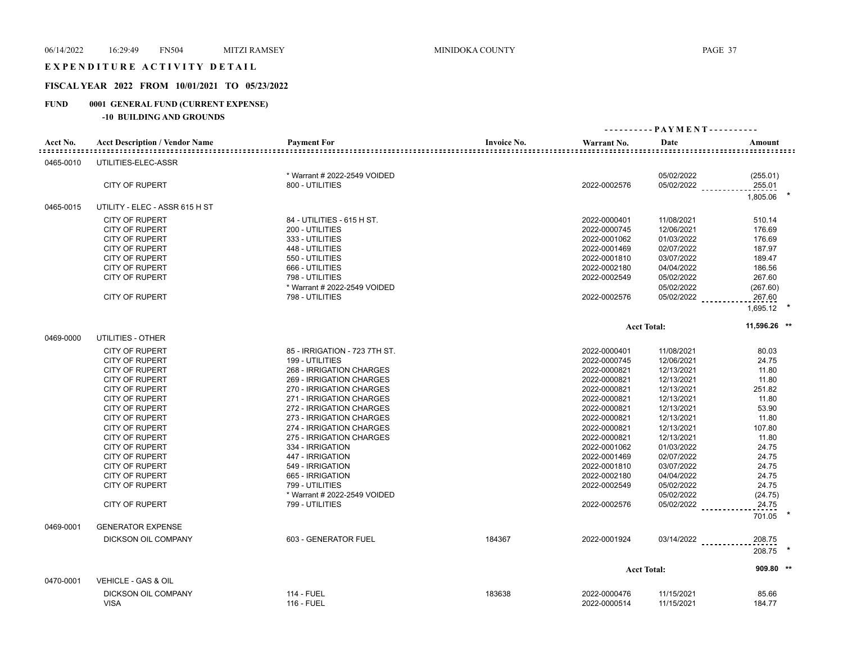#### EXPENDITURE ACTIVITY DETAIL

# **FISCAL YEAR 2022 FROM 10/01/2021 TO 05/23/2022**

# **FUND 0001 GENERAL FUND (CURRENT EXPENSE)**

|           |                                       |                               |                    |              | ---------- PAYMENT---------- |                    |
|-----------|---------------------------------------|-------------------------------|--------------------|--------------|------------------------------|--------------------|
| Acct No.  | <b>Acct Description / Vendor Name</b> | <b>Payment For</b>            | <b>Invoice No.</b> | Warrant No.  | Date                         | Amount             |
| 0465-0010 | UTILITIES-ELEC-ASSR                   |                               |                    |              |                              |                    |
|           |                                       | * Warrant # 2022-2549 VOIDED  |                    |              | 05/02/2022                   | (255.01)           |
|           | <b>CITY OF RUPERT</b>                 | 800 - UTILITIES               |                    | 2022-0002576 | 05/02/2022                   | 255.01<br>1.805.06 |
| 0465-0015 | UTILITY - ELEC - ASSR 615 H ST        |                               |                    |              |                              |                    |
|           | <b>CITY OF RUPERT</b>                 | 84 - UTILITIES - 615 H ST.    |                    | 2022-0000401 | 11/08/2021                   | 510.14             |
|           | <b>CITY OF RUPERT</b>                 | 200 - UTILITIES               |                    | 2022-0000745 | 12/06/2021                   | 176.69             |
|           | <b>CITY OF RUPERT</b>                 | 333 - UTILITIES               |                    | 2022-0001062 | 01/03/2022                   | 176.69             |
|           | <b>CITY OF RUPERT</b>                 | 448 - UTILITIES               |                    | 2022-0001469 | 02/07/2022                   | 187.97             |
|           | <b>CITY OF RUPERT</b>                 | 550 - UTILITIES               |                    | 2022-0001810 | 03/07/2022                   | 189.47             |
|           | <b>CITY OF RUPERT</b>                 | 666 - UTILITIES               |                    | 2022-0002180 | 04/04/2022                   | 186.56             |
|           | <b>CITY OF RUPERT</b>                 | 798 - UTILITIES               |                    | 2022-0002549 |                              | 267.60             |
|           |                                       |                               |                    |              | 05/02/2022                   |                    |
|           |                                       | * Warrant # 2022-2549 VOIDED  |                    |              | 05/02/2022                   | (267.60)           |
|           | <b>CITY OF RUPERT</b>                 | 798 - UTILITIES               |                    | 2022-0002576 | 05/02/2022                   | 267.60<br>1,695.12 |
|           |                                       |                               |                    |              | <b>Acct Total:</b>           | 11,596.26 **       |
| 0469-0000 | UTILITIES - OTHER                     |                               |                    |              |                              |                    |
|           | <b>CITY OF RUPERT</b>                 | 85 - IRRIGATION - 723 7TH ST. |                    | 2022-0000401 | 11/08/2021                   | 80.03              |
|           | <b>CITY OF RUPERT</b>                 | 199 - UTILITIES               |                    | 2022-0000745 | 12/06/2021                   | 24.75              |
|           | <b>CITY OF RUPERT</b>                 | 268 - IRRIGATION CHARGES      |                    | 2022-0000821 | 12/13/2021                   | 11.80              |
|           | <b>CITY OF RUPERT</b>                 | 269 - IRRIGATION CHARGES      |                    | 2022-0000821 | 12/13/2021                   | 11.80              |
|           | <b>CITY OF RUPERT</b>                 | 270 - IRRIGATION CHARGES      |                    | 2022-0000821 | 12/13/2021                   | 251.82             |
|           | <b>CITY OF RUPERT</b>                 | 271 - IRRIGATION CHARGES      |                    | 2022-0000821 | 12/13/2021                   | 11.80              |
|           | <b>CITY OF RUPERT</b>                 | 272 - IRRIGATION CHARGES      |                    | 2022-0000821 | 12/13/2021                   | 53.90              |
|           | <b>CITY OF RUPERT</b>                 | 273 - IRRIGATION CHARGES      |                    | 2022-0000821 | 12/13/2021                   | 11.80              |
|           | <b>CITY OF RUPERT</b>                 | 274 - IRRIGATION CHARGES      |                    | 2022-0000821 | 12/13/2021                   | 107.80             |
|           | <b>CITY OF RUPERT</b>                 | 275 - IRRIGATION CHARGES      |                    | 2022-0000821 | 12/13/2021                   | 11.80              |
|           | <b>CITY OF RUPERT</b>                 | 334 - IRRIGATION              |                    | 2022-0001062 | 01/03/2022                   | 24.75              |
|           | <b>CITY OF RUPERT</b>                 | 447 - IRRIGATION              |                    | 2022-0001469 | 02/07/2022                   | 24.75              |
|           |                                       |                               |                    |              |                              |                    |
|           | <b>CITY OF RUPERT</b>                 | 549 - IRRIGATION              |                    | 2022-0001810 | 03/07/2022                   | 24.75              |
|           | <b>CITY OF RUPERT</b>                 | 665 - IRRIGATION              |                    | 2022-0002180 | 04/04/2022                   | 24.75              |
|           | <b>CITY OF RUPERT</b>                 | 799 - UTILITIES               |                    | 2022-0002549 | 05/02/2022                   | 24.75              |
|           |                                       | * Warrant # 2022-2549 VOIDED  |                    |              | 05/02/2022                   | (24.75)            |
|           | <b>CITY OF RUPERT</b>                 | 799 - UTILITIES               |                    | 2022-0002576 | 05/02/2022                   | 24.75              |
|           |                                       |                               |                    |              |                              | 701.05             |
| 0469-0001 | <b>GENERATOR EXPENSE</b>              |                               |                    |              |                              |                    |
|           | <b>DICKSON OIL COMPANY</b>            | 603 - GENERATOR FUEL          | 184367             | 2022-0001924 | $03/14/2022$                 | 208.75<br>208.75   |
|           |                                       |                               |                    |              | <b>Acct Total:</b>           | 909.80 **          |
| 0470-0001 | VEHICLE - GAS & OIL                   |                               |                    |              |                              |                    |
|           | DICKSON OIL COMPANY                   | <b>114 - FUEL</b>             | 183638             | 2022-0000476 | 11/15/2021                   | 85.66              |
|           | <b>VISA</b>                           | <b>116 - FUEL</b>             |                    | 2022-0000514 | 11/15/2021                   | 184.77             |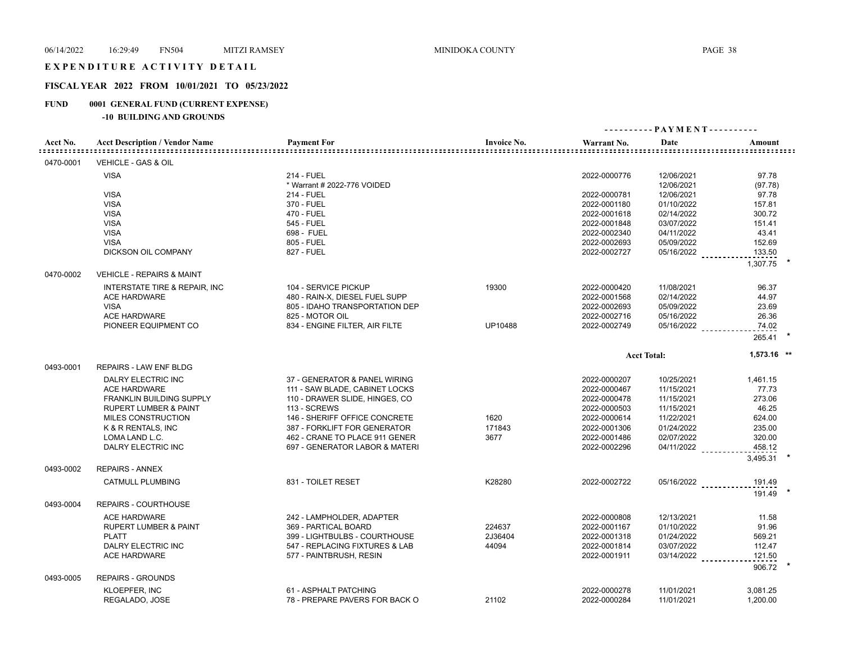#### EXPENDITURE ACTIVITY DETAIL

# **FISCAL YEAR 2022 FROM 10/01/2021 TO 05/23/2022**

# **FUND 0001 GENERAL FUND (CURRENT EXPENSE)**

| Acct No.  | <b>Acct Description / Vendor Name</b>    | <b>Payment For</b>                        | <b>Invoice No.</b> | Warrant No.<br>::::::::::::::::::::::::::::::::::::: | Date                     | Amount           |
|-----------|------------------------------------------|-------------------------------------------|--------------------|------------------------------------------------------|--------------------------|------------------|
| 0470-0001 | VEHICLE - GAS & OIL                      |                                           |                    |                                                      |                          |                  |
|           | <b>VISA</b>                              | 214 - FUEL<br>* Warrant # 2022-776 VOIDED |                    | 2022-0000776                                         | 12/06/2021<br>12/06/2021 | 97.78<br>(97.78) |
|           | <b>VISA</b>                              | <b>214 - FUEL</b>                         |                    | 2022-0000781                                         | 12/06/2021               | 97.78            |
|           | <b>VISA</b>                              | 370 - FUEL                                |                    | 2022-0001180                                         | 01/10/2022               | 157.81           |
|           | <b>VISA</b>                              | 470 - FUEL                                |                    | 2022-0001618                                         | 02/14/2022               | 300.72           |
|           | <b>VISA</b>                              | 545 - FUEL                                |                    | 2022-0001848                                         | 03/07/2022               | 151.41           |
|           | <b>VISA</b>                              | 698 - FUEL                                |                    | 2022-0002340                                         | 04/11/2022               | 43.41            |
|           | <b>VISA</b>                              | 805 - FUEL                                |                    | 2022-0002693                                         | 05/09/2022               | 152.69           |
|           | DICKSON OIL COMPANY                      | 827 - FUEL                                |                    | 2022-0002727                                         | 05/16/2022               | 133.50           |
|           |                                          |                                           |                    |                                                      |                          | 1,307.75         |
| 0470-0002 | <b>VEHICLE - REPAIRS &amp; MAINT</b>     |                                           |                    |                                                      |                          |                  |
|           | <b>INTERSTATE TIRE &amp; REPAIR, INC</b> | 104 - SERVICE PICKUP                      | 19300              | 2022-0000420                                         | 11/08/2021               | 96.37            |
|           | <b>ACE HARDWARE</b>                      | 480 - RAIN-X, DIESEL FUEL SUPP            |                    | 2022-0001568                                         | 02/14/2022               | 44.97            |
|           | <b>VISA</b>                              | 805 - IDAHO TRANSPORTATION DEP            |                    | 2022-0002693                                         | 05/09/2022               | 23.69            |
|           | <b>ACE HARDWARE</b>                      | 825 - MOTOR OIL                           |                    | 2022-0002716                                         | 05/16/2022               | 26.36            |
|           | PIONEER EQUIPMENT CO                     | 834 - ENGINE FILTER, AIR FILTE            | UP10488            | 2022-0002749                                         | 05/16/2022               | 74.02            |
|           |                                          |                                           |                    |                                                      |                          | 265.41           |
|           |                                          |                                           |                    |                                                      | <b>Acct Total:</b>       | 1,573.16 **      |
| 0493-0001 | REPAIRS - LAW ENF BLDG                   |                                           |                    |                                                      |                          |                  |
|           | <b>DALRY ELECTRIC INC</b>                | 37 - GENERATOR & PANEL WIRING             |                    | 2022-0000207                                         | 10/25/2021               | 1,461.15         |
|           | <b>ACE HARDWARE</b>                      | 111 - SAW BLADE, CABINET LOCKS            |                    | 2022-0000467                                         | 11/15/2021               | 77.73            |
|           | FRANKLIN BUILDING SUPPLY                 | 110 - DRAWER SLIDE, HINGES, CO            |                    | 2022-0000478                                         | 11/15/2021               | 273.06           |
|           | <b>RUPERT LUMBER &amp; PAINT</b>         | 113 - SCREWS                              |                    | 2022-0000503                                         | 11/15/2021               | 46.25            |
|           | MILES CONSTRUCTION                       | 146 - SHERIFF OFFICE CONCRETE             | 1620               | 2022-0000614                                         | 11/22/2021               | 624.00           |
|           | K & R RENTALS, INC                       | 387 - FORKLIFT FOR GENERATOR              | 171843             | 2022-0001306                                         | 01/24/2022               | 235.00           |
|           | LOMA LAND L.C.                           | 462 - CRANE TO PLACE 911 GENER            | 3677               | 2022-0001486                                         | 02/07/2022               | 320.00           |
|           | DALRY ELECTRIC INC                       | 697 - GENERATOR LABOR & MATERI            |                    | 2022-0002296                                         | $04/11/2022$             | 458.12           |
|           |                                          |                                           |                    |                                                      |                          | 3,495.31         |
| 0493-0002 | <b>REPAIRS - ANNEX</b>                   |                                           |                    |                                                      |                          |                  |
|           | <b>CATMULL PLUMBING</b>                  | 831 - TOILET RESET                        | K28280             | 2022-0002722                                         | 05/16/2022               | 191.49           |
| 0493-0004 | REPAIRS - COURTHOUSE                     |                                           |                    |                                                      |                          | 191.49           |
|           | <b>ACE HARDWARE</b>                      | 242 - LAMPHOLDER, ADAPTER                 |                    | 2022-0000808                                         | 12/13/2021               | 11.58            |
|           | <b>RUPERT LUMBER &amp; PAINT</b>         | 369 - PARTICAL BOARD                      | 224637             | 2022-0001167                                         | 01/10/2022               | 91.96            |
|           | <b>PLATT</b>                             | 399 - LIGHTBULBS - COURTHOUSE             | 2J36404            | 2022-0001318                                         | 01/24/2022               | 569.21           |
|           | DALRY ELECTRIC INC                       | 547 - REPLACING FIXTURES & LAB            | 44094              | 2022-0001814                                         | 03/07/2022               | 112.47           |
|           | <b>ACE HARDWARE</b>                      | 577 - PAINTBRUSH, RESIN                   |                    | 2022-0001911                                         | 03/14/2022               | 121.50           |
|           |                                          |                                           |                    |                                                      |                          | 906.72           |
| 0493-0005 | <b>REPAIRS - GROUNDS</b>                 |                                           |                    |                                                      |                          |                  |
|           | KLOEPFER, INC                            | 61 - ASPHALT PATCHING                     |                    | 2022-0000278                                         | 11/01/2021               | 3,081.25         |
|           | REGALADO, JOSE                           | 78 - PREPARE PAVERS FOR BACK O            | 21102              | 2022-0000284                                         | 11/01/2021               | 1,200.00         |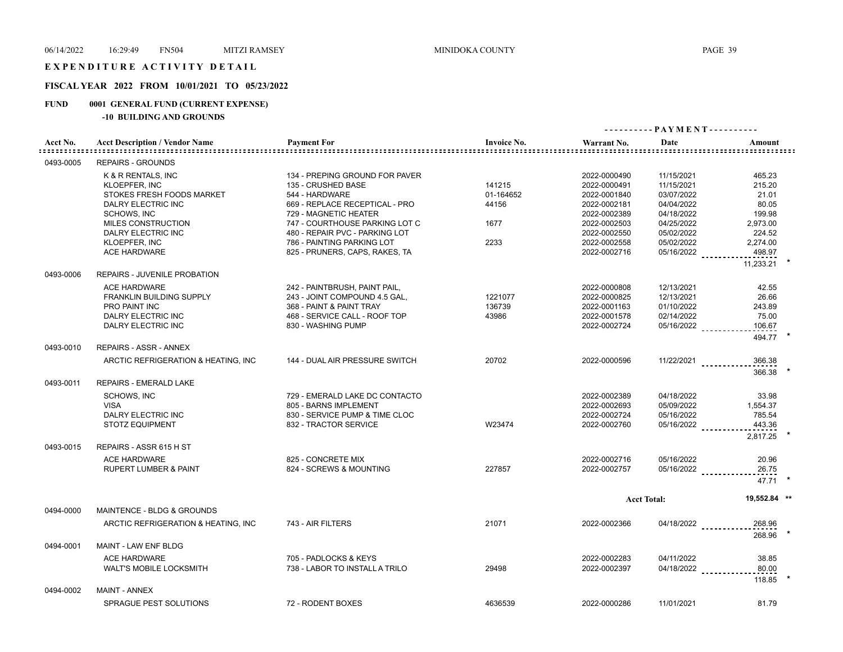# EXPENDITURE ACTIVITY DETAIL

# **FISCAL YEAR 2022 FROM 10/01/2021 TO 05/23/2022**

# **FUND 0001 GENERAL FUND (CURRENT EXPENSE)**

|           |                                       |                                |                    | ---------- PAYMENT---------- |                    |                                  |
|-----------|---------------------------------------|--------------------------------|--------------------|------------------------------|--------------------|----------------------------------|
| Acct No.  | <b>Acct Description / Vendor Name</b> | <b>Payment For</b>             | <b>Invoice No.</b> | Warrant No.                  | Date               | Amount                           |
| 0493-0005 | <b>REPAIRS - GROUNDS</b>              |                                |                    |                              |                    |                                  |
|           | K & R RENTALS, INC                    | 134 - PREPING GROUND FOR PAVER |                    | 2022-0000490                 | 11/15/2021         | 465.23                           |
|           | <b>KLOEPFER, INC</b>                  | 135 - CRUSHED BASE             | 141215             | 2022-0000491                 | 11/15/2021         | 215.20                           |
|           | STOKES FRESH FOODS MARKET             | 544 - HARDWARE                 | 01-164652          | 2022-0001840                 | 03/07/2022         | 21.01                            |
|           | DALRY ELECTRIC INC                    | 669 - REPLACE RECEPTICAL - PRO | 44156              | 2022-0002181                 | 04/04/2022         | 80.05                            |
|           | <b>SCHOWS, INC</b>                    | 729 - MAGNETIC HEATER          |                    | 2022-0002389                 | 04/18/2022         | 199.98                           |
|           | MILES CONSTRUCTION                    | 747 - COURTHOUSE PARKING LOT C | 1677               | 2022-0002503                 | 04/25/2022         | 2,973.00                         |
|           | DALRY ELECTRIC INC                    | 480 - REPAIR PVC - PARKING LOT |                    | 2022-0002550                 | 05/02/2022         | 224.52                           |
|           | KLOEPFER, INC                         | 786 - PAINTING PARKING LOT     | 2233               | 2022-0002558                 | 05/02/2022         | 2,274.00                         |
|           | <b>ACE HARDWARE</b>                   | 825 - PRUNERS, CAPS, RAKES, TA |                    | 2022-0002716                 | 05/16/2022         | 498.97                           |
|           |                                       |                                |                    |                              |                    | 11,233.21                        |
| 0493-0006 | REPAIRS - JUVENILE PROBATION          |                                |                    |                              |                    |                                  |
|           | <b>ACE HARDWARE</b>                   | 242 - PAINTBRUSH, PAINT PAIL,  |                    | 2022-0000808                 | 12/13/2021         | 42.55                            |
|           | FRANKLIN BUILDING SUPPLY              | 243 - JOINT COMPOUND 4.5 GAL,  | 1221077            | 2022-0000825                 | 12/13/2021         | 26.66                            |
|           | <b>PRO PAINT INC</b>                  | 368 - PAINT & PAINT TRAY       | 136739             | 2022-0001163                 | 01/10/2022         | 243.89                           |
|           | DALRY ELECTRIC INC                    | 468 - SERVICE CALL - ROOF TOP  | 43986              | 2022-0001578                 | 02/14/2022         | 75.00                            |
|           | DALRY ELECTRIC INC                    | 830 - WASHING PUMP             |                    | 2022-0002724                 | 05/16/2022         | 106.67                           |
|           |                                       |                                |                    |                              |                    | 494.77                           |
| 0493-0010 | <b>REPAIRS - ASSR - ANNEX</b>         |                                |                    |                              |                    |                                  |
|           | ARCTIC REFRIGERATION & HEATING, INC.  | 144 - DUAL AIR PRESSURE SWITCH | 20702              | 2022-0000596                 |                    | $11/22/2021$<br>366.38<br>366.38 |
| 0493-0011 | REPAIRS - EMERALD LAKE                |                                |                    |                              |                    |                                  |
|           | <b>SCHOWS, INC</b>                    | 729 - EMERALD LAKE DC CONTACTO |                    | 2022-0002389                 | 04/18/2022         | 33.98                            |
|           | <b>VISA</b>                           | 805 - BARNS IMPLEMENT          |                    | 2022-0002693                 | 05/09/2022         | 1,554.37                         |
|           | DALRY ELECTRIC INC                    | 830 - SERVICE PUMP & TIME CLOC |                    | 2022-0002724                 | 05/16/2022         | 785.54                           |
|           | <b>STOTZ EQUIPMENT</b>                | 832 - TRACTOR SERVICE          | W23474             | 2022-0002760                 | 05/16/2022         | 443.36                           |
|           |                                       |                                |                    |                              |                    | 2,817.25                         |
| 0493-0015 | REPAIRS - ASSR 615 H ST               |                                |                    |                              |                    |                                  |
|           | <b>ACE HARDWARE</b>                   | 825 - CONCRETE MIX             |                    | 2022-0002716                 | 05/16/2022         | 20.96                            |
|           | <b>RUPERT LUMBER &amp; PAINT</b>      | 824 - SCREWS & MOUNTING        | 227857             | 2022-0002757                 | 05/16/2022         | 26.75                            |
|           |                                       |                                |                    |                              |                    | 47.71                            |
|           |                                       |                                |                    |                              | <b>Acct Total:</b> | 19,552.84 **                     |
| 0494-0000 | <b>MAINTENCE - BLDG &amp; GROUNDS</b> |                                |                    |                              |                    |                                  |
|           | ARCTIC REFRIGERATION & HEATING, INC.  | 743 - AIR FILTERS              | 21071              | 2022-0002366                 |                    | 04/18/2022<br>268.96<br>268.96   |
| 0494-0001 | MAINT - LAW ENF BLDG                  |                                |                    |                              |                    |                                  |
|           | <b>ACE HARDWARE</b>                   | 705 - PADLOCKS & KEYS          |                    | 2022-0002283                 | 04/11/2022         | 38.85                            |
|           | <b>WALT'S MOBILE LOCKSMITH</b>        | 738 - LABOR TO INSTALL A TRILO | 29498              | 2022-0002397                 |                    | $04/18/2022$<br>80.00            |
| 0494-0002 | <b>MAINT - ANNEX</b>                  |                                |                    |                              |                    | 118.85                           |
|           |                                       |                                |                    |                              |                    |                                  |
|           | <b>SPRAGUE PEST SOLUTIONS</b>         | 72 - RODENT BOXES              | 4636539            | 2022-0000286                 | 11/01/2021         | 81.79                            |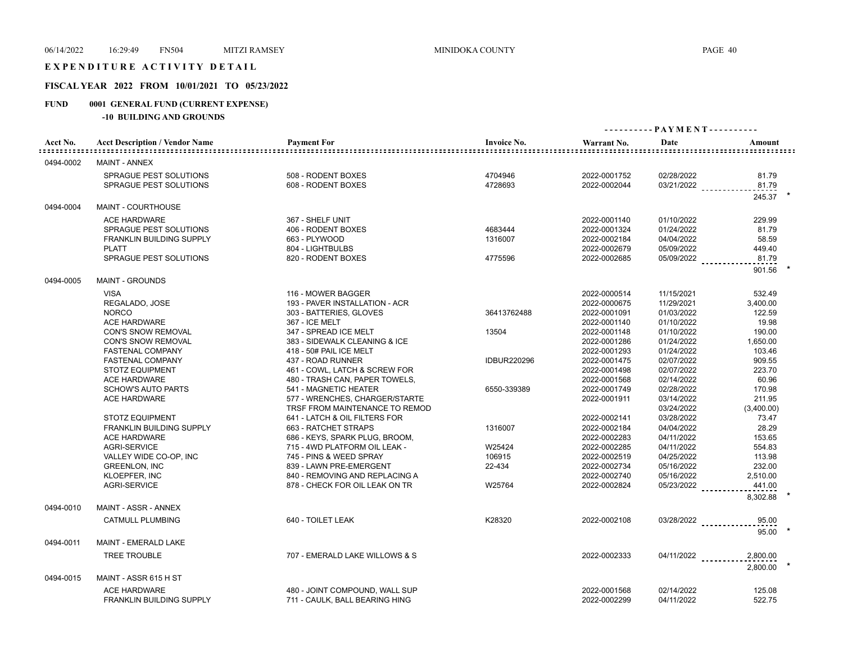#### EXPENDITURE ACTIVITY DETAIL

# **FISCAL YEAR 2022 FROM 10/01/2021 TO 05/23/2022**

# **FUND 0001 GENERAL FUND (CURRENT EXPENSE)**

|           |                                       |                                |                    | ---------- PAYMENT---------- |                      |            |
|-----------|---------------------------------------|--------------------------------|--------------------|------------------------------|----------------------|------------|
| Acct No.  | <b>Acct Description / Vendor Name</b> | <b>Payment For</b>             | <b>Invoice No.</b> | Warrant No.                  | Date                 | Amount     |
| 0494-0002 | <b>MAINT - ANNEX</b>                  |                                |                    |                              |                      |            |
|           | <b>SPRAGUE PEST SOLUTIONS</b>         | 508 - RODENT BOXES             | 4704946            | 2022-0001752                 | 02/28/2022           | 81.79      |
|           | SPRAGUE PEST SOLUTIONS                | 608 - RODENT BOXES             | 4728693            | 2022-0002044                 | 03/21/2022           | 81.79      |
|           |                                       |                                |                    |                              |                      | 245.37 *   |
| 0494-0004 | MAINT - COURTHOUSE                    |                                |                    |                              |                      |            |
|           | <b>ACE HARDWARE</b>                   | 367 - SHELF UNIT               |                    | 2022-0001140                 | 01/10/2022           | 229.99     |
|           | <b>SPRAGUE PEST SOLUTIONS</b>         | 406 - RODENT BOXES             | 4683444            | 2022-0001324                 | 01/24/2022           | 81.79      |
|           | <b>FRANKLIN BUILDING SUPPLY</b>       | 663 - PLYWOOD                  | 1316007            | 2022-0002184                 | 04/04/2022           | 58.59      |
|           | <b>PLATT</b>                          | 804 - LIGHTBULBS               |                    | 2022-0002679                 | 05/09/2022           | 449.40     |
|           | SPRAGUE PEST SOLUTIONS                | 820 - RODENT BOXES             | 4775596            | 2022-0002685                 | 05/09/2022           | 81.79      |
| 0494-0005 | <b>MAINT - GROUNDS</b>                |                                |                    |                              |                      | 901.56     |
|           | <b>VISA</b>                           | 116 - MOWER BAGGER             |                    | 2022-0000514                 | 11/15/2021           | 532.49     |
|           | REGALADO, JOSE                        | 193 - PAVER INSTALLATION - ACR |                    | 2022-0000675                 | 11/29/2021           | 3,400.00   |
|           | <b>NORCO</b>                          | 303 - BATTERIES, GLOVES        | 36413762488        | 2022-0001091                 | 01/03/2022           | 122.59     |
|           | ACE HARDWARE                          | 367 - ICE MELT                 |                    | 2022-0001140                 | 01/10/2022           | 19.98      |
|           | CON'S SNOW REMOVAL                    | 347 - SPREAD ICE MELT          | 13504              | 2022-0001148                 | 01/10/2022           | 190.00     |
|           | CON'S SNOW REMOVAL                    | 383 - SIDEWALK CLEANING & ICE  |                    | 2022-0001286                 | 01/24/2022           | 1,650.00   |
|           | <b>FASTENAL COMPANY</b>               | 418 - 50# PAIL ICE MELT        |                    | 2022-0001293                 | 01/24/2022           | 103.46     |
|           | <b>FASTENAL COMPANY</b>               | 437 - ROAD RUNNER              | <b>IDBUR220296</b> | 2022-0001475                 | 02/07/2022           | 909.55     |
|           | <b>STOTZ EQUIPMENT</b>                | 461 - COWL, LATCH & SCREW FOR  |                    | 2022-0001498                 | 02/07/2022           | 223.70     |
|           | <b>ACE HARDWARE</b>                   | 480 - TRASH CAN, PAPER TOWELS, |                    | 2022-0001568                 | 02/14/2022           | 60.96      |
|           | <b>SCHOW'S AUTO PARTS</b>             | 541 - MAGNETIC HEATER          | 6550-339389        | 2022-0001749                 | 02/28/2022           | 170.98     |
|           | <b>ACE HARDWARE</b>                   | 577 - WRENCHES, CHARGER/STARTE |                    | 2022-0001911                 | 03/14/2022           | 211.95     |
|           |                                       | TRSF FROM MAINTENANCE TO REMOD |                    |                              | 03/24/2022           | (3,400.00) |
|           | <b>STOTZ EQUIPMENT</b>                | 641 - LATCH & OIL FILTERS FOR  |                    | 2022-0002141                 | 03/28/2022           | 73.47      |
|           | FRANKLIN BUILDING SUPPLY              | 663 - RATCHET STRAPS           | 1316007            | 2022-0002184                 | 04/04/2022           | 28.29      |
|           | <b>ACE HARDWARE</b>                   | 686 - KEYS, SPARK PLUG, BROOM, |                    | 2022-0002283                 | 04/11/2022           | 153.65     |
|           | <b>AGRI-SERVICE</b>                   | 715 - 4WD PLATFORM OIL LEAK -  | W25424             | 2022-0002285                 | 04/11/2022           | 554.83     |
|           | VALLEY WIDE CO-OP, INC                | 745 - PINS & WEED SPRAY        | 106915             | 2022-0002519                 | 04/25/2022           | 113.98     |
|           | <b>GREENLON, INC</b>                  | 839 - LAWN PRE-EMERGENT        | 22-434             | 2022-0002734                 | 05/16/2022           | 232.00     |
|           | KLOEPFER, INC                         | 840 - REMOVING AND REPLACING A |                    | 2022-0002740                 | 05/16/2022           | 2,510.00   |
|           | AGRI-SERVICE                          | 878 - CHECK FOR OIL LEAK ON TR | W25764             | 2022-0002824                 | $05/23/2022$         | 441.00     |
| 0494-0010 | MAINT - ASSR - ANNEX                  |                                |                    |                              |                      | 8,302.88   |
|           | <b>CATMULL PLUMBING</b>               | 640 - TOILET LEAK              | K28320             | 2022-0002108                 | 03/28/2022           | 95.00      |
| 0494-0011 | <b>MAINT - EMERALD LAKE</b>           |                                |                    |                              |                      | 95.00      |
|           | <b>TREE TROUBLE</b>                   | 707 - EMERALD LAKE WILLOWS & S |                    | 2022-0002333                 | 04/11/2022 _________ | 2,800.00   |
|           |                                       |                                |                    |                              |                      | 2.800.00   |
| 0494-0015 | MAINT - ASSR 615 H ST                 |                                |                    |                              |                      |            |
|           | <b>ACE HARDWARE</b>                   | 480 - JOINT COMPOUND, WALL SUP |                    | 2022-0001568                 | 02/14/2022           | 125.08     |
|           | <b>FRANKLIN BUILDING SUPPLY</b>       | 711 - CAULK, BALL BEARING HING |                    | 2022-0002299                 | 04/11/2022           | 522.75     |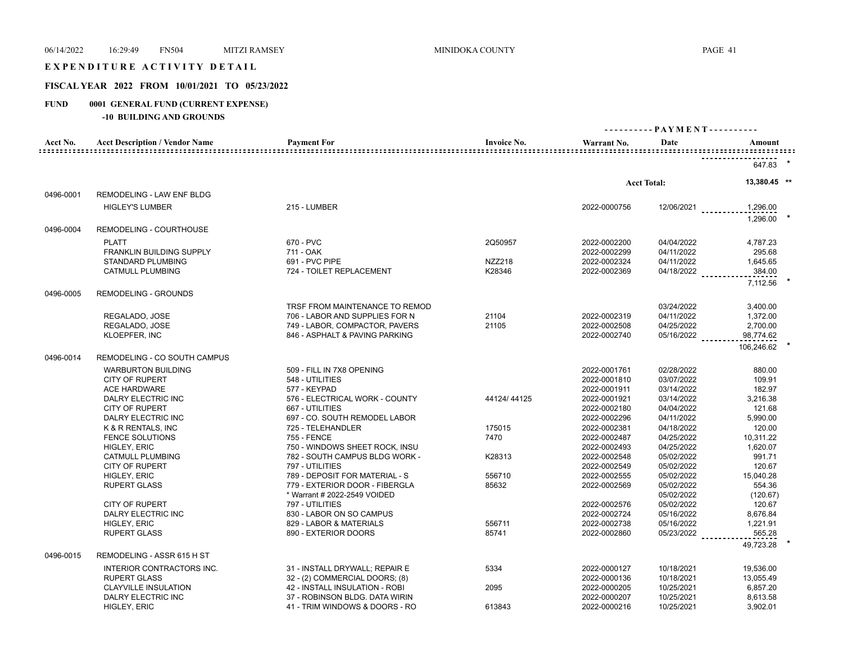#### EXPENDITURE ACTIVITY DETAIL

# **FISCAL YEAR 2022 FROM 10/01/2021 TO 05/23/2022**

# **FUND 0001 GENERAL FUND (CURRENT EXPENSE)**

| Acct No.  | <b>Acct Description / Vendor Name</b>            | <b>Payment For</b>                                | <b>Invoice No.</b> | Warrant No.                  | Date                     | Amount               |
|-----------|--------------------------------------------------|---------------------------------------------------|--------------------|------------------------------|--------------------------|----------------------|
|           |                                                  |                                                   |                    |                              |                          | 647.83               |
|           |                                                  |                                                   |                    |                              | <b>Acct Total:</b>       | 13,380.45 **         |
| 0496-0001 | REMODELING - LAW ENF BLDG                        |                                                   |                    |                              |                          |                      |
|           | <b>HIGLEY'S LUMBER</b>                           | 215 - LUMBER                                      |                    | 2022-0000756                 | 12/06/2021               | 1,296.00<br>1,296.00 |
| 0496-0004 | REMODELING - COURTHOUSE                          |                                                   |                    |                              |                          |                      |
|           | <b>PLATT</b>                                     | 670 - PVC                                         | 2Q50957            | 2022-0002200                 | 04/04/2022               | 4,787.23             |
|           | FRANKLIN BUILDING SUPPLY                         | 711 - OAK                                         |                    | 2022-0002299                 | 04/11/2022               | 295.68               |
|           | STANDARD PLUMBING                                | 691 - PVC PIPE                                    | <b>NZZ218</b>      | 2022-0002324                 | 04/11/2022               | 1,645.65             |
|           | <b>CATMULL PLUMBING</b>                          | 724 - TOILET REPLACEMENT                          | K28346             | 2022-0002369                 | 04/18/2022               | 384.00               |
|           |                                                  |                                                   |                    |                              |                          | 7,112.56             |
| 0496-0005 | <b>REMODELING - GROUNDS</b>                      |                                                   |                    |                              |                          |                      |
|           |                                                  | TRSF FROM MAINTENANCE TO REMOD                    |                    |                              | 03/24/2022               | 3,400.00             |
|           | REGALADO, JOSE                                   | 706 - LABOR AND SUPPLIES FOR N                    | 21104              | 2022-0002319                 | 04/11/2022               | 1,372.00             |
|           | REGALADO, JOSE                                   | 749 - LABOR, COMPACTOR, PAVERS                    | 21105              | 2022-0002508                 | 04/25/2022               | 2,700.00             |
|           | KLOEPFER, INC                                    | 846 - ASPHALT & PAVING PARKING                    |                    | 2022-0002740                 | 05/16/2022               | 98,774.62            |
|           |                                                  |                                                   |                    |                              |                          | 106,246.62           |
| 0496-0014 | REMODELING - CO SOUTH CAMPUS                     |                                                   |                    |                              |                          |                      |
|           | <b>WARBURTON BUILDING</b>                        | 509 - FILL IN 7X8 OPENING                         |                    | 2022-0001761                 | 02/28/2022               | 880.00               |
|           | <b>CITY OF RUPERT</b>                            | 548 - UTILITIES                                   |                    | 2022-0001810                 | 03/07/2022               | 109.91               |
|           | <b>ACE HARDWARE</b>                              | 577 - KEYPAD                                      |                    | 2022-0001911                 | 03/14/2022               | 182.97               |
|           | DALRY ELECTRIC INC                               | 576 - ELECTRICAL WORK - COUNTY                    | 44124/44125        | 2022-0001921                 | 03/14/2022               | 3,216.38             |
|           | <b>CITY OF RUPERT</b>                            | 667 - UTILITIES                                   |                    | 2022-0002180                 | 04/04/2022               | 121.68               |
|           | DALRY ELECTRIC INC                               | 697 - CO. SOUTH REMODEL LABOR                     |                    | 2022-0002296                 | 04/11/2022               | 5,990.00             |
|           | K & R RENTALS. INC                               | 725 - TELEHANDLER                                 | 175015             | 2022-0002381                 | 04/18/2022               | 120.00               |
|           | <b>FENCE SOLUTIONS</b>                           | <b>755 - FENCE</b>                                | 7470               | 2022-0002487                 | 04/25/2022               | 10.311.22            |
|           | HIGLEY, ERIC                                     | 750 - WINDOWS SHEET ROCK, INSU                    |                    | 2022-0002493                 | 04/25/2022               | 1,620.07             |
|           | <b>CATMULL PLUMBING</b><br><b>CITY OF RUPERT</b> | 782 - SOUTH CAMPUS BLDG WORK -<br>797 - UTILITIES | K28313             | 2022-0002548<br>2022-0002549 | 05/02/2022               | 991.71<br>120.67     |
|           | HIGLEY, ERIC                                     | 789 - DEPOSIT FOR MATERIAL - S                    | 556710             | 2022-0002555                 | 05/02/2022<br>05/02/2022 | 15,040.28            |
|           | <b>RUPERT GLASS</b>                              | 779 - EXTERIOR DOOR - FIBERGLA                    | 85632              | 2022-0002569                 | 05/02/2022               | 554.36               |
|           |                                                  | * Warrant # 2022-2549 VOIDED                      |                    |                              | 05/02/2022               | (120.67)             |
|           | <b>CITY OF RUPERT</b>                            | 797 - UTILITIES                                   |                    | 2022-0002576                 | 05/02/2022               | 120.67               |
|           | DALRY ELECTRIC INC                               | 830 - LABOR ON SO CAMPUS                          |                    | 2022-0002724                 | 05/16/2022               | 8,676.84             |
|           | HIGLEY, ERIC                                     | 829 - LABOR & MATERIALS                           | 556711             | 2022-0002738                 | 05/16/2022               | 1,221.91             |
|           | <b>RUPERT GLASS</b>                              | 890 - EXTERIOR DOORS                              | 85741              | 2022-0002860                 | 05/23/2022               | 565.28               |
|           |                                                  |                                                   |                    |                              |                          | 49,723.28            |
| 0496-0015 | REMODELING - ASSR 615 H ST                       |                                                   |                    |                              |                          |                      |
|           | <b>INTERIOR CONTRACTORS INC.</b>                 | 31 - INSTALL DRYWALL; REPAIR E                    | 5334               | 2022-0000127                 | 10/18/2021               | 19,536.00            |
|           | <b>RUPERT GLASS</b>                              | 32 - (2) COMMERCIAL DOORS; (8)                    |                    | 2022-0000136                 | 10/18/2021               | 13,055.49            |
|           | <b>CLAYVILLE INSULATION</b>                      | 42 - INSTALL INSULATION - ROBI                    | 2095               | 2022-0000205                 | 10/25/2021               | 6.857.20             |
|           | DALRY ELECTRIC INC                               | 37 - ROBINSON BLDG. DATA WIRIN                    |                    | 2022-0000207                 | 10/25/2021               | 8,613.58             |
|           | HIGLEY, ERIC                                     | 41 - TRIM WINDOWS & DOORS - RO                    | 613843             | 2022-0000216                 | 10/25/2021               | 3,902.01             |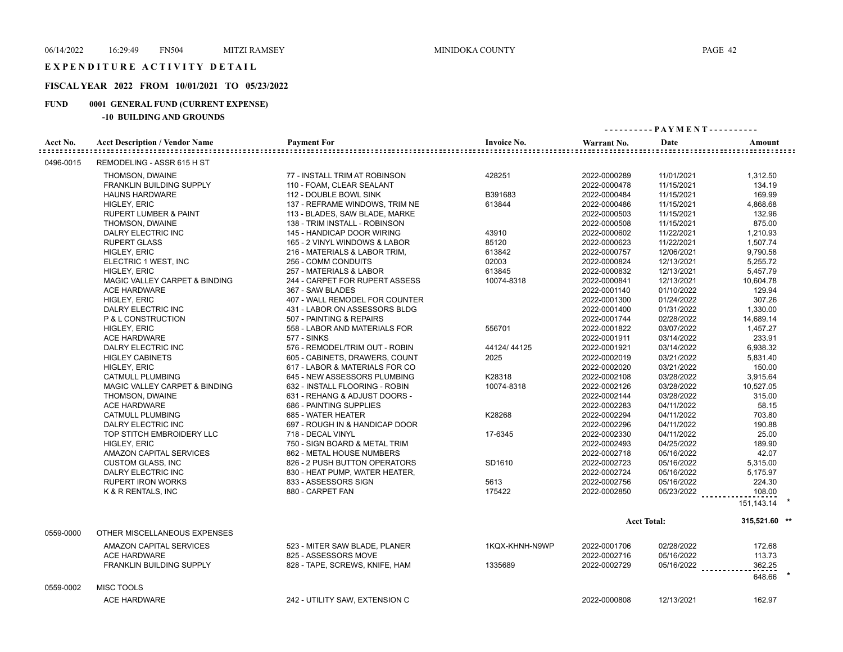#### EXPENDITURE ACTIVITY DETAIL

# **FISCAL YEAR 2022 FROM 10/01/2021 TO 05/23/2022**

# **FUND 0001 GENERAL FUND (CURRENT EXPENSE)**

|           |                                       |                                |                    | ---------- PAYMENT---------- |                    |                |
|-----------|---------------------------------------|--------------------------------|--------------------|------------------------------|--------------------|----------------|
| Acct No.  | <b>Acct Description / Vendor Name</b> | <b>Payment For</b>             | <b>Invoice No.</b> | Warrant No.                  | Date               | Amount         |
| 0496-0015 | REMODELING - ASSR 615 H ST            |                                |                    |                              |                    |                |
|           | THOMSON, DWAINE                       | 77 - INSTALL TRIM AT ROBINSON  | 428251             | 2022-0000289                 | 11/01/2021         | 1,312.50       |
|           | <b>FRANKLIN BUILDING SUPPLY</b>       | 110 - FOAM, CLEAR SEALANT      |                    | 2022-0000478                 | 11/15/2021         | 134.19         |
|           | <b>HAUNS HARDWARE</b>                 | 112 - DOUBLE BOWL SINK         | B391683            | 2022-0000484                 | 11/15/2021         | 169.99         |
|           | HIGLEY, ERIC                          | 137 - REFRAME WINDOWS, TRIM NE | 613844             | 2022-0000486                 | 11/15/2021         | 4,868.68       |
|           | <b>RUPERT LUMBER &amp; PAINT</b>      | 113 - BLADES, SAW BLADE, MARKE |                    | 2022-0000503                 | 11/15/2021         | 132.96         |
|           | THOMSON, DWAINE                       | 138 - TRIM INSTALL - ROBINSON  |                    | 2022-0000508                 | 11/15/2021         | 875.00         |
|           | DALRY ELECTRIC INC                    | 145 - HANDICAP DOOR WIRING     | 43910              | 2022-0000602                 | 11/22/2021         | 1,210.93       |
|           | <b>RUPERT GLASS</b>                   | 165 - 2 VINYL WINDOWS & LABOR  | 85120              | 2022-0000623                 | 11/22/2021         | 1,507.74       |
|           | HIGLEY, ERIC                          | 216 - MATERIALS & LABOR TRIM,  | 613842             | 2022-0000757                 | 12/06/2021         | 9,790.58       |
|           | ELECTRIC 1 WEST, INC                  | 256 - COMM CONDUITS            | 02003              | 2022-0000824                 | 12/13/2021         | 5,255.72       |
|           | HIGLEY, ERIC                          | 257 - MATERIALS & LABOR        | 613845             | 2022-0000832                 | 12/13/2021         | 5,457.79       |
|           | MAGIC VALLEY CARPET & BINDING         | 244 - CARPET FOR RUPERT ASSESS | 10074-8318         | 2022-0000841                 | 12/13/2021         | 10,604.78      |
|           | <b>ACE HARDWARE</b>                   | 367 - SAW BLADES               |                    | 2022-0001140                 | 01/10/2022         | 129.94         |
|           | HIGLEY, ERIC                          | 407 - WALL REMODEL FOR COUNTER |                    | 2022-0001300                 | 01/24/2022         | 307.26         |
|           | DALRY ELECTRIC INC                    | 431 - LABOR ON ASSESSORS BLDG  |                    | 2022-0001400                 | 01/31/2022         | 1,330.00       |
|           | P & L CONSTRUCTION                    | 507 - PAINTING & REPAIRS       |                    | 2022-0001744                 | 02/28/2022         | 14,689.14      |
|           | HIGLEY, ERIC                          | 558 - LABOR AND MATERIALS FOR  | 556701             | 2022-0001822                 | 03/07/2022         | 1,457.27       |
|           | <b>ACE HARDWARE</b>                   | <b>577 - SINKS</b>             |                    | 2022-0001911                 | 03/14/2022         | 233.91         |
|           | DALRY ELECTRIC INC                    | 576 - REMODEL/TRIM OUT - ROBIN | 44124/44125        | 2022-0001921                 | 03/14/2022         | 6,938.32       |
|           | <b>HIGLEY CABINETS</b>                | 605 - CABINETS, DRAWERS, COUNT | 2025               | 2022-0002019                 | 03/21/2022         | 5,831.40       |
|           | <b>HIGLEY, ERIC</b>                   | 617 - LABOR & MATERIALS FOR CO |                    | 2022-0002020                 | 03/21/2022         | 150.00         |
|           | <b>CATMULL PLUMBING</b>               | 645 - NEW ASSESSORS PLUMBING   | K28318             | 2022-0002108                 | 03/28/2022         | 3,915.64       |
|           | MAGIC VALLEY CARPET & BINDING         | 632 - INSTALL FLOORING - ROBIN | 10074-8318         | 2022-0002126                 | 03/28/2022         | 10,527.05      |
|           | THOMSON, DWAINE                       | 631 - REHANG & ADJUST DOORS -  |                    | 2022-0002144                 | 03/28/2022         | 315.00         |
|           | <b>ACE HARDWARE</b>                   | 686 - PAINTING SUPPLIES        |                    | 2022-0002283                 | 04/11/2022         | 58.15          |
|           | <b>CATMULL PLUMBING</b>               | 685 - WATER HEATER             | K28268             | 2022-0002294                 | 04/11/2022         | 703.80         |
|           | DALRY ELECTRIC INC                    | 697 - ROUGH IN & HANDICAP DOOR |                    | 2022-0002296                 | 04/11/2022         | 190.88         |
|           | TOP STITCH EMBROIDERY LLC             | 718 - DECAL VINYL              | 17-6345            | 2022-0002330                 | 04/11/2022         | 25.00          |
|           | HIGLEY, ERIC                          | 750 - SIGN BOARD & METAL TRIM  |                    | 2022-0002493                 | 04/25/2022         | 189.90         |
|           | AMAZON CAPITAL SERVICES               | 862 - METAL HOUSE NUMBERS      |                    | 2022-0002718                 | 05/16/2022         | 42.07          |
|           | <b>CUSTOM GLASS, INC</b>              | 826 - 2 PUSH BUTTON OPERATORS  | SD1610             | 2022-0002723                 | 05/16/2022         | 5,315.00       |
|           | DALRY ELECTRIC INC                    | 830 - HEAT PUMP, WATER HEATER, |                    | 2022-0002724                 | 05/16/2022         | 5,175.97       |
|           | <b>RUPERT IRON WORKS</b>              | 833 - ASSESSORS SIGN           | 5613               | 2022-0002756                 | 05/16/2022         | 224.30         |
|           | K & R RENTALS, INC                    | 880 - CARPET FAN               | 175422             | 2022-0002850                 | 05/23/2022         | 108.00         |
|           |                                       |                                |                    |                              |                    | 151, 143. 14 * |
|           |                                       |                                |                    |                              | <b>Acct Total:</b> | 315,521.60 **  |
| 0559-0000 | OTHER MISCELLANEOUS EXPENSES          |                                |                    |                              |                    |                |
|           | AMAZON CAPITAL SERVICES               | 523 - MITER SAW BLADE, PLANER  | 1KQX-KHNH-N9WP     | 2022-0001706                 | 02/28/2022         | 172.68         |
|           | <b>ACE HARDWARE</b>                   | 825 - ASSESSORS MOVE           |                    | 2022-0002716                 | 05/16/2022         | 113.73         |
|           | <b>FRANKLIN BUILDING SUPPLY</b>       | 828 - TAPE, SCREWS, KNIFE, HAM | 1335689            | 2022-0002729                 | 05/16/2022         | 362.25         |
|           |                                       |                                |                    |                              |                    | 648.66         |
| 0559-0002 | <b>MISC TOOLS</b>                     |                                |                    |                              |                    |                |
|           | <b>ACE HARDWARE</b>                   | 242 - UTILITY SAW, EXTENSION C |                    | 2022-0000808                 | 12/13/2021         | 162.97         |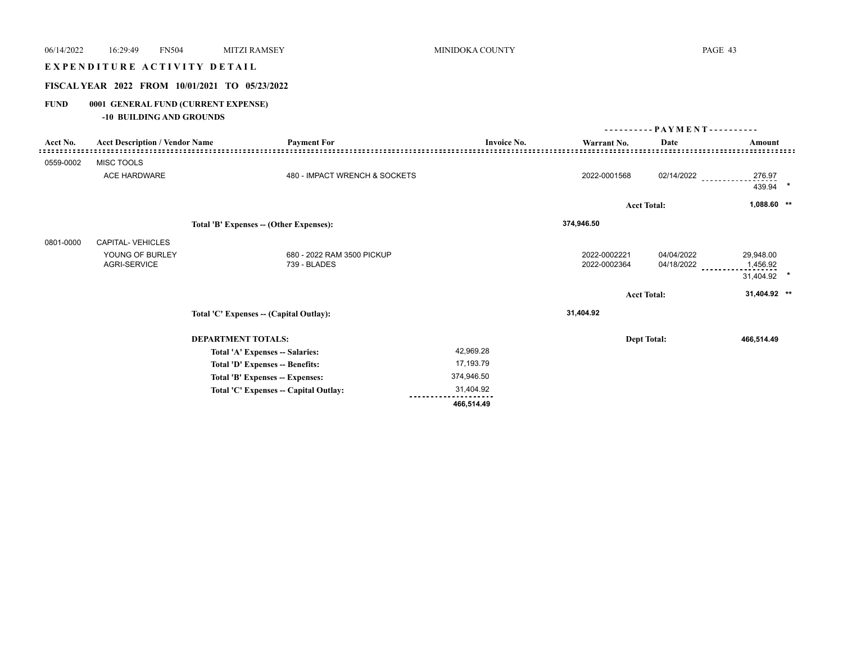# 06/14/2022 16:29:49 FN504 MITZI RAMSEY MINIDOKA COUNTY PAGE 43 E X P E N D I T U R E A C T I V I T Y D E TAI L **FISCAL YEAR 2022 FROM 10/01/2021 TO 05/23/2022 FUND 0001 GENERAL FUND (CURRENT EXPENSE) -10 BUILDING AND GROUNDS** Acct No. Acct Description / Vendor Name **Payment For** Payment For **Invoice No.** Warrant No. Date **Amount - - - - - - - - - - P A Y M E N T - - - - - - - - - -** 0559-0002 MISC TOOLS ACE HARDWARE **1999 - 1999 - 1999 - 1999 - 1999 - 1999 - 1999 - 1999 - 1999 - 1999 - 1999 - 1999 - 1999 - 1999 - 1**<br>2022-0001568 02/14/2022 - 202114/2022 - 202114 439.94 **\* Acct Total: 1,088.60 \*\* Total 'B' Expenses -- (Other Expenses): 374,946.50**  0801-0000 CAPITAL- VEHICLES

| YOUNG OF BURLEY<br><b>AGRI-SERVICE</b> | 680 - 2022 RAM 3500 PICKUP<br>739 - BLADES |            | 2022-0002221<br>2022-0002364 | 04/04/2022<br>04/18/2022 | 29,948.00<br>1,456.92<br>---------<br>31,404.92 * |
|----------------------------------------|--------------------------------------------|------------|------------------------------|--------------------------|---------------------------------------------------|
|                                        |                                            |            | <b>Acct Total:</b>           |                          | 31,404.92 **                                      |
|                                        |                                            |            |                              |                          |                                                   |
|                                        | Total 'C' Expenses -- (Capital Outlay):    |            | 31,404.92                    |                          |                                                   |
|                                        | <b>DEPARTMENT TOTALS:</b>                  |            | <b>Dept Total:</b>           |                          | 466,514.49                                        |
|                                        | Total 'A' Expenses -- Salaries:            | 42,969.28  |                              |                          |                                                   |
|                                        | Total 'D' Expenses -- Benefits:            | 17,193.79  |                              |                          |                                                   |
|                                        | Total 'B' Expenses -- Expenses:            | 374,946.50 |                              |                          |                                                   |
|                                        | Total 'C' Expenses -- Capital Outlay:      | 31,404.92  |                              |                          |                                                   |
|                                        |                                            | 466,514.49 |                              |                          |                                                   |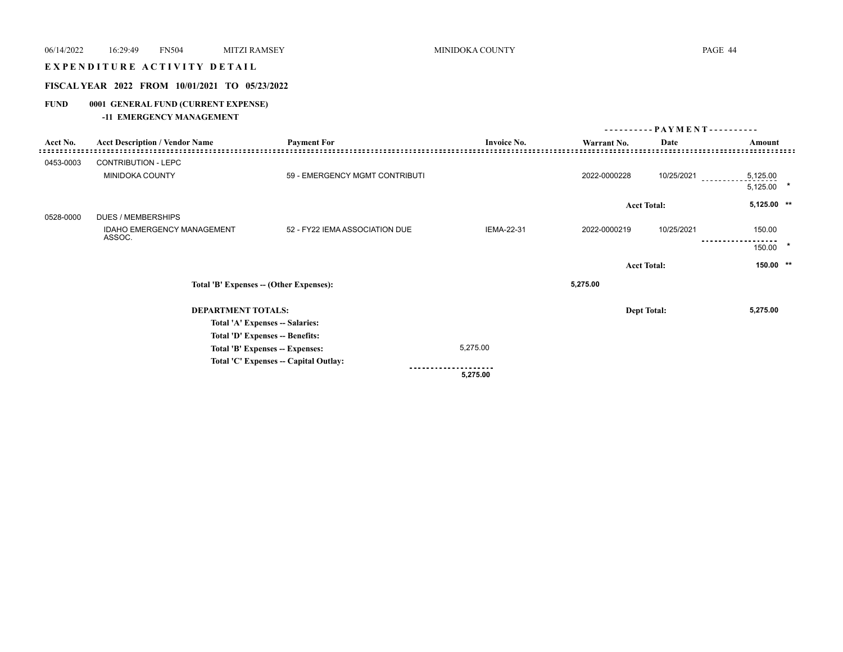# EXPENDITURE ACTIVITY DETAIL

# **FISCAL YEAR 2022 FROM 10/01/2021 TO 05/23/2022**

# **FUND 0001 GENERAL FUND (CURRENT EXPENSE)**

#### **-11 EMERGENCY MANAGEMENT**

|           |                                       |                                         |                    | ---------          | - PAYMENT - - - - - - - - - - |                      |  |
|-----------|---------------------------------------|-----------------------------------------|--------------------|--------------------|-------------------------------|----------------------|--|
| Acct No.  | <b>Acct Description / Vendor Name</b> | <b>Payment For</b>                      | <b>Invoice No.</b> | Warrant No.        | Date                          | Amount               |  |
| 0453-0003 | CONTRIBUTION - LEPC                   |                                         |                    |                    |                               |                      |  |
|           | MINIDOKA COUNTY                       | 59 - EMERGENCY MGMT CONTRIBUTI          |                    | 2022-0000228       | 10/25/2021                    | 5,125.00<br>5,125.00 |  |
|           |                                       |                                         |                    | <b>Acct Total:</b> |                               | 5,125.00 **          |  |
| 0528-0000 | <b>DUES / MEMBERSHIPS</b>             |                                         |                    |                    |                               |                      |  |
|           | IDAHO EMERGENCY MANAGEMENT<br>ASSOC.  | 52 - FY22 IEMA ASSOCIATION DUE          | <b>IEMA-22-31</b>  | 2022-0000219       | 10/25/2021                    | 150.00               |  |
|           |                                       |                                         |                    |                    |                               | 150.00               |  |
|           |                                       |                                         |                    | <b>Acct Total:</b> |                               | $150.00$ **          |  |
|           |                                       | Total 'B' Expenses -- (Other Expenses): |                    | 5,275.00           |                               |                      |  |
|           | <b>DEPARTMENT TOTALS:</b>             |                                         |                    | <b>Dept Total:</b> |                               | 5,275.00             |  |
|           |                                       | Total 'A' Expenses -- Salaries:         |                    |                    |                               |                      |  |
|           |                                       | Total 'D' Expenses -- Benefits:         |                    |                    |                               |                      |  |
|           |                                       | Total 'B' Expenses -- Expenses:         | 5,275.00           |                    |                               |                      |  |
|           |                                       | Total 'C' Expenses -- Capital Outlay:   |                    |                    |                               |                      |  |
|           |                                       |                                         | 5,275.00           |                    |                               |                      |  |
|           |                                       |                                         |                    |                    |                               |                      |  |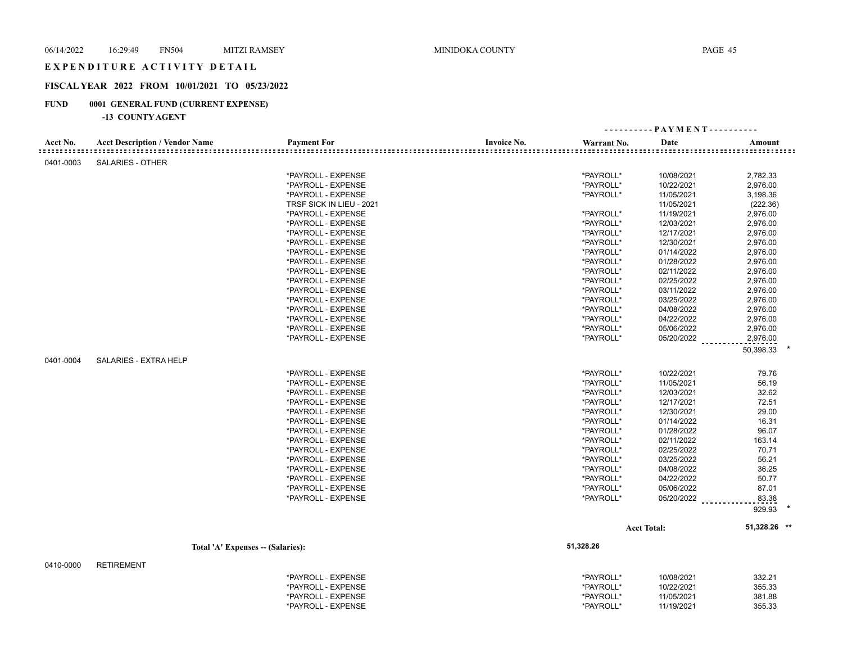#### EXPENDITURE ACTIVITY DETAIL

# **FISCAL YEAR 2022 FROM 10/01/2021 TO 05/23/2022**

# **FUND 0001 GENERAL FUND (CURRENT EXPENSE)**

|           |                                       |                          |                    | ---------- PAYMENT---------- |                    |              |
|-----------|---------------------------------------|--------------------------|--------------------|------------------------------|--------------------|--------------|
| Acct No.  | <b>Acct Description / Vendor Name</b> | <b>Payment For</b>       | <b>Invoice No.</b> | Warrant No.                  | Date               | Amount       |
| 0401-0003 | <b>SALARIES - OTHER</b>               |                          |                    |                              |                    |              |
|           |                                       | *PAYROLL - EXPENSE       |                    | *PAYROLL*                    | 10/08/2021         | 2,782.33     |
|           |                                       | *PAYROLL - EXPENSE       |                    | *PAYROLL*                    | 10/22/2021         | 2,976.00     |
|           |                                       | *PAYROLL - EXPENSE       |                    | *PAYROLL*                    | 11/05/2021         | 3,198.36     |
|           |                                       | TRSF SICK IN LIEU - 2021 |                    |                              | 11/05/2021         | (222.36)     |
|           |                                       | *PAYROLL - EXPENSE       |                    | *PAYROLL*                    | 11/19/2021         | 2,976.00     |
|           |                                       | *PAYROLL - EXPENSE       |                    | *PAYROLL*                    | 12/03/2021         | 2,976.00     |
|           |                                       | *PAYROLL - EXPENSE       |                    | *PAYROLL*                    | 12/17/2021         | 2,976.00     |
|           |                                       | *PAYROLL - EXPENSE       |                    | *PAYROLL*                    | 12/30/2021         | 2,976.00     |
|           |                                       | *PAYROLL - EXPENSE       |                    | *PAYROLL*                    | 01/14/2022         | 2,976.00     |
|           |                                       | *PAYROLL - EXPENSE       |                    | *PAYROLL*                    | 01/28/2022         | 2,976.00     |
|           |                                       | *PAYROLL - EXPENSE       |                    | *PAYROLL*                    | 02/11/2022         | 2,976.00     |
|           |                                       | *PAYROLL - EXPENSE       |                    | *PAYROLL*                    | 02/25/2022         | 2,976.00     |
|           |                                       | *PAYROLL - EXPENSE       |                    | *PAYROLL*                    | 03/11/2022         | 2,976.00     |
|           |                                       | *PAYROLL - EXPENSE       |                    | *PAYROLL*                    | 03/25/2022         | 2,976.00     |
|           |                                       | *PAYROLL - EXPENSE       |                    | *PAYROLL*                    | 04/08/2022         | 2,976.00     |
|           |                                       | *PAYROLL - EXPENSE       |                    | *PAYROLL*                    | 04/22/2022         | 2,976.00     |
|           |                                       | *PAYROLL - EXPENSE       |                    | *PAYROLL*                    | 05/06/2022         | 2,976.00     |
|           |                                       | *PAYROLL - EXPENSE       |                    | *PAYROLL*                    | 05/20/2022         | 2,976.00     |
|           |                                       |                          |                    |                              |                    | 50,398.33    |
| 0401-0004 | SALARIES - EXTRA HELP                 |                          |                    |                              |                    |              |
|           |                                       | *PAYROLL - EXPENSE       |                    | *PAYROLL*                    | 10/22/2021         | 79.76        |
|           |                                       | *PAYROLL - EXPENSE       |                    | *PAYROLL*                    | 11/05/2021         | 56.19        |
|           |                                       | *PAYROLL - EXPENSE       |                    | *PAYROLL*                    | 12/03/2021         | 32.62        |
|           |                                       | *PAYROLL - EXPENSE       |                    | *PAYROLL*                    | 12/17/2021         | 72.51        |
|           |                                       | *PAYROLL - EXPENSE       |                    | *PAYROLL*                    | 12/30/2021         | 29.00        |
|           |                                       | *PAYROLL - EXPENSE       |                    | *PAYROLL*                    | 01/14/2022         | 16.31        |
|           |                                       | *PAYROLL - EXPENSE       |                    | *PAYROLL*                    | 01/28/2022         | 96.07        |
|           |                                       | *PAYROLL - EXPENSE       |                    | *PAYROLL*                    | 02/11/2022         | 163.14       |
|           |                                       | *PAYROLL - EXPENSE       |                    | *PAYROLL*                    | 02/25/2022         | 70.71        |
|           |                                       | *PAYROLL - EXPENSE       |                    | *PAYROLL*                    | 03/25/2022         | 56.21        |
|           |                                       | *PAYROLL - EXPENSE       |                    | *PAYROLL*                    | 04/08/2022         | 36.25        |
|           |                                       | *PAYROLL - EXPENSE       |                    | *PAYROLL*                    | 04/22/2022         | 50.77        |
|           |                                       | *PAYROLL - EXPENSE       |                    | *PAYROLL*                    | 05/06/2022         | 87.01        |
|           |                                       | *PAYROLL - EXPENSE       |                    | *PAYROLL*                    | 05/20/2022         | 83.38        |
|           |                                       |                          |                    |                              |                    | 929.93       |
|           |                                       |                          |                    |                              | <b>Acct Total:</b> | 51,328.26 ** |
|           | Total 'A' Expenses -- (Salaries):     |                          |                    | 51,328.26                    |                    |              |
| 0410-0000 | <b>RETIREMENT</b>                     |                          |                    |                              |                    |              |

| *PAYROLL - EXPENSE | *PAYROLL* | 10/08/2021 | 332.21 |
|--------------------|-----------|------------|--------|
| *PAYROLL - EXPENSE | *PAYROLL* | 10/22/2021 | 355.33 |
| *PAYROLL - EXPENSE | *PAYROLL* | 11/05/2021 | 381.88 |
| *PAYROLL - EXPENSE | *PAYROLL* | 11/19/2021 | 355.33 |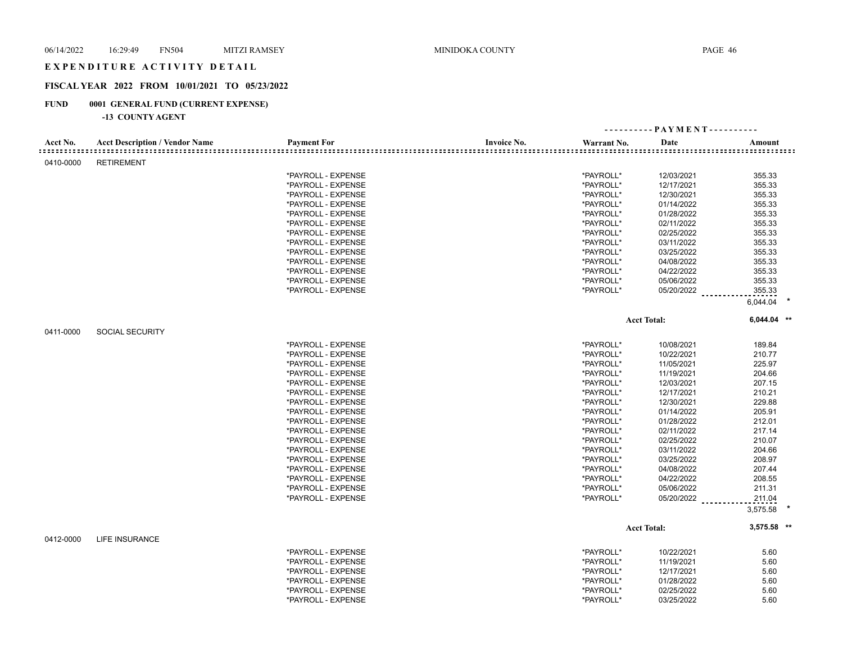#### EXPENDITURE ACTIVITY DETAIL

# **FISCAL YEAR 2022 FROM 10/01/2021 TO 05/23/2022**

# **FUND 0001 GENERAL FUND (CURRENT EXPENSE)**

|           |                                       |                    |                    |             | ---------- PAYMENT---------- |                                       |  |
|-----------|---------------------------------------|--------------------|--------------------|-------------|------------------------------|---------------------------------------|--|
| Acct No.  | <b>Acct Description / Vendor Name</b> | <b>Payment For</b> | <b>Invoice No.</b> | Warrant No. | Date                         | Amount<br><br>::::::::::::::::::::::: |  |
| 0410-0000 | <b>RETIREMENT</b>                     |                    |                    |             |                              |                                       |  |
|           |                                       | *PAYROLL - EXPENSE |                    | *PAYROLL*   | 12/03/2021                   | 355.33                                |  |
|           |                                       | *PAYROLL - EXPENSE |                    | *PAYROLL*   | 12/17/2021                   | 355.33                                |  |
|           |                                       | *PAYROLL - EXPENSE |                    | *PAYROLL*   | 12/30/2021                   | 355.33                                |  |
|           |                                       | *PAYROLL - EXPENSE |                    | *PAYROLL*   | 01/14/2022                   | 355.33                                |  |
|           |                                       | *PAYROLL - EXPENSE |                    | *PAYROLL*   | 01/28/2022                   | 355.33                                |  |
|           |                                       | *PAYROLL - EXPENSE |                    | *PAYROLL*   | 02/11/2022                   | 355.33                                |  |
|           |                                       | *PAYROLL - EXPENSE |                    | *PAYROLL*   | 02/25/2022                   | 355.33                                |  |
|           |                                       | *PAYROLL - EXPENSE |                    | *PAYROLL*   | 03/11/2022                   | 355.33                                |  |
|           |                                       |                    |                    |             |                              |                                       |  |
|           |                                       | *PAYROLL - EXPENSE |                    | *PAYROLL*   | 03/25/2022                   | 355.33                                |  |
|           |                                       | *PAYROLL - EXPENSE |                    | *PAYROLL*   | 04/08/2022                   | 355.33                                |  |
|           |                                       | *PAYROLL - EXPENSE |                    | *PAYROLL*   | 04/22/2022                   | 355.33                                |  |
|           |                                       | *PAYROLL - EXPENSE |                    | *PAYROLL*   | 05/06/2022                   | 355.33                                |  |
|           |                                       | *PAYROLL - EXPENSE |                    | *PAYROLL*   | 05/20/2022                   | 355.33                                |  |
|           |                                       |                    |                    |             |                              | 6,044.04                              |  |
|           |                                       |                    |                    |             | <b>Acct Total:</b>           | 6,044.04 **                           |  |
| 0411-0000 | <b>SOCIAL SECURITY</b>                |                    |                    |             |                              |                                       |  |
|           |                                       | *PAYROLL - EXPENSE |                    | *PAYROLL*   | 10/08/2021                   | 189.84                                |  |
|           |                                       | *PAYROLL - EXPENSE |                    | *PAYROLL*   | 10/22/2021                   | 210.77                                |  |
|           |                                       | *PAYROLL - EXPENSE |                    | *PAYROLL*   | 11/05/2021                   | 225.97                                |  |
|           |                                       | *PAYROLL - EXPENSE |                    | *PAYROLL*   | 11/19/2021                   | 204.66                                |  |
|           |                                       | *PAYROLL - EXPENSE |                    | *PAYROLL*   | 12/03/2021                   | 207.15                                |  |
|           |                                       | *PAYROLL - EXPENSE |                    | *PAYROLL*   | 12/17/2021                   | 210.21                                |  |
|           |                                       | *PAYROLL - EXPENSE |                    | *PAYROLL*   | 12/30/2021                   | 229.88                                |  |
|           |                                       | *PAYROLL - EXPENSE |                    | *PAYROLL*   | 01/14/2022                   | 205.91                                |  |
|           |                                       | *PAYROLL - EXPENSE |                    | *PAYROLL*   | 01/28/2022                   | 212.01                                |  |
|           |                                       | *PAYROLL - EXPENSE |                    | *PAYROLL*   | 02/11/2022                   | 217.14                                |  |
|           |                                       | *PAYROLL - EXPENSE |                    | *PAYROLL*   | 02/25/2022                   | 210.07                                |  |
|           |                                       | *PAYROLL - EXPENSE |                    | *PAYROLL*   | 03/11/2022                   | 204.66                                |  |
|           |                                       | *PAYROLL - EXPENSE |                    | *PAYROLL*   | 03/25/2022                   | 208.97                                |  |
|           |                                       | *PAYROLL - EXPENSE |                    | *PAYROLL*   | 04/08/2022                   | 207.44                                |  |
|           |                                       | *PAYROLL - EXPENSE |                    | *PAYROLL*   | 04/22/2022                   | 208.55                                |  |
|           |                                       | *PAYROLL - EXPENSE |                    | *PAYROLL*   | 05/06/2022                   | 211.31                                |  |
|           |                                       | *PAYROLL - EXPENSE |                    | *PAYROLL*   | 05/20/2022                   | 211.04                                |  |
|           |                                       |                    |                    |             |                              | 3,575.58                              |  |
|           |                                       |                    |                    |             | <b>Acct Total:</b>           | $3,575.58$ **                         |  |
| 0412-0000 | <b>LIFE INSURANCE</b>                 |                    |                    |             |                              |                                       |  |
|           |                                       |                    |                    |             |                              |                                       |  |
|           |                                       | *PAYROLL - EXPENSE |                    | *PAYROLL*   | 10/22/2021                   | 5.60                                  |  |
|           |                                       | *PAYROLL - EXPENSE |                    | *PAYROLL*   | 11/19/2021                   | 5.60                                  |  |
|           |                                       | *PAYROLL - EXPENSE |                    | *PAYROLL*   | 12/17/2021                   | 5.60                                  |  |
|           |                                       | *PAYROLL - EXPENSE |                    | *PAYROLL*   | 01/28/2022                   | 5.60                                  |  |
|           |                                       | *PAYROLL - EXPENSE |                    | *PAYROLL*   | 02/25/2022                   | 5.60                                  |  |
|           |                                       | *PAYROLL - EXPENSE |                    | *PAYROLL*   | 03/25/2022                   | 5.60                                  |  |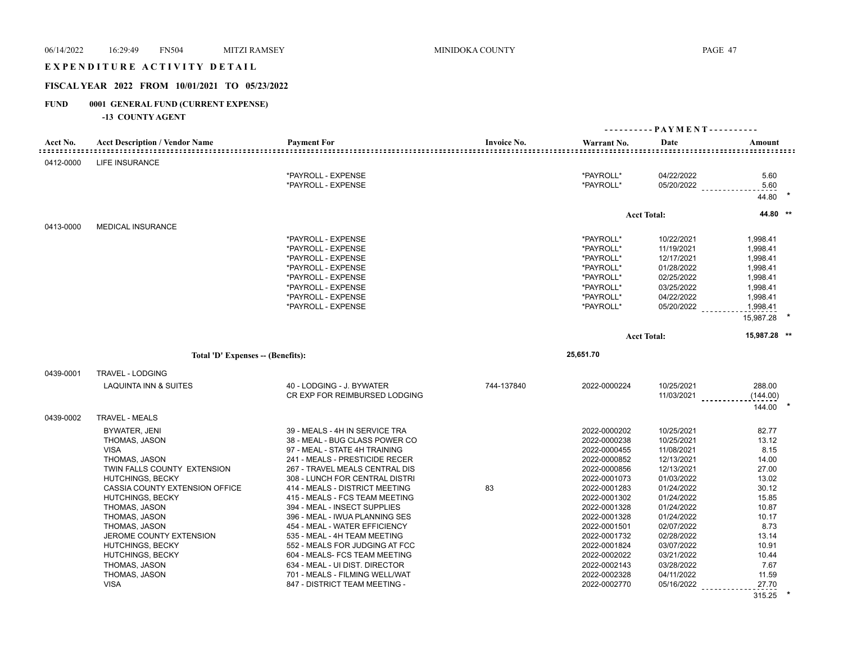# EXPENDITURE ACTIVITY DETAIL

# **FISCAL YEAR 2022 FROM 10/01/2021 TO 05/23/2022**

# **FUND 0001 GENERAL FUND (CURRENT EXPENSE)**

|           |                                       |                                |                    |              | ---------- PAYMENT---------- |              |
|-----------|---------------------------------------|--------------------------------|--------------------|--------------|------------------------------|--------------|
| Acct No.  | <b>Acct Description / Vendor Name</b> | <b>Payment For</b>             | <b>Invoice No.</b> | Warrant No.  | Date                         | Amount       |
| 0412-0000 | <b>LIFE INSURANCE</b>                 |                                |                    |              |                              |              |
|           |                                       | *PAYROLL - EXPENSE             |                    | *PAYROLL*    | 04/22/2022                   | 5.60         |
|           |                                       | *PAYROLL - EXPENSE             |                    | *PAYROLL*    | 05/20/2022                   | 5.60         |
|           |                                       |                                |                    |              |                              | 44.80        |
|           |                                       |                                |                    |              | <b>Acct Total:</b>           | 44.80 **     |
| 0413-0000 | <b>MEDICAL INSURANCE</b>              |                                |                    |              |                              |              |
|           |                                       | *PAYROLL - EXPENSE             |                    | *PAYROLL*    | 10/22/2021                   | 1,998.41     |
|           |                                       | *PAYROLL - EXPENSE             |                    | *PAYROLL*    | 11/19/2021                   | 1,998.41     |
|           |                                       | *PAYROLL - EXPENSE             |                    | *PAYROLL*    | 12/17/2021                   | 1,998.41     |
|           |                                       | *PAYROLL - EXPENSE             |                    | *PAYROLL*    | 01/28/2022                   | 1,998.41     |
|           |                                       | *PAYROLL - EXPENSE             |                    | *PAYROLL*    | 02/25/2022                   | 1,998.41     |
|           |                                       | *PAYROLL - EXPENSE             |                    | *PAYROLL*    | 03/25/2022                   | 1,998.41     |
|           |                                       | *PAYROLL - EXPENSE             |                    | *PAYROLL*    | 04/22/2022                   | 1,998.41     |
|           |                                       | *PAYROLL - EXPENSE             |                    | *PAYROLL*    | 05/20/2022                   | 1,998.41     |
|           |                                       |                                |                    |              |                              | 15,987.28    |
|           |                                       |                                |                    |              | <b>Acct Total:</b>           | 15,987.28 ** |
|           | Total 'D' Expenses -- (Benefits):     |                                |                    | 25,651.70    |                              |              |
| 0439-0001 | <b>TRAVEL - LODGING</b>               |                                |                    |              |                              |              |
|           | <b>LAQUINTA INN &amp; SUITES</b>      | 40 - LODGING - J. BYWATER      | 744-137840         | 2022-0000224 | 10/25/2021                   | 288.00       |
|           |                                       | CR EXP FOR REIMBURSED LODGING  |                    |              | 11/03/2021                   | (144.00)     |
|           |                                       |                                |                    |              |                              | 144.00       |
| 0439-0002 | <b>TRAVEL - MEALS</b>                 |                                |                    |              |                              |              |
|           | BYWATER, JENI                         | 39 - MEALS - 4H IN SERVICE TRA |                    | 2022-0000202 | 10/25/2021                   | 82.77        |
|           | THOMAS, JASON                         | 38 - MEAL - BUG CLASS POWER CO |                    | 2022-0000238 | 10/25/2021                   | 13.12        |
|           | <b>VISA</b>                           | 97 - MEAL - STATE 4H TRAINING  |                    | 2022-0000455 | 11/08/2021                   | 8.15         |
|           | THOMAS, JASON                         | 241 - MEALS - PRESTICIDE RECER |                    | 2022-0000852 | 12/13/2021                   | 14.00        |
|           | TWIN FALLS COUNTY EXTENSION           | 267 - TRAVEL MEALS CENTRAL DIS |                    | 2022-0000856 | 12/13/2021                   | 27.00        |
|           | <b>HUTCHINGS, BECKY</b>               | 308 - LUNCH FOR CENTRAL DISTRI |                    | 2022-0001073 | 01/03/2022                   | 13.02        |
|           | CASSIA COUNTY EXTENSION OFFICE        | 414 - MEALS - DISTRICT MEETING | 83                 | 2022-0001283 | 01/24/2022                   | 30.12        |
|           | <b>HUTCHINGS, BECKY</b>               | 415 - MEALS - FCS TEAM MEETING |                    | 2022-0001302 | 01/24/2022                   | 15.85        |
|           | THOMAS, JASON                         | 394 - MEAL - INSECT SUPPLIES   |                    | 2022-0001328 | 01/24/2022                   | 10.87        |
|           | THOMAS, JASON                         | 396 - MEAL - IWUA PLANNING SES |                    | 2022-0001328 | 01/24/2022                   | 10.17        |
|           | THOMAS, JASON                         | 454 - MEAL - WATER EFFICIENCY  |                    | 2022-0001501 | 02/07/2022                   | 8.73         |
|           | JEROME COUNTY EXTENSION               | 535 - MEAL - 4H TEAM MEETING   |                    | 2022-0001732 | 02/28/2022                   | 13.14        |
|           | <b>HUTCHINGS, BECKY</b>               | 552 - MEALS FOR JUDGING AT FCC |                    | 2022-0001824 | 03/07/2022                   | 10.91        |
|           | HUTCHINGS, BECKY                      | 604 - MEALS- FCS TEAM MEETING  |                    | 2022-0002022 | 03/21/2022                   | 10.44        |
|           | THOMAS, JASON                         | 634 - MEAL - UI DIST. DIRECTOR |                    | 2022-0002143 | 03/28/2022                   | 7.67         |
|           | THOMAS, JASON                         | 701 - MEALS - FILMING WELL/WAT |                    | 2022-0002328 | 04/11/2022                   | 11.59        |
|           | <b>VISA</b>                           | 847 - DISTRICT TEAM MEETING -  |                    | 2022-0002770 | 05/16/2022                   | 27.70        |
|           |                                       |                                |                    |              |                              | 315.25       |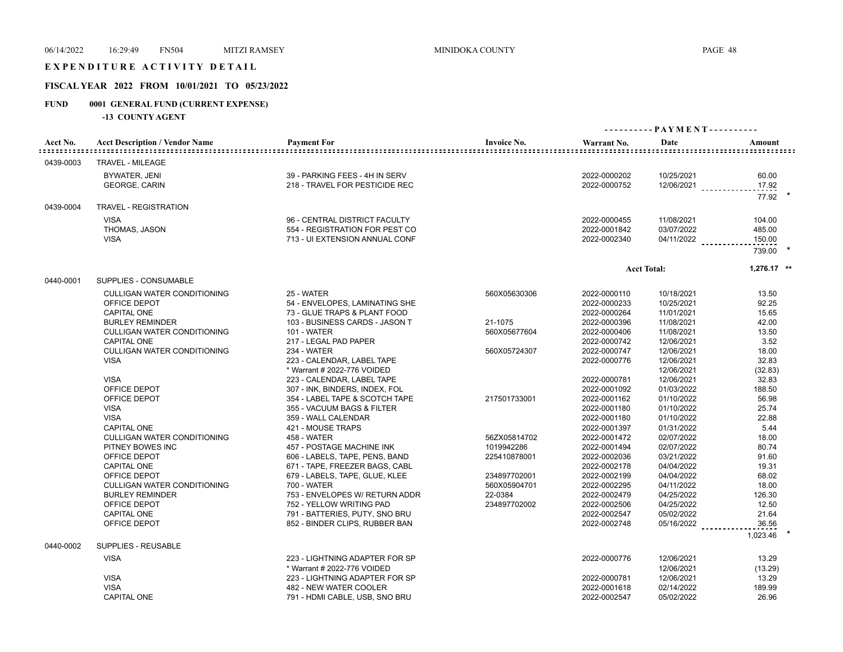# E X P E N D I T U R E A C T I V I T Y D E T A I L

# **FISCAL YEAR 2022 FROM 10/01/2021 TO 05/23/2022**

# **FUND 0001 GENERAL FUND (CURRENT EXPENSE)**

|                           |                                       |                                |                    | - PAYMENT ---------- |                    |               |
|---------------------------|---------------------------------------|--------------------------------|--------------------|----------------------|--------------------|---------------|
| Acct No.<br>::::::::::::: | <b>Acct Description / Vendor Name</b> | <b>Payment For</b>             | <b>Invoice No.</b> | Warrant No.          | Date               | Amount        |
| 0439-0003                 | <b>TRAVEL - MILEAGE</b>               |                                |                    |                      |                    |               |
|                           | BYWATER, JENI                         | 39 - PARKING FEES - 4H IN SERV |                    | 2022-0000202         | 10/25/2021         | 60.00         |
|                           | <b>GEORGE, CARIN</b>                  | 218 - TRAVEL FOR PESTICIDE REC |                    | 2022-0000752         | 12/06/2021         | 17.92         |
|                           |                                       |                                |                    |                      |                    | 77.92         |
| 0439-0004                 | <b>TRAVEL - REGISTRATION</b>          |                                |                    |                      |                    |               |
|                           | <b>VISA</b>                           | 96 - CENTRAL DISTRICT FACULTY  |                    | 2022-0000455         | 11/08/2021         | 104.00        |
|                           | THOMAS, JASON                         | 554 - REGISTRATION FOR PEST CO |                    | 2022-0001842         | 03/07/2022         | 485.00        |
|                           | <b>VISA</b>                           | 713 - UI EXTENSION ANNUAL CONF |                    | 2022-0002340         | 04/11/2022         | 150.00        |
|                           |                                       |                                |                    |                      |                    | 739.00        |
|                           |                                       |                                |                    |                      | <b>Acct Total:</b> | $1,276.17$ ** |
| 0440-0001                 | <b>SUPPLIES - CONSUMABLE</b>          |                                |                    |                      |                    |               |
|                           | <b>CULLIGAN WATER CONDITIONING</b>    | 25 - WATER                     | 560X05630306       | 2022-0000110         | 10/18/2021         | 13.50         |
|                           | OFFICE DEPOT                          | 54 - ENVELOPES, LAMINATING SHE |                    | 2022-0000233         | 10/25/2021         | 92.25         |
|                           | <b>CAPITAL ONE</b>                    | 73 - GLUE TRAPS & PLANT FOOD   |                    | 2022-0000264         | 11/01/2021         | 15.65         |
|                           | <b>BURLEY REMINDER</b>                | 103 - BUSINESS CARDS - JASON T | 21-1075            | 2022-0000396         | 11/08/2021         | 42.00         |
|                           | <b>CULLIGAN WATER CONDITIONING</b>    | 101 - WATER                    | 560X05677604       | 2022-0000406         | 11/08/2021         | 13.50         |
|                           | <b>CAPITAL ONE</b>                    | 217 - LEGAL PAD PAPER          |                    | 2022-0000742         | 12/06/2021         | 3.52          |
|                           | CULLIGAN WATER CONDITIONING           | 234 - WATER                    | 560X05724307       | 2022-0000747         | 12/06/2021         | 18.00         |
|                           | <b>VISA</b>                           | 223 - CALENDAR, LABEL TAPE     |                    | 2022-0000776         | 12/06/2021         | 32.83         |
|                           |                                       | * Warrant # 2022-776 VOIDED    |                    |                      | 12/06/2021         | (32.83)       |
|                           | <b>VISA</b>                           | 223 - CALENDAR, LABEL TAPE     |                    | 2022-0000781         | 12/06/2021         | 32.83         |
|                           | OFFICE DEPOT                          | 307 - INK, BINDERS, INDEX, FOL |                    | 2022-0001092         | 01/03/2022         | 188.50        |
|                           | OFFICE DEPOT                          | 354 - LABEL TAPE & SCOTCH TAPE | 217501733001       | 2022-0001162         | 01/10/2022         | 56.98         |
|                           | <b>VISA</b>                           | 355 - VACUUM BAGS & FILTER     |                    | 2022-0001180         | 01/10/2022         | 25.74         |
|                           | <b>VISA</b>                           | 359 - WALL CALENDAR            |                    | 2022-0001180         | 01/10/2022         | 22.88         |
|                           | <b>CAPITAL ONE</b>                    | 421 - MOUSE TRAPS              |                    | 2022-0001397         | 01/31/2022         | 5.44          |
|                           | <b>CULLIGAN WATER CONDITIONING</b>    | <b>458 - WATER</b>             | 56ZX05814702       | 2022-0001472         | 02/07/2022         | 18.00         |
|                           | PITNEY BOWES INC                      | 457 - POSTAGE MACHINE INK      | 1019942286         | 2022-0001494         | 02/07/2022         | 80.74         |
|                           | OFFICE DEPOT                          | 606 - LABELS, TAPE, PENS, BAND | 225410878001       | 2022-0002036         | 03/21/2022         | 91.60         |
|                           | CAPITAL ONE                           | 671 - TAPE, FREEZER BAGS, CABL |                    | 2022-0002178         | 04/04/2022         | 19.31         |
|                           | OFFICE DEPOT                          | 679 - LABELS, TAPE, GLUE, KLEE | 234897702001       | 2022-0002199         | 04/04/2022         | 68.02         |
|                           | <b>CULLIGAN WATER CONDITIONING</b>    | <b>700 - WATER</b>             | 560X05904701       | 2022-0002295         | 04/11/2022         | 18.00         |
|                           | <b>BURLEY REMINDER</b>                | 753 - ENVELOPES W/ RETURN ADDR | 22-0384            | 2022-0002479         | 04/25/2022         | 126.30        |
|                           | OFFICE DEPOT                          | 752 - YELLOW WRITING PAD       | 234897702002       | 2022-0002506         | 04/25/2022         | 12.50         |
|                           | <b>CAPITAL ONE</b>                    | 791 - BATTERIES, PUTY, SNO BRU |                    | 2022-0002547         | 05/02/2022         | 21.64         |
|                           | OFFICE DEPOT                          | 852 - BINDER CLIPS, RUBBER BAN |                    | 2022-0002748         | 05/16/2022         | 36.56         |
| 0440-0002                 | SUPPLIES - REUSABLE                   |                                |                    |                      |                    | 1,023.46      |
|                           | <b>VISA</b>                           | 223 - LIGHTNING ADAPTER FOR SP |                    | 2022-0000776         | 12/06/2021         | 13.29         |
|                           |                                       | * Warrant # 2022-776 VOIDED    |                    |                      | 12/06/2021         | (13.29)       |
|                           | <b>VISA</b>                           | 223 - LIGHTNING ADAPTER FOR SP |                    | 2022-0000781         | 12/06/2021         | 13.29         |
|                           | <b>VISA</b>                           | 482 - NEW WATER COOLER         |                    | 2022-0001618         | 02/14/2022         | 189.99        |
|                           | <b>CAPITAL ONE</b>                    | 791 - HDMI CABLE, USB, SNO BRU |                    | 2022-0002547         | 05/02/2022         | 26.96         |
|                           |                                       |                                |                    |                      |                    |               |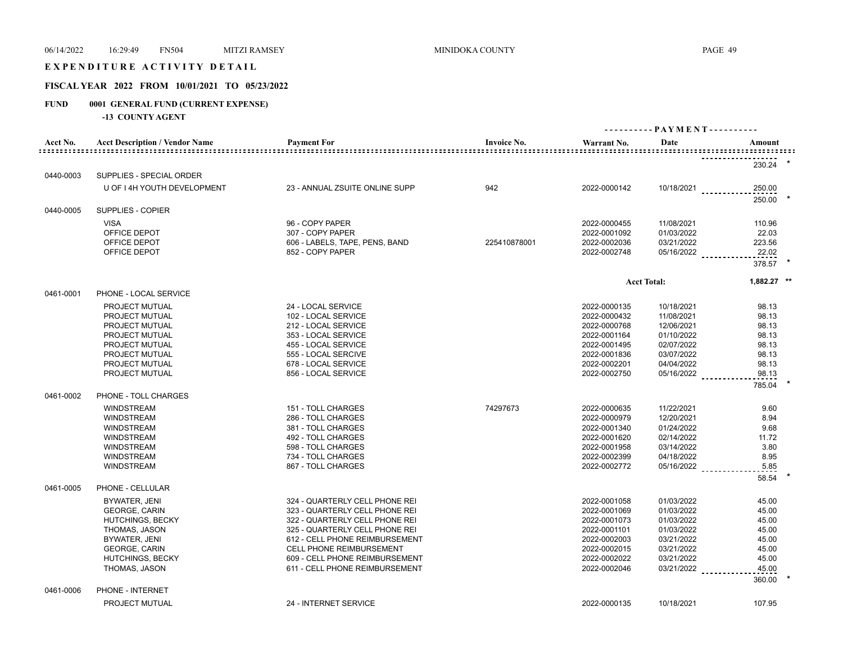# E X P E N D I T U R E A C T I V I T Y D E T A I L

# **FISCAL YEAR 2022 FROM 10/01/2021 TO 05/23/2022**

# **FUND 0001 GENERAL FUND (CURRENT EXPENSE)**

|                                     |                                        |                                          |                    |                              | - PAYMENT ----------     |                                 |  |
|-------------------------------------|----------------------------------------|------------------------------------------|--------------------|------------------------------|--------------------------|---------------------------------|--|
| Acct No.<br>: : : : : : : : : : : : | <b>Acct Description / Vendor Name</b>  | <b>Payment For</b>                       | <b>Invoice No.</b> | Warrant No.                  | Date                     | Amount<br>===================== |  |
|                                     |                                        |                                          |                    |                              |                          | 230.24                          |  |
| 0440-0003                           | SUPPLIES - SPECIAL ORDER               |                                          |                    |                              |                          |                                 |  |
|                                     | U OF I 4H YOUTH DEVELOPMENT            | 23 - ANNUAL ZSUITE ONLINE SUPP           | 942                | 2022-0000142                 | 10/18/2021               | 250.00<br>250.00                |  |
| 0440-0005                           | SUPPLIES - COPIER                      |                                          |                    |                              |                          |                                 |  |
|                                     | <b>VISA</b>                            | 96 - COPY PAPER                          |                    | 2022-0000455                 | 11/08/2021               | 110.96                          |  |
|                                     | OFFICE DEPOT                           | 307 - COPY PAPER                         |                    | 2022-0001092                 | 01/03/2022               | 22.03                           |  |
|                                     | OFFICE DEPOT                           | 606 - LABELS, TAPE, PENS, BAND           | 225410878001       | 2022-0002036                 | 03/21/2022               | 223.56                          |  |
|                                     | OFFICE DEPOT                           | 852 - COPY PAPER                         |                    | 2022-0002748                 | $05/16/2022$             | 22.02                           |  |
|                                     |                                        |                                          |                    |                              |                          | 378.57 *                        |  |
|                                     |                                        |                                          |                    |                              | <b>Acct Total:</b>       | $1.882.27$ **                   |  |
| 0461-0001                           | PHONE - LOCAL SERVICE                  |                                          |                    |                              |                          |                                 |  |
|                                     | PROJECT MUTUAL                         | 24 - LOCAL SERVICE                       |                    | 2022-0000135                 | 10/18/2021               | 98.13                           |  |
|                                     | PROJECT MUTUAL                         | 102 - LOCAL SERVICE                      |                    | 2022-0000432                 | 11/08/2021               | 98.13                           |  |
|                                     | PROJECT MUTUAL                         | 212 - LOCAL SERVICE                      |                    | 2022-0000768                 | 12/06/2021               | 98.13                           |  |
|                                     | PROJECT MUTUAL                         | 353 - LOCAL SERVICE                      |                    | 2022-0001164                 | 01/10/2022               | 98.13                           |  |
|                                     | PROJECT MUTUAL                         | 455 - LOCAL SERVICE                      |                    | 2022-0001495                 | 02/07/2022               | 98.13                           |  |
|                                     | PROJECT MUTUAL                         | 555 - LOCAL SERCIVE                      |                    | 2022-0001836                 | 03/07/2022               | 98.13                           |  |
|                                     | PROJECT MUTUAL                         | 678 - LOCAL SERVICE                      |                    | 2022-0002201                 | 04/04/2022               | 98.13                           |  |
|                                     | PROJECT MUTUAL                         | 856 - LOCAL SERVICE                      |                    | 2022-0002750                 | 05/16/2022               | 98.13                           |  |
|                                     |                                        |                                          |                    |                              |                          | 785.04                          |  |
| 0461-0002                           | PHONE - TOLL CHARGES                   |                                          |                    |                              |                          |                                 |  |
|                                     | <b>WINDSTREAM</b>                      | 151 - TOLL CHARGES<br>286 - TOLL CHARGES | 74297673           | 2022-0000635                 | 11/22/2021               | 9.60                            |  |
|                                     | <b>WINDSTREAM</b><br><b>WINDSTREAM</b> | 381 - TOLL CHARGES                       |                    | 2022-0000979<br>2022-0001340 | 12/20/2021<br>01/24/2022 | 8.94<br>9.68                    |  |
|                                     | <b>WINDSTREAM</b>                      | 492 - TOLL CHARGES                       |                    | 2022-0001620                 | 02/14/2022               | 11.72                           |  |
|                                     | <b>WINDSTREAM</b>                      | 598 - TOLL CHARGES                       |                    | 2022-0001958                 | 03/14/2022               | 3.80                            |  |
|                                     | <b>WINDSTREAM</b>                      | 734 - TOLL CHARGES                       |                    | 2022-0002399                 | 04/18/2022               | 8.95                            |  |
|                                     | <b>WINDSTREAM</b>                      | 867 - TOLL CHARGES                       |                    | 2022-0002772                 | 05/16/2022               | 5.85                            |  |
|                                     |                                        |                                          |                    |                              |                          | 58.54                           |  |
| 0461-0005                           | PHONE - CELLULAR                       |                                          |                    |                              |                          |                                 |  |
|                                     | BYWATER, JENI                          | 324 - QUARTERLY CELL PHONE REI           |                    | 2022-0001058                 | 01/03/2022               | 45.00                           |  |
|                                     | <b>GEORGE, CARIN</b>                   | 323 - QUARTERLY CELL PHONE REI           |                    | 2022-0001069                 | 01/03/2022               | 45.00                           |  |
|                                     | <b>HUTCHINGS, BECKY</b>                | 322 - QUARTERLY CELL PHONE REI           |                    | 2022-0001073                 | 01/03/2022               | 45.00                           |  |
|                                     | THOMAS, JASON                          | 325 - QUARTERLY CELL PHONE REI           |                    | 2022-0001101                 | 01/03/2022               | 45.00                           |  |
|                                     | BYWATER, JENI                          | 612 - CELL PHONE REIMBURSEMENT           |                    | 2022-0002003                 | 03/21/2022               | 45.00                           |  |
|                                     | <b>GEORGE, CARIN</b>                   | CELL PHONE REIMBURSEMENT                 |                    | 2022-0002015                 | 03/21/2022               | 45.00                           |  |
|                                     | <b>HUTCHINGS, BECKY</b>                | 609 - CELL PHONE REIMBURSEMENT           |                    | 2022-0002022                 | 03/21/2022               | 45.00                           |  |
|                                     | THOMAS, JASON                          | 611 - CELL PHONE REIMBURSEMENT           |                    | 2022-0002046                 | 03/21/2022               | 45.00                           |  |
|                                     |                                        |                                          |                    |                              |                          | 360.00                          |  |
| 0461-0006                           | PHONE - INTERNET                       |                                          |                    |                              |                          |                                 |  |
|                                     | PROJECT MUTUAL                         | 24 - INTERNET SERVICE                    |                    | 2022-0000135                 | 10/18/2021               | 107.95                          |  |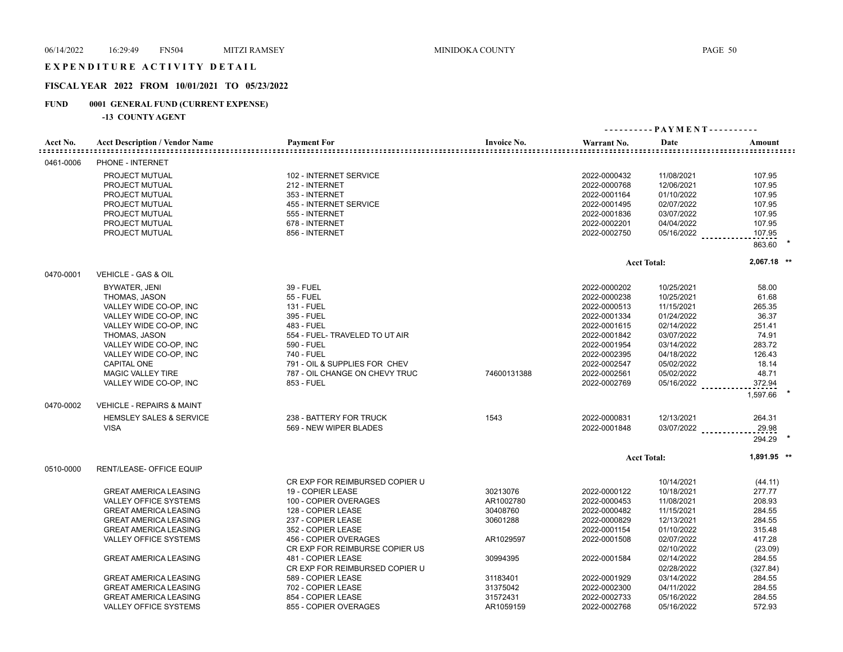#### EXPENDITURE ACTIVITY DETAIL

# **FISCAL YEAR 2022 FROM 10/01/2021 TO 05/23/2022**

# **FUND 0001 GENERAL FUND (CURRENT EXPENSE)**

|           |                                       |                                |                    | ---------- PAYMENT---------- |                    |                  |  |
|-----------|---------------------------------------|--------------------------------|--------------------|------------------------------|--------------------|------------------|--|
| Acct No.  | <b>Acct Description / Vendor Name</b> | <b>Payment For</b>             | <b>Invoice No.</b> | Warrant No.                  | Date               | Amount           |  |
| 0461-0006 | PHONE - INTERNET                      |                                |                    |                              |                    |                  |  |
|           | PROJECT MUTUAL                        | 102 - INTERNET SERVICE         |                    | 2022-0000432                 | 11/08/2021         | 107.95           |  |
|           | PROJECT MUTUAL                        | 212 - INTERNET                 |                    | 2022-0000768                 | 12/06/2021         | 107.95           |  |
|           | PROJECT MUTUAL                        | 353 - INTERNET                 |                    | 2022-0001164                 | 01/10/2022         | 107.95           |  |
|           | PROJECT MUTUAL                        | 455 - INTERNET SERVICE         |                    | 2022-0001495                 | 02/07/2022         | 107.95           |  |
|           | PROJECT MUTUAL                        | 555 - INTERNET                 |                    | 2022-0001836                 | 03/07/2022         | 107.95           |  |
|           | PROJECT MUTUAL                        | 678 - INTERNET                 |                    | 2022-0002201                 | 04/04/2022         | 107.95           |  |
|           | PROJECT MUTUAL                        | 856 - INTERNET                 |                    | 2022-0002750                 |                    |                  |  |
|           |                                       |                                |                    |                              | $05/16/2022$       | 107.95<br>863.60 |  |
|           |                                       |                                |                    |                              |                    |                  |  |
|           |                                       |                                |                    |                              | <b>Acct Total:</b> | $2,067.18$ **    |  |
| 0470-0001 | VEHICLE - GAS & OIL                   |                                |                    |                              |                    |                  |  |
|           | BYWATER, JENI                         | 39 - FUEL                      |                    | 2022-0000202                 | 10/25/2021         | 58.00            |  |
|           | THOMAS, JASON                         | <b>55 - FUEL</b>               |                    | 2022-0000238                 | 10/25/2021         | 61.68            |  |
|           | VALLEY WIDE CO-OP, INC                | <b>131 - FUEL</b>              |                    | 2022-0000513                 | 11/15/2021         | 265.35           |  |
|           | VALLEY WIDE CO-OP, INC                | 395 - FUEL                     |                    | 2022-0001334                 | 01/24/2022         | 36.37            |  |
|           | VALLEY WIDE CO-OP, INC                | 483 - FUEL                     |                    | 2022-0001615                 | 02/14/2022         | 251.41           |  |
|           | THOMAS, JASON                         | 554 - FUEL- TRAVELED TO UT AIR |                    | 2022-0001842                 | 03/07/2022         | 74.91            |  |
|           | VALLEY WIDE CO-OP, INC                | 590 - FUEL                     |                    | 2022-0001954                 | 03/14/2022         | 283.72           |  |
|           | VALLEY WIDE CO-OP, INC                | 740 - FUEL                     |                    | 2022-0002395                 | 04/18/2022         | 126.43           |  |
|           | <b>CAPITAL ONE</b>                    | 791 - OIL & SUPPLIES FOR CHEV  |                    | 2022-0002547                 | 05/02/2022         | 18.14            |  |
|           | <b>MAGIC VALLEY TIRE</b>              | 787 - OIL CHANGE ON CHEVY TRUC | 74600131388        | 2022-0002561                 | 05/02/2022         | 48.71            |  |
|           | VALLEY WIDE CO-OP, INC                | 853 - FUEL                     |                    | 2022-0002769                 | $05/16/2022$       | 372.94           |  |
|           |                                       |                                |                    |                              |                    | 1,597.66         |  |
| 0470-0002 | <b>VEHICLE - REPAIRS &amp; MAINT</b>  |                                |                    |                              |                    |                  |  |
|           | <b>HEMSLEY SALES &amp; SERVICE</b>    | 238 - BATTERY FOR TRUCK        | 1543               | 2022-0000831                 | 12/13/2021         | 264.31           |  |
|           | <b>VISA</b>                           | 569 - NEW WIPER BLADES         |                    | 2022-0001848                 | 03/07/2022         | 29.98            |  |
|           |                                       |                                |                    |                              |                    | 294.29           |  |
|           |                                       |                                |                    |                              | <b>Acct Total:</b> | 1,891.95 **      |  |
| 0510-0000 | RENT/LEASE- OFFICE EQUIP              |                                |                    |                              |                    |                  |  |
|           |                                       | CR EXP FOR REIMBURSED COPIER U |                    |                              | 10/14/2021         | (44.11)          |  |
|           | <b>GREAT AMERICA LEASING</b>          | 19 - COPIER LEASE              | 30213076           | 2022-0000122                 | 10/18/2021         | 277.77           |  |
|           | <b>VALLEY OFFICE SYSTEMS</b>          | 100 - COPIER OVERAGES          | AR1002780          | 2022-0000453                 | 11/08/2021         | 208.93           |  |
|           | <b>GREAT AMERICA LEASING</b>          | 128 - COPIER LEASE             | 30408760           | 2022-0000482                 | 11/15/2021         | 284.55           |  |
|           | <b>GREAT AMERICA LEASING</b>          | 237 - COPIER LEASE             | 30601288           | 2022-0000829                 | 12/13/2021         | 284.55           |  |
|           | <b>GREAT AMERICA LEASING</b>          | 352 - COPIER LEASE             |                    | 2022-0001154                 | 01/10/2022         | 315.48           |  |
|           | <b>VALLEY OFFICE SYSTEMS</b>          | 456 - COPIER OVERAGES          | AR1029597          | 2022-0001508                 | 02/07/2022         | 417.28           |  |
|           |                                       | CR EXP FOR REIMBURSE COPIER US |                    |                              | 02/10/2022         | (23.09)          |  |
|           | <b>GREAT AMERICA LEASING</b>          | 481 - COPIER LEASE             | 30994395           | 2022-0001584                 | 02/14/2022         | 284.55           |  |
|           |                                       | CR EXP FOR REIMBURSED COPIER U |                    |                              | 02/28/2022         | (327.84)         |  |
|           | <b>GREAT AMERICA LEASING</b>          | 589 - COPIER LEASE             | 31183401           | 2022-0001929                 | 03/14/2022         | 284.55           |  |
|           | <b>GREAT AMERICA LEASING</b>          | 702 - COPIER LEASE             | 31375042           | 2022-0002300                 | 04/11/2022         | 284.55           |  |
|           | <b>GREAT AMERICA LEASING</b>          | 854 - COPIER LEASE             | 31572431           | 2022-0002733                 | 05/16/2022         | 284.55           |  |
|           | VALLEY OFFICE SYSTEMS                 | 855 - COPIER OVERAGES          | AR1059159          | 2022-0002768                 | 05/16/2022         | 572.93           |  |
|           |                                       |                                |                    |                              |                    |                  |  |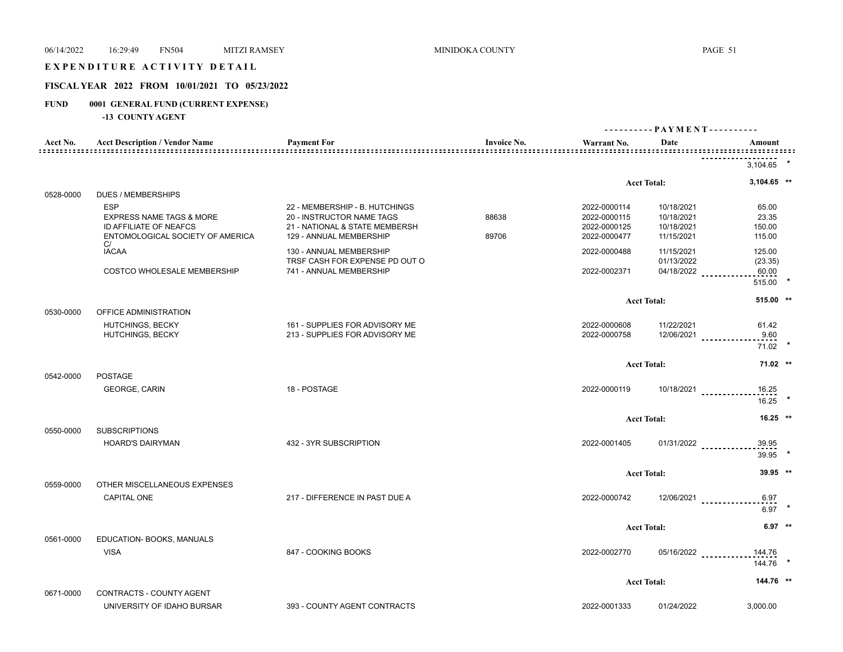# E X P E N D I T U R E A C T I V I T Y D E T A I L

# **FISCAL YEAR 2022 FROM 10/01/2021 TO 05/23/2022**

# **FUND 0001 GENERAL FUND (CURRENT EXPENSE)**

|           |                                                                  |                                                                  |                                              | ---------- PAYMENT----------                     |                            |                                 |  |
|-----------|------------------------------------------------------------------|------------------------------------------------------------------|----------------------------------------------|--------------------------------------------------|----------------------------|---------------------------------|--|
| Acct No.  | <b>Acct Description / Vendor Name</b>                            | <b>Payment For</b>                                               | <b>Invoice No.</b><br><u>===============</u> | Warrant No.<br>: = = = = = = = = = = = = = = = : | Date                       | Amount<br>===================== |  |
|           |                                                                  |                                                                  |                                              |                                                  |                            | 3,104.65                        |  |
|           |                                                                  |                                                                  |                                              |                                                  | <b>Acct Total:</b>         | $3,104.65$ **                   |  |
| 0528-0000 | <b>DUES / MEMBERSHIPS</b>                                        |                                                                  |                                              |                                                  |                            |                                 |  |
|           | <b>ESP</b><br><b>EXPRESS NAME TAGS &amp; MORE</b>                | 22 - MEMBERSHIP - B. HUTCHINGS<br>20 - INSTRUCTOR NAME TAGS      | 88638                                        | 2022-0000114<br>2022-0000115                     | 10/18/2021<br>10/18/2021   | 65.00<br>23.35                  |  |
|           | ID AFFILIATE OF NEAFCS<br>ENTOMOLOGICAL SOCIETY OF AMERICA<br>C/ | 21 - NATIONAL & STATE MEMBERSH<br>129 - ANNUAL MEMBERSHIP        | 89706                                        | 2022-0000125<br>2022-0000477                     | 10/18/2021<br>11/15/2021   | 150.00<br>115.00                |  |
|           | <b>IACAA</b>                                                     | 130 - ANNUAL MEMBERSHIP<br>TRSF CASH FOR EXPENSE PD OUT O        |                                              | 2022-0000488                                     | 11/15/2021<br>01/13/2022   | 125.00<br>(23.35)               |  |
|           | COSTCO WHOLESALE MEMBERSHIP                                      | 741 - ANNUAL MEMBERSHIP                                          |                                              | 2022-0002371                                     | 04/18/2022                 | 60.00<br>515.00 *               |  |
|           |                                                                  |                                                                  |                                              |                                                  | <b>Acct Total:</b>         | 515.00 **                       |  |
| 0530-0000 | OFFICE ADMINISTRATION                                            |                                                                  |                                              |                                                  |                            |                                 |  |
|           | <b>HUTCHINGS, BECKY</b><br>HUTCHINGS, BECKY                      | 161 - SUPPLIES FOR ADVISORY ME<br>213 - SUPPLIES FOR ADVISORY ME |                                              | 2022-0000608<br>2022-0000758                     | 11/22/2021<br>$12/06/2021$ | 61.42<br>9.60                   |  |
|           |                                                                  |                                                                  |                                              |                                                  |                            | $71.02$ *                       |  |
|           |                                                                  |                                                                  |                                              |                                                  | <b>Acct Total:</b>         | $71.02$ **                      |  |
| 0542-0000 | <b>POSTAGE</b><br><b>GEORGE, CARIN</b>                           | 18 - POSTAGE                                                     |                                              | 2022-0000119                                     | $10/18/2021$               | 16.25                           |  |
|           |                                                                  |                                                                  |                                              |                                                  |                            | 16.25                           |  |
|           |                                                                  |                                                                  |                                              |                                                  | <b>Acct Total:</b>         | $16.25$ **                      |  |
| 0550-0000 | <b>SUBSCRIPTIONS</b><br><b>HOARD'S DAIRYMAN</b>                  | 432 - 3YR SUBSCRIPTION                                           |                                              | 2022-0001405                                     |                            |                                 |  |
|           |                                                                  |                                                                  |                                              |                                                  | $01/31/2022$               | 39.95<br>39.95                  |  |
|           |                                                                  |                                                                  |                                              |                                                  | <b>Acct Total:</b>         | 39.95 **                        |  |
| 0559-0000 | OTHER MISCELLANEOUS EXPENSES<br><b>CAPITAL ONE</b>               | 217 - DIFFERENCE IN PAST DUE A                                   |                                              | 2022-0000742                                     |                            |                                 |  |
|           |                                                                  |                                                                  |                                              |                                                  | 12/06/2021                 | 6.97<br>$6.97$ *                |  |
|           |                                                                  |                                                                  |                                              |                                                  | <b>Acct Total:</b>         | $6.97$ **                       |  |
| 0561-0000 | EDUCATION- BOOKS, MANUALS                                        |                                                                  |                                              |                                                  |                            |                                 |  |
|           | <b>VISA</b>                                                      | 847 - COOKING BOOKS                                              |                                              | 2022-0002770                                     | 05/16/2022                 | 144.76<br>144.76                |  |
|           |                                                                  |                                                                  |                                              |                                                  | <b>Acct Total:</b>         | 144.76 **                       |  |
| 0671-0000 | CONTRACTS - COUNTY AGENT                                         |                                                                  |                                              |                                                  |                            |                                 |  |
|           | UNIVERSITY OF IDAHO BURSAR                                       | 393 - COUNTY AGENT CONTRACTS                                     |                                              | 2022-0001333                                     | 01/24/2022                 | 3.000.00                        |  |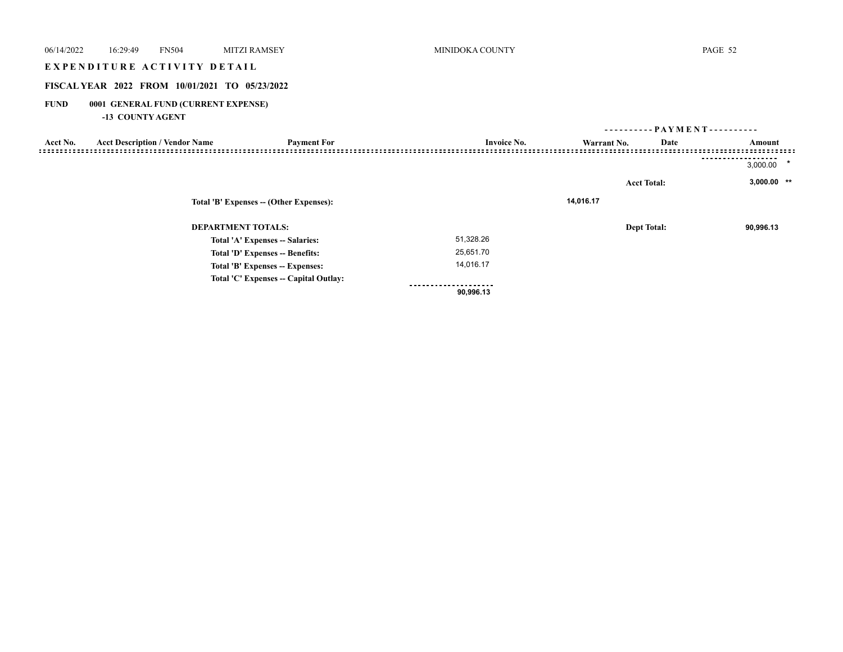| 06/14/2022<br>16:29:49<br><b>FN504</b>                                 | <b>MITZI RAMSEY</b>                     | MINIDOKA COUNTY     |                              | PAGE 52             |
|------------------------------------------------------------------------|-----------------------------------------|---------------------|------------------------------|---------------------|
| EXPENDITURE ACTIVITY DETAIL                                            |                                         |                     |                              |                     |
| FISCAL YEAR 2022 FROM 10/01/2021 TO 05/23/2022                         |                                         |                     |                              |                     |
| <b>FUND</b><br>0001 GENERAL FUND (CURRENT EXPENSE)<br>-13 COUNTY AGENT |                                         |                     |                              |                     |
|                                                                        |                                         |                     | ---------- PAYMENT---------- |                     |
| <b>Acct Description / Vendor Name</b><br>Acct No.                      | <b>Payment For</b>                      | <b>Invoice No.</b>  | Date<br>Warrant No.          | Amount              |
|                                                                        |                                         |                     |                              | $\star$<br>3,000.00 |
|                                                                        |                                         |                     | <b>Acct Total:</b>           | $3,000.00$ **       |
|                                                                        | Total 'B' Expenses -- (Other Expenses): |                     | 14,016.17                    |                     |
|                                                                        | <b>DEPARTMENT TOTALS:</b>               |                     | <b>Dept Total:</b>           | 90,996.13           |
|                                                                        | Total 'A' Expenses -- Salaries:         | 51,328.26           |                              |                     |
|                                                                        | Total 'D' Expenses -- Benefits:         | 25,651.70           |                              |                     |
|                                                                        | Total 'B' Expenses -- Expenses:         | 14,016.17           |                              |                     |
|                                                                        | Total 'C' Expenses -- Capital Outlay:   | ------------------- |                              |                     |

 **90,996.13**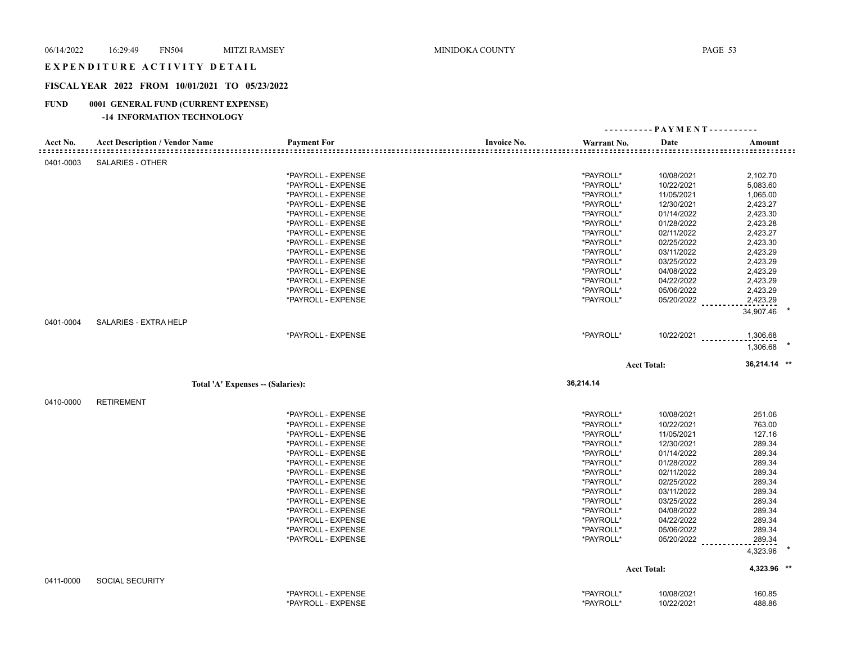#### EXPENDITURE ACTIVITY DETAIL

# **FISCAL YEAR 2022 FROM 10/01/2021 TO 05/23/2022**

# **FUND 0001 GENERAL FUND (CURRENT EXPENSE)**

# **-14 INFORMATION TECHNOLOGY**

|           |                                       |                                          |                                   | ---------- PAYMENT---------- |                      |  |  |
|-----------|---------------------------------------|------------------------------------------|-----------------------------------|------------------------------|----------------------|--|--|
| Acct No.  | <b>Acct Description / Vendor Name</b> | <b>Payment For</b>                       | <b>Invoice No.</b><br>Warrant No. | Date                         | Amount<br>:::::::::: |  |  |
| 0401-0003 | <b>SALARIES - OTHER</b>               |                                          |                                   |                              |                      |  |  |
|           |                                       | *PAYROLL - EXPENSE                       | *PAYROLL*                         | 10/08/2021                   | 2,102.70             |  |  |
|           |                                       | *PAYROLL - EXPENSE                       | *PAYROLL*                         | 10/22/2021                   | 5,083.60             |  |  |
|           |                                       | *PAYROLL - EXPENSE                       | *PAYROLL*                         | 11/05/2021                   | 1,065.00             |  |  |
|           |                                       | *PAYROLL - EXPENSE                       | *PAYROLL*                         | 12/30/2021                   | 2,423.27             |  |  |
|           |                                       | *PAYROLL - EXPENSE                       | *PAYROLL*                         | 01/14/2022                   | 2,423.30             |  |  |
|           |                                       | *PAYROLL - EXPENSE                       | *PAYROLL*                         | 01/28/2022                   | 2,423.28             |  |  |
|           |                                       | *PAYROLL - EXPENSE                       | *PAYROLL*                         | 02/11/2022                   | 2,423.27             |  |  |
|           |                                       | *PAYROLL - EXPENSE                       | *PAYROLL*                         | 02/25/2022                   | 2,423.30             |  |  |
|           |                                       | *PAYROLL - EXPENSE                       | *PAYROLL*                         | 03/11/2022                   | 2,423.29             |  |  |
|           |                                       | *PAYROLL - EXPENSE                       | *PAYROLL*                         | 03/25/2022                   | 2,423.29             |  |  |
|           |                                       |                                          |                                   |                              |                      |  |  |
|           |                                       | *PAYROLL - EXPENSE                       | *PAYROLL*                         | 04/08/2022                   | 2,423.29             |  |  |
|           |                                       | *PAYROLL - EXPENSE                       | *PAYROLL*                         | 04/22/2022                   | 2,423.29             |  |  |
|           |                                       | *PAYROLL - EXPENSE                       | *PAYROLL*                         | 05/06/2022                   | 2,423.29             |  |  |
|           |                                       | *PAYROLL - EXPENSE                       | *PAYROLL*                         | 05/20/2022                   | 2,423.29             |  |  |
|           |                                       |                                          |                                   |                              | 34,907.46            |  |  |
| 0401-0004 | SALARIES - EXTRA HELP                 |                                          |                                   |                              |                      |  |  |
|           |                                       | *PAYROLL - EXPENSE                       | *PAYROLL*                         | $10/22/2021$                 | 1,306.68             |  |  |
|           |                                       |                                          |                                   |                              | 1,306.68             |  |  |
|           |                                       |                                          |                                   | <b>Acct Total:</b>           | 36,214.14 **         |  |  |
|           |                                       |                                          |                                   |                              |                      |  |  |
|           |                                       |                                          |                                   |                              |                      |  |  |
|           | Total 'A' Expenses - (Salaries):      |                                          | 36,214.14                         |                              |                      |  |  |
|           |                                       |                                          |                                   |                              |                      |  |  |
| 0410-0000 | <b>RETIREMENT</b>                     |                                          |                                   |                              |                      |  |  |
|           |                                       | *PAYROLL - EXPENSE                       | *PAYROLL*                         | 10/08/2021                   | 251.06               |  |  |
|           |                                       | *PAYROLL - EXPENSE                       | *PAYROLL*                         | 10/22/2021                   | 763.00               |  |  |
|           |                                       | *PAYROLL - EXPENSE                       | *PAYROLL*                         | 11/05/2021                   | 127.16               |  |  |
|           |                                       | *PAYROLL - EXPENSE                       | *PAYROLL*                         | 12/30/2021                   | 289.34               |  |  |
|           |                                       | *PAYROLL - EXPENSE                       | *PAYROLL*                         | 01/14/2022                   | 289.34               |  |  |
|           |                                       | *PAYROLL - EXPENSE                       | *PAYROLL*                         | 01/28/2022                   | 289.34               |  |  |
|           |                                       | *PAYROLL - EXPENSE                       | *PAYROLL*                         | 02/11/2022                   | 289.34               |  |  |
|           |                                       | *PAYROLL - EXPENSE                       | *PAYROLL*                         | 02/25/2022                   | 289.34               |  |  |
|           |                                       | *PAYROLL - EXPENSE                       | *PAYROLL*                         | 03/11/2022                   | 289.34               |  |  |
|           |                                       | *PAYROLL - EXPENSE                       | *PAYROLL*                         | 03/25/2022                   | 289.34               |  |  |
|           |                                       | *PAYROLL - EXPENSE                       | *PAYROLL*                         | 04/08/2022                   | 289.34               |  |  |
|           |                                       | *PAYROLL - EXPENSE                       | *PAYROLL*                         | 04/22/2022                   | 289.34               |  |  |
|           |                                       | *PAYROLL - EXPENSE                       | *PAYROLL*                         | 05/06/2022                   | 289.34               |  |  |
|           |                                       | *PAYROLL - EXPENSE                       | *PAYROLL*                         | 05/20/2022                   |                      |  |  |
|           |                                       |                                          |                                   |                              | 289.34<br>4,323.96   |  |  |
|           |                                       |                                          |                                   |                              |                      |  |  |
|           |                                       |                                          |                                   | <b>Acct Total:</b>           | 4,323.96 **          |  |  |
| 0411-0000 | <b>SOCIAL SECURITY</b>                |                                          |                                   |                              |                      |  |  |
|           |                                       | *PAYROLL - EXPENSE<br>*PAYROLL - EXPENSE | *PAYROLL*<br>*PAYROLL*            | 10/08/2021<br>10/22/2021     | 160.85<br>488.86     |  |  |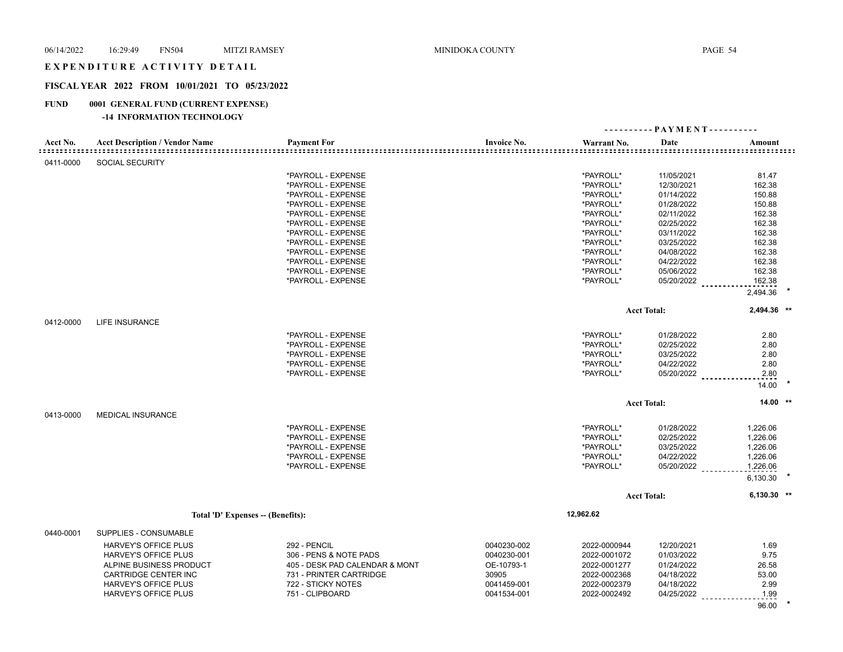#### EXPENDITURE ACTIVITY DETAIL

# **FISCAL YEAR 2022 FROM 10/01/2021 TO 05/23/2022**

# **FUND 0001 GENERAL FUND (CURRENT EXPENSE)**

# **-14 INFORMATION TECHNOLOGY**

| Acct No.  | <b>Acct Description / Vendor Name</b> | <b>Payment For</b>             | <b>Invoice No.</b> | Warrant No.  | Date<br>===================== | Amount        |  |
|-----------|---------------------------------------|--------------------------------|--------------------|--------------|-------------------------------|---------------|--|
| 0411-0000 | SOCIAL SECURITY                       |                                |                    |              |                               |               |  |
|           |                                       | *PAYROLL - EXPENSE             |                    | *PAYROLL*    | 11/05/2021                    | 81.47         |  |
|           |                                       | *PAYROLL - EXPENSE             |                    | *PAYROLL*    | 12/30/2021                    | 162.38        |  |
|           |                                       | *PAYROLL - EXPENSE             |                    | *PAYROLL*    | 01/14/2022                    | 150.88        |  |
|           |                                       | *PAYROLL - EXPENSE             |                    | *PAYROLL*    | 01/28/2022                    | 150.88        |  |
|           |                                       | *PAYROLL - EXPENSE             |                    | *PAYROLL*    | 02/11/2022                    | 162.38        |  |
|           |                                       | *PAYROLL - EXPENSE             |                    | *PAYROLL*    | 02/25/2022                    | 162.38        |  |
|           |                                       | *PAYROLL - EXPENSE             |                    | *PAYROLL*    | 03/11/2022                    | 162.38        |  |
|           |                                       | *PAYROLL - EXPENSE             |                    | *PAYROLL*    | 03/25/2022                    | 162.38        |  |
|           |                                       | *PAYROLL - EXPENSE             |                    | *PAYROLL*    | 04/08/2022                    | 162.38        |  |
|           |                                       | *PAYROLL - EXPENSE             |                    | *PAYROLL*    | 04/22/2022                    | 162.38        |  |
|           |                                       | *PAYROLL - EXPENSE             |                    | *PAYROLL*    | 05/06/2022                    | 162.38        |  |
|           |                                       | *PAYROLL - EXPENSE             |                    | *PAYROLL*    | 05/20/2022                    | 162.38        |  |
|           |                                       |                                |                    |              |                               | 2,494.36      |  |
|           |                                       |                                |                    |              | <b>Acct Total:</b>            | 2,494.36 **   |  |
| 0412-0000 | LIFE INSURANCE                        |                                |                    |              |                               |               |  |
|           |                                       | *PAYROLL - EXPENSE             |                    | *PAYROLL*    | 01/28/2022                    | 2.80          |  |
|           |                                       | *PAYROLL - EXPENSE             |                    | *PAYROLL*    | 02/25/2022                    | 2.80          |  |
|           |                                       | *PAYROLL - EXPENSE             |                    | *PAYROLL*    | 03/25/2022                    | 2.80          |  |
|           |                                       | *PAYROLL - EXPENSE             |                    | *PAYROLL*    | 04/22/2022                    | 2.80          |  |
|           |                                       | *PAYROLL - EXPENSE             |                    | *PAYROLL*    | 05/20/2022                    | 2.80<br>14.00 |  |
|           |                                       |                                |                    |              |                               |               |  |
|           |                                       |                                |                    |              | <b>Acct Total:</b>            | $14.00$ **    |  |
| 0413-0000 | <b>MEDICAL INSURANCE</b>              |                                |                    |              |                               |               |  |
|           |                                       | *PAYROLL - EXPENSE             |                    | *PAYROLL*    | 01/28/2022                    | 1,226.06      |  |
|           |                                       | *PAYROLL - EXPENSE             |                    | *PAYROLL*    | 02/25/2022                    | 1,226.06      |  |
|           |                                       | *PAYROLL - EXPENSE             |                    | *PAYROLL*    | 03/25/2022                    | 1,226.06      |  |
|           |                                       | *PAYROLL - EXPENSE             |                    | *PAYROLL*    | 04/22/2022                    | 1,226.06      |  |
|           |                                       | *PAYROLL - EXPENSE             |                    | *PAYROLL*    | 05/20/2022                    | 1,226.06      |  |
|           |                                       |                                |                    |              |                               | 6,130.30      |  |
|           |                                       |                                |                    |              | <b>Acct Total:</b>            | $6,130.30$ ** |  |
|           | Total 'D' Expenses -- (Benefits):     |                                |                    | 12,962.62    |                               |               |  |
| 0440-0001 | SUPPLIES - CONSUMABLE                 |                                |                    |              |                               |               |  |
|           | <b>HARVEY'S OFFICE PLUS</b>           | 292 - PENCIL                   | 0040230-002        | 2022-0000944 | 12/20/2021                    | 1.69          |  |
|           | <b>HARVEY'S OFFICE PLUS</b>           | 306 - PENS & NOTE PADS         | 0040230-001        | 2022-0001072 | 01/03/2022                    | 9.75          |  |
|           | ALPINE BUSINESS PRODUCT               | 405 - DESK PAD CALENDAR & MONT | OE-10793-1         | 2022-0001277 | 01/24/2022                    | 26.58         |  |
|           | <b>CARTRIDGE CENTER INC</b>           | 731 - PRINTER CARTRIDGE        | 30905              | 2022-0002368 | 04/18/2022                    | 53.00         |  |
|           | HARVEY'S OFFICE PLUS                  | 722 - STICKY NOTES             | 0041459-001        | 2022-0002379 | 04/18/2022                    | 2.99          |  |
|           | <b>HARVEY'S OFFICE PLUS</b>           | 751 - CLIPBOARD                | 0041534-001        | 2022-0002492 | 04/25/2022                    | 1.99          |  |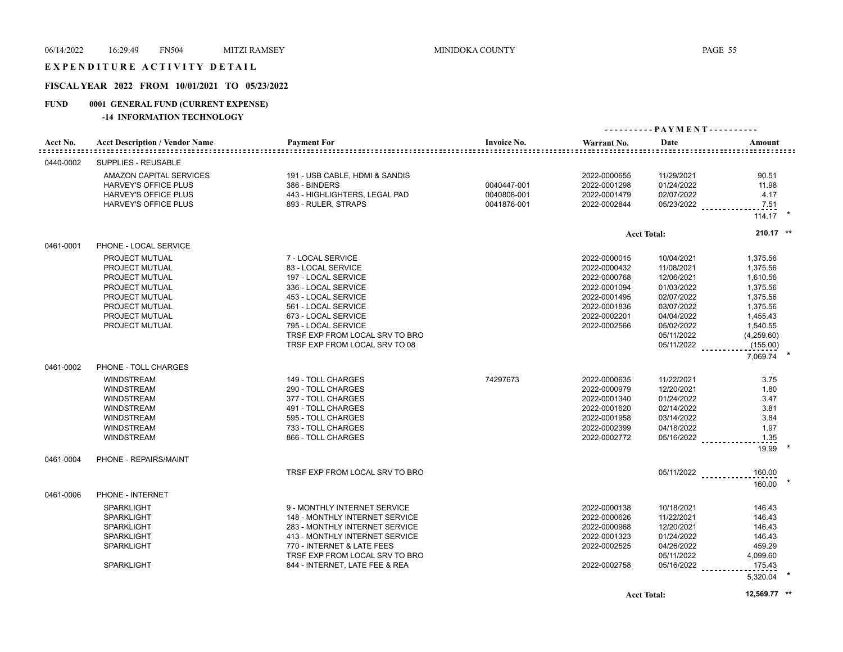# EXPENDITURE ACTIVITY DETAIL

# **FISCAL YEAR 2022 FROM 10/01/2021 TO 05/23/2022**

# **FUND 0001 GENERAL FUND (CURRENT EXPENSE)**

#### **-14 INFORMATION TECHNOLOGY**

| Acct No.  | <b>Acct Description / Vendor Name</b>                                                                                                               | <b>Payment For</b>                                                                                                                                                                                                                                   | <b>Invoice No.</b>                        | Warrant No.                                                                                                                  | Date                                                                                                                                     | Amount                                                                                                                             |  |
|-----------|-----------------------------------------------------------------------------------------------------------------------------------------------------|------------------------------------------------------------------------------------------------------------------------------------------------------------------------------------------------------------------------------------------------------|-------------------------------------------|------------------------------------------------------------------------------------------------------------------------------|------------------------------------------------------------------------------------------------------------------------------------------|------------------------------------------------------------------------------------------------------------------------------------|--|
| 0440-0002 | <b>SUPPLIES - REUSABLE</b>                                                                                                                          |                                                                                                                                                                                                                                                      |                                           |                                                                                                                              |                                                                                                                                          |                                                                                                                                    |  |
|           | AMAZON CAPITAL SERVICES<br><b>HARVEY'S OFFICE PLUS</b><br>HARVEY'S OFFICE PLUS<br>HARVEY'S OFFICE PLUS                                              | 191 - USB CABLE, HDMI & SANDIS<br>386 - BINDERS<br>443 - HIGHLIGHTERS, LEGAL PAD<br>893 - RULER, STRAPS                                                                                                                                              | 0040447-001<br>0040808-001<br>0041876-001 | 2022-0000655<br>2022-0001298<br>2022-0001479<br>2022-0002844                                                                 | 11/29/2021<br>01/24/2022<br>02/07/2022<br>05/23/2022                                                                                     | 90.51<br>11.98<br>4.17<br>7.51<br>$114.17$ *                                                                                       |  |
|           |                                                                                                                                                     |                                                                                                                                                                                                                                                      |                                           |                                                                                                                              |                                                                                                                                          | 210.17 **                                                                                                                          |  |
| 0461-0001 | PHONE - LOCAL SERVICE                                                                                                                               |                                                                                                                                                                                                                                                      |                                           |                                                                                                                              | <b>Acct Total:</b>                                                                                                                       |                                                                                                                                    |  |
|           | <b>PROJECT MUTUAL</b><br>PROJECT MUTUAL<br>PROJECT MUTUAL<br>PROJECT MUTUAL<br>PROJECT MUTUAL<br>PROJECT MUTUAL<br>PROJECT MUTUAL<br>PROJECT MUTUAL | 7 - LOCAL SERVICE<br>83 - LOCAL SERVICE<br>197 - LOCAL SERVICE<br>336 - LOCAL SERVICE<br>453 - LOCAL SERVICE<br>561 - LOCAL SERVICE<br>673 - LOCAL SERVICE<br>795 - LOCAL SERVICE<br>TRSF EXP FROM LOCAL SRV TO BRO<br>TRSF EXP FROM LOCAL SRV TO 08 |                                           | 2022-0000015<br>2022-0000432<br>2022-0000768<br>2022-0001094<br>2022-0001495<br>2022-0001836<br>2022-0002201<br>2022-0002566 | 10/04/2021<br>11/08/2021<br>12/06/2021<br>01/03/2022<br>02/07/2022<br>03/07/2022<br>04/04/2022<br>05/02/2022<br>05/11/2022<br>05/11/2022 | 1,375.56<br>1,375.56<br>1,610.56<br>1,375.56<br>1,375.56<br>1,375.56<br>1,455.43<br>1,540.55<br>(4,259.60)<br>(155.00)<br>7,069.74 |  |
| 0461-0002 | PHONE - TOLL CHARGES                                                                                                                                |                                                                                                                                                                                                                                                      |                                           |                                                                                                                              |                                                                                                                                          |                                                                                                                                    |  |
|           | <b>WINDSTREAM</b><br><b>WINDSTREAM</b><br><b>WINDSTREAM</b><br><b>WINDSTREAM</b><br><b>WINDSTREAM</b><br><b>WINDSTREAM</b><br><b>WINDSTREAM</b>     | 149 - TOLL CHARGES<br>290 - TOLL CHARGES<br>377 - TOLL CHARGES<br>491 - TOLL CHARGES<br>595 - TOLL CHARGES<br>733 - TOLL CHARGES<br>866 - TOLL CHARGES                                                                                               | 74297673                                  | 2022-0000635<br>2022-0000979<br>2022-0001340<br>2022-0001620<br>2022-0001958<br>2022-0002399<br>2022-0002772                 | 11/22/2021<br>12/20/2021<br>01/24/2022<br>02/14/2022<br>03/14/2022<br>04/18/2022<br>05/16/2022                                           | 3.75<br>1.80<br>3.47<br>3.81<br>3.84<br>1.97<br>1.35<br>19.99                                                                      |  |
| 0461-0004 | PHONE - REPAIRS/MAINT                                                                                                                               |                                                                                                                                                                                                                                                      |                                           |                                                                                                                              |                                                                                                                                          |                                                                                                                                    |  |
|           |                                                                                                                                                     | TRSF EXP FROM LOCAL SRV TO BRO                                                                                                                                                                                                                       |                                           |                                                                                                                              | $05/11/2022$                                                                                                                             | 160.00<br>160.00                                                                                                                   |  |
| 0461-0006 | PHONE - INTERNET<br><b>SPARKLIGHT</b><br><b>SPARKLIGHT</b><br><b>SPARKLIGHT</b><br><b>SPARKLIGHT</b><br><b>SPARKLIGHT</b><br><b>SPARKLIGHT</b>      | 9 - MONTHLY INTERNET SERVICE<br>148 - MONTHLY INTERNET SERVICE<br>283 - MONTHLY INTERNET SERVICE<br>413 - MONTHLY INTERNET SERVICE<br>770 - INTERNET & LATE FEES<br>TRSF EXP FROM LOCAL SRV TO BRO<br>844 - INTERNET, LATE FEE & REA                 |                                           | 2022-0000138<br>2022-0000626<br>2022-0000968<br>2022-0001323<br>2022-0002525<br>2022-0002758                                 | 10/18/2021<br>11/22/2021<br>12/20/2021<br>01/24/2022<br>04/26/2022<br>05/11/2022<br>$05/16/2022$                                         | 146.43<br>146.43<br>146.43<br>146.43<br>459.29<br>4,099.60<br>175.43<br>5,320.04                                                   |  |

**Acct Total: 12,569.77 \*\***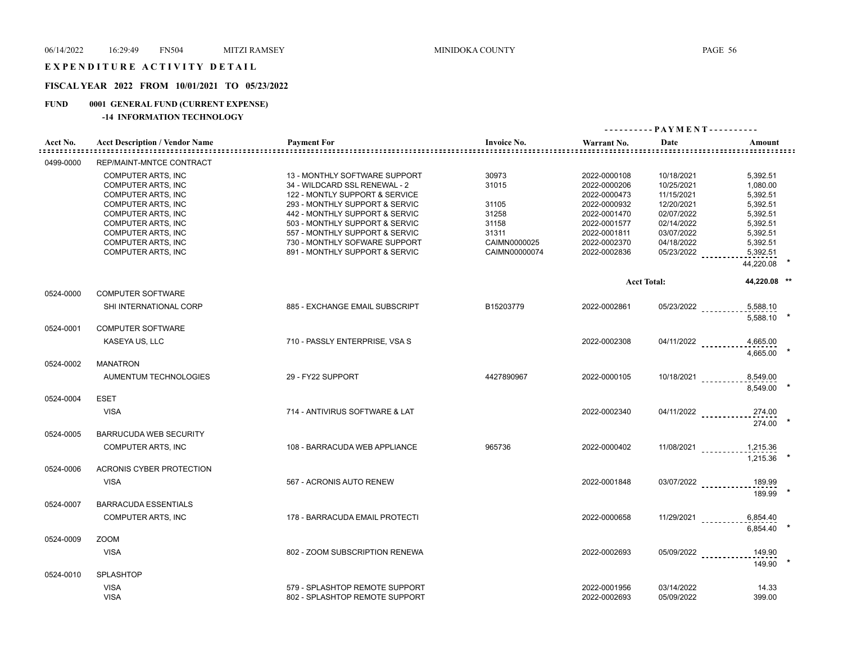#### EXPENDITURE ACTIVITY DETAIL

# **FISCAL YEAR 2022 FROM 10/01/2021 TO 05/23/2022**

# **FUND 0001 GENERAL FUND (CURRENT EXPENSE)**

# **-14 INFORMATION TECHNOLOGY**

|           |                                       |                                |                    | ---------- PAYMENT---------- |                      |                                |
|-----------|---------------------------------------|--------------------------------|--------------------|------------------------------|----------------------|--------------------------------|
| Acct No.  | <b>Acct Description / Vendor Name</b> | <b>Payment For</b>             | <b>Invoice No.</b> | Warrant No.                  | Date                 | Amount                         |
| 0499-0000 | <b>REP/MAINT-MNTCE CONTRACT</b>       |                                |                    |                              |                      |                                |
|           | COMPUTER ARTS, INC                    | 13 - MONTHLY SOFTWARE SUPPORT  | 30973              | 2022-0000108                 | 10/18/2021           | 5,392.51                       |
|           | <b>COMPUTER ARTS, INC</b>             | 34 - WILDCARD SSL RENEWAL - 2  | 31015              | 2022-0000206                 | 10/25/2021           | 1,080.00                       |
|           | <b>COMPUTER ARTS, INC</b>             | 122 - MONTLY SUPPORT & SERVICE |                    | 2022-0000473                 | 11/15/2021           | 5,392.51                       |
|           | <b>COMPUTER ARTS. INC</b>             | 293 - MONTHLY SUPPORT & SERVIC | 31105              | 2022-0000932                 | 12/20/2021           | 5,392.51                       |
|           | COMPUTER ARTS, INC                    | 442 - MONTHLY SUPPORT & SERVIC | 31258              | 2022-0001470                 | 02/07/2022           | 5,392.51                       |
|           | <b>COMPUTER ARTS, INC</b>             | 503 - MONTHLY SUPPORT & SERVIC | 31158              | 2022-0001577                 | 02/14/2022           | 5,392.51                       |
|           | COMPUTER ARTS, INC                    | 557 - MONTHLY SUPPORT & SERVIC | 31311              | 2022-0001811                 | 03/07/2022           | 5,392.51                       |
|           | <b>COMPUTER ARTS. INC</b>             | 730 - MONTHLY SOFWARE SUPPORT  | CAIMN0000025       | 2022-0002370                 | 04/18/2022           | 5,392.51                       |
|           | <b>COMPUTER ARTS, INC</b>             | 891 - MONTHLY SUPPORT & SERVIC | CAIMN00000074      | 2022-0002836                 | 05/23/2022           | 5,392.51                       |
|           |                                       |                                |                    |                              |                      | 44,220.08                      |
|           |                                       |                                |                    |                              | <b>Acct Total:</b>   | 44,220.08 **                   |
| 0524-0000 | <b>COMPUTER SOFTWARE</b>              |                                |                    |                              |                      |                                |
|           | SHI INTERNATIONAL CORP                | 885 - EXCHANGE EMAIL SUBSCRIPT | B15203779          | 2022-0002861                 | 05/23/2022 _________ | 5,588.10<br>5.588.10           |
| 0524-0001 | <b>COMPUTER SOFTWARE</b>              |                                |                    |                              |                      |                                |
|           | KASEYA US, LLC                        | 710 - PASSLY ENTERPRISE, VSA S |                    | 2022-0002308                 | 04/11/2022           | 4,665.00<br>4.665.00           |
| 0524-0002 | <b>MANATRON</b>                       |                                |                    |                              |                      |                                |
|           | AUMENTUM TECHNOLOGIES                 | 29 - FY22 SUPPORT              | 4427890967         | 2022-0000105                 | $10/18/2021$         | 8,549.00<br>8.549.00           |
| 0524-0004 | <b>ESET</b>                           |                                |                    |                              |                      |                                |
|           | <b>VISA</b>                           | 714 - ANTIVIRUS SOFTWARE & LAT |                    | 2022-0002340                 | $04/11/2022$         | 274.00                         |
| 0524-0005 | <b>BARRUCUDA WEB SECURITY</b>         |                                |                    |                              |                      | 274.00                         |
|           |                                       |                                |                    |                              |                      |                                |
|           | <b>COMPUTER ARTS, INC</b>             | 108 - BARRACUDA WEB APPLIANCE  | 965736             | 2022-0000402                 |                      | 11/08/2021 ___________1,215.36 |
| 0524-0006 | <b>ACRONIS CYBER PROTECTION</b>       |                                |                    |                              |                      | 1.215.36                       |
|           |                                       |                                |                    |                              |                      |                                |
|           | <b>VISA</b>                           | 567 - ACRONIS AUTO RENEW       |                    | 2022-0001848                 | $03/07/2022$         | 189.99<br>189.99               |
| 0524-0007 | <b>BARRACUDA ESSENTIALS</b>           |                                |                    |                              |                      |                                |
|           | <b>COMPUTER ARTS, INC</b>             | 178 - BARRACUDA EMAIL PROTECTI |                    | 2022-0000658                 | $11/29/2021$         | 6,854.40                       |
|           |                                       |                                |                    |                              |                      | 6,854.40                       |
| 0524-0009 | <b>ZOOM</b>                           |                                |                    |                              |                      |                                |
|           | <b>VISA</b>                           | 802 - ZOOM SUBSCRIPTION RENEWA |                    | 2022-0002693                 | 05/09/2022           | 149.90<br>149.90               |
| 0524-0010 | <b>SPLASHTOP</b>                      |                                |                    |                              |                      |                                |
|           | <b>VISA</b>                           | 579 - SPLASHTOP REMOTE SUPPORT |                    | 2022-0001956                 | 03/14/2022           | 14.33                          |
|           | <b>VISA</b>                           | 802 - SPLASHTOP REMOTE SUPPORT |                    | 2022-0002693                 | 05/09/2022           | 399.00                         |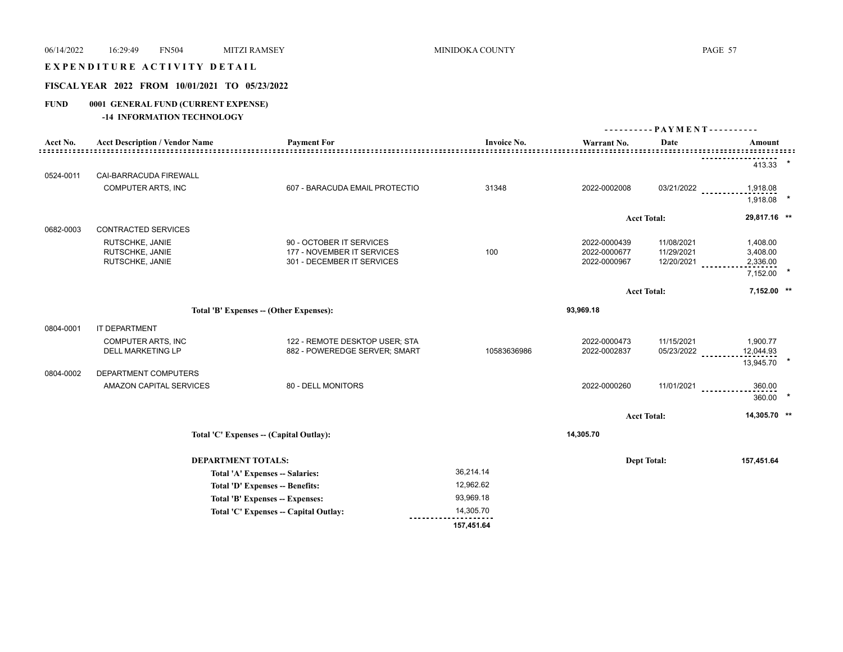#### EXPENDITURE ACTIVITY DETAIL

# **FISCAL YEAR 2022 FROM 10/01/2021 TO 05/23/2022**

# **FUND 0001 GENERAL FUND (CURRENT EXPENSE)**

# **-14 INFORMATION TECHNOLOGY**

|                                         |                                       |                                         |                    | ---------- PAYMENT---------- |                    |                     |  |
|-----------------------------------------|---------------------------------------|-----------------------------------------|--------------------|------------------------------|--------------------|---------------------|--|
| Acct No.                                | <b>Acct Description / Vendor Name</b> | <b>Payment For</b>                      | <b>Invoice No.</b> | Warrant No.                  | Date               | Amount              |  |
|                                         |                                       |                                         |                    |                              |                    | 413.33              |  |
| 0524-0011                               | CAI-BARRACUDA FIREWALL                |                                         |                    |                              |                    |                     |  |
|                                         | <b>COMPUTER ARTS, INC</b>             | 607 - BARACUDA EMAIL PROTECTIO          | 31348              | 2022-0002008                 | 03/21/2022         | 1,918.08            |  |
|                                         |                                       |                                         |                    |                              |                    | 1,918.08            |  |
|                                         |                                       |                                         |                    |                              | <b>Acct Total:</b> | 29,817.16 **        |  |
| 0682-0003                               | <b>CONTRACTED SERVICES</b>            |                                         |                    |                              |                    |                     |  |
|                                         | RUTSCHKE, JANIE                       | 90 - OCTOBER IT SERVICES                |                    | 2022-0000439                 | 11/08/2021         | 1,408.00            |  |
|                                         | RUTSCHKE, JANIE                       | 177 - NOVEMBER IT SERVICES              | 100                | 2022-0000677                 | 11/29/2021         | 3,408.00            |  |
|                                         | RUTSCHKE, JANIE                       | 301 - DECEMBER IT SERVICES              |                    | 2022-0000967                 | 12/20/2021         | 2,336.00            |  |
|                                         |                                       |                                         |                    |                              |                    | $\star$<br>7,152.00 |  |
|                                         |                                       |                                         |                    |                              | <b>Acct Total:</b> | 7,152.00 **         |  |
| Total 'B' Expenses -- (Other Expenses): |                                       |                                         |                    | 93,969.18                    |                    |                     |  |
| 0804-0001                               | IT DEPARTMENT                         |                                         |                    |                              |                    |                     |  |
|                                         | <b>COMPUTER ARTS, INC</b>             | 122 - REMOTE DESKTOP USER; STA          |                    | 2022-0000473                 | 11/15/2021         | 1,900.77            |  |
|                                         | <b>DELL MARKETING LP</b>              | 882 - POWEREDGE SERVER; SMART           | 10583636986        | 2022-0002837                 | 05/23/2022         | 12,044.93           |  |
|                                         |                                       |                                         |                    |                              |                    | 13,945.70           |  |
| 0804-0002                               | DEPARTMENT COMPUTERS                  |                                         |                    |                              |                    |                     |  |
|                                         | AMAZON CAPITAL SERVICES               | 80 - DELL MONITORS                      |                    | 2022-0000260                 | 11/01/2021         | 360.00              |  |
|                                         |                                       |                                         |                    |                              |                    | 360.00              |  |
|                                         |                                       |                                         |                    |                              | <b>Acct Total:</b> | 14,305.70 **        |  |
|                                         |                                       | Total 'C' Expenses -- (Capital Outlay): |                    | 14,305.70                    |                    |                     |  |
|                                         |                                       |                                         |                    |                              |                    |                     |  |
|                                         | <b>DEPARTMENT TOTALS:</b>             |                                         |                    |                              | <b>Dept Total:</b> | 157,451.64          |  |
|                                         |                                       | Total 'A' Expenses -- Salaries:         | 36,214.14          |                              |                    |                     |  |
|                                         |                                       | Total 'D' Expenses -- Benefits:         | 12,962.62          |                              |                    |                     |  |
|                                         |                                       | Total 'B' Expenses -- Expenses:         | 93,969.18          |                              |                    |                     |  |
|                                         |                                       | Total 'C' Expenses - Capital Outlay:    | 14,305.70          |                              |                    |                     |  |
|                                         |                                       |                                         | 157,451.64         |                              |                    |                     |  |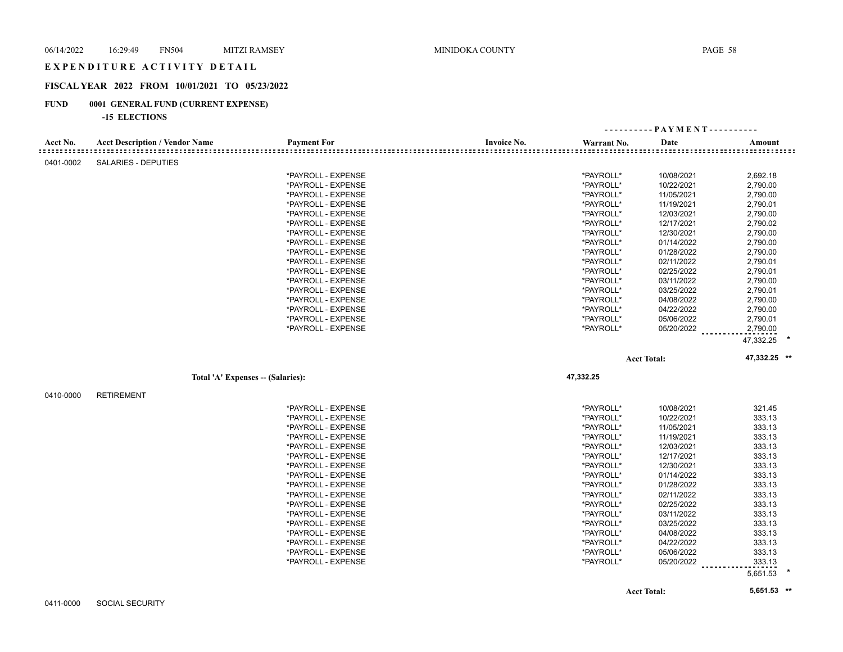#### EXPENDITURE ACTIVITY DETAIL

# **FISCAL YEAR 2022 FROM 10/01/2021 TO 05/23/2022**

# **FUND 0001 GENERAL FUND (CURRENT EXPENSE)**

#### **-15 ELECTIONS**

|                                     |                                       |                    |                    |             | ---------- PAYMENT---------- |              |
|-------------------------------------|---------------------------------------|--------------------|--------------------|-------------|------------------------------|--------------|
| Acct No.<br>= = = = = = = = = = = = | <b>Acct Description / Vendor Name</b> | <b>Payment For</b> | <b>Invoice No.</b> | Warrant No. | Date                         | Amount       |
| 0401-0002                           | <b>SALARIES - DEPUTIES</b>            |                    |                    |             |                              |              |
|                                     |                                       | *PAYROLL - EXPENSE |                    | *PAYROLL*   | 10/08/2021                   | 2,692.18     |
|                                     |                                       | *PAYROLL - EXPENSE |                    | *PAYROLL*   | 10/22/2021                   | 2,790.00     |
|                                     |                                       | *PAYROLL - EXPENSE |                    | *PAYROLL*   | 11/05/2021                   | 2,790.00     |
|                                     |                                       | *PAYROLL - EXPENSE |                    | *PAYROLL*   | 11/19/2021                   | 2,790.01     |
|                                     |                                       | *PAYROLL - EXPENSE |                    | *PAYROLL*   | 12/03/2021                   | 2,790.00     |
|                                     |                                       | *PAYROLL - EXPENSE |                    | *PAYROLL*   | 12/17/2021                   | 2,790.02     |
|                                     |                                       | *PAYROLL - EXPENSE |                    | *PAYROLL*   | 12/30/2021                   | 2,790.00     |
|                                     |                                       | *PAYROLL - EXPENSE |                    | *PAYROLL*   | 01/14/2022                   | 2,790.00     |
|                                     |                                       | *PAYROLL - EXPENSE |                    | *PAYROLL*   | 01/28/2022                   | 2,790.00     |
|                                     |                                       | *PAYROLL - EXPENSE |                    | *PAYROLL*   | 02/11/2022                   | 2,790.01     |
|                                     |                                       | *PAYROLL - EXPENSE |                    | *PAYROLL*   | 02/25/2022                   | 2,790.01     |
|                                     |                                       | *PAYROLL - EXPENSE |                    | *PAYROLL*   | 03/11/2022                   | 2,790.00     |
|                                     |                                       | *PAYROLL - EXPENSE |                    | *PAYROLL*   | 03/25/2022                   | 2,790.01     |
|                                     |                                       | *PAYROLL - EXPENSE |                    | *PAYROLL*   | 04/08/2022                   | 2,790.00     |
|                                     |                                       | *PAYROLL - EXPENSE |                    | *PAYROLL*   | 04/22/2022                   | 2,790.00     |
|                                     |                                       | *PAYROLL - EXPENSE |                    | *PAYROLL*   | 05/06/2022                   | 2,790.01     |
|                                     |                                       | *PAYROLL - EXPENSE |                    | *PAYROLL*   | 05/20/2022                   | 2,790.00     |
|                                     |                                       |                    |                    |             |                              | 47,332.25    |
|                                     |                                       |                    |                    |             | <b>Acct Total:</b>           | 47,332.25 ** |
|                                     | Total 'A' Expenses - (Salaries):      |                    |                    | 47,332.25   |                              |              |
| 0410-0000                           | <b>RETIREMENT</b>                     |                    |                    |             |                              |              |
|                                     |                                       | *PAYROLL - EXPENSE |                    | *PAYROLL*   | 10/08/2021                   | 321.45       |
|                                     |                                       | *PAYROLL - EXPENSE |                    | *PAYROLL*   | 10/22/2021                   | 333.13       |
|                                     |                                       | *PAYROLL - EXPENSE |                    | *PAYROLL*   | 11/05/2021                   | 333.13       |
|                                     |                                       | *PAYROLL - EXPENSE |                    | *PAYROLL*   | 11/19/2021                   | 333.13       |
|                                     |                                       | *PAYROLL - EXPENSE |                    | *PAYROLL*   | 12/03/2021                   | 333.13       |
|                                     |                                       | *PAYROLL - EXPENSE |                    | *PAYROLL*   | 12/17/2021                   | 333.13       |
|                                     |                                       | *PAYROLL - EXPENSE |                    | *PAYROLL*   | 12/30/2021                   | 333.13       |
|                                     |                                       | *PAYROLL - EXPENSE |                    | *PAYROLL*   | 01/14/2022                   | 333.13       |
|                                     |                                       | *PAYROLL - EXPENSE |                    | *PAYROLL*   | 01/28/2022                   | 333.13       |
|                                     |                                       | *PAYROLL - EXPENSE |                    | *PAYROLL*   | 02/11/2022                   | 333.13       |
|                                     |                                       | *PAYROLL - EXPENSE |                    | *PAYROLL*   | 02/25/2022                   | 333.13       |
|                                     |                                       | *PAYROLL - EXPENSE |                    | *PAYROLL*   | 03/11/2022                   | 333.13       |
|                                     |                                       | *PAYROLL - EXPENSE |                    | *PAYROLL*   | 03/25/2022                   | 333.13       |
|                                     |                                       | *PAYROLL - EXPENSE |                    | *PAYROLL*   | 04/08/2022                   | 333.13       |
|                                     |                                       | *PAYROLL - EXPENSE |                    | *PAYROLL*   | 04/22/2022                   | 333.13       |
|                                     |                                       | *PAYROLL - EXPENSE |                    | *PAYROLL*   | 05/06/2022                   | 333.13       |
|                                     |                                       | *PAYROLL - EXPENSE |                    | *PAYROLL*   | 05/20/2022                   | 333.13       |
|                                     |                                       |                    |                    |             |                              | 5,651.53     |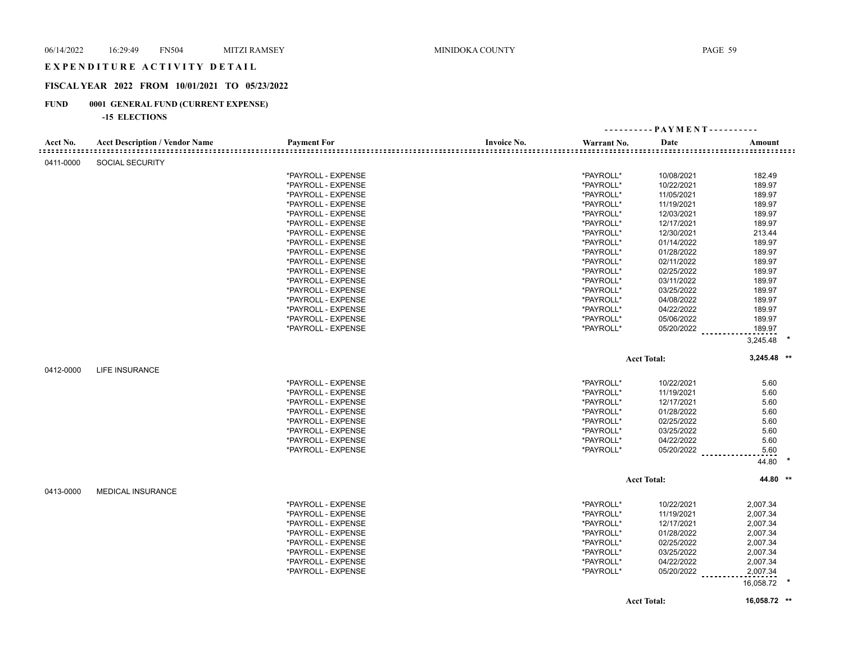#### EXPENDITURE ACTIVITY DETAIL

# **FISCAL YEAR 2022 FROM 10/01/2021 TO 05/23/2022**

# **FUND 0001 GENERAL FUND (CURRENT EXPENSE)**

#### **-15 ELECTIONS**

|           |                                       |                    | ---------- PAYMENT---------- |             |                        |               |  |
|-----------|---------------------------------------|--------------------|------------------------------|-------------|------------------------|---------------|--|
| Acct No.  | <b>Acct Description / Vendor Name</b> | <b>Payment For</b> | <b>Invoice No.</b>           | Warrant No. | Date                   | Amount        |  |
| 0411-0000 | <b>SOCIAL SECURITY</b>                |                    |                              |             |                        |               |  |
|           |                                       | *PAYROLL - EXPENSE |                              | *PAYROLL*   | 10/08/2021             | 182.49        |  |
|           |                                       | *PAYROLL - EXPENSE |                              | *PAYROLL*   | 10/22/2021             | 189.97        |  |
|           |                                       | *PAYROLL - EXPENSE |                              | *PAYROLL*   | 11/05/2021             | 189.97        |  |
|           |                                       | *PAYROLL - EXPENSE |                              | *PAYROLL*   | 11/19/2021             | 189.97        |  |
|           |                                       | *PAYROLL - EXPENSE |                              | *PAYROLL*   | 12/03/2021             | 189.97        |  |
|           |                                       | *PAYROLL - EXPENSE |                              | *PAYROLL*   | 12/17/2021             | 189.97        |  |
|           |                                       | *PAYROLL - EXPENSE |                              | *PAYROLL*   | 12/30/2021             | 213.44        |  |
|           |                                       | *PAYROLL - EXPENSE |                              | *PAYROLL*   | 01/14/2022             | 189.97        |  |
|           |                                       | *PAYROLL - EXPENSE |                              | *PAYROLL*   | 01/28/2022             | 189.97        |  |
|           |                                       | *PAYROLL - EXPENSE |                              | *PAYROLL*   | 02/11/2022             | 189.97        |  |
|           |                                       | *PAYROLL - EXPENSE |                              | *PAYROLL*   | 02/25/2022             | 189.97        |  |
|           |                                       | *PAYROLL - EXPENSE |                              | *PAYROLL*   | 03/11/2022             | 189.97        |  |
|           |                                       | *PAYROLL - EXPENSE |                              | *PAYROLL*   | 03/25/2022             | 189.97        |  |
|           |                                       | *PAYROLL - EXPENSE |                              | *PAYROLL*   | 04/08/2022             | 189.97        |  |
|           |                                       | *PAYROLL - EXPENSE |                              | *PAYROLL*   | 04/22/2022             | 189.97        |  |
|           |                                       | *PAYROLL - EXPENSE |                              |             |                        | 189.97        |  |
|           |                                       |                    |                              | *PAYROLL*   | 05/06/2022             |               |  |
|           |                                       | *PAYROLL - EXPENSE |                              | *PAYROLL*   | $05/20/2022$ _________ | 189.97        |  |
|           |                                       |                    |                              |             |                        | 3,245.48      |  |
|           |                                       |                    |                              |             | <b>Acct Total:</b>     | $3,245.48$ ** |  |
| 0412-0000 | <b>LIFE INSURANCE</b>                 |                    |                              |             |                        |               |  |
|           |                                       | *PAYROLL - EXPENSE |                              | *PAYROLL*   | 10/22/2021             | 5.60          |  |
|           |                                       | *PAYROLL - EXPENSE |                              | *PAYROLL*   | 11/19/2021             | 5.60          |  |
|           |                                       | *PAYROLL - EXPENSE |                              | *PAYROLL*   | 12/17/2021             | 5.60          |  |
|           |                                       | *PAYROLL - EXPENSE |                              | *PAYROLL*   | 01/28/2022             | 5.60          |  |
|           |                                       | *PAYROLL - EXPENSE |                              | *PAYROLL*   | 02/25/2022             | 5.60          |  |
|           |                                       | *PAYROLL - EXPENSE |                              | *PAYROLL*   | 03/25/2022             | 5.60          |  |
|           |                                       | *PAYROLL - EXPENSE |                              | *PAYROLL*   | 04/22/2022             | 5.60          |  |
|           |                                       | *PAYROLL - EXPENSE |                              | *PAYROLL*   |                        |               |  |
|           |                                       |                    |                              |             | 05/20/2022 _________   | 5.60          |  |
|           |                                       |                    |                              |             |                        | 44.80         |  |
|           |                                       |                    |                              |             | <b>Acct Total:</b>     | 44.80 **      |  |
| 0413-0000 | <b>MEDICAL INSURANCE</b>              |                    |                              |             |                        |               |  |
|           |                                       | *PAYROLL - EXPENSE |                              | *PAYROLL*   | 10/22/2021             | 2,007.34      |  |
|           |                                       | *PAYROLL - EXPENSE |                              | *PAYROLL*   | 11/19/2021             | 2,007.34      |  |
|           |                                       | *PAYROLL - EXPENSE |                              | *PAYROLL*   | 12/17/2021             | 2,007.34      |  |
|           |                                       | *PAYROLL - EXPENSE |                              | *PAYROLL*   | 01/28/2022             | 2,007.34      |  |
|           |                                       | *PAYROLL - EXPENSE |                              | *PAYROLL*   | 02/25/2022             | 2,007.34      |  |
|           |                                       | *PAYROLL - EXPENSE |                              | *PAYROLL*   | 03/25/2022             | 2,007.34      |  |
|           |                                       | *PAYROLL - EXPENSE |                              | *PAYROLL*   | 04/22/2022             | 2,007.34      |  |
|           |                                       | *PAYROLL - EXPENSE |                              | *PAYROLL*   |                        | 2,007.34      |  |
|           |                                       |                    |                              |             | 05/20/2022             |               |  |
|           |                                       |                    |                              |             |                        | 16,058.72     |  |
|           |                                       |                    |                              |             | <b>Acct Total:</b>     | 16,058.72 **  |  |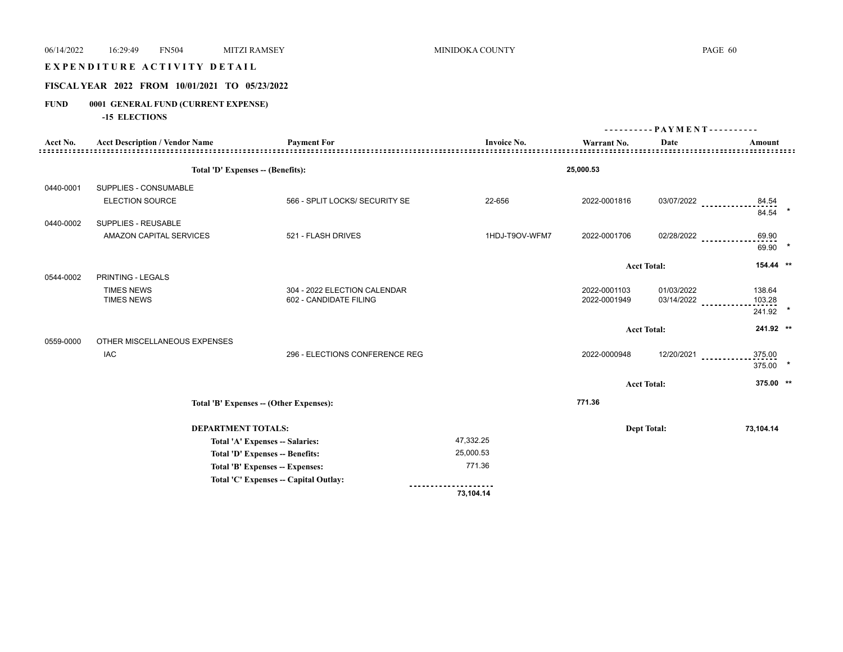# E X P E N D I T U R E A C T I V I T Y D E T A I L

# **FISCAL YEAR 2022 FROM 10/01/2021 TO 05/23/2022**

# **FUND 0001 GENERAL FUND (CURRENT EXPENSE)**

**-15 ELECTIONS**

|           |                                       |                                         |                    | $PAYMENT$ ---------- |                    |                             |  |
|-----------|---------------------------------------|-----------------------------------------|--------------------|----------------------|--------------------|-----------------------------|--|
| Acct No.  | <b>Acct Description / Vendor Name</b> | <b>Payment For</b>                      | <b>Invoice No.</b> | Warrant No.          | Date               | Amount                      |  |
|           | Total 'D' Expenses -- (Benefits):     |                                         |                    | 25,000.53            |                    |                             |  |
| 0440-0001 | SUPPLIES - CONSUMABLE                 |                                         |                    |                      |                    |                             |  |
|           | <b>ELECTION SOURCE</b>                | 566 - SPLIT LOCKS/ SECURITY SE          | 22-656             | 2022-0001816         | 03/07/2022         | 84.54<br>84.54              |  |
| 0440-0002 | SUPPLIES - REUSABLE                   |                                         |                    |                      |                    |                             |  |
|           | AMAZON CAPITAL SERVICES               | 521 - FLASH DRIVES                      | 1HDJ-T9OV-WFM7     | 2022-0001706         | 02/28/2022         | 69.90<br>69.90              |  |
|           |                                       |                                         |                    |                      | <b>Acct Total:</b> | $154.44$ **                 |  |
| 0544-0002 | PRINTING - LEGALS                     |                                         |                    |                      |                    |                             |  |
|           | <b>TIMES NEWS</b>                     | 304 - 2022 ELECTION CALENDAR            |                    | 2022-0001103         | 01/03/2022         | 138.64                      |  |
|           | <b>TIMES NEWS</b>                     | 602 - CANDIDATE FILING                  |                    | 2022-0001949         | 03/14/2022         | 103.28<br>$\star$<br>241.92 |  |
|           |                                       |                                         |                    |                      | <b>Acct Total:</b> | 241.92 **                   |  |
| 0559-0000 | OTHER MISCELLANEOUS EXPENSES          |                                         |                    |                      |                    |                             |  |
|           | <b>IAC</b>                            | 296 - ELECTIONS CONFERENCE REG          |                    | 2022-0000948         | 12/20/2021         | 375.00<br>375.00            |  |
|           |                                       |                                         |                    |                      | <b>Acct Total:</b> | 375.00 **                   |  |
|           |                                       | Total 'B' Expenses -- (Other Expenses): |                    | 771.36               |                    |                             |  |
|           | <b>DEPARTMENT TOTALS:</b>             |                                         |                    |                      | <b>Dept Total:</b> | 73,104.14                   |  |
|           |                                       | Total 'A' Expenses -- Salaries:         | 47,332.25          |                      |                    |                             |  |
|           |                                       | <b>Total 'D' Expenses -- Benefits:</b>  | 25,000.53          |                      |                    |                             |  |
|           |                                       | Total 'B' Expenses -- Expenses:         | 771.36             |                      |                    |                             |  |
|           |                                       | Total 'C' Expenses - Capital Outlay:    |                    |                      |                    |                             |  |
|           |                                       |                                         | 73,104.14          |                      |                    |                             |  |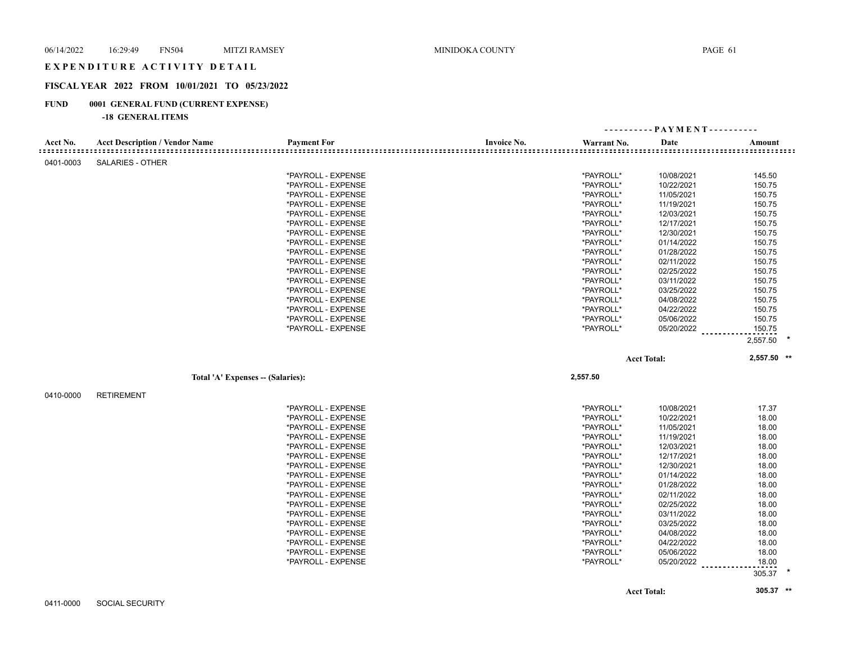## EXPENDITURE ACTIVITY DETAIL

# **FISCAL YEAR 2022 FROM 10/01/2021 TO 05/23/2022**

# **FUND 0001 GENERAL FUND (CURRENT EXPENSE)**

|           |                                       |                    |                    |             | ---------- PAYMENT---------- |              |  |
|-----------|---------------------------------------|--------------------|--------------------|-------------|------------------------------|--------------|--|
| Acct No.  | <b>Acct Description / Vendor Name</b> | <b>Payment For</b> | <b>Invoice No.</b> | Warrant No. | Date                         | Amount       |  |
| 0401-0003 | <b>SALARIES - OTHER</b>               |                    |                    |             |                              |              |  |
|           |                                       | *PAYROLL - EXPENSE |                    | *PAYROLL*   | 10/08/2021                   | 145.50       |  |
|           |                                       | *PAYROLL - EXPENSE |                    | *PAYROLL*   | 10/22/2021                   | 150.75       |  |
|           |                                       | *PAYROLL - EXPENSE |                    | *PAYROLL*   | 11/05/2021                   | 150.75       |  |
|           |                                       | *PAYROLL - EXPENSE |                    | *PAYROLL*   | 11/19/2021                   | 150.75       |  |
|           |                                       | *PAYROLL - EXPENSE |                    | *PAYROLL*   | 12/03/2021                   | 150.75       |  |
|           |                                       | *PAYROLL - EXPENSE |                    | *PAYROLL*   | 12/17/2021                   | 150.75       |  |
|           |                                       | *PAYROLL - EXPENSE |                    | *PAYROLL*   | 12/30/2021                   | 150.75       |  |
|           |                                       | *PAYROLL - EXPENSE |                    | *PAYROLL*   | 01/14/2022                   | 150.75       |  |
|           |                                       | *PAYROLL - EXPENSE |                    | *PAYROLL*   | 01/28/2022                   | 150.75       |  |
|           |                                       | *PAYROLL - EXPENSE |                    | *PAYROLL*   | 02/11/2022                   | 150.75       |  |
|           |                                       | *PAYROLL - EXPENSE |                    | *PAYROLL*   | 02/25/2022                   | 150.75       |  |
|           |                                       | *PAYROLL - EXPENSE |                    | *PAYROLL*   | 03/11/2022                   | 150.75       |  |
|           |                                       | *PAYROLL - EXPENSE |                    | *PAYROLL*   | 03/25/2022                   | 150.75       |  |
|           |                                       | *PAYROLL - EXPENSE |                    | *PAYROLL*   | 04/08/2022                   | 150.75       |  |
|           |                                       | *PAYROLL - EXPENSE |                    | *PAYROLL*   | 04/22/2022                   | 150.75       |  |
|           |                                       | *PAYROLL - EXPENSE |                    | *PAYROLL*   | 05/06/2022                   | 150.75       |  |
|           |                                       | *PAYROLL - EXPENSE |                    | *PAYROLL*   | 05/20/2022                   | 150.75       |  |
|           |                                       |                    |                    |             |                              |              |  |
|           |                                       |                    |                    |             |                              | $2,557.50$ * |  |
|           |                                       |                    |                    |             | <b>Acct Total:</b>           | 2,557.50 **  |  |
|           | Total 'A' Expenses -- (Salaries):     |                    |                    | 2,557.50    |                              |              |  |
| 0410-0000 | <b>RETIREMENT</b>                     |                    |                    |             |                              |              |  |
|           |                                       |                    |                    |             |                              |              |  |
|           |                                       | *PAYROLL - EXPENSE |                    | *PAYROLL*   | 10/08/2021                   | 17.37        |  |
|           |                                       | *PAYROLL - EXPENSE |                    | *PAYROLL*   | 10/22/2021                   | 18.00        |  |
|           |                                       | *PAYROLL - EXPENSE |                    | *PAYROLL*   | 11/05/2021                   | 18.00        |  |
|           |                                       | *PAYROLL - EXPENSE |                    | *PAYROLL*   | 11/19/2021                   | 18.00        |  |
|           |                                       | *PAYROLL - EXPENSE |                    | *PAYROLL*   | 12/03/2021                   | 18.00        |  |
|           |                                       | *PAYROLL - EXPENSE |                    | *PAYROLL*   | 12/17/2021                   | 18.00        |  |
|           |                                       | *PAYROLL - EXPENSE |                    | *PAYROLL*   | 12/30/2021                   | 18.00        |  |
|           |                                       |                    |                    |             |                              |              |  |
|           |                                       | *PAYROLL - EXPENSE |                    | *PAYROLL*   | 01/14/2022                   | 18.00        |  |
|           |                                       | *PAYROLL - EXPENSE |                    | *PAYROLL*   | 01/28/2022                   | 18.00        |  |
|           |                                       | *PAYROLL - EXPENSE |                    | *PAYROLL*   | 02/11/2022                   | 18.00        |  |
|           |                                       | *PAYROLL - EXPENSE |                    | *PAYROLL*   | 02/25/2022                   | 18.00        |  |
|           |                                       | *PAYROLL - EXPENSE |                    | *PAYROLL*   | 03/11/2022                   | 18.00        |  |
|           |                                       | *PAYROLL - EXPENSE |                    | *PAYROLL*   | 03/25/2022                   | 18.00        |  |
|           |                                       | *PAYROLL - EXPENSE |                    | *PAYROLL*   | 04/08/2022                   | 18.00        |  |
|           |                                       | *PAYROLL - EXPENSE |                    | *PAYROLL*   | 04/22/2022                   | 18.00        |  |
|           |                                       | *PAYROLL - EXPENSE |                    | *PAYROLL*   | 05/06/2022                   | 18.00        |  |
|           |                                       | *PAYROLL - EXPENSE |                    | *PAYROLL*   | 05/20/2022                   | 18.00        |  |
|           |                                       |                    |                    |             |                              | 305.37       |  |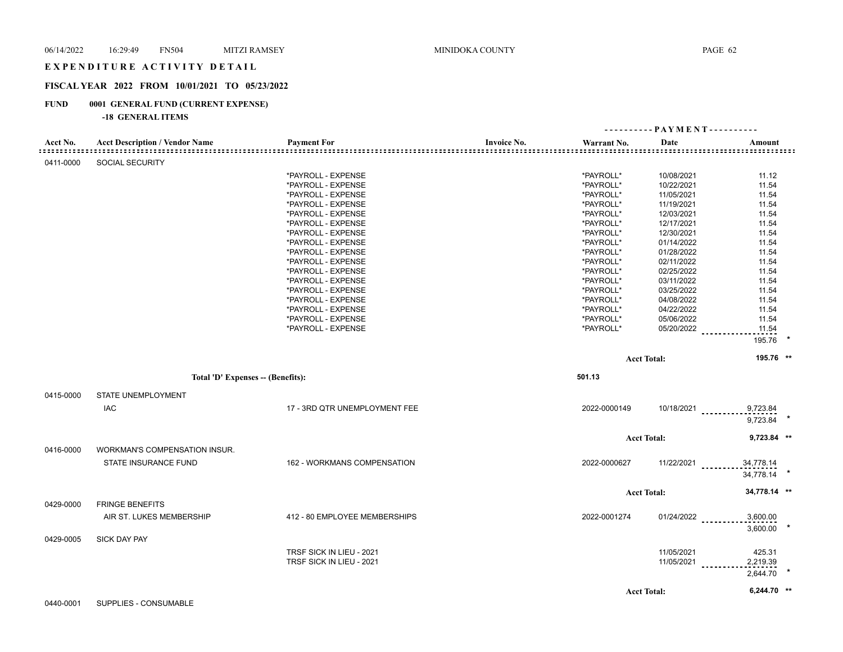#### EXPENDITURE ACTIVITY DETAIL

# **FISCAL YEAR 2022 FROM 10/01/2021 TO 05/23/2022**

# **FUND 0001 GENERAL FUND (CURRENT EXPENSE)**

|           |                                       |                               |                    | ---------- PAYMENT---------- |                    |                                                               |  |
|-----------|---------------------------------------|-------------------------------|--------------------|------------------------------|--------------------|---------------------------------------------------------------|--|
| Acct No.  | <b>Acct Description / Vendor Name</b> | <b>Payment For</b>            | <b>Invoice No.</b> | Warrant No.                  | Date               | Amount<br>::::::::::<br>: = = = = = = = = = = = = = = = = = = |  |
| 0411-0000 | <b>SOCIAL SECURITY</b>                |                               |                    |                              |                    |                                                               |  |
|           |                                       | *PAYROLL - EXPENSE            |                    | *PAYROLL*                    | 10/08/2021         | 11.12                                                         |  |
|           |                                       | *PAYROLL - EXPENSE            |                    | *PAYROLL*                    | 10/22/2021         | 11.54                                                         |  |
|           |                                       | *PAYROLL - EXPENSE            |                    | *PAYROLL*                    | 11/05/2021         | 11.54                                                         |  |
|           |                                       | *PAYROLL - EXPENSE            |                    | *PAYROLL*                    | 11/19/2021         | 11.54                                                         |  |
|           |                                       | *PAYROLL - EXPENSE            |                    | *PAYROLL*                    | 12/03/2021         | 11.54                                                         |  |
|           |                                       | *PAYROLL - EXPENSE            |                    | *PAYROLL*                    | 12/17/2021         | 11.54                                                         |  |
|           |                                       | *PAYROLL - EXPENSE            |                    | *PAYROLL*                    | 12/30/2021         | 11.54                                                         |  |
|           |                                       | *PAYROLL - EXPENSE            |                    | *PAYROLL*                    | 01/14/2022         | 11.54                                                         |  |
|           |                                       | *PAYROLL - EXPENSE            |                    | *PAYROLL*                    | 01/28/2022         | 11.54                                                         |  |
|           |                                       | *PAYROLL - EXPENSE            |                    | *PAYROLL*                    | 02/11/2022         | 11.54                                                         |  |
|           |                                       | *PAYROLL - EXPENSE            |                    | *PAYROLL*                    | 02/25/2022         | 11.54                                                         |  |
|           |                                       | *PAYROLL - EXPENSE            |                    | *PAYROLL*                    | 03/11/2022         | 11.54                                                         |  |
|           |                                       | *PAYROLL - EXPENSE            |                    | *PAYROLL*                    | 03/25/2022         | 11.54                                                         |  |
|           |                                       | *PAYROLL - EXPENSE            |                    | *PAYROLL*                    | 04/08/2022         | 11.54                                                         |  |
|           |                                       | *PAYROLL - EXPENSE            |                    | *PAYROLL*                    | 04/22/2022         | 11.54                                                         |  |
|           |                                       | *PAYROLL - EXPENSE            |                    | *PAYROLL*                    | 05/06/2022         | 11.54                                                         |  |
|           |                                       | *PAYROLL - EXPENSE            |                    | *PAYROLL*                    | 05/20/2022         | 11.54                                                         |  |
|           |                                       |                               |                    |                              |                    | 195.76                                                        |  |
|           |                                       |                               |                    |                              | <b>Acct Total:</b> | 195.76 **                                                     |  |
|           | Total 'D' Expenses -- (Benefits):     |                               |                    | 501.13                       |                    |                                                               |  |
|           |                                       |                               |                    |                              |                    |                                                               |  |
| 0415-0000 | <b>STATE UNEMPLOYMENT</b>             |                               |                    |                              |                    |                                                               |  |
|           | <b>IAC</b>                            | 17 - 3RD QTR UNEMPLOYMENT FEE |                    | 2022-0000149                 | 10/18/2021         | 9,723.84                                                      |  |
|           |                                       |                               |                    |                              |                    | 9,723.84                                                      |  |
|           |                                       |                               |                    |                              | <b>Acct Total:</b> | 9,723.84 **                                                   |  |
| 0416-0000 | WORKMAN'S COMPENSATION INSUR.         |                               |                    |                              |                    |                                                               |  |
|           | STATE INSURANCE FUND                  | 162 - WORKMANS COMPENSATION   |                    | 2022-0000627                 | $11/22/2021$       | 34,778.14                                                     |  |
|           |                                       |                               |                    |                              |                    | 34,778.14                                                     |  |
|           |                                       |                               |                    |                              | <b>Acct Total:</b> | 34,778.14 **                                                  |  |
| 0429-0000 | <b>FRINGE BENEFITS</b>                |                               |                    |                              |                    |                                                               |  |
|           |                                       |                               |                    |                              |                    |                                                               |  |
|           | AIR ST. LUKES MEMBERSHIP              | 412 - 80 EMPLOYEE MEMBERSHIPS |                    | 2022-0001274                 | $01/24/2022$       | 3,600.00                                                      |  |
|           |                                       |                               |                    |                              |                    | 3,600.00                                                      |  |
| 0429-0005 | <b>SICK DAY PAY</b>                   |                               |                    |                              |                    |                                                               |  |
|           |                                       | TRSF SICK IN LIEU - 2021      |                    |                              | 11/05/2021         | 425.31                                                        |  |
|           |                                       | TRSF SICK IN LIEU - 2021      |                    |                              | 11/05/2021         | 2,219.39                                                      |  |
|           |                                       |                               |                    |                              |                    | 2,644.70                                                      |  |
|           |                                       |                               |                    |                              |                    | 6,244.70 **                                                   |  |
|           |                                       |                               |                    |                              | <b>Acct Total:</b> |                                                               |  |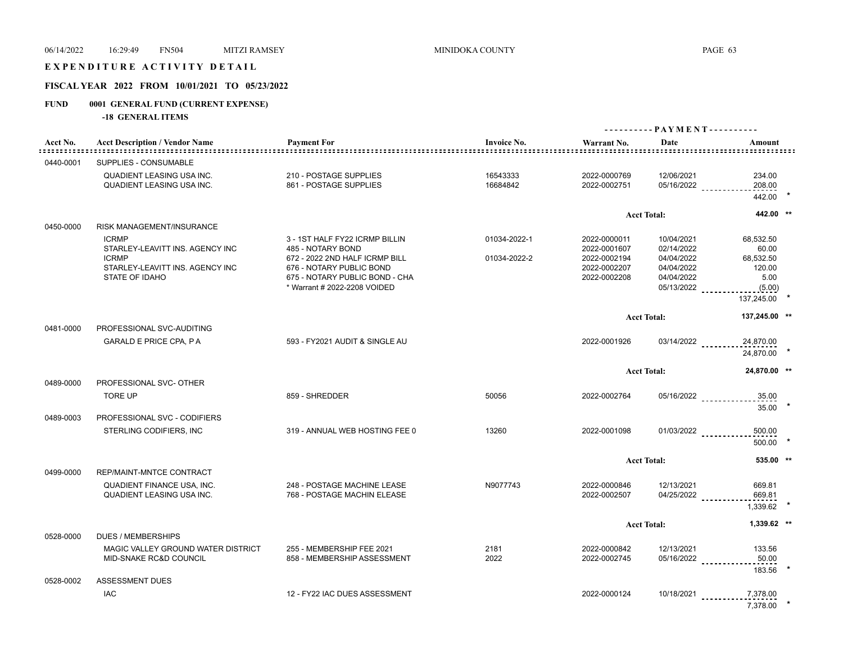# E X P E N D I T U R E A C T I V I T Y D E T A I L

# **FISCAL YEAR 2022 FROM 10/01/2021 TO 05/23/2022**

# **FUND 0001 GENERAL FUND (CURRENT EXPENSE)**

|                                     |                                                                                                                      |                                                                                                                                                                                     |                              | - PAYMENT - - - - - - - - - -                                                |                                                                                  |                                                                           |  |
|-------------------------------------|----------------------------------------------------------------------------------------------------------------------|-------------------------------------------------------------------------------------------------------------------------------------------------------------------------------------|------------------------------|------------------------------------------------------------------------------|----------------------------------------------------------------------------------|---------------------------------------------------------------------------|--|
| Acct No.<br>: : : : : : : : : : : : | <b>Acct Description / Vendor Name</b>                                                                                | <b>Payment For</b>                                                                                                                                                                  | <b>Invoice No.</b><br>       | Warrant No.<br>.                                                             | Date                                                                             | Amount                                                                    |  |
| 0440-0001                           | SUPPLIES - CONSUMABLE                                                                                                |                                                                                                                                                                                     |                              |                                                                              |                                                                                  |                                                                           |  |
|                                     | QUADIENT LEASING USA INC.<br>QUADIENT LEASING USA INC.                                                               | 210 - POSTAGE SUPPLIES<br>861 - POSTAGE SUPPLIES                                                                                                                                    | 16543333<br>16684842         | 2022-0000769<br>2022-0002751                                                 | 12/06/2021<br>05/16/2022                                                         | 234.00<br>208.00<br>442.00                                                |  |
|                                     |                                                                                                                      |                                                                                                                                                                                     |                              |                                                                              | <b>Acct Total:</b>                                                               | 442.00 **                                                                 |  |
| 0450-0000                           | RISK MANAGEMENT/INSURANCE                                                                                            |                                                                                                                                                                                     |                              |                                                                              |                                                                                  |                                                                           |  |
|                                     | <b>ICRMP</b><br>STARLEY-LEAVITT INS. AGENCY INC<br><b>ICRMP</b><br>STARLEY-LEAVITT INS. AGENCY INC<br>STATE OF IDAHO | 3 - 1ST HALF FY22 ICRMP BILLIN<br>485 - NOTARY BOND<br>672 - 2022 2ND HALF ICRMP BILL<br>676 - NOTARY PUBLIC BOND<br>675 - NOTARY PUBLIC BOND - CHA<br>* Warrant # 2022-2208 VOIDED | 01034-2022-1<br>01034-2022-2 | 2022-0000011<br>2022-0001607<br>2022-0002194<br>2022-0002207<br>2022-0002208 | 10/04/2021<br>02/14/2022<br>04/04/2022<br>04/04/2022<br>04/04/2022<br>05/13/2022 | 68,532.50<br>60.00<br>68,532.50<br>120.00<br>5.00<br>(5.00)<br>137,245.00 |  |
|                                     |                                                                                                                      |                                                                                                                                                                                     |                              |                                                                              | <b>Acct Total:</b>                                                               | 137,245.00 **                                                             |  |
| 0481-0000                           | PROFESSIONAL SVC-AUDITING                                                                                            |                                                                                                                                                                                     |                              |                                                                              |                                                                                  |                                                                           |  |
|                                     | <b>GARALD E PRICE CPA, P A</b>                                                                                       | 593 - FY2021 AUDIT & SINGLE AU                                                                                                                                                      |                              | 2022-0001926                                                                 | 03/14/2022 _________                                                             | 24,870.00<br>24,870.00                                                    |  |
|                                     |                                                                                                                      |                                                                                                                                                                                     |                              |                                                                              | <b>Acct Total:</b>                                                               | 24,870.00 **                                                              |  |
| 0489-0000                           | PROFESSIONAL SVC- OTHER                                                                                              |                                                                                                                                                                                     |                              |                                                                              |                                                                                  |                                                                           |  |
|                                     | <b>TORE UP</b>                                                                                                       | 859 - SHREDDER                                                                                                                                                                      | 50056                        | 2022-0002764                                                                 |                                                                                  | 05/16/2022 ______________35.00<br>35.00                                   |  |
| 0489-0003                           | PROFESSIONAL SVC - CODIFIERS                                                                                         |                                                                                                                                                                                     |                              |                                                                              |                                                                                  |                                                                           |  |
|                                     | STERLING CODIFIERS, INC.                                                                                             | 319 - ANNUAL WEB HOSTING FEE 0                                                                                                                                                      | 13260                        | 2022-0001098                                                                 | $01/03/2022$                                                                     | 500.00<br>500.00                                                          |  |
|                                     |                                                                                                                      |                                                                                                                                                                                     |                              |                                                                              | <b>Acct Total:</b>                                                               | 535.00 **                                                                 |  |
| 0499-0000                           | REP/MAINT-MNTCE CONTRACT                                                                                             |                                                                                                                                                                                     |                              |                                                                              |                                                                                  |                                                                           |  |
|                                     | <b>QUADIENT FINANCE USA, INC.</b><br>QUADIENT LEASING USA INC.                                                       | 248 - POSTAGE MACHINE LEASE<br>768 - POSTAGE MACHIN ELEASE                                                                                                                          | N9077743                     | 2022-0000846<br>2022-0002507                                                 | 12/13/2021<br>$04/25/2022$                                                       | 669.81<br>669.81<br>1.339.62                                              |  |
|                                     |                                                                                                                      |                                                                                                                                                                                     |                              |                                                                              | <b>Acct Total:</b>                                                               | 1,339.62 **                                                               |  |
| 0528-0000                           | <b>DUES / MEMBERSHIPS</b>                                                                                            |                                                                                                                                                                                     |                              |                                                                              |                                                                                  |                                                                           |  |
|                                     | MAGIC VALLEY GROUND WATER DISTRICT<br>MID-SNAKE RC&D COUNCIL                                                         | 255 - MEMBERSHIP FEE 2021<br>858 - MEMBERSHIP ASSESSMENT                                                                                                                            | 2181<br>2022                 | 2022-0000842<br>2022-0002745                                                 | 12/13/2021<br>$05/16/2022$                                                       | 133.56<br>50.00<br>183.56                                                 |  |
| 0528-0002                           | <b>ASSESSMENT DUES</b>                                                                                               |                                                                                                                                                                                     |                              |                                                                              |                                                                                  |                                                                           |  |
|                                     | <b>IAC</b>                                                                                                           | 12 - FY22 IAC DUES ASSESSMENT                                                                                                                                                       |                              | 2022-0000124                                                                 | $10/18/2021$                                                                     | 7,378.00<br>7.378.00                                                      |  |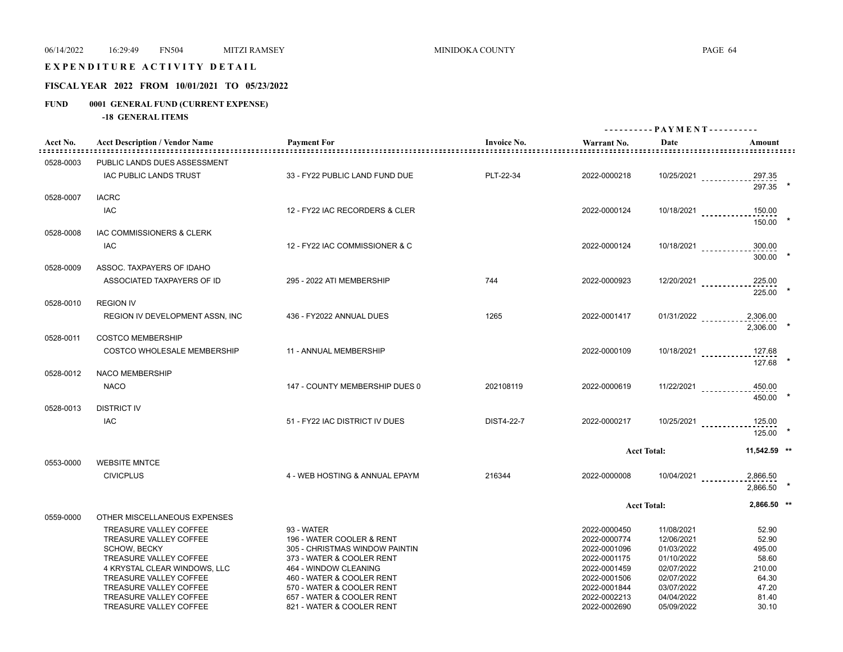#### EXPENDITURE ACTIVITY DETAIL

# **FISCAL YEAR 2022 FROM 10/01/2021 TO 05/23/2022**

# **FUND 0001 GENERAL FUND (CURRENT EXPENSE)**

|                         |                                                      |                                                             |                    |                                                          | ---------- PAYMENT---------- |                                    |  |
|-------------------------|------------------------------------------------------|-------------------------------------------------------------|--------------------|----------------------------------------------------------|------------------------------|------------------------------------|--|
| Acct No.<br>::::::::::: | <b>Acct Description / Vendor Name</b>                | <b>Payment For</b>                                          | <b>Invoice No.</b> | Warrant No.<br><u>==================================</u> | Date                         | Amount<br><u> ================</u> |  |
| 0528-0003               | PUBLIC LANDS DUES ASSESSMENT                         |                                                             |                    |                                                          |                              |                                    |  |
|                         | IAC PUBLIC LANDS TRUST                               | 33 - FY22 PUBLIC LAND FUND DUE                              | PLT-22-34          | 2022-0000218                                             |                              | 10/25/2021 297.35                  |  |
|                         |                                                      |                                                             |                    |                                                          |                              | 297.35 *                           |  |
| 0528-0007               | <b>IACRC</b>                                         |                                                             |                    |                                                          |                              |                                    |  |
|                         | <b>IAC</b>                                           | 12 - FY22 IAC RECORDERS & CLER                              |                    | 2022-0000124                                             |                              | 10/18/2021 _____________150.00     |  |
|                         |                                                      |                                                             |                    |                                                          |                              | 150.00 *                           |  |
| 0528-0008               | IAC COMMISSIONERS & CLERK                            |                                                             |                    |                                                          |                              |                                    |  |
|                         | <b>IAC</b>                                           | 12 - FY22 IAC COMMISSIONER & C                              |                    | 2022-0000124                                             |                              | 10/18/2021 300.00                  |  |
|                         |                                                      |                                                             |                    |                                                          |                              | 300.00                             |  |
| 0528-0009               | ASSOC. TAXPAYERS OF IDAHO                            |                                                             |                    |                                                          |                              |                                    |  |
|                         | ASSOCIATED TAXPAYERS OF ID                           | 295 - 2022 ATI MEMBERSHIP                                   | 744                | 2022-0000923                                             |                              | 225.00<br>$12/20/2021$             |  |
|                         |                                                      |                                                             |                    |                                                          |                              | 225.00                             |  |
| 0528-0010               | <b>REGION IV</b>                                     |                                                             |                    |                                                          |                              |                                    |  |
|                         | <b>REGION IV DEVELOPMENT ASSN, INC</b>               | 436 - FY2022 ANNUAL DUES                                    | 1265               | 2022-0001417                                             | $01/31/2022$                 | 2,306.00                           |  |
|                         |                                                      |                                                             |                    |                                                          |                              | 2.306.00                           |  |
| 0528-0011               | <b>COSTCO MEMBERSHIP</b>                             |                                                             |                    |                                                          |                              |                                    |  |
|                         | <b>COSTCO WHOLESALE MEMBERSHIP</b>                   | 11 - ANNUAL MEMBERSHIP                                      |                    | 2022-0000109                                             |                              | 10/18/2021 ____________ 127.68     |  |
|                         |                                                      |                                                             |                    |                                                          |                              | 127.68                             |  |
| 0528-0012               | NACO MEMBERSHIP                                      |                                                             |                    |                                                          |                              |                                    |  |
|                         | <b>NACO</b>                                          | 147 - COUNTY MEMBERSHIP DUES 0                              | 202108119          | 2022-0000619                                             |                              | $11/22/2021$<br>450.00             |  |
|                         |                                                      |                                                             |                    |                                                          |                              | 450.00                             |  |
| 0528-0013               | <b>DISTRICT IV</b>                                   |                                                             |                    |                                                          |                              |                                    |  |
|                         | <b>IAC</b>                                           | 51 - FY22 IAC DISTRICT IV DUES                              | DIST4-22-7         | 2022-0000217                                             |                              | 10/25/2021 _____________125.00     |  |
|                         |                                                      |                                                             |                    |                                                          |                              | 125.00                             |  |
|                         |                                                      |                                                             |                    |                                                          | <b>Acct Total:</b>           | 11,542.59 **                       |  |
| 0553-0000               | <b>WEBSITE MNTCE</b>                                 |                                                             |                    |                                                          |                              |                                    |  |
|                         | <b>CIVICPLUS</b>                                     | 4 - WEB HOSTING & ANNUAL EPAYM                              | 216344             | 2022-0000008                                             | $10/04/2021$                 | 2,866.50                           |  |
|                         |                                                      |                                                             |                    |                                                          |                              | 2.866.50                           |  |
|                         |                                                      |                                                             |                    |                                                          |                              |                                    |  |
|                         |                                                      |                                                             |                    |                                                          | <b>Acct Total:</b>           | 2,866.50 **                        |  |
| 0559-0000               | OTHER MISCELLANEOUS EXPENSES                         |                                                             |                    |                                                          |                              |                                    |  |
|                         | <b>TREASURE VALLEY COFFEE</b>                        | 93 - WATER                                                  |                    | 2022-0000450                                             | 11/08/2021                   | 52.90                              |  |
|                         | TREASURE VALLEY COFFEE                               | 196 - WATER COOLER & RENT                                   |                    | 2022-0000774                                             | 12/06/2021                   | 52.90                              |  |
|                         | <b>SCHOW, BECKY</b><br><b>TREASURE VALLEY COFFEE</b> | 305 - CHRISTMAS WINDOW PAINTIN<br>373 - WATER & COOLER RENT |                    | 2022-0001096<br>2022-0001175                             | 01/03/2022<br>01/10/2022     | 495.00<br>58.60                    |  |
|                         | 4 KRYSTAL CLEAR WINDOWS, LLC                         | 464 - WINDOW CLEANING                                       |                    | 2022-0001459                                             | 02/07/2022                   | 210.00                             |  |
|                         | TREASURE VALLEY COFFEE                               | 460 - WATER & COOLER RENT                                   |                    | 2022-0001506                                             | 02/07/2022                   | 64.30                              |  |
|                         | TREASURE VALLEY COFFEE                               | 570 - WATER & COOLER RENT                                   |                    | 2022-0001844                                             | 03/07/2022                   | 47.20                              |  |
|                         | TREASURE VALLEY COFFEE                               | 657 - WATER & COOLER RENT                                   |                    | 2022-0002213                                             | 04/04/2022                   | 81.40                              |  |
|                         | TREASURE VALLEY COFFEE                               | 821 - WATER & COOLER RENT                                   |                    | 2022-0002690                                             | 05/09/2022                   | 30.10                              |  |
|                         |                                                      |                                                             |                    |                                                          |                              |                                    |  |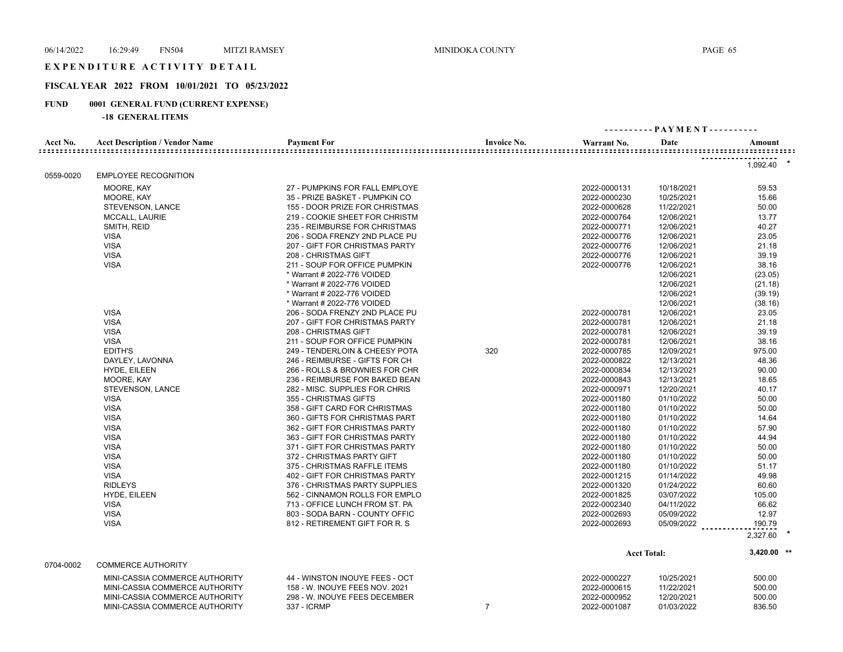#### EXPENDITURE ACTIVITY DETAIL

# **FISCAL YEAR 2022 FROM 10/01/2021 TO 05/23/2022**

# **FUND 0001 GENERAL FUND (CURRENT EXPENSE)**

| Acct No.<br>============ | <b>Acct Description / Vendor Name</b><br>::::::::::::::::::::::::::::::::::::: | <b>Payment For</b>             | <b>Invoice No.</b> | Warrant No.  | Date               | Amount<br>:::::::::::::::::::::::::::::::::::: |
|--------------------------|--------------------------------------------------------------------------------|--------------------------------|--------------------|--------------|--------------------|------------------------------------------------|
|                          |                                                                                |                                |                    |              |                    | 1,092.40                                       |
| 0559-0020                | <b>EMPLOYEE RECOGNITION</b>                                                    |                                |                    |              |                    |                                                |
|                          | MOORE, KAY                                                                     | 27 - PUMPKINS FOR FALL EMPLOYE |                    | 2022-0000131 | 10/18/2021         | 59.53                                          |
|                          | MOORE, KAY                                                                     | 35 - PRIZE BASKET - PUMPKIN CO |                    | 2022-0000230 | 10/25/2021         | 15.66                                          |
|                          | STEVENSON, LANCE                                                               | 155 - DOOR PRIZE FOR CHRISTMAS |                    | 2022-0000628 | 11/22/2021         | 50.00                                          |
|                          | MCCALL, LAURIE                                                                 | 219 - COOKIE SHEET FOR CHRISTM |                    | 2022-0000764 | 12/06/2021         | 13.77                                          |
|                          | SMITH, REID                                                                    | 235 - REIMBURSE FOR CHRISTMAS  |                    | 2022-0000771 | 12/06/2021         | 40.27                                          |
|                          | <b>VISA</b>                                                                    | 206 - SODA FRENZY 2ND PLACE PU |                    | 2022-0000776 | 12/06/2021         | 23.05                                          |
|                          | <b>VISA</b>                                                                    | 207 - GIFT FOR CHRISTMAS PARTY |                    | 2022-0000776 | 12/06/2021         | 21.18                                          |
|                          | <b>VISA</b>                                                                    | 208 - CHRISTMAS GIFT           |                    | 2022-0000776 | 12/06/2021         | 39.19                                          |
|                          | <b>VISA</b>                                                                    | 211 - SOUP FOR OFFICE PUMPKIN  |                    | 2022-0000776 | 12/06/2021         | 38.16                                          |
|                          |                                                                                | * Warrant # 2022-776 VOIDED    |                    |              | 12/06/2021         | (23.05)                                        |
|                          |                                                                                | * Warrant # 2022-776 VOIDED    |                    |              | 12/06/2021         | (21.18)                                        |
|                          |                                                                                | * Warrant # 2022-776 VOIDED    |                    |              | 12/06/2021         | (39.19)                                        |
|                          |                                                                                | * Warrant # 2022-776 VOIDED    |                    |              | 12/06/2021         | (38.16)                                        |
|                          | <b>VISA</b>                                                                    | 206 - SODA FRENZY 2ND PLACE PU |                    | 2022-0000781 | 12/06/2021         | 23.05                                          |
|                          | <b>VISA</b>                                                                    | 207 - GIFT FOR CHRISTMAS PARTY |                    | 2022-0000781 | 12/06/2021         | 21.18                                          |
|                          | <b>VISA</b>                                                                    | 208 - CHRISTMAS GIFT           |                    | 2022-0000781 | 12/06/2021         | 39.19                                          |
|                          | <b>VISA</b>                                                                    | 211 - SOUP FOR OFFICE PUMPKIN  |                    | 2022-0000781 | 12/06/2021         | 38.16                                          |
|                          | <b>EDITH'S</b>                                                                 | 249 - TENDERLOIN & CHEESY POTA | 320                | 2022-0000785 | 12/09/2021         | 975.00                                         |
|                          | DAYLEY, LAVONNA                                                                | 246 - REIMBURSE - GIFTS FOR CH |                    | 2022-0000822 | 12/13/2021         | 48.36                                          |
|                          | HYDE, EILEEN                                                                   | 266 - ROLLS & BROWNIES FOR CHR |                    | 2022-0000834 | 12/13/2021         | 90.00                                          |
|                          | MOORE, KAY                                                                     | 236 - REIMBURSE FOR BAKED BEAN |                    | 2022-0000843 | 12/13/2021         | 18.65                                          |
|                          | STEVENSON, LANCE                                                               | 282 - MISC. SUPPLIES FOR CHRIS |                    | 2022-0000971 | 12/20/2021         | 40.17                                          |
|                          | <b>VISA</b>                                                                    | 355 - CHRISTMAS GIFTS          |                    | 2022-0001180 | 01/10/2022         | 50.00                                          |
|                          | <b>VISA</b>                                                                    | 358 - GIFT CARD FOR CHRISTMAS  |                    | 2022-0001180 | 01/10/2022         | 50.00                                          |
|                          | <b>VISA</b>                                                                    | 360 - GIFTS FOR CHRISTMAS PART |                    | 2022-0001180 | 01/10/2022         | 14.64                                          |
|                          | <b>VISA</b>                                                                    | 362 - GIFT FOR CHRISTMAS PARTY |                    | 2022-0001180 | 01/10/2022         | 57.90                                          |
|                          | <b>VISA</b>                                                                    | 363 - GIFT FOR CHRISTMAS PARTY |                    | 2022-0001180 | 01/10/2022         | 44.94                                          |
|                          | <b>VISA</b>                                                                    | 371 - GIFT FOR CHRISTMAS PARTY |                    | 2022-0001180 | 01/10/2022         | 50.00                                          |
|                          | <b>VISA</b>                                                                    | 372 - CHRISTMAS PARTY GIFT     |                    | 2022-0001180 | 01/10/2022         | 50.00                                          |
|                          | <b>VISA</b>                                                                    | 375 - CHRISTMAS RAFFLE ITEMS   |                    | 2022-0001180 | 01/10/2022         | 51.17                                          |
|                          | <b>VISA</b>                                                                    | 402 - GIFT FOR CHRISTMAS PARTY |                    | 2022-0001215 | 01/14/2022         | 49.98                                          |
|                          | <b>RIDLEYS</b>                                                                 | 376 - CHRISTMAS PARTY SUPPLIES |                    | 2022-0001320 | 01/24/2022         | 60.60                                          |
|                          | HYDE, EILEEN                                                                   | 562 - CINNAMON ROLLS FOR EMPLO |                    | 2022-0001825 | 03/07/2022         | 105.00                                         |
|                          | <b>VISA</b>                                                                    | 713 - OFFICE LUNCH FROM ST. PA |                    | 2022-0002340 | 04/11/2022         | 66.62                                          |
|                          | <b>VISA</b>                                                                    | 803 - SODA BARN - COUNTY OFFIC |                    | 2022-0002693 | 05/09/2022         | 12.97                                          |
|                          | <b>VISA</b>                                                                    | 812 - RETIREMENT GIFT FOR R. S |                    | 2022-0002693 | 05/09/2022         | 190.79                                         |
|                          |                                                                                |                                |                    |              |                    | 2,327.60                                       |
|                          |                                                                                |                                |                    |              | <b>Acct Total:</b> | $3,420.00$ **                                  |
| 0704-0002                | <b>COMMERCE AUTHORITY</b>                                                      |                                |                    |              |                    |                                                |
|                          | MINI-CASSIA COMMERCE AUTHORITY                                                 | 44 - WINSTON INOUYE FEES - OCT |                    | 2022-0000227 | 10/25/2021         | 500.00                                         |
|                          | MINI-CASSIA COMMERCE AUTHORITY                                                 | 158 - W. INOUYE FEES NOV. 2021 |                    | 2022-0000615 | 11/22/2021         | 500.00                                         |
|                          | MINI-CASSIA COMMERCE AUTHORITY                                                 | 298 - W. INOUYE FEES DECEMBER  |                    | 2022-0000952 | 12/20/2021         | 500.00                                         |
|                          | MINI-CASSIA COMMERCE AUTHORITY                                                 | 337 - ICRMP                    | $\overline{7}$     | 2022-0001087 | 01/03/2022         | 836.50                                         |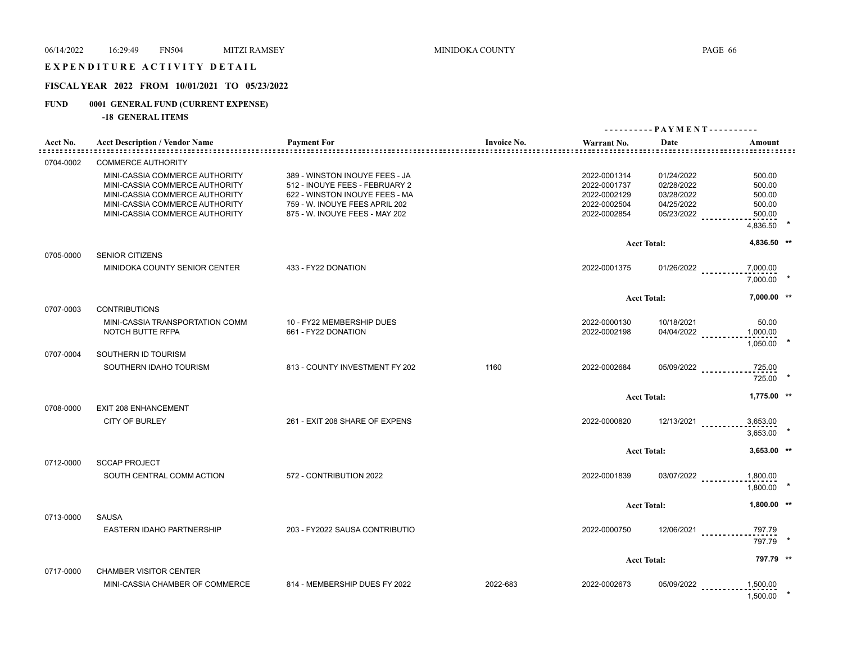# E X P E N D I T U R E A C T I V I T Y D E T A I L

# **FISCAL YEAR 2022 FROM 10/01/2021 TO 05/23/2022**

# **FUND 0001 GENERAL FUND (CURRENT EXPENSE)**

|                                   |                                                                  |                                                                  | - PAYMENT - - - - - - - - - - |                              |                          |                  |  |
|-----------------------------------|------------------------------------------------------------------|------------------------------------------------------------------|-------------------------------|------------------------------|--------------------------|------------------|--|
| Acct No.<br>: = = = = = = = = = = | <b>Acct Description / Vendor Name</b>                            | <b>Payment For</b>                                               | <b>Invoice No.</b>            | Warrant No.                  | Date                     | Amount           |  |
| 0704-0002                         | <b>COMMERCE AUTHORITY</b>                                        |                                                                  |                               |                              |                          |                  |  |
|                                   | MINI-CASSIA COMMERCE AUTHORITY<br>MINI-CASSIA COMMERCE AUTHORITY | 389 - WINSTON INOUYE FEES - JA<br>512 - INOUYE FEES - FEBRUARY 2 |                               | 2022-0001314<br>2022-0001737 | 01/24/2022<br>02/28/2022 | 500.00<br>500.00 |  |
|                                   | MINI-CASSIA COMMERCE AUTHORITY                                   | 622 - WINSTON INOUYE FEES - MA                                   |                               | 2022-0002129                 | 03/28/2022               | 500.00           |  |
|                                   | MINI-CASSIA COMMERCE AUTHORITY                                   | 759 - W. INOUYE FEES APRIL 202                                   |                               | 2022-0002504                 | 04/25/2022               | 500.00           |  |
|                                   | MINI-CASSIA COMMERCE AUTHORITY                                   | 875 - W. INOUYE FEES - MAY 202                                   |                               | 2022-0002854                 | 05/23/2022               | 500.00           |  |
|                                   |                                                                  |                                                                  |                               |                              |                          | 4,836.50         |  |
|                                   |                                                                  |                                                                  |                               |                              | <b>Acct Total:</b>       | 4,836.50 **      |  |
| 0705-0000                         | <b>SENIOR CITIZENS</b>                                           |                                                                  |                               |                              |                          |                  |  |
|                                   | MINIDOKA COUNTY SENIOR CENTER                                    | 433 - FY22 DONATION                                              |                               | 2022-0001375                 | $01/26/2022$             | 7,000.00         |  |
|                                   |                                                                  |                                                                  |                               |                              |                          | 7,000.00         |  |
|                                   |                                                                  |                                                                  |                               |                              | <b>Acct Total:</b>       | 7,000.00 **      |  |
| 0707-0003                         | <b>CONTRIBUTIONS</b>                                             |                                                                  |                               |                              |                          |                  |  |
|                                   | MINI-CASSIA TRANSPORTATION COMM                                  | 10 - FY22 MEMBERSHIP DUES                                        |                               | 2022-0000130                 | 10/18/2021               | 50.00            |  |
|                                   | NOTCH BUTTE RFPA                                                 | 661 - FY22 DONATION                                              |                               | 2022-0002198                 | 04/04/2022               | 1,000.00         |  |
|                                   |                                                                  |                                                                  |                               |                              |                          | 1,050.00         |  |
| 0707-0004                         | SOUTHERN ID TOURISM                                              |                                                                  |                               |                              |                          |                  |  |
|                                   | SOUTHERN IDAHO TOURISM                                           | 813 - COUNTY INVESTMENT FY 202                                   | 1160                          | 2022-0002684                 | 05/09/2022               | 725.00<br>725.00 |  |
|                                   |                                                                  |                                                                  |                               |                              | <b>Acct Total:</b>       | $1,775.00$ **    |  |
| 0708-0000                         | <b>EXIT 208 ENHANCEMENT</b>                                      |                                                                  |                               |                              |                          |                  |  |
|                                   | <b>CITY OF BURLEY</b>                                            | 261 - EXIT 208 SHARE OF EXPENS                                   |                               | 2022-0000820                 | 12/13/2021               | 3,653.00         |  |
|                                   |                                                                  |                                                                  |                               |                              |                          | 3,653.00         |  |
|                                   |                                                                  |                                                                  |                               |                              |                          |                  |  |
|                                   |                                                                  |                                                                  |                               |                              | <b>Acct Total:</b>       | $3,653.00$ **    |  |
| 0712-0000                         | <b>SCCAP PROJECT</b>                                             |                                                                  |                               |                              |                          |                  |  |
|                                   | SOUTH CENTRAL COMM ACTION                                        | 572 - CONTRIBUTION 2022                                          |                               | 2022-0001839                 | 03/07/2022               | 1,800.00         |  |
|                                   |                                                                  |                                                                  |                               |                              |                          | 1,800.00         |  |
|                                   |                                                                  |                                                                  |                               |                              | <b>Acct Total:</b>       | $1,800.00$ **    |  |
| 0713-0000                         | <b>SAUSA</b>                                                     |                                                                  |                               |                              |                          |                  |  |
|                                   | EASTERN IDAHO PARTNERSHIP                                        | 203 - FY2022 SAUSA CONTRIBUTIO                                   |                               | 2022-0000750                 |                          | 797.79           |  |
|                                   |                                                                  |                                                                  |                               |                              | 12/06/2021               | 797.79           |  |
|                                   |                                                                  |                                                                  |                               |                              |                          |                  |  |
|                                   |                                                                  |                                                                  |                               |                              | <b>Acct Total:</b>       | 797.79 **        |  |
| 0717-0000                         | <b>CHAMBER VISITOR CENTER</b>                                    |                                                                  |                               |                              |                          |                  |  |
|                                   | MINI-CASSIA CHAMBER OF COMMERCE                                  | 814 - MEMBERSHIP DUES FY 2022                                    | 2022-683                      | 2022-0002673                 | 05/09/2022               | 1,500.00         |  |
|                                   |                                                                  |                                                                  |                               |                              |                          | 1,500.00         |  |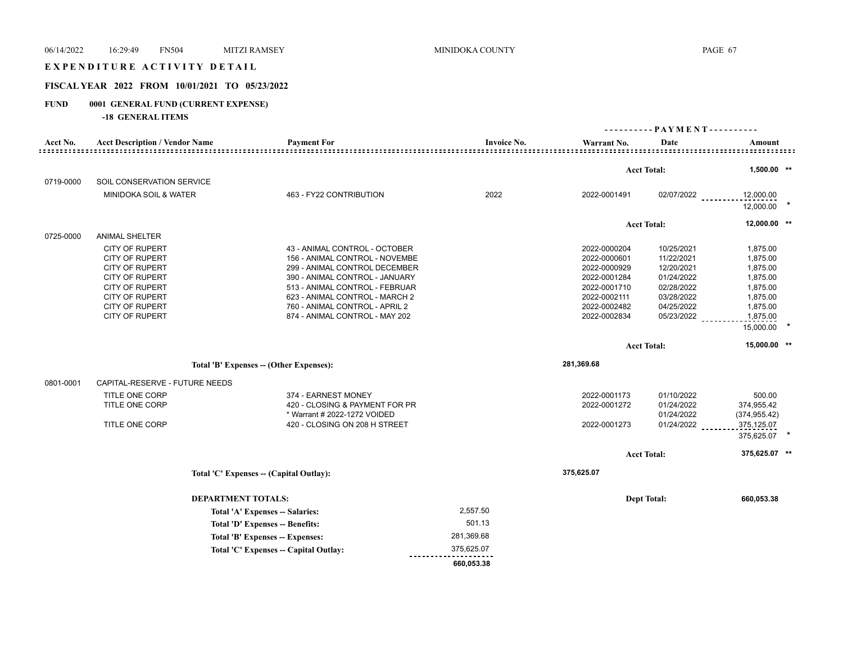#### EXPENDITURE ACTIVITY DETAIL

# **FISCAL YEAR 2022 FROM 10/01/2021 TO 05/23/2022**

# **FUND 0001 GENERAL FUND (CURRENT EXPENSE)**

|           |                                                                                                                                                                                                      |                                                                                                                                                                                                                                                                            |                    |                                                                                                                              | ---------- PAYMENT----------                                                                                 |                                                                                                           |
|-----------|------------------------------------------------------------------------------------------------------------------------------------------------------------------------------------------------------|----------------------------------------------------------------------------------------------------------------------------------------------------------------------------------------------------------------------------------------------------------------------------|--------------------|------------------------------------------------------------------------------------------------------------------------------|--------------------------------------------------------------------------------------------------------------|-----------------------------------------------------------------------------------------------------------|
| Acct No.  | <b>Acct Description / Vendor Name</b>                                                                                                                                                                | <b>Payment For</b><br>===============================                                                                                                                                                                                                                      | <b>Invoice No.</b> | Warrant No.                                                                                                                  | Date                                                                                                         | Amount                                                                                                    |
|           |                                                                                                                                                                                                      |                                                                                                                                                                                                                                                                            |                    |                                                                                                                              |                                                                                                              |                                                                                                           |
|           |                                                                                                                                                                                                      |                                                                                                                                                                                                                                                                            |                    |                                                                                                                              | <b>Acct Total:</b>                                                                                           | 1,500.00 **                                                                                               |
| 0719-0000 | SOIL CONSERVATION SERVICE                                                                                                                                                                            |                                                                                                                                                                                                                                                                            |                    |                                                                                                                              |                                                                                                              |                                                                                                           |
|           | <b>MINIDOKA SOIL &amp; WATER</b>                                                                                                                                                                     | 463 - FY22 CONTRIBUTION                                                                                                                                                                                                                                                    | 2022               | 2022-0001491                                                                                                                 | $02/07/2022$                                                                                                 | 12,000.00<br>12,000.00                                                                                    |
|           |                                                                                                                                                                                                      |                                                                                                                                                                                                                                                                            |                    |                                                                                                                              | <b>Acct Total:</b>                                                                                           | 12,000.00 **                                                                                              |
| 0725-0000 | <b>ANIMAL SHELTER</b>                                                                                                                                                                                |                                                                                                                                                                                                                                                                            |                    |                                                                                                                              |                                                                                                              |                                                                                                           |
|           | <b>CITY OF RUPERT</b><br><b>CITY OF RUPERT</b><br><b>CITY OF RUPERT</b><br><b>CITY OF RUPERT</b><br><b>CITY OF RUPERT</b><br><b>CITY OF RUPERT</b><br><b>CITY OF RUPERT</b><br><b>CITY OF RUPERT</b> | 43 - ANIMAL CONTROL - OCTOBER<br>156 - ANIMAL CONTROL - NOVEMBE<br>299 - ANIMAL CONTROL DECEMBER<br>390 - ANIMAL CONTROL - JANUARY<br>513 - ANIMAL CONTROL - FEBRUAR<br>623 - ANIMAL CONTROL - MARCH 2<br>760 - ANIMAL CONTROL - APRIL 2<br>874 - ANIMAL CONTROL - MAY 202 |                    | 2022-0000204<br>2022-0000601<br>2022-0000929<br>2022-0001284<br>2022-0001710<br>2022-0002111<br>2022-0002482<br>2022-0002834 | 10/25/2021<br>11/22/2021<br>12/20/2021<br>01/24/2022<br>02/28/2022<br>03/28/2022<br>04/25/2022<br>05/23/2022 | 1,875.00<br>1,875.00<br>1,875.00<br>1,875.00<br>1,875.00<br>1,875.00<br>1,875.00<br>1,875.00<br>15,000.00 |
|           |                                                                                                                                                                                                      |                                                                                                                                                                                                                                                                            |                    |                                                                                                                              |                                                                                                              | 15,000.00 **                                                                                              |
|           |                                                                                                                                                                                                      |                                                                                                                                                                                                                                                                            |                    |                                                                                                                              | <b>Acct Total:</b>                                                                                           |                                                                                                           |
|           |                                                                                                                                                                                                      | Total 'B' Expenses -- (Other Expenses):                                                                                                                                                                                                                                    |                    | 281,369.68                                                                                                                   |                                                                                                              |                                                                                                           |
| 0801-0001 | CAPITAL-RESERVE - FUTURE NEEDS                                                                                                                                                                       |                                                                                                                                                                                                                                                                            |                    |                                                                                                                              |                                                                                                              |                                                                                                           |
|           | TITLE ONE CORP<br>TITLE ONE CORP<br><b>TITLE ONE CORP</b>                                                                                                                                            | 374 - EARNEST MONEY<br>420 - CLOSING & PAYMENT FOR PR<br>* Warrant # 2022-1272 VOIDED<br>420 - CLOSING ON 208 H STREET                                                                                                                                                     |                    | 2022-0001173<br>2022-0001272<br>2022-0001273                                                                                 | 01/10/2022<br>01/24/2022<br>01/24/2022<br>01/24/2022                                                         | 500.00<br>374,955.42<br>(374, 955.42)<br>375,125.07<br>375,625.07                                         |
|           |                                                                                                                                                                                                      |                                                                                                                                                                                                                                                                            |                    |                                                                                                                              | <b>Acct Total:</b>                                                                                           | 375,625.07 **                                                                                             |
|           |                                                                                                                                                                                                      | Total 'C' Expenses -- (Capital Outlay):                                                                                                                                                                                                                                    |                    | 375,625.07                                                                                                                   |                                                                                                              |                                                                                                           |
|           | <b>DEPARTMENT TOTALS:</b>                                                                                                                                                                            |                                                                                                                                                                                                                                                                            |                    |                                                                                                                              | <b>Dept Total:</b>                                                                                           | 660,053.38                                                                                                |
|           |                                                                                                                                                                                                      | Total 'A' Expenses -- Salaries:                                                                                                                                                                                                                                            | 2,557.50           |                                                                                                                              |                                                                                                              |                                                                                                           |
|           |                                                                                                                                                                                                      | Total 'D' Expenses -- Benefits:                                                                                                                                                                                                                                            | 501.13             |                                                                                                                              |                                                                                                              |                                                                                                           |
|           |                                                                                                                                                                                                      | Total 'B' Expenses -- Expenses:                                                                                                                                                                                                                                            | 281,369.68         |                                                                                                                              |                                                                                                              |                                                                                                           |
|           |                                                                                                                                                                                                      | Total 'C' Expenses - Capital Outlay:                                                                                                                                                                                                                                       | 375,625.07         |                                                                                                                              |                                                                                                              |                                                                                                           |
|           |                                                                                                                                                                                                      |                                                                                                                                                                                                                                                                            | 660,053.38         |                                                                                                                              |                                                                                                              |                                                                                                           |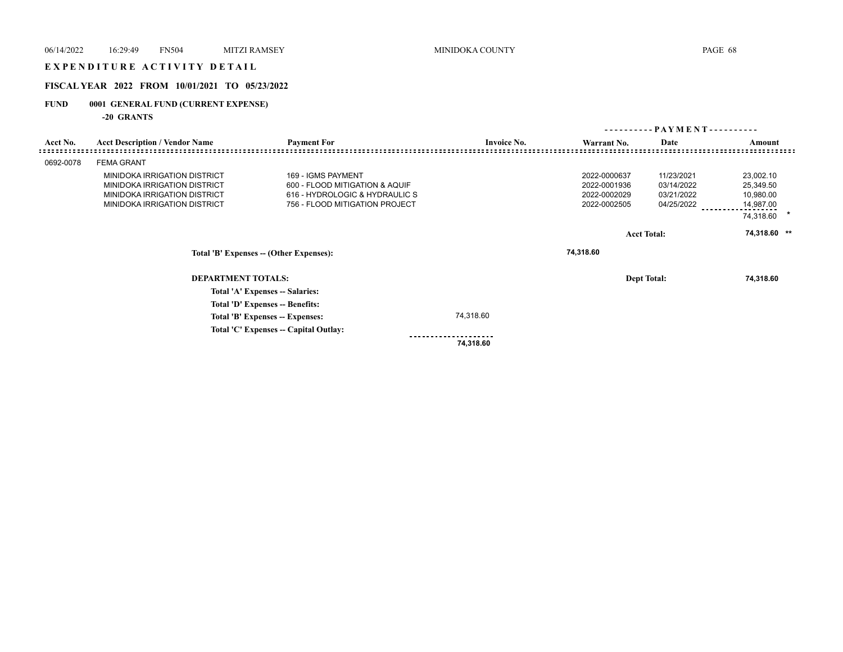# E X P E N D I T U R E A C T I V I T Y D E T A I L

# **FISCAL YEAR 2022 FROM 10/01/2021 TO 05/23/2022**

# **FUND 0001 GENERAL FUND (CURRENT EXPENSE)**

**-20 GRANTS**

|           |                                                                                                                              |                                                                                                                          |                    | - PAYMENT - - - - - - - - - -<br>----------                  |                                                      |                                                               |  |
|-----------|------------------------------------------------------------------------------------------------------------------------------|--------------------------------------------------------------------------------------------------------------------------|--------------------|--------------------------------------------------------------|------------------------------------------------------|---------------------------------------------------------------|--|
| Acct No.  | <b>Acct Description / Vendor Name</b>                                                                                        | <b>Payment For</b>                                                                                                       | <b>Invoice No.</b> | Warrant No.                                                  | Date                                                 | Amount                                                        |  |
| 0692-0078 | <b>FEMA GRANT</b>                                                                                                            |                                                                                                                          |                    |                                                              |                                                      |                                                               |  |
|           | MINIDOKA IRRIGATION DISTRICT<br>MINIDOKA IRRIGATION DISTRICT<br>MINIDOKA IRRIGATION DISTRICT<br>MINIDOKA IRRIGATION DISTRICT | 169 - IGMS PAYMENT<br>600 - FLOOD MITIGATION & AQUIF<br>616 - HYDROLOGIC & HYDRAULIC S<br>756 - FLOOD MITIGATION PROJECT |                    | 2022-0000637<br>2022-0001936<br>2022-0002029<br>2022-0002505 | 11/23/2021<br>03/14/2022<br>03/21/2022<br>04/25/2022 | 23,002.10<br>25,349.50<br>10,980.00<br>14,987.00<br>74,318.60 |  |
|           |                                                                                                                              |                                                                                                                          |                    |                                                              | <b>Acct Total:</b>                                   | 74,318.60 **                                                  |  |
|           | Total 'B' Expenses -- (Other Expenses):                                                                                      |                                                                                                                          |                    | 74,318.60                                                    |                                                      |                                                               |  |
|           | <b>DEPARTMENT TOTALS:</b>                                                                                                    |                                                                                                                          |                    |                                                              | <b>Dept Total:</b>                                   | 74,318.60                                                     |  |
|           |                                                                                                                              | Total 'A' Expenses -- Salaries:                                                                                          |                    |                                                              |                                                      |                                                               |  |
|           |                                                                                                                              | Total 'D' Expenses -- Benefits:                                                                                          |                    |                                                              |                                                      |                                                               |  |
|           |                                                                                                                              | Total 'B' Expenses -- Expenses:                                                                                          | 74,318.60          |                                                              |                                                      |                                                               |  |
|           |                                                                                                                              | Total 'C' Expenses -- Capital Outlay:                                                                                    |                    |                                                              |                                                      |                                                               |  |
|           |                                                                                                                              | 74,318.60                                                                                                                |                    |                                                              |                                                      |                                                               |  |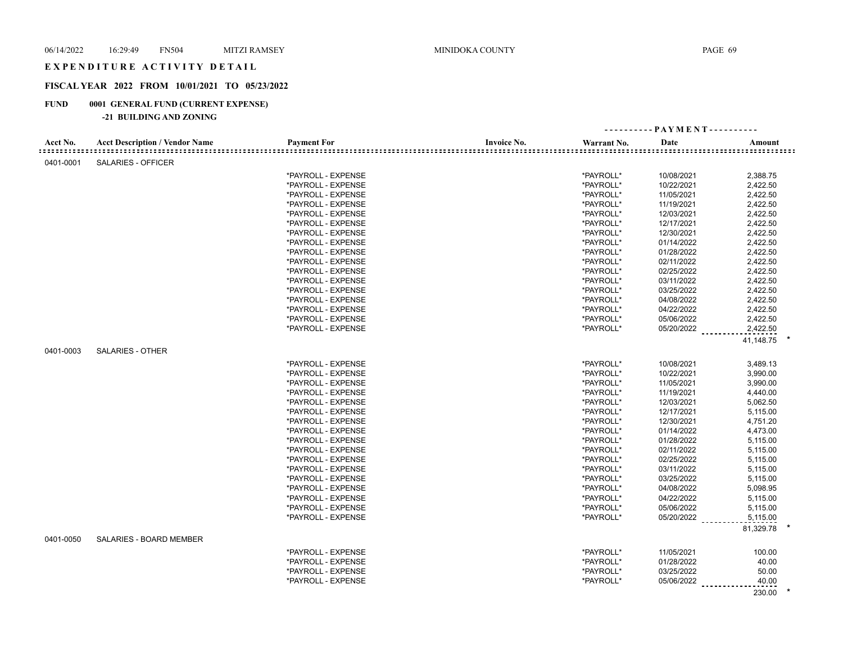#### EXPENDITURE ACTIVITY DETAIL

# **FISCAL YEAR 2022 FROM 10/01/2021 TO 05/23/2022**

# **FUND 0001 GENERAL FUND (CURRENT EXPENSE)**

# **-21 BUILDING AND ZONING**

|           |                                       |                    |                    |             | ---------- PAYMENT---------- |           |  |
|-----------|---------------------------------------|--------------------|--------------------|-------------|------------------------------|-----------|--|
| Acct No.  | <b>Acct Description / Vendor Name</b> | <b>Payment For</b> | <b>Invoice No.</b> | Warrant No. | Date                         | Amount    |  |
| 0401-0001 | SALARIES - OFFICER                    |                    |                    |             |                              |           |  |
|           |                                       | *PAYROLL - EXPENSE |                    | *PAYROLL*   | 10/08/2021                   | 2,388.75  |  |
|           |                                       | *PAYROLL - EXPENSE |                    | *PAYROLL*   | 10/22/2021                   | 2,422.50  |  |
|           |                                       | *PAYROLL - EXPENSE |                    | *PAYROLL*   | 11/05/2021                   | 2,422.50  |  |
|           |                                       | *PAYROLL - EXPENSE |                    | *PAYROLL*   | 11/19/2021                   | 2,422.50  |  |
|           |                                       | *PAYROLL - EXPENSE |                    | *PAYROLL*   | 12/03/2021                   | 2,422.50  |  |
|           |                                       | *PAYROLL - EXPENSE |                    | *PAYROLL*   | 12/17/2021                   | 2,422.50  |  |
|           |                                       | *PAYROLL - EXPENSE |                    | *PAYROLL*   | 12/30/2021                   | 2,422.50  |  |
|           |                                       | *PAYROLL - EXPENSE |                    | *PAYROLL*   | 01/14/2022                   | 2,422.50  |  |
|           |                                       | *PAYROLL - EXPENSE |                    | *PAYROLL*   | 01/28/2022                   | 2,422.50  |  |
|           |                                       | *PAYROLL - EXPENSE |                    | *PAYROLL*   | 02/11/2022                   | 2,422.50  |  |
|           |                                       | *PAYROLL - EXPENSE |                    | *PAYROLL*   | 02/25/2022                   | 2,422.50  |  |
|           |                                       | *PAYROLL - EXPENSE |                    | *PAYROLL*   | 03/11/2022                   | 2,422.50  |  |
|           |                                       | *PAYROLL - EXPENSE |                    | *PAYROLL*   | 03/25/2022                   | 2,422.50  |  |
|           |                                       | *PAYROLL - EXPENSE |                    | *PAYROLL*   | 04/08/2022                   | 2,422.50  |  |
|           |                                       | *PAYROLL - EXPENSE |                    | *PAYROLL*   | 04/22/2022                   | 2,422.50  |  |
|           |                                       | *PAYROLL - EXPENSE |                    | *PAYROLL*   | 05/06/2022                   | 2,422.50  |  |
|           |                                       | *PAYROLL - EXPENSE |                    | *PAYROLL*   | 05/20/2022                   | 2,422.50  |  |
|           |                                       |                    |                    |             |                              | 41,148.75 |  |
|           | <b>SALARIES - OTHER</b>               |                    |                    |             |                              |           |  |
| 0401-0003 |                                       |                    |                    |             |                              |           |  |
|           |                                       | *PAYROLL - EXPENSE |                    | *PAYROLL*   | 10/08/2021                   | 3,489.13  |  |
|           |                                       | *PAYROLL - EXPENSE |                    | *PAYROLL*   | 10/22/2021                   | 3,990.00  |  |
|           |                                       | *PAYROLL - EXPENSE |                    | *PAYROLL*   | 11/05/2021                   | 3,990.00  |  |
|           |                                       | *PAYROLL - EXPENSE |                    | *PAYROLL*   | 11/19/2021                   | 4,440.00  |  |
|           |                                       | *PAYROLL - EXPENSE |                    | *PAYROLL*   | 12/03/2021                   | 5,062.50  |  |
|           |                                       | *PAYROLL - EXPENSE |                    | *PAYROLL*   | 12/17/2021                   | 5,115.00  |  |
|           |                                       | *PAYROLL - EXPENSE |                    | *PAYROLL*   | 12/30/2021                   | 4,751.20  |  |
|           |                                       | *PAYROLL - EXPENSE |                    | *PAYROLL*   | 01/14/2022                   | 4,473.00  |  |
|           |                                       | *PAYROLL - EXPENSE |                    | *PAYROLL*   | 01/28/2022                   | 5,115.00  |  |
|           |                                       | *PAYROLL - EXPENSE |                    | *PAYROLL*   | 02/11/2022                   | 5,115.00  |  |
|           |                                       | *PAYROLL - EXPENSE |                    | *PAYROLL*   | 02/25/2022                   | 5,115.00  |  |
|           |                                       | *PAYROLL - EXPENSE |                    | *PAYROLL*   | 03/11/2022                   | 5,115.00  |  |
|           |                                       | *PAYROLL - EXPENSE |                    | *PAYROLL*   | 03/25/2022                   | 5,115.00  |  |
|           |                                       | *PAYROLL - EXPENSE |                    | *PAYROLL*   | 04/08/2022                   | 5,098.95  |  |
|           |                                       | *PAYROLL - EXPENSE |                    | *PAYROLL*   | 04/22/2022                   | 5,115.00  |  |
|           |                                       | *PAYROLL - EXPENSE |                    | *PAYROLL*   | 05/06/2022                   | 5,115.00  |  |
|           |                                       | *PAYROLL - EXPENSE |                    | *PAYROLL*   | 05/20/2022                   | 5,115.00  |  |
|           |                                       |                    |                    |             |                              | 81,329.78 |  |
| 0401-0050 | SALARIES - BOARD MEMBER               |                    |                    |             |                              |           |  |
|           |                                       | *PAYROLL - EXPENSE |                    | *PAYROLL*   | 11/05/2021                   | 100.00    |  |
|           |                                       | *PAYROLL - EXPENSE |                    | *PAYROLL*   | 01/28/2022                   | 40.00     |  |
|           |                                       | *PAYROLL - EXPENSE |                    | *PAYROLL*   | 03/25/2022                   | 50.00     |  |
|           |                                       | *PAYROLL - EXPENSE |                    | *PAYROLL*   | 05/06/2022                   | 40.00     |  |
|           |                                       |                    |                    |             |                              | 230.00    |  |
|           |                                       |                    |                    |             |                              |           |  |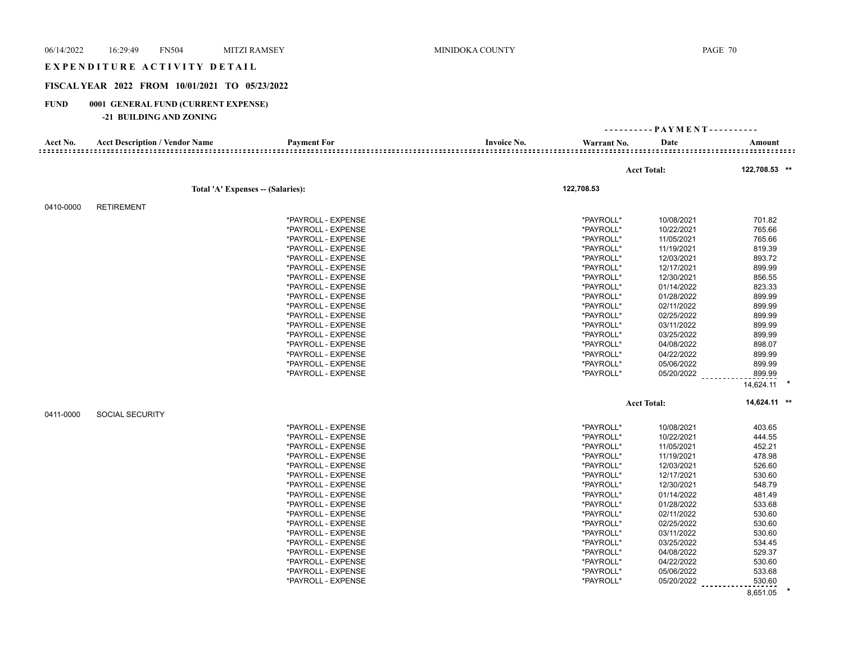| 06/14/2022  | <b>FN504</b><br>16:29:49                                       | <b>MITZI RAMSEY</b>              | MINIDOKA COUNTY    |             |                              | PAGE 70            |
|-------------|----------------------------------------------------------------|----------------------------------|--------------------|-------------|------------------------------|--------------------|
|             | EXPENDITURE ACTIVITY DETAIL                                    |                                  |                    |             |                              |                    |
|             | FISCAL YEAR 2022 FROM 10/01/2021 TO 05/23/2022                 |                                  |                    |             |                              |                    |
| <b>FUND</b> | 0001 GENERAL FUND (CURRENT EXPENSE)<br>-21 BUILDING AND ZONING |                                  |                    |             |                              |                    |
|             |                                                                |                                  |                    |             | ---------- PAYMENT---------- |                    |
| Acct No.    | <b>Acct Description / Vendor Name</b>                          | <b>Payment For</b>               | <b>Invoice No.</b> | Warrant No. | Date                         | Amount             |
|             |                                                                |                                  |                    |             |                              |                    |
|             |                                                                |                                  |                    |             | <b>Acct Total:</b>           | 122,708.53 **      |
|             |                                                                | Total 'A' Expenses - (Salaries): |                    | 122,708.53  |                              |                    |
| 0410-0000   | <b>RETIREMENT</b>                                              |                                  |                    |             |                              |                    |
|             |                                                                | *PAYROLL - EXPENSE               |                    | *PAYROLL*   | 10/08/2021                   | 701.82             |
|             |                                                                | *PAYROLL - EXPENSE               |                    | *PAYROLL*   | 10/22/2021                   | 765.66             |
|             |                                                                | *PAYROLL - EXPENSE               |                    | *PAYROLL*   | 11/05/2021                   | 765.66             |
|             |                                                                | *PAYROLL - EXPENSE               |                    | *PAYROLL*   | 11/19/2021                   | 819.39             |
|             |                                                                | *PAYROLL - EXPENSE               |                    | *PAYROLL*   | 12/03/2021                   | 893.72             |
|             |                                                                | *PAYROLL - EXPENSE               |                    | *PAYROLL*   | 12/17/2021                   | 899.99             |
|             |                                                                | *PAYROLL - EXPENSE               |                    | *PAYROLL*   | 12/30/2021                   | 856.55             |
|             |                                                                | *PAYROLL - EXPENSE               |                    | *PAYROLL*   | 01/14/2022                   | 823.33             |
|             |                                                                | *PAYROLL - EXPENSE               |                    | *PAYROLL*   | 01/28/2022                   | 899.99             |
|             |                                                                | *PAYROLL - EXPENSE               |                    | *PAYROLL*   | 02/11/2022                   | 899.99             |
|             |                                                                | *PAYROLL - EXPENSE               |                    | *PAYROLL*   | 02/25/2022                   | 899.99             |
|             |                                                                | *PAYROLL - EXPENSE               |                    | *PAYROLL*   | 03/11/2022                   | 899.99             |
|             |                                                                |                                  |                    |             |                              |                    |
|             |                                                                | *PAYROLL - EXPENSE               |                    | *PAYROLL*   | 03/25/2022                   | 899.99             |
|             |                                                                | *PAYROLL - EXPENSE               |                    | *PAYROLL*   | 04/08/2022                   | 898.07             |
|             |                                                                | *PAYROLL - EXPENSE               |                    | *PAYROLL*   | 04/22/2022                   | 899.99             |
|             |                                                                | *PAYROLL - EXPENSE               |                    | *PAYROLL*   | 05/06/2022                   | 899.99             |
|             |                                                                | *PAYROLL - EXPENSE               |                    | *PAYROLL*   | 05/20/2022                   | 899.99             |
|             |                                                                |                                  |                    |             |                              | 14,624.11          |
|             |                                                                |                                  |                    |             | <b>Acct Total:</b>           | 14,624.11 **       |
| 0411-0000   | <b>SOCIAL SECURITY</b>                                         |                                  |                    |             |                              |                    |
|             |                                                                | *PAYROLL - EXPENSE               |                    | *PAYROLL*   | 10/08/2021                   | 403.65             |
|             |                                                                | *PAYROLL - EXPENSE               |                    | *PAYROLL*   | 10/22/2021                   | 444.55             |
|             |                                                                | *PAYROLL - EXPENSE               |                    | *PAYROLL*   | 11/05/2021                   | 452.21             |
|             |                                                                | *PAYROLL - EXPENSE               |                    | *PAYROLL*   | 11/19/2021                   | 478.98             |
|             |                                                                | *PAYROLL - EXPENSE               |                    | *PAYROLL*   | 12/03/2021                   | 526.60             |
|             |                                                                | *PAYROLL - EXPENSE               |                    | *PAYROLL*   | 12/17/2021                   | 530.60             |
|             |                                                                | *PAYROLL - EXPENSE               |                    | *PAYROLL*   | 12/30/2021                   | 548.79             |
|             |                                                                | *PAYROLL - EXPENSE               |                    | *PAYROLL*   | 01/14/2022                   | 481.49             |
|             |                                                                | *PAYROLL - EXPENSE               |                    | *PAYROLL*   | 01/28/2022                   | 533.68             |
|             |                                                                | *PAYROLL - EXPENSE               |                    | *PAYROLL*   | 02/11/2022                   | 530.60             |
|             |                                                                | *PAYROLL - EXPENSE               |                    | *PAYROLL*   | 02/25/2022                   | 530.60             |
|             |                                                                | *PAYROLL - EXPENSE               |                    | *PAYROLL*   | 03/11/2022                   | 530.60             |
|             |                                                                | *PAYROLL - EXPENSE               |                    | *PAYROLL*   | 03/25/2022                   | 534.45             |
|             |                                                                | *PAYROLL - EXPENSE               |                    | *PAYROLL*   | 04/08/2022                   | 529.37             |
|             |                                                                | *PAYROLL - EXPENSE               |                    | *PAYROLL*   | 04/22/2022                   | 530.60             |
|             |                                                                | *PAYROLL - EXPENSE               |                    | *PAYROLL*   | 05/06/2022                   | 533.68             |
|             |                                                                | *PAYROLL - EXPENSE               |                    | *PAYROLL*   | 05/20/2022                   | 530.60<br><u>.</u> |
|             |                                                                |                                  |                    |             |                              | 8,651.05           |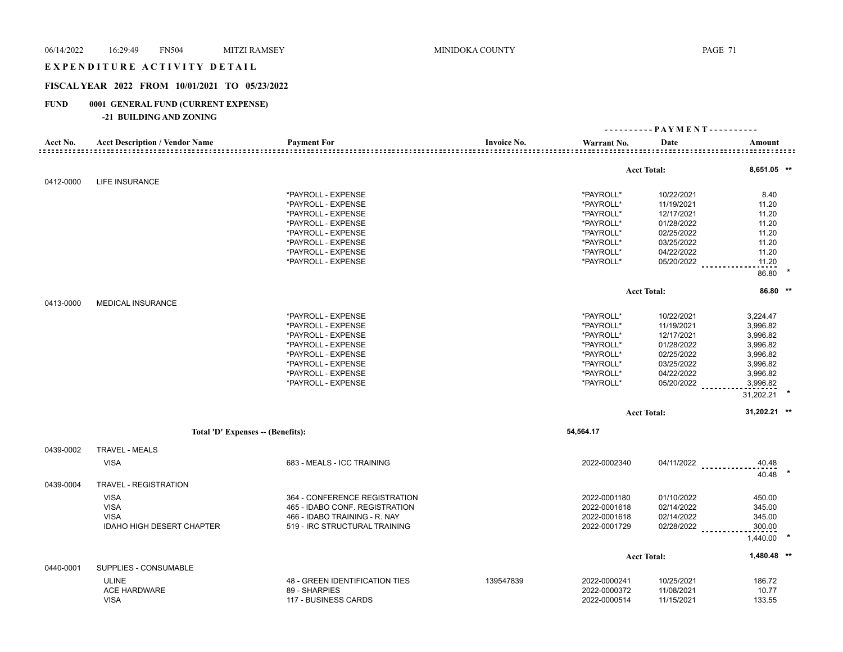# EXPENDITURE ACTIVITY DETAIL

# **FISCAL YEAR 2022 FROM 10/01/2021 TO 05/23/2022**

# **FUND 0001 GENERAL FUND (CURRENT EXPENSE)**

**-21 BUILDING AND ZONING**

|           |                                       |                                |                    | ---------- PAYMENT---------- |                                 |                       |  |
|-----------|---------------------------------------|--------------------------------|--------------------|------------------------------|---------------------------------|-----------------------|--|
| Acct No.  | <b>Acct Description / Vendor Name</b> | <b>Payment For</b>             | <b>Invoice No.</b> | Warrant No.                  | Date                            | Amount<br>:========== |  |
|           |                                       |                                |                    |                              |                                 |                       |  |
| 0412-0000 | <b>LIFE INSURANCE</b>                 |                                |                    |                              | <b>Acct Total:</b>              | $8,651.05$ **         |  |
|           |                                       | *PAYROLL - EXPENSE             |                    | *PAYROLL*                    | 10/22/2021                      | 8.40                  |  |
|           |                                       | *PAYROLL - EXPENSE             |                    | *PAYROLL*                    | 11/19/2021                      | 11.20                 |  |
|           |                                       | *PAYROLL - EXPENSE             |                    | *PAYROLL*                    | 12/17/2021                      | 11.20                 |  |
|           |                                       | *PAYROLL - EXPENSE             |                    | *PAYROLL*                    | 01/28/2022                      | 11.20                 |  |
|           |                                       | *PAYROLL - EXPENSE             |                    | *PAYROLL*                    | 02/25/2022                      | 11.20                 |  |
|           |                                       | *PAYROLL - EXPENSE             |                    | *PAYROLL*                    | 03/25/2022                      | 11.20                 |  |
|           |                                       | *PAYROLL - EXPENSE             |                    | *PAYROLL*                    | 04/22/2022                      | 11.20                 |  |
|           |                                       |                                |                    |                              |                                 |                       |  |
|           |                                       | *PAYROLL - EXPENSE             |                    | *PAYROLL*                    | 05/20/2022                      | 11.20<br>86.80        |  |
|           |                                       |                                |                    |                              |                                 |                       |  |
|           |                                       |                                |                    |                              | <b>Acct Total:</b>              | 86.80 **              |  |
| 0413-0000 | <b>MEDICAL INSURANCE</b>              |                                |                    |                              |                                 |                       |  |
|           |                                       | *PAYROLL - EXPENSE             |                    | *PAYROLL*                    | 10/22/2021                      | 3,224.47              |  |
|           |                                       | *PAYROLL - EXPENSE             |                    | *PAYROLL*                    | 11/19/2021                      | 3,996.82              |  |
|           |                                       | *PAYROLL - EXPENSE             |                    | *PAYROLL*                    | 12/17/2021                      | 3,996.82              |  |
|           |                                       | *PAYROLL - EXPENSE             |                    | *PAYROLL*                    | 01/28/2022                      | 3,996.82              |  |
|           |                                       | *PAYROLL - EXPENSE             |                    | *PAYROLL*                    | 02/25/2022                      | 3,996.82              |  |
|           |                                       | *PAYROLL - EXPENSE             |                    | *PAYROLL*                    | 03/25/2022                      | 3,996.82              |  |
|           |                                       | *PAYROLL - EXPENSE             |                    | *PAYROLL*                    | 04/22/2022                      | 3,996.82              |  |
|           |                                       | *PAYROLL - EXPENSE             |                    | *PAYROLL*                    | 05/20/2022                      | 3,996.82              |  |
|           |                                       |                                |                    |                              |                                 | 31,202.21             |  |
|           |                                       |                                |                    |                              | <b>Acct Total:</b>              | 31,202.21 **          |  |
|           |                                       |                                |                    | 54,564.17                    |                                 |                       |  |
|           | Total 'D' Expenses -- (Benefits):     |                                |                    |                              |                                 |                       |  |
| 0439-0002 | <b>TRAVEL - MEALS</b>                 |                                |                    |                              |                                 |                       |  |
|           | <b>VISA</b>                           | 683 - MEALS - ICC TRAINING     |                    | 2022-0002340                 | 04/11/2022                      | 40.48                 |  |
|           |                                       |                                |                    |                              |                                 | 40.48                 |  |
| 0439-0004 | <b>TRAVEL - REGISTRATION</b>          |                                |                    |                              |                                 |                       |  |
|           | <b>VISA</b>                           | 364 - CONFERENCE REGISTRATION  |                    | 2022-0001180                 | 01/10/2022                      | 450.00                |  |
|           | <b>VISA</b>                           | 465 - IDABO CONF. REGISTRATION |                    | 2022-0001618                 | 02/14/2022                      | 345.00                |  |
|           | <b>VISA</b>                           | 466 - IDABO TRAINING - R. NAY  |                    | 2022-0001618                 | 02/14/2022                      | 345.00                |  |
|           | <b>IDAHO HIGH DESERT CHAPTER</b>      | 519 - IRC STRUCTURAL TRAINING  |                    | 2022-0001729                 | 02/28/2022<br><b>Contractor</b> | 300.00                |  |
|           |                                       |                                |                    |                              |                                 | 1,440.00              |  |
|           |                                       |                                |                    |                              | <b>Acct Total:</b>              | 1,480.48 **           |  |
| 0440-0001 | SUPPLIES - CONSUMABLE                 |                                |                    |                              |                                 |                       |  |
|           | <b>ULINE</b>                          | 48 - GREEN IDENTIFICATION TIES | 139547839          | 2022-0000241                 | 10/25/2021                      | 186.72                |  |
|           | ACE HARDWARE                          | 89 - SHARPIES                  |                    | 2022-0000372                 | 11/08/2021                      | 10.77                 |  |
|           | <b>VISA</b>                           | 117 - BUSINESS CARDS           |                    | 2022-0000514                 | 11/15/2021                      | 133.55                |  |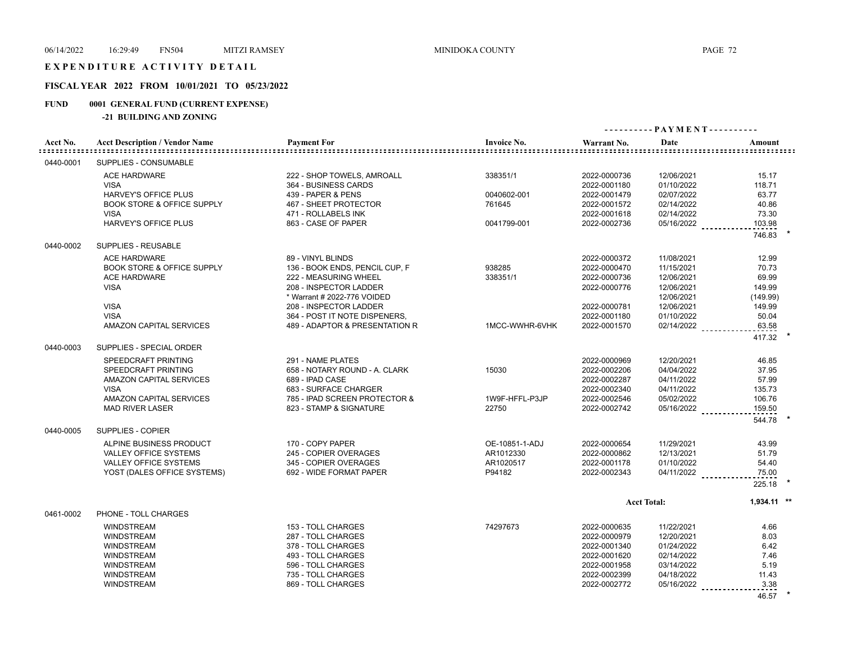#### EXPENDITURE ACTIVITY DETAIL

# **FISCAL YEAR 2022 FROM 10/01/2021 TO 05/23/2022**

# **FUND 0001 GENERAL FUND (CURRENT EXPENSE)**

#### **-21 BUILDING AND ZONING**

| Acct No.  | <b>Acct Description / Vendor Name</b> | <b>Payment For</b>             | <b>Invoice No.</b> | ----------PAYMENT---------- |              |                  |
|-----------|---------------------------------------|--------------------------------|--------------------|-----------------------------|--------------|------------------|
|           |                                       |                                |                    | Warrant No.                 | Date         | Amount           |
| 0440-0001 | SUPPLIES - CONSUMABLE                 |                                |                    |                             |              |                  |
|           | <b>ACE HARDWARE</b>                   | 222 - SHOP TOWELS, AMROALL     | 338351/1           | 2022-0000736                | 12/06/2021   | 15.17            |
|           | <b>VISA</b>                           | 364 - BUSINESS CARDS           |                    | 2022-0001180                | 01/10/2022   | 118.71           |
|           | HARVEY'S OFFICE PLUS                  | 439 - PAPER & PENS             | 0040602-001        | 2022-0001479                | 02/07/2022   | 63.77            |
|           | <b>BOOK STORE &amp; OFFICE SUPPLY</b> | 467 - SHEET PROTECTOR          | 761645             | 2022-0001572                | 02/14/2022   | 40.86            |
|           | <b>VISA</b>                           | 471 - ROLLABELS INK            |                    | 2022-0001618                | 02/14/2022   | 73.30            |
|           | <b>HARVEY'S OFFICE PLUS</b>           | 863 - CASE OF PAPER            | 0041799-001        | 2022-0002736                | $05/16/2022$ | 103.98           |
|           |                                       |                                |                    |                             |              | 746.83           |
| 0440-0002 | SUPPLIES - REUSABLE                   |                                |                    |                             |              |                  |
|           | <b>ACE HARDWARE</b>                   | 89 - VINYL BLINDS              |                    | 2022-0000372                | 11/08/2021   | 12.99            |
|           | <b>BOOK STORE &amp; OFFICE SUPPLY</b> | 136 - BOOK ENDS, PENCIL CUP, F | 938285             | 2022-0000470                | 11/15/2021   | 70.73            |
|           | <b>ACE HARDWARE</b>                   | 222 - MEASURING WHEEL          | 338351/1           | 2022-0000736                | 12/06/2021   | 69.99            |
|           | <b>VISA</b>                           | 208 - INSPECTOR LADDER         |                    | 2022-0000776                | 12/06/2021   | 149.99           |
|           |                                       | * Warrant # 2022-776 VOIDED    |                    |                             | 12/06/2021   | (149.99)         |
|           | <b>VISA</b>                           | 208 - INSPECTOR LADDER         |                    | 2022-0000781                | 12/06/2021   | 149.99           |
|           | <b>VISA</b>                           | 364 - POST IT NOTE DISPENERS,  |                    | 2022-0001180                | 01/10/2022   | 50.04            |
|           | AMAZON CAPITAL SERVICES               | 489 - ADAPTOR & PRESENTATION R | 1MCC-WWHR-6VHK     | 2022-0001570                | 02/14/2022   | 63.58            |
|           |                                       |                                |                    |                             |              | 417.32           |
| 0440-0003 | SUPPLIES - SPECIAL ORDER              |                                |                    |                             |              |                  |
|           | <b>SPEEDCRAFT PRINTING</b>            | 291 - NAME PLATES              |                    | 2022-0000969                | 12/20/2021   | 46.85            |
|           | SPEEDCRAFT PRINTING                   | 658 - NOTARY ROUND - A. CLARK  | 15030              | 2022-0002206                | 04/04/2022   | 37.95            |
|           | <b>AMAZON CAPITAL SERVICES</b>        | 689 - IPAD CASE                |                    | 2022-0002287                | 04/11/2022   | 57.99            |
|           | <b>VISA</b>                           | 683 - SURFACE CHARGER          |                    | 2022-0002340                | 04/11/2022   | 135.73           |
|           | AMAZON CAPITAL SERVICES               | 785 - IPAD SCREEN PROTECTOR &  | 1W9F-HFFL-P3JP     | 2022-0002546                | 05/02/2022   | 106.76           |
|           | <b>MAD RIVER LASER</b>                | 823 - STAMP & SIGNATURE        | 22750              | 2022-0002742                | 05/16/2022   | 159.50           |
|           |                                       |                                |                    |                             |              | 544.78           |
| 0440-0005 | SUPPLIES - COPIER                     |                                |                    |                             |              |                  |
|           | ALPINE BUSINESS PRODUCT               | 170 - COPY PAPER               | OE-10851-1-ADJ     | 2022-0000654                | 11/29/2021   | 43.99            |
|           | VALLEY OFFICE SYSTEMS                 | 245 - COPIER OVERAGES          | AR1012330          | 2022-0000862                | 12/13/2021   | 51.79            |
|           | VALLEY OFFICE SYSTEMS                 | 345 - COPIER OVERAGES          | AR1020517          | 2022-0001178                | 01/10/2022   | 54.40            |
|           | YOST (DALES OFFICE SYSTEMS)           | 692 - WIDE FORMAT PAPER        | P94182             | 2022-0002343                | $04/11/2022$ | 75.00            |
|           |                                       |                                |                    |                             |              | 225.18           |
|           |                                       |                                |                    | <b>Acct Total:</b>          |              | 1,934.11 **      |
| 0461-0002 | PHONE - TOLL CHARGES                  |                                |                    |                             |              |                  |
|           | <b>WINDSTREAM</b>                     | 153 - TOLL CHARGES             | 74297673           | 2022-0000635                | 11/22/2021   | 4.66             |
|           | <b>WINDSTREAM</b>                     | 287 - TOLL CHARGES             |                    | 2022-0000979                | 12/20/2021   | 8.03             |
|           | <b>WINDSTREAM</b>                     | 378 - TOLL CHARGES             |                    | 2022-0001340                | 01/24/2022   | 6.42             |
|           | <b>WINDSTREAM</b>                     | 493 - TOLL CHARGES             |                    | 2022-0001620                | 02/14/2022   | 7.46             |
|           | <b>WINDSTREAM</b>                     | 596 - TOLL CHARGES             |                    | 2022-0001958                | 03/14/2022   | 5.19             |
|           | <b>WINDSTREAM</b>                     | 735 - TOLL CHARGES             |                    | 2022-0002399                | 04/18/2022   | 11.43            |
|           | <b>WINDSTREAM</b>                     | 869 - TOLL CHARGES             |                    | 2022-0002772                | 05/16/2022   | 3.38<br><u>.</u> |
|           |                                       |                                |                    |                             |              | 46.57            |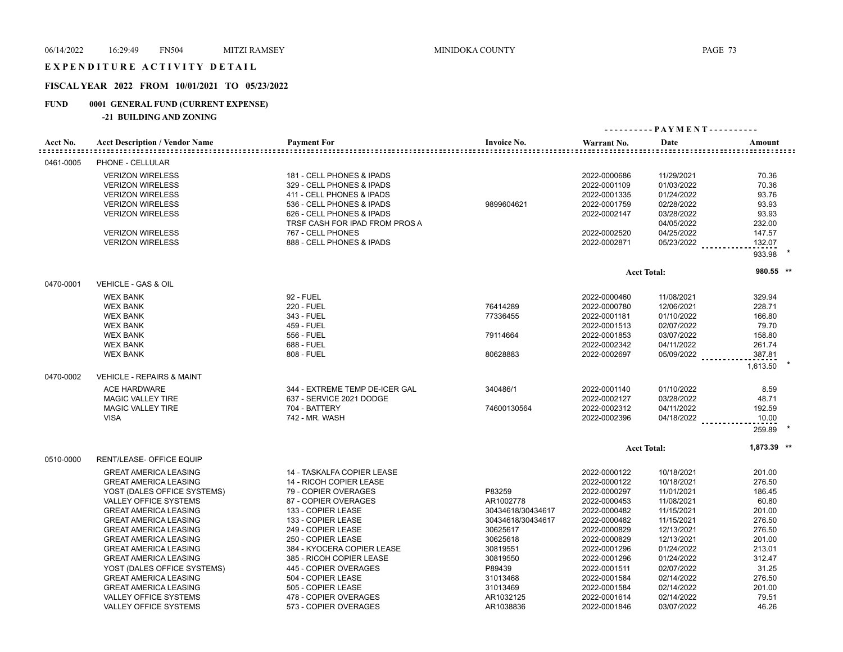#### EXPENDITURE ACTIVITY DETAIL

## **FISCAL YEAR 2022 FROM 10/01/2021 TO 05/23/2022**

## **FUND 0001 GENERAL FUND (CURRENT EXPENSE)**

## **-21 BUILDING AND ZONING**

| Acct No.  | <b>Acct Description / Vendor Name</b> | <b>Payment For</b>             | <b>Invoice No.</b> | Warrant No.  | Date               | Amount             |
|-----------|---------------------------------------|--------------------------------|--------------------|--------------|--------------------|--------------------|
| 0461-0005 | PHONE - CELLULAR                      |                                |                    |              |                    |                    |
|           | <b>VERIZON WIRELESS</b>               | 181 - CELL PHONES & IPADS      |                    | 2022-0000686 | 11/29/2021         | 70.36              |
|           | <b>VERIZON WIRELESS</b>               | 329 - CELL PHONES & IPADS      |                    | 2022-0001109 | 01/03/2022         | 70.36              |
|           | <b>VERIZON WIRELESS</b>               | 411 - CELL PHONES & IPADS      |                    | 2022-0001335 | 01/24/2022         | 93.76              |
|           | <b>VERIZON WIRELESS</b>               | 536 - CELL PHONES & IPADS      | 9899604621         | 2022-0001759 | 02/28/2022         | 93.93              |
|           | <b>VERIZON WIRELESS</b>               | 626 - CELL PHONES & IPADS      |                    | 2022-0002147 | 03/28/2022         | 93.93              |
|           |                                       | TRSF CASH FOR IPAD FROM PROS A |                    |              | 04/05/2022         | 232.00             |
|           | <b>VERIZON WIRELESS</b>               | 767 - CELL PHONES              |                    | 2022-0002520 | 04/25/2022         | 147.57             |
|           |                                       |                                |                    |              |                    |                    |
|           | <b>VERIZON WIRELESS</b>               | 888 - CELL PHONES & IPADS      |                    | 2022-0002871 | 05/23/2022         | 132.07             |
|           |                                       |                                |                    |              |                    | 933.98             |
|           |                                       |                                |                    |              | <b>Acct Total:</b> | 980.55 **          |
| 0470-0001 | <b>VEHICLE - GAS &amp; OIL</b>        |                                |                    |              |                    |                    |
|           | <b>WEX BANK</b>                       | 92 - FUEL                      |                    | 2022-0000460 | 11/08/2021         | 329.94             |
|           | <b>WEX BANK</b>                       | 220 - FUEL                     | 76414289           | 2022-0000780 | 12/06/2021         | 228.71             |
|           | <b>WEX BANK</b>                       | 343 - FUEL                     | 77336455           | 2022-0001181 | 01/10/2022         | 166.80             |
|           | <b>WEX BANK</b>                       | 459 - FUEL                     |                    | 2022-0001513 | 02/07/2022         | 79.70              |
|           | <b>WEX BANK</b>                       | 556 - FUEL                     | 79114664           | 2022-0001853 | 03/07/2022         | 158.80             |
|           | <b>WEX BANK</b>                       | 688 - FUEL                     |                    | 2022-0002342 | 04/11/2022         | 261.74             |
|           |                                       |                                |                    |              |                    |                    |
|           | <b>WEX BANK</b>                       | 808 - FUEL                     | 80628883           | 2022-0002697 | 05/09/2022         | 387.81<br>1,613.50 |
| 0470-0002 | <b>VEHICLE - REPAIRS &amp; MAINT</b>  |                                |                    |              |                    |                    |
|           | <b>ACE HARDWARE</b>                   | 344 - EXTREME TEMP DE-ICER GAL | 340486/1           | 2022-0001140 | 01/10/2022         | 8.59               |
|           | <b>MAGIC VALLEY TIRE</b>              | 637 - SERVICE 2021 DODGE       |                    | 2022-0002127 | 03/28/2022         | 48.71              |
|           | <b>MAGIC VALLEY TIRE</b>              | 704 - BATTERY                  | 74600130564        | 2022-0002312 | 04/11/2022         | 192.59             |
|           | <b>VISA</b>                           | 742 - MR. WASH                 |                    | 2022-0002396 | 04/18/2022         | 10.00              |
|           |                                       |                                |                    |              |                    | 259.89             |
|           |                                       |                                |                    |              | <b>Acct Total:</b> | 1,873.39 **        |
| 0510-0000 | RENT/LEASE- OFFICE EQUIP              |                                |                    |              |                    |                    |
|           | <b>GREAT AMERICA LEASING</b>          | 14 - TASKALFA COPIER LEASE     |                    | 2022-0000122 | 10/18/2021         | 201.00             |
|           | <b>GREAT AMERICA LEASING</b>          | 14 - RICOH COPIER LEASE        |                    | 2022-0000122 | 10/18/2021         | 276.50             |
|           | YOST (DALES OFFICE SYSTEMS)           | 79 - COPIER OVERAGES           | P83259             | 2022-0000297 | 11/01/2021         | 186.45             |
|           | <b>VALLEY OFFICE SYSTEMS</b>          | 87 - COPIER OVERAGES           | AR1002778          | 2022-0000453 | 11/08/2021         | 60.80              |
|           | <b>GREAT AMERICA LEASING</b>          | 133 - COPIER LEASE             | 30434618/30434617  | 2022-0000482 | 11/15/2021         | 201.00             |
|           | <b>GREAT AMERICA LEASING</b>          | 133 - COPIER LEASE             | 30434618/30434617  | 2022-0000482 | 11/15/2021         | 276.50             |
|           | <b>GREAT AMERICA LEASING</b>          | 249 - COPIER LEASE             | 30625617           | 2022-0000829 | 12/13/2021         | 276.50             |
|           |                                       |                                |                    |              |                    |                    |
|           | <b>GREAT AMERICA LEASING</b>          | 250 - COPIER LEASE             | 30625618           | 2022-0000829 | 12/13/2021         | 201.00             |
|           | <b>GREAT AMERICA LEASING</b>          | 384 - KYOCERA COPIER LEASE     | 30819551           | 2022-0001296 | 01/24/2022         | 213.01             |
|           | <b>GREAT AMERICA LEASING</b>          | 385 - RICOH COPIER LEASE       | 30819550           | 2022-0001296 | 01/24/2022         | 312.47             |
|           | YOST (DALES OFFICE SYSTEMS)           | 445 - COPIER OVERAGES          | P89439             | 2022-0001511 | 02/07/2022         | 31.25              |
|           | <b>GREAT AMERICA LEASING</b>          | 504 - COPIER LEASE             | 31013468           | 2022-0001584 | 02/14/2022         | 276.50             |
|           | <b>GREAT AMERICA LEASING</b>          | 505 - COPIER LEASE             | 31013469           | 2022-0001584 | 02/14/2022         | 201.00             |
|           | VALLEY OFFICE SYSTEMS                 | 478 - COPIER OVERAGES          | AR1032125          | 2022-0001614 | 02/14/2022         | 79.51              |
|           | VALLEY OFFICE SYSTEMS                 | 573 - COPIER OVERAGES          | AR1038836          | 2022-0001846 | 03/07/2022         | 46.26              |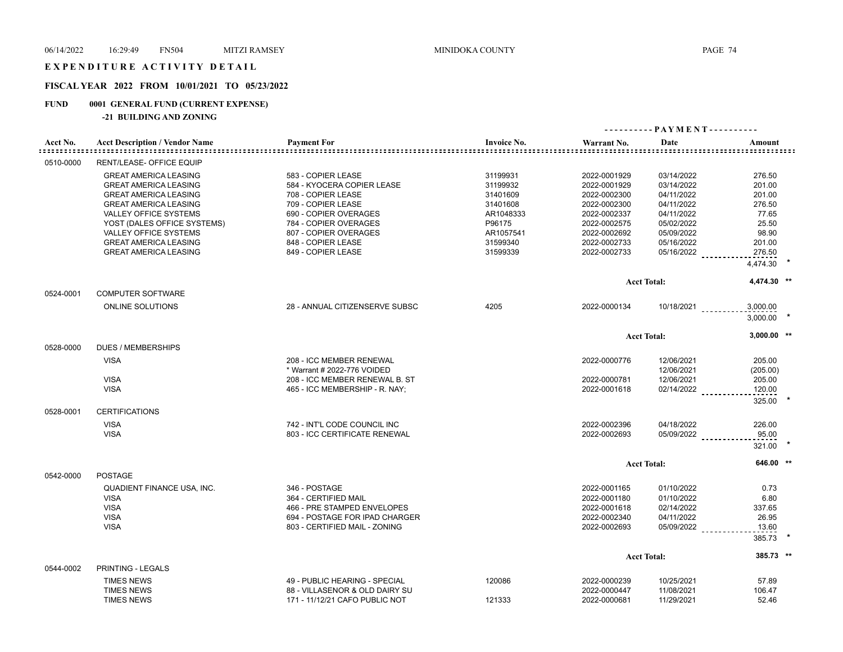## EXPENDITURE ACTIVITY DETAIL

## **FISCAL YEAR 2022 FROM 10/01/2021 TO 05/23/2022**

## **FUND 0001 GENERAL FUND (CURRENT EXPENSE)**

## **-21 BUILDING AND ZONING**

|                                |                                                                                                                                                                                             |                                                                                                                                                |                                                                     |                                                                                              | ---------- PAYMENT----------                                                     |                                                        |  |
|--------------------------------|---------------------------------------------------------------------------------------------------------------------------------------------------------------------------------------------|------------------------------------------------------------------------------------------------------------------------------------------------|---------------------------------------------------------------------|----------------------------------------------------------------------------------------------|----------------------------------------------------------------------------------|--------------------------------------------------------|--|
| Acct No.<br><u>===========</u> | <b>Acct Description / Vendor Name</b>                                                                                                                                                       | <b>Payment For</b><br>-----------------                                                                                                        | <b>Invoice No.</b>                                                  | Warrant No.                                                                                  | Date                                                                             | Amount                                                 |  |
| 0510-0000                      | RENT/LEASE- OFFICE EQUIP                                                                                                                                                                    |                                                                                                                                                |                                                                     |                                                                                              |                                                                                  |                                                        |  |
|                                | <b>GREAT AMERICA LEASING</b><br><b>GREAT AMERICA LEASING</b><br><b>GREAT AMERICA LEASING</b><br><b>GREAT AMERICA LEASING</b><br><b>VALLEY OFFICE SYSTEMS</b><br>YOST (DALES OFFICE SYSTEMS) | 583 - COPIER LEASE<br>584 - KYOCERA COPIER LEASE<br>708 - COPIER LEASE<br>709 - COPIER LEASE<br>690 - COPIER OVERAGES<br>784 - COPIER OVERAGES | 31199931<br>31199932<br>31401609<br>31401608<br>AR1048333<br>P96175 | 2022-0001929<br>2022-0001929<br>2022-0002300<br>2022-0002300<br>2022-0002337<br>2022-0002575 | 03/14/2022<br>03/14/2022<br>04/11/2022<br>04/11/2022<br>04/11/2022<br>05/02/2022 | 276.50<br>201.00<br>201.00<br>276.50<br>77.65<br>25.50 |  |
|                                | <b>VALLEY OFFICE SYSTEMS</b><br><b>GREAT AMERICA LEASING</b><br><b>GREAT AMERICA LEASING</b>                                                                                                | 807 - COPIER OVERAGES<br>848 - COPIER LEASE<br>849 - COPIER LEASE                                                                              | AR1057541<br>31599340<br>31599339                                   | 2022-0002692<br>2022-0002733<br>2022-0002733                                                 | 05/09/2022<br>05/16/2022<br>05/16/2022                                           | 98.90<br>201.00<br>276.50<br>4,474.30                  |  |
|                                |                                                                                                                                                                                             |                                                                                                                                                |                                                                     |                                                                                              |                                                                                  | 4,474.30 **                                            |  |
| 0524-0001                      | <b>COMPUTER SOFTWARE</b>                                                                                                                                                                    |                                                                                                                                                |                                                                     |                                                                                              | <b>Acct Total:</b>                                                               |                                                        |  |
|                                | <b>ONLINE SOLUTIONS</b>                                                                                                                                                                     | 28 - ANNUAL CITIZENSERVE SUBSC                                                                                                                 | 4205                                                                | 2022-0000134                                                                                 | $10/18/2021$                                                                     | 3,000.00<br>3,000.00                                   |  |
|                                |                                                                                                                                                                                             |                                                                                                                                                |                                                                     |                                                                                              | <b>Acct Total:</b>                                                               | $3,000.00$ **                                          |  |
| 0528-0000                      | <b>DUES / MEMBERSHIPS</b>                                                                                                                                                                   |                                                                                                                                                |                                                                     |                                                                                              |                                                                                  |                                                        |  |
|                                | <b>VISA</b>                                                                                                                                                                                 | 208 - ICC MEMBER RENEWAL<br>* Warrant # 2022-776 VOIDED                                                                                        |                                                                     | 2022-0000776                                                                                 | 12/06/2021<br>12/06/2021                                                         | 205.00<br>(205.00)                                     |  |
|                                | <b>VISA</b><br><b>VISA</b>                                                                                                                                                                  | 208 - ICC MEMBER RENEWAL B. ST<br>465 - ICC MEMBERSHIP - R. NAY;                                                                               |                                                                     | 2022-0000781<br>2022-0001618                                                                 | 12/06/2021<br>02/14/2022                                                         | 205.00<br>120.00<br>325.00                             |  |
| 0528-0001                      | <b>CERTIFICATIONS</b>                                                                                                                                                                       |                                                                                                                                                |                                                                     |                                                                                              |                                                                                  |                                                        |  |
|                                | <b>VISA</b><br><b>VISA</b>                                                                                                                                                                  | 742 - INT'L CODE COUNCIL INC<br>803 - ICC CERTIFICATE RENEWAL                                                                                  |                                                                     | 2022-0002396<br>2022-0002693                                                                 | 04/18/2022<br>05/09/2022                                                         | 226.00<br>95.00<br>321.00                              |  |
|                                |                                                                                                                                                                                             |                                                                                                                                                |                                                                     |                                                                                              | <b>Acct Total:</b>                                                               | 646.00 **                                              |  |
| 0542-0000                      | <b>POSTAGE</b>                                                                                                                                                                              |                                                                                                                                                |                                                                     |                                                                                              |                                                                                  |                                                        |  |
|                                | QUADIENT FINANCE USA, INC.<br><b>VISA</b><br><b>VISA</b><br><b>VISA</b><br><b>VISA</b>                                                                                                      | 346 - POSTAGE<br>364 - CERTIFIED MAIL<br>466 - PRE STAMPED ENVELOPES<br>694 - POSTAGE FOR IPAD CHARGER<br>803 - CERTIFIED MAIL - ZONING        |                                                                     | 2022-0001165<br>2022-0001180<br>2022-0001618<br>2022-0002340<br>2022-0002693                 | 01/10/2022<br>01/10/2022<br>02/14/2022<br>04/11/2022<br>05/09/2022               | 0.73<br>6.80<br>337.65<br>26.95<br>13.60<br>385.73     |  |
|                                |                                                                                                                                                                                             |                                                                                                                                                |                                                                     |                                                                                              | <b>Acct Total:</b>                                                               | 385.73 **                                              |  |
| 0544-0002                      | <b>PRINTING - LEGALS</b><br><b>TIMES NEWS</b><br><b>TIMES NEWS</b>                                                                                                                          | 49 - PUBLIC HEARING - SPECIAL<br>88 - VILLASENOR & OLD DAIRY SU                                                                                | 120086                                                              | 2022-0000239<br>2022-0000447                                                                 | 10/25/2021<br>11/08/2021                                                         | 57.89<br>106.47                                        |  |
|                                | <b>TIMES NEWS</b>                                                                                                                                                                           | 171 - 11/12/21 CAFO PUBLIC NOT                                                                                                                 | 121333                                                              | 2022-0000681                                                                                 | 11/29/2021                                                                       | 52.46                                                  |  |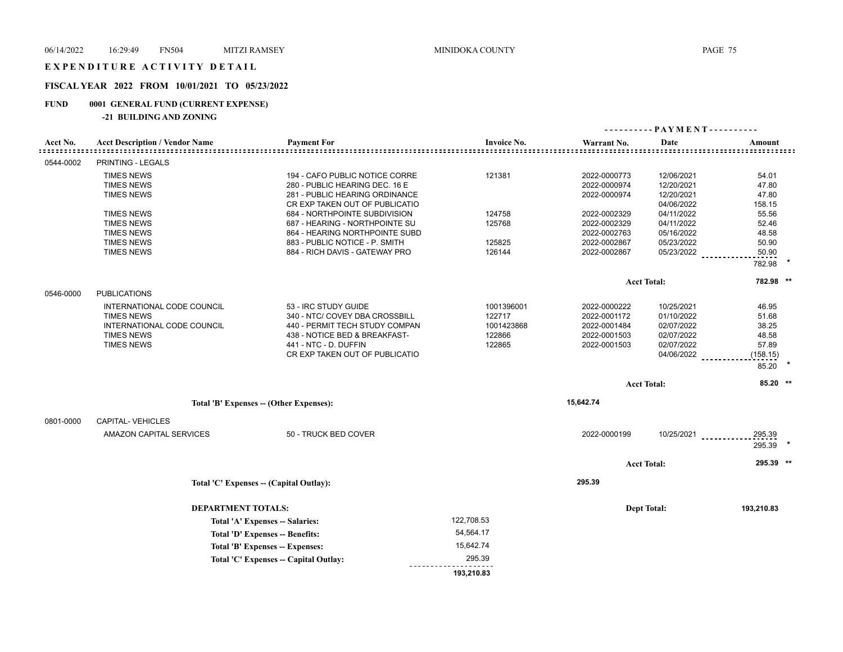## EXPENDITURE ACTIVITY DETAIL

## **FISCAL YEAR 2022 FROM 10/01/2021 TO 05/23/2022**

## **FUND 0001 GENERAL FUND (CURRENT EXPENSE)**

**-21 BUILDING AND ZONING**

| Acct No.  | <b>Acct Description / Vendor Name</b> | <b>Payment For</b>                      | <b>Invoice No.</b> | Warrant No.  | Date               | Amount             |
|-----------|---------------------------------------|-----------------------------------------|--------------------|--------------|--------------------|--------------------|
| 0544-0002 | PRINTING - LEGALS                     |                                         |                    |              |                    | ------------------ |
|           | <b>TIMES NEWS</b>                     | 194 - CAFO PUBLIC NOTICE CORRE          | 121381             | 2022-0000773 | 12/06/2021         | 54.01              |
|           |                                       |                                         |                    |              |                    | 47.80              |
|           | <b>TIMES NEWS</b>                     | 280 - PUBLIC HEARING DEC. 16 E          |                    | 2022-0000974 | 12/20/2021         |                    |
|           | <b>TIMES NEWS</b>                     | 281 - PUBLIC HEARING ORDINANCE          |                    | 2022-0000974 | 12/20/2021         | 47.80              |
|           |                                       | CR EXP TAKEN OUT OF PUBLICATIO          |                    |              | 04/06/2022         | 158.15             |
|           | <b>TIMES NEWS</b>                     | 684 - NORTHPOINTE SUBDIVISION           | 124758             | 2022-0002329 | 04/11/2022         | 55.56              |
|           | <b>TIMES NEWS</b>                     | 687 - HEARING - NORTHPOINTE SU          | 125768             | 2022-0002329 | 04/11/2022         | 52.46              |
|           | <b>TIMES NEWS</b>                     | 864 - HEARING NORTHPOINTE SUBD          |                    | 2022-0002763 | 05/16/2022         | 48.58              |
|           | <b>TIMES NEWS</b>                     | 883 - PUBLIC NOTICE - P. SMITH          | 125825             | 2022-0002867 | 05/23/2022         | 50.90              |
|           | <b>TIMES NEWS</b>                     | 884 - RICH DAVIS - GATEWAY PRO          | 126144             | 2022-0002867 | 05/23/2022         | 50.90              |
|           |                                       |                                         |                    |              |                    | 782.98             |
|           |                                       |                                         |                    |              | <b>Acct Total:</b> | 782.98 **          |
| 0546-0000 | <b>PUBLICATIONS</b>                   |                                         |                    |              |                    |                    |
|           | INTERNATIONAL CODE COUNCIL            | 53 - IRC STUDY GUIDE                    | 1001396001         | 2022-0000222 | 10/25/2021         | 46.95              |
|           | <b>TIMES NEWS</b>                     | 340 - NTC/ COVEY DBA CROSSBILL          | 122717             | 2022-0001172 | 01/10/2022         | 51.68              |
|           | INTERNATIONAL CODE COUNCIL            | 440 - PERMIT TECH STUDY COMPAN          | 1001423868         | 2022-0001484 | 02/07/2022         | 38.25              |
|           | <b>TIMES NEWS</b>                     | 438 - NOTICE BED & BREAKFAST-           | 122866             | 2022-0001503 | 02/07/2022         | 48.58              |
|           | <b>TIMES NEWS</b>                     | 441 - NTC - D. DUFFIN                   | 122865             | 2022-0001503 | 02/07/2022         | 57.89              |
|           |                                       | CR EXP TAKEN OUT OF PUBLICATIO          |                    |              | 04/06/2022         | (158.15)           |
|           |                                       |                                         |                    |              |                    | 85.20              |
|           |                                       |                                         |                    |              |                    |                    |
|           |                                       |                                         |                    |              | <b>Acct Total:</b> | $85.20$ **         |
|           |                                       | Total 'B' Expenses -- (Other Expenses): |                    | 15,642.74    |                    |                    |
| 0801-0000 | CAPITAL-VEHICLES                      |                                         |                    |              |                    |                    |
|           | AMAZON CAPITAL SERVICES               | 50 - TRUCK BED COVER                    |                    | 2022-0000199 | 10/25/2021         | 295.39             |
|           |                                       |                                         |                    |              |                    | 295.39             |
|           |                                       |                                         |                    |              | <b>Acct Total:</b> | 295.39 **          |
|           |                                       |                                         |                    |              |                    |                    |
|           |                                       | Total 'C' Expenses -- (Capital Outlay): |                    | 295.39       |                    |                    |
|           | <b>DEPARTMENT TOTALS:</b>             |                                         |                    |              | <b>Dept Total:</b> | 193,210.83         |
|           |                                       | Total 'A' Expenses -- Salaries:         | 122,708.53         |              |                    |                    |
|           |                                       | Total 'D' Expenses -- Benefits:         | 54,564.17          |              |                    |                    |
|           |                                       | Total 'B' Expenses -- Expenses:         | 15,642.74          |              |                    |                    |
|           |                                       | Total 'C' Expenses - Capital Outlay:    | 295.39             |              |                    |                    |
|           |                                       |                                         | 193,210.83         |              |                    |                    |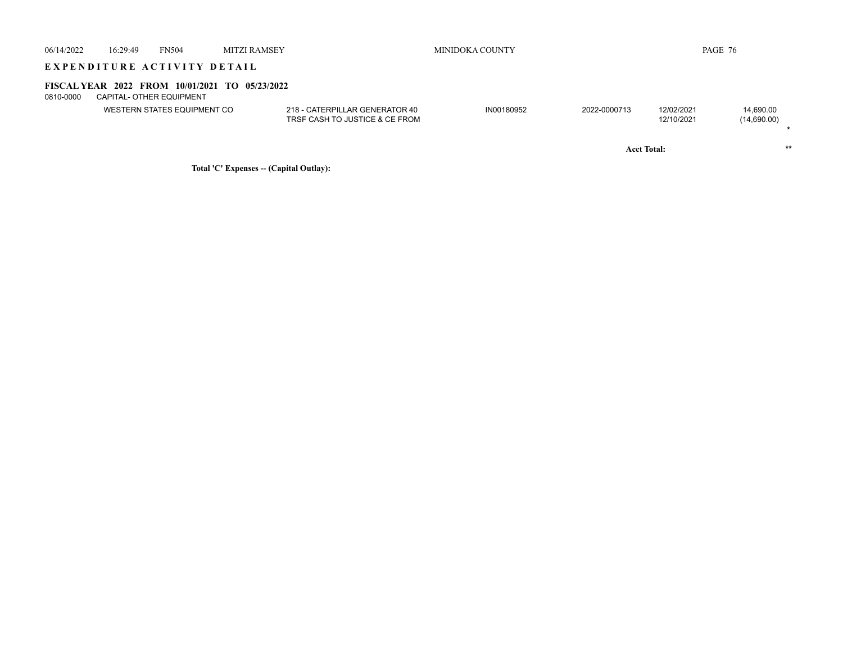| 06/14/2022 | 16:29:49                                                                   | <b>FN504</b>                | <b>MITZI RAMSEY</b> |                                                                  | MINIDOKA COUNTY |              |                          | PAGE 76                  |  |
|------------|----------------------------------------------------------------------------|-----------------------------|---------------------|------------------------------------------------------------------|-----------------|--------------|--------------------------|--------------------------|--|
|            | EXPENDITURE ACTIVITY DETAIL                                                |                             |                     |                                                                  |                 |              |                          |                          |  |
| 0810-0000  | FISCAL YEAR 2022 FROM 10/01/2021 TO 05/23/2022<br>CAPITAL- OTHER EQUIPMENT |                             |                     |                                                                  |                 |              |                          |                          |  |
|            |                                                                            | WESTERN STATES EQUIPMENT CO |                     | 218 - CATERPILLAR GENERATOR 40<br>TRSF CASH TO JUSTICE & CE FROM | IN00180952      | 2022-0000713 | 12/02/2021<br>12/10/2021 | 14,690.00<br>(14,690.00) |  |
|            |                                                                            |                             |                     |                                                                  |                 |              | <b>Acct Total:</b>       | **                       |  |

**Total 'C' Expenses -- (Capital Outlay):**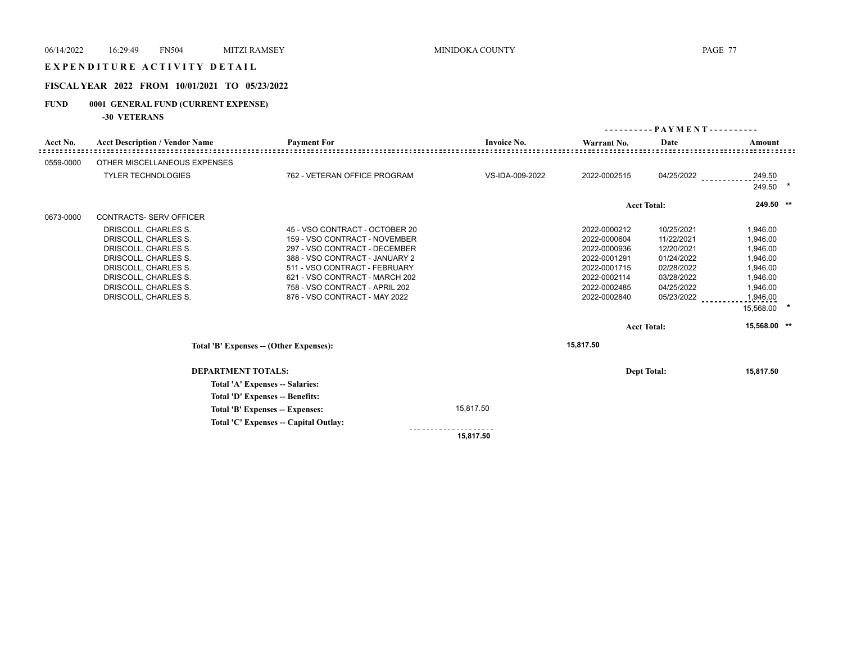## E X P E N D I T U R E A C T I V I T Y D E T A I L

## **FISCAL YEAR 2022 FROM 10/01/2021 TO 05/23/2022**

# **FUND 0001 GENERAL FUND (CURRENT EXPENSE)**

**-30 VETERANS**

|           |                                                                                                                                                                                              |                                                                                                                                                                                                                                                                          |                    | ---------                                                                                                                    | - - PAYMENT - - - - - - - - -                                                                                                      |                                                                                                                           |  |
|-----------|----------------------------------------------------------------------------------------------------------------------------------------------------------------------------------------------|--------------------------------------------------------------------------------------------------------------------------------------------------------------------------------------------------------------------------------------------------------------------------|--------------------|------------------------------------------------------------------------------------------------------------------------------|------------------------------------------------------------------------------------------------------------------------------------|---------------------------------------------------------------------------------------------------------------------------|--|
| Acct No.  | <b>Acct Description / Vendor Name</b>                                                                                                                                                        | <b>Payment For</b>                                                                                                                                                                                                                                                       | <b>Invoice No.</b> | Warrant No.                                                                                                                  | Date                                                                                                                               | Amount                                                                                                                    |  |
| 0559-0000 | OTHER MISCELLANEOUS EXPENSES                                                                                                                                                                 |                                                                                                                                                                                                                                                                          |                    |                                                                                                                              |                                                                                                                                    |                                                                                                                           |  |
|           | <b>TYLER TECHNOLOGIES</b>                                                                                                                                                                    | 762 - VETERAN OFFICE PROGRAM                                                                                                                                                                                                                                             | VS-IDA-009-2022    | 2022-0002515                                                                                                                 | 04/25/2022                                                                                                                         | 249.50<br>$\star$<br>249.50                                                                                               |  |
|           |                                                                                                                                                                                              |                                                                                                                                                                                                                                                                          |                    |                                                                                                                              | <b>Acct Total:</b>                                                                                                                 | 249.50 **                                                                                                                 |  |
| 0673-0000 | <b>CONTRACTS- SERV OFFICER</b>                                                                                                                                                               |                                                                                                                                                                                                                                                                          |                    |                                                                                                                              |                                                                                                                                    |                                                                                                                           |  |
|           | DRISCOLL, CHARLES S.<br>DRISCOLL, CHARLES S.<br>DRISCOLL, CHARLES S.<br>DRISCOLL, CHARLES S.<br>DRISCOLL, CHARLES S.<br>DRISCOLL, CHARLES S.<br>DRISCOLL, CHARLES S.<br>DRISCOLL, CHARLES S. | 45 - VSO CONTRACT - OCTOBER 20<br>159 - VSO CONTRACT - NOVEMBER<br>297 - VSO CONTRACT - DECEMBER<br>388 - VSO CONTRACT - JANUARY 2<br>511 - VSO CONTRACT - FEBRUARY<br>621 - VSO CONTRACT - MARCH 202<br>758 - VSO CONTRACT - APRIL 202<br>876 - VSO CONTRACT - MAY 2022 |                    | 2022-0000212<br>2022-0000604<br>2022-0000936<br>2022-0001291<br>2022-0001715<br>2022-0002114<br>2022-0002485<br>2022-0002840 | 10/25/2021<br>11/22/2021<br>12/20/2021<br>01/24/2022<br>02/28/2022<br>03/28/2022<br>04/25/2022<br>05/23/2022<br><b>Acct Total:</b> | 1,946.00<br>1,946.00<br>1,946.00<br>1,946.00<br>1,946.00<br>1,946.00<br>1,946.00<br>1,946.00<br>15,568.00<br>15,568.00 ** |  |
|           |                                                                                                                                                                                              | Total 'B' Expenses -- (Other Expenses):                                                                                                                                                                                                                                  |                    | 15,817.50                                                                                                                    |                                                                                                                                    |                                                                                                                           |  |
|           |                                                                                                                                                                                              |                                                                                                                                                                                                                                                                          |                    |                                                                                                                              |                                                                                                                                    |                                                                                                                           |  |
|           | <b>DEPARTMENT TOTALS:</b><br>Total 'A' Expenses -- Salaries:                                                                                                                                 |                                                                                                                                                                                                                                                                          |                    |                                                                                                                              | <b>Dept Total:</b>                                                                                                                 | 15,817.50                                                                                                                 |  |
|           |                                                                                                                                                                                              | Total 'D' Expenses -- Benefits:<br>Total 'B' Expenses -- Expenses:                                                                                                                                                                                                       | 15,817.50          |                                                                                                                              |                                                                                                                                    |                                                                                                                           |  |
|           |                                                                                                                                                                                              | Total 'C' Expenses -- Capital Outlay:                                                                                                                                                                                                                                    |                    |                                                                                                                              |                                                                                                                                    |                                                                                                                           |  |
|           |                                                                                                                                                                                              |                                                                                                                                                                                                                                                                          | 15,817.50          |                                                                                                                              |                                                                                                                                    |                                                                                                                           |  |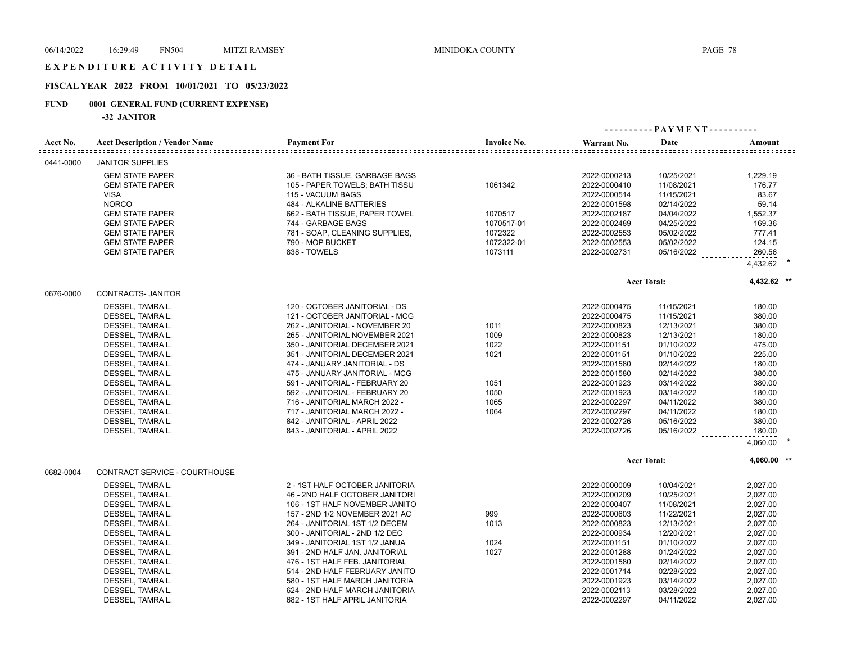## EXPENDITURE ACTIVITY DETAIL

### **FISCAL YEAR 2022 FROM 10/01/2021 TO 05/23/2022**

## **FUND 0001 GENERAL FUND (CURRENT EXPENSE)**

**-32 JANITOR**

|           |                                       |                                |                    |              | ---------- PAYMENT---------- |             |
|-----------|---------------------------------------|--------------------------------|--------------------|--------------|------------------------------|-------------|
| Acct No.  | <b>Acct Description / Vendor Name</b> | <b>Payment For</b>             | <b>Invoice No.</b> | Warrant No.  | Date                         | Amount      |
| 0441-0000 | <b>JANITOR SUPPLIES</b>               |                                |                    |              |                              |             |
|           | <b>GEM STATE PAPER</b>                | 36 - BATH TISSUE, GARBAGE BAGS |                    | 2022-0000213 | 10/25/2021                   | 1,229.19    |
|           | <b>GEM STATE PAPER</b>                | 105 - PAPER TOWELS; BATH TISSU | 1061342            | 2022-0000410 | 11/08/2021                   | 176.77      |
|           | VISA                                  | 115 - VACUUM BAGS              |                    | 2022-0000514 | 11/15/2021                   | 83.67       |
|           | <b>NORCO</b>                          | 484 - ALKALINE BATTERIES       |                    | 2022-0001598 | 02/14/2022                   | 59.14       |
|           | <b>GEM STATE PAPER</b>                | 662 - BATH TISSUE, PAPER TOWEL | 1070517            | 2022-0002187 | 04/04/2022                   | 1,552.37    |
|           | <b>GEM STATE PAPER</b>                | 744 - GARBAGE BAGS             | 1070517-01         | 2022-0002489 | 04/25/2022                   | 169.36      |
|           | <b>GEM STATE PAPER</b>                | 781 - SOAP, CLEANING SUPPLIES, | 1072322            | 2022-0002553 | 05/02/2022                   | 777.41      |
|           | <b>GEM STATE PAPER</b>                | 790 - MOP BUCKET               | 1072322-01         | 2022-0002553 | 05/02/2022                   | 124.15      |
|           | <b>GEM STATE PAPER</b>                | 838 - TOWELS                   | 1073111            | 2022-0002731 | 05/16/2022                   | 260.56      |
|           |                                       |                                |                    |              |                              | 4,432.62    |
|           |                                       |                                |                    |              | <b>Acct Total:</b>           | 4,432.62 ** |
| 0676-0000 | <b>CONTRACTS- JANITOR</b>             |                                |                    |              |                              |             |
|           | DESSEL, TAMRA L.                      | 120 - OCTOBER JANITORIAL - DS  |                    | 2022-0000475 | 11/15/2021                   | 180.00      |
|           | DESSEL, TAMRA L.                      | 121 - OCTOBER JANITORIAL - MCG |                    | 2022-0000475 | 11/15/2021                   | 380.00      |
|           | DESSEL, TAMRA L.                      | 262 - JANITORIAL - NOVEMBER 20 | 1011               | 2022-0000823 | 12/13/2021                   | 380.00      |
|           | DESSEL, TAMRA L.                      | 265 - JANITORIAL NOVEMBER 2021 | 1009               | 2022-0000823 | 12/13/2021                   | 180.00      |
|           | DESSEL, TAMRA L.                      | 350 - JANITORIAL DECEMBER 2021 | 1022               | 2022-0001151 | 01/10/2022                   | 475.00      |
|           | DESSEL, TAMRA L.                      | 351 - JANITORIAL DECEMBER 2021 | 1021               | 2022-0001151 | 01/10/2022                   | 225.00      |
|           | DESSEL, TAMRA L.                      | 474 - JANUARY JANITORIAL - DS  |                    | 2022-0001580 | 02/14/2022                   | 180.00      |
|           | DESSEL, TAMRA L.                      | 475 - JANUARY JANITORIAL - MCG |                    | 2022-0001580 | 02/14/2022                   | 380.00      |
|           | DESSEL, TAMRA L.                      | 591 - JANITORIAL - FEBRUARY 20 | 1051               | 2022-0001923 | 03/14/2022                   | 380.00      |
|           | DESSEL, TAMRA L.                      | 592 - JANITORIAL - FEBRUARY 20 | 1050               | 2022-0001923 | 03/14/2022                   | 180.00      |
|           | DESSEL, TAMRA L.                      | 716 - JANITORIAL MARCH 2022 -  | 1065               | 2022-0002297 | 04/11/2022                   | 380.00      |
|           | DESSEL, TAMRA L.                      | 717 - JANITORIAL MARCH 2022 -  | 1064               | 2022-0002297 | 04/11/2022                   | 180.00      |
|           | DESSEL, TAMRA L.                      | 842 - JANITORIAL - APRIL 2022  |                    | 2022-0002726 | 05/16/2022                   | 380.00      |
|           | DESSEL, TAMRA L.                      | 843 - JANITORIAL - APRIL 2022  |                    | 2022-0002726 | 05/16/2022                   | 180.00      |
|           |                                       |                                |                    |              |                              | 4,060.00    |
|           |                                       |                                |                    |              | <b>Acct Total:</b>           | 4,060.00 ** |
| 0682-0004 | CONTRACT SERVICE - COURTHOUSE         |                                |                    |              |                              |             |
|           | DESSEL, TAMRA L.                      | 2 - 1ST HALF OCTOBER JANITORIA |                    | 2022-0000009 | 10/04/2021                   | 2,027.00    |
|           | DESSEL, TAMRA L.                      | 46 - 2ND HALF OCTOBER JANITORI |                    | 2022-0000209 | 10/25/2021                   | 2,027.00    |
|           | DESSEL, TAMRA L.                      | 106 - 1ST HALF NOVEMBER JANITO |                    | 2022-0000407 | 11/08/2021                   | 2,027.00    |
|           | DESSEL, TAMRA L.                      | 157 - 2ND 1/2 NOVEMBER 2021 AC | 999                | 2022-0000603 | 11/22/2021                   | 2,027.00    |
|           | DESSEL, TAMRA L.                      | 264 - JANITORIAL 1ST 1/2 DECEM | 1013               | 2022-0000823 | 12/13/2021                   | 2,027.00    |
|           | DESSEL, TAMRA L.                      | 300 - JANITORIAL - 2ND 1/2 DEC |                    | 2022-0000934 | 12/20/2021                   | 2,027.00    |
|           | DESSEL, TAMRA L.                      | 349 - JANITORIAL 1ST 1/2 JANUA | 1024               | 2022-0001151 | 01/10/2022                   | 2,027.00    |
|           | DESSEL, TAMRA L.                      | 391 - 2ND HALF JAN. JANITORIAL | 1027               | 2022-0001288 | 01/24/2022                   | 2,027.00    |
|           | DESSEL, TAMRA L.                      | 476 - 1ST HALF FEB. JANITORIAL |                    | 2022-0001580 | 02/14/2022                   | 2,027.00    |
|           | DESSEL, TAMRA L.                      | 514 - 2ND HALF FEBRUARY JANITO |                    | 2022-0001714 | 02/28/2022                   | 2,027.00    |
|           | DESSEL, TAMRA L.                      | 580 - 1ST HALF MARCH JANITORIA |                    | 2022-0001923 | 03/14/2022                   | 2,027.00    |
|           | DESSEL, TAMRA L.                      | 624 - 2ND HALF MARCH JANITORIA |                    | 2022-0002113 | 03/28/2022                   | 2,027.00    |
|           | DESSEL, TAMRA L.                      | 682 - 1ST HALF APRIL JANITORIA |                    | 2022-0002297 | 04/11/2022                   | 2,027.00    |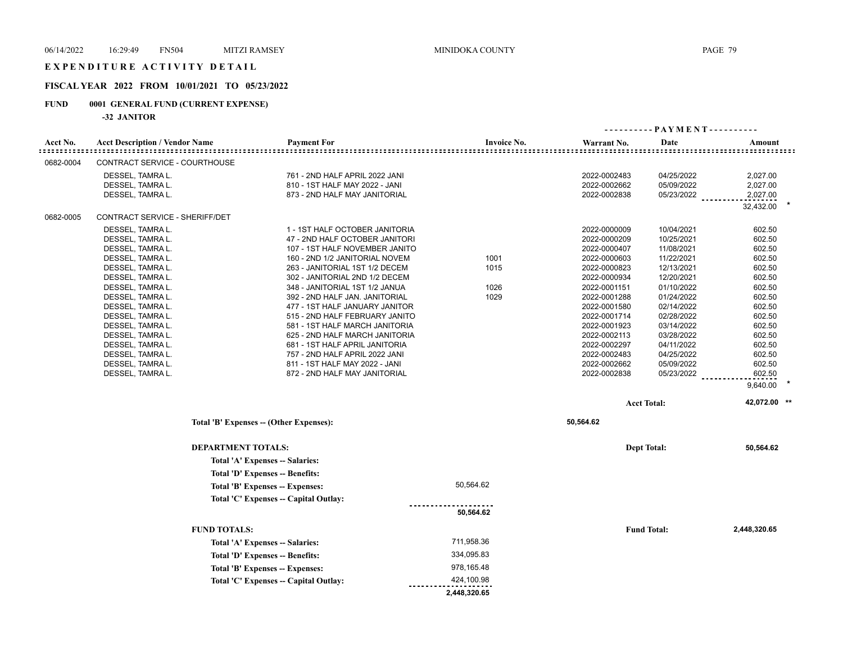## E X P E N D I T U R E A C T I V I T Y D E T A I L

## **FISCAL YEAR 2022 FROM 10/01/2021 TO 05/23/2022**

# **FUND 0001 GENERAL FUND (CURRENT EXPENSE)**

**-32 JANITOR**

|           |                                       |                                                                  |                    |                              | $-$ PAYMENT - - - - - - - - - - |                  |
|-----------|---------------------------------------|------------------------------------------------------------------|--------------------|------------------------------|---------------------------------|------------------|
| Acct No.  | <b>Acct Description / Vendor Name</b> | <b>Payment For</b>                                               | <b>Invoice No.</b> | Warrant No.                  | Date                            | Amount           |
| 0682-0004 | CONTRACT SERVICE - COURTHOUSE         |                                                                  |                    |                              |                                 |                  |
|           | DESSEL, TAMRA L.                      | 761 - 2ND HALF APRIL 2022 JANI                                   |                    | 2022-0002483                 | 04/25/2022                      | 2,027.00         |
|           | DESSEL, TAMRA L.                      | 810 - 1ST HALF MAY 2022 - JANI                                   |                    | 2022-0002662                 | 05/09/2022                      | 2,027.00         |
|           | DESSEL, TAMRA L.                      | 873 - 2ND HALF MAY JANITORIAL                                    |                    | 2022-0002838                 | 05/23/2022                      | 2,027.00         |
|           |                                       |                                                                  |                    |                              |                                 | 32,432.00        |
| 0682-0005 | CONTRACT SERVICE - SHERIFF/DET        |                                                                  |                    |                              |                                 |                  |
|           | DESSEL, TAMRA L.                      | 1 - 1ST HALF OCTOBER JANITORIA                                   |                    | 2022-0000009                 | 10/04/2021                      | 602.50           |
|           | DESSEL, TAMRA L.                      | 47 - 2ND HALF OCTOBER JANITORI                                   |                    | 2022-0000209                 | 10/25/2021                      | 602.50           |
|           | DESSEL, TAMRA L.                      | 107 - 1ST HALF NOVEMBER JANITO                                   |                    | 2022-0000407                 | 11/08/2021                      | 602.50           |
|           | DESSEL, TAMRA L.                      | 160 - 2ND 1/2 JANITORIAL NOVEM                                   | 1001               | 2022-0000603                 | 11/22/2021                      | 602.50           |
|           | DESSEL, TAMRA L.                      | 263 - JANITORIAL 1ST 1/2 DECEM                                   | 1015               | 2022-0000823                 | 12/13/2021                      | 602.50           |
|           | DESSEL, TAMRA L.                      | 302 - JANITORIAL 2ND 1/2 DECEM                                   |                    | 2022-0000934                 | 12/20/2021                      | 602.50           |
|           | DESSEL, TAMRA L.                      | 348 - JANITORIAL 1ST 1/2 JANUA                                   | 1026               | 2022-0001151                 | 01/10/2022                      | 602.50           |
|           | DESSEL, TAMRA L.                      | 392 - 2ND HALF JAN. JANITORIAL                                   | 1029               | 2022-0001288                 | 01/24/2022                      | 602.50           |
|           | DESSEL, TAMRA L.                      | 477 - 1ST HALF JANUARY JANITOR                                   |                    | 2022-0001580                 | 02/14/2022                      | 602.50           |
|           | DESSEL, TAMRA L.                      | 515 - 2ND HALF FEBRUARY JANITO                                   |                    | 2022-0001714                 | 02/28/2022                      | 602.50           |
|           | DESSEL, TAMRA L.                      | 581 - 1ST HALF MARCH JANITORIA                                   |                    | 2022-0001923                 | 03/14/2022                      | 602.50           |
|           | DESSEL, TAMRA L.                      | 625 - 2ND HALF MARCH JANITORIA                                   |                    | 2022-0002113                 | 03/28/2022                      | 602.50           |
|           | DESSEL, TAMRA L.                      | 681 - 1ST HALF APRIL JANITORIA                                   |                    | 2022-0002297                 | 04/11/2022                      | 602.50           |
|           | DESSEL, TAMRA L.                      | 757 - 2ND HALF APRIL 2022 JANI<br>811 - 1ST HALF MAY 2022 - JANI |                    | 2022-0002483<br>2022-0002662 | 04/25/2022<br>05/09/2022        | 602.50<br>602.50 |
|           | DESSEL, TAMRA L.<br>DESSEL, TAMRA L.  | 872 - 2ND HALF MAY JANITORIAL                                    |                    | 2022-0002838                 | 05/23/2022                      | 602.50           |
|           |                                       |                                                                  |                    |                              |                                 | 9,640.00         |
|           |                                       |                                                                  |                    |                              | <b>Acct Total:</b>              | 42,072.00 **     |
|           |                                       | Total 'B' Expenses - (Other Expenses):                           |                    | 50,564.62                    |                                 |                  |
|           |                                       |                                                                  |                    |                              |                                 |                  |
|           | <b>DEPARTMENT TOTALS:</b>             |                                                                  |                    |                              | <b>Dept Total:</b>              | 50,564.62        |
|           |                                       | Total 'A' Expenses -- Salaries:                                  |                    |                              |                                 |                  |
|           |                                       | <b>Total 'D' Expenses -- Benefits:</b>                           |                    |                              |                                 |                  |
|           |                                       | Total 'B' Expenses -- Expenses:                                  | 50,564.62          |                              |                                 |                  |
|           |                                       | Total 'C' Expenses -- Capital Outlay:                            |                    |                              |                                 |                  |
|           |                                       |                                                                  | 50,564.62          |                              |                                 |                  |
|           | <b>FUND TOTALS:</b>                   |                                                                  |                    |                              | <b>Fund Total:</b>              | 2,448,320.65     |
|           |                                       | Total 'A' Expenses -- Salaries:                                  | 711,958.36         |                              |                                 |                  |
|           |                                       | Total 'D' Expenses -- Benefits:                                  | 334,095.83         |                              |                                 |                  |
|           |                                       | Total 'B' Expenses -- Expenses:                                  | 978,165.48         |                              |                                 |                  |
|           |                                       | Total 'C' Expenses -- Capital Outlay:                            | 424,100.98         |                              |                                 |                  |
|           |                                       |                                                                  | 2,448,320.65       |                              |                                 |                  |
|           |                                       |                                                                  |                    |                              |                                 |                  |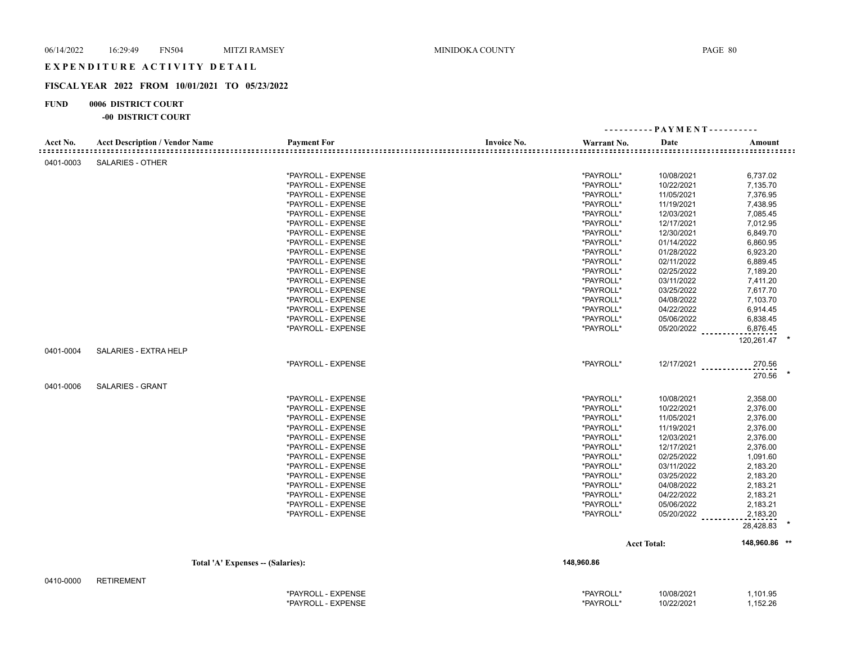## **FISCAL YEAR 2022 FROM 10/01/2021 TO 05/23/2022**

#### **FUND 0006 DISTRICT COURT**

#### **-00 DISTRICT COURT**

|           |                                       |                    |                    |             |                    | $-$ PAYMENT - - - - - - - - - - |
|-----------|---------------------------------------|--------------------|--------------------|-------------|--------------------|---------------------------------|
| Acct No.  | <b>Acct Description / Vendor Name</b> | <b>Payment For</b> | <b>Invoice No.</b> | Warrant No. | Date               | Amount                          |
| 0401-0003 | <b>SALARIES - OTHER</b>               |                    |                    |             |                    |                                 |
|           |                                       | *PAYROLL - EXPENSE |                    | *PAYROLL*   | 10/08/2021         | 6,737.02                        |
|           |                                       | *PAYROLL - EXPENSE |                    | *PAYROLL*   | 10/22/2021         | 7,135.70                        |
|           |                                       | *PAYROLL - EXPENSE |                    | *PAYROLL*   | 11/05/2021         | 7,376.95                        |
|           |                                       | *PAYROLL - EXPENSE |                    | *PAYROLL*   | 11/19/2021         | 7,438.95                        |
|           |                                       | *PAYROLL - EXPENSE |                    | *PAYROLL*   | 12/03/2021         | 7,085.45                        |
|           |                                       | *PAYROLL - EXPENSE |                    | *PAYROLL*   | 12/17/2021         | 7,012.95                        |
|           |                                       | *PAYROLL - EXPENSE |                    | *PAYROLL*   | 12/30/2021         | 6,849.70                        |
|           |                                       | *PAYROLL - EXPENSE |                    | *PAYROLL*   | 01/14/2022         | 6,860.95                        |
|           |                                       | *PAYROLL - EXPENSE |                    | *PAYROLL*   | 01/28/2022         | 6,923.20                        |
|           |                                       | *PAYROLL - EXPENSE |                    | *PAYROLL*   | 02/11/2022         | 6,889.45                        |
|           |                                       | *PAYROLL - EXPENSE |                    | *PAYROLL*   | 02/25/2022         | 7,189.20                        |
|           |                                       | *PAYROLL - EXPENSE |                    | *PAYROLL*   | 03/11/2022         | 7,411.20                        |
|           |                                       | *PAYROLL - EXPENSE |                    | *PAYROLL*   | 03/25/2022         | 7,617.70                        |
|           |                                       | *PAYROLL - EXPENSE |                    | *PAYROLL*   | 04/08/2022         | 7,103.70                        |
|           |                                       | *PAYROLL - EXPENSE |                    | *PAYROLL*   | 04/22/2022         | 6,914.45                        |
|           |                                       | *PAYROLL - EXPENSE |                    | *PAYROLL*   | 05/06/2022         | 6,838.45                        |
|           |                                       | *PAYROLL - EXPENSE |                    | *PAYROLL*   | 05/20/2022         | 6,876.45                        |
|           |                                       |                    |                    |             |                    | 120,261.47                      |
| 0401-0004 | SALARIES - EXTRA HELP                 |                    |                    |             |                    |                                 |
|           |                                       | *PAYROLL - EXPENSE |                    | *PAYROLL*   |                    | $12/17/2021$<br>270.56          |
| 0401-0006 | <b>SALARIES - GRANT</b>               |                    |                    |             |                    | 270.56                          |
|           |                                       | *PAYROLL - EXPENSE |                    | *PAYROLL*   | 10/08/2021         | 2,358.00                        |
|           |                                       | *PAYROLL - EXPENSE |                    | *PAYROLL*   | 10/22/2021         | 2,376.00                        |
|           |                                       | *PAYROLL - EXPENSE |                    | *PAYROLL*   | 11/05/2021         | 2,376.00                        |
|           |                                       | *PAYROLL - EXPENSE |                    | *PAYROLL*   | 11/19/2021         | 2,376.00                        |
|           |                                       | *PAYROLL - EXPENSE |                    | *PAYROLL*   | 12/03/2021         | 2,376.00                        |
|           |                                       | *PAYROLL - EXPENSE |                    | *PAYROLL*   | 12/17/2021         | 2,376.00                        |
|           |                                       | *PAYROLL - EXPENSE |                    | *PAYROLL*   | 02/25/2022         | 1,091.60                        |
|           |                                       | *PAYROLL - EXPENSE |                    | *PAYROLL*   | 03/11/2022         | 2,183.20                        |
|           |                                       | *PAYROLL - EXPENSE |                    | *PAYROLL*   | 03/25/2022         | 2,183.20                        |
|           |                                       | *PAYROLL - EXPENSE |                    | *PAYROLL*   | 04/08/2022         | 2,183.21                        |
|           |                                       | *PAYROLL - EXPENSE |                    | *PAYROLL*   | 04/22/2022         | 2,183.21                        |
|           |                                       | *PAYROLL - EXPENSE |                    | *PAYROLL*   | 05/06/2022         | 2,183.21                        |
|           |                                       | *PAYROLL - EXPENSE |                    | *PAYROLL*   | 05/20/2022         | 2,183.20                        |
|           |                                       |                    |                    |             |                    | 28,428.83                       |
|           |                                       |                    |                    |             | <b>Acct Total:</b> | 148,960.86 **                   |
|           | Total 'A' Expenses -- (Salaries):     |                    |                    | 148,960.86  |                    |                                 |
|           |                                       |                    |                    |             |                    |                                 |
| 0410-0000 | <b>RETIREMENT</b>                     |                    |                    |             |                    |                                 |
|           |                                       | *PAYROLL - EXPENSE |                    | *PAYROLL*   | 10/08/2021         | 1,101.95                        |

\*PAYROLL - EXPENSE \*PAYROLL\* 10/22/2021 1,152.26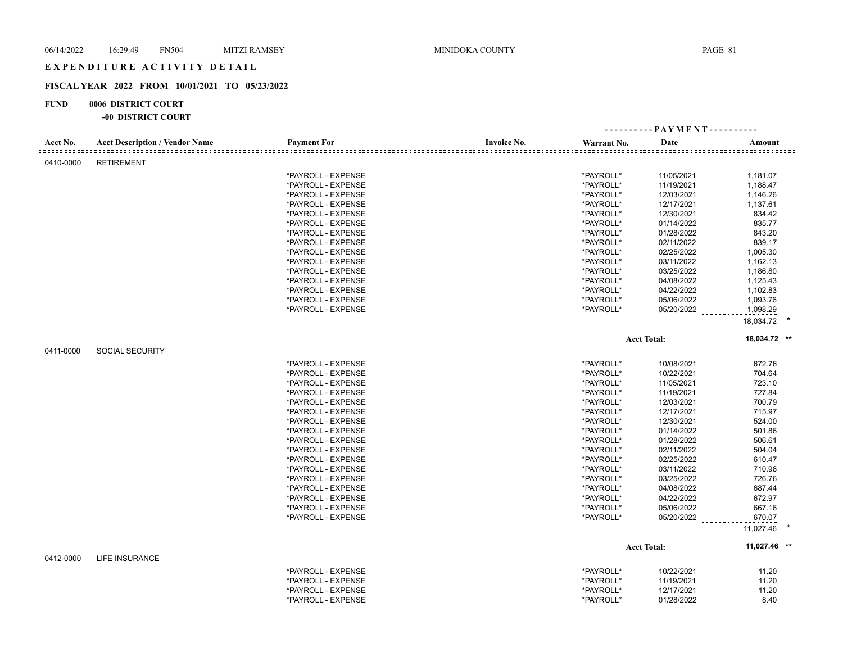## **FISCAL YEAR 2022 FROM 10/01/2021 TO 05/23/2022**

## **FUND 0006 DISTRICT COURT**

|                                     |                                       |                    |                    |             | ---------- PAYMENT---------- |                     |
|-------------------------------------|---------------------------------------|--------------------|--------------------|-------------|------------------------------|---------------------|
| Acct No.<br>: = = = = = = = = = = = | <b>Acct Description / Vendor Name</b> | <b>Payment For</b> | <b>Invoice No.</b> | Warrant No. | Date                         | Amount              |
| 0410-0000                           | <b>RETIREMENT</b>                     |                    |                    |             |                              |                     |
|                                     |                                       | *PAYROLL - EXPENSE |                    | *PAYROLL*   | 11/05/2021                   | 1,181.07            |
|                                     |                                       | *PAYROLL - EXPENSE |                    | *PAYROLL*   | 11/19/2021                   | 1,188.47            |
|                                     |                                       | *PAYROLL - EXPENSE |                    | *PAYROLL*   | 12/03/2021                   | 1,146.26            |
|                                     |                                       | *PAYROLL - EXPENSE |                    | *PAYROLL*   | 12/17/2021                   | 1,137.61            |
|                                     |                                       | *PAYROLL - EXPENSE |                    | *PAYROLL*   | 12/30/2021                   | 834.42              |
|                                     |                                       | *PAYROLL - EXPENSE |                    | *PAYROLL*   | 01/14/2022                   | 835.77              |
|                                     |                                       | *PAYROLL - EXPENSE |                    | *PAYROLL*   | 01/28/2022                   | 843.20              |
|                                     |                                       | *PAYROLL - EXPENSE |                    | *PAYROLL*   | 02/11/2022                   | 839.17              |
|                                     |                                       | *PAYROLL - EXPENSE |                    | *PAYROLL*   | 02/25/2022                   | 1,005.30            |
|                                     |                                       | *PAYROLL - EXPENSE |                    | *PAYROLL*   | 03/11/2022                   | 1,162.13            |
|                                     |                                       | *PAYROLL - EXPENSE |                    | *PAYROLL*   | 03/25/2022                   | 1,186.80            |
|                                     |                                       | *PAYROLL - EXPENSE |                    | *PAYROLL*   | 04/08/2022                   | 1,125.43            |
|                                     |                                       | *PAYROLL - EXPENSE |                    | *PAYROLL*   | 04/22/2022                   | 1,102.83            |
|                                     |                                       | *PAYROLL - EXPENSE |                    | *PAYROLL*   | 05/06/2022                   | 1,093.76            |
|                                     |                                       | *PAYROLL - EXPENSE |                    | *PAYROLL*   | 05/20/2022                   | 1,098.29            |
|                                     |                                       |                    |                    |             |                              | 18,034.72 *         |
|                                     |                                       |                    |                    |             | <b>Acct Total:</b>           | 18,034.72 **        |
| 0411-0000                           | <b>SOCIAL SECURITY</b>                |                    |                    |             |                              |                     |
|                                     |                                       | *PAYROLL - EXPENSE |                    | *PAYROLL*   | 10/08/2021                   | 672.76              |
|                                     |                                       | *PAYROLL - EXPENSE |                    | *PAYROLL*   | 10/22/2021                   | 704.64              |
|                                     |                                       | *PAYROLL - EXPENSE |                    | *PAYROLL*   | 11/05/2021                   | 723.10              |
|                                     |                                       | *PAYROLL - EXPENSE |                    | *PAYROLL*   | 11/19/2021                   | 727.84              |
|                                     |                                       | *PAYROLL - EXPENSE |                    | *PAYROLL*   | 12/03/2021                   | 700.79              |
|                                     |                                       | *PAYROLL - EXPENSE |                    | *PAYROLL*   | 12/17/2021                   | 715.97              |
|                                     |                                       | *PAYROLL - EXPENSE |                    | *PAYROLL*   | 12/30/2021                   | 524.00              |
|                                     |                                       | *PAYROLL - EXPENSE |                    | *PAYROLL*   | 01/14/2022                   | 501.86              |
|                                     |                                       | *PAYROLL - EXPENSE |                    | *PAYROLL*   | 01/28/2022                   | 506.61              |
|                                     |                                       | *PAYROLL - EXPENSE |                    | *PAYROLL*   | 02/11/2022                   | 504.04              |
|                                     |                                       | *PAYROLL - EXPENSE |                    | *PAYROLL*   | 02/25/2022                   | 610.47              |
|                                     |                                       | *PAYROLL - EXPENSE |                    | *PAYROLL*   | 03/11/2022                   | 710.98              |
|                                     |                                       | *PAYROLL - EXPENSE |                    | *PAYROLL*   | 03/25/2022                   | 726.76              |
|                                     |                                       | *PAYROLL - EXPENSE |                    | *PAYROLL*   | 04/08/2022                   | 687.44              |
|                                     |                                       | *PAYROLL - EXPENSE |                    | *PAYROLL*   | 04/22/2022                   | 672.97              |
|                                     |                                       | *PAYROLL - EXPENSE |                    | *PAYROLL*   | 05/06/2022                   | 667.16              |
|                                     |                                       | *PAYROLL - EXPENSE |                    | *PAYROLL*   | 05/20/2022                   | 670.07<br>11,027.46 |
|                                     |                                       |                    |                    |             |                              |                     |
| 0412-0000                           | <b>LIFE INSURANCE</b>                 |                    |                    |             | <b>Acct Total:</b>           | 11,027.46 **        |
|                                     |                                       | *PAYROLL - EXPENSE |                    | *PAYROLL*   | 10/22/2021                   | 11.20               |
|                                     |                                       | *PAYROLL - EXPENSE |                    | *PAYROLL*   | 11/19/2021                   | 11.20               |
|                                     |                                       | *PAYROLL - EXPENSE |                    | *PAYROLL*   | 12/17/2021                   | 11.20               |
|                                     |                                       | *PAYROLL - EXPENSE |                    | *PAYROLL*   | 01/28/2022                   | 8.40                |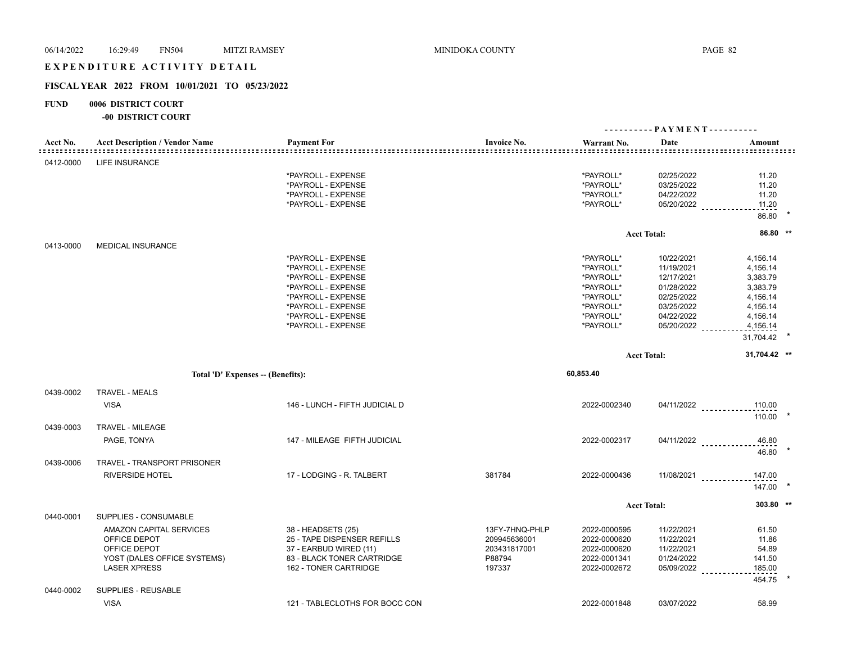## EXPENDITURE ACTIVITY DETAIL

## **FISCAL YEAR 2022 FROM 10/01/2021 TO 05/23/2022**

## **FUND 0006 DISTRICT COURT**

| Acct No.<br> | <b>Acct Description / Vendor Name</b>                                                                         | <b>Payment For</b>                                                                                                                                                           | <b>Invoice No.</b><br>: = = = = = = = = = = = =                    | Warrant No.                                                                                          | Date                                                                                                         | Amount                                                                                                    |  |
|--------------|---------------------------------------------------------------------------------------------------------------|------------------------------------------------------------------------------------------------------------------------------------------------------------------------------|--------------------------------------------------------------------|------------------------------------------------------------------------------------------------------|--------------------------------------------------------------------------------------------------------------|-----------------------------------------------------------------------------------------------------------|--|
| 0412-0000    | <b>LIFE INSURANCE</b>                                                                                         |                                                                                                                                                                              |                                                                    |                                                                                                      |                                                                                                              |                                                                                                           |  |
|              |                                                                                                               | *PAYROLL - EXPENSE<br>*PAYROLL - EXPENSE<br>*PAYROLL - EXPENSE<br>*PAYROLL - EXPENSE                                                                                         |                                                                    | *PAYROLL*<br>*PAYROLL*<br>*PAYROLL*<br>*PAYROLL*                                                     | 02/25/2022<br>03/25/2022<br>04/22/2022                                                                       | 11.20<br>11.20<br>11.20<br>05/20/2022<br>11.20                                                            |  |
|              |                                                                                                               |                                                                                                                                                                              |                                                                    |                                                                                                      |                                                                                                              | 86.80                                                                                                     |  |
|              |                                                                                                               |                                                                                                                                                                              |                                                                    |                                                                                                      | <b>Acct Total:</b>                                                                                           | 86.80 **                                                                                                  |  |
| 0413-0000    | <b>MEDICAL INSURANCE</b>                                                                                      |                                                                                                                                                                              |                                                                    |                                                                                                      |                                                                                                              |                                                                                                           |  |
|              |                                                                                                               | *PAYROLL - EXPENSE<br>*PAYROLL - EXPENSE<br>*PAYROLL - EXPENSE<br>*PAYROLL - EXPENSE<br>*PAYROLL - EXPENSE<br>*PAYROLL - EXPENSE<br>*PAYROLL - EXPENSE<br>*PAYROLL - EXPENSE |                                                                    | *PAYROLL*<br>*PAYROLL*<br>*PAYROLL*<br>*PAYROLL*<br>*PAYROLL*<br>*PAYROLL*<br>*PAYROLL*<br>*PAYROLL* | 10/22/2021<br>11/19/2021<br>12/17/2021<br>01/28/2022<br>02/25/2022<br>03/25/2022<br>04/22/2022<br>05/20/2022 | 4,156.14<br>4,156.14<br>3,383.79<br>3,383.79<br>4,156.14<br>4,156.14<br>4,156.14<br>4,156.14<br>31,704.42 |  |
|              |                                                                                                               |                                                                                                                                                                              |                                                                    |                                                                                                      | <b>Acct Total:</b>                                                                                           | 31,704.42 **                                                                                              |  |
|              |                                                                                                               |                                                                                                                                                                              |                                                                    |                                                                                                      |                                                                                                              |                                                                                                           |  |
|              | Total 'D' Expenses -- (Benefits):                                                                             |                                                                                                                                                                              |                                                                    | 60,853.40                                                                                            |                                                                                                              |                                                                                                           |  |
| 0439-0002    | <b>TRAVEL - MEALS</b><br><b>VISA</b>                                                                          | 146 - LUNCH - FIFTH JUDICIAL D                                                                                                                                               |                                                                    | 2022-0002340                                                                                         |                                                                                                              | $04/11/2022$<br>110.00<br>110.00                                                                          |  |
| 0439-0003    | <b>TRAVEL - MILEAGE</b>                                                                                       |                                                                                                                                                                              |                                                                    |                                                                                                      |                                                                                                              |                                                                                                           |  |
|              | PAGE, TONYA                                                                                                   | 147 - MILEAGE FIFTH JUDICIAL                                                                                                                                                 |                                                                    | 2022-0002317                                                                                         |                                                                                                              | $04/11/2022$<br>46.80<br>46.80                                                                            |  |
| 0439-0006    | TRAVEL - TRANSPORT PRISONER                                                                                   |                                                                                                                                                                              |                                                                    |                                                                                                      |                                                                                                              |                                                                                                           |  |
|              | <b>RIVERSIDE HOTEL</b>                                                                                        | 17 - LODGING - R. TALBERT                                                                                                                                                    | 381784                                                             | 2022-0000436                                                                                         |                                                                                                              | $11/08/2021$<br>147.00<br>$147.00$ *                                                                      |  |
|              |                                                                                                               |                                                                                                                                                                              |                                                                    |                                                                                                      | <b>Acct Total:</b>                                                                                           | 303.80 **                                                                                                 |  |
| 0440-0001    | SUPPLIES - CONSUMABLE                                                                                         |                                                                                                                                                                              |                                                                    |                                                                                                      |                                                                                                              |                                                                                                           |  |
|              | AMAZON CAPITAL SERVICES<br>OFFICE DEPOT<br>OFFICE DEPOT<br>YOST (DALES OFFICE SYSTEMS)<br><b>LASER XPRESS</b> | 38 - HEADSETS (25)<br>25 - TAPE DISPENSER REFILLS<br>37 - EARBUD WIRED (11)<br>83 - BLACK TONER CARTRIDGE<br>162 - TONER CARTRIDGE                                           | 13FY-7HNQ-PHLP<br>209945636001<br>203431817001<br>P88794<br>197337 | 2022-0000595<br>2022-0000620<br>2022-0000620<br>2022-0001341<br>2022-0002672                         | 11/22/2021<br>11/22/2021<br>11/22/2021<br>01/24/2022<br>05/09/2022 _________                                 | 61.50<br>11.86<br>54.89<br>141.50<br>185.00<br>454.75                                                     |  |
| 0440-0002    | <b>SUPPLIES - REUSABLE</b>                                                                                    |                                                                                                                                                                              |                                                                    |                                                                                                      |                                                                                                              |                                                                                                           |  |
|              | <b>VISA</b>                                                                                                   | 121 - TABLECLOTHS FOR BOCC CON                                                                                                                                               |                                                                    | 2022-0001848                                                                                         | 03/07/2022                                                                                                   | 58.99                                                                                                     |  |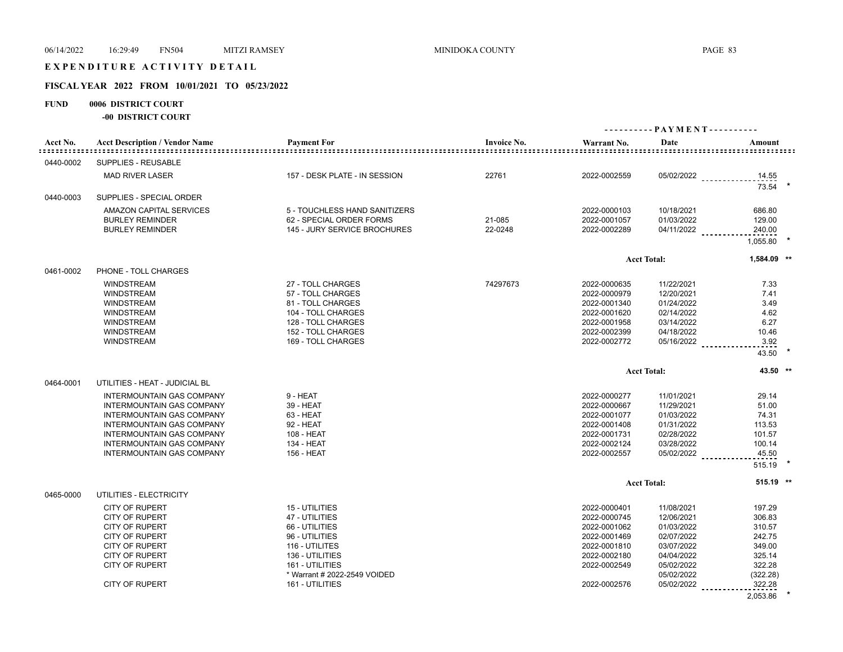## EXPENDITURE ACTIVITY DETAIL

## **FISCAL YEAR 2022 FROM 10/01/2021 TO 05/23/2022**

## **FUND 0006 DISTRICT COURT**

| Acct No.  | <b>Acct Description / Vendor Name</b>                         | <b>Payment For</b>                       | <b>Invoice No.</b> | Warrant No.                  | Date                     | Amount                        |  |  |
|-----------|---------------------------------------------------------------|------------------------------------------|--------------------|------------------------------|--------------------------|-------------------------------|--|--|
| 0440-0002 | <b>SUPPLIES - REUSABLE</b>                                    |                                          |                    |                              |                          |                               |  |  |
|           | <b>MAD RIVER LASER</b>                                        | 157 - DESK PLATE - IN SESSION            | 22761              | 2022-0002559                 |                          |                               |  |  |
|           |                                                               |                                          |                    |                              |                          | 05/02/2022<br>14.55<br>73.54  |  |  |
| 0440-0003 | SUPPLIES - SPECIAL ORDER                                      |                                          |                    |                              |                          |                               |  |  |
|           | AMAZON CAPITAL SERVICES                                       | 5 - TOUCHLESS HAND SANITIZERS            |                    | 2022-0000103                 | 10/18/2021               | 686.80                        |  |  |
|           | <b>BURLEY REMINDER</b>                                        | 62 - SPECIAL ORDER FORMS                 | 21-085             | 2022-0001057                 | 01/03/2022               | 129.00                        |  |  |
|           | <b>BURLEY REMINDER</b>                                        | 145 - JURY SERVICE BROCHURES             | 22-0248            | 2022-0002289                 | 04/11/2022               | 240.00                        |  |  |
|           |                                                               |                                          |                    |                              |                          | 1,055.80                      |  |  |
|           |                                                               |                                          |                    |                              | <b>Acct Total:</b>       | 1,584.09 **                   |  |  |
| 0461-0002 | PHONE - TOLL CHARGES                                          |                                          |                    |                              |                          |                               |  |  |
|           | <b>WINDSTREAM</b>                                             | 27 - TOLL CHARGES                        | 74297673           | 2022-0000635                 | 11/22/2021               | 7.33                          |  |  |
|           | <b>WINDSTREAM</b>                                             | 57 - TOLL CHARGES                        |                    | 2022-0000979                 | 12/20/2021               | 7.41                          |  |  |
|           | <b>WINDSTREAM</b>                                             | 81 - TOLL CHARGES                        |                    | 2022-0001340                 | 01/24/2022               | 3.49                          |  |  |
|           | <b>WINDSTREAM</b><br><b>WINDSTREAM</b>                        | 104 - TOLL CHARGES<br>128 - TOLL CHARGES |                    | 2022-0001620<br>2022-0001958 | 02/14/2022<br>03/14/2022 | 4.62<br>6.27                  |  |  |
|           | <b>WINDSTREAM</b>                                             | 152 - TOLL CHARGES                       |                    | 2022-0002399                 | 04/18/2022               | 10.46                         |  |  |
|           | <b>WINDSTREAM</b>                                             | 169 - TOLL CHARGES                       |                    | 2022-0002772                 |                          | 05/16/2022 __________<br>3.92 |  |  |
|           |                                                               |                                          |                    |                              |                          | 43.50                         |  |  |
|           |                                                               |                                          |                    |                              | <b>Acct Total:</b>       | 43.50 **                      |  |  |
| 0464-0001 | UTILITIES - HEAT - JUDICIAL BL                                |                                          |                    |                              |                          |                               |  |  |
|           | <b>INTERMOUNTAIN GAS COMPANY</b>                              | 9 - HEAT                                 |                    | 2022-0000277                 | 11/01/2021               | 29.14                         |  |  |
|           | <b>INTERMOUNTAIN GAS COMPANY</b>                              | 39 - HEAT                                |                    | 2022-0000667                 | 11/29/2021               | 51.00                         |  |  |
|           | <b>INTERMOUNTAIN GAS COMPANY</b>                              | 63 - HEAT                                |                    | 2022-0001077                 | 01/03/2022               | 74.31                         |  |  |
|           | <b>INTERMOUNTAIN GAS COMPANY</b>                              | 92 - HEAT                                |                    | 2022-0001408                 | 01/31/2022               | 113.53                        |  |  |
|           | <b>INTERMOUNTAIN GAS COMPANY</b>                              | 108 - HEAT                               |                    | 2022-0001731                 | 02/28/2022               | 101.57                        |  |  |
|           | <b>INTERMOUNTAIN GAS COMPANY</b><br>INTERMOUNTAIN GAS COMPANY | 134 - HEAT<br>156 - HEAT                 |                    | 2022-0002124<br>2022-0002557 | 03/28/2022<br>05/02/2022 | 100.14<br>45.50               |  |  |
|           |                                                               |                                          |                    |                              |                          | 515.19                        |  |  |
|           |                                                               |                                          |                    |                              | <b>Acct Total:</b>       | $515.19$ **                   |  |  |
| 0465-0000 | UTILITIES - ELECTRICITY                                       |                                          |                    |                              |                          |                               |  |  |
|           | <b>CITY OF RUPERT</b>                                         | 15 - UTILITIES                           |                    | 2022-0000401                 | 11/08/2021               | 197.29                        |  |  |
|           | <b>CITY OF RUPERT</b>                                         | 47 - UTILITIES                           |                    | 2022-0000745                 | 12/06/2021               | 306.83                        |  |  |
|           | <b>CITY OF RUPERT</b>                                         | 66 - UTILITIES                           |                    | 2022-0001062                 | 01/03/2022               | 310.57                        |  |  |
|           | <b>CITY OF RUPERT</b>                                         | 96 - UTILITIES                           |                    | 2022-0001469                 | 02/07/2022               | 242.75                        |  |  |
|           | <b>CITY OF RUPERT</b>                                         | 116 - UTILITES                           |                    | 2022-0001810                 | 03/07/2022               | 349.00                        |  |  |
|           | <b>CITY OF RUPERT</b>                                         | 136 - UTILITIES                          |                    | 2022-0002180                 | 04/04/2022               | 325.14                        |  |  |
|           | <b>CITY OF RUPERT</b>                                         | 161 - UTILITIES                          |                    | 2022-0002549                 | 05/02/2022               | 322.28                        |  |  |
|           |                                                               | * Warrant # 2022-2549 VOIDED             |                    |                              | 05/02/2022               | (322.28)                      |  |  |
|           | <b>CITY OF RUPERT</b>                                         | 161 - UTILITIES                          |                    | 2022-0002576                 | 05/02/2022               | 322.28                        |  |  |
|           |                                                               |                                          |                    |                              |                          | 2.053.86                      |  |  |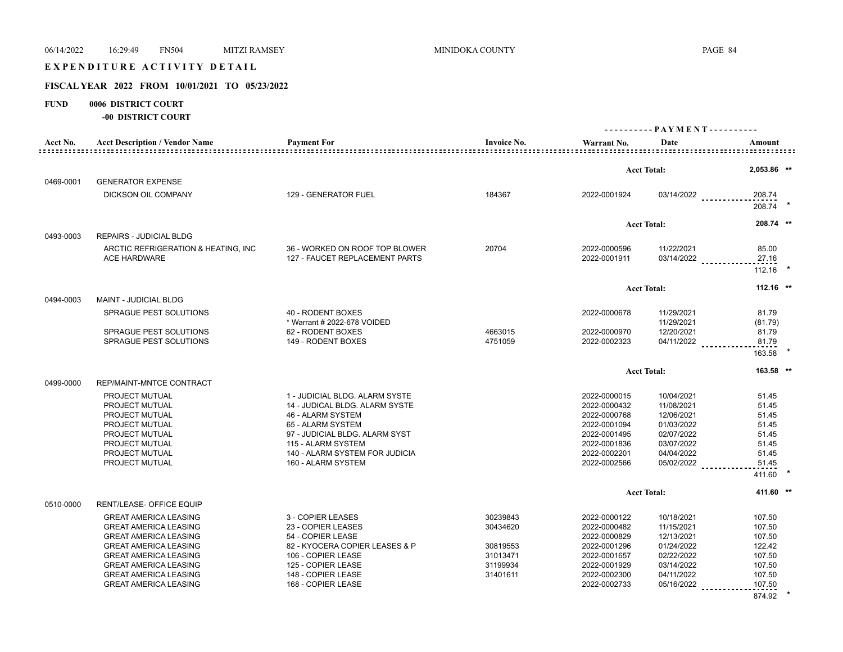# EXPENDITURE ACTIVITY DETAIL

# **FISCAL YEAR 2022 FROM 10/01/2021 TO 05/23/2022**

## **FUND 0006 DISTRICT COURT**

| Acct No.  | <b>Acct Description / Vendor Name</b> | <b>Payment For</b>             | <b>Invoice No.</b> | Warrant No.  | Date               | Amount          |  |
|-----------|---------------------------------------|--------------------------------|--------------------|--------------|--------------------|-----------------|--|
|           |                                       |                                |                    |              |                    |                 |  |
|           |                                       |                                |                    |              | <b>Acct Total:</b> | 2,053.86 **     |  |
| 0469-0001 | <b>GENERATOR EXPENSE</b>              |                                |                    |              |                    |                 |  |
|           | DICKSON OIL COMPANY                   | 129 - GENERATOR FUEL           | 184367             | 2022-0001924 | 03/14/2022         | 208.74          |  |
|           |                                       |                                |                    |              |                    | 208.74 *        |  |
|           |                                       |                                |                    |              | <b>Acct Total:</b> | 208.74 **       |  |
| 0493-0003 | <b>REPAIRS - JUDICIAL BLDG</b>        |                                |                    |              |                    |                 |  |
|           | ARCTIC REFRIGERATION & HEATING, INC.  | 36 - WORKED ON ROOF TOP BLOWER | 20704              | 2022-0000596 | 11/22/2021         | 85.00           |  |
|           | <b>ACE HARDWARE</b>                   | 127 - FAUCET REPLACEMENT PARTS |                    | 2022-0001911 | 03/14/2022         | 27.16           |  |
|           |                                       |                                |                    |              |                    | 112.16          |  |
|           |                                       |                                |                    |              | <b>Acct Total:</b> | $112.16$ **     |  |
| 0494-0003 | <b>MAINT - JUDICIAL BLDG</b>          |                                |                    |              |                    |                 |  |
|           | SPRAGUE PEST SOLUTIONS                | 40 - RODENT BOXES              |                    | 2022-0000678 | 11/29/2021         | 81.79           |  |
|           |                                       | * Warrant # 2022-678 VOIDED    |                    |              | 11/29/2021         | (81.79)         |  |
|           | SPRAGUE PEST SOLUTIONS                | 62 - RODENT BOXES              | 4663015            | 2022-0000970 | 12/20/2021         | 81.79           |  |
|           | SPRAGUE PEST SOLUTIONS                | 149 - RODENT BOXES             | 4751059            | 2022-0002323 | 04/11/2022         | 81.79           |  |
|           |                                       |                                |                    |              |                    | 163.58          |  |
|           |                                       |                                |                    |              | <b>Acct Total:</b> | 163.58 **       |  |
| 0499-0000 | REP/MAINT-MNTCE CONTRACT              |                                |                    |              |                    |                 |  |
|           | PROJECT MUTUAL                        | 1 - JUDICIAL BLDG, ALARM SYSTE |                    | 2022-0000015 | 10/04/2021         | 51.45           |  |
|           | PROJECT MUTUAL                        | 14 - JUDICAL BLDG. ALARM SYSTE |                    | 2022-0000432 | 11/08/2021         | 51.45           |  |
|           | PROJECT MUTUAL                        | 46 - ALARM SYSTEM              |                    | 2022-0000768 | 12/06/2021         | 51.45           |  |
|           | PROJECT MUTUAL                        | 65 - ALARM SYSTEM              |                    | 2022-0001094 | 01/03/2022         | 51.45           |  |
|           | PROJECT MUTUAL                        | 97 - JUDICIAL BLDG. ALARM SYST |                    | 2022-0001495 | 02/07/2022         | 51.45           |  |
|           | PROJECT MUTUAL                        | 115 - ALARM SYSTEM             |                    | 2022-0001836 | 03/07/2022         | 51.45           |  |
|           | PROJECT MUTUAL                        | 140 - ALARM SYSTEM FOR JUDICIA |                    | 2022-0002201 | 04/04/2022         | 51.45           |  |
|           | PROJECT MUTUAL                        | 160 - ALARM SYSTEM             |                    | 2022-0002566 | 05/02/2022         | 51.45<br>411.60 |  |
|           |                                       |                                |                    |              |                    |                 |  |
|           |                                       |                                |                    |              | <b>Acct Total:</b> | 411.60 **       |  |
| 0510-0000 | RENT/LEASE- OFFICE EQUIP              |                                |                    |              |                    |                 |  |
|           | <b>GREAT AMERICA LEASING</b>          | 3 - COPIER LEASES              | 30239843           | 2022-0000122 | 10/18/2021         | 107.50          |  |
|           | <b>GREAT AMERICA LEASING</b>          | 23 - COPIER LEASES             | 30434620           | 2022-0000482 | 11/15/2021         | 107.50          |  |
|           | <b>GREAT AMERICA LEASING</b>          | 54 - COPIER LEASE              |                    | 2022-0000829 | 12/13/2021         | 107.50          |  |
|           | <b>GREAT AMERICA LEASING</b>          | 82 - KYOCERA COPIER LEASES & P | 30819553           | 2022-0001296 | 01/24/2022         | 122.42          |  |
|           | <b>GREAT AMERICA LEASING</b>          | 106 - COPIER LEASE             | 31013471           | 2022-0001657 | 02/22/2022         | 107.50          |  |
|           | <b>GREAT AMERICA LEASING</b>          | 125 - COPIER LEASE             | 31199934           | 2022-0001929 | 03/14/2022         | 107.50          |  |
|           | <b>GREAT AMERICA LEASING</b>          | 148 - COPIER LEASE             | 31401611           | 2022-0002300 | 04/11/2022         | 107.50          |  |
|           | <b>GREAT AMERICA LEASING</b>          | 168 - COPIER LEASE             |                    | 2022-0002733 | 05/16/2022         | 107.50          |  |
|           |                                       |                                |                    |              |                    | 874.92          |  |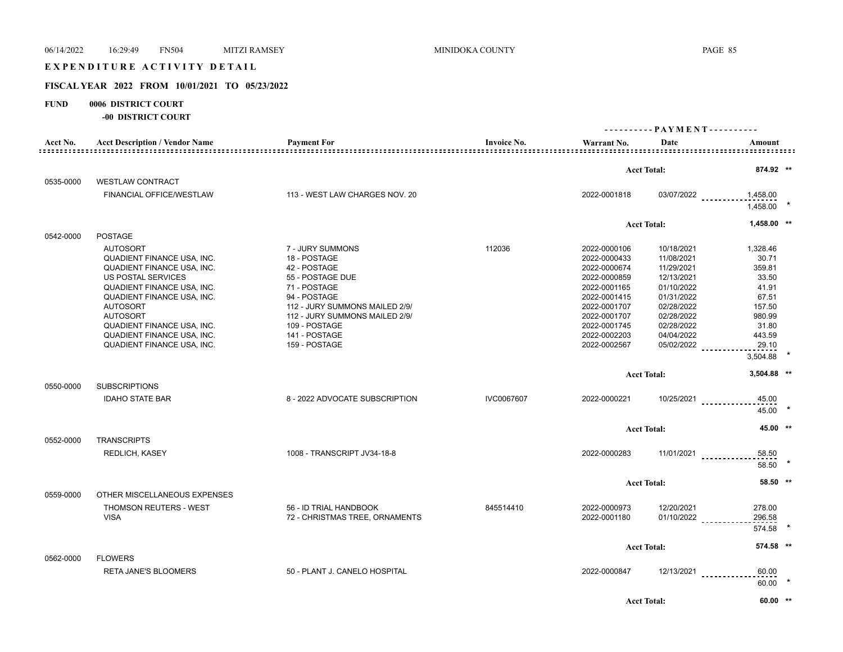# EXPENDITURE ACTIVITY DETAIL

## **FISCAL YEAR 2022 FROM 10/01/2021 TO 05/23/2022**

#### **FUND 0006 DISTRICT COURT**

|           | <b>-00 DISTRICT COURT</b>                                                                                                                                                                                                                                                                            |                                                                                                                                                                                                                             |                    |                                                                                                                                                                              |                                                                                                                                                        |                                                                                                                    |  |
|-----------|------------------------------------------------------------------------------------------------------------------------------------------------------------------------------------------------------------------------------------------------------------------------------------------------------|-----------------------------------------------------------------------------------------------------------------------------------------------------------------------------------------------------------------------------|--------------------|------------------------------------------------------------------------------------------------------------------------------------------------------------------------------|--------------------------------------------------------------------------------------------------------------------------------------------------------|--------------------------------------------------------------------------------------------------------------------|--|
|           |                                                                                                                                                                                                                                                                                                      |                                                                                                                                                                                                                             |                    | ---------- PAYMENT----------                                                                                                                                                 |                                                                                                                                                        |                                                                                                                    |  |
| Acct No.  | <b>Acct Description / Vendor Name</b>                                                                                                                                                                                                                                                                | <b>Payment For</b>                                                                                                                                                                                                          | <b>Invoice No.</b> | Warrant No.                                                                                                                                                                  | Date                                                                                                                                                   | Amount                                                                                                             |  |
|           |                                                                                                                                                                                                                                                                                                      |                                                                                                                                                                                                                             |                    |                                                                                                                                                                              | <b>Acct Total:</b>                                                                                                                                     | 874.92 **                                                                                                          |  |
| 0535-0000 | <b>WESTLAW CONTRACT</b>                                                                                                                                                                                                                                                                              |                                                                                                                                                                                                                             |                    |                                                                                                                                                                              |                                                                                                                                                        |                                                                                                                    |  |
|           | FINANCIAL OFFICE/WESTLAW                                                                                                                                                                                                                                                                             | 113 - WEST LAW CHARGES NOV. 20                                                                                                                                                                                              |                    | 2022-0001818                                                                                                                                                                 | 03/07/2022                                                                                                                                             | 1,458.00<br>1.458.00                                                                                               |  |
|           |                                                                                                                                                                                                                                                                                                      |                                                                                                                                                                                                                             |                    |                                                                                                                                                                              | <b>Acct Total:</b>                                                                                                                                     | 1,458.00 **                                                                                                        |  |
| 0542-0000 | <b>POSTAGE</b>                                                                                                                                                                                                                                                                                       |                                                                                                                                                                                                                             |                    |                                                                                                                                                                              |                                                                                                                                                        |                                                                                                                    |  |
|           | <b>AUTOSORT</b><br><b>QUADIENT FINANCE USA, INC.</b><br>QUADIENT FINANCE USA, INC.<br>US POSTAL SERVICES<br>QUADIENT FINANCE USA, INC.<br>QUADIENT FINANCE USA, INC.<br><b>AUTOSORT</b><br><b>AUTOSORT</b><br>QUADIENT FINANCE USA, INC.<br>QUADIENT FINANCE USA, INC.<br>QUADIENT FINANCE USA, INC. | 7 - JURY SUMMONS<br>18 - POSTAGE<br>42 - POSTAGE<br>55 - POSTAGE DUE<br>71 - POSTAGE<br>94 - POSTAGE<br>112 - JURY SUMMONS MAILED 2/9/<br>112 - JURY SUMMONS MAILED 2/9/<br>109 - POSTAGE<br>141 - POSTAGE<br>159 - POSTAGE | 112036             | 2022-0000106<br>2022-0000433<br>2022-0000674<br>2022-0000859<br>2022-0001165<br>2022-0001415<br>2022-0001707<br>2022-0001707<br>2022-0001745<br>2022-0002203<br>2022-0002567 | 10/18/2021<br>11/08/2021<br>11/29/2021<br>12/13/2021<br>01/10/2022<br>01/31/2022<br>02/28/2022<br>02/28/2022<br>02/28/2022<br>04/04/2022<br>05/02/2022 | 1.328.46<br>30.71<br>359.81<br>33.50<br>41.91<br>67.51<br>157.50<br>980.99<br>31.80<br>443.59<br>29.10<br>3,504.88 |  |
|           |                                                                                                                                                                                                                                                                                                      |                                                                                                                                                                                                                             |                    |                                                                                                                                                                              | <b>Acct Total:</b>                                                                                                                                     | 3,504.88 **                                                                                                        |  |
| 0550-0000 | <b>SUBSCRIPTIONS</b><br><b>IDAHO STATE BAR</b>                                                                                                                                                                                                                                                       | 8 - 2022 ADVOCATE SUBSCRIPTION                                                                                                                                                                                              | IVC0067607         | 2022-0000221                                                                                                                                                                 | 10/25/2021                                                                                                                                             | 45.00<br>45.00                                                                                                     |  |
|           |                                                                                                                                                                                                                                                                                                      |                                                                                                                                                                                                                             |                    |                                                                                                                                                                              | <b>Acct Total:</b>                                                                                                                                     | 45.00 **                                                                                                           |  |
| 0552-0000 | <b>TRANSCRIPTS</b>                                                                                                                                                                                                                                                                                   |                                                                                                                                                                                                                             |                    |                                                                                                                                                                              |                                                                                                                                                        |                                                                                                                    |  |
|           | REDLICH, KASEY                                                                                                                                                                                                                                                                                       | 1008 - TRANSCRIPT JV34-18-8                                                                                                                                                                                                 |                    | 2022-0000283                                                                                                                                                                 | $11/01/2021$                                                                                                                                           | 58.50<br>58.50                                                                                                     |  |
|           |                                                                                                                                                                                                                                                                                                      |                                                                                                                                                                                                                             |                    |                                                                                                                                                                              | <b>Acct Total:</b>                                                                                                                                     | 58.50 **                                                                                                           |  |
| 0559-0000 | OTHER MISCELLANEOUS EXPENSES                                                                                                                                                                                                                                                                         |                                                                                                                                                                                                                             |                    |                                                                                                                                                                              |                                                                                                                                                        |                                                                                                                    |  |
|           | THOMSON REUTERS - WEST<br><b>VISA</b>                                                                                                                                                                                                                                                                | 56 - ID TRIAL HANDBOOK<br>72 - CHRISTMAS TREE, ORNAMENTS                                                                                                                                                                    | 845514410          | 2022-0000973<br>2022-0001180                                                                                                                                                 | 12/20/2021<br>$01/10/2022$                                                                                                                             | 278.00<br>296.58<br>574.58                                                                                         |  |
|           |                                                                                                                                                                                                                                                                                                      |                                                                                                                                                                                                                             |                    |                                                                                                                                                                              | <b>Acct Total:</b>                                                                                                                                     | 574.58 **                                                                                                          |  |
| 0562-0000 | <b>FLOWERS</b>                                                                                                                                                                                                                                                                                       |                                                                                                                                                                                                                             |                    |                                                                                                                                                                              |                                                                                                                                                        |                                                                                                                    |  |
|           | <b>RETA JANE'S BLOOMERS</b>                                                                                                                                                                                                                                                                          | 50 - PLANT J. CANELO HOSPITAL                                                                                                                                                                                               |                    | 2022-0000847                                                                                                                                                                 | 12/13/2021                                                                                                                                             | 60.00<br>60.00                                                                                                     |  |
|           |                                                                                                                                                                                                                                                                                                      |                                                                                                                                                                                                                             |                    |                                                                                                                                                                              | <b>Acct Total:</b>                                                                                                                                     | $60.00$ **                                                                                                         |  |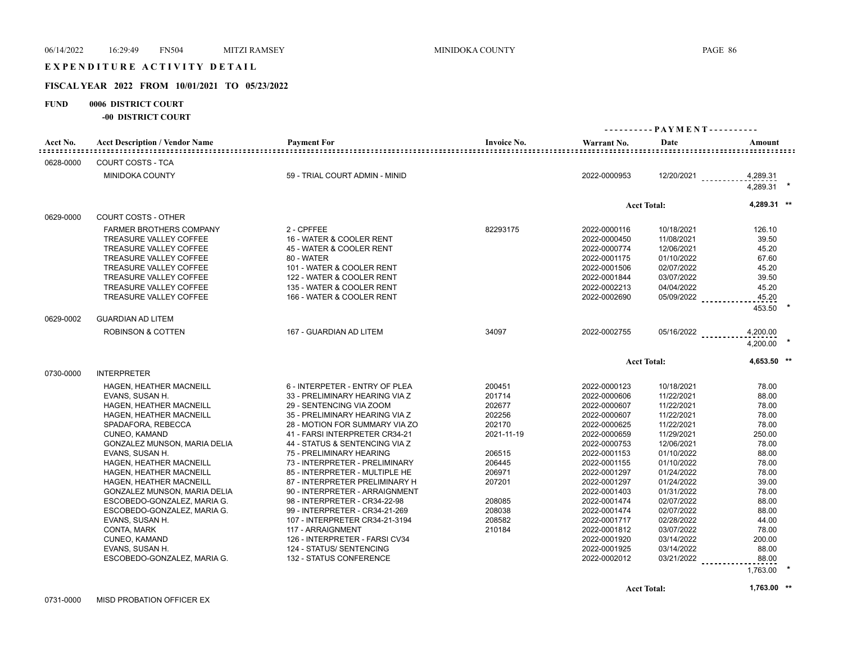## EXPENDITURE ACTIVITY DETAIL

## **FISCAL YEAR 2022 FROM 10/01/2021 TO 05/23/2022**

## **FUND 0006 DISTRICT COURT**

**-00 DISTRICT COURT**

|                                           |                                                      |                                                                  |                    | ---------- PAYMENT---------- |                          |                      |  |
|-------------------------------------------|------------------------------------------------------|------------------------------------------------------------------|--------------------|------------------------------|--------------------------|----------------------|--|
| Acct No.<br>: = = = = = = = = = = = = = = | <b>Acct Description / Vendor Name</b>                | <b>Payment For</b>                                               | <b>Invoice No.</b> | Warrant No.                  | Date                     | Amount               |  |
| 0628-0000                                 | <b>COURT COSTS - TCA</b>                             |                                                                  |                    |                              |                          |                      |  |
|                                           | <b>MINIDOKA COUNTY</b>                               | 59 - TRIAL COURT ADMIN - MINID                                   |                    | 2022-0000953                 | $12/20/2021$             | 4,289.31             |  |
|                                           |                                                      |                                                                  |                    |                              |                          | 4,289.31             |  |
|                                           |                                                      |                                                                  |                    |                              | <b>Acct Total:</b>       | 4,289.31 **          |  |
| 0629-0000                                 | <b>COURT COSTS - OTHER</b>                           |                                                                  |                    |                              |                          |                      |  |
|                                           | <b>FARMER BROTHERS COMPANY</b>                       | 2 - CPFFEE                                                       | 82293175           | 2022-0000116                 | 10/18/2021               | 126.10               |  |
|                                           | <b>TREASURE VALLEY COFFEE</b>                        | 16 - WATER & COOLER RENT                                         |                    | 2022-0000450                 | 11/08/2021               | 39.50                |  |
|                                           | TREASURE VALLEY COFFEE                               | 45 - WATER & COOLER RENT                                         |                    | 2022-0000774                 | 12/06/2021               | 45.20                |  |
|                                           | <b>TREASURE VALLEY COFFEE</b>                        | 80 - WATER                                                       |                    | 2022-0001175                 | 01/10/2022               | 67.60                |  |
|                                           | <b>TREASURE VALLEY COFFEE</b>                        | 101 - WATER & COOLER RENT                                        |                    | 2022-0001506                 | 02/07/2022               | 45.20                |  |
|                                           | <b>TREASURE VALLEY COFFEE</b>                        | 122 - WATER & COOLER RENT                                        |                    | 2022-0001844                 | 03/07/2022               | 39.50                |  |
|                                           | <b>TREASURE VALLEY COFFEE</b>                        | 135 - WATER & COOLER RENT                                        |                    | 2022-0002213                 | 04/04/2022               | 45.20                |  |
|                                           | <b>TREASURE VALLEY COFFEE</b>                        | 166 - WATER & COOLER RENT                                        |                    | 2022-0002690                 | 05/09/2022               | 45.20                |  |
|                                           |                                                      |                                                                  |                    |                              |                          | 453.50               |  |
| 0629-0002                                 | <b>GUARDIAN AD LITEM</b>                             |                                                                  |                    |                              |                          |                      |  |
|                                           | <b>ROBINSON &amp; COTTEN</b>                         | 167 - GUARDIAN AD LITEM                                          | 34097              | 2022-0002755                 | 05/16/2022               | 4,200.00<br>4,200.00 |  |
|                                           |                                                      |                                                                  |                    |                              | <b>Acct Total:</b>       | 4.653.50 **          |  |
| 0730-0000                                 | <b>INTERPRETER</b>                                   |                                                                  |                    |                              |                          |                      |  |
|                                           |                                                      |                                                                  |                    |                              |                          |                      |  |
|                                           | HAGEN, HEATHER MACNEILL                              | 6 - INTERPETER - ENTRY OF PLEA                                   | 200451             | 2022-0000123                 | 10/18/2021               | 78.00                |  |
|                                           | EVANS, SUSAN H.                                      | 33 - PRELIMINARY HEARING VIA Z                                   | 201714             | 2022-0000606                 | 11/22/2021               | 88.00                |  |
|                                           | HAGEN, HEATHER MACNEILL                              | 29 - SENTENCING VIA ZOOM                                         | 202677             | 2022-0000607                 | 11/22/2021               | 78.00                |  |
|                                           | <b>HAGEN, HEATHER MACNEILL</b><br>SPADAFORA, REBECCA | 35 - PRELIMINARY HEARING VIA Z                                   | 202256<br>202170   | 2022-0000607<br>2022-0000625 | 11/22/2021<br>11/22/2021 | 78.00<br>78.00       |  |
|                                           | CUNEO, KAMAND                                        | 28 - MOTION FOR SUMMARY VIA ZO<br>41 - FARSI INTERPRETER CR34-21 | 2021-11-19         | 2022-0000659                 | 11/29/2021               | 250.00               |  |
|                                           | GONZALEZ MUNSON, MARIA DELIA                         | 44 - STATUS & SENTENCING VIA Z                                   |                    | 2022-0000753                 | 12/06/2021               | 78.00                |  |
|                                           | EVANS, SUSAN H.                                      | 75 - PRELIMINARY HEARING                                         | 206515             | 2022-0001153                 | 01/10/2022               | 88.00                |  |
|                                           | HAGEN, HEATHER MACNEILL                              | 73 - INTERPRETER - PRELIMINARY                                   | 206445             | 2022-0001155                 | 01/10/2022               | 78.00                |  |
|                                           | <b>HAGEN, HEATHER MACNEILL</b>                       | 85 - INTERPRETER - MULTIPLE HE                                   | 206971             | 2022-0001297                 | 01/24/2022               | 78.00                |  |
|                                           | HAGEN, HEATHER MACNEILL                              | 87 - INTERPRETER PRELIMINARY H                                   | 207201             | 2022-0001297                 | 01/24/2022               | 39.00                |  |
|                                           | GONZALEZ MUNSON, MARIA DELIA                         | 90 - INTERPRETER - ARRAIGNMENT                                   |                    | 2022-0001403                 | 01/31/2022               | 78.00                |  |
|                                           | ESCOBEDO-GONZALEZ, MARIA G.                          | 98 - INTERPRETER - CR34-22-98                                    | 208085             | 2022-0001474                 | 02/07/2022               | 88.00                |  |
|                                           | ESCOBEDO-GONZALEZ, MARIA G.                          | 99 - INTERPRETER - CR34-21-269                                   | 208038             | 2022-0001474                 | 02/07/2022               | 88.00                |  |
|                                           | EVANS, SUSAN H.                                      | 107 - INTERPRETER CR34-21-3194                                   | 208582             | 2022-0001717                 | 02/28/2022               | 44.00                |  |
|                                           | CONTA, MARK                                          | 117 - ARRAIGNMENT                                                | 210184             | 2022-0001812                 | 03/07/2022               | 78.00                |  |
|                                           | CUNEO, KAMAND                                        | 126 - INTERPRETER - FARSI CV34                                   |                    | 2022-0001920                 | 03/14/2022               | 200.00               |  |
|                                           | EVANS, SUSAN H.                                      | 124 - STATUS/ SENTENCING                                         |                    | 2022-0001925                 | 03/14/2022               | 88.00                |  |
|                                           | ESCOBEDO-GONZALEZ, MARIA G.                          | <b>132 - STATUS CONFERENCE</b>                                   |                    | 2022-0002012                 | 03/21/2022               | 88.00<br><u>.</u>    |  |
|                                           |                                                      |                                                                  |                    |                              |                          | 1,763.00             |  |
|                                           |                                                      |                                                                  |                    |                              |                          |                      |  |

**Acct Total: 1,763.00 \*\***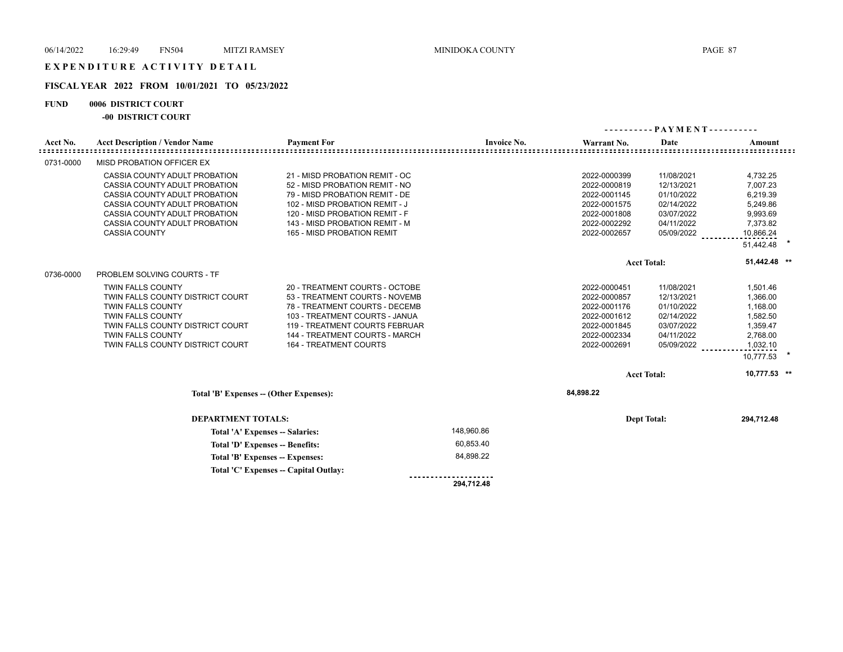## **FISCAL YEAR 2022 FROM 10/01/2021 TO 05/23/2022**

## **FUND 0006 DISTRICT COURT**

**-00 DISTRICT COURT**

| Acct No.  | <b>Acct Description / Vendor Name</b>   | <b>Payment For</b>             | <b>Invoice No.</b> | Warrant No.  | Date               | Amount       |  |
|-----------|-----------------------------------------|--------------------------------|--------------------|--------------|--------------------|--------------|--|
|           |                                         |                                |                    |              |                    |              |  |
| 0731-0000 | MISD PROBATION OFFICER EX               |                                |                    |              |                    |              |  |
|           | CASSIA COUNTY ADULT PROBATION           | 21 - MISD PROBATION REMIT - OC |                    | 2022-0000399 | 11/08/2021         | 4,732.25     |  |
|           | CASSIA COUNTY ADULT PROBATION           | 52 - MISD PROBATION REMIT - NO |                    | 2022-0000819 | 12/13/2021         | 7,007.23     |  |
|           | CASSIA COUNTY ADULT PROBATION           | 79 - MISD PROBATION REMIT - DE |                    | 2022-0001145 | 01/10/2022         | 6,219.39     |  |
|           | CASSIA COUNTY ADULT PROBATION           | 102 - MISD PROBATION REMIT - J |                    | 2022-0001575 | 02/14/2022         | 5,249.86     |  |
|           | CASSIA COUNTY ADULT PROBATION           | 120 - MISD PROBATION REMIT - F |                    | 2022-0001808 | 03/07/2022         | 9,993.69     |  |
|           | CASSIA COUNTY ADULT PROBATION           | 143 - MISD PROBATION REMIT - M |                    | 2022-0002292 | 04/11/2022         | 7,373.82     |  |
|           | <b>CASSIA COUNTY</b>                    | 165 - MISD PROBATION REMIT     |                    | 2022-0002657 | 05/09/2022         | 10,866.24    |  |
|           |                                         |                                |                    |              |                    | 51,442.48    |  |
|           |                                         |                                |                    |              | <b>Acct Total:</b> | 51,442.48 ** |  |
| 0736-0000 | <b>PROBLEM SOLVING COURTS - TF</b>      |                                |                    |              |                    |              |  |
|           | <b>TWIN FALLS COUNTY</b>                | 20 - TREATMENT COURTS - OCTOBE |                    | 2022-0000451 | 11/08/2021         | 1,501.46     |  |
|           | TWIN FALLS COUNTY DISTRICT COURT        | 53 - TREATMENT COURTS - NOVEMB |                    | 2022-0000857 | 12/13/2021         | 1,366.00     |  |
|           | <b>TWIN FALLS COUNTY</b>                | 78 - TREATMENT COURTS - DECEMB |                    | 2022-0001176 | 01/10/2022         | 1,168.00     |  |
|           | <b>TWIN FALLS COUNTY</b>                | 103 - TREATMENT COURTS - JANUA |                    | 2022-0001612 | 02/14/2022         | 1,582.50     |  |
|           | TWIN FALLS COUNTY DISTRICT COURT        | 119 - TREATMENT COURTS FEBRUAR |                    | 2022-0001845 | 03/07/2022         | 1,359.47     |  |
|           | <b>TWIN FALLS COUNTY</b>                | 144 - TREATMENT COURTS - MARCH |                    | 2022-0002334 | 04/11/2022         | 2,768.00     |  |
|           | TWIN FALLS COUNTY DISTRICT COURT        | <b>164 - TREATMENT COURTS</b>  |                    | 2022-0002691 | 05/09/2022         | 1,032.10     |  |
|           |                                         |                                |                    |              |                    | 10,777.53 *  |  |
|           |                                         |                                |                    |              | <b>Acct Total:</b> | 10.777.53 ** |  |
|           | Total 'B' Expenses -- (Other Expenses): |                                |                    | 84,898.22    |                    |              |  |
|           | <b>DEPARTMENT TOTALS:</b>               |                                |                    |              | <b>Dept Total:</b> | 294,712.48   |  |
|           | Total 'A' Expenses -- Salaries:         |                                | 148,960.86         |              |                    |              |  |
|           | Total 'D' Expenses -- Benefits:         |                                | 60,853.40          |              |                    |              |  |
|           | Total 'B' Expenses -- Expenses:         |                                | 84,898.22          |              |                    |              |  |

 **294,712.48** 

.....................

**Total 'C' Expenses -- Capital Outlay:**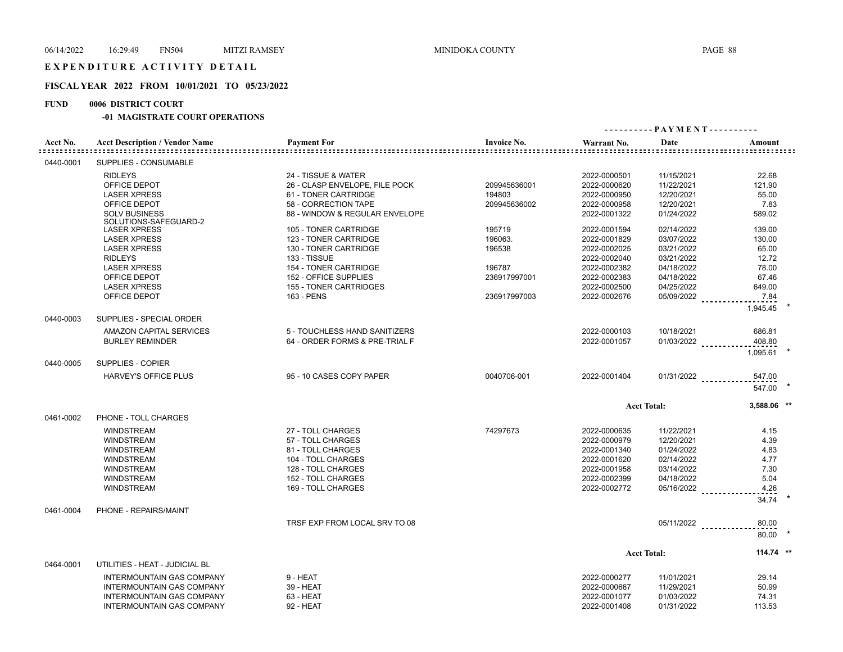## **FISCAL YEAR 2022 FROM 10/01/2021 TO 05/23/2022**

## **FUND 0006 DISTRICT COURT**

## **-01 MAGISTRATE COURT OPERATIONS**

| Acct No.  | <b>Acct Description / Vendor Name</b>         | <b>Payment For</b>             | <b>Invoice No.</b> | Warrant No.  | Date               | Amount                 |  |
|-----------|-----------------------------------------------|--------------------------------|--------------------|--------------|--------------------|------------------------|--|
| 0440-0001 | SUPPLIES - CONSUMABLE                         |                                |                    |              |                    |                        |  |
|           | <b>RIDLEYS</b>                                | 24 - TISSUE & WATER            |                    | 2022-0000501 | 11/15/2021         | 22.68                  |  |
|           | OFFICE DEPOT                                  | 26 - CLASP ENVELOPE, FILE POCK | 209945636001       | 2022-0000620 | 11/22/2021         | 121.90                 |  |
|           | <b>LASER XPRESS</b>                           | 61 - TONER CARTRIDGE           | 194803             | 2022-0000950 | 12/20/2021         | 55.00                  |  |
|           | OFFICE DEPOT                                  | 58 - CORRECTION TAPE           | 209945636002       | 2022-0000958 | 12/20/2021         | 7.83                   |  |
|           | <b>SOLV BUSINESS</b><br>SOLUTIONS-SAFEGUARD-2 | 88 - WINDOW & REGULAR ENVELOPE |                    | 2022-0001322 | 01/24/2022         | 589.02                 |  |
|           | <b>LASER XPRESS</b>                           | 105 - TONER CARTRIDGE          | 195719             | 2022-0001594 | 02/14/2022         | 139.00                 |  |
|           | <b>LASER XPRESS</b>                           | 123 - TONER CARTRIDGE          | 196063.            | 2022-0001829 | 03/07/2022         | 130.00                 |  |
|           | <b>LASER XPRESS</b>                           | 130 - TONER CARTRIDGE          | 196538             | 2022-0002025 | 03/21/2022         | 65.00                  |  |
|           | <b>RIDLEYS</b>                                | 133 - TISSUE                   |                    | 2022-0002040 | 03/21/2022         | 12.72                  |  |
|           |                                               |                                |                    |              |                    |                        |  |
|           | <b>LASER XPRESS</b>                           | 154 - TONER CARTRIDGE          | 196787             | 2022-0002382 | 04/18/2022         | 78.00                  |  |
|           | OFFICE DEPOT                                  | 152 - OFFICE SUPPLIES          | 236917997001       | 2022-0002383 | 04/18/2022         | 67.46                  |  |
|           | <b>LASER XPRESS</b>                           | 155 - TONER CARTRIDGES         |                    | 2022-0002500 | 04/25/2022         | 649.00                 |  |
|           | OFFICE DEPOT                                  | 163 - PENS                     | 236917997003       | 2022-0002676 | 05/09/2022         | 7.84<br>1,945.45       |  |
| 0440-0003 | SUPPLIES - SPECIAL ORDER                      |                                |                    |              |                    |                        |  |
|           | AMAZON CAPITAL SERVICES                       | 5 - TOUCHLESS HAND SANITIZERS  |                    | 2022-0000103 | 10/18/2021         | 686.81                 |  |
|           | <b>BURLEY REMINDER</b>                        | 64 - ORDER FORMS & PRE-TRIAL F |                    | 2022-0001057 | 01/03/2022         | 408.80<br>1.095.61     |  |
| 0440-0005 | SUPPLIES - COPIER                             |                                |                    |              |                    |                        |  |
|           | <b>HARVEY'S OFFICE PLUS</b>                   | 95 - 10 CASES COPY PAPER       | 0040706-001        | 2022-0001404 |                    | $01/31/2022$<br>547.00 |  |
|           |                                               |                                |                    |              |                    | 547.00                 |  |
|           |                                               |                                |                    |              | <b>Acct Total:</b> | 3,588.06 **            |  |
| 0461-0002 | PHONE - TOLL CHARGES                          |                                |                    |              |                    |                        |  |
|           | <b>WINDSTREAM</b>                             | 27 - TOLL CHARGES              | 74297673           | 2022-0000635 | 11/22/2021         | 4.15                   |  |
|           | <b>WINDSTREAM</b>                             | 57 - TOLL CHARGES              |                    | 2022-0000979 | 12/20/2021         | 4.39                   |  |
|           | <b>WINDSTREAM</b>                             | 81 - TOLL CHARGES              |                    | 2022-0001340 | 01/24/2022         | 4.83                   |  |
|           | <b>WINDSTREAM</b>                             | 104 - TOLL CHARGES             |                    | 2022-0001620 | 02/14/2022         | 4.77                   |  |
|           | <b>WINDSTREAM</b>                             | 128 - TOLL CHARGES             |                    | 2022-0001958 | 03/14/2022         | 7.30                   |  |
|           | <b>WINDSTREAM</b>                             | 152 - TOLL CHARGES             |                    | 2022-0002399 | 04/18/2022         | 5.04                   |  |
|           | <b>WINDSTREAM</b>                             | 169 - TOLL CHARGES             |                    | 2022-0002772 | 05/16/2022         | 4.26                   |  |
|           |                                               |                                |                    |              |                    | 34.74                  |  |
| 0461-0004 | PHONE - REPAIRS/MAINT                         |                                |                    |              |                    |                        |  |
|           |                                               | TRSF EXP FROM LOCAL SRV TO 08  |                    |              | 05/11/2022         | 80.00                  |  |
|           |                                               |                                |                    |              |                    | 80.00                  |  |
|           |                                               |                                |                    |              | <b>Acct Total:</b> | 114.74 **              |  |
| 0464-0001 | UTILITIES - HEAT - JUDICIAL BL                |                                |                    |              |                    |                        |  |
|           | <b>INTERMOUNTAIN GAS COMPANY</b>              | 9 - HEAT                       |                    | 2022-0000277 | 11/01/2021         | 29.14                  |  |
|           | <b>INTERMOUNTAIN GAS COMPANY</b>              | 39 - HEAT                      |                    | 2022-0000667 | 11/29/2021         | 50.99                  |  |
|           | <b>INTERMOUNTAIN GAS COMPANY</b>              | 63 - HEAT                      |                    | 2022-0001077 | 01/03/2022         | 74.31                  |  |
|           | <b>INTERMOUNTAIN GAS COMPANY</b>              | 92 - HEAT                      |                    | 2022-0001408 | 01/31/2022         | 113.53                 |  |
|           |                                               |                                |                    |              |                    |                        |  |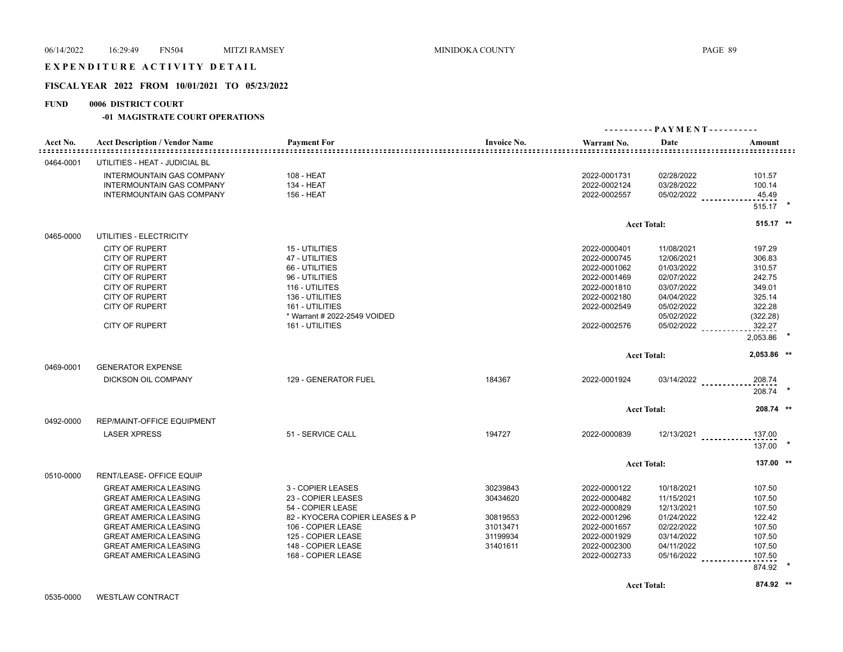## EXPENDITURE ACTIVITY DETAIL

## **FISCAL YEAR 2022 FROM 10/01/2021 TO 05/23/2022**

#### **FUND 0006 DISTRICT COURT**

#### **-01 MAGISTRATE COURT OPERATIONS**

|           |                                       |                                |                    | ----------PAYMENT---------- |                    |                  |  |
|-----------|---------------------------------------|--------------------------------|--------------------|-----------------------------|--------------------|------------------|--|
| Acct No.  | <b>Acct Description / Vendor Name</b> | <b>Payment For</b>             | <b>Invoice No.</b> | Warrant No.                 | Date               | Amount           |  |
| 0464-0001 | UTILITIES - HEAT - JUDICIAL BL        |                                |                    |                             |                    |                  |  |
|           | <b>INTERMOUNTAIN GAS COMPANY</b>      | 108 - HEAT                     |                    | 2022-0001731                | 02/28/2022         | 101.57           |  |
|           | <b>INTERMOUNTAIN GAS COMPANY</b>      | 134 - HEAT                     |                    | 2022-0002124                | 03/28/2022         | 100.14           |  |
|           | INTERMOUNTAIN GAS COMPANY             | 156 - HEAT                     |                    | 2022-0002557                | 05/02/2022         | 45.49            |  |
|           |                                       |                                |                    |                             |                    | 515.17 *         |  |
|           |                                       |                                |                    |                             | <b>Acct Total:</b> | 515.17 **        |  |
| 0465-0000 | UTILITIES - ELECTRICITY               |                                |                    |                             |                    |                  |  |
|           | <b>CITY OF RUPERT</b>                 | 15 - UTILITIES                 |                    | 2022-0000401                | 11/08/2021         | 197.29           |  |
|           | <b>CITY OF RUPERT</b>                 | 47 - UTILITIES                 |                    | 2022-0000745                | 12/06/2021         | 306.83           |  |
|           | <b>CITY OF RUPERT</b>                 | 66 - UTILITIES                 |                    | 2022-0001062                | 01/03/2022         | 310.57           |  |
|           | <b>CITY OF RUPERT</b>                 | 96 - UTILITIES                 |                    | 2022-0001469                | 02/07/2022         | 242.75           |  |
|           | <b>CITY OF RUPERT</b>                 | 116 - UTILITES                 |                    | 2022-0001810                | 03/07/2022         | 349.01           |  |
|           | <b>CITY OF RUPERT</b>                 | 136 - UTILITIES                |                    | 2022-0002180                | 04/04/2022         | 325.14           |  |
|           | <b>CITY OF RUPERT</b>                 | 161 - UTILITIES                |                    | 2022-0002549                | 05/02/2022         | 322.28           |  |
|           |                                       | * Warrant # 2022-2549 VOIDED   |                    |                             | 05/02/2022         | (322.28)         |  |
|           | <b>CITY OF RUPERT</b>                 | 161 - UTILITIES                |                    | 2022-0002576                | 05/02/2022         | 322.27           |  |
|           |                                       |                                |                    |                             |                    | 2,053.86         |  |
|           |                                       |                                |                    |                             | <b>Acct Total:</b> | 2,053.86 **      |  |
| 0469-0001 | <b>GENERATOR EXPENSE</b>              |                                |                    |                             |                    |                  |  |
|           | DICKSON OIL COMPANY                   | 129 - GENERATOR FUEL           | 184367             | 2022-0001924                | 03/14/2022         | 208.74<br>208.74 |  |
|           |                                       |                                |                    |                             | <b>Acct Total:</b> | 208.74 **        |  |
| 0492-0000 | <b>REP/MAINT-OFFICE EQUIPMENT</b>     |                                |                    |                             |                    |                  |  |
|           | <b>LASER XPRESS</b>                   | 51 - SERVICE CALL              | 194727             | 2022-0000839                | $12/13/2021$       | 137.00           |  |
|           |                                       |                                |                    |                             |                    | 137.00 *         |  |
|           |                                       |                                |                    |                             | <b>Acct Total:</b> | 137.00 **        |  |
| 0510-0000 | <b>RENT/LEASE- OFFICE EQUIP</b>       |                                |                    |                             |                    |                  |  |
|           | <b>GREAT AMERICA LEASING</b>          | 3 - COPIER LEASES              | 30239843           | 2022-0000122                | 10/18/2021         | 107.50           |  |
|           | <b>GREAT AMERICA LEASING</b>          | 23 - COPIER LEASES             | 30434620           | 2022-0000482                | 11/15/2021         | 107.50           |  |
|           | <b>GREAT AMERICA LEASING</b>          | 54 - COPIER LEASE              |                    | 2022-0000829                | 12/13/2021         | 107.50           |  |
|           | <b>GREAT AMERICA LEASING</b>          | 82 - KYOCERA COPIER LEASES & P | 30819553           | 2022-0001296                | 01/24/2022         | 122.42           |  |
|           | <b>GREAT AMERICA LEASING</b>          | 106 - COPIER LEASE             | 31013471           | 2022-0001657                | 02/22/2022         | 107.50           |  |
|           | <b>GREAT AMERICA LEASING</b>          | 125 - COPIER LEASE             | 31199934           | 2022-0001929                | 03/14/2022         | 107.50           |  |
|           | <b>GREAT AMERICA LEASING</b>          | 148 - COPIER LEASE             | 31401611           | 2022-0002300                | 04/11/2022         | 107.50           |  |
|           | <b>GREAT AMERICA LEASING</b>          | 168 - COPIER LEASE             |                    | 2022-0002733                | 05/16/2022         | 107.50           |  |
|           |                                       |                                |                    |                             |                    | 874.92           |  |
|           |                                       |                                |                    |                             | <b>Acct Total:</b> | 874.92 **        |  |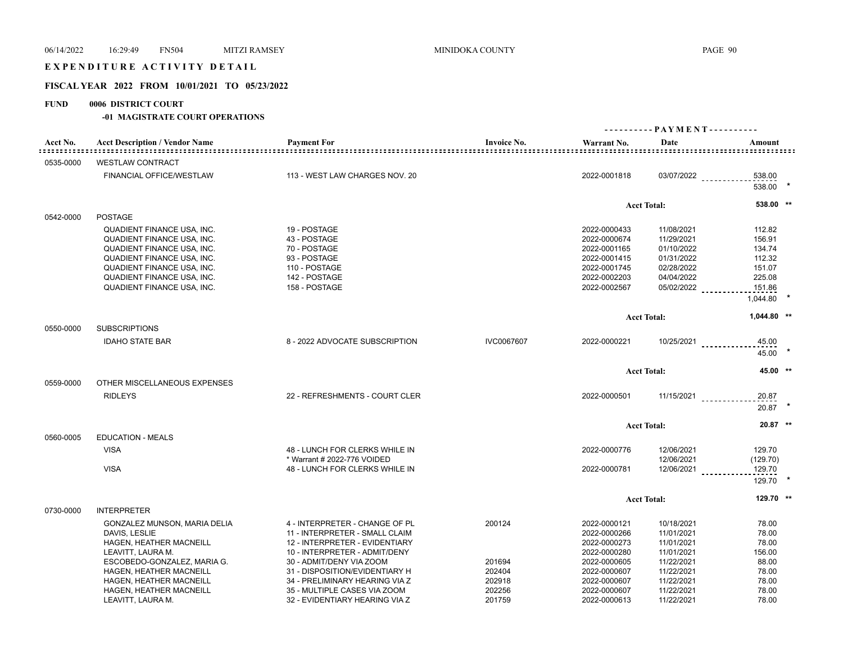### EXPENDITURE ACTIVITY DETAIL

#### **FISCAL YEAR 2022 FROM 10/01/2021 TO 05/23/2022**

#### **FUND 0006 DISTRICT COURT**

#### **-01 MAGISTRATE COURT OPERATIONS**

|           |                                       |                                                               |                    | ---------- PAYMENT---------- |                          |                                            |  |
|-----------|---------------------------------------|---------------------------------------------------------------|--------------------|------------------------------|--------------------------|--------------------------------------------|--|
| Acct No.  | <b>Acct Description / Vendor Name</b> | <b>Payment For</b><br>-------------------                     | <b>Invoice No.</b> | Warrant No.                  | Date                     | Amount<br>================================ |  |
| 0535-0000 | <b>WESTLAW CONTRACT</b>               |                                                               |                    |                              |                          |                                            |  |
|           | <b>FINANCIAL OFFICE/WESTLAW</b>       | 113 - WEST LAW CHARGES NOV. 20                                |                    | 2022-0001818                 | 03/07/2022               | 538.00<br>538.00                           |  |
|           |                                       |                                                               |                    |                              | <b>Acct Total:</b>       | 538.00 **                                  |  |
| 0542-0000 | <b>POSTAGE</b>                        |                                                               |                    |                              |                          |                                            |  |
|           | <b>QUADIENT FINANCE USA, INC.</b>     | 19 - POSTAGE                                                  |                    | 2022-0000433                 | 11/08/2021               | 112.82                                     |  |
|           | <b>QUADIENT FINANCE USA, INC.</b>     | 43 - POSTAGE                                                  |                    | 2022-0000674                 | 11/29/2021               | 156.91                                     |  |
|           | QUADIENT FINANCE USA, INC.            | 70 - POSTAGE                                                  |                    | 2022-0001165                 | 01/10/2022               | 134.74                                     |  |
|           | <b>QUADIENT FINANCE USA, INC.</b>     | 93 - POSTAGE                                                  |                    | 2022-0001415                 | 01/31/2022               | 112.32                                     |  |
|           | QUADIENT FINANCE USA, INC.            | 110 - POSTAGE                                                 |                    | 2022-0001745                 | 02/28/2022<br>04/04/2022 | 151.07                                     |  |
|           | QUADIENT FINANCE USA, INC.            | 142 - POSTAGE                                                 |                    | 2022-0002203                 |                          | 225.08                                     |  |
|           | QUADIENT FINANCE USA, INC.            | 158 - POSTAGE                                                 |                    | 2022-0002567                 | 05/02/2022               | 151.86<br>1,044.80                         |  |
|           |                                       |                                                               |                    |                              | <b>Acct Total:</b>       | 1,044.80 **                                |  |
| 0550-0000 | <b>SUBSCRIPTIONS</b>                  |                                                               |                    |                              |                          |                                            |  |
|           | <b>IDAHO STATE BAR</b>                | 8 - 2022 ADVOCATE SUBSCRIPTION                                | IVC0067607         | 2022-0000221                 |                          | $10/25/2021$<br>45.00<br>45.00             |  |
|           |                                       |                                                               |                    |                              | <b>Acct Total:</b>       | 45.00 **                                   |  |
| 0559-0000 | OTHER MISCELLANEOUS EXPENSES          |                                                               |                    |                              |                          |                                            |  |
|           | <b>RIDLEYS</b>                        | 22 - REFRESHMENTS - COURT CLER                                |                    | 2022-0000501                 |                          | $11/15/2021$<br>20.87<br>$20.87$ *         |  |
|           |                                       |                                                               |                    |                              | <b>Acct Total:</b>       | 20.87 **                                   |  |
| 0560-0005 | <b>EDUCATION - MEALS</b>              |                                                               |                    |                              |                          |                                            |  |
|           | <b>VISA</b>                           | 48 - LUNCH FOR CLERKS WHILE IN<br>* Warrant # 2022-776 VOIDED |                    | 2022-0000776                 | 12/06/2021<br>12/06/2021 | 129.70<br>(129.70)                         |  |
|           | <b>VISA</b>                           | 48 - LUNCH FOR CLERKS WHILE IN                                |                    | 2022-0000781                 | $12/06/2021$             | 129.70<br>$129.70$ *                       |  |
|           |                                       |                                                               |                    |                              | <b>Acct Total:</b>       | 129.70 **                                  |  |
| 0730-0000 | <b>INTERPRETER</b>                    |                                                               |                    |                              |                          |                                            |  |
|           | GONZALEZ MUNSON, MARIA DELIA          | 4 - INTERPRETER - CHANGE OF PL                                | 200124             | 2022-0000121                 | 10/18/2021               | 78.00                                      |  |
|           | DAVIS, LESLIE                         | 11 - INTERPRETER - SMALL CLAIM                                |                    | 2022-0000266                 | 11/01/2021               | 78.00                                      |  |
|           | HAGEN, HEATHER MACNEILL               | 12 - INTERPRETER - EVIDENTIARY                                |                    | 2022-0000273                 | 11/01/2021               | 78.00                                      |  |
|           | LEAVITT, LAURA M.                     | 10 - INTERPRETER - ADMIT/DENY                                 |                    | 2022-0000280                 | 11/01/2021               | 156.00                                     |  |
|           | ESCOBEDO-GONZALEZ, MARIA G.           | 30 - ADMIT/DENY VIA ZOOM                                      | 201694             | 2022-0000605                 | 11/22/2021               | 88.00                                      |  |
|           | HAGEN, HEATHER MACNEILL               | 31 - DISPOSITION/EVIDENTIARY H                                | 202404             | 2022-0000607                 | 11/22/2021               | 78.00                                      |  |
|           | HAGEN, HEATHER MACNEILL               | 34 - PRELIMINARY HEARING VIA Z                                | 202918             | 2022-0000607                 | 11/22/2021               | 78.00                                      |  |
|           | HAGEN, HEATHER MACNEILL               | 35 - MULTIPLE CASES VIA ZOOM                                  | 202256             | 2022-0000607                 | 11/22/2021               | 78.00                                      |  |
|           | LEAVITT, LAURA M.                     | 32 - EVIDENTIARY HEARING VIA Z                                | 201759             | 2022-0000613                 | 11/22/2021               | 78.00                                      |  |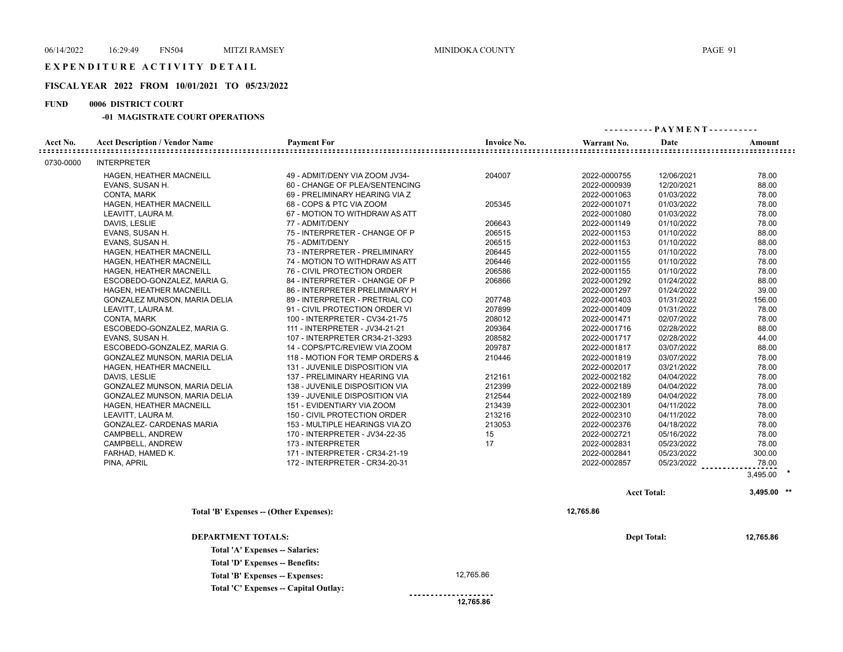## **FISCAL YEAR 2022 FROM 10/01/2021 TO 05/23/2022**

## **FUND 0006 DISTRICT COURT**

#### **-01 MAGISTRATE COURT OPERATIONS**

|                                     |                                       |                                         |                    | ---------- PAYMENT---------- |                    |                                                    |
|-------------------------------------|---------------------------------------|-----------------------------------------|--------------------|------------------------------|--------------------|----------------------------------------------------|
| Acct No.<br>: = = = = = = = = = = = | <b>Acct Description / Vendor Name</b> | <b>Payment For</b>                      | <b>Invoice No.</b> | Warrant No.                  | Date               | Amount<br><u> ================================</u> |
| 0730-0000                           | <b>INTERPRETER</b>                    |                                         |                    |                              |                    |                                                    |
|                                     | HAGEN, HEATHER MACNEILL               | 49 - ADMIT/DENY VIA ZOOM JV34-          | 204007             | 2022-0000755                 | 12/06/2021         | 78.00                                              |
|                                     | EVANS, SUSAN H.                       | 60 - CHANGE OF PLEA/SENTENCING          |                    | 2022-0000939                 | 12/20/2021         | 88.00                                              |
|                                     | CONTA, MARK                           | 69 - PRELIMINARY HEARING VIA Z          |                    | 2022-0001063                 | 01/03/2022         | 78.00                                              |
|                                     | HAGEN, HEATHER MACNEILL               | 68 - COPS & PTC VIA ZOOM                | 205345             | 2022-0001071                 | 01/03/2022         | 78.00                                              |
|                                     | LEAVITT, LAURA M.                     | 67 - MOTION TO WITHDRAW AS ATT          |                    | 2022-0001080                 | 01/03/2022         | 78.00                                              |
|                                     | DAVIS, LESLIE                         | 77 - ADMIT/DENY                         | 206643             | 2022-0001149                 | 01/10/2022         | 78.00                                              |
|                                     | EVANS, SUSAN H.                       | 75 - INTERPRETER - CHANGE OF P          | 206515             | 2022-0001153                 | 01/10/2022         | 88.00                                              |
|                                     | EVANS, SUSAN H.                       | 75 - ADMIT/DENY                         | 206515             | 2022-0001153                 | 01/10/2022         | 88.00                                              |
|                                     | HAGEN, HEATHER MACNEILL               | 73 - INTERPRETER - PRELIMINARY          | 206445             | 2022-0001155                 | 01/10/2022         | 78.00                                              |
|                                     | HAGEN, HEATHER MACNEILL               | 74 - MOTION TO WITHDRAW AS ATT          | 206446             | 2022-0001155                 | 01/10/2022         | 78.00                                              |
|                                     | HAGEN, HEATHER MACNEILL               | 76 - CIVIL PROTECTION ORDER             | 206586             | 2022-0001155                 | 01/10/2022         | 78.00                                              |
|                                     | ESCOBEDO-GONZALEZ, MARIA G.           | 84 - INTERPRETER - CHANGE OF P          | 206866             | 2022-0001292                 | 01/24/2022         | 88.00                                              |
|                                     | HAGEN, HEATHER MACNEILL               | 86 - INTERPRETER PRELIMINARY H          |                    | 2022-0001297                 | 01/24/2022         | 39.00                                              |
|                                     | GONZALEZ MUNSON, MARIA DELIA          | 89 - INTERPRETER - PRETRIAL CO          | 207748             | 2022-0001403                 | 01/31/2022         | 156.00                                             |
|                                     | LEAVITT, LAURA M.                     | 91 - CIVIL PROTECTION ORDER VI          | 207899             | 2022-0001409                 | 01/31/2022         | 78.00                                              |
|                                     | CONTA, MARK                           | 100 - INTERPRETER - CV34-21-75          | 208012             | 2022-0001471                 | 02/07/2022         | 78.00                                              |
|                                     | ESCOBEDO-GONZALEZ, MARIA G.           | 111 - INTERPRETER - JV34-21-21          | 209364             | 2022-0001716                 | 02/28/2022         | 88.00                                              |
|                                     | EVANS, SUSAN H.                       | 107 - INTERPRETER CR34-21-3293          | 208582             | 2022-0001717                 | 02/28/2022         | 44.00                                              |
|                                     | ESCOBEDO-GONZALEZ, MARIA G.           | 14 - COPS/PTC/REVIEW VIA ZOOM           | 209787             | 2022-0001817                 | 03/07/2022         | 88.00                                              |
|                                     | GONZALEZ MUNSON, MARIA DELIA          | 118 - MOTION FOR TEMP ORDERS &          | 210446             | 2022-0001819                 | 03/07/2022         | 78.00                                              |
|                                     | HAGEN, HEATHER MACNEILL               | 131 - JUVENILE DISPOSITION VIA          |                    | 2022-0002017                 | 03/21/2022         | 78.00                                              |
|                                     | DAVIS, LESLIE                         | 137 - PRELIMINARY HEARING VIA           | 212161             | 2022-0002182                 | 04/04/2022         | 78.00                                              |
|                                     | GONZALEZ MUNSON, MARIA DELIA          | 138 - JUVENILE DISPOSITION VIA          | 212399             | 2022-0002189                 | 04/04/2022         | 78.00                                              |
|                                     | GONZALEZ MUNSON, MARIA DELIA          | 139 - JUVENILE DISPOSITION VIA          | 212544             | 2022-0002189                 | 04/04/2022         | 78.00                                              |
|                                     | HAGEN, HEATHER MACNEILL               | 151 - EVIDENTIARY VIA ZOOM              | 213439             | 2022-0002301                 | 04/11/2022         | 78.00                                              |
|                                     | LEAVITT, LAURA M.                     | 150 - CIVIL PROTECTION ORDER            | 213216             | 2022-0002310                 | 04/11/2022         | 78.00                                              |
|                                     | GONZALEZ- CARDENAS MARIA              | 153 - MULTIPLE HEARINGS VIA ZO          | 213053             | 2022-0002376                 | 04/18/2022         | 78.00                                              |
|                                     | CAMPBELL, ANDREW                      | 170 - INTERPRETER - JV34-22-35          | 15                 | 2022-0002721                 | 05/16/2022         | 78.00                                              |
|                                     | CAMPBELL, ANDREW                      | 173 - INTERPRETER                       | 17                 | 2022-0002831                 | 05/23/2022         | 78.00                                              |
|                                     | FARHAD, HAMED K.                      | 171 - INTERPRETER - CR34-21-19          |                    | 2022-0002841                 | 05/23/2022         | 300.00                                             |
|                                     | PINA, APRIL                           | 172 - INTERPRETER - CR34-20-31          |                    | 2022-0002857                 | 05/23/2022         | 78.00<br><u>.</u>                                  |
|                                     |                                       |                                         |                    |                              |                    | 3,495.00                                           |
|                                     |                                       |                                         |                    |                              | <b>Acct Total:</b> | 3,495.00 **                                        |
|                                     |                                       | Total 'B' Expenses -- (Other Expenses): |                    | 12,765.86                    |                    |                                                    |
|                                     |                                       |                                         |                    |                              |                    |                                                    |

| <b>DEPARTMENT TOTALS:</b>             |                       | <b>Dept Total:</b> | 12,765.86 |
|---------------------------------------|-----------------------|--------------------|-----------|
| Total 'A' Expenses -- Salaries:       |                       |                    |           |
| Total 'D' Expenses -- Benefits:       |                       |                    |           |
| Total 'B' Expenses -- Expenses:       | 12.765.86             |                    |           |
| Total 'C' Expenses -- Capital Outlay: |                       |                    |           |
|                                       | --------------------- |                    |           |

 **12,765.86**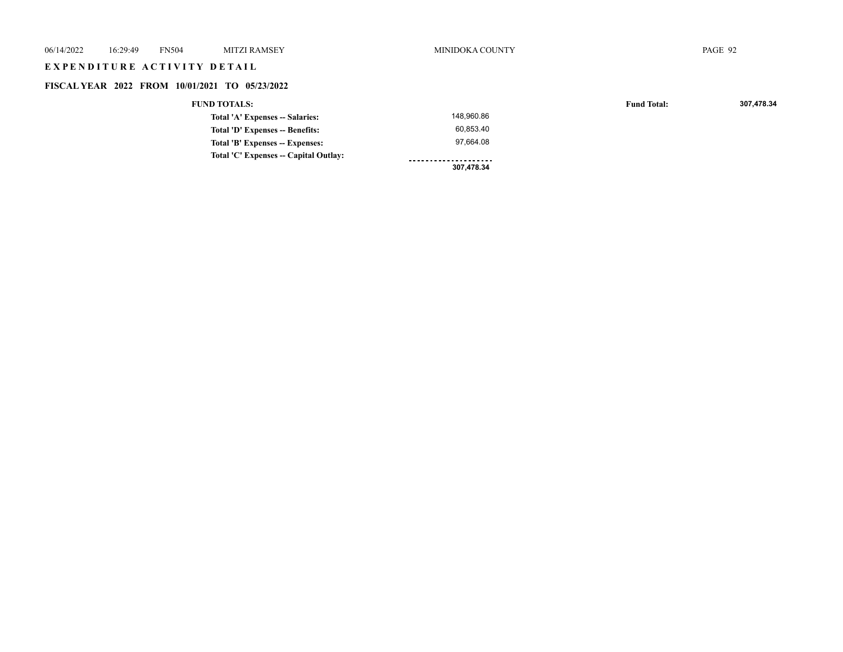# E X P E N D I T U R E A C T I V I T Y D E T A I L

# **FISCAL YEAR 2022 FROM 10/01/2021 TO 05/23/2022**

#### **FUND TOTALS: Fund Total: 307,478.34**

|                                       | 307,478.34 |
|---------------------------------------|------------|
| Total 'C' Expenses -- Capital Outlav: |            |
| Total 'B' Expenses -- Expenses:       | 97.664.08  |
| Total 'D' Expenses -- Benefits:       | 60.853.40  |
| Total 'A' Expenses -- Salaries:       | 148.960.86 |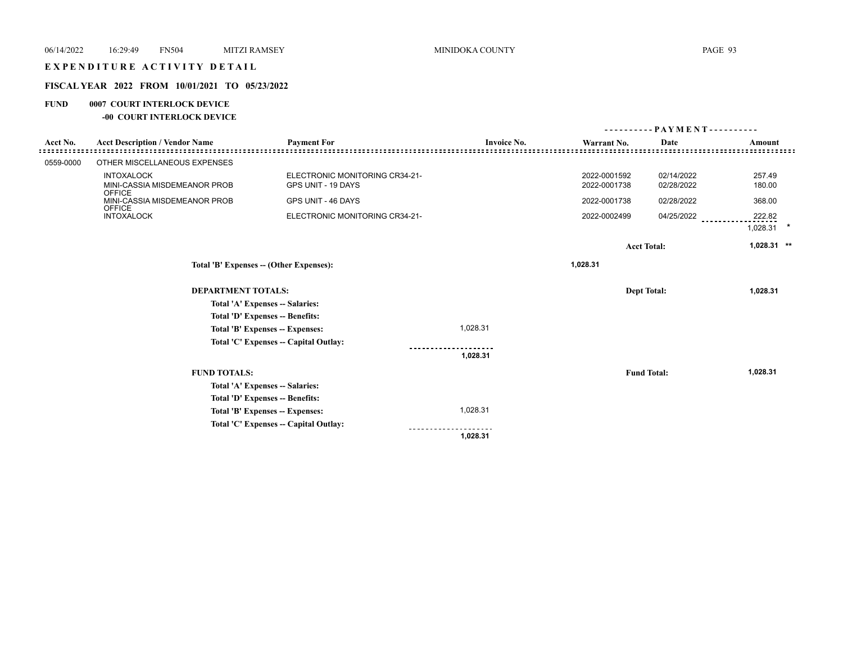## EXPENDITURE ACTIVITY DETAIL

## **FISCAL YEAR 2022 FROM 10/01/2021 TO 05/23/2022**

## **FUND 0007 COURT INTERLOCK DEVICE**

## **-00 COURT INTERLOCK DEVICE**

|                                        |                                               |                                       |                    |              | - PAYMENT - - - - - - - - - - |                    |
|----------------------------------------|-----------------------------------------------|---------------------------------------|--------------------|--------------|-------------------------------|--------------------|
| Acct No.                               | <b>Acct Description / Vendor Name</b>         | <b>Payment For</b>                    | <b>Invoice No.</b> | Warrant No.  | Date                          | Amount             |
|                                        |                                               |                                       |                    |              |                               |                    |
| 0559-0000                              | OTHER MISCELLANEOUS EXPENSES                  |                                       |                    |              |                               |                    |
|                                        | <b>INTOXALOCK</b>                             | ELECTRONIC MONITORING CR34-21-        |                    | 2022-0001592 | 02/14/2022                    | 257.49             |
|                                        | MINI-CASSIA MISDEMEANOR PROB<br><b>OFFICE</b> | GPS UNIT - 19 DAYS                    |                    | 2022-0001738 | 02/28/2022                    | 180.00             |
|                                        | MINI-CASSIA MISDEMEANOR PROB<br><b>OFFICE</b> | GPS UNIT - 46 DAYS                    |                    | 2022-0001738 | 02/28/2022                    | 368.00             |
|                                        | <b>INTOXALOCK</b>                             | ELECTRONIC MONITORING CR34-21-        |                    | 2022-0002499 | 04/25/2022                    | 222.82<br>1,028.31 |
|                                        |                                               |                                       |                    |              | <b>Acct Total:</b>            | 1,028.31 **        |
| Total 'B' Expenses - (Other Expenses): |                                               |                                       |                    | 1,028.31     |                               |                    |
|                                        | <b>DEPARTMENT TOTALS:</b>                     |                                       |                    |              | <b>Dept Total:</b>            | 1,028.31           |
|                                        |                                               | Total 'A' Expenses -- Salaries:       |                    |              |                               |                    |
|                                        |                                               | Total 'D' Expenses -- Benefits:       |                    |              |                               |                    |
|                                        |                                               | Total 'B' Expenses -- Expenses:       | 1,028.31           |              |                               |                    |
|                                        |                                               | Total 'C' Expenses -- Capital Outlay: |                    |              |                               |                    |
|                                        |                                               |                                       | 1,028.31           |              |                               |                    |
|                                        | <b>FUND TOTALS:</b>                           |                                       |                    |              | <b>Fund Total:</b>            | 1,028.31           |
|                                        |                                               | Total 'A' Expenses -- Salaries:       |                    |              |                               |                    |
|                                        |                                               | Total 'D' Expenses -- Benefits:       |                    |              |                               |                    |
|                                        |                                               | Total 'B' Expenses -- Expenses:       | 1,028.31           |              |                               |                    |
|                                        |                                               | Total 'C' Expenses -- Capital Outlay: |                    |              |                               |                    |
|                                        |                                               |                                       | 1,028.31           |              |                               |                    |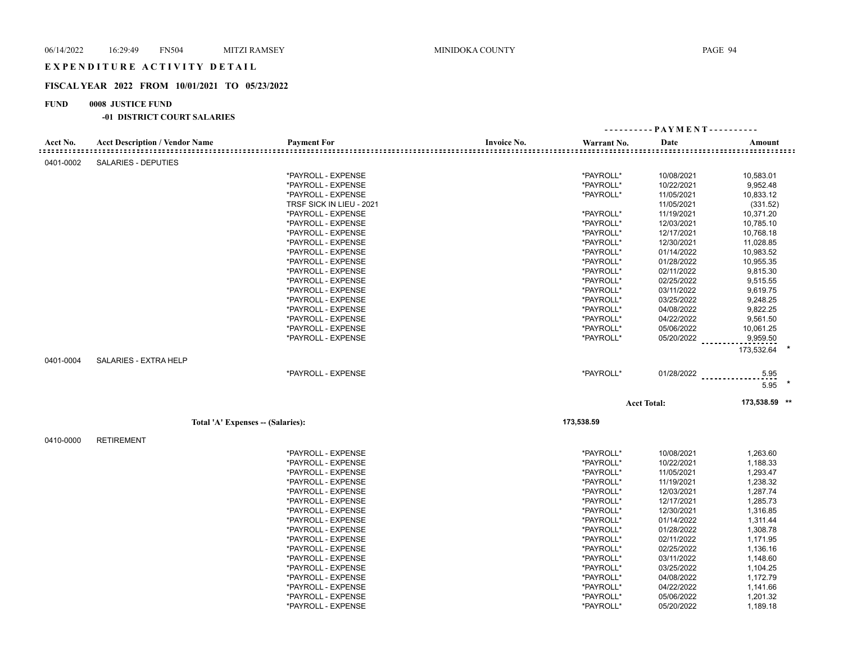## EXPENDITURE ACTIVITY DETAIL

#### **FISCAL YEAR 2022 FROM 10/01/2021 TO 05/23/2022**

#### **FUND 0008 JUSTICE FUND**

#### **-01 DISTRICT COURT SALARIES**

|           |                                       |                                  |                    | ---------- PAYMENT---------- |                    |                                |
|-----------|---------------------------------------|----------------------------------|--------------------|------------------------------|--------------------|--------------------------------|
| Acct No.  | <b>Acct Description / Vendor Name</b> | <b>Payment For</b>               | <b>Invoice No.</b> | Warrant No.                  | Date               | Amount                         |
| 0401-0002 | <b>SALARIES - DEPUTIES</b>            |                                  |                    |                              |                    |                                |
|           |                                       | *PAYROLL - EXPENSE               |                    | *PAYROLL*                    | 10/08/2021         | 10,583.01                      |
|           |                                       | *PAYROLL - EXPENSE               |                    | *PAYROLL*                    | 10/22/2021         | 9,952.48                       |
|           |                                       | *PAYROLL - EXPENSE               |                    | *PAYROLL*                    | 11/05/2021         | 10,833.12                      |
|           |                                       | TRSF SICK IN LIEU - 2021         |                    |                              | 11/05/2021         | (331.52)                       |
|           |                                       | *PAYROLL - EXPENSE               |                    | *PAYROLL*                    | 11/19/2021         | 10,371.20                      |
|           |                                       | *PAYROLL - EXPENSE               |                    | *PAYROLL*                    | 12/03/2021         | 10,785.10                      |
|           |                                       | *PAYROLL - EXPENSE               |                    | *PAYROLL*                    | 12/17/2021         | 10,768.18                      |
|           |                                       | *PAYROLL - EXPENSE               |                    | *PAYROLL*                    | 12/30/2021         | 11,028.85                      |
|           |                                       | *PAYROLL - EXPENSE               |                    | *PAYROLL*                    | 01/14/2022         | 10,983.52                      |
|           |                                       | *PAYROLL - EXPENSE               |                    | *PAYROLL*                    | 01/28/2022         | 10,955.35                      |
|           |                                       | *PAYROLL - EXPENSE               |                    | *PAYROLL*                    | 02/11/2022         | 9,815.30                       |
|           |                                       | *PAYROLL - EXPENSE               |                    | *PAYROLL*                    | 02/25/2022         | 9,515.55                       |
|           |                                       | *PAYROLL - EXPENSE               |                    | *PAYROLL*                    | 03/11/2022         | 9,619.75                       |
|           |                                       | *PAYROLL - EXPENSE               |                    | *PAYROLL*                    | 03/25/2022         | 9,248.25                       |
|           |                                       | *PAYROLL - EXPENSE               |                    | *PAYROLL*                    | 04/08/2022         | 9,822.25                       |
|           |                                       | *PAYROLL - EXPENSE               |                    | *PAYROLL*                    | 04/22/2022         | 9,561.50                       |
|           |                                       | *PAYROLL - EXPENSE               |                    | *PAYROLL*                    | 05/06/2022         | 10,061.25                      |
|           |                                       | *PAYROLL - EXPENSE               |                    | *PAYROLL*                    |                    | 05/20/2022 ___________9,959.50 |
|           |                                       |                                  |                    |                              |                    | 173,532.64                     |
| 0401-0004 | <b>SALARIES - EXTRA HELP</b>          |                                  |                    |                              |                    |                                |
|           |                                       | *PAYROLL - EXPENSE               |                    | *PAYROLL*                    | $01/28/2022$       | .5.95                          |
|           |                                       |                                  |                    |                              |                    | $5.95$ *                       |
|           |                                       |                                  |                    |                              | <b>Acct Total:</b> | 173,538.59 **                  |
|           |                                       | Total 'A' Expenses - (Salaries): |                    | 173,538.59                   |                    |                                |
| 0410-0000 | <b>RETIREMENT</b>                     |                                  |                    |                              |                    |                                |
|           |                                       | *PAYROLL - EXPENSE               |                    | *PAYROLL*                    | 10/08/2021         | 1,263.60                       |
|           |                                       | *PAYROLL - EXPENSE               |                    | *PAYROLL*                    | 10/22/2021         | 1,188.33                       |
|           |                                       | *PAYROLL - EXPENSE               |                    | *PAYROLL*                    | 11/05/2021         | 1,293.47                       |
|           |                                       | *PAYROLL - EXPENSE               |                    | *PAYROLL*                    | 11/19/2021         | 1,238.32                       |
|           |                                       | *PAYROLL - EXPENSE               |                    | *PAYROLL*                    | 12/03/2021         | 1,287.74                       |
|           |                                       | *PAYROLL - EXPENSE               |                    | *PAYROLL*                    | 12/17/2021         | 1,285.73                       |
|           |                                       | *PAYROLL - EXPENSE               |                    | *PAYROLL*                    | 12/30/2021         | 1,316.85                       |
|           |                                       | *PAYROLL - EXPENSE               |                    | *PAYROLL*                    | 01/14/2022         | 1,311.44                       |
|           |                                       | *PAYROLL - EXPENSE               |                    | *PAYROLL*                    | 01/28/2022         | 1,308.78                       |
|           |                                       | *PAYROLL - EXPENSE               |                    | *PAYROLL*                    | 02/11/2022         | 1,171.95                       |
|           |                                       | *PAYROLL - EXPENSE               |                    | *PAYROLL*                    | 02/25/2022         | 1,136.16                       |
|           |                                       | *PAYROLL - EXPENSE               |                    | *PAYROLL*                    | 03/11/2022         | 1,148.60                       |
|           |                                       | *PAYROLL - EXPENSE               |                    | *PAYROLL*                    | 03/25/2022         | 1,104.25                       |
|           |                                       | *PAYROLL - EXPENSE               |                    | *PAYROLL*                    | 04/08/2022         | 1,172.79                       |
|           |                                       | *PAYROLL - EXPENSE               |                    | *PAYROLL*                    | 04/22/2022         | 1,141.66                       |

\*PAYROLL - EXPENSE \*PAYROLL\* 05/06/2022 1,201.32 \*PAYROLL - EXPENSE \*PAYROLL\* 05/20/2022 1,189.18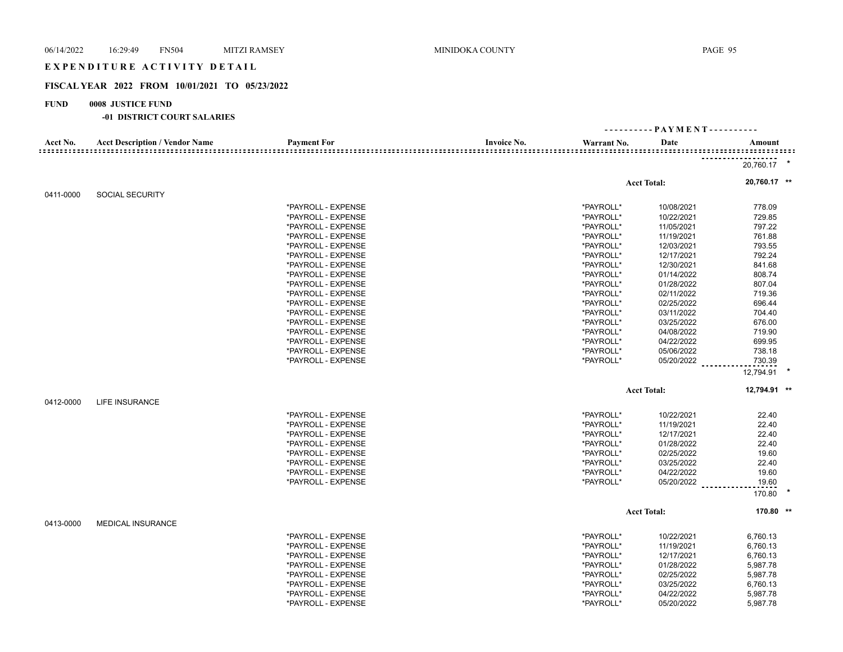## EXPENDITURE ACTIVITY DETAIL

## **FISCAL YEAR 2022 FROM 10/01/2021 TO 05/23/2022**

## **FUND 0008 JUSTICE FUND**

## **-01 DISTRICT COURT SALARIES**

| Acct No.  | <b>Acct Description / Vendor Name</b> | <b>Payment For</b> | <b>Invoice No.</b> | Warrant No. | Date               | Amount       |  |  |
|-----------|---------------------------------------|--------------------|--------------------|-------------|--------------------|--------------|--|--|
|           |                                       |                    |                    |             |                    |              |  |  |
|           |                                       |                    |                    |             |                    | 20,760.17 *  |  |  |
|           |                                       |                    |                    |             | <b>Acct Total:</b> | 20,760.17 ** |  |  |
| 0411-0000 | <b>SOCIAL SECURITY</b>                |                    |                    |             |                    |              |  |  |
|           |                                       | *PAYROLL - EXPENSE |                    | *PAYROLL*   | 10/08/2021         | 778.09       |  |  |
|           |                                       | *PAYROLL - EXPENSE |                    | *PAYROLL*   | 10/22/2021         | 729.85       |  |  |
|           |                                       | *PAYROLL - EXPENSE |                    | *PAYROLL*   | 11/05/2021         | 797.22       |  |  |
|           |                                       | *PAYROLL - EXPENSE |                    | *PAYROLL*   | 11/19/2021         | 761.88       |  |  |
|           |                                       | *PAYROLL - EXPENSE |                    | *PAYROLL*   | 12/03/2021         | 793.55       |  |  |
|           |                                       | *PAYROLL - EXPENSE |                    | *PAYROLL*   | 12/17/2021         | 792.24       |  |  |
|           |                                       | *PAYROLL - EXPENSE |                    | *PAYROLL*   | 12/30/2021         | 841.68       |  |  |
|           |                                       | *PAYROLL - EXPENSE |                    | *PAYROLL*   | 01/14/2022         | 808.74       |  |  |
|           |                                       | *PAYROLL - EXPENSE |                    | *PAYROLL*   | 01/28/2022         | 807.04       |  |  |
|           |                                       | *PAYROLL - EXPENSE |                    | *PAYROLL*   | 02/11/2022         | 719.36       |  |  |
|           |                                       | *PAYROLL - EXPENSE |                    | *PAYROLL*   | 02/25/2022         | 696.44       |  |  |
|           |                                       | *PAYROLL - EXPENSE |                    | *PAYROLL*   | 03/11/2022         | 704.40       |  |  |
|           |                                       | *PAYROLL - EXPENSE |                    | *PAYROLL*   | 03/25/2022         | 676.00       |  |  |
|           |                                       | *PAYROLL - EXPENSE |                    | *PAYROLL*   | 04/08/2022         | 719.90       |  |  |
|           |                                       | *PAYROLL - EXPENSE |                    | *PAYROLL*   | 04/22/2022         | 699.95       |  |  |
|           |                                       | *PAYROLL - EXPENSE |                    | *PAYROLL*   | 05/06/2022         | 738.18       |  |  |
|           |                                       | *PAYROLL - EXPENSE |                    | *PAYROLL*   | 05/20/2022         | 730.39       |  |  |
|           |                                       |                    |                    |             |                    | 12,794.91    |  |  |
|           |                                       |                    |                    |             | <b>Acct Total:</b> | 12,794.91 ** |  |  |
| 0412-0000 | <b>LIFE INSURANCE</b>                 |                    |                    |             |                    |              |  |  |
|           |                                       | *PAYROLL - EXPENSE |                    | *PAYROLL*   | 10/22/2021         | 22.40        |  |  |
|           |                                       | *PAYROLL - EXPENSE |                    | *PAYROLL*   | 11/19/2021         | 22.40        |  |  |
|           |                                       | *PAYROLL - EXPENSE |                    | *PAYROLL*   | 12/17/2021         | 22.40        |  |  |
|           |                                       | *PAYROLL - EXPENSE |                    | *PAYROLL*   | 01/28/2022         | 22.40        |  |  |
|           |                                       | *PAYROLL - EXPENSE |                    | *PAYROLL*   | 02/25/2022         | 19.60        |  |  |
|           |                                       | *PAYROLL - EXPENSE |                    | *PAYROLL*   | 03/25/2022         | 22.40        |  |  |
|           |                                       | *PAYROLL - EXPENSE |                    | *PAYROLL*   | 04/22/2022         | 19.60        |  |  |
|           |                                       | *PAYROLL - EXPENSE |                    | *PAYROLL*   | 05/20/2022         | 19.60        |  |  |
|           |                                       |                    |                    |             |                    | 170.80       |  |  |
|           |                                       |                    |                    |             | <b>Acct Total:</b> | 170.80 **    |  |  |
| 0413-0000 | <b>MEDICAL INSURANCE</b>              |                    |                    |             |                    |              |  |  |
|           |                                       |                    |                    | *PAYROLL*   |                    |              |  |  |
|           |                                       | *PAYROLL - EXPENSE |                    |             | 10/22/2021         | 6,760.13     |  |  |
|           |                                       | *PAYROLL - EXPENSE |                    | *PAYROLL*   | 11/19/2021         | 6,760.13     |  |  |
|           |                                       | *PAYROLL - EXPENSE |                    | *PAYROLL*   | 12/17/2021         | 6,760.13     |  |  |
|           |                                       | *PAYROLL - EXPENSE |                    | *PAYROLL*   | 01/28/2022         | 5,987.78     |  |  |
|           |                                       | *PAYROLL - EXPENSE |                    | *PAYROLL*   | 02/25/2022         | 5,987.78     |  |  |
|           |                                       | *PAYROLL - EXPENSE |                    | *PAYROLL*   | 03/25/2022         | 6,760.13     |  |  |
|           |                                       | *PAYROLL - EXPENSE |                    | *PAYROLL*   | 04/22/2022         | 5,987.78     |  |  |
|           |                                       | *PAYROLL - EXPENSE |                    | *PAYROLL*   | 05/20/2022         | 5,987.78     |  |  |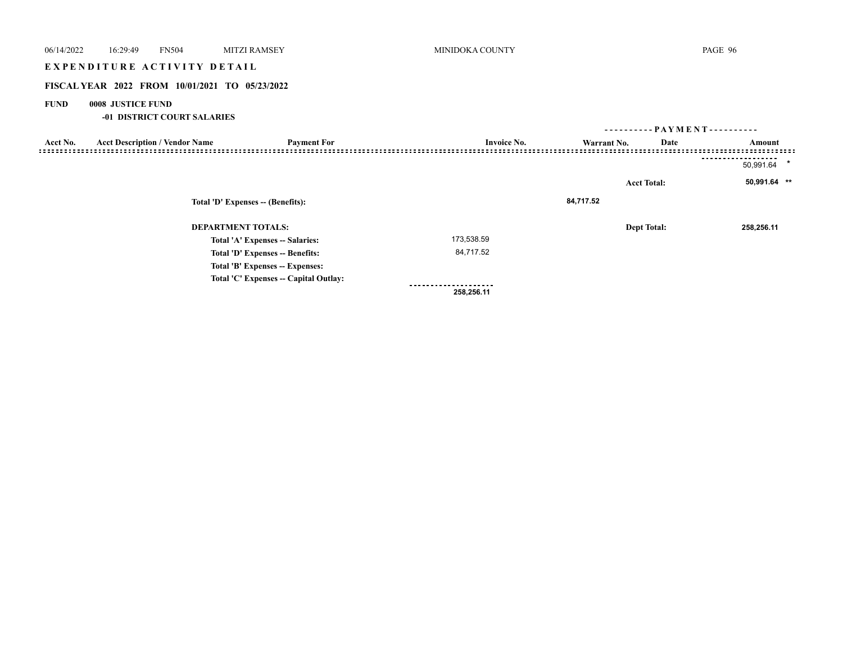## EXPENDITURE ACTIVITY DETAIL

## **FISCAL YEAR 2022 FROM 10/01/2021 TO 05/23/2022**

## **FUND 0008 JUSTICE FUND**

## **-01 DISTRICT COURT SALARIES**

|          |                                       |                                       |                    | ---------- PAYMENT---------- |                    |                      |  |
|----------|---------------------------------------|---------------------------------------|--------------------|------------------------------|--------------------|----------------------|--|
| Acct No. | <b>Acct Description / Vendor Name</b> | <b>Payment For</b>                    | <b>Invoice No.</b> | Warrant No.                  | Date               | Amount               |  |
|          |                                       |                                       |                    |                              |                    | $\star$<br>50,991.64 |  |
|          | Total 'D' Expenses -- (Benefits):     |                                       |                    |                              | <b>Acct Total:</b> | 50,991.64 **         |  |
|          |                                       |                                       |                    | 84,717.52                    |                    |                      |  |
|          | <b>DEPARTMENT TOTALS:</b>             |                                       |                    |                              | <b>Dept Total:</b> | 258,256.11           |  |
|          |                                       | Total 'A' Expenses -- Salaries:       | 173,538.59         |                              |                    |                      |  |
|          |                                       | Total 'D' Expenses -- Benefits:       | 84,717.52          |                              |                    |                      |  |
|          |                                       | Total 'B' Expenses -- Expenses:       |                    |                              |                    |                      |  |
|          |                                       | Total 'C' Expenses -- Capital Outlay: |                    |                              |                    |                      |  |
|          |                                       |                                       | 258,256.11         |                              |                    |                      |  |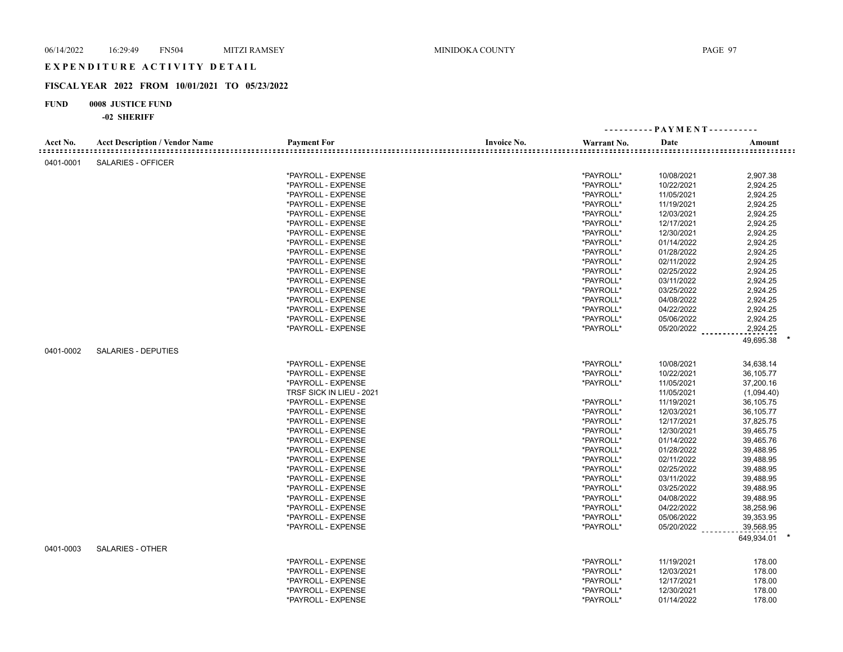# E X P E N D I T U R E A C T I V I T Y D E T A I L

## **FISCAL YEAR 2022 FROM 10/01/2021 TO 05/23/2022**

## **FUND 0008 JUSTICE FUND**

|           |                                       |                          |                    |             | ---------- PAYMENT---------- |            |
|-----------|---------------------------------------|--------------------------|--------------------|-------------|------------------------------|------------|
| Acct No.  | <b>Acct Description / Vendor Name</b> | <b>Payment For</b>       | <b>Invoice No.</b> | Warrant No. | Date                         | Amount     |
|           |                                       |                          |                    |             |                              |            |
| 0401-0001 | <b>SALARIES - OFFICER</b>             |                          |                    |             |                              |            |
|           |                                       | *PAYROLL - EXPENSE       |                    | *PAYROLL*   | 10/08/2021                   | 2,907.38   |
|           |                                       | *PAYROLL - EXPENSE       |                    | *PAYROLL*   | 10/22/2021                   | 2,924.25   |
|           |                                       | *PAYROLL - EXPENSE       |                    | *PAYROLL*   | 11/05/2021                   | 2,924.25   |
|           |                                       | *PAYROLL - EXPENSE       |                    | *PAYROLL*   | 11/19/2021                   | 2,924.25   |
|           |                                       | *PAYROLL - EXPENSE       |                    | *PAYROLL*   | 12/03/2021                   | 2,924.25   |
|           |                                       | *PAYROLL - EXPENSE       |                    | *PAYROLL*   | 12/17/2021                   | 2,924.25   |
|           |                                       | *PAYROLL - EXPENSE       |                    | *PAYROLL*   | 12/30/2021                   | 2,924.25   |
|           |                                       | *PAYROLL - EXPENSE       |                    | *PAYROLL*   | 01/14/2022                   | 2,924.25   |
|           |                                       | *PAYROLL - EXPENSE       |                    | *PAYROLL*   | 01/28/2022                   | 2,924.25   |
|           |                                       | *PAYROLL - EXPENSE       |                    | *PAYROLL*   | 02/11/2022                   | 2,924.25   |
|           |                                       | *PAYROLL - EXPENSE       |                    | *PAYROLL*   | 02/25/2022                   | 2,924.25   |
|           |                                       | *PAYROLL - EXPENSE       |                    | *PAYROLL*   | 03/11/2022                   | 2,924.25   |
|           |                                       | *PAYROLL - EXPENSE       |                    | *PAYROLL*   | 03/25/2022                   | 2,924.25   |
|           |                                       | *PAYROLL - EXPENSE       |                    | *PAYROLL*   | 04/08/2022                   | 2,924.25   |
|           |                                       | *PAYROLL - EXPENSE       |                    | *PAYROLL*   | 04/22/2022                   | 2,924.25   |
|           |                                       | *PAYROLL - EXPENSE       |                    | *PAYROLL*   | 05/06/2022                   | 2,924.25   |
|           |                                       | *PAYROLL - EXPENSE       |                    | *PAYROLL*   | 05/20/2022                   | 2,924.25   |
|           |                                       |                          |                    |             |                              | 49,695.38  |
|           |                                       |                          |                    |             |                              |            |
| 0401-0002 | <b>SALARIES - DEPUTIES</b>            |                          |                    |             |                              |            |
|           |                                       | *PAYROLL - EXPENSE       |                    | *PAYROLL*   | 10/08/2021                   | 34,638.14  |
|           |                                       | *PAYROLL - EXPENSE       |                    | *PAYROLL*   | 10/22/2021                   | 36,105.77  |
|           |                                       | *PAYROLL - EXPENSE       |                    | *PAYROLL*   | 11/05/2021                   | 37,200.16  |
|           |                                       | TRSF SICK IN LIEU - 2021 |                    |             | 11/05/2021                   | (1,094.40) |
|           |                                       | *PAYROLL - EXPENSE       |                    | *PAYROLL*   | 11/19/2021                   | 36,105.75  |
|           |                                       | *PAYROLL - EXPENSE       |                    | *PAYROLL*   | 12/03/2021                   | 36,105.77  |
|           |                                       | *PAYROLL - EXPENSE       |                    | *PAYROLL*   | 12/17/2021                   | 37,825.75  |
|           |                                       | *PAYROLL - EXPENSE       |                    | *PAYROLL*   | 12/30/2021                   | 39,465.75  |
|           |                                       | *PAYROLL - EXPENSE       |                    | *PAYROLL*   | 01/14/2022                   | 39,465.76  |
|           |                                       | *PAYROLL - EXPENSE       |                    | *PAYROLL*   | 01/28/2022                   | 39,488.95  |
|           |                                       | *PAYROLL - EXPENSE       |                    | *PAYROLL*   | 02/11/2022                   | 39,488.95  |
|           |                                       | *PAYROLL - EXPENSE       |                    | *PAYROLL*   | 02/25/2022                   | 39,488.95  |
|           |                                       | *PAYROLL - EXPENSE       |                    | *PAYROLL*   | 03/11/2022                   | 39,488.95  |
|           |                                       | *PAYROLL - EXPENSE       |                    | *PAYROLL*   | 03/25/2022                   | 39,488.95  |
|           |                                       | *PAYROLL - EXPENSE       |                    | *PAYROLL*   | 04/08/2022                   | 39,488.95  |
|           |                                       | *PAYROLL - EXPENSE       |                    | *PAYROLL*   | 04/22/2022                   | 38,258.96  |
|           |                                       | *PAYROLL - EXPENSE       |                    | *PAYROLL*   | 05/06/2022                   | 39,353.95  |
|           |                                       | *PAYROLL - EXPENSE       |                    | *PAYROLL*   | $05/20/2022$                 | 39,568.95  |
|           |                                       |                          |                    |             |                              | 649,934.01 |
| 0401-0003 | <b>SALARIES - OTHER</b>               |                          |                    |             |                              |            |
|           |                                       | *PAYROLL - EXPENSE       |                    | *PAYROLL*   | 11/19/2021                   | 178.00     |
|           |                                       | *PAYROLL - EXPENSE       |                    | *PAYROLL*   | 12/03/2021                   | 178.00     |
|           |                                       | *PAYROLL - EXPENSE       |                    | *PAYROLL*   | 12/17/2021                   | 178.00     |
|           |                                       | *PAYROLL - EXPENSE       |                    | *PAYROLL*   | 12/30/2021                   | 178.00     |
|           |                                       | *PAYROLL - EXPENSE       |                    | *PAYROLL*   | 01/14/2022                   | 178.00     |
|           |                                       |                          |                    |             |                              |            |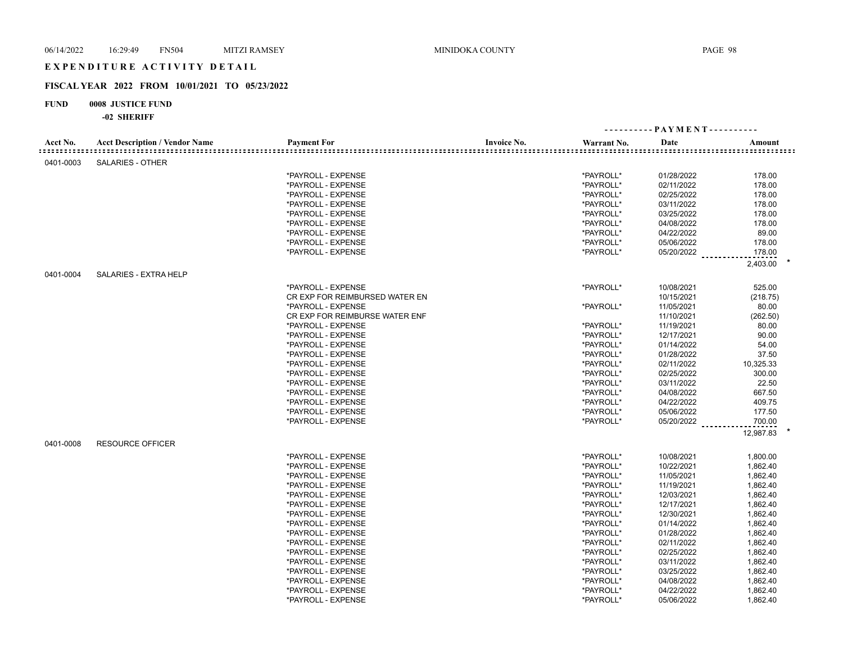## E X P E N D I T U R E A C T I V I T Y D E T A I L

## **FISCAL YEAR 2022 FROM 10/01/2021 TO 05/23/2022**

## **FUND 0008 JUSTICE FUND**

| Acct No.  | <b>Acct Description / Vendor Name</b> | <b>Payment For</b>             | <b>Invoice No.</b> | Warrant No. | Date       | Amount    |  |
|-----------|---------------------------------------|--------------------------------|--------------------|-------------|------------|-----------|--|
| 0401-0003 | <b>SALARIES - OTHER</b>               |                                |                    |             |            |           |  |
|           |                                       | *PAYROLL - EXPENSE             |                    | *PAYROLL*   | 01/28/2022 | 178.00    |  |
|           |                                       | *PAYROLL - EXPENSE             |                    | *PAYROLL*   | 02/11/2022 | 178.00    |  |
|           |                                       | *PAYROLL - EXPENSE             |                    | *PAYROLL*   | 02/25/2022 | 178.00    |  |
|           |                                       | *PAYROLL - EXPENSE             |                    | *PAYROLL*   | 03/11/2022 | 178.00    |  |
|           |                                       | *PAYROLL - EXPENSE             |                    | *PAYROLL*   | 03/25/2022 | 178.00    |  |
|           |                                       | *PAYROLL - EXPENSE             |                    | *PAYROLL*   | 04/08/2022 | 178.00    |  |
|           |                                       | *PAYROLL - EXPENSE             |                    | *PAYROLL*   | 04/22/2022 | 89.00     |  |
|           |                                       | *PAYROLL - EXPENSE             |                    | *PAYROLL*   | 05/06/2022 | 178.00    |  |
|           |                                       | *PAYROLL - EXPENSE             |                    | *PAYROLL*   | 05/20/2022 | 178.00    |  |
|           |                                       |                                |                    |             |            | 2,403.00  |  |
| 0401-0004 | SALARIES - EXTRA HELP                 |                                |                    |             |            |           |  |
|           |                                       | *PAYROLL - EXPENSE             |                    | *PAYROLL*   | 10/08/2021 | 525.00    |  |
|           |                                       | CR EXP FOR REIMBURSED WATER EN |                    |             | 10/15/2021 | (218.75)  |  |
|           |                                       | *PAYROLL - EXPENSE             |                    | *PAYROLL*   | 11/05/2021 | 80.00     |  |
|           |                                       | CR EXP FOR REIMBURSE WATER ENF |                    |             | 11/10/2021 | (262.50)  |  |
|           |                                       | *PAYROLL - EXPENSE             |                    | *PAYROLL*   | 11/19/2021 | 80.00     |  |
|           |                                       | *PAYROLL - EXPENSE             |                    | *PAYROLL*   | 12/17/2021 | 90.00     |  |
|           |                                       | *PAYROLL - EXPENSE             |                    | *PAYROLL*   | 01/14/2022 | 54.00     |  |
|           |                                       | *PAYROLL - EXPENSE             |                    | *PAYROLL*   | 01/28/2022 | 37.50     |  |
|           |                                       | *PAYROLL - EXPENSE             |                    | *PAYROLL*   | 02/11/2022 | 10,325.33 |  |
|           |                                       | *PAYROLL - EXPENSE             |                    | *PAYROLL*   | 02/25/2022 | 300.00    |  |
|           |                                       | *PAYROLL - EXPENSE             |                    | *PAYROLL*   | 03/11/2022 | 22.50     |  |
|           |                                       | *PAYROLL - EXPENSE             |                    | *PAYROLL*   | 04/08/2022 | 667.50    |  |
|           |                                       | *PAYROLL - EXPENSE             |                    | *PAYROLL*   | 04/22/2022 | 409.75    |  |
|           |                                       | *PAYROLL - EXPENSE             |                    | *PAYROLL*   | 05/06/2022 | 177.50    |  |
|           |                                       | *PAYROLL - EXPENSE             |                    | *PAYROLL*   | 05/20/2022 | 700.00    |  |
|           |                                       |                                |                    |             |            | 12,987.83 |  |
| 0401-0008 | <b>RESOURCE OFFICER</b>               |                                |                    |             |            |           |  |
|           |                                       | *PAYROLL - EXPENSE             |                    | *PAYROLL*   | 10/08/2021 | 1,800.00  |  |
|           |                                       | *PAYROLL - EXPENSE             |                    | *PAYROLL*   | 10/22/2021 | 1,862.40  |  |
|           |                                       | *PAYROLL - EXPENSE             |                    | *PAYROLL*   | 11/05/2021 | 1,862.40  |  |
|           |                                       | *PAYROLL - EXPENSE             |                    | *PAYROLL*   | 11/19/2021 | 1,862.40  |  |
|           |                                       | *PAYROLL - EXPENSE             |                    | *PAYROLL*   | 12/03/2021 | 1,862.40  |  |
|           |                                       | *PAYROLL - EXPENSE             |                    | *PAYROLL*   | 12/17/2021 | 1,862.40  |  |
|           |                                       | *PAYROLL - EXPENSE             |                    | *PAYROLL*   | 12/30/2021 | 1,862.40  |  |
|           |                                       | *PAYROLL - EXPENSE             |                    | *PAYROLL*   | 01/14/2022 | 1,862.40  |  |
|           |                                       | *PAYROLL - EXPENSE             |                    | *PAYROLL*   | 01/28/2022 | 1,862.40  |  |
|           |                                       | *PAYROLL - EXPENSE             |                    | *PAYROLL*   | 02/11/2022 | 1,862.40  |  |
|           |                                       | *PAYROLL - EXPENSE             |                    | *PAYROLL*   | 02/25/2022 | 1,862.40  |  |
|           |                                       | *PAYROLL - EXPENSE             |                    | *PAYROLL*   | 03/11/2022 | 1,862.40  |  |
|           |                                       | *PAYROLL - EXPENSE             |                    | *PAYROLL*   | 03/25/2022 | 1,862.40  |  |
|           |                                       | *PAYROLL - EXPENSE             |                    | *PAYROLL*   | 04/08/2022 | 1,862.40  |  |
|           |                                       | *PAYROLL - EXPENSE             |                    | *PAYROLL*   | 04/22/2022 | 1,862.40  |  |
|           |                                       | *PAYROLL - EXPENSE             |                    | *PAYROLL*   | 05/06/2022 | 1,862.40  |  |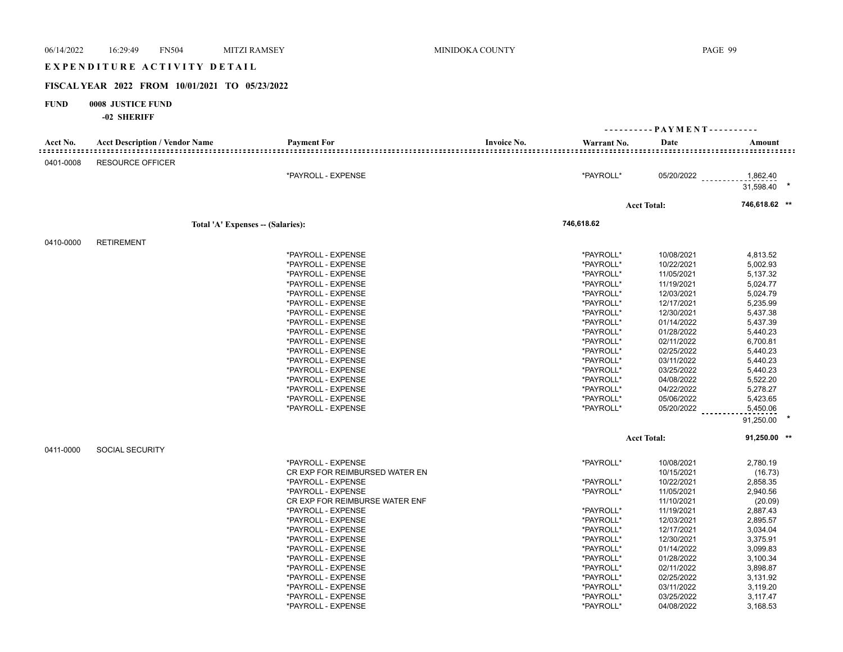| 06/14/2022  | 16:29:49<br><b>FN504</b>                       | <b>MITZI RAMSEY</b>                      | MINIDOKA COUNTY |                        |                              | PAGE 99              |  |
|-------------|------------------------------------------------|------------------------------------------|-----------------|------------------------|------------------------------|----------------------|--|
|             | EXPENDITURE ACTIVITY DETAIL                    |                                          |                 |                        |                              |                      |  |
|             | FISCAL YEAR 2022 FROM 10/01/2021 TO 05/23/2022 |                                          |                 |                        |                              |                      |  |
| <b>FUND</b> | 0008 JUSTICE FUND<br>-02 SHERIFF               |                                          |                 |                        |                              |                      |  |
|             |                                                |                                          |                 |                        | ---------- PAYMENT---------- |                      |  |
| Acct No.    | <b>Acct Description / Vendor Name</b>          | <b>Payment For</b>                       | Invoice No.     | Warrant No.            | Date                         | Amount               |  |
|             |                                                |                                          |                 |                        |                              |                      |  |
| 0401-0008   | <b>RESOURCE OFFICER</b>                        |                                          |                 |                        |                              |                      |  |
|             |                                                | *PAYROLL - EXPENSE                       |                 | *PAYROLL*              | 05/20/2022                   | 1,862.40             |  |
|             |                                                |                                          |                 |                        |                              | 31,598.40            |  |
|             |                                                |                                          |                 |                        | <b>Acct Total:</b>           | 746,618.62 **        |  |
|             |                                                | Total 'A' Expenses -- (Salaries):        |                 | 746,618.62             |                              |                      |  |
| 0410-0000   | <b>RETIREMENT</b>                              |                                          |                 |                        |                              |                      |  |
|             |                                                | *PAYROLL - EXPENSE                       |                 | *PAYROLL*              | 10/08/2021                   | 4,813.52             |  |
|             |                                                | *PAYROLL - EXPENSE                       |                 | *PAYROLL*              | 10/22/2021                   | 5,002.93             |  |
|             |                                                | *PAYROLL - EXPENSE                       |                 | *PAYROLL*              | 11/05/2021                   | 5,137.32             |  |
|             |                                                | *PAYROLL - EXPENSE                       |                 | *PAYROLL*              | 11/19/2021                   | 5,024.77             |  |
|             |                                                | *PAYROLL - EXPENSE                       |                 | *PAYROLL*              | 12/03/2021                   | 5,024.79             |  |
|             |                                                | *PAYROLL - EXPENSE                       |                 | *PAYROLL*              | 12/17/2021                   | 5,235.99             |  |
|             |                                                | *PAYROLL - EXPENSE                       |                 | *PAYROLL*              | 12/30/2021                   | 5,437.38             |  |
|             |                                                | *PAYROLL - EXPENSE                       |                 | *PAYROLL*              | 01/14/2022                   | 5,437.39             |  |
|             |                                                | *PAYROLL - EXPENSE                       |                 | *PAYROLL*              | 01/28/2022                   | 5,440.23             |  |
|             |                                                | *PAYROLL - EXPENSE                       |                 | *PAYROLL*              | 02/11/2022                   | 6,700.81             |  |
|             |                                                | *PAYROLL - EXPENSE                       |                 | *PAYROLL*              | 02/25/2022                   | 5,440.23             |  |
|             |                                                | *PAYROLL - EXPENSE                       |                 | *PAYROLL*              | 03/11/2022                   | 5,440.23             |  |
|             |                                                | *PAYROLL - EXPENSE                       |                 | *PAYROLL*              | 03/25/2022                   | 5,440.23             |  |
|             |                                                | *PAYROLL - EXPENSE                       |                 | *PAYROLL*              | 04/08/2022                   | 5,522.20             |  |
|             |                                                | *PAYROLL - EXPENSE                       |                 | *PAYROLL*              | 04/22/2022                   | 5,278.27             |  |
|             |                                                | *PAYROLL - EXPENSE                       |                 | *PAYROLL*              | 05/06/2022                   | 5,423.65             |  |
|             |                                                | *PAYROLL - EXPENSE                       |                 | *PAYROLL*              | 05/20/2022                   | 5,450.06             |  |
|             |                                                |                                          |                 |                        |                              | 91,250.00            |  |
|             |                                                |                                          |                 |                        | <b>Acct Total:</b>           | $91,250.00$ **       |  |
| 0411-0000   | <b>SOCIAL SECURITY</b>                         |                                          |                 |                        |                              |                      |  |
|             |                                                | *PAYROLL - EXPENSE                       |                 | *PAYROLL*              | 10/08/2021<br>10/15/2021     | 2,780.19             |  |
|             |                                                | CR EXP FOR REIMBURSED WATER EN           |                 |                        |                              | (16.73)              |  |
|             |                                                | *PAYROLL - EXPENSE<br>*PAYROLL - EXPENSE |                 | *PAYROLL*<br>*PAYROLL* | 10/22/2021<br>11/05/2021     | 2,858.35<br>2,940.56 |  |
|             |                                                | CR EXP FOR REIMBURSE WATER ENF           |                 |                        | 11/10/2021                   | (20.09)              |  |
|             |                                                | *PAYROLL - EXPENSE                       |                 | *PAYROLL*              | 11/19/2021                   | 2,887.43             |  |
|             |                                                | *PAYROLL - EXPENSE                       |                 | *PAYROLL*              | 12/03/2021                   | 2,895.57             |  |
|             |                                                | *PAYROLL - EXPENSE                       |                 | *PAYROLL*              | 12/17/2021                   | 3,034.04             |  |
|             |                                                | *PAYROLL - EXPENSE                       |                 | *PAYROLL*              | 12/30/2021                   | 3,375.91             |  |
|             |                                                | *PAYROLL - EXPENSE                       |                 | *PAYROLL*              | 01/14/2022                   | 3,099.83             |  |
|             |                                                | *PAYROLL - EXPENSE                       |                 | *PAYROLL*              | 01/28/2022                   | 3,100.34             |  |
|             |                                                | *PAYROLL - EXPENSE                       |                 | *PAYROLL*              | 02/11/2022                   | 3,898.87             |  |
|             |                                                | *PAYROLL - EXPENSE                       |                 | *PAYROLL*              | 02/25/2022                   | 3,131.92             |  |
|             |                                                | *PAYROLL - EXPENSE                       |                 | *PAYROLL*              | 03/11/2022                   | 3,119.20             |  |
|             |                                                | *PAYROLL - EXPENSE                       |                 | *PAYROLL*              | 03/25/2022                   | 3,117.47             |  |
|             |                                                | *PAYROLL - EXPENSE                       |                 | *PAYROLL*              | 04/08/2022                   | 3,168.53             |  |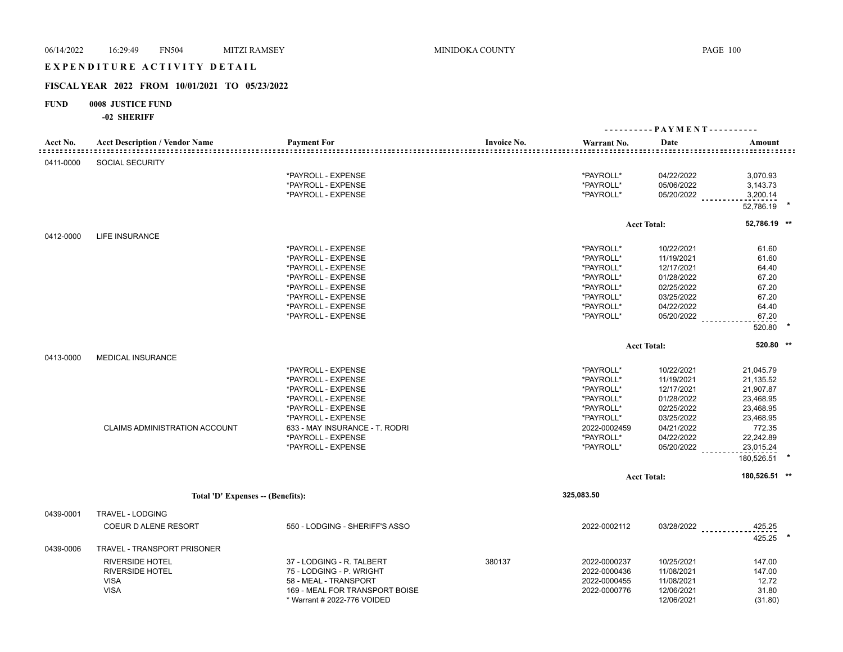#### EXPENDITURE ACTIVITY DETAIL

## **FISCAL YEAR 2022 FROM 10/01/2021 TO 05/23/2022**

## **FUND 0008 JUSTICE FUND**

|                                             |                                       |                                |                    | ---------- PAYMENT---------- |                    |                  |
|---------------------------------------------|---------------------------------------|--------------------------------|--------------------|------------------------------|--------------------|------------------|
| Acct No.<br>: = = = = = = = = = = = = = = = | <b>Acct Description / Vendor Name</b> | <b>Payment For</b>             | <b>Invoice No.</b> | Warrant No.                  | Date               | Amount           |
| 0411-0000                                   | <b>SOCIAL SECURITY</b>                |                                |                    |                              |                    |                  |
|                                             |                                       | *PAYROLL - EXPENSE             |                    | *PAYROLL*                    | 04/22/2022         | 3,070.93         |
|                                             |                                       | *PAYROLL - EXPENSE             |                    | *PAYROLL*                    | 05/06/2022         | 3,143.73         |
|                                             |                                       | *PAYROLL - EXPENSE             |                    | *PAYROLL*                    | 05/20/2022         | 3,200.14         |
|                                             |                                       |                                |                    |                              |                    | 52,786.19        |
|                                             |                                       |                                |                    |                              | <b>Acct Total:</b> | 52,786.19 **     |
| 0412-0000                                   | <b>LIFE INSURANCE</b>                 |                                |                    |                              |                    |                  |
|                                             |                                       | *PAYROLL - EXPENSE             |                    | *PAYROLL*                    | 10/22/2021         | 61.60            |
|                                             |                                       | *PAYROLL - EXPENSE             |                    | *PAYROLL*                    | 11/19/2021         | 61.60            |
|                                             |                                       | *PAYROLL - EXPENSE             |                    | *PAYROLL*                    | 12/17/2021         | 64.40            |
|                                             |                                       | *PAYROLL - EXPENSE             |                    | *PAYROLL*                    | 01/28/2022         | 67.20            |
|                                             |                                       | *PAYROLL - EXPENSE             |                    | *PAYROLL*                    | 02/25/2022         | 67.20            |
|                                             |                                       | *PAYROLL - EXPENSE             |                    | *PAYROLL*                    | 03/25/2022         | 67.20            |
|                                             |                                       | *PAYROLL - EXPENSE             |                    | *PAYROLL*                    | 04/22/2022         | 64.40            |
|                                             |                                       | *PAYROLL - EXPENSE             |                    | *PAYROLL*                    | 05/20/2022         | 67.20            |
|                                             |                                       |                                |                    |                              |                    | 520.80           |
|                                             |                                       |                                |                    |                              | <b>Acct Total:</b> | 520.80 **        |
| 0413-0000                                   | <b>MEDICAL INSURANCE</b>              |                                |                    |                              |                    |                  |
|                                             |                                       | *PAYROLL - EXPENSE             |                    | *PAYROLL*                    | 10/22/2021         | 21,045.79        |
|                                             |                                       | *PAYROLL - EXPENSE             |                    | *PAYROLL*                    | 11/19/2021         | 21,135.52        |
|                                             |                                       | *PAYROLL - EXPENSE             |                    | *PAYROLL*                    | 12/17/2021         | 21,907.87        |
|                                             |                                       | *PAYROLL - EXPENSE             |                    | *PAYROLL*                    | 01/28/2022         | 23,468.95        |
|                                             |                                       | *PAYROLL - EXPENSE             |                    | *PAYROLL*                    | 02/25/2022         | 23,468.95        |
|                                             |                                       | *PAYROLL - EXPENSE             |                    | *PAYROLL*                    | 03/25/2022         | 23,468.95        |
|                                             | <b>CLAIMS ADMINISTRATION ACCOUNT</b>  | 633 - MAY INSURANCE - T. RODRI |                    | 2022-0002459                 | 04/21/2022         | 772.35           |
|                                             |                                       | *PAYROLL - EXPENSE             |                    | *PAYROLL*                    | 04/22/2022         | 22,242.89        |
|                                             |                                       | *PAYROLL - EXPENSE             |                    | *PAYROLL*                    | 05/20/2022         | 23,015.24        |
|                                             |                                       |                                |                    |                              |                    | 180,526.51       |
|                                             |                                       |                                |                    |                              | <b>Acct Total:</b> | 180,526.51 **    |
|                                             | Total 'D' Expenses -- (Benefits):     |                                |                    | 325,083.50                   |                    |                  |
| 0439-0001                                   | TRAVEL - LODGING                      |                                |                    |                              |                    |                  |
|                                             |                                       |                                |                    |                              |                    |                  |
|                                             | COEUR D ALENE RESORT                  | 550 - LODGING - SHERIFF'S ASSO |                    | 2022-0002112                 | 03/28/2022         | 425.25<br>425.25 |
| 0439-0006                                   | TRAVEL - TRANSPORT PRISONER           |                                |                    |                              |                    |                  |
|                                             | <b>RIVERSIDE HOTEL</b>                | 37 - LODGING - R. TALBERT      | 380137             | 2022-0000237                 | 10/25/2021         | 147.00           |
|                                             | <b>RIVERSIDE HOTEL</b>                | 75 - LODGING - P. WRIGHT       |                    | 2022-0000436                 | 11/08/2021         | 147.00           |
|                                             | <b>VISA</b>                           | 58 - MEAL - TRANSPORT          |                    | 2022-0000455                 | 11/08/2021         | 12.72            |
|                                             | <b>VISA</b>                           | 169 - MEAL FOR TRANSPORT BOISE |                    | 2022-0000776                 | 12/06/2021         | 31.80            |
|                                             |                                       | * Warrant # 2022-776 VOIDED    |                    |                              | 12/06/2021         | (31.80)          |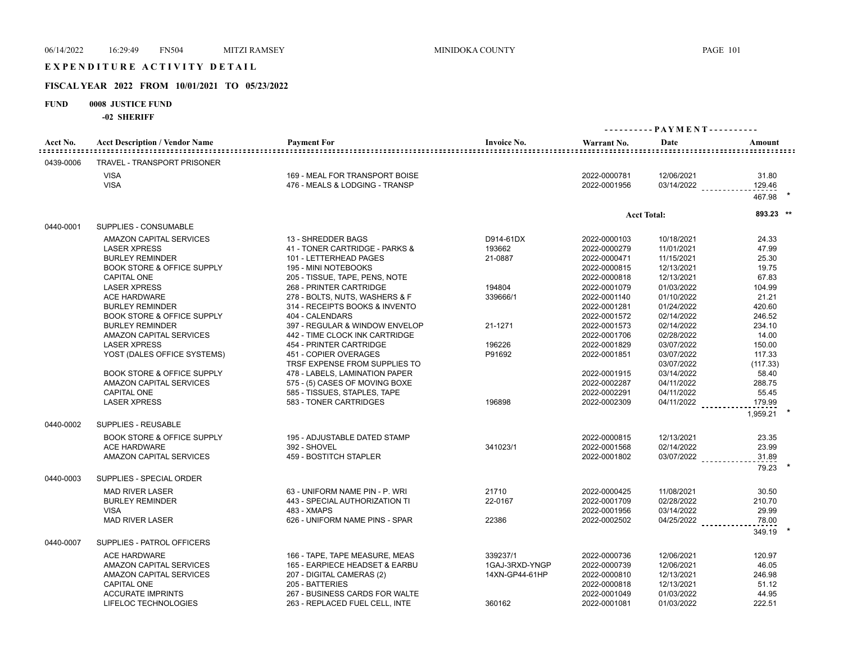# E X P E N D I T U R E A C T I V I T Y D E T A I L

## **FISCAL YEAR 2022 FROM 10/01/2021 TO 05/23/2022**

## **FUND 0008 JUSTICE FUND**

| Acct No.  | <b>Acct Description / Vendor Name</b> | <b>Payment For</b><br><u>==================</u>                  | <b>Invoice No.</b> | Warrant No.                  | Date                     | Amount                      |
|-----------|---------------------------------------|------------------------------------------------------------------|--------------------|------------------------------|--------------------------|-----------------------------|
| 0439-0006 | TRAVEL - TRANSPORT PRISONER           |                                                                  |                    |                              |                          |                             |
|           | <b>VISA</b><br><b>VISA</b>            | 169 - MEAL FOR TRANSPORT BOISE<br>476 - MEALS & LODGING - TRANSP |                    | 2022-0000781<br>2022-0001956 | 12/06/2021<br>03/14/2022 | 31.80<br>129.46<br>467.98 * |
|           |                                       |                                                                  |                    |                              |                          |                             |
| 0440-0001 | <b>SUPPLIES - CONSUMABLE</b>          |                                                                  |                    | <b>Acct Total:</b>           |                          | 893.23 **                   |
|           | AMAZON CAPITAL SERVICES               | 13 - SHREDDER BAGS                                               | D914-61DX          | 2022-0000103                 | 10/18/2021               | 24.33                       |
|           | <b>LASER XPRESS</b>                   | 41 - TONER CARTRIDGE - PARKS &                                   | 193662             | 2022-0000279                 | 11/01/2021               | 47.99                       |
|           | <b>BURLEY REMINDER</b>                | 101 - LETTERHEAD PAGES                                           | 21-0887            | 2022-0000471                 | 11/15/2021               | 25.30                       |
|           | <b>BOOK STORE &amp; OFFICE SUPPLY</b> | 195 - MINI NOTEBOOKS                                             |                    | 2022-0000815                 | 12/13/2021               | 19.75                       |
|           | <b>CAPITAL ONE</b>                    | 205 - TISSUE, TAPE, PENS, NOTE                                   |                    | 2022-0000818                 | 12/13/2021               | 67.83                       |
|           | <b>LASER XPRESS</b>                   | 268 - PRINTER CARTRIDGE                                          | 194804             | 2022-0001079                 | 01/03/2022               | 104.99                      |
|           | <b>ACE HARDWARE</b>                   | 278 - BOLTS, NUTS, WASHERS & F                                   | 339666/1           | 2022-0001140                 | 01/10/2022               | 21.21                       |
|           | <b>BURLEY REMINDER</b>                | 314 - RECEIPTS BOOKS & INVENTO                                   |                    | 2022-0001281                 | 01/24/2022               | 420.60                      |
|           | <b>BOOK STORE &amp; OFFICE SUPPLY</b> | 404 - CALENDARS                                                  |                    | 2022-0001572                 | 02/14/2022               | 246.52                      |
|           | <b>BURLEY REMINDER</b>                | 397 - REGULAR & WINDOW ENVELOP                                   | 21-1271            | 2022-0001573                 | 02/14/2022               | 234.10                      |
|           | AMAZON CAPITAL SERVICES               | 442 - TIME CLOCK INK CARTRIDGE                                   |                    | 2022-0001706                 | 02/28/2022               | 14.00                       |
|           | <b>LASER XPRESS</b>                   | 454 - PRINTER CARTRIDGE                                          | 196226             | 2022-0001829                 | 03/07/2022               | 150.00                      |
|           | YOST (DALES OFFICE SYSTEMS)           | 451 - COPIER OVERAGES                                            | P91692             | 2022-0001851                 | 03/07/2022               | 117.33                      |
|           |                                       | TRSF EXPENSE FROM SUPPLIES TO                                    |                    |                              | 03/07/2022               | (117.33)                    |
|           | <b>BOOK STORE &amp; OFFICE SUPPLY</b> | 478 - LABELS, LAMINATION PAPER                                   |                    | 2022-0001915                 | 03/14/2022               | 58.40                       |
|           | AMAZON CAPITAL SERVICES               | 575 - (5) CASES OF MOVING BOXE                                   |                    | 2022-0002287                 | 04/11/2022               | 288.75                      |
|           | <b>CAPITAL ONE</b>                    | 585 - TISSUES, STAPLES, TAPE                                     |                    | 2022-0002291                 | 04/11/2022               | 55.45                       |
|           | <b>LASER XPRESS</b>                   | 583 - TONER CARTRIDGES                                           | 196898             | 2022-0002309                 | 04/11/2022               | 179.99                      |
|           |                                       |                                                                  |                    |                              |                          | 1,959.21                    |
| 0440-0002 | SUPPLIES - REUSABLE                   |                                                                  |                    |                              |                          |                             |
|           | <b>BOOK STORE &amp; OFFICE SUPPLY</b> | 195 - ADJUSTABLE DATED STAMP                                     |                    | 2022-0000815                 | 12/13/2021               | 23.35                       |
|           | <b>ACE HARDWARE</b>                   | 392 - SHOVEL                                                     | 341023/1           | 2022-0001568                 | 02/14/2022               | 23.99                       |
|           | AMAZON CAPITAL SERVICES               | 459 - BOSTITCH STAPLER                                           |                    | 2022-0001802                 | 03/07/2022               | 31.89<br><u>.</u>           |
|           |                                       |                                                                  |                    |                              |                          | 79.23                       |
| 0440-0003 | SUPPLIES - SPECIAL ORDER              |                                                                  |                    |                              |                          |                             |
|           | <b>MAD RIVER LASER</b>                | 63 - UNIFORM NAME PIN - P. WRI                                   | 21710              | 2022-0000425                 | 11/08/2021               | 30.50                       |
|           | <b>BURLEY REMINDER</b>                | 443 - SPECIAL AUTHORIZATION TI                                   | 22-0167            | 2022-0001709                 | 02/28/2022               | 210.70                      |
|           | <b>VISA</b>                           | 483 - XMAPS                                                      |                    | 2022-0001956                 | 03/14/2022               | 29.99                       |
|           | <b>MAD RIVER LASER</b>                | 626 - UNIFORM NAME PINS - SPAR                                   | 22386              | 2022-0002502                 | 04/25/2022               | 78.00                       |
| 0440-0007 | SUPPLIES - PATROL OFFICERS            |                                                                  |                    |                              |                          | 349.19                      |
|           | <b>ACE HARDWARE</b>                   | 166 - TAPE, TAPE MEASURE, MEAS                                   | 339237/1           | 2022-0000736                 | 12/06/2021               | 120.97                      |
|           | AMAZON CAPITAL SERVICES               | 165 - EARPIECE HEADSET & EARBU                                   | 1GAJ-3RXD-YNGP     | 2022-0000739                 | 12/06/2021               | 46.05                       |
|           | AMAZON CAPITAL SERVICES               | 207 - DIGITAL CAMERAS (2)                                        | 14XN-GP44-61HP     | 2022-0000810                 | 12/13/2021               | 246.98                      |
|           | <b>CAPITAL ONE</b>                    | 205 - BATTERIES                                                  |                    | 2022-0000818                 | 12/13/2021               | 51.12                       |
|           | <b>ACCURATE IMPRINTS</b>              | 267 - BUSINESS CARDS FOR WALTE                                   |                    | 2022-0001049                 | 01/03/2022               | 44.95                       |
|           | LIFELOC TECHNOLOGIES                  | 263 - REPLACED FUEL CELL. INTE                                   | 360162             | 2022-0001081                 | 01/03/2022               | 222.51                      |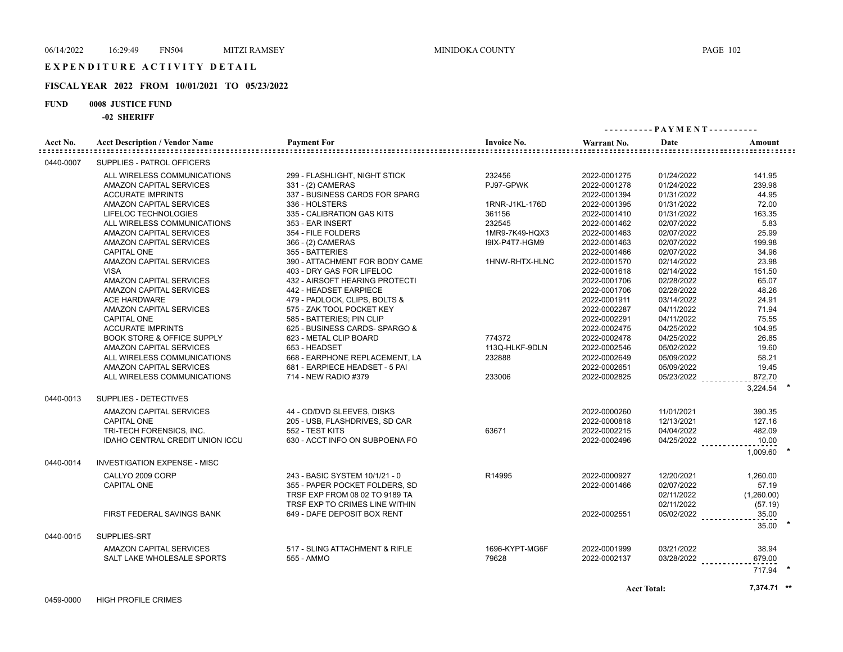## **FISCAL YEAR 2022 FROM 10/01/2021 TO 05/23/2022**

#### **FUND 0008 JUSTICE FUND**

|                                     | -94 91111111                          | ---------- PAYMENT----------   |                    |              |                    |                         |  |
|-------------------------------------|---------------------------------------|--------------------------------|--------------------|--------------|--------------------|-------------------------|--|
| Acct No.<br>: : : : : : : : : : : : | <b>Acct Description / Vendor Name</b> | <b>Payment For</b>             | <b>Invoice No.</b> | Warrant No.  | Date               | Amount                  |  |
| 0440-0007                           | SUPPLIES - PATROL OFFICERS            |                                |                    |              |                    | ::::::::::::::::::::::: |  |
|                                     | ALL WIRELESS COMMUNICATIONS           | 299 - FLASHLIGHT, NIGHT STICK  | 232456             | 2022-0001275 | 01/24/2022         | 141.95                  |  |
|                                     | AMAZON CAPITAL SERVICES               | 331 - (2) CAMERAS              | PJ97-GPWK          | 2022-0001278 | 01/24/2022         | 239.98                  |  |
|                                     | <b>ACCURATE IMPRINTS</b>              | 337 - BUSINESS CARDS FOR SPARG |                    | 2022-0001394 | 01/31/2022         | 44.95                   |  |
|                                     | AMAZON CAPITAL SERVICES               | 336 - HOLSTERS                 | 1RNR-J1KL-176D     | 2022-0001395 | 01/31/2022         | 72.00                   |  |
|                                     | LIFELOC TECHNOLOGIES                  | 335 - CALIBRATION GAS KITS     | 361156             | 2022-0001410 | 01/31/2022         | 163.35                  |  |
|                                     | ALL WIRELESS COMMUNICATIONS           | 353 - EAR INSERT               | 232545             | 2022-0001462 | 02/07/2022         | 5.83                    |  |
|                                     | AMAZON CAPITAL SERVICES               | 354 - FILE FOLDERS             | 1MR9-7K49-HQX3     | 2022-0001463 | 02/07/2022         | 25.99                   |  |
|                                     | AMAZON CAPITAL SERVICES               | 366 - (2) CAMERAS              | I9IX-P4T7-HGM9     | 2022-0001463 | 02/07/2022         | 199.98                  |  |
|                                     | <b>CAPITAL ONE</b>                    | 355 - BATTERIES                |                    | 2022-0001466 | 02/07/2022         | 34.96                   |  |
|                                     | AMAZON CAPITAL SERVICES               | 390 - ATTACHMENT FOR BODY CAME | 1HNW-RHTX-HLNC     | 2022-0001570 | 02/14/2022         | 23.98                   |  |
|                                     | <b>VISA</b>                           | 403 - DRY GAS FOR LIFELOC      |                    | 2022-0001618 | 02/14/2022         | 151.50                  |  |
|                                     | AMAZON CAPITAL SERVICES               | 432 - AIRSOFT HEARING PROTECTI |                    | 2022-0001706 | 02/28/2022         | 65.07                   |  |
|                                     | AMAZON CAPITAL SERVICES               | 442 - HEADSET EARPIECE         |                    | 2022-0001706 | 02/28/2022         | 48.26                   |  |
|                                     | <b>ACE HARDWARE</b>                   | 479 - PADLOCK, CLIPS, BOLTS &  |                    | 2022-0001911 | 03/14/2022         | 24.91                   |  |
|                                     | AMAZON CAPITAL SERVICES               | 575 - ZAK TOOL POCKET KEY      |                    | 2022-0002287 | 04/11/2022         | 71.94                   |  |
|                                     | <b>CAPITAL ONE</b>                    | 585 - BATTERIES: PIN CLIP      |                    | 2022-0002291 | 04/11/2022         | 75.55                   |  |
|                                     | <b>ACCURATE IMPRINTS</b>              | 625 - BUSINESS CARDS- SPARGO & |                    | 2022-0002475 | 04/25/2022         | 104.95                  |  |
|                                     | <b>BOOK STORE &amp; OFFICE SUPPLY</b> | 623 - METAL CLIP BOARD         | 774372             | 2022-0002478 | 04/25/2022         | 26.85                   |  |
|                                     | AMAZON CAPITAL SERVICES               | 653 - HEADSET                  | 113Q-HLKF-9DLN     | 2022-0002546 | 05/02/2022         | 19.60                   |  |
|                                     | ALL WIRELESS COMMUNICATIONS           | 668 - EARPHONE REPLACEMENT. LA | 232888             | 2022-0002649 | 05/09/2022         | 58.21                   |  |
|                                     | AMAZON CAPITAL SERVICES               | 681 - EARPIECE HEADSET - 5 PAI |                    | 2022-0002651 | 05/09/2022         | 19.45                   |  |
|                                     | ALL WIRELESS COMMUNICATIONS           | 714 - NEW RADIO #379           | 233006             | 2022-0002825 | 05/23/2022         | 872.70                  |  |
|                                     |                                       |                                |                    |              |                    |                         |  |
|                                     |                                       |                                |                    |              |                    | 3,224.54                |  |
| 0440-0013                           | SUPPLIES - DETECTIVES                 |                                |                    |              |                    |                         |  |
|                                     | AMAZON CAPITAL SERVICES               | 44 - CD/DVD SLEEVES, DISKS     |                    | 2022-0000260 | 11/01/2021         | 390.35                  |  |
|                                     | <b>CAPITAL ONE</b>                    | 205 - USB, FLASHDRIVES, SD CAR |                    | 2022-0000818 | 12/13/2021         | 127.16                  |  |
|                                     | TRI-TECH FORENSICS, INC.              | 552 - TEST KITS                | 63671              | 2022-0002215 | 04/04/2022         | 482.09                  |  |
|                                     | IDAHO CENTRAL CREDIT UNION ICCU       | 630 - ACCT INFO ON SUBPOENA FO |                    | 2022-0002496 | 04/25/2022         | 10.00                   |  |
|                                     |                                       |                                |                    |              |                    | 1,009.60                |  |
| 0440-0014                           | <b>INVESTIGATION EXPENSE - MISC</b>   |                                |                    |              |                    |                         |  |
|                                     | CALLYO 2009 CORP                      | 243 - BASIC SYSTEM 10/1/21 - 0 | R14995             | 2022-0000927 | 12/20/2021         | 1,260.00                |  |
|                                     | <b>CAPITAL ONE</b>                    | 355 - PAPER POCKET FOLDERS, SD |                    | 2022-0001466 | 02/07/2022         | 57.19                   |  |
|                                     |                                       | TRSF EXP FROM 08 02 TO 9189 TA |                    |              | 02/11/2022         | (1,260.00)              |  |
|                                     |                                       | TRSF EXP TO CRIMES LINE WITHIN |                    |              | 02/11/2022         | (57.19)                 |  |
|                                     | FIRST FEDERAL SAVINGS BANK            | 649 - DAFE DEPOSIT BOX RENT    |                    | 2022-0002551 | $05/02/2022$       | 35.00                   |  |
|                                     |                                       |                                |                    |              |                    | 35.00                   |  |
| 0440-0015                           | SUPPLIES-SRT                          |                                |                    |              |                    |                         |  |
|                                     | AMAZON CAPITAL SERVICES               | 517 - SLING ATTACHMENT & RIFLE | 1696-KYPT-MG6F     | 2022-0001999 | 03/21/2022         | 38.94                   |  |
|                                     | SALT LAKE WHOLESALE SPORTS            | 555 - AMMO                     | 79628              | 2022-0002137 | $03/28/2022$       | 679.00                  |  |
|                                     |                                       |                                |                    |              |                    | 717.94                  |  |
|                                     |                                       |                                |                    |              |                    |                         |  |
|                                     |                                       |                                |                    |              | <b>Acct Total:</b> | 7,374.71 **             |  |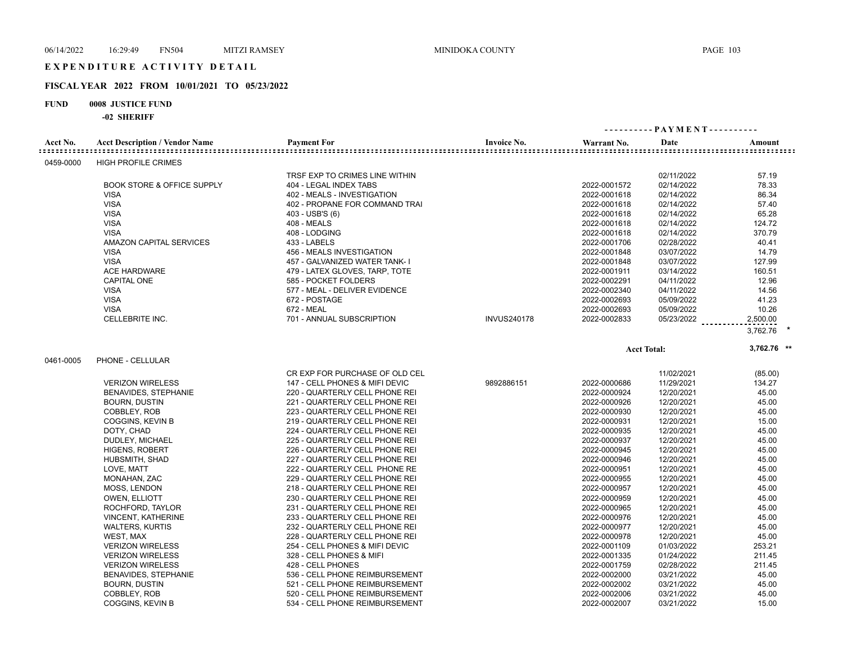# E X P E N D I T U R E A C T I V I T Y D E T A I L

## **FISCAL YEAR 2022 FROM 10/01/2021 TO 05/23/2022**

## **FUND 0008 JUSTICE FUND**

| Acct No.  | <b>Acct Description / Vendor Name</b> | <b>Payment For</b>             | <b>Invoice No.</b> | Warrant No.  | Date               | Amount      |
|-----------|---------------------------------------|--------------------------------|--------------------|--------------|--------------------|-------------|
| 0459-0000 | <b>HIGH PROFILE CRIMES</b>            |                                |                    |              |                    |             |
|           |                                       | TRSF EXP TO CRIMES LINE WITHIN |                    |              | 02/11/2022         | 57.19       |
|           | <b>BOOK STORE &amp; OFFICE SUPPLY</b> | 404 - LEGAL INDEX TABS         |                    | 2022-0001572 | 02/14/2022         | 78.33       |
|           | <b>VISA</b>                           | 402 - MEALS - INVESTIGATION    |                    | 2022-0001618 | 02/14/2022         | 86.34       |
|           | <b>VISA</b>                           | 402 - PROPANE FOR COMMAND TRAI |                    | 2022-0001618 | 02/14/2022         | 57.40       |
|           | <b>VISA</b>                           | 403 - USB'S (6)                |                    | 2022-0001618 | 02/14/2022         | 65.28       |
|           | <b>VISA</b>                           | <b>408 - MEALS</b>             |                    | 2022-0001618 | 02/14/2022         | 124.72      |
|           | <b>VISA</b>                           | 408 - LODGING                  |                    | 2022-0001618 | 02/14/2022         | 370.79      |
|           | <b>AMAZON CAPITAL SERVICES</b>        | 433 - LABELS                   |                    | 2022-0001706 | 02/28/2022         | 40.41       |
|           | <b>VISA</b>                           | 456 - MEALS INVESTIGATION      |                    | 2022-0001848 | 03/07/2022         | 14.79       |
|           | <b>VISA</b>                           | 457 - GALVANIZED WATER TANK- I |                    | 2022-0001848 | 03/07/2022         | 127.99      |
|           | <b>ACE HARDWARE</b>                   | 479 - LATEX GLOVES, TARP, TOTE |                    | 2022-0001911 | 03/14/2022         | 160.51      |
|           | <b>CAPITAL ONE</b>                    | 585 - POCKET FOLDERS           |                    | 2022-0002291 | 04/11/2022         | 12.96       |
|           | <b>VISA</b>                           | 577 - MEAL - DELIVER EVIDENCE  |                    | 2022-0002340 | 04/11/2022         | 14.56       |
|           | <b>VISA</b>                           | 672 - POSTAGE                  |                    | 2022-0002693 | 05/09/2022         | 41.23       |
|           | <b>VISA</b>                           | 672 - MEAL                     |                    | 2022-0002693 | 05/09/2022         | 10.26       |
|           | <b>CELLEBRITE INC.</b>                | 701 - ANNUAL SUBSCRIPTION      | <b>INVUS240178</b> | 2022-0002833 | 05/23/2022         | 2,500.00    |
|           |                                       |                                |                    |              |                    | 3,762.76    |
|           |                                       |                                |                    |              | <b>Acct Total:</b> | 3,762.76 ** |
| 0461-0005 | PHONE - CELLULAR                      |                                |                    |              |                    |             |
|           |                                       | CR EXP FOR PURCHASE OF OLD CEL |                    |              | 11/02/2021         | (85.00)     |
|           | <b>VERIZON WIRELESS</b>               | 147 - CELL PHONES & MIFI DEVIC | 9892886151         | 2022-0000686 | 11/29/2021         | 134.27      |
|           | BENAVIDES, STEPHANIE                  | 220 - QUARTERLY CELL PHONE REI |                    | 2022-0000924 | 12/20/2021         | 45.00       |
|           | <b>BOURN, DUSTIN</b>                  | 221 - QUARTERLY CELL PHONE REI |                    | 2022-0000926 | 12/20/2021         | 45.00       |
|           | COBBLEY, ROB                          | 223 - QUARTERLY CELL PHONE REI |                    | 2022-0000930 | 12/20/2021         | 45.00       |
|           | COGGINS, KEVIN B                      | 219 - QUARTERLY CELL PHONE REI |                    | 2022-0000931 | 12/20/2021         | 15.00       |
|           | DOTY, CHAD                            | 224 - QUARTERLY CELL PHONE REI |                    | 2022-0000935 | 12/20/2021         | 45.00       |
|           | DUDLEY, MICHAEL                       | 225 - QUARTERLY CELL PHONE REI |                    | 2022-0000937 | 12/20/2021         | 45.00       |
|           | <b>HIGENS, ROBERT</b>                 | 226 - QUARTERLY CELL PHONE REI |                    | 2022-0000945 | 12/20/2021         | 45.00       |
|           | HUBSMITH, SHAD                        | 227 - QUARTERLY CELL PHONE REI |                    | 2022-0000946 | 12/20/2021         | 45.00       |
|           | LOVE, MATT                            | 222 - QUARTERLY CELL PHONE RE  |                    | 2022-0000951 | 12/20/2021         | 45.00       |
|           | MONAHAN, ZAC                          | 229 - QUARTERLY CELL PHONE REI |                    | 2022-0000955 | 12/20/2021         | 45.00       |
|           | MOSS, LENDON                          | 218 - QUARTERLY CELL PHONE REI |                    | 2022-0000957 | 12/20/2021         | 45.00       |
|           | <b>OWEN, ELLIOTT</b>                  | 230 - QUARTERLY CELL PHONE REI |                    | 2022-0000959 | 12/20/2021         | 45.00       |
|           | ROCHFORD, TAYLOR                      | 231 - QUARTERLY CELL PHONE REI |                    | 2022-0000965 | 12/20/2021         | 45.00       |
|           | <b>VINCENT, KATHERINE</b>             | 233 - QUARTERLY CELL PHONE REI |                    | 2022-0000976 | 12/20/2021         | 45.00       |
|           | <b>WALTERS, KURTIS</b>                | 232 - QUARTERLY CELL PHONE REI |                    | 2022-0000977 | 12/20/2021         | 45.00       |
|           | WEST, MAX                             | 228 - QUARTERLY CELL PHONE REI |                    | 2022-0000978 | 12/20/2021         | 45.00       |
|           | <b>VERIZON WIRELESS</b>               | 254 - CELL PHONES & MIFI DEVIC |                    | 2022-0001109 | 01/03/2022         | 253.21      |
|           | <b>VERIZON WIRELESS</b>               | 328 - CELL PHONES & MIFI       |                    | 2022-0001335 | 01/24/2022         | 211.45      |
|           | <b>VERIZON WIRELESS</b>               | 428 - CELL PHONES              |                    | 2022-0001759 | 02/28/2022         | 211.45      |
|           | BENAVIDES, STEPHANIE                  | 536 - CELL PHONE REIMBURSEMENT |                    | 2022-0002000 | 03/21/2022         | 45.00       |
|           | <b>BOURN, DUSTIN</b>                  | 521 - CELL PHONE REIMBURSEMENT |                    | 2022-0002002 | 03/21/2022         | 45.00       |
|           | COBBLEY, ROB                          | 520 - CELL PHONE REIMBURSEMENT |                    | 2022-0002006 | 03/21/2022         | 45.00       |
|           | <b>COGGINS, KEVIN B</b>               | 534 - CELL PHONE REIMBURSEMENT |                    | 2022-0002007 | 03/21/2022         | 15.00       |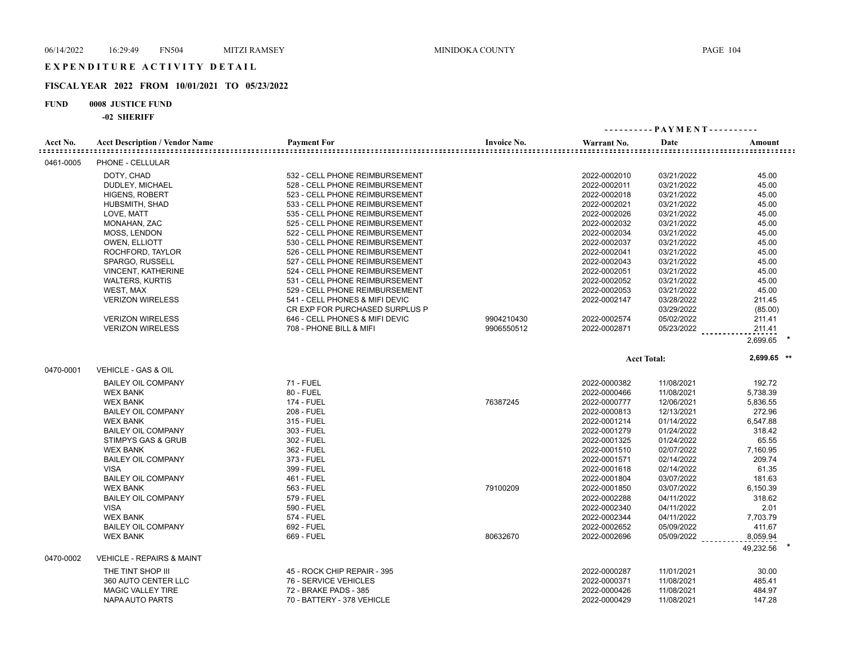# E X P E N D I T U R E A C T I V I T Y D E T A I L

## **FISCAL YEAR 2022 FROM 10/01/2021 TO 05/23/2022**

## **FUND 0008 JUSTICE FUND**

| Acct No.  | <b>Acct Description / Vendor Name</b> | <b>Payment For</b>             | <b>Invoice No.</b> | Warrant No.  | Date               | Amount      |
|-----------|---------------------------------------|--------------------------------|--------------------|--------------|--------------------|-------------|
| 0461-0005 | PHONE - CELLULAR                      |                                |                    |              |                    |             |
|           | DOTY, CHAD                            | 532 - CELL PHONE REIMBURSEMENT |                    | 2022-0002010 | 03/21/2022         | 45.00       |
|           | DUDLEY, MICHAEL                       | 528 - CELL PHONE REIMBURSEMENT |                    | 2022-0002011 | 03/21/2022         | 45.00       |
|           | <b>HIGENS, ROBERT</b>                 | 523 - CELL PHONE REIMBURSEMENT |                    | 2022-0002018 | 03/21/2022         | 45.00       |
|           | HUBSMITH, SHAD                        | 533 - CELL PHONE REIMBURSEMENT |                    | 2022-0002021 | 03/21/2022         | 45.00       |
|           | LOVE, MATT                            | 535 - CELL PHONE REIMBURSEMENT |                    | 2022-0002026 | 03/21/2022         | 45.00       |
|           | MONAHAN, ZAC                          | 525 - CELL PHONE REIMBURSEMENT |                    | 2022-0002032 | 03/21/2022         | 45.00       |
|           | MOSS, LENDON                          | 522 - CELL PHONE REIMBURSEMENT |                    | 2022-0002034 | 03/21/2022         | 45.00       |
|           | <b>OWEN, ELLIOTT</b>                  | 530 - CELL PHONE REIMBURSEMENT |                    | 2022-0002037 | 03/21/2022         | 45.00       |
|           | ROCHFORD, TAYLOR                      | 526 - CELL PHONE REIMBURSEMENT |                    | 2022-0002041 | 03/21/2022         | 45.00       |
|           | SPARGO, RUSSELL                       | 527 - CELL PHONE REIMBURSEMENT |                    | 2022-0002043 | 03/21/2022         | 45.00       |
|           | <b>VINCENT, KATHERINE</b>             | 524 - CELL PHONE REIMBURSEMENT |                    | 2022-0002051 | 03/21/2022         | 45.00       |
|           | <b>WALTERS, KURTIS</b>                | 531 - CELL PHONE REIMBURSEMENT |                    | 2022-0002052 | 03/21/2022         | 45.00       |
|           | WEST, MAX                             | 529 - CELL PHONE REIMBURSEMENT |                    | 2022-0002053 | 03/21/2022         | 45.00       |
|           | <b>VERIZON WIRELESS</b>               | 541 - CELL PHONES & MIFI DEVIC |                    | 2022-0002147 | 03/28/2022         | 211.45      |
|           |                                       | CR EXP FOR PURCHASED SURPLUS P |                    |              | 03/29/2022         | (85.00)     |
|           | <b>VERIZON WIRELESS</b>               | 646 - CELL PHONES & MIFI DEVIC | 9904210430         | 2022-0002574 | 05/02/2022         | 211.41      |
|           | <b>VERIZON WIRELESS</b>               | 708 - PHONE BILL & MIFI        | 9906550512         | 2022-0002871 | 05/23/2022         | 211.41      |
|           |                                       |                                |                    |              |                    | 2,699.65    |
|           |                                       |                                |                    |              | <b>Acct Total:</b> | 2,699.65 ** |
| 0470-0001 | VEHICLE - GAS & OIL                   |                                |                    |              |                    |             |
|           | <b>BAILEY OIL COMPANY</b>             | <b>71 - FUEL</b>               |                    | 2022-0000382 | 11/08/2021         | 192.72      |
|           | <b>WEX BANK</b>                       | 80 - FUEL                      |                    | 2022-0000466 | 11/08/2021         | 5,738.39    |
|           | <b>WEX BANK</b>                       | <b>174 - FUEL</b>              | 76387245           | 2022-0000777 | 12/06/2021         | 5,836.55    |
|           | <b>BAILEY OIL COMPANY</b>             | 208 - FUEL                     |                    | 2022-0000813 | 12/13/2021         | 272.96      |
|           | <b>WEX BANK</b>                       | 315 - FUEL                     |                    | 2022-0001214 | 01/14/2022         | 6,547.88    |
|           | <b>BAILEY OIL COMPANY</b>             | 303 - FUEL                     |                    | 2022-0001279 | 01/24/2022         | 318.42      |
|           | STIMPYS GAS & GRUB                    | 302 - FUEL                     |                    | 2022-0001325 | 01/24/2022         | 65.55       |
|           | <b>WEX BANK</b>                       | 362 - FUEL                     |                    | 2022-0001510 | 02/07/2022         | 7,160.95    |
|           | <b>BAILEY OIL COMPANY</b>             | 373 - FUEL                     |                    | 2022-0001571 | 02/14/2022         | 209.74      |
|           | <b>VISA</b>                           | 399 - FUEL                     |                    | 2022-0001618 | 02/14/2022         | 61.35       |
|           | <b>BAILEY OIL COMPANY</b>             | 461 - FUEL                     |                    | 2022-0001804 | 03/07/2022         | 181.63      |
|           | <b>WEX BANK</b>                       | 563 - FUEL                     | 79100209           | 2022-0001850 | 03/07/2022         | 6,150.39    |
|           | <b>BAILEY OIL COMPANY</b>             | 579 - FUEL                     |                    | 2022-0002288 | 04/11/2022         | 318.62      |
|           | <b>VISA</b>                           | 590 - FUEL                     |                    | 2022-0002340 | 04/11/2022         | 2.01        |
|           | <b>WEX BANK</b>                       | 574 - FUEL                     |                    | 2022-0002344 | 04/11/2022         | 7,703.79    |
|           | <b>BAILEY OIL COMPANY</b>             | 692 - FUEL                     |                    | 2022-0002652 | 05/09/2022         | 411.67      |
|           | <b>WEX BANK</b>                       | 669 - FUEL                     | 80632670           | 2022-0002696 | 05/09/2022         | 8,059.94    |
|           |                                       |                                |                    |              |                    | 49,232.56   |
| 0470-0002 | <b>VEHICLE - REPAIRS &amp; MAINT</b>  |                                |                    |              |                    |             |
|           | THE TINT SHOP III                     | 45 - ROCK CHIP REPAIR - 395    |                    | 2022-0000287 | 11/01/2021         | 30.00       |
|           | 360 AUTO CENTER LLC                   | 76 - SERVICE VEHICLES          |                    | 2022-0000371 | 11/08/2021         | 485.41      |
|           | MAGIC VALLEY TIRE                     | 72 - BRAKE PADS - 385          |                    | 2022-0000426 | 11/08/2021         | 484.97      |
|           | NAPA AUTO PARTS                       | 70 - BATTERY - 378 VEHICLE     |                    | 2022-0000429 | 11/08/2021         | 147.28      |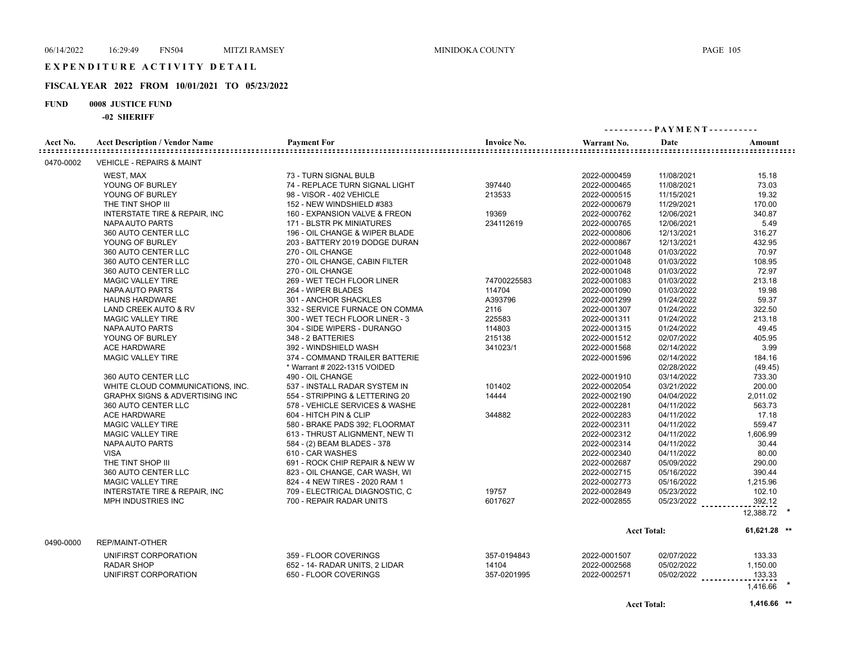#### **FISCAL YEAR 2022 FROM 10/01/2021 TO 05/23/2022**

#### **FUND 0008 JUSTICE FUND**

**-02 SHERIFF**

|                          | -94 энемер                                |                                |                    |              |                    |                |
|--------------------------|-------------------------------------------|--------------------------------|--------------------|--------------|--------------------|----------------|
| Acct No.<br>============ | <b>Acct Description / Vendor Name</b>     | <b>Payment For</b>             | <b>Invoice No.</b> | Warrant No.  | Date               | Amount         |
| 0470-0002                | <b>VEHICLE - REPAIRS &amp; MAINT</b>      |                                |                    |              |                    |                |
|                          | WEST, MAX                                 | 73 - TURN SIGNAL BULB          |                    | 2022-0000459 | 11/08/2021         | 15.18          |
|                          | YOUNG OF BURLEY                           | 74 - REPLACE TURN SIGNAL LIGHT | 397440             | 2022-0000465 | 11/08/2021         | 73.03          |
|                          | YOUNG OF BURLEY                           | 98 - VISOR - 402 VEHICLE       | 213533             | 2022-0000515 | 11/15/2021         | 19.32          |
|                          | THE TINT SHOP III                         | 152 - NEW WINDSHIELD #383      |                    | 2022-0000679 | 11/29/2021         | 170.00         |
|                          | <b>INTERSTATE TIRE &amp; REPAIR, INC</b>  | 160 - EXPANSION VALVE & FREON  | 19369              | 2022-0000762 | 12/06/2021         | 340.87         |
|                          | NAPA AUTO PARTS                           | 171 - BLSTR PK MINIATURES      | 234112619          | 2022-0000765 | 12/06/2021         | 5.49           |
|                          | 360 AUTO CENTER LLC                       | 196 - OIL CHANGE & WIPER BLADE |                    | 2022-0000806 | 12/13/2021         | 316.27         |
|                          | YOUNG OF BURLEY                           | 203 - BATTERY 2019 DODGE DURAN |                    | 2022-0000867 | 12/13/2021         | 432.95         |
|                          | 360 AUTO CENTER LLC                       | 270 - OIL CHANGE               |                    | 2022-0001048 | 01/03/2022         | 70.97          |
|                          | 360 AUTO CENTER LLC                       | 270 - OIL CHANGE, CABIN FILTER |                    | 2022-0001048 | 01/03/2022         | 108.95         |
|                          | 360 AUTO CENTER LLC                       | 270 - OIL CHANGE               |                    | 2022-0001048 | 01/03/2022         | 72.97          |
|                          | MAGIC VALLEY TIRE                         | 269 - WET TECH FLOOR LINER     | 74700225583        | 2022-0001083 | 01/03/2022         | 213.18         |
|                          | NAPA AUTO PARTS                           | 264 - WIPER BLADES             | 114704             | 2022-0001090 | 01/03/2022         | 19.98          |
|                          | <b>HAUNS HARDWARE</b>                     | 301 - ANCHOR SHACKLES          | A393796            | 2022-0001299 | 01/24/2022         | 59.37          |
|                          | LAND CREEK AUTO & RV                      | 332 - SERVICE FURNACE ON COMMA | 2116               | 2022-0001307 | 01/24/2022         | 322.50         |
|                          | <b>MAGIC VALLEY TIRE</b>                  | 300 - WET TECH FLOOR LINER - 3 | 225583             | 2022-0001311 | 01/24/2022         | 213.18         |
|                          | NAPA AUTO PARTS                           | 304 - SIDE WIPERS - DURANGO    | 114803             | 2022-0001315 | 01/24/2022         | 49.45          |
|                          | YOUNG OF BURLEY                           | 348 - 2 BATTERIES              | 215138             | 2022-0001512 | 02/07/2022         | 405.95         |
|                          | <b>ACE HARDWARE</b>                       | 392 - WINDSHIELD WASH          | 341023/1           | 2022-0001568 | 02/14/2022         | 3.99           |
|                          | MAGIC VALLEY TIRE                         | 374 - COMMAND TRAILER BATTERIE |                    | 2022-0001596 | 02/14/2022         | 184.16         |
|                          |                                           | * Warrant # 2022-1315 VOIDED   |                    |              | 02/28/2022         | (49.45)        |
|                          | 360 AUTO CENTER LLC                       | 490 - OIL CHANGE               |                    | 2022-0001910 | 03/14/2022         | 733.30         |
|                          | WHITE CLOUD COMMUNICATIONS. INC.          | 537 - INSTALL RADAR SYSTEM IN  | 101402             | 2022-0002054 | 03/21/2022         | 200.00         |
|                          | <b>GRAPHX SIGNS &amp; ADVERTISING INC</b> | 554 - STRIPPING & LETTERING 20 | 14444              | 2022-0002190 | 04/04/2022         | 2,011.02       |
|                          | 360 AUTO CENTER LLC                       | 578 - VEHICLE SERVICES & WASHE |                    | 2022-0002281 | 04/11/2022         | 563.73         |
|                          | <b>ACE HARDWARE</b>                       | 604 - HITCH PIN & CLIP         | 344882             | 2022-0002283 | 04/11/2022         | 17.18          |
|                          | <b>MAGIC VALLEY TIRE</b>                  | 580 - BRAKE PADS 392; FLOORMAT |                    | 2022-0002311 | 04/11/2022         | 559.47         |
|                          | <b>MAGIC VALLEY TIRE</b>                  | 613 - THRUST ALIGNMENT, NEW TI |                    | 2022-0002312 | 04/11/2022         | 1,606.99       |
|                          | NAPA AUTO PARTS                           | 584 - (2) BEAM BLADES - 378    |                    | 2022-0002314 | 04/11/2022         | 30.44          |
|                          | <b>VISA</b>                               | 610 - CAR WASHES               |                    | 2022-0002340 | 04/11/2022         | 80.00          |
|                          | THE TINT SHOP III                         | 691 - ROCK CHIP REPAIR & NEW W |                    | 2022-0002687 | 05/09/2022         | 290.00         |
|                          | 360 AUTO CENTER LLC                       | 823 - OIL CHANGE, CAR WASH, WI |                    | 2022-0002715 | 05/16/2022         | 390.44         |
|                          | <b>MAGIC VALLEY TIRE</b>                  | 824 - 4 NEW TIRES - 2020 RAM 1 |                    | 2022-0002773 | 05/16/2022         | 1,215.96       |
|                          | <b>INTERSTATE TIRE &amp; REPAIR, INC</b>  | 709 - ELECTRICAL DIAGNOSTIC, C | 19757              | 2022-0002849 | 05/23/2022         | 102.10         |
|                          | MPH INDUSTRIES INC                        | 700 - REPAIR RADAR UNITS       | 6017627            | 2022-0002855 | 05/23/2022         | 392.12         |
|                          |                                           |                                |                    |              |                    | 12,388.72      |
|                          |                                           |                                |                    |              | <b>Acct Total:</b> | $61,621.28$ ** |
| 0490-0000                | <b>REP/MAINT-OTHER</b>                    |                                |                    |              |                    |                |
|                          | UNIFIRST CORPORATION                      | 359 - FLOOR COVERINGS          | 357-0194843        | 2022-0001507 | 02/07/2022         | 133.33         |
|                          | <b>RADAR SHOP</b>                         | 652 - 14- RADAR UNITS, 2 LIDAR | 14104              | 2022-0002568 | 05/02/2022         | 1,150.00       |
|                          | UNIFIRST CORPORATION                      | 650 - FLOOR COVERINGS          | 357-0201995        | 2022-0002571 | 05/02/2022         | 133.33         |

1,416.66 **\***

**Acct Total: 1,416.66 \*\***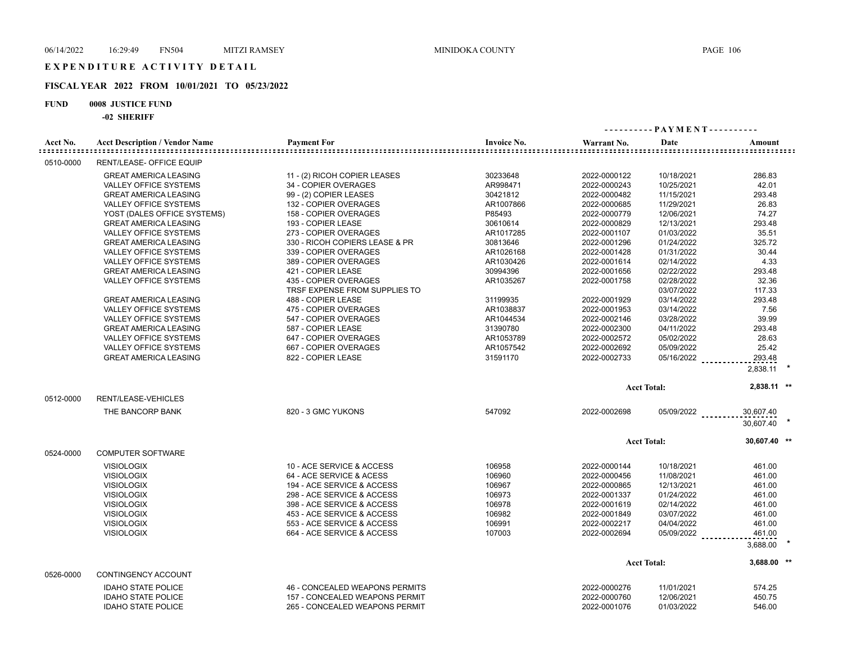#### **FISCAL YEAR 2022 FROM 10/01/2021 TO 05/23/2022**

#### **FUND 0008 JUSTICE FUND**

|                           | -02 ЭНЕКІГГ                                           |                                                         |                                 |                              |                          |                 |  |
|---------------------------|-------------------------------------------------------|---------------------------------------------------------|---------------------------------|------------------------------|--------------------------|-----------------|--|
| Acct No.                  | <b>Acct Description / Vendor Name</b>                 | <b>Payment For</b>                                      | <b>Invoice No.</b>              | Warrant No.                  | Date                     | Amount          |  |
| ============<br>0510-0000 | <b>RENT/LEASE- OFFICE EQUIP</b>                       |                                                         | =============================== |                              |                          |                 |  |
|                           |                                                       |                                                         |                                 |                              |                          |                 |  |
|                           | <b>GREAT AMERICA LEASING</b>                          | 11 - (2) RICOH COPIER LEASES                            | 30233648                        | 2022-0000122                 | 10/18/2021               | 286.83          |  |
|                           | <b>VALLEY OFFICE SYSTEMS</b>                          | 34 - COPIER OVERAGES                                    | AR998471                        | 2022-0000243                 | 10/25/2021               | 42.01           |  |
|                           | <b>GREAT AMERICA LEASING</b>                          | 99 - (2) COPIER LEASES                                  | 30421812                        | 2022-0000482                 | 11/15/2021               | 293.48          |  |
|                           | VALLEY OFFICE SYSTEMS                                 | 132 - COPIER OVERAGES                                   | AR1007866<br>P85493             | 2022-0000685                 | 11/29/2021               | 26.83           |  |
|                           | YOST (DALES OFFICE SYSTEMS)                           | 158 - COPIER OVERAGES<br>193 - COPIER LEASE             | 30610614                        | 2022-0000779<br>2022-0000829 | 12/06/2021               | 74.27<br>293.48 |  |
|                           | <b>GREAT AMERICA LEASING</b>                          |                                                         | AR1017285                       |                              | 12/13/2021               | 35.51           |  |
|                           | VALLEY OFFICE SYSTEMS                                 | 273 - COPIER OVERAGES                                   | 30813646                        | 2022-0001107                 | 01/03/2022<br>01/24/2022 | 325.72          |  |
|                           | <b>GREAT AMERICA LEASING</b><br>VALLEY OFFICE SYSTEMS | 330 - RICOH COPIERS LEASE & PR<br>339 - COPIER OVERAGES |                                 | 2022-0001296                 |                          | 30.44           |  |
|                           |                                                       |                                                         | AR1026168                       | 2022-0001428                 | 01/31/2022               | 4.33            |  |
|                           | VALLEY OFFICE SYSTEMS<br><b>GREAT AMERICA LEASING</b> | 389 - COPIER OVERAGES<br>421 - COPIER LEASE             | AR1030426<br>30994396           | 2022-0001614<br>2022-0001656 | 02/14/2022<br>02/22/2022 | 293.48          |  |
|                           | VALLEY OFFICE SYSTEMS                                 | 435 - COPIER OVERAGES                                   | AR1035267                       | 2022-0001758                 | 02/28/2022               | 32.36           |  |
|                           |                                                       | TRSF EXPENSE FROM SUPPLIES TO                           |                                 |                              | 03/07/2022               | 117.33          |  |
|                           | <b>GREAT AMERICA LEASING</b>                          | 488 - COPIER LEASE                                      | 31199935                        | 2022-0001929                 | 03/14/2022               | 293.48          |  |
|                           | <b>VALLEY OFFICE SYSTEMS</b>                          | 475 - COPIER OVERAGES                                   | AR1038837                       | 2022-0001953                 | 03/14/2022               | 7.56            |  |
|                           | <b>VALLEY OFFICE SYSTEMS</b>                          | 547 - COPIER OVERAGES                                   | AR1044534                       | 2022-0002146                 | 03/28/2022               | 39.99           |  |
|                           | <b>GREAT AMERICA LEASING</b>                          | 587 - COPIER LEASE                                      | 31390780                        | 2022-0002300                 | 04/11/2022               | 293.48          |  |
|                           | VALLEY OFFICE SYSTEMS                                 | 647 - COPIER OVERAGES                                   | AR1053789                       | 2022-0002572                 | 05/02/2022               | 28.63           |  |
|                           | <b>VALLEY OFFICE SYSTEMS</b>                          | 667 - COPIER OVERAGES                                   | AR1057542                       | 2022-0002692                 | 05/09/2022               | 25.42           |  |
|                           | <b>GREAT AMERICA LEASING</b>                          | 822 - COPIER LEASE                                      | 31591170                        | 2022-0002733                 | 05/16/2022               | 293.48          |  |
|                           |                                                       |                                                         |                                 |                              |                          |                 |  |
|                           |                                                       |                                                         |                                 |                              |                          | 2,838.11        |  |
|                           |                                                       |                                                         |                                 |                              | <b>Acct Total:</b>       | 2,838.11 **     |  |
| 0512-0000                 | RENT/LEASE-VEHICLES                                   |                                                         |                                 |                              |                          |                 |  |
|                           | THE BANCORP BANK                                      | 820 - 3 GMC YUKONS                                      | 547092                          | 2022-0002698                 | 05/09/2022               | 30,607.40       |  |
|                           |                                                       |                                                         |                                 |                              |                          | 30,607.40       |  |
|                           |                                                       |                                                         |                                 |                              | <b>Acct Total:</b>       | 30,607.40 **    |  |
| 0524-0000                 | <b>COMPUTER SOFTWARE</b>                              |                                                         |                                 |                              |                          |                 |  |
|                           |                                                       |                                                         |                                 |                              |                          |                 |  |
|                           | <b>VISIOLOGIX</b>                                     | 10 - ACE SERVICE & ACCESS                               | 106958                          | 2022-0000144                 | 10/18/2021               | 461.00          |  |
|                           | <b>VISIOLOGIX</b>                                     | 64 - ACE SERVICE & ACESS                                | 106960                          | 2022-0000456                 | 11/08/2021               | 461.00          |  |
|                           | <b>VISIOLOGIX</b>                                     | 194 - ACE SERVICE & ACCESS                              | 106967                          | 2022-0000865                 | 12/13/2021               | 461.00          |  |
|                           | <b>VISIOLOGIX</b>                                     | 298 - ACE SERVICE & ACCESS                              | 106973                          | 2022-0001337                 | 01/24/2022               | 461.00          |  |
|                           | <b>VISIOLOGIX</b>                                     | 398 - ACE SERVICE & ACCESS                              | 106978                          | 2022-0001619                 | 02/14/2022               | 461.00          |  |
|                           | <b>VISIOLOGIX</b>                                     | 453 - ACE SERVICE & ACCESS                              | 106982                          | 2022-0001849                 | 03/07/2022               | 461.00          |  |
|                           | <b>VISIOLOGIX</b>                                     | 553 - ACE SERVICE & ACCESS                              | 106991                          | 2022-0002217                 | 04/04/2022               | 461.00          |  |
|                           | <b>VISIOLOGIX</b>                                     | 664 - ACE SERVICE & ACCESS                              | 107003                          | 2022-0002694                 | 05/09/2022               | 461.00          |  |
|                           |                                                       |                                                         |                                 |                              |                          | 3,688.00        |  |
|                           |                                                       |                                                         |                                 |                              | <b>Acct Total:</b>       | 3,688.00 **     |  |
| 0526-0000                 | CONTINGENCY ACCOUNT                                   |                                                         |                                 |                              |                          |                 |  |
|                           | <b>IDAHO STATE POLICE</b>                             | 46 - CONCEALED WEAPONS PERMITS                          |                                 | 2022-0000276                 | 11/01/2021               | 574.25          |  |
|                           | <b>IDAHO STATE POLICE</b>                             | 157 - CONCEALED WEAPONS PERMIT                          |                                 | 2022-0000760                 | 12/06/2021               | 450.75          |  |
|                           | <b>IDAHO STATE POLICE</b>                             | 265 - CONCEALED WEAPONS PERMIT                          |                                 | 2022-0001076                 | 01/03/2022               | 546.00          |  |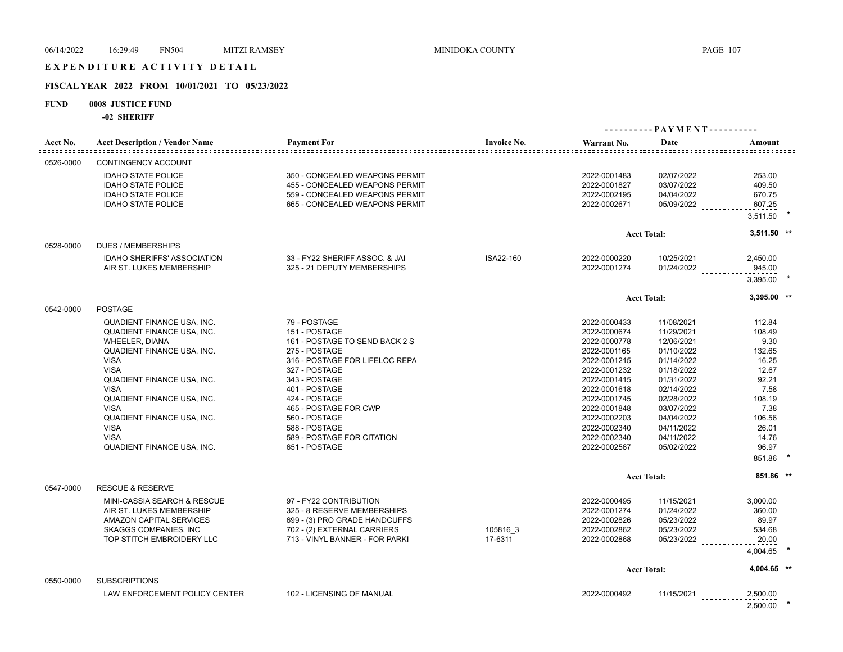## EXPENDITURE ACTIVITY DETAIL

## **FISCAL YEAR 2022 FROM 10/01/2021 TO 05/23/2022**

#### **FUND 0008 JUSTICE FUND**

**-02 SHERIFF**

|                           | -94 ЭНЕМІГІ                           |                                |                    |              |                    |               |  |
|---------------------------|---------------------------------------|--------------------------------|--------------------|--------------|--------------------|---------------|--|
|                           |                                       |                                |                    |              |                    |               |  |
| Acct No.<br>::::::::::::: | <b>Acct Description / Vendor Name</b> | <b>Payment For</b>             | <b>Invoice No.</b> | Warrant No.  | Date               | Amount        |  |
| 0526-0000                 | <b>CONTINGENCY ACCOUNT</b>            |                                |                    |              |                    |               |  |
|                           | <b>IDAHO STATE POLICE</b>             | 350 - CONCEALED WEAPONS PERMIT |                    | 2022-0001483 | 02/07/2022         | 253.00        |  |
|                           | <b>IDAHO STATE POLICE</b>             | 455 - CONCEALED WEAPONS PERMIT |                    | 2022-0001827 | 03/07/2022         | 409.50        |  |
|                           | <b>IDAHO STATE POLICE</b>             | 559 - CONCEALED WEAPONS PERMIT |                    | 2022-0002195 | 04/04/2022         | 670.75        |  |
|                           | <b>IDAHO STATE POLICE</b>             | 665 - CONCEALED WEAPONS PERMIT |                    | 2022-0002671 | 05/09/2022         | 607.25        |  |
|                           |                                       |                                |                    |              |                    | 3,511.50      |  |
|                           |                                       |                                |                    |              | <b>Acct Total:</b> | $3,511.50$ ** |  |
| 0528-0000                 | <b>DUES / MEMBERSHIPS</b>             |                                |                    |              |                    |               |  |
|                           | <b>IDAHO SHERIFFS' ASSOCIATION</b>    | 33 - FY22 SHERIFF ASSOC. & JAI | ISA22-160          | 2022-0000220 | 10/25/2021         | 2,450.00      |  |
|                           | AIR ST. LUKES MEMBERSHIP              | 325 - 21 DEPUTY MEMBERSHIPS    |                    | 2022-0001274 | 01/24/2022         | 945.00        |  |
|                           |                                       |                                |                    |              |                    | 3,395.00      |  |
|                           |                                       |                                |                    |              |                    | 3,395.00 **   |  |
| 0542-0000                 | <b>POSTAGE</b>                        |                                |                    |              | <b>Acct Total:</b> |               |  |
|                           | <b>QUADIENT FINANCE USA, INC.</b>     | 79 - POSTAGE                   |                    | 2022-0000433 | 11/08/2021         | 112.84        |  |
|                           | <b>QUADIENT FINANCE USA, INC.</b>     | 151 - POSTAGE                  |                    | 2022-0000674 | 11/29/2021         | 108.49        |  |
|                           | <b>WHEELER, DIANA</b>                 | 161 - POSTAGE TO SEND BACK 2 S |                    | 2022-0000778 | 12/06/2021         | 9.30          |  |
|                           | QUADIENT FINANCE USA, INC.            | 275 - POSTAGE                  |                    | 2022-0001165 | 01/10/2022         | 132.65        |  |
|                           | <b>VISA</b>                           | 316 - POSTAGE FOR LIFELOC REPA |                    | 2022-0001215 | 01/14/2022         | 16.25         |  |
|                           | <b>VISA</b>                           | 327 - POSTAGE                  |                    | 2022-0001232 | 01/18/2022         | 12.67         |  |
|                           | <b>QUADIENT FINANCE USA, INC.</b>     | 343 - POSTAGE                  |                    | 2022-0001415 | 01/31/2022         | 92.21         |  |
|                           | <b>VISA</b>                           | 401 - POSTAGE                  |                    | 2022-0001618 | 02/14/2022         | 7.58          |  |
|                           | QUADIENT FINANCE USA, INC.            | 424 - POSTAGE                  |                    | 2022-0001745 | 02/28/2022         | 108.19        |  |
|                           | <b>VISA</b>                           | 465 - POSTAGE FOR CWP          |                    | 2022-0001848 | 03/07/2022         | 7.38          |  |
|                           | QUADIENT FINANCE USA, INC.            | 560 - POSTAGE                  |                    | 2022-0002203 | 04/04/2022         | 106.56        |  |
|                           | <b>VISA</b>                           | 588 - POSTAGE                  |                    | 2022-0002340 | 04/11/2022         | 26.01         |  |
|                           | <b>VISA</b>                           | 589 - POSTAGE FOR CITATION     |                    | 2022-0002340 | 04/11/2022         | 14.76         |  |
|                           | QUADIENT FINANCE USA, INC.            | 651 - POSTAGE                  |                    | 2022-0002567 | 05/02/2022         | 96.97         |  |
|                           |                                       |                                |                    |              |                    | 851.86        |  |
|                           |                                       |                                |                    |              |                    |               |  |
|                           |                                       |                                |                    |              | <b>Acct Total:</b> | 851.86 **     |  |
| 0547-0000                 | <b>RESCUE &amp; RESERVE</b>           |                                |                    |              |                    |               |  |
|                           | MINI-CASSIA SEARCH & RESCUE           | 97 - FY22 CONTRIBUTION         |                    | 2022-0000495 | 11/15/2021         | 3,000.00      |  |
|                           | AIR ST. LUKES MEMBERSHIP              | 325 - 8 RESERVE MEMBERSHIPS    |                    | 2022-0001274 | 01/24/2022         | 360.00        |  |
|                           | AMAZON CAPITAL SERVICES               | 699 - (3) PRO GRADE HANDCUFFS  |                    | 2022-0002826 | 05/23/2022         | 89.97         |  |
|                           | <b>SKAGGS COMPANIES, INC</b>          | 702 - (2) EXTERNAL CARRIERS    | 105816 3           | 2022-0002862 | 05/23/2022         | 534.68        |  |
|                           | TOP STITCH EMBROIDERY LLC             | 713 - VINYL BANNER - FOR PARKI | 17-6311            | 2022-0002868 | 05/23/2022         | 20.00         |  |
|                           |                                       |                                |                    |              |                    | 4,004.65      |  |
|                           |                                       |                                |                    |              | <b>Acct Total:</b> | 4,004.65 **   |  |
| 0550-0000                 | <b>SUBSCRIPTIONS</b>                  |                                |                    |              |                    |               |  |
|                           | LAW ENFORCEMENT POLICY CENTER         | 102 - LICENSING OF MANUAL      |                    | 2022-0000492 | 11/15/2021         | 2,500.00      |  |
|                           |                                       |                                |                    |              |                    |               |  |

2,500.00 **\***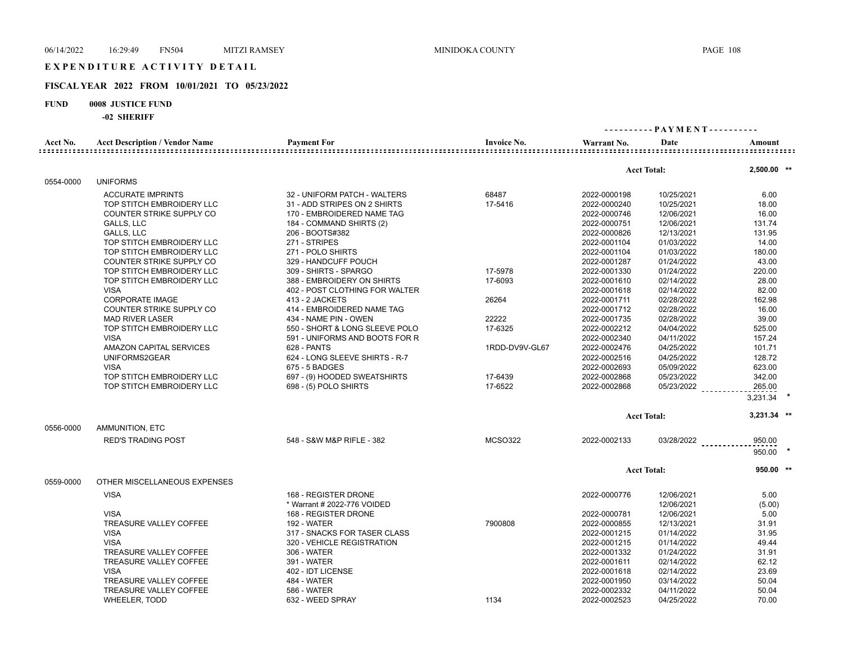#### **FISCAL YEAR 2022 FROM 10/01/2021 TO 05/23/2022**

#### **FUND 0008 JUSTICE FUND**

|           | -94 91111111                          |                                |                    |                    |              |                  |
|-----------|---------------------------------------|--------------------------------|--------------------|--------------------|--------------|------------------|
| Acct No.  | <b>Acct Description / Vendor Name</b> | <b>Payment For</b>             | <b>Invoice No.</b> | Warrant No.        | Date         | Amount           |
|           |                                       |                                |                    |                    |              |                  |
|           |                                       |                                |                    | <b>Acct Total:</b> |              | 2,500.00 **      |
| 0554-0000 | <b>UNIFORMS</b>                       |                                |                    |                    |              |                  |
|           | <b>ACCURATE IMPRINTS</b>              | 32 - UNIFORM PATCH - WALTERS   | 68487              | 2022-0000198       | 10/25/2021   | 6.00             |
|           | TOP STITCH EMBROIDERY LLC             | 31 - ADD STRIPES ON 2 SHIRTS   | 17-5416            | 2022-0000240       | 10/25/2021   | 18.00            |
|           | COUNTER STRIKE SUPPLY CO              | 170 - EMBROIDERED NAME TAG     |                    | 2022-0000746       | 12/06/2021   | 16.00            |
|           | GALLS, LLC                            | 184 - COMMAND SHIRTS (2)       |                    | 2022-0000751       | 12/06/2021   | 131.74           |
|           | <b>GALLS, LLC</b>                     | 206 - BOOTS#382                |                    | 2022-0000826       | 12/13/2021   | 131.95           |
|           | TOP STITCH EMBROIDERY LLC             | 271 - STRIPES                  |                    | 2022-0001104       | 01/03/2022   | 14.00            |
|           | TOP STITCH EMBROIDERY LLC             | 271 - POLO SHIRTS              |                    | 2022-0001104       | 01/03/2022   | 180.00           |
|           | COUNTER STRIKE SUPPLY CO              | 329 - HANDCUFF POUCH           |                    | 2022-0001287       | 01/24/2022   | 43.00            |
|           | TOP STITCH EMBROIDERY LLC             | 309 - SHIRTS - SPARGO          | 17-5978            | 2022-0001330       | 01/24/2022   | 220.00           |
|           | TOP STITCH EMBROIDERY LLC             | 388 - EMBROIDERY ON SHIRTS     | 17-6093            | 2022-0001610       | 02/14/2022   | 28.00            |
|           | <b>VISA</b>                           | 402 - POST CLOTHING FOR WALTER |                    | 2022-0001618       | 02/14/2022   | 82.00            |
|           | <b>CORPORATE IMAGE</b>                | 413 - 2 JACKETS                | 26264              | 2022-0001711       | 02/28/2022   | 162.98           |
|           | COUNTER STRIKE SUPPLY CO              | 414 - EMBROIDERED NAME TAG     |                    | 2022-0001712       | 02/28/2022   | 16.00            |
|           | <b>MAD RIVER LASER</b>                | 434 - NAME PIN - OWEN          | 22222              | 2022-0001735       | 02/28/2022   | 39.00            |
|           | TOP STITCH EMBROIDERY LLC             | 550 - SHORT & LONG SLEEVE POLO | 17-6325            | 2022-0002212       | 04/04/2022   | 525.00           |
|           | <b>VISA</b>                           | 591 - UNIFORMS AND BOOTS FOR R |                    | 2022-0002340       | 04/11/2022   | 157.24           |
|           | <b>AMAZON CAPITAL SERVICES</b>        | 628 - PANTS                    | 1RDD-DV9V-GL67     | 2022-0002476       | 04/25/2022   | 101.71           |
|           | UNIFORMS2GEAR                         | 624 - LONG SLEEVE SHIRTS - R-7 |                    | 2022-0002516       | 04/25/2022   | 128.72           |
|           | <b>VISA</b>                           | 675 - 5 BADGES                 |                    | 2022-0002693       | 05/09/2022   | 623.00           |
|           | TOP STITCH EMBROIDERY LLC             | 697 - (9) HOODED SWEATSHIRTS   | 17-6439            | 2022-0002868       | 05/23/2022   | 342.00           |
|           | TOP STITCH EMBROIDERY LLC             | 698 - (5) POLO SHIRTS          | 17-6522            | 2022-0002868       | 05/23/2022   | 265.00           |
|           |                                       |                                |                    |                    |              | 3,231.34         |
|           |                                       |                                |                    | <b>Acct Total:</b> |              | 3,231.34 **      |
| 0556-0000 | AMMUNITION, ETC                       |                                |                    |                    |              |                  |
|           | <b>RED'S TRADING POST</b>             | 548 - S&W M&P RIFLE - 382      | <b>MCSO322</b>     | 2022-0002133       | $03/28/2022$ | 950.00<br>950.00 |
|           |                                       |                                |                    | <b>Acct Total:</b> |              | $950.00$ **      |
| 0559-0000 | OTHER MISCELLANEOUS EXPENSES          |                                |                    |                    |              |                  |
|           | <b>VISA</b>                           | 168 - REGISTER DRONE           |                    | 2022-0000776       | 12/06/2021   | 5.00             |
|           |                                       | * Warrant # 2022-776 VOIDED    |                    |                    | 12/06/2021   | (5.00)           |
|           | <b>VISA</b>                           | 168 - REGISTER DRONE           |                    | 2022-0000781       | 12/06/2021   | 5.00             |
|           | TREASURE VALLEY COFFEE                | <b>192 - WATER</b>             | 7900808            | 2022-0000855       | 12/13/2021   | 31.91            |
|           | <b>VISA</b>                           | 317 - SNACKS FOR TASER CLASS   |                    | 2022-0001215       | 01/14/2022   | 31.95            |
|           | <b>VISA</b>                           | 320 - VEHICLE REGISTRATION     |                    | 2022-0001215       | 01/14/2022   | 49.44            |
|           | TREASURE VALLEY COFFEE                | 306 - WATER                    |                    | 2022-0001332       | 01/24/2022   | 31.91            |
|           | TREASURE VALLEY COFFEE                | 391 - WATER                    |                    | 2022-0001611       | 02/14/2022   | 62.12            |
|           | <b>VISA</b>                           | 402 - IDT LICENSE              |                    | 2022-0001618       | 02/14/2022   | 23.69            |
|           | TREASURE VALLEY COFFEE                | 484 - WATER                    |                    | 2022-0001950       | 03/14/2022   | 50.04            |
|           | TREASURE VALLEY COFFEE                | <b>586 - WATER</b>             |                    | 2022-0002332       | 04/11/2022   | 50.04            |
|           | WHEELER, TODD                         | 632 - WEED SPRAY               | 1134               | 2022-0002523       | 04/25/2022   | 70.00            |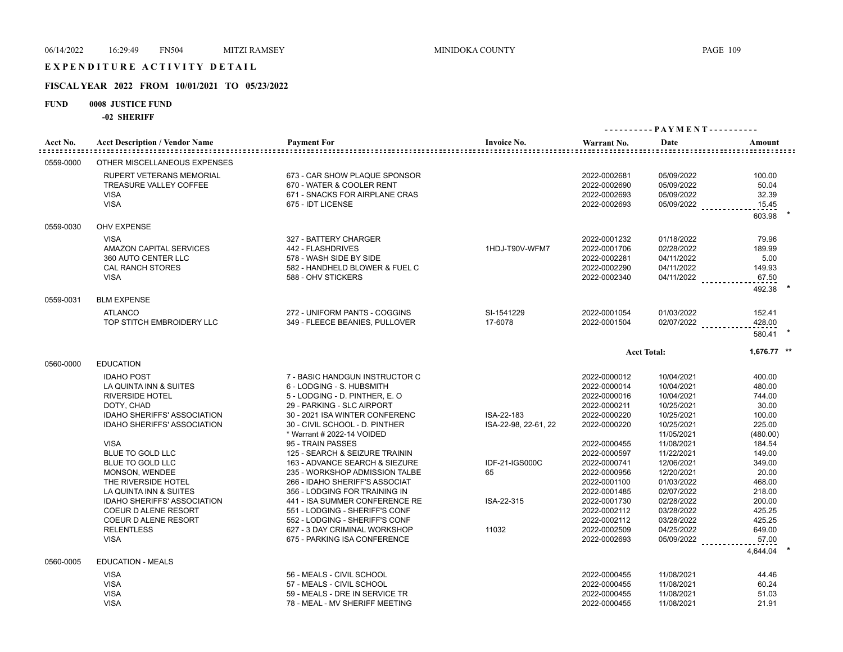# E X P E N D I T U R E A C T I V I T Y D E T A I L

## **FISCAL YEAR 2022 FROM 10/01/2021 TO 05/23/2022**

## **FUND 0008 JUSTICE FUND**

**-02 SHERIFF**

|           |                                                                                                                                                                                                                                                                                                                                                                                                                                                              |                                                                                                                                                                                                                                                                                                                                                                                                                                                                                                                                                                                                    |                                                                                   | ---------- PAYMENT----------                                                                                                                                                                                                                                                 |                                                                                                                                                                                                                                                          |                                                                                                                                                                                 |
|-----------|--------------------------------------------------------------------------------------------------------------------------------------------------------------------------------------------------------------------------------------------------------------------------------------------------------------------------------------------------------------------------------------------------------------------------------------------------------------|----------------------------------------------------------------------------------------------------------------------------------------------------------------------------------------------------------------------------------------------------------------------------------------------------------------------------------------------------------------------------------------------------------------------------------------------------------------------------------------------------------------------------------------------------------------------------------------------------|-----------------------------------------------------------------------------------|------------------------------------------------------------------------------------------------------------------------------------------------------------------------------------------------------------------------------------------------------------------------------|----------------------------------------------------------------------------------------------------------------------------------------------------------------------------------------------------------------------------------------------------------|---------------------------------------------------------------------------------------------------------------------------------------------------------------------------------|
| Acct No.  | <b>Acct Description / Vendor Name</b>                                                                                                                                                                                                                                                                                                                                                                                                                        | <b>Payment For</b>                                                                                                                                                                                                                                                                                                                                                                                                                                                                                                                                                                                 | <b>Invoice No.</b>                                                                | Warrant No.                                                                                                                                                                                                                                                                  | Date                                                                                                                                                                                                                                                     | Amount                                                                                                                                                                          |
| 0559-0000 | OTHER MISCELLANEOUS EXPENSES                                                                                                                                                                                                                                                                                                                                                                                                                                 |                                                                                                                                                                                                                                                                                                                                                                                                                                                                                                                                                                                                    |                                                                                   |                                                                                                                                                                                                                                                                              |                                                                                                                                                                                                                                                          |                                                                                                                                                                                 |
|           | RUPERT VETERANS MEMORIAL<br>TREASURE VALLEY COFFEE<br><b>VISA</b><br><b>VISA</b>                                                                                                                                                                                                                                                                                                                                                                             | 673 - CAR SHOW PLAQUE SPONSOR<br>670 - WATER & COOLER RENT<br>671 - SNACKS FOR AIRPLANE CRAS<br>675 - IDT LICENSE                                                                                                                                                                                                                                                                                                                                                                                                                                                                                  |                                                                                   | 2022-0002681<br>2022-0002690<br>2022-0002693<br>2022-0002693                                                                                                                                                                                                                 | 05/09/2022<br>05/09/2022<br>05/09/2022<br>$05/09/2022$                                                                                                                                                                                                   | 100.00<br>50.04<br>32.39<br>15.45<br>603.98                                                                                                                                     |
| 0559-0030 | <b>OHV EXPENSE</b>                                                                                                                                                                                                                                                                                                                                                                                                                                           |                                                                                                                                                                                                                                                                                                                                                                                                                                                                                                                                                                                                    |                                                                                   |                                                                                                                                                                                                                                                                              |                                                                                                                                                                                                                                                          |                                                                                                                                                                                 |
|           | <b>VISA</b><br>AMAZON CAPITAL SERVICES<br>360 AUTO CENTER LLC<br><b>CAL RANCH STORES</b><br><b>VISA</b>                                                                                                                                                                                                                                                                                                                                                      | 327 - BATTERY CHARGER<br>442 - FLASHDRIVES<br>578 - WASH SIDE BY SIDE<br>582 - HANDHELD BLOWER & FUEL C<br>588 - OHV STICKERS                                                                                                                                                                                                                                                                                                                                                                                                                                                                      | 1HDJ-T90V-WFM7                                                                    | 2022-0001232<br>2022-0001706<br>2022-0002281<br>2022-0002290<br>2022-0002340                                                                                                                                                                                                 | 01/18/2022<br>02/28/2022<br>04/11/2022<br>04/11/2022<br>04/11/2022 _________                                                                                                                                                                             | 79.96<br>189.99<br>5.00<br>149.93<br>67.50<br>492.38                                                                                                                            |
| 0559-0031 | <b>BLM EXPENSE</b>                                                                                                                                                                                                                                                                                                                                                                                                                                           |                                                                                                                                                                                                                                                                                                                                                                                                                                                                                                                                                                                                    |                                                                                   |                                                                                                                                                                                                                                                                              |                                                                                                                                                                                                                                                          |                                                                                                                                                                                 |
|           | <b>ATLANCO</b><br>TOP STITCH EMBROIDERY LLC                                                                                                                                                                                                                                                                                                                                                                                                                  | 272 - UNIFORM PANTS - COGGINS<br>349 - FLEECE BEANIES, PULLOVER                                                                                                                                                                                                                                                                                                                                                                                                                                                                                                                                    | SI-1541229<br>17-6078                                                             | 2022-0001054<br>2022-0001504                                                                                                                                                                                                                                                 | 01/03/2022<br>02/07/2022                                                                                                                                                                                                                                 | 152.41<br>428.00<br>580.41                                                                                                                                                      |
|           |                                                                                                                                                                                                                                                                                                                                                                                                                                                              |                                                                                                                                                                                                                                                                                                                                                                                                                                                                                                                                                                                                    |                                                                                   |                                                                                                                                                                                                                                                                              | <b>Acct Total:</b>                                                                                                                                                                                                                                       | 1,676.77 **                                                                                                                                                                     |
| 0560-0000 | <b>EDUCATION</b><br><b>IDAHO POST</b><br>LA QUINTA INN & SUITES<br><b>RIVERSIDE HOTEL</b><br>DOTY, CHAD<br><b>IDAHO SHERIFFS' ASSOCIATION</b><br><b>IDAHO SHERIFFS' ASSOCIATION</b><br><b>VISA</b><br>BLUE TO GOLD LLC<br><b>BLUE TO GOLD LLC</b><br><b>MONSON, WENDEE</b><br>THE RIVERSIDE HOTEL<br>LA QUINTA INN & SUITES<br><b>IDAHO SHERIFFS' ASSOCIATION</b><br><b>COEUR D ALENE RESORT</b><br>COEUR D ALENE RESORT<br><b>RELENTLESS</b><br><b>VISA</b> | 7 - BASIC HANDGUN INSTRUCTOR C<br>6 - LODGING - S. HUBSMITH<br>5 - LODGING - D. PINTHER, E. O<br>29 - PARKING - SLC AIRPORT<br>30 - 2021 ISA WINTER CONFERENC<br>30 - CIVIL SCHOOL - D. PINTHER<br>* Warrant # 2022-14 VOIDED<br>95 - TRAIN PASSES<br>125 - SEARCH & SEIZURE TRAININ<br>163 - ADVANCE SEARCH & SIEZURE<br>235 - WORKSHOP ADMISSION TALBE<br>266 - IDAHO SHERIFF'S ASSOCIAT<br>356 - LODGING FOR TRAINING IN<br>441 - ISA SUMMER CONFERENCE RE<br>551 - LODGING - SHERIFF'S CONF<br>552 - LODGING - SHERIFF'S CONF<br>627 - 3 DAY CRIMINAL WORKSHOP<br>675 - PARKING ISA CONFERENCE | ISA-22-183<br>ISA-22-98, 22-61, 22<br>IDF-21-IGS000C<br>65<br>ISA-22-315<br>11032 | 2022-0000012<br>2022-0000014<br>2022-0000016<br>2022-0000211<br>2022-0000220<br>2022-0000220<br>2022-0000455<br>2022-0000597<br>2022-0000741<br>2022-0000956<br>2022-0001100<br>2022-0001485<br>2022-0001730<br>2022-0002112<br>2022-0002112<br>2022-0002509<br>2022-0002693 | 10/04/2021<br>10/04/2021<br>10/04/2021<br>10/25/2021<br>10/25/2021<br>10/25/2021<br>11/05/2021<br>11/08/2021<br>11/22/2021<br>12/06/2021<br>12/20/2021<br>01/03/2022<br>02/07/2022<br>02/28/2022<br>03/28/2022<br>03/28/2022<br>04/25/2022<br>05/09/2022 | 400.00<br>480.00<br>744.00<br>30.00<br>100.00<br>225.00<br>(480.00)<br>184.54<br>149.00<br>349.00<br>20.00<br>468.00<br>218.00<br>200.00<br>425.25<br>425.25<br>649.00<br>57.00 |
| 0560-0005 | <b>EDUCATION - MEALS</b><br><b>VISA</b><br><b>VISA</b><br><b>VISA</b><br><b>VISA</b>                                                                                                                                                                                                                                                                                                                                                                         | 56 - MEALS - CIVIL SCHOOL<br>57 - MEALS - CIVIL SCHOOL<br>59 - MEALS - DRE IN SERVICE TR<br>78 - MEAL - MV SHERIFF MEETING                                                                                                                                                                                                                                                                                                                                                                                                                                                                         |                                                                                   | 2022-0000455<br>2022-0000455<br>2022-0000455<br>2022-0000455                                                                                                                                                                                                                 | 11/08/2021<br>11/08/2021<br>11/08/2021<br>11/08/2021                                                                                                                                                                                                     | 4,644.04<br>44.46<br>60.24<br>51.03<br>21.91                                                                                                                                    |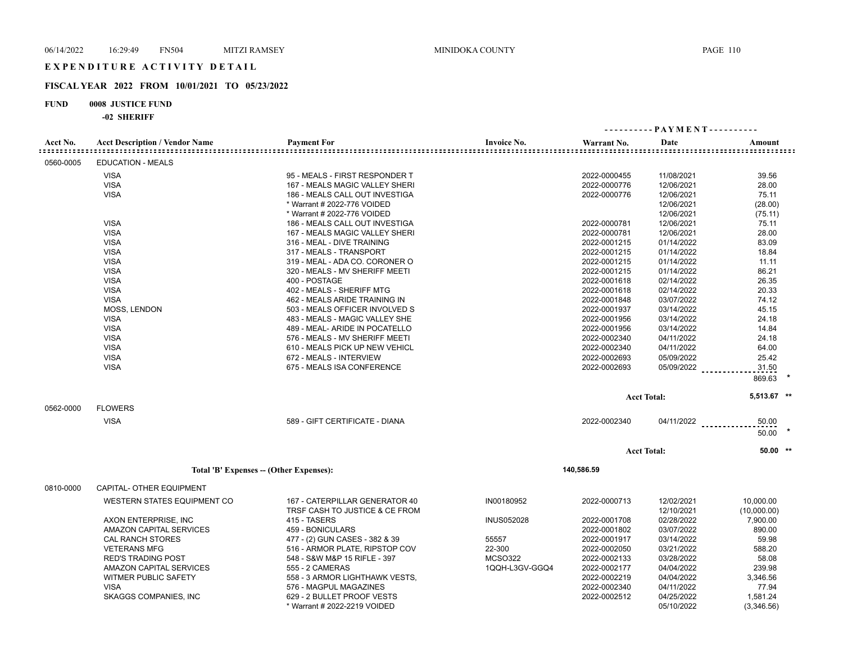### **FISCAL YEAR 2022 FROM 10/01/2021 TO 05/23/2022**

### **FUND 0008 JUSTICE FUND**

#### **-02 SHERIFF**

|           |                                       |                                                                  |                    |              |                          | ---------- PAYMENT---------- |
|-----------|---------------------------------------|------------------------------------------------------------------|--------------------|--------------|--------------------------|------------------------------|
| Acct No.  | <b>Acct Description / Vendor Name</b> | <b>Payment For</b>                                               | <b>Invoice No.</b> | Warrant No.  | Date                     | Amount                       |
| 0560-0005 | <b>EDUCATION - MEALS</b>              |                                                                  |                    |              |                          |                              |
|           | <b>VISA</b>                           | 95 - MEALS - FIRST RESPONDER T                                   |                    | 2022-0000455 | 11/08/2021               | 39.56                        |
|           | <b>VISA</b>                           | 167 - MEALS MAGIC VALLEY SHERI                                   |                    | 2022-0000776 | 12/06/2021               | 28.00                        |
|           | <b>VISA</b>                           | 186 - MEALS CALL OUT INVESTIGA                                   |                    | 2022-0000776 | 12/06/2021               | 75.11                        |
|           |                                       | * Warrant # 2022-776 VOIDED                                      |                    |              | 12/06/2021               | (28.00)                      |
|           |                                       | * Warrant # 2022-776 VOIDED                                      |                    |              | 12/06/2021               | (75.11)                      |
|           | <b>VISA</b>                           | 186 - MEALS CALL OUT INVESTIGA                                   |                    | 2022-0000781 | 12/06/2021               | 75.11                        |
|           | <b>VISA</b>                           | 167 - MEALS MAGIC VALLEY SHERI                                   |                    | 2022-0000781 | 12/06/2021               | 28.00                        |
|           | <b>VISA</b>                           | 316 - MEAL - DIVE TRAINING                                       |                    | 2022-0001215 | 01/14/2022               | 83.09                        |
|           | <b>VISA</b>                           | 317 - MEALS - TRANSPORT                                          |                    | 2022-0001215 | 01/14/2022               | 18.84                        |
|           | <b>VISA</b>                           | 319 - MEAL - ADA CO. CORONER O                                   |                    | 2022-0001215 | 01/14/2022               | 11.11                        |
|           | <b>VISA</b>                           | 320 - MEALS - MV SHERIFF MEETI                                   |                    | 2022-0001215 | 01/14/2022               | 86.21                        |
|           | <b>VISA</b>                           | 400 - POSTAGE                                                    |                    | 2022-0001618 | 02/14/2022               | 26.35                        |
|           | <b>VISA</b>                           | 402 - MEALS - SHERIFF MTG                                        |                    | 2022-0001618 | 02/14/2022               | 20.33                        |
|           | <b>VISA</b>                           | 462 - MEALS ARIDE TRAINING IN                                    |                    | 2022-0001848 | 03/07/2022               | 74.12                        |
|           | <b>MOSS, LENDON</b>                   | 503 - MEALS OFFICER INVOLVED S                                   |                    | 2022-0001937 | 03/14/2022               | 45.15                        |
|           | <b>VISA</b>                           | 483 - MEALS - MAGIC VALLEY SHE                                   |                    |              | 03/14/2022               | 24.18                        |
|           |                                       | 489 - MEAL- ARIDE IN POCATELLO                                   |                    | 2022-0001956 |                          | 14.84                        |
|           | <b>VISA</b>                           |                                                                  |                    | 2022-0001956 | 03/14/2022               |                              |
|           | <b>VISA</b>                           | 576 - MEALS - MV SHERIFF MEETI                                   |                    | 2022-0002340 | 04/11/2022               | 24.18                        |
|           | <b>VISA</b>                           | 610 - MEALS PICK UP NEW VEHICL                                   |                    | 2022-0002340 | 04/11/2022               | 64.00                        |
|           | <b>VISA</b>                           | 672 - MEALS - INTERVIEW                                          |                    | 2022-0002693 | 05/09/2022               | 25.42                        |
|           | <b>VISA</b>                           | 675 - MEALS ISA CONFERENCE                                       |                    | 2022-0002693 | 05/09/2022 ________      | 31.50<br>869.63              |
|           |                                       |                                                                  |                    |              | <b>Acct Total:</b>       | 5,513.67 **                  |
| 0562-0000 | <b>FLOWERS</b>                        |                                                                  |                    |              |                          |                              |
|           | <b>VISA</b>                           | 589 - GIFT CERTIFICATE - DIANA                                   |                    | 2022-0002340 |                          | 50.00<br>04/11/2022          |
|           |                                       |                                                                  |                    |              |                          | 50.00                        |
|           |                                       |                                                                  |                    |              | <b>Acct Total:</b>       | $50.00$ **                   |
|           |                                       | Total 'B' Expenses - (Other Expenses):                           |                    | 140,586.59   |                          |                              |
| 0810-0000 | CAPITAL- OTHER EQUIPMENT              |                                                                  |                    |              |                          |                              |
|           |                                       |                                                                  |                    |              |                          |                              |
|           | WESTERN STATES EQUIPMENT CO           | 167 - CATERPILLAR GENERATOR 40<br>TRSF CASH TO JUSTICE & CE FROM | IN00180952         | 2022-0000713 | 12/02/2021<br>12/10/2021 | 10,000.00<br>(10,000.00)     |
|           | AXON ENTERPRISE, INC                  | 415 - TASERS                                                     | <b>INUS052028</b>  | 2022-0001708 | 02/28/2022               | 7,900.00                     |
|           | <b>AMAZON CAPITAL SERVICES</b>        | 459 - BONICULARS                                                 |                    | 2022-0001802 | 03/07/2022               | 890.00                       |
|           | <b>CAL RANCH STORES</b>               | 477 - (2) GUN CASES - 382 & 39                                   | 55557              | 2022-0001917 | 03/14/2022               | 59.98                        |
|           | <b>VETERANS MFG</b>                   | 516 - ARMOR PLATE, RIPSTOP COV                                   | 22-300             | 2022-0002050 | 03/21/2022               | 588.20                       |
|           | <b>RED'S TRADING POST</b>             | 548 - S&W M&P 15 RIFLE - 397                                     | <b>MCSO322</b>     | 2022-0002133 | 03/28/2022               | 58.08                        |
|           | AMAZON CAPITAL SERVICES               | 555 - 2 CAMERAS                                                  | 1QQH-L3GV-GGQ4     | 2022-0002177 | 04/04/2022               | 239.98                       |
|           | WITMER PUBLIC SAFETY                  | 558 - 3 ARMOR LIGHTHAWK VESTS,                                   |                    | 2022-0002219 | 04/04/2022               | 3,346.56                     |
|           | <b>VISA</b>                           | 576 - MAGPUL MAGAZINES                                           |                    | 2022-0002340 | 04/11/2022               | 77.94                        |
|           | <b>SKAGGS COMPANIES, INC</b>          | 629 - 2 BULLET PROOF VESTS                                       |                    | 2022-0002512 | 04/25/2022               | 1,581.24                     |

\* Warrant # 2022-2219 VOIDED 05/10/2022 (3,346.56)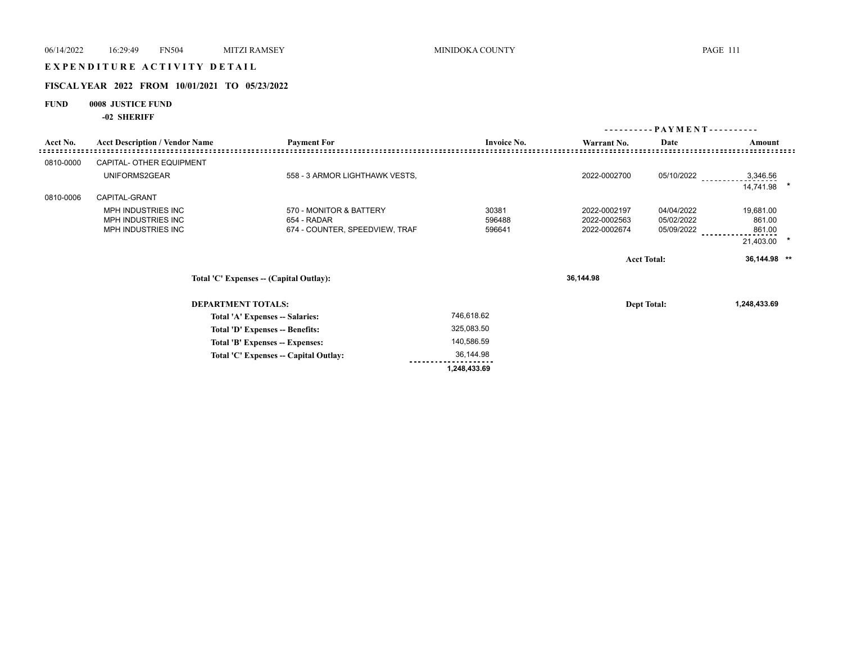# E X P E N D I T U R E A C T I V I T Y D E T A I L

## **FISCAL YEAR 2022 FROM 10/01/2021 TO 05/23/2022**

## **FUND 0008 JUSTICE FUND**

**-02 SHERIFF**

|           |                                                                    |                                         |                    | - PAYMENT - - - - - - - - - - |                    |              |  |
|-----------|--------------------------------------------------------------------|-----------------------------------------|--------------------|-------------------------------|--------------------|--------------|--|
| Acct No.  | <b>Acct Description / Vendor Name</b>                              | <b>Payment For</b>                      | <b>Invoice No.</b> | Warrant No.                   | Date               | Amount       |  |
| 0810-0000 | CAPITAL- OTHER EQUIPMENT                                           |                                         |                    |                               |                    |              |  |
|           | UNIFORMS2GEAR                                                      | 558 - 3 ARMOR LIGHTHAWK VESTS,          |                    | 2022-0002700                  | 05/10/2022         | 3,346.56     |  |
|           |                                                                    |                                         |                    |                               |                    | 14,741.98    |  |
| 0810-0006 | CAPITAL-GRANT                                                      |                                         |                    |                               |                    |              |  |
|           | <b>MPH INDUSTRIES INC</b>                                          | 570 - MONITOR & BATTERY                 | 30381              | 2022-0002197                  | 04/04/2022         | 19,681.00    |  |
|           | MPH INDUSTRIES INC                                                 | 654 - RADAR                             | 596488             | 2022-0002563                  | 05/02/2022         | 861.00       |  |
|           | MPH INDUSTRIES INC                                                 | 674 - COUNTER, SPEEDVIEW, TRAF          | 596641             | 2022-0002674                  | 05/09/2022         | 861.00       |  |
|           |                                                                    |                                         |                    |                               |                    | 21,403.00    |  |
|           |                                                                    |                                         |                    |                               |                    |              |  |
|           |                                                                    |                                         |                    |                               | <b>Acct Total:</b> | 36,144.98 ** |  |
|           |                                                                    | Total 'C' Expenses -- (Capital Outlay): |                    | 36,144.98                     |                    |              |  |
|           |                                                                    | <b>DEPARTMENT TOTALS:</b>               |                    |                               | <b>Dept Total:</b> | 1,248,433.69 |  |
|           |                                                                    |                                         |                    |                               |                    |              |  |
|           |                                                                    | Total 'A' Expenses -- Salaries:         | 746,618.62         |                               |                    |              |  |
|           | Total 'D' Expenses -- Benefits:<br>Total 'B' Expenses -- Expenses: |                                         | 325,083.50         |                               |                    |              |  |
|           |                                                                    |                                         | 140,586.59         |                               |                    |              |  |
|           |                                                                    | Total 'C' Expenses - Capital Outlay:    | 36,144.98          |                               |                    |              |  |
|           |                                                                    |                                         | 1,248,433.69       |                               |                    |              |  |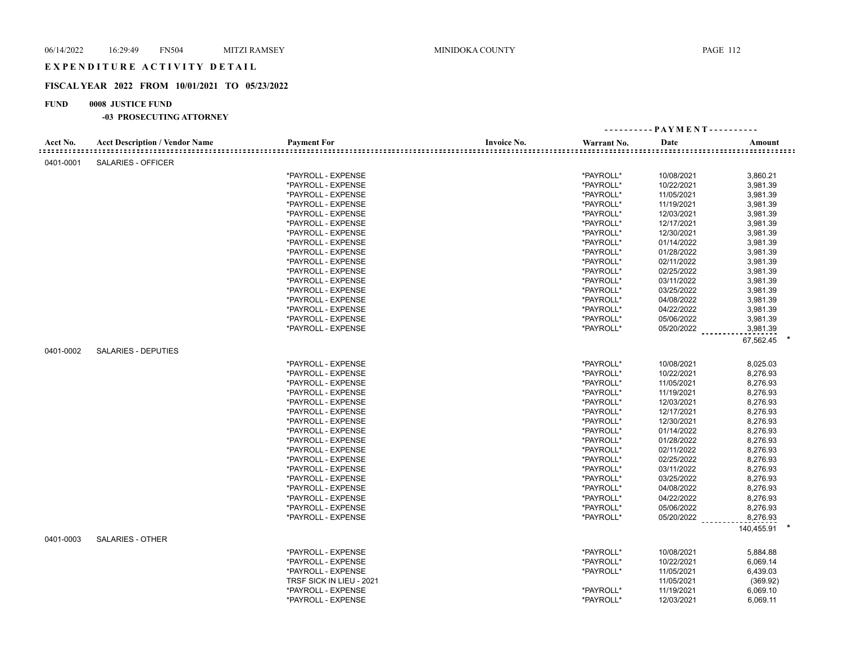## EXPENDITURE ACTIVITY DETAIL

## **FISCAL YEAR 2022 FROM 10/01/2021 TO 05/23/2022**

## **FUND 0008 JUSTICE FUND**

|           |                                       |                          |                    |             | ---------- PAYMENT---------- |            |
|-----------|---------------------------------------|--------------------------|--------------------|-------------|------------------------------|------------|
| Acct No.  | <b>Acct Description / Vendor Name</b> | <b>Payment For</b>       | <b>Invoice No.</b> | Warrant No. | Date                         | Amount     |
| 0401-0001 | <b>SALARIES - OFFICER</b>             |                          |                    |             |                              |            |
|           |                                       | *PAYROLL - EXPENSE       |                    | *PAYROLL*   | 10/08/2021                   | 3,860.21   |
|           |                                       | *PAYROLL - EXPENSE       |                    | *PAYROLL*   | 10/22/2021                   | 3,981.39   |
|           |                                       | *PAYROLL - EXPENSE       |                    | *PAYROLL*   | 11/05/2021                   | 3,981.39   |
|           |                                       | *PAYROLL - EXPENSE       |                    | *PAYROLL*   | 11/19/2021                   | 3,981.39   |
|           |                                       | *PAYROLL - EXPENSE       |                    | *PAYROLL*   | 12/03/2021                   | 3,981.39   |
|           |                                       | *PAYROLL - EXPENSE       |                    | *PAYROLL*   | 12/17/2021                   | 3,981.39   |
|           |                                       | *PAYROLL - EXPENSE       |                    | *PAYROLL*   | 12/30/2021                   | 3,981.39   |
|           |                                       | *PAYROLL - EXPENSE       |                    | *PAYROLL*   | 01/14/2022                   | 3,981.39   |
|           |                                       | *PAYROLL - EXPENSE       |                    | *PAYROLL*   | 01/28/2022                   | 3,981.39   |
|           |                                       | *PAYROLL - EXPENSE       |                    | *PAYROLL*   | 02/11/2022                   | 3,981.39   |
|           |                                       | *PAYROLL - EXPENSE       |                    | *PAYROLL*   | 02/25/2022                   | 3,981.39   |
|           |                                       | *PAYROLL - EXPENSE       |                    | *PAYROLL*   | 03/11/2022                   | 3,981.39   |
|           |                                       | *PAYROLL - EXPENSE       |                    | *PAYROLL*   | 03/25/2022                   | 3,981.39   |
|           |                                       | *PAYROLL - EXPENSE       |                    | *PAYROLL*   | 04/08/2022                   | 3,981.39   |
|           |                                       | *PAYROLL - EXPENSE       |                    | *PAYROLL*   | 04/22/2022                   | 3,981.39   |
|           |                                       | *PAYROLL - EXPENSE       |                    | *PAYROLL*   | 05/06/2022                   | 3,981.39   |
|           |                                       | *PAYROLL - EXPENSE       |                    | *PAYROLL*   | 05/20/2022                   | 3,981.39   |
|           |                                       |                          |                    |             |                              |            |
|           |                                       |                          |                    |             |                              | 67,562.45  |
| 0401-0002 | <b>SALARIES - DEPUTIES</b>            |                          |                    |             |                              |            |
|           |                                       | *PAYROLL - EXPENSE       |                    | *PAYROLL*   | 10/08/2021                   | 8,025.03   |
|           |                                       | *PAYROLL - EXPENSE       |                    | *PAYROLL*   | 10/22/2021                   | 8,276.93   |
|           |                                       | *PAYROLL - EXPENSE       |                    | *PAYROLL*   | 11/05/2021                   | 8,276.93   |
|           |                                       | *PAYROLL - EXPENSE       |                    | *PAYROLL*   | 11/19/2021                   | 8,276.93   |
|           |                                       | *PAYROLL - EXPENSE       |                    | *PAYROLL*   | 12/03/2021                   | 8,276.93   |
|           |                                       | *PAYROLL - EXPENSE       |                    | *PAYROLL*   | 12/17/2021                   | 8,276.93   |
|           |                                       | *PAYROLL - EXPENSE       |                    | *PAYROLL*   | 12/30/2021                   | 8,276.93   |
|           |                                       | *PAYROLL - EXPENSE       |                    | *PAYROLL*   | 01/14/2022                   | 8,276.93   |
|           |                                       | *PAYROLL - EXPENSE       |                    | *PAYROLL*   | 01/28/2022                   | 8,276.93   |
|           |                                       | *PAYROLL - EXPENSE       |                    | *PAYROLL*   | 02/11/2022                   | 8,276.93   |
|           |                                       | *PAYROLL - EXPENSE       |                    | *PAYROLL*   | 02/25/2022                   | 8,276.93   |
|           |                                       | *PAYROLL - EXPENSE       |                    | *PAYROLL*   | 03/11/2022                   | 8,276.93   |
|           |                                       | *PAYROLL - EXPENSE       |                    | *PAYROLL*   | 03/25/2022                   | 8,276.93   |
|           |                                       | *PAYROLL - EXPENSE       |                    | *PAYROLL*   | 04/08/2022                   | 8,276.93   |
|           |                                       | *PAYROLL - EXPENSE       |                    | *PAYROLL*   | 04/22/2022                   | 8,276.93   |
|           |                                       | *PAYROLL - EXPENSE       |                    | *PAYROLL*   | 05/06/2022                   | 8,276.93   |
|           |                                       | *PAYROLL - EXPENSE       |                    | *PAYROLL*   | 05/20/2022                   | 8,276.93   |
|           |                                       |                          |                    |             |                              | 140,455.91 |
| 0401-0003 | <b>SALARIES - OTHER</b>               |                          |                    |             |                              |            |
|           |                                       | *PAYROLL - EXPENSE       |                    | *PAYROLL*   | 10/08/2021                   | 5,884.88   |
|           |                                       | *PAYROLL - EXPENSE       |                    | *PAYROLL*   | 10/22/2021                   | 6,069.14   |
|           |                                       | *PAYROLL - EXPENSE       |                    | *PAYROLL*   | 11/05/2021                   | 6,439.03   |
|           |                                       | TRSF SICK IN LIEU - 2021 |                    |             | 11/05/2021                   | (369.92)   |
|           |                                       | *PAYROLL - EXPENSE       |                    | *PAYROLL*   | 11/19/2021                   | 6,069.10   |
|           |                                       | *PAYROLL - EXPENSE       |                    | *PAYROLL*   | 12/03/2021                   | 6,069.11   |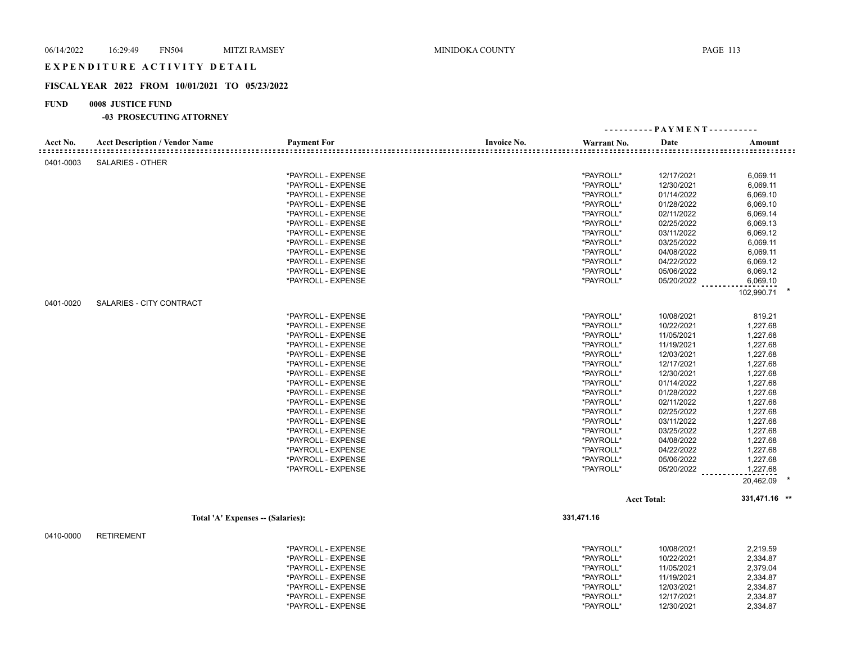## EXPENDITURE ACTIVITY DETAIL

#### **FISCAL YEAR 2022 FROM 10/01/2021 TO 05/23/2022**

### **FUND 0008 JUSTICE FUND**

|           |                                       |                    |                    |             | ---------- PAYMENT---------- |               |
|-----------|---------------------------------------|--------------------|--------------------|-------------|------------------------------|---------------|
| Acct No.  | <b>Acct Description / Vendor Name</b> | <b>Payment For</b> | <b>Invoice No.</b> | Warrant No. | Date                         | Amount        |
| 0401-0003 | SALARIES - OTHER                      |                    |                    |             |                              |               |
|           |                                       | *PAYROLL - EXPENSE |                    | *PAYROLL*   | 12/17/2021                   | 6,069.11      |
|           |                                       | *PAYROLL - EXPENSE |                    | *PAYROLL*   | 12/30/2021                   | 6,069.11      |
|           |                                       | *PAYROLL - EXPENSE |                    | *PAYROLL*   | 01/14/2022                   | 6,069.10      |
|           |                                       | *PAYROLL - EXPENSE |                    | *PAYROLL*   | 01/28/2022                   | 6,069.10      |
|           |                                       | *PAYROLL - EXPENSE |                    | *PAYROLL*   | 02/11/2022                   | 6,069.14      |
|           |                                       | *PAYROLL - EXPENSE |                    | *PAYROLL*   | 02/25/2022                   | 6,069.13      |
|           |                                       | *PAYROLL - EXPENSE |                    | *PAYROLL*   | 03/11/2022                   | 6,069.12      |
|           |                                       | *PAYROLL - EXPENSE |                    | *PAYROLL*   | 03/25/2022                   | 6,069.11      |
|           |                                       | *PAYROLL - EXPENSE |                    | *PAYROLL*   | 04/08/2022                   | 6,069.11      |
|           |                                       | *PAYROLL - EXPENSE |                    | *PAYROLL*   | 04/22/2022                   | 6,069.12      |
|           |                                       | *PAYROLL - EXPENSE |                    | *PAYROLL*   | 05/06/2022                   | 6,069.12      |
|           |                                       | *PAYROLL - EXPENSE |                    | *PAYROLL*   | 05/20/2022                   | 6,069.10      |
|           |                                       |                    |                    |             |                              |               |
| 0401-0020 | SALARIES - CITY CONTRACT              |                    |                    |             |                              | 102,990.71    |
|           |                                       | *PAYROLL - EXPENSE |                    | *PAYROLL*   | 10/08/2021                   | 819.21        |
|           |                                       | *PAYROLL - EXPENSE |                    | *PAYROLL*   | 10/22/2021                   | 1,227.68      |
|           |                                       | *PAYROLL - EXPENSE |                    | *PAYROLL*   | 11/05/2021                   | 1,227.68      |
|           |                                       | *PAYROLL - EXPENSE |                    | *PAYROLL*   | 11/19/2021                   | 1,227.68      |
|           |                                       | *PAYROLL - EXPENSE |                    | *PAYROLL*   | 12/03/2021                   | 1,227.68      |
|           |                                       | *PAYROLL - EXPENSE |                    | *PAYROLL*   | 12/17/2021                   | 1,227.68      |
|           |                                       | *PAYROLL - EXPENSE |                    | *PAYROLL*   | 12/30/2021                   | 1,227.68      |
|           |                                       | *PAYROLL - EXPENSE |                    | *PAYROLL*   | 01/14/2022                   | 1,227.68      |
|           |                                       | *PAYROLL - EXPENSE |                    | *PAYROLL*   | 01/28/2022                   | 1,227.68      |
|           |                                       | *PAYROLL - EXPENSE |                    | *PAYROLL*   | 02/11/2022                   | 1,227.68      |
|           |                                       | *PAYROLL - EXPENSE |                    | *PAYROLL*   | 02/25/2022                   | 1,227.68      |
|           |                                       | *PAYROLL - EXPENSE |                    | *PAYROLL*   | 03/11/2022                   | 1,227.68      |
|           |                                       | *PAYROLL - EXPENSE |                    | *PAYROLL*   | 03/25/2022                   | 1,227.68      |
|           |                                       | *PAYROLL - EXPENSE |                    | *PAYROLL*   | 04/08/2022                   | 1,227.68      |
|           |                                       | *PAYROLL - EXPENSE |                    | *PAYROLL*   | 04/22/2022                   | 1,227.68      |
|           |                                       | *PAYROLL - EXPENSE |                    | *PAYROLL*   | 05/06/2022                   | 1,227.68      |
|           |                                       | *PAYROLL - EXPENSE |                    | *PAYROLL*   | 05/20/2022                   | 1,227.68      |
|           |                                       |                    |                    |             |                              | 20,462.09     |
|           |                                       |                    |                    |             | <b>Acct Total:</b>           | 331,471.16 ** |
|           | Total 'A' Expenses - (Salaries):      |                    |                    | 331,471.16  |                              |               |
| 0410-0000 | <b>RETIREMENT</b>                     |                    |                    |             |                              |               |
|           |                                       |                    |                    |             |                              |               |
|           |                                       | *PAYROLL - EXPENSE |                    | *PAYROLL*   | 10/08/2021                   | 2,219.59      |
|           |                                       | *PAYROLL - EXPENSE |                    | *PAYROLL*   | 10/22/2021                   | 2,334.87      |
|           |                                       | *PAYROLL - EXPENSE |                    | *PAYROLL*   | 11/05/2021                   | 2,379.04      |
|           |                                       | *PAYROLL - EXPENSE |                    | *PAYROLL*   | 11/19/2021                   | 2,334.87      |
|           |                                       | *PAYROLL - EXPENSE |                    | *PAYROLL*   | 12/03/2021                   | 2,334.87      |
|           |                                       | *PAYROLL - EXPENSE |                    | *PAYROLL*   | 12/17/2021                   | 2,334.87      |
|           |                                       | *PAYROLL - EXPENSE |                    | *PAYROLL*   | 12/30/2021                   | 2,334.87      |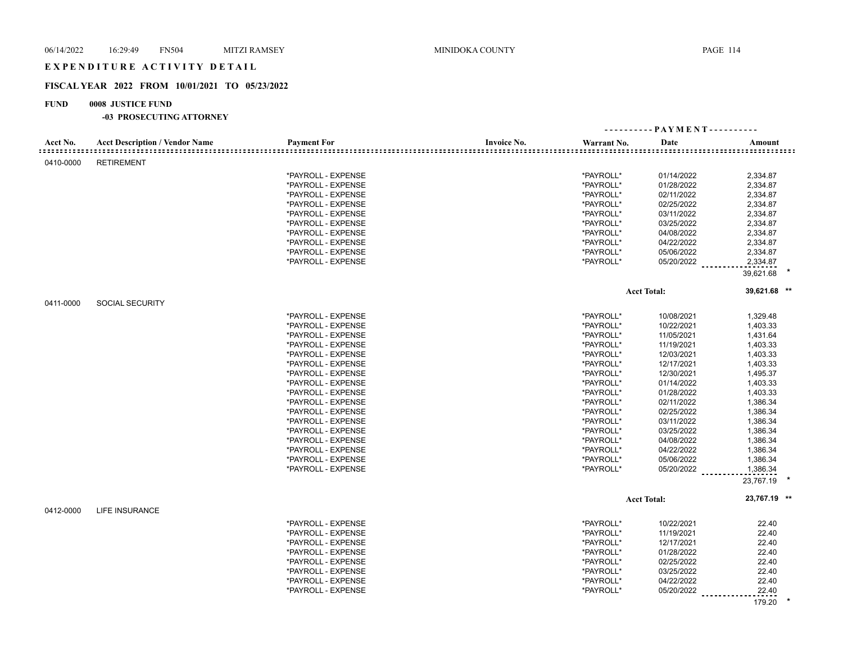## EXPENDITURE ACTIVITY DETAIL

## **FISCAL YEAR 2022 FROM 10/01/2021 TO 05/23/2022**

## **FUND 0008 JUSTICE FUND**

|           |                                       |                    |                    | ---------- PAYMENT---------- |                    |              |  |
|-----------|---------------------------------------|--------------------|--------------------|------------------------------|--------------------|--------------|--|
| Acct No.  | <b>Acct Description / Vendor Name</b> | <b>Payment For</b> | <b>Invoice No.</b> | Warrant No.                  | Date               | Amount       |  |
| 0410-0000 | <b>RETIREMENT</b>                     |                    |                    |                              |                    |              |  |
|           |                                       | *PAYROLL - EXPENSE |                    | *PAYROLL*                    | 01/14/2022         | 2,334.87     |  |
|           |                                       | *PAYROLL - EXPENSE |                    | *PAYROLL*                    | 01/28/2022         | 2,334.87     |  |
|           |                                       | *PAYROLL - EXPENSE |                    | *PAYROLL*                    | 02/11/2022         | 2,334.87     |  |
|           |                                       | *PAYROLL - EXPENSE |                    | *PAYROLL*                    | 02/25/2022         | 2,334.87     |  |
|           |                                       | *PAYROLL - EXPENSE |                    | *PAYROLL*                    | 03/11/2022         | 2,334.87     |  |
|           |                                       | *PAYROLL - EXPENSE |                    | *PAYROLL*                    | 03/25/2022         | 2,334.87     |  |
|           |                                       | *PAYROLL - EXPENSE |                    | *PAYROLL*                    | 04/08/2022         |              |  |
|           |                                       |                    |                    |                              |                    | 2,334.87     |  |
|           |                                       | *PAYROLL - EXPENSE |                    | *PAYROLL*                    | 04/22/2022         | 2,334.87     |  |
|           |                                       | *PAYROLL - EXPENSE |                    | *PAYROLL*                    | 05/06/2022         | 2,334.87     |  |
|           |                                       | *PAYROLL - EXPENSE |                    | *PAYROLL*                    | 05/20/2022         | 2,334.87     |  |
|           |                                       |                    |                    |                              |                    | 39,621.68    |  |
|           |                                       |                    |                    |                              | <b>Acct Total:</b> | 39,621.68 ** |  |
| 0411-0000 | <b>SOCIAL SECURITY</b>                |                    |                    |                              |                    |              |  |
|           |                                       | *PAYROLL - EXPENSE |                    | *PAYROLL*                    | 10/08/2021         | 1,329.48     |  |
|           |                                       | *PAYROLL - EXPENSE |                    | *PAYROLL*                    | 10/22/2021         | 1,403.33     |  |
|           |                                       | *PAYROLL - EXPENSE |                    | *PAYROLL*                    | 11/05/2021         | 1,431.64     |  |
|           |                                       | *PAYROLL - EXPENSE |                    | *PAYROLL*                    | 11/19/2021         | 1,403.33     |  |
|           |                                       | *PAYROLL - EXPENSE |                    | *PAYROLL*                    | 12/03/2021         | 1,403.33     |  |
|           |                                       | *PAYROLL - EXPENSE |                    | *PAYROLL*                    | 12/17/2021         | 1,403.33     |  |
|           |                                       | *PAYROLL - EXPENSE |                    | *PAYROLL*                    | 12/30/2021         | 1,495.37     |  |
|           |                                       | *PAYROLL - EXPENSE |                    | *PAYROLL*                    | 01/14/2022         | 1,403.33     |  |
|           |                                       | *PAYROLL - EXPENSE |                    | *PAYROLL*                    | 01/28/2022         | 1,403.33     |  |
|           |                                       | *PAYROLL - EXPENSE |                    | *PAYROLL*                    | 02/11/2022         |              |  |
|           |                                       |                    |                    |                              |                    | 1,386.34     |  |
|           |                                       | *PAYROLL - EXPENSE |                    | *PAYROLL*                    | 02/25/2022         | 1,386.34     |  |
|           |                                       | *PAYROLL - EXPENSE |                    | *PAYROLL*                    | 03/11/2022         | 1,386.34     |  |
|           |                                       | *PAYROLL - EXPENSE |                    | *PAYROLL*                    | 03/25/2022         | 1,386.34     |  |
|           |                                       | *PAYROLL - EXPENSE |                    | *PAYROLL*                    | 04/08/2022         | 1,386.34     |  |
|           |                                       | *PAYROLL - EXPENSE |                    | *PAYROLL*                    | 04/22/2022         | 1,386.34     |  |
|           |                                       | *PAYROLL - EXPENSE |                    | *PAYROLL*                    | 05/06/2022         | 1,386.34     |  |
|           |                                       | *PAYROLL - EXPENSE |                    | *PAYROLL*                    | 05/20/2022         | 1,386.34     |  |
|           |                                       |                    |                    |                              |                    | 23,767.19    |  |
|           |                                       |                    |                    |                              | <b>Acct Total:</b> | 23,767.19 ** |  |
| 0412-0000 | <b>LIFE INSURANCE</b>                 |                    |                    |                              |                    |              |  |
|           |                                       | *PAYROLL - EXPENSE |                    | *PAYROLL*                    | 10/22/2021         | 22.40        |  |
|           |                                       | *PAYROLL - EXPENSE |                    | *PAYROLL*                    | 11/19/2021         | 22.40        |  |
|           |                                       | *PAYROLL - EXPENSE |                    | *PAYROLL*                    | 12/17/2021         | 22.40        |  |
|           |                                       | *PAYROLL - EXPENSE |                    | *PAYROLL*                    | 01/28/2022         | 22.40        |  |
|           |                                       | *PAYROLL - EXPENSE |                    | *PAYROLL*                    | 02/25/2022         | 22.40        |  |
|           |                                       | *PAYROLL - EXPENSE |                    | *PAYROLL*                    | 03/25/2022         | 22.40        |  |
|           |                                       | *PAYROLL - EXPENSE |                    | *PAYROLL*                    | 04/22/2022         | 22.40        |  |
|           |                                       | *PAYROLL - EXPENSE |                    | *PAYROLL*                    | 05/20/2022         | 22.40        |  |
|           |                                       |                    |                    |                              |                    | 179.20       |  |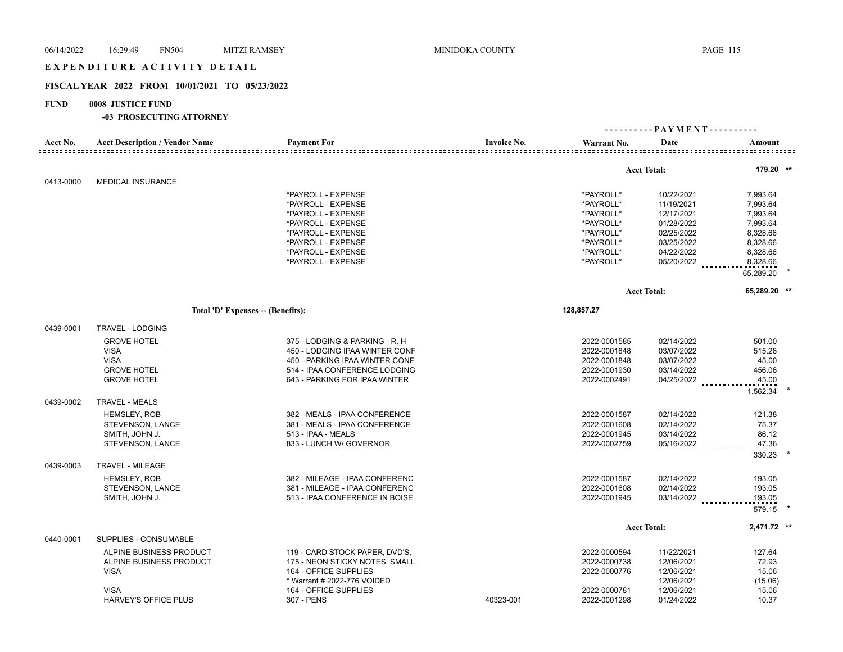## EXPENDITURE ACTIVITY DETAIL

## **FISCAL YEAR 2022 FROM 10/01/2021 TO 05/23/2022**

## **FUND 0008 JUSTICE FUND**

|                              |                                       |                                          |                    | ---------- PAYMENT---------- |                          |                      |
|------------------------------|---------------------------------------|------------------------------------------|--------------------|------------------------------|--------------------------|----------------------|
| Acct No.<br>================ | <b>Acct Description / Vendor Name</b> | <b>Payment For</b>                       | <b>Invoice No.</b> | Warrant No.                  | Date                     | Amount               |
|                              |                                       |                                          |                    |                              |                          |                      |
|                              |                                       |                                          |                    |                              | <b>Acct Total:</b>       | 179.20 **            |
| 0413-0000                    | <b>MEDICAL INSURANCE</b>              |                                          |                    |                              |                          |                      |
|                              |                                       | *PAYROLL - EXPENSE                       |                    | *PAYROLL*                    | 10/22/2021               | 7,993.64             |
|                              |                                       | *PAYROLL - EXPENSE<br>*PAYROLL - EXPENSE |                    | *PAYROLL*<br>*PAYROLL*       | 11/19/2021               | 7,993.64             |
|                              |                                       | *PAYROLL - EXPENSE                       |                    | *PAYROLL*                    | 12/17/2021<br>01/28/2022 | 7,993.64             |
|                              |                                       | *PAYROLL - EXPENSE                       |                    | *PAYROLL*                    | 02/25/2022               | 7,993.64<br>8,328.66 |
|                              |                                       | *PAYROLL - EXPENSE                       |                    | *PAYROLL*                    | 03/25/2022               | 8,328.66             |
|                              |                                       | *PAYROLL - EXPENSE                       |                    | *PAYROLL*                    | 04/22/2022               | 8,328.66             |
|                              |                                       | *PAYROLL - EXPENSE                       |                    | *PAYROLL*                    | 05/20/2022               | 8,328.66             |
|                              |                                       |                                          |                    |                              |                          | 65,289.20            |
|                              |                                       |                                          |                    |                              | <b>Acct Total:</b>       | 65,289.20 **         |
|                              | Total 'D' Expenses -- (Benefits):     |                                          |                    | 128,857.27                   |                          |                      |
| 0439-0001                    | TRAVEL - LODGING                      |                                          |                    |                              |                          |                      |
|                              | <b>GROVE HOTEL</b>                    | 375 - LODGING & PARKING - R. H           |                    | 2022-0001585                 | 02/14/2022               | 501.00               |
|                              | <b>VISA</b>                           | 450 - LODGING IPAA WINTER CONF           |                    | 2022-0001848                 | 03/07/2022               | 515.28               |
|                              | <b>VISA</b>                           | 450 - PARKING IPAA WINTER CONF           |                    | 2022-0001848                 | 03/07/2022               | 45.00                |
|                              | <b>GROVE HOTEL</b>                    | 514 - IPAA CONFERENCE LODGING            |                    | 2022-0001930                 | 03/14/2022               | 456.06               |
|                              | <b>GROVE HOTEL</b>                    | 643 - PARKING FOR IPAA WINTER            |                    | 2022-0002491                 | $04/25/2022$             | 45.00                |
|                              |                                       |                                          |                    |                              |                          | 1,562.34             |
| 0439-0002                    | <b>TRAVEL - MEALS</b>                 |                                          |                    |                              |                          |                      |
|                              | <b>HEMSLEY, ROB</b>                   | 382 - MEALS - IPAA CONFERENCE            |                    | 2022-0001587                 | 02/14/2022               | 121.38               |
|                              | STEVENSON, LANCE                      | 381 - MEALS - IPAA CONFERENCE            |                    | 2022-0001608                 | 02/14/2022               | 75.37                |
|                              | SMITH, JOHN J.                        | 513 - IPAA - MEALS                       |                    | 2022-0001945                 | 03/14/2022               | 86.12                |
|                              | STEVENSON, LANCE                      | 833 - LUNCH W/ GOVERNOR                  |                    | 2022-0002759                 | 05/16/2022               | 47.36                |
|                              |                                       |                                          |                    |                              |                          | 330.23               |
| 0439-0003                    | TRAVEL - MILEAGE                      |                                          |                    |                              |                          |                      |
|                              | <b>HEMSLEY, ROB</b>                   | 382 - MILEAGE - IPAA CONFERENC           |                    | 2022-0001587                 | 02/14/2022               | 193.05               |
|                              | STEVENSON, LANCE                      | 381 - MILEAGE - IPAA CONFERENC           |                    | 2022-0001608                 | 02/14/2022               | 193.05               |
|                              | SMITH, JOHN J.                        | 513 - IPAA CONFERENCE IN BOISE           |                    | 2022-0001945                 | 03/14/2022 ________      | 193.05               |
|                              |                                       |                                          |                    |                              |                          | 579.15               |
|                              |                                       |                                          |                    |                              | <b>Acct Total:</b>       | 2,471.72 **          |
| 0440-0001                    | SUPPLIES - CONSUMABLE                 |                                          |                    |                              |                          |                      |
|                              | ALPINE BUSINESS PRODUCT               | 119 - CARD STOCK PAPER, DVD'S,           |                    | 2022-0000594                 | 11/22/2021               | 127.64               |
|                              | ALPINE BUSINESS PRODUCT               | 175 - NEON STICKY NOTES, SMALL           |                    | 2022-0000738                 | 12/06/2021               | 72.93                |
|                              | <b>VISA</b>                           | 164 - OFFICE SUPPLIES                    |                    | 2022-0000776                 | 12/06/2021               | 15.06                |
|                              |                                       | * Warrant # 2022-776 VOIDED              |                    |                              | 12/06/2021               | (15.06)              |
|                              | <b>VISA</b>                           | 164 - OFFICE SUPPLIES                    |                    | 2022-0000781                 | 12/06/2021               | 15.06                |
|                              | <b>HARVEY'S OFFICE PLUS</b>           | 307 - PENS                               | 40323-001          | 2022-0001298                 | 01/24/2022               | 10.37                |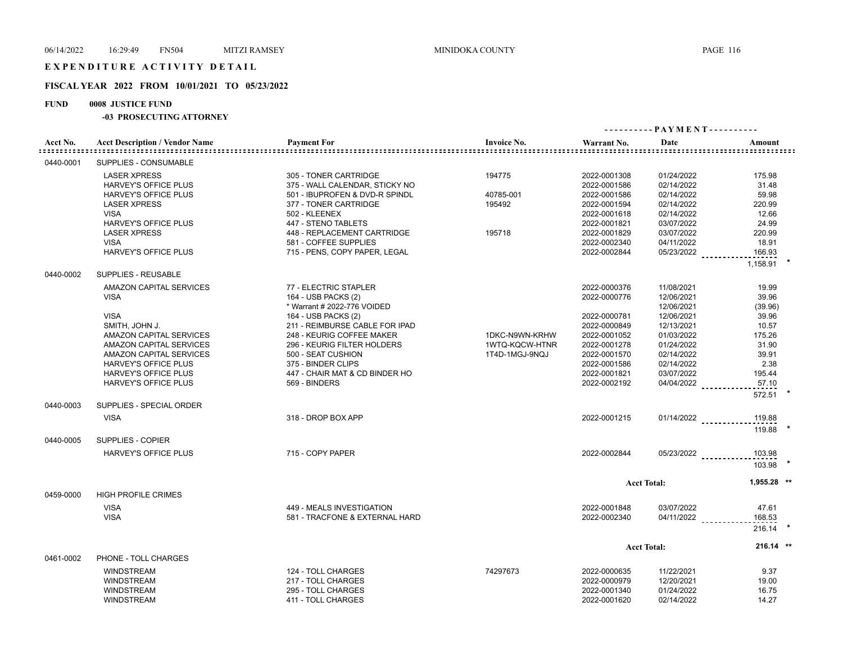## **FISCAL YEAR 2022 FROM 10/01/2021 TO 05/23/2022**

## **FUND 0008 JUSTICE FUND**

| Acct No.  | <b>Acct Description / Vendor Name</b>              | <b>Payment For</b>                                | <b>Invoice No.</b>               | Warrant No.                  | Date                     | Amount               |
|-----------|----------------------------------------------------|---------------------------------------------------|----------------------------------|------------------------------|--------------------------|----------------------|
| 0440-0001 | SUPPLIES - CONSUMABLE                              |                                                   |                                  |                              |                          |                      |
|           | <b>LASER XPRESS</b>                                | 305 - TONER CARTRIDGE                             | 194775                           | 2022-0001308                 | 01/24/2022               | 175.98               |
|           | <b>HARVEY'S OFFICE PLUS</b>                        | 375 - WALL CALENDAR, STICKY NO                    |                                  | 2022-0001586                 | 02/14/2022               | 31.48                |
|           | <b>HARVEY'S OFFICE PLUS</b>                        | 501 - IBUPROFEN & DVD-R SPINDL                    | 40785-001                        | 2022-0001586                 | 02/14/2022               | 59.98                |
|           | <b>LASER XPRESS</b>                                | 377 - TONER CARTRIDGE                             | 195492                           | 2022-0001594                 | 02/14/2022               | 220.99               |
|           | <b>VISA</b>                                        | 502 - KLEENEX                                     |                                  | 2022-0001618                 | 02/14/2022               | 12.66                |
|           | <b>HARVEY'S OFFICE PLUS</b>                        | 447 - STENO TABLETS                               |                                  | 2022-0001821                 | 03/07/2022               | 24.99                |
|           | <b>LASER XPRESS</b>                                | 448 - REPLACEMENT CARTRIDGE                       | 195718                           | 2022-0001829                 | 03/07/2022               | 220.99               |
|           | <b>VISA</b>                                        | 581 - COFFEE SUPPLIES                             |                                  | 2022-0002340                 | 04/11/2022               | 18.91                |
|           | HARVEY'S OFFICE PLUS                               | 715 - PENS, COPY PAPER, LEGAL                     |                                  | 2022-0002844                 | 05/23/2022               | 166.93               |
|           |                                                    |                                                   |                                  |                              |                          | 1,158.91             |
| 0440-0002 | <b>SUPPLIES - REUSABLE</b>                         |                                                   |                                  |                              |                          |                      |
|           | AMAZON CAPITAL SERVICES                            | 77 - ELECTRIC STAPLER                             |                                  | 2022-0000376                 | 11/08/2021               | 19.99                |
|           | <b>VISA</b>                                        | 164 - USB PACKS (2)                               |                                  | 2022-0000776                 | 12/06/2021               | 39.96                |
|           |                                                    | * Warrant # 2022-776 VOIDED                       |                                  |                              | 12/06/2021               | (39.96)              |
|           | <b>VISA</b>                                        | 164 - USB PACKS (2)                               |                                  | 2022-0000781                 | 12/06/2021               | 39.96                |
|           | SMITH, JOHN J.                                     | 211 - REIMBURSE CABLE FOR IPAD                    |                                  | 2022-0000849                 | 12/13/2021               | 10.57                |
|           | AMAZON CAPITAL SERVICES                            | 248 - KEURIG COFFEE MAKER                         | 1DKC-N9WN-KRHW                   | 2022-0001052                 | 01/03/2022               | 175.26               |
|           | AMAZON CAPITAL SERVICES<br>AMAZON CAPITAL SERVICES | 296 - KEURIG FILTER HOLDERS<br>500 - SEAT CUSHION | 1WTQ-KQCW-HTNR<br>1T4D-1MGJ-9NQJ | 2022-0001278<br>2022-0001570 | 01/24/2022<br>02/14/2022 | 31.90<br>39.91       |
|           | <b>HARVEY'S OFFICE PLUS</b>                        | 375 - BINDER CLIPS                                |                                  | 2022-0001586                 | 02/14/2022               | 2.38                 |
|           | <b>HARVEY'S OFFICE PLUS</b>                        | 447 - CHAIR MAT & CD BINDER HO                    |                                  | 2022-0001821                 | 03/07/2022               | 195.44               |
|           | <b>HARVEY'S OFFICE PLUS</b>                        | 569 - BINDERS                                     |                                  | 2022-0002192                 | 04/04/2022               | 57.10                |
|           |                                                    |                                                   |                                  |                              |                          | 572.51               |
| 0440-0003 | SUPPLIES - SPECIAL ORDER                           |                                                   |                                  |                              |                          |                      |
|           | <b>VISA</b>                                        | 318 - DROP BOX APP                                |                                  | 2022-0001215                 |                          | 01/14/2022<br>119.88 |
|           |                                                    |                                                   |                                  |                              |                          | 119.88               |
| 0440-0005 | SUPPLIES - COPIER                                  |                                                   |                                  |                              |                          |                      |
|           | <b>HARVEY'S OFFICE PLUS</b>                        | 715 - COPY PAPER                                  |                                  | 2022-0002844                 | $05/23/2022$             | 103.98               |
|           |                                                    |                                                   |                                  |                              |                          | $103.98$ *           |
|           |                                                    |                                                   |                                  |                              | <b>Acct Total:</b>       | 1.955.28 **          |
| 0459-0000 | <b>HIGH PROFILE CRIMES</b>                         |                                                   |                                  |                              |                          |                      |
|           | <b>VISA</b>                                        | 449 - MEALS INVESTIGATION                         |                                  | 2022-0001848                 | 03/07/2022               | 47.61                |
|           | <b>VISA</b>                                        | 581 - TRACFONE & EXTERNAL HARD                    |                                  | 2022-0002340                 | 04/11/2022               | 168.53               |
|           |                                                    |                                                   |                                  |                              |                          | $216.14$ *           |
|           |                                                    |                                                   |                                  |                              | <b>Acct Total:</b>       | 216.14 **            |
| 0461-0002 | PHONE - TOLL CHARGES                               |                                                   |                                  |                              |                          |                      |
|           | <b>WINDSTREAM</b>                                  | 124 - TOLL CHARGES                                | 74297673                         | 2022-0000635                 | 11/22/2021               | 9.37                 |
|           | <b>WINDSTREAM</b>                                  | 217 - TOLL CHARGES                                |                                  | 2022-0000979                 | 12/20/2021               | 19.00                |
|           | <b>WINDSTREAM</b>                                  | 295 - TOLL CHARGES                                |                                  | 2022-0001340                 | 01/24/2022               | 16.75                |
|           | <b>WINDSTREAM</b>                                  | 411 - TOLL CHARGES                                |                                  | 2022-0001620                 | 02/14/2022               | 14.27                |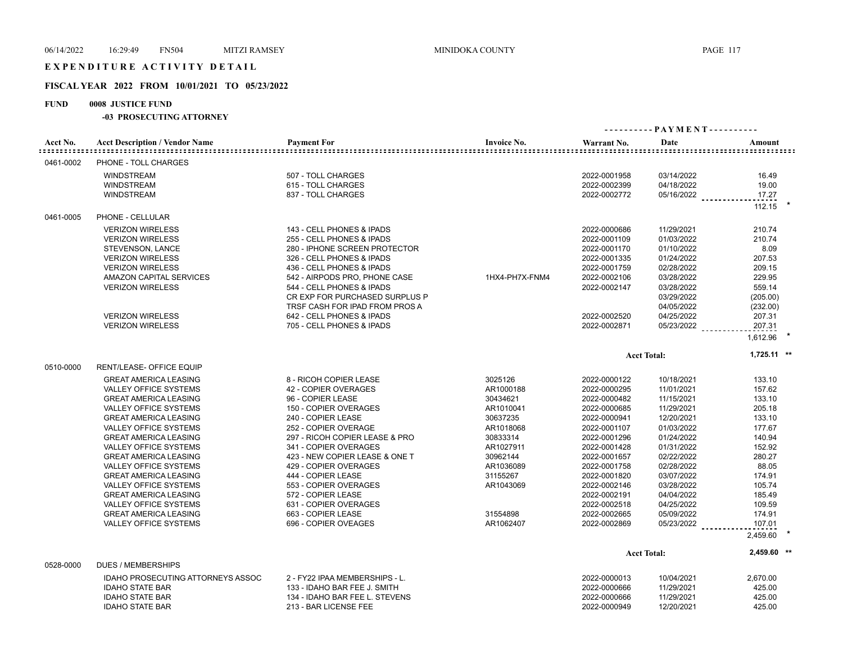## **FISCAL YEAR 2022 FROM 10/01/2021 TO 05/23/2022**

## **FUND 0008 JUSTICE FUND**

| Acct No.  | <b>Acct Description / Vendor Name</b>                                                                                                                                                                                                                                                                                                                                                                                                                                              | <b>Payment For</b>                                                                                                                                                                                                                                                                                                                                                                                           | <b>Invoice No.</b>                                                                                                                                                         | Warrant No.                                                                                                                                                                                                                                                  | Date                                                                                                                                                                                                                         | Amount                                                                                                                                                                  |
|-----------|------------------------------------------------------------------------------------------------------------------------------------------------------------------------------------------------------------------------------------------------------------------------------------------------------------------------------------------------------------------------------------------------------------------------------------------------------------------------------------|--------------------------------------------------------------------------------------------------------------------------------------------------------------------------------------------------------------------------------------------------------------------------------------------------------------------------------------------------------------------------------------------------------------|----------------------------------------------------------------------------------------------------------------------------------------------------------------------------|--------------------------------------------------------------------------------------------------------------------------------------------------------------------------------------------------------------------------------------------------------------|------------------------------------------------------------------------------------------------------------------------------------------------------------------------------------------------------------------------------|-------------------------------------------------------------------------------------------------------------------------------------------------------------------------|
| 0461-0002 | PHONE - TOLL CHARGES                                                                                                                                                                                                                                                                                                                                                                                                                                                               |                                                                                                                                                                                                                                                                                                                                                                                                              |                                                                                                                                                                            |                                                                                                                                                                                                                                                              |                                                                                                                                                                                                                              |                                                                                                                                                                         |
|           | <b>WINDSTREAM</b><br><b>WINDSTREAM</b><br><b>WINDSTREAM</b>                                                                                                                                                                                                                                                                                                                                                                                                                        | 507 - TOLL CHARGES<br>615 - TOLL CHARGES<br>837 - TOLL CHARGES                                                                                                                                                                                                                                                                                                                                               |                                                                                                                                                                            | 2022-0001958<br>2022-0002399<br>2022-0002772                                                                                                                                                                                                                 | 03/14/2022<br>04/18/2022<br>$05/16/2022$                                                                                                                                                                                     | 16.49<br>19.00<br>17.27<br>112.15                                                                                                                                       |
| 0461-0005 | PHONE - CELLULAR                                                                                                                                                                                                                                                                                                                                                                                                                                                                   |                                                                                                                                                                                                                                                                                                                                                                                                              |                                                                                                                                                                            |                                                                                                                                                                                                                                                              |                                                                                                                                                                                                                              |                                                                                                                                                                         |
|           | <b>VERIZON WIRELESS</b><br><b>VERIZON WIRELESS</b><br>STEVENSON, LANCE<br><b>VERIZON WIRELESS</b><br><b>VERIZON WIRELESS</b><br><b>AMAZON CAPITAL SERVICES</b><br><b>VERIZON WIRELESS</b><br><b>VERIZON WIRELESS</b><br><b>VERIZON WIRELESS</b>                                                                                                                                                                                                                                    | 143 - CELL PHONES & IPADS<br>255 - CELL PHONES & IPADS<br>280 - IPHONE SCREEN PROTECTOR<br>326 - CELL PHONES & IPADS<br>436 - CELL PHONES & IPADS<br>542 - AIRPODS PRO, PHONE CASE<br>544 - CELL PHONES & IPADS<br>CR EXP FOR PURCHASED SURPLUS P<br>TRSF CASH FOR IPAD FROM PROS A<br>642 - CELL PHONES & IPADS<br>705 - CELL PHONES & IPADS                                                                | 1HX4-PH7X-FNM4                                                                                                                                                             | 2022-0000686<br>2022-0001109<br>2022-0001170<br>2022-0001335<br>2022-0001759<br>2022-0002106<br>2022-0002147<br>2022-0002520<br>2022-0002871                                                                                                                 | 11/29/2021<br>01/03/2022<br>01/10/2022<br>01/24/2022<br>02/28/2022<br>03/28/2022<br>03/28/2022<br>03/29/2022<br>04/05/2022<br>04/25/2022<br>05/23/2022                                                                       | 210.74<br>210.74<br>8.09<br>207.53<br>209.15<br>229.95<br>559.14<br>(205.00)<br>(232.00)<br>207.31<br>207.31<br>1,612.96                                                |
| 0510-0000 | RENT/LEASE- OFFICE EQUIP                                                                                                                                                                                                                                                                                                                                                                                                                                                           |                                                                                                                                                                                                                                                                                                                                                                                                              |                                                                                                                                                                            | <b>Acct Total:</b>                                                                                                                                                                                                                                           |                                                                                                                                                                                                                              | $1,725.11$ **                                                                                                                                                           |
|           | <b>GREAT AMERICA LEASING</b><br><b>VALLEY OFFICE SYSTEMS</b><br><b>GREAT AMERICA LEASING</b><br><b>VALLEY OFFICE SYSTEMS</b><br><b>GREAT AMERICA LEASING</b><br>VALLEY OFFICE SYSTEMS<br><b>GREAT AMERICA LEASING</b><br>VALLEY OFFICE SYSTEMS<br><b>GREAT AMERICA LEASING</b><br>VALLEY OFFICE SYSTEMS<br><b>GREAT AMERICA LEASING</b><br>VALLEY OFFICE SYSTEMS<br><b>GREAT AMERICA LEASING</b><br>VALLEY OFFICE SYSTEMS<br><b>GREAT AMERICA LEASING</b><br>VALLEY OFFICE SYSTEMS | 8 - RICOH COPIER LEASE<br>42 - COPIER OVERAGES<br>96 - COPIER LEASE<br>150 - COPIER OVERAGES<br>240 - COPIER LEASE<br>252 - COPIER OVERAGE<br>297 - RICOH COPIER LEASE & PRO<br>341 - COPIER OVERAGES<br>423 - NEW COPIER LEASE & ONE T<br>429 - COPIER OVERAGES<br>444 - COPIER LEASE<br>553 - COPIER OVERAGES<br>572 - COPIER LEASE<br>631 - COPIER OVERAGES<br>663 - COPIER LEASE<br>696 - COPIER OVEAGES | 3025126<br>AR1000188<br>30434621<br>AR1010041<br>30637235<br>AR1018068<br>30833314<br>AR1027911<br>30962144<br>AR1036089<br>31155267<br>AR1043069<br>31554898<br>AR1062407 | 2022-0000122<br>2022-0000295<br>2022-0000482<br>2022-0000685<br>2022-0000941<br>2022-0001107<br>2022-0001296<br>2022-0001428<br>2022-0001657<br>2022-0001758<br>2022-0001820<br>2022-0002146<br>2022-0002191<br>2022-0002518<br>2022-0002665<br>2022-0002869 | 10/18/2021<br>11/01/2021<br>11/15/2021<br>11/29/2021<br>12/20/2021<br>01/03/2022<br>01/24/2022<br>01/31/2022<br>02/22/2022<br>02/28/2022<br>03/07/2022<br>03/28/2022<br>04/04/2022<br>04/25/2022<br>05/09/2022<br>05/23/2022 | 133.10<br>157.62<br>133.10<br>205.18<br>133.10<br>177.67<br>140.94<br>152.92<br>280.27<br>88.05<br>174.91<br>105.74<br>185.49<br>109.59<br>174.91<br>107.01<br>2,459.60 |
| 0528-0000 | <b>DUES / MEMBERSHIPS</b>                                                                                                                                                                                                                                                                                                                                                                                                                                                          |                                                                                                                                                                                                                                                                                                                                                                                                              |                                                                                                                                                                            | <b>Acct Total:</b>                                                                                                                                                                                                                                           |                                                                                                                                                                                                                              | 2,459.60 **                                                                                                                                                             |
|           | IDAHO PROSECUTING ATTORNEYS ASSOC<br><b>IDAHO STATE BAR</b><br><b>IDAHO STATE BAR</b><br><b>IDAHO STATE BAR</b>                                                                                                                                                                                                                                                                                                                                                                    | 2 - FY22 IPAA MEMBERSHIPS - L.<br>133 - IDAHO BAR FEE J. SMITH<br>134 - IDAHO BAR FEE L. STEVENS<br>213 - BAR LICENSE FEE                                                                                                                                                                                                                                                                                    |                                                                                                                                                                            | 2022-0000013<br>2022-0000666<br>2022-0000666<br>2022-0000949                                                                                                                                                                                                 | 10/04/2021<br>11/29/2021<br>11/29/2021<br>12/20/2021                                                                                                                                                                         | 2,670.00<br>425.00<br>425.00<br>425.00                                                                                                                                  |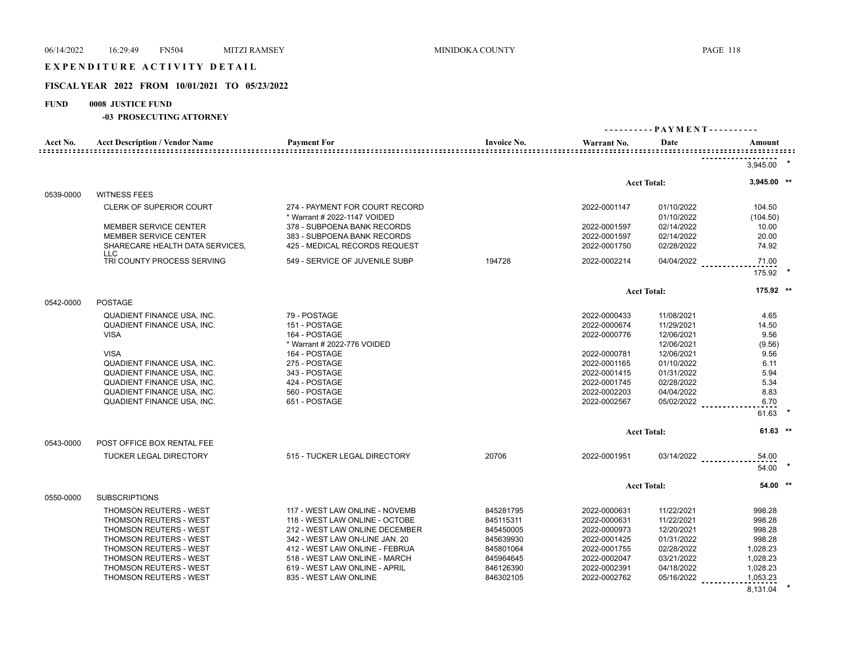## EXPENDITURE ACTIVITY DETAIL

# **FISCAL YEAR 2022 FROM 10/01/2021 TO 05/23/2022**

## **FUND 0008 JUSTICE FUND**

| Acct No.         | <b>Acct Description / Vendor Name</b>                                  | <b>Payment For</b>                                             | <b>Invoice No.</b> | Warrant No.                  | Date                     | Amount              |  |
|------------------|------------------------------------------------------------------------|----------------------------------------------------------------|--------------------|------------------------------|--------------------------|---------------------|--|
| ================ |                                                                        |                                                                |                    |                              |                          |                     |  |
|                  |                                                                        |                                                                |                    |                              |                          | 3,945.00            |  |
|                  |                                                                        |                                                                |                    |                              | <b>Acct Total:</b>       | 3,945.00 **         |  |
| 0539-0000        | <b>WITNESS FEES</b>                                                    |                                                                |                    |                              |                          |                     |  |
|                  | <b>CLERK OF SUPERIOR COURT</b>                                         | 274 - PAYMENT FOR COURT RECORD<br>* Warrant # 2022-1147 VOIDED |                    | 2022-0001147                 | 01/10/2022<br>01/10/2022 | 104.50<br>(104.50)  |  |
|                  | <b>MEMBER SERVICE CENTER</b>                                           | 378 - SUBPOENA BANK RECORDS                                    |                    | 2022-0001597                 | 02/14/2022               | 10.00               |  |
|                  | <b>MEMBER SERVICE CENTER</b>                                           | 383 - SUBPOENA BANK RECORDS                                    |                    | 2022-0001597                 | 02/14/2022               | 20.00               |  |
|                  | SHARECARE HEALTH DATA SERVICES,<br><b>LLC</b>                          | 425 - MEDICAL RECORDS REQUEST                                  |                    | 2022-0001750                 | 02/28/2022               | 74.92               |  |
|                  | TRI COUNTY PROCESS SERVING                                             | 549 - SERVICE OF JUVENILE SUBP                                 | 194728             | 2022-0002214                 | 04/04/2022               | 71.00<br>175.92     |  |
|                  |                                                                        |                                                                |                    |                              | <b>Acct Total:</b>       | 175.92 **           |  |
| 0542-0000        | <b>POSTAGE</b>                                                         |                                                                |                    |                              |                          |                     |  |
|                  | QUADIENT FINANCE USA, INC.                                             | 79 - POSTAGE                                                   |                    | 2022-0000433                 | 11/08/2021               | 4.65                |  |
|                  | <b>QUADIENT FINANCE USA, INC.</b>                                      | 151 - POSTAGE                                                  |                    | 2022-0000674                 | 11/29/2021               | 14.50               |  |
|                  | <b>VISA</b>                                                            | 164 - POSTAGE                                                  |                    | 2022-0000776                 | 12/06/2021               | 9.56                |  |
|                  |                                                                        | * Warrant # 2022-776 VOIDED                                    |                    |                              | 12/06/2021               | (9.56)              |  |
|                  | <b>VISA</b>                                                            | 164 - POSTAGE                                                  |                    | 2022-0000781                 | 12/06/2021               | 9.56                |  |
|                  | QUADIENT FINANCE USA, INC.                                             | 275 - POSTAGE                                                  |                    | 2022-0001165                 | 01/10/2022               | 6.11                |  |
|                  | <b>QUADIENT FINANCE USA, INC.</b>                                      | 343 - POSTAGE                                                  |                    | 2022-0001415                 | 01/31/2022               | 5.94                |  |
|                  | <b>QUADIENT FINANCE USA, INC.</b>                                      | 424 - POSTAGE<br>560 - POSTAGE                                 |                    | 2022-0001745                 | 02/28/2022<br>04/04/2022 | 5.34                |  |
|                  | <b>QUADIENT FINANCE USA, INC.</b><br><b>QUADIENT FINANCE USA, INC.</b> | 651 - POSTAGE                                                  |                    | 2022-0002203<br>2022-0002567 |                          | 8.83<br>6.70        |  |
|                  |                                                                        |                                                                |                    |                              |                          | 05/02/2022          |  |
|                  |                                                                        |                                                                |                    |                              |                          | $61.63$ *           |  |
|                  |                                                                        |                                                                |                    |                              | <b>Acct Total:</b>       | $61.63$ **          |  |
| 0543-0000        | POST OFFICE BOX RENTAL FEE                                             |                                                                |                    |                              |                          |                     |  |
|                  | <b>TUCKER LEGAL DIRECTORY</b>                                          | 515 - TUCKER LEGAL DIRECTORY                                   | 20706              | 2022-0001951                 |                          | 03/14/2022<br>54.00 |  |
|                  |                                                                        |                                                                |                    |                              |                          | 54.00               |  |
|                  |                                                                        |                                                                |                    |                              | <b>Acct Total:</b>       | 54.00 **            |  |
| 0550-0000        | <b>SUBSCRIPTIONS</b>                                                   |                                                                |                    |                              |                          |                     |  |
|                  | THOMSON REUTERS - WEST                                                 | 117 - WEST LAW ONLINE - NOVEMB                                 | 845281795          | 2022-0000631                 | 11/22/2021               | 998.28              |  |
|                  | <b>THOMSON REUTERS - WEST</b>                                          | 118 - WEST LAW ONLINE - OCTOBE                                 | 845115311          | 2022-0000631                 | 11/22/2021               | 998.28              |  |
|                  | <b>THOMSON REUTERS - WEST</b>                                          | 212 - WEST LAW ONLINE DECEMBER                                 | 845450005          | 2022-0000973                 | 12/20/2021               | 998.28              |  |
|                  | <b>THOMSON REUTERS - WEST</b>                                          | 342 - WEST LAW ON-LINE JAN. 20                                 | 845639930          | 2022-0001425                 | 01/31/2022               | 998.28              |  |
|                  | <b>THOMSON REUTERS - WEST</b>                                          | 412 - WEST LAW ONLINE - FEBRUA                                 | 845801064          | 2022-0001755                 | 02/28/2022               | 1,028.23            |  |
|                  | <b>THOMSON REUTERS - WEST</b>                                          | 518 - WEST LAW ONLINE - MARCH                                  | 845964645          | 2022-0002047                 | 03/21/2022               | 1,028.23            |  |
|                  | <b>THOMSON REUTERS - WEST</b>                                          | 619 - WEST LAW ONLINE - APRIL                                  | 846126390          | 2022-0002391                 | 04/18/2022               | 1,028.23            |  |
|                  | <b>THOMSON REUTERS - WEST</b>                                          | 835 - WEST LAW ONLINE                                          | 846302105          | 2022-0002762                 | 05/16/2022               | 1,053.23            |  |
|                  |                                                                        |                                                                |                    |                              |                          | 8,131.04            |  |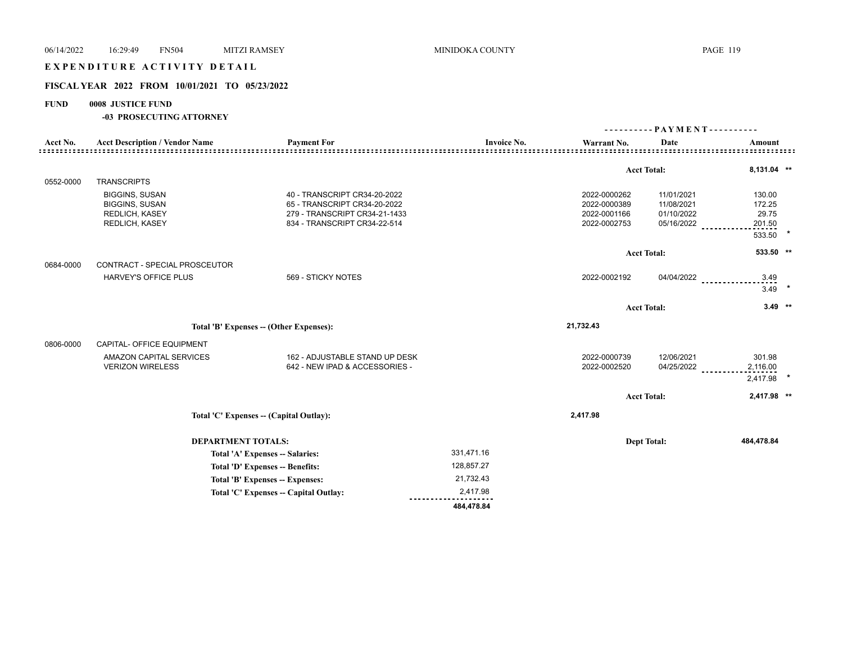## EXPENDITURE ACTIVITY DETAIL

## **FISCAL YEAR 2022 FROM 10/01/2021 TO 05/23/2022**

## **FUND 0008 JUSTICE FUND**

|           |                                                                                                  |                                                                                                                               |                    |                                                              | $-$ PAYMENT - - - - - - - - - -<br>---------         |                                     |  |
|-----------|--------------------------------------------------------------------------------------------------|-------------------------------------------------------------------------------------------------------------------------------|--------------------|--------------------------------------------------------------|------------------------------------------------------|-------------------------------------|--|
| Acct No.  | <b>Acct Description / Vendor Name</b>                                                            | <b>Payment For</b>                                                                                                            | <b>Invoice No.</b> | Warrant No.                                                  | Date                                                 | Amount                              |  |
|           |                                                                                                  |                                                                                                                               |                    |                                                              | <b>Acct Total:</b>                                   | 8,131.04 **                         |  |
| 0552-0000 | <b>TRANSCRIPTS</b>                                                                               |                                                                                                                               |                    |                                                              |                                                      |                                     |  |
|           | <b>BIGGINS, SUSAN</b><br><b>BIGGINS, SUSAN</b><br><b>REDLICH, KASEY</b><br><b>REDLICH, KASEY</b> | 40 - TRANSCRIPT CR34-20-2022<br>65 - TRANSCRIPT CR34-20-2022<br>279 - TRANSCRIPT CR34-21-1433<br>834 - TRANSCRIPT CR34-22-514 |                    | 2022-0000262<br>2022-0000389<br>2022-0001166<br>2022-0002753 | 11/01/2021<br>11/08/2021<br>01/10/2022<br>05/16/2022 | 130.00<br>172.25<br>29.75<br>201.50 |  |
|           |                                                                                                  |                                                                                                                               |                    |                                                              |                                                      | $\star$<br>533.50                   |  |
|           |                                                                                                  |                                                                                                                               |                    |                                                              | <b>Acct Total:</b>                                   | 533.50 **                           |  |
| 0684-0000 | CONTRACT - SPECIAL PROSCEUTOR                                                                    |                                                                                                                               |                    |                                                              |                                                      |                                     |  |
|           | <b>HARVEY'S OFFICE PLUS</b>                                                                      | 569 - STICKY NOTES                                                                                                            |                    | 2022-0002192                                                 | 04/04/2022                                           | 3.49<br>3.49                        |  |
|           |                                                                                                  |                                                                                                                               |                    |                                                              | <b>Acct Total:</b>                                   | $3.49$ **                           |  |
|           | Total 'B' Expenses -- (Other Expenses):                                                          |                                                                                                                               |                    | 21,732.43                                                    |                                                      |                                     |  |
| 0806-0000 | CAPITAL- OFFICE EQUIPMENT                                                                        |                                                                                                                               |                    |                                                              |                                                      |                                     |  |
|           | <b>AMAZON CAPITAL SERVICES</b><br><b>VERIZON WIRELESS</b>                                        | 162 - ADJUSTABLE STAND UP DESK<br>642 - NEW IPAD & ACCESSORIES -                                                              |                    | 2022-0000739<br>2022-0002520                                 | 12/06/2021<br>04/25/2022                             | 301.98<br>2,116.00<br>2,417.98      |  |
|           |                                                                                                  |                                                                                                                               |                    |                                                              | <b>Acct Total:</b>                                   | 2,417.98 **                         |  |
|           |                                                                                                  | Total 'C' Expenses -- (Capital Outlay):                                                                                       |                    | 2,417.98                                                     |                                                      |                                     |  |
|           | <b>DEPARTMENT TOTALS:</b><br>Total 'A' Expenses -- Salaries:                                     |                                                                                                                               |                    |                                                              | <b>Dept Total:</b>                                   | 484,478.84                          |  |
|           |                                                                                                  |                                                                                                                               | 331,471.16         |                                                              |                                                      |                                     |  |
|           |                                                                                                  | Total 'D' Expenses -- Benefits:                                                                                               | 128,857.27         |                                                              |                                                      |                                     |  |
|           |                                                                                                  | Total 'B' Expenses -- Expenses:                                                                                               | 21,732.43          |                                                              |                                                      |                                     |  |
|           |                                                                                                  | Total 'C' Expenses -- Capital Outlay:                                                                                         | 2,417.98           |                                                              |                                                      |                                     |  |
|           |                                                                                                  |                                                                                                                               | 484,478.84         |                                                              |                                                      |                                     |  |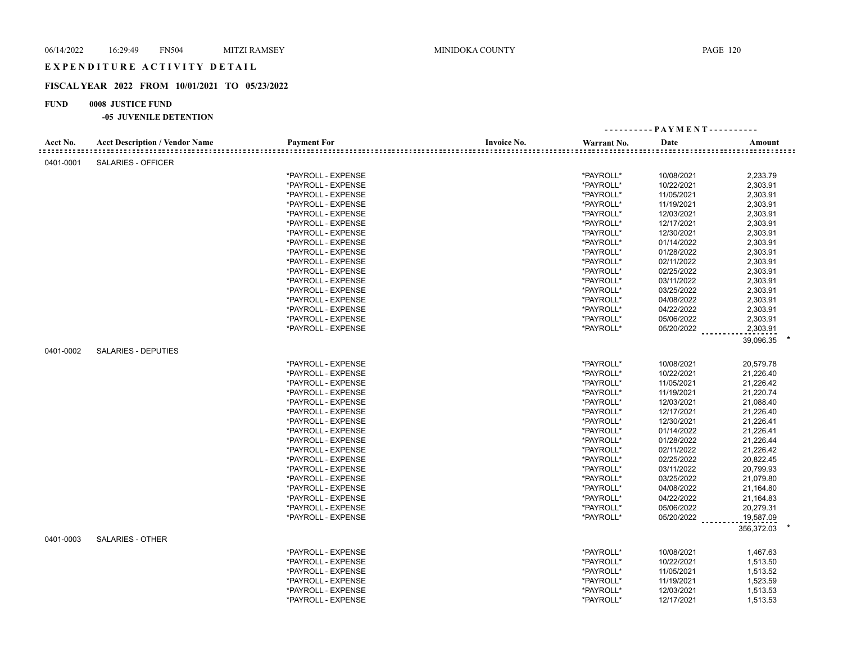## EXPENDITURE ACTIVITY DETAIL

## **FISCAL YEAR 2022 FROM 10/01/2021 TO 05/23/2022**

## **FUND 0008 JUSTICE FUND**

| <b>Payment For</b><br><b>Invoice No.</b><br>Acct No.<br><b>Acct Description / Vendor Name</b><br>Warrant No.<br>Date<br>Amount<br>0401-0001<br><b>SALARIES - OFFICER</b><br>*PAYROLL - EXPENSE<br>*PAYROLL*<br>10/08/2021<br>2,233.79<br>*PAYROLL*<br>*PAYROLL - EXPENSE<br>10/22/2021<br>2,303.91<br>*PAYROLL*<br>2,303.91<br>*PAYROLL - EXPENSE<br>11/05/2021<br>*PAYROLL*<br>2,303.91<br>*PAYROLL - EXPENSE<br>11/19/2021<br>*PAYROLL*<br>2,303.91<br>*PAYROLL - EXPENSE<br>12/03/2021<br>*PAYROLL*<br>12/17/2021<br>2,303.91<br>*PAYROLL - EXPENSE<br>*PAYROLL*<br>*PAYROLL - EXPENSE<br>12/30/2021<br>2,303.91<br>*PAYROLL*<br>*PAYROLL - EXPENSE<br>01/14/2022<br>2,303.91<br>*PAYROLL*<br>2,303.91<br>*PAYROLL - EXPENSE<br>01/28/2022<br>*PAYROLL*<br>2,303.91<br>*PAYROLL - EXPENSE<br>02/11/2022<br>*PAYROLL*<br>*PAYROLL - EXPENSE<br>02/25/2022<br>2,303.91<br>*PAYROLL*<br>2,303.91<br>*PAYROLL - EXPENSE<br>03/11/2022<br>*PAYROLL*<br>03/25/2022<br>2,303.91<br>*PAYROLL - EXPENSE<br>*PAYROLL - EXPENSE<br>*PAYROLL*<br>04/08/2022<br>2,303.91<br>*PAYROLL*<br>2,303.91<br>*PAYROLL - EXPENSE<br>04/22/2022<br>*PAYROLL*<br>05/06/2022<br>2,303.91<br>*PAYROLL - EXPENSE<br>*PAYROLL*<br>05/20/2022<br>2,303.91<br>*PAYROLL - EXPENSE<br>39,096.35<br>0401-0002<br><b>SALARIES - DEPUTIES</b><br>*PAYROLL*<br>20,579.78<br>*PAYROLL - EXPENSE<br>10/08/2021<br>*PAYROLL - EXPENSE<br>*PAYROLL*<br>10/22/2021<br>21,226.40<br>*PAYROLL*<br>11/05/2021<br>21,226.42<br>*PAYROLL - EXPENSE<br>*PAYROLL - EXPENSE<br>*PAYROLL*<br>11/19/2021<br>21,220.74<br>*PAYROLL - EXPENSE<br>*PAYROLL*<br>12/03/2021<br>21,088.40<br>*PAYROLL*<br>*PAYROLL - EXPENSE<br>12/17/2021<br>21,226.40<br>*PAYROLL*<br>*PAYROLL - EXPENSE<br>12/30/2021<br>21,226.41<br>*PAYROLL*<br>21,226.41<br>*PAYROLL - EXPENSE<br>01/14/2022<br>*PAYROLL*<br>01/28/2022<br>21,226.44<br>*PAYROLL - EXPENSE<br>*PAYROLL*<br>21,226.42<br>*PAYROLL - EXPENSE<br>02/11/2022<br>*PAYROLL*<br>02/25/2022<br>20,822.45<br>*PAYROLL - EXPENSE<br>*PAYROLL - EXPENSE<br>*PAYROLL*<br>03/11/2022<br>20,799.93<br>*PAYROLL*<br>*PAYROLL - EXPENSE<br>03/25/2022<br>21,079.80<br>*PAYROLL*<br>04/08/2022<br>*PAYROLL - EXPENSE<br>21,164.80<br>*PAYROLL*<br>*PAYROLL - EXPENSE<br>04/22/2022<br>21,164.83<br>*PAYROLL - EXPENSE<br>*PAYROLL*<br>05/06/2022<br>20,279.31<br>*PAYROLL*<br>*PAYROLL - EXPENSE<br>05/20/2022<br>19,587.09<br>356,372.03<br>0401-0003<br><b>SALARIES - OTHER</b><br>*PAYROLL - EXPENSE<br>*PAYROLL*<br>10/08/2021<br>1,467.63<br>*PAYROLL*<br>*PAYROLL - EXPENSE<br>10/22/2021<br>1,513.50<br>*PAYROLL - EXPENSE<br>*PAYROLL*<br>11/05/2021<br>1,513.52<br>*PAYROLL*<br>1,523.59<br>*PAYROLL - EXPENSE<br>11/19/2021<br>*PAYROLL - EXPENSE<br>*PAYROLL*<br>1,513.53<br>12/03/2021<br>*PAYROLL*<br>*PAYROLL - EXPENSE<br>12/17/2021<br>1,513.53 |  |  | ---------- PAYMENT---------- |  |
|-------------------------------------------------------------------------------------------------------------------------------------------------------------------------------------------------------------------------------------------------------------------------------------------------------------------------------------------------------------------------------------------------------------------------------------------------------------------------------------------------------------------------------------------------------------------------------------------------------------------------------------------------------------------------------------------------------------------------------------------------------------------------------------------------------------------------------------------------------------------------------------------------------------------------------------------------------------------------------------------------------------------------------------------------------------------------------------------------------------------------------------------------------------------------------------------------------------------------------------------------------------------------------------------------------------------------------------------------------------------------------------------------------------------------------------------------------------------------------------------------------------------------------------------------------------------------------------------------------------------------------------------------------------------------------------------------------------------------------------------------------------------------------------------------------------------------------------------------------------------------------------------------------------------------------------------------------------------------------------------------------------------------------------------------------------------------------------------------------------------------------------------------------------------------------------------------------------------------------------------------------------------------------------------------------------------------------------------------------------------------------------------------------------------------------------------------------------------------------------------------------------------------------------------------------------------------------------------------------------------------------------------------------------------------------------------------------------------------------------------------------------------------------------------------------------------------------------------------|--|--|------------------------------|--|
|                                                                                                                                                                                                                                                                                                                                                                                                                                                                                                                                                                                                                                                                                                                                                                                                                                                                                                                                                                                                                                                                                                                                                                                                                                                                                                                                                                                                                                                                                                                                                                                                                                                                                                                                                                                                                                                                                                                                                                                                                                                                                                                                                                                                                                                                                                                                                                                                                                                                                                                                                                                                                                                                                                                                                                                                                                                 |  |  |                              |  |
|                                                                                                                                                                                                                                                                                                                                                                                                                                                                                                                                                                                                                                                                                                                                                                                                                                                                                                                                                                                                                                                                                                                                                                                                                                                                                                                                                                                                                                                                                                                                                                                                                                                                                                                                                                                                                                                                                                                                                                                                                                                                                                                                                                                                                                                                                                                                                                                                                                                                                                                                                                                                                                                                                                                                                                                                                                                 |  |  |                              |  |
|                                                                                                                                                                                                                                                                                                                                                                                                                                                                                                                                                                                                                                                                                                                                                                                                                                                                                                                                                                                                                                                                                                                                                                                                                                                                                                                                                                                                                                                                                                                                                                                                                                                                                                                                                                                                                                                                                                                                                                                                                                                                                                                                                                                                                                                                                                                                                                                                                                                                                                                                                                                                                                                                                                                                                                                                                                                 |  |  |                              |  |
|                                                                                                                                                                                                                                                                                                                                                                                                                                                                                                                                                                                                                                                                                                                                                                                                                                                                                                                                                                                                                                                                                                                                                                                                                                                                                                                                                                                                                                                                                                                                                                                                                                                                                                                                                                                                                                                                                                                                                                                                                                                                                                                                                                                                                                                                                                                                                                                                                                                                                                                                                                                                                                                                                                                                                                                                                                                 |  |  |                              |  |
|                                                                                                                                                                                                                                                                                                                                                                                                                                                                                                                                                                                                                                                                                                                                                                                                                                                                                                                                                                                                                                                                                                                                                                                                                                                                                                                                                                                                                                                                                                                                                                                                                                                                                                                                                                                                                                                                                                                                                                                                                                                                                                                                                                                                                                                                                                                                                                                                                                                                                                                                                                                                                                                                                                                                                                                                                                                 |  |  |                              |  |
|                                                                                                                                                                                                                                                                                                                                                                                                                                                                                                                                                                                                                                                                                                                                                                                                                                                                                                                                                                                                                                                                                                                                                                                                                                                                                                                                                                                                                                                                                                                                                                                                                                                                                                                                                                                                                                                                                                                                                                                                                                                                                                                                                                                                                                                                                                                                                                                                                                                                                                                                                                                                                                                                                                                                                                                                                                                 |  |  |                              |  |
|                                                                                                                                                                                                                                                                                                                                                                                                                                                                                                                                                                                                                                                                                                                                                                                                                                                                                                                                                                                                                                                                                                                                                                                                                                                                                                                                                                                                                                                                                                                                                                                                                                                                                                                                                                                                                                                                                                                                                                                                                                                                                                                                                                                                                                                                                                                                                                                                                                                                                                                                                                                                                                                                                                                                                                                                                                                 |  |  |                              |  |
|                                                                                                                                                                                                                                                                                                                                                                                                                                                                                                                                                                                                                                                                                                                                                                                                                                                                                                                                                                                                                                                                                                                                                                                                                                                                                                                                                                                                                                                                                                                                                                                                                                                                                                                                                                                                                                                                                                                                                                                                                                                                                                                                                                                                                                                                                                                                                                                                                                                                                                                                                                                                                                                                                                                                                                                                                                                 |  |  |                              |  |
|                                                                                                                                                                                                                                                                                                                                                                                                                                                                                                                                                                                                                                                                                                                                                                                                                                                                                                                                                                                                                                                                                                                                                                                                                                                                                                                                                                                                                                                                                                                                                                                                                                                                                                                                                                                                                                                                                                                                                                                                                                                                                                                                                                                                                                                                                                                                                                                                                                                                                                                                                                                                                                                                                                                                                                                                                                                 |  |  |                              |  |
|                                                                                                                                                                                                                                                                                                                                                                                                                                                                                                                                                                                                                                                                                                                                                                                                                                                                                                                                                                                                                                                                                                                                                                                                                                                                                                                                                                                                                                                                                                                                                                                                                                                                                                                                                                                                                                                                                                                                                                                                                                                                                                                                                                                                                                                                                                                                                                                                                                                                                                                                                                                                                                                                                                                                                                                                                                                 |  |  |                              |  |
|                                                                                                                                                                                                                                                                                                                                                                                                                                                                                                                                                                                                                                                                                                                                                                                                                                                                                                                                                                                                                                                                                                                                                                                                                                                                                                                                                                                                                                                                                                                                                                                                                                                                                                                                                                                                                                                                                                                                                                                                                                                                                                                                                                                                                                                                                                                                                                                                                                                                                                                                                                                                                                                                                                                                                                                                                                                 |  |  |                              |  |
|                                                                                                                                                                                                                                                                                                                                                                                                                                                                                                                                                                                                                                                                                                                                                                                                                                                                                                                                                                                                                                                                                                                                                                                                                                                                                                                                                                                                                                                                                                                                                                                                                                                                                                                                                                                                                                                                                                                                                                                                                                                                                                                                                                                                                                                                                                                                                                                                                                                                                                                                                                                                                                                                                                                                                                                                                                                 |  |  |                              |  |
|                                                                                                                                                                                                                                                                                                                                                                                                                                                                                                                                                                                                                                                                                                                                                                                                                                                                                                                                                                                                                                                                                                                                                                                                                                                                                                                                                                                                                                                                                                                                                                                                                                                                                                                                                                                                                                                                                                                                                                                                                                                                                                                                                                                                                                                                                                                                                                                                                                                                                                                                                                                                                                                                                                                                                                                                                                                 |  |  |                              |  |
|                                                                                                                                                                                                                                                                                                                                                                                                                                                                                                                                                                                                                                                                                                                                                                                                                                                                                                                                                                                                                                                                                                                                                                                                                                                                                                                                                                                                                                                                                                                                                                                                                                                                                                                                                                                                                                                                                                                                                                                                                                                                                                                                                                                                                                                                                                                                                                                                                                                                                                                                                                                                                                                                                                                                                                                                                                                 |  |  |                              |  |
|                                                                                                                                                                                                                                                                                                                                                                                                                                                                                                                                                                                                                                                                                                                                                                                                                                                                                                                                                                                                                                                                                                                                                                                                                                                                                                                                                                                                                                                                                                                                                                                                                                                                                                                                                                                                                                                                                                                                                                                                                                                                                                                                                                                                                                                                                                                                                                                                                                                                                                                                                                                                                                                                                                                                                                                                                                                 |  |  |                              |  |
|                                                                                                                                                                                                                                                                                                                                                                                                                                                                                                                                                                                                                                                                                                                                                                                                                                                                                                                                                                                                                                                                                                                                                                                                                                                                                                                                                                                                                                                                                                                                                                                                                                                                                                                                                                                                                                                                                                                                                                                                                                                                                                                                                                                                                                                                                                                                                                                                                                                                                                                                                                                                                                                                                                                                                                                                                                                 |  |  |                              |  |
|                                                                                                                                                                                                                                                                                                                                                                                                                                                                                                                                                                                                                                                                                                                                                                                                                                                                                                                                                                                                                                                                                                                                                                                                                                                                                                                                                                                                                                                                                                                                                                                                                                                                                                                                                                                                                                                                                                                                                                                                                                                                                                                                                                                                                                                                                                                                                                                                                                                                                                                                                                                                                                                                                                                                                                                                                                                 |  |  |                              |  |
|                                                                                                                                                                                                                                                                                                                                                                                                                                                                                                                                                                                                                                                                                                                                                                                                                                                                                                                                                                                                                                                                                                                                                                                                                                                                                                                                                                                                                                                                                                                                                                                                                                                                                                                                                                                                                                                                                                                                                                                                                                                                                                                                                                                                                                                                                                                                                                                                                                                                                                                                                                                                                                                                                                                                                                                                                                                 |  |  |                              |  |
|                                                                                                                                                                                                                                                                                                                                                                                                                                                                                                                                                                                                                                                                                                                                                                                                                                                                                                                                                                                                                                                                                                                                                                                                                                                                                                                                                                                                                                                                                                                                                                                                                                                                                                                                                                                                                                                                                                                                                                                                                                                                                                                                                                                                                                                                                                                                                                                                                                                                                                                                                                                                                                                                                                                                                                                                                                                 |  |  |                              |  |
|                                                                                                                                                                                                                                                                                                                                                                                                                                                                                                                                                                                                                                                                                                                                                                                                                                                                                                                                                                                                                                                                                                                                                                                                                                                                                                                                                                                                                                                                                                                                                                                                                                                                                                                                                                                                                                                                                                                                                                                                                                                                                                                                                                                                                                                                                                                                                                                                                                                                                                                                                                                                                                                                                                                                                                                                                                                 |  |  |                              |  |
|                                                                                                                                                                                                                                                                                                                                                                                                                                                                                                                                                                                                                                                                                                                                                                                                                                                                                                                                                                                                                                                                                                                                                                                                                                                                                                                                                                                                                                                                                                                                                                                                                                                                                                                                                                                                                                                                                                                                                                                                                                                                                                                                                                                                                                                                                                                                                                                                                                                                                                                                                                                                                                                                                                                                                                                                                                                 |  |  |                              |  |
|                                                                                                                                                                                                                                                                                                                                                                                                                                                                                                                                                                                                                                                                                                                                                                                                                                                                                                                                                                                                                                                                                                                                                                                                                                                                                                                                                                                                                                                                                                                                                                                                                                                                                                                                                                                                                                                                                                                                                                                                                                                                                                                                                                                                                                                                                                                                                                                                                                                                                                                                                                                                                                                                                                                                                                                                                                                 |  |  |                              |  |
|                                                                                                                                                                                                                                                                                                                                                                                                                                                                                                                                                                                                                                                                                                                                                                                                                                                                                                                                                                                                                                                                                                                                                                                                                                                                                                                                                                                                                                                                                                                                                                                                                                                                                                                                                                                                                                                                                                                                                                                                                                                                                                                                                                                                                                                                                                                                                                                                                                                                                                                                                                                                                                                                                                                                                                                                                                                 |  |  |                              |  |
|                                                                                                                                                                                                                                                                                                                                                                                                                                                                                                                                                                                                                                                                                                                                                                                                                                                                                                                                                                                                                                                                                                                                                                                                                                                                                                                                                                                                                                                                                                                                                                                                                                                                                                                                                                                                                                                                                                                                                                                                                                                                                                                                                                                                                                                                                                                                                                                                                                                                                                                                                                                                                                                                                                                                                                                                                                                 |  |  |                              |  |
|                                                                                                                                                                                                                                                                                                                                                                                                                                                                                                                                                                                                                                                                                                                                                                                                                                                                                                                                                                                                                                                                                                                                                                                                                                                                                                                                                                                                                                                                                                                                                                                                                                                                                                                                                                                                                                                                                                                                                                                                                                                                                                                                                                                                                                                                                                                                                                                                                                                                                                                                                                                                                                                                                                                                                                                                                                                 |  |  |                              |  |
|                                                                                                                                                                                                                                                                                                                                                                                                                                                                                                                                                                                                                                                                                                                                                                                                                                                                                                                                                                                                                                                                                                                                                                                                                                                                                                                                                                                                                                                                                                                                                                                                                                                                                                                                                                                                                                                                                                                                                                                                                                                                                                                                                                                                                                                                                                                                                                                                                                                                                                                                                                                                                                                                                                                                                                                                                                                 |  |  |                              |  |
|                                                                                                                                                                                                                                                                                                                                                                                                                                                                                                                                                                                                                                                                                                                                                                                                                                                                                                                                                                                                                                                                                                                                                                                                                                                                                                                                                                                                                                                                                                                                                                                                                                                                                                                                                                                                                                                                                                                                                                                                                                                                                                                                                                                                                                                                                                                                                                                                                                                                                                                                                                                                                                                                                                                                                                                                                                                 |  |  |                              |  |
|                                                                                                                                                                                                                                                                                                                                                                                                                                                                                                                                                                                                                                                                                                                                                                                                                                                                                                                                                                                                                                                                                                                                                                                                                                                                                                                                                                                                                                                                                                                                                                                                                                                                                                                                                                                                                                                                                                                                                                                                                                                                                                                                                                                                                                                                                                                                                                                                                                                                                                                                                                                                                                                                                                                                                                                                                                                 |  |  |                              |  |
|                                                                                                                                                                                                                                                                                                                                                                                                                                                                                                                                                                                                                                                                                                                                                                                                                                                                                                                                                                                                                                                                                                                                                                                                                                                                                                                                                                                                                                                                                                                                                                                                                                                                                                                                                                                                                                                                                                                                                                                                                                                                                                                                                                                                                                                                                                                                                                                                                                                                                                                                                                                                                                                                                                                                                                                                                                                 |  |  |                              |  |
|                                                                                                                                                                                                                                                                                                                                                                                                                                                                                                                                                                                                                                                                                                                                                                                                                                                                                                                                                                                                                                                                                                                                                                                                                                                                                                                                                                                                                                                                                                                                                                                                                                                                                                                                                                                                                                                                                                                                                                                                                                                                                                                                                                                                                                                                                                                                                                                                                                                                                                                                                                                                                                                                                                                                                                                                                                                 |  |  |                              |  |
|                                                                                                                                                                                                                                                                                                                                                                                                                                                                                                                                                                                                                                                                                                                                                                                                                                                                                                                                                                                                                                                                                                                                                                                                                                                                                                                                                                                                                                                                                                                                                                                                                                                                                                                                                                                                                                                                                                                                                                                                                                                                                                                                                                                                                                                                                                                                                                                                                                                                                                                                                                                                                                                                                                                                                                                                                                                 |  |  |                              |  |
|                                                                                                                                                                                                                                                                                                                                                                                                                                                                                                                                                                                                                                                                                                                                                                                                                                                                                                                                                                                                                                                                                                                                                                                                                                                                                                                                                                                                                                                                                                                                                                                                                                                                                                                                                                                                                                                                                                                                                                                                                                                                                                                                                                                                                                                                                                                                                                                                                                                                                                                                                                                                                                                                                                                                                                                                                                                 |  |  |                              |  |
|                                                                                                                                                                                                                                                                                                                                                                                                                                                                                                                                                                                                                                                                                                                                                                                                                                                                                                                                                                                                                                                                                                                                                                                                                                                                                                                                                                                                                                                                                                                                                                                                                                                                                                                                                                                                                                                                                                                                                                                                                                                                                                                                                                                                                                                                                                                                                                                                                                                                                                                                                                                                                                                                                                                                                                                                                                                 |  |  |                              |  |
|                                                                                                                                                                                                                                                                                                                                                                                                                                                                                                                                                                                                                                                                                                                                                                                                                                                                                                                                                                                                                                                                                                                                                                                                                                                                                                                                                                                                                                                                                                                                                                                                                                                                                                                                                                                                                                                                                                                                                                                                                                                                                                                                                                                                                                                                                                                                                                                                                                                                                                                                                                                                                                                                                                                                                                                                                                                 |  |  |                              |  |
|                                                                                                                                                                                                                                                                                                                                                                                                                                                                                                                                                                                                                                                                                                                                                                                                                                                                                                                                                                                                                                                                                                                                                                                                                                                                                                                                                                                                                                                                                                                                                                                                                                                                                                                                                                                                                                                                                                                                                                                                                                                                                                                                                                                                                                                                                                                                                                                                                                                                                                                                                                                                                                                                                                                                                                                                                                                 |  |  |                              |  |
|                                                                                                                                                                                                                                                                                                                                                                                                                                                                                                                                                                                                                                                                                                                                                                                                                                                                                                                                                                                                                                                                                                                                                                                                                                                                                                                                                                                                                                                                                                                                                                                                                                                                                                                                                                                                                                                                                                                                                                                                                                                                                                                                                                                                                                                                                                                                                                                                                                                                                                                                                                                                                                                                                                                                                                                                                                                 |  |  |                              |  |
|                                                                                                                                                                                                                                                                                                                                                                                                                                                                                                                                                                                                                                                                                                                                                                                                                                                                                                                                                                                                                                                                                                                                                                                                                                                                                                                                                                                                                                                                                                                                                                                                                                                                                                                                                                                                                                                                                                                                                                                                                                                                                                                                                                                                                                                                                                                                                                                                                                                                                                                                                                                                                                                                                                                                                                                                                                                 |  |  |                              |  |
|                                                                                                                                                                                                                                                                                                                                                                                                                                                                                                                                                                                                                                                                                                                                                                                                                                                                                                                                                                                                                                                                                                                                                                                                                                                                                                                                                                                                                                                                                                                                                                                                                                                                                                                                                                                                                                                                                                                                                                                                                                                                                                                                                                                                                                                                                                                                                                                                                                                                                                                                                                                                                                                                                                                                                                                                                                                 |  |  |                              |  |
|                                                                                                                                                                                                                                                                                                                                                                                                                                                                                                                                                                                                                                                                                                                                                                                                                                                                                                                                                                                                                                                                                                                                                                                                                                                                                                                                                                                                                                                                                                                                                                                                                                                                                                                                                                                                                                                                                                                                                                                                                                                                                                                                                                                                                                                                                                                                                                                                                                                                                                                                                                                                                                                                                                                                                                                                                                                 |  |  |                              |  |
|                                                                                                                                                                                                                                                                                                                                                                                                                                                                                                                                                                                                                                                                                                                                                                                                                                                                                                                                                                                                                                                                                                                                                                                                                                                                                                                                                                                                                                                                                                                                                                                                                                                                                                                                                                                                                                                                                                                                                                                                                                                                                                                                                                                                                                                                                                                                                                                                                                                                                                                                                                                                                                                                                                                                                                                                                                                 |  |  |                              |  |
|                                                                                                                                                                                                                                                                                                                                                                                                                                                                                                                                                                                                                                                                                                                                                                                                                                                                                                                                                                                                                                                                                                                                                                                                                                                                                                                                                                                                                                                                                                                                                                                                                                                                                                                                                                                                                                                                                                                                                                                                                                                                                                                                                                                                                                                                                                                                                                                                                                                                                                                                                                                                                                                                                                                                                                                                                                                 |  |  |                              |  |
|                                                                                                                                                                                                                                                                                                                                                                                                                                                                                                                                                                                                                                                                                                                                                                                                                                                                                                                                                                                                                                                                                                                                                                                                                                                                                                                                                                                                                                                                                                                                                                                                                                                                                                                                                                                                                                                                                                                                                                                                                                                                                                                                                                                                                                                                                                                                                                                                                                                                                                                                                                                                                                                                                                                                                                                                                                                 |  |  |                              |  |
|                                                                                                                                                                                                                                                                                                                                                                                                                                                                                                                                                                                                                                                                                                                                                                                                                                                                                                                                                                                                                                                                                                                                                                                                                                                                                                                                                                                                                                                                                                                                                                                                                                                                                                                                                                                                                                                                                                                                                                                                                                                                                                                                                                                                                                                                                                                                                                                                                                                                                                                                                                                                                                                                                                                                                                                                                                                 |  |  |                              |  |
|                                                                                                                                                                                                                                                                                                                                                                                                                                                                                                                                                                                                                                                                                                                                                                                                                                                                                                                                                                                                                                                                                                                                                                                                                                                                                                                                                                                                                                                                                                                                                                                                                                                                                                                                                                                                                                                                                                                                                                                                                                                                                                                                                                                                                                                                                                                                                                                                                                                                                                                                                                                                                                                                                                                                                                                                                                                 |  |  |                              |  |
|                                                                                                                                                                                                                                                                                                                                                                                                                                                                                                                                                                                                                                                                                                                                                                                                                                                                                                                                                                                                                                                                                                                                                                                                                                                                                                                                                                                                                                                                                                                                                                                                                                                                                                                                                                                                                                                                                                                                                                                                                                                                                                                                                                                                                                                                                                                                                                                                                                                                                                                                                                                                                                                                                                                                                                                                                                                 |  |  |                              |  |
|                                                                                                                                                                                                                                                                                                                                                                                                                                                                                                                                                                                                                                                                                                                                                                                                                                                                                                                                                                                                                                                                                                                                                                                                                                                                                                                                                                                                                                                                                                                                                                                                                                                                                                                                                                                                                                                                                                                                                                                                                                                                                                                                                                                                                                                                                                                                                                                                                                                                                                                                                                                                                                                                                                                                                                                                                                                 |  |  |                              |  |
|                                                                                                                                                                                                                                                                                                                                                                                                                                                                                                                                                                                                                                                                                                                                                                                                                                                                                                                                                                                                                                                                                                                                                                                                                                                                                                                                                                                                                                                                                                                                                                                                                                                                                                                                                                                                                                                                                                                                                                                                                                                                                                                                                                                                                                                                                                                                                                                                                                                                                                                                                                                                                                                                                                                                                                                                                                                 |  |  |                              |  |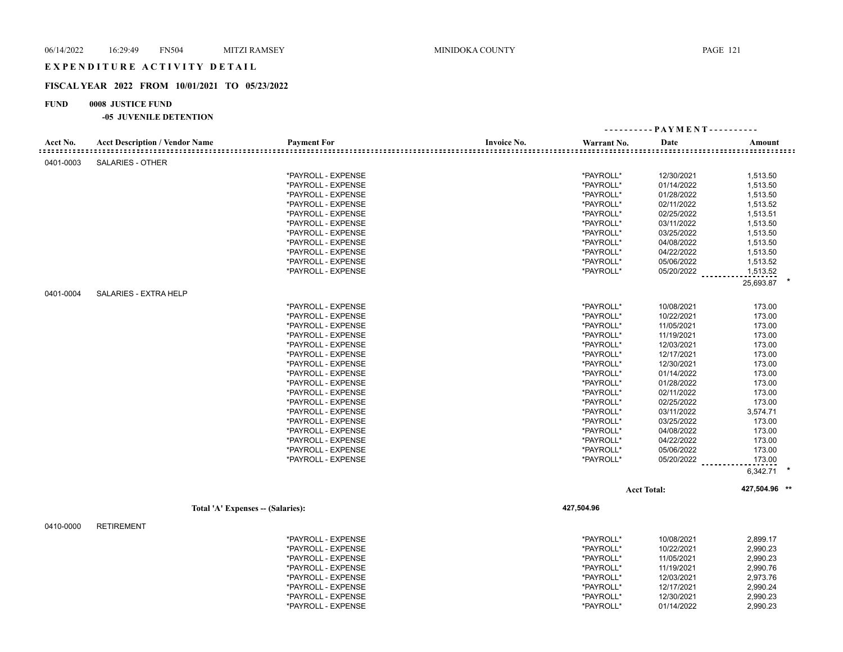## EXPENDITURE ACTIVITY DETAIL

#### **FISCAL YEAR 2022 FROM 10/01/2021 TO 05/23/2022**

### **FUND 0008 JUSTICE FUND**

#### **-05 JUVENILE DETENTION**

|           |                                       |                                          |                    |                        | ---------- PAYMENT---------- |                      |
|-----------|---------------------------------------|------------------------------------------|--------------------|------------------------|------------------------------|----------------------|
| Acct No.  | <b>Acct Description / Vendor Name</b> | <b>Payment For</b>                       | <b>Invoice No.</b> | Warrant No.            | Date                         | Amount               |
| 0401-0003 | SALARIES - OTHER                      |                                          |                    |                        |                              |                      |
|           |                                       | *PAYROLL - EXPENSE                       |                    | *PAYROLL*              | 12/30/2021                   | 1,513.50             |
|           |                                       | *PAYROLL - EXPENSE                       |                    | *PAYROLL*              | 01/14/2022                   | 1,513.50             |
|           |                                       | *PAYROLL - EXPENSE                       |                    | *PAYROLL*              | 01/28/2022                   | 1,513.50             |
|           |                                       | *PAYROLL - EXPENSE                       |                    | *PAYROLL*              | 02/11/2022                   | 1,513.52             |
|           |                                       | *PAYROLL - EXPENSE                       |                    | *PAYROLL*              | 02/25/2022                   | 1,513.51             |
|           |                                       | *PAYROLL - EXPENSE                       |                    | *PAYROLL*              | 03/11/2022                   | 1,513.50             |
|           |                                       | *PAYROLL - EXPENSE                       |                    | *PAYROLL*              | 03/25/2022                   | 1,513.50             |
|           |                                       | *PAYROLL - EXPENSE                       |                    | *PAYROLL*              | 04/08/2022                   | 1,513.50             |
|           |                                       | *PAYROLL - EXPENSE                       |                    | *PAYROLL*              | 04/22/2022                   | 1,513.50             |
|           |                                       | *PAYROLL - EXPENSE                       |                    | *PAYROLL*              | 05/06/2022                   | 1,513.52             |
|           |                                       | *PAYROLL - EXPENSE                       |                    | *PAYROLL*              | 05/20/2022                   | 1,513.52             |
|           |                                       |                                          |                    |                        |                              | 25,693.87            |
| 0401-0004 | SALARIES - EXTRA HELP                 |                                          |                    |                        |                              |                      |
|           |                                       | *PAYROLL - EXPENSE                       |                    | *PAYROLL*              | 10/08/2021                   | 173.00               |
|           |                                       | *PAYROLL - EXPENSE                       |                    | *PAYROLL*              | 10/22/2021                   | 173.00               |
|           |                                       | *PAYROLL - EXPENSE                       |                    | *PAYROLL*              | 11/05/2021                   | 173.00               |
|           |                                       | *PAYROLL - EXPENSE                       |                    | *PAYROLL*              | 11/19/2021                   | 173.00               |
|           |                                       | *PAYROLL - EXPENSE                       |                    | *PAYROLL*              | 12/03/2021                   | 173.00               |
|           |                                       | *PAYROLL - EXPENSE                       |                    | *PAYROLL*              | 12/17/2021                   | 173.00               |
|           |                                       | *PAYROLL - EXPENSE                       |                    | *PAYROLL*              | 12/30/2021                   | 173.00               |
|           |                                       | *PAYROLL - EXPENSE                       |                    | *PAYROLL*              | 01/14/2022                   | 173.00               |
|           |                                       | *PAYROLL - EXPENSE                       |                    | *PAYROLL*              | 01/28/2022                   | 173.00               |
|           |                                       | *PAYROLL - EXPENSE                       |                    | *PAYROLL*              | 02/11/2022                   | 173.00               |
|           |                                       | *PAYROLL - EXPENSE                       |                    | *PAYROLL*              | 02/25/2022                   | 173.00               |
|           |                                       | *PAYROLL - EXPENSE                       |                    | *PAYROLL*              | 03/11/2022                   | 3,574.71             |
|           |                                       | *PAYROLL - EXPENSE                       |                    | *PAYROLL*              | 03/25/2022                   | 173.00               |
|           |                                       | *PAYROLL - EXPENSE                       |                    | *PAYROLL*              | 04/08/2022                   | 173.00               |
|           |                                       | *PAYROLL - EXPENSE                       |                    | *PAYROLL*              | 04/22/2022                   | 173.00               |
|           |                                       | *PAYROLL - EXPENSE                       |                    | *PAYROLL*              | 05/06/2022                   | 173.00               |
|           |                                       | *PAYROLL - EXPENSE                       |                    | *PAYROLL*              | 05/20/2022                   | 173.00               |
|           |                                       |                                          |                    |                        |                              | 6,342.71             |
|           |                                       |                                          |                    |                        | <b>Acct Total:</b>           | 427,504.96 **        |
|           |                                       | Total 'A' Expenses - (Salaries):         |                    | 427,504.96             |                              |                      |
| 0410-0000 | <b>RETIREMENT</b>                     |                                          |                    |                        |                              |                      |
|           |                                       |                                          |                    |                        |                              |                      |
|           |                                       | *PAYROLL - EXPENSE                       |                    | *PAYROLL*              | 10/08/2021                   | 2,899.17             |
|           |                                       | *PAYROLL - EXPENSE                       |                    | *PAYROLL*              | 10/22/2021                   | 2,990.23             |
|           |                                       | *PAYROLL - EXPENSE                       |                    | *PAYROLL*              | 11/05/2021                   | 2,990.23             |
|           |                                       | *PAYROLL - EXPENSE                       |                    | *PAYROLL*              | 11/19/2021                   | 2,990.76             |
|           |                                       | *PAYROLL - EXPENSE                       |                    | *PAYROLL*              | 12/03/2021                   | 2,973.76             |
|           |                                       | *PAYROLL - EXPENSE<br>*PAYROLL - EXPENSE |                    | *PAYROLL*<br>*PAYROLL* | 12/17/2021<br>12/30/2021     | 2,990.24<br>2,990.23 |
|           |                                       |                                          |                    |                        |                              |                      |

\*PAYROLL - EXPENSE \*PAYROLL\* 01/14/2022 2,990.23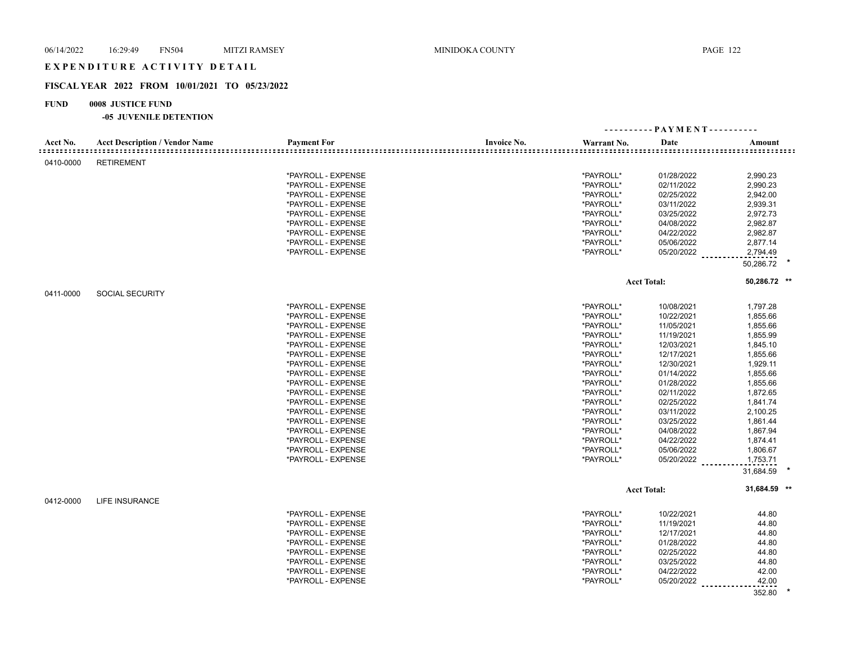## EXPENDITURE ACTIVITY DETAIL

## **FISCAL YEAR 2022 FROM 10/01/2021 TO 05/23/2022**

## **FUND 0008 JUSTICE FUND**

|           |                                       |                    |                    |             | ---------- PAYMENT---------- |                       |  |
|-----------|---------------------------------------|--------------------|--------------------|-------------|------------------------------|-----------------------|--|
| Acct No.  | <b>Acct Description / Vendor Name</b> | <b>Payment For</b> | <b>Invoice No.</b> | Warrant No. | Date                         | Amount                |  |
| 0410-0000 | <b>RETIREMENT</b>                     |                    |                    |             |                              |                       |  |
|           |                                       | *PAYROLL - EXPENSE |                    | *PAYROLL*   | 01/28/2022                   | 2,990.23              |  |
|           |                                       | *PAYROLL - EXPENSE |                    | *PAYROLL*   | 02/11/2022                   | 2,990.23              |  |
|           |                                       | *PAYROLL - EXPENSE |                    | *PAYROLL*   | 02/25/2022                   | 2,942.00              |  |
|           |                                       | *PAYROLL - EXPENSE |                    | *PAYROLL*   | 03/11/2022                   | 2,939.31              |  |
|           |                                       | *PAYROLL - EXPENSE |                    | *PAYROLL*   | 03/25/2022                   | 2,972.73              |  |
|           |                                       | *PAYROLL - EXPENSE |                    | *PAYROLL*   | 04/08/2022                   | 2,982.87              |  |
|           |                                       | *PAYROLL - EXPENSE |                    | *PAYROLL*   | 04/22/2022                   | 2,982.87              |  |
|           |                                       | *PAYROLL - EXPENSE |                    | *PAYROLL*   | 05/06/2022                   | 2,877.14              |  |
|           |                                       | *PAYROLL - EXPENSE |                    | *PAYROLL*   |                              |                       |  |
|           |                                       |                    |                    |             | $05/20/2022$                 | 2,794.49<br>50,286.72 |  |
|           |                                       |                    |                    |             |                              |                       |  |
|           |                                       |                    |                    |             | <b>Acct Total:</b>           | 50,286.72 **          |  |
| 0411-0000 | <b>SOCIAL SECURITY</b>                |                    |                    |             |                              |                       |  |
|           |                                       | *PAYROLL - EXPENSE |                    | *PAYROLL*   | 10/08/2021                   | 1,797.28              |  |
|           |                                       | *PAYROLL - EXPENSE |                    | *PAYROLL*   | 10/22/2021                   | 1,855.66              |  |
|           |                                       | *PAYROLL - EXPENSE |                    | *PAYROLL*   | 11/05/2021                   | 1,855.66              |  |
|           |                                       | *PAYROLL - EXPENSE |                    | *PAYROLL*   | 11/19/2021                   | 1,855.99              |  |
|           |                                       | *PAYROLL - EXPENSE |                    | *PAYROLL*   | 12/03/2021                   | 1,845.10              |  |
|           |                                       | *PAYROLL - EXPENSE |                    | *PAYROLL*   | 12/17/2021                   | 1,855.66              |  |
|           |                                       | *PAYROLL - EXPENSE |                    | *PAYROLL*   | 12/30/2021                   | 1,929.11              |  |
|           |                                       | *PAYROLL - EXPENSE |                    | *PAYROLL*   | 01/14/2022                   | 1,855.66              |  |
|           |                                       | *PAYROLL - EXPENSE |                    | *PAYROLL*   | 01/28/2022                   | 1,855.66              |  |
|           |                                       | *PAYROLL - EXPENSE |                    | *PAYROLL*   | 02/11/2022                   | 1,872.65              |  |
|           |                                       | *PAYROLL - EXPENSE |                    | *PAYROLL*   | 02/25/2022                   | 1,841.74              |  |
|           |                                       | *PAYROLL - EXPENSE |                    | *PAYROLL*   | 03/11/2022                   | 2,100.25              |  |
|           |                                       | *PAYROLL - EXPENSE |                    | *PAYROLL*   | 03/25/2022                   | 1,861.44              |  |
|           |                                       | *PAYROLL - EXPENSE |                    | *PAYROLL*   | 04/08/2022                   | 1,867.94              |  |
|           |                                       | *PAYROLL - EXPENSE |                    | *PAYROLL*   | 04/22/2022                   | 1,874.41              |  |
|           |                                       | *PAYROLL - EXPENSE |                    | *PAYROLL*   | 05/06/2022                   | 1,806.67              |  |
|           |                                       | *PAYROLL - EXPENSE |                    | *PAYROLL*   | 05/20/2022                   | 1,753.71              |  |
|           |                                       |                    |                    |             |                              | 31,684.59             |  |
|           |                                       |                    |                    |             | <b>Acct Total:</b>           | 31,684.59 **          |  |
| 0412-0000 | <b>LIFE INSURANCE</b>                 |                    |                    |             |                              |                       |  |
|           |                                       | *PAYROLL - EXPENSE |                    | *PAYROLL*   | 10/22/2021                   | 44.80                 |  |
|           |                                       | *PAYROLL - EXPENSE |                    | *PAYROLL*   | 11/19/2021                   | 44.80                 |  |
|           |                                       | *PAYROLL - EXPENSE |                    | *PAYROLL*   | 12/17/2021                   | 44.80                 |  |
|           |                                       | *PAYROLL - EXPENSE |                    | *PAYROLL*   | 01/28/2022                   | 44.80                 |  |
|           |                                       | *PAYROLL - EXPENSE |                    | *PAYROLL*   | 02/25/2022                   | 44.80                 |  |
|           |                                       | *PAYROLL - EXPENSE |                    | *PAYROLL*   | 03/25/2022                   | 44.80                 |  |
|           |                                       | *PAYROLL - EXPENSE |                    | *PAYROLL*   | 04/22/2022                   | 42.00                 |  |
|           |                                       | *PAYROLL - EXPENSE |                    | *PAYROLL*   | 05/20/2022                   | 42.00                 |  |
|           |                                       |                    |                    |             |                              | <u>.</u>              |  |
|           |                                       |                    |                    |             |                              | 352.80                |  |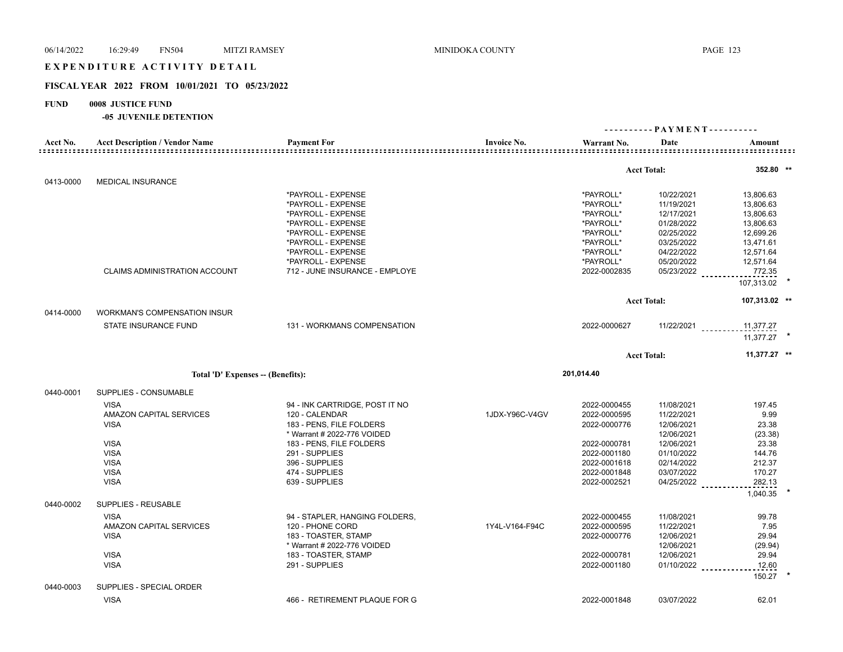## EXPENDITURE ACTIVITY DETAIL

## **FISCAL YEAR 2022 FROM 10/01/2021 TO 05/23/2022**

## **FUND 0008 JUSTICE FUND**

|           |                                       |                                |                    |              |                    | ---------- PAYMENT---------- |
|-----------|---------------------------------------|--------------------------------|--------------------|--------------|--------------------|------------------------------|
| Acct No.  | <b>Acct Description / Vendor Name</b> | <b>Payment For</b>             | <b>Invoice No.</b> | Warrant No.  | Date               | Amount                       |
|           |                                       |                                |                    |              |                    |                              |
| 0413-0000 | <b>MEDICAL INSURANCE</b>              |                                |                    |              | <b>Acct Total:</b> | 352.80 **                    |
|           |                                       | *PAYROLL - EXPENSE             |                    | *PAYROLL*    | 10/22/2021         | 13,806.63                    |
|           |                                       | *PAYROLL - EXPENSE             |                    | *PAYROLL*    | 11/19/2021         | 13,806.63                    |
|           |                                       | *PAYROLL - EXPENSE             |                    | *PAYROLL*    | 12/17/2021         | 13,806.63                    |
|           |                                       | *PAYROLL - EXPENSE             |                    | *PAYROLL*    | 01/28/2022         | 13,806.63                    |
|           |                                       | *PAYROLL - EXPENSE             |                    | *PAYROLL*    | 02/25/2022         | 12,699.26                    |
|           |                                       | *PAYROLL - EXPENSE             |                    | *PAYROLL*    | 03/25/2022         | 13,471.61                    |
|           |                                       | *PAYROLL - EXPENSE             |                    | *PAYROLL*    | 04/22/2022         | 12,571.64                    |
|           |                                       | *PAYROLL - EXPENSE             |                    | *PAYROLL*    | 05/20/2022         | 12,571.64                    |
|           | <b>CLAIMS ADMINISTRATION ACCOUNT</b>  | 712 - JUNE INSURANCE - EMPLOYE |                    | 2022-0002835 | 05/23/2022         | 772.35                       |
|           |                                       |                                |                    |              |                    | 107,313.02                   |
|           |                                       |                                |                    |              | <b>Acct Total:</b> | 107,313.02 **                |
| 0414-0000 | <b>WORKMAN'S COMPENSATION INSUR</b>   |                                |                    |              |                    |                              |
|           | STATE INSURANCE FUND                  | 131 - WORKMANS COMPENSATION    |                    | 2022-0000627 | $11/22/2021$       | 11,377.27                    |
|           |                                       |                                |                    |              |                    | 11.377.27                    |
|           |                                       |                                |                    |              | <b>Acct Total:</b> | $11,377.27$ **               |
|           |                                       |                                |                    | 201,014.40   |                    |                              |
|           | Total 'D' Expenses -- (Benefits):     |                                |                    |              |                    |                              |
| 0440-0001 | SUPPLIES - CONSUMABLE                 |                                |                    |              |                    |                              |
|           | <b>VISA</b>                           | 94 - INK CARTRIDGE, POST IT NO |                    | 2022-0000455 | 11/08/2021         | 197.45                       |
|           | AMAZON CAPITAL SERVICES               | 120 - CALENDAR                 | 1JDX-Y96C-V4GV     | 2022-0000595 | 11/22/2021         | 9.99                         |
|           | <b>VISA</b>                           | 183 - PENS, FILE FOLDERS       |                    | 2022-0000776 | 12/06/2021         | 23.38                        |
|           |                                       | * Warrant # 2022-776 VOIDED    |                    |              | 12/06/2021         | (23.38)                      |
|           | <b>VISA</b>                           | 183 - PENS, FILE FOLDERS       |                    | 2022-0000781 | 12/06/2021         | 23.38                        |
|           | <b>VISA</b>                           | 291 - SUPPLIES                 |                    | 2022-0001180 | 01/10/2022         | 144.76                       |
|           | <b>VISA</b>                           | 396 - SUPPLIES                 |                    | 2022-0001618 | 02/14/2022         | 212.37                       |
|           | <b>VISA</b>                           | 474 - SUPPLIES                 |                    | 2022-0001848 | 03/07/2022         | 170.27                       |
|           | <b>VISA</b>                           | 639 - SUPPLIES                 |                    | 2022-0002521 | 04/25/2022         | 282.13                       |
|           |                                       |                                |                    |              |                    | 1,040.35                     |
| 0440-0002 | SUPPLIES - REUSABLE                   |                                |                    |              |                    |                              |
|           | <b>VISA</b>                           | 94 - STAPLER, HANGING FOLDERS, |                    | 2022-0000455 | 11/08/2021         | 99.78                        |
|           | AMAZON CAPITAL SERVICES               | 120 - PHONE CORD               | 1Y4L-V164-F94C     | 2022-0000595 | 11/22/2021         | 7.95                         |
|           | <b>VISA</b>                           | 183 - TOASTER, STAMP           |                    | 2022-0000776 | 12/06/2021         | 29.94                        |
|           |                                       | * Warrant # 2022-776 VOIDED    |                    |              | 12/06/2021         | (29.94)                      |
|           | <b>VISA</b>                           | 183 - TOASTER, STAMP           |                    | 2022-0000781 | 12/06/2021         | 29.94                        |
|           | <b>VISA</b>                           | 291 - SUPPLIES                 |                    | 2022-0001180 | 01/10/2022         | 12.60                        |
| 0440-0003 | SUPPLIES - SPECIAL ORDER              |                                |                    |              |                    | 150.27                       |
|           | <b>VISA</b>                           | 466 - RETIREMENT PLAQUE FOR G  |                    | 2022-0001848 | 03/07/2022         | 62.01                        |
|           |                                       |                                |                    |              |                    |                              |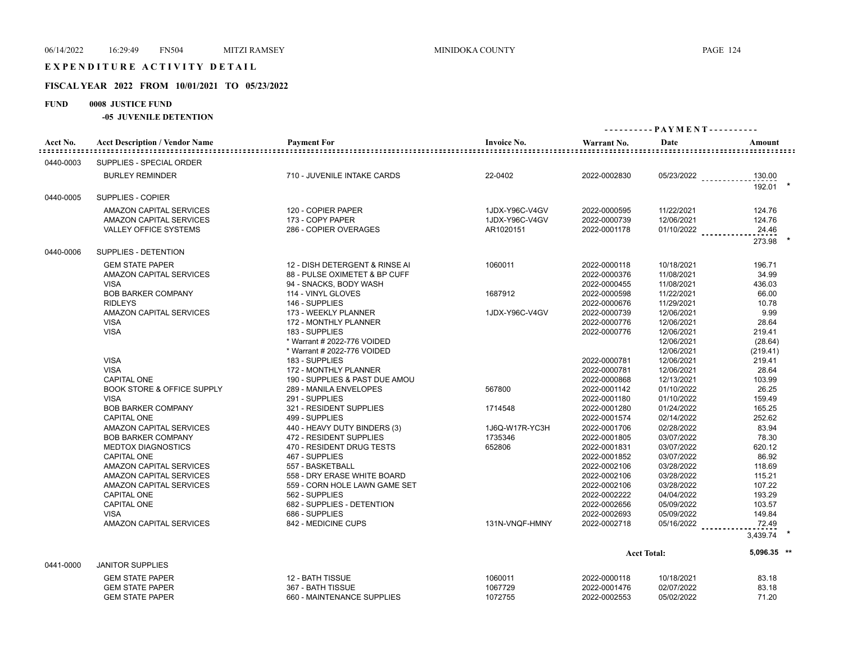## EXPENDITURE ACTIVITY DETAIL

### **FISCAL YEAR 2022 FROM 10/01/2021 TO 05/23/2022**

# **FUND 0008 JUSTICE FUND**

| Acct No.  | <b>Acct Description / Vendor Name</b> | <b>Payment For</b>             | <b>Invoice No.</b> | Warrant No.  | Date               | Amount      |
|-----------|---------------------------------------|--------------------------------|--------------------|--------------|--------------------|-------------|
| 0440-0003 | SUPPLIES - SPECIAL ORDER              |                                |                    |              |                    |             |
|           | <b>BURLEY REMINDER</b>                | 710 - JUVENILE INTAKE CARDS    | 22-0402            | 2022-0002830 | 05/23/2022         | 130.00      |
| 0440-0005 | SUPPLIES - COPIER                     |                                |                    |              |                    | 192.01      |
|           | AMAZON CAPITAL SERVICES               | 120 - COPIER PAPER             | 1JDX-Y96C-V4GV     | 2022-0000595 | 11/22/2021         | 124.76      |
|           | AMAZON CAPITAL SERVICES               | 173 - COPY PAPER               | 1JDX-Y96C-V4GV     | 2022-0000739 | 12/06/2021         | 124.76      |
|           | <b>VALLEY OFFICE SYSTEMS</b>          | 286 - COPIER OVERAGES          | AR1020151          | 2022-0001178 | $01/10/2022$       | 24.46       |
|           |                                       |                                |                    |              |                    | 273.98      |
| 0440-0006 | SUPPLIES - DETENTION                  |                                |                    |              |                    |             |
|           | <b>GEM STATE PAPER</b>                | 12 - DISH DETERGENT & RINSE AI | 1060011            | 2022-0000118 | 10/18/2021         | 196.71      |
|           | AMAZON CAPITAL SERVICES               | 88 - PULSE OXIMETET & BP CUFF  |                    | 2022-0000376 | 11/08/2021         | 34.99       |
|           | <b>VISA</b>                           | 94 - SNACKS, BODY WASH         |                    | 2022-0000455 | 11/08/2021         | 436.03      |
|           | <b>BOB BARKER COMPANY</b>             | 114 - VINYL GLOVES             | 1687912            | 2022-0000598 | 11/22/2021         | 66.00       |
|           | <b>RIDLEYS</b>                        | 146 - SUPPLIES                 |                    | 2022-0000676 | 11/29/2021         | 10.78       |
|           | <b>AMAZON CAPITAL SERVICES</b>        | 173 - WEEKLY PLANNER           | 1JDX-Y96C-V4GV     | 2022-0000739 | 12/06/2021         | 9.99        |
|           | <b>VISA</b>                           | 172 - MONTHLY PLANNER          |                    | 2022-0000776 | 12/06/2021         | 28.64       |
|           | <b>VISA</b>                           | 183 - SUPPLIES                 |                    | 2022-0000776 | 12/06/2021         | 219.41      |
|           |                                       | * Warrant # 2022-776 VOIDED    |                    |              | 12/06/2021         | (28.64)     |
|           |                                       | * Warrant # 2022-776 VOIDED    |                    |              | 12/06/2021         | (219.41)    |
|           | <b>VISA</b>                           | 183 - SUPPLIES                 |                    | 2022-0000781 | 12/06/2021         | 219.41      |
|           | <b>VISA</b>                           | 172 - MONTHLY PLANNER          |                    | 2022-0000781 | 12/06/2021         | 28.64       |
|           | <b>CAPITAL ONE</b>                    | 190 - SUPPLIES & PAST DUE AMOU |                    | 2022-0000868 | 12/13/2021         | 103.99      |
|           | <b>BOOK STORE &amp; OFFICE SUPPLY</b> | 289 - MANILA ENVELOPES         | 567800             | 2022-0001142 | 01/10/2022         | 26.25       |
|           | <b>VISA</b>                           | 291 - SUPPLIES                 |                    | 2022-0001180 | 01/10/2022         | 159.49      |
|           | <b>BOB BARKER COMPANY</b>             | 321 - RESIDENT SUPPLIES        | 1714548            | 2022-0001280 | 01/24/2022         | 165.25      |
|           | <b>CAPITAL ONE</b>                    | 499 - SUPPLIES                 |                    | 2022-0001574 | 02/14/2022         | 252.62      |
|           | AMAZON CAPITAL SERVICES               | 440 - HEAVY DUTY BINDERS (3)   | 1J6Q-W17R-YC3H     | 2022-0001706 | 02/28/2022         | 83.94       |
|           | <b>BOB BARKER COMPANY</b>             | 472 - RESIDENT SUPPLIES        | 1735346            | 2022-0001805 | 03/07/2022         | 78.30       |
|           | <b>MEDTOX DIAGNOSTICS</b>             | 470 - RESIDENT DRUG TESTS      | 652806             | 2022-0001831 | 03/07/2022         | 620.12      |
|           | <b>CAPITAL ONE</b>                    | 467 - SUPPLIES                 |                    | 2022-0001852 | 03/07/2022         | 86.92       |
|           | AMAZON CAPITAL SERVICES               | 557 - BASKETBALL               |                    | 2022-0002106 | 03/28/2022         | 118.69      |
|           | AMAZON CAPITAL SERVICES               | 558 - DRY ERASE WHITE BOARD    |                    | 2022-0002106 | 03/28/2022         | 115.21      |
|           | AMAZON CAPITAL SERVICES               | 559 - CORN HOLE LAWN GAME SET  |                    | 2022-0002106 | 03/28/2022         | 107.22      |
|           | <b>CAPITAL ONE</b>                    | 562 - SUPPLIES                 |                    | 2022-0002222 | 04/04/2022         | 193.29      |
|           | <b>CAPITAL ONE</b>                    | 682 - SUPPLIES - DETENTION     |                    | 2022-0002656 | 05/09/2022         | 103.57      |
|           | <b>VISA</b>                           | 686 - SUPPLIES                 |                    | 2022-0002693 | 05/09/2022         | 149.84      |
|           | <b>AMAZON CAPITAL SERVICES</b>        | 842 - MEDICINE CUPS            | 131N-VNQF-HMNY     | 2022-0002718 | $05/16/2022$       | 72.49       |
|           |                                       |                                |                    |              |                    | 3,439.74    |
|           |                                       |                                |                    |              | <b>Acct Total:</b> | 5,096.35 ** |
| 0441-0000 | <b>JANITOR SUPPLIES</b>               |                                |                    |              |                    |             |
|           | <b>GEM STATE PAPER</b>                | 12 - BATH TISSUE               | 1060011            | 2022-0000118 | 10/18/2021         | 83.18       |
|           | <b>GEM STATE PAPER</b>                | 367 - BATH TISSUE              | 1067729            | 2022-0001476 | 02/07/2022         | 83.18       |
|           | <b>GEM STATE PAPER</b>                | 660 - MAINTENANCE SUPPLIES     | 1072755            | 2022-0002553 | 05/02/2022         | 71.20       |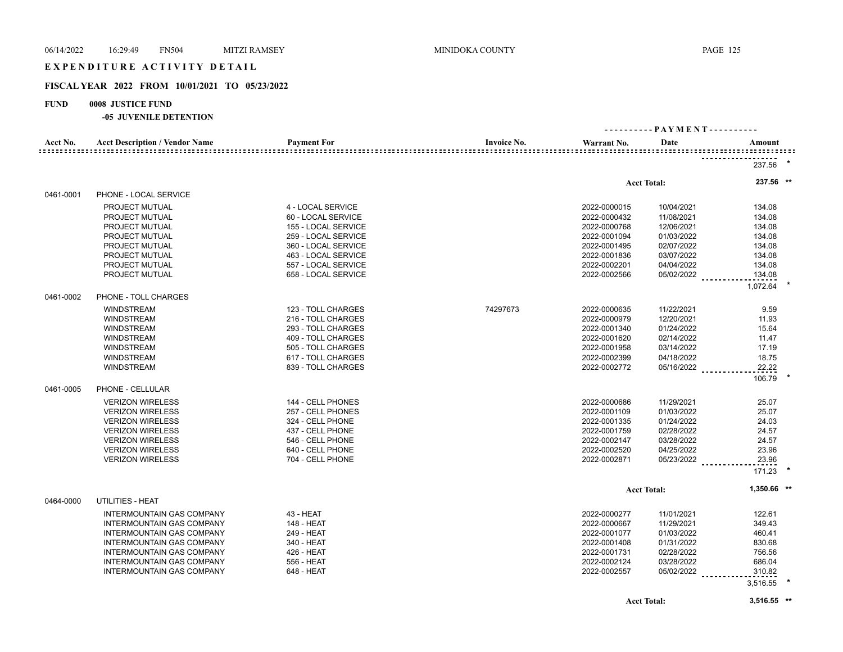## EXPENDITURE ACTIVITY DETAIL

## **FISCAL YEAR 2022 FROM 10/01/2021 TO 05/23/2022**

## **FUND 0008 JUSTICE FUND**

#### **-05 JUVENILE DETENTION**

| Acct No.  | <b>Acct Description / Vendor Name</b> | <b>Payment For</b>  | <b>Invoice No.</b> | Warrant No.  | Date               | Amount      |  |
|-----------|---------------------------------------|---------------------|--------------------|--------------|--------------------|-------------|--|
|           |                                       |                     |                    |              |                    |             |  |
|           |                                       |                     |                    |              |                    | 237.56      |  |
|           |                                       |                     |                    |              | <b>Acct Total:</b> | 237.56 **   |  |
| 0461-0001 | PHONE - LOCAL SERVICE                 |                     |                    |              |                    |             |  |
|           | PROJECT MUTUAL                        | 4 - LOCAL SERVICE   |                    | 2022-0000015 | 10/04/2021         | 134.08      |  |
|           | PROJECT MUTUAL                        | 60 - LOCAL SERVICE  |                    | 2022-0000432 | 11/08/2021         | 134.08      |  |
|           | PROJECT MUTUAL                        | 155 - LOCAL SERVICE |                    | 2022-0000768 | 12/06/2021         | 134.08      |  |
|           | PROJECT MUTUAL                        | 259 - LOCAL SERVICE |                    | 2022-0001094 | 01/03/2022         | 134.08      |  |
|           | PROJECT MUTUAL                        | 360 - LOCAL SERVICE |                    | 2022-0001495 | 02/07/2022         | 134.08      |  |
|           | PROJECT MUTUAL                        | 463 - LOCAL SERVICE |                    | 2022-0001836 | 03/07/2022         | 134.08      |  |
|           | PROJECT MUTUAL                        | 557 - LOCAL SERVICE |                    | 2022-0002201 | 04/04/2022         | 134.08      |  |
|           | PROJECT MUTUAL                        | 658 - LOCAL SERVICE |                    | 2022-0002566 | 05/02/2022         | 134.08      |  |
|           |                                       |                     |                    |              |                    | 1,072.64    |  |
| 0461-0002 | PHONE - TOLL CHARGES                  |                     |                    |              |                    |             |  |
|           | <b>WINDSTREAM</b>                     | 123 - TOLL CHARGES  | 74297673           | 2022-0000635 | 11/22/2021         | 9.59        |  |
|           | <b>WINDSTREAM</b>                     | 216 - TOLL CHARGES  |                    | 2022-0000979 | 12/20/2021         | 11.93       |  |
|           | <b>WINDSTREAM</b>                     | 293 - TOLL CHARGES  |                    | 2022-0001340 | 01/24/2022         | 15.64       |  |
|           | <b>WINDSTREAM</b>                     | 409 - TOLL CHARGES  |                    | 2022-0001620 | 02/14/2022         | 11.47       |  |
|           | <b>WINDSTREAM</b>                     | 505 - TOLL CHARGES  |                    | 2022-0001958 | 03/14/2022         | 17.19       |  |
|           | <b>WINDSTREAM</b>                     | 617 - TOLL CHARGES  |                    | 2022-0002399 | 04/18/2022         | 18.75       |  |
|           | <b>WINDSTREAM</b>                     | 839 - TOLL CHARGES  |                    | 2022-0002772 | 05/16/2022         | 22.22       |  |
|           |                                       |                     |                    |              |                    | 106.79      |  |
| 0461-0005 | PHONE - CELLULAR                      |                     |                    |              |                    |             |  |
|           | <b>VERIZON WIRELESS</b>               | 144 - CELL PHONES   |                    | 2022-0000686 | 11/29/2021         | 25.07       |  |
|           | <b>VERIZON WIRELESS</b>               | 257 - CELL PHONES   |                    | 2022-0001109 | 01/03/2022         | 25.07       |  |
|           | <b>VERIZON WIRELESS</b>               | 324 - CELL PHONE    |                    | 2022-0001335 | 01/24/2022         | 24.03       |  |
|           | <b>VERIZON WIRELESS</b>               | 437 - CELL PHONE    |                    | 2022-0001759 | 02/28/2022         | 24.57       |  |
|           | <b>VERIZON WIRELESS</b>               | 546 - CELL PHONE    |                    | 2022-0002147 | 03/28/2022         | 24.57       |  |
|           | <b>VERIZON WIRELESS</b>               | 640 - CELL PHONE    |                    | 2022-0002520 | 04/25/2022         | 23.96       |  |
|           | <b>VERIZON WIRELESS</b>               | 704 - CELL PHONE    |                    | 2022-0002871 | 05/23/2022         | 23.96       |  |
|           |                                       |                     |                    |              |                    | 171.23      |  |
|           |                                       |                     |                    |              | <b>Acct Total:</b> | 1,350.66 ** |  |
| 0464-0000 | UTILITIES - HEAT                      |                     |                    |              |                    |             |  |
|           | <b>INTERMOUNTAIN GAS COMPANY</b>      | 43 - HEAT           |                    | 2022-0000277 | 11/01/2021         | 122.61      |  |
|           | INTERMOUNTAIN GAS COMPANY             | 148 - HEAT          |                    | 2022-0000667 | 11/29/2021         | 349.43      |  |
|           | <b>INTERMOUNTAIN GAS COMPANY</b>      | 249 - HEAT          |                    | 2022-0001077 | 01/03/2022         | 460.41      |  |
|           | INTERMOUNTAIN GAS COMPANY             | 340 - HEAT          |                    | 2022-0001408 | 01/31/2022         | 830.68      |  |
|           | <b>INTERMOUNTAIN GAS COMPANY</b>      | 426 - HEAT          |                    | 2022-0001731 | 02/28/2022         | 756.56      |  |
|           | <b>INTERMOUNTAIN GAS COMPANY</b>      | 556 - HEAT          |                    | 2022-0002124 | 03/28/2022         | 686.04      |  |
|           | INTERMOUNTAIN GAS COMPANY             | 648 - HEAT          |                    | 2022-0002557 | $05/02/2022$       | 310.82      |  |
|           |                                       |                     |                    |              |                    |             |  |
|           |                                       |                     |                    |              |                    | 3,516.55    |  |

**Acct Total: 3,516.55 \*\***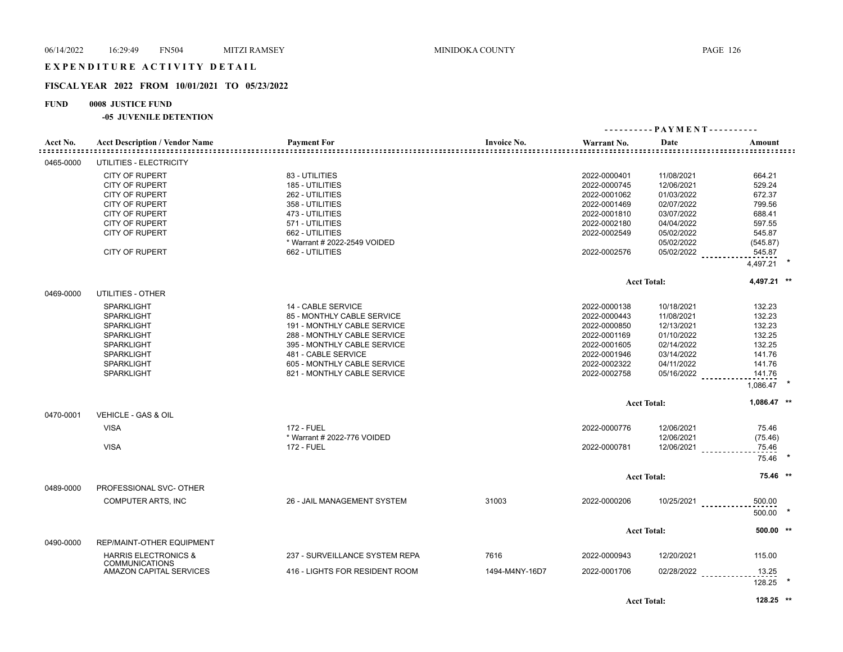## **FISCAL YEAR 2022 FROM 10/01/2021 TO 05/23/2022**

## **FUND 0008 JUSTICE FUND**

#### **-05 JUVENILE DETENTION**

| Acct No.  | <b>Acct Description / Vendor Name</b>                    | <b>Payment For</b>             | <b>Invoice No.</b> | Warrant No.  | Date               | Amount<br>=================== |  |
|-----------|----------------------------------------------------------|--------------------------------|--------------------|--------------|--------------------|-------------------------------|--|
| 0465-0000 | UTILITIES - ELECTRICITY                                  |                                |                    |              |                    |                               |  |
|           | <b>CITY OF RUPERT</b>                                    | 83 - UTILITIES                 |                    | 2022-0000401 | 11/08/2021         | 664.21                        |  |
|           | <b>CITY OF RUPERT</b>                                    | 185 - UTILITIES                |                    | 2022-0000745 | 12/06/2021         | 529.24                        |  |
|           | <b>CITY OF RUPERT</b>                                    | 262 - UTILITIES                |                    | 2022-0001062 | 01/03/2022         | 672.37                        |  |
|           | <b>CITY OF RUPERT</b>                                    | 358 - UTILITIES                |                    | 2022-0001469 | 02/07/2022         | 799.56                        |  |
|           | <b>CITY OF RUPERT</b>                                    | 473 - UTILITIES                |                    | 2022-0001810 | 03/07/2022         | 688.41                        |  |
|           | <b>CITY OF RUPERT</b>                                    | 571 - UTILITIES                |                    | 2022-0002180 | 04/04/2022         | 597.55                        |  |
|           | <b>CITY OF RUPERT</b>                                    | 662 - UTILITIES                |                    | 2022-0002549 | 05/02/2022         | 545.87                        |  |
|           |                                                          | * Warrant # 2022-2549 VOIDED   |                    |              | 05/02/2022         | (545.87)                      |  |
|           | <b>CITY OF RUPERT</b>                                    | 662 - UTILITIES                |                    | 2022-0002576 | $05/02/2022$       | 545.87                        |  |
|           |                                                          |                                |                    |              |                    | 4,497.21                      |  |
|           |                                                          |                                |                    |              | <b>Acct Total:</b> | 4,497.21 **                   |  |
| 0469-0000 | UTILITIES - OTHER                                        |                                |                    |              |                    |                               |  |
|           | <b>SPARKLIGHT</b>                                        | 14 - CABLE SERVICE             |                    | 2022-0000138 | 10/18/2021         | 132.23                        |  |
|           | <b>SPARKLIGHT</b>                                        | 85 - MONTHLY CABLE SERVICE     |                    | 2022-0000443 | 11/08/2021         | 132.23                        |  |
|           | <b>SPARKLIGHT</b>                                        | 191 - MONTHLY CABLE SERVICE    |                    | 2022-0000850 | 12/13/2021         | 132.23                        |  |
|           | <b>SPARKLIGHT</b>                                        | 288 - MONTHLY CABLE SERVICE    |                    | 2022-0001169 | 01/10/2022         | 132.25                        |  |
|           | <b>SPARKLIGHT</b>                                        | 395 - MONTHLY CABLE SERVICE    |                    | 2022-0001605 | 02/14/2022         | 132.25                        |  |
|           | <b>SPARKLIGHT</b>                                        | 481 - CABLE SERVICE            |                    | 2022-0001946 | 03/14/2022         | 141.76                        |  |
|           | <b>SPARKLIGHT</b>                                        | 605 - MONTHLY CABLE SERVICE    |                    | 2022-0002322 | 04/11/2022         | 141.76                        |  |
|           | <b>SPARKLIGHT</b>                                        | 821 - MONTHLY CABLE SERVICE    |                    | 2022-0002758 | 05/16/2022         | 141.76                        |  |
|           |                                                          |                                |                    |              |                    | 1,086.47                      |  |
|           |                                                          |                                |                    |              | <b>Acct Total:</b> | 1,086.47 **                   |  |
| 0470-0001 | VEHICLE - GAS & OIL                                      |                                |                    |              |                    |                               |  |
|           | <b>VISA</b>                                              | <b>172 - FUEL</b>              |                    | 2022-0000776 | 12/06/2021         | 75.46                         |  |
|           |                                                          | * Warrant # 2022-776 VOIDED    |                    |              | 12/06/2021         | (75.46)                       |  |
|           | <b>VISA</b>                                              | <b>172 - FUEL</b>              |                    | 2022-0000781 | 12/06/2021         | 75.46                         |  |
|           |                                                          |                                |                    |              |                    | 75.46                         |  |
|           |                                                          |                                |                    |              | <b>Acct Total:</b> | 75.46 **                      |  |
| 0489-0000 | PROFESSIONAL SVC- OTHER                                  |                                |                    |              |                    |                               |  |
|           | <b>COMPUTER ARTS, INC</b>                                | 26 - JAIL MANAGEMENT SYSTEM    | 31003              | 2022-0000206 | 10/25/2021         | 500.00                        |  |
|           |                                                          |                                |                    |              |                    | 500.00                        |  |
|           |                                                          |                                |                    |              | <b>Acct Total:</b> | $500.00$ **                   |  |
| 0490-0000 | REP/MAINT-OTHER EQUIPMENT                                |                                |                    |              |                    |                               |  |
|           |                                                          |                                |                    |              |                    |                               |  |
|           | <b>HARRIS ELECTRONICS &amp;</b><br><b>COMMUNICATIONS</b> | 237 - SURVEILLANCE SYSTEM REPA | 7616               | 2022-0000943 | 12/20/2021         | 115.00                        |  |
|           | AMAZON CAPITAL SERVICES                                  | 416 - LIGHTS FOR RESIDENT ROOM | 1494-M4NY-16D7     | 2022-0001706 | $02/28/2022$       | 13.25                         |  |
|           |                                                          |                                |                    |              |                    | 128.25                        |  |
|           |                                                          |                                |                    |              |                    |                               |  |

**Acct Total: 128.25 \*\***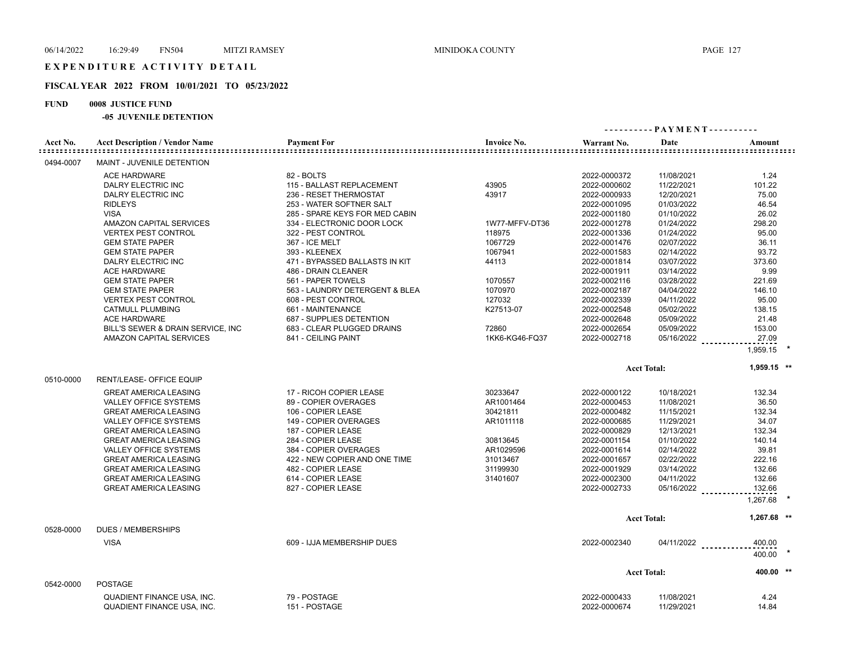# E X P E N D I T U R E A C T I V I T Y D E T A I L

## **FISCAL YEAR 2022 FROM 10/01/2021 TO 05/23/2022**

## **FUND 0008 JUSTICE FUND**

|           |                                       |                                |                    |              |                    | ---------- PAYMENT----------               |  |  |  |
|-----------|---------------------------------------|--------------------------------|--------------------|--------------|--------------------|--------------------------------------------|--|--|--|
| Acct No.  | <b>Acct Description / Vendor Name</b> | <b>Payment For</b>             | <b>Invoice No.</b> | Warrant No.  | Date               | Amount<br>:::::::::::::::::::::::::::::::: |  |  |  |
| 0494-0007 | MAINT - JUVENILE DETENTION            |                                |                    |              |                    |                                            |  |  |  |
|           | <b>ACE HARDWARE</b>                   | 82 - BOLTS                     |                    | 2022-0000372 | 11/08/2021         | 1.24                                       |  |  |  |
|           | DALRY ELECTRIC INC                    | 115 - BALLAST REPLACEMENT      | 43905              | 2022-0000602 | 11/22/2021         | 101.22                                     |  |  |  |
|           | DALRY ELECTRIC INC                    | 236 - RESET THERMOSTAT         | 43917              | 2022-0000933 | 12/20/2021         | 75.00                                      |  |  |  |
|           | <b>RIDLEYS</b>                        | 253 - WATER SOFTNER SALT       |                    | 2022-0001095 | 01/03/2022         | 46.54                                      |  |  |  |
|           | <b>VISA</b>                           | 285 - SPARE KEYS FOR MED CABIN |                    | 2022-0001180 | 01/10/2022         | 26.02                                      |  |  |  |
|           | AMAZON CAPITAL SERVICES               | 334 - ELECTRONIC DOOR LOCK     | 1W77-MFFV-DT36     | 2022-0001278 | 01/24/2022         | 298.20                                     |  |  |  |
|           | <b>VERTEX PEST CONTROL</b>            | 322 - PEST CONTROL             | 118975             | 2022-0001336 | 01/24/2022         | 95.00                                      |  |  |  |
|           | <b>GEM STATE PAPER</b>                | 367 - ICE MELT                 | 1067729            | 2022-0001476 | 02/07/2022         | 36.11                                      |  |  |  |
|           | <b>GEM STATE PAPER</b>                | 393 - KLEENEX                  | 1067941            | 2022-0001583 | 02/14/2022         | 93.72                                      |  |  |  |
|           | DALRY ELECTRIC INC                    | 471 - BYPASSED BALLASTS IN KIT | 44113              | 2022-0001814 | 03/07/2022         | 373.60                                     |  |  |  |
|           | <b>ACE HARDWARE</b>                   | 486 - DRAIN CLEANER            |                    | 2022-0001911 | 03/14/2022         | 9.99                                       |  |  |  |
|           | <b>GEM STATE PAPER</b>                | 561 - PAPER TOWELS             | 1070557            | 2022-0002116 | 03/28/2022         | 221.69                                     |  |  |  |
|           | <b>GEM STATE PAPER</b>                | 563 - LAUNDRY DETERGENT & BLEA | 1070970            | 2022-0002187 | 04/04/2022         | 146.10                                     |  |  |  |
|           | <b>VERTEX PEST CONTROL</b>            | 608 - PEST CONTROL             | 127032             | 2022-0002339 | 04/11/2022         | 95.00                                      |  |  |  |
|           | <b>CATMULL PLUMBING</b>               | 661 - MAINTENANCE              | K27513-07          | 2022-0002548 | 05/02/2022         | 138.15                                     |  |  |  |
|           | <b>ACE HARDWARE</b>                   | 687 - SUPPLIES DETENTION       |                    | 2022-0002648 | 05/09/2022         | 21.48                                      |  |  |  |
|           | BILL'S SEWER & DRAIN SERVICE, INC.    | 683 - CLEAR PLUGGED DRAINS     | 72860              | 2022-0002654 | 05/09/2022         | 153.00                                     |  |  |  |
|           | AMAZON CAPITAL SERVICES               | 841 - CEILING PAINT            | 1KK6-KG46-FQ37     | 2022-0002718 | $05/16/2022$       | 27.09                                      |  |  |  |
|           |                                       |                                |                    |              |                    | 1,959.15                                   |  |  |  |
|           |                                       |                                |                    |              | <b>Acct Total:</b> | $1,959.15$ **                              |  |  |  |
| 0510-0000 | RENT/LEASE- OFFICE EQUIP              |                                |                    |              |                    |                                            |  |  |  |
|           | <b>GREAT AMERICA LEASING</b>          | 17 - RICOH COPIER LEASE        | 30233647           | 2022-0000122 | 10/18/2021         | 132.34                                     |  |  |  |
|           | <b>VALLEY OFFICE SYSTEMS</b>          | 89 - COPIER OVERAGES           | AR1001464          | 2022-0000453 | 11/08/2021         | 36.50                                      |  |  |  |
|           | <b>GREAT AMERICA LEASING</b>          | 106 - COPIER LEASE             | 30421811           | 2022-0000482 | 11/15/2021         | 132.34                                     |  |  |  |
|           | <b>VALLEY OFFICE SYSTEMS</b>          | 149 - COPIER OVERAGES          | AR1011118          | 2022-0000685 | 11/29/2021         | 34.07                                      |  |  |  |
|           | <b>GREAT AMERICA LEASING</b>          | 187 - COPIER LEASE             |                    | 2022-0000829 | 12/13/2021         | 132.34                                     |  |  |  |
|           | <b>GREAT AMERICA LEASING</b>          | 284 - COPIER LEASE             | 30813645           | 2022-0001154 | 01/10/2022         | 140.14                                     |  |  |  |
|           | <b>VALLEY OFFICE SYSTEMS</b>          | 384 - COPIER OVERAGES          | AR1029596          | 2022-0001614 | 02/14/2022         | 39.81                                      |  |  |  |
|           | <b>GREAT AMERICA LEASING</b>          | 422 - NEW COPIER AND ONE TIME  | 31013467           | 2022-0001657 | 02/22/2022         | 222.16                                     |  |  |  |
|           | <b>GREAT AMERICA LEASING</b>          | 482 - COPIER LEASE             | 31199930           | 2022-0001929 | 03/14/2022         | 132.66                                     |  |  |  |
|           | <b>GREAT AMERICA LEASING</b>          | 614 - COPIER LEASE             | 31401607           | 2022-0002300 | 04/11/2022         | 132.66                                     |  |  |  |
|           | <b>GREAT AMERICA LEASING</b>          | 827 - COPIER LEASE             |                    | 2022-0002733 |                    | 132.66                                     |  |  |  |
|           |                                       |                                |                    |              | 05/16/2022         |                                            |  |  |  |
|           |                                       |                                |                    |              |                    | 1,267.68                                   |  |  |  |
|           |                                       |                                |                    |              | <b>Acct Total:</b> | 1,267.68 **                                |  |  |  |
| 0528-0000 | <b>DUES / MEMBERSHIPS</b>             |                                |                    |              |                    |                                            |  |  |  |
|           | <b>VISA</b>                           | 609 - IJJA MEMBERSHIP DUES     |                    | 2022-0002340 |                    | 04/11/2022<br>400.00                       |  |  |  |
|           |                                       |                                |                    |              |                    | 400.00                                     |  |  |  |
|           |                                       |                                |                    |              | <b>Acct Total:</b> | 400.00 **                                  |  |  |  |
| 0542-0000 | <b>POSTAGE</b>                        |                                |                    |              |                    |                                            |  |  |  |
|           | QUADIENT FINANCE USA. INC.            | 79 - POSTAGE                   |                    | 2022-0000433 | 11/08/2021         | 4.24                                       |  |  |  |
|           | QUADIENT FINANCE USA, INC.            | 151 - POSTAGE                  |                    | 2022-0000674 | 11/29/2021         | 14.84                                      |  |  |  |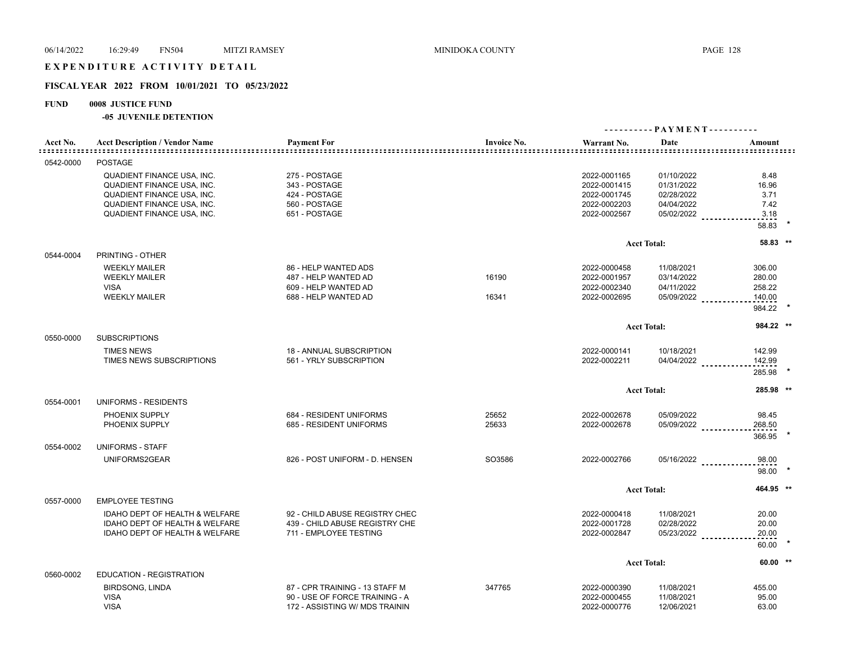## EXPENDITURE ACTIVITY DETAIL

## **FISCAL YEAR 2022 FROM 10/01/2021 TO 05/23/2022**

## **FUND 0008 JUSTICE FUND**

|                                           |                                                                                                                                                           |                                                                                                    |                    |                                                                              | ---------- PAYMENT----------                                       |                                                |
|-------------------------------------------|-----------------------------------------------------------------------------------------------------------------------------------------------------------|----------------------------------------------------------------------------------------------------|--------------------|------------------------------------------------------------------------------|--------------------------------------------------------------------|------------------------------------------------|
| Acct No.<br>: = = = = = = = = = = = = = = | <b>Acct Description / Vendor Name</b>                                                                                                                     | <b>Payment For</b>                                                                                 | <b>Invoice No.</b> | Warrant No.                                                                  | Date                                                               | Amount                                         |
| 0542-0000                                 | <b>POSTAGE</b>                                                                                                                                            |                                                                                                    |                    |                                                                              |                                                                    |                                                |
|                                           | QUADIENT FINANCE USA, INC.<br><b>QUADIENT FINANCE USA, INC.</b><br>QUADIENT FINANCE USA, INC.<br>QUADIENT FINANCE USA, INC.<br>QUADIENT FINANCE USA, INC. | 275 - POSTAGE<br>343 - POSTAGE<br>424 - POSTAGE<br>560 - POSTAGE<br>651 - POSTAGE                  |                    | 2022-0001165<br>2022-0001415<br>2022-0001745<br>2022-0002203<br>2022-0002567 | 01/10/2022<br>01/31/2022<br>02/28/2022<br>04/04/2022<br>05/02/2022 | 8.48<br>16.96<br>3.71<br>7.42<br>3.18          |
|                                           |                                                                                                                                                           |                                                                                                    |                    |                                                                              |                                                                    | 58.83                                          |
| 0544-0004                                 | PRINTING - OTHER                                                                                                                                          |                                                                                                    |                    |                                                                              | <b>Acct Total:</b>                                                 | 58.83 **                                       |
|                                           | <b>WEEKLY MAILER</b><br><b>WEEKLY MAILER</b><br><b>VISA</b><br><b>WEEKLY MAILER</b>                                                                       | 86 - HELP WANTED ADS<br>487 - HELP WANTED AD<br>609 - HELP WANTED AD<br>688 - HELP WANTED AD       | 16190<br>16341     | 2022-0000458<br>2022-0001957<br>2022-0002340<br>2022-0002695                 | 11/08/2021<br>03/14/2022<br>04/11/2022<br>$05/09/2022$             | 306.00<br>280.00<br>258.22<br>140.00<br>984.22 |
|                                           |                                                                                                                                                           |                                                                                                    |                    |                                                                              | <b>Acct Total:</b>                                                 | 984.22 **                                      |
| 0550-0000                                 | <b>SUBSCRIPTIONS</b><br><b>TIMES NEWS</b><br>TIMES NEWS SUBSCRIPTIONS                                                                                     | 18 - ANNUAL SUBSCRIPTION<br>561 - YRLY SUBSCRIPTION                                                |                    | 2022-0000141<br>2022-0002211                                                 | 10/18/2021<br>04/04/2022                                           | 142.99<br>142.99<br>285.98                     |
|                                           |                                                                                                                                                           |                                                                                                    |                    |                                                                              | <b>Acct Total:</b>                                                 | 285.98 **                                      |
| 0554-0001                                 | UNIFORMS - RESIDENTS<br>PHOENIX SUPPLY<br>PHOENIX SUPPLY                                                                                                  | 684 - RESIDENT UNIFORMS<br>685 - RESIDENT UNIFORMS                                                 | 25652<br>25633     | 2022-0002678<br>2022-0002678                                                 | 05/09/2022<br>05/09/2022                                           | 98.45<br>268.50<br>366.95                      |
| 0554-0002                                 | UNIFORMS - STAFF                                                                                                                                          |                                                                                                    |                    |                                                                              |                                                                    |                                                |
|                                           | UNIFORMS2GEAR                                                                                                                                             | 826 - POST UNIFORM - D. HENSEN                                                                     | SO3586             | 2022-0002766                                                                 | $05/16/2022$                                                       | 98.00<br>98.00                                 |
|                                           |                                                                                                                                                           |                                                                                                    |                    |                                                                              | <b>Acct Total:</b>                                                 | 464.95 **                                      |
| 0557-0000                                 | <b>EMPLOYEE TESTING</b>                                                                                                                                   |                                                                                                    |                    |                                                                              |                                                                    |                                                |
|                                           | <b>IDAHO DEPT OF HEALTH &amp; WELFARE</b><br>IDAHO DEPT OF HEALTH & WELFARE<br>IDAHO DEPT OF HEALTH & WELFARE                                             | 92 - CHILD ABUSE REGISTRY CHEC<br>439 - CHILD ABUSE REGISTRY CHE<br>711 - EMPLOYEE TESTING         |                    | 2022-0000418<br>2022-0001728<br>2022-0002847                                 | 11/08/2021<br>02/28/2022<br>$05/23/2022$                           | 20.00<br>20.00<br>20.00<br>60.00               |
|                                           |                                                                                                                                                           |                                                                                                    |                    |                                                                              | <b>Acct Total:</b>                                                 | $60.00$ **                                     |
| 0560-0002                                 | <b>EDUCATION - REGISTRATION</b>                                                                                                                           |                                                                                                    |                    |                                                                              |                                                                    |                                                |
|                                           | <b>BIRDSONG, LINDA</b><br><b>VISA</b><br><b>VISA</b>                                                                                                      | 87 - CPR TRAINING - 13 STAFF M<br>90 - USE OF FORCE TRAINING - A<br>172 - ASSISTING W/ MDS TRAININ | 347765             | 2022-0000390<br>2022-0000455<br>2022-0000776                                 | 11/08/2021<br>11/08/2021<br>12/06/2021                             | 455.00<br>95.00<br>63.00                       |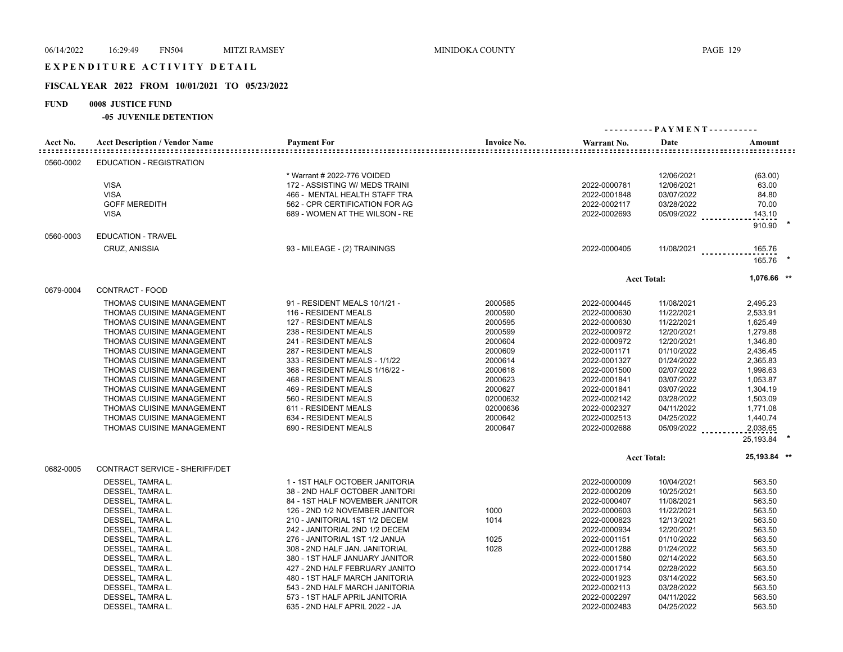## EXPENDITURE ACTIVITY DETAIL

### **FISCAL YEAR 2022 FROM 10/01/2021 TO 05/23/2022**

### **FUND 0008 JUSTICE FUND**

| Acct No.  | <b>Acct Description / Vendor Name</b> | <b>Payment For</b>             | <b>Invoice No.</b> | Warrant No.  | Date               | Amount                  |  |
|-----------|---------------------------------------|--------------------------------|--------------------|--------------|--------------------|-------------------------|--|
| 0560-0002 | EDUCATION - REGISTRATION              |                                |                    |              |                    |                         |  |
|           |                                       | * Warrant # 2022-776 VOIDED    |                    |              | 12/06/2021         | (63.00)                 |  |
|           | <b>VISA</b>                           | 172 - ASSISTING W/ MEDS TRAINI |                    | 2022-0000781 | 12/06/2021         | 63.00                   |  |
|           | <b>VISA</b>                           | 466 - MENTAL HEALTH STAFF TRA  |                    | 2022-0001848 | 03/07/2022         | 84.80                   |  |
|           | <b>GOFF MEREDITH</b>                  | 562 - CPR CERTIFICATION FOR AG |                    | 2022-0002117 | 03/28/2022         | 70.00                   |  |
|           | <b>VISA</b>                           | 689 - WOMEN AT THE WILSON - RE |                    | 2022-0002693 | 05/09/2022         | 143.10                  |  |
|           |                                       |                                |                    |              |                    | 910.90                  |  |
| 0560-0003 | <b>EDUCATION - TRAVEL</b>             |                                |                    |              |                    |                         |  |
|           | <b>CRUZ, ANISSIA</b>                  | 93 - MILEAGE - (2) TRAININGS   |                    | 2022-0000405 | 11/08/2021         | 165.76<br>1.1.1.1.1.1.1 |  |
|           |                                       |                                |                    |              |                    | 165.76 *                |  |
|           |                                       |                                |                    |              | <b>Acct Total:</b> | 1,076.66 **             |  |
| 0679-0004 | CONTRACT - FOOD                       |                                |                    |              |                    |                         |  |
|           | THOMAS CUISINE MANAGEMENT             | 91 - RESIDENT MEALS 10/1/21 -  | 2000585            | 2022-0000445 | 11/08/2021         | 2,495.23                |  |
|           | THOMAS CUISINE MANAGEMENT             | 116 - RESIDENT MEALS           | 2000590            | 2022-0000630 | 11/22/2021         | 2,533.91                |  |
|           | THOMAS CUISINE MANAGEMENT             | 127 - RESIDENT MEALS           | 2000595            | 2022-0000630 | 11/22/2021         | 1,625.49                |  |
|           | THOMAS CUISINE MANAGEMENT             | 238 - RESIDENT MEALS           | 2000599            | 2022-0000972 | 12/20/2021         | 1,279.88                |  |
|           | <b>THOMAS CUISINE MANAGEMENT</b>      | 241 - RESIDENT MEALS           | 2000604            | 2022-0000972 | 12/20/2021         | 1,346.80                |  |
|           | <b>THOMAS CUISINE MANAGEMENT</b>      | 287 - RESIDENT MEALS           | 2000609            | 2022-0001171 | 01/10/2022         | 2,436.45                |  |
|           | <b>THOMAS CUISINE MANAGEMENT</b>      | 333 - RESIDENT MEALS - 1/1/22  | 2000614            | 2022-0001327 | 01/24/2022         | 2,365.83                |  |
|           | <b>THOMAS CUISINE MANAGEMENT</b>      | 368 - RESIDENT MEALS 1/16/22 - | 2000618            | 2022-0001500 | 02/07/2022         | 1,998.63                |  |
|           | THOMAS CUISINE MANAGEMENT             | 468 - RESIDENT MEALS           | 2000623            | 2022-0001841 | 03/07/2022         | 1,053.87                |  |
|           | <b>THOMAS CUISINE MANAGEMENT</b>      | 469 - RESIDENT MEALS           | 2000627            | 2022-0001841 | 03/07/2022         | 1,304.19                |  |
|           | THOMAS CUISINE MANAGEMENT             | 560 - RESIDENT MEALS           | 02000632           | 2022-0002142 | 03/28/2022         | 1,503.09                |  |
|           | THOMAS CUISINE MANAGEMENT             | 611 - RESIDENT MEALS           | 02000636           | 2022-0002327 | 04/11/2022         | 1,771.08                |  |
|           | THOMAS CUISINE MANAGEMENT             | 634 - RESIDENT MEALS           | 2000642            | 2022-0002513 | 04/25/2022         | 1,440.74                |  |
|           | THOMAS CUISINE MANAGEMENT             | 690 - RESIDENT MEALS           | 2000647            | 2022-0002688 | 05/09/2022         | 2,038.65                |  |
|           |                                       |                                |                    |              |                    | 25,193.84 *             |  |
|           |                                       |                                |                    |              | <b>Acct Total:</b> | 25,193.84 **            |  |
| 0682-0005 | CONTRACT SERVICE - SHERIFF/DET        |                                |                    |              |                    |                         |  |
|           | DESSEL, TAMRA L.                      | 1 - 1ST HALF OCTOBER JANITORIA |                    | 2022-0000009 | 10/04/2021         | 563.50                  |  |
|           | DESSEL, TAMRA L.                      | 38 - 2ND HALF OCTOBER JANITORI |                    | 2022-0000209 | 10/25/2021         | 563.50                  |  |
|           | DESSEL, TAMRA L.                      | 84 - 1ST HALF NOVEMBER JANITOR |                    | 2022-0000407 | 11/08/2021         | 563.50                  |  |
|           | DESSEL, TAMRA L.                      | 126 - 2ND 1/2 NOVEMBER JANITOR | 1000               | 2022-0000603 | 11/22/2021         | 563.50                  |  |
|           | DESSEL, TAMRA L.                      | 210 - JANITORIAL 1ST 1/2 DECEM | 1014               | 2022-0000823 | 12/13/2021         | 563.50                  |  |
|           | DESSEL, TAMRA L.                      | 242 - JANITORIAL 2ND 1/2 DECEM |                    | 2022-0000934 | 12/20/2021         | 563.50                  |  |
|           | DESSEL, TAMRA L.                      | 276 - JANITORIAL 1ST 1/2 JANUA | 1025               | 2022-0001151 | 01/10/2022         | 563.50                  |  |
|           | DESSEL, TAMRA L.                      | 308 - 2ND HALF JAN. JANITORIAL | 1028               | 2022-0001288 | 01/24/2022         | 563.50                  |  |
|           | DESSEL, TAMRA L.                      | 380 - 1ST HALF JANUARY JANITOR |                    | 2022-0001580 | 02/14/2022         | 563.50                  |  |
|           | DESSEL, TAMRA L.                      | 427 - 2ND HALF FEBRUARY JANITO |                    | 2022-0001714 | 02/28/2022         | 563.50                  |  |
|           | DESSEL, TAMRA L.                      | 480 - 1ST HALF MARCH JANITORIA |                    | 2022-0001923 | 03/14/2022         | 563.50                  |  |
|           | DESSEL, TAMRA L.                      | 543 - 2ND HALF MARCH JANITORIA |                    | 2022-0002113 | 03/28/2022         | 563.50                  |  |
|           | DESSEL, TAMRA L.                      | 573 - 1ST HALF APRIL JANITORIA |                    | 2022-0002297 | 04/11/2022         | 563.50                  |  |
|           | DESSEL, TAMRA L.                      | 635 - 2ND HALF APRIL 2022 - JA |                    | 2022-0002483 | 04/25/2022         | 563.50                  |  |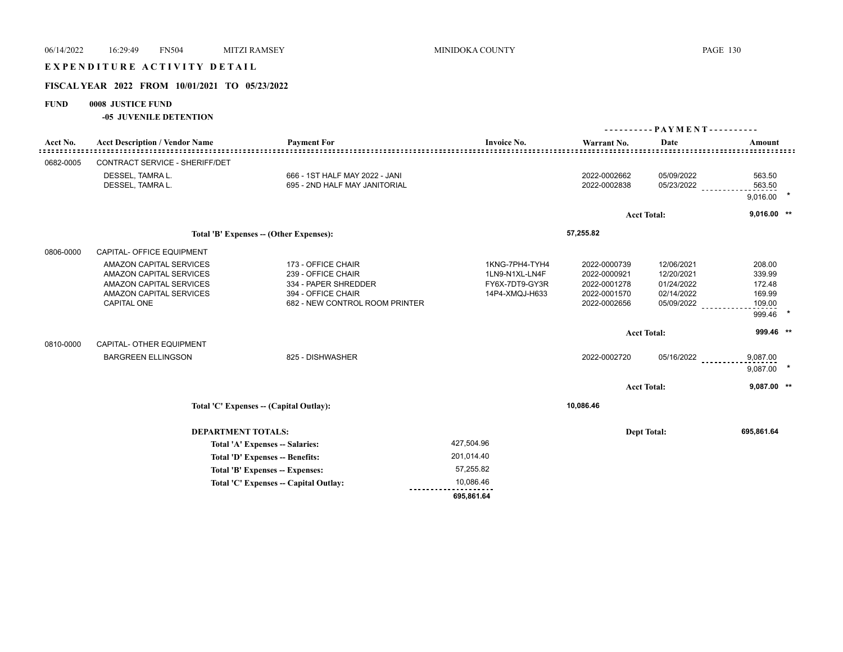| 06/14/2022    | 16:29:49<br><b>FN504</b>                                                                                                                     | <b>MITZI RAMSEY</b>                                                                                                      | MINIDOKA COUNTY                                                      |                                                                              |                                                                    | <b>PAGE 130</b>                                          |  |
|---------------|----------------------------------------------------------------------------------------------------------------------------------------------|--------------------------------------------------------------------------------------------------------------------------|----------------------------------------------------------------------|------------------------------------------------------------------------------|--------------------------------------------------------------------|----------------------------------------------------------|--|
|               | EXPENDITURE ACTIVITY DETAIL                                                                                                                  |                                                                                                                          |                                                                      |                                                                              |                                                                    |                                                          |  |
|               | FISCAL YEAR 2022 FROM 10/01/2021 TO 05/23/2022                                                                                               |                                                                                                                          |                                                                      |                                                                              |                                                                    |                                                          |  |
| <b>FUND</b>   | 0008 JUSTICE FUND<br>-05 JUVENILE DETENTION                                                                                                  |                                                                                                                          |                                                                      |                                                                              |                                                                    |                                                          |  |
|               |                                                                                                                                              |                                                                                                                          |                                                                      |                                                                              |                                                                    |                                                          |  |
| Acct No.<br>. | <b>Acct Description / Vendor Name</b>                                                                                                        | <b>Payment For</b>                                                                                                       | <b>Invoice No.</b>                                                   | Warrant No.                                                                  | Date                                                               | Amount                                                   |  |
| 0682-0005     | CONTRACT SERVICE - SHERIFF/DET                                                                                                               |                                                                                                                          |                                                                      |                                                                              |                                                                    |                                                          |  |
|               | DESSEL, TAMRA L.<br>DESSEL, TAMRA L.                                                                                                         | 666 - 1ST HALF MAY 2022 - JANI<br>695 - 2ND HALF MAY JANITORIAL                                                          |                                                                      | 2022-0002662<br>2022-0002838                                                 | 05/09/2022<br>05/23/2022                                           | 563.50<br>563.50<br>9,016.00                             |  |
|               |                                                                                                                                              |                                                                                                                          |                                                                      |                                                                              | <b>Acct Total:</b>                                                 | $9,016.00$ **                                            |  |
|               |                                                                                                                                              | Total 'B' Expenses -- (Other Expenses):                                                                                  |                                                                      | 57,255.82                                                                    |                                                                    |                                                          |  |
| 0806-0000     | CAPITAL- OFFICE EQUIPMENT                                                                                                                    |                                                                                                                          |                                                                      |                                                                              |                                                                    |                                                          |  |
|               | <b>AMAZON CAPITAL SERVICES</b><br>AMAZON CAPITAL SERVICES<br><b>AMAZON CAPITAL SERVICES</b><br><b>AMAZON CAPITAL SERVICES</b><br>CAPITAL ONE | 173 - OFFICE CHAIR<br>239 - OFFICE CHAIR<br>334 - PAPER SHREDDER<br>394 - OFFICE CHAIR<br>682 - NEW CONTROL ROOM PRINTER | 1KNG-7PH4-TYH4<br>1LN9-N1XL-LN4F<br>FY6X-7DT9-GY3R<br>14P4-XMQJ-H633 | 2022-0000739<br>2022-0000921<br>2022-0001278<br>2022-0001570<br>2022-0002656 | 12/06/2021<br>12/20/2021<br>01/24/2022<br>02/14/2022<br>05/09/2022 | 208.00<br>339.99<br>172.48<br>169.99<br>109.00<br>999.46 |  |
| 0810-0000     | CAPITAL- OTHER EQUIPMENT                                                                                                                     |                                                                                                                          |                                                                      |                                                                              | <b>Acct Total:</b>                                                 | 999.46 **                                                |  |
|               | <b>BARGREEN ELLINGSON</b>                                                                                                                    | 825 - DISHWASHER                                                                                                         |                                                                      | 2022-0002720                                                                 | 05/16/2022                                                         | 9,087.00<br>9,087.00                                     |  |
|               |                                                                                                                                              |                                                                                                                          |                                                                      |                                                                              | <b>Acct Total:</b>                                                 | $9,087.00$ **                                            |  |
|               |                                                                                                                                              | Total 'C' Expenses -- (Capital Outlay):                                                                                  |                                                                      | 10,086.46                                                                    |                                                                    |                                                          |  |
|               |                                                                                                                                              | <b>DEPARTMENT TOTALS:</b>                                                                                                |                                                                      |                                                                              | <b>Dept Total:</b>                                                 | 695,861.64                                               |  |
|               |                                                                                                                                              | Total 'A' Expenses -- Salaries:                                                                                          | 427,504.96                                                           |                                                                              |                                                                    |                                                          |  |
|               |                                                                                                                                              | Total 'D' Expenses -- Benefits:                                                                                          | 201,014.40                                                           |                                                                              |                                                                    |                                                          |  |
|               |                                                                                                                                              | Total 'B' Expenses -- Expenses:                                                                                          | 57,255.82                                                            |                                                                              |                                                                    |                                                          |  |
|               |                                                                                                                                              | Total 'C' Expenses - Capital Outlay:                                                                                     | 10,086.46                                                            |                                                                              |                                                                    |                                                          |  |
|               |                                                                                                                                              |                                                                                                                          | 695,861.64                                                           |                                                                              |                                                                    |                                                          |  |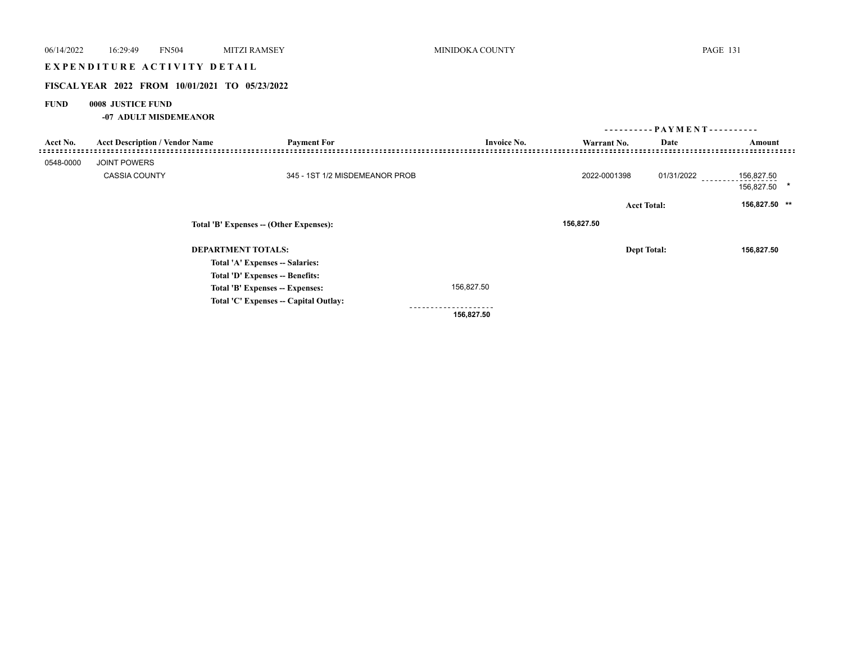# EXPENDITURE ACTIVITY DETAIL

## **FISCAL YEAR 2022 FROM 10/01/2021 TO 05/23/2022**

## **FUND 0008 JUSTICE FUND**

**-07 ADULT MISDEMEANOR**

|                                         |                                       |                                       |                          |                    |            | ---------- PAYMENT---------- |
|-----------------------------------------|---------------------------------------|---------------------------------------|--------------------------|--------------------|------------|------------------------------|
| Acct No.                                | <b>Acct Description / Vendor Name</b> | <b>Payment For</b>                    | <b>Invoice No.</b>       | Warrant No.        | Date       | Amount                       |
| 0548-0000                               | <b>JOINT POWERS</b>                   |                                       |                          |                    |            |                              |
|                                         | <b>CASSIA COUNTY</b>                  | 345 - 1ST 1/2 MISDEMEANOR PROB        |                          | 2022-0001398       | 01/31/2022 | 156,827.50<br>156,827.50 *   |
|                                         |                                       |                                       |                          | <b>Acct Total:</b> |            | 156,827.50 **                |
| Total 'B' Expenses -- (Other Expenses): |                                       |                                       | 156,827.50               |                    |            |                              |
|                                         |                                       | <b>DEPARTMENT TOTALS:</b>             |                          | <b>Dept Total:</b> |            | 156,827.50                   |
|                                         |                                       | Total 'A' Expenses -- Salaries:       |                          |                    |            |                              |
|                                         |                                       | Total 'D' Expenses -- Benefits:       |                          |                    |            |                              |
|                                         |                                       | Total 'B' Expenses -- Expenses:       | 156,827.50               |                    |            |                              |
|                                         |                                       | Total 'C' Expenses -- Capital Outlay: |                          |                    |            |                              |
|                                         |                                       |                                       | ----------<br>156,827.50 |                    |            |                              |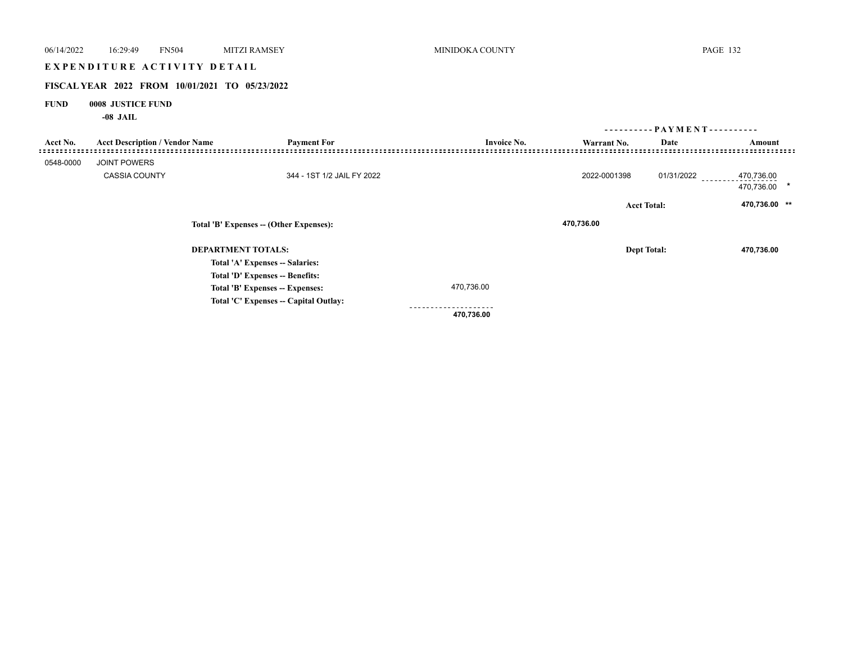|             | EXPENDITURE ACTIVITY DETAIL           |                                                |                    |              |                    |                              |
|-------------|---------------------------------------|------------------------------------------------|--------------------|--------------|--------------------|------------------------------|
|             |                                       |                                                |                    |              |                    |                              |
|             |                                       | FISCAL YEAR 2022 FROM 10/01/2021 TO 05/23/2022 |                    |              |                    |                              |
| <b>FUND</b> | 0008 JUSTICE FUND<br>$-08$ JAIL       |                                                |                    |              |                    |                              |
|             |                                       |                                                |                    |              |                    | ---------- PAYMENT---------- |
| Acct No.    | <b>Acct Description / Vendor Name</b> | <b>Payment For</b>                             | <b>Invoice No.</b> | Warrant No.  | Date               | Amount                       |
| 0548-0000   | JOINT POWERS                          |                                                |                    |              |                    |                              |
|             |                                       |                                                |                    |              |                    |                              |
|             | <b>CASSIA COUNTY</b>                  | 344 - 1ST 1/2 JAIL FY 2022                     |                    | 2022-0001398 | $01/31/2022$       | 470,736.00<br>470,736.00 *   |
|             |                                       |                                                |                    |              | <b>Acct Total:</b> | 470,736.00 **                |
|             |                                       | Total 'B' Expenses -- (Other Expenses):        |                    | 470,736.00   |                    |                              |
|             |                                       | <b>DEPARTMENT TOTALS:</b>                      |                    |              | <b>Dept Total:</b> | 470,736.00                   |
|             |                                       | Total 'A' Expenses -- Salaries:                |                    |              |                    |                              |
|             |                                       | Total 'D' Expenses -- Benefits:                |                    |              |                    |                              |
|             |                                       | Total 'B' Expenses -- Expenses:                | 470,736.00         |              |                    |                              |
|             |                                       | Total 'C' Expenses -- Capital Outlay:          |                    |              |                    |                              |
|             |                                       |                                                | .<br>470,736.00    |              |                    |                              |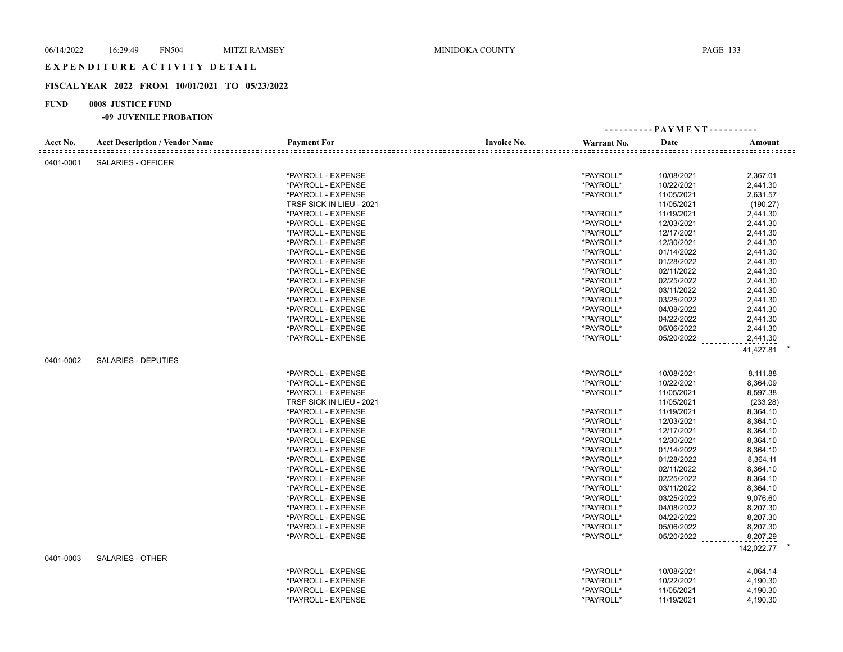## EXPENDITURE ACTIVITY DETAIL

## **FISCAL YEAR 2022 FROM 10/01/2021 TO 05/23/2022**

## **FUND 0008 JUSTICE FUND**

| Acct No.<br><b>Acct Description / Vendor Name</b><br><b>Payment For</b><br><b>Invoice No.</b><br>Warrant No.<br>Date<br>Amount<br>SALARIES - OFFICER<br>0401-0001<br>*PAYROLL - EXPENSE<br>*PAYROLL*<br>10/08/2021<br>2,367.01<br>*PAYROLL*<br>*PAYROLL - EXPENSE<br>10/22/2021<br>2,441.30<br>*PAYROLL*<br>2,631.57<br>*PAYROLL - EXPENSE<br>11/05/2021<br>11/05/2021<br>TRSF SICK IN LIEU - 2021<br>(190.27)<br>*PAYROLL - EXPENSE<br>*PAYROLL*<br>11/19/2021<br>2,441.30<br>*PAYROLL*<br>12/03/2021<br>2,441.30<br>*PAYROLL - EXPENSE<br>*PAYROLL - EXPENSE<br>*PAYROLL*<br>12/17/2021<br>2,441.30<br>*PAYROLL - EXPENSE<br>*PAYROLL*<br>12/30/2021<br>2,441.30<br>*PAYROLL*<br>*PAYROLL - EXPENSE<br>01/14/2022<br>2,441.30<br>*PAYROLL*<br>01/28/2022<br>2,441.30<br>*PAYROLL - EXPENSE<br>*PAYROLL - EXPENSE<br>*PAYROLL*<br>02/11/2022<br>2,441.30<br>*PAYROLL - EXPENSE<br>*PAYROLL*<br>02/25/2022<br>2,441.30<br>*PAYROLL - EXPENSE<br>*PAYROLL*<br>03/11/2022<br>2,441.30<br>*PAYROLL*<br>03/25/2022<br>2,441.30<br>*PAYROLL - EXPENSE<br>*PAYROLL*<br>*PAYROLL - EXPENSE<br>04/08/2022<br>2,441.30<br>*PAYROLL*<br>04/22/2022<br>*PAYROLL - EXPENSE<br>2,441.30<br>*PAYROLL - EXPENSE<br>*PAYROLL*<br>05/06/2022<br>2,441.30<br>*PAYROLL*<br>*PAYROLL - EXPENSE<br>05/20/2022<br>2,441.30<br>41,427.81<br>0401-0002<br><b>SALARIES - DEPUTIES</b><br>*PAYROLL*<br>*PAYROLL - EXPENSE<br>10/08/2021<br>8,111.88<br>*PAYROLL*<br>10/22/2021<br>*PAYROLL - EXPENSE<br>8,364.09<br>*PAYROLL - EXPENSE<br>*PAYROLL*<br>11/05/2021<br>8,597.38<br>TRSF SICK IN LIEU - 2021<br>11/05/2021<br>(233.28)<br>*PAYROLL - EXPENSE<br>*PAYROLL*<br>11/19/2021<br>8,364.10<br>*PAYROLL - EXPENSE<br>*PAYROLL*<br>12/03/2021<br>8,364.10<br>*PAYROLL*<br>8,364.10<br>*PAYROLL - EXPENSE<br>12/17/2021<br>*PAYROLL - EXPENSE<br>*PAYROLL*<br>12/30/2021<br>8,364.10<br>*PAYROLL*<br>*PAYROLL - EXPENSE<br>01/14/2022<br>8,364.10<br>*PAYROLL*<br>8,364.11<br>*PAYROLL - EXPENSE<br>01/28/2022<br>*PAYROLL - EXPENSE<br>*PAYROLL*<br>02/11/2022<br>8,364.10<br>02/25/2022<br>8,364.10<br>*PAYROLL - EXPENSE<br>*PAYROLL*<br>*PAYROLL - EXPENSE<br>*PAYROLL*<br>03/11/2022<br>8,364.10<br>*PAYROLL - EXPENSE<br>*PAYROLL*<br>03/25/2022<br>9,076.60<br>*PAYROLL - EXPENSE<br>*PAYROLL*<br>04/08/2022<br>8,207.30<br>*PAYROLL*<br>04/22/2022<br>8,207.30<br>*PAYROLL - EXPENSE<br>*PAYROLL - EXPENSE<br>*PAYROLL*<br>05/06/2022<br>8,207.30<br>8,207.29<br>*PAYROLL - EXPENSE<br>*PAYROLL*<br>05/20/2022<br>142,022.77 *<br><b>SALARIES - OTHER</b><br>0401-0003<br>*PAYROLL*<br>*PAYROLL - EXPENSE<br>10/08/2021<br>4,064.14<br>*PAYROLL - EXPENSE<br>*PAYROLL*<br>10/22/2021<br>4,190.30<br>*PAYROLL - EXPENSE<br>*PAYROLL*<br>11/05/2021<br>4,190.30<br>*PAYROLL - EXPENSE<br>*PAYROLL*<br>11/19/2021<br>4,190.30 |  |  | ---------- PAYMENT---------- |  |
|-------------------------------------------------------------------------------------------------------------------------------------------------------------------------------------------------------------------------------------------------------------------------------------------------------------------------------------------------------------------------------------------------------------------------------------------------------------------------------------------------------------------------------------------------------------------------------------------------------------------------------------------------------------------------------------------------------------------------------------------------------------------------------------------------------------------------------------------------------------------------------------------------------------------------------------------------------------------------------------------------------------------------------------------------------------------------------------------------------------------------------------------------------------------------------------------------------------------------------------------------------------------------------------------------------------------------------------------------------------------------------------------------------------------------------------------------------------------------------------------------------------------------------------------------------------------------------------------------------------------------------------------------------------------------------------------------------------------------------------------------------------------------------------------------------------------------------------------------------------------------------------------------------------------------------------------------------------------------------------------------------------------------------------------------------------------------------------------------------------------------------------------------------------------------------------------------------------------------------------------------------------------------------------------------------------------------------------------------------------------------------------------------------------------------------------------------------------------------------------------------------------------------------------------------------------------------------------------------------------------------------------------------------------------------------------------------------------------------------------------------------------------------------------------------------------|--|--|------------------------------|--|
|                                                                                                                                                                                                                                                                                                                                                                                                                                                                                                                                                                                                                                                                                                                                                                                                                                                                                                                                                                                                                                                                                                                                                                                                                                                                                                                                                                                                                                                                                                                                                                                                                                                                                                                                                                                                                                                                                                                                                                                                                                                                                                                                                                                                                                                                                                                                                                                                                                                                                                                                                                                                                                                                                                                                                                                                             |  |  |                              |  |
|                                                                                                                                                                                                                                                                                                                                                                                                                                                                                                                                                                                                                                                                                                                                                                                                                                                                                                                                                                                                                                                                                                                                                                                                                                                                                                                                                                                                                                                                                                                                                                                                                                                                                                                                                                                                                                                                                                                                                                                                                                                                                                                                                                                                                                                                                                                                                                                                                                                                                                                                                                                                                                                                                                                                                                                                             |  |  |                              |  |
|                                                                                                                                                                                                                                                                                                                                                                                                                                                                                                                                                                                                                                                                                                                                                                                                                                                                                                                                                                                                                                                                                                                                                                                                                                                                                                                                                                                                                                                                                                                                                                                                                                                                                                                                                                                                                                                                                                                                                                                                                                                                                                                                                                                                                                                                                                                                                                                                                                                                                                                                                                                                                                                                                                                                                                                                             |  |  |                              |  |
|                                                                                                                                                                                                                                                                                                                                                                                                                                                                                                                                                                                                                                                                                                                                                                                                                                                                                                                                                                                                                                                                                                                                                                                                                                                                                                                                                                                                                                                                                                                                                                                                                                                                                                                                                                                                                                                                                                                                                                                                                                                                                                                                                                                                                                                                                                                                                                                                                                                                                                                                                                                                                                                                                                                                                                                                             |  |  |                              |  |
|                                                                                                                                                                                                                                                                                                                                                                                                                                                                                                                                                                                                                                                                                                                                                                                                                                                                                                                                                                                                                                                                                                                                                                                                                                                                                                                                                                                                                                                                                                                                                                                                                                                                                                                                                                                                                                                                                                                                                                                                                                                                                                                                                                                                                                                                                                                                                                                                                                                                                                                                                                                                                                                                                                                                                                                                             |  |  |                              |  |
|                                                                                                                                                                                                                                                                                                                                                                                                                                                                                                                                                                                                                                                                                                                                                                                                                                                                                                                                                                                                                                                                                                                                                                                                                                                                                                                                                                                                                                                                                                                                                                                                                                                                                                                                                                                                                                                                                                                                                                                                                                                                                                                                                                                                                                                                                                                                                                                                                                                                                                                                                                                                                                                                                                                                                                                                             |  |  |                              |  |
|                                                                                                                                                                                                                                                                                                                                                                                                                                                                                                                                                                                                                                                                                                                                                                                                                                                                                                                                                                                                                                                                                                                                                                                                                                                                                                                                                                                                                                                                                                                                                                                                                                                                                                                                                                                                                                                                                                                                                                                                                                                                                                                                                                                                                                                                                                                                                                                                                                                                                                                                                                                                                                                                                                                                                                                                             |  |  |                              |  |
|                                                                                                                                                                                                                                                                                                                                                                                                                                                                                                                                                                                                                                                                                                                                                                                                                                                                                                                                                                                                                                                                                                                                                                                                                                                                                                                                                                                                                                                                                                                                                                                                                                                                                                                                                                                                                                                                                                                                                                                                                                                                                                                                                                                                                                                                                                                                                                                                                                                                                                                                                                                                                                                                                                                                                                                                             |  |  |                              |  |
|                                                                                                                                                                                                                                                                                                                                                                                                                                                                                                                                                                                                                                                                                                                                                                                                                                                                                                                                                                                                                                                                                                                                                                                                                                                                                                                                                                                                                                                                                                                                                                                                                                                                                                                                                                                                                                                                                                                                                                                                                                                                                                                                                                                                                                                                                                                                                                                                                                                                                                                                                                                                                                                                                                                                                                                                             |  |  |                              |  |
|                                                                                                                                                                                                                                                                                                                                                                                                                                                                                                                                                                                                                                                                                                                                                                                                                                                                                                                                                                                                                                                                                                                                                                                                                                                                                                                                                                                                                                                                                                                                                                                                                                                                                                                                                                                                                                                                                                                                                                                                                                                                                                                                                                                                                                                                                                                                                                                                                                                                                                                                                                                                                                                                                                                                                                                                             |  |  |                              |  |
|                                                                                                                                                                                                                                                                                                                                                                                                                                                                                                                                                                                                                                                                                                                                                                                                                                                                                                                                                                                                                                                                                                                                                                                                                                                                                                                                                                                                                                                                                                                                                                                                                                                                                                                                                                                                                                                                                                                                                                                                                                                                                                                                                                                                                                                                                                                                                                                                                                                                                                                                                                                                                                                                                                                                                                                                             |  |  |                              |  |
|                                                                                                                                                                                                                                                                                                                                                                                                                                                                                                                                                                                                                                                                                                                                                                                                                                                                                                                                                                                                                                                                                                                                                                                                                                                                                                                                                                                                                                                                                                                                                                                                                                                                                                                                                                                                                                                                                                                                                                                                                                                                                                                                                                                                                                                                                                                                                                                                                                                                                                                                                                                                                                                                                                                                                                                                             |  |  |                              |  |
|                                                                                                                                                                                                                                                                                                                                                                                                                                                                                                                                                                                                                                                                                                                                                                                                                                                                                                                                                                                                                                                                                                                                                                                                                                                                                                                                                                                                                                                                                                                                                                                                                                                                                                                                                                                                                                                                                                                                                                                                                                                                                                                                                                                                                                                                                                                                                                                                                                                                                                                                                                                                                                                                                                                                                                                                             |  |  |                              |  |
|                                                                                                                                                                                                                                                                                                                                                                                                                                                                                                                                                                                                                                                                                                                                                                                                                                                                                                                                                                                                                                                                                                                                                                                                                                                                                                                                                                                                                                                                                                                                                                                                                                                                                                                                                                                                                                                                                                                                                                                                                                                                                                                                                                                                                                                                                                                                                                                                                                                                                                                                                                                                                                                                                                                                                                                                             |  |  |                              |  |
|                                                                                                                                                                                                                                                                                                                                                                                                                                                                                                                                                                                                                                                                                                                                                                                                                                                                                                                                                                                                                                                                                                                                                                                                                                                                                                                                                                                                                                                                                                                                                                                                                                                                                                                                                                                                                                                                                                                                                                                                                                                                                                                                                                                                                                                                                                                                                                                                                                                                                                                                                                                                                                                                                                                                                                                                             |  |  |                              |  |
|                                                                                                                                                                                                                                                                                                                                                                                                                                                                                                                                                                                                                                                                                                                                                                                                                                                                                                                                                                                                                                                                                                                                                                                                                                                                                                                                                                                                                                                                                                                                                                                                                                                                                                                                                                                                                                                                                                                                                                                                                                                                                                                                                                                                                                                                                                                                                                                                                                                                                                                                                                                                                                                                                                                                                                                                             |  |  |                              |  |
|                                                                                                                                                                                                                                                                                                                                                                                                                                                                                                                                                                                                                                                                                                                                                                                                                                                                                                                                                                                                                                                                                                                                                                                                                                                                                                                                                                                                                                                                                                                                                                                                                                                                                                                                                                                                                                                                                                                                                                                                                                                                                                                                                                                                                                                                                                                                                                                                                                                                                                                                                                                                                                                                                                                                                                                                             |  |  |                              |  |
|                                                                                                                                                                                                                                                                                                                                                                                                                                                                                                                                                                                                                                                                                                                                                                                                                                                                                                                                                                                                                                                                                                                                                                                                                                                                                                                                                                                                                                                                                                                                                                                                                                                                                                                                                                                                                                                                                                                                                                                                                                                                                                                                                                                                                                                                                                                                                                                                                                                                                                                                                                                                                                                                                                                                                                                                             |  |  |                              |  |
|                                                                                                                                                                                                                                                                                                                                                                                                                                                                                                                                                                                                                                                                                                                                                                                                                                                                                                                                                                                                                                                                                                                                                                                                                                                                                                                                                                                                                                                                                                                                                                                                                                                                                                                                                                                                                                                                                                                                                                                                                                                                                                                                                                                                                                                                                                                                                                                                                                                                                                                                                                                                                                                                                                                                                                                                             |  |  |                              |  |
|                                                                                                                                                                                                                                                                                                                                                                                                                                                                                                                                                                                                                                                                                                                                                                                                                                                                                                                                                                                                                                                                                                                                                                                                                                                                                                                                                                                                                                                                                                                                                                                                                                                                                                                                                                                                                                                                                                                                                                                                                                                                                                                                                                                                                                                                                                                                                                                                                                                                                                                                                                                                                                                                                                                                                                                                             |  |  |                              |  |
|                                                                                                                                                                                                                                                                                                                                                                                                                                                                                                                                                                                                                                                                                                                                                                                                                                                                                                                                                                                                                                                                                                                                                                                                                                                                                                                                                                                                                                                                                                                                                                                                                                                                                                                                                                                                                                                                                                                                                                                                                                                                                                                                                                                                                                                                                                                                                                                                                                                                                                                                                                                                                                                                                                                                                                                                             |  |  |                              |  |
|                                                                                                                                                                                                                                                                                                                                                                                                                                                                                                                                                                                                                                                                                                                                                                                                                                                                                                                                                                                                                                                                                                                                                                                                                                                                                                                                                                                                                                                                                                                                                                                                                                                                                                                                                                                                                                                                                                                                                                                                                                                                                                                                                                                                                                                                                                                                                                                                                                                                                                                                                                                                                                                                                                                                                                                                             |  |  |                              |  |
|                                                                                                                                                                                                                                                                                                                                                                                                                                                                                                                                                                                                                                                                                                                                                                                                                                                                                                                                                                                                                                                                                                                                                                                                                                                                                                                                                                                                                                                                                                                                                                                                                                                                                                                                                                                                                                                                                                                                                                                                                                                                                                                                                                                                                                                                                                                                                                                                                                                                                                                                                                                                                                                                                                                                                                                                             |  |  |                              |  |
|                                                                                                                                                                                                                                                                                                                                                                                                                                                                                                                                                                                                                                                                                                                                                                                                                                                                                                                                                                                                                                                                                                                                                                                                                                                                                                                                                                                                                                                                                                                                                                                                                                                                                                                                                                                                                                                                                                                                                                                                                                                                                                                                                                                                                                                                                                                                                                                                                                                                                                                                                                                                                                                                                                                                                                                                             |  |  |                              |  |
|                                                                                                                                                                                                                                                                                                                                                                                                                                                                                                                                                                                                                                                                                                                                                                                                                                                                                                                                                                                                                                                                                                                                                                                                                                                                                                                                                                                                                                                                                                                                                                                                                                                                                                                                                                                                                                                                                                                                                                                                                                                                                                                                                                                                                                                                                                                                                                                                                                                                                                                                                                                                                                                                                                                                                                                                             |  |  |                              |  |
|                                                                                                                                                                                                                                                                                                                                                                                                                                                                                                                                                                                                                                                                                                                                                                                                                                                                                                                                                                                                                                                                                                                                                                                                                                                                                                                                                                                                                                                                                                                                                                                                                                                                                                                                                                                                                                                                                                                                                                                                                                                                                                                                                                                                                                                                                                                                                                                                                                                                                                                                                                                                                                                                                                                                                                                                             |  |  |                              |  |
|                                                                                                                                                                                                                                                                                                                                                                                                                                                                                                                                                                                                                                                                                                                                                                                                                                                                                                                                                                                                                                                                                                                                                                                                                                                                                                                                                                                                                                                                                                                                                                                                                                                                                                                                                                                                                                                                                                                                                                                                                                                                                                                                                                                                                                                                                                                                                                                                                                                                                                                                                                                                                                                                                                                                                                                                             |  |  |                              |  |
|                                                                                                                                                                                                                                                                                                                                                                                                                                                                                                                                                                                                                                                                                                                                                                                                                                                                                                                                                                                                                                                                                                                                                                                                                                                                                                                                                                                                                                                                                                                                                                                                                                                                                                                                                                                                                                                                                                                                                                                                                                                                                                                                                                                                                                                                                                                                                                                                                                                                                                                                                                                                                                                                                                                                                                                                             |  |  |                              |  |
|                                                                                                                                                                                                                                                                                                                                                                                                                                                                                                                                                                                                                                                                                                                                                                                                                                                                                                                                                                                                                                                                                                                                                                                                                                                                                                                                                                                                                                                                                                                                                                                                                                                                                                                                                                                                                                                                                                                                                                                                                                                                                                                                                                                                                                                                                                                                                                                                                                                                                                                                                                                                                                                                                                                                                                                                             |  |  |                              |  |
|                                                                                                                                                                                                                                                                                                                                                                                                                                                                                                                                                                                                                                                                                                                                                                                                                                                                                                                                                                                                                                                                                                                                                                                                                                                                                                                                                                                                                                                                                                                                                                                                                                                                                                                                                                                                                                                                                                                                                                                                                                                                                                                                                                                                                                                                                                                                                                                                                                                                                                                                                                                                                                                                                                                                                                                                             |  |  |                              |  |
|                                                                                                                                                                                                                                                                                                                                                                                                                                                                                                                                                                                                                                                                                                                                                                                                                                                                                                                                                                                                                                                                                                                                                                                                                                                                                                                                                                                                                                                                                                                                                                                                                                                                                                                                                                                                                                                                                                                                                                                                                                                                                                                                                                                                                                                                                                                                                                                                                                                                                                                                                                                                                                                                                                                                                                                                             |  |  |                              |  |
|                                                                                                                                                                                                                                                                                                                                                                                                                                                                                                                                                                                                                                                                                                                                                                                                                                                                                                                                                                                                                                                                                                                                                                                                                                                                                                                                                                                                                                                                                                                                                                                                                                                                                                                                                                                                                                                                                                                                                                                                                                                                                                                                                                                                                                                                                                                                                                                                                                                                                                                                                                                                                                                                                                                                                                                                             |  |  |                              |  |
|                                                                                                                                                                                                                                                                                                                                                                                                                                                                                                                                                                                                                                                                                                                                                                                                                                                                                                                                                                                                                                                                                                                                                                                                                                                                                                                                                                                                                                                                                                                                                                                                                                                                                                                                                                                                                                                                                                                                                                                                                                                                                                                                                                                                                                                                                                                                                                                                                                                                                                                                                                                                                                                                                                                                                                                                             |  |  |                              |  |
|                                                                                                                                                                                                                                                                                                                                                                                                                                                                                                                                                                                                                                                                                                                                                                                                                                                                                                                                                                                                                                                                                                                                                                                                                                                                                                                                                                                                                                                                                                                                                                                                                                                                                                                                                                                                                                                                                                                                                                                                                                                                                                                                                                                                                                                                                                                                                                                                                                                                                                                                                                                                                                                                                                                                                                                                             |  |  |                              |  |
|                                                                                                                                                                                                                                                                                                                                                                                                                                                                                                                                                                                                                                                                                                                                                                                                                                                                                                                                                                                                                                                                                                                                                                                                                                                                                                                                                                                                                                                                                                                                                                                                                                                                                                                                                                                                                                                                                                                                                                                                                                                                                                                                                                                                                                                                                                                                                                                                                                                                                                                                                                                                                                                                                                                                                                                                             |  |  |                              |  |
|                                                                                                                                                                                                                                                                                                                                                                                                                                                                                                                                                                                                                                                                                                                                                                                                                                                                                                                                                                                                                                                                                                                                                                                                                                                                                                                                                                                                                                                                                                                                                                                                                                                                                                                                                                                                                                                                                                                                                                                                                                                                                                                                                                                                                                                                                                                                                                                                                                                                                                                                                                                                                                                                                                                                                                                                             |  |  |                              |  |
|                                                                                                                                                                                                                                                                                                                                                                                                                                                                                                                                                                                                                                                                                                                                                                                                                                                                                                                                                                                                                                                                                                                                                                                                                                                                                                                                                                                                                                                                                                                                                                                                                                                                                                                                                                                                                                                                                                                                                                                                                                                                                                                                                                                                                                                                                                                                                                                                                                                                                                                                                                                                                                                                                                                                                                                                             |  |  |                              |  |
|                                                                                                                                                                                                                                                                                                                                                                                                                                                                                                                                                                                                                                                                                                                                                                                                                                                                                                                                                                                                                                                                                                                                                                                                                                                                                                                                                                                                                                                                                                                                                                                                                                                                                                                                                                                                                                                                                                                                                                                                                                                                                                                                                                                                                                                                                                                                                                                                                                                                                                                                                                                                                                                                                                                                                                                                             |  |  |                              |  |
|                                                                                                                                                                                                                                                                                                                                                                                                                                                                                                                                                                                                                                                                                                                                                                                                                                                                                                                                                                                                                                                                                                                                                                                                                                                                                                                                                                                                                                                                                                                                                                                                                                                                                                                                                                                                                                                                                                                                                                                                                                                                                                                                                                                                                                                                                                                                                                                                                                                                                                                                                                                                                                                                                                                                                                                                             |  |  |                              |  |
|                                                                                                                                                                                                                                                                                                                                                                                                                                                                                                                                                                                                                                                                                                                                                                                                                                                                                                                                                                                                                                                                                                                                                                                                                                                                                                                                                                                                                                                                                                                                                                                                                                                                                                                                                                                                                                                                                                                                                                                                                                                                                                                                                                                                                                                                                                                                                                                                                                                                                                                                                                                                                                                                                                                                                                                                             |  |  |                              |  |
|                                                                                                                                                                                                                                                                                                                                                                                                                                                                                                                                                                                                                                                                                                                                                                                                                                                                                                                                                                                                                                                                                                                                                                                                                                                                                                                                                                                                                                                                                                                                                                                                                                                                                                                                                                                                                                                                                                                                                                                                                                                                                                                                                                                                                                                                                                                                                                                                                                                                                                                                                                                                                                                                                                                                                                                                             |  |  |                              |  |
|                                                                                                                                                                                                                                                                                                                                                                                                                                                                                                                                                                                                                                                                                                                                                                                                                                                                                                                                                                                                                                                                                                                                                                                                                                                                                                                                                                                                                                                                                                                                                                                                                                                                                                                                                                                                                                                                                                                                                                                                                                                                                                                                                                                                                                                                                                                                                                                                                                                                                                                                                                                                                                                                                                                                                                                                             |  |  |                              |  |
|                                                                                                                                                                                                                                                                                                                                                                                                                                                                                                                                                                                                                                                                                                                                                                                                                                                                                                                                                                                                                                                                                                                                                                                                                                                                                                                                                                                                                                                                                                                                                                                                                                                                                                                                                                                                                                                                                                                                                                                                                                                                                                                                                                                                                                                                                                                                                                                                                                                                                                                                                                                                                                                                                                                                                                                                             |  |  |                              |  |
|                                                                                                                                                                                                                                                                                                                                                                                                                                                                                                                                                                                                                                                                                                                                                                                                                                                                                                                                                                                                                                                                                                                                                                                                                                                                                                                                                                                                                                                                                                                                                                                                                                                                                                                                                                                                                                                                                                                                                                                                                                                                                                                                                                                                                                                                                                                                                                                                                                                                                                                                                                                                                                                                                                                                                                                                             |  |  |                              |  |
|                                                                                                                                                                                                                                                                                                                                                                                                                                                                                                                                                                                                                                                                                                                                                                                                                                                                                                                                                                                                                                                                                                                                                                                                                                                                                                                                                                                                                                                                                                                                                                                                                                                                                                                                                                                                                                                                                                                                                                                                                                                                                                                                                                                                                                                                                                                                                                                                                                                                                                                                                                                                                                                                                                                                                                                                             |  |  |                              |  |
|                                                                                                                                                                                                                                                                                                                                                                                                                                                                                                                                                                                                                                                                                                                                                                                                                                                                                                                                                                                                                                                                                                                                                                                                                                                                                                                                                                                                                                                                                                                                                                                                                                                                                                                                                                                                                                                                                                                                                                                                                                                                                                                                                                                                                                                                                                                                                                                                                                                                                                                                                                                                                                                                                                                                                                                                             |  |  |                              |  |
|                                                                                                                                                                                                                                                                                                                                                                                                                                                                                                                                                                                                                                                                                                                                                                                                                                                                                                                                                                                                                                                                                                                                                                                                                                                                                                                                                                                                                                                                                                                                                                                                                                                                                                                                                                                                                                                                                                                                                                                                                                                                                                                                                                                                                                                                                                                                                                                                                                                                                                                                                                                                                                                                                                                                                                                                             |  |  |                              |  |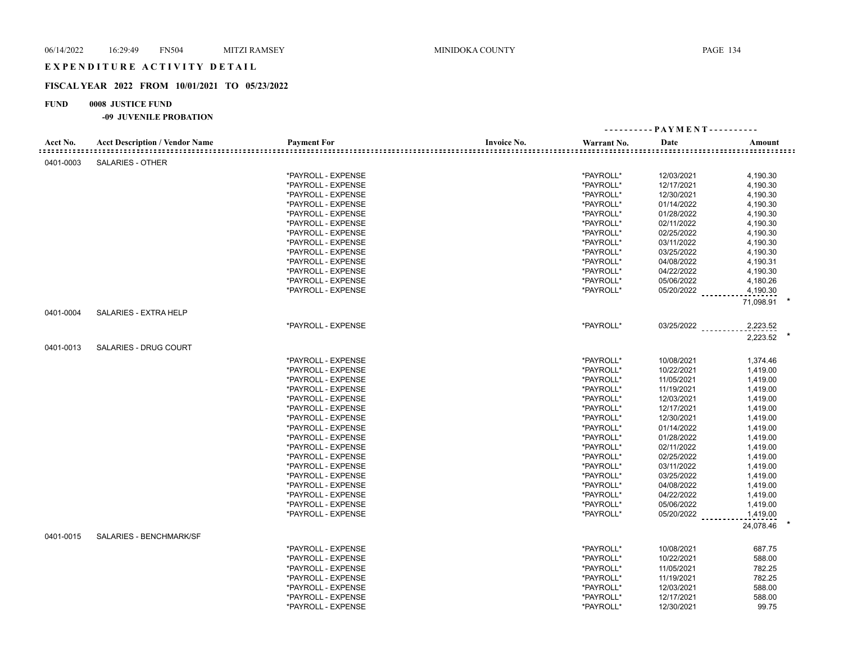## EXPENDITURE ACTIVITY DETAIL

## **FISCAL YEAR 2022 FROM 10/01/2021 TO 05/23/2022**

## **FUND 0008 JUSTICE FUND**

|           |                                       |                    |                    |             | ---------- PAYMENT---------- |           |
|-----------|---------------------------------------|--------------------|--------------------|-------------|------------------------------|-----------|
| Acct No.  | <b>Acct Description / Vendor Name</b> | <b>Payment For</b> | <b>Invoice No.</b> | Warrant No. | Date                         | Amount    |
| 0401-0003 | SALARIES - OTHER                      |                    |                    |             |                              |           |
|           |                                       | *PAYROLL - EXPENSE |                    | *PAYROLL*   | 12/03/2021                   | 4,190.30  |
|           |                                       | *PAYROLL - EXPENSE |                    | *PAYROLL*   | 12/17/2021                   | 4,190.30  |
|           |                                       | *PAYROLL - EXPENSE |                    | *PAYROLL*   | 12/30/2021                   | 4,190.30  |
|           |                                       | *PAYROLL - EXPENSE |                    | *PAYROLL*   | 01/14/2022                   | 4,190.30  |
|           |                                       | *PAYROLL - EXPENSE |                    | *PAYROLL*   | 01/28/2022                   | 4,190.30  |
|           |                                       | *PAYROLL - EXPENSE |                    | *PAYROLL*   | 02/11/2022                   | 4,190.30  |
|           |                                       | *PAYROLL - EXPENSE |                    | *PAYROLL*   | 02/25/2022                   | 4,190.30  |
|           |                                       | *PAYROLL - EXPENSE |                    | *PAYROLL*   | 03/11/2022                   | 4,190.30  |
|           |                                       | *PAYROLL - EXPENSE |                    | *PAYROLL*   | 03/25/2022                   | 4,190.30  |
|           |                                       | *PAYROLL - EXPENSE |                    | *PAYROLL*   | 04/08/2022                   | 4,190.31  |
|           |                                       | *PAYROLL - EXPENSE |                    | *PAYROLL*   | 04/22/2022                   | 4,190.30  |
|           |                                       | *PAYROLL - EXPENSE |                    | *PAYROLL*   | 05/06/2022                   | 4,180.26  |
|           |                                       | *PAYROLL - EXPENSE |                    | *PAYROLL*   | 05/20/2022 ______            | 4,190.30  |
|           |                                       |                    |                    |             |                              | 71,098.91 |
| 0401-0004 | SALARIES - EXTRA HELP                 |                    |                    |             |                              |           |
|           |                                       | *PAYROLL - EXPENSE |                    | *PAYROLL*   | $03/25/2022$                 | 2,223.52  |
|           |                                       |                    |                    |             |                              | 2,223.52  |
| 0401-0013 | <b>SALARIES - DRUG COURT</b>          |                    |                    |             |                              |           |
|           |                                       | *PAYROLL - EXPENSE |                    | *PAYROLL*   | 10/08/2021                   | 1,374.46  |
|           |                                       | *PAYROLL - EXPENSE |                    | *PAYROLL*   | 10/22/2021                   | 1,419.00  |
|           |                                       | *PAYROLL - EXPENSE |                    | *PAYROLL*   | 11/05/2021                   | 1,419.00  |
|           |                                       | *PAYROLL - EXPENSE |                    | *PAYROLL*   | 11/19/2021                   | 1,419.00  |
|           |                                       | *PAYROLL - EXPENSE |                    | *PAYROLL*   | 12/03/2021                   | 1,419.00  |
|           |                                       | *PAYROLL - EXPENSE |                    | *PAYROLL*   | 12/17/2021                   | 1,419.00  |
|           |                                       | *PAYROLL - EXPENSE |                    | *PAYROLL*   | 12/30/2021                   | 1,419.00  |
|           |                                       | *PAYROLL - EXPENSE |                    | *PAYROLL*   | 01/14/2022                   | 1,419.00  |
|           |                                       | *PAYROLL - EXPENSE |                    | *PAYROLL*   | 01/28/2022                   | 1,419.00  |
|           |                                       | *PAYROLL - EXPENSE |                    | *PAYROLL*   | 02/11/2022                   | 1,419.00  |
|           |                                       | *PAYROLL - EXPENSE |                    | *PAYROLL*   | 02/25/2022                   | 1,419.00  |
|           |                                       | *PAYROLL - EXPENSE |                    | *PAYROLL*   | 03/11/2022                   | 1,419.00  |
|           |                                       | *PAYROLL - EXPENSE |                    | *PAYROLL*   | 03/25/2022                   | 1,419.00  |
|           |                                       | *PAYROLL - EXPENSE |                    | *PAYROLL*   | 04/08/2022                   | 1,419.00  |
|           |                                       | *PAYROLL - EXPENSE |                    | *PAYROLL*   | 04/22/2022                   | 1,419.00  |
|           |                                       | *PAYROLL - EXPENSE |                    | *PAYROLL*   | 05/06/2022                   | 1,419.00  |
|           |                                       | *PAYROLL - EXPENSE |                    | *PAYROLL*   | 05/20/2022                   | 1,419.00  |
|           |                                       |                    |                    |             |                              | 24,078.46 |
| 0401-0015 | <b>SALARIES - BENCHMARK/SF</b>        |                    |                    |             |                              |           |
|           |                                       | *PAYROLL - EXPENSE |                    | *PAYROLL*   | 10/08/2021                   | 687.75    |
|           |                                       | *PAYROLL - EXPENSE |                    | *PAYROLL*   | 10/22/2021                   | 588.00    |
|           |                                       | *PAYROLL - EXPENSE |                    | *PAYROLL*   | 11/05/2021                   | 782.25    |
|           |                                       | *PAYROLL - EXPENSE |                    | *PAYROLL*   | 11/19/2021                   | 782.25    |
|           |                                       | *PAYROLL - EXPENSE |                    | *PAYROLL*   | 12/03/2021                   | 588.00    |
|           |                                       | *PAYROLL - EXPENSE |                    | *PAYROLL*   | 12/17/2021                   | 588.00    |
|           |                                       | *PAYROLL - EXPENSE |                    | *PAYROLL*   | 12/30/2021                   | 99.75     |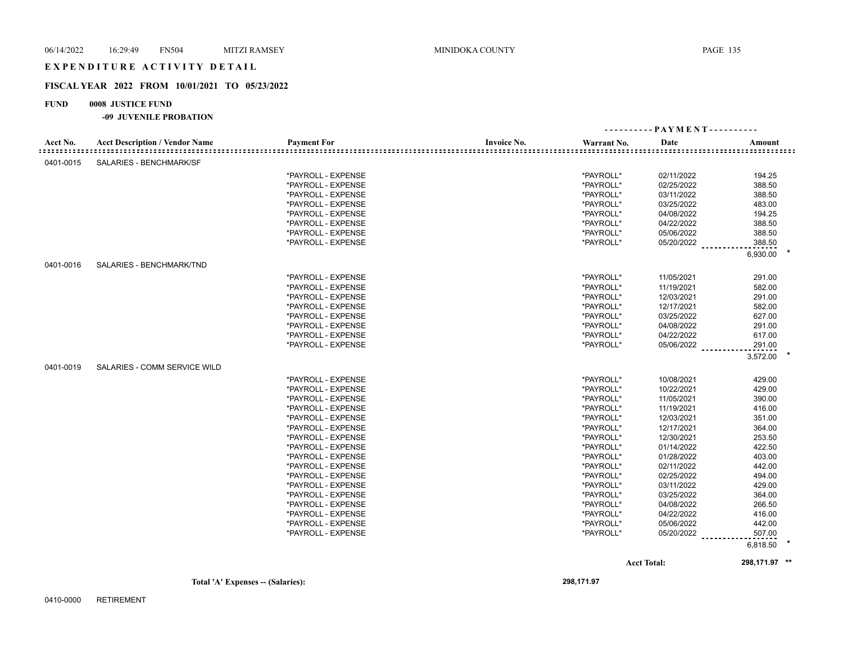## EXPENDITURE ACTIVITY DETAIL

#### **FISCAL YEAR 2022 FROM 10/01/2021 TO 05/23/2022**

## **FUND 0008 JUSTICE FUND**

#### **-09 JUVENILE PROBATION**

|                              |                                       |                    |                    | ---------- PAYMENT---------- |                    |               |  |
|------------------------------|---------------------------------------|--------------------|--------------------|------------------------------|--------------------|---------------|--|
| Acct No.<br>================ | <b>Acct Description / Vendor Name</b> | <b>Payment For</b> | <b>Invoice No.</b> | Warrant No.                  | Date               | Amount        |  |
| 0401-0015                    | SALARIES - BENCHMARK/SF               |                    |                    |                              |                    |               |  |
|                              |                                       | *PAYROLL - EXPENSE |                    | *PAYROLL*                    | 02/11/2022         | 194.25        |  |
|                              |                                       | *PAYROLL - EXPENSE |                    | *PAYROLL*                    | 02/25/2022         | 388.50        |  |
|                              |                                       | *PAYROLL - EXPENSE |                    | *PAYROLL*                    | 03/11/2022         | 388.50        |  |
|                              |                                       | *PAYROLL - EXPENSE |                    | *PAYROLL*                    | 03/25/2022         | 483.00        |  |
|                              |                                       | *PAYROLL - EXPENSE |                    | *PAYROLL*                    | 04/08/2022         | 194.25        |  |
|                              |                                       | *PAYROLL - EXPENSE |                    | *PAYROLL*                    | 04/22/2022         | 388.50        |  |
|                              |                                       | *PAYROLL - EXPENSE |                    | *PAYROLL*                    | 05/06/2022         | 388.50        |  |
|                              |                                       | *PAYROLL - EXPENSE |                    | *PAYROLL*                    | 05/20/2022         | 388.50        |  |
|                              |                                       |                    |                    |                              |                    | 6,930.00      |  |
| 0401-0016                    | SALARIES - BENCHMARK/TND              |                    |                    |                              |                    |               |  |
|                              |                                       | *PAYROLL - EXPENSE |                    | *PAYROLL*                    | 11/05/2021         | 291.00        |  |
|                              |                                       | *PAYROLL - EXPENSE |                    | *PAYROLL*                    | 11/19/2021         | 582.00        |  |
|                              |                                       | *PAYROLL - EXPENSE |                    | *PAYROLL*                    | 12/03/2021         | 291.00        |  |
|                              |                                       | *PAYROLL - EXPENSE |                    | *PAYROLL*                    | 12/17/2021         | 582.00        |  |
|                              |                                       | *PAYROLL - EXPENSE |                    | *PAYROLL*                    | 03/25/2022         | 627.00        |  |
|                              |                                       | *PAYROLL - EXPENSE |                    | *PAYROLL*                    | 04/08/2022         | 291.00        |  |
|                              |                                       | *PAYROLL - EXPENSE |                    | *PAYROLL*                    | 04/22/2022         | 617.00        |  |
|                              |                                       | *PAYROLL - EXPENSE |                    | *PAYROLL*                    | 05/06/2022         | 291.00        |  |
|                              |                                       |                    |                    |                              |                    | 3,572.00      |  |
| 0401-0019                    | SALARIES - COMM SERVICE WILD          |                    |                    |                              |                    |               |  |
|                              |                                       | *PAYROLL - EXPENSE |                    | *PAYROLL*                    | 10/08/2021         | 429.00        |  |
|                              |                                       | *PAYROLL - EXPENSE |                    | *PAYROLL*                    | 10/22/2021         | 429.00        |  |
|                              |                                       | *PAYROLL - EXPENSE |                    | *PAYROLL*                    | 11/05/2021         | 390.00        |  |
|                              |                                       | *PAYROLL - EXPENSE |                    | *PAYROLL*                    | 11/19/2021         | 416.00        |  |
|                              |                                       | *PAYROLL - EXPENSE |                    | *PAYROLL*                    | 12/03/2021         | 351.00        |  |
|                              |                                       | *PAYROLL - EXPENSE |                    | *PAYROLL*                    | 12/17/2021         | 364.00        |  |
|                              |                                       | *PAYROLL - EXPENSE |                    | *PAYROLL*                    | 12/30/2021         | 253.50        |  |
|                              |                                       | *PAYROLL - EXPENSE |                    | *PAYROLL*                    | 01/14/2022         | 422.50        |  |
|                              |                                       | *PAYROLL - EXPENSE |                    | *PAYROLL*                    | 01/28/2022         | 403.00        |  |
|                              |                                       | *PAYROLL - EXPENSE |                    | *PAYROLL*                    | 02/11/2022         | 442.00        |  |
|                              |                                       | *PAYROLL - EXPENSE |                    | *PAYROLL*                    | 02/25/2022         | 494.00        |  |
|                              |                                       | *PAYROLL - EXPENSE |                    | *PAYROLL*                    | 03/11/2022         | 429.00        |  |
|                              |                                       | *PAYROLL - EXPENSE |                    | *PAYROLL*                    | 03/25/2022         | 364.00        |  |
|                              |                                       | *PAYROLL - EXPENSE |                    | *PAYROLL*                    | 04/08/2022         | 266.50        |  |
|                              |                                       | *PAYROLL - EXPENSE |                    | *PAYROLL*                    | 04/22/2022         | 416.00        |  |
|                              |                                       | *PAYROLL - EXPENSE |                    | *PAYROLL*                    | 05/06/2022         | 442.00        |  |
|                              |                                       | *PAYROLL - EXPENSE |                    | *PAYROLL*                    | 05/20/2022         | 507.00        |  |
|                              |                                       |                    |                    |                              |                    | 6,818.50      |  |
|                              |                                       |                    |                    |                              | <b>Acct Total:</b> | 298,171.97 ** |  |

**Total 'A' Expenses -- (Salaries): 298,171.97**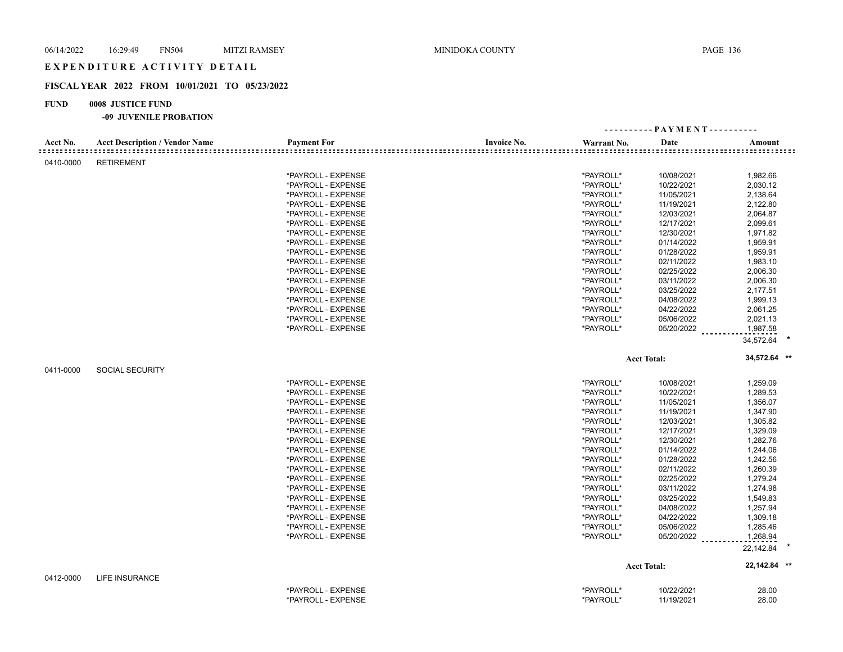## EXPENDITURE ACTIVITY DETAIL

## **FISCAL YEAR 2022 FROM 10/01/2021 TO 05/23/2022**

## **FUND 0008 JUSTICE FUND**

|                                           |                                       |                    |                    |             | ---------- PAYMENT---------- |                                                    |
|-------------------------------------------|---------------------------------------|--------------------|--------------------|-------------|------------------------------|----------------------------------------------------|
| Acct No.<br>: = = = = = = = = = = = = = = | <b>Acct Description / Vendor Name</b> | <b>Payment For</b> | <b>Invoice No.</b> | Warrant No. | Date                         | Amount<br><u> ================================</u> |
| 0410-0000                                 | <b>RETIREMENT</b>                     |                    |                    |             |                              |                                                    |
|                                           |                                       | *PAYROLL - EXPENSE |                    | *PAYROLL*   | 10/08/2021                   | 1,982.66                                           |
|                                           |                                       | *PAYROLL - EXPENSE |                    | *PAYROLL*   | 10/22/2021                   | 2,030.12                                           |
|                                           |                                       | *PAYROLL - EXPENSE |                    | *PAYROLL*   | 11/05/2021                   | 2,138.64                                           |
|                                           |                                       | *PAYROLL - EXPENSE |                    | *PAYROLL*   | 11/19/2021                   | 2,122.80                                           |
|                                           |                                       | *PAYROLL - EXPENSE |                    | *PAYROLL*   | 12/03/2021                   | 2,064.87                                           |
|                                           |                                       | *PAYROLL - EXPENSE |                    | *PAYROLL*   | 12/17/2021                   | 2,099.61                                           |
|                                           |                                       | *PAYROLL - EXPENSE |                    | *PAYROLL*   | 12/30/2021                   | 1,971.82                                           |
|                                           |                                       | *PAYROLL - EXPENSE |                    | *PAYROLL*   | 01/14/2022                   | 1,959.91                                           |
|                                           |                                       | *PAYROLL - EXPENSE |                    | *PAYROLL*   | 01/28/2022                   | 1,959.91                                           |
|                                           |                                       | *PAYROLL - EXPENSE |                    | *PAYROLL*   | 02/11/2022                   | 1,983.10                                           |
|                                           |                                       | *PAYROLL - EXPENSE |                    | *PAYROLL*   | 02/25/2022                   | 2,006.30                                           |
|                                           |                                       | *PAYROLL - EXPENSE |                    | *PAYROLL*   | 03/11/2022                   | 2,006.30                                           |
|                                           |                                       | *PAYROLL - EXPENSE |                    | *PAYROLL*   | 03/25/2022                   | 2,177.51                                           |
|                                           |                                       | *PAYROLL - EXPENSE |                    | *PAYROLL*   | 04/08/2022                   | 1,999.13                                           |
|                                           |                                       | *PAYROLL - EXPENSE |                    | *PAYROLL*   | 04/22/2022                   | 2,061.25                                           |
|                                           |                                       | *PAYROLL - EXPENSE |                    | *PAYROLL*   | 05/06/2022                   | 2,021.13                                           |
|                                           |                                       | *PAYROLL - EXPENSE |                    | *PAYROLL*   | 05/20/2022                   | 1,987.58                                           |
|                                           |                                       |                    |                    |             |                              | 34,572.64                                          |
|                                           |                                       |                    |                    |             | <b>Acct Total:</b>           | 34,572.64 **                                       |
| 0411-0000                                 | <b>SOCIAL SECURITY</b>                |                    |                    |             |                              |                                                    |
|                                           |                                       | *PAYROLL - EXPENSE |                    | *PAYROLL*   | 10/08/2021                   | 1,259.09                                           |
|                                           |                                       | *PAYROLL - EXPENSE |                    | *PAYROLL*   | 10/22/2021                   | 1,289.53                                           |
|                                           |                                       | *PAYROLL - EXPENSE |                    | *PAYROLL*   | 11/05/2021                   | 1,356.07                                           |
|                                           |                                       | *PAYROLL - EXPENSE |                    | *PAYROLL*   | 11/19/2021                   | 1,347.90                                           |
|                                           |                                       | *PAYROLL - EXPENSE |                    | *PAYROLL*   | 12/03/2021                   | 1,305.82                                           |
|                                           |                                       | *PAYROLL - EXPENSE |                    | *PAYROLL*   | 12/17/2021                   | 1,329.09                                           |
|                                           |                                       | *PAYROLL - EXPENSE |                    | *PAYROLL*   | 12/30/2021                   | 1,282.76                                           |
|                                           |                                       | *PAYROLL - EXPENSE |                    | *PAYROLL*   | 01/14/2022                   | 1,244.06                                           |
|                                           |                                       | *PAYROLL - EXPENSE |                    | *PAYROLL*   | 01/28/2022                   | 1,242.56                                           |
|                                           |                                       | *PAYROLL - EXPENSE |                    | *PAYROLL*   | 02/11/2022                   | 1,260.39                                           |
|                                           |                                       | *PAYROLL - EXPENSE |                    | *PAYROLL*   | 02/25/2022                   | 1,279.24                                           |
|                                           |                                       | *PAYROLL - EXPENSE |                    | *PAYROLL*   | 03/11/2022                   | 1,274.98                                           |
|                                           |                                       | *PAYROLL - EXPENSE |                    | *PAYROLL*   | 03/25/2022                   | 1,549.83                                           |
|                                           |                                       | *PAYROLL - EXPENSE |                    | *PAYROLL*   | 04/08/2022                   | 1,257.94                                           |
|                                           |                                       | *PAYROLL - EXPENSE |                    | *PAYROLL*   | 04/22/2022                   | 1,309.18                                           |
|                                           |                                       | *PAYROLL - EXPENSE |                    | *PAYROLL*   | 05/06/2022                   | 1,285.46                                           |
|                                           |                                       | *PAYROLL - EXPENSE |                    | *PAYROLL*   | 05/20/2022                   | 1,268.94                                           |
|                                           |                                       |                    |                    |             |                              | 22,142.84                                          |
|                                           |                                       |                    |                    |             | <b>Acct Total:</b>           | 22,142.84 **                                       |
| 0412-0000                                 | <b>LIFE INSURANCE</b>                 |                    |                    |             |                              |                                                    |
|                                           |                                       | *PAYROLL - EXPENSE |                    | *PAYROLL*   | 10/22/2021                   | 28.00                                              |
|                                           |                                       | *PAYROLL - EXPENSE |                    | *PAYROLL*   | 11/19/2021                   | 28.00                                              |
|                                           |                                       |                    |                    |             |                              |                                                    |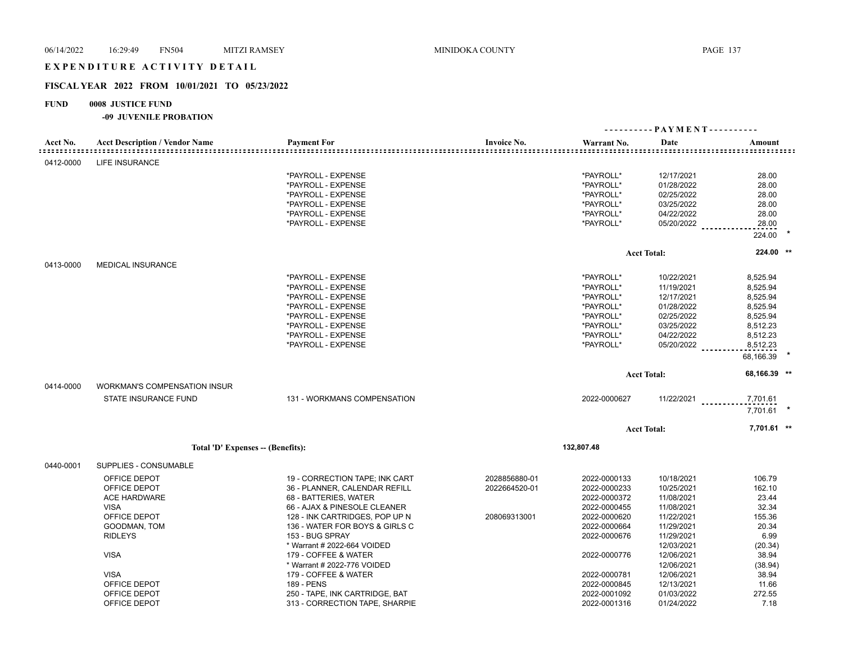## EXPENDITURE ACTIVITY DETAIL

## **FISCAL YEAR 2022 FROM 10/01/2021 TO 05/23/2022**

## **FUND 0008 JUSTICE FUND**

| Acct No.<br><b>Acct Description / Vendor Name</b><br><b>Payment For</b><br><b>Invoice No.</b><br>Date<br>Warrant No.<br>Amount<br>LIFE INSURANCE<br>0412-0000<br>*PAYROLL - EXPENSE<br>*PAYROLL*<br>12/17/2021<br>28.00<br>*PAYROLL - EXPENSE<br>*PAYROLL*<br>28.00<br>01/28/2022<br>*PAYROLL - EXPENSE<br>*PAYROLL*<br>02/25/2022<br>28.00<br>*PAYROLL*<br>03/25/2022<br>*PAYROLL - EXPENSE<br>28.00<br>*PAYROLL*<br>04/22/2022<br>28.00<br>*PAYROLL - EXPENSE<br>*PAYROLL - EXPENSE<br>*PAYROLL*<br>05/20/2022<br>28.00<br>224.00<br>224.00 **<br><b>Acct Total:</b><br>0413-0000<br><b>MEDICAL INSURANCE</b><br>*PAYROLL - EXPENSE<br>*PAYROLL*<br>8,525.94<br>10/22/2021<br>*PAYROLL - EXPENSE<br>*PAYROLL*<br>11/19/2021<br>8,525.94<br>*PAYROLL*<br>12/17/2021<br>8,525.94<br>*PAYROLL - EXPENSE<br>*PAYROLL - EXPENSE<br>*PAYROLL*<br>01/28/2022<br>8,525.94<br>*PAYROLL - EXPENSE<br>*PAYROLL*<br>02/25/2022<br>8,525.94<br>*PAYROLL - EXPENSE<br>*PAYROLL*<br>03/25/2022<br>8,512.23 |              |                                |              | ---------- PAYMENT---------- |              |  |
|-----------------------------------------------------------------------------------------------------------------------------------------------------------------------------------------------------------------------------------------------------------------------------------------------------------------------------------------------------------------------------------------------------------------------------------------------------------------------------------------------------------------------------------------------------------------------------------------------------------------------------------------------------------------------------------------------------------------------------------------------------------------------------------------------------------------------------------------------------------------------------------------------------------------------------------------------------------------------------------------------|--------------|--------------------------------|--------------|------------------------------|--------------|--|
|                                                                                                                                                                                                                                                                                                                                                                                                                                                                                                                                                                                                                                                                                                                                                                                                                                                                                                                                                                                               |              |                                |              |                              |              |  |
|                                                                                                                                                                                                                                                                                                                                                                                                                                                                                                                                                                                                                                                                                                                                                                                                                                                                                                                                                                                               |              |                                |              |                              |              |  |
|                                                                                                                                                                                                                                                                                                                                                                                                                                                                                                                                                                                                                                                                                                                                                                                                                                                                                                                                                                                               |              |                                |              |                              |              |  |
|                                                                                                                                                                                                                                                                                                                                                                                                                                                                                                                                                                                                                                                                                                                                                                                                                                                                                                                                                                                               |              |                                |              |                              |              |  |
|                                                                                                                                                                                                                                                                                                                                                                                                                                                                                                                                                                                                                                                                                                                                                                                                                                                                                                                                                                                               |              |                                |              |                              |              |  |
|                                                                                                                                                                                                                                                                                                                                                                                                                                                                                                                                                                                                                                                                                                                                                                                                                                                                                                                                                                                               |              |                                |              |                              |              |  |
|                                                                                                                                                                                                                                                                                                                                                                                                                                                                                                                                                                                                                                                                                                                                                                                                                                                                                                                                                                                               |              |                                |              |                              |              |  |
|                                                                                                                                                                                                                                                                                                                                                                                                                                                                                                                                                                                                                                                                                                                                                                                                                                                                                                                                                                                               |              |                                |              |                              |              |  |
|                                                                                                                                                                                                                                                                                                                                                                                                                                                                                                                                                                                                                                                                                                                                                                                                                                                                                                                                                                                               |              |                                |              |                              |              |  |
|                                                                                                                                                                                                                                                                                                                                                                                                                                                                                                                                                                                                                                                                                                                                                                                                                                                                                                                                                                                               |              |                                |              |                              |              |  |
|                                                                                                                                                                                                                                                                                                                                                                                                                                                                                                                                                                                                                                                                                                                                                                                                                                                                                                                                                                                               |              |                                |              |                              |              |  |
|                                                                                                                                                                                                                                                                                                                                                                                                                                                                                                                                                                                                                                                                                                                                                                                                                                                                                                                                                                                               |              |                                |              |                              |              |  |
|                                                                                                                                                                                                                                                                                                                                                                                                                                                                                                                                                                                                                                                                                                                                                                                                                                                                                                                                                                                               |              |                                |              |                              |              |  |
|                                                                                                                                                                                                                                                                                                                                                                                                                                                                                                                                                                                                                                                                                                                                                                                                                                                                                                                                                                                               |              |                                |              |                              |              |  |
|                                                                                                                                                                                                                                                                                                                                                                                                                                                                                                                                                                                                                                                                                                                                                                                                                                                                                                                                                                                               |              |                                |              |                              |              |  |
|                                                                                                                                                                                                                                                                                                                                                                                                                                                                                                                                                                                                                                                                                                                                                                                                                                                                                                                                                                                               |              |                                |              |                              |              |  |
|                                                                                                                                                                                                                                                                                                                                                                                                                                                                                                                                                                                                                                                                                                                                                                                                                                                                                                                                                                                               |              |                                |              |                              |              |  |
|                                                                                                                                                                                                                                                                                                                                                                                                                                                                                                                                                                                                                                                                                                                                                                                                                                                                                                                                                                                               |              | *PAYROLL - EXPENSE             | *PAYROLL*    | 04/22/2022                   | 8,512.23     |  |
| 05/20/2022 _________<br>*PAYROLL - EXPENSE<br>*PAYROLL*<br>8,512.23                                                                                                                                                                                                                                                                                                                                                                                                                                                                                                                                                                                                                                                                                                                                                                                                                                                                                                                           |              |                                |              |                              |              |  |
| 68,166.39                                                                                                                                                                                                                                                                                                                                                                                                                                                                                                                                                                                                                                                                                                                                                                                                                                                                                                                                                                                     |              |                                |              |                              |              |  |
| <b>Acct Total:</b>                                                                                                                                                                                                                                                                                                                                                                                                                                                                                                                                                                                                                                                                                                                                                                                                                                                                                                                                                                            |              |                                |              |                              | 68,166.39 ** |  |
| 0414-0000<br><b>WORKMAN'S COMPENSATION INSUR</b>                                                                                                                                                                                                                                                                                                                                                                                                                                                                                                                                                                                                                                                                                                                                                                                                                                                                                                                                              |              |                                |              |                              |              |  |
| STATE INSURANCE FUND<br>131 - WORKMANS COMPENSATION<br>2022-0000627<br>$11/22/2021$<br>7,701.61                                                                                                                                                                                                                                                                                                                                                                                                                                                                                                                                                                                                                                                                                                                                                                                                                                                                                               |              |                                |              |                              |              |  |
| 7,701.61                                                                                                                                                                                                                                                                                                                                                                                                                                                                                                                                                                                                                                                                                                                                                                                                                                                                                                                                                                                      |              |                                |              |                              |              |  |
| <b>Acct Total:</b>                                                                                                                                                                                                                                                                                                                                                                                                                                                                                                                                                                                                                                                                                                                                                                                                                                                                                                                                                                            |              |                                |              |                              | 7,701.61 **  |  |
| 132,807.48<br>Total 'D' Expenses -- (Benefits):                                                                                                                                                                                                                                                                                                                                                                                                                                                                                                                                                                                                                                                                                                                                                                                                                                                                                                                                               |              |                                |              |                              |              |  |
| SUPPLIES - CONSUMABLE<br>0440-0001                                                                                                                                                                                                                                                                                                                                                                                                                                                                                                                                                                                                                                                                                                                                                                                                                                                                                                                                                            |              |                                |              |                              |              |  |
| OFFICE DEPOT<br>19 - CORRECTION TAPE; INK CART<br>2028856880-01<br>2022-0000133<br>10/18/2021<br>106.79                                                                                                                                                                                                                                                                                                                                                                                                                                                                                                                                                                                                                                                                                                                                                                                                                                                                                       |              |                                |              |                              |              |  |
| OFFICE DEPOT<br>2022-0000233<br>10/25/2021<br>36 - PLANNER, CALENDAR REFILL<br>2022664520-01<br>162.10                                                                                                                                                                                                                                                                                                                                                                                                                                                                                                                                                                                                                                                                                                                                                                                                                                                                                        |              |                                |              |                              |              |  |
| <b>ACE HARDWARE</b><br>68 - BATTERIES, WATER<br>2022-0000372<br>11/08/2021<br>23.44                                                                                                                                                                                                                                                                                                                                                                                                                                                                                                                                                                                                                                                                                                                                                                                                                                                                                                           |              |                                |              |                              |              |  |
| 32.34<br><b>VISA</b><br>66 - AJAX & PINESOLE CLEANER<br>2022-0000455<br>11/08/2021                                                                                                                                                                                                                                                                                                                                                                                                                                                                                                                                                                                                                                                                                                                                                                                                                                                                                                            |              |                                |              |                              |              |  |
| OFFICE DEPOT<br>128 - INK CARTRIDGES, POP UP N<br>11/22/2021<br>155.36<br>208069313001<br>2022-0000620                                                                                                                                                                                                                                                                                                                                                                                                                                                                                                                                                                                                                                                                                                                                                                                                                                                                                        |              |                                |              |                              |              |  |
| GOODMAN, TOM<br>136 - WATER FOR BOYS & GIRLS C<br>2022-0000664<br>11/29/2021<br>20.34                                                                                                                                                                                                                                                                                                                                                                                                                                                                                                                                                                                                                                                                                                                                                                                                                                                                                                         |              |                                |              |                              |              |  |
| 2022-0000676<br>6.99<br><b>RIDLEYS</b><br>153 - BUG SPRAY<br>11/29/2021                                                                                                                                                                                                                                                                                                                                                                                                                                                                                                                                                                                                                                                                                                                                                                                                                                                                                                                       |              |                                |              |                              |              |  |
| * Warrant # 2022-664 VOIDED<br>12/03/2021<br>(20.34)                                                                                                                                                                                                                                                                                                                                                                                                                                                                                                                                                                                                                                                                                                                                                                                                                                                                                                                                          |              |                                |              |                              |              |  |
| <b>VISA</b><br>179 - COFFEE & WATER<br>2022-0000776<br>12/06/2021<br>38.94                                                                                                                                                                                                                                                                                                                                                                                                                                                                                                                                                                                                                                                                                                                                                                                                                                                                                                                    |              |                                |              |                              |              |  |
| * Warrant # 2022-776 VOIDED<br>12/06/2021<br>(38.94)                                                                                                                                                                                                                                                                                                                                                                                                                                                                                                                                                                                                                                                                                                                                                                                                                                                                                                                                          |              |                                |              |                              |              |  |
| <b>VISA</b><br>179 - COFFEE & WATER<br>38.94<br>2022-0000781<br>12/06/2021                                                                                                                                                                                                                                                                                                                                                                                                                                                                                                                                                                                                                                                                                                                                                                                                                                                                                                                    |              |                                |              |                              |              |  |
| OFFICE DEPOT<br>189 - PENS<br>2022-0000845<br>12/13/2021<br>11.66                                                                                                                                                                                                                                                                                                                                                                                                                                                                                                                                                                                                                                                                                                                                                                                                                                                                                                                             |              |                                |              |                              |              |  |
|                                                                                                                                                                                                                                                                                                                                                                                                                                                                                                                                                                                                                                                                                                                                                                                                                                                                                                                                                                                               |              |                                |              |                              |              |  |
| OFFICE DEPOT<br>313 - CORRECTION TAPE, SHARPIE<br>2022-0001316<br>01/24/2022<br>7.18                                                                                                                                                                                                                                                                                                                                                                                                                                                                                                                                                                                                                                                                                                                                                                                                                                                                                                          | OFFICE DEPOT | 250 - TAPE, INK CARTRIDGE, BAT | 2022-0001092 | 01/03/2022                   | 272.55       |  |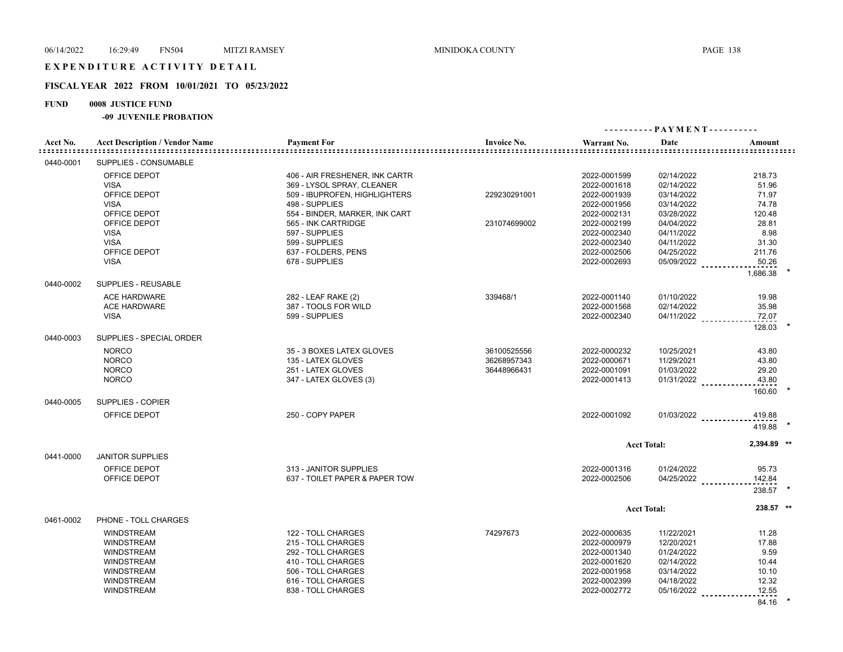## **FISCAL YEAR 2022 FROM 10/01/2021 TO 05/23/2022**

## **FUND 0008 JUSTICE FUND**

**-09 JUVENILE PROBATION**

| Acct No.  | <b>Acct Description / Vendor Name</b> | <b>Payment For</b>             | <b>Invoice No.</b> | Warrant No.  | Date                 | Amount      |  |
|-----------|---------------------------------------|--------------------------------|--------------------|--------------|----------------------|-------------|--|
| 0440-0001 | SUPPLIES - CONSUMABLE                 |                                |                    |              |                      |             |  |
|           | OFFICE DEPOT                          | 406 - AIR FRESHENER, INK CARTR |                    | 2022-0001599 | 02/14/2022           | 218.73      |  |
|           | <b>VISA</b>                           | 369 - LYSOL SPRAY, CLEANER     |                    | 2022-0001618 | 02/14/2022           | 51.96       |  |
|           | OFFICE DEPOT                          | 509 - IBUPROFEN, HIGHLIGHTERS  | 229230291001       | 2022-0001939 | 03/14/2022           | 71.97       |  |
|           | <b>VISA</b>                           | 498 - SUPPLIES                 |                    | 2022-0001956 | 03/14/2022           | 74.78       |  |
|           | OFFICE DEPOT                          | 554 - BINDER, MARKER, INK CART |                    | 2022-0002131 | 03/28/2022           | 120.48      |  |
|           | OFFICE DEPOT                          | 565 - INK CARTRIDGE            | 231074699002       | 2022-0002199 | 04/04/2022           | 28.81       |  |
|           | <b>VISA</b>                           | 597 - SUPPLIES                 |                    | 2022-0002340 | 04/11/2022           | 8.98        |  |
|           | <b>VISA</b>                           | 599 - SUPPLIES                 |                    | 2022-0002340 | 04/11/2022           | 31.30       |  |
|           | OFFICE DEPOT                          | 637 - FOLDERS, PENS            |                    | 2022-0002506 | 04/25/2022           | 211.76      |  |
|           | <b>VISA</b>                           | 678 - SUPPLIES                 |                    | 2022-0002693 | 05/09/2022           | 50.26       |  |
|           |                                       |                                |                    |              |                      | 1,686.38    |  |
| 0440-0002 | SUPPLIES - REUSABLE                   |                                |                    |              |                      |             |  |
|           | <b>ACE HARDWARE</b>                   | 282 - LEAF RAKE (2)            | 339468/1           | 2022-0001140 | 01/10/2022           | 19.98       |  |
|           | <b>ACE HARDWARE</b>                   | 387 - TOOLS FOR WILD           |                    | 2022-0001568 | 02/14/2022           | 35.98       |  |
|           | <b>VISA</b>                           | 599 - SUPPLIES                 |                    | 2022-0002340 | 04/11/2022           | 72.07       |  |
|           |                                       |                                |                    |              |                      | 128.03      |  |
| 0440-0003 | SUPPLIES - SPECIAL ORDER              |                                |                    |              |                      |             |  |
|           | <b>NORCO</b>                          | 35 - 3 BOXES LATEX GLOVES      | 36100525556        | 2022-0000232 | 10/25/2021           | 43.80       |  |
|           | <b>NORCO</b>                          | 135 - LATEX GLOVES             | 36268957343        | 2022-0000671 | 11/29/2021           | 43.80       |  |
|           | <b>NORCO</b>                          | 251 - LATEX GLOVES             | 36448966431        | 2022-0001091 | 01/03/2022           | 29.20       |  |
|           | <b>NORCO</b>                          | 347 - LATEX GLOVES (3)         |                    | 2022-0001413 | $01/31/2022$         | 43.80       |  |
|           |                                       |                                |                    |              |                      | 160.60      |  |
| 0440-0005 | SUPPLIES - COPIER                     |                                |                    |              |                      |             |  |
|           | OFFICE DEPOT                          | 250 - COPY PAPER               |                    | 2022-0001092 | $01/03/2022$         | 419.88      |  |
|           |                                       |                                |                    |              |                      | 419.88      |  |
|           |                                       |                                |                    |              | <b>Acct Total:</b>   | 2,394.89 ** |  |
| 0441-0000 | <b>JANITOR SUPPLIES</b>               |                                |                    |              |                      |             |  |
|           | OFFICE DEPOT                          | 313 - JANITOR SUPPLIES         |                    | 2022-0001316 | 01/24/2022           | 95.73       |  |
|           | OFFICE DEPOT                          | 637 - TOILET PAPER & PAPER TOW |                    | 2022-0002506 | 04/25/2022 _________ | 142.84      |  |
|           |                                       |                                |                    |              |                      | 238.57      |  |
|           |                                       |                                |                    |              | <b>Acct Total:</b>   | 238.57 **   |  |
| 0461-0002 | PHONE - TOLL CHARGES                  |                                |                    |              |                      |             |  |
|           | <b>WINDSTREAM</b>                     | 122 - TOLL CHARGES             | 74297673           | 2022-0000635 | 11/22/2021           | 11.28       |  |
|           | <b>WINDSTREAM</b>                     | 215 - TOLL CHARGES             |                    | 2022-0000979 | 12/20/2021           | 17.88       |  |
|           | <b>WINDSTREAM</b>                     | 292 - TOLL CHARGES             |                    | 2022-0001340 | 01/24/2022           | 9.59        |  |
|           | <b>WINDSTREAM</b>                     | 410 - TOLL CHARGES             |                    | 2022-0001620 | 02/14/2022           | 10.44       |  |
|           | <b>WINDSTREAM</b>                     | 506 - TOLL CHARGES             |                    | 2022-0001958 | 03/14/2022           | 10.10       |  |
|           | <b>WINDSTREAM</b>                     | 616 - TOLL CHARGES             |                    | 2022-0002399 | 04/18/2022           | 12.32       |  |
|           | <b>WINDSTREAM</b>                     | 838 - TOLL CHARGES             |                    | 2022-0002772 | 05/16/2022           | 12.55       |  |
|           |                                       |                                |                    |              |                      |             |  |

84.16 **\***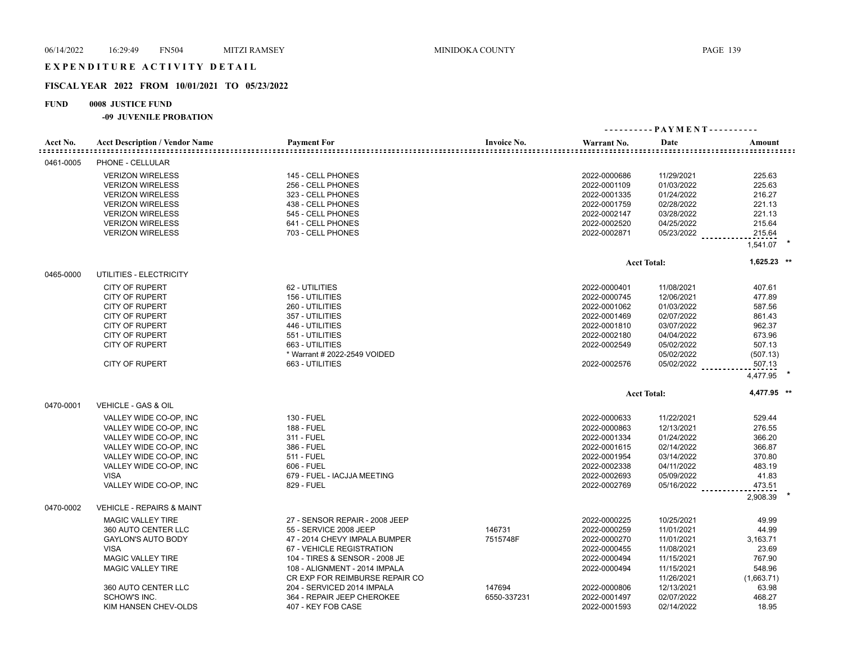## EXPENDITURE ACTIVITY DETAIL

## **FISCAL YEAR 2022 FROM 10/01/2021 TO 05/23/2022**

## **FUND 0008 JUSTICE FUND**

| Acct No.  | <b>Acct Description / Vendor Name</b> | <b>Payment For</b>             | <b>Invoice No.</b> | Warrant No.  | Date               | Amount      |  |
|-----------|---------------------------------------|--------------------------------|--------------------|--------------|--------------------|-------------|--|
| 0461-0005 | PHONE - CELLULAR                      |                                |                    |              |                    |             |  |
|           | <b>VERIZON WIRELESS</b>               | 145 - CELL PHONES              |                    | 2022-0000686 | 11/29/2021         | 225.63      |  |
|           | <b>VERIZON WIRELESS</b>               | 256 - CELL PHONES              |                    | 2022-0001109 | 01/03/2022         | 225.63      |  |
|           | <b>VERIZON WIRELESS</b>               | 323 - CELL PHONES              |                    | 2022-0001335 | 01/24/2022         | 216.27      |  |
|           | <b>VERIZON WIRELESS</b>               | 438 - CELL PHONES              |                    | 2022-0001759 | 02/28/2022         | 221.13      |  |
|           | <b>VERIZON WIRELESS</b>               | 545 - CELL PHONES              |                    | 2022-0002147 | 03/28/2022         | 221.13      |  |
|           | <b>VERIZON WIRELESS</b>               | 641 - CELL PHONES              |                    | 2022-0002520 | 04/25/2022         | 215.64      |  |
|           | <b>VERIZON WIRELESS</b>               | 703 - CELL PHONES              |                    | 2022-0002871 | 05/23/2022         | 215.64      |  |
|           |                                       |                                |                    |              |                    | 1,541.07    |  |
|           |                                       |                                |                    |              | <b>Acct Total:</b> | 1,625.23 ** |  |
| 0465-0000 | UTILITIES - ELECTRICITY               |                                |                    |              |                    |             |  |
|           | <b>CITY OF RUPERT</b>                 | 62 - UTILITIES                 |                    | 2022-0000401 | 11/08/2021         | 407.61      |  |
|           | <b>CITY OF RUPERT</b>                 | 156 - UTILITIES                |                    | 2022-0000745 | 12/06/2021         | 477.89      |  |
|           | <b>CITY OF RUPERT</b>                 | 260 - UTILITIES                |                    | 2022-0001062 | 01/03/2022         | 587.56      |  |
|           | <b>CITY OF RUPERT</b>                 | 357 - UTILITIES                |                    | 2022-0001469 | 02/07/2022         | 861.43      |  |
|           | <b>CITY OF RUPERT</b>                 | 446 - UTILITIES                |                    | 2022-0001810 | 03/07/2022         | 962.37      |  |
|           | <b>CITY OF RUPERT</b>                 | 551 - UTILITIES                |                    | 2022-0002180 | 04/04/2022         | 673.96      |  |
|           | <b>CITY OF RUPERT</b>                 | 663 - UTILITIES                |                    | 2022-0002549 | 05/02/2022         | 507.13      |  |
|           |                                       | * Warrant # 2022-2549 VOIDED   |                    |              |                    |             |  |
|           |                                       |                                |                    |              | 05/02/2022         | (507.13)    |  |
|           | <b>CITY OF RUPERT</b>                 | 663 - UTILITIES                |                    | 2022-0002576 | 05/02/2022         | 507.13      |  |
|           |                                       |                                |                    |              |                    | 4,477.95    |  |
|           |                                       |                                |                    |              | <b>Acct Total:</b> | 4,477.95 ** |  |
| 0470-0001 | VEHICLE - GAS & OIL                   |                                |                    |              |                    |             |  |
|           | VALLEY WIDE CO-OP, INC                | 130 - FUEL                     |                    | 2022-0000633 | 11/22/2021         | 529.44      |  |
|           | VALLEY WIDE CO-OP, INC                | <b>188 - FUEL</b>              |                    | 2022-0000863 | 12/13/2021         | 276.55      |  |
|           | VALLEY WIDE CO-OP, INC                | 311 - FUEL                     |                    | 2022-0001334 | 01/24/2022         | 366.20      |  |
|           | VALLEY WIDE CO-OP, INC                | 386 - FUEL                     |                    | 2022-0001615 | 02/14/2022         | 366.87      |  |
|           | VALLEY WIDE CO-OP, INC                | 511 - FUEL                     |                    | 2022-0001954 | 03/14/2022         | 370.80      |  |
|           | VALLEY WIDE CO-OP, INC                | 606 - FUEL                     |                    | 2022-0002338 | 04/11/2022         | 483.19      |  |
|           | <b>VISA</b>                           | 679 - FUEL - IACJJA MEETING    |                    | 2022-0002693 | 05/09/2022         | 41.83       |  |
|           | VALLEY WIDE CO-OP, INC                | 829 - FUEL                     |                    | 2022-0002769 | 05/16/2022         | 473.51      |  |
|           |                                       |                                |                    |              |                    | 2,908.39    |  |
| 0470-0002 | <b>VEHICLE - REPAIRS &amp; MAINT</b>  |                                |                    |              |                    |             |  |
|           | <b>MAGIC VALLEY TIRE</b>              | 27 - SENSOR REPAIR - 2008 JEEP |                    | 2022-0000225 | 10/25/2021         | 49.99       |  |
|           | 360 AUTO CENTER LLC                   | 55 - SERVICE 2008 JEEP         | 146731             | 2022-0000259 | 11/01/2021         | 44.99       |  |
|           | <b>GAYLON'S AUTO BODY</b>             | 47 - 2014 CHEVY IMPALA BUMPER  | 7515748F           | 2022-0000270 | 11/01/2021         | 3,163.71    |  |
|           | <b>VISA</b>                           | 67 - VEHICLE REGISTRATION      |                    | 2022-0000455 | 11/08/2021         | 23.69       |  |
|           | <b>MAGIC VALLEY TIRE</b>              | 104 - TIRES & SENSOR - 2008 JE |                    | 2022-0000494 | 11/15/2021         | 767.90      |  |
|           | <b>MAGIC VALLEY TIRE</b>              | 108 - ALIGNMENT - 2014 IMPALA  |                    | 2022-0000494 | 11/15/2021         | 548.96      |  |
|           |                                       | CR EXP FOR REIMBURSE REPAIR CO |                    |              | 11/26/2021         | (1,663.71)  |  |
|           | 360 AUTO CENTER LLC                   | 204 - SERVICED 2014 IMPALA     | 147694             | 2022-0000806 | 12/13/2021         | 63.98       |  |
|           | SCHOW'S INC.                          | 364 - REPAIR JEEP CHEROKEE     | 6550-337231        | 2022-0001497 | 02/07/2022         | 468.27      |  |
|           | KIM HANSEN CHEV-OLDS                  | 407 - KEY FOB CASE             |                    | 2022-0001593 | 02/14/2022         | 18.95       |  |
|           |                                       |                                |                    |              |                    |             |  |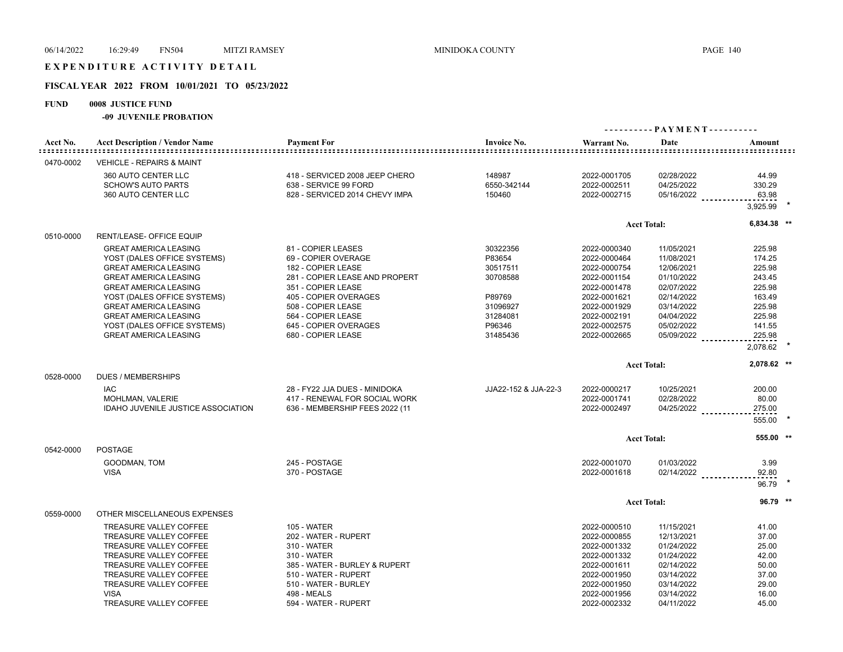## EXPENDITURE ACTIVITY DETAIL

### **FISCAL YEAR 2022 FROM 10/01/2021 TO 05/23/2022**

### **FUND 0008 JUSTICE FUND**

|           |                                                                                                                                                                                                                                                                                                                           |                                                                                                                                                                                                                                             |                                                                                                    |                                                                                                                                                              |                                                                                                                                          | ---------- PAYMENT----------                                                                                 |
|-----------|---------------------------------------------------------------------------------------------------------------------------------------------------------------------------------------------------------------------------------------------------------------------------------------------------------------------------|---------------------------------------------------------------------------------------------------------------------------------------------------------------------------------------------------------------------------------------------|----------------------------------------------------------------------------------------------------|--------------------------------------------------------------------------------------------------------------------------------------------------------------|------------------------------------------------------------------------------------------------------------------------------------------|--------------------------------------------------------------------------------------------------------------|
| Acct No.  | <b>Acct Description / Vendor Name</b>                                                                                                                                                                                                                                                                                     | <b>Payment For</b>                                                                                                                                                                                                                          | <b>Invoice No.</b>                                                                                 | Warrant No.                                                                                                                                                  | Date                                                                                                                                     | Amount<br>--------------------                                                                               |
| 0470-0002 | <b>VEHICLE - REPAIRS &amp; MAINT</b>                                                                                                                                                                                                                                                                                      |                                                                                                                                                                                                                                             |                                                                                                    |                                                                                                                                                              |                                                                                                                                          |                                                                                                              |
|           | 360 AUTO CENTER LLC<br><b>SCHOW'S AUTO PARTS</b><br>360 AUTO CENTER LLC                                                                                                                                                                                                                                                   | 418 - SERVICED 2008 JEEP CHERO<br>638 - SERVICE 99 FORD<br>828 - SERVICED 2014 CHEVY IMPA                                                                                                                                                   | 148987<br>6550-342144<br>150460                                                                    | 2022-0001705<br>2022-0002511<br>2022-0002715                                                                                                                 | 02/28/2022<br>04/25/2022<br>05/16/2022                                                                                                   | 44.99<br>330.29<br>63.98<br>3,925.99                                                                         |
|           |                                                                                                                                                                                                                                                                                                                           |                                                                                                                                                                                                                                             |                                                                                                    |                                                                                                                                                              | <b>Acct Total:</b>                                                                                                                       | 6,834.38 **                                                                                                  |
| 0510-0000 | RENT/LEASE- OFFICE EQUIP                                                                                                                                                                                                                                                                                                  |                                                                                                                                                                                                                                             |                                                                                                    |                                                                                                                                                              |                                                                                                                                          |                                                                                                              |
|           | <b>GREAT AMERICA LEASING</b><br>YOST (DALES OFFICE SYSTEMS)<br><b>GREAT AMERICA LEASING</b><br><b>GREAT AMERICA LEASING</b><br><b>GREAT AMERICA LEASING</b><br>YOST (DALES OFFICE SYSTEMS)<br><b>GREAT AMERICA LEASING</b><br><b>GREAT AMERICA LEASING</b><br>YOST (DALES OFFICE SYSTEMS)<br><b>GREAT AMERICA LEASING</b> | 81 - COPIER LEASES<br>69 - COPIER OVERAGE<br>182 - COPIER LEASE<br>281 - COPIER LEASE AND PROPERT<br>351 - COPIER LEASE<br>405 - COPIER OVERAGES<br>508 - COPIER LEASE<br>564 - COPIER LEASE<br>645 - COPIER OVERAGES<br>680 - COPIER LEASE | 30322356<br>P83654<br>30517511<br>30708588<br>P89769<br>31096927<br>31284081<br>P96346<br>31485436 | 2022-0000340<br>2022-0000464<br>2022-0000754<br>2022-0001154<br>2022-0001478<br>2022-0001621<br>2022-0001929<br>2022-0002191<br>2022-0002575<br>2022-0002665 | 11/05/2021<br>11/08/2021<br>12/06/2021<br>01/10/2022<br>02/07/2022<br>02/14/2022<br>03/14/2022<br>04/04/2022<br>05/02/2022<br>05/09/2022 | 225.98<br>174.25<br>225.98<br>243.45<br>225.98<br>163.49<br>225.98<br>225.98<br>141.55<br>225.98<br>2,078.62 |
|           |                                                                                                                                                                                                                                                                                                                           |                                                                                                                                                                                                                                             |                                                                                                    |                                                                                                                                                              | <b>Acct Total:</b>                                                                                                                       | 2,078.62 **                                                                                                  |
| 0528-0000 | <b>DUES / MEMBERSHIPS</b><br><b>IAC</b><br>MOHLMAN, VALERIE<br>IDAHO JUVENILE JUSTICE ASSOCIATION                                                                                                                                                                                                                         | 28 - FY22 JJA DUES - MINIDOKA<br>417 - RENEWAL FOR SOCIAL WORK<br>636 - MEMBERSHIP FEES 2022 (11                                                                                                                                            | JJA22-152 & JJA-22-3                                                                               | 2022-0000217<br>2022-0001741<br>2022-0002497                                                                                                                 | 10/25/2021<br>02/28/2022<br>$04/25/2022$                                                                                                 | 200.00<br>80.00<br>275.00<br>555.00                                                                          |
|           |                                                                                                                                                                                                                                                                                                                           |                                                                                                                                                                                                                                             |                                                                                                    |                                                                                                                                                              | <b>Acct Total:</b>                                                                                                                       | 555.00 **                                                                                                    |
| 0542-0000 | <b>POSTAGE</b>                                                                                                                                                                                                                                                                                                            |                                                                                                                                                                                                                                             |                                                                                                    |                                                                                                                                                              |                                                                                                                                          |                                                                                                              |
|           | GOODMAN, TOM<br><b>VISA</b>                                                                                                                                                                                                                                                                                               | 245 - POSTAGE<br>370 - POSTAGE                                                                                                                                                                                                              |                                                                                                    | 2022-0001070<br>2022-0001618                                                                                                                                 | 01/03/2022                                                                                                                               | 3.99<br>$02/14/2022$ _____________<br>92.80<br>96.79                                                         |
|           |                                                                                                                                                                                                                                                                                                                           |                                                                                                                                                                                                                                             |                                                                                                    |                                                                                                                                                              | <b>Acct Total:</b>                                                                                                                       | $96.79$ **                                                                                                   |
| 0559-0000 | OTHER MISCELLANEOUS EXPENSES                                                                                                                                                                                                                                                                                              |                                                                                                                                                                                                                                             |                                                                                                    |                                                                                                                                                              |                                                                                                                                          |                                                                                                              |
|           | TREASURE VALLEY COFFEE<br>TREASURE VALLEY COFFEE<br>TREASURE VALLEY COFFEE<br>TREASURE VALLEY COFFEE<br>TREASURE VALLEY COFFEE<br>TREASURE VALLEY COFFEE<br>TREASURE VALLEY COFFEE<br><b>VISA</b><br>TREASURE VALLEY COFFEE                                                                                               | <b>105 - WATER</b><br>202 - WATER - RUPERT<br>310 - WATER<br>310 - WATER<br>385 - WATER - BURLEY & RUPERT<br>510 - WATER - RUPERT<br>510 - WATER - BURLEY<br>498 - MEALS<br>594 - WATER - RUPERT                                            |                                                                                                    | 2022-0000510<br>2022-0000855<br>2022-0001332<br>2022-0001332<br>2022-0001611<br>2022-0001950<br>2022-0001950<br>2022-0001956<br>2022-0002332                 | 11/15/2021<br>12/13/2021<br>01/24/2022<br>01/24/2022<br>02/14/2022<br>03/14/2022<br>03/14/2022<br>03/14/2022<br>04/11/2022               | 41.00<br>37.00<br>25.00<br>42.00<br>50.00<br>37.00<br>29.00<br>16.00<br>45.00                                |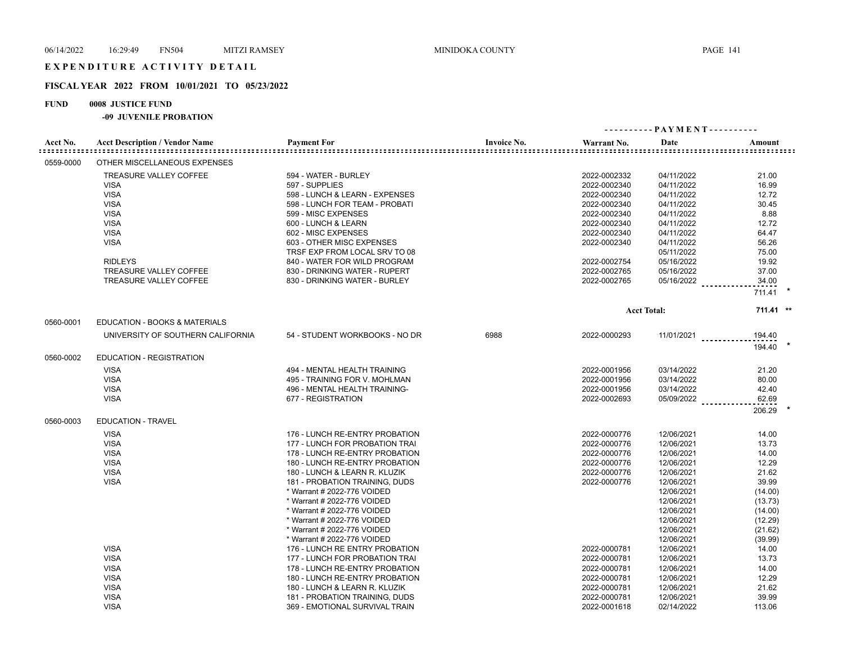## **FISCAL YEAR 2022 FROM 10/01/2021 TO 05/23/2022**

## **FUND 0008 JUSTICE FUND**

| Acct No.  | <b>Acct Description / Vendor Name</b> | <b>Payment For</b>             | <b>Invoice No.</b> | Warrant No.  | Date               | Amount<br>::::::::::::::::::::::::::::::: |
|-----------|---------------------------------------|--------------------------------|--------------------|--------------|--------------------|-------------------------------------------|
| 0559-0000 | OTHER MISCELLANEOUS EXPENSES          |                                |                    |              |                    |                                           |
|           | TREASURE VALLEY COFFEE                | 594 - WATER - BURLEY           |                    | 2022-0002332 | 04/11/2022         | 21.00                                     |
|           | <b>VISA</b>                           | 597 - SUPPLIES                 |                    | 2022-0002340 | 04/11/2022         | 16.99                                     |
|           | <b>VISA</b>                           | 598 - LUNCH & LEARN - EXPENSES |                    | 2022-0002340 | 04/11/2022         | 12.72                                     |
|           | <b>VISA</b>                           | 598 - LUNCH FOR TEAM - PROBATI |                    | 2022-0002340 | 04/11/2022         | 30.45                                     |
|           | <b>VISA</b>                           | 599 - MISC EXPENSES            |                    | 2022-0002340 | 04/11/2022         | 8.88                                      |
|           | <b>VISA</b>                           | 600 - LUNCH & LEARN            |                    | 2022-0002340 | 04/11/2022         | 12.72                                     |
|           | <b>VISA</b>                           | 602 - MISC EXPENSES            |                    | 2022-0002340 | 04/11/2022         | 64.47                                     |
|           | <b>VISA</b>                           | 603 - OTHER MISC EXPENSES      |                    | 2022-0002340 | 04/11/2022         | 56.26                                     |
|           |                                       | TRSF EXP FROM LOCAL SRV TO 08  |                    |              | 05/11/2022         | 75.00                                     |
|           | <b>RIDLEYS</b>                        | 840 - WATER FOR WILD PROGRAM   |                    | 2022-0002754 | 05/16/2022         | 19.92                                     |
|           | <b>TREASURE VALLEY COFFEE</b>         | 830 - DRINKING WATER - RUPERT  |                    | 2022-0002765 | 05/16/2022         | 37.00                                     |
|           | TREASURE VALLEY COFFEE                | 830 - DRINKING WATER - BURLEY  |                    | 2022-0002765 | 05/16/2022         | 34.00                                     |
|           |                                       |                                |                    |              |                    |                                           |
|           |                                       |                                |                    |              |                    | 711.41                                    |
|           |                                       |                                |                    |              | <b>Acct Total:</b> | 711.41 **                                 |
| 0560-0001 | EDUCATION - BOOKS & MATERIALS         |                                |                    |              |                    |                                           |
|           | UNIVERSITY OF SOUTHERN CALIFORNIA     | 54 - STUDENT WORKBOOKS - NO DR | 6988               | 2022-0000293 | $11/01/2021$       | 194.40                                    |
| 0560-0002 | <b>EDUCATION - REGISTRATION</b>       |                                |                    |              |                    | 194.40                                    |
|           | <b>VISA</b>                           | 494 - MENTAL HEALTH TRAINING   |                    | 2022-0001956 | 03/14/2022         | 21.20                                     |
|           | <b>VISA</b>                           | 495 - TRAINING FOR V. MOHLMAN  |                    | 2022-0001956 | 03/14/2022         | 80.00                                     |
|           | <b>VISA</b>                           | 496 - MENTAL HEALTH TRAINING-  |                    | 2022-0001956 | 03/14/2022         | 42.40                                     |
|           | <b>VISA</b>                           | 677 - REGISTRATION             |                    | 2022-0002693 | 05/09/2022         | 62.69                                     |
|           |                                       |                                |                    |              |                    | 206.29                                    |
| 0560-0003 | <b>EDUCATION - TRAVEL</b>             |                                |                    |              |                    |                                           |
|           | <b>VISA</b>                           | 176 - LUNCH RE-ENTRY PROBATION |                    | 2022-0000776 | 12/06/2021         | 14.00                                     |
|           | <b>VISA</b>                           | 177 - LUNCH FOR PROBATION TRAI |                    | 2022-0000776 | 12/06/2021         | 13.73                                     |
|           | <b>VISA</b>                           | 178 - LUNCH RE-ENTRY PROBATION |                    | 2022-0000776 | 12/06/2021         | 14.00                                     |
|           | <b>VISA</b>                           | 180 - LUNCH RE-ENTRY PROBATION |                    | 2022-0000776 | 12/06/2021         | 12.29                                     |
|           | <b>VISA</b>                           | 180 - LUNCH & LEARN R. KLUZIK  |                    | 2022-0000776 | 12/06/2021         | 21.62                                     |
|           | <b>VISA</b>                           | 181 - PROBATION TRAINING, DUDS |                    | 2022-0000776 | 12/06/2021         | 39.99                                     |
|           |                                       | * Warrant # 2022-776 VOIDED    |                    |              | 12/06/2021         | (14.00)                                   |
|           |                                       | * Warrant # 2022-776 VOIDED    |                    |              | 12/06/2021         | (13.73)                                   |
|           |                                       | * Warrant # 2022-776 VOIDED    |                    |              | 12/06/2021         | (14.00)                                   |
|           |                                       | * Warrant # 2022-776 VOIDED    |                    |              | 12/06/2021         | (12.29)                                   |
|           |                                       | * Warrant # 2022-776 VOIDED    |                    |              | 12/06/2021         | (21.62)                                   |
|           |                                       | * Warrant # 2022-776 VOIDED    |                    |              | 12/06/2021         | (39.99)                                   |
|           | <b>VISA</b>                           | 176 - LUNCH RE ENTRY PROBATION |                    | 2022-0000781 | 12/06/2021         | 14.00                                     |
|           | <b>VISA</b>                           | 177 - LUNCH FOR PROBATION TRAI |                    | 2022-0000781 | 12/06/2021         | 13.73                                     |
|           | <b>VISA</b>                           | 178 - LUNCH RE-ENTRY PROBATION |                    | 2022-0000781 | 12/06/2021         | 14.00                                     |
|           | <b>VISA</b>                           | 180 - LUNCH RE-ENTRY PROBATION |                    | 2022-0000781 | 12/06/2021         | 12.29                                     |
|           | <b>VISA</b>                           | 180 - LUNCH & LEARN R. KLUZIK  |                    | 2022-0000781 | 12/06/2021         | 21.62                                     |
|           | <b>VISA</b>                           | 181 - PROBATION TRAINING, DUDS |                    | 2022-0000781 | 12/06/2021         | 39.99                                     |
|           | <b>VISA</b>                           | 369 - EMOTIONAL SURVIVAL TRAIN |                    | 2022-0001618 | 02/14/2022         | 113.06                                    |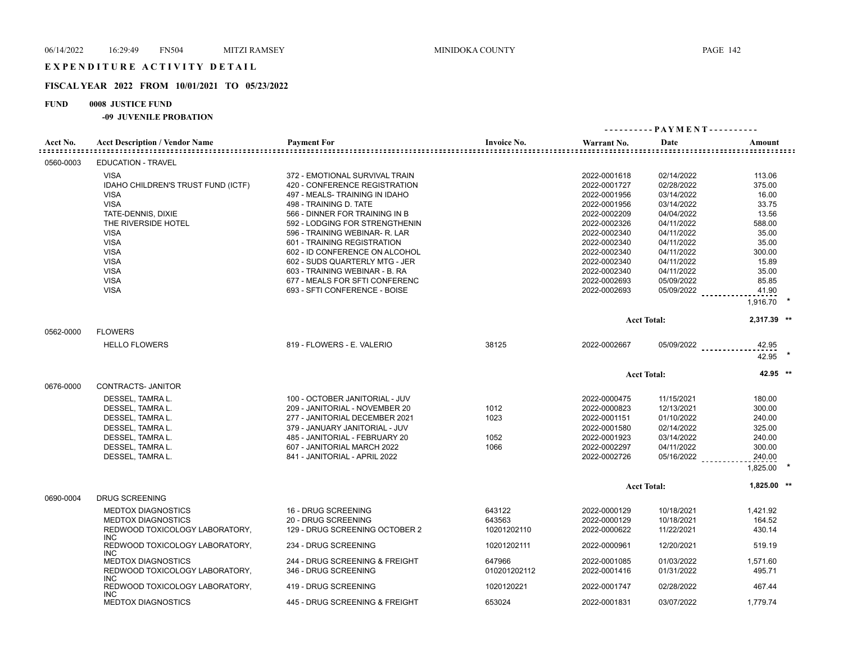## **FISCAL YEAR 2022 FROM 10/01/2021 TO 05/23/2022**

## **FUND 0008 JUSTICE FUND**

| Acct No.  | <b>Acct Description / Vendor Name</b>  | <b>Payment For</b>             | <b>Invoice No.</b> | Warrant No.  | Date                | Amount         |  |
|-----------|----------------------------------------|--------------------------------|--------------------|--------------|---------------------|----------------|--|
| 0560-0003 | <b>EDUCATION - TRAVEL</b>              |                                |                    |              |                     |                |  |
|           | <b>VISA</b>                            | 372 - EMOTIONAL SURVIVAL TRAIN |                    | 2022-0001618 | 02/14/2022          | 113.06         |  |
|           | IDAHO CHILDREN'S TRUST FUND (ICTF)     | 420 - CONFERENCE REGISTRATION  |                    | 2022-0001727 | 02/28/2022          | 375.00         |  |
|           | <b>VISA</b>                            | 497 - MEALS- TRAINING IN IDAHO |                    | 2022-0001956 | 03/14/2022          | 16.00          |  |
|           | <b>VISA</b>                            | 498 - TRAINING D. TATE         |                    | 2022-0001956 | 03/14/2022          | 33.75          |  |
|           | TATE-DENNIS, DIXIE                     | 566 - DINNER FOR TRAINING IN B |                    | 2022-0002209 | 04/04/2022          | 13.56          |  |
|           | THE RIVERSIDE HOTEL                    | 592 - LODGING FOR STRENGTHENIN |                    | 2022-0002326 | 04/11/2022          | 588.00         |  |
|           | <b>VISA</b>                            | 596 - TRAINING WEBINAR- R. LAR |                    | 2022-0002340 | 04/11/2022          | 35.00          |  |
|           | <b>VISA</b>                            | 601 - TRAINING REGISTRATION    |                    | 2022-0002340 | 04/11/2022          | 35.00          |  |
|           | <b>VISA</b>                            | 602 - ID CONFERENCE ON ALCOHOL |                    | 2022-0002340 | 04/11/2022          | 300.00         |  |
|           | <b>VISA</b>                            | 602 - SUDS QUARTERLY MTG - JER |                    | 2022-0002340 | 04/11/2022          | 15.89          |  |
|           | <b>VISA</b>                            | 603 - TRAINING WEBINAR - B. RA |                    | 2022-0002340 | 04/11/2022          | 35.00          |  |
|           | <b>VISA</b>                            | 677 - MEALS FOR SFTI CONFERENC |                    | 2022-0002693 | 05/09/2022          | 85.85          |  |
|           | <b>VISA</b>                            | 693 - SFTI CONFERENCE - BOISE  |                    | 2022-0002693 | 05/09/2022          | 41.90          |  |
|           |                                        |                                |                    |              |                     | 1,916.70       |  |
|           |                                        |                                |                    |              | <b>Acct Total:</b>  | 2,317.39 **    |  |
| 0562-0000 | <b>FLOWERS</b>                         |                                |                    |              |                     |                |  |
|           | <b>HELLO FLOWERS</b>                   | 819 - FLOWERS - E. VALERIO     | 38125              | 2022-0002667 | 05/09/2022          | 42.95<br>42.95 |  |
|           |                                        |                                |                    |              | <b>Acct Total:</b>  | 42.95 **       |  |
| 0676-0000 | CONTRACTS- JANITOR                     |                                |                    |              |                     |                |  |
|           | DESSEL, TAMRA L.                       | 100 - OCTOBER JANITORIAL - JUV |                    | 2022-0000475 | 11/15/2021          | 180.00         |  |
|           | DESSEL, TAMRA L.                       | 209 - JANITORIAL - NOVEMBER 20 | 1012               | 2022-0000823 | 12/13/2021          | 300.00         |  |
|           | DESSEL, TAMRA L.                       | 277 - JANITORIAL DECEMBER 2021 | 1023               | 2022-0001151 | 01/10/2022          | 240.00         |  |
|           | DESSEL, TAMRA L.                       | 379 - JANUARY JANITORIAL - JUV |                    | 2022-0001580 | 02/14/2022          | 325.00         |  |
|           | DESSEL, TAMRA L.                       | 485 - JANITORIAL - FEBRUARY 20 | 1052               | 2022-0001923 | 03/14/2022          | 240.00         |  |
|           | DESSEL, TAMRA L.                       | 607 - JANITORIAL MARCH 2022    | 1066               | 2022-0002297 | 04/11/2022          | 300.00         |  |
|           | DESSEL, TAMRA L.                       | 841 - JANITORIAL - APRIL 2022  |                    | 2022-0002726 | 05/16/2022 ________ | 240.00         |  |
|           |                                        |                                |                    |              |                     | 1.825.00       |  |
|           |                                        |                                |                    |              | <b>Acct Total:</b>  | 1,825.00 **    |  |
| 0690-0004 | <b>DRUG SCREENING</b>                  |                                |                    |              |                     |                |  |
|           | <b>MEDTOX DIAGNOSTICS</b>              | 16 - DRUG SCREENING            | 643122             | 2022-0000129 | 10/18/2021          | 1,421.92       |  |
|           | <b>MEDTOX DIAGNOSTICS</b>              | 20 - DRUG SCREENING            | 643563             | 2022-0000129 | 10/18/2021          | 164.52         |  |
|           | REDWOOD TOXICOLOGY LABORATORY,<br>INC. | 129 - DRUG SCREENING OCTOBER 2 | 10201202110        | 2022-0000622 | 11/22/2021          | 430.14         |  |
|           | REDWOOD TOXICOLOGY LABORATORY,<br>INC. | 234 - DRUG SCREENING           | 10201202111        | 2022-0000961 | 12/20/2021          | 519.19         |  |
|           | <b>MEDTOX DIAGNOSTICS</b>              | 244 - DRUG SCREENING & FREIGHT | 647966             | 2022-0001085 | 01/03/2022          | 1,571.60       |  |
|           | REDWOOD TOXICOLOGY LABORATORY,<br>INC. | 346 - DRUG SCREENING           | 010201202112       | 2022-0001416 | 01/31/2022          | 495.71         |  |
|           | REDWOOD TOXICOLOGY LABORATORY,<br>INC. | 419 - DRUG SCREENING           | 1020120221         | 2022-0001747 | 02/28/2022          | 467.44         |  |
|           | <b>MEDTOX DIAGNOSTICS</b>              | 445 - DRUG SCREENING & FREIGHT | 653024             | 2022-0001831 | 03/07/2022          | 1,779.74       |  |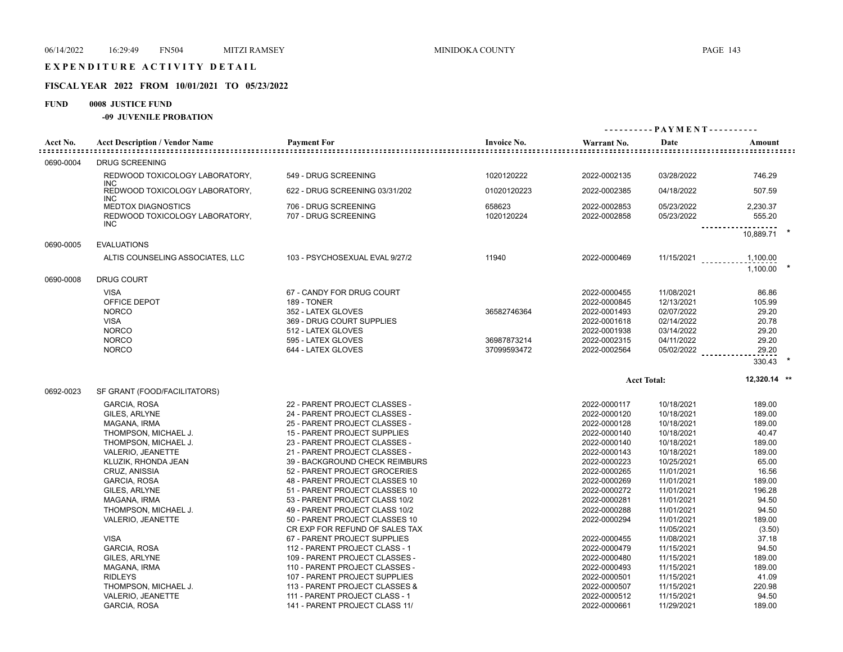## **FISCAL YEAR 2022 FROM 10/01/2021 TO 05/23/2022**

## **FUND 0008 JUSTICE FUND**

| Acct No.  | <b>Acct Description / Vendor Name</b>                                     | <b>Payment For</b>                                             | <b>Invoice No.</b>         | Warrant No.                                  | Date                                   | Amount                  |
|-----------|---------------------------------------------------------------------------|----------------------------------------------------------------|----------------------------|----------------------------------------------|----------------------------------------|-------------------------|
| 0690-0004 | <b>DRUG SCREENING</b>                                                     |                                                                |                            |                                              |                                        |                         |
|           | REDWOOD TOXICOLOGY LABORATORY,<br><b>INC</b>                              | 549 - DRUG SCREENING                                           | 1020120222                 | 2022-0002135                                 | 03/28/2022                             | 746.29                  |
|           | REDWOOD TOXICOLOGY LABORATORY,<br><b>INC</b>                              | 622 - DRUG SCREENING 03/31/202                                 | 01020120223                | 2022-0002385                                 | 04/18/2022                             | 507.59                  |
|           | <b>MEDTOX DIAGNOSTICS</b><br>REDWOOD TOXICOLOGY LABORATORY,<br><b>INC</b> | 706 - DRUG SCREENING<br>707 - DRUG SCREENING                   | 658623<br>1020120224       | 2022-0002853<br>2022-0002858                 | 05/23/2022<br>05/23/2022               | 2,230.37<br>555.20      |
| 0690-0005 | <b>EVALUATIONS</b>                                                        |                                                                |                            |                                              |                                        | 10,889.71               |
|           | ALTIS COUNSELING ASSOCIATES, LLC                                          | 103 - PSYCHOSEXUAL EVAL 9/27/2                                 | 11940                      | 2022-0000469                                 | $11/15/2021$                           | 1,100.00<br>1,100.00    |
| 0690-0008 | <b>DRUG COURT</b>                                                         |                                                                |                            |                                              |                                        |                         |
|           | <b>VISA</b><br>OFFICE DEPOT                                               | 67 - CANDY FOR DRUG COURT<br><b>189 - TONER</b>                |                            | 2022-0000455<br>2022-0000845                 | 11/08/2021<br>12/13/2021               | 86.86<br>105.99         |
|           | <b>NORCO</b><br><b>VISA</b>                                               | 352 - LATEX GLOVES<br>369 - DRUG COURT SUPPLIES                | 36582746364                | 2022-0001493<br>2022-0001618                 | 02/07/2022<br>02/14/2022               | 29.20<br>20.78          |
|           | <b>NORCO</b><br><b>NORCO</b><br><b>NORCO</b>                              | 512 - LATEX GLOVES<br>595 - LATEX GLOVES<br>644 - LATEX GLOVES | 36987873214<br>37099593472 | 2022-0001938<br>2022-0002315<br>2022-0002564 | 03/14/2022<br>04/11/2022<br>05/02/2022 | 29.20<br>29.20<br>29.20 |
|           |                                                                           |                                                                |                            |                                              |                                        | 330.43                  |
|           |                                                                           |                                                                |                            |                                              | <b>Acct Total:</b>                     | 12,320.14 **            |
| 0692-0023 | SF GRANT (FOOD/FACILITATORS)                                              |                                                                |                            |                                              |                                        |                         |
|           | <b>GARCIA, ROSA</b>                                                       | 22 - PARENT PROJECT CLASSES -                                  |                            | 2022-0000117                                 | 10/18/2021                             | 189.00                  |
|           | GILES, ARLYNE                                                             | 24 - PARENT PROJECT CLASSES -                                  |                            | 2022-0000120                                 | 10/18/2021                             | 189.00                  |
|           | <b>MAGANA, IRMA</b>                                                       | 25 - PARENT PROJECT CLASSES -                                  |                            | 2022-0000128                                 | 10/18/2021                             | 189.00                  |
|           | THOMPSON, MICHAEL J.                                                      | 15 - PARENT PROJECT SUPPLIES                                   |                            | 2022-0000140                                 | 10/18/2021                             | 40.47                   |
|           | THOMPSON, MICHAEL J.                                                      | 23 - PARENT PROJECT CLASSES -                                  |                            | 2022-0000140                                 | 10/18/2021                             | 189.00                  |
|           | VALERIO, JEANETTE                                                         | 21 - PARENT PROJECT CLASSES -                                  |                            | 2022-0000143                                 | 10/18/2021                             | 189.00                  |
|           | KLUZIK, RHONDA JEAN                                                       | 39 - BACKGROUND CHECK REIMBURS                                 |                            | 2022-0000223                                 | 10/25/2021                             | 65.00                   |
|           | CRUZ, ANISSIA                                                             | 52 - PARENT PROJECT GROCERIES                                  |                            | 2022-0000265                                 | 11/01/2021                             | 16.56                   |
|           | <b>GARCIA, ROSA</b>                                                       | 48 - PARENT PROJECT CLASSES 10                                 |                            | 2022-0000269                                 | 11/01/2021                             | 189.00                  |
|           | GILES, ARLYNE                                                             | 51 - PARENT PROJECT CLASSES 10                                 |                            | 2022-0000272                                 | 11/01/2021                             | 196.28                  |
|           | MAGANA, IRMA                                                              | 53 - PARENT PROJECT CLASS 10/2                                 |                            | 2022-0000281                                 | 11/01/2021                             | 94.50                   |
|           | THOMPSON, MICHAEL J.                                                      | 49 - PARENT PROJECT CLASS 10/2                                 |                            | 2022-0000288                                 | 11/01/2021                             | 94.50                   |
|           | VALERIO, JEANETTE                                                         | 50 - PARENT PROJECT CLASSES 10                                 |                            | 2022-0000294                                 | 11/01/2021                             | 189.00                  |
|           |                                                                           | CR EXP FOR REFUND OF SALES TAX                                 |                            |                                              | 11/05/2021                             | (3.50)                  |
|           | <b>VISA</b>                                                               | 67 - PARENT PROJECT SUPPLIES                                   |                            | 2022-0000455                                 | 11/08/2021                             | 37.18                   |
|           | GARCIA, ROSA                                                              | 112 - PARENT PROJECT CLASS - 1                                 |                            | 2022-0000479                                 | 11/15/2021                             | 94.50                   |
|           | GILES, ARLYNE                                                             | 109 - PARENT PROJECT CLASSES -                                 |                            | 2022-0000480                                 | 11/15/2021                             | 189.00                  |
|           | MAGANA, IRMA                                                              | 110 - PARENT PROJECT CLASSES -                                 |                            | 2022-0000493                                 | 11/15/2021                             | 189.00                  |
|           | <b>RIDLEYS</b>                                                            | 107 - PARENT PROJECT SUPPLIES                                  |                            | 2022-0000501                                 | 11/15/2021                             | 41.09                   |
|           | THOMPSON, MICHAEL J.                                                      | 113 - PARENT PROJECT CLASSES &                                 |                            | 2022-0000507                                 | 11/15/2021                             | 220.98                  |
|           | VALERIO, JEANETTE                                                         | 111 - PARENT PROJECT CLASS - 1                                 |                            | 2022-0000512                                 | 11/15/2021                             | 94.50                   |
|           | GARCIA, ROSA                                                              | 141 - PARENT PROJECT CLASS 11/                                 |                            | 2022-0000661                                 | 11/29/2021                             | 189.00                  |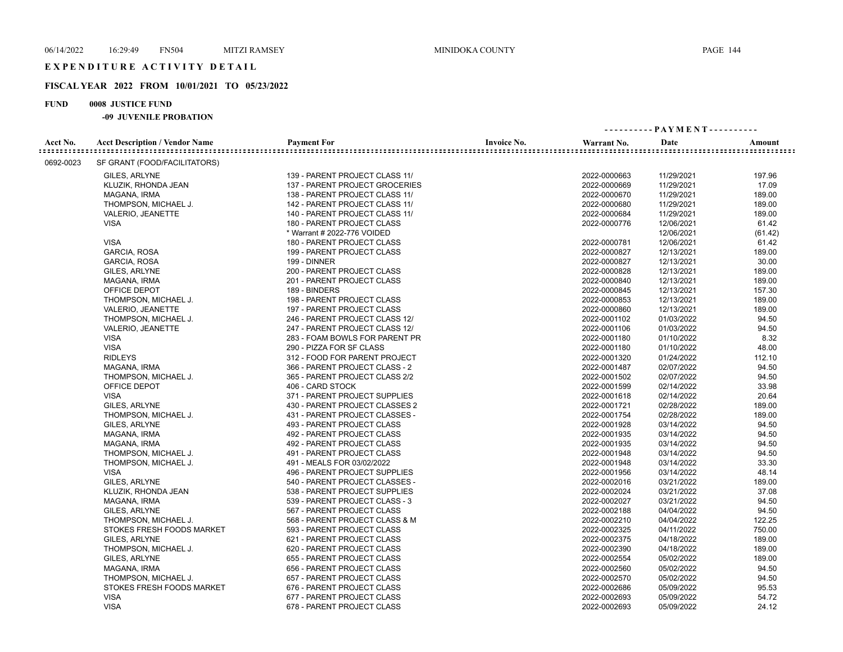## **FISCAL YEAR 2022 FROM 10/01/2021 TO 05/23/2022**

## **FUND 0008 JUSTICE FUND**

|           |                                       |                                |                    | ---------- PAYMENT---------- |            |         |  |
|-----------|---------------------------------------|--------------------------------|--------------------|------------------------------|------------|---------|--|
| Acct No.  | <b>Acct Description / Vendor Name</b> | <b>Payment For</b>             | <b>Invoice No.</b> | Warrant No.                  | Date       | Amount  |  |
| 0692-0023 | SF GRANT (FOOD/FACILITATORS)          |                                |                    |                              |            |         |  |
|           | GILES, ARLYNE                         | 139 - PARENT PROJECT CLASS 11/ |                    | 2022-0000663                 | 11/29/2021 | 197.96  |  |
|           | KLUZIK, RHONDA JEAN                   | 137 - PARENT PROJECT GROCERIES |                    | 2022-0000669                 | 11/29/2021 | 17.09   |  |
|           | MAGANA, IRMA                          | 138 - PARENT PROJECT CLASS 11/ |                    | 2022-0000670                 | 11/29/2021 | 189.00  |  |
|           | THOMPSON, MICHAEL J.                  | 142 - PARENT PROJECT CLASS 11/ |                    | 2022-0000680                 | 11/29/2021 | 189.00  |  |
|           | VALERIO, JEANETTE                     | 140 - PARENT PROJECT CLASS 11/ |                    | 2022-0000684                 | 11/29/2021 | 189.00  |  |
|           | <b>VISA</b>                           | 180 - PARENT PROJECT CLASS     |                    | 2022-0000776                 | 12/06/2021 | 61.42   |  |
|           |                                       | * Warrant # 2022-776 VOIDED    |                    |                              | 12/06/2021 | (61.42) |  |
|           | <b>VISA</b>                           | 180 - PARENT PROJECT CLASS     |                    | 2022-0000781                 | 12/06/2021 | 61.42   |  |
|           | <b>GARCIA, ROSA</b>                   | 199 - PARENT PROJECT CLASS     |                    | 2022-0000827                 | 12/13/2021 | 189.00  |  |
|           | GARCIA, ROSA                          | 199 - DINNER                   |                    | 2022-0000827                 | 12/13/2021 | 30.00   |  |
|           | GILES, ARLYNE                         | 200 - PARENT PROJECT CLASS     |                    | 2022-0000828                 | 12/13/2021 | 189.00  |  |
|           | MAGANA, IRMA                          | 201 - PARENT PROJECT CLASS     |                    | 2022-0000840                 | 12/13/2021 | 189.00  |  |
|           | OFFICE DEPOT                          | 189 - BINDERS                  |                    | 2022-0000845                 | 12/13/2021 | 157.30  |  |
|           | THOMPSON, MICHAEL J.                  | 198 - PARENT PROJECT CLASS     |                    | 2022-0000853                 | 12/13/2021 | 189.00  |  |
|           | VALERIO, JEANETTE                     | 197 - PARENT PROJECT CLASS     |                    | 2022-0000860                 | 12/13/2021 | 189.00  |  |
|           | THOMPSON, MICHAEL J.                  | 246 - PARENT PROJECT CLASS 12/ |                    | 2022-0001102                 | 01/03/2022 | 94.50   |  |
|           | VALERIO, JEANETTE                     | 247 - PARENT PROJECT CLASS 12/ |                    | 2022-0001106                 | 01/03/2022 | 94.50   |  |
|           | <b>VISA</b>                           | 283 - FOAM BOWLS FOR PARENT PR |                    | 2022-0001180                 | 01/10/2022 | 8.32    |  |
|           | <b>VISA</b>                           | 290 - PIZZA FOR SF CLASS       |                    | 2022-0001180                 | 01/10/2022 | 48.00   |  |
|           | <b>RIDLEYS</b>                        | 312 - FOOD FOR PARENT PROJECT  |                    | 2022-0001320                 | 01/24/2022 | 112.10  |  |
|           | MAGANA, IRMA                          | 366 - PARENT PROJECT CLASS - 2 |                    | 2022-0001487                 | 02/07/2022 | 94.50   |  |
|           | THOMPSON, MICHAEL J.                  | 365 - PARENT PROJECT CLASS 2/2 |                    | 2022-0001502                 | 02/07/2022 | 94.50   |  |
|           | OFFICE DEPOT                          | 406 - CARD STOCK               |                    | 2022-0001599                 | 02/14/2022 | 33.98   |  |
|           | <b>VISA</b>                           | 371 - PARENT PROJECT SUPPLIES  |                    | 2022-0001618                 | 02/14/2022 | 20.64   |  |
|           | GILES, ARLYNE                         | 430 - PARENT PROJECT CLASSES 2 |                    | 2022-0001721                 | 02/28/2022 | 189.00  |  |
|           | THOMPSON, MICHAEL J.                  | 431 - PARENT PROJECT CLASSES - |                    | 2022-0001754                 | 02/28/2022 | 189.00  |  |
|           | GILES, ARLYNE                         | 493 - PARENT PROJECT CLASS     |                    | 2022-0001928                 | 03/14/2022 | 94.50   |  |
|           | MAGANA, IRMA                          | 492 - PARENT PROJECT CLASS     |                    | 2022-0001935                 | 03/14/2022 | 94.50   |  |
|           | MAGANA, IRMA                          | 492 - PARENT PROJECT CLASS     |                    | 2022-0001935                 | 03/14/2022 | 94.50   |  |
|           | THOMPSON, MICHAEL J.                  | 491 - PARENT PROJECT CLASS     |                    | 2022-0001948                 | 03/14/2022 | 94.50   |  |
|           | THOMPSON, MICHAEL J.                  | 491 - MEALS FOR 03/02/2022     |                    | 2022-0001948                 | 03/14/2022 | 33.30   |  |
|           | <b>VISA</b>                           | 496 - PARENT PROJECT SUPPLIES  |                    | 2022-0001956                 | 03/14/2022 | 48.14   |  |
|           | GILES, ARLYNE                         | 540 - PARENT PROJECT CLASSES - |                    | 2022-0002016                 | 03/21/2022 | 189.00  |  |
|           | KLUZIK, RHONDA JEAN                   | 538 - PARENT PROJECT SUPPLIES  |                    | 2022-0002024                 | 03/21/2022 | 37.08   |  |
|           | MAGANA, IRMA                          | 539 - PARENT PROJECT CLASS - 3 |                    | 2022-0002027                 | 03/21/2022 | 94.50   |  |
|           | GILES, ARLYNE                         | 567 - PARENT PROJECT CLASS     |                    | 2022-0002188                 | 04/04/2022 | 94.50   |  |
|           | THOMPSON, MICHAEL J.                  | 568 - PARENT PROJECT CLASS & M |                    | 2022-0002210                 | 04/04/2022 | 122.25  |  |
|           | STOKES FRESH FOODS MARKET             | 593 - PARENT PROJECT CLASS     |                    | 2022-0002325                 | 04/11/2022 | 750.00  |  |
|           | GILES, ARLYNE                         | 621 - PARENT PROJECT CLASS     |                    | 2022-0002375                 | 04/18/2022 | 189.00  |  |
|           | THOMPSON, MICHAEL J.                  | 620 - PARENT PROJECT CLASS     |                    | 2022-0002390                 | 04/18/2022 | 189.00  |  |
|           | GILES, ARLYNE                         | 655 - PARENT PROJECT CLASS     |                    | 2022-0002554                 | 05/02/2022 | 189.00  |  |
|           | MAGANA, IRMA                          | 656 - PARENT PROJECT CLASS     |                    | 2022-0002560                 | 05/02/2022 | 94.50   |  |
|           | THOMPSON, MICHAEL J.                  | 657 - PARENT PROJECT CLASS     |                    | 2022-0002570                 | 05/02/2022 | 94.50   |  |
|           | STOKES FRESH FOODS MARKET             | 676 - PARENT PROJECT CLASS     |                    | 2022-0002686                 | 05/09/2022 | 95.53   |  |
|           | <b>VISA</b>                           | 677 - PARENT PROJECT CLASS     |                    | 2022-0002693                 | 05/09/2022 | 54.72   |  |
|           | <b>VISA</b>                           | 678 - PARENT PROJECT CLASS     |                    | 2022-0002693                 | 05/09/2022 | 24.12   |  |
|           |                                       |                                |                    |                              |            |         |  |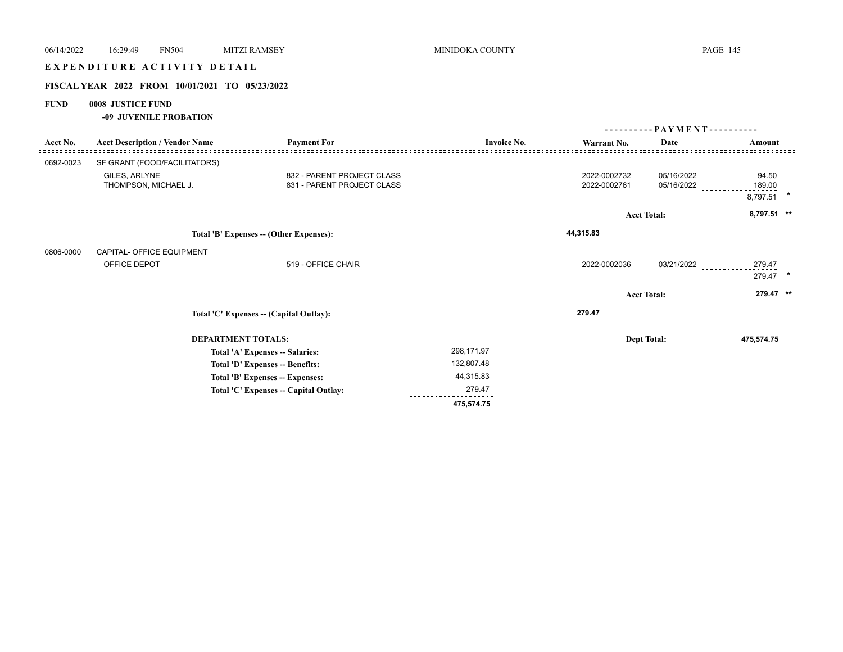| 06/14/2022                              | 16:29:49                                       | <b>FN504</b> | <b>MITZI RAMSEY</b>                     | MINIDOKA COUNTY    |              |                              | <b>PAGE 145</b>      |  |
|-----------------------------------------|------------------------------------------------|--------------|-----------------------------------------|--------------------|--------------|------------------------------|----------------------|--|
|                                         | EXPENDITURE ACTIVITY DETAIL                    |              |                                         |                    |              |                              |                      |  |
|                                         | FISCAL YEAR 2022 FROM 10/01/2021 TO 05/23/2022 |              |                                         |                    |              |                              |                      |  |
| <b>FUND</b>                             | 0008 JUSTICE FUND                              |              |                                         |                    |              |                              |                      |  |
|                                         | -09 JUVENILE PROBATION                         |              |                                         |                    |              |                              |                      |  |
|                                         |                                                |              |                                         |                    |              | ---------- PAYMENT---------- |                      |  |
| Acct No.                                | <b>Acct Description / Vendor Name</b>          |              | <b>Payment For</b>                      | <b>Invoice No.</b> | Warrant No.  | Date                         | Amount               |  |
| 0692-0023                               | SF GRANT (FOOD/FACILITATORS)                   |              |                                         |                    |              |                              |                      |  |
|                                         | GILES, ARLYNE                                  |              | 832 - PARENT PROJECT CLASS              |                    | 2022-0002732 | 05/16/2022                   | 94.50                |  |
|                                         | THOMPSON, MICHAEL J.                           |              | 831 - PARENT PROJECT CLASS              |                    | 2022-0002761 | 05/16/2022                   | 189.00<br>8,797.51 * |  |
|                                         |                                                |              |                                         |                    |              |                              |                      |  |
|                                         |                                                |              |                                         |                    |              | <b>Acct Total:</b>           | 8,797.51 **          |  |
| Total 'B' Expenses -- (Other Expenses): |                                                |              | 44,315.83                               |                    |              |                              |                      |  |
| 0806-0000                               | CAPITAL- OFFICE EQUIPMENT                      |              |                                         |                    |              |                              |                      |  |
|                                         | OFFICE DEPOT                                   |              | 519 - OFFICE CHAIR                      |                    | 2022-0002036 | 03/21/2022                   | 279.47<br>279.47 *   |  |
|                                         |                                                |              |                                         |                    |              | <b>Acct Total:</b>           | 279.47 **            |  |
|                                         |                                                |              | Total 'C' Expenses -- (Capital Outlay): |                    | 279.47       |                              |                      |  |
|                                         |                                                |              | <b>DEPARTMENT TOTALS:</b>               |                    |              | <b>Dept Total:</b>           | 475,574.75           |  |
|                                         |                                                |              | Total 'A' Expenses -- Salaries:         | 298,171.97         |              |                              |                      |  |
|                                         |                                                |              | Total 'D' Expenses -- Benefits:         | 132,807.48         |              |                              |                      |  |
|                                         |                                                |              | Total 'B' Expenses -- Expenses:         | 44,315.83          |              |                              |                      |  |
|                                         |                                                |              | Total 'C' Expenses -- Capital Outlay:   | 279.47             |              |                              |                      |  |
|                                         |                                                |              |                                         | 475,574.75         |              |                              |                      |  |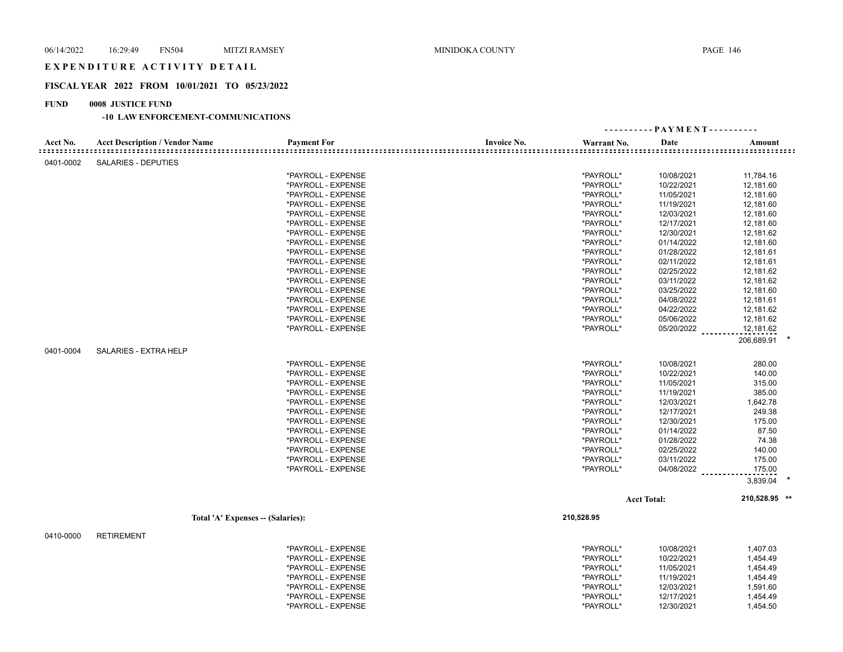## EXPENDITURE ACTIVITY DETAIL

#### **FISCAL YEAR 2022 FROM 10/01/2021 TO 05/23/2022**

## **FUND 0008 JUSTICE FUND**

|                                   |                                       |                    |                    |             | - PAYMENT - - - - - - - - - |               |
|-----------------------------------|---------------------------------------|--------------------|--------------------|-------------|-----------------------------|---------------|
| Acct No.<br>: = = = = = = = = = = | <b>Acct Description / Vendor Name</b> | <b>Payment For</b> | <b>Invoice No.</b> | Warrant No. | Date                        | Amount        |
| 0401-0002                         | <b>SALARIES - DEPUTIES</b>            |                    |                    |             |                             |               |
|                                   |                                       | *PAYROLL - EXPENSE |                    | *PAYROLL*   | 10/08/2021                  | 11,784.16     |
|                                   |                                       | *PAYROLL - EXPENSE |                    | *PAYROLL*   | 10/22/2021                  | 12,181.60     |
|                                   |                                       | *PAYROLL - EXPENSE |                    | *PAYROLL*   | 11/05/2021                  | 12,181.60     |
|                                   |                                       | *PAYROLL - EXPENSE |                    | *PAYROLL*   | 11/19/2021                  | 12,181.60     |
|                                   |                                       | *PAYROLL - EXPENSE |                    | *PAYROLL*   | 12/03/2021                  | 12,181.60     |
|                                   |                                       | *PAYROLL - EXPENSE |                    | *PAYROLL*   | 12/17/2021                  | 12,181.60     |
|                                   |                                       | *PAYROLL - EXPENSE |                    | *PAYROLL*   | 12/30/2021                  | 12,181.62     |
|                                   |                                       | *PAYROLL - EXPENSE |                    | *PAYROLL*   | 01/14/2022                  | 12,181.60     |
|                                   |                                       | *PAYROLL - EXPENSE |                    | *PAYROLL*   | 01/28/2022                  | 12,181.61     |
|                                   |                                       | *PAYROLL - EXPENSE |                    | *PAYROLL*   | 02/11/2022                  | 12,181.61     |
|                                   |                                       | *PAYROLL - EXPENSE |                    | *PAYROLL*   | 02/25/2022                  | 12,181.62     |
|                                   |                                       | *PAYROLL - EXPENSE |                    | *PAYROLL*   | 03/11/2022                  | 12,181.62     |
|                                   |                                       | *PAYROLL - EXPENSE |                    | *PAYROLL*   | 03/25/2022                  | 12,181.60     |
|                                   |                                       | *PAYROLL - EXPENSE |                    | *PAYROLL*   | 04/08/2022                  | 12,181.61     |
|                                   |                                       | *PAYROLL - EXPENSE |                    | *PAYROLL*   | 04/22/2022                  | 12,181.62     |
|                                   |                                       | *PAYROLL - EXPENSE |                    | *PAYROLL*   | 05/06/2022                  | 12,181.62     |
|                                   |                                       | *PAYROLL - EXPENSE |                    | *PAYROLL*   | 05/20/2022                  | 12,181.62     |
|                                   |                                       |                    |                    |             |                             | 206,689.91 *  |
| 0401-0004                         | SALARIES - EXTRA HELP                 |                    |                    |             |                             |               |
|                                   |                                       | *PAYROLL - EXPENSE |                    | *PAYROLL*   | 10/08/2021                  | 280.00        |
|                                   |                                       | *PAYROLL - EXPENSE |                    | *PAYROLL*   | 10/22/2021                  | 140.00        |
|                                   |                                       | *PAYROLL - EXPENSE |                    | *PAYROLL*   | 11/05/2021                  | 315.00        |
|                                   |                                       | *PAYROLL - EXPENSE |                    | *PAYROLL*   | 11/19/2021                  | 385.00        |
|                                   |                                       | *PAYROLL - EXPENSE |                    | *PAYROLL*   | 12/03/2021                  | 1,642.78      |
|                                   |                                       | *PAYROLL - EXPENSE |                    | *PAYROLL*   | 12/17/2021                  | 249.38        |
|                                   |                                       | *PAYROLL - EXPENSE |                    | *PAYROLL*   | 12/30/2021                  | 175.00        |
|                                   |                                       | *PAYROLL - EXPENSE |                    | *PAYROLL*   | 01/14/2022                  | 87.50         |
|                                   |                                       | *PAYROLL - EXPENSE |                    | *PAYROLL*   | 01/28/2022                  | 74.38         |
|                                   |                                       | *PAYROLL - EXPENSE |                    | *PAYROLL*   | 02/25/2022                  | 140.00        |
|                                   |                                       | *PAYROLL - EXPENSE |                    | *PAYROLL*   | 03/11/2022                  | 175.00        |
|                                   |                                       | *PAYROLL - EXPENSE |                    | *PAYROLL*   | 04/08/2022                  | 175.00        |
|                                   |                                       |                    |                    |             |                             | 3,839.04      |
|                                   |                                       |                    |                    |             | <b>Acct Total:</b>          | 210,528.95 ** |
|                                   | Total 'A' Expenses -- (Salaries):     |                    |                    | 210,528.95  |                             |               |
|                                   |                                       |                    |                    |             |                             |               |
| 0410-0000                         | <b>RETIREMENT</b>                     |                    |                    |             |                             |               |
|                                   |                                       | *PAYROLL - EXPENSE |                    | *PAYROLL*   | 10/08/2021                  | 1,407.03      |
|                                   |                                       | *PAYROLL - EXPENSE |                    | *PAYROLL*   | 10/22/2021                  | 1,454.49      |
|                                   |                                       | *PAYROLL - EXPENSE |                    | *PAYROLL*   | 11/05/2021                  | 1,454.49      |
|                                   |                                       | *PAYROLL - EXPENSE |                    | *PAYROLL*   | 11/19/2021                  | 1,454.49      |
|                                   |                                       | *PAYROLL - EXPENSE |                    | *PAYROLL*   | 12/03/2021                  | 1,591.60      |
|                                   |                                       | *PAYROLL - EXPENSE |                    | *PAYROLL*   | 12/17/2021                  | 1,454.49      |
|                                   |                                       | *PAYROLL - EXPENSE |                    | *PAYROLL*   | 12/30/2021                  | 1,454.50      |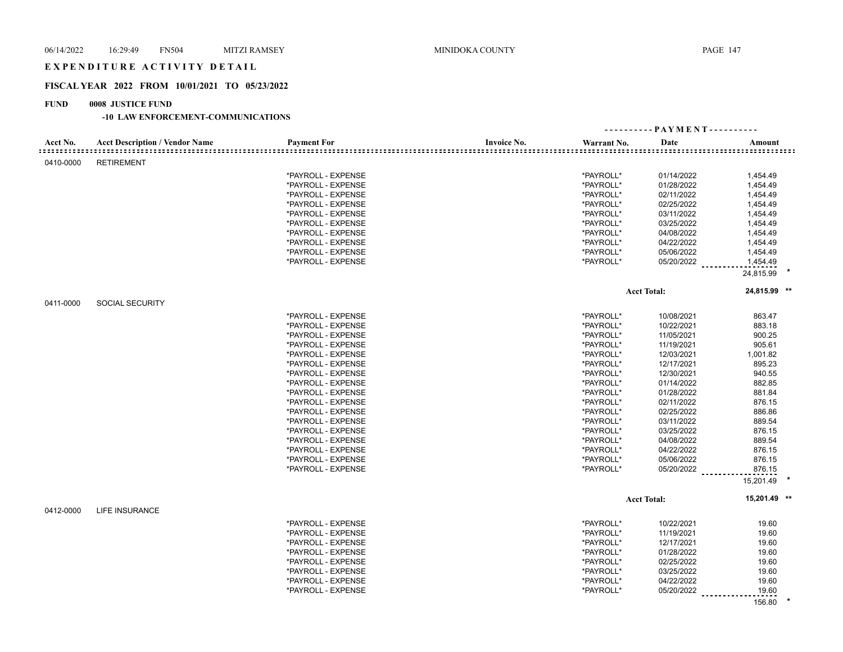# EXPENDITURE ACTIVITY DETAIL

## **FISCAL YEAR 2022 FROM 10/01/2021 TO 05/23/2022**

## **FUND 0008 JUSTICE FUND**

|           |                                       |                    |                    | ---------- PAYMENT---------- |                    |              |  |
|-----------|---------------------------------------|--------------------|--------------------|------------------------------|--------------------|--------------|--|
| Acct No.  | <b>Acct Description / Vendor Name</b> | <b>Payment For</b> | <b>Invoice No.</b> | Warrant No.                  | Date               | Amount       |  |
| 0410-0000 | <b>RETIREMENT</b>                     |                    |                    |                              |                    |              |  |
|           |                                       | *PAYROLL - EXPENSE |                    | *PAYROLL*                    | 01/14/2022         | 1,454.49     |  |
|           |                                       | *PAYROLL - EXPENSE |                    | *PAYROLL*                    | 01/28/2022         | 1,454.49     |  |
|           |                                       | *PAYROLL - EXPENSE |                    | *PAYROLL*                    | 02/11/2022         | 1,454.49     |  |
|           |                                       | *PAYROLL - EXPENSE |                    | *PAYROLL*                    | 02/25/2022         | 1,454.49     |  |
|           |                                       | *PAYROLL - EXPENSE |                    | *PAYROLL*                    | 03/11/2022         | 1,454.49     |  |
|           |                                       | *PAYROLL - EXPENSE |                    | *PAYROLL*                    | 03/25/2022         | 1,454.49     |  |
|           |                                       | *PAYROLL - EXPENSE |                    | *PAYROLL*                    | 04/08/2022         | 1,454.49     |  |
|           |                                       | *PAYROLL - EXPENSE |                    | *PAYROLL*                    | 04/22/2022         | 1,454.49     |  |
|           |                                       | *PAYROLL - EXPENSE |                    | *PAYROLL*                    | 05/06/2022         | 1,454.49     |  |
|           |                                       | *PAYROLL - EXPENSE |                    | *PAYROLL*                    | 05/20/2022         | 1,454.49     |  |
|           |                                       |                    |                    |                              |                    | 24,815.99    |  |
|           |                                       |                    |                    |                              | <b>Acct Total:</b> | 24,815.99 ** |  |
| 0411-0000 | <b>SOCIAL SECURITY</b>                |                    |                    |                              |                    |              |  |
|           |                                       | *PAYROLL - EXPENSE |                    | *PAYROLL*                    | 10/08/2021         | 863.47       |  |
|           |                                       | *PAYROLL - EXPENSE |                    | *PAYROLL*                    | 10/22/2021         | 883.18       |  |
|           |                                       | *PAYROLL - EXPENSE |                    | *PAYROLL*                    | 11/05/2021         | 900.25       |  |
|           |                                       | *PAYROLL - EXPENSE |                    | *PAYROLL*                    | 11/19/2021         | 905.61       |  |
|           |                                       | *PAYROLL - EXPENSE |                    | *PAYROLL*                    | 12/03/2021         | 1,001.82     |  |
|           |                                       | *PAYROLL - EXPENSE |                    | *PAYROLL*                    | 12/17/2021         | 895.23       |  |
|           |                                       | *PAYROLL - EXPENSE |                    | *PAYROLL*                    | 12/30/2021         | 940.55       |  |
|           |                                       | *PAYROLL - EXPENSE |                    | *PAYROLL*                    | 01/14/2022         | 882.85       |  |
|           |                                       | *PAYROLL - EXPENSE |                    | *PAYROLL*                    | 01/28/2022         | 881.84       |  |
|           |                                       | *PAYROLL - EXPENSE |                    | *PAYROLL*                    | 02/11/2022         | 876.15       |  |
|           |                                       | *PAYROLL - EXPENSE |                    | *PAYROLL*                    | 02/25/2022         | 886.86       |  |
|           |                                       | *PAYROLL - EXPENSE |                    | *PAYROLL*                    | 03/11/2022         | 889.54       |  |
|           |                                       | *PAYROLL - EXPENSE |                    | *PAYROLL*                    | 03/25/2022         | 876.15       |  |
|           |                                       | *PAYROLL - EXPENSE |                    | *PAYROLL*                    | 04/08/2022         | 889.54       |  |
|           |                                       | *PAYROLL - EXPENSE |                    | *PAYROLL*                    | 04/22/2022         | 876.15       |  |
|           |                                       | *PAYROLL - EXPENSE |                    | *PAYROLL*                    | 05/06/2022         | 876.15       |  |
|           |                                       | *PAYROLL - EXPENSE |                    | *PAYROLL*                    | 05/20/2022         | 876.15       |  |
|           |                                       |                    |                    |                              |                    | 15,201.49    |  |
|           |                                       |                    |                    |                              | <b>Acct Total:</b> | 15,201.49 ** |  |
| 0412-0000 | <b>LIFE INSURANCE</b>                 |                    |                    |                              |                    |              |  |
|           |                                       | *PAYROLL - EXPENSE |                    | *PAYROLL*                    | 10/22/2021         | 19.60        |  |
|           |                                       | *PAYROLL - EXPENSE |                    | *PAYROLL*                    | 11/19/2021         | 19.60        |  |
|           |                                       | *PAYROLL - EXPENSE |                    | *PAYROLL*                    | 12/17/2021         | 19.60        |  |
|           |                                       | *PAYROLL - EXPENSE |                    | *PAYROLL*                    | 01/28/2022         | 19.60        |  |
|           |                                       | *PAYROLL - EXPENSE |                    | *PAYROLL*                    | 02/25/2022         | 19.60        |  |
|           |                                       | *PAYROLL - EXPENSE |                    | *PAYROLL*                    | 03/25/2022         | 19.60        |  |
|           |                                       | *PAYROLL - EXPENSE |                    | *PAYROLL*                    | 04/22/2022         | 19.60        |  |
|           |                                       | *PAYROLL - EXPENSE |                    | *PAYROLL*                    | 05/20/2022         | 19.60        |  |
|           |                                       |                    |                    |                              |                    | 156.80       |  |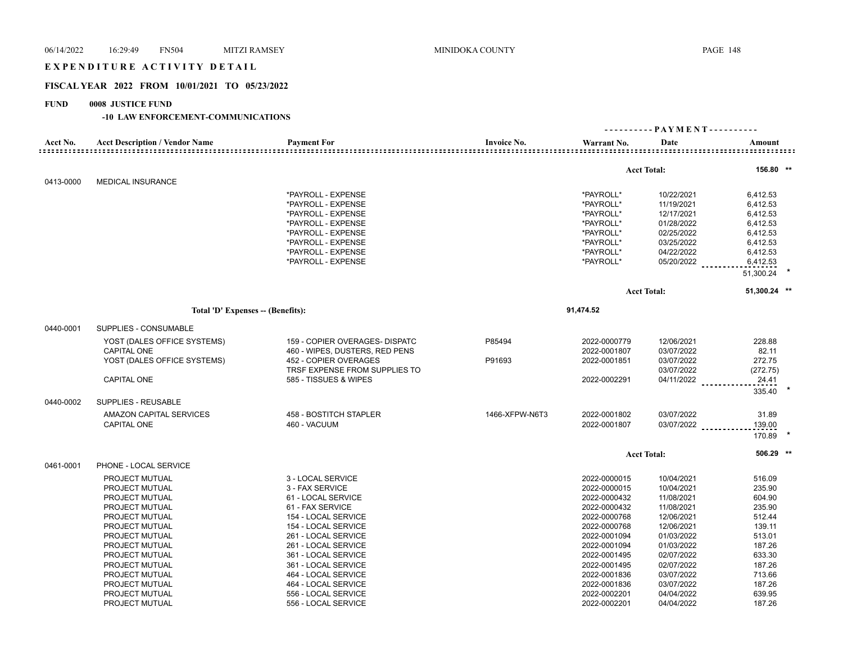# 06/14/2022 16:29:49 FN504 MITZI RAMSEY MINIDOKA COUNTY PAGE 148 EXPENDITURE ACTIVITY DETAIL **FISCAL YEAR 2022 FROM 10/01/2021 TO 05/23/2022**

## **FUND 0008 JUSTICE FUND**

|                              |                                       |                                |                    | ---------- PAYMENT---------- |                    |              |  |
|------------------------------|---------------------------------------|--------------------------------|--------------------|------------------------------|--------------------|--------------|--|
| Acct No.<br>================ | <b>Acct Description / Vendor Name</b> | <b>Payment For</b>             | <b>Invoice No.</b> | Warrant No.                  | Date               | Amount       |  |
|                              |                                       |                                |                    |                              | <b>Acct Total:</b> | 156.80 **    |  |
| 0413-0000                    | <b>MEDICAL INSURANCE</b>              |                                |                    |                              |                    |              |  |
|                              |                                       | *PAYROLL - EXPENSE             |                    | *PAYROLL*                    | 10/22/2021         | 6,412.53     |  |
|                              |                                       | *PAYROLL - EXPENSE             |                    | *PAYROLL*                    | 11/19/2021         | 6,412.53     |  |
|                              |                                       | *PAYROLL - EXPENSE             |                    | *PAYROLL*                    | 12/17/2021         | 6,412.53     |  |
|                              |                                       | *PAYROLL - EXPENSE             |                    | *PAYROLL*                    | 01/28/2022         | 6,412.53     |  |
|                              |                                       | *PAYROLL - EXPENSE             |                    | *PAYROLL*                    | 02/25/2022         | 6,412.53     |  |
|                              |                                       | *PAYROLL - EXPENSE             |                    | *PAYROLL*                    | 03/25/2022         | 6,412.53     |  |
|                              |                                       | *PAYROLL - EXPENSE             |                    | *PAYROLL*                    | 04/22/2022         | 6,412.53     |  |
|                              |                                       | *PAYROLL - EXPENSE             |                    | *PAYROLL*                    | 05/20/2022         | 6,412.53     |  |
|                              |                                       |                                |                    |                              |                    | 51,300.24    |  |
|                              |                                       |                                |                    |                              | <b>Acct Total:</b> | 51,300.24 ** |  |
|                              | Total 'D' Expenses -- (Benefits):     |                                |                    | 91,474.52                    |                    |              |  |
| 0440-0001                    | SUPPLIES - CONSUMABLE                 |                                |                    |                              |                    |              |  |
|                              | YOST (DALES OFFICE SYSTEMS)           | 159 - COPIER OVERAGES- DISPATC | P85494             | 2022-0000779                 | 12/06/2021         | 228.88       |  |
|                              | <b>CAPITAL ONE</b>                    | 460 - WIPES, DUSTERS, RED PENS |                    | 2022-0001807                 | 03/07/2022         | 82.11        |  |
|                              | YOST (DALES OFFICE SYSTEMS)           | 452 - COPIER OVERAGES          | P91693             | 2022-0001851                 | 03/07/2022         | 272.75       |  |
|                              |                                       | TRSF EXPENSE FROM SUPPLIES TO  |                    |                              | 03/07/2022         | (272.75)     |  |
|                              | <b>CAPITAL ONE</b>                    | 585 - TISSUES & WIPES          |                    | 2022-0002291                 | 04/11/2022         | 24.41        |  |
|                              |                                       |                                |                    |                              |                    | 335.40       |  |
| 0440-0002                    | SUPPLIES - REUSABLE                   |                                |                    |                              |                    |              |  |
|                              | AMAZON CAPITAL SERVICES               | 458 - BOSTITCH STAPLER         | 1466-XFPW-N6T3     | 2022-0001802                 | 03/07/2022         | 31.89        |  |
|                              | <b>CAPITAL ONE</b>                    | 460 - VACUUM                   |                    | 2022-0001807                 | 03/07/2022         | 139.00       |  |
|                              |                                       |                                |                    |                              |                    | 170.89       |  |
|                              |                                       |                                |                    |                              | <b>Acct Total:</b> | 506.29 **    |  |
| 0461-0001                    | PHONE - LOCAL SERVICE                 |                                |                    |                              |                    |              |  |
|                              | PROJECT MUTUAL                        | 3 - LOCAL SERVICE              |                    | 2022-0000015                 | 10/04/2021         | 516.09       |  |
|                              | PROJECT MUTUAL                        | 3 - FAX SERVICE                |                    | 2022-0000015                 | 10/04/2021         | 235.90       |  |
|                              | PROJECT MUTUAL                        | 61 - LOCAL SERVICE             |                    | 2022-0000432                 | 11/08/2021         | 604.90       |  |
|                              | PROJECT MUTUAL                        | 61 - FAX SERVICE               |                    | 2022-0000432                 | 11/08/2021         | 235.90       |  |
|                              | PROJECT MUTUAL                        | 154 - LOCAL SERVICE            |                    | 2022-0000768                 | 12/06/2021         | 512.44       |  |
|                              | PROJECT MUTUAL                        | 154 - LOCAL SERVICE            |                    | 2022-0000768                 | 12/06/2021         | 139.11       |  |
|                              | PROJECT MUTUAL                        | 261 - LOCAL SERVICE            |                    | 2022-0001094                 | 01/03/2022         | 513.01       |  |
|                              | PROJECT MUTUAL                        | 261 - LOCAL SERVICE            |                    | 2022-0001094                 | 01/03/2022         | 187.26       |  |
|                              | PROJECT MUTUAL                        | 361 - LOCAL SERVICE            |                    | 2022-0001495                 | 02/07/2022         | 633.30       |  |
|                              | PROJECT MUTUAL                        | 361 - LOCAL SERVICE            |                    | 2022-0001495                 | 02/07/2022         | 187.26       |  |
|                              | PROJECT MUTUAL                        | 464 - LOCAL SERVICE            |                    | 2022-0001836                 | 03/07/2022         | 713.66       |  |
|                              | PROJECT MUTUAL                        | 464 - LOCAL SERVICE            |                    | 2022-0001836                 | 03/07/2022         | 187.26       |  |
|                              | PROJECT MUTUAL                        | 556 - LOCAL SERVICE            |                    | 2022-0002201                 | 04/04/2022         | 639.95       |  |
|                              | PROJECT MUTUAL                        | 556 - LOCAL SERVICE            |                    | 2022-0002201                 | 04/04/2022         | 187.26       |  |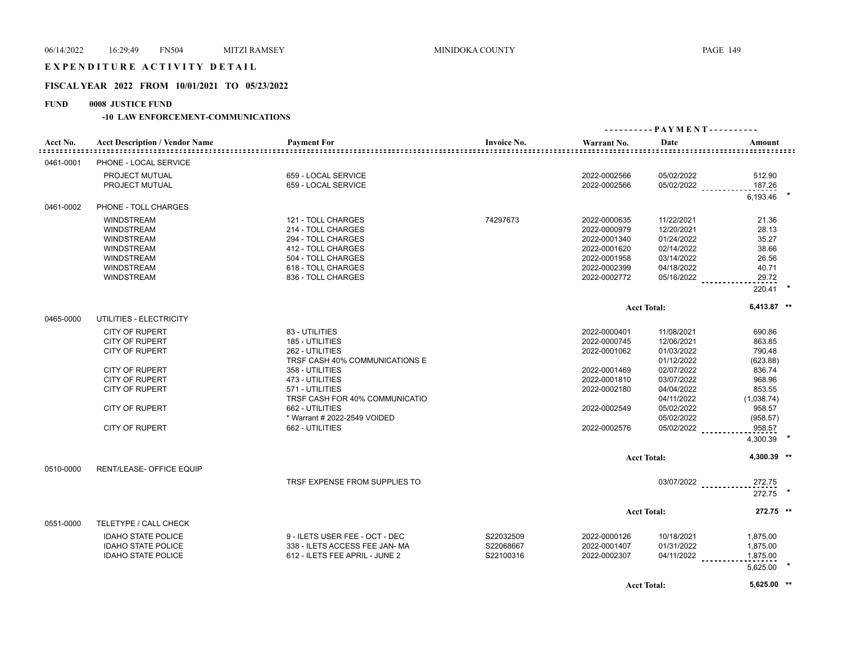# EXPENDITURE ACTIVITY DETAIL

## **FISCAL YEAR 2022 FROM 10/01/2021 TO 05/23/2022**

# **FUND 0008 JUSTICE FUND**

|           |                                       |                                |                    |              |                    | ---------- PAYMENT----------             |  |
|-----------|---------------------------------------|--------------------------------|--------------------|--------------|--------------------|------------------------------------------|--|
| Acct No.  | <b>Acct Description / Vendor Name</b> | <b>Payment For</b>             | <b>Invoice No.</b> | Warrant No.  | Date               | Amount                                   |  |
| 0461-0001 | PHONE - LOCAL SERVICE                 |                                |                    |              |                    |                                          |  |
|           | PROJECT MUTUAL                        | 659 - LOCAL SERVICE            |                    | 2022-0002566 | 05/02/2022         | 512.90                                   |  |
|           | PROJECT MUTUAL                        | 659 - LOCAL SERVICE            |                    | 2022-0002566 |                    | 187.26<br>$05/02/2022$                   |  |
|           |                                       |                                |                    |              |                    | 6.193.46                                 |  |
| 0461-0002 | PHONE - TOLL CHARGES                  |                                |                    |              |                    |                                          |  |
|           | <b>WINDSTREAM</b>                     | 121 - TOLL CHARGES             | 74297673           | 2022-0000635 | 11/22/2021         | 21.36                                    |  |
|           | <b>WINDSTREAM</b>                     | 214 - TOLL CHARGES             |                    | 2022-0000979 | 12/20/2021         | 28.13                                    |  |
|           | <b>WINDSTREAM</b>                     | 294 - TOLL CHARGES             |                    | 2022-0001340 | 01/24/2022         | 35.27                                    |  |
|           | <b>WINDSTREAM</b>                     | 412 - TOLL CHARGES             |                    | 2022-0001620 | 02/14/2022         | 38.66                                    |  |
|           | <b>WINDSTREAM</b>                     | 504 - TOLL CHARGES             |                    | 2022-0001958 | 03/14/2022         | 26.56                                    |  |
|           | <b>WINDSTREAM</b>                     | 618 - TOLL CHARGES             |                    | 2022-0002399 | 04/18/2022         | 40.71                                    |  |
|           | <b>WINDSTREAM</b>                     | 836 - TOLL CHARGES             |                    | 2022-0002772 | 05/16/2022         | 29.72                                    |  |
|           |                                       |                                |                    |              |                    | 220.41                                   |  |
|           |                                       |                                |                    |              | <b>Acct Total:</b> | 6,413.87 **                              |  |
| 0465-0000 | UTILITIES - ELECTRICITY               |                                |                    |              |                    |                                          |  |
|           | <b>CITY OF RUPERT</b>                 | 83 - UTILITIES                 |                    | 2022-0000401 | 11/08/2021         | 690.86                                   |  |
|           | <b>CITY OF RUPERT</b>                 | 185 - UTILITIES                |                    | 2022-0000745 | 12/06/2021         | 863.85                                   |  |
|           | <b>CITY OF RUPERT</b>                 | 262 - UTILITIES                |                    | 2022-0001062 | 01/03/2022         | 790.48                                   |  |
|           |                                       | TRSF CASH 40% COMMUNICATIONS E |                    |              | 01/12/2022         | (623.88)                                 |  |
|           | <b>CITY OF RUPERT</b>                 | 358 - UTILITIES                |                    | 2022-0001469 | 02/07/2022         | 836.74                                   |  |
|           | <b>CITY OF RUPERT</b>                 | 473 - UTILITIES                |                    | 2022-0001810 | 03/07/2022         | 968.96                                   |  |
|           | CITY OF RUPERT                        | 571 - UTILITIES                |                    | 2022-0002180 | 04/04/2022         | 853.55                                   |  |
|           |                                       | TRSF CASH FOR 40% COMMUNICATIO |                    |              | 04/11/2022         | (1,038.74)                               |  |
|           | <b>CITY OF RUPERT</b>                 | 662 - UTILITIES                |                    | 2022-0002549 | 05/02/2022         | 958.57                                   |  |
|           |                                       | * Warrant # 2022-2549 VOIDED   |                    |              | 05/02/2022         | (958.57)                                 |  |
|           | <b>CITY OF RUPERT</b>                 | 662 - UTILITIES                |                    | 2022-0002576 | 05/02/2022         | 958.57                                   |  |
|           |                                       |                                |                    |              |                    | 4,300.39                                 |  |
|           |                                       |                                |                    |              | <b>Acct Total:</b> | 4.300.39 **                              |  |
| 0510-0000 | RENT/LEASE- OFFICE EQUIP              |                                |                    |              |                    |                                          |  |
|           |                                       | TRSF EXPENSE FROM SUPPLIES TO  |                    |              |                    |                                          |  |
|           |                                       |                                |                    |              |                    | 03/07/2022 _____________272.75<br>272.75 |  |
|           |                                       |                                |                    |              |                    |                                          |  |
|           |                                       |                                |                    |              | <b>Acct Total:</b> | 272.75 **                                |  |
| 0551-0000 | TELETYPE / CALL CHECK                 |                                |                    |              |                    |                                          |  |
|           | <b>IDAHO STATE POLICE</b>             | 9 - ILETS USER FEE - OCT - DEC | S22032509          | 2022-0000126 | 10/18/2021         | 1,875.00                                 |  |
|           | <b>IDAHO STATE POLICE</b>             | 338 - ILETS ACCESS FEE JAN-MA  | S22068667          | 2022-0001407 | 01/31/2022         | 1,875.00                                 |  |
|           | <b>IDAHO STATE POLICE</b>             | 612 - ILETS FEE APRIL - JUNE 2 | S22100316          | 2022-0002307 | 04/11/2022         | 1,875.00                                 |  |
|           |                                       |                                |                    |              |                    | 5,625.00                                 |  |
|           |                                       |                                |                    |              | <b>Acct Total:</b> | 5,625.00 **                              |  |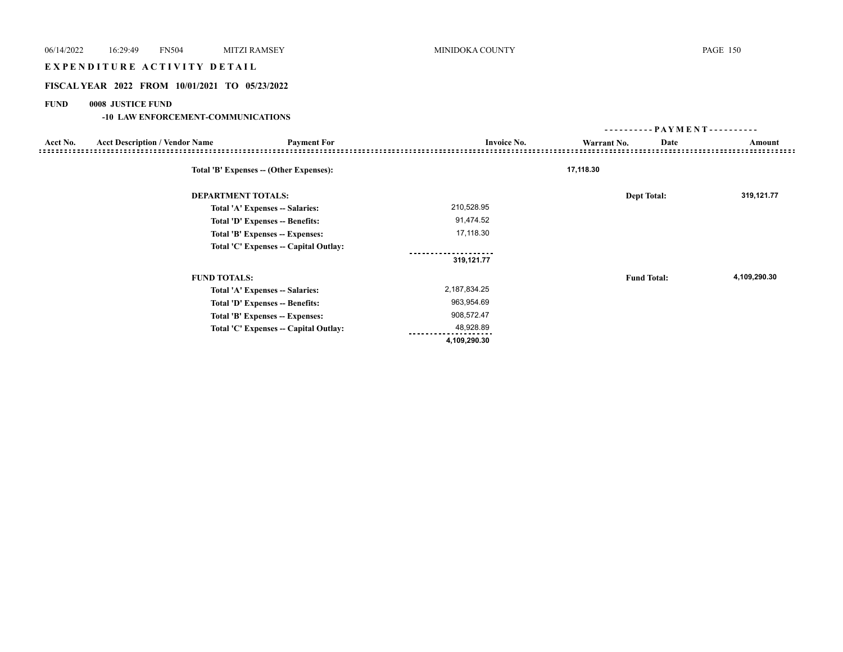# EXPENDITURE ACTIVITY DETAIL

## **FISCAL YEAR 2022 FROM 10/01/2021 TO 05/23/2022**

## **FUND 0008 JUSTICE FUND**

|                                                                         |                           | ---------           | - PAYMENT - - - - - - - - - - |
|-------------------------------------------------------------------------|---------------------------|---------------------|-------------------------------|
| <b>Acct Description / Vendor Name</b><br><b>Payment For</b><br>Acct No. | <b>Invoice No.</b>        | Date<br>Warrant No. | Amount                        |
| Total 'B' Expenses -- (Other Expenses):                                 |                           | 17,118.30           |                               |
| <b>DEPARTMENT TOTALS:</b>                                               |                           | <b>Dept Total:</b>  | 319,121.77                    |
| Total 'A' Expenses -- Salaries:                                         | 210,528.95                |                     |                               |
| Total 'D' Expenses -- Benefits:                                         | 91,474.52                 |                     |                               |
| Total 'B' Expenses -- Expenses:                                         | 17,118.30                 |                     |                               |
| Total 'C' Expenses -- Capital Outlay:                                   |                           |                     |                               |
|                                                                         | 319,121.77                |                     |                               |
| <b>FUND TOTALS:</b>                                                     |                           | <b>Fund Total:</b>  | 4,109,290.30                  |
| Total 'A' Expenses -- Salaries:                                         | 2,187,834.25              |                     |                               |
| Total 'D' Expenses -- Benefits:                                         | 963,954.69                |                     |                               |
| Total 'B' Expenses -- Expenses:                                         | 908,572.47                |                     |                               |
| Total 'C' Expenses -- Capital Outlay:                                   | 48,928.89<br>4,109,290.30 |                     |                               |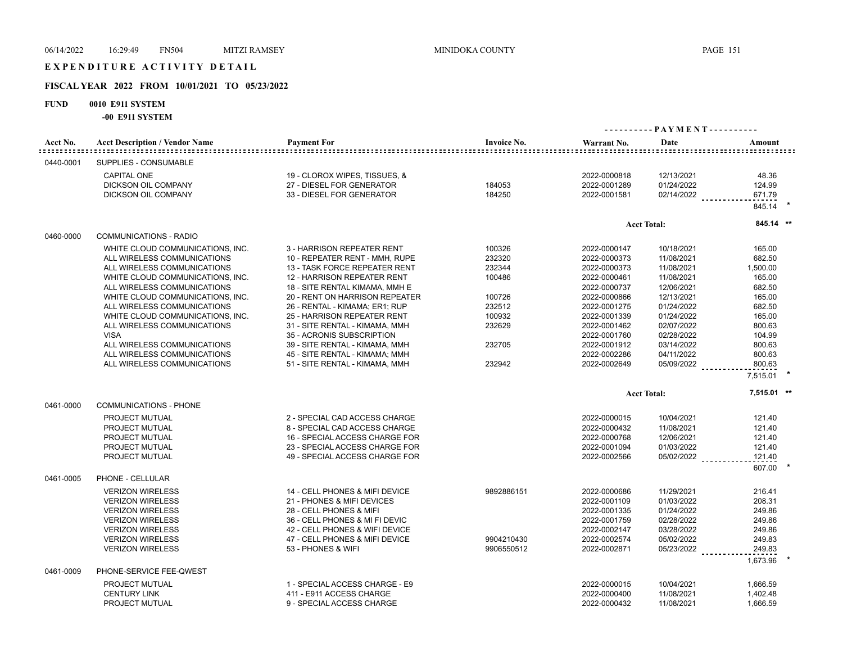# E X P E N D I T U R E A C T I V I T Y D E T A I L

## **FISCAL YEAR 2022 FROM 10/01/2021 TO 05/23/2022**

## **FUND 0010 E911 SYSTEM**

**-00 E911 SYSTEM**

| Acct No.<br>:::::::::::::: | <b>Acct Description / Vendor Name</b> | <b>Payment For</b>             | <b>Invoice No.</b> | Warrant No.  | Date               | Amount      |  |
|----------------------------|---------------------------------------|--------------------------------|--------------------|--------------|--------------------|-------------|--|
| 0440-0001                  | SUPPLIES - CONSUMABLE                 |                                |                    |              |                    |             |  |
|                            | <b>CAPITAL ONE</b>                    | 19 - CLOROX WIPES, TISSUES, &  |                    | 2022-0000818 | 12/13/2021         | 48.36       |  |
|                            | <b>DICKSON OIL COMPANY</b>            | 27 - DIESEL FOR GENERATOR      | 184053             | 2022-0001289 | 01/24/2022         | 124.99      |  |
|                            | <b>DICKSON OIL COMPANY</b>            | 33 - DIESEL FOR GENERATOR      | 184250             | 2022-0001581 | $02/14/2022$       | 671.79      |  |
|                            |                                       |                                |                    |              |                    | 845.14      |  |
|                            |                                       |                                |                    |              | <b>Acct Total:</b> | 845.14 **   |  |
| 0460-0000                  | COMMUNICATIONS - RADIO                |                                |                    |              |                    |             |  |
|                            | WHITE CLOUD COMMUNICATIONS, INC.      | 3 - HARRISON REPEATER RENT     | 100326             | 2022-0000147 | 10/18/2021         | 165.00      |  |
|                            | ALL WIRELESS COMMUNICATIONS           | 10 - REPEATER RENT - MMH, RUPE | 232320             | 2022-0000373 | 11/08/2021         | 682.50      |  |
|                            | ALL WIRELESS COMMUNICATIONS           | 13 - TASK FORCE REPEATER RENT  | 232344             | 2022-0000373 | 11/08/2021         | 1,500.00    |  |
|                            | WHITE CLOUD COMMUNICATIONS, INC.      | 12 - HARRISON REPEATER RENT    | 100486             | 2022-0000461 | 11/08/2021         | 165.00      |  |
|                            | ALL WIRELESS COMMUNICATIONS           | 18 - SITE RENTAL KIMAMA, MMH E |                    | 2022-0000737 | 12/06/2021         | 682.50      |  |
|                            | WHITE CLOUD COMMUNICATIONS, INC.      | 20 - RENT ON HARRISON REPEATER | 100726             | 2022-0000866 | 12/13/2021         | 165.00      |  |
|                            | ALL WIRELESS COMMUNICATIONS           | 26 - RENTAL - KIMAMA; ER1; RUP | 232512             | 2022-0001275 | 01/24/2022         | 682.50      |  |
|                            | WHITE CLOUD COMMUNICATIONS, INC.      | 25 - HARRISON REPEATER RENT    | 100932             | 2022-0001339 | 01/24/2022         | 165.00      |  |
|                            | ALL WIRELESS COMMUNICATIONS           | 31 - SITE RENTAL - KIMAMA, MMH | 232629             | 2022-0001462 | 02/07/2022         | 800.63      |  |
|                            | <b>VISA</b>                           | 35 - ACRONIS SUBSCRIPTION      |                    | 2022-0001760 | 02/28/2022         | 104.99      |  |
|                            | ALL WIRELESS COMMUNICATIONS           | 39 - SITE RENTAL - KIMAMA, MMH | 232705             | 2022-0001912 | 03/14/2022         | 800.63      |  |
|                            | ALL WIRELESS COMMUNICATIONS           | 45 - SITE RENTAL - KIMAMA; MMH |                    | 2022-0002286 | 04/11/2022         | 800.63      |  |
|                            | ALL WIRELESS COMMUNICATIONS           | 51 - SITE RENTAL - KIMAMA, MMH | 232942             | 2022-0002649 | 05/09/2022         | 800.63      |  |
|                            |                                       |                                |                    |              |                    | 7,515.01    |  |
|                            |                                       |                                |                    |              | <b>Acct Total:</b> | 7,515.01 ** |  |
| 0461-0000                  | <b>COMMUNICATIONS - PHONE</b>         |                                |                    |              |                    |             |  |
|                            | PROJECT MUTUAL                        | 2 - SPECIAL CAD ACCESS CHARGE  |                    | 2022-0000015 | 10/04/2021         | 121.40      |  |
|                            | PROJECT MUTUAL                        | 8 - SPECIAL CAD ACCESS CHARGE  |                    | 2022-0000432 | 11/08/2021         | 121.40      |  |
|                            | PROJECT MUTUAL                        | 16 - SPECIAL ACCESS CHARGE FOR |                    | 2022-0000768 | 12/06/2021         | 121.40      |  |
|                            | PROJECT MUTUAL                        | 23 - SPECIAL ACCESS CHARGE FOR |                    | 2022-0001094 | 01/03/2022         | 121.40      |  |
|                            | PROJECT MUTUAL                        | 49 - SPECIAL ACCESS CHARGE FOR |                    | 2022-0002566 | 05/02/2022         | 121.40      |  |
|                            |                                       |                                |                    |              |                    | 607.00      |  |
| 0461-0005                  | PHONE - CELLULAR                      |                                |                    |              |                    |             |  |
|                            | <b>VERIZON WIRELESS</b>               | 14 - CELL PHONES & MIFI DEVICE | 9892886151         | 2022-0000686 | 11/29/2021         | 216.41      |  |
|                            | <b>VERIZON WIRELESS</b>               | 21 - PHONES & MIFI DEVICES     |                    | 2022-0001109 | 01/03/2022         | 208.31      |  |
|                            | <b>VERIZON WIRELESS</b>               | 28 - CELL PHONES & MIFI        |                    | 2022-0001335 | 01/24/2022         | 249.86      |  |
|                            | <b>VERIZON WIRELESS</b>               | 36 - CELL PHONES & MI FI DEVIC |                    | 2022-0001759 | 02/28/2022         | 249.86      |  |
|                            | <b>VERIZON WIRELESS</b>               | 42 - CELL PHONES & WIFI DEVICE |                    | 2022-0002147 | 03/28/2022         | 249.86      |  |
|                            | <b>VERIZON WIRELESS</b>               | 47 - CELL PHONES & MIFI DEVICE | 9904210430         | 2022-0002574 | 05/02/2022         | 249.83      |  |
|                            | <b>VERIZON WIRELESS</b>               | 53 - PHONES & WIFI             | 9906550512         | 2022-0002871 | 05/23/2022         | 249.83      |  |
| 0461-0009                  | PHONE-SERVICE FEE-QWEST               |                                |                    |              |                    | 1,673.96    |  |
|                            | PROJECT MUTUAL                        | 1 - SPECIAL ACCESS CHARGE - E9 |                    | 2022-0000015 | 10/04/2021         | 1.666.59    |  |
|                            |                                       |                                |                    |              |                    |             |  |
|                            | <b>CENTURY LINK</b>                   | 411 - E911 ACCESS CHARGE       |                    | 2022-0000400 | 11/08/2021         | 1,402.48    |  |
|                            | PROJECT MUTUAL                        | 9 - SPECIAL ACCESS CHARGE      |                    | 2022-0000432 | 11/08/2021         | 1,666.59    |  |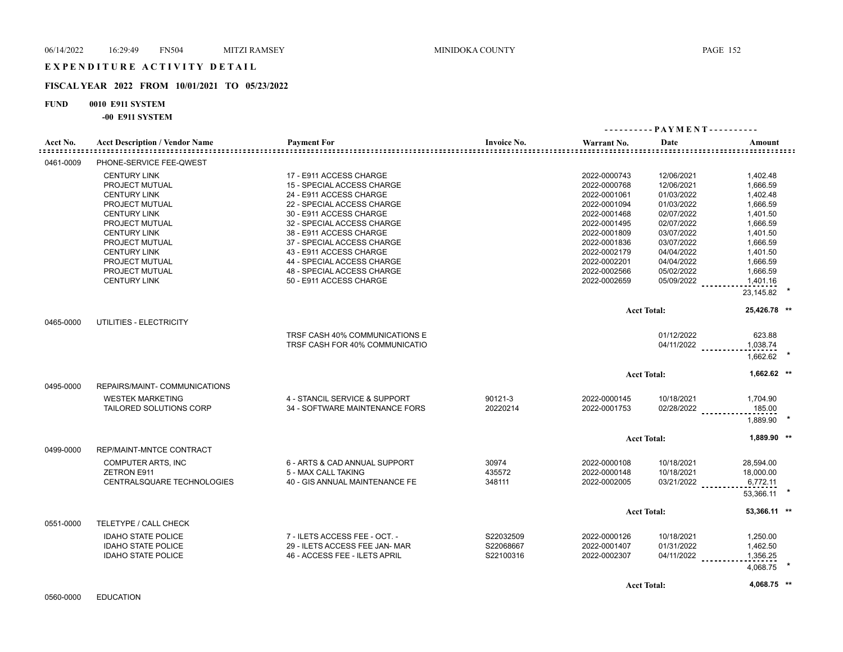#### **FISCAL YEAR 2022 FROM 10/01/2021 TO 05/23/2022**

## **FUND 0010 E911 SYSTEM**

**-00 E911 SYSTEM**

|              | ועונות טובעה שט־                      |                                |                    |                                                     |                     |                               |  |
|--------------|---------------------------------------|--------------------------------|--------------------|-----------------------------------------------------|---------------------|-------------------------------|--|
| Acct No.<br> | <b>Acct Description / Vendor Name</b> | <b>Payment For</b>             | <b>Invoice No.</b> | Warrant No.<br><u>=============================</u> | Date                | Amount<br>=================== |  |
| 0461-0009    | PHONE-SERVICE FEE-QWEST               |                                |                    |                                                     |                     |                               |  |
|              | <b>CENTURY LINK</b>                   | 17 - E911 ACCESS CHARGE        |                    | 2022-0000743                                        | 12/06/2021          | 1,402.48                      |  |
|              | PROJECT MUTUAL                        | 15 - SPECIAL ACCESS CHARGE     |                    | 2022-0000768                                        | 12/06/2021          | 1.666.59                      |  |
|              | <b>CENTURY LINK</b>                   | 24 - E911 ACCESS CHARGE        |                    | 2022-0001061                                        | 01/03/2022          | 1,402.48                      |  |
|              | PROJECT MUTUAL                        | 22 - SPECIAL ACCESS CHARGE     |                    | 2022-0001094                                        | 01/03/2022          | 1,666.59                      |  |
|              | <b>CENTURY LINK</b>                   | 30 - E911 ACCESS CHARGE        |                    | 2022-0001468                                        | 02/07/2022          | 1,401.50                      |  |
|              | PROJECT MUTUAL                        | 32 - SPECIAL ACCESS CHARGE     |                    | 2022-0001495                                        | 02/07/2022          | 1,666.59                      |  |
|              | <b>CENTURY LINK</b>                   | 38 - E911 ACCESS CHARGE        |                    | 2022-0001809                                        | 03/07/2022          | 1,401.50                      |  |
|              | PROJECT MUTUAL                        | 37 - SPECIAL ACCESS CHARGE     |                    | 2022-0001836                                        | 03/07/2022          | 1,666.59                      |  |
|              | <b>CENTURY LINK</b>                   | 43 - E911 ACCESS CHARGE        |                    | 2022-0002179                                        | 04/04/2022          | 1,401.50                      |  |
|              | PROJECT MUTUAL                        | 44 - SPECIAL ACCESS CHARGE     |                    | 2022-0002201                                        | 04/04/2022          | 1,666.59                      |  |
|              | PROJECT MUTUAL                        |                                |                    |                                                     |                     |                               |  |
|              |                                       | 48 - SPECIAL ACCESS CHARGE     |                    | 2022-0002566                                        | 05/02/2022          | 1,666.59                      |  |
|              | <b>CENTURY LINK</b>                   | 50 - E911 ACCESS CHARGE        |                    | 2022-0002659                                        | 05/09/2022          | 1,401.16                      |  |
|              |                                       |                                |                    |                                                     |                     | 23,145.82                     |  |
|              |                                       |                                |                    |                                                     | <b>Acct Total:</b>  | 25,426.78 **                  |  |
| 0465-0000    | UTILITIES - ELECTRICITY               |                                |                    |                                                     |                     |                               |  |
|              |                                       | TRSF CASH 40% COMMUNICATIONS E |                    |                                                     | 01/12/2022          | 623.88                        |  |
|              |                                       | TRSF CASH FOR 40% COMMUNICATIO |                    |                                                     | 04/11/2022          | 1,038.74                      |  |
|              |                                       |                                |                    |                                                     |                     | 1,662.62                      |  |
|              |                                       |                                |                    |                                                     | <b>Acct Total:</b>  | 1,662.62 **                   |  |
| 0495-0000    | REPAIRS/MAINT- COMMUNICATIONS         |                                |                    |                                                     |                     |                               |  |
|              | <b>WESTEK MARKETING</b>               | 4 - STANCIL SERVICE & SUPPORT  | 90121-3            | 2022-0000145                                        | 10/18/2021          | 1,704.90                      |  |
|              | TAILORED SOLUTIONS CORP               | 34 - SOFTWARE MAINTENANCE FORS | 20220214           | 2022-0001753                                        | 02/28/2022          | 185.00                        |  |
|              |                                       |                                |                    |                                                     |                     | 1.889.90                      |  |
|              |                                       |                                |                    |                                                     | <b>Acct Total:</b>  | 1,889.90 **                   |  |
| 0499-0000    | REP/MAINT-MNTCE CONTRACT              |                                |                    |                                                     |                     |                               |  |
|              | COMPUTER ARTS, INC                    | 6 - ARTS & CAD ANNUAL SUPPORT  | 30974              | 2022-0000108                                        | 10/18/2021          | 28,594.00                     |  |
|              | <b>ZETRON E911</b>                    | 5 - MAX CALL TAKING            | 435572             | 2022-0000148                                        | 10/18/2021          | 18,000.00                     |  |
|              | CENTRALSQUARE TECHNOLOGIES            | 40 - GIS ANNUAL MAINTENANCE FE | 348111             | 2022-0002005                                        | $03/21/2022$ ______ | 6,772.11                      |  |
|              |                                       |                                |                    |                                                     |                     | 53,366.11                     |  |
|              |                                       |                                |                    |                                                     | <b>Acct Total:</b>  | 53,366.11 **                  |  |
| 0551-0000    | TELETYPE / CALL CHECK                 |                                |                    |                                                     |                     |                               |  |
|              | <b>IDAHO STATE POLICE</b>             | 7 - ILETS ACCESS FEE - OCT. -  | S22032509          | 2022-0000126                                        | 10/18/2021          | 1,250.00                      |  |
|              | <b>IDAHO STATE POLICE</b>             | 29 - ILETS ACCESS FEE JAN- MAR | S22068667          | 2022-0001407                                        | 01/31/2022          | 1,462.50                      |  |
|              | <b>IDAHO STATE POLICE</b>             | 46 - ACCESS FEE - ILETS APRIL  | S22100316          | 2022-0002307                                        | 04/11/2022          | 1,356.25                      |  |
|              |                                       |                                |                    |                                                     |                     | 4,068.75                      |  |
|              |                                       |                                |                    |                                                     | <b>Acct Total:</b>  | 4,068.75 **                   |  |
|              |                                       |                                |                    |                                                     |                     |                               |  |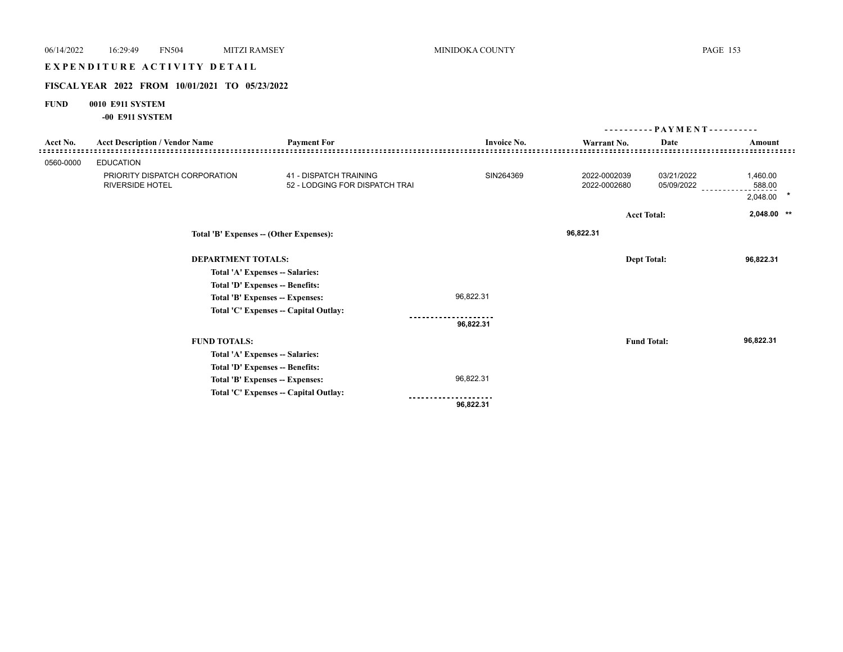# E X P E N D I T U R E A C T I V I T Y D E T A I L

## **FISCAL YEAR 2022 FROM 10/01/2021 TO 05/23/2022**

## **FUND 0010 E911 SYSTEM**

**-00 E911 SYSTEM**

|           |                                                         |                                                                 |                    | - PAYMENT - - - - - - - - - -<br>--------- |                          |                                |  |
|-----------|---------------------------------------------------------|-----------------------------------------------------------------|--------------------|--------------------------------------------|--------------------------|--------------------------------|--|
| Acct No.  | <b>Acct Description / Vendor Name</b>                   | <b>Payment For</b>                                              | <b>Invoice No.</b> | Warrant No.                                | Date                     | Amount                         |  |
| 0560-0000 | <b>EDUCATION</b>                                        |                                                                 |                    |                                            |                          |                                |  |
|           | PRIORITY DISPATCH CORPORATION<br><b>RIVERSIDE HOTEL</b> | <b>41 - DISPATCH TRAINING</b><br>52 - LODGING FOR DISPATCH TRAI | SIN264369          | 2022-0002039<br>2022-0002680               | 03/21/2022<br>05/09/2022 | 1,460.00<br>588.00<br>2,048.00 |  |
|           |                                                         |                                                                 |                    |                                            | <b>Acct Total:</b>       | 2,048.00 **                    |  |
|           |                                                         | Total 'B' Expenses -- (Other Expenses):                         |                    | 96,822.31                                  |                          |                                |  |
|           | <b>DEPARTMENT TOTALS:</b>                               |                                                                 |                    |                                            | <b>Dept Total:</b>       | 96,822.31                      |  |
|           |                                                         | Total 'A' Expenses -- Salaries:                                 |                    |                                            |                          |                                |  |
|           |                                                         | Total 'D' Expenses -- Benefits:                                 |                    |                                            |                          |                                |  |
|           |                                                         | Total 'B' Expenses -- Expenses:                                 | 96,822.31          |                                            |                          |                                |  |
|           |                                                         | Total 'C' Expenses -- Capital Outlay:                           |                    |                                            |                          |                                |  |
|           |                                                         |                                                                 | 96,822.31          |                                            |                          |                                |  |
|           | <b>FUND TOTALS:</b>                                     |                                                                 |                    |                                            | <b>Fund Total:</b>       | 96,822.31                      |  |
|           |                                                         | Total 'A' Expenses -- Salaries:                                 |                    |                                            |                          |                                |  |
|           |                                                         | Total 'D' Expenses -- Benefits:                                 |                    |                                            |                          |                                |  |
|           |                                                         | Total 'B' Expenses -- Expenses:                                 | 96,822.31          |                                            |                          |                                |  |
|           |                                                         | Total 'C' Expenses -- Capital Outlay:                           |                    |                                            |                          |                                |  |
|           |                                                         |                                                                 | 96,822.31          |                                            |                          |                                |  |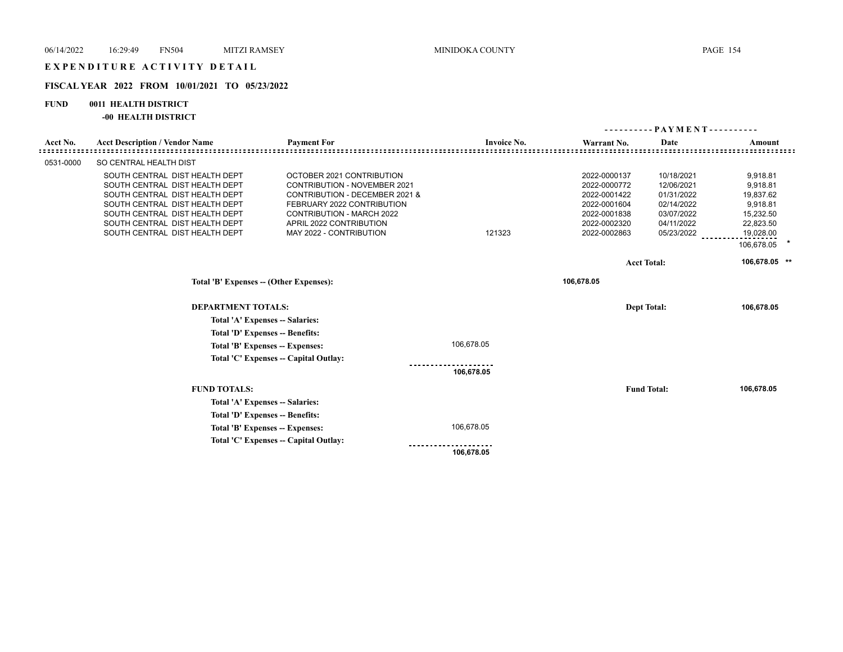## **FISCAL YEAR 2022 FROM 10/01/2021 TO 05/23/2022**

## **FUND 0011 HEALTH DISTRICT**

## **-00 HEALTH DISTRICT**

|           |                                                                                                                                                                                                                                            |                                                                                                                                                                                                                            |                    |                                                                                                              | - PAYMENT - - - - - - - - - -                                                                                        |                                                                                                                     |  |
|-----------|--------------------------------------------------------------------------------------------------------------------------------------------------------------------------------------------------------------------------------------------|----------------------------------------------------------------------------------------------------------------------------------------------------------------------------------------------------------------------------|--------------------|--------------------------------------------------------------------------------------------------------------|----------------------------------------------------------------------------------------------------------------------|---------------------------------------------------------------------------------------------------------------------|--|
| Acct No.  | <b>Acct Description / Vendor Name</b>                                                                                                                                                                                                      | <b>Payment For</b>                                                                                                                                                                                                         | <b>Invoice No.</b> | Warrant No.                                                                                                  | Date                                                                                                                 | Amount                                                                                                              |  |
| 0531-0000 | SO CENTRAL HEALTH DIST                                                                                                                                                                                                                     |                                                                                                                                                                                                                            |                    |                                                                                                              |                                                                                                                      |                                                                                                                     |  |
|           | SOUTH CENTRAL DIST HEALTH DEPT<br>SOUTH CENTRAL DIST HEALTH DEPT<br>SOUTH CENTRAL DIST HEALTH DEPT<br>SOUTH CENTRAL DIST HEALTH DEPT<br>SOUTH CENTRAL DIST HEALTH DEPT<br>SOUTH CENTRAL DIST HEALTH DEPT<br>SOUTH CENTRAL DIST HEALTH DEPT | OCTOBER 2021 CONTRIBUTION<br><b>CONTRIBUTION - NOVEMBER 2021</b><br>CONTRIBUTION - DECEMBER 2021 &<br>FEBRUARY 2022 CONTRIBUTION<br><b>CONTRIBUTION - MARCH 2022</b><br>APRIL 2022 CONTRIBUTION<br>MAY 2022 - CONTRIBUTION | 121323             | 2022-0000137<br>2022-0000772<br>2022-0001422<br>2022-0001604<br>2022-0001838<br>2022-0002320<br>2022-0002863 | 10/18/2021<br>12/06/2021<br>01/31/2022<br>02/14/2022<br>03/07/2022<br>04/11/2022<br>05/23/2022<br><b>Acct Total:</b> | 9,918.81<br>9,918.81<br>19,837.62<br>9,918.81<br>15,232.50<br>22,823.50<br>19,028.00<br>106,678.05<br>106,678.05 ** |  |
|           | Total 'B' Expenses - (Other Expenses):                                                                                                                                                                                                     |                                                                                                                                                                                                                            |                    | 106,678.05                                                                                                   |                                                                                                                      |                                                                                                                     |  |
|           | <b>DEPARTMENT TOTALS:</b>                                                                                                                                                                                                                  |                                                                                                                                                                                                                            |                    |                                                                                                              | <b>Dept Total:</b>                                                                                                   | 106,678.05                                                                                                          |  |
|           | Total 'A' Expenses -- Salaries:                                                                                                                                                                                                            |                                                                                                                                                                                                                            |                    |                                                                                                              |                                                                                                                      |                                                                                                                     |  |
|           |                                                                                                                                                                                                                                            | Total 'D' Expenses -- Benefits:                                                                                                                                                                                            |                    |                                                                                                              |                                                                                                                      |                                                                                                                     |  |
|           |                                                                                                                                                                                                                                            | Total 'B' Expenses -- Expenses:                                                                                                                                                                                            | 106,678.05         |                                                                                                              |                                                                                                                      |                                                                                                                     |  |
|           |                                                                                                                                                                                                                                            | Total 'C' Expenses -- Capital Outlay:                                                                                                                                                                                      |                    |                                                                                                              |                                                                                                                      |                                                                                                                     |  |
|           |                                                                                                                                                                                                                                            |                                                                                                                                                                                                                            | 106.678.05         |                                                                                                              |                                                                                                                      |                                                                                                                     |  |
|           | <b>FUND TOTALS:</b>                                                                                                                                                                                                                        |                                                                                                                                                                                                                            |                    |                                                                                                              | <b>Fund Total:</b>                                                                                                   | 106,678.05                                                                                                          |  |
|           | Total 'A' Expenses -- Salaries:                                                                                                                                                                                                            |                                                                                                                                                                                                                            |                    |                                                                                                              |                                                                                                                      |                                                                                                                     |  |
|           |                                                                                                                                                                                                                                            | Total 'D' Expenses -- Benefits:                                                                                                                                                                                            |                    |                                                                                                              |                                                                                                                      |                                                                                                                     |  |
|           |                                                                                                                                                                                                                                            | Total 'B' Expenses -- Expenses:                                                                                                                                                                                            | 106,678.05         |                                                                                                              |                                                                                                                      |                                                                                                                     |  |
|           |                                                                                                                                                                                                                                            | Total 'C' Expenses -- Capital Outlay:                                                                                                                                                                                      |                    |                                                                                                              |                                                                                                                      |                                                                                                                     |  |
|           |                                                                                                                                                                                                                                            |                                                                                                                                                                                                                            | 106,678.05         |                                                                                                              |                                                                                                                      |                                                                                                                     |  |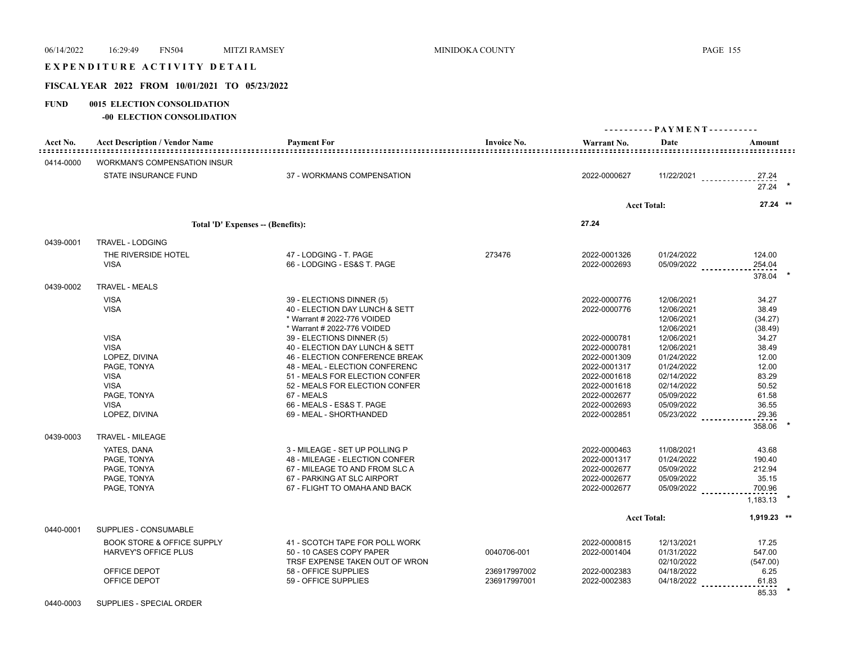# EXPENDITURE ACTIVITY DETAIL

# **FISCAL YEAR 2022 FROM 10/01/2021 TO 05/23/2022**

#### **FUND 0015 ELECTION CONSOLIDATION**

**-00 ELECTION CONSOLIDATION**

| Acct No.  | <b>Acct Description / Vendor Name</b>                                                                   | <b>Payment For</b>                                                                                                                                                                                                | <b>Invoice No.</b>           | Warrant No.                                                                                                  | Date                                                                                           | Amount                                                      |  |
|-----------|---------------------------------------------------------------------------------------------------------|-------------------------------------------------------------------------------------------------------------------------------------------------------------------------------------------------------------------|------------------------------|--------------------------------------------------------------------------------------------------------------|------------------------------------------------------------------------------------------------|-------------------------------------------------------------|--|
| 0414-0000 | <b>WORKMAN'S COMPENSATION INSUR</b>                                                                     |                                                                                                                                                                                                                   |                              |                                                                                                              |                                                                                                |                                                             |  |
|           | STATE INSURANCE FUND                                                                                    | 37 - WORKMANS COMPENSATION                                                                                                                                                                                        |                              | 2022-0000627                                                                                                 |                                                                                                | $11/22/2021$<br>27.24<br>$27.24$ *                          |  |
|           |                                                                                                         |                                                                                                                                                                                                                   |                              |                                                                                                              | <b>Acct Total:</b>                                                                             | 27.24 **                                                    |  |
|           | Total 'D' Expenses -- (Benefits):                                                                       |                                                                                                                                                                                                                   |                              | 27.24                                                                                                        |                                                                                                |                                                             |  |
| 0439-0001 | TRAVEL - LODGING                                                                                        |                                                                                                                                                                                                                   |                              |                                                                                                              |                                                                                                |                                                             |  |
|           | THE RIVERSIDE HOTEL<br><b>VISA</b>                                                                      | 47 - LODGING - T. PAGE<br>66 - LODGING - ES&S T. PAGE                                                                                                                                                             | 273476                       | 2022-0001326<br>2022-0002693                                                                                 | 01/24/2022<br>05/09/2022                                                                       | 124.00<br>254.04<br>378.04                                  |  |
| 0439-0002 | <b>TRAVEL - MEALS</b>                                                                                   |                                                                                                                                                                                                                   |                              |                                                                                                              |                                                                                                |                                                             |  |
|           | <b>VISA</b><br><b>VISA</b>                                                                              | 39 - ELECTIONS DINNER (5)<br>40 - ELECTION DAY LUNCH & SETT<br>* Warrant # 2022-776 VOIDED<br>* Warrant # 2022-776 VOIDED                                                                                         |                              | 2022-0000776<br>2022-0000776                                                                                 | 12/06/2021<br>12/06/2021<br>12/06/2021<br>12/06/2021                                           | 34.27<br>38.49<br>(34.27)<br>(38.49)                        |  |
|           | <b>VISA</b><br><b>VISA</b><br>LOPEZ, DIVINA<br>PAGE, TONYA<br><b>VISA</b><br><b>VISA</b><br>PAGE, TONYA | 39 - ELECTIONS DINNER (5)<br>40 - ELECTION DAY LUNCH & SETT<br>46 - ELECTION CONFERENCE BREAK<br>48 - MEAL - ELECTION CONFERENC<br>51 - MEALS FOR ELECTION CONFER<br>52 - MEALS FOR ELECTION CONFER<br>67 - MEALS |                              | 2022-0000781<br>2022-0000781<br>2022-0001309<br>2022-0001317<br>2022-0001618<br>2022-0001618<br>2022-0002677 | 12/06/2021<br>12/06/2021<br>01/24/2022<br>01/24/2022<br>02/14/2022<br>02/14/2022<br>05/09/2022 | 34.27<br>38.49<br>12.00<br>12.00<br>83.29<br>50.52<br>61.58 |  |
|           | <b>VISA</b><br>LOPEZ, DIVINA                                                                            | 66 - MEALS - ES&S T. PAGE<br>69 - MEAL - SHORTHANDED                                                                                                                                                              |                              | 2022-0002693<br>2022-0002851                                                                                 | 05/09/2022<br>05/23/2022                                                                       | 36.55<br>29.36<br>358.06                                    |  |
| 0439-0003 | <b>TRAVEL - MILEAGE</b>                                                                                 |                                                                                                                                                                                                                   |                              |                                                                                                              |                                                                                                |                                                             |  |
|           | YATES, DANA<br>PAGE, TONYA<br>PAGE, TONYA<br>PAGE, TONYA<br>PAGE, TONYA                                 | 3 - MILEAGE - SET UP POLLING P<br>48 - MILEAGE - ELECTION CONFER<br>67 - MILEAGE TO AND FROM SLC A<br>67 - PARKING AT SLC AIRPORT<br>67 - FLIGHT TO OMAHA AND BACK                                                |                              | 2022-0000463<br>2022-0001317<br>2022-0002677<br>2022-0002677<br>2022-0002677                                 | 11/08/2021<br>01/24/2022<br>05/09/2022<br>05/09/2022<br>05/09/2022                             | 43.68<br>190.40<br>212.94<br>35.15<br>700.96<br>1.183.13    |  |
|           |                                                                                                         |                                                                                                                                                                                                                   |                              |                                                                                                              | <b>Acct Total:</b>                                                                             | 1,919.23 **                                                 |  |
| 0440-0001 | SUPPLIES - CONSUMABLE                                                                                   |                                                                                                                                                                                                                   |                              |                                                                                                              |                                                                                                |                                                             |  |
|           | <b>BOOK STORE &amp; OFFICE SUPPLY</b><br><b>HARVEY'S OFFICE PLUS</b>                                    | 41 - SCOTCH TAPE FOR POLL WORK<br>50 - 10 CASES COPY PAPER<br>TRSF EXPENSE TAKEN OUT OF WRON                                                                                                                      | 0040706-001                  | 2022-0000815<br>2022-0001404                                                                                 | 12/13/2021<br>01/31/2022<br>02/10/2022                                                         | 17.25<br>547.00<br>(547.00)                                 |  |
|           | OFFICE DEPOT<br>OFFICE DEPOT                                                                            | 58 - OFFICE SUPPLIES<br>59 - OFFICE SUPPLIES                                                                                                                                                                      | 236917997002<br>236917997001 | 2022-0002383<br>2022-0002383                                                                                 | 04/18/2022<br>04/18/2022                                                                       | 6.25<br>61.83<br>85.33                                      |  |

0440-0003 SUPPLIES - SPECIAL ORDER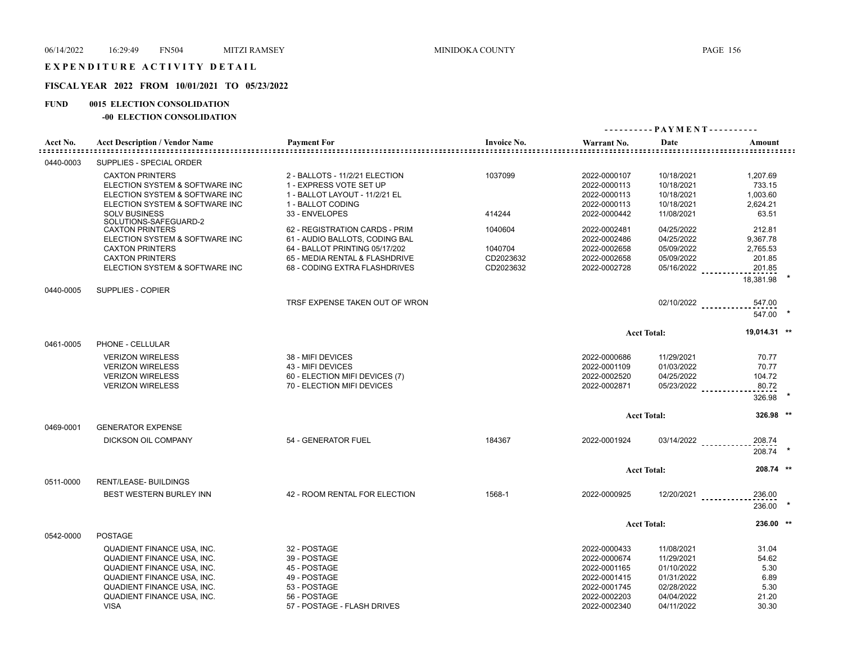## **FISCAL YEAR 2022 FROM 10/01/2021 TO 05/23/2022**

## **FUND 0015 ELECTION CONSOLIDATION**

## **-00 ELECTION CONSOLIDATION**

|           |                                                                                                                                                                                                                          |                                                                                                                             |                                   |                                                                                                              |                                                                                                | ---------- PAYMENT----------                             |  |
|-----------|--------------------------------------------------------------------------------------------------------------------------------------------------------------------------------------------------------------------------|-----------------------------------------------------------------------------------------------------------------------------|-----------------------------------|--------------------------------------------------------------------------------------------------------------|------------------------------------------------------------------------------------------------|----------------------------------------------------------|--|
| Acct No.  | <b>Acct Description / Vendor Name</b>                                                                                                                                                                                    | <b>Payment For</b><br>================================                                                                      | <b>Invoice No.</b>                | Warrant No.                                                                                                  | Date                                                                                           | Amount                                                   |  |
| 0440-0003 | SUPPLIES - SPECIAL ORDER                                                                                                                                                                                                 |                                                                                                                             |                                   |                                                                                                              |                                                                                                |                                                          |  |
|           | <b>CAXTON PRINTERS</b><br>ELECTION SYSTEM & SOFTWARE INC<br>ELECTION SYSTEM & SOFTWARE INC<br>ELECTION SYSTEM & SOFTWARE INC                                                                                             | 2 - BALLOTS - 11/2/21 ELECTION<br>1 - EXPRESS VOTE SET UP<br>1 - BALLOT LAYOUT - 11/2/21 EL<br>1 - BALLOT CODING            | 1037099                           | 2022-0000107<br>2022-0000113<br>2022-0000113<br>2022-0000113                                                 | 10/18/2021<br>10/18/2021<br>10/18/2021<br>10/18/2021                                           | 1,207.69<br>733.15<br>1,003.60<br>2,624.21               |  |
|           | <b>SOLV BUSINESS</b><br>SOLUTIONS-SAFEGUARD-2                                                                                                                                                                            | 33 - ENVELOPES                                                                                                              | 414244                            | 2022-0000442                                                                                                 | 11/08/2021                                                                                     | 63.51                                                    |  |
|           | <b>CAXTON PRINTERS</b><br>ELECTION SYSTEM & SOFTWARE INC                                                                                                                                                                 | 62 - REGISTRATION CARDS - PRIM<br>61 - AUDIO BALLOTS, CODING BAL                                                            | 1040604                           | 2022-0002481<br>2022-0002486                                                                                 | 04/25/2022<br>04/25/2022                                                                       | 212.81<br>9,367.78                                       |  |
|           | <b>CAXTON PRINTERS</b><br><b>CAXTON PRINTERS</b><br>ELECTION SYSTEM & SOFTWARE INC                                                                                                                                       | 64 - BALLOT PRINTING 05/17/202<br>65 - MEDIA RENTAL & FLASHDRIVE<br>68 - CODING EXTRA FLASHDRIVES                           | 1040704<br>CD2023632<br>CD2023632 | 2022-0002658<br>2022-0002658<br>2022-0002728                                                                 | 05/09/2022<br>05/09/2022<br>05/16/2022                                                         | 2.765.53<br>201.85<br>201.85                             |  |
| 0440-0005 | SUPPLIES - COPIER                                                                                                                                                                                                        |                                                                                                                             |                                   |                                                                                                              |                                                                                                | 18.381.98                                                |  |
|           |                                                                                                                                                                                                                          | TRSF EXPENSE TAKEN OUT OF WRON                                                                                              |                                   |                                                                                                              |                                                                                                | 02/10/2022<br>547.00<br>547.00 *                         |  |
|           |                                                                                                                                                                                                                          |                                                                                                                             |                                   |                                                                                                              | <b>Acct Total:</b>                                                                             | 19.014.31 **                                             |  |
| 0461-0005 | PHONE - CELLULAR<br><b>VERIZON WIRELESS</b><br><b>VERIZON WIRELESS</b><br><b>VERIZON WIRELESS</b><br><b>VERIZON WIRELESS</b>                                                                                             | 38 - MIFI DEVICES<br>43 - MIFI DEVICES<br>60 - ELECTION MIFI DEVICES (7)<br>70 - ELECTION MIFI DEVICES                      |                                   | 2022-0000686<br>2022-0001109<br>2022-0002520<br>2022-0002871                                                 | 11/29/2021<br>01/03/2022<br>04/25/2022<br>05/23/2022                                           | 70.77<br>70.77<br>104.72<br>80.72<br>326.98              |  |
| 0469-0001 | <b>GENERATOR EXPENSE</b>                                                                                                                                                                                                 |                                                                                                                             |                                   |                                                                                                              | <b>Acct Total:</b>                                                                             | 326.98 **                                                |  |
|           | DICKSON OIL COMPANY                                                                                                                                                                                                      | 54 - GENERATOR FUEL                                                                                                         | 184367                            | 2022-0001924                                                                                                 | 03/14/2022                                                                                     | 208.74<br>208.74                                         |  |
|           |                                                                                                                                                                                                                          |                                                                                                                             |                                   |                                                                                                              | <b>Acct Total:</b>                                                                             | 208.74 **                                                |  |
| 0511-0000 | RENT/LEASE- BUILDINGS<br>BEST WESTERN BURLEY INN                                                                                                                                                                         | 42 - ROOM RENTAL FOR ELECTION                                                                                               | 1568-1                            | 2022-0000925                                                                                                 | $12/20/2021$                                                                                   | 236.00<br>236.00                                         |  |
|           |                                                                                                                                                                                                                          |                                                                                                                             |                                   |                                                                                                              | <b>Acct Total:</b>                                                                             | 236.00 **                                                |  |
| 0542-0000 | <b>POSTAGE</b><br>QUADIENT FINANCE USA, INC.<br><b>QUADIENT FINANCE USA, INC.</b><br>QUADIENT FINANCE USA, INC.<br>QUADIENT FINANCE USA, INC.<br>QUADIENT FINANCE USA, INC.<br>QUADIENT FINANCE USA, INC.<br><b>VISA</b> | 32 - POSTAGE<br>39 - POSTAGE<br>45 - POSTAGE<br>49 - POSTAGE<br>53 - POSTAGE<br>56 - POSTAGE<br>57 - POSTAGE - FLASH DRIVES |                                   | 2022-0000433<br>2022-0000674<br>2022-0001165<br>2022-0001415<br>2022-0001745<br>2022-0002203<br>2022-0002340 | 11/08/2021<br>11/29/2021<br>01/10/2022<br>01/31/2022<br>02/28/2022<br>04/04/2022<br>04/11/2022 | 31.04<br>54.62<br>5.30<br>6.89<br>5.30<br>21.20<br>30.30 |  |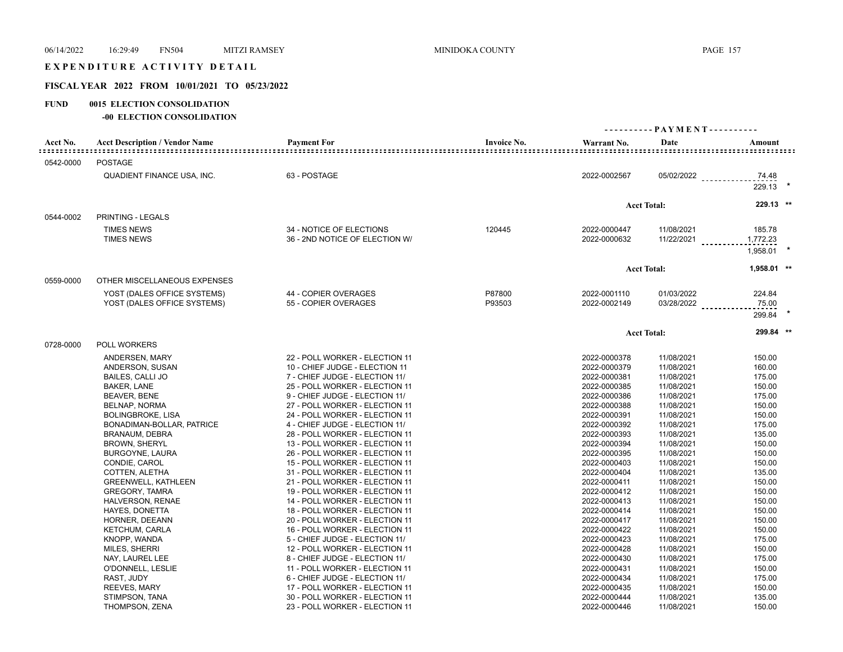## EXPENDITURE ACTIVITY DETAIL

## **FISCAL YEAR 2022 FROM 10/01/2021 TO 05/23/2022**

## **FUND 0015 ELECTION CONSOLIDATION**

## **-00 ELECTION CONSOLIDATION**

|           |                                                                                                                                                                                                                                                                                                                                                                                                                                             |                                                                                                                                                                                                                                                                                                                                                                                                                                                                                                                                                                                                                                                                                                      | ---------- PAYMENT---------- |                                                                                                                                                                                                                                                                                                                              |                                                                                                                                                                                                                                                                                      |                                                                                                                                                                                                      |
|-----------|---------------------------------------------------------------------------------------------------------------------------------------------------------------------------------------------------------------------------------------------------------------------------------------------------------------------------------------------------------------------------------------------------------------------------------------------|------------------------------------------------------------------------------------------------------------------------------------------------------------------------------------------------------------------------------------------------------------------------------------------------------------------------------------------------------------------------------------------------------------------------------------------------------------------------------------------------------------------------------------------------------------------------------------------------------------------------------------------------------------------------------------------------------|------------------------------|------------------------------------------------------------------------------------------------------------------------------------------------------------------------------------------------------------------------------------------------------------------------------------------------------------------------------|--------------------------------------------------------------------------------------------------------------------------------------------------------------------------------------------------------------------------------------------------------------------------------------|------------------------------------------------------------------------------------------------------------------------------------------------------------------------------------------------------|
| Acct No.  | <b>Acct Description / Vendor Name</b>                                                                                                                                                                                                                                                                                                                                                                                                       | <b>Payment For</b>                                                                                                                                                                                                                                                                                                                                                                                                                                                                                                                                                                                                                                                                                   | <b>Invoice No.</b>           | Warrant No.                                                                                                                                                                                                                                                                                                                  | Date                                                                                                                                                                                                                                                                                 | Amount                                                                                                                                                                                               |
| 0542-0000 | <b>POSTAGE</b>                                                                                                                                                                                                                                                                                                                                                                                                                              |                                                                                                                                                                                                                                                                                                                                                                                                                                                                                                                                                                                                                                                                                                      |                              |                                                                                                                                                                                                                                                                                                                              |                                                                                                                                                                                                                                                                                      |                                                                                                                                                                                                      |
|           | <b>QUADIENT FINANCE USA, INC.</b>                                                                                                                                                                                                                                                                                                                                                                                                           | 63 - POSTAGE                                                                                                                                                                                                                                                                                                                                                                                                                                                                                                                                                                                                                                                                                         |                              | 2022-0002567                                                                                                                                                                                                                                                                                                                 | 05/02/2022                                                                                                                                                                                                                                                                           | 74.48<br>$229.13$ *                                                                                                                                                                                  |
|           |                                                                                                                                                                                                                                                                                                                                                                                                                                             |                                                                                                                                                                                                                                                                                                                                                                                                                                                                                                                                                                                                                                                                                                      |                              |                                                                                                                                                                                                                                                                                                                              | <b>Acct Total:</b>                                                                                                                                                                                                                                                                   | 229.13 **                                                                                                                                                                                            |
| 0544-0002 | <b>PRINTING - LEGALS</b>                                                                                                                                                                                                                                                                                                                                                                                                                    |                                                                                                                                                                                                                                                                                                                                                                                                                                                                                                                                                                                                                                                                                                      |                              |                                                                                                                                                                                                                                                                                                                              |                                                                                                                                                                                                                                                                                      |                                                                                                                                                                                                      |
|           | <b>TIMES NEWS</b><br><b>TIMES NEWS</b>                                                                                                                                                                                                                                                                                                                                                                                                      | 34 - NOTICE OF ELECTIONS<br>36 - 2ND NOTICE OF ELECTION W/                                                                                                                                                                                                                                                                                                                                                                                                                                                                                                                                                                                                                                           | 120445                       | 2022-0000447<br>2022-0000632                                                                                                                                                                                                                                                                                                 | 11/08/2021<br>11/22/2021                                                                                                                                                                                                                                                             | 185.78<br>1,772.23<br>1,958.01                                                                                                                                                                       |
|           |                                                                                                                                                                                                                                                                                                                                                                                                                                             |                                                                                                                                                                                                                                                                                                                                                                                                                                                                                                                                                                                                                                                                                                      |                              |                                                                                                                                                                                                                                                                                                                              | <b>Acct Total:</b>                                                                                                                                                                                                                                                                   | 1,958.01 **                                                                                                                                                                                          |
| 0559-0000 | OTHER MISCELLANEOUS EXPENSES                                                                                                                                                                                                                                                                                                                                                                                                                |                                                                                                                                                                                                                                                                                                                                                                                                                                                                                                                                                                                                                                                                                                      |                              |                                                                                                                                                                                                                                                                                                                              |                                                                                                                                                                                                                                                                                      |                                                                                                                                                                                                      |
|           | YOST (DALES OFFICE SYSTEMS)<br>YOST (DALES OFFICE SYSTEMS)                                                                                                                                                                                                                                                                                                                                                                                  | 44 - COPIER OVERAGES<br>55 - COPIER OVERAGES                                                                                                                                                                                                                                                                                                                                                                                                                                                                                                                                                                                                                                                         | P87800<br>P93503             | 2022-0001110<br>2022-0002149                                                                                                                                                                                                                                                                                                 | 01/03/2022<br>03/28/2022 _________                                                                                                                                                                                                                                                   | 224.84<br>75.00<br>299.84                                                                                                                                                                            |
|           |                                                                                                                                                                                                                                                                                                                                                                                                                                             |                                                                                                                                                                                                                                                                                                                                                                                                                                                                                                                                                                                                                                                                                                      |                              |                                                                                                                                                                                                                                                                                                                              | <b>Acct Total:</b>                                                                                                                                                                                                                                                                   | 299.84 **                                                                                                                                                                                            |
| 0728-0000 | POLL WORKERS                                                                                                                                                                                                                                                                                                                                                                                                                                |                                                                                                                                                                                                                                                                                                                                                                                                                                                                                                                                                                                                                                                                                                      |                              |                                                                                                                                                                                                                                                                                                                              |                                                                                                                                                                                                                                                                                      |                                                                                                                                                                                                      |
|           | ANDERSEN, MARY<br>ANDERSON, SUSAN<br><b>BAILES, CALLI JO</b><br>BAKER, LANE<br>BEAVER, BENE<br>BELNAP, NORMA<br><b>BOLINGBROKE, LISA</b><br>BONADIMAN-BOLLAR, PATRICE<br><b>BRANAUM, DEBRA</b><br><b>BROWN, SHERYL</b><br><b>BURGOYNE, LAURA</b><br>CONDIE, CAROL<br>COTTEN, ALETHA<br><b>GREENWELL, KATHLEEN</b><br><b>GREGORY, TAMRA</b><br>HALVERSON, RENAE<br><b>HAYES, DONETTA</b><br>HORNER, DEEANN<br>KETCHUM, CARLA<br>KNOPP, WANDA | 22 - POLL WORKER - ELECTION 11<br>10 - CHIEF JUDGE - ELECTION 11<br>7 - CHIEF JUDGE - ELECTION 11/<br>25 - POLL WORKER - ELECTION 11<br>9 - CHIEF JUDGE - ELECTION 11/<br>27 - POLL WORKER - ELECTION 11<br>24 - POLL WORKER - ELECTION 11<br>4 - CHIEF JUDGE - ELECTION 11/<br>28 - POLL WORKER - ELECTION 11<br>13 - POLL WORKER - ELECTION 11<br>26 - POLL WORKER - ELECTION 11<br>15 - POLL WORKER - ELECTION 11<br>31 - POLL WORKER - ELECTION 11<br>21 - POLL WORKER - ELECTION 11<br>19 - POLL WORKER - ELECTION 11<br>14 - POLL WORKER - ELECTION 11<br>18 - POLL WORKER - ELECTION 11<br>20 - POLL WORKER - ELECTION 11<br>16 - POLL WORKER - ELECTION 11<br>5 - CHIEF JUDGE - ELECTION 11/ |                              | 2022-0000378<br>2022-0000379<br>2022-0000381<br>2022-0000385<br>2022-0000386<br>2022-0000388<br>2022-0000391<br>2022-0000392<br>2022-0000393<br>2022-0000394<br>2022-0000395<br>2022-0000403<br>2022-0000404<br>2022-0000411<br>2022-0000412<br>2022-0000413<br>2022-0000414<br>2022-0000417<br>2022-0000422<br>2022-0000423 | 11/08/2021<br>11/08/2021<br>11/08/2021<br>11/08/2021<br>11/08/2021<br>11/08/2021<br>11/08/2021<br>11/08/2021<br>11/08/2021<br>11/08/2021<br>11/08/2021<br>11/08/2021<br>11/08/2021<br>11/08/2021<br>11/08/2021<br>11/08/2021<br>11/08/2021<br>11/08/2021<br>11/08/2021<br>11/08/2021 | 150.00<br>160.00<br>175.00<br>150.00<br>175.00<br>150.00<br>150.00<br>175.00<br>135.00<br>150.00<br>150.00<br>150.00<br>135.00<br>150.00<br>150.00<br>150.00<br>150.00<br>150.00<br>150.00<br>175.00 |
|           | MILES, SHERRI<br>NAY, LAUREL LEE<br>O'DONNELL, LESLIE<br>RAST, JUDY<br>REEVES, MARY<br>STIMPSON, TANA<br>THOMPSON, ZENA                                                                                                                                                                                                                                                                                                                     | 12 - POLL WORKER - ELECTION 11<br>8 - CHIEF JUDGE - ELECTION 11/<br>11 - POLL WORKER - ELECTION 11<br>6 - CHIEF JUDGE - ELECTION 11/<br>17 - POLL WORKER - ELECTION 11<br>30 - POLL WORKER - ELECTION 11<br>23 - POLL WORKER - ELECTION 11                                                                                                                                                                                                                                                                                                                                                                                                                                                           |                              | 2022-0000428<br>2022-0000430<br>2022-0000431<br>2022-0000434<br>2022-0000435<br>2022-0000444<br>2022-0000446                                                                                                                                                                                                                 | 11/08/2021<br>11/08/2021<br>11/08/2021<br>11/08/2021<br>11/08/2021<br>11/08/2021<br>11/08/2021                                                                                                                                                                                       | 150.00<br>175.00<br>150.00<br>175.00<br>150.00<br>135.00<br>150.00                                                                                                                                   |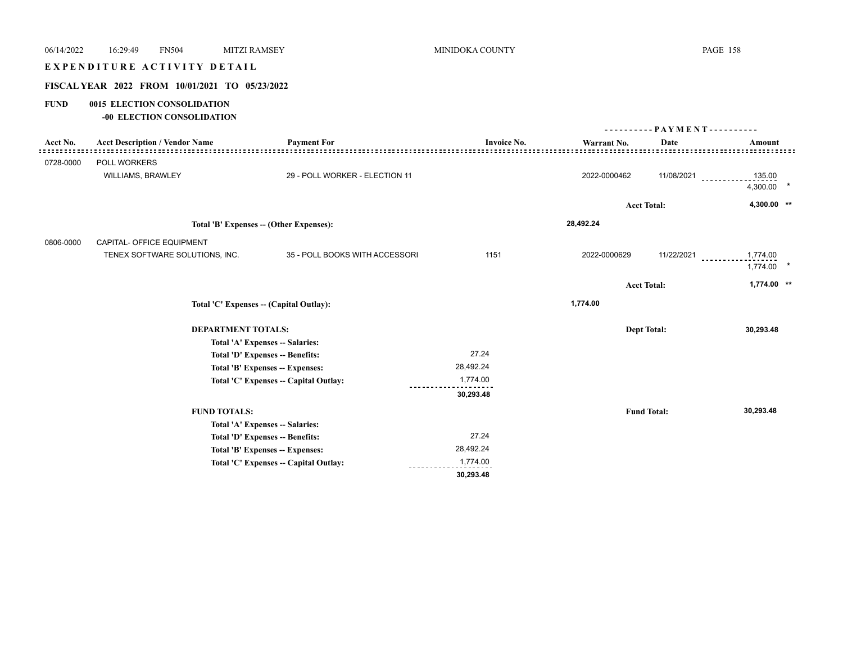| 06/14/2022          | <b>MITZI RAMSEY</b><br>16:29:49<br><b>FN504</b> |                                         | MINIDOKA COUNTY    |                                        |                              | <b>PAGE 158</b> |
|---------------------|-------------------------------------------------|-----------------------------------------|--------------------|----------------------------------------|------------------------------|-----------------|
|                     | EXPENDITURE ACTIVITY DETAIL                     |                                         |                    |                                        |                              |                 |
|                     | FISCAL YEAR 2022 FROM 10/01/2021 TO 05/23/2022  |                                         |                    |                                        |                              |                 |
| <b>FUND</b>         | 0015 ELECTION CONSOLIDATION                     |                                         |                    |                                        |                              |                 |
|                     | -00 ELECTION CONSOLIDATION                      |                                         |                    |                                        |                              |                 |
|                     |                                                 |                                         |                    |                                        | ---------- PAYMENT---------- |                 |
| Acct No.<br>::::::: | <b>Acct Description / Vendor Name</b>           | <b>Payment For</b><br>::::::::::::::    | <b>Invoice No.</b> | Warrant No.<br>. = = = = = = = = = = = | Date                         | Amount          |
| 0728-0000           | POLL WORKERS                                    |                                         |                    |                                        |                              |                 |
|                     | WILLIAMS, BRAWLEY                               | 29 - POLL WORKER - ELECTION 11          |                    | 2022-0000462                           | 11/08/2021                   | 135.00          |
|                     |                                                 |                                         |                    |                                        |                              | 4,300.00        |
|                     |                                                 |                                         |                    |                                        | <b>Acct Total:</b>           | 4,300.00 **     |
|                     | Total 'B' Expenses -- (Other Expenses):         |                                         | 28,492.24          |                                        |                              |                 |
| 0806-0000           | CAPITAL- OFFICE EQUIPMENT                       |                                         |                    |                                        |                              |                 |
|                     | TENEX SOFTWARE SOLUTIONS, INC.                  | 35 - POLL BOOKS WITH ACCESSORI          | 1151               | 2022-0000629                           | $11/22/2021$                 | 1,774.00        |
|                     |                                                 |                                         |                    |                                        |                              | 1,774.00        |
|                     |                                                 |                                         |                    |                                        | <b>Acct Total:</b>           | $1,774.00$ **   |
|                     |                                                 |                                         |                    | 1,774.00                               |                              |                 |
|                     |                                                 | Total 'C' Expenses -- (Capital Outlay): |                    |                                        |                              |                 |
|                     | <b>DEPARTMENT TOTALS:</b>                       |                                         |                    |                                        | <b>Dept Total:</b>           | 30,293.48       |
|                     |                                                 | Total 'A' Expenses -- Salaries:         |                    |                                        |                              |                 |
|                     |                                                 | Total 'D' Expenses -- Benefits:         | 27.24              |                                        |                              |                 |
|                     |                                                 | Total 'B' Expenses -- Expenses:         | 28,492.24          |                                        |                              |                 |
|                     |                                                 | Total 'C' Expenses -- Capital Outlay:   | 1,774.00           |                                        |                              |                 |
|                     |                                                 |                                         | 30,293.48          |                                        |                              |                 |
|                     | <b>FUND TOTALS:</b>                             |                                         |                    |                                        | <b>Fund Total:</b>           | 30,293.48       |
|                     |                                                 | Total 'A' Expenses -- Salaries:         |                    |                                        |                              |                 |
|                     |                                                 | Total 'D' Expenses -- Benefits:         | 27.24              |                                        |                              |                 |
|                     |                                                 | Total 'B' Expenses -- Expenses:         | 28,492.24          |                                        |                              |                 |
|                     |                                                 | Total 'C' Expenses -- Capital Outlay:   | 1,774.00           |                                        |                              |                 |
|                     |                                                 |                                         | 30,293.48          |                                        |                              |                 |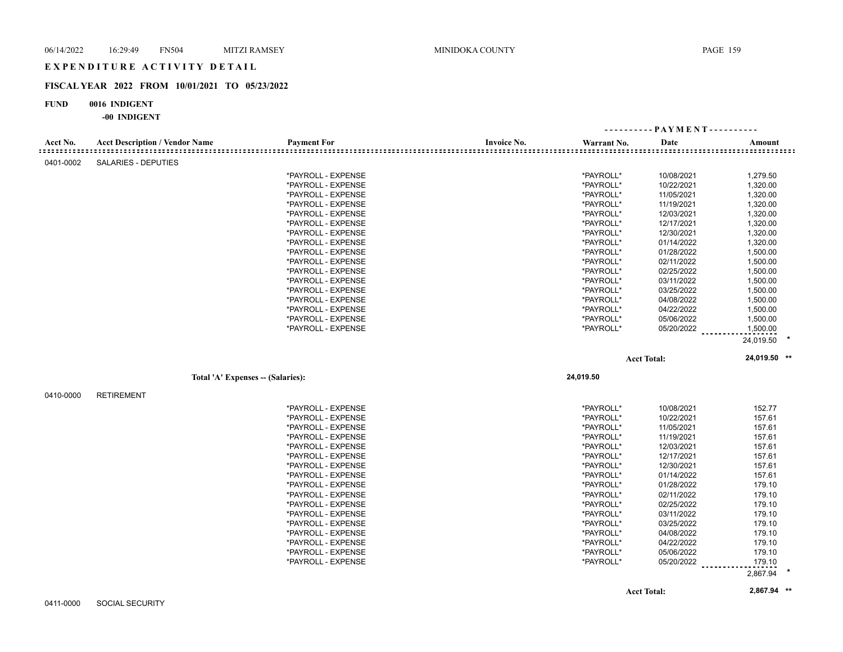## EXPENDITURE ACTIVITY DETAIL

## **FISCAL YEAR 2022 FROM 10/01/2021 TO 05/23/2022**

#### **FUND 0016 INDIGENT**

|           |                                       |                    |                    | ---------- PAYMENT---------- |                    |                                           |
|-----------|---------------------------------------|--------------------|--------------------|------------------------------|--------------------|-------------------------------------------|
| Acct No.  | <b>Acct Description / Vendor Name</b> | <b>Payment For</b> | <b>Invoice No.</b> | Warrant No.                  | Date               | Amount<br>::::::::::::::::::::::::::::::: |
| 0401-0002 | SALARIES - DEPUTIES                   |                    |                    |                              |                    |                                           |
|           |                                       | *PAYROLL - EXPENSE |                    | *PAYROLL*                    | 10/08/2021         | 1,279.50                                  |
|           |                                       | *PAYROLL - EXPENSE |                    | *PAYROLL*                    | 10/22/2021         | 1,320.00                                  |
|           |                                       | *PAYROLL - EXPENSE |                    | *PAYROLL*                    | 11/05/2021         | 1,320.00                                  |
|           |                                       | *PAYROLL - EXPENSE |                    | *PAYROLL*                    | 11/19/2021         | 1,320.00                                  |
|           |                                       | *PAYROLL - EXPENSE |                    | *PAYROLL*                    | 12/03/2021         | 1,320.00                                  |
|           |                                       | *PAYROLL - EXPENSE |                    | *PAYROLL*                    | 12/17/2021         | 1,320.00                                  |
|           |                                       | *PAYROLL - EXPENSE |                    | *PAYROLL*                    | 12/30/2021         | 1,320.00                                  |
|           |                                       | *PAYROLL - EXPENSE |                    | *PAYROLL*                    | 01/14/2022         | 1,320.00                                  |
|           |                                       | *PAYROLL - EXPENSE |                    | *PAYROLL*                    | 01/28/2022         | 1,500.00                                  |
|           |                                       | *PAYROLL - EXPENSE |                    | *PAYROLL*                    | 02/11/2022         | 1,500.00                                  |
|           |                                       | *PAYROLL - EXPENSE |                    | *PAYROLL*                    | 02/25/2022         | 1,500.00                                  |
|           |                                       | *PAYROLL - EXPENSE |                    | *PAYROLL*                    | 03/11/2022         | 1,500.00                                  |
|           |                                       | *PAYROLL - EXPENSE |                    | *PAYROLL*                    | 03/25/2022         | 1,500.00                                  |
|           |                                       | *PAYROLL - EXPENSE |                    | *PAYROLL*                    | 04/08/2022         | 1,500.00                                  |
|           |                                       | *PAYROLL - EXPENSE |                    | *PAYROLL*                    | 04/22/2022         | 1,500.00                                  |
|           |                                       | *PAYROLL - EXPENSE |                    | *PAYROLL*                    | 05/06/2022         | 1,500.00                                  |
|           |                                       | *PAYROLL - EXPENSE |                    | *PAYROLL*                    | 05/20/2022         | 1,500.00                                  |
|           |                                       |                    |                    |                              |                    | 24,019.50                                 |
|           |                                       |                    |                    |                              |                    |                                           |
|           |                                       |                    |                    |                              | <b>Acct Total:</b> | 24,019.50 **                              |
|           |                                       |                    |                    |                              |                    |                                           |
|           | Total 'A' Expenses -- (Salaries):     |                    |                    | 24,019.50                    |                    |                                           |
| 0410-0000 | <b>RETIREMENT</b>                     |                    |                    |                              |                    |                                           |
|           |                                       | *PAYROLL - EXPENSE |                    | *PAYROLL*                    | 10/08/2021         | 152.77                                    |
|           |                                       | *PAYROLL - EXPENSE |                    | *PAYROLL*                    | 10/22/2021         | 157.61                                    |
|           |                                       | *PAYROLL - EXPENSE |                    | *PAYROLL*                    | 11/05/2021         | 157.61                                    |
|           |                                       | *PAYROLL - EXPENSE |                    | *PAYROLL*                    | 11/19/2021         | 157.61                                    |
|           |                                       | *PAYROLL - EXPENSE |                    | *PAYROLL*                    | 12/03/2021         | 157.61                                    |
|           |                                       | *PAYROLL - EXPENSE |                    | *PAYROLL*                    | 12/17/2021         | 157.61                                    |
|           |                                       | *PAYROLL - EXPENSE |                    | *PAYROLL*                    | 12/30/2021         | 157.61                                    |
|           |                                       | *PAYROLL - EXPENSE |                    | *PAYROLL*                    | 01/14/2022         | 157.61                                    |
|           |                                       | *PAYROLL - EXPENSE |                    | *PAYROLL*                    | 01/28/2022         | 179.10                                    |
|           |                                       | *PAYROLL - EXPENSE |                    | *PAYROLL*                    | 02/11/2022         | 179.10                                    |
|           |                                       | *PAYROLL - EXPENSE |                    | *PAYROLL*                    | 02/25/2022         | 179.10                                    |
|           |                                       | *PAYROLL - EXPENSE |                    | *PAYROLL*                    | 03/11/2022         | 179.10                                    |
|           |                                       | *PAYROLL - EXPENSE |                    | *PAYROLL*                    | 03/25/2022         | 179.10                                    |
|           |                                       | *PAYROLL - EXPENSE |                    | *PAYROLL*                    | 04/08/2022         | 179.10                                    |
|           |                                       | *PAYROLL - EXPENSE |                    | *PAYROLL*                    | 04/22/2022         | 179.10                                    |
|           |                                       | *PAYROLL - EXPENSE |                    | *PAYROLL*                    | 05/06/2022         | 179.10                                    |
|           |                                       | *PAYROLL - EXPENSE |                    | *PAYROLL*                    | 05/20/2022         | 179.10                                    |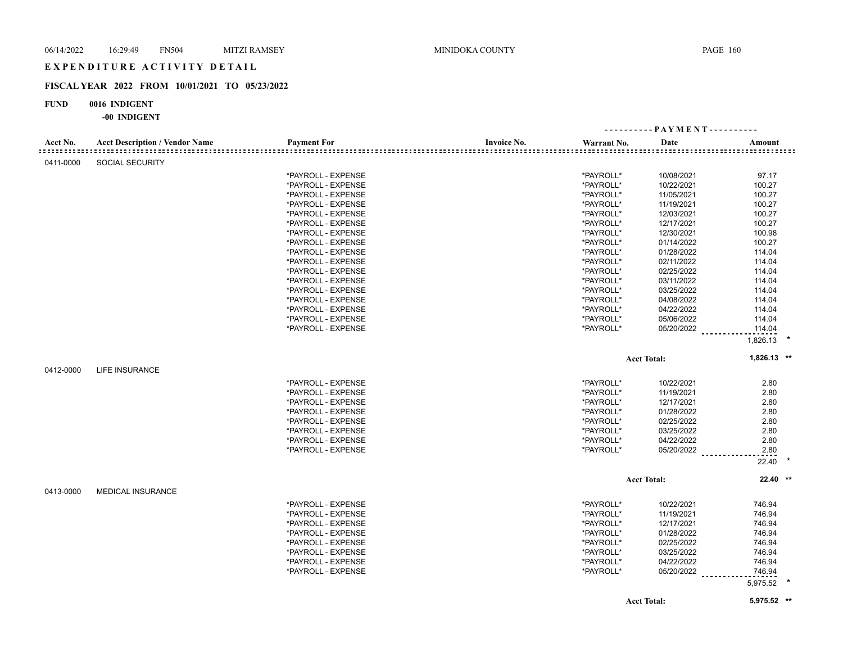## **FISCAL YEAR 2022 FROM 10/01/2021 TO 05/23/2022**

## **FUND 0016 INDIGENT**

| Acct No.  | <b>Acct Description / Vendor Name</b> | <b>Payment For</b> | <b>Invoice No.</b> | Warrant No. | Date               | Amount        |  |
|-----------|---------------------------------------|--------------------|--------------------|-------------|--------------------|---------------|--|
| 0411-0000 | <b>SOCIAL SECURITY</b>                |                    |                    |             |                    |               |  |
|           |                                       | *PAYROLL - EXPENSE |                    | *PAYROLL*   | 10/08/2021         | 97.17         |  |
|           |                                       | *PAYROLL - EXPENSE |                    | *PAYROLL*   | 10/22/2021         | 100.27        |  |
|           |                                       | *PAYROLL - EXPENSE |                    | *PAYROLL*   | 11/05/2021         | 100.27        |  |
|           |                                       | *PAYROLL - EXPENSE |                    | *PAYROLL*   | 11/19/2021         | 100.27        |  |
|           |                                       | *PAYROLL - EXPENSE |                    | *PAYROLL*   | 12/03/2021         | 100.27        |  |
|           |                                       | *PAYROLL - EXPENSE |                    | *PAYROLL*   | 12/17/2021         | 100.27        |  |
|           |                                       | *PAYROLL - EXPENSE |                    | *PAYROLL*   | 12/30/2021         | 100.98        |  |
|           |                                       | *PAYROLL - EXPENSE |                    | *PAYROLL*   | 01/14/2022         | 100.27        |  |
|           |                                       | *PAYROLL - EXPENSE |                    | *PAYROLL*   | 01/28/2022         | 114.04        |  |
|           |                                       | *PAYROLL - EXPENSE |                    | *PAYROLL*   | 02/11/2022         | 114.04        |  |
|           |                                       | *PAYROLL - EXPENSE |                    | *PAYROLL*   | 02/25/2022         | 114.04        |  |
|           |                                       | *PAYROLL - EXPENSE |                    | *PAYROLL*   | 03/11/2022         | 114.04        |  |
|           |                                       | *PAYROLL - EXPENSE |                    | *PAYROLL*   | 03/25/2022         | 114.04        |  |
|           |                                       | *PAYROLL - EXPENSE |                    | *PAYROLL*   | 04/08/2022         | 114.04        |  |
|           |                                       | *PAYROLL - EXPENSE |                    | *PAYROLL*   | 04/22/2022         | 114.04        |  |
|           |                                       | *PAYROLL - EXPENSE |                    | *PAYROLL*   | 05/06/2022         | 114.04        |  |
|           |                                       | *PAYROLL - EXPENSE |                    | *PAYROLL*   | 05/20/2022         | 114.04        |  |
|           |                                       |                    |                    |             |                    | 1,826.13      |  |
|           |                                       |                    |                    |             |                    |               |  |
|           |                                       |                    |                    |             | <b>Acct Total:</b> | $1,826.13$ ** |  |
| 0412-0000 | <b>LIFE INSURANCE</b>                 |                    |                    |             |                    |               |  |
|           |                                       | *PAYROLL - EXPENSE |                    | *PAYROLL*   | 10/22/2021         | 2.80          |  |
|           |                                       | *PAYROLL - EXPENSE |                    | *PAYROLL*   | 11/19/2021         | 2.80          |  |
|           |                                       | *PAYROLL - EXPENSE |                    | *PAYROLL*   | 12/17/2021         | 2.80          |  |
|           |                                       | *PAYROLL - EXPENSE |                    | *PAYROLL*   | 01/28/2022         | 2.80          |  |
|           |                                       | *PAYROLL - EXPENSE |                    | *PAYROLL*   | 02/25/2022         | 2.80          |  |
|           |                                       | *PAYROLL - EXPENSE |                    | *PAYROLL*   | 03/25/2022         | 2.80          |  |
|           |                                       | *PAYROLL - EXPENSE |                    | *PAYROLL*   | 04/22/2022         | 2.80          |  |
|           |                                       | *PAYROLL - EXPENSE |                    | *PAYROLL*   | 05/20/2022         | 2.80          |  |
|           |                                       |                    |                    |             |                    | 22.40         |  |
|           |                                       |                    |                    |             | <b>Acct Total:</b> | 22.40 **      |  |
| 0413-0000 | <b>MEDICAL INSURANCE</b>              |                    |                    |             |                    |               |  |
|           |                                       | *PAYROLL - EXPENSE |                    | *PAYROLL*   | 10/22/2021         | 746.94        |  |
|           |                                       |                    |                    | *PAYROLL*   |                    |               |  |
|           |                                       | *PAYROLL - EXPENSE |                    |             | 11/19/2021         | 746.94        |  |
|           |                                       | *PAYROLL - EXPENSE |                    | *PAYROLL*   | 12/17/2021         | 746.94        |  |
|           |                                       | *PAYROLL - EXPENSE |                    | *PAYROLL*   | 01/28/2022         | 746.94        |  |
|           |                                       | *PAYROLL - EXPENSE |                    | *PAYROLL*   | 02/25/2022         | 746.94        |  |
|           |                                       | *PAYROLL - EXPENSE |                    | *PAYROLL*   | 03/25/2022         | 746.94        |  |
|           |                                       | *PAYROLL - EXPENSE |                    | *PAYROLL*   | 04/22/2022         | 746.94        |  |
|           |                                       | *PAYROLL - EXPENSE |                    | *PAYROLL*   | 05/20/2022         | 746.94        |  |
|           |                                       |                    |                    |             |                    | 5,975.52      |  |
|           |                                       |                    |                    |             | <b>Acct Total:</b> | 5,975.52 **   |  |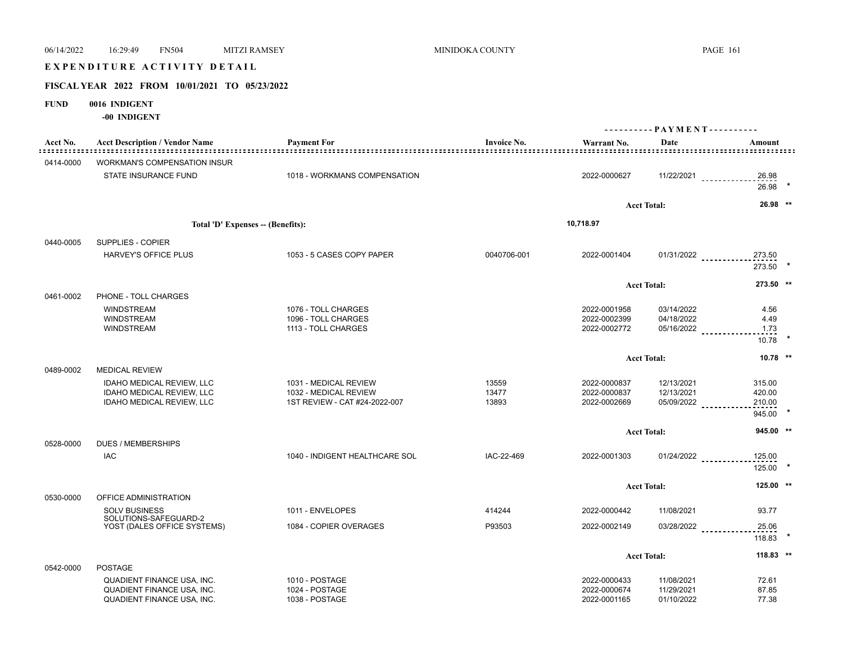# 06/14/2022 16:29:49 FN504 MITZI RAMSEY MINIDOKA COUNTY PAGE 161 E X P E N D I T U R E A C T I V I T Y D E T A I L

## **FISCAL YEAR 2022 FROM 10/01/2021 TO 05/23/2022**

## **FUND 0016 INDIGENT**

| Acct No.<br>============= | <b>Acct Description / Vendor Name</b>                                | <b>Payment For</b>                                     | <b>Invoice No.</b> | Warrant No.                  | Date               | Amount                |  |
|---------------------------|----------------------------------------------------------------------|--------------------------------------------------------|--------------------|------------------------------|--------------------|-----------------------|--|
| 0414-0000                 | <b>WORKMAN'S COMPENSATION INSUR</b>                                  |                                                        |                    |                              |                    |                       |  |
|                           | STATE INSURANCE FUND                                                 | 1018 - WORKMANS COMPENSATION                           |                    | 2022-0000627                 |                    | $11/22/2021$<br>26.98 |  |
|                           |                                                                      |                                                        |                    |                              |                    | 26.98                 |  |
|                           |                                                                      |                                                        |                    |                              | <b>Acct Total:</b> | 26.98 **              |  |
|                           | Total 'D' Expenses -- (Benefits):                                    |                                                        |                    | 10,718.97                    |                    |                       |  |
| 0440-0005                 | SUPPLIES - COPIER                                                    |                                                        |                    |                              |                    |                       |  |
|                           | <b>HARVEY'S OFFICE PLUS</b>                                          | 1053 - 5 CASES COPY PAPER                              | 0040706-001        | 2022-0001404                 | $01/31/2022$       | 273.50                |  |
|                           |                                                                      |                                                        |                    |                              |                    | 273.50                |  |
|                           |                                                                      |                                                        |                    |                              | <b>Acct Total:</b> | 273.50 **             |  |
| 0461-0002                 | PHONE - TOLL CHARGES                                                 |                                                        |                    |                              |                    |                       |  |
|                           | <b>WINDSTREAM</b>                                                    | 1076 - TOLL CHARGES                                    |                    | 2022-0001958                 | 03/14/2022         | 4.56                  |  |
|                           | <b>WINDSTREAM</b>                                                    | 1096 - TOLL CHARGES                                    |                    | 2022-0002399                 | 04/18/2022         | 4.49                  |  |
|                           | <b>WINDSTREAM</b>                                                    | 1113 - TOLL CHARGES                                    |                    | 2022-0002772                 |                    | 05/16/2022<br>1.73    |  |
|                           |                                                                      |                                                        |                    |                              |                    | 10.78                 |  |
|                           |                                                                      |                                                        |                    |                              | <b>Acct Total:</b> | $10.78$ **            |  |
| 0489-0002                 | <b>MEDICAL REVIEW</b>                                                |                                                        |                    |                              |                    |                       |  |
|                           | <b>IDAHO MEDICAL REVIEW, LLC</b>                                     | 1031 - MEDICAL REVIEW                                  | 13559              | 2022-0000837                 | 12/13/2021         | 315.00                |  |
|                           | <b>IDAHO MEDICAL REVIEW, LLC</b><br><b>IDAHO MEDICAL REVIEW, LLC</b> | 1032 - MEDICAL REVIEW<br>1ST REVIEW - CAT #24-2022-007 | 13477<br>13893     | 2022-0000837<br>2022-0002669 | 12/13/2021         | 420.00<br>210.00      |  |
|                           |                                                                      |                                                        |                    |                              | 05/09/2022         | 945.00                |  |
|                           |                                                                      |                                                        |                    |                              |                    |                       |  |
| 0528-0000                 | <b>DUES / MEMBERSHIPS</b>                                            |                                                        |                    |                              | <b>Acct Total:</b> | 945.00 **             |  |
|                           | IAC                                                                  | 1040 - INDIGENT HEALTHCARE SOL                         | IAC-22-469         | 2022-0001303                 | $01/24/2022$       | 125.00                |  |
|                           |                                                                      |                                                        |                    |                              |                    | 125.00                |  |
|                           |                                                                      |                                                        |                    |                              | <b>Acct Total:</b> | 125.00 **             |  |
| 0530-0000                 | OFFICE ADMINISTRATION                                                |                                                        |                    |                              |                    |                       |  |
|                           | <b>SOLV BUSINESS</b>                                                 | 1011 - ENVELOPES                                       | 414244             | 2022-0000442                 | 11/08/2021         | 93.77                 |  |
|                           | SOLUTIONS-SAFEGUARD-2<br>YOST (DALES OFFICE SYSTEMS)                 | 1084 - COPIER OVERAGES                                 | P93503             | 2022-0002149                 |                    | 03/28/2022<br>25.06   |  |
|                           |                                                                      |                                                        |                    |                              |                    | $118.83$ *            |  |
|                           |                                                                      |                                                        |                    |                              | <b>Acct Total:</b> | $118.83$ **           |  |
| 0542-0000                 | <b>POSTAGE</b>                                                       |                                                        |                    |                              |                    |                       |  |
|                           | QUADIENT FINANCE USA, INC.                                           | 1010 - POSTAGE                                         |                    | 2022-0000433                 | 11/08/2021         | 72.61                 |  |
|                           | QUADIENT FINANCE USA, INC.                                           | 1024 - POSTAGE                                         |                    | 2022-0000674                 | 11/29/2021         | 87.85                 |  |
|                           | <b>QUADIENT FINANCE USA, INC.</b>                                    | 1038 - POSTAGE                                         |                    | 2022-0001165                 | 01/10/2022         | 77.38                 |  |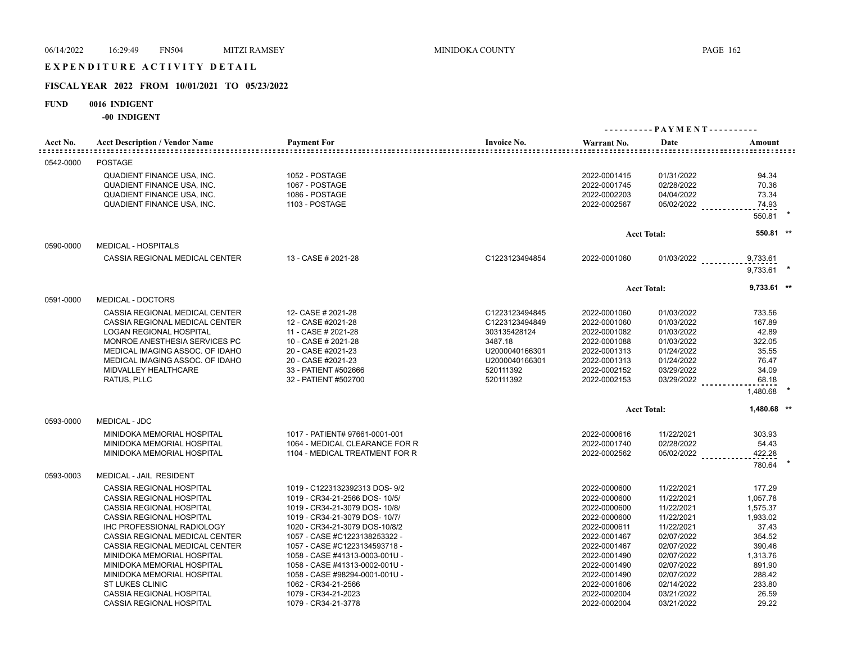# E X P E N D I T U R E A C T I V I T Y D E T A I L

## **FISCAL YEAR 2022 FROM 10/01/2021 TO 05/23/2022**

## **FUND 0016 INDIGENT**

|           |                                       |                                |                    |              |                    | ---------- PAYMENT---------- |  |
|-----------|---------------------------------------|--------------------------------|--------------------|--------------|--------------------|------------------------------|--|
| Acct No.  | <b>Acct Description / Vendor Name</b> | <b>Payment For</b>             | <b>Invoice No.</b> | Warrant No.  | Date               | Amount                       |  |
| 0542-0000 | <b>POSTAGE</b>                        |                                |                    |              |                    |                              |  |
|           | QUADIENT FINANCE USA, INC.            | 1052 - POSTAGE                 |                    | 2022-0001415 | 01/31/2022         | 94.34                        |  |
|           | <b>QUADIENT FINANCE USA, INC.</b>     | 1067 - POSTAGE                 |                    | 2022-0001745 | 02/28/2022         | 70.36                        |  |
|           | <b>QUADIENT FINANCE USA, INC.</b>     | 1086 - POSTAGE                 |                    | 2022-0002203 | 04/04/2022         | 73.34                        |  |
|           | <b>QUADIENT FINANCE USA, INC.</b>     | 1103 - POSTAGE                 |                    | 2022-0002567 | $05/02/2022$       | 74.93                        |  |
|           |                                       |                                |                    |              |                    | 550.81                       |  |
|           |                                       |                                |                    |              | <b>Acct Total:</b> | 550.81 **                    |  |
| 0590-0000 | <b>MEDICAL - HOSPITALS</b>            |                                |                    |              |                    |                              |  |
|           | CASSIA REGIONAL MEDICAL CENTER        | 13 - CASE # 2021-28            | C1223123494854     | 2022-0001060 | $01/03/2022$       | 9,733.61<br>9,733.61         |  |
|           |                                       |                                |                    |              | <b>Acct Total:</b> | $9,733.61$ **                |  |
| 0591-0000 | MEDICAL - DOCTORS                     |                                |                    |              |                    |                              |  |
|           | CASSIA REGIONAL MEDICAL CENTER        | 12- CASE # 2021-28             | C1223123494845     | 2022-0001060 | 01/03/2022         | 733.56                       |  |
|           | CASSIA REGIONAL MEDICAL CENTER        | 12 - CASE #2021-28             | C1223123494849     | 2022-0001060 | 01/03/2022         | 167.89                       |  |
|           | <b>LOGAN REGIONAL HOSPITAL</b>        | 11 - CASE # 2021-28            | 303135428124       | 2022-0001082 | 01/03/2022         | 42.89                        |  |
|           | MONROE ANESTHESIA SERVICES PC         | 10 - CASE # 2021-28            | 3487.18            | 2022-0001088 | 01/03/2022         | 322.05                       |  |
|           | MEDICAL IMAGING ASSOC. OF IDAHO       | 20 - CASE #2021-23             | U2000040166301     | 2022-0001313 | 01/24/2022         | 35.55                        |  |
|           | MEDICAL IMAGING ASSOC. OF IDAHO       | 20 - CASE #2021-23             | U2000040166301     | 2022-0001313 | 01/24/2022         | 76.47                        |  |
|           | MIDVALLEY HEALTHCARE                  | 33 - PATIENT #502666           | 520111392          | 2022-0002152 | 03/29/2022         | 34.09                        |  |
|           | RATUS, PLLC                           | 32 - PATIENT #502700           | 520111392          | 2022-0002153 | 03/29/2022         | 68.18                        |  |
|           |                                       |                                |                    |              |                    | 1,480.68                     |  |
|           |                                       |                                |                    |              | <b>Acct Total:</b> | 1,480.68 **                  |  |
| 0593-0000 | <b>MEDICAL - JDC</b>                  |                                |                    |              |                    |                              |  |
|           | MINIDOKA MEMORIAL HOSPITAL            | 1017 - PATIENT# 97661-0001-001 |                    | 2022-0000616 | 11/22/2021         | 303.93                       |  |
|           | MINIDOKA MEMORIAL HOSPITAL            | 1064 - MEDICAL CLEARANCE FOR R |                    | 2022-0001740 | 02/28/2022         | 54.43                        |  |
|           | MINIDOKA MEMORIAL HOSPITAL            | 1104 - MEDICAL TREATMENT FOR R |                    | 2022-0002562 | 05/02/2022         | 422.28                       |  |
|           |                                       |                                |                    |              |                    | 780.64                       |  |
| 0593-0003 | MEDICAL - JAIL RESIDENT               |                                |                    |              |                    |                              |  |
|           | <b>CASSIA REGIONAL HOSPITAL</b>       | 1019 - C1223132392313 DOS- 9/2 |                    | 2022-0000600 | 11/22/2021         | 177.29                       |  |
|           | <b>CASSIA REGIONAL HOSPITAL</b>       | 1019 - CR34-21-2566 DOS- 10/5/ |                    | 2022-0000600 | 11/22/2021         | 1,057.78                     |  |
|           | <b>CASSIA REGIONAL HOSPITAL</b>       | 1019 - CR34-21-3079 DOS- 10/8/ |                    | 2022-0000600 | 11/22/2021         | 1,575.37                     |  |
|           | <b>CASSIA REGIONAL HOSPITAL</b>       | 1019 - CR34-21-3079 DOS- 10/7/ |                    | 2022-0000600 | 11/22/2021         | 1,933.02                     |  |
|           | IHC PROFESSIONAL RADIOLOGY            | 1020 - CR34-21-3079 DOS-10/8/2 |                    | 2022-0000611 | 11/22/2021         | 37.43                        |  |
|           | CASSIA REGIONAL MEDICAL CENTER        | 1057 - CASE #C1223138253322 -  |                    | 2022-0001467 | 02/07/2022         | 354.52                       |  |
|           | CASSIA REGIONAL MEDICAL CENTER        | 1057 - CASE #C1223134593718 -  |                    | 2022-0001467 | 02/07/2022         | 390.46                       |  |
|           | MINIDOKA MEMORIAL HOSPITAL            | 1058 - CASE #41313-0003-001U - |                    | 2022-0001490 | 02/07/2022         | 1,313.76                     |  |
|           | MINIDOKA MEMORIAL HOSPITAL            | 1058 - CASE #41313-0002-001U - |                    | 2022-0001490 | 02/07/2022         | 891.90                       |  |
|           | MINIDOKA MEMORIAL HOSPITAL            | 1058 - CASE #98294-0001-001U - |                    | 2022-0001490 | 02/07/2022         | 288.42                       |  |
|           | <b>ST LUKES CLINIC</b>                | 1062 - CR34-21-2566            |                    | 2022-0001606 | 02/14/2022         | 233.80                       |  |
|           | <b>CASSIA REGIONAL HOSPITAL</b>       | 1079 - CR34-21-2023            |                    | 2022-0002004 | 03/21/2022         | 26.59                        |  |
|           | <b>CASSIA REGIONAL HOSPITAL</b>       | 1079 - CR34-21-3778            |                    | 2022-0002004 | 03/21/2022         | 29.22                        |  |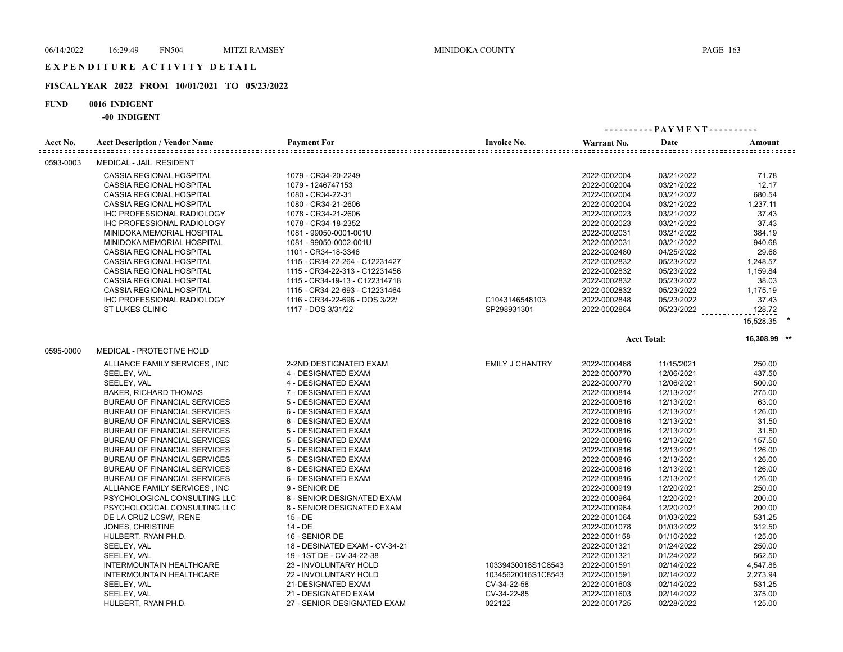# E X P E N D I T U R E A C T I V I T Y D E T A I L

# **FISCAL YEAR 2022 FROM 10/01/2021 TO 05/23/2022**

## **FUND 0016 INDIGENT**

| Acct No.  | <b>Acct Description / Vendor Name</b> | <b>Payment For</b>             | <b>Invoice No.</b>     | Warrant No.  | Date               | Amount       |  |
|-----------|---------------------------------------|--------------------------------|------------------------|--------------|--------------------|--------------|--|
| 0593-0003 | MEDICAL - JAIL RESIDENT               |                                |                        |              |                    |              |  |
|           | CASSIA REGIONAL HOSPITAL              | 1079 - CR34-20-2249            |                        | 2022-0002004 | 03/21/2022         | 71.78        |  |
|           | CASSIA REGIONAL HOSPITAL              | 1079 - 1246747153              |                        | 2022-0002004 | 03/21/2022         | 12.17        |  |
|           | CASSIA REGIONAL HOSPITAL              | 1080 - CR34-22-31              |                        | 2022-0002004 | 03/21/2022         | 680.54       |  |
|           | CASSIA REGIONAL HOSPITAL              | 1080 - CR34-21-2606            |                        | 2022-0002004 | 03/21/2022         | 1,237.11     |  |
|           | IHC PROFESSIONAL RADIOLOGY            | 1078 - CR34-21-2606            |                        | 2022-0002023 | 03/21/2022         | 37.43        |  |
|           | IHC PROFESSIONAL RADIOLOGY            | 1078 - CR34-18-2352            |                        | 2022-0002023 | 03/21/2022         | 37.43        |  |
|           | MINIDOKA MEMORIAL HOSPITAL            | 1081 - 99050-0001-001U         |                        | 2022-0002031 | 03/21/2022         | 384.19       |  |
|           | MINIDOKA MEMORIAL HOSPITAL            | 1081 - 99050-0002-001U         |                        | 2022-0002031 | 03/21/2022         | 940.68       |  |
|           | CASSIA REGIONAL HOSPITAL              | 1101 - CR34-18-3346            |                        | 2022-0002480 | 04/25/2022         | 29.68        |  |
|           | CASSIA REGIONAL HOSPITAL              | 1115 - CR34-22-264 - C12231427 |                        | 2022-0002832 | 05/23/2022         | 1,248.57     |  |
|           | CASSIA REGIONAL HOSPITAL              | 1115 - CR34-22-313 - C12231456 |                        | 2022-0002832 | 05/23/2022         | 1,159.84     |  |
|           | CASSIA REGIONAL HOSPITAL              | 1115 - CR34-19-13 - C122314718 |                        | 2022-0002832 | 05/23/2022         | 38.03        |  |
|           | CASSIA REGIONAL HOSPITAL              | 1115 - CR34-22-693 - C12231464 |                        | 2022-0002832 | 05/23/2022         | 1.175.19     |  |
|           | IHC PROFESSIONAL RADIOLOGY            | 1116 - CR34-22-696 - DOS 3/22/ | C1043146548103         | 2022-0002848 | 05/23/2022         | 37.43        |  |
|           | <b>ST LUKES CLINIC</b>                | 1117 - DOS 3/31/22             | SP298931301            | 2022-0002864 | 05/23/2022         | 128.72       |  |
|           |                                       |                                |                        |              |                    | 15,528.35    |  |
|           |                                       |                                |                        |              | <b>Acct Total:</b> | 16,308.99 ** |  |
| 0595-0000 | MEDICAL - PROTECTIVE HOLD             |                                |                        |              |                    |              |  |
|           | ALLIANCE FAMILY SERVICES, INC         | 2-2ND DESTIGNATED EXAM         | <b>EMILY J CHANTRY</b> | 2022-0000468 | 11/15/2021         | 250.00       |  |
|           | SEELEY, VAL                           | 4 - DESIGNATED EXAM            |                        | 2022-0000770 | 12/06/2021         | 437.50       |  |
|           | SEELEY, VAL                           | 4 - DESIGNATED EXAM            |                        | 2022-0000770 | 12/06/2021         | 500.00       |  |
|           | <b>BAKER, RICHARD THOMAS</b>          | 7 - DESIGNATED EXAM            |                        | 2022-0000814 | 12/13/2021         | 275.00       |  |
|           | BUREAU OF FINANCIAL SERVICES          | 5 - DESIGNATED EXAM            |                        | 2022-0000816 | 12/13/2021         | 63.00        |  |
|           | BUREAU OF FINANCIAL SERVICES          | 6 - DESIGNATED EXAM            |                        | 2022-0000816 | 12/13/2021         | 126.00       |  |
|           | BUREAU OF FINANCIAL SERVICES          | 6 - DESIGNATED EXAM            |                        | 2022-0000816 | 12/13/2021         | 31.50        |  |
|           | <b>BUREAU OF FINANCIAL SERVICES</b>   | 5 - DESIGNATED EXAM            |                        | 2022-0000816 | 12/13/2021         | 31.50        |  |
|           | BUREAU OF FINANCIAL SERVICES          | 5 - DESIGNATED EXAM            |                        | 2022-0000816 | 12/13/2021         | 157.50       |  |
|           | BUREAU OF FINANCIAL SERVICES          | 5 - DESIGNATED EXAM            |                        | 2022-0000816 | 12/13/2021         | 126.00       |  |
|           | BUREAU OF FINANCIAL SERVICES          | 5 - DESIGNATED EXAM            |                        | 2022-0000816 | 12/13/2021         | 126.00       |  |
|           | BUREAU OF FINANCIAL SERVICES          | 6 - DESIGNATED EXAM            |                        | 2022-0000816 | 12/13/2021         | 126.00       |  |
|           | BUREAU OF FINANCIAL SERVICES          | 6 - DESIGNATED EXAM            |                        | 2022-0000816 | 12/13/2021         | 126.00       |  |
|           | ALLIANCE FAMILY SERVICES, INC         | 9 - SENIOR DE                  |                        | 2022-0000919 | 12/20/2021         | 250.00       |  |
|           | PSYCHOLOGICAL CONSULTING LLC          | 8 - SENIOR DESIGNATED EXAM     |                        | 2022-0000964 | 12/20/2021         | 200.00       |  |
|           | PSYCHOLOGICAL CONSULTING LLC          | 8 - SENIOR DESIGNATED EXAM     |                        | 2022-0000964 | 12/20/2021         | 200.00       |  |
|           | DE LA CRUZ LCSW, IRENE                | $15 - DE$                      |                        | 2022-0001064 | 01/03/2022         | 531.25       |  |
|           | JONES, CHRISTINE                      | 14 - DE                        |                        | 2022-0001078 | 01/03/2022         | 312.50       |  |
|           | HULBERT, RYAN PH.D.                   | 16 - SENIOR DE                 |                        | 2022-0001158 | 01/10/2022         | 125.00       |  |
|           | SEELEY, VAL                           | 18 - DESINATED EXAM - CV-34-21 |                        | 2022-0001321 | 01/24/2022         | 250.00       |  |
|           | SEELEY, VAL                           | 19 - 1ST DE - CV-34-22-38      |                        | 2022-0001321 | 01/24/2022         | 562.50       |  |
|           | <b>INTERMOUNTAIN HEALTHCARE</b>       | 23 - INVOLUNTARY HOLD          | 10339430018S1C8543     | 2022-0001591 | 02/14/2022         | 4,547.88     |  |
|           | <b>INTERMOUNTAIN HEALTHCARE</b>       | 22 - INVOLUNTARY HOLD          | 10345620016S1C8543     | 2022-0001591 | 02/14/2022         | 2,273.94     |  |
|           | SEELEY, VAL                           | 21-DESIGNATED EXAM             | CV-34-22-58            | 2022-0001603 | 02/14/2022         | 531.25       |  |
|           | SEELEY, VAL                           | 21 - DESIGNATED EXAM           | CV-34-22-85            | 2022-0001603 | 02/14/2022         | 375.00       |  |
|           | HULBERT, RYAN PH.D.                   | 27 - SENIOR DESIGNATED EXAM    | 022122                 | 2022-0001725 | 02/28/2022         | 125.00       |  |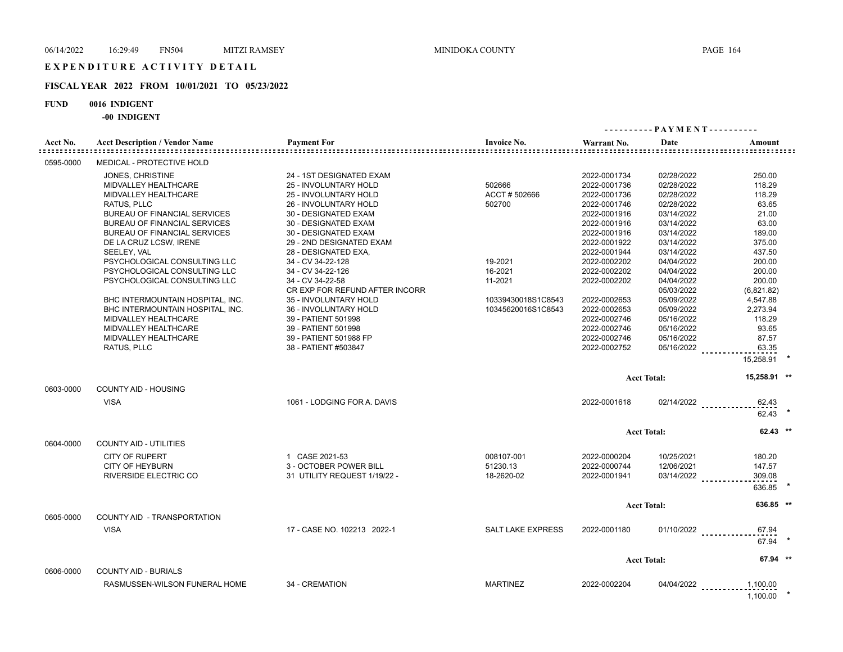# E X P E N D I T U R E A C T I V I T Y D E T A I L

## **FISCAL YEAR 2022 FROM 10/01/2021 TO 05/23/2022**

## **FUND 0016 INDIGENT**

|           |                                                                                                                                                                                                                                                                                                                                                                                                                                                                                                       |                                                                                                                                                                                                                                                                                                                                                                                                                                                                                   |                                                                                                              |                                                                                                                                                                                                                                                                                              | ---------- PAYMENT----------                                                                                                                                                                                                                                           |                                                                                                                                                                                                           |  |
|-----------|-------------------------------------------------------------------------------------------------------------------------------------------------------------------------------------------------------------------------------------------------------------------------------------------------------------------------------------------------------------------------------------------------------------------------------------------------------------------------------------------------------|-----------------------------------------------------------------------------------------------------------------------------------------------------------------------------------------------------------------------------------------------------------------------------------------------------------------------------------------------------------------------------------------------------------------------------------------------------------------------------------|--------------------------------------------------------------------------------------------------------------|----------------------------------------------------------------------------------------------------------------------------------------------------------------------------------------------------------------------------------------------------------------------------------------------|------------------------------------------------------------------------------------------------------------------------------------------------------------------------------------------------------------------------------------------------------------------------|-----------------------------------------------------------------------------------------------------------------------------------------------------------------------------------------------------------|--|
| Acct No.  | <b>Acct Description / Vendor Name</b>                                                                                                                                                                                                                                                                                                                                                                                                                                                                 | <b>Payment For</b>                                                                                                                                                                                                                                                                                                                                                                                                                                                                | <b>Invoice No.</b>                                                                                           | Warrant No.                                                                                                                                                                                                                                                                                  | Date                                                                                                                                                                                                                                                                   | Amount                                                                                                                                                                                                    |  |
| 0595-0000 | <b>MEDICAL - PROTECTIVE HOLD</b>                                                                                                                                                                                                                                                                                                                                                                                                                                                                      |                                                                                                                                                                                                                                                                                                                                                                                                                                                                                   |                                                                                                              |                                                                                                                                                                                                                                                                                              |                                                                                                                                                                                                                                                                        |                                                                                                                                                                                                           |  |
|           | JONES, CHRISTINE<br>MIDVALLEY HEALTHCARE<br>MIDVALLEY HEALTHCARE<br><b>RATUS, PLLC</b><br>BUREAU OF FINANCIAL SERVICES<br><b>BUREAU OF FINANCIAL SERVICES</b><br>BUREAU OF FINANCIAL SERVICES<br>DE LA CRUZ LCSW, IRENE<br>SEELEY, VAL<br>PSYCHOLOGICAL CONSULTING LLC<br>PSYCHOLOGICAL CONSULTING LLC<br>PSYCHOLOGICAL CONSULTING LLC<br>BHC INTERMOUNTAIN HOSPITAL, INC.<br>BHC INTERMOUNTAIN HOSPITAL, INC.<br>MIDVALLEY HEALTHCARE<br>MIDVALLEY HEALTHCARE<br>MIDVALLEY HEALTHCARE<br>RATUS, PLLC | 24 - 1ST DESIGNATED EXAM<br>25 - INVOLUNTARY HOLD<br>25 - INVOLUNTARY HOLD<br>26 - INVOLUNTARY HOLD<br>30 - DESIGNATED EXAM<br>30 - DESIGNATED EXAM<br>30 - DESIGNATED EXAM<br>29 - 2ND DESIGNATED EXAM<br>28 - DESIGNATED EXA,<br>34 - CV 34-22-128<br>34 - CV 34-22-126<br>34 - CV 34-22-58<br>CR EXP FOR REFUND AFTER INCORR<br>35 - INVOLUNTARY HOLD<br>36 - INVOLUNTARY HOLD<br>39 - PATIENT 501998<br>39 - PATIENT 501998<br>39 - PATIENT 501988 FP<br>38 - PATIENT #503847 | 502666<br>ACCT#502666<br>502700<br>19-2021<br>16-2021<br>11-2021<br>10339430018S1C8543<br>10345620016S1C8543 | 2022-0001734<br>2022-0001736<br>2022-0001736<br>2022-0001746<br>2022-0001916<br>2022-0001916<br>2022-0001916<br>2022-0001922<br>2022-0001944<br>2022-0002202<br>2022-0002202<br>2022-0002202<br>2022-0002653<br>2022-0002653<br>2022-0002746<br>2022-0002746<br>2022-0002746<br>2022-0002752 | 02/28/2022<br>02/28/2022<br>02/28/2022<br>02/28/2022<br>03/14/2022<br>03/14/2022<br>03/14/2022<br>03/14/2022<br>03/14/2022<br>04/04/2022<br>04/04/2022<br>04/04/2022<br>05/03/2022<br>05/09/2022<br>05/09/2022<br>05/16/2022<br>05/16/2022<br>05/16/2022<br>05/16/2022 | 250.00<br>118.29<br>118.29<br>63.65<br>21.00<br>63.00<br>189.00<br>375.00<br>437.50<br>200.00<br>200.00<br>200.00<br>(6,821.82)<br>4,547.88<br>2,273.94<br>118.29<br>93.65<br>87.57<br>63.35<br>15,258.91 |  |
| 0603-0000 | <b>COUNTY AID - HOUSING</b>                                                                                                                                                                                                                                                                                                                                                                                                                                                                           |                                                                                                                                                                                                                                                                                                                                                                                                                                                                                   |                                                                                                              | <b>Acct Total:</b>                                                                                                                                                                                                                                                                           |                                                                                                                                                                                                                                                                        | 15,258.91 **                                                                                                                                                                                              |  |
|           | <b>VISA</b>                                                                                                                                                                                                                                                                                                                                                                                                                                                                                           | 1061 - LODGING FOR A. DAVIS                                                                                                                                                                                                                                                                                                                                                                                                                                                       |                                                                                                              | 2022-0001618                                                                                                                                                                                                                                                                                 |                                                                                                                                                                                                                                                                        | 02/14/2022<br>62.43<br>62.43                                                                                                                                                                              |  |
|           |                                                                                                                                                                                                                                                                                                                                                                                                                                                                                                       |                                                                                                                                                                                                                                                                                                                                                                                                                                                                                   |                                                                                                              | <b>Acct Total:</b>                                                                                                                                                                                                                                                                           |                                                                                                                                                                                                                                                                        | 62.43 **                                                                                                                                                                                                  |  |
| 0604-0000 | <b>COUNTY AID - UTILITIES</b>                                                                                                                                                                                                                                                                                                                                                                                                                                                                         |                                                                                                                                                                                                                                                                                                                                                                                                                                                                                   |                                                                                                              |                                                                                                                                                                                                                                                                                              |                                                                                                                                                                                                                                                                        |                                                                                                                                                                                                           |  |
|           | <b>CITY OF RUPERT</b><br><b>CITY OF HEYBURN</b><br>RIVERSIDE ELECTRIC CO                                                                                                                                                                                                                                                                                                                                                                                                                              | 1 CASE 2021-53<br>3 - OCTOBER POWER BILL<br>31 UTILITY REQUEST 1/19/22 -                                                                                                                                                                                                                                                                                                                                                                                                          | 008107-001<br>51230.13<br>18-2620-02                                                                         | 2022-0000204<br>2022-0000744<br>2022-0001941                                                                                                                                                                                                                                                 | 10/25/2021<br>12/06/2021<br>03/14/2022                                                                                                                                                                                                                                 | 180.20<br>147.57<br>309.08<br>636.85                                                                                                                                                                      |  |
|           |                                                                                                                                                                                                                                                                                                                                                                                                                                                                                                       |                                                                                                                                                                                                                                                                                                                                                                                                                                                                                   |                                                                                                              | <b>Acct Total:</b>                                                                                                                                                                                                                                                                           |                                                                                                                                                                                                                                                                        | 636.85 **                                                                                                                                                                                                 |  |
| 0605-0000 | COUNTY AID - TRANSPORTATION<br><b>VISA</b>                                                                                                                                                                                                                                                                                                                                                                                                                                                            | 17 - CASE NO. 102213 2022-1                                                                                                                                                                                                                                                                                                                                                                                                                                                       | <b>SALT LAKE EXPRESS</b>                                                                                     | 2022-0001180                                                                                                                                                                                                                                                                                 |                                                                                                                                                                                                                                                                        | $01/10/2022$<br>67.94                                                                                                                                                                                     |  |
|           |                                                                                                                                                                                                                                                                                                                                                                                                                                                                                                       |                                                                                                                                                                                                                                                                                                                                                                                                                                                                                   |                                                                                                              |                                                                                                                                                                                                                                                                                              |                                                                                                                                                                                                                                                                        | 67.94                                                                                                                                                                                                     |  |
|           |                                                                                                                                                                                                                                                                                                                                                                                                                                                                                                       |                                                                                                                                                                                                                                                                                                                                                                                                                                                                                   |                                                                                                              | <b>Acct Total:</b>                                                                                                                                                                                                                                                                           |                                                                                                                                                                                                                                                                        | 67.94 **                                                                                                                                                                                                  |  |
| 0606-0000 | <b>COUNTY AID - BURIALS</b><br>RASMUSSEN-WILSON FUNERAL HOME                                                                                                                                                                                                                                                                                                                                                                                                                                          | 34 - CREMATION                                                                                                                                                                                                                                                                                                                                                                                                                                                                    | <b>MARTINEZ</b>                                                                                              | 2022-0002204                                                                                                                                                                                                                                                                                 | 04/04/2022                                                                                                                                                                                                                                                             | 1,100.00<br>1,100.00                                                                                                                                                                                      |  |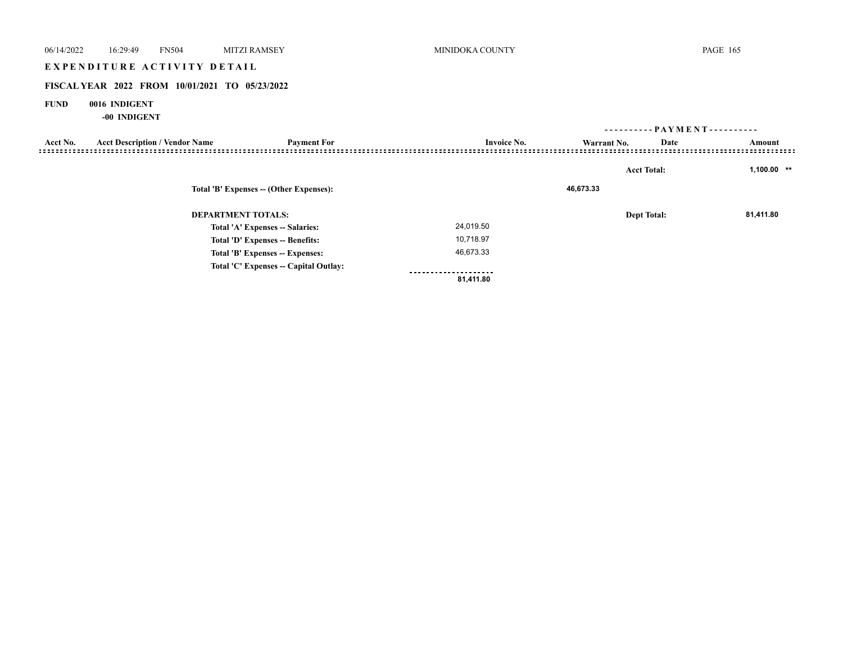# E X P E N D I T U R E A C T I V I T Y D E T A I L

## **FISCAL YEAR 2022 FROM 10/01/2021 TO 05/23/2022**

## **FUND 0016 INDIGENT**

|                                 |                                                                      |                                       |                    | ---------- PAYMENT---------- |      |               |
|---------------------------------|----------------------------------------------------------------------|---------------------------------------|--------------------|------------------------------|------|---------------|
| Acct No.                        | <b>Acct Description / Vendor Name</b>                                | <b>Payment For</b>                    | <b>Invoice No.</b> | Warrant No.                  | Date | Amount        |
|                                 |                                                                      |                                       |                    | <b>Acct Total:</b>           |      | $1,100.00$ ** |
|                                 | Total 'B' Expenses -- (Other Expenses):<br><b>DEPARTMENT TOTALS:</b> |                                       |                    | 46,673.33                    |      |               |
|                                 |                                                                      |                                       |                    | <b>Dept Total:</b>           |      | 81,411.80     |
|                                 |                                                                      | Total 'A' Expenses -- Salaries:       | 24,019.50          |                              |      |               |
|                                 | Total 'D' Expenses -- Benefits:                                      |                                       | 10,718.97          |                              |      |               |
| Total 'B' Expenses -- Expenses: |                                                                      | 46,673.33                             |                    |                              |      |               |
|                                 |                                                                      | Total 'C' Expenses -- Capital Outlay: | ---------          |                              |      |               |
|                                 |                                                                      |                                       | 81,411.80          |                              |      |               |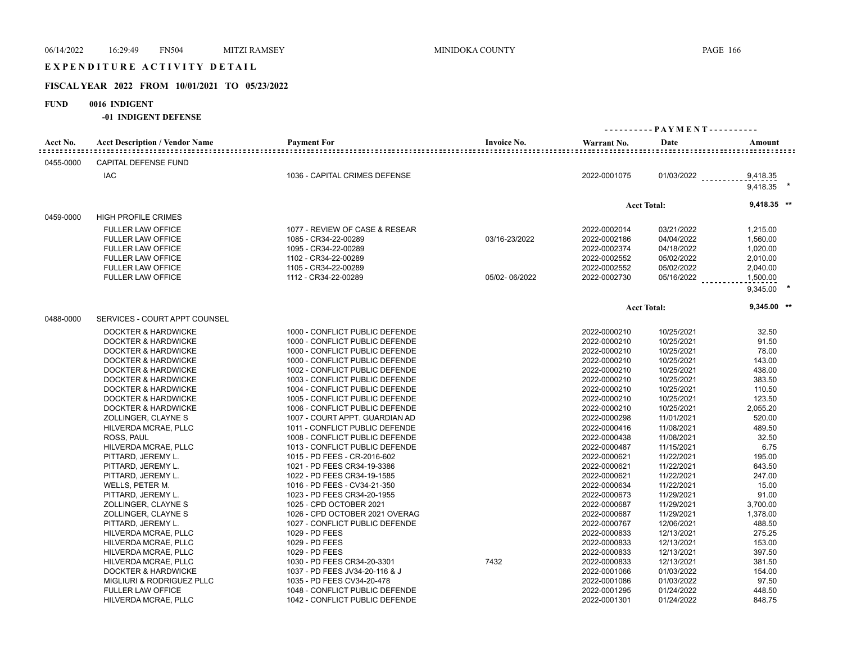# EXPENDITURE ACTIVITY DETAIL

# **FISCAL YEAR 2022 FROM 10/01/2021 TO 05/23/2022**

# **FUND 0016 INDIGENT**

| Acct No.  | <b>Acct Description / Vendor Name</b> | <b>Payment For</b>             | <b>Invoice No.</b> | Warrant No.  | Date               | Amount        |  |
|-----------|---------------------------------------|--------------------------------|--------------------|--------------|--------------------|---------------|--|
| 0455-0000 | <b>CAPITAL DEFENSE FUND</b>           |                                |                    |              |                    |               |  |
|           | <b>IAC</b>                            | 1036 - CAPITAL CRIMES DEFENSE  |                    | 2022-0001075 | $01/03/2022$       | 9,418.35      |  |
|           |                                       |                                |                    |              |                    | 9,418.35      |  |
|           |                                       |                                |                    |              | <b>Acct Total:</b> | $9,418.35$ ** |  |
| 0459-0000 | <b>HIGH PROFILE CRIMES</b>            |                                |                    |              |                    |               |  |
|           | <b>FULLER LAW OFFICE</b>              | 1077 - REVIEW OF CASE & RESEAR |                    | 2022-0002014 | 03/21/2022         | 1,215.00      |  |
|           | <b>FULLER LAW OFFICE</b>              | 1085 - CR34-22-00289           | 03/16-23/2022      | 2022-0002186 | 04/04/2022         | 1,560.00      |  |
|           | <b>FULLER LAW OFFICE</b>              | 1095 - CR34-22-00289           |                    | 2022-0002374 | 04/18/2022         | 1,020.00      |  |
|           | <b>FULLER LAW OFFICE</b>              | 1102 - CR34-22-00289           |                    | 2022-0002552 | 05/02/2022         | 2,010.00      |  |
|           | <b>FULLER LAW OFFICE</b>              | 1105 - CR34-22-00289           |                    | 2022-0002552 | 05/02/2022         | 2,040.00      |  |
|           | <b>FULLER LAW OFFICE</b>              | 1112 - CR34-22-00289           | 05/02-06/2022      | 2022-0002730 | 05/16/2022         | 1,500.00      |  |
|           |                                       |                                |                    |              |                    | 9,345.00      |  |
|           |                                       |                                |                    |              | <b>Acct Total:</b> | $9,345.00$ ** |  |
| 0488-0000 | SERVICES - COURT APPT COUNSEL         |                                |                    |              |                    |               |  |
|           | DOCKTER & HARDWICKE                   | 1000 - CONFLICT PUBLIC DEFENDE |                    | 2022-0000210 | 10/25/2021         | 32.50         |  |
|           | DOCKTER & HARDWICKE                   | 1000 - CONFLICT PUBLIC DEFENDE |                    | 2022-0000210 | 10/25/2021         | 91.50         |  |
|           | <b>DOCKTER &amp; HARDWICKE</b>        | 1000 - CONFLICT PUBLIC DEFENDE |                    | 2022-0000210 | 10/25/2021         | 78.00         |  |
|           | <b>DOCKTER &amp; HARDWICKE</b>        | 1000 - CONFLICT PUBLIC DEFENDE |                    | 2022-0000210 | 10/25/2021         | 143.00        |  |
|           | <b>DOCKTER &amp; HARDWICKE</b>        | 1002 - CONFLICT PUBLIC DEFENDE |                    | 2022-0000210 | 10/25/2021         | 438.00        |  |
|           | <b>DOCKTER &amp; HARDWICKE</b>        | 1003 - CONFLICT PUBLIC DEFENDE |                    | 2022-0000210 | 10/25/2021         | 383.50        |  |
|           |                                       |                                |                    |              |                    | 110.50        |  |
|           | <b>DOCKTER &amp; HARDWICKE</b>        | 1004 - CONFLICT PUBLIC DEFENDE |                    | 2022-0000210 | 10/25/2021         |               |  |
|           | <b>DOCKTER &amp; HARDWICKE</b>        | 1005 - CONFLICT PUBLIC DEFENDE |                    | 2022-0000210 | 10/25/2021         | 123.50        |  |
|           | <b>DOCKTER &amp; HARDWICKE</b>        | 1006 - CONFLICT PUBLIC DEFENDE |                    | 2022-0000210 | 10/25/2021         | 2,055.20      |  |
|           | ZOLLINGER, CLAYNE S                   | 1007 - COURT APPT. GUARDIAN AD |                    | 2022-0000298 | 11/01/2021         | 520.00        |  |
|           | HILVERDA MCRAE, PLLC                  | 1011 - CONFLICT PUBLIC DEFENDE |                    | 2022-0000416 | 11/08/2021         | 489.50        |  |
|           | ROSS, PAUL                            | 1008 - CONFLICT PUBLIC DEFENDE |                    | 2022-0000438 | 11/08/2021         | 32.50         |  |
|           | HILVERDA MCRAE, PLLC                  | 1013 - CONFLICT PUBLIC DEFENDE |                    | 2022-0000487 | 11/15/2021         | 6.75          |  |
|           | PITTARD, JEREMY L.                    | 1015 - PD FEES - CR-2016-602   |                    | 2022-0000621 | 11/22/2021         | 195.00        |  |
|           | PITTARD, JEREMY L.                    | 1021 - PD FEES CR34-19-3386    |                    | 2022-0000621 | 11/22/2021         | 643.50        |  |
|           | PITTARD, JEREMY L.                    | 1022 - PD FEES CR34-19-1585    |                    | 2022-0000621 | 11/22/2021         | 247.00        |  |
|           | WELLS, PETER M.                       | 1016 - PD FEES - CV34-21-350   |                    | 2022-0000634 | 11/22/2021         | 15.00         |  |
|           | PITTARD, JEREMY L.                    | 1023 - PD FEES CR34-20-1955    |                    | 2022-0000673 | 11/29/2021         | 91.00         |  |
|           | ZOLLINGER, CLAYNE S                   | 1025 - CPD OCTOBER 2021        |                    | 2022-0000687 | 11/29/2021         | 3,700.00      |  |
|           | ZOLLINGER, CLAYNE S                   | 1026 - CPD OCTOBER 2021 OVERAG |                    | 2022-0000687 | 11/29/2021         | 1,378.00      |  |
|           | PITTARD, JEREMY L.                    | 1027 - CONFLICT PUBLIC DEFENDE |                    | 2022-0000767 | 12/06/2021         | 488.50        |  |
|           | HILVERDA MCRAE, PLLC                  | 1029 - PD FEES                 |                    | 2022-0000833 | 12/13/2021         | 275.25        |  |
|           | HILVERDA MCRAE, PLLC                  | 1029 - PD FEES                 |                    | 2022-0000833 | 12/13/2021         | 153.00        |  |
|           | HILVERDA MCRAE, PLLC                  | 1029 - PD FEES                 |                    | 2022-0000833 | 12/13/2021         | 397.50        |  |
|           | HILVERDA MCRAE, PLLC                  | 1030 - PD FEES CR34-20-3301    | 7432               | 2022-0000833 | 12/13/2021         | 381.50        |  |
|           | <b>DOCKTER &amp; HARDWICKE</b>        | 1037 - PD FEES JV34-20-116 & J |                    | 2022-0001066 | 01/03/2022         | 154.00        |  |
|           | MIGLIURI & RODRIGUEZ PLLC             | 1035 - PD FEES CV34-20-478     |                    | 2022-0001086 | 01/03/2022         | 97.50         |  |
|           | <b>FULLER LAW OFFICE</b>              | 1048 - CONFLICT PUBLIC DEFENDE |                    | 2022-0001295 | 01/24/2022         | 448.50        |  |
|           | HILVERDA MCRAE, PLLC                  | 1042 - CONFLICT PUBLIC DEFENDE |                    | 2022-0001301 | 01/24/2022         | 848.75        |  |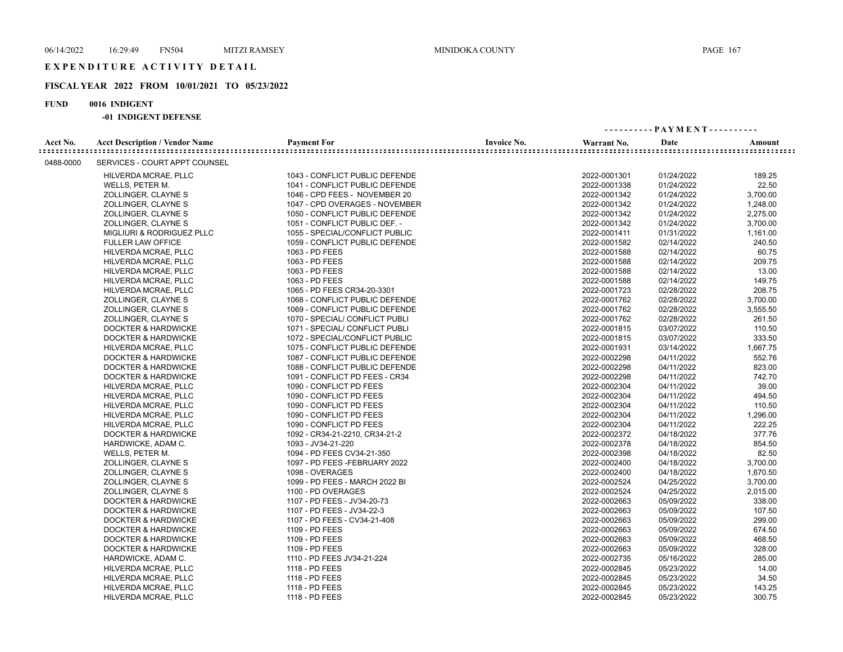## **FISCAL YEAR 2022 FROM 10/01/2021 TO 05/23/2022**

## **FUND 0016 INDIGENT**

|           |                                       |                                |                    |              | ---------- PAYMENT---------- |          |  |  |
|-----------|---------------------------------------|--------------------------------|--------------------|--------------|------------------------------|----------|--|--|
| Acct No.  | <b>Acct Description / Vendor Name</b> | <b>Payment For</b>             | <b>Invoice No.</b> | Warrant No.  | Date                         | Amount   |  |  |
| 0488-0000 | SERVICES - COURT APPT COUNSEL         |                                |                    |              |                              |          |  |  |
|           | HILVERDA MCRAE, PLLC                  | 1043 - CONFLICT PUBLIC DEFENDE |                    | 2022-0001301 | 01/24/2022                   | 189.25   |  |  |
|           | WELLS, PETER M.                       | 1041 - CONFLICT PUBLIC DEFENDE |                    | 2022-0001338 | 01/24/2022                   | 22.50    |  |  |
|           | ZOLLINGER, CLAYNE S                   | 1046 - CPD FEES - NOVEMBER 20  |                    | 2022-0001342 | 01/24/2022                   | 3,700.00 |  |  |
|           | ZOLLINGER, CLAYNE S                   | 1047 - CPD OVERAGES - NOVEMBER |                    | 2022-0001342 | 01/24/2022                   | 1,248.00 |  |  |
|           | ZOLLINGER, CLAYNE S                   | 1050 - CONFLICT PUBLIC DEFENDE |                    | 2022-0001342 | 01/24/2022                   | 2,275.00 |  |  |
|           | ZOLLINGER, CLAYNE S                   | 1051 - CONFLICT PUBLIC DEF. -  |                    | 2022-0001342 | 01/24/2022                   | 3,700.00 |  |  |
|           | MIGLIURI & RODRIGUEZ PLLC             | 1055 - SPECIAL/CONFLICT PUBLIC |                    | 2022-0001411 | 01/31/2022                   | 1,161.00 |  |  |
|           | <b>FULLER LAW OFFICE</b>              | 1059 - CONFLICT PUBLIC DEFENDE |                    | 2022-0001582 | 02/14/2022                   | 240.50   |  |  |
|           | HILVERDA MCRAE, PLLC                  | 1063 - PD FEES                 |                    | 2022-0001588 | 02/14/2022                   | 60.75    |  |  |
|           | HILVERDA MCRAE, PLLC                  | 1063 - PD FEES                 |                    | 2022-0001588 | 02/14/2022                   | 209.75   |  |  |
|           | HILVERDA MCRAE, PLLC                  | 1063 - PD FEES                 |                    | 2022-0001588 | 02/14/2022                   | 13.00    |  |  |
|           | HILVERDA MCRAE, PLLC                  | 1063 - PD FEES                 |                    | 2022-0001588 | 02/14/2022                   | 149.75   |  |  |
|           | HILVERDA MCRAE, PLLC                  | 1065 - PD FEES CR34-20-3301    |                    | 2022-0001723 | 02/28/2022                   | 208.75   |  |  |
|           | ZOLLINGER, CLAYNE S                   | 1068 - CONFLICT PUBLIC DEFENDE |                    | 2022-0001762 | 02/28/2022                   | 3,700.00 |  |  |
|           | ZOLLINGER, CLAYNE S                   | 1069 - CONFLICT PUBLIC DEFENDE |                    | 2022-0001762 | 02/28/2022                   | 3,555.50 |  |  |
|           | ZOLLINGER, CLAYNE S                   | 1070 - SPECIAL/ CONFLICT PUBLI |                    | 2022-0001762 | 02/28/2022                   | 261.50   |  |  |
|           | <b>DOCKTER &amp; HARDWICKE</b>        | 1071 - SPECIAL/ CONFLICT PUBLI |                    | 2022-0001815 | 03/07/2022                   | 110.50   |  |  |
|           | <b>DOCKTER &amp; HARDWICKE</b>        | 1072 - SPECIAL/CONFLICT PUBLIC |                    | 2022-0001815 | 03/07/2022                   | 333.50   |  |  |
|           | HILVERDA MCRAE, PLLC                  | 1075 - CONFLICT PUBLIC DEFENDE |                    | 2022-0001931 | 03/14/2022                   | 1,667.75 |  |  |
|           | <b>DOCKTER &amp; HARDWICKE</b>        | 1087 - CONFLICT PUBLIC DEFENDE |                    | 2022-0002298 | 04/11/2022                   | 552.76   |  |  |
|           | <b>DOCKTER &amp; HARDWICKE</b>        | 1088 - CONFLICT PUBLIC DEFENDE |                    | 2022-0002298 | 04/11/2022                   | 823.00   |  |  |
|           | <b>DOCKTER &amp; HARDWICKE</b>        | 1091 - CONFLICT PD FEES - CR34 |                    | 2022-0002298 | 04/11/2022                   | 742.70   |  |  |
|           | HILVERDA MCRAE, PLLC                  | 1090 - CONFLICT PD FEES        |                    | 2022-0002304 | 04/11/2022                   | 39.00    |  |  |
|           | HILVERDA MCRAE, PLLC                  | 1090 - CONFLICT PD FEES        |                    | 2022-0002304 | 04/11/2022                   | 494.50   |  |  |
|           | HILVERDA MCRAE, PLLC                  | 1090 - CONFLICT PD FEES        |                    | 2022-0002304 | 04/11/2022                   | 110.50   |  |  |
|           | HILVERDA MCRAE, PLLC                  | 1090 - CONFLICT PD FEES        |                    | 2022-0002304 | 04/11/2022                   | 1,296.00 |  |  |
|           | HILVERDA MCRAE, PLLC                  | 1090 - CONFLICT PD FEES        |                    | 2022-0002304 | 04/11/2022                   | 222.25   |  |  |
|           | <b>DOCKTER &amp; HARDWICKE</b>        | 1092 - CR34-21-2210, CR34-21-2 |                    | 2022-0002372 | 04/18/2022                   | 377.76   |  |  |
|           | HARDWICKE, ADAM C.                    | 1093 - JV34-21-220             |                    | 2022-0002378 | 04/18/2022                   | 854.50   |  |  |
|           | WELLS, PETER M.                       | 1094 - PD FEES CV34-21-350     |                    | 2022-0002398 | 04/18/2022                   | 82.50    |  |  |
|           | ZOLLINGER, CLAYNE S                   | 1097 - PD FEES - FEBRUARY 2022 |                    | 2022-0002400 | 04/18/2022                   | 3,700.00 |  |  |
|           | ZOLLINGER, CLAYNE S                   | 1098 - OVERAGES                |                    | 2022-0002400 | 04/18/2022                   | 1,670.50 |  |  |
|           | ZOLLINGER, CLAYNE S                   | 1099 - PD FEES - MARCH 2022 BI |                    | 2022-0002524 | 04/25/2022                   | 3.700.00 |  |  |
|           | ZOLLINGER, CLAYNE S                   | 1100 - PD OVERAGES             |                    | 2022-0002524 | 04/25/2022                   | 2.015.00 |  |  |
|           | <b>DOCKTER &amp; HARDWICKE</b>        | 1107 - PD FEES - JV34-20-73    |                    | 2022-0002663 | 05/09/2022                   | 338.00   |  |  |
|           | <b>DOCKTER &amp; HARDWICKE</b>        | 1107 - PD FEES - JV34-22-3     |                    | 2022-0002663 | 05/09/2022                   | 107.50   |  |  |
|           | <b>DOCKTER &amp; HARDWICKE</b>        | 1107 - PD FEES - CV34-21-408   |                    | 2022-0002663 | 05/09/2022                   | 299.00   |  |  |
|           | <b>DOCKTER &amp; HARDWICKE</b>        | 1109 - PD FEES                 |                    | 2022-0002663 | 05/09/2022                   | 674.50   |  |  |
|           | <b>DOCKTER &amp; HARDWICKE</b>        | 1109 - PD FEES                 |                    | 2022-0002663 | 05/09/2022                   | 468.50   |  |  |
|           | <b>DOCKTER &amp; HARDWICKE</b>        | 1109 - PD FEES                 |                    | 2022-0002663 | 05/09/2022                   | 328.00   |  |  |
|           | HARDWICKE, ADAM C.                    | 1110 - PD FEES JV34-21-224     |                    | 2022-0002735 | 05/16/2022                   | 285.00   |  |  |
|           | HILVERDA MCRAE, PLLC                  | 1118 - PD FEES                 |                    | 2022-0002845 | 05/23/2022                   | 14.00    |  |  |
|           | HILVERDA MCRAE, PLLC                  | 1118 - PD FEES                 |                    | 2022-0002845 | 05/23/2022                   | 34.50    |  |  |
|           | HILVERDA MCRAE, PLLC                  | 1118 - PD FEES                 |                    | 2022-0002845 | 05/23/2022                   | 143.25   |  |  |
|           | HILVERDA MCRAE, PLLC                  | 1118 - PD FEES                 |                    | 2022-0002845 | 05/23/2022                   | 300.75   |  |  |
|           |                                       |                                |                    |              |                              |          |  |  |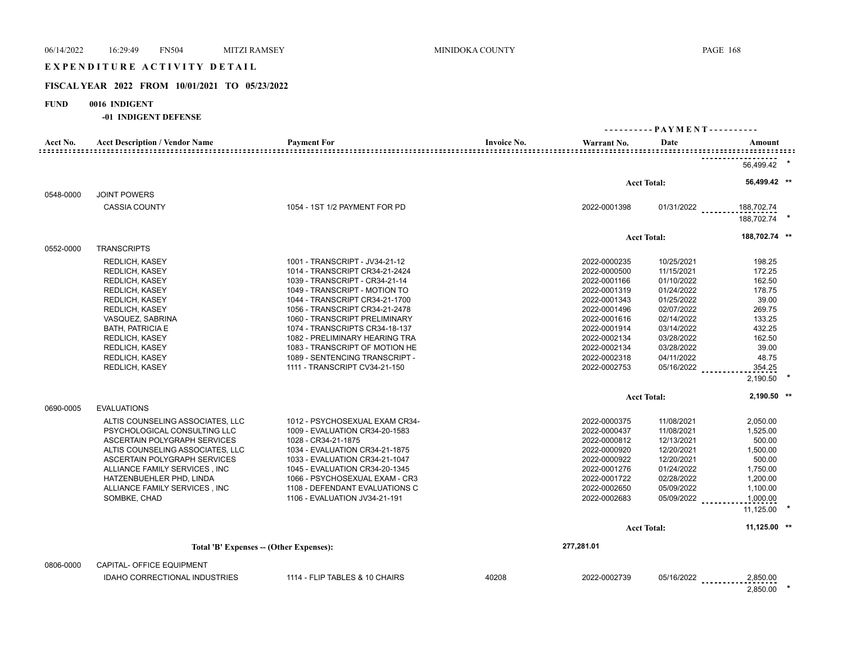# EXPENDITURE ACTIVITY DETAIL

# **FISCAL YEAR 2022 FROM 10/01/2021 TO 05/23/2022**

## **FUND 0016 INDIGENT**

| Acct No.  | <b>Acct Description / Vendor Name</b>                                                                                                                                                                                                                                                                                                                      | <b>Payment For</b>                                                                                                                                                                                                                                                                                                                                                                                                | <b>Invoice No.</b> | Warrant No.                                                                                                                                                                                  | Date                                                                                                                                                                 | Amount                                                                                                                            |  |
|-----------|------------------------------------------------------------------------------------------------------------------------------------------------------------------------------------------------------------------------------------------------------------------------------------------------------------------------------------------------------------|-------------------------------------------------------------------------------------------------------------------------------------------------------------------------------------------------------------------------------------------------------------------------------------------------------------------------------------------------------------------------------------------------------------------|--------------------|----------------------------------------------------------------------------------------------------------------------------------------------------------------------------------------------|----------------------------------------------------------------------------------------------------------------------------------------------------------------------|-----------------------------------------------------------------------------------------------------------------------------------|--|
|           |                                                                                                                                                                                                                                                                                                                                                            |                                                                                                                                                                                                                                                                                                                                                                                                                   |                    |                                                                                                                                                                                              |                                                                                                                                                                      | 56,499.42                                                                                                                         |  |
|           |                                                                                                                                                                                                                                                                                                                                                            |                                                                                                                                                                                                                                                                                                                                                                                                                   |                    |                                                                                                                                                                                              | <b>Acct Total:</b>                                                                                                                                                   | 56,499.42 **                                                                                                                      |  |
| 0548-0000 | <b>JOINT POWERS</b>                                                                                                                                                                                                                                                                                                                                        |                                                                                                                                                                                                                                                                                                                                                                                                                   |                    |                                                                                                                                                                                              |                                                                                                                                                                      |                                                                                                                                   |  |
|           | <b>CASSIA COUNTY</b>                                                                                                                                                                                                                                                                                                                                       | 1054 - 1ST 1/2 PAYMENT FOR PD                                                                                                                                                                                                                                                                                                                                                                                     |                    | 2022-0001398                                                                                                                                                                                 | 01/31/2022                                                                                                                                                           | 188,702.74<br>188,702.74                                                                                                          |  |
|           |                                                                                                                                                                                                                                                                                                                                                            |                                                                                                                                                                                                                                                                                                                                                                                                                   |                    |                                                                                                                                                                                              | <b>Acct Total:</b>                                                                                                                                                   | 188,702.74 **                                                                                                                     |  |
| 0552-0000 | <b>TRANSCRIPTS</b>                                                                                                                                                                                                                                                                                                                                         |                                                                                                                                                                                                                                                                                                                                                                                                                   |                    |                                                                                                                                                                                              |                                                                                                                                                                      |                                                                                                                                   |  |
|           | <b>REDLICH, KASEY</b><br><b>REDLICH, KASEY</b><br><b>REDLICH, KASEY</b><br><b>REDLICH, KASEY</b><br><b>REDLICH, KASEY</b><br>REDLICH, KASEY<br>VASQUEZ, SABRINA<br><b>BATH, PATRICIA E</b><br><b>REDLICH, KASEY</b><br><b>REDLICH, KASEY</b><br><b>REDLICH, KASEY</b><br><b>REDLICH, KASEY</b>                                                             | 1001 - TRANSCRIPT - JV34-21-12<br>1014 - TRANSCRIPT CR34-21-2424<br>1039 - TRANSCRIPT - CR34-21-14<br>1049 - TRANSCRIPT - MOTION TO<br>1044 - TRANSCRIPT CR34-21-1700<br>1056 - TRANSCRIPT CR34-21-2478<br>1060 - TRANSCRIPT PRELIMINARY<br>1074 - TRANSCRIPTS CR34-18-137<br>1082 - PRELIMINARY HEARING TRA<br>1083 - TRANSCRIPT OF MOTION HE<br>1089 - SENTENCING TRANSCRIPT -<br>1111 - TRANSCRIPT CV34-21-150 |                    | 2022-0000235<br>2022-0000500<br>2022-0001166<br>2022-0001319<br>2022-0001343<br>2022-0001496<br>2022-0001616<br>2022-0001914<br>2022-0002134<br>2022-0002134<br>2022-0002318<br>2022-0002753 | 10/25/2021<br>11/15/2021<br>01/10/2022<br>01/24/2022<br>01/25/2022<br>02/07/2022<br>02/14/2022<br>03/14/2022<br>03/28/2022<br>03/28/2022<br>04/11/2022<br>05/16/2022 | 198.25<br>172.25<br>162.50<br>178.75<br>39.00<br>269.75<br>133.25<br>432.25<br>162.50<br>39.00<br>48.75<br>354.25<br>2,190.50     |  |
| 0690-0005 | <b>EVALUATIONS</b>                                                                                                                                                                                                                                                                                                                                         |                                                                                                                                                                                                                                                                                                                                                                                                                   |                    |                                                                                                                                                                                              | <b>Acct Total:</b>                                                                                                                                                   | 2,190.50 **                                                                                                                       |  |
| 0806-0000 | ALTIS COUNSELING ASSOCIATES, LLC<br>PSYCHOLOGICAL CONSULTING LLC<br>ASCERTAIN POLYGRAPH SERVICES<br>ALTIS COUNSELING ASSOCIATES, LLC<br>ASCERTAIN POLYGRAPH SERVICES<br>ALLIANCE FAMILY SERVICES, INC<br>HATZENBUEHLER PHD, LINDA<br>ALLIANCE FAMILY SERVICES, INC<br>SOMBKE, CHAD<br>Total 'B' Expenses -- (Other Expenses):<br>CAPITAL- OFFICE EQUIPMENT | 1012 - PSYCHOSEXUAL EXAM CR34-<br>1009 - EVALUATION CR34-20-1583<br>1028 - CR34-21-1875<br>1034 - EVALUATION CR34-21-1875<br>1033 - EVALUATION CR34-21-1047<br>1045 - EVALUATION CR34-20-1345<br>1066 - PSYCHOSEXUAL EXAM - CR3<br>1108 - DEFENDANT EVALUATIONS C<br>1106 - EVALUATION JV34-21-191                                                                                                                |                    | 2022-0000375<br>2022-0000437<br>2022-0000812<br>2022-0000920<br>2022-0000922<br>2022-0001276<br>2022-0001722<br>2022-0002650<br>2022-0002683<br>277,281.01                                   | 11/08/2021<br>11/08/2021<br>12/13/2021<br>12/20/2021<br>12/20/2021<br>01/24/2022<br>02/28/2022<br>05/09/2022<br>05/09/2022<br><b>Acct Total:</b>                     | 2,050.00<br>1,525.00<br>500.00<br>1,500.00<br>500.00<br>1,750.00<br>1,200.00<br>1,100.00<br>1,000.00<br>11,125.00<br>11,125.00 ** |  |
|           | <b>IDAHO CORRECTIONAL INDUSTRIES</b>                                                                                                                                                                                                                                                                                                                       | 1114 - FLIP TABLES & 10 CHAIRS                                                                                                                                                                                                                                                                                                                                                                                    | 40208              | 2022-0002739                                                                                                                                                                                 | 05/16/2022                                                                                                                                                           | 2,850.00<br>2,850.00                                                                                                              |  |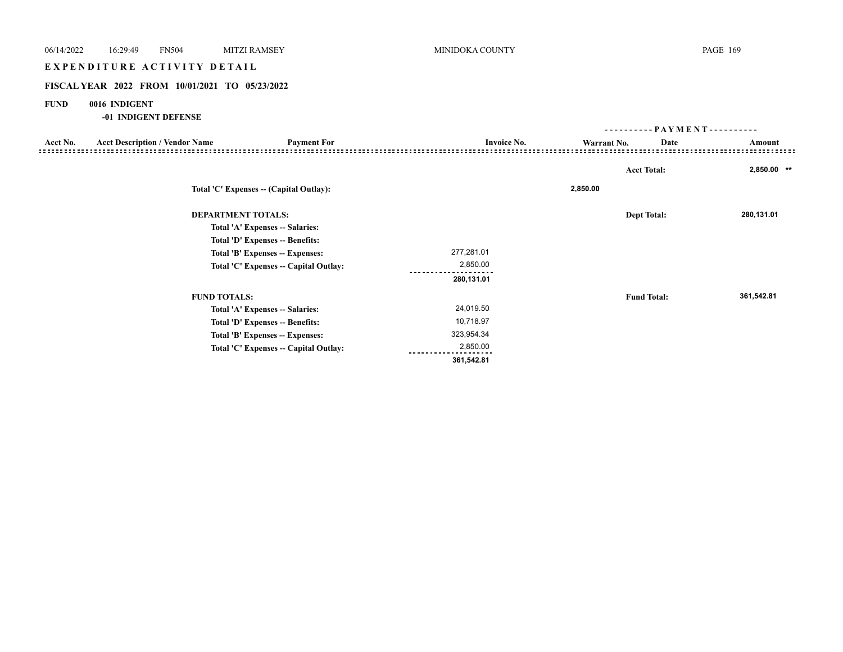# EXPENDITURE ACTIVITY DETAIL

## **FISCAL YEAR 2022 FROM 10/01/2021 TO 05/23/2022**

## **FUND 0016 INDIGENT**

|          |                                       |                                         |                    | ----------  | - PAYMENT - - - - - - - - - - |             |
|----------|---------------------------------------|-----------------------------------------|--------------------|-------------|-------------------------------|-------------|
| Acct No. | <b>Acct Description / Vendor Name</b> | <b>Payment For</b>                      | <b>Invoice No.</b> | Warrant No. | Date                          | Amount      |
|          |                                       |                                         |                    |             |                               |             |
|          |                                       |                                         |                    |             | <b>Acct Total:</b>            | 2,850.00 ** |
|          |                                       | Total 'C' Expenses -- (Capital Outlay): |                    | 2,850.00    |                               |             |
|          | <b>DEPARTMENT TOTALS:</b>             |                                         |                    |             | <b>Dept Total:</b>            | 280,131.01  |
|          |                                       | Total 'A' Expenses -- Salaries:         |                    |             |                               |             |
|          |                                       | Total 'D' Expenses -- Benefits:         |                    |             |                               |             |
|          |                                       | Total 'B' Expenses -- Expenses:         | 277,281.01         |             |                               |             |
|          |                                       | Total 'C' Expenses -- Capital Outlay:   | 2,850.00           |             |                               |             |
|          |                                       |                                         | 280,131.01         |             |                               |             |
|          | <b>FUND TOTALS:</b>                   |                                         |                    |             | <b>Fund Total:</b>            | 361,542.81  |
|          |                                       | Total 'A' Expenses -- Salaries:         | 24,019.50          |             |                               |             |
|          |                                       | Total 'D' Expenses -- Benefits:         | 10,718.97          |             |                               |             |
|          |                                       | Total 'B' Expenses -- Expenses:         | 323,954.34         |             |                               |             |
|          |                                       | Total 'C' Expenses -- Capital Outlay:   | 2,850.00           |             |                               |             |
|          |                                       |                                         | 361,542.81         |             |                               |             |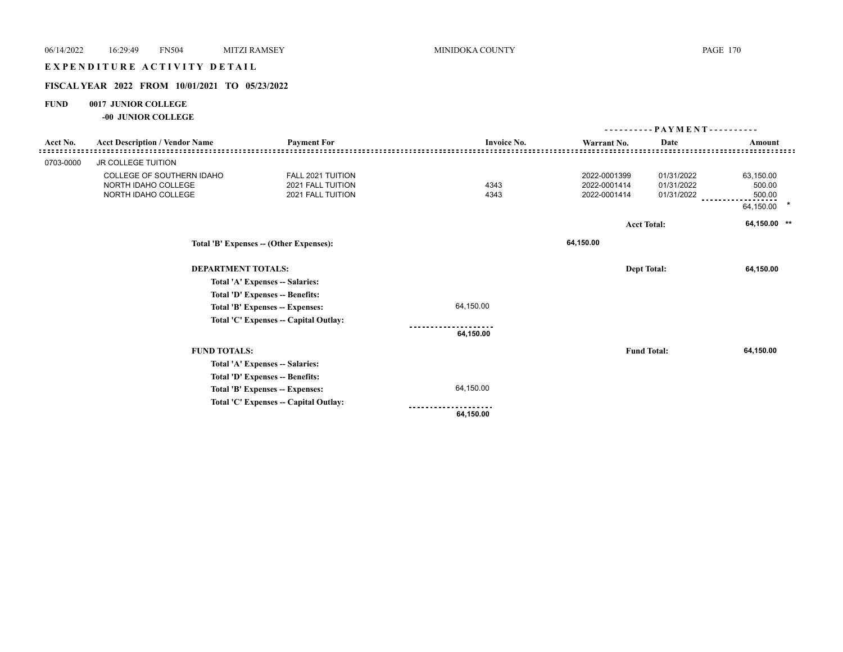# EXPENDITURE ACTIVITY DETAIL

## **FISCAL YEAR 2022 FROM 10/01/2021 TO 05/23/2022**

## **FUND 0017 JUNIOR COLLEGE**

**-00 JUNIOR COLLEGE**

|           |                                         |                                       |                    | - PAYMENT - - - - - - - - - - |                    |              |
|-----------|-----------------------------------------|---------------------------------------|--------------------|-------------------------------|--------------------|--------------|
| Acct No.  | <b>Acct Description / Vendor Name</b>   | <b>Payment For</b>                    | <b>Invoice No.</b> | Warrant No.                   | Date               | Amount       |
|           |                                         |                                       |                    |                               |                    |              |
| 0703-0000 | JR COLLEGE TUITION                      |                                       |                    |                               |                    |              |
|           | COLLEGE OF SOUTHERN IDAHO               | FALL 2021 TUITION                     |                    | 2022-0001399                  | 01/31/2022         | 63,150.00    |
|           | NORTH IDAHO COLLEGE                     | 2021 FALL TUITION                     | 4343               | 2022-0001414                  | 01/31/2022         | 500.00       |
|           | NORTH IDAHO COLLEGE                     | 2021 FALL TUITION                     | 4343               | 2022-0001414                  | 01/31/2022         | 500.00       |
|           |                                         |                                       |                    |                               |                    | 64,150.00    |
|           |                                         |                                       |                    |                               | <b>Acct Total:</b> | 64,150.00 ** |
|           | Total 'B' Expenses -- (Other Expenses): |                                       |                    | 64,150.00                     |                    |              |
|           | <b>DEPARTMENT TOTALS:</b>               |                                       |                    | <b>Dept Total:</b>            |                    | 64,150.00    |
|           |                                         | Total 'A' Expenses -- Salaries:       |                    |                               |                    |              |
|           |                                         | Total 'D' Expenses -- Benefits:       |                    |                               |                    |              |
|           |                                         | Total 'B' Expenses -- Expenses:       | 64,150.00          |                               |                    |              |
|           |                                         | Total 'C' Expenses -- Capital Outlay: |                    |                               |                    |              |
|           |                                         |                                       | 64,150.00          |                               |                    |              |
|           | <b>FUND TOTALS:</b>                     |                                       |                    |                               | <b>Fund Total:</b> | 64,150.00    |
|           |                                         | Total 'A' Expenses -- Salaries:       |                    |                               |                    |              |
|           |                                         | Total 'D' Expenses -- Benefits:       |                    |                               |                    |              |
|           |                                         | Total 'B' Expenses -- Expenses:       | 64,150.00          |                               |                    |              |
|           |                                         | Total 'C' Expenses -- Capital Outlay: |                    |                               |                    |              |
|           |                                         |                                       | 64,150.00          |                               |                    |              |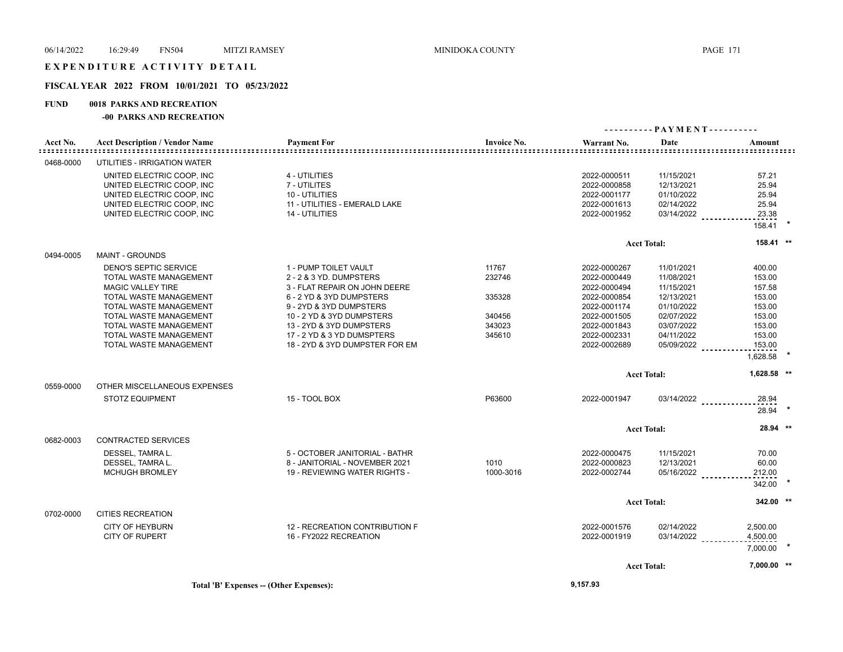## **FISCAL YEAR 2022 FROM 10/01/2021 TO 05/23/2022**

## **FUND 0018 PARKS AND RECREATION**

#### **-00 PARKS AND RECREATION**

|           |                                       |                                |                    |              | ---------- PAYMENT---------- |             |  |
|-----------|---------------------------------------|--------------------------------|--------------------|--------------|------------------------------|-------------|--|
| Acct No.  | <b>Acct Description / Vendor Name</b> | <b>Payment For</b>             | <b>Invoice No.</b> | Warrant No.  | Date                         | Amount<br>  |  |
| 0468-0000 | UTILITIES - IRRIGATION WATER          |                                |                    |              |                              |             |  |
|           | UNITED ELECTRIC COOP, INC             | 4 - UTILITIES                  |                    | 2022-0000511 | 11/15/2021                   | 57.21       |  |
|           | UNITED ELECTRIC COOP, INC             | 7 - UTILITES                   |                    | 2022-0000858 | 12/13/2021                   | 25.94       |  |
|           | UNITED ELECTRIC COOP, INC             | 10 - UTILITIES                 |                    | 2022-0001177 | 01/10/2022                   | 25.94       |  |
|           | UNITED ELECTRIC COOP, INC             | 11 - UTILITIES - EMERALD LAKE  |                    | 2022-0001613 | 02/14/2022                   | 25.94       |  |
|           | UNITED ELECTRIC COOP, INC             | 14 - UTILITIES                 |                    | 2022-0001952 | $03/14/2022$                 | 23.38       |  |
|           |                                       |                                |                    |              |                              |             |  |
|           |                                       |                                |                    |              |                              | 158.41      |  |
|           |                                       |                                |                    |              | <b>Acct Total:</b>           | 158.41 **   |  |
| 0494-0005 | <b>MAINT - GROUNDS</b>                |                                |                    |              |                              |             |  |
|           | DENO'S SEPTIC SERVICE                 | 1 - PUMP TOILET VAULT          | 11767              | 2022-0000267 | 11/01/2021                   | 400.00      |  |
|           | TOTAL WASTE MANAGEMENT                | 2 - 2 & 3 YD. DUMPSTERS        | 232746             | 2022-0000449 | 11/08/2021                   | 153.00      |  |
|           | <b>MAGIC VALLEY TIRE</b>              | 3 - FLAT REPAIR ON JOHN DEERE  |                    | 2022-0000494 | 11/15/2021                   | 157.58      |  |
|           | TOTAL WASTE MANAGEMENT                | 6 - 2 YD & 3YD DUMPSTERS       | 335328             | 2022-0000854 | 12/13/2021                   | 153.00      |  |
|           | TOTAL WASTE MANAGEMENT                | 9 - 2YD & 3YD DUMPSTERS        |                    | 2022-0001174 | 01/10/2022                   | 153.00      |  |
|           | TOTAL WASTE MANAGEMENT                | 10 - 2 YD & 3YD DUMPSTERS      | 340456             | 2022-0001505 | 02/07/2022                   | 153.00      |  |
|           | TOTAL WASTE MANAGEMENT                | 13 - 2YD & 3YD DUMPSTERS       | 343023             | 2022-0001843 | 03/07/2022                   | 153.00      |  |
|           | TOTAL WASTE MANAGEMENT                | 17 - 2 YD & 3 YD DUMSPTERS     | 345610             | 2022-0002331 | 04/11/2022                   | 153.00      |  |
|           | TOTAL WASTE MANAGEMENT                | 18 - 2YD & 3YD DUMPSTER FOR EM |                    | 2022-0002689 | 05/09/2022 _______           | 153.00      |  |
|           |                                       |                                |                    |              |                              | 1,628.58    |  |
|           |                                       |                                |                    |              | <b>Acct Total:</b>           | 1,628.58 ** |  |
| 0559-0000 | OTHER MISCELLANEOUS EXPENSES          |                                |                    |              |                              |             |  |
|           | <b>STOTZ EQUIPMENT</b>                | 15 - TOOL BOX                  | P63600             | 2022-0001947 | $03/14/2022$                 | 28.94       |  |
|           |                                       |                                |                    |              |                              | 28.94       |  |
|           |                                       |                                |                    |              | <b>Acct Total:</b>           | 28.94 **    |  |
| 0682-0003 | CONTRACTED SERVICES                   |                                |                    |              |                              |             |  |
|           | DESSEL, TAMRA L.                      | 5 - OCTOBER JANITORIAL - BATHR |                    | 2022-0000475 | 11/15/2021                   | 70.00       |  |
|           | DESSEL, TAMRA L.                      | 8 - JANITORIAL - NOVEMBER 2021 | 1010               | 2022-0000823 | 12/13/2021                   | 60.00       |  |
|           | <b>MCHUGH BROMLEY</b>                 | 19 - REVIEWING WATER RIGHTS -  | 1000-3016          | 2022-0002744 | 05/16/2022                   | 212.00      |  |
|           |                                       |                                |                    |              |                              |             |  |
|           |                                       |                                |                    |              |                              | 342.00      |  |
|           |                                       |                                |                    |              | <b>Acct Total:</b>           | 342.00 **   |  |
| 0702-0000 | <b>CITIES RECREATION</b>              |                                |                    |              |                              |             |  |
|           | <b>CITY OF HEYBURN</b>                | 12 - RECREATION CONTRIBUTION F |                    | 2022-0001576 | 02/14/2022                   | 2,500.00    |  |
|           | <b>CITY OF RUPERT</b>                 | 16 - FY2022 RECREATION         |                    | 2022-0001919 | $03/14/2022$                 | 4,500.00    |  |
|           |                                       |                                |                    |              |                              | 7,000.00    |  |
|           |                                       |                                |                    |              |                              |             |  |
|           |                                       |                                |                    |              | <b>Acct Total:</b>           | 7,000.00 ** |  |
|           |                                       |                                |                    |              |                              |             |  |

**Total 'B' Expenses -- (Other Expenses): 9,157.93**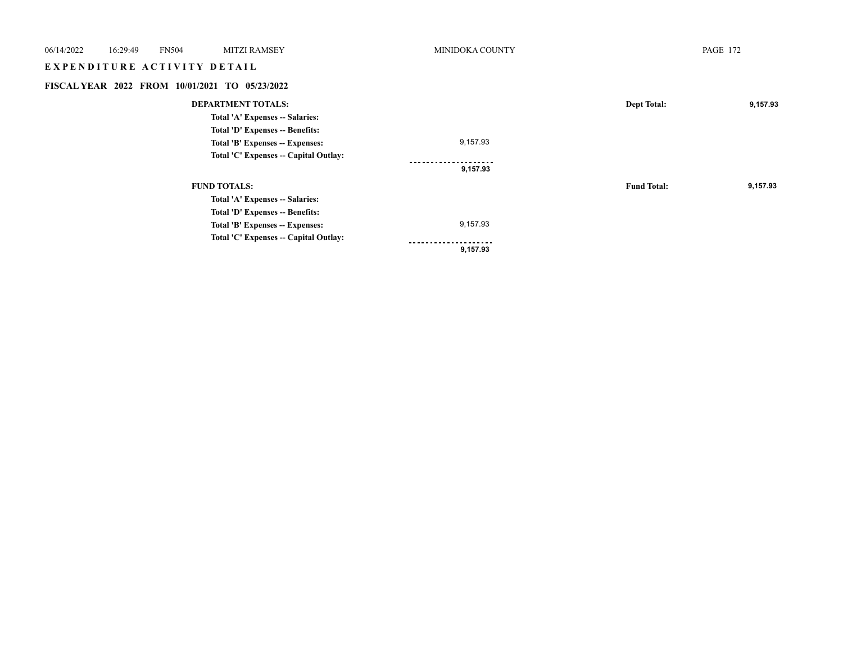| 06/14/2022 | 16:29:49 | <b>FN504</b>                | <b>MITZI RAMSEY</b>                            | MINIDOKA COUNTY |                    | <b>PAGE 172</b> |
|------------|----------|-----------------------------|------------------------------------------------|-----------------|--------------------|-----------------|
|            |          | EXPENDITURE ACTIVITY DETAIL |                                                |                 |                    |                 |
|            |          |                             | FISCAL YEAR 2022 FROM 10/01/2021 TO 05/23/2022 |                 |                    |                 |
|            |          |                             | <b>DEPARTMENT TOTALS:</b>                      |                 | <b>Dept Total:</b> | 9,157.93        |
|            |          |                             | Total 'A' Expenses -- Salaries:                |                 |                    |                 |
|            |          |                             | Total 'D' Expenses -- Benefits:                |                 |                    |                 |
|            |          |                             | Total 'B' Expenses -- Expenses:                | 9,157.93        |                    |                 |
|            |          |                             | Total 'C' Expenses -- Capital Outlay:          | .               |                    |                 |
|            |          |                             |                                                | 9,157.93        |                    |                 |
|            |          |                             | <b>FUND TOTALS:</b>                            |                 | <b>Fund Total:</b> | 9,157.93        |
|            |          |                             | Total 'A' Expenses -- Salaries:                |                 |                    |                 |
|            |          |                             | Total 'D' Expenses -- Benefits:                |                 |                    |                 |
|            |          |                             | Total 'B' Expenses -- Expenses:                | 9,157.93        |                    |                 |
|            |          |                             | Total 'C' Expenses -- Capital Outlay:          |                 |                    |                 |
|            |          |                             |                                                | 9,157.93        |                    |                 |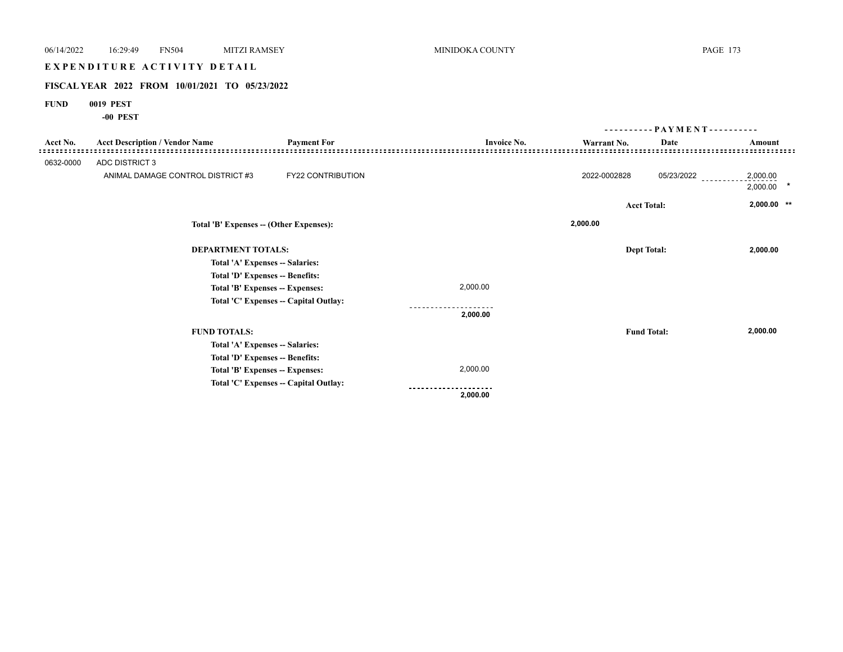# E X P E N D I T U R E A C T I V I T Y D E T A I L

# **FISCAL YEAR 2022 FROM 10/01/2021 TO 05/23/2022**

## **FUND 0019 PEST**

**-00 PEST**

|           |                                         |                                       |                    | - PAYMENT - - - - - - - - - - |                    |                      |
|-----------|-----------------------------------------|---------------------------------------|--------------------|-------------------------------|--------------------|----------------------|
| Acct No.  | <b>Acct Description / Vendor Name</b>   | <b>Payment For</b>                    | <b>Invoice No.</b> | Warrant No.                   | Date               | Amount               |
| 0632-0000 | <b>ADC DISTRICT 3</b>                   |                                       |                    |                               |                    |                      |
|           | ANIMAL DAMAGE CONTROL DISTRICT #3       | FY22 CONTRIBUTION                     |                    | 2022-0002828                  | 05/23/2022         | 2,000.00<br>2,000.00 |
|           |                                         |                                       |                    |                               | <b>Acct Total:</b> | $2,000.00$ **        |
|           | Total 'B' Expenses -- (Other Expenses): |                                       |                    | 2,000.00                      |                    |                      |
|           | <b>DEPARTMENT TOTALS:</b>               |                                       |                    |                               | <b>Dept Total:</b> | 2,000.00             |
|           | Total 'A' Expenses -- Salaries:         |                                       |                    |                               |                    |                      |
|           | Total 'D' Expenses -- Benefits:         |                                       |                    |                               |                    |                      |
|           | Total 'B' Expenses -- Expenses:         |                                       | 2,000.00           |                               |                    |                      |
|           |                                         | Total 'C' Expenses -- Capital Outlay: |                    |                               |                    |                      |
|           |                                         |                                       | 2,000.00           |                               |                    |                      |
|           | <b>FUND TOTALS:</b>                     |                                       |                    |                               | <b>Fund Total:</b> | 2,000.00             |
|           | Total 'A' Expenses -- Salaries:         |                                       |                    |                               |                    |                      |
|           | Total 'D' Expenses -- Benefits:         |                                       |                    |                               |                    |                      |
|           | Total 'B' Expenses -- Expenses:         |                                       | 2,000.00           |                               |                    |                      |
|           |                                         | Total 'C' Expenses -- Capital Outlay: |                    |                               |                    |                      |
|           |                                         |                                       | 2,000.00           |                               |                    |                      |
|           |                                         |                                       |                    |                               |                    |                      |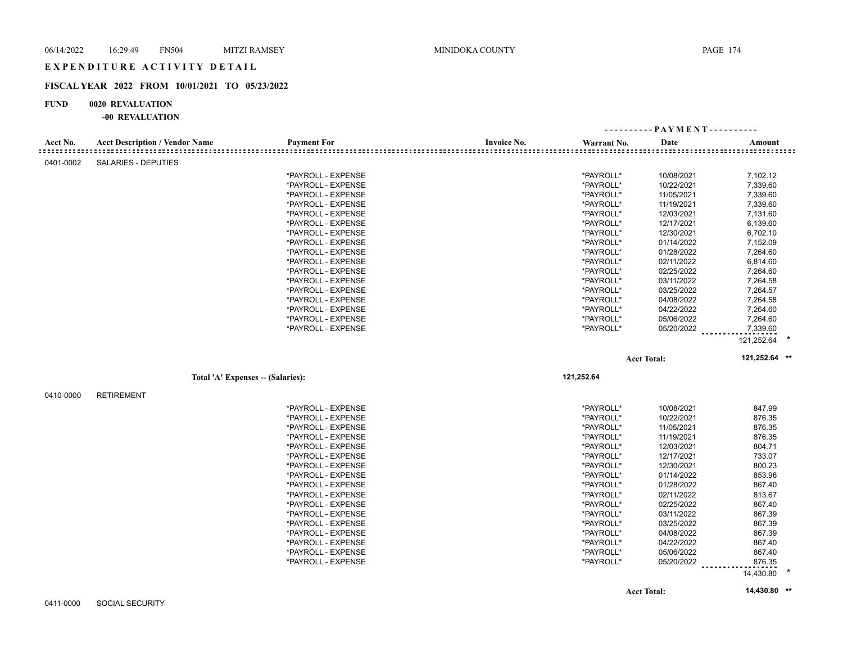## **FISCAL YEAR 2022 FROM 10/01/2021 TO 05/23/2022**

#### **FUND 0020 REVALUATION**

|           |                                       |                    |                    |             | ---------- PAYMENT---------- |                                         |
|-----------|---------------------------------------|--------------------|--------------------|-------------|------------------------------|-----------------------------------------|
| Acct No.  | <b>Acct Description / Vendor Name</b> | <b>Payment For</b> | <b>Invoice No.</b> | Warrant No. | Date                         | Amount<br>::::::::::::::::::::::::::::: |
| 0401-0002 | <b>SALARIES - DEPUTIES</b>            |                    |                    |             |                              |                                         |
|           |                                       | *PAYROLL - EXPENSE |                    | *PAYROLL*   | 10/08/2021                   | 7,102.12                                |
|           |                                       | *PAYROLL - EXPENSE |                    | *PAYROLL*   | 10/22/2021                   | 7,339.60                                |
|           |                                       | *PAYROLL - EXPENSE |                    | *PAYROLL*   | 11/05/2021                   | 7,339.60                                |
|           |                                       | *PAYROLL - EXPENSE |                    | *PAYROLL*   | 11/19/2021                   | 7,339.60                                |
|           |                                       | *PAYROLL - EXPENSE |                    | *PAYROLL*   | 12/03/2021                   | 7,131.60                                |
|           |                                       | *PAYROLL - EXPENSE |                    | *PAYROLL*   | 12/17/2021                   | 6,139.60                                |
|           |                                       | *PAYROLL - EXPENSE |                    | *PAYROLL*   | 12/30/2021                   | 6,702.10                                |
|           |                                       | *PAYROLL - EXPENSE |                    | *PAYROLL*   | 01/14/2022                   | 7,152.09                                |
|           |                                       | *PAYROLL - EXPENSE |                    | *PAYROLL*   | 01/28/2022                   | 7,264.60                                |
|           |                                       | *PAYROLL - EXPENSE |                    | *PAYROLL*   | 02/11/2022                   | 6,814.60                                |
|           |                                       | *PAYROLL - EXPENSE |                    | *PAYROLL*   | 02/25/2022                   | 7,264.60                                |
|           |                                       | *PAYROLL - EXPENSE |                    | *PAYROLL*   | 03/11/2022                   | 7,264.58                                |
|           |                                       | *PAYROLL - EXPENSE |                    | *PAYROLL*   | 03/25/2022                   | 7,264.57                                |
|           |                                       | *PAYROLL - EXPENSE |                    | *PAYROLL*   | 04/08/2022                   | 7,264.58                                |
|           |                                       | *PAYROLL - EXPENSE |                    | *PAYROLL*   | 04/22/2022                   | 7,264.60                                |
|           |                                       | *PAYROLL - EXPENSE |                    | *PAYROLL*   | 05/06/2022                   | 7,264.60                                |
|           |                                       | *PAYROLL - EXPENSE |                    | *PAYROLL*   | 05/20/2022                   | 7,339.60                                |
|           |                                       |                    |                    |             |                              | 121,252.64                              |
|           |                                       |                    |                    |             | <b>Acct Total:</b>           | 121,252.64 **                           |
|           | Total 'A' Expenses - (Salaries):      |                    |                    | 121,252.64  |                              |                                         |
|           |                                       |                    |                    |             |                              |                                         |
| 0410-0000 | <b>RETIREMENT</b>                     |                    |                    |             |                              |                                         |
|           |                                       | *PAYROLL - EXPENSE |                    | *PAYROLL*   | 10/08/2021                   | 847.99                                  |
|           |                                       | *PAYROLL - EXPENSE |                    | *PAYROLL*   | 10/22/2021                   | 876.35                                  |
|           |                                       | *PAYROLL - EXPENSE |                    | *PAYROLL*   | 11/05/2021                   | 876.35                                  |
|           |                                       | *PAYROLL - EXPENSE |                    | *PAYROLL*   | 11/19/2021                   | 876.35                                  |
|           |                                       | *PAYROLL - EXPENSE |                    | *PAYROLL*   | 12/03/2021                   | 804.71                                  |
|           |                                       | *PAYROLL - EXPENSE |                    | *PAYROLL*   | 12/17/2021                   | 733.07                                  |
|           |                                       | *PAYROLL - EXPENSE |                    | *PAYROLL*   | 12/30/2021                   | 800.23                                  |
|           |                                       | *PAYROLL - EXPENSE |                    | *PAYROLL*   | 01/14/2022                   | 853.96                                  |
|           |                                       | *PAYROLL - EXPENSE |                    | *PAYROLL*   | 01/28/2022                   | 867.40                                  |
|           |                                       | *PAYROLL - EXPENSE |                    | *PAYROLL*   | 02/11/2022                   | 813.67                                  |
|           |                                       | *PAYROLL - EXPENSE |                    | *PAYROLL*   | 02/25/2022                   | 867.40                                  |
|           |                                       | *PAYROLL - EXPENSE |                    | *PAYROLL*   | 03/11/2022                   | 867.39                                  |
|           |                                       | *PAYROLL - EXPENSE |                    | *PAYROLL*   | 03/25/2022                   | 867.39                                  |
|           |                                       | *PAYROLL - EXPENSE |                    | *PAYROLL*   | 04/08/2022                   | 867.39                                  |
|           |                                       | *PAYROLL - EXPENSE |                    | *PAYROLL*   | 04/22/2022                   | 867.40                                  |
|           |                                       | *PAYROLL - EXPENSE |                    | *PAYROLL*   | 05/06/2022                   | 867.40                                  |
|           |                                       | *PAYROLL - EXPENSE |                    | *PAYROLL*   | 05/20/2022                   | 876.35<br>14,430.80                     |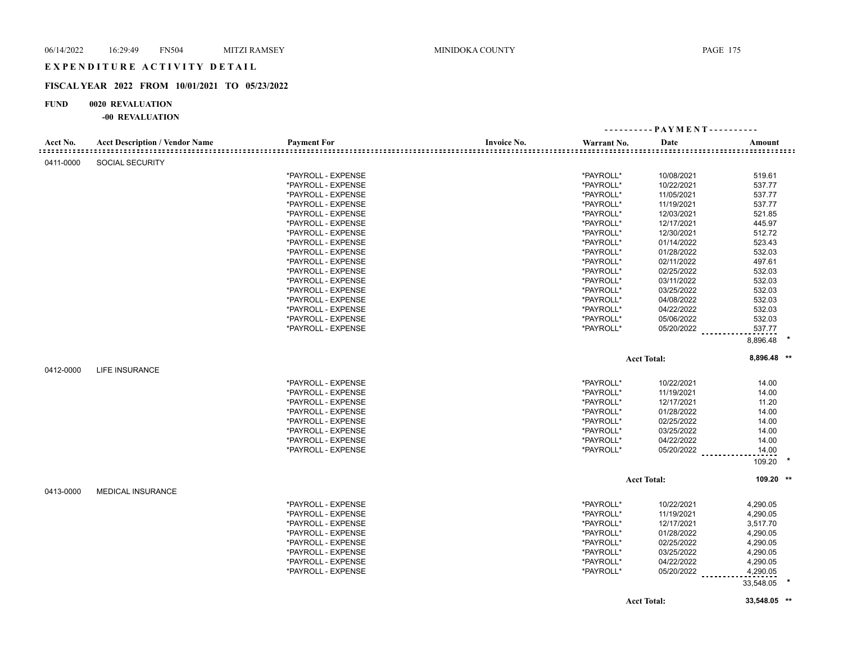## **FISCAL YEAR 2022 FROM 10/01/2021 TO 05/23/2022**

## **FUND 0020 REVALUATION**

|           |                                       |                    |                    |             |                     | ---------- PAYMENT---------- |  |
|-----------|---------------------------------------|--------------------|--------------------|-------------|---------------------|------------------------------|--|
| Acct No.  | <b>Acct Description / Vendor Name</b> | <b>Payment For</b> | <b>Invoice No.</b> | Warrant No. | Date                | Amount                       |  |
| 0411-0000 | <b>SOCIAL SECURITY</b>                |                    |                    |             |                     |                              |  |
|           |                                       | *PAYROLL - EXPENSE |                    | *PAYROLL*   | 10/08/2021          | 519.61                       |  |
|           |                                       | *PAYROLL - EXPENSE |                    | *PAYROLL*   | 10/22/2021          | 537.77                       |  |
|           |                                       | *PAYROLL - EXPENSE |                    | *PAYROLL*   | 11/05/2021          | 537.77                       |  |
|           |                                       | *PAYROLL - EXPENSE |                    | *PAYROLL*   | 11/19/2021          | 537.77                       |  |
|           |                                       | *PAYROLL - EXPENSE |                    | *PAYROLL*   | 12/03/2021          | 521.85                       |  |
|           |                                       | *PAYROLL - EXPENSE |                    | *PAYROLL*   | 12/17/2021          | 445.97                       |  |
|           |                                       | *PAYROLL - EXPENSE |                    | *PAYROLL*   | 12/30/2021          | 512.72                       |  |
|           |                                       | *PAYROLL - EXPENSE |                    | *PAYROLL*   | 01/14/2022          | 523.43                       |  |
|           |                                       | *PAYROLL - EXPENSE |                    | *PAYROLL*   | 01/28/2022          | 532.03                       |  |
|           |                                       | *PAYROLL - EXPENSE |                    | *PAYROLL*   | 02/11/2022          | 497.61                       |  |
|           |                                       | *PAYROLL - EXPENSE |                    | *PAYROLL*   | 02/25/2022          | 532.03                       |  |
|           |                                       | *PAYROLL - EXPENSE |                    | *PAYROLL*   | 03/11/2022          | 532.03                       |  |
|           |                                       | *PAYROLL - EXPENSE |                    | *PAYROLL*   | 03/25/2022          | 532.03                       |  |
|           |                                       | *PAYROLL - EXPENSE |                    | *PAYROLL*   | 04/08/2022          | 532.03                       |  |
|           |                                       | *PAYROLL - EXPENSE |                    | *PAYROLL*   | 04/22/2022          | 532.03                       |  |
|           |                                       | *PAYROLL - EXPENSE |                    | *PAYROLL*   | 05/06/2022          | 532.03                       |  |
|           |                                       | *PAYROLL - EXPENSE |                    | *PAYROLL*   | 05/20/2022 ________ | 537.77                       |  |
|           |                                       |                    |                    |             |                     | 8,896.48                     |  |
|           |                                       |                    |                    |             | <b>Acct Total:</b>  | 8,896.48 **                  |  |
| 0412-0000 | <b>LIFE INSURANCE</b>                 |                    |                    |             |                     |                              |  |
|           |                                       | *PAYROLL - EXPENSE |                    | *PAYROLL*   | 10/22/2021          | 14.00                        |  |
|           |                                       | *PAYROLL - EXPENSE |                    | *PAYROLL*   | 11/19/2021          | 14.00                        |  |
|           |                                       | *PAYROLL - EXPENSE |                    | *PAYROLL*   | 12/17/2021          | 11.20                        |  |
|           |                                       | *PAYROLL - EXPENSE |                    | *PAYROLL*   | 01/28/2022          | 14.00                        |  |
|           |                                       | *PAYROLL - EXPENSE |                    | *PAYROLL*   | 02/25/2022          | 14.00                        |  |
|           |                                       | *PAYROLL - EXPENSE |                    | *PAYROLL*   | 03/25/2022          | 14.00                        |  |
|           |                                       | *PAYROLL - EXPENSE |                    | *PAYROLL*   | 04/22/2022          | 14.00                        |  |
|           |                                       | *PAYROLL - EXPENSE |                    | *PAYROLL*   | 05/20/2022          |                              |  |
|           |                                       |                    |                    |             |                     | 14.00                        |  |
|           |                                       |                    |                    |             |                     | 109.20                       |  |
|           |                                       |                    |                    |             | <b>Acct Total:</b>  | 109.20 **                    |  |
| 0413-0000 | <b>MEDICAL INSURANCE</b>              |                    |                    |             |                     |                              |  |
|           |                                       | *PAYROLL - EXPENSE |                    | *PAYROLL*   | 10/22/2021          | 4,290.05                     |  |
|           |                                       | *PAYROLL - EXPENSE |                    | *PAYROLL*   | 11/19/2021          | 4,290.05                     |  |
|           |                                       | *PAYROLL - EXPENSE |                    | *PAYROLL*   | 12/17/2021          | 3,517.70                     |  |
|           |                                       | *PAYROLL - EXPENSE |                    | *PAYROLL*   | 01/28/2022          | 4,290.05                     |  |
|           |                                       | *PAYROLL - EXPENSE |                    | *PAYROLL*   | 02/25/2022          | 4,290.05                     |  |
|           |                                       | *PAYROLL - EXPENSE |                    | *PAYROLL*   | 03/25/2022          | 4,290.05                     |  |
|           |                                       | *PAYROLL - EXPENSE |                    | *PAYROLL*   | 04/22/2022          | 4,290.05                     |  |
|           |                                       | *PAYROLL - EXPENSE |                    | *PAYROLL*   | 05/20/2022          | 4,290.05                     |  |
|           |                                       |                    |                    |             |                     | 33,548.05                    |  |
|           |                                       |                    |                    |             | <b>Acct Total:</b>  | 33,548.05 **                 |  |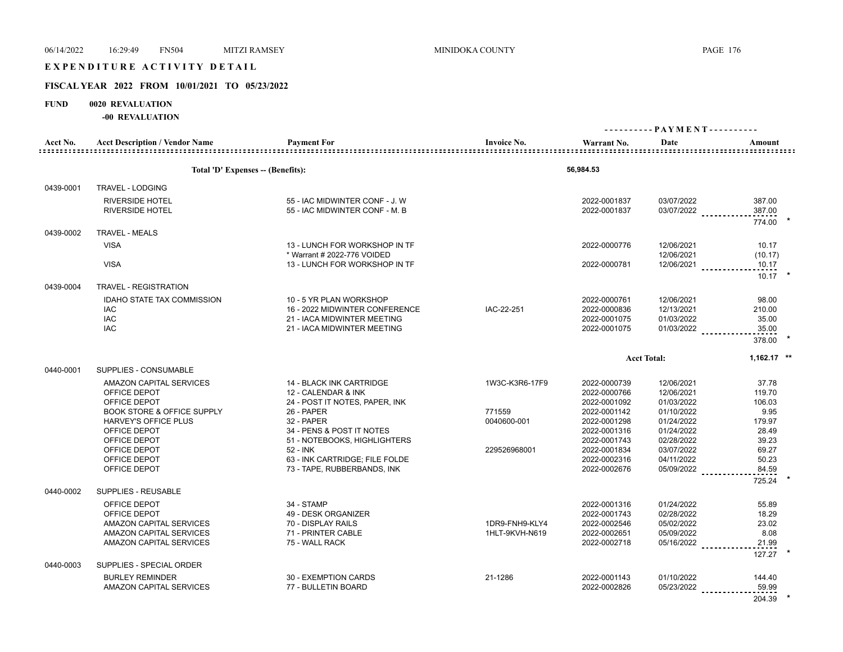# EXPENDITURE ACTIVITY DETAIL

# **FISCAL YEAR 2022 FROM 10/01/2021 TO 05/23/2022**

#### **FUND 0020 REVALUATION**

|           | $-00$ in valuation                    |                                            |                    |                              |                          |                 |
|-----------|---------------------------------------|--------------------------------------------|--------------------|------------------------------|--------------------------|-----------------|
| Acct No.  | <b>Acct Description / Vendor Name</b> | <b>Payment For</b>                         | <b>Invoice No.</b> | Warrant No.                  | Date                     | Amount          |
|           |                                       |                                            |                    |                              |                          |                 |
|           | Total 'D' Expenses -- (Benefits):     |                                            |                    | 56,984.53                    |                          |                 |
| 0439-0001 | TRAVEL - LODGING                      |                                            |                    |                              |                          |                 |
|           | <b>RIVERSIDE HOTEL</b>                | 55 - IAC MIDWINTER CONF - J. W             |                    | 2022-0001837                 | 03/07/2022               | 387.00          |
|           | <b>RIVERSIDE HOTEL</b>                | 55 - IAC MIDWINTER CONF - M. B             |                    | 2022-0001837                 | 03/07/2022               | 387.00          |
|           |                                       |                                            |                    |                              |                          | 774.00          |
| 0439-0002 | <b>TRAVEL - MEALS</b>                 |                                            |                    |                              |                          |                 |
|           | <b>VISA</b>                           | 13 - LUNCH FOR WORKSHOP IN TF              |                    | 2022-0000776                 | 12/06/2021               | 10.17           |
|           |                                       | * Warrant # 2022-776 VOIDED                |                    |                              | 12/06/2021               | (10.17)         |
|           | <b>VISA</b>                           | 13 - LUNCH FOR WORKSHOP IN TF              |                    | 2022-0000781                 | 12/06/2021               | 10.17<br>10.17  |
| 0439-0004 | <b>TRAVEL - REGISTRATION</b>          |                                            |                    |                              |                          |                 |
|           | <b>IDAHO STATE TAX COMMISSION</b>     | 10 - 5 YR PLAN WORKSHOP                    |                    | 2022-0000761                 | 12/06/2021               | 98.00           |
|           | <b>IAC</b>                            | 16 - 2022 MIDWINTER CONFERENCE             | IAC-22-251         | 2022-0000836                 | 12/13/2021               | 210.00          |
|           | <b>IAC</b>                            | 21 - IACA MIDWINTER MEETING                |                    | 2022-0001075                 | 01/03/2022               | 35.00           |
|           | <b>IAC</b>                            | 21 - IACA MIDWINTER MEETING                |                    | 2022-0001075                 | $01/03/2022$             | 35.00           |
|           |                                       |                                            |                    |                              |                          | 378.00          |
|           |                                       |                                            |                    |                              | <b>Acct Total:</b>       | $1,162.17$ **   |
| 0440-0001 | SUPPLIES - CONSUMABLE                 |                                            |                    |                              |                          |                 |
|           | AMAZON CAPITAL SERVICES               | 14 - BLACK INK CARTRIDGE                   | 1W3C-K3R6-17F9     | 2022-0000739                 | 12/06/2021               | 37.78           |
|           | OFFICE DEPOT                          | 12 - CALENDAR & INK                        |                    | 2022-0000766                 | 12/06/2021               | 119.70          |
|           | OFFICE DEPOT                          | 24 - POST IT NOTES, PAPER, INK             |                    | 2022-0001092                 | 01/03/2022               | 106.03          |
|           | <b>BOOK STORE &amp; OFFICE SUPPLY</b> | 26 - PAPER                                 | 771559             | 2022-0001142                 | 01/10/2022               | 9.95            |
|           | HARVEY'S OFFICE PLUS                  | 32 - PAPER                                 | 0040600-001        | 2022-0001298                 | 01/24/2022               | 179.97          |
|           | OFFICE DEPOT                          | 34 - PENS & POST IT NOTES                  |                    | 2022-0001316                 | 01/24/2022               | 28.49           |
|           | OFFICE DEPOT                          | 51 - NOTEBOOKS, HIGHLIGHTERS               |                    | 2022-0001743                 | 02/28/2022               | 39.23           |
|           | OFFICE DEPOT<br>OFFICE DEPOT          | 52 - INK<br>63 - INK CARTRIDGE; FILE FOLDE | 229526968001       | 2022-0001834                 | 03/07/2022<br>04/11/2022 | 69.27<br>50.23  |
|           | OFFICE DEPOT                          | 73 - TAPE, RUBBERBANDS, INK                |                    | 2022-0002316<br>2022-0002676 | 05/09/2022               | 84.59           |
|           |                                       |                                            |                    |                              |                          |                 |
| 0440-0002 | <b>SUPPLIES - REUSABLE</b>            |                                            |                    |                              |                          | 725.24          |
|           | OFFICE DEPOT                          | 34 - STAMP                                 |                    | 2022-0001316                 | 01/24/2022               | 55.89           |
|           | OFFICE DEPOT                          | 49 - DESK ORGANIZER                        |                    | 2022-0001743                 | 02/28/2022               | 18.29           |
|           | AMAZON CAPITAL SERVICES               | 70 - DISPLAY RAILS                         | 1DR9-FNH9-KLY4     | 2022-0002546                 | 05/02/2022               | 23.02           |
|           | AMAZON CAPITAL SERVICES               | 71 - PRINTER CABLE                         | 1HLT-9KVH-N619     | 2022-0002651                 | 05/09/2022               | 8.08            |
|           | AMAZON CAPITAL SERVICES               | 75 - WALL RACK                             |                    | 2022-0002718                 | 05/16/2022               | 21.99           |
|           |                                       |                                            |                    |                              |                          | 127.27          |
| 0440-0003 | SUPPLIES - SPECIAL ORDER              |                                            |                    |                              |                          |                 |
|           | <b>BURLEY REMINDER</b>                | 30 - EXEMPTION CARDS                       | 21-1286            | 2022-0001143                 | 01/10/2022               | 144.40          |
|           | AMAZON CAPITAL SERVICES               | 77 - BULLETIN BOARD                        |                    | 2022-0002826                 | 05/23/2022               | 59.99<br>204.39 |
|           |                                       |                                            |                    |                              |                          |                 |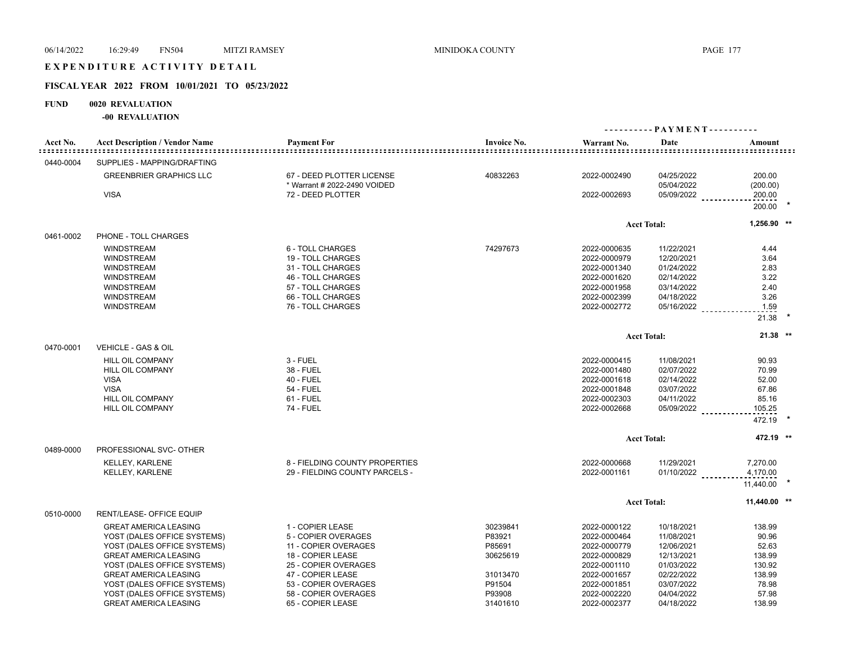## EXPENDITURE ACTIVITY DETAIL

#### **FISCAL YEAR 2022 FROM 10/01/2021 TO 05/23/2022**

## **FUND 0020 REVALUATION**

|           |                                       |                                                   |                    |              | ---------- PAYMENT---------- |                    |  |
|-----------|---------------------------------------|---------------------------------------------------|--------------------|--------------|------------------------------|--------------------|--|
| Acct No.  | <b>Acct Description / Vendor Name</b> | <b>Payment For</b>                                | <b>Invoice No.</b> | Warrant No.  | Date                         | Amount             |  |
| 0440-0004 | SUPPLIES - MAPPING/DRAFTING           |                                                   |                    |              |                              |                    |  |
|           | <b>GREENBRIER GRAPHICS LLC</b>        | 67 - DEED PLOTTER LICENSE                         | 40832263           | 2022-0002490 | 04/25/2022                   | 200.00             |  |
|           | <b>VISA</b>                           | * Warrant # 2022-2490 VOIDED<br>72 - DEED PLOTTER |                    | 2022-0002693 | 05/04/2022<br>05/09/2022     | (200.00)<br>200.00 |  |
|           |                                       |                                                   |                    |              |                              | 200.00             |  |
|           |                                       |                                                   |                    |              | <b>Acct Total:</b>           | $1,256.90$ **      |  |
| 0461-0002 | PHONE - TOLL CHARGES                  |                                                   |                    |              |                              |                    |  |
|           | <b>WINDSTREAM</b>                     | 6 - TOLL CHARGES                                  | 74297673           | 2022-0000635 | 11/22/2021                   | 4.44               |  |
|           | <b>WINDSTREAM</b>                     | 19 - TOLL CHARGES                                 |                    | 2022-0000979 | 12/20/2021                   | 3.64               |  |
|           | <b>WINDSTREAM</b>                     | 31 - TOLL CHARGES                                 |                    | 2022-0001340 | 01/24/2022                   | 2.83               |  |
|           | <b>WINDSTREAM</b>                     | 46 - TOLL CHARGES                                 |                    | 2022-0001620 | 02/14/2022                   | 3.22               |  |
|           | WINDSTREAM                            | 57 - TOLL CHARGES                                 |                    | 2022-0001958 | 03/14/2022                   | 2.40               |  |
|           | <b>WINDSTREAM</b>                     | 66 - TOLL CHARGES                                 |                    | 2022-0002399 | 04/18/2022                   | 3.26               |  |
|           | <b>WINDSTREAM</b>                     | 76 - TOLL CHARGES                                 |                    | 2022-0002772 | 05/16/2022                   | 1.59               |  |
|           |                                       |                                                   |                    |              |                              | 21.38              |  |
|           |                                       |                                                   |                    |              | <b>Acct Total:</b>           | $21.38$ **         |  |
| 0470-0001 | VEHICLE - GAS & OIL                   |                                                   |                    |              |                              |                    |  |
|           | <b>HILL OIL COMPANY</b>               | 3 - FUEL                                          |                    | 2022-0000415 | 11/08/2021                   | 90.93              |  |
|           | <b>HILL OIL COMPANY</b>               | 38 - FUEL                                         |                    | 2022-0001480 | 02/07/2022                   | 70.99              |  |
|           | <b>VISA</b>                           | <b>40 - FUEL</b>                                  |                    | 2022-0001618 | 02/14/2022                   | 52.00              |  |
|           | <b>VISA</b>                           | <b>54 - FUEL</b>                                  |                    | 2022-0001848 | 03/07/2022                   | 67.86              |  |
|           | <b>HILL OIL COMPANY</b>               | $61$ - FUEL                                       |                    | 2022-0002303 | 04/11/2022                   | 85.16              |  |
|           | <b>HILL OIL COMPANY</b>               | <b>74 - FUEL</b>                                  |                    | 2022-0002668 | 05/09/2022                   | 105.25             |  |
|           |                                       |                                                   |                    |              |                              | 472.19             |  |
|           |                                       |                                                   |                    |              | <b>Acct Total:</b>           | 472.19 **          |  |
| 0489-0000 | PROFESSIONAL SVC- OTHER               |                                                   |                    |              |                              |                    |  |
|           | <b>KELLEY, KARLENE</b>                | 8 - FIELDING COUNTY PROPERTIES                    |                    | 2022-0000668 | 11/29/2021                   | 7,270.00           |  |
|           | <b>KELLEY, KARLENE</b>                | 29 - FIELDING COUNTY PARCELS -                    |                    | 2022-0001161 | $01/10/2022$                 | 4,170.00           |  |
|           |                                       |                                                   |                    |              |                              | 11,440.00          |  |
|           |                                       |                                                   |                    |              | <b>Acct Total:</b>           | 11,440.00 **       |  |
| 0510-0000 | RENT/LEASE- OFFICE EQUIP              |                                                   |                    |              |                              |                    |  |
|           | <b>GREAT AMERICA LEASING</b>          | 1 - COPIER LEASE                                  | 30239841           | 2022-0000122 | 10/18/2021                   | 138.99             |  |
|           | YOST (DALES OFFICE SYSTEMS)           | 5 - COPIER OVERAGES                               | P83921             | 2022-0000464 | 11/08/2021                   | 90.96              |  |
|           | YOST (DALES OFFICE SYSTEMS)           | 11 - COPIER OVERAGES                              | P85691             | 2022-0000779 | 12/06/2021                   | 52.63              |  |
|           | <b>GREAT AMERICA LEASING</b>          | 18 - COPIER LEASE                                 | 30625619           | 2022-0000829 | 12/13/2021                   | 138.99             |  |
|           | YOST (DALES OFFICE SYSTEMS)           | 25 - COPIER OVERAGES                              |                    | 2022-0001110 | 01/03/2022                   | 130.92             |  |
|           | <b>GREAT AMERICA LEASING</b>          | 47 - COPIER LEASE                                 | 31013470           | 2022-0001657 | 02/22/2022                   | 138.99             |  |
|           | YOST (DALES OFFICE SYSTEMS)           | 53 - COPIER OVERAGES                              | P91504             | 2022-0001851 | 03/07/2022                   | 78.98              |  |
|           | YOST (DALES OFFICE SYSTEMS)           | 58 - COPIER OVERAGES                              | P93908             | 2022-0002220 | 04/04/2022                   | 57.98              |  |
|           | <b>GREAT AMERICA LEASING</b>          | 65 - COPIER LEASE                                 | 31401610           | 2022-0002377 | 04/18/2022                   | 138.99             |  |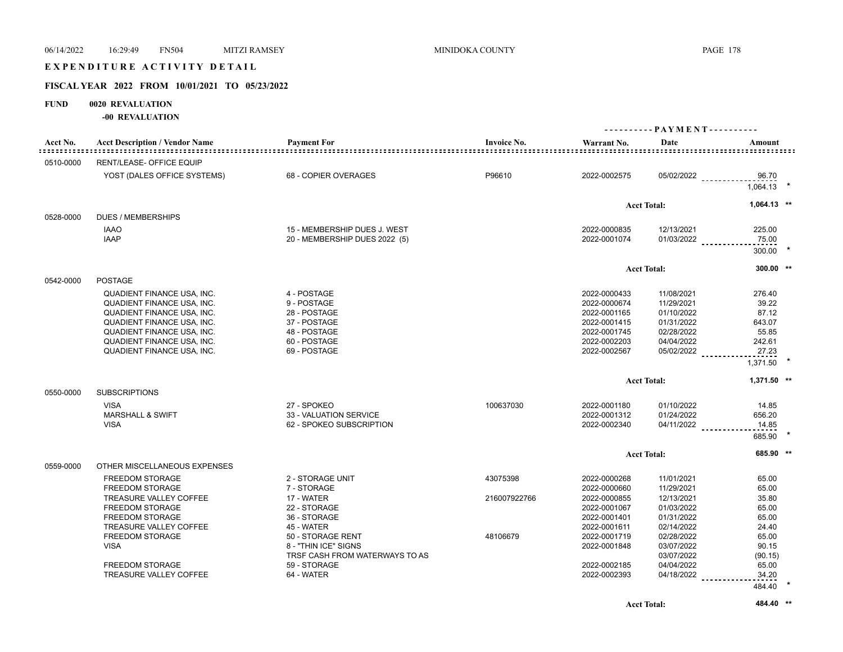## EXPENDITURE ACTIVITY DETAIL

## **FISCAL YEAR 2022 FROM 10/01/2021 TO 05/23/2022**

## **FUND 0020 REVALUATION**

| Acct No.  | <b>Acct Description / Vendor Name</b>                                                                                                                                                                                                             | <b>Payment For</b>                                                                                         | <b>Invoice No.</b>       | Warrant No.                                                                                                  | Date                                                                                           | Amount                                                                     |  |
|-----------|---------------------------------------------------------------------------------------------------------------------------------------------------------------------------------------------------------------------------------------------------|------------------------------------------------------------------------------------------------------------|--------------------------|--------------------------------------------------------------------------------------------------------------|------------------------------------------------------------------------------------------------|----------------------------------------------------------------------------|--|
| 0510-0000 | <b>RENT/LEASE- OFFICE EQUIP</b>                                                                                                                                                                                                                   |                                                                                                            |                          |                                                                                                              |                                                                                                |                                                                            |  |
|           | YOST (DALES OFFICE SYSTEMS)                                                                                                                                                                                                                       | 68 - COPIER OVERAGES                                                                                       | P96610                   | 2022-0002575                                                                                                 |                                                                                                | 05/02/2022<br>96.70<br>1,064.13                                            |  |
|           |                                                                                                                                                                                                                                                   |                                                                                                            |                          |                                                                                                              | <b>Acct Total:</b>                                                                             | $1,064.13$ **                                                              |  |
| 0528-0000 | <b>DUES / MEMBERSHIPS</b>                                                                                                                                                                                                                         |                                                                                                            |                          |                                                                                                              |                                                                                                |                                                                            |  |
|           | <b>IAAO</b><br><b>IAAP</b>                                                                                                                                                                                                                        | 15 - MEMBERSHIP DUES J. WEST<br>20 - MEMBERSHIP DUES 2022 (5)                                              |                          | 2022-0000835<br>2022-0001074                                                                                 | 12/13/2021<br>$01/03/2022$                                                                     | 225.00<br>75.00<br>300.00                                                  |  |
|           |                                                                                                                                                                                                                                                   |                                                                                                            |                          |                                                                                                              | <b>Acct Total:</b>                                                                             | 300.00 **                                                                  |  |
| 0542-0000 | <b>POSTAGE</b>                                                                                                                                                                                                                                    |                                                                                                            |                          |                                                                                                              |                                                                                                |                                                                            |  |
|           | <b>QUADIENT FINANCE USA, INC.</b><br><b>QUADIENT FINANCE USA, INC.</b><br><b>QUADIENT FINANCE USA, INC.</b><br>QUADIENT FINANCE USA, INC.<br>QUADIENT FINANCE USA, INC.<br><b>QUADIENT FINANCE USA, INC.</b><br><b>QUADIENT FINANCE USA, INC.</b> | 4 - POSTAGE<br>9 - POSTAGE<br>28 - POSTAGE<br>37 - POSTAGE<br>48 - POSTAGE<br>60 - POSTAGE<br>69 - POSTAGE |                          | 2022-0000433<br>2022-0000674<br>2022-0001165<br>2022-0001415<br>2022-0001745<br>2022-0002203<br>2022-0002567 | 11/08/2021<br>11/29/2021<br>01/10/2022<br>01/31/2022<br>02/28/2022<br>04/04/2022<br>05/02/2022 | 276.40<br>39.22<br>87.12<br>643.07<br>55.85<br>242.61<br>27.23<br>1,371.50 |  |
|           |                                                                                                                                                                                                                                                   |                                                                                                            |                          |                                                                                                              | <b>Acct Total:</b>                                                                             | 1,371.50 **                                                                |  |
| 0550-0000 | <b>SUBSCRIPTIONS</b><br><b>VISA</b><br><b>MARSHALL &amp; SWIFT</b><br><b>VISA</b>                                                                                                                                                                 | 27 - SPOKEO<br>33 - VALUATION SERVICE<br>62 - SPOKEO SUBSCRIPTION                                          | 100637030                | 2022-0001180<br>2022-0001312<br>2022-0002340                                                                 | 01/10/2022<br>01/24/2022<br>$04/11/2022$                                                       | 14.85<br>656.20<br>14.85<br>685.90                                         |  |
|           |                                                                                                                                                                                                                                                   |                                                                                                            |                          |                                                                                                              | <b>Acct Total:</b>                                                                             | 685.90 **                                                                  |  |
| 0559-0000 | OTHER MISCELLANEOUS EXPENSES                                                                                                                                                                                                                      |                                                                                                            |                          |                                                                                                              |                                                                                                |                                                                            |  |
|           | <b>FREEDOM STORAGE</b><br>FREEDOM STORAGE<br>TREASURE VALLEY COFFEE                                                                                                                                                                               | 2 - STORAGE UNIT<br>7 - STORAGE<br>17 - WATER                                                              | 43075398<br>216007922766 | 2022-0000268<br>2022-0000660<br>2022-0000855                                                                 | 11/01/2021<br>11/29/2021<br>12/13/2021                                                         | 65.00<br>65.00<br>35.80                                                    |  |
|           | <b>FREEDOM STORAGE</b><br><b>FREEDOM STORAGE</b><br>TREASURE VALLEY COFFEE                                                                                                                                                                        | 22 - STORAGE<br>36 - STORAGE<br>45 - WATER                                                                 |                          | 2022-0001067<br>2022-0001401<br>2022-0001611                                                                 | 01/03/2022<br>01/31/2022<br>02/14/2022                                                         | 65.00<br>65.00<br>24.40                                                    |  |
|           | <b>FREEDOM STORAGE</b><br><b>VISA</b>                                                                                                                                                                                                             | 50 - STORAGE RENT<br>8 - "THIN ICE" SIGNS<br>TRSF CASH FROM WATERWAYS TO AS                                | 48106679                 | 2022-0001719<br>2022-0001848                                                                                 | 02/28/2022<br>03/07/2022<br>03/07/2022                                                         | 65.00<br>90.15<br>(90.15)                                                  |  |
|           | FREEDOM STORAGE<br>TREASURE VALLEY COFFEE                                                                                                                                                                                                         | 59 - STORAGE<br>64 - WATER                                                                                 |                          | 2022-0002185<br>2022-0002393                                                                                 | 04/04/2022<br>$04/18/2022$                                                                     | 65.00<br>34.20                                                             |  |
|           |                                                                                                                                                                                                                                                   |                                                                                                            |                          |                                                                                                              |                                                                                                | 484.40                                                                     |  |
|           |                                                                                                                                                                                                                                                   |                                                                                                            |                          |                                                                                                              | <b>Acct Total:</b>                                                                             | 484.40 **                                                                  |  |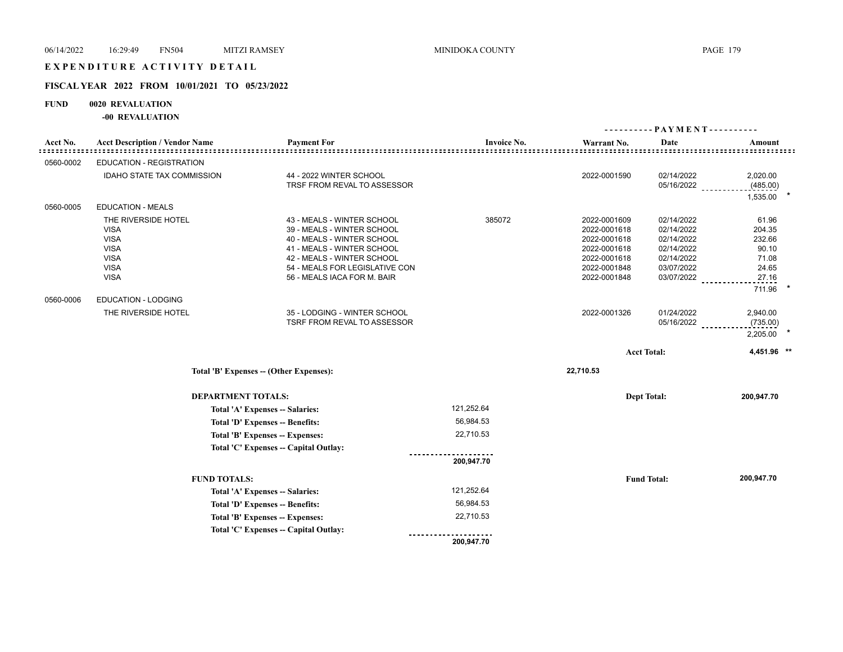# E X P E N D I T U R E A C T I V I T Y D E T A I L

## **FISCAL YEAR 2022 FROM 10/01/2021 TO 05/23/2022**

## **FUND 0020 REVALUATION**

|           |                                                                                                               |                                                                                                                                                                                                                     |                    |                                                                                                              | ---------- PAYMENT----------                                                                   |                                                                         |  |  |
|-----------|---------------------------------------------------------------------------------------------------------------|---------------------------------------------------------------------------------------------------------------------------------------------------------------------------------------------------------------------|--------------------|--------------------------------------------------------------------------------------------------------------|------------------------------------------------------------------------------------------------|-------------------------------------------------------------------------|--|--|
| Acct No.  | <b>Acct Description / Vendor Name</b>                                                                         | <b>Payment For</b>                                                                                                                                                                                                  | <b>Invoice No.</b> | Warrant No.                                                                                                  | Date                                                                                           | Amount                                                                  |  |  |
| 0560-0002 | <b>EDUCATION - REGISTRATION</b>                                                                               |                                                                                                                                                                                                                     |                    |                                                                                                              |                                                                                                |                                                                         |  |  |
|           | <b>IDAHO STATE TAX COMMISSION</b>                                                                             | 44 - 2022 WINTER SCHOOL<br>TRSF FROM REVAL TO ASSESSOR                                                                                                                                                              |                    | 2022-0001590                                                                                                 | 02/14/2022<br>05/16/2022                                                                       | 2,020.00<br>(485.00)<br>1,535.00                                        |  |  |
| 0560-0005 | <b>EDUCATION - MEALS</b>                                                                                      |                                                                                                                                                                                                                     |                    |                                                                                                              |                                                                                                |                                                                         |  |  |
|           | THE RIVERSIDE HOTEL<br><b>VISA</b><br><b>VISA</b><br><b>VISA</b><br><b>VISA</b><br><b>VISA</b><br><b>VISA</b> | 43 - MEALS - WINTER SCHOOL<br>39 - MEALS - WINTER SCHOOL<br>40 - MEALS - WINTER SCHOOL<br>41 - MEALS - WINTER SCHOOL<br>42 - MEALS - WINTER SCHOOL<br>54 - MEALS FOR LEGISLATIVE CON<br>56 - MEALS IACA FOR M. BAIR | 385072             | 2022-0001609<br>2022-0001618<br>2022-0001618<br>2022-0001618<br>2022-0001618<br>2022-0001848<br>2022-0001848 | 02/14/2022<br>02/14/2022<br>02/14/2022<br>02/14/2022<br>02/14/2022<br>03/07/2022<br>03/07/2022 | 61.96<br>204.35<br>232.66<br>90.10<br>71.08<br>24.65<br>27.16<br>711.96 |  |  |
| 0560-0006 | EDUCATION - LODGING                                                                                           |                                                                                                                                                                                                                     |                    |                                                                                                              |                                                                                                |                                                                         |  |  |
|           | THE RIVERSIDE HOTEL                                                                                           | 35 - LODGING - WINTER SCHOOL<br>TSRF FROM REVAL TO ASSESSOR                                                                                                                                                         |                    | 2022-0001326                                                                                                 | 01/24/2022<br>05/16/2022                                                                       | 2,940.00<br>(735.00)<br>2,205.00                                        |  |  |
|           |                                                                                                               |                                                                                                                                                                                                                     |                    |                                                                                                              | <b>Acct Total:</b>                                                                             | 4,451.96 **                                                             |  |  |
|           |                                                                                                               | Total 'B' Expenses -- (Other Expenses):                                                                                                                                                                             |                    | 22,710.53                                                                                                    |                                                                                                |                                                                         |  |  |
|           | <b>DEPARTMENT TOTALS:</b>                                                                                     |                                                                                                                                                                                                                     |                    |                                                                                                              | <b>Dept Total:</b>                                                                             | 200,947.70                                                              |  |  |
|           |                                                                                                               | Total 'A' Expenses -- Salaries:                                                                                                                                                                                     | 121,252.64         |                                                                                                              |                                                                                                |                                                                         |  |  |
|           |                                                                                                               | Total 'D' Expenses -- Benefits:                                                                                                                                                                                     | 56,984.53          |                                                                                                              |                                                                                                |                                                                         |  |  |
|           |                                                                                                               | Total 'B' Expenses -- Expenses:                                                                                                                                                                                     | 22,710.53          |                                                                                                              |                                                                                                |                                                                         |  |  |
|           |                                                                                                               | Total 'C' Expenses -- Capital Outlay:                                                                                                                                                                               |                    |                                                                                                              |                                                                                                |                                                                         |  |  |
|           |                                                                                                               |                                                                                                                                                                                                                     | 200,947.70         |                                                                                                              |                                                                                                |                                                                         |  |  |
|           | <b>FUND TOTALS:</b>                                                                                           |                                                                                                                                                                                                                     |                    |                                                                                                              | <b>Fund Total:</b>                                                                             | 200,947.70                                                              |  |  |
|           | Total 'A' Expenses -- Salaries:                                                                               |                                                                                                                                                                                                                     | 121,252.64         |                                                                                                              |                                                                                                |                                                                         |  |  |
|           |                                                                                                               | Total 'D' Expenses -- Benefits:                                                                                                                                                                                     | 56,984.53          |                                                                                                              |                                                                                                |                                                                         |  |  |
|           |                                                                                                               | Total 'B' Expenses -- Expenses:                                                                                                                                                                                     | 22,710.53          |                                                                                                              |                                                                                                |                                                                         |  |  |
|           |                                                                                                               | Total 'C' Expenses -- Capital Outlay:                                                                                                                                                                               |                    |                                                                                                              |                                                                                                |                                                                         |  |  |
|           |                                                                                                               |                                                                                                                                                                                                                     | 200,947.70         |                                                                                                              |                                                                                                |                                                                         |  |  |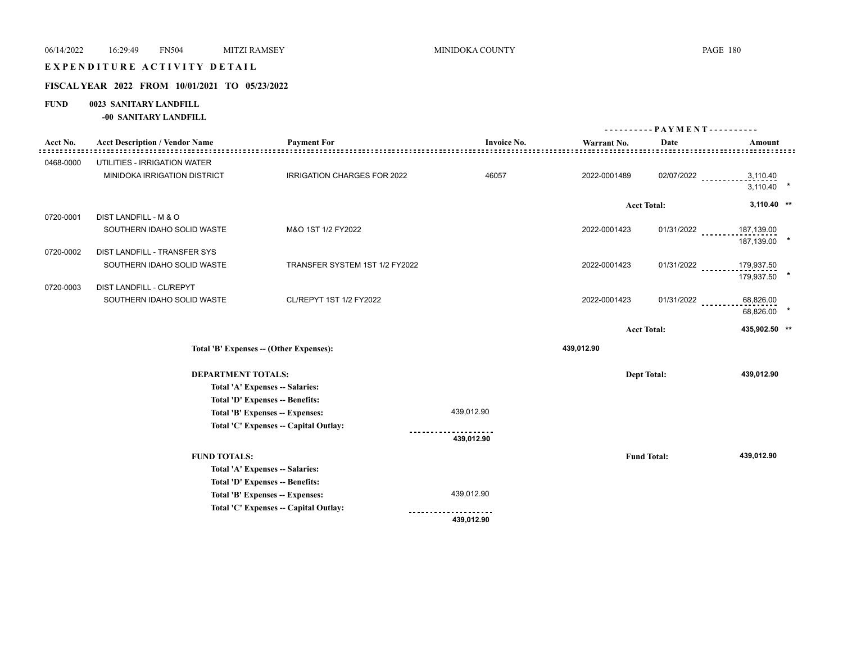# EXPENDITURE ACTIVITY DETAIL

## **FISCAL YEAR 2022 FROM 10/01/2021 TO 05/23/2022**

## **FUND 0023 SANITARY LANDFILL**

**-00 SANITARY LANDFILL**

|           |                                                        |                                        |                    |                    | ---------- PAYMENT---------- |                                |
|-----------|--------------------------------------------------------|----------------------------------------|--------------------|--------------------|------------------------------|--------------------------------|
| Acct No.  | <b>Acct Description / Vendor Name</b>                  | <b>Payment For</b>                     | <b>Invoice No.</b> | Warrant No.        | Date                         | Amount                         |
| 0468-0000 | UTILITIES - IRRIGATION WATER                           |                                        |                    |                    |                              |                                |
|           | MINIDOKA IRRIGATION DISTRICT                           | <b>IRRIGATION CHARGES FOR 2022</b>     | 46057              | 2022-0001489       | 02/07/2022                   | 3,110.40<br>3,110.40           |
|           |                                                        |                                        |                    | <b>Acct Total:</b> |                              | $3,110.40$ **                  |
| 0720-0001 | DIST LANDFILL - M & O                                  |                                        |                    |                    |                              |                                |
|           | SOUTHERN IDAHO SOLID WASTE                             | M&O 1ST 1/2 FY2022                     |                    | 2022-0001423       | $01/31/2022$                 | 187,139.00<br>187,139.00       |
| 0720-0002 | DIST LANDFILL - TRANSFER SYS                           |                                        |                    |                    |                              |                                |
|           | SOUTHERN IDAHO SOLID WASTE                             | TRANSFER SYSTEM 1ST 1/2 FY2022         |                    | 2022-0001423       |                              | 01/31/2022 _________179,937.50 |
|           |                                                        |                                        |                    |                    |                              | 179,937.50                     |
| 0720-0003 | DIST LANDFILL - CL/REPYT<br>SOUTHERN IDAHO SOLID WASTE | CL/REPYT 1ST 1/2 FY2022                |                    | 2022-0001423       | 01/31/2022                   | 68,826.00                      |
|           |                                                        |                                        |                    |                    |                              | 68,826.00                      |
|           |                                                        |                                        |                    | <b>Acct Total:</b> |                              | 435,902.50 **                  |
|           |                                                        |                                        |                    | 439,012.90         |                              |                                |
|           |                                                        | Total 'B' Expenses - (Other Expenses): |                    |                    |                              |                                |
|           | <b>DEPARTMENT TOTALS:</b>                              |                                        |                    | <b>Dept Total:</b> |                              | 439,012.90                     |
|           |                                                        | Total 'A' Expenses -- Salaries:        |                    |                    |                              |                                |
|           |                                                        | Total 'D' Expenses -- Benefits:        |                    |                    |                              |                                |
|           |                                                        | Total 'B' Expenses -- Expenses:        | 439,012.90         |                    |                              |                                |
|           |                                                        | Total 'C' Expenses - Capital Outlay:   |                    |                    |                              |                                |
|           |                                                        |                                        | 439,012.90         |                    |                              |                                |
|           | <b>FUND TOTALS:</b>                                    |                                        |                    | <b>Fund Total:</b> |                              | 439,012.90                     |
|           |                                                        | Total 'A' Expenses -- Salaries:        |                    |                    |                              |                                |
|           |                                                        | Total 'D' Expenses -- Benefits:        |                    |                    |                              |                                |
|           |                                                        | Total 'B' Expenses -- Expenses:        | 439,012.90         |                    |                              |                                |
|           |                                                        | Total 'C' Expenses - Capital Outlay:   |                    |                    |                              |                                |
|           |                                                        |                                        | 439,012.90         |                    |                              |                                |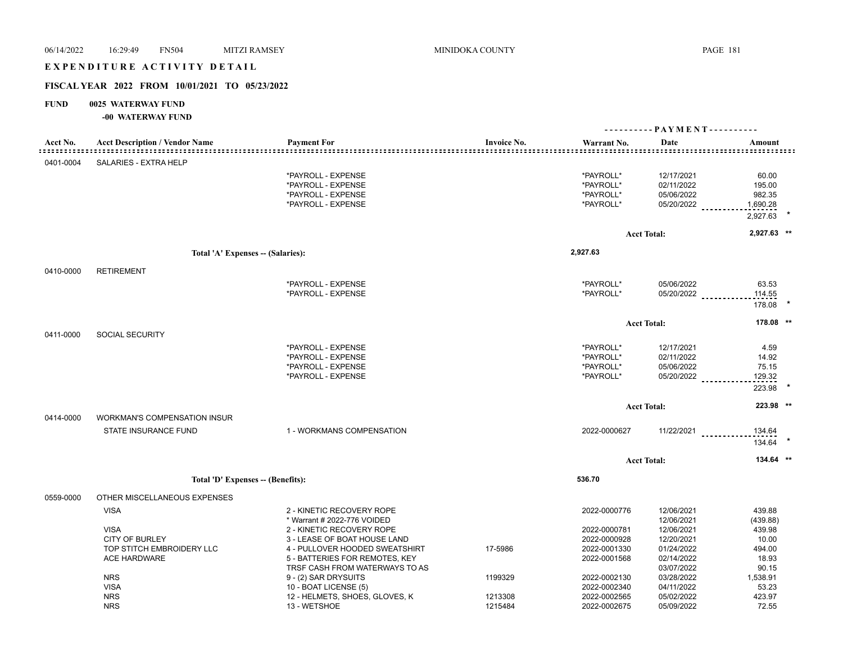# EXPENDITURE ACTIVITY DETAIL

# **FISCAL YEAR 2022 FROM 10/01/2021 TO 05/23/2022**

# **FUND 0025 WATERWAY FUND**

# **-00 WATERWAY FUND**

|                                   |                                       |                                |                                     |                                                            | ---------- PAYMENT---------- |                            |  |
|-----------------------------------|---------------------------------------|--------------------------------|-------------------------------------|------------------------------------------------------------|------------------------------|----------------------------|--|
| Acct No.<br>: : : : : : : : : : : | <b>Acct Description / Vendor Name</b> | <b>Payment For</b>             | <b>Invoice No.</b><br>------------- | Warrant No.<br><u>====================================</u> | Date                         | Amount<br>================ |  |
| 0401-0004                         | SALARIES - EXTRA HELP                 |                                |                                     |                                                            |                              |                            |  |
|                                   |                                       | *PAYROLL - EXPENSE             |                                     | *PAYROLL*                                                  | 12/17/2021                   | 60.00                      |  |
|                                   |                                       | *PAYROLL - EXPENSE             |                                     | *PAYROLL*                                                  | 02/11/2022                   | 195.00                     |  |
|                                   |                                       | *PAYROLL - EXPENSE             |                                     | *PAYROLL*                                                  | 05/06/2022                   | 982.35                     |  |
|                                   |                                       | *PAYROLL - EXPENSE             |                                     | *PAYROLL*                                                  | 05/20/2022                   | 1,690.28                   |  |
|                                   |                                       |                                |                                     |                                                            |                              | 2,927.63                   |  |
|                                   |                                       |                                |                                     |                                                            |                              |                            |  |
|                                   |                                       |                                |                                     |                                                            | <b>Acct Total:</b>           | 2,927.63 **                |  |
|                                   | Total 'A' Expenses - (Salaries):      |                                |                                     | 2,927.63                                                   |                              |                            |  |
| 0410-0000                         | <b>RETIREMENT</b>                     |                                |                                     |                                                            |                              |                            |  |
|                                   |                                       | *PAYROLL - EXPENSE             |                                     | *PAYROLL*                                                  | 05/06/2022                   | 63.53                      |  |
|                                   |                                       | *PAYROLL - EXPENSE             |                                     | *PAYROLL*                                                  | 05/20/2022 __________        | 114.55                     |  |
|                                   |                                       |                                |                                     |                                                            |                              | 178.08                     |  |
|                                   |                                       |                                |                                     |                                                            | <b>Acct Total:</b>           | 178.08 **                  |  |
| 0411-0000                         | <b>SOCIAL SECURITY</b>                |                                |                                     |                                                            |                              |                            |  |
|                                   |                                       | *PAYROLL - EXPENSE             |                                     | *PAYROLL*                                                  | 12/17/2021                   | 4.59                       |  |
|                                   |                                       | *PAYROLL - EXPENSE             |                                     | *PAYROLL*                                                  | 02/11/2022                   | 14.92                      |  |
|                                   |                                       | *PAYROLL - EXPENSE             |                                     | *PAYROLL*                                                  | 05/06/2022                   | 75.15                      |  |
|                                   |                                       | *PAYROLL - EXPENSE             |                                     | *PAYROLL*                                                  | $05/20/2022$                 | 129.32                     |  |
|                                   |                                       |                                |                                     |                                                            |                              | 223.98                     |  |
|                                   |                                       |                                |                                     |                                                            | <b>Acct Total:</b>           | 223.98 **                  |  |
| 0414-0000                         | <b>WORKMAN'S COMPENSATION INSUR</b>   |                                |                                     |                                                            |                              |                            |  |
|                                   | STATE INSURANCE FUND                  | 1 - WORKMANS COMPENSATION      |                                     | 2022-0000627                                               | 11/22/2021                   | 134.64                     |  |
|                                   |                                       |                                |                                     |                                                            |                              | 134.64                     |  |
|                                   |                                       |                                |                                     |                                                            | <b>Acct Total:</b>           | 134.64 **                  |  |
|                                   |                                       |                                |                                     | 536.70                                                     |                              |                            |  |
|                                   | Total 'D' Expenses -- (Benefits):     |                                |                                     |                                                            |                              |                            |  |
| 0559-0000                         | OTHER MISCELLANEOUS EXPENSES          |                                |                                     |                                                            |                              |                            |  |
|                                   | <b>VISA</b>                           | 2 - KINETIC RECOVERY ROPE      |                                     | 2022-0000776                                               | 12/06/2021                   | 439.88                     |  |
|                                   |                                       | * Warrant # 2022-776 VOIDED    |                                     |                                                            | 12/06/2021                   | (439.88)                   |  |
|                                   | <b>VISA</b>                           | 2 - KINETIC RECOVERY ROPE      |                                     | 2022-0000781                                               | 12/06/2021                   | 439.98                     |  |
|                                   | <b>CITY OF BURLEY</b>                 | 3 - LEASE OF BOAT HOUSE LAND   |                                     | 2022-0000928                                               | 12/20/2021                   | 10.00                      |  |
|                                   | TOP STITCH EMBROIDERY LLC             | 4 - PULLOVER HOODED SWEATSHIRT | 17-5986                             | 2022-0001330                                               | 01/24/2022                   | 494.00                     |  |
|                                   | <b>ACE HARDWARE</b>                   | 5 - BATTERIES FOR REMOTES, KEY |                                     | 2022-0001568                                               | 02/14/2022                   | 18.93                      |  |
|                                   |                                       | TRSF CASH FROM WATERWAYS TO AS |                                     |                                                            | 03/07/2022                   | 90.15                      |  |
|                                   | <b>NRS</b>                            | 9 - (2) SAR DRYSUITS           | 1199329                             | 2022-0002130                                               | 03/28/2022                   | 1,538.91                   |  |
|                                   | <b>VISA</b>                           | 10 - BOAT LICENSE (5)          |                                     | 2022-0002340                                               | 04/11/2022                   | 53.23                      |  |
|                                   | <b>NRS</b>                            | 12 - HELMETS, SHOES, GLOVES, K | 1213308                             | 2022-0002565                                               | 05/02/2022                   | 423.97                     |  |
|                                   | <b>NRS</b>                            | 13 - WETSHOE                   | 1215484                             | 2022-0002675                                               | 05/09/2022                   | 72.55                      |  |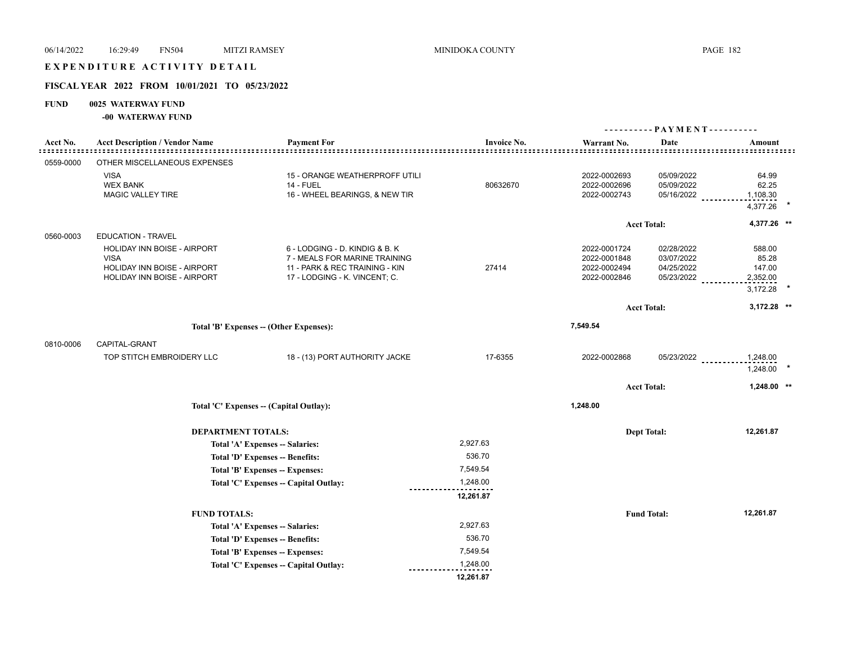## EXPENDITURE ACTIVITY DETAIL

# **FISCAL YEAR 2022 FROM 10/01/2021 TO 05/23/2022**

# **FUND 0025 WATERWAY FUND**

**-00 WATERWAY FUND**

|           |                                       |                                                                    |                    | ---------- PAYMENT---------- |                    |                                                 |
|-----------|---------------------------------------|--------------------------------------------------------------------|--------------------|------------------------------|--------------------|-------------------------------------------------|
| Acct No.  | <b>Acct Description / Vendor Name</b> | <b>Payment For</b>                                                 | <b>Invoice No.</b> | Warrant No.                  | Date               | Amount<br><u> -----------------------------</u> |
| 0559-0000 | OTHER MISCELLANEOUS EXPENSES          |                                                                    |                    |                              |                    |                                                 |
|           | <b>VISA</b>                           | 15 - ORANGE WEATHERPROFF UTILI                                     |                    | 2022-0002693                 | 05/09/2022         | 64.99                                           |
|           | <b>WEX BANK</b>                       | 14 - FUEL                                                          | 80632670           | 2022-0002696                 | 05/09/2022         | 62.25                                           |
|           | MAGIC VALLEY TIRE                     | 16 - WHEEL BEARINGS, & NEW TIR                                     |                    | 2022-0002743                 | 05/16/2022         | 1,108.30                                        |
|           |                                       |                                                                    |                    |                              |                    | 4,377.26                                        |
|           |                                       |                                                                    |                    |                              | <b>Acct Total:</b> | 4,377.26 *                                      |
| 0560-0003 | <b>EDUCATION - TRAVEL</b>             |                                                                    |                    |                              |                    |                                                 |
|           | HOLIDAY INN BOISE - AIRPORT           | 6 - LODGING - D. KINDIG & B. K                                     |                    | 2022-0001724                 | 02/28/2022         | 588.00                                          |
|           | <b>VISA</b>                           | 7 - MEALS FOR MARINE TRAINING                                      |                    | 2022-0001848                 | 03/07/2022         | 85.28                                           |
|           | HOLIDAY INN BOISE - AIRPORT           | 11 - PARK & REC TRAINING - KIN                                     | 27414              | 2022-0002494                 | 04/25/2022         | 147.00                                          |
|           | HOLIDAY INN BOISE - AIRPORT           | 17 - LODGING - K. VINCENT; C.                                      |                    | 2022-0002846                 | 05/23/2022         | 2,352.00                                        |
|           |                                       |                                                                    |                    |                              |                    | 3,172.28                                        |
|           |                                       |                                                                    |                    |                              | <b>Acct Total:</b> | 3,172.28 **                                     |
|           |                                       | Total 'B' Expenses -- (Other Expenses):                            |                    | 7,549.54                     |                    |                                                 |
| 0810-0006 | CAPITAL-GRANT                         |                                                                    |                    |                              |                    |                                                 |
|           |                                       |                                                                    | 17-6355            | 2022-0002868                 |                    |                                                 |
|           | TOP STITCH EMBROIDERY LLC             | 18 - (13) PORT AUTHORITY JACKE                                     |                    |                              | 05/23/2022         | 1,248.00<br>1,248.00                            |
|           |                                       |                                                                    |                    |                              | <b>Acct Total:</b> | 1,248.00 **                                     |
|           |                                       | Total 'C' Expenses -- (Capital Outlay):                            |                    | 1,248.00                     |                    |                                                 |
|           |                                       |                                                                    |                    |                              |                    |                                                 |
|           | <b>DEPARTMENT TOTALS:</b>             |                                                                    | 2,927.63           |                              | <b>Dept Total:</b> | 12,261.87                                       |
|           |                                       | Total 'A' Expenses -- Salaries:<br>Total 'D' Expenses -- Benefits: | 536.70             |                              |                    |                                                 |
|           |                                       | Total 'B' Expenses -- Expenses:                                    | 7,549.54           |                              |                    |                                                 |
|           |                                       | Total 'C' Expenses -- Capital Outlay:                              | 1,248.00           |                              |                    |                                                 |
|           |                                       |                                                                    | 12,261.87          |                              |                    |                                                 |
|           | <b>FUND TOTALS:</b>                   |                                                                    |                    |                              | <b>Fund Total:</b> | 12,261.87                                       |
|           |                                       | Total 'A' Expenses -- Salaries:                                    | 2,927.63           |                              |                    |                                                 |
|           |                                       | Total 'D' Expenses -- Benefits:                                    | 536.70             |                              |                    |                                                 |
|           |                                       | Total 'B' Expenses -- Expenses:                                    | 7,549.54           |                              |                    |                                                 |
|           |                                       | Total 'C' Expenses -- Capital Outlay:                              | 1,248.00           |                              |                    |                                                 |
|           |                                       |                                                                    | 12,261.87          |                              |                    |                                                 |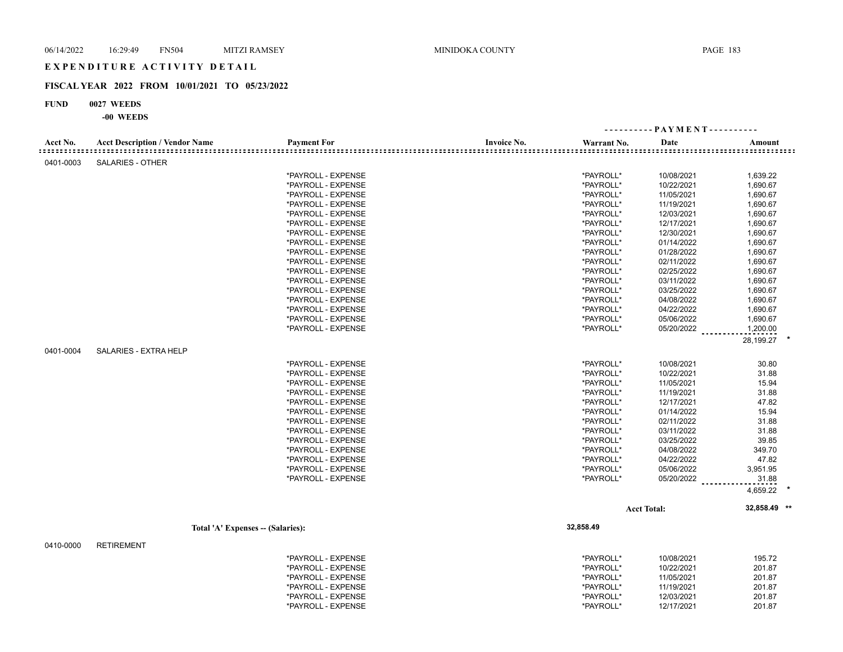## EXPENDITURE ACTIVITY DETAIL

## **FISCAL YEAR 2022 FROM 10/01/2021 TO 05/23/2022**

#### **FUND 0027 WEEDS**

**-00 WEEDS**

| Acct No.  | <b>Acct Description / Vendor Name</b> | <b>Payment For</b>                | <b>Invoice No.</b> | Warrant No. | Date               | Amount                   |  |
|-----------|---------------------------------------|-----------------------------------|--------------------|-------------|--------------------|--------------------------|--|
| ::::::::: |                                       |                                   |                    |             |                    | <u>=================</u> |  |
| 0401-0003 | <b>SALARIES - OTHER</b>               |                                   |                    |             |                    |                          |  |
|           |                                       | *PAYROLL - EXPENSE                |                    | *PAYROLL*   | 10/08/2021         | 1,639.22                 |  |
|           |                                       | *PAYROLL - EXPENSE                |                    | *PAYROLL*   | 10/22/2021         | 1,690.67                 |  |
|           |                                       | *PAYROLL - EXPENSE                |                    | *PAYROLL*   | 11/05/2021         | 1,690.67                 |  |
|           |                                       | *PAYROLL - EXPENSE                |                    | *PAYROLL*   | 11/19/2021         | 1,690.67                 |  |
|           |                                       | *PAYROLL - EXPENSE                |                    | *PAYROLL*   | 12/03/2021         | 1,690.67                 |  |
|           |                                       | *PAYROLL - EXPENSE                |                    | *PAYROLL*   | 12/17/2021         | 1,690.67                 |  |
|           |                                       | *PAYROLL - EXPENSE                |                    | *PAYROLL*   | 12/30/2021         | 1,690.67                 |  |
|           |                                       | *PAYROLL - EXPENSE                |                    | *PAYROLL*   | 01/14/2022         | 1,690.67                 |  |
|           |                                       | *PAYROLL - EXPENSE                |                    | *PAYROLL*   | 01/28/2022         | 1,690.67                 |  |
|           |                                       | *PAYROLL - EXPENSE                |                    | *PAYROLL*   | 02/11/2022         | 1,690.67                 |  |
|           |                                       | *PAYROLL - EXPENSE                |                    | *PAYROLL*   | 02/25/2022         | 1,690.67                 |  |
|           |                                       | *PAYROLL - EXPENSE                |                    | *PAYROLL*   | 03/11/2022         | 1,690.67                 |  |
|           |                                       | *PAYROLL - EXPENSE                |                    | *PAYROLL*   | 03/25/2022         | 1,690.67                 |  |
|           |                                       | *PAYROLL - EXPENSE                |                    | *PAYROLL*   | 04/08/2022         | 1,690.67                 |  |
|           |                                       | *PAYROLL - EXPENSE                |                    | *PAYROLL*   | 04/22/2022         | 1,690.67                 |  |
|           |                                       | *PAYROLL - EXPENSE                |                    | *PAYROLL*   | 05/06/2022         | 1,690.67                 |  |
|           |                                       | *PAYROLL - EXPENSE                |                    | *PAYROLL*   | 05/20/2022         | 1,200.00                 |  |
|           |                                       |                                   |                    |             |                    | 28,199.27                |  |
| 0401-0004 | SALARIES - EXTRA HELP                 |                                   |                    |             |                    |                          |  |
|           |                                       | *PAYROLL - EXPENSE                |                    | *PAYROLL*   | 10/08/2021         | 30.80                    |  |
|           |                                       | *PAYROLL - EXPENSE                |                    | *PAYROLL*   | 10/22/2021         | 31.88                    |  |
|           |                                       | *PAYROLL - EXPENSE                |                    | *PAYROLL*   | 11/05/2021         | 15.94                    |  |
|           |                                       | *PAYROLL - EXPENSE                |                    | *PAYROLL*   | 11/19/2021         | 31.88                    |  |
|           |                                       | *PAYROLL - EXPENSE                |                    | *PAYROLL*   | 12/17/2021         | 47.82                    |  |
|           |                                       | *PAYROLL - EXPENSE                |                    | *PAYROLL*   | 01/14/2022         | 15.94                    |  |
|           |                                       | *PAYROLL - EXPENSE                |                    | *PAYROLL*   | 02/11/2022         | 31.88                    |  |
|           |                                       | *PAYROLL - EXPENSE                |                    | *PAYROLL*   | 03/11/2022         | 31.88                    |  |
|           |                                       | *PAYROLL - EXPENSE                |                    | *PAYROLL*   | 03/25/2022         | 39.85                    |  |
|           |                                       | *PAYROLL - EXPENSE                |                    | *PAYROLL*   | 04/08/2022         | 349.70                   |  |
|           |                                       | *PAYROLL - EXPENSE                |                    | *PAYROLL*   | 04/22/2022         | 47.82                    |  |
|           |                                       | *PAYROLL - EXPENSE                |                    | *PAYROLL*   | 05/06/2022         | 3,951.95                 |  |
|           |                                       | *PAYROLL - EXPENSE                |                    | *PAYROLL*   | 05/20/2022         | 31.88                    |  |
|           |                                       |                                   |                    |             |                    | 4,659.22                 |  |
|           |                                       |                                   |                    |             |                    |                          |  |
|           |                                       |                                   |                    |             | <b>Acct Total:</b> | 32,858.49 **             |  |
|           |                                       | Total 'A' Expenses -- (Salaries): |                    | 32,858.49   |                    |                          |  |
| 0410-0000 | <b>RETIREMENT</b>                     |                                   |                    |             |                    |                          |  |
|           |                                       | *PAYROLL - EXPENSE                |                    | *PAYROLL*   | 10/08/2021         | 195.72                   |  |
|           |                                       | *PAYROLL - EXPENSE                |                    | *PAYROLL*   | 10/22/2021         | 201.87                   |  |
|           |                                       | *PAYROLL - EXPENSE                |                    | *PAYROLL*   | 11/05/2021         | 201.87                   |  |

\*PAYROLL - EXPENSE \*PAYROLL\* 11/19/2021 201.87 \*PAYROLL - EXPENSE \*PAYROLL\* 12/03/2021 201.87 \*PAYROLL - EXPENSE \*PAYROLL\* 12/17/2021 201.87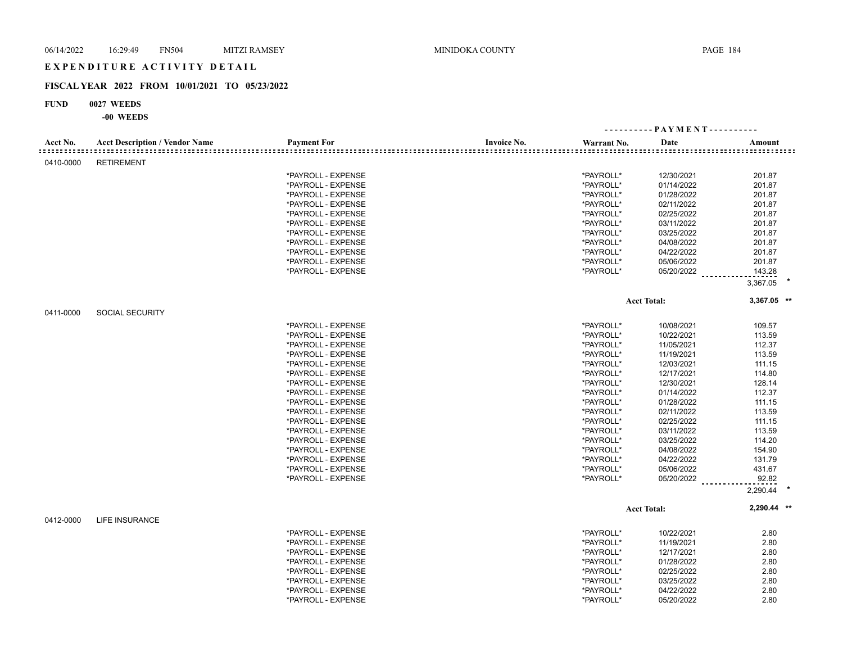# E X P E N D I T U R E A C T I V I T Y D E T A I L

# **FISCAL YEAR 2022 FROM 10/01/2021 TO 05/23/2022**

## **FUND 0027 WEEDS**

# **-00 WEEDS**

|           |                                       |                    |                    |             | ---------- PAYMENT---------- |                     |
|-----------|---------------------------------------|--------------------|--------------------|-------------|------------------------------|---------------------|
| Acct No.  | <b>Acct Description / Vendor Name</b> | <b>Payment For</b> | <b>Invoice No.</b> | Warrant No. | Date                         | Amount              |
| 0410-0000 | <b>RETIREMENT</b>                     |                    |                    |             |                              |                     |
|           |                                       | *PAYROLL - EXPENSE |                    | *PAYROLL*   | 12/30/2021                   | 201.87              |
|           |                                       | *PAYROLL - EXPENSE |                    | *PAYROLL*   | 01/14/2022                   | 201.87              |
|           |                                       | *PAYROLL - EXPENSE |                    | *PAYROLL*   | 01/28/2022                   | 201.87              |
|           |                                       | *PAYROLL - EXPENSE |                    | *PAYROLL*   | 02/11/2022                   | 201.87              |
|           |                                       | *PAYROLL - EXPENSE |                    | *PAYROLL*   | 02/25/2022                   | 201.87              |
|           |                                       | *PAYROLL - EXPENSE |                    | *PAYROLL*   | 03/11/2022                   | 201.87              |
|           |                                       | *PAYROLL - EXPENSE |                    | *PAYROLL*   | 03/25/2022                   | 201.87              |
|           |                                       | *PAYROLL - EXPENSE |                    | *PAYROLL*   | 04/08/2022                   | 201.87              |
|           |                                       | *PAYROLL - EXPENSE |                    | *PAYROLL*   | 04/22/2022                   | 201.87              |
|           |                                       | *PAYROLL - EXPENSE |                    | *PAYROLL*   | 05/06/2022                   | 201.87              |
|           |                                       | *PAYROLL - EXPENSE |                    | *PAYROLL*   | 05/20/2022                   | 143.28              |
|           |                                       |                    |                    |             |                              | 3,367.05            |
|           |                                       |                    |                    |             | <b>Acct Total:</b>           | 3,367.05 **         |
| 0411-0000 | <b>SOCIAL SECURITY</b>                |                    |                    |             |                              |                     |
|           |                                       | *PAYROLL - EXPENSE |                    | *PAYROLL*   | 10/08/2021                   | 109.57              |
|           |                                       | *PAYROLL - EXPENSE |                    | *PAYROLL*   | 10/22/2021                   | 113.59              |
|           |                                       | *PAYROLL - EXPENSE |                    | *PAYROLL*   | 11/05/2021                   | 112.37              |
|           |                                       | *PAYROLL - EXPENSE |                    | *PAYROLL*   | 11/19/2021                   | 113.59              |
|           |                                       | *PAYROLL - EXPENSE |                    | *PAYROLL*   | 12/03/2021                   | 111.15              |
|           |                                       | *PAYROLL - EXPENSE |                    | *PAYROLL*   | 12/17/2021                   | 114.80              |
|           |                                       | *PAYROLL - EXPENSE |                    | *PAYROLL*   | 12/30/2021                   | 128.14              |
|           |                                       | *PAYROLL - EXPENSE |                    | *PAYROLL*   | 01/14/2022                   | 112.37              |
|           |                                       | *PAYROLL - EXPENSE |                    | *PAYROLL*   | 01/28/2022                   | 111.15              |
|           |                                       |                    |                    | *PAYROLL*   | 02/11/2022                   | 113.59              |
|           |                                       | *PAYROLL - EXPENSE |                    |             |                              |                     |
|           |                                       | *PAYROLL - EXPENSE |                    | *PAYROLL*   | 02/25/2022                   | 111.15<br>113.59    |
|           |                                       | *PAYROLL - EXPENSE |                    | *PAYROLL*   | 03/11/2022                   |                     |
|           |                                       | *PAYROLL - EXPENSE |                    | *PAYROLL*   | 03/25/2022                   | 114.20              |
|           |                                       | *PAYROLL - EXPENSE |                    | *PAYROLL*   | 04/08/2022                   | 154.90              |
|           |                                       | *PAYROLL - EXPENSE |                    | *PAYROLL*   | 04/22/2022                   | 131.79              |
|           |                                       | *PAYROLL - EXPENSE |                    | *PAYROLL*   | 05/06/2022                   | 431.67              |
|           |                                       | *PAYROLL - EXPENSE |                    | *PAYROLL*   | 05/20/2022 ________          | 92.82<br>2,290.44 * |
|           |                                       |                    |                    |             |                              | 2,290.44 **         |
| 0412-0000 | <b>LIFE INSURANCE</b>                 |                    |                    |             | <b>Acct Total:</b>           |                     |
|           |                                       |                    |                    |             |                              |                     |
|           |                                       | *PAYROLL - EXPENSE |                    | *PAYROLL*   | 10/22/2021                   | 2.80                |
|           |                                       | *PAYROLL - EXPENSE |                    | *PAYROLL*   | 11/19/2021                   | 2.80                |
|           |                                       | *PAYROLL - EXPENSE |                    | *PAYROLL*   | 12/17/2021                   | 2.80                |
|           |                                       | *PAYROLL - EXPENSE |                    | *PAYROLL*   | 01/28/2022                   | 2.80                |
|           |                                       | *PAYROLL - EXPENSE |                    | *PAYROLL*   | 02/25/2022                   | 2.80                |
|           |                                       | *PAYROLL - EXPENSE |                    | *PAYROLL*   | 03/25/2022                   | 2.80                |
|           |                                       | *PAYROLL - EXPENSE |                    | *PAYROLL*   | 04/22/2022                   | 2.80                |
|           |                                       | *PAYROLL - EXPENSE |                    | *PAYROLL*   | 05/20/2022                   | 2.80                |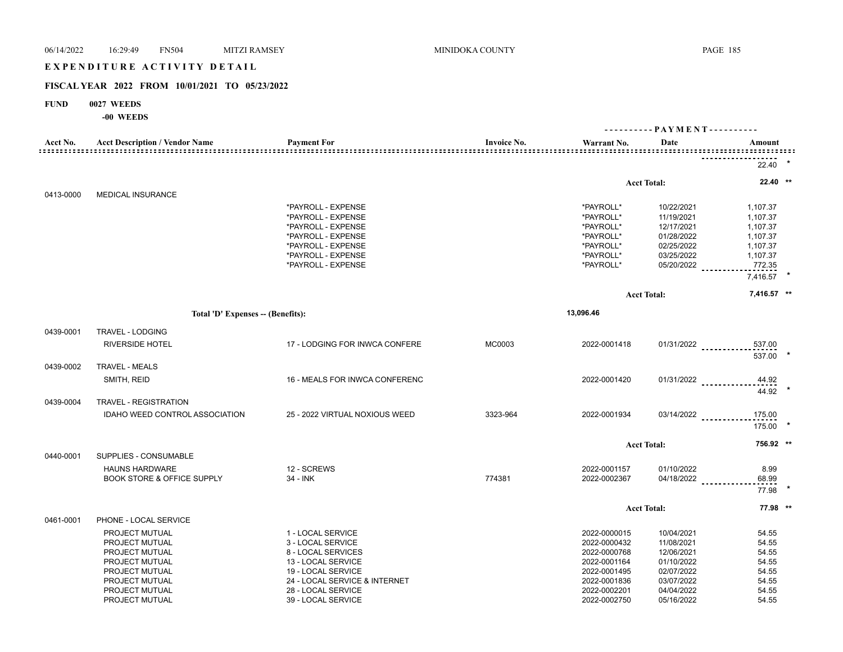# 06/14/2022 16:29:49 FN504 MITZI RAMSEY MINIDOKA COUNTY PAGE 185 EXPENDITURE ACTIVITY DETAIL

### **FISCAL YEAR 2022 FROM 10/01/2021 TO 05/23/2022**

#### **FUND 0027 WEEDS**

**-00 WEEDS**

| Acct No.  | <b>Acct Description / Vendor Name</b> | <b>Payment For</b>             | <b>Invoice No.</b> | Warrant No.  | Date                   | Amount                                    |  |
|-----------|---------------------------------------|--------------------------------|--------------------|--------------|------------------------|-------------------------------------------|--|
|           |                                       |                                |                    |              |                        |                                           |  |
|           |                                       |                                |                    |              |                        | 22.40                                     |  |
|           |                                       |                                |                    |              | <b>Acct Total:</b>     | 22.40 **                                  |  |
| 0413-0000 | <b>MEDICAL INSURANCE</b>              |                                |                    |              |                        |                                           |  |
|           |                                       | *PAYROLL - EXPENSE             |                    | *PAYROLL*    | 10/22/2021             | 1,107.37                                  |  |
|           |                                       | *PAYROLL - EXPENSE             |                    | *PAYROLL*    | 11/19/2021             | 1,107.37                                  |  |
|           |                                       | *PAYROLL - EXPENSE             |                    | *PAYROLL*    | 12/17/2021             | 1,107.37                                  |  |
|           |                                       | *PAYROLL - EXPENSE             |                    | *PAYROLL*    | 01/28/2022             | 1,107.37                                  |  |
|           |                                       | *PAYROLL - EXPENSE             |                    | *PAYROLL*    | 02/25/2022             | 1,107.37                                  |  |
|           |                                       | *PAYROLL - EXPENSE             |                    | *PAYROLL*    | 03/25/2022             | 1,107.37                                  |  |
|           |                                       | *PAYROLL - EXPENSE             |                    | *PAYROLL*    |                        | 05/20/2022 772.35                         |  |
|           |                                       |                                |                    |              |                        | 7,416.57 *                                |  |
|           |                                       |                                |                    |              | <b>Acct Total:</b>     | 7,416.57 **                               |  |
|           | Total 'D' Expenses -- (Benefits):     |                                |                    | 13,096.46    |                        |                                           |  |
|           |                                       |                                |                    |              |                        |                                           |  |
| 0439-0001 | TRAVEL - LODGING                      |                                |                    |              |                        |                                           |  |
|           | <b>RIVERSIDE HOTEL</b>                | 17 - LODGING FOR INWCA CONFERE | MC0003             | 2022-0001418 |                        | 01/31/2022 ____________537.00<br>537.00 * |  |
| 0439-0002 | <b>TRAVEL - MEALS</b>                 |                                |                    |              |                        |                                           |  |
|           | SMITH, REID                           | 16 - MEALS FOR INWCA CONFERENC |                    | 2022-0001420 |                        | 44.92<br>01/31/2022                       |  |
|           |                                       |                                |                    |              |                        | $44.92$ *                                 |  |
| 0439-0004 | TRAVEL - REGISTRATION                 |                                |                    |              |                        |                                           |  |
|           | IDAHO WEED CONTROL ASSOCIATION        | 25 - 2022 VIRTUAL NOXIOUS WEED | 3323-964           | 2022-0001934 | 03/14/2022             | 175.00                                    |  |
|           |                                       |                                |                    |              |                        | 175.00 *                                  |  |
|           |                                       |                                |                    |              | <b>Acct Total:</b>     | 756.92 **                                 |  |
| 0440-0001 | SUPPLIES - CONSUMABLE                 |                                |                    |              |                        |                                           |  |
|           | <b>HAUNS HARDWARE</b>                 | 12 - SCREWS                    |                    | 2022-0001157 | 01/10/2022             | 8.99                                      |  |
|           | <b>BOOK STORE &amp; OFFICE SUPPLY</b> | 34 - INK                       | 774381             | 2022-0002367 | 04/18/2022 ___________ | 68.99                                     |  |
|           |                                       |                                |                    |              |                        | 77.98 *                                   |  |
|           |                                       |                                |                    |              | <b>Acct Total:</b>     | 77.98 **                                  |  |
| 0461-0001 | PHONE - LOCAL SERVICE                 |                                |                    |              |                        |                                           |  |
|           | <b>PROJECT MUTUAL</b>                 | 1 - LOCAL SERVICE              |                    | 2022-0000015 | 10/04/2021             | 54.55                                     |  |
|           | PROJECT MUTUAL                        | 3 - LOCAL SERVICE              |                    | 2022-0000432 | 11/08/2021             | 54.55                                     |  |
|           | PROJECT MUTUAL                        | 8 - LOCAL SERVICES             |                    | 2022-0000768 | 12/06/2021             | 54.55                                     |  |
|           | PROJECT MUTUAL                        | 13 - LOCAL SERVICE             |                    | 2022-0001164 | 01/10/2022             | 54.55                                     |  |
|           | PROJECT MUTUAL                        | 19 - LOCAL SERVICE             |                    | 2022-0001495 | 02/07/2022             | 54.55                                     |  |
|           | PROJECT MUTUAL                        | 24 - LOCAL SERVICE & INTERNET  |                    | 2022-0001836 | 03/07/2022             | 54.55                                     |  |
|           | PROJECT MUTUAL                        | 28 - LOCAL SERVICE             |                    | 2022-0002201 | 04/04/2022             | 54.55                                     |  |
|           | PROJECT MUTUAL                        | 39 - LOCAL SERVICE             |                    | 2022-0002750 | 05/16/2022             | 54.55                                     |  |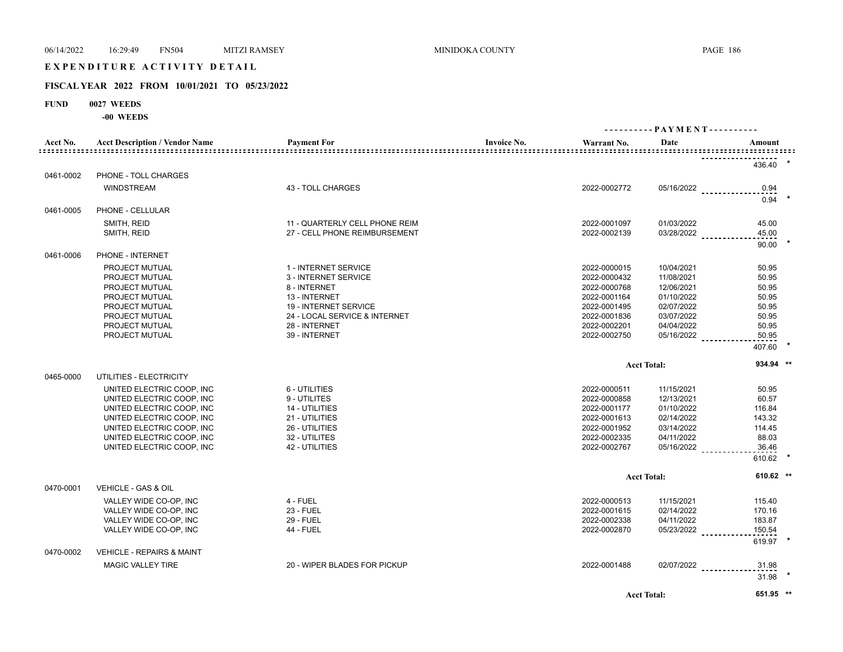# EXPENDITURE ACTIVITY DETAIL

# **FISCAL YEAR 2022 FROM 10/01/2021 TO 05/23/2022**

# **FUND 0027 WEEDS**

**-00 WEEDS**

|           |                                       |                                |                                   | ---------- PAYMENT---------- |                                    |  |
|-----------|---------------------------------------|--------------------------------|-----------------------------------|------------------------------|------------------------------------|--|
| Acct No.  | <b>Acct Description / Vendor Name</b> | <b>Payment For</b>             | <b>Invoice No.</b><br>Warrant No. | Date                         | Amount                             |  |
|           |                                       |                                |                                   |                              | 436.40                             |  |
| 0461-0002 | PHONE - TOLL CHARGES                  |                                |                                   |                              |                                    |  |
|           | <b>WINDSTREAM</b>                     | 43 - TOLL CHARGES              | 2022-0002772                      |                              | $05/16/2022$ _____________<br>0.94 |  |
|           |                                       |                                |                                   |                              | 0.94                               |  |
| 0461-0005 | PHONE - CELLULAR                      |                                |                                   |                              |                                    |  |
|           | SMITH, REID                           | 11 - QUARTERLY CELL PHONE REIM | 2022-0001097                      | 01/03/2022                   | 45.00                              |  |
|           | SMITH, REID                           | 27 - CELL PHONE REIMBURSEMENT  | 2022-0002139                      |                              | 45.00<br>03/28/2022                |  |
| 0461-0006 | PHONE - INTERNET                      |                                |                                   |                              | 90.00                              |  |
|           | PROJECT MUTUAL                        | 1 - INTERNET SERVICE           | 2022-0000015                      | 10/04/2021                   | 50.95                              |  |
|           | PROJECT MUTUAL                        | 3 - INTERNET SERVICE           | 2022-0000432                      | 11/08/2021                   | 50.95                              |  |
|           | PROJECT MUTUAL                        | 8 - INTERNET                   | 2022-0000768                      | 12/06/2021                   | 50.95                              |  |
|           | PROJECT MUTUAL                        | 13 - INTERNET                  | 2022-0001164                      | 01/10/2022                   | 50.95                              |  |
|           | PROJECT MUTUAL                        | 19 - INTERNET SERVICE          | 2022-0001495                      | 02/07/2022                   | 50.95                              |  |
|           | PROJECT MUTUAL                        | 24 - LOCAL SERVICE & INTERNET  | 2022-0001836                      | 03/07/2022                   | 50.95                              |  |
|           | PROJECT MUTUAL                        | 28 - INTERNET                  | 2022-0002201                      | 04/04/2022                   | 50.95                              |  |
|           | PROJECT MUTUAL                        | 39 - INTERNET                  | 2022-0002750                      |                              | 05/16/2022<br>50.95                |  |
|           |                                       |                                |                                   |                              | 407.60                             |  |
|           |                                       |                                |                                   | <b>Acct Total:</b>           | 934.94 **                          |  |
| 0465-0000 | UTILITIES - ELECTRICITY               |                                |                                   |                              |                                    |  |
|           | UNITED ELECTRIC COOP, INC.            | 6 - UTILITIES                  | 2022-0000511                      | 11/15/2021                   | 50.95                              |  |
|           | UNITED ELECTRIC COOP, INC             | 9 - UTILITES                   | 2022-0000858                      | 12/13/2021                   | 60.57                              |  |
|           | UNITED ELECTRIC COOP, INC.            | 14 - UTILITIES                 | 2022-0001177                      | 01/10/2022                   | 116.84                             |  |
|           | UNITED ELECTRIC COOP, INC             | 21 - UTILITIES                 | 2022-0001613                      | 02/14/2022                   | 143.32                             |  |
|           | UNITED ELECTRIC COOP, INC.            | 26 - UTILITIES                 | 2022-0001952                      | 03/14/2022                   | 114.45                             |  |
|           | UNITED ELECTRIC COOP, INC             | 32 - UTILITES                  | 2022-0002335                      | 04/11/2022                   | 88.03                              |  |
|           | UNITED ELECTRIC COOP, INC             | 42 - UTILITIES                 | 2022-0002767                      | 05/16/2022                   | 36.46                              |  |
|           |                                       |                                |                                   |                              | 610.62                             |  |
|           |                                       |                                |                                   |                              |                                    |  |
|           |                                       |                                |                                   | <b>Acct Total:</b>           | 610.62 **                          |  |
| 0470-0001 | VEHICLE - GAS & OIL                   |                                |                                   |                              |                                    |  |
|           | VALLEY WIDE CO-OP, INC                | 4 - FUEL                       | 2022-0000513                      | 11/15/2021                   | 115.40                             |  |
|           | VALLEY WIDE CO-OP, INC                | <b>23 - FUEL</b>               | 2022-0001615                      | 02/14/2022                   | 170.16                             |  |
|           | VALLEY WIDE CO-OP, INC                | <b>29 - FUEL</b>               | 2022-0002338                      | 04/11/2022                   | 183.87                             |  |
|           | VALLEY WIDE CO-OP, INC                | <b>44 - FUEL</b>               | 2022-0002870                      | 05/23/2022                   | 150.54                             |  |
|           |                                       |                                |                                   |                              | 619.97                             |  |
| 0470-0002 | <b>VEHICLE - REPAIRS &amp; MAINT</b>  |                                |                                   |                              |                                    |  |
|           | <b>MAGIC VALLEY TIRE</b>              | 20 - WIPER BLADES FOR PICKUP   | 2022-0001488                      |                              | 02/07/2022<br>31.98                |  |
|           |                                       |                                |                                   |                              | 31.98                              |  |
|           |                                       |                                |                                   | <b>Acct Total:</b>           | 651.95 **                          |  |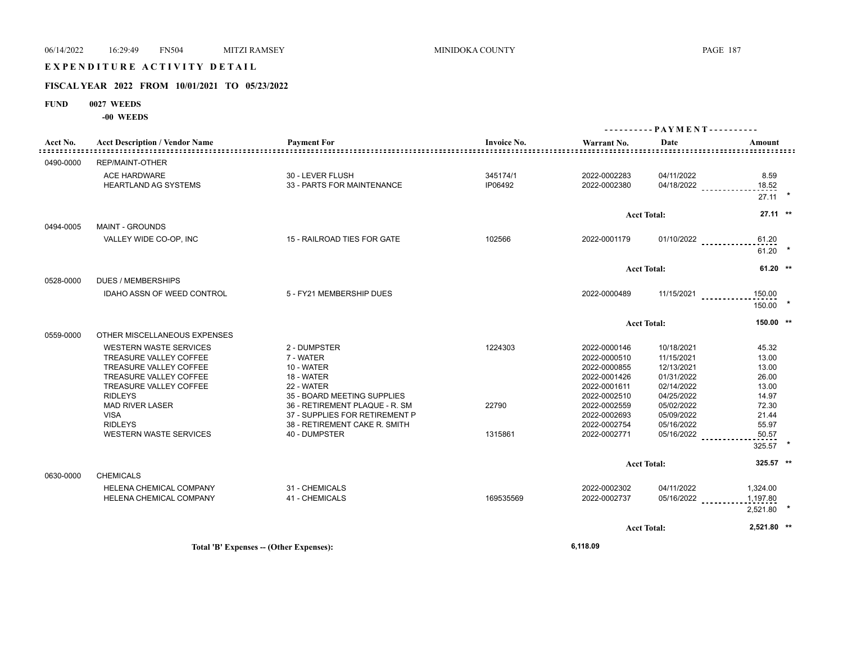# E X P E N D I T U R E A C T I V I T Y D E T A I L

# **FISCAL YEAR 2022 FROM 10/01/2021 TO 05/23/2022**

- **FUND 0027 WEEDS**
	- **-00 WEEDS**

|           |                                       |                                                                 |                    | ---------- PAYMENT---------- |                          |                |  |
|-----------|---------------------------------------|-----------------------------------------------------------------|--------------------|------------------------------|--------------------------|----------------|--|
| Acct No.  | <b>Acct Description / Vendor Name</b> | <b>Payment For</b>                                              | <b>Invoice No.</b> | Warrant No.                  | Date                     | Amount         |  |
| 0490-0000 | <b>REP/MAINT-OTHER</b>                |                                                                 |                    |                              |                          |                |  |
|           | <b>ACE HARDWARE</b>                   | 30 - LEVER FLUSH                                                | 345174/1           | 2022-0002283                 | 04/11/2022               | 8.59           |  |
|           | <b>HEARTLAND AG SYSTEMS</b>           | 33 - PARTS FOR MAINTENANCE                                      | IP06492            | 2022-0002380                 | 04/18/2022               | 18.52          |  |
|           |                                       |                                                                 |                    |                              |                          | $27.11$ *      |  |
|           |                                       |                                                                 |                    |                              | <b>Acct Total:</b>       | $27.11$ **     |  |
| 0494-0005 | <b>MAINT - GROUNDS</b>                |                                                                 |                    |                              |                          |                |  |
|           | VALLEY WIDE CO-OP, INC                | 15 - RAILROAD TIES FOR GATE                                     | 102566             | 2022-0001179                 | $01/10/2022$             | 61.20          |  |
|           |                                       |                                                                 |                    |                              |                          | 61.20          |  |
|           |                                       |                                                                 |                    | <b>Acct Total:</b>           |                          | $61.20$ **     |  |
| 0528-0000 | <b>DUES / MEMBERSHIPS</b>             |                                                                 |                    |                              |                          |                |  |
|           | <b>IDAHO ASSN OF WEED CONTROL</b>     | 5 - FY21 MEMBERSHIP DUES                                        |                    | 2022-0000489                 | $11/15/2021$             | 150.00         |  |
|           |                                       |                                                                 |                    |                              |                          | $150.00$ *     |  |
|           |                                       |                                                                 |                    |                              | <b>Acct Total:</b>       | 150.00 **      |  |
| 0559-0000 | OTHER MISCELLANEOUS EXPENSES          |                                                                 |                    |                              |                          |                |  |
|           | <b>WESTERN WASTE SERVICES</b>         | 2 - DUMPSTER                                                    | 1224303            | 2022-0000146                 | 10/18/2021               | 45.32          |  |
|           | TREASURE VALLEY COFFEE                | 7 - WATER                                                       |                    | 2022-0000510                 | 11/15/2021               | 13.00          |  |
|           | <b>TREASURE VALLEY COFFEE</b>         | 10 - WATER                                                      |                    | 2022-0000855                 | 12/13/2021               | 13.00          |  |
|           | TREASURE VALLEY COFFEE                | 18 - WATER                                                      |                    | 2022-0001426                 | 01/31/2022               | 26.00          |  |
|           | <b>TREASURE VALLEY COFFEE</b>         | 22 - WATER                                                      |                    | 2022-0001611                 | 02/14/2022               | 13.00          |  |
|           | <b>RIDLEYS</b>                        | 35 - BOARD MEETING SUPPLIES                                     |                    | 2022-0002510                 | 04/25/2022               | 14.97          |  |
|           | <b>MAD RIVER LASER</b>                | 36 - RETIREMENT PLAQUE - R. SM                                  | 22790              | 2022-0002559                 | 05/02/2022               | 72.30          |  |
|           | <b>VISA</b><br><b>RIDLEYS</b>         | 37 - SUPPLIES FOR RETIREMENT P<br>38 - RETIREMENT CAKE R. SMITH |                    | 2022-0002693                 | 05/09/2022<br>05/16/2022 | 21.44          |  |
|           | <b>WESTERN WASTE SERVICES</b>         | 40 - DUMPSTER                                                   | 1315861            | 2022-0002754<br>2022-0002771 |                          | 55.97<br>50.57 |  |
|           |                                       |                                                                 |                    |                              | 05/16/2022               |                |  |
|           |                                       |                                                                 |                    |                              |                          | 325.57         |  |
|           |                                       |                                                                 |                    |                              | <b>Acct Total:</b>       | 325.57 **      |  |
| 0630-0000 | <b>CHEMICALS</b>                      |                                                                 |                    |                              |                          |                |  |
|           | HELENA CHEMICAL COMPANY               | 31 - CHEMICALS                                                  |                    | 2022-0002302                 | 04/11/2022               | 1,324.00       |  |
|           | HELENA CHEMICAL COMPANY               | 41 - CHEMICALS                                                  | 169535569          | 2022-0002737                 | 05/16/2022               | 1,197.80       |  |
|           |                                       |                                                                 |                    |                              |                          | 2,521.80       |  |
|           |                                       |                                                                 |                    |                              | <b>Acct Total:</b>       | 2,521.80 **    |  |
|           |                                       |                                                                 |                    |                              |                          |                |  |

**Total 'B' Expenses -- (Other Expenses): 6,118.09**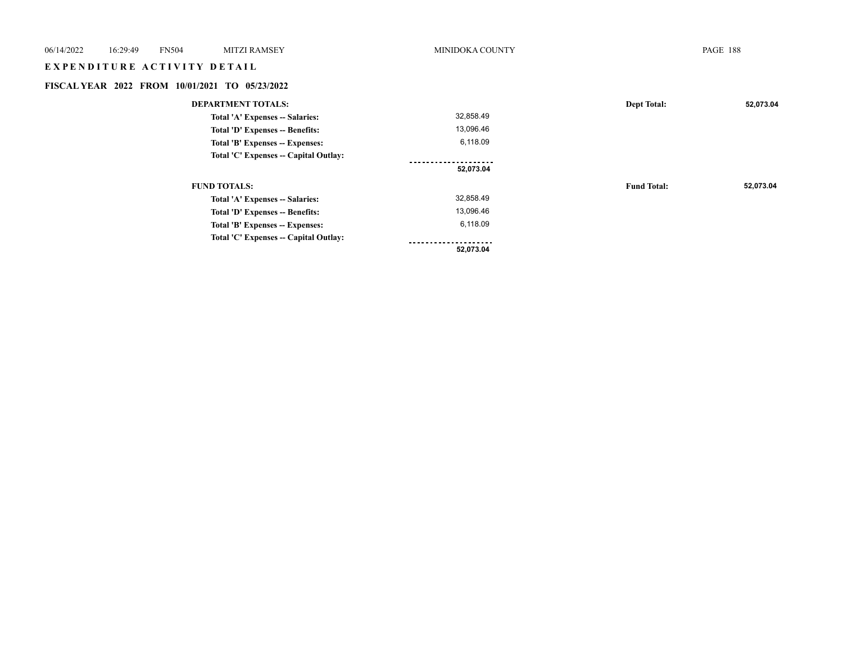| 06/14/2022                  | 16:29:49<br><b>FN504</b><br><b>MITZI RAMSEY</b> |  |                                                | MINIDOKA COUNTY      |                    | <b>PAGE 188</b> |
|-----------------------------|-------------------------------------------------|--|------------------------------------------------|----------------------|--------------------|-----------------|
| EXPENDITURE ACTIVITY DETAIL |                                                 |  |                                                |                      |                    |                 |
|                             |                                                 |  | FISCAL YEAR 2022 FROM 10/01/2021 TO 05/23/2022 |                      |                    |                 |
|                             |                                                 |  | <b>DEPARTMENT TOTALS:</b>                      |                      | <b>Dept Total:</b> | 52,073.04       |
|                             |                                                 |  | Total 'A' Expenses -- Salaries:                | 32,858.49            |                    |                 |
|                             | Total 'D' Expenses -- Benefits:                 |  |                                                | 13,096.46            |                    |                 |
|                             | Total 'B' Expenses -- Expenses:                 |  | 6,118.09                                       |                      |                    |                 |
|                             |                                                 |  | Total 'C' Expenses -- Capital Outlay:          |                      |                    |                 |
|                             |                                                 |  |                                                | .<br>52,073.04       |                    |                 |
|                             |                                                 |  | <b>FUND TOTALS:</b>                            |                      | <b>Fund Total:</b> | 52,073.04       |
|                             |                                                 |  | Total 'A' Expenses -- Salaries:                | 32,858.49            |                    |                 |
|                             |                                                 |  | Total 'D' Expenses -- Benefits:                | 13,096.46            |                    |                 |
|                             |                                                 |  | Total 'B' Expenses -- Expenses:                | 6,118.09             |                    |                 |
|                             |                                                 |  | Total 'C' Expenses -- Capital Outlay:          | -------------------- |                    |                 |
|                             |                                                 |  |                                                | 52,073.04            |                    |                 |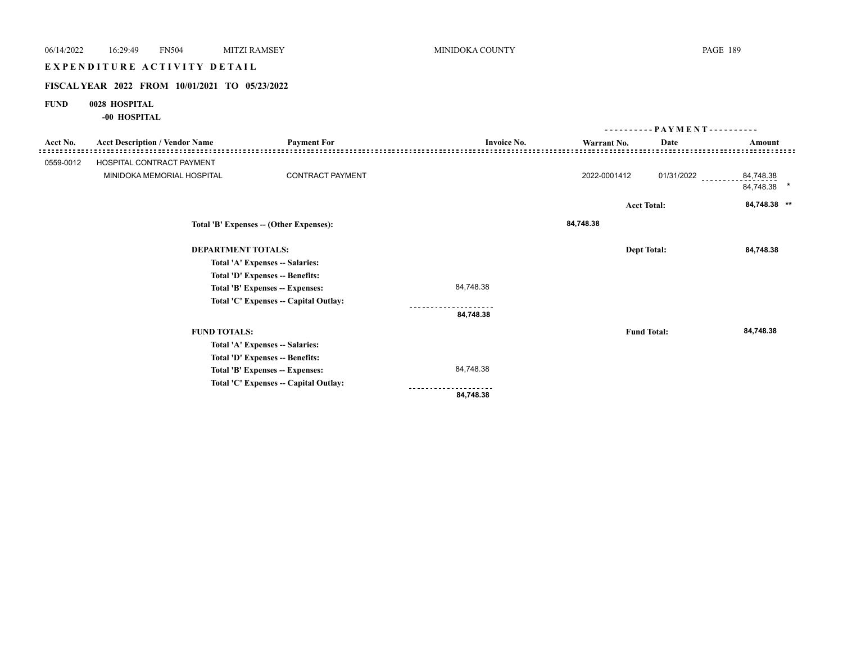# E X P E N D I T U R E A C T I V I T Y D E T A I L

# **FISCAL YEAR 2022 FROM 10/01/2021 TO 05/23/2022**

# **FUND 0028 HOSPITAL**

**-00 HOSPITAL**

|                                                        |                                                                      |                                       |                    | $PAYMENT$ ---------- |                    |                                |  |
|--------------------------------------------------------|----------------------------------------------------------------------|---------------------------------------|--------------------|----------------------|--------------------|--------------------------------|--|
| Acct No.                                               | <b>Acct Description / Vendor Name</b>                                | <b>Payment For</b>                    | <b>Invoice No.</b> | Warrant No.          | Date               | Amount                         |  |
| 0559-0012                                              | HOSPITAL CONTRACT PAYMENT                                            |                                       |                    |                      |                    |                                |  |
|                                                        | MINIDOKA MEMORIAL HOSPITAL                                           | <b>CONTRACT PAYMENT</b>               |                    | 2022-0001412         |                    | 01/31/2022 __________84,748.38 |  |
|                                                        |                                                                      |                                       |                    |                      |                    | 84,748.38 *                    |  |
|                                                        |                                                                      |                                       |                    |                      | <b>Acct Total:</b> | 84,748.38 **                   |  |
|                                                        | Total 'B' Expenses -- (Other Expenses):<br><b>DEPARTMENT TOTALS:</b> |                                       |                    | 84,748.38            |                    |                                |  |
|                                                        |                                                                      |                                       |                    |                      | <b>Dept Total:</b> | 84,748.38                      |  |
|                                                        |                                                                      | Total 'A' Expenses -- Salaries:       |                    |                      |                    |                                |  |
|                                                        |                                                                      | Total 'D' Expenses -- Benefits:       |                    |                      |                    |                                |  |
|                                                        |                                                                      | Total 'B' Expenses -- Expenses:       | 84,748.38          |                      |                    |                                |  |
|                                                        |                                                                      | Total 'C' Expenses -- Capital Outlay: |                    |                      |                    |                                |  |
|                                                        |                                                                      |                                       | 84,748.38          |                      |                    |                                |  |
| <b>FUND TOTALS:</b><br>Total 'A' Expenses -- Salaries: |                                                                      |                                       |                    | <b>Fund Total:</b>   | 84,748.38          |                                |  |
|                                                        |                                                                      |                                       |                    |                      |                    |                                |  |
|                                                        |                                                                      | Total 'D' Expenses -- Benefits:       |                    |                      |                    |                                |  |
|                                                        |                                                                      | Total 'B' Expenses -- Expenses:       | 84,748.38          |                      |                    |                                |  |
|                                                        |                                                                      | Total 'C' Expenses -- Capital Outlay: |                    |                      |                    |                                |  |
|                                                        |                                                                      |                                       | 84,748.38          |                      |                    |                                |  |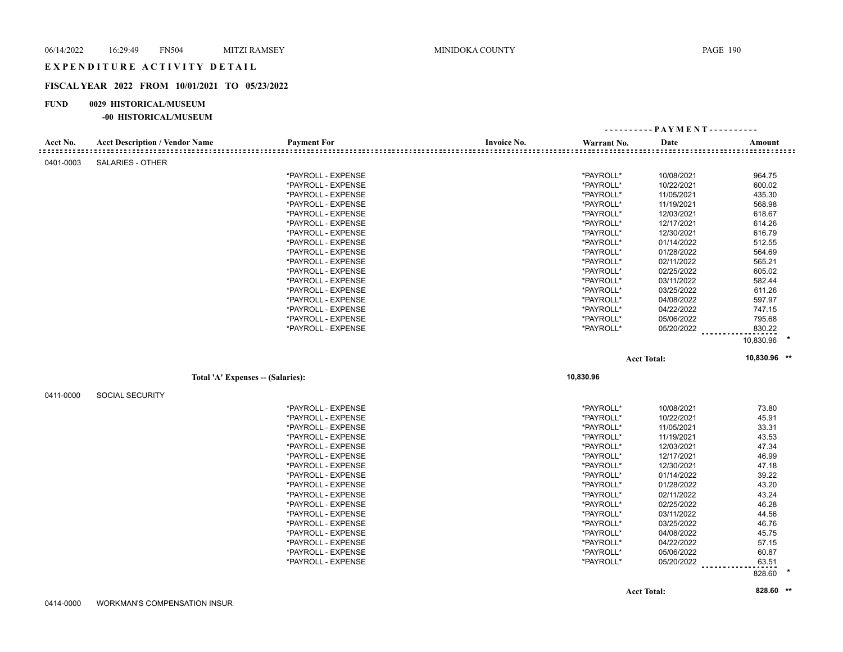# **FISCAL YEAR 2022 FROM 10/01/2021 TO 05/23/2022**

#### **FUND 0029 HISTORICAL/MUSEUM**

#### **-00 HISTORICAL/MUSEUM**

|           |                                       |                                          |                    | ---------- PAYMENT---------- |                          |                |  |
|-----------|---------------------------------------|------------------------------------------|--------------------|------------------------------|--------------------------|----------------|--|
| Acct No.  | <b>Acct Description / Vendor Name</b> | <b>Payment For</b>                       | <b>Invoice No.</b> | Warrant No.                  | Date                     | Amount         |  |
| 0401-0003 | <b>SALARIES - OTHER</b>               |                                          |                    |                              |                          |                |  |
|           |                                       | *PAYROLL - EXPENSE                       |                    | *PAYROLL*                    | 10/08/2021               | 964.75         |  |
|           |                                       | *PAYROLL - EXPENSE                       |                    | *PAYROLL*                    | 10/22/2021               | 600.02         |  |
|           |                                       | *PAYROLL - EXPENSE                       |                    | *PAYROLL*                    | 11/05/2021               | 435.30         |  |
|           |                                       | *PAYROLL - EXPENSE                       |                    | *PAYROLL*                    | 11/19/2021               | 568.98         |  |
|           |                                       | *PAYROLL - EXPENSE                       |                    | *PAYROLL*                    | 12/03/2021               | 618.67         |  |
|           |                                       | *PAYROLL - EXPENSE                       |                    | *PAYROLL*                    | 12/17/2021               | 614.26         |  |
|           |                                       | *PAYROLL - EXPENSE                       |                    | *PAYROLL*                    | 12/30/2021               | 616.79         |  |
|           |                                       | *PAYROLL - EXPENSE                       |                    | *PAYROLL*                    | 01/14/2022               | 512.55         |  |
|           |                                       | *PAYROLL - EXPENSE                       |                    | *PAYROLL*                    | 01/28/2022               | 564.69         |  |
|           |                                       | *PAYROLL - EXPENSE                       |                    | *PAYROLL*                    | 02/11/2022               | 565.21         |  |
|           |                                       | *PAYROLL - EXPENSE                       |                    | *PAYROLL*                    | 02/25/2022               | 605.02         |  |
|           |                                       | *PAYROLL - EXPENSE                       |                    | *PAYROLL*                    | 03/11/2022               | 582.44         |  |
|           |                                       | *PAYROLL - EXPENSE                       |                    | *PAYROLL*                    | 03/25/2022               | 611.26         |  |
|           |                                       | *PAYROLL - EXPENSE                       |                    | *PAYROLL*                    | 04/08/2022               | 597.97         |  |
|           |                                       | *PAYROLL - EXPENSE                       |                    | *PAYROLL*                    | 04/22/2022               | 747.15         |  |
|           |                                       | *PAYROLL - EXPENSE                       |                    | *PAYROLL*                    | 05/06/2022               | 795.68         |  |
|           |                                       | *PAYROLL - EXPENSE                       |                    | *PAYROLL*                    | 05/20/2022               | 830.22         |  |
|           |                                       |                                          |                    |                              |                          | 10,830.96      |  |
|           |                                       |                                          |                    |                              |                          |                |  |
|           |                                       |                                          |                    |                              | <b>Acct Total:</b>       | 10,830.96 **   |  |
|           | Total 'A' Expenses -- (Salaries):     |                                          |                    | 10,830.96                    |                          |                |  |
|           |                                       |                                          |                    |                              |                          |                |  |
| 0411-0000 | <b>SOCIAL SECURITY</b>                |                                          |                    |                              |                          |                |  |
|           |                                       | *PAYROLL - EXPENSE                       |                    | *PAYROLL*                    | 10/08/2021               | 73.80          |  |
|           |                                       | *PAYROLL - EXPENSE                       |                    | *PAYROLL*                    | 10/22/2021               | 45.91          |  |
|           |                                       | *PAYROLL - EXPENSE                       |                    | *PAYROLL*                    | 11/05/2021               | 33.31          |  |
|           |                                       | *PAYROLL - EXPENSE                       |                    | *PAYROLL*                    | 11/19/2021               | 43.53          |  |
|           |                                       | *PAYROLL - EXPENSE                       |                    | *PAYROLL*                    | 12/03/2021               | 47.34          |  |
|           |                                       | *PAYROLL - EXPENSE                       |                    | *PAYROLL*                    | 12/17/2021               | 46.99          |  |
|           |                                       | *PAYROLL - EXPENSE                       |                    | *PAYROLL*                    | 12/30/2021               | 47.18          |  |
|           |                                       | *PAYROLL - EXPENSE                       |                    | *PAYROLL*                    | 01/14/2022               | 39.22          |  |
|           |                                       | *PAYROLL - EXPENSE                       |                    | *PAYROLL*                    | 01/28/2022               | 43.20          |  |
|           |                                       | *PAYROLL - EXPENSE                       |                    | *PAYROLL*                    | 02/11/2022               | 43.24          |  |
|           |                                       | *PAYROLL - EXPENSE                       |                    | *PAYROLL*                    | 02/25/2022               | 46.28          |  |
|           |                                       | *PAYROLL - EXPENSE                       |                    | *PAYROLL*                    | 03/11/2022               | 44.56          |  |
|           |                                       | *PAYROLL - EXPENSE                       |                    | *PAYROLL*                    | 03/25/2022               | 46.76          |  |
|           |                                       | *PAYROLL - EXPENSE                       |                    | *PAYROLL*                    | 04/08/2022               | 45.75          |  |
|           |                                       | *PAYROLL - EXPENSE                       |                    | *PAYROLL*                    | 04/22/2022               | 57.15          |  |
|           |                                       | *PAYROLL - EXPENSE<br>*PAYROLL - EXPENSE |                    | *PAYROLL*<br>*PAYROLL*       | 05/06/2022<br>05/20/2022 | 60.87<br>63.51 |  |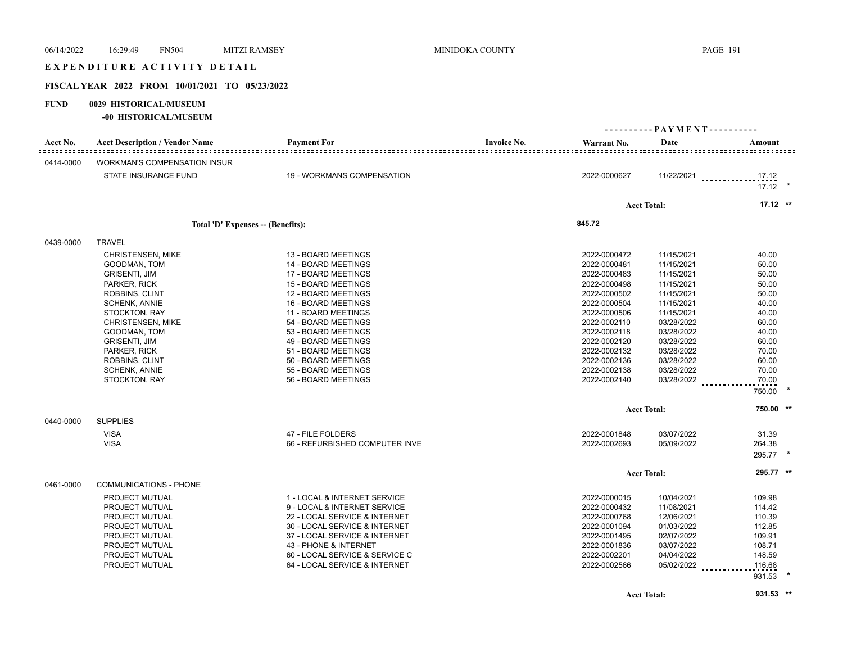| 06/14/2022  | 16:29:49<br><b>FN504</b>                       | <b>MITZI RAMSEY</b>               |                                | MINIDOKA COUNTY    |              |                              | <b>PAGE 191</b>                |         |
|-------------|------------------------------------------------|-----------------------------------|--------------------------------|--------------------|--------------|------------------------------|--------------------------------|---------|
|             | EXPENDITURE ACTIVITY DETAIL                    |                                   |                                |                    |              |                              |                                |         |
|             | FISCAL YEAR 2022 FROM 10/01/2021 TO 05/23/2022 |                                   |                                |                    |              |                              |                                |         |
| <b>FUND</b> | 0029 HISTORICAL/MUSEUM                         |                                   |                                |                    |              |                              |                                |         |
|             | -00 HISTORICAL/MUSEUM                          |                                   |                                |                    |              | ---------- PAYMENT---------- |                                |         |
| Acct No.    | <b>Acct Description / Vendor Name</b>          | <b>Payment For</b>                |                                | <b>Invoice No.</b> | Warrant No.  | Date                         | Amount                         |         |
|             |                                                |                                   |                                |                    |              |                              |                                |         |
| 0414-0000   | <b>WORKMAN'S COMPENSATION INSUR</b>            |                                   |                                |                    |              |                              |                                |         |
|             | STATE INSURANCE FUND                           |                                   | 19 - WORKMANS COMPENSATION     |                    | 2022-0000627 |                              | 11/22/2021 _____________ 17.12 |         |
|             |                                                |                                   |                                |                    |              |                              | $17.12$ *                      |         |
|             |                                                |                                   |                                |                    |              | <b>Acct Total:</b>           | $17.12$ **                     |         |
|             |                                                |                                   |                                |                    |              |                              |                                |         |
|             |                                                | Total 'D' Expenses -- (Benefits): |                                |                    | 845.72       |                              |                                |         |
| 0439-0000   | <b>TRAVEL</b>                                  |                                   |                                |                    |              |                              |                                |         |
|             | <b>CHRISTENSEN, MIKE</b>                       | 13 - BOARD MEETINGS               |                                |                    | 2022-0000472 | 11/15/2021                   | 40.00                          |         |
|             | GOODMAN, TOM                                   | 14 - BOARD MEETINGS               |                                |                    | 2022-0000481 | 11/15/2021                   | 50.00                          |         |
|             | <b>GRISENTI, JIM</b>                           | 17 - BOARD MEETINGS               |                                |                    | 2022-0000483 | 11/15/2021                   | 50.00                          |         |
|             | PARKER, RICK                                   | 15 - BOARD MEETINGS               |                                |                    | 2022-0000498 | 11/15/2021                   | 50.00                          |         |
|             | ROBBINS, CLINT                                 | 12 - BOARD MEETINGS               |                                |                    | 2022-0000502 | 11/15/2021                   | 50.00                          |         |
|             | <b>SCHENK, ANNIE</b>                           | 16 - BOARD MEETINGS               |                                |                    | 2022-0000504 | 11/15/2021                   | 40.00                          |         |
|             | STOCKTON, RAY                                  | 11 - BOARD MEETINGS               |                                |                    | 2022-0000506 | 11/15/2021                   | 40.00                          |         |
|             | <b>CHRISTENSEN, MIKE</b>                       | 54 - BOARD MEETINGS               |                                |                    | 2022-0002110 | 03/28/2022                   | 60.00                          |         |
|             | GOODMAN, TOM                                   | 53 - BOARD MEETINGS               |                                |                    | 2022-0002118 | 03/28/2022                   | 40.00                          |         |
|             | <b>GRISENTI, JIM</b>                           | 49 - BOARD MEETINGS               |                                |                    | 2022-0002120 | 03/28/2022                   | 60.00                          |         |
|             | PARKER, RICK                                   | 51 - BOARD MEETINGS               |                                |                    | 2022-0002132 | 03/28/2022                   | 70.00                          |         |
|             | ROBBINS, CLINT                                 | 50 - BOARD MEETINGS               |                                |                    | 2022-0002136 | 03/28/2022                   | 60.00                          |         |
|             | <b>SCHENK, ANNIE</b>                           | 55 - BOARD MEETINGS               |                                |                    | 2022-0002138 | 03/28/2022                   | 70.00                          |         |
|             | STOCKTON, RAY                                  | 56 - BOARD MEETINGS               |                                |                    | 2022-0002140 | 03/28/2022                   | 70.00<br>750.00                |         |
|             |                                                |                                   |                                |                    |              |                              |                                |         |
|             |                                                |                                   |                                |                    |              | <b>Acct Total:</b>           | 750.00 **                      |         |
| 0440-0000   | <b>SUPPLIES</b>                                |                                   |                                |                    |              |                              |                                |         |
|             | <b>VISA</b>                                    | 47 - FILE FOLDERS                 |                                |                    | 2022-0001848 | 03/07/2022                   | 31.39                          |         |
|             | <b>VISA</b>                                    |                                   | 66 - REFURBISHED COMPUTER INVE |                    | 2022-0002693 | $05/09/2022$                 | 264.38                         |         |
|             |                                                |                                   |                                |                    |              |                              | 295.77                         | $\star$ |
|             |                                                |                                   |                                |                    |              | <b>Acct Total:</b>           | 295.77 **                      |         |
| 0461-0000   | <b>COMMUNICATIONS - PHONE</b>                  |                                   |                                |                    |              |                              |                                |         |
|             | <b>PROJECT MUTUAL</b>                          |                                   | 1 - LOCAL & INTERNET SERVICE   |                    | 2022-0000015 | 10/04/2021                   | 109.98                         |         |
|             | PROJECT MUTUAL                                 |                                   | 9 - LOCAL & INTERNET SERVICE   |                    | 2022-0000432 | 11/08/2021                   | 114.42                         |         |
|             | PROJECT MUTUAL                                 |                                   | 22 - LOCAL SERVICE & INTERNET  |                    | 2022-0000768 | 12/06/2021                   | 110.39                         |         |
|             | PROJECT MUTUAL                                 |                                   | 30 - LOCAL SERVICE & INTERNET  |                    | 2022-0001094 | 01/03/2022                   | 112.85                         |         |
|             | PROJECT MUTUAL                                 |                                   | 37 - LOCAL SERVICE & INTERNET  |                    | 2022-0001495 | 02/07/2022                   | 109.91                         |         |
|             | PROJECT MUTUAL                                 | 43 - PHONE & INTERNET             |                                |                    | 2022-0001836 | 03/07/2022                   | 108.71                         |         |
|             | PROJECT MUTUAL                                 |                                   | 60 - LOCAL SERVICE & SERVICE C |                    | 2022-0002201 | 04/04/2022                   | 148.59                         |         |

PROJECT MUTUAL 64 - LOCAL SERVICE & INTERNET 2022-0002566 05/02/2022 116.68

**Acct Total: 931.53 \*\***

931.53 **\***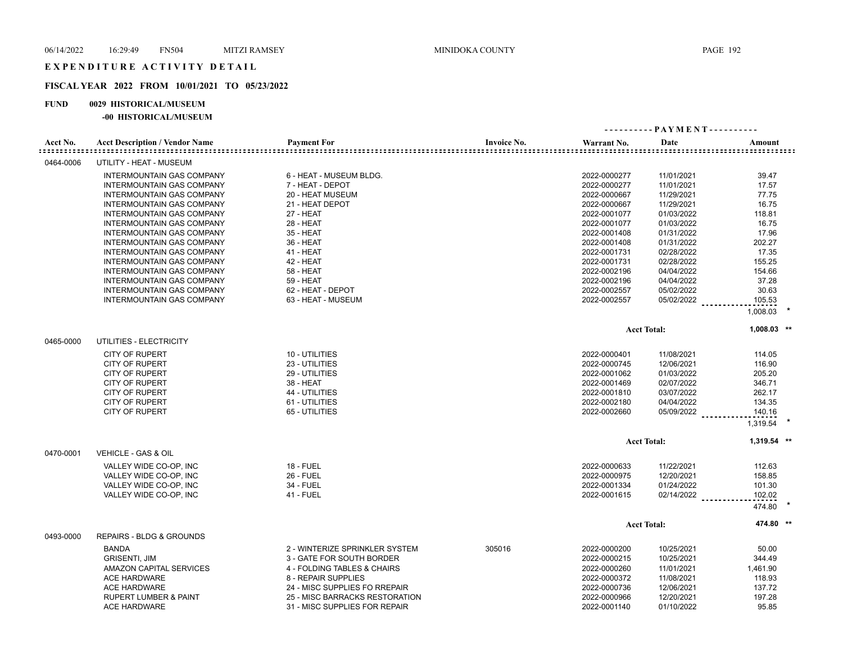## **FISCAL YEAR 2022 FROM 10/01/2021 TO 05/23/2022**

### **FUND 0029 HISTORICAL/MUSEUM**

### **-00 HISTORICAL/MUSEUM**

| Acct No.  | <b>Acct Description / Vendor Name</b> | <b>Payment For</b>             | <b>Invoice No.</b> | Warrant No.  | Date               | Amount        |  |
|-----------|---------------------------------------|--------------------------------|--------------------|--------------|--------------------|---------------|--|
| 0464-0006 | UTILITY - HEAT - MUSEUM               |                                |                    |              |                    |               |  |
|           | <b>INTERMOUNTAIN GAS COMPANY</b>      | 6 - HEAT - MUSEUM BLDG.        |                    | 2022-0000277 | 11/01/2021         | 39.47         |  |
|           | <b>INTERMOUNTAIN GAS COMPANY</b>      | 7 - HEAT - DEPOT               |                    | 2022-0000277 | 11/01/2021         | 17.57         |  |
|           | INTERMOUNTAIN GAS COMPANY             | 20 - HEAT MUSEUM               |                    | 2022-0000667 | 11/29/2021         | 77.75         |  |
|           | <b>INTERMOUNTAIN GAS COMPANY</b>      | 21 - HEAT DEPOT                |                    | 2022-0000667 | 11/29/2021         | 16.75         |  |
|           | <b>INTERMOUNTAIN GAS COMPANY</b>      | 27 - HEAT                      |                    | 2022-0001077 | 01/03/2022         | 118.81        |  |
|           | <b>INTERMOUNTAIN GAS COMPANY</b>      | <b>28 - HEAT</b>               |                    | 2022-0001077 | 01/03/2022         | 16.75         |  |
|           | <b>INTERMOUNTAIN GAS COMPANY</b>      | 35 - HEAT                      |                    | 2022-0001408 | 01/31/2022         | 17.96         |  |
|           | INTERMOUNTAIN GAS COMPANY             | 36 - HEAT                      |                    | 2022-0001408 | 01/31/2022         | 202.27        |  |
|           | <b>INTERMOUNTAIN GAS COMPANY</b>      | <b>41 - HEAT</b>               |                    | 2022-0001731 | 02/28/2022         | 17.35         |  |
|           | INTERMOUNTAIN GAS COMPANY             | 42 - HEAT                      |                    | 2022-0001731 | 02/28/2022         | 155.25        |  |
|           | <b>INTERMOUNTAIN GAS COMPANY</b>      | <b>58 - HEAT</b>               |                    | 2022-0002196 | 04/04/2022         | 154.66        |  |
|           | INTERMOUNTAIN GAS COMPANY             | <b>59 - HEAT</b>               |                    | 2022-0002196 | 04/04/2022         | 37.28         |  |
|           | INTERMOUNTAIN GAS COMPANY             | 62 - HEAT - DEPOT              |                    | 2022-0002557 | 05/02/2022         | 30.63         |  |
|           | <b>INTERMOUNTAIN GAS COMPANY</b>      | 63 - HEAT - MUSEUM             |                    | 2022-0002557 | 05/02/2022         | 105.53        |  |
|           |                                       |                                |                    |              |                    | 1,008.03      |  |
|           |                                       |                                |                    |              | <b>Acct Total:</b> | $1,008.03$ ** |  |
| 0465-0000 | UTILITIES - ELECTRICITY               |                                |                    |              |                    |               |  |
|           | <b>CITY OF RUPERT</b>                 | 10 - UTILITIES                 |                    | 2022-0000401 | 11/08/2021         | 114.05        |  |
|           | <b>CITY OF RUPERT</b>                 | 23 - UTILITIES                 |                    | 2022-0000745 | 12/06/2021         | 116.90        |  |
|           | <b>CITY OF RUPERT</b>                 | 29 - UTILITIES                 |                    | 2022-0001062 | 01/03/2022         | 205.20        |  |
|           | <b>CITY OF RUPERT</b>                 | 38 - HEAT                      |                    | 2022-0001469 | 02/07/2022         | 346.71        |  |
|           | <b>CITY OF RUPERT</b>                 | 44 - UTILITIES                 |                    | 2022-0001810 | 03/07/2022         | 262.17        |  |
|           | <b>CITY OF RUPERT</b>                 | 61 - UTILITIES                 |                    | 2022-0002180 | 04/04/2022         | 134.35        |  |
|           | <b>CITY OF RUPERT</b>                 | 65 - UTILITIES                 |                    | 2022-0002660 | 05/09/2022         | 140.16        |  |
|           |                                       |                                |                    |              |                    | 1,319.54      |  |
|           |                                       |                                |                    |              | <b>Acct Total:</b> | $1,319.54$ ** |  |
| 0470-0001 | VEHICLE - GAS & OIL                   |                                |                    |              |                    |               |  |
|           | VALLEY WIDE CO-OP, INC                | <b>18 - FUEL</b>               |                    | 2022-0000633 | 11/22/2021         | 112.63        |  |
|           | VALLEY WIDE CO-OP, INC                | <b>26 - FUEL</b>               |                    | 2022-0000975 | 12/20/2021         | 158.85        |  |
|           | VALLEY WIDE CO-OP, INC                | <b>34 - FUEL</b>               |                    | 2022-0001334 | 01/24/2022         | 101.30        |  |
|           | VALLEY WIDE CO-OP, INC                | <b>41 - FUEL</b>               |                    | 2022-0001615 | 02/14/2022         | 102.02        |  |
|           |                                       |                                |                    |              |                    | 474.80        |  |
|           |                                       |                                |                    |              | <b>Acct Total:</b> | 474.80 **     |  |
| 0493-0000 | <b>REPAIRS - BLDG &amp; GROUNDS</b>   |                                |                    |              |                    |               |  |
|           | <b>BANDA</b>                          | 2 - WINTERIZE SPRINKLER SYSTEM | 305016             | 2022-0000200 | 10/25/2021         | 50.00         |  |
|           | <b>GRISENTI, JIM</b>                  | 3 - GATE FOR SOUTH BORDER      |                    | 2022-0000215 | 10/25/2021         | 344.49        |  |
|           | AMAZON CAPITAL SERVICES               | 4 - FOLDING TABLES & CHAIRS    |                    | 2022-0000260 | 11/01/2021         | 1,461.90      |  |
|           | <b>ACE HARDWARE</b>                   | 8 - REPAIR SUPPLIES            |                    | 2022-0000372 | 11/08/2021         | 118.93        |  |
|           | <b>ACE HARDWARE</b>                   | 24 - MISC SUPPLIES FO RREPAIR  |                    | 2022-0000736 | 12/06/2021         | 137.72        |  |
|           | <b>RUPERT LUMBER &amp; PAINT</b>      | 25 - MISC BARRACKS RESTORATION |                    | 2022-0000966 | 12/20/2021         | 197.28        |  |
|           | <b>ACE HARDWARE</b>                   | 31 - MISC SUPPLIES FOR REPAIR  |                    | 2022-0001140 | 01/10/2022         | 95.85         |  |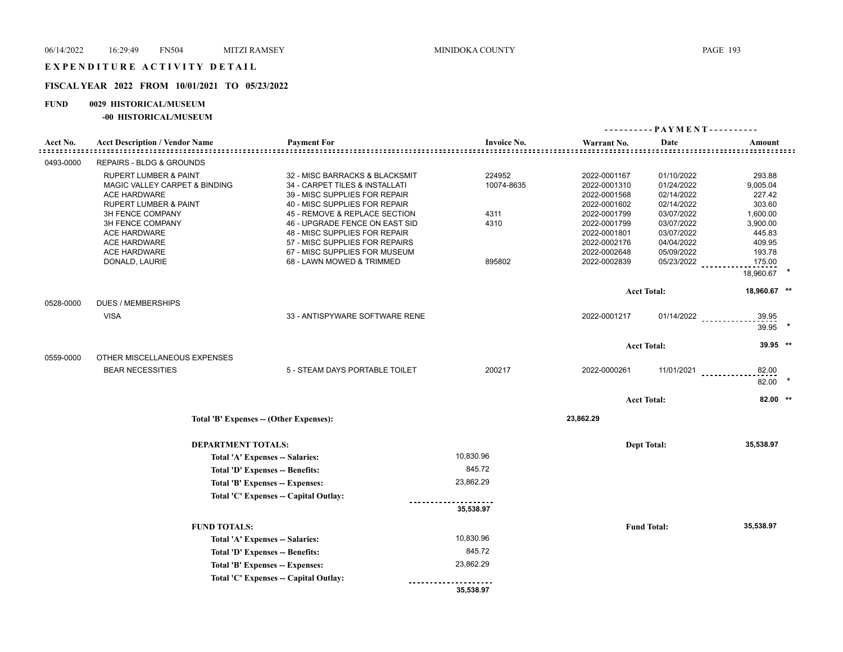# **FISCAL YEAR 2022 FROM 10/01/2021 TO 05/23/2022**

# **FUND 0029 HISTORICAL/MUSEUM**

## **-00 HISTORICAL/MUSEUM**

|           |                                                                                                                                                                                                  |                                                                                                                                                                                                                                                                          |                                      |                                                                                                                              | ----------PAYMENT----------                                                                                  |                                                                                    |  |
|-----------|--------------------------------------------------------------------------------------------------------------------------------------------------------------------------------------------------|--------------------------------------------------------------------------------------------------------------------------------------------------------------------------------------------------------------------------------------------------------------------------|--------------------------------------|------------------------------------------------------------------------------------------------------------------------------|--------------------------------------------------------------------------------------------------------------|------------------------------------------------------------------------------------|--|
| Acct No.  | <b>Acct Description / Vendor Name</b>                                                                                                                                                            | <b>Payment For</b>                                                                                                                                                                                                                                                       | <b>Invoice No.</b>                   | Warrant No.<br>:::::::::::::::::::::::::::::::::::::                                                                         | Date<br>                                                                                                     | Amount                                                                             |  |
| 0493-0000 | REPAIRS - BLDG & GROUNDS                                                                                                                                                                         |                                                                                                                                                                                                                                                                          |                                      |                                                                                                                              |                                                                                                              |                                                                                    |  |
|           | <b>RUPERT LUMBER &amp; PAINT</b><br>MAGIC VALLEY CARPET & BINDING<br><b>ACE HARDWARE</b><br>RUPERT LUMBER & PAINT<br>3H FENCE COMPANY<br>3H FENCE COMPANY<br>ACE HARDWARE<br><b>ACE HARDWARE</b> | 32 - MISC BARRACKS & BLACKSMIT<br>34 - CARPET TILES & INSTALLATI<br>39 - MISC SUPPLIES FOR REPAIR<br>40 - MISC SUPPLIES FOR REPAIR<br>45 - REMOVE & REPLACE SECTION<br>46 - UPGRADE FENCE ON EAST SID<br>48 - MISC SUPPLIES FOR REPAIR<br>57 - MISC SUPPLIES FOR REPAIRS | 224952<br>10074-8635<br>4311<br>4310 | 2022-0001167<br>2022-0001310<br>2022-0001568<br>2022-0001602<br>2022-0001799<br>2022-0001799<br>2022-0001801<br>2022-0002176 | 01/10/2022<br>01/24/2022<br>02/14/2022<br>02/14/2022<br>03/07/2022<br>03/07/2022<br>03/07/2022<br>04/04/2022 | 293.88<br>9,005.04<br>227.42<br>303.60<br>1,600.00<br>3,900.00<br>445.83<br>409.95 |  |
|           | <b>ACE HARDWARE</b><br>DONALD, LAURIE                                                                                                                                                            | 67 - MISC SUPPLIES FOR MUSEUM<br>68 - LAWN MOWED & TRIMMED                                                                                                                                                                                                               | 895802                               | 2022-0002648<br>2022-0002839                                                                                                 | 05/09/2022<br>05/23/2022                                                                                     | 193.78<br>175.00<br>18,960.67                                                      |  |
|           |                                                                                                                                                                                                  |                                                                                                                                                                                                                                                                          |                                      |                                                                                                                              | <b>Acct Total:</b>                                                                                           | 18,960.67 **                                                                       |  |
| 0528-0000 | <b>DUES / MEMBERSHIPS</b><br><b>VISA</b>                                                                                                                                                         | 33 - ANTISPYWARE SOFTWARE RENE                                                                                                                                                                                                                                           |                                      | 2022-0001217                                                                                                                 | $01/14/2022$                                                                                                 | 39.95<br>39.95                                                                     |  |
|           |                                                                                                                                                                                                  |                                                                                                                                                                                                                                                                          |                                      |                                                                                                                              | <b>Acct Total:</b>                                                                                           | 39.95 **                                                                           |  |
| 0559-0000 | OTHER MISCELLANEOUS EXPENSES<br><b>BEAR NECESSITIES</b>                                                                                                                                          | 5 - STEAM DAYS PORTABLE TOILET                                                                                                                                                                                                                                           | 200217                               | 2022-0000261                                                                                                                 | 11/01/2021                                                                                                   | 82.00<br><u>.</u><br>82.00                                                         |  |
|           |                                                                                                                                                                                                  |                                                                                                                                                                                                                                                                          |                                      |                                                                                                                              | <b>Acct Total:</b>                                                                                           | 82.00 **                                                                           |  |
|           |                                                                                                                                                                                                  | Total 'B' Expenses -- (Other Expenses):                                                                                                                                                                                                                                  |                                      | 23,862.29                                                                                                                    |                                                                                                              |                                                                                    |  |
|           | <b>DEPARTMENT TOTALS:</b>                                                                                                                                                                        |                                                                                                                                                                                                                                                                          |                                      |                                                                                                                              | <b>Dept Total:</b>                                                                                           | 35,538.97                                                                          |  |
|           |                                                                                                                                                                                                  | Total 'A' Expenses -- Salaries:                                                                                                                                                                                                                                          | 10,830.96                            |                                                                                                                              |                                                                                                              |                                                                                    |  |
|           |                                                                                                                                                                                                  | Total 'D' Expenses -- Benefits:                                                                                                                                                                                                                                          | 845.72                               |                                                                                                                              |                                                                                                              |                                                                                    |  |
|           |                                                                                                                                                                                                  | Total 'B' Expenses -- Expenses:                                                                                                                                                                                                                                          | 23,862.29                            |                                                                                                                              |                                                                                                              |                                                                                    |  |
|           |                                                                                                                                                                                                  | Total 'C' Expenses -- Capital Outlay:                                                                                                                                                                                                                                    |                                      |                                                                                                                              |                                                                                                              |                                                                                    |  |
|           |                                                                                                                                                                                                  |                                                                                                                                                                                                                                                                          | 35,538.97                            |                                                                                                                              |                                                                                                              |                                                                                    |  |
|           | <b>FUND TOTALS:</b>                                                                                                                                                                              |                                                                                                                                                                                                                                                                          |                                      |                                                                                                                              | <b>Fund Total:</b>                                                                                           | 35,538.97                                                                          |  |
|           |                                                                                                                                                                                                  | Total 'A' Expenses -- Salaries:                                                                                                                                                                                                                                          | 10,830.96                            |                                                                                                                              |                                                                                                              |                                                                                    |  |
|           |                                                                                                                                                                                                  | Total 'D' Expenses -- Benefits:                                                                                                                                                                                                                                          | 845.72                               |                                                                                                                              |                                                                                                              |                                                                                    |  |
|           |                                                                                                                                                                                                  | Total 'B' Expenses -- Expenses:                                                                                                                                                                                                                                          | 23,862.29                            |                                                                                                                              |                                                                                                              |                                                                                    |  |
|           |                                                                                                                                                                                                  | Total 'C' Expenses -- Capital Outlay:                                                                                                                                                                                                                                    | 35,538.97                            |                                                                                                                              |                                                                                                              |                                                                                    |  |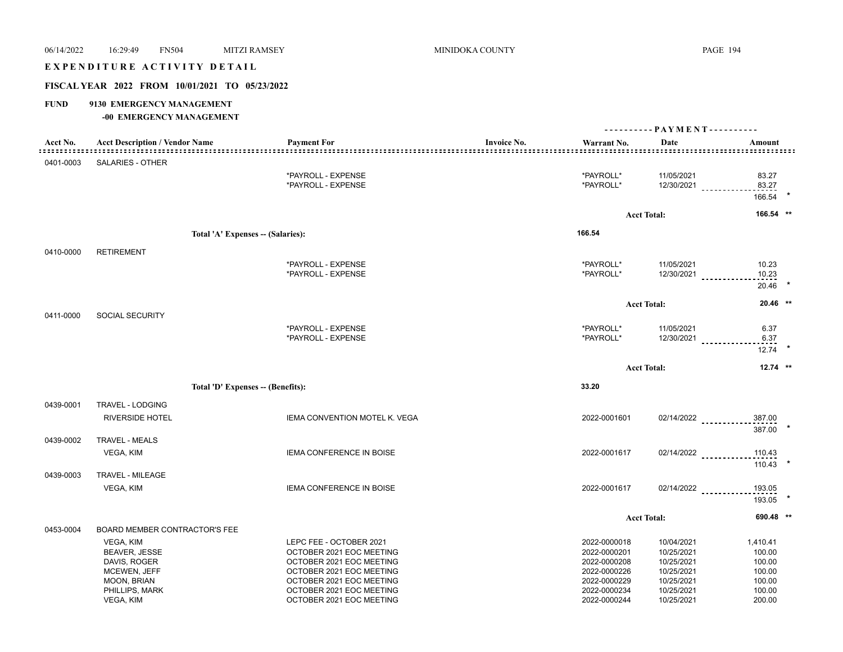| 06/14/2022  | 16:29:49<br><b>FN504</b>                              | <b>MITZI RAMSEY</b>                                  | <b>MINIDOKA COUNTY</b>  |                                    |                          | <b>PAGE 194</b>                |
|-------------|-------------------------------------------------------|------------------------------------------------------|-------------------------|------------------------------------|--------------------------|--------------------------------|
|             | EXPENDITURE ACTIVITY DETAIL                           |                                                      |                         |                                    |                          |                                |
|             | FISCAL YEAR 2022 FROM 10/01/2021 TO 05/23/2022        |                                                      |                         |                                    |                          |                                |
| <b>FUND</b> | 9130 EMERGENCY MANAGEMENT<br>-00 EMERGENCY MANAGEMENT |                                                      |                         |                                    |                          |                                |
|             |                                                       |                                                      |                         |                                    |                          |                                |
| Acct No.    | <b>Acct Description / Vendor Name</b>                 | <b>Payment For</b><br>:::::::::::::::                | <b>Invoice No.</b><br>. | Warrant No.<br><u>============</u> | Date                     | Amount                         |
| 0401-0003   | SALARIES - OTHER                                      |                                                      |                         |                                    |                          |                                |
|             |                                                       | *PAYROLL - EXPENSE<br>*PAYROLL - EXPENSE             |                         | *PAYROLL*<br>*PAYROLL*             | 11/05/2021               | 83.27<br>$12/30/2021$<br>83.27 |
|             |                                                       |                                                      |                         |                                    |                          | 166.54                         |
|             |                                                       |                                                      |                         |                                    | <b>Acct Total:</b>       | 166.54 **                      |
|             |                                                       | Total 'A' Expenses -- (Salaries):                    |                         | 166.54                             |                          |                                |
| 0410-0000   | <b>RETIREMENT</b>                                     |                                                      |                         |                                    |                          |                                |
|             |                                                       | *PAYROLL - EXPENSE<br>*PAYROLL - EXPENSE             |                         | *PAYROLL*<br>*PAYROLL*             | 11/05/2021               | 10.23<br>$12/30/2021$<br>10.23 |
|             |                                                       |                                                      |                         |                                    |                          | 20.46                          |
|             |                                                       |                                                      |                         |                                    | <b>Acct Total:</b>       | $20.46$ **                     |
| 0411-0000   | <b>SOCIAL SECURITY</b>                                | *PAYROLL - EXPENSE                                   |                         | *PAYROLL*                          | 11/05/2021               | 6.37                           |
|             |                                                       | *PAYROLL - EXPENSE                                   |                         | *PAYROLL*                          |                          | $12/30/2021$<br>6.37           |
|             |                                                       |                                                      |                         |                                    |                          | $12.74$ *                      |
|             |                                                       |                                                      |                         |                                    | <b>Acct Total:</b>       | $12.74$ **                     |
|             |                                                       | Total 'D' Expenses -- (Benefits):                    |                         | 33.20                              |                          |                                |
| 0439-0001   | TRAVEL - LODGING                                      |                                                      |                         |                                    |                          |                                |
|             | <b>RIVERSIDE HOTEL</b>                                | IEMA CONVENTION MOTEL K. VEGA                        |                         | 2022-0001601                       | 02/14/2022               | 387.00                         |
| 0439-0002   | <b>TRAVEL - MEALS</b>                                 |                                                      |                         |                                    |                          | 387.00 *                       |
|             | VEGA, KIM                                             | <b>IEMA CONFERENCE IN BOISE</b>                      |                         | 2022-0001617                       | $02/14/2022$             | 110.43                         |
| 0439-0003   | TRAVEL - MILEAGE                                      |                                                      |                         |                                    |                          | $110.43$ *                     |
|             | VEGA, KIM                                             | <b>IEMA CONFERENCE IN BOISE</b>                      |                         | 2022-0001617                       | 02/14/2022               | 193.05                         |
|             |                                                       |                                                      |                         |                                    |                          | 193.05                         |
|             |                                                       |                                                      |                         |                                    | <b>Acct Total:</b>       | 690.48 **                      |
| 0453-0004   | <b>BOARD MEMBER CONTRACTOR'S FEE</b>                  |                                                      |                         |                                    |                          |                                |
|             | VEGA, KIM<br><b>BEAVER, JESSE</b>                     | LEPC FEE - OCTOBER 2021<br>OCTOBER 2021 EOC MEETING  |                         | 2022-0000018<br>2022-0000201       | 10/04/2021<br>10/25/2021 | 1,410.41<br>100.00             |
|             | DAVIS, ROGER                                          | OCTOBER 2021 EOC MEETING                             |                         | 2022-0000208                       | 10/25/2021               | 100.00                         |
|             | MCEWEN, JEFF                                          | OCTOBER 2021 EOC MEETING                             |                         | 2022-0000226                       | 10/25/2021               | 100.00                         |
|             | MOON, BRIAN<br>PHILLIPS, MARK                         | OCTOBER 2021 EOC MEETING<br>OCTOBER 2021 EOC MEETING |                         | 2022-0000229<br>2022-0000234       | 10/25/2021<br>10/25/2021 | 100.00<br>100.00               |
|             | VEGA, KIM                                             | OCTOBER 2021 EOC MEETING                             |                         | 2022-0000244                       | 10/25/2021               | 200.00                         |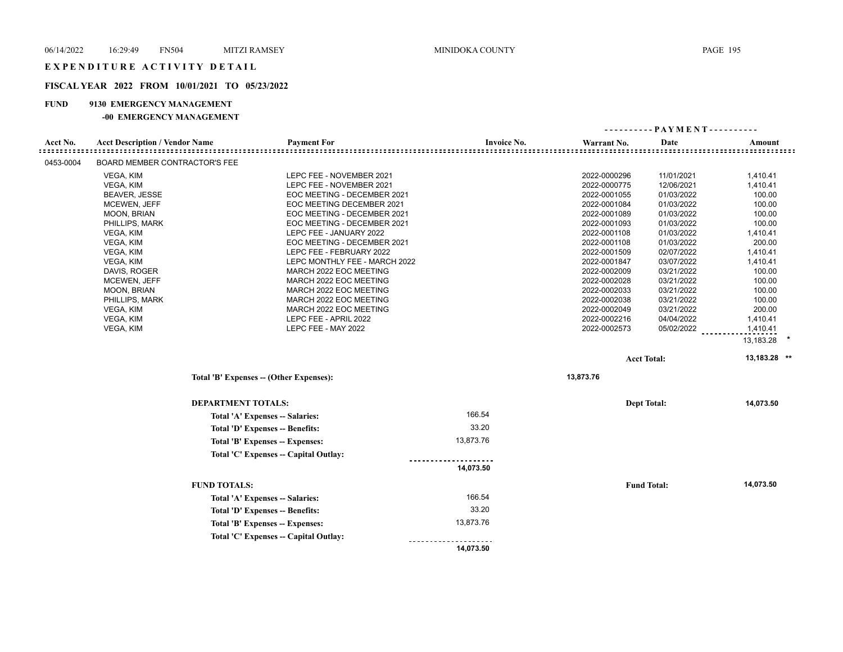# **FISCAL YEAR 2022 FROM 10/01/2021 TO 05/23/2022**

# **FUND 9130 EMERGENCY MANAGEMENT**

## **-00 EMERGENCY MANAGEMENT**

|           |                                       |                                                  |                    | ---------                    | - PAYMENT - - - - - - - - - - |                  |
|-----------|---------------------------------------|--------------------------------------------------|--------------------|------------------------------|-------------------------------|------------------|
| Acct No.  | <b>Acct Description / Vendor Name</b> | <b>Payment For</b>                               | <b>Invoice No.</b> | Warrant No.                  | Date                          | Amount           |
|           |                                       |                                                  |                    |                              |                               |                  |
| 0453-0004 | BOARD MEMBER CONTRACTOR'S FEE         |                                                  |                    |                              |                               |                  |
|           | VEGA, KIM                             | LEPC FEE - NOVEMBER 2021                         |                    | 2022-0000296                 | 11/01/2021                    | 1,410.41         |
|           | VEGA, KIM                             | LEPC FEE - NOVEMBER 2021                         |                    | 2022-0000775                 | 12/06/2021                    | 1,410.41         |
|           | <b>BEAVER, JESSE</b>                  | EOC MEETING - DECEMBER 2021                      |                    | 2022-0001055                 | 01/03/2022                    | 100.00           |
|           | MCEWEN, JEFF                          | EOC MEETING DECEMBER 2021                        |                    | 2022-0001084                 | 01/03/2022                    | 100.00           |
|           | <b>MOON, BRIAN</b>                    | EOC MEETING - DECEMBER 2021                      |                    | 2022-0001089                 | 01/03/2022                    | 100.00           |
|           | PHILLIPS, MARK                        | EOC MEETING - DECEMBER 2021                      |                    | 2022-0001093                 | 01/03/2022                    | 100.00           |
|           | VEGA, KIM                             | LEPC FEE - JANUARY 2022                          |                    | 2022-0001108                 | 01/03/2022                    | 1,410.41         |
|           | VEGA, KIM                             | EOC MEETING - DECEMBER 2021                      |                    | 2022-0001108                 | 01/03/2022                    | 200.00           |
|           | VEGA, KIM                             | LEPC FEE - FEBRUARY 2022                         |                    | 2022-0001509                 | 02/07/2022                    | 1,410.41         |
|           | VEGA, KIM                             | LEPC MONTHLY FEE - MARCH 2022                    |                    | 2022-0001847                 | 03/07/2022                    | 1,410.41         |
|           | DAVIS, ROGER<br><b>MCEWEN, JEFF</b>   | MARCH 2022 EOC MEETING<br>MARCH 2022 EOC MEETING |                    | 2022-0002009<br>2022-0002028 | 03/21/2022<br>03/21/2022      | 100.00<br>100.00 |
|           | MOON, BRIAN                           | MARCH 2022 EOC MEETING                           |                    | 2022-0002033                 | 03/21/2022                    | 100.00           |
|           | PHILLIPS, MARK                        | MARCH 2022 EOC MEETING                           |                    | 2022-0002038                 | 03/21/2022                    | 100.00           |
|           | VEGA, KIM                             | MARCH 2022 EOC MEETING                           |                    | 2022-0002049                 | 03/21/2022                    | 200.00           |
|           | VEGA, KIM                             | LEPC FEE - APRIL 2022                            |                    | 2022-0002216                 | 04/04/2022                    | 1,410.41         |
|           | VEGA, KIM                             | LEPC FEE - MAY 2022                              |                    | 2022-0002573                 | 05/02/2022                    | 1,410.41         |
|           |                                       |                                                  |                    |                              |                               | 13,183.28        |
|           |                                       |                                                  |                    |                              |                               |                  |
|           |                                       |                                                  |                    |                              | <b>Acct Total:</b>            | 13,183.28 **     |
|           |                                       | Total 'B' Expenses -- (Other Expenses):          |                    | 13,873.76                    |                               |                  |
|           |                                       | <b>DEPARTMENT TOTALS:</b>                        |                    |                              | <b>Dept Total:</b>            | 14,073.50        |
|           |                                       | Total 'A' Expenses -- Salaries:                  | 166.54             |                              |                               |                  |
|           |                                       | Total 'D' Expenses -- Benefits:                  | 33.20              |                              |                               |                  |
|           |                                       | Total 'B' Expenses -- Expenses:                  | 13,873.76          |                              |                               |                  |
|           |                                       | Total 'C' Expenses - Capital Outlay:             |                    |                              |                               |                  |
|           |                                       |                                                  | 14,073.50          |                              |                               |                  |
|           |                                       | <b>FUND TOTALS:</b>                              |                    |                              | <b>Fund Total:</b>            | 14,073.50        |
|           |                                       | Total 'A' Expenses -- Salaries:                  | 166.54             |                              |                               |                  |
|           |                                       | Total 'D' Expenses -- Benefits:                  | 33.20              |                              |                               |                  |
|           |                                       | Total 'B' Expenses -- Expenses:                  | 13,873.76          |                              |                               |                  |
|           |                                       |                                                  |                    |                              |                               |                  |
|           |                                       | Total 'C' Expenses -- Capital Outlay:            |                    |                              |                               |                  |
|           |                                       |                                                  | 14,073.50          |                              |                               |                  |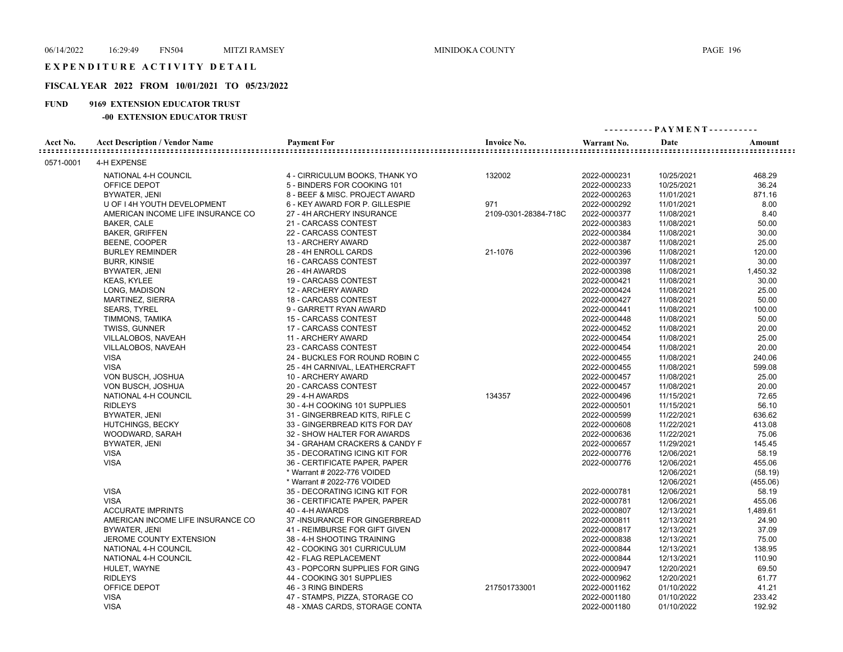# **FISCAL YEAR 2022 FROM 10/01/2021 TO 05/23/2022**

# **FUND 9169 EXTENSION EDUCATOR TRUST**

## **-00 EXTENSION EDUCATOR TRUST**

|           |                                       |                                |                      | ---------- PAYMENT---------- |            |                                            |  |
|-----------|---------------------------------------|--------------------------------|----------------------|------------------------------|------------|--------------------------------------------|--|
| Acct No.  | <b>Acct Description / Vendor Name</b> | <b>Payment For</b>             | <b>Invoice No.</b>   | Warrant No.                  | Date       | Amount<br>:::::::::::::::::::::::::::::::: |  |
| 0571-0001 | 4-H EXPENSE                           |                                |                      |                              |            |                                            |  |
|           | NATIONAL 4-H COUNCIL                  | 4 - CIRRICULUM BOOKS, THANK YO | 132002               | 2022-0000231                 | 10/25/2021 | 468.29                                     |  |
|           | OFFICE DEPOT                          | 5 - BINDERS FOR COOKING 101    |                      | 2022-0000233                 | 10/25/2021 | 36.24                                      |  |
|           | BYWATER, JENI                         | 8 - BEEF & MISC. PROJECT AWARD |                      | 2022-0000263                 | 11/01/2021 | 871.16                                     |  |
|           | U OF I 4H YOUTH DEVELOPMENT           | 6 - KEY AWARD FOR P. GILLESPIE | 971                  | 2022-0000292                 | 11/01/2021 | 8.00                                       |  |
|           | AMERICAN INCOME LIFE INSURANCE CO     | 27 - 4H ARCHERY INSURANCE      | 2109-0301-28384-718C | 2022-0000377                 | 11/08/2021 | 8.40                                       |  |
|           | <b>BAKER, CALE</b>                    | 21 - CARCASS CONTEST           |                      | 2022-0000383                 | 11/08/2021 | 50.00                                      |  |
|           | <b>BAKER, GRIFFEN</b>                 | 22 - CARCASS CONTEST           |                      | 2022-0000384                 | 11/08/2021 | 30.00                                      |  |
|           | BEENE, COOPER                         | 13 - ARCHERY AWARD             |                      | 2022-0000387                 | 11/08/2021 | 25.00                                      |  |
|           | <b>BURLEY REMINDER</b>                | 28 - 4H ENROLL CARDS           | 21-1076              | 2022-0000396                 | 11/08/2021 | 120.00                                     |  |
|           | <b>BURR, KINSIE</b>                   | 16 - CARCASS CONTEST           |                      | 2022-0000397                 | 11/08/2021 | 30.00                                      |  |
|           | BYWATER, JENI                         | 26 - 4H AWARDS                 |                      | 2022-0000398                 | 11/08/2021 | 1,450.32                                   |  |
|           | <b>KEAS, KYLEE</b>                    | 19 - CARCASS CONTEST           |                      | 2022-0000421                 | 11/08/2021 | 30.00                                      |  |
|           | LONG, MADISON                         | 12 - ARCHERY AWARD             |                      | 2022-0000424                 | 11/08/2021 | 25.00                                      |  |
|           | MARTINEZ, SIERRA                      | 18 - CARCASS CONTEST           |                      | 2022-0000427                 | 11/08/2021 | 50.00                                      |  |
|           | <b>SEARS, TYREL</b>                   | 9 - GARRETT RYAN AWARD         |                      | 2022-0000441                 | 11/08/2021 | 100.00                                     |  |
|           | TIMMONS, TAMIKA                       | <b>15 - CARCASS CONTEST</b>    |                      | 2022-0000448                 | 11/08/2021 | 50.00                                      |  |
|           | <b>TWISS, GUNNER</b>                  | 17 - CARCASS CONTEST           |                      | 2022-0000452                 | 11/08/2021 | 20.00                                      |  |
|           | VILLALOBOS, NAVEAH                    | 11 - ARCHERY AWARD             |                      | 2022-0000454                 | 11/08/2021 | 25.00                                      |  |
|           | VILLALOBOS, NAVEAH                    | 23 - CARCASS CONTEST           |                      | 2022-0000454                 | 11/08/2021 | 20.00                                      |  |
|           | <b>VISA</b>                           | 24 - BUCKLES FOR ROUND ROBIN C |                      | 2022-0000455                 | 11/08/2021 | 240.06                                     |  |
|           | <b>VISA</b>                           | 25 - 4H CARNIVAL, LEATHERCRAFT |                      | 2022-0000455                 | 11/08/2021 | 599.08                                     |  |
|           | VON BUSCH, JOSHUA                     | 10 - ARCHERY AWARD             |                      | 2022-0000457                 | 11/08/2021 | 25.00                                      |  |
|           | VON BUSCH, JOSHUA                     | 20 - CARCASS CONTEST           |                      | 2022-0000457                 | 11/08/2021 | 20.00                                      |  |
|           | NATIONAL 4-H COUNCIL                  | 29 - 4-H AWARDS                | 134357               | 2022-0000496                 | 11/15/2021 | 72.65                                      |  |
|           | <b>RIDLEYS</b>                        | 30 - 4-H COOKING 101 SUPPLIES  |                      | 2022-0000501                 | 11/15/2021 | 56.10                                      |  |
|           | BYWATER, JENI                         | 31 - GINGERBREAD KITS, RIFLE C |                      | 2022-0000599                 | 11/22/2021 | 636.62                                     |  |
|           | <b>HUTCHINGS, BECKY</b>               | 33 - GINGERBREAD KITS FOR DAY  |                      | 2022-0000608                 | 11/22/2021 | 413.08                                     |  |
|           | WOODWARD, SARAH                       | 32 - SHOW HALTER FOR AWARDS    |                      | 2022-0000636                 | 11/22/2021 | 75.06                                      |  |
|           | BYWATER, JENI                         | 34 - GRAHAM CRACKERS & CANDY F |                      | 2022-0000657                 | 11/29/2021 | 145.45                                     |  |
|           | <b>VISA</b>                           | 35 - DECORATING ICING KIT FOR  |                      | 2022-0000776                 | 12/06/2021 | 58.19                                      |  |
|           | <b>VISA</b>                           | 36 - CERTIFICATE PAPER, PAPER  |                      | 2022-0000776                 | 12/06/2021 | 455.06                                     |  |
|           |                                       | * Warrant # 2022-776 VOIDED    |                      |                              | 12/06/2021 | (58.19)                                    |  |
|           |                                       | * Warrant # 2022-776 VOIDED    |                      |                              | 12/06/2021 | (455.06)                                   |  |
|           | <b>VISA</b>                           | 35 - DECORATING ICING KIT FOR  |                      | 2022-0000781                 | 12/06/2021 | 58.19                                      |  |
|           | <b>VISA</b>                           | 36 - CERTIFICATE PAPER, PAPER  |                      | 2022-0000781                 | 12/06/2021 | 455.06                                     |  |
|           | <b>ACCURATE IMPRINTS</b>              | 40 - 4-H AWARDS                |                      | 2022-0000807                 | 12/13/2021 | 1,489.61                                   |  |
|           | AMERICAN INCOME LIFE INSURANCE CO     | 37 - INSURANCE FOR GINGERBREAD |                      | 2022-0000811                 | 12/13/2021 | 24.90                                      |  |
|           | BYWATER, JENI                         | 41 - REIMBURSE FOR GIFT GIVEN  |                      | 2022-0000817                 | 12/13/2021 | 37.09                                      |  |
|           | JEROME COUNTY EXTENSION               | 38 - 4-H SHOOTING TRAINING     |                      | 2022-0000838                 | 12/13/2021 | 75.00                                      |  |
|           | NATIONAL 4-H COUNCIL                  | 42 - COOKING 301 CURRICULUM    |                      | 2022-0000844                 | 12/13/2021 | 138.95                                     |  |
|           | NATIONAL 4-H COUNCIL                  | 42 - FLAG REPLACEMENT          |                      | 2022-0000844                 | 12/13/2021 | 110.90                                     |  |
|           | HULET, WAYNE                          | 43 - POPCORN SUPPLIES FOR GING |                      | 2022-0000947                 | 12/20/2021 | 69.50                                      |  |
|           | <b>RIDLEYS</b>                        | 44 - COOKING 301 SUPPLIES      |                      | 2022-0000962                 | 12/20/2021 | 61.77                                      |  |
|           | OFFICE DEPOT                          | 46 - 3 RING BINDERS            | 217501733001         | 2022-0001162                 | 01/10/2022 | 41.21                                      |  |
|           | <b>VISA</b>                           | 47 - STAMPS, PIZZA, STORAGE CO |                      | 2022-0001180                 | 01/10/2022 | 233.42                                     |  |
|           | <b>VISA</b>                           | 48 - XMAS CARDS, STORAGE CONTA |                      | 2022-0001180                 | 01/10/2022 | 192.92                                     |  |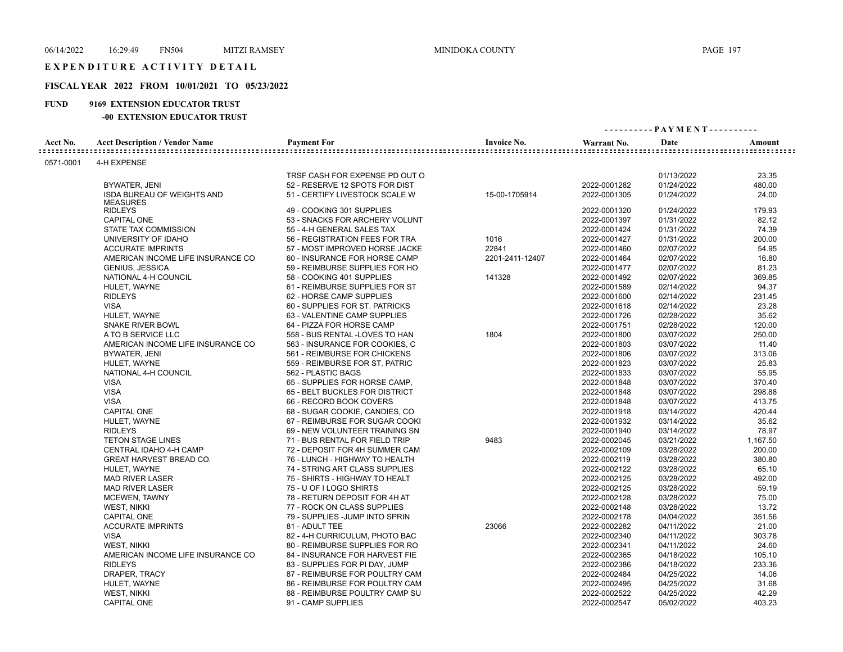# **FISCAL YEAR 2022 FROM 10/01/2021 TO 05/23/2022**

# **FUND 9169 EXTENSION EDUCATOR TRUST**

## **-00 EXTENSION EDUCATOR TRUST**

| <b>Acct Description / Vendor Name</b><br><b>Payment For</b><br><b>Invoice No.</b><br>Acct No.<br>Date<br>Amount<br>Warrant No.<br>4-H EXPENSE<br>0571-0001<br>23.35<br>TRSF CASH FOR EXPENSE PD OUT O<br>01/13/2022<br>2022-0001282<br>01/24/2022<br>480.00<br>BYWATER, JENI<br>52 - RESERVE 12 SPOTS FOR DIST<br><b>ISDA BUREAU OF WEIGHTS AND</b><br>51 - CERTIFY LIVESTOCK SCALE W<br>15-00-1705914<br>2022-0001305<br>01/24/2022<br>24.00<br><b>MEASURES</b><br><b>RIDLEYS</b><br>179.93<br>49 - COOKING 301 SUPPLIES<br>2022-0001320<br>01/24/2022<br><b>CAPITAL ONE</b><br>2022-0001397<br>01/31/2022<br>82.12<br>53 - SNACKS FOR ARCHERY VOLUNT<br>74.39<br>STATE TAX COMMISSION<br>55 - 4-H GENERAL SALES TAX<br>2022-0001424<br>01/31/2022<br>1016<br>01/31/2022<br>200.00<br>UNIVERSITY OF IDAHO<br>56 - REGISTRATION FEES FOR TRA<br>2022-0001427<br>22841<br>54.95<br><b>ACCURATE IMPRINTS</b><br>02/07/2022<br>57 - MOST IMPROVED HORSE JACKE<br>2022-0001460<br>AMERICAN INCOME LIFE INSURANCE CO<br>2201-2411-12407<br>02/07/2022<br>16.80<br>60 - INSURANCE FOR HORSE CAMP<br>2022-0001464<br>02/07/2022<br>81.23<br><b>GENIUS, JESSICA</b><br>59 - REIMBURSE SUPPLIES FOR HO<br>2022-0001477<br>141328<br>02/07/2022<br>369.85<br>NATIONAL 4-H COUNCIL<br>58 - COOKING 401 SUPPLIES<br>2022-0001492<br>94.37<br>HULET, WAYNE<br>61 - REIMBURSE SUPPLIES FOR ST<br>2022-0001589<br>02/14/2022<br>02/14/2022<br>231.45<br><b>RIDLEYS</b><br>62 - HORSE CAMP SUPPLIES<br>2022-0001600<br>02/14/2022<br>23.28<br><b>VISA</b><br>60 - SUPPLIES FOR ST. PATRICKS<br>2022-0001618<br>2022-0001726<br>02/28/2022<br>35.62<br>HULET, WAYNE<br>63 - VALENTINE CAMP SUPPLIES<br>02/28/2022<br>SNAKE RIVER BOWL<br>64 - PIZZA FOR HORSE CAMP<br>2022-0001751<br>120.00<br>1804<br>03/07/2022<br>250.00<br>A TO B SERVICE LLC<br>558 - BUS RENTAL - LOVES TO HAN<br>2022-0001800<br>03/07/2022<br>11.40<br>AMERICAN INCOME LIFE INSURANCE CO<br>563 - INSURANCE FOR COOKIES, C<br>2022-0001803<br>03/07/2022<br>313.06<br>BYWATER, JENI<br>561 - REIMBURSE FOR CHICKENS<br>2022-0001806<br>2022-0001823<br>03/07/2022<br>25.83<br>HULET, WAYNE<br>559 - REIMBURSE FOR ST. PATRIC<br>2022-0001833<br>03/07/2022<br>55.95<br>NATIONAL 4-H COUNCIL<br>562 - PLASTIC BAGS<br><b>VISA</b><br>65 - SUPPLIES FOR HORSE CAMP.<br>2022-0001848<br>03/07/2022<br>370.40<br><b>VISA</b><br>298.88<br>65 - BELT BUCKLES FOR DISTRICT<br>2022-0001848<br>03/07/2022<br><b>VISA</b><br>03/07/2022<br>66 - RECORD BOOK COVERS<br>2022-0001848<br>413.75<br>CAPITAL ONE<br>420.44<br>68 - SUGAR COOKIE, CANDIES, CO<br>2022-0001918<br>03/14/2022<br>67 - REIMBURSE FOR SUGAR COOKI<br>2022-0001932<br>03/14/2022<br>35.62<br>HULET, WAYNE<br>78.97<br>2022-0001940<br>03/14/2022<br><b>RIDLEYS</b><br>69 - NEW VOLUNTEER TRAINING SN<br><b>TETON STAGE LINES</b><br>71 - BUS RENTAL FOR FIELD TRIP<br>9483<br>03/21/2022<br>1,167.50<br>2022-0002045<br>200.00<br>CENTRAL IDAHO 4-H CAMP<br>72 - DEPOSIT FOR 4H SUMMER CAM<br>2022-0002109<br>03/28/2022<br><b>GREAT HARVEST BREAD CO.</b><br>2022-0002119<br>03/28/2022<br>380.80<br>76 - LUNCH - HIGHWAY TO HEALTH<br>65.10<br>74 - STRING ART CLASS SUPPLIES<br>2022-0002122<br>03/28/2022<br>HULET, WAYNE<br>2022-0002125<br>03/28/2022<br>492.00<br><b>MAD RIVER LASER</b><br>75 - SHIRTS - HIGHWAY TO HEALT<br>59.19<br>2022-0002125<br>03/28/2022<br><b>MAD RIVER LASER</b><br>75 - U OF I LOGO SHIRTS<br>75.00<br>78 - RETURN DEPOSIT FOR 4H AT<br>2022-0002128<br>03/28/2022<br><b>MCEWEN, TAWNY</b><br>03/28/2022<br>13.72<br><b>WEST, NIKKI</b><br>77 - ROCK ON CLASS SUPPLIES<br>2022-0002148<br><b>CAPITAL ONE</b><br>04/04/2022<br>351.56<br>79 - SUPPLIES - JUMP INTO SPRIN<br>2022-0002178<br>81 - ADULT TEE<br>23066<br>04/11/2022<br>21.00<br><b>ACCURATE IMPRINTS</b><br>2022-0002282<br>303.78<br><b>VISA</b><br>82 - 4-H CURRICULUM, PHOTO BAC<br>2022-0002340<br>04/11/2022<br>24.60<br><b>WEST, NIKKI</b><br>80 - REIMBURSE SUPPLIES FOR RO<br>2022-0002341<br>04/11/2022<br>AMERICAN INCOME LIFE INSURANCE CO<br>84 - INSURANCE FOR HARVEST FIE<br>2022-0002365<br>04/18/2022<br>105.10<br>233.36<br><b>RIDLEYS</b><br>83 - SUPPLIES FOR PI DAY, JUMP<br>2022-0002386<br>04/18/2022<br>DRAPER, TRACY<br>14.06<br>87 - REIMBURSE FOR POULTRY CAM<br>2022-0002484<br>04/25/2022<br>31.68<br>HULET, WAYNE<br>86 - REIMBURSE FOR POULTRY CAM<br>2022-0002495<br>04/25/2022<br>04/25/2022<br>42.29<br><b>WEST, NIKKI</b><br>88 - REIMBURSE POULTRY CAMP SU<br>2022-0002522<br>CAPITAL ONE<br>91 - CAMP SUPPLIES<br>05/02/2022<br>403.23<br>2022-0002547 |  |  | - PAYMENT ---------- |  |  |
|-----------------------------------------------------------------------------------------------------------------------------------------------------------------------------------------------------------------------------------------------------------------------------------------------------------------------------------------------------------------------------------------------------------------------------------------------------------------------------------------------------------------------------------------------------------------------------------------------------------------------------------------------------------------------------------------------------------------------------------------------------------------------------------------------------------------------------------------------------------------------------------------------------------------------------------------------------------------------------------------------------------------------------------------------------------------------------------------------------------------------------------------------------------------------------------------------------------------------------------------------------------------------------------------------------------------------------------------------------------------------------------------------------------------------------------------------------------------------------------------------------------------------------------------------------------------------------------------------------------------------------------------------------------------------------------------------------------------------------------------------------------------------------------------------------------------------------------------------------------------------------------------------------------------------------------------------------------------------------------------------------------------------------------------------------------------------------------------------------------------------------------------------------------------------------------------------------------------------------------------------------------------------------------------------------------------------------------------------------------------------------------------------------------------------------------------------------------------------------------------------------------------------------------------------------------------------------------------------------------------------------------------------------------------------------------------------------------------------------------------------------------------------------------------------------------------------------------------------------------------------------------------------------------------------------------------------------------------------------------------------------------------------------------------------------------------------------------------------------------------------------------------------------------------------------------------------------------------------------------------------------------------------------------------------------------------------------------------------------------------------------------------------------------------------------------------------------------------------------------------------------------------------------------------------------------------------------------------------------------------------------------------------------------------------------------------------------------------------------------------------------------------------------------------------------------------------------------------------------------------------------------------------------------------------------------------------------------------------------------------------------------------------------------------------------------------------------------------------------------------------------------------------------------------------------------------------------------------------------------------------------------------------------------------------------------------------------------------------------------------------------------------------------------------------------------------------------------------------------------------------------------------------------------------------------------------------------------------------------------------|--|--|----------------------|--|--|
|                                                                                                                                                                                                                                                                                                                                                                                                                                                                                                                                                                                                                                                                                                                                                                                                                                                                                                                                                                                                                                                                                                                                                                                                                                                                                                                                                                                                                                                                                                                                                                                                                                                                                                                                                                                                                                                                                                                                                                                                                                                                                                                                                                                                                                                                                                                                                                                                                                                                                                                                                                                                                                                                                                                                                                                                                                                                                                                                                                                                                                                                                                                                                                                                                                                                                                                                                                                                                                                                                                                                                                                                                                                                                                                                                                                                                                                                                                                                                                                                                                                                                                                                                                                                                                                                                                                                                                                                                                                                                                                                                                                                                 |  |  |                      |  |  |
|                                                                                                                                                                                                                                                                                                                                                                                                                                                                                                                                                                                                                                                                                                                                                                                                                                                                                                                                                                                                                                                                                                                                                                                                                                                                                                                                                                                                                                                                                                                                                                                                                                                                                                                                                                                                                                                                                                                                                                                                                                                                                                                                                                                                                                                                                                                                                                                                                                                                                                                                                                                                                                                                                                                                                                                                                                                                                                                                                                                                                                                                                                                                                                                                                                                                                                                                                                                                                                                                                                                                                                                                                                                                                                                                                                                                                                                                                                                                                                                                                                                                                                                                                                                                                                                                                                                                                                                                                                                                                                                                                                                                                 |  |  |                      |  |  |
|                                                                                                                                                                                                                                                                                                                                                                                                                                                                                                                                                                                                                                                                                                                                                                                                                                                                                                                                                                                                                                                                                                                                                                                                                                                                                                                                                                                                                                                                                                                                                                                                                                                                                                                                                                                                                                                                                                                                                                                                                                                                                                                                                                                                                                                                                                                                                                                                                                                                                                                                                                                                                                                                                                                                                                                                                                                                                                                                                                                                                                                                                                                                                                                                                                                                                                                                                                                                                                                                                                                                                                                                                                                                                                                                                                                                                                                                                                                                                                                                                                                                                                                                                                                                                                                                                                                                                                                                                                                                                                                                                                                                                 |  |  |                      |  |  |
|                                                                                                                                                                                                                                                                                                                                                                                                                                                                                                                                                                                                                                                                                                                                                                                                                                                                                                                                                                                                                                                                                                                                                                                                                                                                                                                                                                                                                                                                                                                                                                                                                                                                                                                                                                                                                                                                                                                                                                                                                                                                                                                                                                                                                                                                                                                                                                                                                                                                                                                                                                                                                                                                                                                                                                                                                                                                                                                                                                                                                                                                                                                                                                                                                                                                                                                                                                                                                                                                                                                                                                                                                                                                                                                                                                                                                                                                                                                                                                                                                                                                                                                                                                                                                                                                                                                                                                                                                                                                                                                                                                                                                 |  |  |                      |  |  |
|                                                                                                                                                                                                                                                                                                                                                                                                                                                                                                                                                                                                                                                                                                                                                                                                                                                                                                                                                                                                                                                                                                                                                                                                                                                                                                                                                                                                                                                                                                                                                                                                                                                                                                                                                                                                                                                                                                                                                                                                                                                                                                                                                                                                                                                                                                                                                                                                                                                                                                                                                                                                                                                                                                                                                                                                                                                                                                                                                                                                                                                                                                                                                                                                                                                                                                                                                                                                                                                                                                                                                                                                                                                                                                                                                                                                                                                                                                                                                                                                                                                                                                                                                                                                                                                                                                                                                                                                                                                                                                                                                                                                                 |  |  |                      |  |  |
|                                                                                                                                                                                                                                                                                                                                                                                                                                                                                                                                                                                                                                                                                                                                                                                                                                                                                                                                                                                                                                                                                                                                                                                                                                                                                                                                                                                                                                                                                                                                                                                                                                                                                                                                                                                                                                                                                                                                                                                                                                                                                                                                                                                                                                                                                                                                                                                                                                                                                                                                                                                                                                                                                                                                                                                                                                                                                                                                                                                                                                                                                                                                                                                                                                                                                                                                                                                                                                                                                                                                                                                                                                                                                                                                                                                                                                                                                                                                                                                                                                                                                                                                                                                                                                                                                                                                                                                                                                                                                                                                                                                                                 |  |  |                      |  |  |
|                                                                                                                                                                                                                                                                                                                                                                                                                                                                                                                                                                                                                                                                                                                                                                                                                                                                                                                                                                                                                                                                                                                                                                                                                                                                                                                                                                                                                                                                                                                                                                                                                                                                                                                                                                                                                                                                                                                                                                                                                                                                                                                                                                                                                                                                                                                                                                                                                                                                                                                                                                                                                                                                                                                                                                                                                                                                                                                                                                                                                                                                                                                                                                                                                                                                                                                                                                                                                                                                                                                                                                                                                                                                                                                                                                                                                                                                                                                                                                                                                                                                                                                                                                                                                                                                                                                                                                                                                                                                                                                                                                                                                 |  |  |                      |  |  |
|                                                                                                                                                                                                                                                                                                                                                                                                                                                                                                                                                                                                                                                                                                                                                                                                                                                                                                                                                                                                                                                                                                                                                                                                                                                                                                                                                                                                                                                                                                                                                                                                                                                                                                                                                                                                                                                                                                                                                                                                                                                                                                                                                                                                                                                                                                                                                                                                                                                                                                                                                                                                                                                                                                                                                                                                                                                                                                                                                                                                                                                                                                                                                                                                                                                                                                                                                                                                                                                                                                                                                                                                                                                                                                                                                                                                                                                                                                                                                                                                                                                                                                                                                                                                                                                                                                                                                                                                                                                                                                                                                                                                                 |  |  |                      |  |  |
|                                                                                                                                                                                                                                                                                                                                                                                                                                                                                                                                                                                                                                                                                                                                                                                                                                                                                                                                                                                                                                                                                                                                                                                                                                                                                                                                                                                                                                                                                                                                                                                                                                                                                                                                                                                                                                                                                                                                                                                                                                                                                                                                                                                                                                                                                                                                                                                                                                                                                                                                                                                                                                                                                                                                                                                                                                                                                                                                                                                                                                                                                                                                                                                                                                                                                                                                                                                                                                                                                                                                                                                                                                                                                                                                                                                                                                                                                                                                                                                                                                                                                                                                                                                                                                                                                                                                                                                                                                                                                                                                                                                                                 |  |  |                      |  |  |
|                                                                                                                                                                                                                                                                                                                                                                                                                                                                                                                                                                                                                                                                                                                                                                                                                                                                                                                                                                                                                                                                                                                                                                                                                                                                                                                                                                                                                                                                                                                                                                                                                                                                                                                                                                                                                                                                                                                                                                                                                                                                                                                                                                                                                                                                                                                                                                                                                                                                                                                                                                                                                                                                                                                                                                                                                                                                                                                                                                                                                                                                                                                                                                                                                                                                                                                                                                                                                                                                                                                                                                                                                                                                                                                                                                                                                                                                                                                                                                                                                                                                                                                                                                                                                                                                                                                                                                                                                                                                                                                                                                                                                 |  |  |                      |  |  |
|                                                                                                                                                                                                                                                                                                                                                                                                                                                                                                                                                                                                                                                                                                                                                                                                                                                                                                                                                                                                                                                                                                                                                                                                                                                                                                                                                                                                                                                                                                                                                                                                                                                                                                                                                                                                                                                                                                                                                                                                                                                                                                                                                                                                                                                                                                                                                                                                                                                                                                                                                                                                                                                                                                                                                                                                                                                                                                                                                                                                                                                                                                                                                                                                                                                                                                                                                                                                                                                                                                                                                                                                                                                                                                                                                                                                                                                                                                                                                                                                                                                                                                                                                                                                                                                                                                                                                                                                                                                                                                                                                                                                                 |  |  |                      |  |  |
|                                                                                                                                                                                                                                                                                                                                                                                                                                                                                                                                                                                                                                                                                                                                                                                                                                                                                                                                                                                                                                                                                                                                                                                                                                                                                                                                                                                                                                                                                                                                                                                                                                                                                                                                                                                                                                                                                                                                                                                                                                                                                                                                                                                                                                                                                                                                                                                                                                                                                                                                                                                                                                                                                                                                                                                                                                                                                                                                                                                                                                                                                                                                                                                                                                                                                                                                                                                                                                                                                                                                                                                                                                                                                                                                                                                                                                                                                                                                                                                                                                                                                                                                                                                                                                                                                                                                                                                                                                                                                                                                                                                                                 |  |  |                      |  |  |
|                                                                                                                                                                                                                                                                                                                                                                                                                                                                                                                                                                                                                                                                                                                                                                                                                                                                                                                                                                                                                                                                                                                                                                                                                                                                                                                                                                                                                                                                                                                                                                                                                                                                                                                                                                                                                                                                                                                                                                                                                                                                                                                                                                                                                                                                                                                                                                                                                                                                                                                                                                                                                                                                                                                                                                                                                                                                                                                                                                                                                                                                                                                                                                                                                                                                                                                                                                                                                                                                                                                                                                                                                                                                                                                                                                                                                                                                                                                                                                                                                                                                                                                                                                                                                                                                                                                                                                                                                                                                                                                                                                                                                 |  |  |                      |  |  |
|                                                                                                                                                                                                                                                                                                                                                                                                                                                                                                                                                                                                                                                                                                                                                                                                                                                                                                                                                                                                                                                                                                                                                                                                                                                                                                                                                                                                                                                                                                                                                                                                                                                                                                                                                                                                                                                                                                                                                                                                                                                                                                                                                                                                                                                                                                                                                                                                                                                                                                                                                                                                                                                                                                                                                                                                                                                                                                                                                                                                                                                                                                                                                                                                                                                                                                                                                                                                                                                                                                                                                                                                                                                                                                                                                                                                                                                                                                                                                                                                                                                                                                                                                                                                                                                                                                                                                                                                                                                                                                                                                                                                                 |  |  |                      |  |  |
|                                                                                                                                                                                                                                                                                                                                                                                                                                                                                                                                                                                                                                                                                                                                                                                                                                                                                                                                                                                                                                                                                                                                                                                                                                                                                                                                                                                                                                                                                                                                                                                                                                                                                                                                                                                                                                                                                                                                                                                                                                                                                                                                                                                                                                                                                                                                                                                                                                                                                                                                                                                                                                                                                                                                                                                                                                                                                                                                                                                                                                                                                                                                                                                                                                                                                                                                                                                                                                                                                                                                                                                                                                                                                                                                                                                                                                                                                                                                                                                                                                                                                                                                                                                                                                                                                                                                                                                                                                                                                                                                                                                                                 |  |  |                      |  |  |
|                                                                                                                                                                                                                                                                                                                                                                                                                                                                                                                                                                                                                                                                                                                                                                                                                                                                                                                                                                                                                                                                                                                                                                                                                                                                                                                                                                                                                                                                                                                                                                                                                                                                                                                                                                                                                                                                                                                                                                                                                                                                                                                                                                                                                                                                                                                                                                                                                                                                                                                                                                                                                                                                                                                                                                                                                                                                                                                                                                                                                                                                                                                                                                                                                                                                                                                                                                                                                                                                                                                                                                                                                                                                                                                                                                                                                                                                                                                                                                                                                                                                                                                                                                                                                                                                                                                                                                                                                                                                                                                                                                                                                 |  |  |                      |  |  |
|                                                                                                                                                                                                                                                                                                                                                                                                                                                                                                                                                                                                                                                                                                                                                                                                                                                                                                                                                                                                                                                                                                                                                                                                                                                                                                                                                                                                                                                                                                                                                                                                                                                                                                                                                                                                                                                                                                                                                                                                                                                                                                                                                                                                                                                                                                                                                                                                                                                                                                                                                                                                                                                                                                                                                                                                                                                                                                                                                                                                                                                                                                                                                                                                                                                                                                                                                                                                                                                                                                                                                                                                                                                                                                                                                                                                                                                                                                                                                                                                                                                                                                                                                                                                                                                                                                                                                                                                                                                                                                                                                                                                                 |  |  |                      |  |  |
|                                                                                                                                                                                                                                                                                                                                                                                                                                                                                                                                                                                                                                                                                                                                                                                                                                                                                                                                                                                                                                                                                                                                                                                                                                                                                                                                                                                                                                                                                                                                                                                                                                                                                                                                                                                                                                                                                                                                                                                                                                                                                                                                                                                                                                                                                                                                                                                                                                                                                                                                                                                                                                                                                                                                                                                                                                                                                                                                                                                                                                                                                                                                                                                                                                                                                                                                                                                                                                                                                                                                                                                                                                                                                                                                                                                                                                                                                                                                                                                                                                                                                                                                                                                                                                                                                                                                                                                                                                                                                                                                                                                                                 |  |  |                      |  |  |
|                                                                                                                                                                                                                                                                                                                                                                                                                                                                                                                                                                                                                                                                                                                                                                                                                                                                                                                                                                                                                                                                                                                                                                                                                                                                                                                                                                                                                                                                                                                                                                                                                                                                                                                                                                                                                                                                                                                                                                                                                                                                                                                                                                                                                                                                                                                                                                                                                                                                                                                                                                                                                                                                                                                                                                                                                                                                                                                                                                                                                                                                                                                                                                                                                                                                                                                                                                                                                                                                                                                                                                                                                                                                                                                                                                                                                                                                                                                                                                                                                                                                                                                                                                                                                                                                                                                                                                                                                                                                                                                                                                                                                 |  |  |                      |  |  |
|                                                                                                                                                                                                                                                                                                                                                                                                                                                                                                                                                                                                                                                                                                                                                                                                                                                                                                                                                                                                                                                                                                                                                                                                                                                                                                                                                                                                                                                                                                                                                                                                                                                                                                                                                                                                                                                                                                                                                                                                                                                                                                                                                                                                                                                                                                                                                                                                                                                                                                                                                                                                                                                                                                                                                                                                                                                                                                                                                                                                                                                                                                                                                                                                                                                                                                                                                                                                                                                                                                                                                                                                                                                                                                                                                                                                                                                                                                                                                                                                                                                                                                                                                                                                                                                                                                                                                                                                                                                                                                                                                                                                                 |  |  |                      |  |  |
|                                                                                                                                                                                                                                                                                                                                                                                                                                                                                                                                                                                                                                                                                                                                                                                                                                                                                                                                                                                                                                                                                                                                                                                                                                                                                                                                                                                                                                                                                                                                                                                                                                                                                                                                                                                                                                                                                                                                                                                                                                                                                                                                                                                                                                                                                                                                                                                                                                                                                                                                                                                                                                                                                                                                                                                                                                                                                                                                                                                                                                                                                                                                                                                                                                                                                                                                                                                                                                                                                                                                                                                                                                                                                                                                                                                                                                                                                                                                                                                                                                                                                                                                                                                                                                                                                                                                                                                                                                                                                                                                                                                                                 |  |  |                      |  |  |
|                                                                                                                                                                                                                                                                                                                                                                                                                                                                                                                                                                                                                                                                                                                                                                                                                                                                                                                                                                                                                                                                                                                                                                                                                                                                                                                                                                                                                                                                                                                                                                                                                                                                                                                                                                                                                                                                                                                                                                                                                                                                                                                                                                                                                                                                                                                                                                                                                                                                                                                                                                                                                                                                                                                                                                                                                                                                                                                                                                                                                                                                                                                                                                                                                                                                                                                                                                                                                                                                                                                                                                                                                                                                                                                                                                                                                                                                                                                                                                                                                                                                                                                                                                                                                                                                                                                                                                                                                                                                                                                                                                                                                 |  |  |                      |  |  |
|                                                                                                                                                                                                                                                                                                                                                                                                                                                                                                                                                                                                                                                                                                                                                                                                                                                                                                                                                                                                                                                                                                                                                                                                                                                                                                                                                                                                                                                                                                                                                                                                                                                                                                                                                                                                                                                                                                                                                                                                                                                                                                                                                                                                                                                                                                                                                                                                                                                                                                                                                                                                                                                                                                                                                                                                                                                                                                                                                                                                                                                                                                                                                                                                                                                                                                                                                                                                                                                                                                                                                                                                                                                                                                                                                                                                                                                                                                                                                                                                                                                                                                                                                                                                                                                                                                                                                                                                                                                                                                                                                                                                                 |  |  |                      |  |  |
|                                                                                                                                                                                                                                                                                                                                                                                                                                                                                                                                                                                                                                                                                                                                                                                                                                                                                                                                                                                                                                                                                                                                                                                                                                                                                                                                                                                                                                                                                                                                                                                                                                                                                                                                                                                                                                                                                                                                                                                                                                                                                                                                                                                                                                                                                                                                                                                                                                                                                                                                                                                                                                                                                                                                                                                                                                                                                                                                                                                                                                                                                                                                                                                                                                                                                                                                                                                                                                                                                                                                                                                                                                                                                                                                                                                                                                                                                                                                                                                                                                                                                                                                                                                                                                                                                                                                                                                                                                                                                                                                                                                                                 |  |  |                      |  |  |
|                                                                                                                                                                                                                                                                                                                                                                                                                                                                                                                                                                                                                                                                                                                                                                                                                                                                                                                                                                                                                                                                                                                                                                                                                                                                                                                                                                                                                                                                                                                                                                                                                                                                                                                                                                                                                                                                                                                                                                                                                                                                                                                                                                                                                                                                                                                                                                                                                                                                                                                                                                                                                                                                                                                                                                                                                                                                                                                                                                                                                                                                                                                                                                                                                                                                                                                                                                                                                                                                                                                                                                                                                                                                                                                                                                                                                                                                                                                                                                                                                                                                                                                                                                                                                                                                                                                                                                                                                                                                                                                                                                                                                 |  |  |                      |  |  |
|                                                                                                                                                                                                                                                                                                                                                                                                                                                                                                                                                                                                                                                                                                                                                                                                                                                                                                                                                                                                                                                                                                                                                                                                                                                                                                                                                                                                                                                                                                                                                                                                                                                                                                                                                                                                                                                                                                                                                                                                                                                                                                                                                                                                                                                                                                                                                                                                                                                                                                                                                                                                                                                                                                                                                                                                                                                                                                                                                                                                                                                                                                                                                                                                                                                                                                                                                                                                                                                                                                                                                                                                                                                                                                                                                                                                                                                                                                                                                                                                                                                                                                                                                                                                                                                                                                                                                                                                                                                                                                                                                                                                                 |  |  |                      |  |  |
|                                                                                                                                                                                                                                                                                                                                                                                                                                                                                                                                                                                                                                                                                                                                                                                                                                                                                                                                                                                                                                                                                                                                                                                                                                                                                                                                                                                                                                                                                                                                                                                                                                                                                                                                                                                                                                                                                                                                                                                                                                                                                                                                                                                                                                                                                                                                                                                                                                                                                                                                                                                                                                                                                                                                                                                                                                                                                                                                                                                                                                                                                                                                                                                                                                                                                                                                                                                                                                                                                                                                                                                                                                                                                                                                                                                                                                                                                                                                                                                                                                                                                                                                                                                                                                                                                                                                                                                                                                                                                                                                                                                                                 |  |  |                      |  |  |
|                                                                                                                                                                                                                                                                                                                                                                                                                                                                                                                                                                                                                                                                                                                                                                                                                                                                                                                                                                                                                                                                                                                                                                                                                                                                                                                                                                                                                                                                                                                                                                                                                                                                                                                                                                                                                                                                                                                                                                                                                                                                                                                                                                                                                                                                                                                                                                                                                                                                                                                                                                                                                                                                                                                                                                                                                                                                                                                                                                                                                                                                                                                                                                                                                                                                                                                                                                                                                                                                                                                                                                                                                                                                                                                                                                                                                                                                                                                                                                                                                                                                                                                                                                                                                                                                                                                                                                                                                                                                                                                                                                                                                 |  |  |                      |  |  |
|                                                                                                                                                                                                                                                                                                                                                                                                                                                                                                                                                                                                                                                                                                                                                                                                                                                                                                                                                                                                                                                                                                                                                                                                                                                                                                                                                                                                                                                                                                                                                                                                                                                                                                                                                                                                                                                                                                                                                                                                                                                                                                                                                                                                                                                                                                                                                                                                                                                                                                                                                                                                                                                                                                                                                                                                                                                                                                                                                                                                                                                                                                                                                                                                                                                                                                                                                                                                                                                                                                                                                                                                                                                                                                                                                                                                                                                                                                                                                                                                                                                                                                                                                                                                                                                                                                                                                                                                                                                                                                                                                                                                                 |  |  |                      |  |  |
|                                                                                                                                                                                                                                                                                                                                                                                                                                                                                                                                                                                                                                                                                                                                                                                                                                                                                                                                                                                                                                                                                                                                                                                                                                                                                                                                                                                                                                                                                                                                                                                                                                                                                                                                                                                                                                                                                                                                                                                                                                                                                                                                                                                                                                                                                                                                                                                                                                                                                                                                                                                                                                                                                                                                                                                                                                                                                                                                                                                                                                                                                                                                                                                                                                                                                                                                                                                                                                                                                                                                                                                                                                                                                                                                                                                                                                                                                                                                                                                                                                                                                                                                                                                                                                                                                                                                                                                                                                                                                                                                                                                                                 |  |  |                      |  |  |
|                                                                                                                                                                                                                                                                                                                                                                                                                                                                                                                                                                                                                                                                                                                                                                                                                                                                                                                                                                                                                                                                                                                                                                                                                                                                                                                                                                                                                                                                                                                                                                                                                                                                                                                                                                                                                                                                                                                                                                                                                                                                                                                                                                                                                                                                                                                                                                                                                                                                                                                                                                                                                                                                                                                                                                                                                                                                                                                                                                                                                                                                                                                                                                                                                                                                                                                                                                                                                                                                                                                                                                                                                                                                                                                                                                                                                                                                                                                                                                                                                                                                                                                                                                                                                                                                                                                                                                                                                                                                                                                                                                                                                 |  |  |                      |  |  |
|                                                                                                                                                                                                                                                                                                                                                                                                                                                                                                                                                                                                                                                                                                                                                                                                                                                                                                                                                                                                                                                                                                                                                                                                                                                                                                                                                                                                                                                                                                                                                                                                                                                                                                                                                                                                                                                                                                                                                                                                                                                                                                                                                                                                                                                                                                                                                                                                                                                                                                                                                                                                                                                                                                                                                                                                                                                                                                                                                                                                                                                                                                                                                                                                                                                                                                                                                                                                                                                                                                                                                                                                                                                                                                                                                                                                                                                                                                                                                                                                                                                                                                                                                                                                                                                                                                                                                                                                                                                                                                                                                                                                                 |  |  |                      |  |  |
|                                                                                                                                                                                                                                                                                                                                                                                                                                                                                                                                                                                                                                                                                                                                                                                                                                                                                                                                                                                                                                                                                                                                                                                                                                                                                                                                                                                                                                                                                                                                                                                                                                                                                                                                                                                                                                                                                                                                                                                                                                                                                                                                                                                                                                                                                                                                                                                                                                                                                                                                                                                                                                                                                                                                                                                                                                                                                                                                                                                                                                                                                                                                                                                                                                                                                                                                                                                                                                                                                                                                                                                                                                                                                                                                                                                                                                                                                                                                                                                                                                                                                                                                                                                                                                                                                                                                                                                                                                                                                                                                                                                                                 |  |  |                      |  |  |
|                                                                                                                                                                                                                                                                                                                                                                                                                                                                                                                                                                                                                                                                                                                                                                                                                                                                                                                                                                                                                                                                                                                                                                                                                                                                                                                                                                                                                                                                                                                                                                                                                                                                                                                                                                                                                                                                                                                                                                                                                                                                                                                                                                                                                                                                                                                                                                                                                                                                                                                                                                                                                                                                                                                                                                                                                                                                                                                                                                                                                                                                                                                                                                                                                                                                                                                                                                                                                                                                                                                                                                                                                                                                                                                                                                                                                                                                                                                                                                                                                                                                                                                                                                                                                                                                                                                                                                                                                                                                                                                                                                                                                 |  |  |                      |  |  |
|                                                                                                                                                                                                                                                                                                                                                                                                                                                                                                                                                                                                                                                                                                                                                                                                                                                                                                                                                                                                                                                                                                                                                                                                                                                                                                                                                                                                                                                                                                                                                                                                                                                                                                                                                                                                                                                                                                                                                                                                                                                                                                                                                                                                                                                                                                                                                                                                                                                                                                                                                                                                                                                                                                                                                                                                                                                                                                                                                                                                                                                                                                                                                                                                                                                                                                                                                                                                                                                                                                                                                                                                                                                                                                                                                                                                                                                                                                                                                                                                                                                                                                                                                                                                                                                                                                                                                                                                                                                                                                                                                                                                                 |  |  |                      |  |  |
|                                                                                                                                                                                                                                                                                                                                                                                                                                                                                                                                                                                                                                                                                                                                                                                                                                                                                                                                                                                                                                                                                                                                                                                                                                                                                                                                                                                                                                                                                                                                                                                                                                                                                                                                                                                                                                                                                                                                                                                                                                                                                                                                                                                                                                                                                                                                                                                                                                                                                                                                                                                                                                                                                                                                                                                                                                                                                                                                                                                                                                                                                                                                                                                                                                                                                                                                                                                                                                                                                                                                                                                                                                                                                                                                                                                                                                                                                                                                                                                                                                                                                                                                                                                                                                                                                                                                                                                                                                                                                                                                                                                                                 |  |  |                      |  |  |
|                                                                                                                                                                                                                                                                                                                                                                                                                                                                                                                                                                                                                                                                                                                                                                                                                                                                                                                                                                                                                                                                                                                                                                                                                                                                                                                                                                                                                                                                                                                                                                                                                                                                                                                                                                                                                                                                                                                                                                                                                                                                                                                                                                                                                                                                                                                                                                                                                                                                                                                                                                                                                                                                                                                                                                                                                                                                                                                                                                                                                                                                                                                                                                                                                                                                                                                                                                                                                                                                                                                                                                                                                                                                                                                                                                                                                                                                                                                                                                                                                                                                                                                                                                                                                                                                                                                                                                                                                                                                                                                                                                                                                 |  |  |                      |  |  |
|                                                                                                                                                                                                                                                                                                                                                                                                                                                                                                                                                                                                                                                                                                                                                                                                                                                                                                                                                                                                                                                                                                                                                                                                                                                                                                                                                                                                                                                                                                                                                                                                                                                                                                                                                                                                                                                                                                                                                                                                                                                                                                                                                                                                                                                                                                                                                                                                                                                                                                                                                                                                                                                                                                                                                                                                                                                                                                                                                                                                                                                                                                                                                                                                                                                                                                                                                                                                                                                                                                                                                                                                                                                                                                                                                                                                                                                                                                                                                                                                                                                                                                                                                                                                                                                                                                                                                                                                                                                                                                                                                                                                                 |  |  |                      |  |  |
|                                                                                                                                                                                                                                                                                                                                                                                                                                                                                                                                                                                                                                                                                                                                                                                                                                                                                                                                                                                                                                                                                                                                                                                                                                                                                                                                                                                                                                                                                                                                                                                                                                                                                                                                                                                                                                                                                                                                                                                                                                                                                                                                                                                                                                                                                                                                                                                                                                                                                                                                                                                                                                                                                                                                                                                                                                                                                                                                                                                                                                                                                                                                                                                                                                                                                                                                                                                                                                                                                                                                                                                                                                                                                                                                                                                                                                                                                                                                                                                                                                                                                                                                                                                                                                                                                                                                                                                                                                                                                                                                                                                                                 |  |  |                      |  |  |
|                                                                                                                                                                                                                                                                                                                                                                                                                                                                                                                                                                                                                                                                                                                                                                                                                                                                                                                                                                                                                                                                                                                                                                                                                                                                                                                                                                                                                                                                                                                                                                                                                                                                                                                                                                                                                                                                                                                                                                                                                                                                                                                                                                                                                                                                                                                                                                                                                                                                                                                                                                                                                                                                                                                                                                                                                                                                                                                                                                                                                                                                                                                                                                                                                                                                                                                                                                                                                                                                                                                                                                                                                                                                                                                                                                                                                                                                                                                                                                                                                                                                                                                                                                                                                                                                                                                                                                                                                                                                                                                                                                                                                 |  |  |                      |  |  |
|                                                                                                                                                                                                                                                                                                                                                                                                                                                                                                                                                                                                                                                                                                                                                                                                                                                                                                                                                                                                                                                                                                                                                                                                                                                                                                                                                                                                                                                                                                                                                                                                                                                                                                                                                                                                                                                                                                                                                                                                                                                                                                                                                                                                                                                                                                                                                                                                                                                                                                                                                                                                                                                                                                                                                                                                                                                                                                                                                                                                                                                                                                                                                                                                                                                                                                                                                                                                                                                                                                                                                                                                                                                                                                                                                                                                                                                                                                                                                                                                                                                                                                                                                                                                                                                                                                                                                                                                                                                                                                                                                                                                                 |  |  |                      |  |  |
|                                                                                                                                                                                                                                                                                                                                                                                                                                                                                                                                                                                                                                                                                                                                                                                                                                                                                                                                                                                                                                                                                                                                                                                                                                                                                                                                                                                                                                                                                                                                                                                                                                                                                                                                                                                                                                                                                                                                                                                                                                                                                                                                                                                                                                                                                                                                                                                                                                                                                                                                                                                                                                                                                                                                                                                                                                                                                                                                                                                                                                                                                                                                                                                                                                                                                                                                                                                                                                                                                                                                                                                                                                                                                                                                                                                                                                                                                                                                                                                                                                                                                                                                                                                                                                                                                                                                                                                                                                                                                                                                                                                                                 |  |  |                      |  |  |
|                                                                                                                                                                                                                                                                                                                                                                                                                                                                                                                                                                                                                                                                                                                                                                                                                                                                                                                                                                                                                                                                                                                                                                                                                                                                                                                                                                                                                                                                                                                                                                                                                                                                                                                                                                                                                                                                                                                                                                                                                                                                                                                                                                                                                                                                                                                                                                                                                                                                                                                                                                                                                                                                                                                                                                                                                                                                                                                                                                                                                                                                                                                                                                                                                                                                                                                                                                                                                                                                                                                                                                                                                                                                                                                                                                                                                                                                                                                                                                                                                                                                                                                                                                                                                                                                                                                                                                                                                                                                                                                                                                                                                 |  |  |                      |  |  |
|                                                                                                                                                                                                                                                                                                                                                                                                                                                                                                                                                                                                                                                                                                                                                                                                                                                                                                                                                                                                                                                                                                                                                                                                                                                                                                                                                                                                                                                                                                                                                                                                                                                                                                                                                                                                                                                                                                                                                                                                                                                                                                                                                                                                                                                                                                                                                                                                                                                                                                                                                                                                                                                                                                                                                                                                                                                                                                                                                                                                                                                                                                                                                                                                                                                                                                                                                                                                                                                                                                                                                                                                                                                                                                                                                                                                                                                                                                                                                                                                                                                                                                                                                                                                                                                                                                                                                                                                                                                                                                                                                                                                                 |  |  |                      |  |  |
|                                                                                                                                                                                                                                                                                                                                                                                                                                                                                                                                                                                                                                                                                                                                                                                                                                                                                                                                                                                                                                                                                                                                                                                                                                                                                                                                                                                                                                                                                                                                                                                                                                                                                                                                                                                                                                                                                                                                                                                                                                                                                                                                                                                                                                                                                                                                                                                                                                                                                                                                                                                                                                                                                                                                                                                                                                                                                                                                                                                                                                                                                                                                                                                                                                                                                                                                                                                                                                                                                                                                                                                                                                                                                                                                                                                                                                                                                                                                                                                                                                                                                                                                                                                                                                                                                                                                                                                                                                                                                                                                                                                                                 |  |  |                      |  |  |
|                                                                                                                                                                                                                                                                                                                                                                                                                                                                                                                                                                                                                                                                                                                                                                                                                                                                                                                                                                                                                                                                                                                                                                                                                                                                                                                                                                                                                                                                                                                                                                                                                                                                                                                                                                                                                                                                                                                                                                                                                                                                                                                                                                                                                                                                                                                                                                                                                                                                                                                                                                                                                                                                                                                                                                                                                                                                                                                                                                                                                                                                                                                                                                                                                                                                                                                                                                                                                                                                                                                                                                                                                                                                                                                                                                                                                                                                                                                                                                                                                                                                                                                                                                                                                                                                                                                                                                                                                                                                                                                                                                                                                 |  |  |                      |  |  |
|                                                                                                                                                                                                                                                                                                                                                                                                                                                                                                                                                                                                                                                                                                                                                                                                                                                                                                                                                                                                                                                                                                                                                                                                                                                                                                                                                                                                                                                                                                                                                                                                                                                                                                                                                                                                                                                                                                                                                                                                                                                                                                                                                                                                                                                                                                                                                                                                                                                                                                                                                                                                                                                                                                                                                                                                                                                                                                                                                                                                                                                                                                                                                                                                                                                                                                                                                                                                                                                                                                                                                                                                                                                                                                                                                                                                                                                                                                                                                                                                                                                                                                                                                                                                                                                                                                                                                                                                                                                                                                                                                                                                                 |  |  |                      |  |  |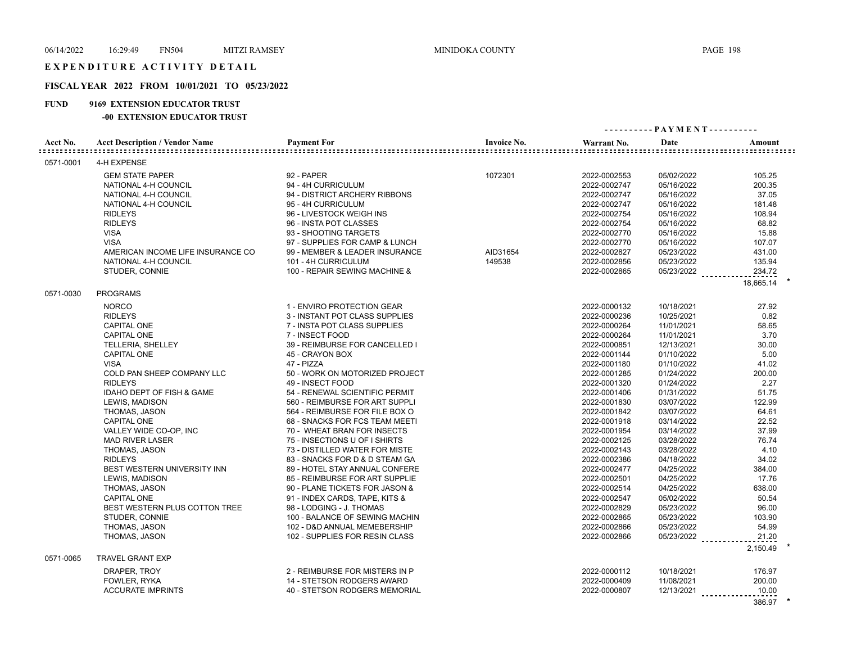# **FISCAL YEAR 2022 FROM 10/01/2021 TO 05/23/2022**

### **FUND 9169 EXTENSION EDUCATOR TRUST**

## **-00 EXTENSION EDUCATOR TRUST**

|           |                                                |                                  |                    | ---------- PAYMENT---------- |                          |                  |
|-----------|------------------------------------------------|----------------------------------|--------------------|------------------------------|--------------------------|------------------|
| Acct No.  | <b>Acct Description / Vendor Name</b>          | <b>Payment For</b>               | <b>Invoice No.</b> | Warrant No.                  | Date                     | Amount           |
| 0571-0001 | 4-H EXPENSE                                    |                                  |                    |                              |                          |                  |
|           | <b>GEM STATE PAPER</b><br>NATIONAL 4-H COUNCIL | 92 - PAPER<br>94 - 4H CURRICULUM | 1072301            | 2022-0002553<br>2022-0002747 | 05/02/2022<br>05/16/2022 | 105.25<br>200.35 |
|           | NATIONAL 4-H COUNCIL                           | 94 - DISTRICT ARCHERY RIBBONS    |                    | 2022-0002747                 | 05/16/2022               | 37.05            |
|           | NATIONAL 4-H COUNCIL                           | 95 - 4H CURRICULUM               |                    | 2022-0002747                 | 05/16/2022               | 181.48           |
|           | <b>RIDLEYS</b>                                 | 96 - LIVESTOCK WEIGH INS         |                    | 2022-0002754                 | 05/16/2022               | 108.94           |
|           | <b>RIDLEYS</b>                                 | 96 - INSTA POT CLASSES           |                    | 2022-0002754                 | 05/16/2022               | 68.82            |
|           | <b>VISA</b>                                    | 93 - SHOOTING TARGETS            |                    | 2022-0002770                 | 05/16/2022               | 15.88            |
|           | <b>VISA</b>                                    | 97 - SUPPLIES FOR CAMP & LUNCH   |                    | 2022-0002770                 | 05/16/2022               | 107.07           |
|           | AMERICAN INCOME LIFE INSURANCE CO              | 99 - MEMBER & LEADER INSURANCE   | AID31654           | 2022-0002827                 | 05/23/2022               | 431.00           |
|           | NATIONAL 4-H COUNCIL                           | 101 - 4H CURRICULUM              | 149538             | 2022-0002856                 | 05/23/2022               | 135.94           |
|           | STUDER, CONNIE                                 | 100 - REPAIR SEWING MACHINE &    |                    | 2022-0002865                 | 05/23/2022               | 234.72           |
|           |                                                |                                  |                    |                              |                          | 18.665.14        |
| 0571-0030 | <b>PROGRAMS</b>                                |                                  |                    |                              |                          |                  |
|           | <b>NORCO</b>                                   | 1 - ENVIRO PROTECTION GEAR       |                    | 2022-0000132                 | 10/18/2021               | 27.92            |
|           | <b>RIDLEYS</b>                                 | 3 - INSTANT POT CLASS SUPPLIES   |                    | 2022-0000236                 | 10/25/2021               | 0.82             |
|           | <b>CAPITAL ONE</b>                             | 7 - INSTA POT CLASS SUPPLIES     |                    | 2022-0000264                 | 11/01/2021               | 58.65            |
|           | CAPITAL ONE                                    | 7 - INSECT FOOD                  |                    | 2022-0000264                 | 11/01/2021               | 3.70             |
|           | TELLERIA, SHELLEY                              | 39 - REIMBURSE FOR CANCELLED I   |                    | 2022-0000851                 | 12/13/2021               | 30.00            |
|           | <b>CAPITAL ONE</b>                             | 45 - CRAYON BOX                  |                    | 2022-0001144                 | 01/10/2022               | 5.00             |
|           | <b>VISA</b>                                    | 47 - PIZZA                       |                    | 2022-0001180                 | 01/10/2022               | 41.02            |
|           | COLD PAN SHEEP COMPANY LLC                     | 50 - WORK ON MOTORIZED PROJECT   |                    | 2022-0001285                 | 01/24/2022               | 200.00           |
|           | <b>RIDLEYS</b>                                 | 49 - INSECT FOOD                 |                    | 2022-0001320                 | 01/24/2022               | 2.27             |
|           | <b>IDAHO DEPT OF FISH &amp; GAME</b>           | 54 - RENEWAL SCIENTIFIC PERMIT   |                    | 2022-0001406                 | 01/31/2022               | 51.75            |
|           | LEWIS, MADISON                                 | 560 - REIMBURSE FOR ART SUPPLI   |                    | 2022-0001830                 | 03/07/2022               | 122.99           |
|           | THOMAS, JASON                                  | 564 - REIMBURSE FOR FILE BOX O   |                    | 2022-0001842                 | 03/07/2022               | 64.61            |
|           | CAPITAL ONE                                    | 68 - SNACKS FOR FCS TEAM MEETI   |                    | 2022-0001918                 | 03/14/2022               | 22.52            |
|           | VALLEY WIDE CO-OP, INC                         | 70 - WHEAT BRAN FOR INSECTS      |                    | 2022-0001954                 | 03/14/2022               | 37.99            |
|           | <b>MAD RIVER LASER</b>                         | 75 - INSECTIONS U OF I SHIRTS    |                    | 2022-0002125                 | 03/28/2022               | 76.74            |
|           | THOMAS, JASON                                  | 73 - DISTILLED WATER FOR MISTE   |                    | 2022-0002143                 | 03/28/2022               | 4.10             |
|           | <b>RIDLEYS</b>                                 | 83 - SNACKS FOR D & D STEAM GA   |                    | 2022-0002386                 | 04/18/2022               | 34.02            |
|           | BEST WESTERN UNIVERSITY INN                    | 89 - HOTEL STAY ANNUAL CONFERE   |                    | 2022-0002477                 | 04/25/2022               | 384.00           |
|           | LEWIS, MADISON                                 | 85 - REIMBURSE FOR ART SUPPLIE   |                    | 2022-0002501                 | 04/25/2022               | 17.76            |
|           | THOMAS, JASON                                  | 90 - PLANE TICKETS FOR JASON &   |                    | 2022-0002514                 | 04/25/2022               | 638.00           |
|           | <b>CAPITAL ONE</b>                             | 91 - INDEX CARDS, TAPE, KITS &   |                    | 2022-0002547                 | 05/02/2022               | 50.54            |
|           | BEST WESTERN PLUS COTTON TREE                  | 98 - LODGING - J. THOMAS         |                    | 2022-0002829                 | 05/23/2022               | 96.00            |
|           | STUDER, CONNIE                                 | 100 - BALANCE OF SEWING MACHIN   |                    | 2022-0002865                 | 05/23/2022               | 103.90           |
|           | THOMAS, JASON                                  | 102 - D&D ANNUAL MEMEBERSHIP     |                    | 2022-0002866                 | 05/23/2022               | 54.99            |
|           | THOMAS, JASON                                  | 102 - SUPPLIES FOR RESIN CLASS   |                    | 2022-0002866                 | 05/23/2022               | 21.20            |
| 0571-0065 | <b>TRAVEL GRANT EXP</b>                        |                                  |                    |                              |                          | 2,150.49         |
|           | DRAPER, TROY                                   | 2 - REIMBURSE FOR MISTERS IN P   |                    | 2022-0000112                 | 10/18/2021               | 176.97           |
|           | FOWLER, RYKA                                   | 14 - STETSON RODGERS AWARD       |                    | 2022-0000409                 | 11/08/2021               | 200.00           |
|           | <b>ACCURATE IMPRINTS</b>                       | 40 - STETSON RODGERS MEMORIAL    |                    | 2022-0000807                 | 12/13/2021               | 10.00            |

386.97 **\***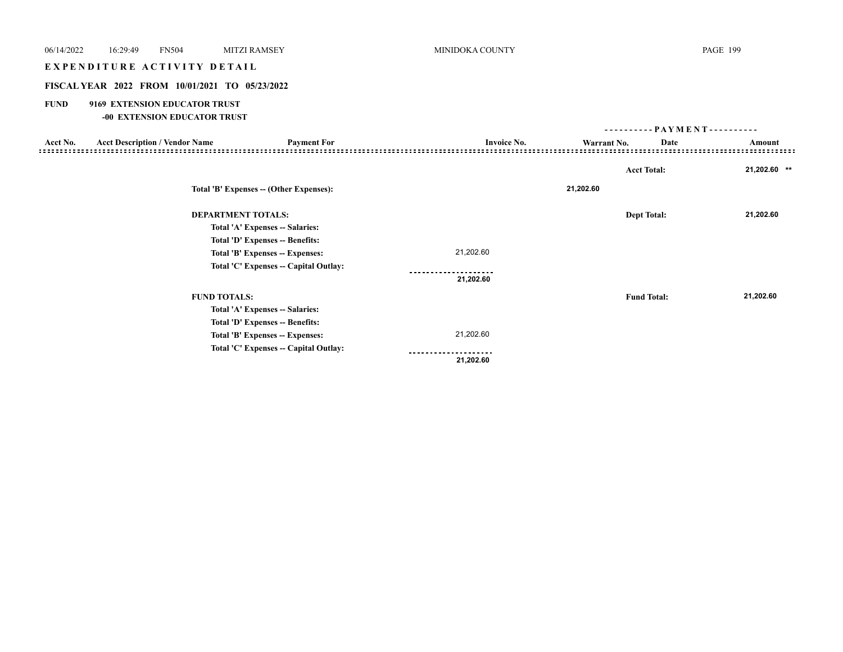# EXPENDITURE ACTIVITY DETAIL

# **FISCAL YEAR 2022 FROM 10/01/2021 TO 05/23/2022**

# **FUND 9169 EXTENSION EDUCATOR TRUST**

## **-00 EXTENSION EDUCATOR TRUST**

|          |                                       |                                         |                    |             | ---------- PAYMENT---------- |                                           |
|----------|---------------------------------------|-----------------------------------------|--------------------|-------------|------------------------------|-------------------------------------------|
| Acct No. | <b>Acct Description / Vendor Name</b> | <b>Payment For</b>                      | <b>Invoice No.</b> | Warrant No. | Date                         | Amount<br>------------------------------- |
|          |                                       |                                         |                    |             |                              |                                           |
|          |                                       |                                         |                    |             | <b>Acct Total:</b>           | 21,202.60 **                              |
|          |                                       | Total 'B' Expenses -- (Other Expenses): |                    | 21,202.60   |                              |                                           |
|          | <b>DEPARTMENT TOTALS:</b>             |                                         |                    |             | <b>Dept Total:</b>           | 21,202.60                                 |
|          |                                       | Total 'A' Expenses -- Salaries:         |                    |             |                              |                                           |
|          |                                       | Total 'D' Expenses -- Benefits:         |                    |             |                              |                                           |
|          |                                       | Total 'B' Expenses -- Expenses:         | 21,202.60          |             |                              |                                           |
|          |                                       | Total 'C' Expenses - Capital Outlay:    |                    |             |                              |                                           |
|          |                                       |                                         | 21,202.60          |             |                              |                                           |
|          | <b>FUND TOTALS:</b>                   |                                         |                    |             | <b>Fund Total:</b>           | 21,202.60                                 |
|          |                                       | Total 'A' Expenses -- Salaries:         |                    |             |                              |                                           |
|          |                                       | Total 'D' Expenses -- Benefits:         |                    |             |                              |                                           |
|          |                                       | Total 'B' Expenses -- Expenses:         | 21,202.60          |             |                              |                                           |
|          |                                       | Total 'C' Expenses -- Capital Outlay:   |                    |             |                              |                                           |
|          |                                       |                                         | 21,202.60          |             |                              |                                           |